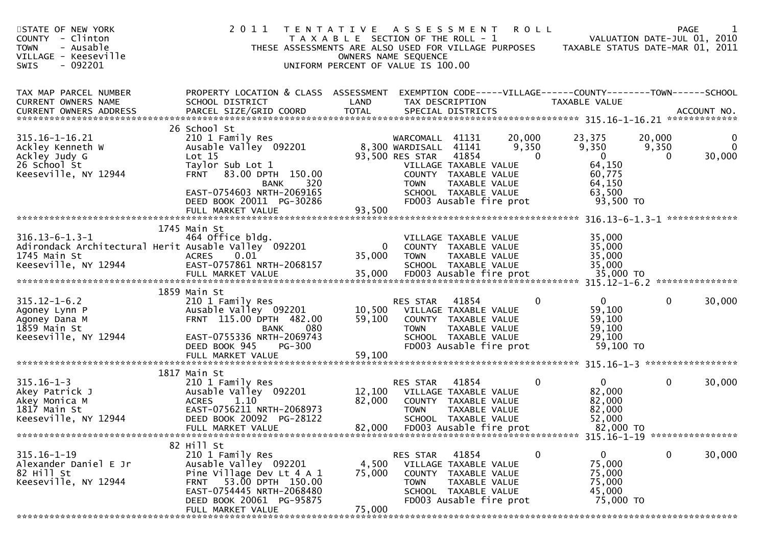| STATE OF NEW YORK<br>COUNTY - Clinton<br><b>TOWN</b><br>- Ausable<br>VILLAGE - Keeseville<br>$-092201$<br>SWIS | 2011<br>T E N T A T I V E                                                                                                                                                                                                       |                            | <b>ROLL</b><br>A S S E S S M E N T<br>T A X A B L E SECTION OF THE ROLL - 1<br>THESE ASSESSMENTS ARE ALSO USED FOR VILLAGE PURPOSES<br>OWNERS NAME SEQUENCE<br>UNIFORM PERCENT OF VALUE IS 100.00                                       | VALUATION DATE-JUL 01, 2010<br>TAXABLE STATUS DATE-MAR 01, 2011                                                 | $\mathbf{1}$<br><b>PAGE</b> |
|----------------------------------------------------------------------------------------------------------------|---------------------------------------------------------------------------------------------------------------------------------------------------------------------------------------------------------------------------------|----------------------------|-----------------------------------------------------------------------------------------------------------------------------------------------------------------------------------------------------------------------------------------|-----------------------------------------------------------------------------------------------------------------|-----------------------------|
| TAX MAP PARCEL NUMBER<br><b>CURRENT OWNERS NAME</b>                                                            | PROPERTY LOCATION & CLASS ASSESSMENT<br>SCHOOL DISTRICT                                                                                                                                                                         | LAND                       | EXEMPTION CODE-----VILLAGE------COUNTY--------TOWN------SCHOOL<br>TAX DESCRIPTION                                                                                                                                                       | TAXABLE VALUE                                                                                                   |                             |
| 315.16-1-16.21<br>Ackley Kenneth W<br>Ackley Judy G<br>26 School St<br>Keeseville, NY 12944                    | 26 School St<br>210 1 Family Res<br>Ausable Valley 092201<br>Lot 15<br>Taylor Sub Lot 1<br>83.00 DPTH 150.00<br><b>FRNT</b><br>320<br><b>BANK</b><br>EAST-0754603 NRTH-2069165<br>DEED BOOK 20011 PG-30286<br>FULL MARKET VALUE | 93,500                     | WARCOMALL 41131<br>20,000<br>8,300 WARDISALL 41141<br>9,350<br>93,500 RES STAR<br>41854<br>$\Omega$<br>VILLAGE TAXABLE VALUE<br>COUNTY TAXABLE VALUE<br><b>TOWN</b><br>TAXABLE VALUE<br>SCHOOL TAXABLE VALUE<br>FD003 Ausable fire prot | 23,375<br>20,000<br>9,350<br>9,350<br>$\Omega$<br>$\Omega$<br>64,150<br>60,775<br>64,150<br>63,500<br>93,500 TO | 0<br>0<br>30,000            |
| $316.13 - 6 - 1.3 - 1$<br>1745 Main St<br>Keeseville, NY 12944                                                 | 1745 Main St<br>464 Office bldg.<br>Adirondack Architectural Herit Ausable Valley 092201<br>0.01<br><b>ACRES</b><br>EAST-0757861 NRTH-2068157                                                                                   | $\mathbf{0}$<br>35,000     | VILLAGE TAXABLE VALUE<br>COUNTY TAXABLE VALUE<br>TAXABLE VALUE<br><b>TOWN</b><br>SCHOOL TAXABLE VALUE                                                                                                                                   | 35,000<br>35,000<br>35,000<br>35,000                                                                            |                             |
| $315.12 - 1 - 6.2$<br>Agoney Lynn P<br>Agoney Dana M<br>1859 Main St<br>Keeseville, NY 12944                   | 1859 Main St<br>210 1 Family Res<br>Ausable Valley 092201<br>FRNT 115.00 DPTH 482.00<br>080<br><b>BANK</b><br>EAST-0755336 NRTH-2069743<br>DEED BOOK 945<br>$PG-300$<br>FULL MARKET VALUE                                       | 10,500<br>59,100<br>59,100 | 41854<br>RES STAR<br>0<br>VILLAGE TAXABLE VALUE<br>COUNTY TAXABLE VALUE<br>TAXABLE VALUE<br><b>TOWN</b><br>SCHOOL TAXABLE VALUE<br>FD003 Ausable fire prot                                                                              | $\overline{0}$<br>$\mathbf{0}$<br>59,100<br>59,100<br>59,100<br>29,100<br>59,100 TO                             | 30,000                      |
| $315.16 - 1 - 3$<br>Akey Patrick J<br>Akey Monica M<br>1817 Main St<br>Keeseville, NY 12944                    | 1817 Main St<br>210 1 Family Res<br>Ausable Valley 092201<br>1.10<br><b>ACRES</b><br>EAST-0756211 NRTH-2068973<br>DEED BOOK 20092 PG-28122<br>FULL MARKET VALUE                                                                 | 12,100<br>82,000<br>82,000 | 41854<br>0<br><b>RES STAR</b><br>VILLAGE TAXABLE VALUE<br>COUNTY TAXABLE VALUE<br>TAXABLE VALUE<br><b>TOWN</b><br>SCHOOL TAXABLE VALUE<br>FD003 Ausable fire prot                                                                       | $\mathbf{0}$<br>$\mathbf 0$<br>82,000<br>82,000<br>82,000<br>52,000<br>82,000 TO                                | 30,000                      |
| $315.16 - 1 - 19$<br>Alexander Daniel E Jr<br>82 Hill St<br>Keeseville, NY 12944                               | 82 Hill St<br>210 1 Family Res<br>Ausable Valley 092201<br>Pine Village Dev Lt 4 A 1<br>FRNT 53.00 DPTH 150.00<br>EAST-0754445 NRTH-2068480<br>DEED BOOK 20061 PG-95875<br>FULL MARKET VALUE                                    | 4,500<br>75,000<br>75,000  | 41854<br>RES STAR<br>0<br>VILLAGE TAXABLE VALUE<br>COUNTY TAXABLE VALUE<br>TAXABLE VALUE<br><b>TOWN</b><br>SCHOOL TAXABLE VALUE<br>FD003 Ausable fire prot                                                                              | 0<br>$\overline{0}$<br>75,000<br>75,000<br>75,000<br>45,000<br>75,000 TO                                        | 30,000                      |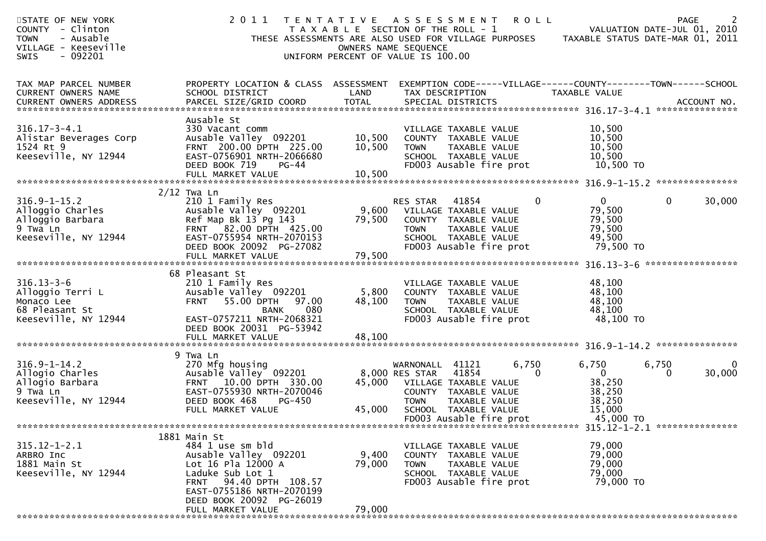| STATE OF NEW YORK<br>COUNTY - Clinton<br><b>TOWN</b><br>- Ausable<br>VILLAGE - Keeseville<br>$-092201$<br><b>SWIS</b> | 2011                                                                                                                                                                                   |                  | <b>ROLL</b><br>TENTATIVE ASSESSMENT<br>T A X A B L E SECTION OF THE ROLL - 1<br>THESE ASSESSMENTS ARE ALSO USED FOR VILLAGE PURPOSES<br>OWNERS NAME SEQUENCE<br>UNIFORM PERCENT OF VALUE IS 100.00 | VALUATION DATE-JUL 01, 2010<br>TAXABLE STATUS DATE-MAR 01, 2011        | 2<br>PAGE              |
|-----------------------------------------------------------------------------------------------------------------------|----------------------------------------------------------------------------------------------------------------------------------------------------------------------------------------|------------------|----------------------------------------------------------------------------------------------------------------------------------------------------------------------------------------------------|------------------------------------------------------------------------|------------------------|
| TAX MAP PARCEL NUMBER<br>CURRENT OWNERS NAME                                                                          | PROPERTY LOCATION & CLASS ASSESSMENT<br>SCHOOL DISTRICT                                                                                                                                | LAND             | EXEMPTION CODE-----VILLAGE------COUNTY--------TOWN------SCHOOL<br>TAX DESCRIPTION                                                                                                                  | TAXABLE VALUE                                                          |                        |
| $316.17 - 3 - 4.1$<br>Alistar Beverages Corp<br>1524 Rt 9<br>Keeseville, NY 12944                                     | Ausable St<br>330 Vacant comm<br>Ausable Valley 092201<br>FRNT 200.00 DPTH 225.00<br>EAST-0756901 NRTH-2066680<br>DEED BOOK 719<br>PG-44                                               | 10,500<br>10,500 | VILLAGE TAXABLE VALUE<br>COUNTY TAXABLE VALUE<br><b>TOWN</b><br>TAXABLE VALUE<br>SCHOOL TAXABLE VALUE<br>FD003 Ausable fire prot                                                                   | 10,500<br>10,500<br>10,500<br>10,500<br>10,500 TO                      |                        |
|                                                                                                                       | $2/12$ Twa Ln                                                                                                                                                                          |                  |                                                                                                                                                                                                    |                                                                        |                        |
| $316.9 - 1 - 15.2$<br>Alloggio Charles<br>Alloggio Barbara<br>9 Twa Ln<br>Keeseville, NY 12944                        | 210 1 Family Res<br>Ausable Valley 092201<br>Ref Map Bk 13 Pg 143<br>FRNT 82.00 DPTH 425.00<br>EAST-0755954 NRTH-2070153<br>DEED BOOK 20092 PG-27082                                   | 79,500           | $\mathbf 0$<br>RES STAR<br>41854<br>9,600 VILLAGE TAXABLE VALUE<br>COUNTY TAXABLE VALUE<br>TAXABLE VALUE<br><b>TOWN</b><br>SCHOOL TAXABLE VALUE<br>FD003 Ausable fire prot                         | $\mathbf{0}$<br>79,500<br>79,500<br>79,500<br>49,500<br>79,500 TO      | $\mathbf{0}$<br>30,000 |
|                                                                                                                       |                                                                                                                                                                                        |                  |                                                                                                                                                                                                    |                                                                        |                        |
| $316.13 - 3 - 6$<br>Alloggio Terri L<br>Monaco Lee<br>68 Pleasant St<br>Keeseville, NY 12944                          | 68 Pleasant St<br>210 1 Family Res<br>Ausable Valley 092201<br>55.00 DPTH<br>97.00<br><b>FRNT</b><br>080<br><b>BANK</b><br>EAST-0757211 NRTH-2068321<br>DEED BOOK 20031 PG-53942       | 5,800<br>48,100  | VILLAGE TAXABLE VALUE<br>COUNTY TAXABLE VALUE<br><b>TOWN</b><br>TAXABLE VALUE<br>SCHOOL TAXABLE VALUE<br>FD003 Ausable fire prot                                                                   | 48,100<br>48,100<br>48,100<br>48,100<br>48,100 TO                      |                        |
|                                                                                                                       | 9 Twa Ln                                                                                                                                                                               |                  |                                                                                                                                                                                                    |                                                                        |                        |
| $316.9 - 1 - 14.2$<br>Allogio Charles<br>Allogio Barbara<br>9 Twa Ln<br>Keeseville, NY 12944                          | 270 Mfg housing<br>Ausable Valley 092201<br>FRNT 10.00 DPTH 330.00<br>EAST-0755930 NRTH-2070046<br>DEED BOOK 468<br>PG-450<br>FULL MARKET VALUE                                        | 45,000<br>45,000 | 6,750<br>WARNONALL<br>41121<br>41854<br>$\mathbf{0}$<br>8,000 RES STAR<br>VILLAGE TAXABLE VALUE<br>COUNTY TAXABLE VALUE<br><b>TOWN</b><br>TAXABLE VALUE<br>SCHOOL TAXABLE VALUE                    | 6,750<br>6,750<br>$\mathbf{0}$<br>38,250<br>38,250<br>38,250<br>15,000 | 0<br>30,000<br>0       |
|                                                                                                                       |                                                                                                                                                                                        |                  | FD003 Ausable fire prot                                                                                                                                                                            | 45,000 TO                                                              |                        |
|                                                                                                                       |                                                                                                                                                                                        |                  |                                                                                                                                                                                                    |                                                                        |                        |
| $315.12 - 1 - 2.1$<br>ARBRO Inc<br>1881 Main St<br>Keeseville, NY 12944                                               | 1881 Main St<br>484 1 use sm bld<br>Ausable Valley 092201<br>Lot 16 Pla 12000 A<br>Laduke Sub Lot 1<br>FRNT 94.40 DPTH 108.57<br>EAST-0755186 NRTH-2070199<br>DEED BOOK 20092 PG-26019 | 9,400<br>79,000  | VILLAGE TAXABLE VALUE<br>COUNTY TAXABLE VALUE<br><b>TOWN</b><br>TAXABLE VALUE<br>SCHOOL TAXABLE VALUE<br>FD003 Ausable fire prot                                                                   | 79,000<br>79,000<br>79,000<br>79,000<br>79,000 TO                      |                        |
|                                                                                                                       | FULL MARKET VALUE                                                                                                                                                                      | 79,000           |                                                                                                                                                                                                    |                                                                        |                        |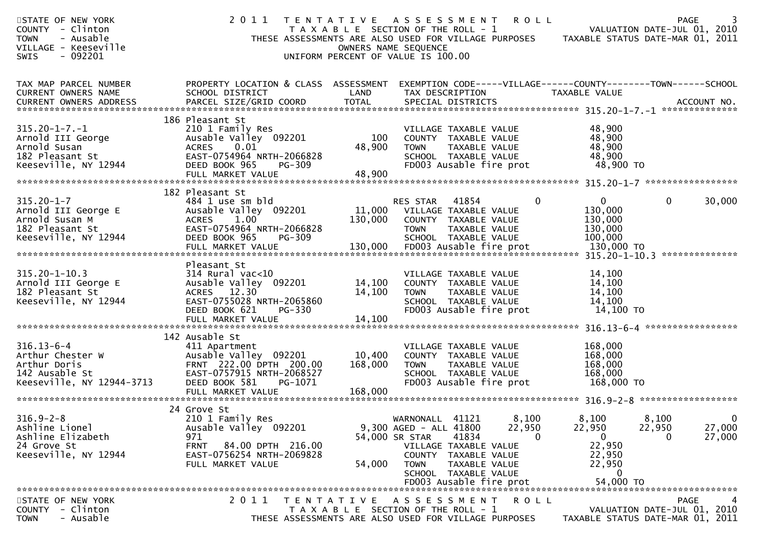| STATE OF NEW YORK<br>COUNTY - Clinton<br><b>TOWN</b><br>- Ausable<br>VILLAGE - Keeseville<br>$-092201$<br>SWIS | 2011                                                                                                                                                                     |                              | TENTATIVE ASSESSMENT<br>T A X A B L E SECTION OF THE ROLL - 1<br>THESE ASSESSMENTS ARE ALSO USED FOR VILLAGE PURPOSES<br>OWNERS NAME SEQUENCE<br>UNIFORM PERCENT OF VALUE IS 100.00 | <b>ROLL</b>                 |                                                                | PAGE<br>VALUATION DATE-JUL 01, 2010<br>TAXABLE STATUS DATE-MAR 01, 2011        | 3 |
|----------------------------------------------------------------------------------------------------------------|--------------------------------------------------------------------------------------------------------------------------------------------------------------------------|------------------------------|-------------------------------------------------------------------------------------------------------------------------------------------------------------------------------------|-----------------------------|----------------------------------------------------------------|--------------------------------------------------------------------------------|---|
| TAX MAP PARCEL NUMBER<br>CURRENT OWNERS NAME                                                                   | PROPERTY LOCATION & CLASS ASSESSMENT<br>SCHOOL DISTRICT                                                                                                                  | LAND                         | EXEMPTION CODE-----VILLAGE------COUNTY-------TOWN------SCHOOL<br>TAX DESCRIPTION                                                                                                    |                             | TAXABLE VALUE                                                  |                                                                                |   |
| $315.20 - 1 - 7. - 1$<br>Arnold III George<br>Arnold Susan<br>182 Pleasant St<br>Keeseville, NY 12944          | 186 Pleasant St<br>210 1 Family Res<br>Ausable Valley 092201<br><b>ACRES</b><br>0.01<br>EAST-0754964 NRTH-2066828<br>DEED BOOK 965<br><b>PG-309</b><br>FULL MARKET VALUE | 100<br>48,900<br>48,900      | VILLAGE TAXABLE VALUE<br>COUNTY TAXABLE VALUE<br>TAXABLE VALUE<br><b>TOWN</b><br>SCHOOL TAXABLE VALUE<br>FD003 Ausable fire prot                                                    |                             | 48,900<br>48,900<br>48,900<br>48,900<br>48,900 TO              |                                                                                |   |
| $315.20 - 1 - 7$<br>Arnold III George E<br>Arnold Susan M<br>182 Pleasant St<br>Keeseville, NY 12944           | 182 Pleasant St<br>484 1 use sm bld<br>Ausable Valley 092201<br><b>ACRES</b><br>1.00<br>EAST-0754964 NRTH-2066828<br>DEED BOOK 965<br><b>PG-309</b>                      | 11,000<br>130,000            | RES STAR<br>41854<br>VILLAGE TAXABLE VALUE<br>COUNTY TAXABLE VALUE<br>TAXABLE VALUE<br><b>TOWN</b><br>SCHOOL TAXABLE VALUE                                                          | $\mathbf{0}$                | 0<br>130,000<br>130,000<br>130,000<br>100,000                  | $\mathbf{0}$<br>30,000<br>**************                                       |   |
| $315.20 - 1 - 10.3$<br>Arnold III George E<br>182 Pleasant St<br>Keeseville, NY 12944                          | Pleasant St<br>$314$ Rural vac<10<br>Ausable Valley 092201<br>ACRES 12.30<br>EAST-0755028 NRTH-2065860<br>DEED BOOK 621<br>PG-330<br>FULL MARKET VALUE                   | 14,100<br>14,100<br>14,100   | VILLAGE TAXABLE VALUE<br>COUNTY TAXABLE VALUE<br>TAXABLE VALUE<br><b>TOWN</b><br>SCHOOL TAXABLE VALUE<br>FD003 Ausable fire prot                                                    |                             | 14,100<br>14,100<br>14,100<br>14,100<br>14,100 TO              |                                                                                |   |
| $316.13 - 6 - 4$<br>Arthur Chester W<br>Arthur Doris<br>142 Ausable St<br>Keeseville, NY 12944-3713            | 142 Ausable St<br>411 Apartment<br>Ausable Valley 092201<br>FRNT 222.00 DPTH 200.00<br>EAST-0757915 NRTH-2068527<br>DEED BOOK 581<br>PG-1071<br>FULL MARKET VALUE        | 10,400<br>168,000<br>168,000 | VILLAGE TAXABLE VALUE<br>COUNTY TAXABLE VALUE<br><b>TOWN</b><br>TAXABLE VALUE<br>SCHOOL TAXABLE VALUE<br>FD003 Ausable fire prot                                                    |                             | 168,000<br>168,000<br>168,000<br>168,000<br>168,000 TO         |                                                                                |   |
| $316.9 - 2 - 8$<br>Ashline Lionel<br>Ashline Elizabeth<br>24 Grove St<br>Keeseville, NY 12944                  | 24 Grove St<br>210 1 Family Res<br>Ausable Valley 092201<br>971<br>84.00 DPTH 216.00<br><b>FRNT</b><br>EAST-0756254 NRTH-2069828<br>FULL MARKET VALUE                    | 54,000                       | 41121<br>WARNONALL<br>9,300 AGED - ALL 41800<br>41834<br>54,000 SR STAR<br>VILLAGE TAXABLE VALUE<br>COUNTY TAXABLE VALUE<br>TAXABLE VALUE<br>TOWN<br>SCHOOL TAXABLE VALUE           | 8,100<br>22,950<br>$\Omega$ | 8,100<br>22,950<br>0<br>22,950<br>22,950<br>22,950<br>$\bf{0}$ | 8,100<br>22,950<br>27,000<br>27,000<br>0                                       | 0 |
| STATE OF NEW YORK<br>COUNTY - Clinton<br>- Ausable<br><b>TOWN</b>                                              | 2 0 1 1<br>T E N T A T I V E                                                                                                                                             |                              | A S S E S S M E N T<br>T A X A B L E SECTION OF THE ROLL - 1<br>THESE ASSESSMENTS ARE ALSO USED FOR VILLAGE PURPOSES                                                                | <b>ROLL</b>                 |                                                                | <b>PAGE</b><br>VALUATION DATE-JUL 01, 2010<br>TAXABLE STATUS DATE-MAR 01, 2011 |   |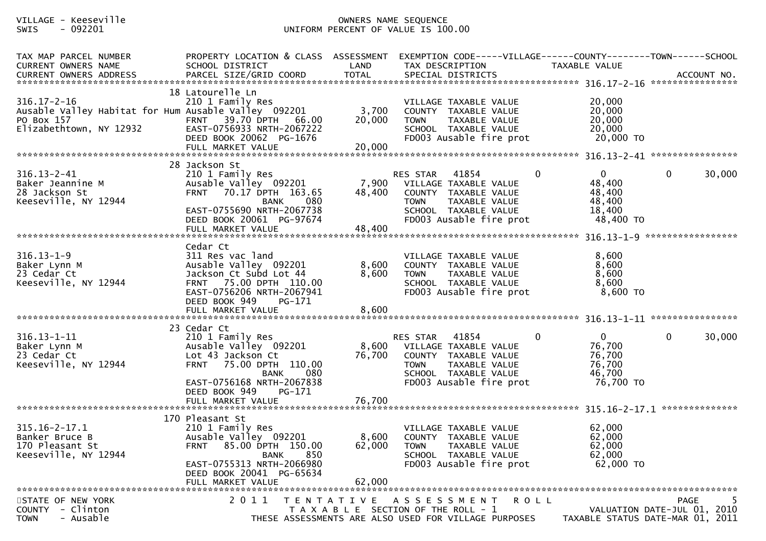## VILLAGE - Keeseville OWNERS NAME SEQUENCE SWIS - 092201 UNIFORM PERCENT OF VALUE IS 100.00

| TAX MAP PARCEL NUMBER<br>CURRENT OWNERS NAME                                                                       | PROPERTY LOCATION & CLASS ASSESSMENT<br>SCHOOL DISTRICT                                                                                                                               | LAND                      | TAX DESCRIPTION                                                                                                                                                       | EXEMPTION CODE-----VILLAGE------COUNTY-------TOWN------SCHOOL<br>TAXABLE VALUE               |
|--------------------------------------------------------------------------------------------------------------------|---------------------------------------------------------------------------------------------------------------------------------------------------------------------------------------|---------------------------|-----------------------------------------------------------------------------------------------------------------------------------------------------------------------|----------------------------------------------------------------------------------------------|
| $316.17 - 2 - 16$<br>Ausable Valley Habitat for Hum Ausable Valley 092201<br>PO Box 157<br>Elizabethtown, NY 12932 | 18 Latourelle Ln<br>210 1 Family Res<br><b>FRNT 39.70 DPTH</b><br>66.00<br>EAST-0756933 NRTH-2067222<br>DEED BOOK 20062 PG-1676                                                       | 3,700<br>20,000           | VILLAGE TAXABLE VALUE<br>COUNTY TAXABLE VALUE<br><b>TOWN</b><br>TAXABLE VALUE<br>SCHOOL TAXABLE VALUE<br>FD003 Ausable fire prot                                      | 20,000<br>20,000<br>20,000<br>20,000<br>20,000 TO                                            |
|                                                                                                                    | 28 Jackson St                                                                                                                                                                         |                           |                                                                                                                                                                       |                                                                                              |
| $316.13 - 2 - 41$<br>Baker Jeannine M<br>28 Jackson St<br>Keeseville, NY 12944                                     | 210 1 Family Res<br>Ausable Valley 092201<br>FRNT 70.17 DPTH 163.65<br>080<br>BANK<br>EAST-0755690 NRTH-2067738<br>DEED BOOK 20061 PG-97674                                           | 7,900<br>48,400           | 41854<br>$\mathbf{0}$<br>RES STAR<br>VILLAGE TAXABLE VALUE<br>COUNTY TAXABLE VALUE<br><b>TOWN</b><br>TAXABLE VALUE<br>SCHOOL TAXABLE VALUE<br>FD003 Ausable fire prot | $\mathbf 0$<br>$\mathbf{0}$<br>30,000<br>48,400<br>48,400<br>48,400<br>18,400<br>48,400 TO   |
|                                                                                                                    | FULL MARKET VALUE                                                                                                                                                                     | 48,400                    |                                                                                                                                                                       | *****************                                                                            |
| $316.13 - 1 - 9$<br>Baker Lynn M<br>23 Cedar Ct<br>Keeseville, NY 12944                                            | Cedar Ct<br>311 Res vac land<br>Ausable Valley 092201<br>Jackson Ct Subd Lot 44<br>FRNT 75.00 DPTH 110.00<br>EAST-0756206 NRTH-2067941<br>DEED BOOK 949<br>PG-171                     | 8,600<br>8,600            | VILLAGE TAXABLE VALUE<br>COUNTY TAXABLE VALUE<br>TAXABLE VALUE<br><b>TOWN</b><br>SCHOOL TAXABLE VALUE<br>FD003 Ausable fire prot                                      | 8,600<br>8,600<br>8,600<br>8,600<br>8,600 TO                                                 |
|                                                                                                                    |                                                                                                                                                                                       |                           |                                                                                                                                                                       |                                                                                              |
| $316.13 - 1 - 11$<br>Baker Lynn M<br>23 Cedar Ct<br>Keeseville, NY 12944                                           | 23 Cedar Ct<br>210 1 Family Res<br>Ausable Valley 092201<br>Lot 43 Jackson Ct<br>FRNT 75.00 DPTH 110.00<br>080<br><b>BANK</b><br>EAST-0756168 NRTH-2067838<br>DEED BOOK 949<br>PG-171 | 8,600<br>76,700           | 41854<br>$\mathbf{0}$<br>RES STAR<br>VILLAGE TAXABLE VALUE<br>COUNTY TAXABLE VALUE<br><b>TOWN</b><br>TAXABLE VALUE<br>SCHOOL TAXABLE VALUE<br>FD003 Ausable fire prot | $\overline{0}$<br>$\mathbf 0$<br>30,000<br>76,700<br>76,700<br>76,700<br>46,700<br>76,700 TO |
|                                                                                                                    | FULL MARKET VALUE                                                                                                                                                                     | 76,700                    |                                                                                                                                                                       |                                                                                              |
| $315.16 - 2 - 17.1$<br>Banker Bruce B<br>170 Pleasant St<br>Keeseville, NY 12944                                   | 170 Pleasant St<br>210 1 Family Res<br>Ausable Valley 092201<br>FRNT 85.00 DPTH 150.00<br>BANK 850<br>EAST-0755313 NRTH-2066980<br>DEED BOOK 20041 PG-65634<br>FULL MARKET VALUE      | 8,600<br>62,000<br>62,000 | VILLAGE TAXABLE VALUE<br>COUNTY TAXABLE VALUE<br><b>TOWN</b><br>TAXABLE VALUE<br>SCHOOL TAXABLE VALUE<br>FD003 Ausable fire prot                                      | 62,000<br>62,000<br>62,000<br>62,000<br>62,000 TO                                            |
| STATE OF NEW YORK                                                                                                  | 2 0 1 1                                                                                                                                                                               | T E N T A T I V E         | A S S E S S M E N T<br>ROLL                                                                                                                                           | <b>PAGE</b>                                                                                  |
| COUNTY - Clinton<br>- Ausable<br><b>TOWN</b>                                                                       |                                                                                                                                                                                       |                           | T A X A B L E SECTION OF THE ROLL - 1<br>THESE ASSESSMENTS ARE ALSO USED FOR VILLAGE PURPOSES                                                                         | VALUATION DATE-JUL 01, 2010<br>TAXABLE STATUS DATE-MAR 01, 2011                              |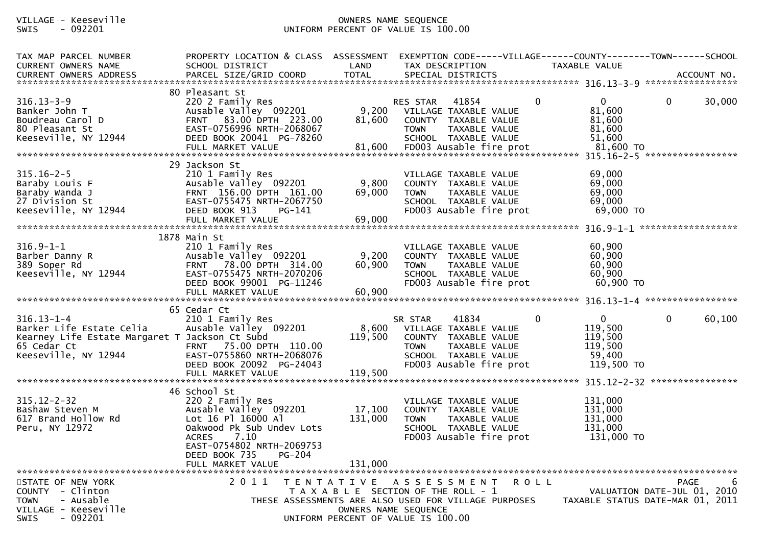## VILLAGE - Keeseville OWNERS NAME SEQUENCE SWIS - 092201 UNIFORM PERCENT OF VALUE IS 100.00

| TAX MAP PARCEL NUMBER<br>CURRENT OWNERS NAME<br>CURRENT OWNERS ADDRESS                                                                | PROPERTY LOCATION & CLASS ASSESSMENT EXEMPTION CODE-----VILLAGE------COUNTY-------TOWN------SCHOOL<br>SCHOOL DISTRICT                                                                                                    | LAND                         | TAX DESCRIPTION                                                                                                                                             | TAXABLE VALUE                                                                          |                                                                                     |
|---------------------------------------------------------------------------------------------------------------------------------------|--------------------------------------------------------------------------------------------------------------------------------------------------------------------------------------------------------------------------|------------------------------|-------------------------------------------------------------------------------------------------------------------------------------------------------------|----------------------------------------------------------------------------------------|-------------------------------------------------------------------------------------|
|                                                                                                                                       |                                                                                                                                                                                                                          |                              |                                                                                                                                                             |                                                                                        |                                                                                     |
| $316.13 - 3 - 9$<br>Banker John T<br>Boudreau Carol D<br>80 Pleasant St<br>Keeseville, NY 12944                                       | 80 Pleasant St<br>220 2 Family Res<br>Ausable Valley 092201<br>FRNT 83.00 DPTH 223.00<br>EAST-0756996 NRTH-2068067<br>DEED BOOK 20041 PG-78260                                                                           | 9,200<br>81,600              | RES STAR 41854<br>VILLAGE TAXABLE VALUE<br>COUNTY TAXABLE VALUE<br><b>TOWN</b><br>TAXABLE VALUE<br>SCHOOL TAXABLE VALUE                                     | $\mathbf{0}$<br>$\overline{0}$<br>81,600<br>81,600<br>81,600<br>51,600                 | 30,000<br>$\overline{0}$                                                            |
|                                                                                                                                       | 29 Jackson St                                                                                                                                                                                                            |                              |                                                                                                                                                             |                                                                                        |                                                                                     |
| $315.16 - 2 - 5$<br>Baraby Louis F<br>Baraby Wanda J<br>27 Division St<br>Keeseville, NY 12944                                        | 210 1 Family Res<br>Ausable Valley 092201<br>FRNT 156.00 DPTH 161.00<br>EAST-0755475 NRTH-2067750<br>DEED BOOK 913<br>PG-141                                                                                             | 9,800<br>69,000              | VILLAGE TAXABLE VALUE<br>COUNTY TAXABLE VALUE<br><b>TOWN</b><br>TAXABLE VALUE<br>SCHOOL TAXABLE VALUE<br>FD003 Ausable fire prot                            | 69,000<br>69,000<br>69,000<br>69,000<br>69,000 TO                                      |                                                                                     |
|                                                                                                                                       |                                                                                                                                                                                                                          |                              |                                                                                                                                                             |                                                                                        |                                                                                     |
| $316.9 - 1 - 1$<br>Barber Danny R<br>389 Soper Rd<br>Keeseville, NY 12944                                                             | 1878 Main St<br>210 1 Family Res<br>Ausable Valley 092201<br>FRNT 78.00 DPTH 314.00<br>EAST-0755475 NRTH-2070206<br>DEED BOOK 99001 PG-11246<br>FULL MARKET VALUE                                                        | 9,200<br>60,900<br>60,900    | VILLAGE TAXABLE VALUE<br>COUNTY TAXABLE VALUE<br>TAXABLE VALUE<br><b>TOWN</b><br>SCHOOL TAXABLE VALUE<br>FD003 Ausable fire prot                            | 60,900<br>60,900<br>60,900<br>60,900<br>60,900 TO                                      |                                                                                     |
|                                                                                                                                       | 65 Cedar Ct                                                                                                                                                                                                              |                              |                                                                                                                                                             |                                                                                        |                                                                                     |
| $316.13 - 1 - 4$<br>Barker Life Estate Celia<br>Kearney Life Estate Margaret T Jackson Ct Subd<br>65 Cedar Ct<br>Keeseville, NY 12944 | 210 1 Family Res<br>Ausable Valley 092201<br>FRNT 75.00 DPTH 110.00<br>EAST-0755860 NRTH-2068076<br>DEED BOOK 20092 PG-24043                                                                                             | 8,600<br>119,500             | 41834<br>SR STAR<br>VILLAGE TAXABLE VALUE<br>COUNTY TAXABLE VALUE<br><b>TOWN</b><br>TAXABLE VALUE<br>SCHOOL TAXABLE VALUE<br>FD003 Ausable fire prot        | $\overline{0}$<br>$\mathbf 0$<br>119,500<br>119,500<br>119,500<br>59,400<br>119,500 TO | 60,100<br>$\mathbf{0}$                                                              |
|                                                                                                                                       |                                                                                                                                                                                                                          |                              |                                                                                                                                                             |                                                                                        |                                                                                     |
| $315.12 - 2 - 32$<br>Bashaw Steven M<br>617 Brand Hollow Rd<br>Peru, NY 12972                                                         | 46 School St<br>220 2 Family Res<br>Ausable Valley 092201<br>Lot 16 Pl 16000 Al<br>Oakwood Pk Sub Undev Lots<br>7.10<br><b>ACRES</b><br>EAST-0754802 NRTH-2069753<br>DEED BOOK 735<br><b>PG-204</b><br>FULL MARKET VALUE | 17,100<br>131,000<br>131,000 | VILLAGE TAXABLE VALUE<br>COUNTY TAXABLE VALUE<br>TAXABLE VALUE<br><b>TOWN</b><br>SCHOOL TAXABLE VALUE<br>FD003 Ausable fire prot                            | 131,000<br>131,000<br>131,000<br>131,000<br>131,000 TO                                 |                                                                                     |
| STATE OF NEW YORK<br>COUNTY - Clinton<br>- Ausable<br><b>TOWN</b><br>VILLAGE - Keeseville<br>$-092201$<br><b>SWIS</b>                 | 2011                                                                                                                                                                                                                     | OWNERS NAME SEQUENCE         | TENTATIVE ASSESSMENT<br>T A X A B L E SECTION OF THE ROLL - 1<br>THESE ASSESSMENTS ARE ALSO USED FOR VILLAGE PURPOSES<br>UNIFORM PERCENT OF VALUE IS 100.00 | R O L L                                                                                | <b>PAGE</b><br>6<br>VALUATION DATE-JUL 01, 2010<br>TAXABLE STATUS DATE-MAR 01, 2011 |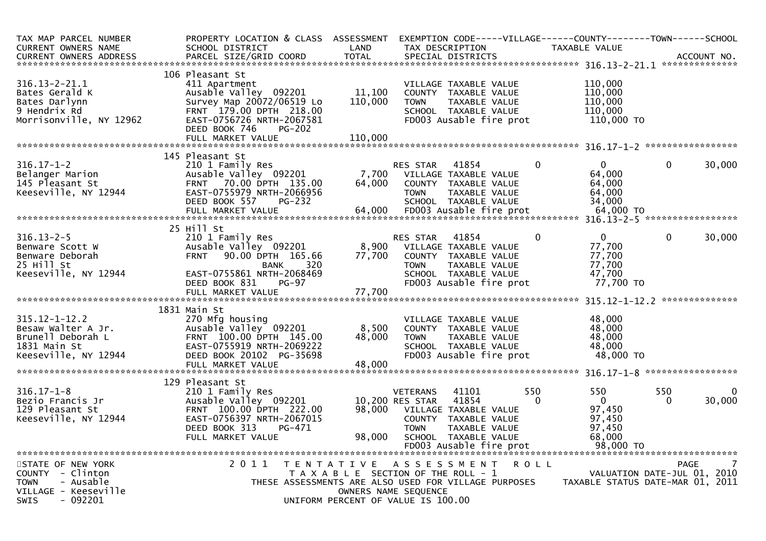| TAX MAP PARCEL NUMBER<br><b>CURRENT OWNERS NAME</b>                                                                  | PROPERTY LOCATION & CLASS ASSESSMENT<br>SCHOOL DISTRICT                                                                                                           | LAND                      | EXEMPTION CODE-----VILLAGE------COUNTY-------TOWN------SCHOOL<br>TAX DESCRIPTION                                                                                                   |                 | TAXABLE VALUE                                           |                                                                                |
|----------------------------------------------------------------------------------------------------------------------|-------------------------------------------------------------------------------------------------------------------------------------------------------------------|---------------------------|------------------------------------------------------------------------------------------------------------------------------------------------------------------------------------|-----------------|---------------------------------------------------------|--------------------------------------------------------------------------------|
| <b>CURRENT OWNERS ADDRESS</b>                                                                                        | PARCEL SIZE/GRID COORD                                                                                                                                            | <b>TOTAL</b>              | SPECIAL DISTRICTS                                                                                                                                                                  |                 |                                                         | ACCOUNT NO.                                                                    |
|                                                                                                                      | 106 Pleasant St                                                                                                                                                   |                           |                                                                                                                                                                                    |                 |                                                         |                                                                                |
| $316.13 - 2 - 21.1$<br>Bates Gerald K<br>Bates Darlynn<br>9 Hendrix Rd<br>Morrisonville, NY 12962                    | 411 Apartment<br>Ausable Valley 092201<br>Survey Map 20072/06519 Lo<br>FRNT 179.00 DPTH 218.00<br>EAST-0756726 NRTH-2067581<br>DEED BOOK 746<br>$PG-202$          | 11,100<br>110,000         | VILLAGE TAXABLE VALUE<br>COUNTY TAXABLE VALUE<br>TAXABLE VALUE<br><b>TOWN</b><br>SCHOOL TAXABLE VALUE<br>FD003 Ausable fire prot                                                   |                 | 110,000<br>110,000<br>110,000<br>110,000<br>110,000 TO  |                                                                                |
|                                                                                                                      | FULL MARKET VALUE                                                                                                                                                 | 110,000                   |                                                                                                                                                                                    |                 |                                                         |                                                                                |
|                                                                                                                      |                                                                                                                                                                   |                           |                                                                                                                                                                                    |                 |                                                         |                                                                                |
| $316.17 - 1 - 2$<br>Belanger Marion<br>145 Pleasant St<br>Keeseville, NY 12944                                       | 145 Pleasant St<br>210 1 Family Res<br>Ausable Valley 092201<br>FRNT 70.00 DPTH 135.00<br>EAST-0755979 NRTH-2066956<br>DEED BOOK 557<br><b>PG-232</b>             | 7,700<br>64,000           | 41854<br>RES STAR<br>VILLAGE TAXABLE VALUE<br>COUNTY TAXABLE VALUE<br><b>TOWN</b><br>TAXABLE VALUE<br>SCHOOL TAXABLE VALUE                                                         | $\Omega$        | $\Omega$<br>64,000<br>64,000<br>64,000<br>34,000        | 30,000<br>$\mathbf{0}$                                                         |
|                                                                                                                      | 25 Hill St                                                                                                                                                        |                           |                                                                                                                                                                                    |                 |                                                         |                                                                                |
| $316.13 - 2 - 5$<br>Benware Scott W<br>Benware Deborah<br>25 Hill St<br>Keeseville, NY 12944                         | 210 1 Family Res<br>Ausable Valley 092201<br><b>FRNT</b><br>90.00 DPTH 165.66<br>320<br>BANK<br>EAST-0755861 NRTH-2068469                                         | 8,900<br>77,700           | 41854<br>RES STAR<br>VILLAGE TAXABLE VALUE<br>COUNTY TAXABLE VALUE<br><b>TOWN</b><br>TAXABLE VALUE<br>SCHOOL TAXABLE VALUE                                                         | 0               | $\Omega$<br>77,700<br>77,700<br>77,700<br>47,700        | $\mathbf{0}$<br>30,000                                                         |
|                                                                                                                      | DEED BOOK 831<br>$PG-97$<br>FULL MARKET VALUE                                                                                                                     | 77,700                    | FD003 Ausable fire prot                                                                                                                                                            |                 | 77,700 TO                                               |                                                                                |
|                                                                                                                      |                                                                                                                                                                   |                           |                                                                                                                                                                                    |                 |                                                         |                                                                                |
| $315.12 - 1 - 12.2$<br>Besaw Walter A Jr.<br>Brunell Deborah L<br>1831 Main St<br>Keeseville, NY 12944               | 1831 Main St<br>270 Mfg housing<br>Ausable Valley 092201<br>FRNT 100.00 DPTH 145.00<br>EAST-0755919 NRTH-2069222<br>DEED BOOK 20102 PG-35698<br>FULL MARKET VALUE | 8,500<br>48,000<br>48,000 | VILLAGE TAXABLE VALUE<br>COUNTY TAXABLE VALUE<br><b>TOWN</b><br>TAXABLE VALUE<br>SCHOOL TAXABLE VALUE<br>FD003 Ausable fire prot                                                   |                 | 48,000<br>48,000<br>48,000<br>48.000<br>48,000 TO       |                                                                                |
|                                                                                                                      | 129 Pleasant St                                                                                                                                                   |                           |                                                                                                                                                                                    |                 |                                                         |                                                                                |
| $316.17 - 1 - 8$<br>Bezio Francis Jr<br>129 Pleasant St<br>Keeseville, NY 12944                                      | 210 1 Family Res<br>Ausable Valley 092201<br>FRNT 100.00 DPTH 222.00<br>EAST-0756397 NRTH-2067015<br>DEED BOOK 313<br>PG-471<br>FULL MARKET VALUE                 | 98.000<br>98.000          | <b>VETERANS</b><br>41101<br>10,200 RES STAR<br>41854<br>VILLAGE TAXABLE VALUE<br>COUNTY TAXABLE VALUE<br><b>TOWN</b><br>TAXABLE VALUE<br>SCHOOL TAXABLE VALUE                      | 550<br>$\Omega$ | 550<br>$\Omega$<br>97,450<br>97,450<br>97,450<br>68,000 | 550<br>30,000<br>$\Omega$                                                      |
|                                                                                                                      |                                                                                                                                                                   |                           |                                                                                                                                                                                    |                 |                                                         |                                                                                |
| STATE OF NEW YORK<br>COUNTY - Clinton<br>- Ausable<br><b>TOWN</b><br>VILLAGE - Keeseville<br>- 092201<br><b>SWIS</b> | 2 0 1 1                                                                                                                                                           | T E N T A T I V E         | A S S E S S M E N T<br>T A X A B L E SECTION OF THE ROLL - 1<br>THESE ASSESSMENTS ARE ALSO USED FOR VILLAGE PURPOSES<br>OWNERS NAME SEQUENCE<br>UNIFORM PERCENT OF VALUE IS 100.00 | <b>ROLL</b>     |                                                         | <b>PAGE</b><br>VALUATION DATE-JUL 01, 2010<br>TAXABLE STATUS DATE-MAR 01, 2011 |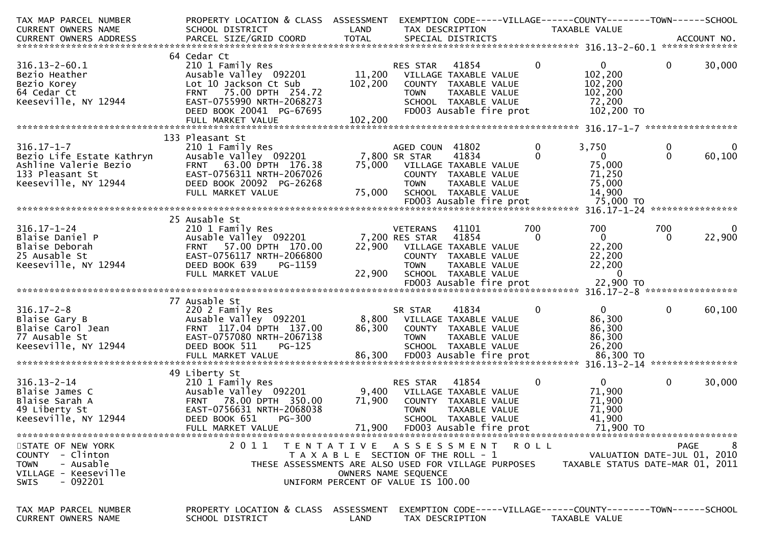| TAX MAP PARCEL NUMBER<br><b>CURRENT OWNERS NAME</b>                                                               | PROPERTY LOCATION & CLASS ASSESSMENT<br>SCHOOL DISTRICT                                                                                                                  | LAND                                                                                                                             | TAX DESCRIPTION                                    |                                                                                                                            |                 | EXEMPTION CODE-----VILLAGE------COUNTY--------TOWN------SCHOOL<br><b>TAXABLE VALUE</b> |               |                    |
|-------------------------------------------------------------------------------------------------------------------|--------------------------------------------------------------------------------------------------------------------------------------------------------------------------|----------------------------------------------------------------------------------------------------------------------------------|----------------------------------------------------|----------------------------------------------------------------------------------------------------------------------------|-----------------|----------------------------------------------------------------------------------------|---------------|--------------------|
| CURRENT OWNERS ADDRESS                                                                                            | PARCEL SIZE/GRID COORD                                                                                                                                                   | <b>TOTAL</b>                                                                                                                     |                                                    | SPECIAL DISTRICTS                                                                                                          |                 |                                                                                        |               | ACCOUNT NO.        |
| $316.13 - 2 - 60.1$<br>Bezio Heather<br>Bezio Korey<br>64 Cedar Ct<br>Keeseville, NY 12944                        | 64 Cedar Ct<br>210 1 Family Res<br>Ausable Valley 092201<br>Lot 10 Jackson Ct Sub<br>FRNT 75.00 DPTH 254.72<br>EAST-0755990 NRTH-2068273<br>DEED BOOK 20041 PG-67695     | 11,200<br>102,200                                                                                                                | RES STAR<br><b>TOWN</b>                            | 41854<br>VILLAGE TAXABLE VALUE<br>COUNTY TAXABLE VALUE<br>TAXABLE VALUE<br>SCHOOL TAXABLE VALUE<br>FD003 Ausable fire prot | $\mathbf 0$     | $\overline{0}$<br>102,200<br>102,200<br>102,200<br>72,200<br>102,200 TO                | $\mathbf{0}$  | 30,000             |
|                                                                                                                   | FULL MARKET VALUE                                                                                                                                                        | 102,200                                                                                                                          |                                                    |                                                                                                                            |                 |                                                                                        |               |                    |
| $316.17 - 1 - 7$<br>Bezio Life Estate Kathryn<br>Ashline Valerie Bezio<br>133 Pleasant St<br>Keeseville, NY 12944 | 133 Pleasant St<br>210 1 Family Res<br>Ausable Valley 092201<br>FRNT 63.00 DPTH 176.38<br>EAST-0756311 NRTH-2067026<br>DEED BOOK 20092 PG-26268<br>FULL MARKET VALUE     | 75,000<br>75,000                                                                                                                 | AGED COUN 41802<br>7,800 SR STAR<br><b>TOWN</b>    | 41834<br>VILLAGE TAXABLE VALUE<br>COUNTY TAXABLE VALUE<br>TAXABLE VALUE<br>SCHOOL TAXABLE VALUE<br>FD003 Ausable fire prot | 0               | 3,750<br>$\overline{0}$<br>75,000<br>71,250<br>75,000<br>14,900<br>75,000 TO           | 0<br>$\Omega$ | 0<br>60,100        |
|                                                                                                                   |                                                                                                                                                                          |                                                                                                                                  |                                                    |                                                                                                                            |                 |                                                                                        |               |                    |
| $316.17 - 1 - 24$<br>Blaise Daniel P<br>Blaise Deborah<br>25 Ausable St<br>Keeseville, NY 12944                   | 25 Ausable St<br>210 1 Family Res<br>Ausable Valley 092201<br>FRNT 57.00 DPTH 170.00<br>EAST-0756117 NRTH-2066800<br>DEED BOOK 639<br>PG-1159<br>FULL MARKET VALUE       | 22,900<br>22,900                                                                                                                 | VETERANS<br>7,200 RES STAR<br><b>TOWN</b>          | 41101<br>41854<br>VILLAGE TAXABLE VALUE<br>COUNTY TAXABLE VALUE<br>TAXABLE VALUE<br>SCHOOL TAXABLE VALUE                   | 700<br>$\Omega$ | 700<br>$\mathbf{0}$<br>22,200<br>22,200<br>22,200<br>$\Omega$                          | 700<br>0      | $\bf{0}$<br>22,900 |
|                                                                                                                   |                                                                                                                                                                          |                                                                                                                                  |                                                    |                                                                                                                            |                 |                                                                                        |               |                    |
| $316.17 - 2 - 8$<br>Blaise Gary B<br>Blaise Carol Jean<br>77 Ausable St<br>Keeseville, NY 12944                   | 77 Ausable St<br>220 2 Family Res<br>Ausable Valley 092201<br>FRNT 117.04 DPTH 137.00<br>EAST-0757080 NRTH-2067138<br>DEED BOOK 511<br>$PG-125$<br>FULL MARKET VALUE     | 8,800<br>86,300<br>86,300                                                                                                        | SR STAR<br><b>TOWN</b>                             | 41834<br>VILLAGE TAXABLE VALUE<br>COUNTY TAXABLE VALUE<br>TAXABLE VALUE<br>SCHOOL TAXABLE VALUE<br>FD003 Ausable fire prot | 0               | $\Omega$<br>86,300<br>86,300<br>86,300<br>26,200<br>86,300 TO                          | 0             | 60,100             |
|                                                                                                                   |                                                                                                                                                                          |                                                                                                                                  |                                                    |                                                                                                                            |                 |                                                                                        |               | ****************   |
| $316.13 - 2 - 14$<br>Blaise James C<br>Blaise Sarah A<br>49 Liberty St<br>Keeseville, NY 12944                    | 49 Liberty St<br>210 1 Family Res<br>Ausable Valley 092201<br>FRNT 78.00 DPTH 350.00<br>EAST-0756631 NRTH-2068038<br>DEED BOOK 651<br><b>PG-300</b><br>FULL MARKET VALUE | 9,400<br>71,900<br>71,900                                                                                                        | RES STAR<br><b>TOWN</b><br>FD003 Ausable fire prot | 41854<br>VILLAGE TAXABLE VALUE<br>COUNTY TAXABLE VALUE<br>TAXABLE VALUE<br>SCHOOL TAXABLE VALUE                            | $\mathbf 0$     | $\overline{0}$<br>71,900<br>71,900<br>71,900<br>41,900<br>71,900 TO                    | $\mathbf{0}$  | 30,000             |
| STATE OF NEW YORK<br>COUNTY - Clinton<br>- Ausable<br><b>TOWN</b><br>VILLAGE - Keeseville<br>- 092201<br>SWIS     | 2011<br>THESE ASSESSMENTS ARE ALSO USED FOR VILLAGE PURPOSES                                                                                                             | TENTATIVE ASSESSMENT ROLL<br>T A X A B L E SECTION OF THE ROLL - 1<br>OWNERS NAME SEQUENCE<br>UNIFORM PERCENT OF VALUE IS 100.00 |                                                    |                                                                                                                            |                 | VALUATION DATE-JUL 01, 2010<br>TAXABLE STATUS DATE-MAR 01, 2011                        | PAGE          | -8                 |
| TAX MAP PARCEL NUMBER<br>CURRENT OWNERS NAME                                                                      | PROPERTY LOCATION & CLASS ASSESSMENT<br>SCHOOL DISTRICT                                                                                                                  | LAND                                                                                                                             |                                                    | TAX DESCRIPTION                                                                                                            |                 | EXEMPTION CODE-----VILLAGE------COUNTY-------TOWN------SCHOOL<br><b>TAXABLE VALUE</b>  |               |                    |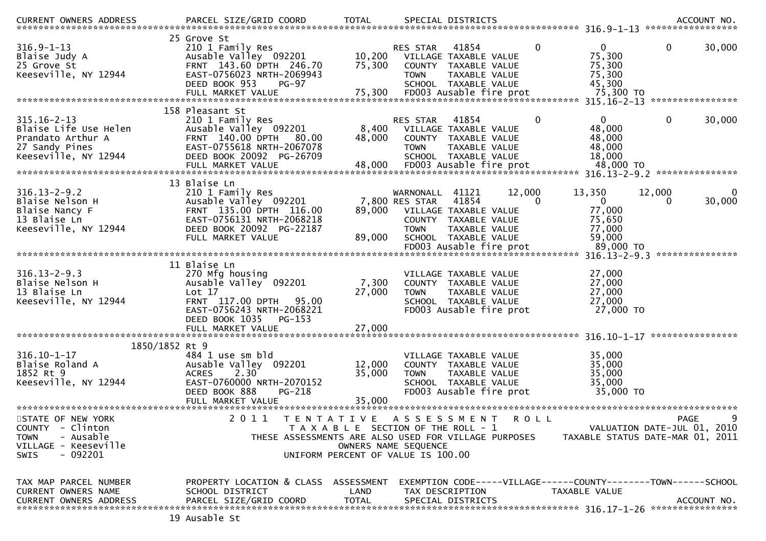| CURRENT OWNERS ADDRESS                                                                                                          | PARCEL SIZE/GRID COORD                                                                                                                                                          | <b>TOTAL</b>                                                                |                                                      | SPECIAL DISTRICTS                                                                                                          |              |                                                                                                      | ***************** | ACCOUNT NO.      |
|---------------------------------------------------------------------------------------------------------------------------------|---------------------------------------------------------------------------------------------------------------------------------------------------------------------------------|-----------------------------------------------------------------------------|------------------------------------------------------|----------------------------------------------------------------------------------------------------------------------------|--------------|------------------------------------------------------------------------------------------------------|-------------------|------------------|
| $316.9 - 1 - 13$<br>Blaise Judy A<br>25 Grove St<br>Keeseville, NY 12944                                                        | 25 Grove St<br>210 1 Family Res<br>Ausable Valley 092201<br>FRNT 143.60 DPTH 246.70<br>EAST-0756023 NRTH-2069943<br>DEED BOOK 953<br><b>PG-97</b><br>FULL MARKET VALUE          | 10,200<br>75,300<br>75,300                                                  | <b>RES STAR</b><br><b>COUNTY</b><br><b>TOWN</b>      | 41854<br>VILLAGE TAXABLE VALUE<br><b>TAXABLE VALUE</b><br>TAXABLE VALUE<br>SCHOOL TAXABLE VALUE<br>FD003 Ausable fire prot | $\mathbf{0}$ | $\overline{0}$<br>75,300<br>75,300<br>75,300<br>45,300<br>75,300 TO<br>315.16-2-13 ***************** | $\mathbf 0$       | 30,000           |
|                                                                                                                                 | 158 Pleasant St                                                                                                                                                                 |                                                                             |                                                      |                                                                                                                            |              |                                                                                                      |                   |                  |
| $315.16 - 2 - 13$<br>Blaise Life Use Helen<br>Prandato Arthur A<br>27 Sandy Pines<br>Keeseville, NY 12944                       | 210 1 Family Res<br>Ausable Valley 092201<br>FRNT 140.00 DPTH<br>80.00<br>EAST-0755618 NRTH-2067078<br>DEED BOOK 20092 PG-26709                                                 | 8,400<br>48,000                                                             | RES STAR<br>COUNTY<br><b>TOWN</b>                    | 41854<br>VILLAGE TAXABLE VALUE<br>TAXABLE VALUE<br>TAXABLE VALUE<br>SCHOOL TAXABLE VALUE                                   | $\mathbf{0}$ | $\Omega$<br>48,000<br>48,000<br>48,000<br>18,000                                                     | $\mathbf 0$       | 30,000           |
|                                                                                                                                 | FULL MARKET VALUE                                                                                                                                                               | 48,000                                                                      |                                                      | FD003 Ausable fire prot                                                                                                    |              | 48,000 TO                                                                                            |                   |                  |
| $316.13 - 2 - 9.2$<br>Blaise Nelson H<br>Blaise Nancy F<br>13 Blaise Ln<br>Keeseville, NY 12944                                 | 13 Blaise Ln<br>210 1 Family Res<br>Ausable Valley 092201<br>FRNT 135.00 DPTH 116.00<br>EAST-0756131 NRTH-2068218<br>DEED BOOK 20092 PG-22187<br>FULL MARKET VALUE              | 89,000<br>89,000                                                            | WARNONALL<br>7,800 RES STAR<br>COUNTY<br><b>TOWN</b> | 41121<br>41854<br>VILLAGE TAXABLE VALUE<br>TAXABLE VALUE<br>TAXABLE VALUE<br>SCHOOL TAXABLE VALUE                          | 12,000<br>0  | 13,350<br>$\overline{0}$<br>77,000<br>75,650<br>77,000<br>59,000                                     | 12,000<br>0       | 30,000           |
|                                                                                                                                 |                                                                                                                                                                                 |                                                                             |                                                      | FD003 Ausable fire prot                                                                                                    |              | 89,000 TO                                                                                            |                   | ***************  |
| $316.13 - 2 - 9.3$<br>Blaise Nelson H<br>13 Blaise Ln<br>Keeseville, NY 12944                                                   | 11 Blaise Ln<br>270 Mfg housing<br>Ausable Valley 092201<br>Lot 17<br>FRNT 117.00 DPTH<br>95.00<br>EAST-0756243 NRTH-2068221<br>DEED BOOK 1035<br>$PG-153$<br>FULL MARKET VALUE | 7,300<br>27,000<br>27,000                                                   | <b>TOWN</b>                                          | VILLAGE TAXABLE VALUE<br>COUNTY TAXABLE VALUE<br>TAXABLE VALUE<br>SCHOOL TAXABLE VALUE<br>FD003 Ausable fire prot          |              | 27,000<br>27,000<br>27,000<br>27,000<br>27,000 TO                                                    |                   |                  |
| 1850/1852 Rt 9                                                                                                                  |                                                                                                                                                                                 |                                                                             |                                                      |                                                                                                                            |              |                                                                                                      |                   | **************** |
| $316.10 - 1 - 17$<br>Blaise Roland A<br>1852 Rt 9<br>Keeseville, NY 12944                                                       | 484 1 use sm bld<br>Ausable Valley 092201<br>2.30<br><b>ACRES</b><br>EAST-0760000 NRTH-2070152<br>DEED BOOK 888<br>PG-218<br>FULL MARKET VALUE                                  | 12,000<br>35,000<br>35,000                                                  | <b>TOWN</b>                                          | VILLAGE TAXABLE VALUE<br>COUNTY TAXABLE VALUE<br>TAXABLE VALUE<br>SCHOOL TAXABLE VALUE<br>FD003 Ausable fire prot          |              | 35,000<br>35,000<br>35,000<br>35,000<br>35,000 TO                                                    |                   |                  |
|                                                                                                                                 | 2 0 1 1                                                                                                                                                                         |                                                                             |                                                      |                                                                                                                            |              |                                                                                                      |                   | 9                |
| STATE OF NEW YORK<br><b>COUNTY</b><br>- Clinton<br>- Ausable<br><b>TOWN</b><br>VILLAGE - Keeseville<br>$-092201$<br><b>SWIS</b> | T E N T A T I V E<br>THESE ASSESSMENTS ARE ALSO USED FOR VILLAGE PURPOSES                                                                                                       | T A X A B L E SECTION OF THE ROLL - 1<br>UNIFORM PERCENT OF VALUE IS 100.00 | A S S E S S M E N T<br>OWNERS NAME SEQUENCE          |                                                                                                                            | ROLL         | VALUATION DATE-JUL 01, 2010<br>TAXABLE STATUS DATE-MAR 01, 2011                                      | PAGE              |                  |
| TAX MAP PARCEL NUMBER<br>CURRENT OWNERS NAME                                                                                    | PROPERTY LOCATION & CLASS<br>SCHOOL DISTRICT<br>19 Ausable St                                                                                                                   | ASSESSMENT<br>LAND                                                          |                                                      | TAX DESCRIPTION                                                                                                            |              | EXEMPTION CODE-----VILLAGE------COUNTY--------TOWN------SCHOOL<br>TAXABLE VALUE                      |                   |                  |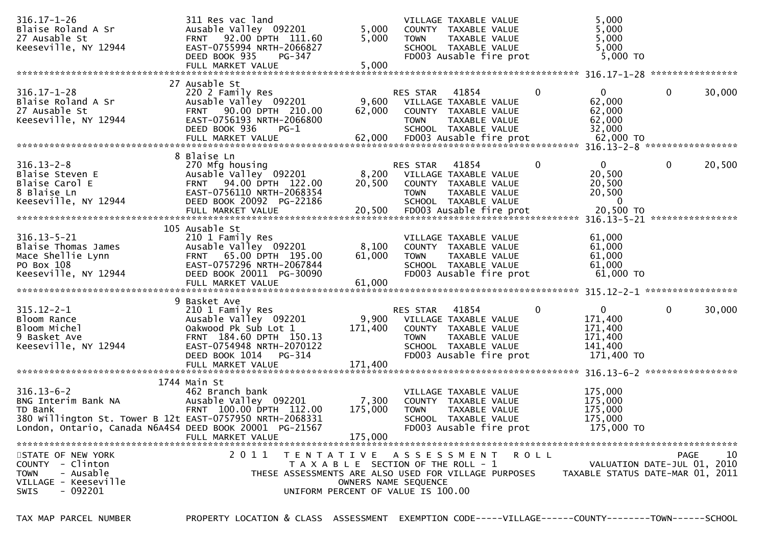| $316.17 - 1 - 26$<br>Blaise Roland A Sr<br>27 Ausable St<br>Keeseville, NY 12944                                                                                                                                                                                                            | 311 Res vac land<br>Ausable Valley 092201<br>FRNT 92.00 DPTH 111.60<br>EAST-0755994 NRTH-2066827<br>DEED BOOK 935<br>PG-347                                                                   | 5,000<br>5,000              | VILLAGE TAXABLE VALUE<br>COUNTY TAXABLE VALUE<br><b>TOWN</b><br>SCHOOL TAXABLE VALUE<br>FD003 Ausable fire prot                                                                                                                        | TAXABLE VALUE            | 5,000<br>5,000<br>5,000<br>5,000<br>5,000 TO                                                             |                                     |        |
|---------------------------------------------------------------------------------------------------------------------------------------------------------------------------------------------------------------------------------------------------------------------------------------------|-----------------------------------------------------------------------------------------------------------------------------------------------------------------------------------------------|-----------------------------|----------------------------------------------------------------------------------------------------------------------------------------------------------------------------------------------------------------------------------------|--------------------------|----------------------------------------------------------------------------------------------------------|-------------------------------------|--------|
|                                                                                                                                                                                                                                                                                             |                                                                                                                                                                                               |                             |                                                                                                                                                                                                                                        |                          |                                                                                                          |                                     |        |
| $316.17 - 1 - 28$<br>Blaise Roland A Sr<br>27 Ausable St<br>Keeseville, NY 12944                                                                                                                                                                                                            | 27 Ausable St<br>220 2 Family Res<br>Ausable Valley 092201<br>FRNT 90.00 DPTH 210.00<br>EAST-0756193 NRTH-2066800<br>DEED BOOK 936<br>$PG-1$                                                  | 9,600<br>62,000             | 41854<br>RES STAR<br>VILLAGE TAXABLE VALUE<br>COUNTY TAXABLE VALUE<br><b>TOWN</b><br>SCHOOL TAXABLE VALUE                                                                                                                              | TAXABLE VALUE            | $\mathbf{0}$<br>0<br>62,000<br>62,000<br>62,000<br>32,000                                                | $\mathbf 0$                         | 30,000 |
| $316.13 - 2 - 8$<br>Blaise Steven E<br>Blaise Carol E<br>8 Blaise Ln<br>Keeseville, NY 12944                                                                                                                                                                                                | 8 Blaise Ln<br>270 Mfg housing<br>Ausable Valley <sup>o 092201</sup><br>FRNT 94.00 DPTH 122.00<br>EAST-0756110 NRTH-2068354<br>DEED BOOK 20092 PG-22186                                       | 20,500                      | 41854<br>RES STAR<br>8,200 VILLAGE TAXABLE VALUE<br>COUNTY TAXABLE VALUE<br><b>TOWN</b><br>SCHOOL TAXABLE VALUE                                                                                                                        | TAXABLE VALUE            | $\mathbf{0}$<br>$\mathbf{0}$<br>20,500<br>20,500<br>20,500<br>$\bf{0}$<br>20,500 TO<br>$316.13 - 5 - 21$ | $\mathbf{0}$<br>****************    | 20,500 |
| $316.13 - 5 - 21$<br>Blaise Thomas James<br>Mace Shellie Lynn<br>PO Box 108<br>Keeseville, NY 12944                                                                                                                                                                                         | 105 Ausable St<br>210 1 Family Res<br>Ausable Valley 092201<br>FRNT 65.00 DPTH 195.00<br>EAST-0757296 NRTH-2067844<br>DEED BOOK 20011 PG-30090                                                | 8,100<br>61,000             | VILLAGE TAXABLE VALUE<br>COUNTY TAXABLE VALUE<br>TOWN<br>SCHOOL TAXABLE VALUE<br>FD003 Ausable fire prot                                                                                                                               | TAXABLE VALUE            | 61,000<br>61,000<br>61,000<br>61,000<br>61,000 TO                                                        |                                     |        |
| $315.12 - 2 - 1$<br>Bloom Rance<br>Bloom Michel<br>9 Basket Ave<br>Keeseville, NY 12944                                                                                                                                                                                                     | 9 Basket Ave<br>210 1 Family Res<br>Ausable Valley 092201<br>Oakwood Pk Sub Lot 1<br>FRNT 184.60 DPTH 150.13<br>EAST-0754948 NRTH-2070122<br>DEED BOOK 1014<br>PG-314<br>FULL MARKET VALUE    | 9,900<br>171,400<br>171,400 | RES STAR<br>41854<br>VILLAGE TAXABLE VALUE<br>COUNTY TAXABLE VALUE<br><b>TOWN</b><br>SCHOOL TAXABLE VALUE<br>FD003 Ausable fire prot                                                                                                   | TAXABLE VALUE            | $\mathbf{0}$<br>0<br>171,400<br>171,400<br>171,400<br>141,400<br>171,400 TO                              | $\mathbf 0$                         | 30,000 |
| $316.13 - 6 - 2$<br>BNG Interim Bank NA<br>TD Bank<br>380 Willington St. Tower B 12t EAST-0757950 NRTH-2068331<br>London, Ontario, Canada N6A4S4 DEED BOOK 20001 PG-21567<br>STATE OF NEW YORK<br>COUNTY - Clinton<br>- Ausable<br><b>TOWN</b><br>VILLAGE - Keeseville<br>SWIS<br>$-092201$ | 1744 Main St<br>462 Branch bank<br>Ausable Valley 092201<br>FRNT 100.00 DPTH 112.00<br>FULL MARKET VALUE<br>2011<br>T E N T A T I V E<br>THESE ASSESSMENTS ARE ALSO USED FOR VILLAGE PURPOSES | 7,300<br>175,000<br>175,000 | VILLAGE TAXABLE VALUE<br>COUNTY TAXABLE VALUE<br>TOWN<br>SCHOOL TAXABLE VALUE<br>FD003 Ausable fire prot<br>A S S E S S M E N T<br>T A X A B L E SECTION OF THE ROLL - 1<br>OWNERS NAME SEQUENCE<br>UNIFORM PERCENT OF VALUE IS 100.00 | TAXABLE VALUE<br>R O L L | 175,000<br>175,000<br>175,000<br>175,000<br>175,000 TO<br>TAXABLE STATUS DATE-MAR 01, 2011               | PAGE<br>VALUATION DATE-JUL 01, 2010 | 10     |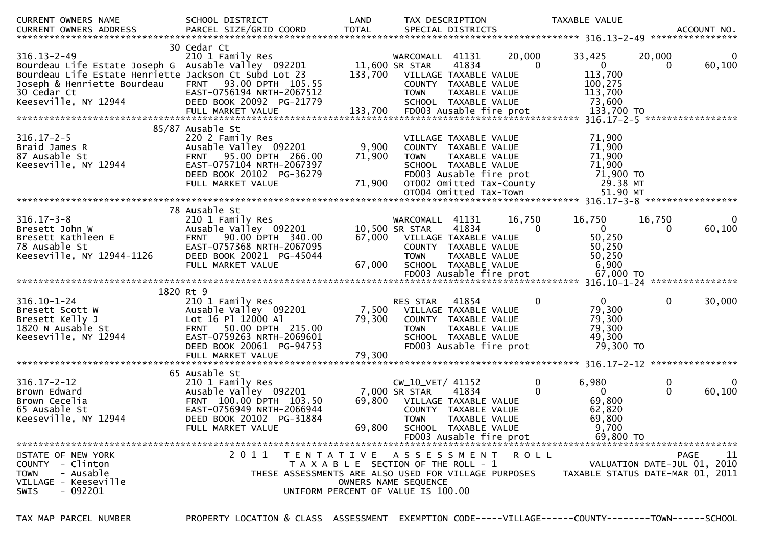| CURRENT OWNERS NAME                                                                                                                                                                                     | SCHOOL DISTRICT                                                                                                                                                       | LAND                      | TAX DESCRIPTION                                                                                                            |                                                                                                                                                                         |                    | TAXABLE VALUE                                                             |                   |             |
|---------------------------------------------------------------------------------------------------------------------------------------------------------------------------------------------------------|-----------------------------------------------------------------------------------------------------------------------------------------------------------------------|---------------------------|----------------------------------------------------------------------------------------------------------------------------|-------------------------------------------------------------------------------------------------------------------------------------------------------------------------|--------------------|---------------------------------------------------------------------------|-------------------|-------------|
| $316.13 - 2 - 49$<br>Bourdeau Life Estate Joseph G Ausable Valley 092201<br>Bourdeau Life Estate Henriette Jackson Ct Subd Lot 23<br>Joseph & Henriette Bourdeau<br>30 Cedar Ct<br>Keeseville, NY 12944 | 30 Cedar Ct<br>210 1 Family Res<br>FRNT 93.00 DPTH 105.55<br>EAST-0756194 NRTH-2067512<br>DEED BOOK 20092 PG-21779                                                    | 133,700                   | WARCOMALL 41131<br>11,600 SR STAR<br><b>TOWN</b>                                                                           | 41834<br>VILLAGE TAXABLE VALUE<br>COUNTY TAXABLE VALUE<br>TAXABLE VALUE<br>SCHOOL TAXABLE VALUE                                                                         | 20,000<br>$\Omega$ | 33,425<br>$\mathbf{0}$<br>113,700<br>100,275<br>113,700<br>73,600         | 20,000<br>0       | 0<br>60,100 |
|                                                                                                                                                                                                         |                                                                                                                                                                       |                           |                                                                                                                            |                                                                                                                                                                         |                    |                                                                           |                   |             |
| $316.17 - 2 - 5$<br>Braid James R<br>87 Ausable St<br>Keeseville, NY 12944                                                                                                                              | 85/87 Ausable St<br>220 2 Family Res<br>Ausable Valley 092201<br>FRNT 95.00 DPTH 266.00<br>EAST-0757104 NRTH-2067397<br>DEED BOOK 20102 PG-36279<br>FULL MARKET VALUE | 9,900<br>71,900<br>71,900 | <b>TOWN</b>                                                                                                                | VILLAGE TAXABLE VALUE<br>COUNTY TAXABLE VALUE<br>TAXABLE VALUE<br>SCHOOL TAXABLE VALUE<br>FD003 Ausable fire prot<br>OT002 Omitted Tax-County<br>OT004 Omitted Tax-Town |                    | 71,900<br>71,900<br>71,900<br>71,900<br>71,900 TO<br>29.38 MT<br>51.90 MT |                   |             |
|                                                                                                                                                                                                         | 78 Ausable St                                                                                                                                                         |                           |                                                                                                                            |                                                                                                                                                                         |                    |                                                                           |                   |             |
| $316.17 - 3 - 8$<br>Bresett John W<br>Bresett Kathleen E<br>78 Ausable St<br>Keeseville, NY 12944-1126                                                                                                  | 210 1 Family Res<br>Ausable Valley 092201<br>FRNT 90.00 DPTH 340.00<br>EAST-0757368 NRTH-2067095<br>DEED BOOK 20021 PG-45044<br>FULL MARKET VALUE                     | 67,000<br>67,000          | WARCOMALL 41131<br>10,500 SR STAR<br><b>TOWN</b>                                                                           | 41834<br>VILLAGE TAXABLE VALUE<br>COUNTY TAXABLE VALUE<br>TAXABLE VALUE<br>SCHOOL TAXABLE VALUE                                                                         | 16.750<br>0        | 16,750<br>$\mathbf{0}$<br>50,250<br>50,250<br>50,250<br>6,900             | 16,750<br>0       | 0<br>60,100 |
|                                                                                                                                                                                                         |                                                                                                                                                                       |                           |                                                                                                                            |                                                                                                                                                                         |                    |                                                                           |                   |             |
| $316.10 - 1 - 24$<br>Bresett Scott W<br>Bresett Kelly J<br>1820 N Ausable St<br>Keeseville, NY 12944                                                                                                    | 1820 Rt 9<br>210 1 Family Res<br>Ausable Valley 092201<br>Lot 16 Pl 12000 Al<br>FRNT 50.00 DPTH 215.00<br>EAST-0759263 NRTH-2069601<br>DEED BOOK 20061 PG-94753       | 7,500<br>79,300           | <b>RES STAR</b><br><b>TOWN</b>                                                                                             | 41854<br>VILLAGE TAXABLE VALUE<br>COUNTY TAXABLE VALUE<br>TAXABLE VALUE<br>SCHOOL TAXABLE VALUE<br>FD003 Ausable fire prot                                              | 0                  | $\mathbf{0}$<br>79,300<br>79,300<br>79,300<br>49,300<br>79,300 TO         | $\mathbf{0}$      | 30,000      |
|                                                                                                                                                                                                         | FULL MARKET VALUE                                                                                                                                                     | 79,300                    |                                                                                                                            |                                                                                                                                                                         |                    |                                                                           |                   |             |
| $316.17 - 2 - 12$<br>Brown Edward<br>Brown Cecelia<br>65 Ausable St<br>Keeseville, NY 12944                                                                                                             | 65 Ausable St<br>210 1 Family Res<br>Ausable Valley 092201<br>FRNT 100.00 DPTH 103.50<br>EAST-0756949 NRTH-2066944<br>DEED BOOK 20102 PG-31884<br>FULL MARKET VALUE   | 69,800<br>69,800          | CW_10_VET/ 41152<br>7,000 SR STAR<br><b>TOWN</b>                                                                           | 41834<br>VILLAGE TAXABLE VALUE<br>COUNTY TAXABLE VALUE<br>TAXABLE VALUE<br>SCHOOL TAXABLE VALUE<br>FD003 Ausable fire prot                                              | 0<br>$\Omega$      | 6,980<br>$\Omega$<br>69,800<br>62,820<br>69,800<br>9,700<br>69,800 TO     | 0<br>$\mathbf{0}$ | 60,100      |
| STATE OF NEW YORK<br>COUNTY - Clinton<br>- Ausable<br><b>TOWN</b><br>VILLAGE - Keeseville<br>SWIS<br>- 092201                                                                                           | 2 0 1 1<br>T E N T A T I V E<br>THESE ASSESSMENTS ARE ALSO USED FOR VILLAGE PURPOSES                                                                                  |                           | A S S E S S M E N T<br>T A X A B L E SECTION OF THE ROLL - 1<br>OWNERS NAME SEQUENCE<br>UNIFORM PERCENT OF VALUE IS 100.00 |                                                                                                                                                                         | ROLL               | VALUATION DATE-JUL 01, 2010<br>TAXABLE STATUS DATE-MAR 01, 2011           | PAGE              | 11          |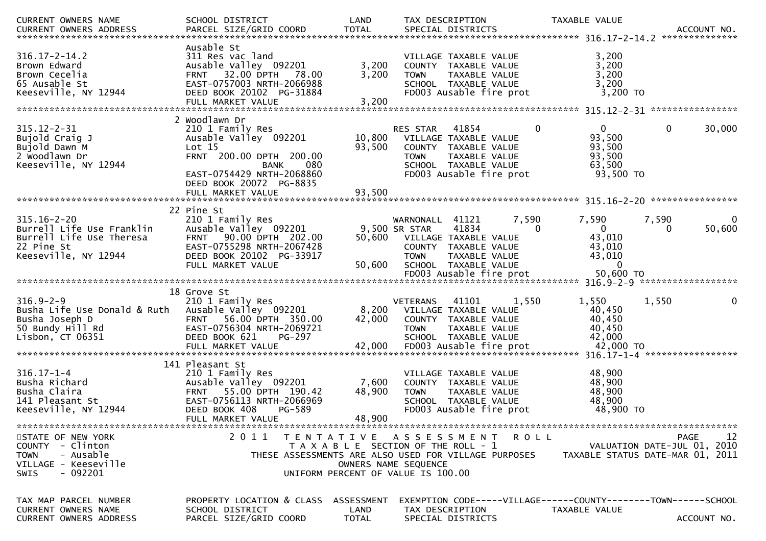| <b>CURRENT OWNERS NAME</b>                                                                                            | SCHOOL DISTRICT                                                                                                                                                          | LAND                                                                                                | TAX DESCRIPTION                |                                                                                                                            |                   | TAXABLE VALUE                                          |                                                                                      |
|-----------------------------------------------------------------------------------------------------------------------|--------------------------------------------------------------------------------------------------------------------------------------------------------------------------|-----------------------------------------------------------------------------------------------------|--------------------------------|----------------------------------------------------------------------------------------------------------------------------|-------------------|--------------------------------------------------------|--------------------------------------------------------------------------------------|
| $316.17 - 2 - 14.2$<br>Brown Edward<br>Brown Cecelia<br>65 Ausable St<br>Keeseville, NY 12944                         | Ausable St<br>311 Res vac land<br>Ausable Valley 092201<br><b>FRNT 32.00 DPTH</b><br>78.00<br>EAST-0757003 NRTH-2066988<br>DEED BOOK 20102 PG-31884<br>FULL MARKET VALUE | 3,200<br>3,200<br>3,200                                                                             | <b>TOWN</b>                    | VILLAGE TAXABLE VALUE<br>COUNTY TAXABLE VALUE<br>TAXABLE VALUE<br>SCHOOL TAXABLE VALUE<br>FD003 Ausable fire prot          |                   | 3,200<br>3,200<br>3,200<br>3,200<br>$3,200$ TO         |                                                                                      |
|                                                                                                                       | 2 Woodlawn Dr                                                                                                                                                            |                                                                                                     |                                |                                                                                                                            |                   |                                                        |                                                                                      |
| $315.12 - 2 - 31$<br>Bujold Craig J<br>Bujold Dawn M<br>2 Woodlawn Dr<br>Keeseville, NY 12944                         | 210 1 Family Res<br>Ausable Valley 092201<br>Lot 15<br>FRNT 200.00 DPTH 200.00<br>080<br><b>BANK</b><br>EAST-0754429 NRTH-2068860                                        | 10,800<br>93,500                                                                                    | RES STAR<br><b>TOWN</b>        | 41854<br>VILLAGE TAXABLE VALUE<br>COUNTY TAXABLE VALUE<br>TAXABLE VALUE<br>SCHOOL TAXABLE VALUE<br>FD003 Ausable fire prot | $\mathbf 0$       | 0<br>93,500<br>93,500<br>93,500<br>63,500<br>93,500 TO | 0<br>30,000                                                                          |
|                                                                                                                       | DEED BOOK 20072 PG-8835<br>FULL MARKET VALUE                                                                                                                             | 93,500                                                                                              |                                |                                                                                                                            |                   |                                                        |                                                                                      |
| $315.16 - 2 - 20$<br>Burrell Life Use Franklin                                                                        | 22 Pine St<br>210 1 Family Res<br>Ausable Valley 092201                                                                                                                  |                                                                                                     | WARNONALL<br>9,500 SR STAR     | 41121<br>41834                                                                                                             | 7,590<br>$\Omega$ | 7,590<br>$\mathbf{0}$                                  | 7,590<br>0<br>50,600<br>0                                                            |
| Burrell Life Use Theresa<br>22 Pine St<br>Keeseville, NY 12944                                                        | FRNT 90.00 DPTH 202.00<br>EAST-0755298 NRTH-2067428<br>DEED BOOK 20102 PG-33917<br>FULL MARKET VALUE                                                                     | 50,600<br>50,600                                                                                    | <b>TOWN</b>                    | VILLAGE TAXABLE VALUE<br>COUNTY TAXABLE VALUE<br>TAXABLE VALUE<br>SCHOOL TAXABLE VALUE                                     |                   | 43,010<br>43,010<br>43,010<br>$\mathbf{0}$             |                                                                                      |
|                                                                                                                       |                                                                                                                                                                          |                                                                                                     |                                |                                                                                                                            |                   |                                                        |                                                                                      |
| $316.9 - 2 - 9$<br>Busha Life Use Donald & Ruth<br>Busha Joseph D<br>50 Bundy Hill Rd<br>Lisbon, $CT$ 06351           | 18 Grove St<br>210 1 Family Res<br>Ausable Valley 092201<br>FRNT 56.00 DPTH 350.00<br>EAST-0756304 NRTH-2069721<br>DEED BOOK 621<br>PG-297                               | 8,200<br>42,000                                                                                     | <b>VETERANS</b><br><b>TOWN</b> | 41101<br>VILLAGE TAXABLE VALUE<br>COUNTY TAXABLE VALUE<br>TAXABLE VALUE<br>SCHOOL TAXABLE VALUE                            | 1,550             | 1,550<br>40,450<br>40,450<br>40,450<br>42,000          | 1,550<br>$\mathbf{0}$                                                                |
|                                                                                                                       | 141 Pleasant St                                                                                                                                                          |                                                                                                     |                                |                                                                                                                            |                   |                                                        |                                                                                      |
| $316.17 - 1 - 4$<br>Busha Richard<br>Busha Claira<br>141 Pleasant St<br>Keeseville, NY 12944                          | 210 1 Family Res<br>Ausable Valley 092201<br>55.00 DPTH 190.42<br><b>FRNT</b><br>EAST-0756113 NRTH-2066969<br>DEED BOOK 408<br>PG-589<br>FULL MARKET VALUE               | 7,600<br>48,900<br>48,900                                                                           | <b>TOWN</b>                    | VILLAGE TAXABLE VALUE<br>COUNTY TAXABLE VALUE<br>TAXABLE VALUE<br>SCHOOL TAXABLE VALUE<br>FD003 Ausable fire prot          |                   | 48,900<br>48,900<br>48,900<br>48,900<br>48,900 TO      |                                                                                      |
|                                                                                                                       |                                                                                                                                                                          |                                                                                                     |                                |                                                                                                                            |                   |                                                        |                                                                                      |
| STATE OF NEW YORK<br>COUNTY - Clinton<br>- Ausable<br><b>TOWN</b><br>VILLAGE - Keeseville<br>$-092201$<br><b>SWIS</b> | 2011<br>T E N T A T I V E<br>THESE ASSESSMENTS ARE ALSO USED FOR VILLAGE PURPOSES                                                                                        | T A X A B L E SECTION OF THE ROLL - 1<br>OWNERS NAME SEQUENCE<br>UNIFORM PERCENT OF VALUE IS 100.00 | A S S E S S M E N T            |                                                                                                                            | R O L L           |                                                        | 12<br><b>PAGE</b><br>VALUATION DATE-JUL 01, 2010<br>TAXABLE STATUS DATE-MAR 01, 2011 |
| TAX MAP PARCEL NUMBER<br>CURRENT OWNERS NAME                                                                          | PROPERTY LOCATION & CLASS<br>SCHOOL DISTRICT                                                                                                                             | ASSESSMENT<br>LAND                                                                                  | TAX DESCRIPTION                |                                                                                                                            |                   | TAXABLE VALUE                                          | EXEMPTION CODE-----VILLAGE------COUNTY--------TOWN------SCHOOL                       |
| <b>CURRENT OWNERS ADDRESS</b>                                                                                         | PARCEL SIZE/GRID COORD                                                                                                                                                   | <b>TOTAL</b>                                                                                        |                                | SPECIAL DISTRICTS                                                                                                          |                   |                                                        | ACCOUNT NO.                                                                          |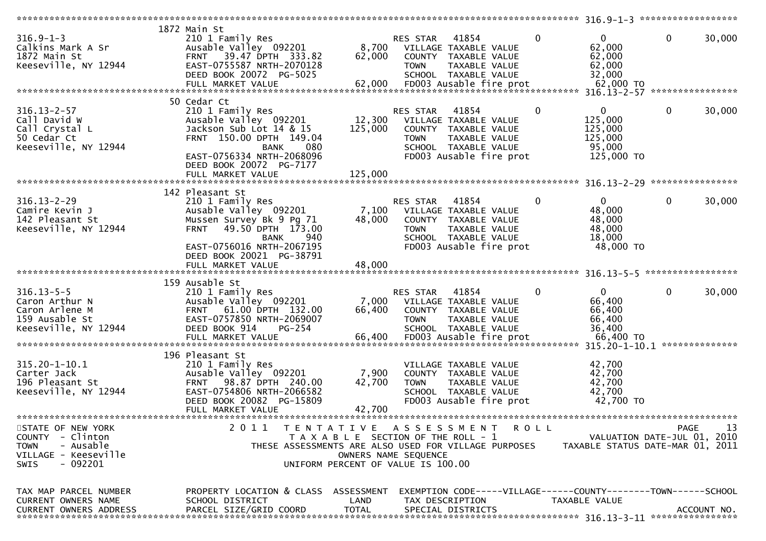|                               |                                                      |                                       |             |                                                                | *********************** 316.9-1-3 ******************* |                                  |              |                |
|-------------------------------|------------------------------------------------------|---------------------------------------|-------------|----------------------------------------------------------------|-------------------------------------------------------|----------------------------------|--------------|----------------|
|                               | 1872 Main St                                         |                                       |             |                                                                |                                                       |                                  |              |                |
| $316.9 - 1 - 3$               | 210 1 Family Res                                     |                                       | RES STAR    | 41854                                                          | $\mathbf{0}$                                          | $\overline{0}$                   | $\mathbf 0$  | 30,000         |
| Calkins Mark A Sr             | Ausable Valley 092201                                | 8,700                                 |             | VILLAGE TAXABLE VALUE                                          |                                                       | 62,000                           |              |                |
| 1872 Main St                  | 39.47 DPTH 333.82<br><b>FRNT</b>                     | 62,000                                |             | COUNTY TAXABLE VALUE                                           |                                                       | 62,000                           |              |                |
| Keeseville, NY 12944          | EAST-0755587 NRTH-2070128                            |                                       | <b>TOWN</b> | TAXABLE VALUE                                                  |                                                       | 62,000                           |              |                |
|                               |                                                      |                                       |             |                                                                |                                                       |                                  |              |                |
|                               | DEED BOOK 20072 PG-5025                              |                                       |             | SCHOOL TAXABLE VALUE                                           |                                                       | 32,000                           |              |                |
|                               |                                                      |                                       |             |                                                                |                                                       |                                  |              |                |
|                               |                                                      |                                       |             |                                                                |                                                       |                                  |              |                |
|                               | 50 Cedar Ct                                          |                                       |             |                                                                |                                                       |                                  |              |                |
| $316.13 - 2 - 57$             | 210 1 Family Res                                     |                                       | RES STAR    | 41854                                                          | 0                                                     | $\mathbf{0}$                     | $\mathbf{0}$ | 30,000         |
| Call David W                  | Ausable Valley 092201                                | 12,300                                |             | VILLAGE TAXABLE VALUE                                          |                                                       | 125,000                          |              |                |
| Call Crystal L                | Jackson Sub Lot 14 & 15                              | 125,000                               |             | COUNTY TAXABLE VALUE                                           |                                                       | 125,000                          |              |                |
| 50 Cedar Ct                   | FRNT 150.00 DPTH 149.04                              |                                       | <b>TOWN</b> | TAXABLE VALUE                                                  |                                                       | 125,000                          |              |                |
| Keeseville, NY 12944          | 080<br>BANK                                          |                                       |             | SCHOOL TAXABLE VALUE                                           |                                                       | 95,000                           |              |                |
|                               |                                                      |                                       |             |                                                                |                                                       |                                  |              |                |
|                               | EAST-0756334 NRTH-2068096                            |                                       |             | FD003 Ausable fire prot                                        |                                                       | 125,000 TO                       |              |                |
|                               | DEED BOOK 20072 PG-7177                              |                                       |             |                                                                |                                                       |                                  |              |                |
|                               |                                                      |                                       |             |                                                                |                                                       |                                  |              |                |
|                               |                                                      |                                       |             |                                                                |                                                       |                                  |              |                |
|                               | 142 Pleasant St                                      |                                       |             |                                                                |                                                       |                                  |              |                |
| $316.13 - 2 - 29$             | 210 1 Family Res                                     |                                       | RES STAR    | 41854                                                          | 0                                                     | $\mathbf{0}$                     | $\mathbf 0$  | 30,000         |
| Camire Kevin J                | Ausable Valley 092201                                | 7,100                                 |             | VILLAGE TAXABLE VALUE                                          |                                                       | 48,000                           |              |                |
| 142 Pleasant St               | Mussen Survey Bk 9 Pg 71                             | 48,000                                |             | COUNTY TAXABLE VALUE                                           |                                                       | 48,000                           |              |                |
|                               |                                                      |                                       |             |                                                                |                                                       |                                  |              |                |
| Keeseville, NY 12944          | 49.50 DPTH 173.00<br><b>FRNT</b>                     |                                       | <b>TOWN</b> | TAXABLE VALUE                                                  |                                                       | 48,000                           |              |                |
|                               | BANK<br>940                                          |                                       |             | SCHOOL TAXABLE VALUE                                           |                                                       | 18,000                           |              |                |
|                               | EAST-0756016 NRTH-2067195                            |                                       |             | FD003 Ausable fire prot                                        |                                                       | 48,000 TO                        |              |                |
|                               | DEED BOOK 20021 PG-38791                             |                                       |             |                                                                |                                                       |                                  |              |                |
|                               | FULL MARKET VALUE                                    | 48,000                                |             |                                                                |                                                       |                                  |              |                |
|                               |                                                      |                                       |             |                                                                |                                                       |                                  |              |                |
|                               | 159 Ausable St                                       |                                       |             |                                                                |                                                       |                                  |              |                |
| $316.13 - 5 - 5$              | 210 1 Family Res                                     |                                       | RES STAR    | 41854                                                          | 0                                                     | $\mathbf{0}$                     | $\mathbf{0}$ | 30,000         |
| Caron Arthur N                | Ausable Valley 092201                                | 7,000                                 |             | VILLAGE TAXABLE VALUE                                          |                                                       | 66,400                           |              |                |
| Caron Arlene M                | FRNT 61.00 DPTH 132.00                               | 66,400                                |             | COUNTY TAXABLE VALUE                                           |                                                       | 66,400                           |              |                |
|                               |                                                      |                                       |             |                                                                |                                                       |                                  |              |                |
| 159 Ausable St                | EAST-0757850 NRTH-2069007                            |                                       | <b>TOWN</b> | TAXABLE VALUE                                                  |                                                       | 66,400                           |              |                |
| Keeseville, NY 12944          |                                                      |                                       |             |                                                                |                                                       | 36,400                           |              |                |
|                               | DEED BOOK 914<br>$PG-254$                            |                                       |             | SCHOOL TAXABLE VALUE                                           |                                                       |                                  |              |                |
|                               |                                                      |                                       |             |                                                                |                                                       |                                  |              |                |
|                               | FULL MARKET VALUE<br>******************************* |                                       |             |                                                                |                                                       |                                  |              | ************** |
|                               | 196 Pleasant St                                      |                                       |             |                                                                |                                                       |                                  |              |                |
|                               |                                                      |                                       |             | VILLAGE TAXABLE VALUE                                          |                                                       |                                  |              |                |
| $315.20 - 1 - 10.1$           | 210 1 Family Res                                     |                                       |             |                                                                |                                                       | 42,700                           |              |                |
| Carter Jack                   | Ausable Valley 092201                                | 7,900                                 |             | COUNTY TAXABLE VALUE                                           |                                                       | 42,700                           |              |                |
| 196 Pleasant St               | 98.87 DPTH 240.00<br><b>FRNT</b>                     | 42,700                                | <b>TOWN</b> | TAXABLE VALUE                                                  |                                                       | 42,700                           |              |                |
| Keeseville, NY 12944          | EAST-0754806 NRTH-2066582                            |                                       |             | SCHOOL TAXABLE VALUE                                           |                                                       | 42,700                           |              |                |
|                               | DEED BOOK 20082 PG-15809                             |                                       |             | FD003 Ausable fire prot                                        |                                                       | 42,700 TO                        |              |                |
|                               | FULL MARKET VALUE                                    | 42,700                                |             |                                                                |                                                       |                                  |              |                |
|                               |                                                      |                                       |             |                                                                |                                                       |                                  |              |                |
| STATE OF NEW YORK             | 2 0 1 1                                              | TENTATIVE ASSESSMENT                  |             |                                                                | R O L L                                               |                                  | PAGE         | 13             |
| COUNTY - Clinton              |                                                      | T A X A B L E SECTION OF THE ROLL - 1 |             |                                                                |                                                       | VALUATION DATE-JUL 01, 2010      |              |                |
| - Ausable<br><b>TOWN</b>      | THESE ASSESSMENTS ARE ALSO USED FOR VILLAGE PURPOSES |                                       |             |                                                                |                                                       | TAXABLE STATUS DATE-MAR 01, 2011 |              |                |
|                               |                                                      | OWNERS NAME SEQUENCE                  |             |                                                                |                                                       |                                  |              |                |
| VILLAGE - Keeseville          |                                                      |                                       |             |                                                                |                                                       |                                  |              |                |
| $-092201$<br>SWIS             |                                                      | UNIFORM PERCENT OF VALUE IS 100.00    |             |                                                                |                                                       |                                  |              |                |
|                               |                                                      |                                       |             |                                                                |                                                       |                                  |              |                |
|                               |                                                      |                                       |             |                                                                |                                                       |                                  |              |                |
| TAX MAP PARCEL NUMBER         | PROPERTY LOCATION & CLASS ASSESSMENT                 |                                       |             | EXEMPTION CODE-----VILLAGE------COUNTY--------TOWN------SCHOOL |                                                       |                                  |              |                |
| CURRENT OWNERS NAME           | SCHOOL DISTRICT                                      | LAND                                  |             | TAX DESCRIPTION                                                |                                                       | TAXABLE VALUE                    |              |                |
| <b>CURRENT OWNERS ADDRESS</b> | PARCEL SIZE/GRID COORD                               | <b>TOTAL</b>                          |             | SPECIAL DISTRICTS                                              |                                                       |                                  |              | ACCOUNT NO.    |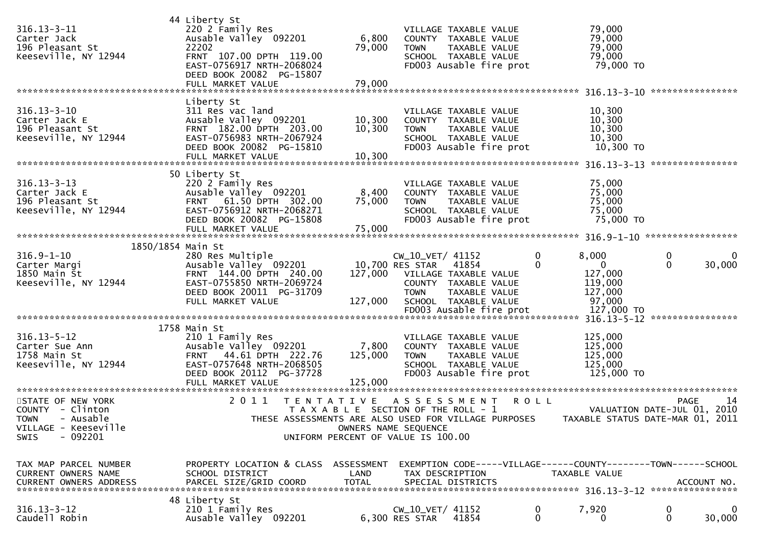| $316.13 - 3 - 11$<br>Carter Jack<br>196 Pleasant St<br>Keeseville, NY 12944                                 | 44 Liberty St<br>220 2 Family Res<br>Ausable Valley 092201<br>22202<br>FRNT 107.00 DPTH 119.00<br>EAST-0756917 NRTH-2068024<br>DEED BOOK 20082 PG-15807<br>FULL MARKET VALUE | 6,800<br>79,000<br>79,000                                     | <b>TOWN</b>                                              | VILLAGE TAXABLE VALUE<br>COUNTY TAXABLE VALUE<br>TAXABLE VALUE<br>SCHOOL TAXABLE VALUE<br>FD003 Ausable fire prot |                         | 79,000<br>79,000<br>79,000<br>79,000<br>79,000 TO                  |                   |             |
|-------------------------------------------------------------------------------------------------------------|------------------------------------------------------------------------------------------------------------------------------------------------------------------------------|---------------------------------------------------------------|----------------------------------------------------------|-------------------------------------------------------------------------------------------------------------------|-------------------------|--------------------------------------------------------------------|-------------------|-------------|
| $316.13 - 3 - 10$<br>Carter Jack E<br>196 Pleasant St<br>Keeseville, NY 12944                               | Liberty St<br>311 Res vac land<br>Ausable Valley 092201<br>FRNT 182.00 DPTH 203.00<br>EAST-0756983 NRTH-2067924<br>DEED BOOK 20082 PG-15810<br>FULL MARKET VALUE             | 10,300<br>10,300<br>10,300                                    | <b>TOWN</b>                                              | VILLAGE TAXABLE VALUE<br>COUNTY TAXABLE VALUE<br>TAXABLE VALUE<br>SCHOOL TAXABLE VALUE<br>FD003 Ausable fire prot |                         | 10,300<br>10,300<br>10,300<br>10,300<br>10,300 TO                  |                   |             |
| $316.13 - 3 - 13$<br>Carter Jack E<br>196 Pleasant St<br>Keeseville, NY 12944                               | 50 Liberty St<br>220 2 Family Res<br>Ausable Valley 092201<br>FRNT 61.50 DPTH 302.00<br>EAST-0756912 NRTH-2068271<br>DEED BOOK 20082 PG-15808                                | 8,400<br>75,000                                               | <b>TOWN</b>                                              | VILLAGE TAXABLE VALUE<br>COUNTY TAXABLE VALUE<br>TAXABLE VALUE<br>SCHOOL TAXABLE VALUE<br>FD003 Ausable fire prot |                         | 75,000<br>75,000<br>75,000<br>75,000<br>75,000 TO                  |                   |             |
| 1850/1854 Main St<br>$316.9 - 1 - 10$<br>Carter Margi<br>1850 Main St<br>Keeseville, NY 12944               | 280 Res Multiple<br>Ausable Valley 092201<br>FRNT 144.00 DPTH 240.00<br>EAST-0755850 NRTH-2069724<br>DEED BOOK 20011 PG-31709<br>FULL MARKET VALUE                           | 127,000                                                       | CW_10_VET/ 41152<br>10,700 RES STAR 41854<br><b>TOWN</b> | 127,000 VILLAGE TAXABLE VALUE<br>COUNTY TAXABLE VALUE<br>TAXABLE VALUE<br>SCHOOL TAXABLE VALUE                    | $\mathbf 0$<br>$\Omega$ | 8,000<br>$\overline{0}$<br>127,000<br>119,000<br>127,000<br>97,000 | 0<br>$\Omega$     | 0<br>30,000 |
| $316.13 - 5 - 12$<br>Carter Sue Ann<br>1758 Main St<br>Keeseville, NY 12944                                 | 1758 Main St<br>210 1 Family Res<br>Ausable Valley 092201<br>FRNT 44.61 DPTH 222.76<br>EAST-0757648 NRTH-2068505<br>DEED BOOK 20112 PG-37728<br>FULL MARKET VALUE            | 7,800<br>125,000<br>125,000<br>*************                  | <b>TOWN</b>                                              | VILLAGE TAXABLE VALUE<br>COUNTY TAXABLE VALUE<br>TAXABLE VALUE<br>SCHOOL TAXABLE VALUE<br>FD003 Ausable fire prot |                         | 125,000<br>125,000<br>125,000<br>125,000<br>125,000 TO             |                   |             |
| STATE OF NEW YORK<br>COUNTY - Clinton<br>TOWN - Ausable<br>VILLAGE - Keeseville<br>$-092201$<br><b>SWIS</b> | 2011 TENTATIVE<br>THESE ASSESSMENTS ARE ALSO USED FOR VILLAGE PURPOSES<br>UNIFORM PERCENT OF VALUE IS 100.00                                                                 | T A X A B L E SECTION OF THE ROLL - 1<br>OWNERS NAME SEQUENCE |                                                          | A S S E S S M E N T                                                                                               | <b>ROLL</b>             | VALUATION DATE-JUL 01, 2010<br>TAXABLE STATUS DATE-MAR 01, 2011    | <b>PAGE</b>       | 14          |
| TAX MAP PARCEL NUMBER<br><b>CURRENT OWNERS NAME</b><br><b>CURRENT OWNERS ADDRESS</b>                        | PROPERTY LOCATION & CLASS<br>SCHOOL DISTRICT<br>PARCEL SIZE/GRID COORD                                                                                                       | ASSESSMENT<br>LAND<br><b>TOTAL</b>                            | TAX DESCRIPTION                                          | EXEMPTION CODE-----VILLAGE------COUNTY-------TOWN------SCHOOL<br>SPECIAL DISTRICTS                                |                         | TAXABLE VALUE                                                      |                   | ACCOUNT NO. |
| $316.13 - 3 - 12$<br>Caudell Robin                                                                          | 48 Liberty St<br>210 1 Family Res<br>Ausable Valley 092201                                                                                                                   |                                                               | CW_10_VET/ 41152<br>6,300 RES STAR                       | 41854                                                                                                             | 0<br>0                  | 7,920<br>0                                                         | 0<br>$\mathbf{0}$ | 0<br>30,000 |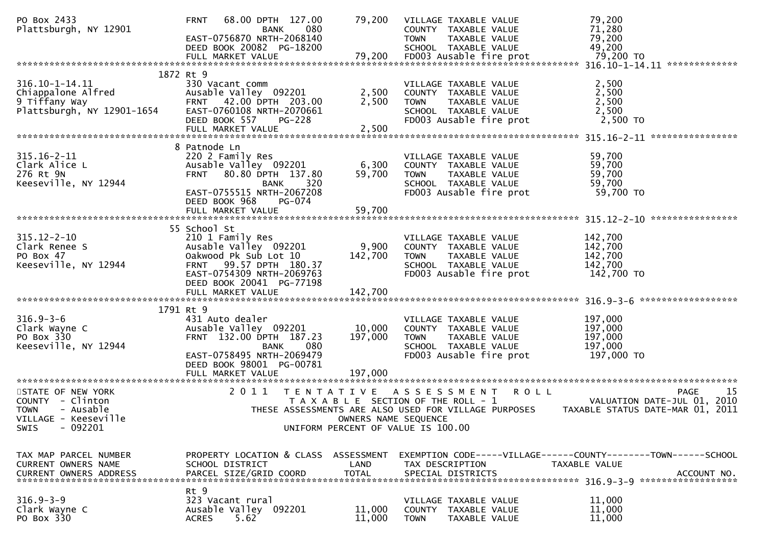| PO Box 2433<br>Plattsburgh, NY 12901                                                                                  | 68.00 DPTH 127.00<br><b>FRNT</b><br>BANK<br>EAST-0756870 NRTH-2068140<br>DEED BOOK 20082 PG-18200<br>FULL MARKET VALUE                                                | 79,200<br>080<br>79,200                                      | VILLAGE TAXABLE VALUE<br>COUNTY TAXABLE VALUE<br><b>TOWN</b><br>TAXABLE VALUE<br>SCHOOL TAXABLE VALUE<br>FD003 Ausable fire prot | 79,200<br>71,280<br>79,200<br>49,200     | 79,200 TO                                                                                                                                 |
|-----------------------------------------------------------------------------------------------------------------------|-----------------------------------------------------------------------------------------------------------------------------------------------------------------------|--------------------------------------------------------------|----------------------------------------------------------------------------------------------------------------------------------|------------------------------------------|-------------------------------------------------------------------------------------------------------------------------------------------|
|                                                                                                                       |                                                                                                                                                                       |                                                              |                                                                                                                                  |                                          |                                                                                                                                           |
| 1872 Rt 9<br>316.10-1-14.11<br>Chiappalone Alfred<br>9 Tiffany Way<br>Plattsburgh, NY 12901-1654                      | 330 Vacant comm<br>Ausable Valley 092201<br>FRNT 42.00 DPTH 203.00<br>EAST-0760108 NRTH-2070661<br>DEED BOOK 557                                                      | 2,500<br>2,500<br><b>PG-228</b>                              | VILLAGE TAXABLE VALUE<br>COUNTY TAXABLE VALUE<br>TAXABLE VALUE<br><b>TOWN</b><br>SCHOOL TAXABLE VALUE<br>FD003 Ausable fire prot | 2,500<br>2,500<br>2,500<br>2,500         | 2,500 TO                                                                                                                                  |
|                                                                                                                       |                                                                                                                                                                       |                                                              |                                                                                                                                  |                                          | ****************                                                                                                                          |
| $315.16 - 2 - 11$<br>Clark Alice L<br>276 Rt 9N<br>Keeseville, NY 12944                                               | 8 Patnode Ln<br>220 2 Family Res<br>Ausable Valley 092201<br>FRNT 80.80 DPTH 137.80<br><b>BANK</b><br>EAST-0755515 NRTH-2067208<br>DEED BOOK 968                      | 6,300<br>59,700<br>320<br>PG-074                             | VILLAGE TAXABLE VALUE<br>COUNTY TAXABLE VALUE<br>TAXABLE VALUE<br><b>TOWN</b><br>SCHOOL TAXABLE VALUE<br>FD003 Ausable fire prot | 59,700<br>59,700<br>59,700<br>59,700     | 59,700 TO                                                                                                                                 |
|                                                                                                                       |                                                                                                                                                                       |                                                              |                                                                                                                                  |                                          |                                                                                                                                           |
| $315.12 - 2 - 10$<br>Clark Renee S<br>PO Box 47<br>Keeseville, NY 12944                                               | 55 School St<br>210 1 Family Res<br>Ausable Valley 092201<br>Oakwood Pk Sub Lot 10<br>FRNT 99.57 DPTH 180.37<br>EAST-0754309 NRTH-2069763<br>DEED BOOK 20041 PG-77198 | 9,900<br>142,700                                             | VILLAGE TAXABLE VALUE<br>COUNTY TAXABLE VALUE<br>TAXABLE VALUE<br><b>TOWN</b><br>SCHOOL TAXABLE VALUE<br>FD003 Ausable fire prot | 142,700<br>142,700<br>142,700<br>142,700 | 142,700 TO                                                                                                                                |
|                                                                                                                       |                                                                                                                                                                       |                                                              |                                                                                                                                  |                                          |                                                                                                                                           |
|                                                                                                                       |                                                                                                                                                                       |                                                              |                                                                                                                                  |                                          | ******************                                                                                                                        |
| $316.9 - 3 - 6$<br>Clark Wayne C<br>PO Box 330<br>Keeseville, NY 12944                                                | 1791 Rt 9<br>431 Auto dealer<br>Ausable Valley 092201<br>FRNT 132.00 DPTH 187.23<br><b>BANK</b><br>EAST-0758495 NRTH-2069479<br>DEED BOOK 98001 PG-00781              | 10,000<br>197,000<br>080                                     | VILLAGE TAXABLE VALUE<br>COUNTY TAXABLE VALUE<br>TAXABLE VALUE<br><b>TOWN</b><br>SCHOOL TAXABLE VALUE<br>FD003 Ausable fire prot | 197,000<br>197,000<br>197,000<br>197,000 | 197,000 TO                                                                                                                                |
|                                                                                                                       | FULL MARKET VALUE                                                                                                                                                     | 197,000                                                      |                                                                                                                                  |                                          |                                                                                                                                           |
| STATE OF NEW YORK<br>COUNTY - Clinton<br><b>TOWN</b><br>- Ausable<br>VILLAGE - Keeseville<br>$-092201$<br><b>SWIS</b> | 2 0 1 1                                                                                                                                                               | T E N T A T I V E<br>UNIFORM PERCENT OF VALUE IS 100.00      | A S S E S S M E N T<br>T A X A B L E SECTION OF THE ROLL - 1<br>OWNERS NAME SEQUENCE                                             | <b>ROLL</b>                              | 15<br><b>PAGE</b><br>VALUATION DATE-JUL 01, 2010<br>THESE ASSESSMENTS ARE ALSO USED FOR VILLAGE PURPOSES TAXABLE STATUS DATE-MAR 01, 2011 |
| TAX MAP PARCEL NUMBER<br>CURRENT OWNERS NAME<br><b>CURRENT OWNERS ADDRESS</b>                                         | SCHOOL DISTRICT<br>PARCEL SIZE/GRID COORD                                                                                                                             | PROPERTY LOCATION & CLASS ASSESSMENT<br>LAND<br><b>TOTAL</b> | TAX DESCRIPTION<br>SPECIAL DISTRICTS                                                                                             | TAXABLE VALUE                            | EXEMPTION CODE-----VILLAGE------COUNTY-------TOWN------SCHOOL<br>ACCOUNT NO.                                                              |
| $316.9 - 3 - 9$<br>Clark Wayne C<br>PO Box 330                                                                        | Rt 9<br>323 Vacant rural<br>Ausable Valley 092201<br>5.62<br><b>ACRES</b>                                                                                             | 11,000<br>11,000                                             | VILLAGE TAXABLE VALUE<br>COUNTY TAXABLE VALUE<br><b>TOWN</b><br>TAXABLE VALUE                                                    | 11,000<br>11,000<br>11,000               |                                                                                                                                           |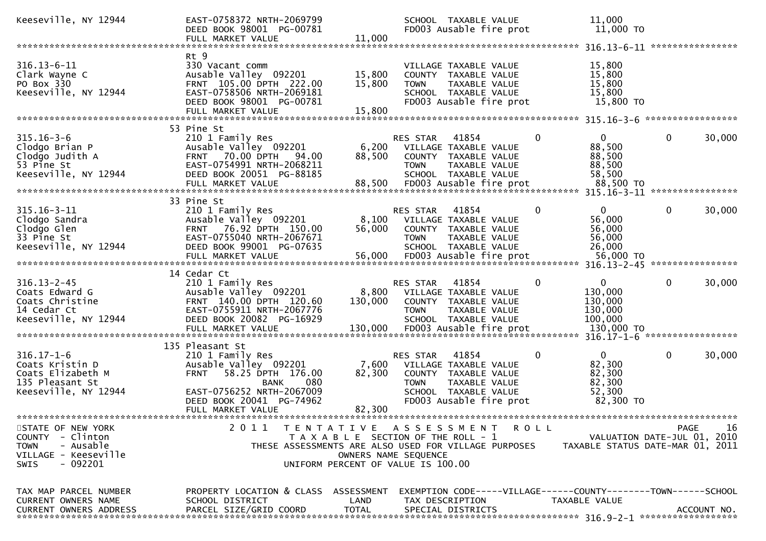| Keeseville, NY 12944                                                                                                     | EAST-0758372 NRTH-2069799<br>DEED BOOK 98001 PG-00781<br>FULL MARKET VALUE                                                                                        | 11,000                      | SCHOOL TAXABLE VALUE<br>FD003 Ausable fire prot                                                                                                                            | 11,000<br>$11,000$ TO                                             |                                                                                      |
|--------------------------------------------------------------------------------------------------------------------------|-------------------------------------------------------------------------------------------------------------------------------------------------------------------|-----------------------------|----------------------------------------------------------------------------------------------------------------------------------------------------------------------------|-------------------------------------------------------------------|--------------------------------------------------------------------------------------|
|                                                                                                                          |                                                                                                                                                                   |                             |                                                                                                                                                                            |                                                                   |                                                                                      |
| $316.13 - 6 - 11$<br>Clark Wayne C<br>PO Box 330<br>Keeseville, NY 12944                                                 | Rt 9<br>330 Vacant comm<br>Ausable Valley 092201<br>FRNT 105.00 DPTH 222.00<br>EAST-0758506 NRTH-2069181<br>DEED BOOK 98001 PG-00781<br>FULL MARKET VALUE         | 15,800<br>15,800<br>15,800  | VILLAGE TAXABLE VALUE<br>COUNTY TAXABLE VALUE<br>TAXABLE VALUE<br><b>TOWN</b><br>SCHOOL TAXABLE VALUE<br>FD003 Ausable fire prot                                           | 15,800<br>15,800<br>15,800<br>15,800<br>15,800 TO                 |                                                                                      |
|                                                                                                                          | 53 Pine St                                                                                                                                                        |                             |                                                                                                                                                                            |                                                                   | *****************                                                                    |
| $315.16 - 3 - 6$<br>Clodgo Brian P<br>Clodgo Judith A<br>53 Pine St<br>Keeseville, NY 12944                              | 210 1 Family Res<br>Ausable Valley 092201<br>70.00 DPTH<br>94.00<br><b>FRNT</b><br>EAST-0754991 NRTH-2068211<br>DEED BOOK 20051 PG-88185                          | 6,200<br>88,500             | $\mathbf 0$<br>RES STAR<br>41854<br>VILLAGE TAXABLE VALUE<br>COUNTY TAXABLE VALUE<br><b>TOWN</b><br>TAXABLE VALUE<br>SCHOOL TAXABLE VALUE                                  | $\mathbf{0}$<br>88,500<br>88,500<br>88,500<br>58,500              | $\mathbf 0$<br>30,000                                                                |
|                                                                                                                          |                                                                                                                                                                   |                             |                                                                                                                                                                            |                                                                   |                                                                                      |
| $315.16 - 3 - 11$<br>Clodgo Sandra<br>Clodgo Glen<br>33 Pine St<br>Keeseville, NY 12944                                  | 33 Pine St<br>210 1 Family Res<br>Ausable Valley 092201<br>FRNT 76.92 DPTH 150.00<br>EAST-0755040 NRTH-2067671<br>DEED BOOK 99001 PG-07635<br>FULL MARKET VALUE   | 8,100<br>56,000<br>56,000   | RES STAR<br>41854<br>0<br>VILLAGE TAXABLE VALUE<br>COUNTY TAXABLE VALUE<br><b>TOWN</b><br>TAXABLE VALUE<br>SCHOOL TAXABLE VALUE<br>FD003 Ausable fire prot                 | $\mathbf{0}$<br>56,000<br>56,000<br>56,000<br>26,000<br>56,000 TO | $\mathbf 0$<br>30,000                                                                |
|                                                                                                                          |                                                                                                                                                                   |                             |                                                                                                                                                                            | $316.13 - 2 - 45$                                                 | ****************                                                                     |
| $316.13 - 2 - 45$<br>Coats Edward G<br>Coats Christine<br>14 Cedar Ct<br>Keeseville, NY 12944                            | 14 Cedar Ct<br>210 1 Family Res<br>Ausable Valley 092201<br>FRNT 140.00 DPTH 120.60<br>EAST-0755911 NRTH-2067776<br>DEED BOOK 20082 PG-16929<br>FULL MARKET VALUE | 8,800<br>130,000<br>130,000 | $\Omega$<br>RES STAR<br>41854<br>VILLAGE TAXABLE VALUE<br>COUNTY TAXABLE VALUE<br><b>TOWN</b><br>TAXABLE VALUE<br>SCHOOL TAXABLE VALUE<br>FD003 Ausable fire prot          | 0<br>130,000<br>130,000<br>130,000<br>100,000<br>130,000 TO       | $\mathbf{0}$<br>30,000<br>*****************                                          |
|                                                                                                                          | 135 Pleasant St                                                                                                                                                   |                             |                                                                                                                                                                            | $316.17 - 1 - 6$                                                  |                                                                                      |
| $316.17 - 1 - 6$<br>Coats Kristin D<br>Coats Elizabeth M<br>135 Pleasant St<br>Keeseville, NY 12944                      | 210 1 Family Res<br>Ausable Valley 092201<br>58.25 DPTH 176.00<br><b>FRNT</b><br>080<br><b>BANK</b><br>EAST-0756252 NRTH-2067009<br>DEED BOOK 20041 PG-74962      | 7,600<br>82,300             | RES STAR<br>41854<br>$\Omega$<br>VILLAGE TAXABLE VALUE<br>COUNTY TAXABLE VALUE<br><b>TOWN</b><br>TAXABLE VALUE<br>SCHOOL TAXABLE VALUE<br>FD003 Ausable fire prot          | $\mathbf{0}$<br>82,300<br>82,300<br>82,300<br>52,300<br>82,300 TO | $\mathbf 0$<br>30,000                                                                |
|                                                                                                                          | FULL MARKET VALUE                                                                                                                                                 | 82,300                      |                                                                                                                                                                            |                                                                   |                                                                                      |
| STATE OF NEW YORK<br>- Clinton<br><b>COUNTY</b><br>- Ausable<br><b>TOWN</b><br>VILLAGE - Keeseville<br>$-092201$<br>SWIS | 2011                                                                                                                                                              | OWNERS NAME SEQUENCE        | TENTATIVE ASSESSMENT<br><b>ROLL</b><br>T A X A B L E SECTION OF THE ROLL - 1<br>THESE ASSESSMENTS ARE ALSO USED FOR VILLAGE PURPOSES<br>UNIFORM PERCENT OF VALUE IS 100.00 |                                                                   | 16<br><b>PAGE</b><br>VALUATION DATE-JUL 01, 2010<br>TAXABLE STATUS DATE-MAR 01, 2011 |
| TAX MAP PARCEL NUMBER<br>CURRENT OWNERS NAME<br><b>CURRENT OWNERS ADDRESS</b>                                            | PROPERTY LOCATION & CLASS ASSESSMENT<br>SCHOOL DISTRICT<br>PARCEL SIZE/GRID COORD                                                                                 | LAND<br><b>TOTAL</b>        | EXEMPTION CODE-----VILLAGE------COUNTY--------TOWN------SCHOOL<br>TAX DESCRIPTION<br>SPECIAL DISTRICTS                                                                     | TAXABLE VALUE                                                     | ACCOUNT NO.                                                                          |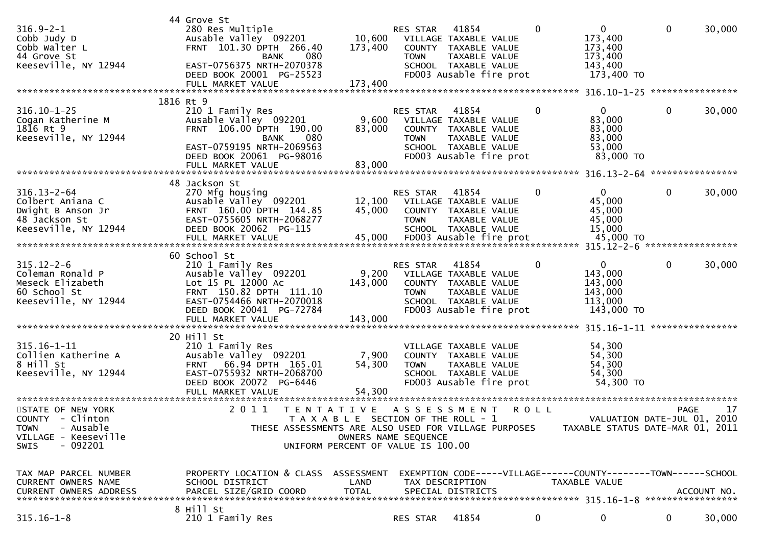|                                                                                                                       | 44 Grove St                                                                                                                                                                           |                                                            |                                |                                                                                                                                   |              |                                                                          |              |             |
|-----------------------------------------------------------------------------------------------------------------------|---------------------------------------------------------------------------------------------------------------------------------------------------------------------------------------|------------------------------------------------------------|--------------------------------|-----------------------------------------------------------------------------------------------------------------------------------|--------------|--------------------------------------------------------------------------|--------------|-------------|
| $316.9 - 2 - 1$<br>Cobb Judy D<br>Cobb Walter L<br>44 Grove St<br>Keeseville, NY 12944                                | 280 Res Multiple<br>Ausable Valley 092201<br>FRNT 101.30 DPTH 266.40<br>080<br><b>BANK</b><br>EAST-0756375 NRTH-2070378<br>DEED BOOK 20001 PG-25523<br>FULL MARKET VALUE              | 173,400<br>173,400                                         | RES STAR<br><b>TOWN</b>        | 41854<br>10,600 VILLAGE TAXABLE VALUE<br>COUNTY TAXABLE VALUE<br>TAXABLE VALUE<br>SCHOOL TAXABLE VALUE<br>FD003 Ausable fire prot | $\mathbf{0}$ | 0<br>173,400<br>173,400<br>173,400<br>143,400<br>173,400 TO              | $\mathbf{0}$ | 30,000      |
|                                                                                                                       |                                                                                                                                                                                       |                                                            |                                |                                                                                                                                   |              |                                                                          |              |             |
| $316.10 - 1 - 25$<br>Cogan Katherine M<br>1816 Rt 9<br>Keeseville, NY 12944                                           | 1816 Rt 9<br>210 1 Family Res<br>Ausable Valley 092201<br>FRNT 106.00 DPTH 190.00<br><b>BANK</b><br>080<br>EAST-0759195 NRTH-2069563<br>DEED BOOK 20061 PG-98016<br>FULL MARKET VALUE | 83,000<br>83,000                                           | <b>RES STAR</b><br><b>TOWN</b> | 41854<br>9,600 VILLAGE TAXABLE VALUE<br>COUNTY TAXABLE VALUE<br>TAXABLE VALUE<br>SCHOOL TAXABLE VALUE<br>FD003 Ausable fire prot  | 0            | $\overline{0}$<br>83,000<br>83,000<br>83,000<br>53,000<br>83,000 TO      | 0            | 30,000      |
|                                                                                                                       |                                                                                                                                                                                       |                                                            |                                |                                                                                                                                   |              |                                                                          |              |             |
| $316.13 - 2 - 64$<br>Colbert Aniana C<br>Dwight B Anson Jr<br>48 Jackson St<br>Keeseville, NY 12944                   | 48 Jackson St<br>270 Mfg housing<br>Ausable Valley <sup>o</sup> 092201<br>FRNT 160.00 DPTH 144.85<br>EAST-0755605 NRTH-2068277<br>DEED BOOK 20062 PG-115<br>FULL MARKET VALUE         | 45,000<br>45,000                                           | <b>RES STAR</b><br><b>TOWN</b> | 41854<br>12,100 VILLAGE TAXABLE VALUE<br>COUNTY TAXABLE VALUE<br>TAXABLE VALUE<br>SCHOOL TAXABLE VALUE<br>FD003 Ausable fire prot | $\Omega$     | $\mathbf{0}$<br>45,000<br>45,000<br>45,000<br>15,000<br>45,000 TO        | $\mathbf{0}$ | 30,000      |
|                                                                                                                       | 60 School St                                                                                                                                                                          |                                                            |                                |                                                                                                                                   |              |                                                                          |              |             |
| $315.12 - 2 - 6$<br>Coleman Ronald P<br>Meseck Elizabeth<br>60 School St<br>Keeseville, NY 12944                      | 210 1 Family Res<br>Ausable Valley 092201<br>Lot 15 PL 12000 Ac<br>FRNT 150.82 DPTH 111.10<br>EAST-0754466 NRTH-2070018<br>DEED BOOK 20041 PG-72784<br>FULL MARKET VALUE              | 143,000<br>143,000                                         | RES STAR<br><b>TOWN</b>        | 41854<br>9,200 VILLAGE TAXABLE VALUE<br>COUNTY TAXABLE VALUE<br>TAXABLE VALUE<br>SCHOOL TAXABLE VALUE<br>FD003 Ausable fire prot  | 0            | $\overline{0}$<br>143,000<br>143,000<br>143,000<br>113,000<br>143,000 TO | 0            | 30,000      |
|                                                                                                                       | 20 Hill St                                                                                                                                                                            |                                                            |                                |                                                                                                                                   |              |                                                                          |              |             |
| $315.16 - 1 - 11$<br>Collien Katherine A<br>8 Hill St<br>Keeseville, NY 12944                                         | 210 1 Family Res<br>Ausable Valley 092201<br>FRNT 66.94 DPTH 165.01<br>EAST-0755932 NRTH-2068700<br>DEED BOOK 20072 PG-6446<br>FULL MARKET VALUE                                      | 7,900<br>54,300<br>54,300<br>**************                | <b>TOWN</b>                    | VILLAGE TAXABLE VALUE<br>COUNTY TAXABLE VALUE<br>TAXABLE VALUE<br>SCHOOL TAXABLE VALUE<br>FD003 Ausable fire prot                 |              | 54,300<br>54,300<br>54,300<br>54,300<br>54,300 TO                        |              |             |
| STATE OF NEW YORK<br>COUNTY - Clinton<br>- Ausable<br><b>TOWN</b><br>VILLAGE - Keeseville<br>$-092201$<br><b>SWIS</b> | 2011<br>T E N T A T I V E<br>THESE ASSESSMENTS ARE ALSO USED FOR VILLAGE PURPOSES                                                                                                     | OWNERS NAME SEQUENCE<br>UNIFORM PERCENT OF VALUE IS 100.00 |                                | A S S E S S M E N T<br>T A X A B L E SECTION OF THE ROLL - 1                                                                      | <b>ROLL</b>  | VALUATION DATE-JUL 01, 2010<br>TAXABLE STATUS DATE-MAR 01, 2011          | <b>PAGE</b>  | 17          |
| TAX MAP PARCEL NUMBER<br><b>CURRENT OWNERS NAME</b><br>CURRENT OWNERS ADDRESS                                         | PROPERTY LOCATION & CLASS ASSESSMENT<br>SCHOOL DISTRICT<br>PARCEL SIZE/GRID COORD                                                                                                     | LAND<br><b>TOTAL</b>                                       |                                | EXEMPTION CODE-----VILLAGE------COUNTY-------TOWN------SCHOOL<br>TAX DESCRIPTION<br>SPECIAL DISTRICTS                             |              | TAXABLE VALUE                                                            |              | ACCOUNT NO. |
| $315.16 - 1 - 8$                                                                                                      | 8 Hill St<br>210 1 Family Res                                                                                                                                                         |                                                            | RES STAR                       | 41854                                                                                                                             | 0            | 0                                                                        | 0            | 30,000      |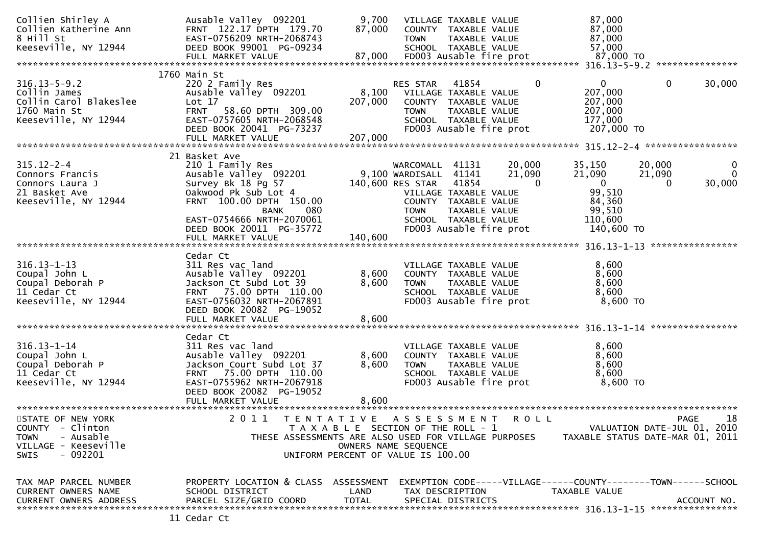| Collien Shirley A<br>Collien Katherine Ann<br>8 Hill St<br>Keeseville, NY 12944                                | Ausable Valley 092201<br>FRNT 122.17 DPTH 179.70<br>EAST-0756209 NRTH-2068743<br>DEED BOOK 99001 PG-09234<br>FULL MARKET VALUE                                                             | 9,700<br>87,000<br>87,000 | <b>TOWN</b>                                                                 | VILLAGE TAXABLE VALUE<br>COUNTY TAXABLE VALUE<br>TAXABLE VALUE<br>SCHOOL TAXABLE VALUE<br>FD003 Ausable fire prot |                              | 87,000<br>87,000<br>87,000<br>57,000<br>87,000 TO                              |                              |                                                  |
|----------------------------------------------------------------------------------------------------------------|--------------------------------------------------------------------------------------------------------------------------------------------------------------------------------------------|---------------------------|-----------------------------------------------------------------------------|-------------------------------------------------------------------------------------------------------------------|------------------------------|--------------------------------------------------------------------------------|------------------------------|--------------------------------------------------|
|                                                                                                                |                                                                                                                                                                                            |                           |                                                                             |                                                                                                                   |                              |                                                                                |                              |                                                  |
| $316.13 - 5 - 9.2$<br>Collin James<br>Collin Carol Blakeslee<br>1760 Main St<br>Keeseville, NY 12944           | 1760 Main St<br>220 2 Family Res<br>Ausable Valley 092201<br>Lot 17<br><b>FRNT</b><br>58.60 DPTH 309.00<br>EAST-0757605 NRTH-2068548<br>DEED BOOK 20041 PG-73237<br>FULL MARKET VALUE      | 207,000<br>207,000        | RES STAR<br>8,100 VILLAGE TAXABLE VALUE<br><b>TOWN</b>                      | 41854<br>COUNTY TAXABLE VALUE<br>TAXABLE VALUE<br>SCHOOL TAXABLE VALUE<br>FD003 Ausable fire prot                 | 0                            | 0<br>207,000<br>207,000<br>207,000<br>177,000<br>207,000 TO                    | $\mathbf{0}$                 | 30,000                                           |
|                                                                                                                |                                                                                                                                                                                            |                           |                                                                             |                                                                                                                   |                              |                                                                                |                              |                                                  |
| $315.12 - 2 - 4$<br>Connors Francis<br>Connors Laura J<br>21 Basket Ave<br>Keeseville, NY 12944                | 21 Basket Ave<br>210 1 Family Res<br>Ausable Valley 092201<br>Survey Bk 18 Pg 57<br>Oakwood Pk Sub Lot 4<br>FRNT 100.00 DPTH 150.00<br>080<br><b>BANK</b>                                  |                           | WARCOMALL 41131<br>9,100 WARDISALL 41141<br>140,600 RES STAR<br><b>TOWN</b> | 41854<br>VILLAGE TAXABLE VALUE<br>COUNTY TAXABLE VALUE<br>TAXABLE VALUE                                           | 20,000<br>21,090<br>$\Omega$ | 35,150<br>21,090<br>$\mathbf{0}$<br>99,510<br>84,360<br>99,510                 | 20,000<br>21,090<br>$\Omega$ | $\bf{0}$<br>$\mathbf{0}$<br>30,000               |
|                                                                                                                | EAST-0754666 NRTH-2070061<br>DEED BOOK 20011 PG-35772                                                                                                                                      |                           |                                                                             | SCHOOL TAXABLE VALUE<br>FD003 Ausable fire prot                                                                   |                              | 110,600<br>140,600 TO                                                          |                              |                                                  |
|                                                                                                                | FULL MARKET VALUE                                                                                                                                                                          | 140,600                   |                                                                             |                                                                                                                   |                              |                                                                                |                              | ****************                                 |
| $316.13 - 1 - 13$<br>Coupal John L<br>Coupal Deborah P<br>11 Cedar Ct<br>Keeseville, NY 12944                  | Cedar Ct<br>311 Res vac land<br>Ausable Valley 092201<br>Jackson Ct Subd Lot 39<br>FRNT 75.00 DPTH 110.00<br>EAST-0756032 NRTH-2067891<br>DEED BOOK 20082 PG-19052<br>FULL MARKET VALUE    | 8,600<br>8,600<br>8,600   | <b>TOWN</b>                                                                 | VILLAGE TAXABLE VALUE<br>COUNTY TAXABLE VALUE<br>TAXABLE VALUE<br>SCHOOL TAXABLE VALUE<br>FD003 Ausable fire prot |                              | 8,600<br>8,600<br>8,600<br>8,600<br>8,600 TO                                   |                              |                                                  |
| $316.13 - 1 - 14$<br>Coupal John L<br>Coupal Deborah P<br>11 Cedar Ct<br>Keeseville, NY 12944                  | Cedar Ct<br>311 Res vac land<br>Ausable Valley 092201<br>Jackson Court Subd Lot 37<br>FRNT 75.00 DPTH 110.00<br>EAST-0755962 NRTH-2067918<br>DEED BOOK 20082 PG-19052<br>FULL MARKET VALUE | 8,600<br>8,600<br>8,600   | <b>TOWN</b>                                                                 | VILLAGE TAXABLE VALUE<br>COUNTY TAXABLE VALUE<br>TAXABLE VALUE<br>SCHOOL TAXABLE VALUE<br>FD003 Ausable fire prot |                              | 8,600<br>8,600<br>8,600<br>8,600<br>$8,600$ TO                                 |                              |                                                  |
| STATE OF NEW YORK<br>COUNTY - Clinton<br>- Ausable<br><b>TOWN</b><br>VILLAGE - Keeseville<br>$-092201$<br>SWIS | 2 0 1 1<br>TENTATIVE ASSESSMENT<br>THESE ASSESSMENTS ARE ALSO USED FOR VILLAGE PURPOSES<br>UNIFORM PERCENT OF VALUE IS 100.00                                                              |                           | T A X A B L E SECTION OF THE ROLL - 1<br>OWNERS NAME SEQUENCE               |                                                                                                                   | R O L L                      | TAXABLE STATUS DATE-MAR 01, 2011                                               |                              | 18<br><b>PAGE</b><br>VALUATION DATE-JUL 01, 2010 |
| TAX MAP PARCEL NUMBER<br>CURRENT OWNERS NAME<br><b>CURRENT OWNERS ADDRESS</b>                                  | PROPERTY LOCATION & CLASS ASSESSMENT<br>SCHOOL DISTRICT<br>PARCEL SIZE/GRID COORD<br>11 Cedar Ct                                                                                           | LAND<br><b>TOTAL</b>      |                                                                             | TAX DESCRIPTION<br>SPECIAL DISTRICTS                                                                              |                              | EXEMPTION CODE-----VILLAGE------COUNTY-------TOWN------SCHOOL<br>TAXABLE VALUE |                              | ACCOUNT NO.                                      |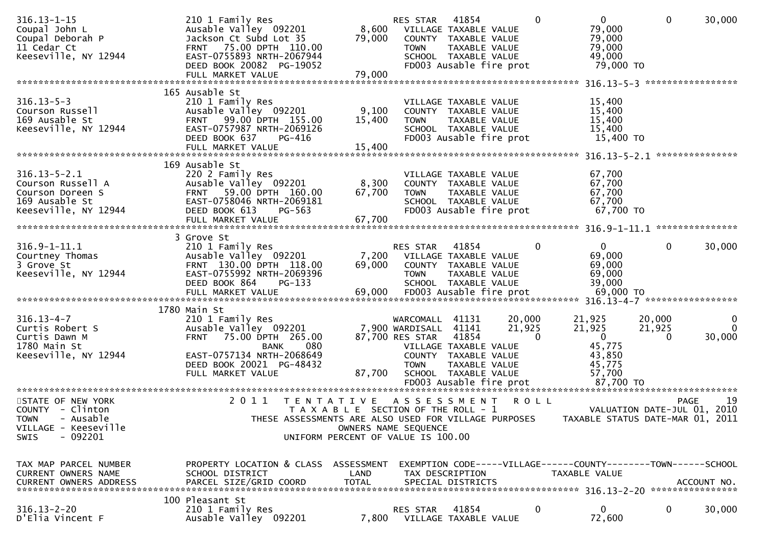| $316.13 - 1 - 15$<br>Coupal John L<br>Coupal Deborah P<br>11 Cedar Ct<br>Keeseville, NY 12944                                   | 210 1 Family Res<br>Ausable Valley 092201<br>Jackson Ct Subd Lot 35<br>FRNT 75.00 DPTH 110.00<br>EAST-0755893 NRTH-2067944<br>DEED BOOK 20082 PG-19052<br>FULL MARKET VALUE | 79,000<br>79,000     | RES STAR<br>8,600 VILLAGE TAXABLE VALUE<br><b>TOWN</b>                               | 41854<br>COUNTY TAXABLE VALUE<br>TAXABLE VALUE<br>SCHOOL TAXABLE VALUE<br>FD003 Ausable fire prot                 | $\Omega$                     | $\overline{0}$<br>79,000<br>79,000<br>79,000<br>49,000<br>79,000 TO             | $\mathbf{0}$                               | 30,000                         |
|---------------------------------------------------------------------------------------------------------------------------------|-----------------------------------------------------------------------------------------------------------------------------------------------------------------------------|----------------------|--------------------------------------------------------------------------------------|-------------------------------------------------------------------------------------------------------------------|------------------------------|---------------------------------------------------------------------------------|--------------------------------------------|--------------------------------|
|                                                                                                                                 |                                                                                                                                                                             |                      |                                                                                      |                                                                                                                   |                              |                                                                                 |                                            |                                |
| $316.13 - 5 - 3$<br>Courson Russell<br>169 Ausable St<br>Keeseville, NY 12944                                                   | 165 Ausable St<br>210 1 Family Res<br>Ausable Valley 092201<br>FRNT 99.00 DPTH 155.00<br>EAST-0757987 NRTH-2069126<br>DEED BOOK 637<br>PG-416                               | 9,100<br>15,400      | <b>TOWN</b>                                                                          | VILLAGE TAXABLE VALUE<br>COUNTY TAXABLE VALUE<br>TAXABLE VALUE<br>SCHOOL TAXABLE VALUE<br>FD003 Ausable fire prot |                              | 15,400<br>15,400<br>15,400<br>15,400<br>15,400 TO                               |                                            |                                |
|                                                                                                                                 |                                                                                                                                                                             |                      |                                                                                      |                                                                                                                   |                              |                                                                                 |                                            |                                |
| $316.13 - 5 - 2.1$<br>Courson Russell A<br>Courson Doreen S<br>169 Ausable St<br>Keeseville, NY 12944                           | 169 Ausable St<br>220 2 Family Res<br>Ausable Valley 092201<br>FRNT 59.00 DPTH 160.00<br>EAST-0758046 NRTH-2069181<br>DEED BOOK 613<br>PG-563                               | 8,300<br>67,700      | <b>TOWN</b>                                                                          | VILLAGE TAXABLE VALUE<br>COUNTY TAXABLE VALUE<br>TAXABLE VALUE<br>SCHOOL TAXABLE VALUE<br>FD003 Ausable fire prot |                              | 67,700<br>67,700<br>67,700<br>67,700<br>67,700 TO                               |                                            |                                |
|                                                                                                                                 |                                                                                                                                                                             |                      |                                                                                      |                                                                                                                   |                              |                                                                                 |                                            |                                |
| $316.9 - 1 - 11.1$<br>Courtney Thomas<br>3 Grove St<br>Keeseville, NY 12944                                                     | 3 Grove St<br>210 1 Family Res<br>Ausable Valley 092201<br>FRNT 130.00 DPTH 118.00<br>EAST-0755992 NRTH-2069396<br>DEED BOOK 864<br>$PG-133$                                | 69,000               | RES STAR<br>7,200 VILLAGE TAXABLE VALUE<br><b>TOWN</b>                               | 41854<br>COUNTY TAXABLE VALUE<br>TAXABLE VALUE<br>SCHOOL TAXABLE VALUE                                            | $\mathbf{0}$                 | $\mathbf{0}$<br>69,000<br>69,000<br>69,000<br>39,000                            | $\mathbf{0}$                               | 30,000                         |
|                                                                                                                                 | 1780 Main St                                                                                                                                                                |                      |                                                                                      |                                                                                                                   |                              |                                                                                 |                                            |                                |
| $316.13 - 4 - 7$<br>Curtis Robert S<br>Curtis Dawn M<br>1780 Main St<br>Keeseville, NY 12944                                    | 210 1 Family Res<br>Ausable Valley 092201<br>75.00 DPTH 265.00<br><b>FRNT</b><br>BANK<br>080<br>EAST-0757134 NRTH-2068649<br>DEED BOOK 20021 PG-48432<br>FULL MARKET VALUE  | 87,700               | WARCOMALL 41131<br>7,900 WARDISALL<br>87,700 RES STAR<br><b>TOWN</b>                 | 41141<br>41854<br>VILLAGE TAXABLE VALUE<br>COUNTY TAXABLE VALUE<br>TAXABLE VALUE<br>SCHOOL TAXABLE VALUE          | 20,000<br>21,925<br>$\Omega$ | 21,925<br>21,925<br>$\overline{0}$<br>45,775<br>43,850<br>45,775<br>57,700      | 20,000<br>21,925<br>$\Omega$               | $\bf{0}$<br>$\Omega$<br>30,000 |
| STATE OF NEW YORK<br><b>COUNTY</b><br>- Clinton<br>- Ausable<br><b>TOWN</b><br>VILLAGE - Keeseville<br>$-092201$<br><b>SWIS</b> | T E N T A T I V E<br>2011<br>THESE ASSESSMENTS ARE ALSO USED FOR VILLAGE PURPOSES<br>UNIFORM PERCENT OF VALUE IS 100.00                                                     |                      | A S S E S S M E N T<br>T A X A B L E SECTION OF THE ROLL - 1<br>OWNERS NAME SEQUENCE |                                                                                                                   | <b>ROLL</b>                  | TAXABLE STATUS DATE-MAR 01, 2011                                                | <b>PAGE</b><br>VALUATION DATE-JUL 01, 2010 | 19                             |
| TAX MAP PARCEL NUMBER<br>CURRENT OWNERS NAME<br>CURRENT OWNERS ADDRESS                                                          | PROPERTY LOCATION & CLASS ASSESSMENT<br>SCHOOL DISTRICT<br>PARCEL SIZE/GRID COORD                                                                                           | LAND<br><b>TOTAL</b> |                                                                                      | TAX DESCRIPTION<br>SPECIAL DISTRICTS                                                                              |                              | EXEMPTION CODE-----VILLAGE------COUNTY--------TOWN------SCHOOL<br>TAXABLE VALUE |                                            | ACCOUNT NO.                    |
| $316.13 - 2 - 20$<br>D'Elia Vincent F                                                                                           | 100 Pleasant St<br>210 1 Family Res<br>Ausable Valley 092201                                                                                                                | 7,800                | RES STAR                                                                             | 41854<br>VILLAGE TAXABLE VALUE                                                                                    | 0                            | 0<br>72,600                                                                     | 0                                          | 30,000                         |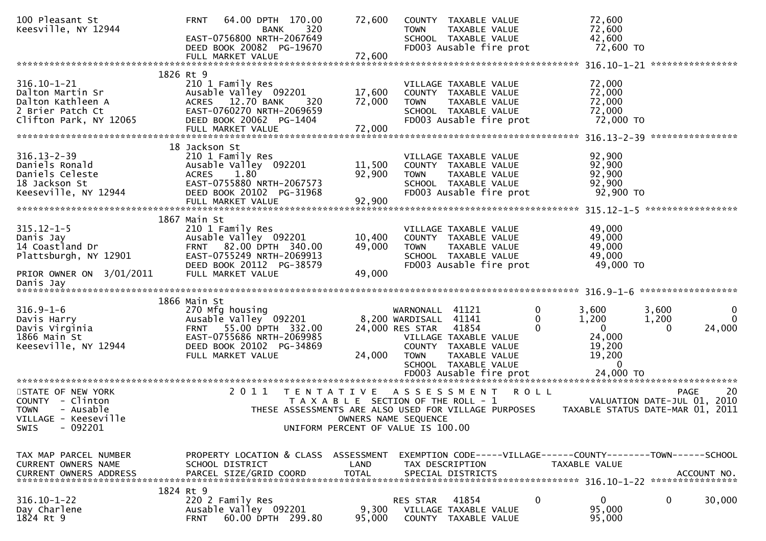| 100 Pleasant St<br>Keesville, NY 12944                                                                                | <b>FRNT</b><br>64.00 DPTH 170.00<br>320<br>BANK<br>EAST-0756800 NRTH-2067649<br>DEED BOOK 20082 PG-19670<br>FULL MARKET VALUE                                    | 72,600<br>72,600                                                                                 | <b>TOWN</b>                                                                | COUNTY TAXABLE VALUE<br><b>TAXABLE VALUE</b><br>SCHOOL TAXABLE VALUE<br>FD003 Ausable fire prot                            |                    | 72,600<br>72,600<br>42,600<br>72,600 TO                                                    |                                                                                      |
|-----------------------------------------------------------------------------------------------------------------------|------------------------------------------------------------------------------------------------------------------------------------------------------------------|--------------------------------------------------------------------------------------------------|----------------------------------------------------------------------------|----------------------------------------------------------------------------------------------------------------------------|--------------------|--------------------------------------------------------------------------------------------|--------------------------------------------------------------------------------------|
|                                                                                                                       |                                                                                                                                                                  |                                                                                                  |                                                                            |                                                                                                                            |                    |                                                                                            |                                                                                      |
| $316.10 - 1 - 21$<br>Dalton Martin Sr<br>Dalton Kathleen A<br>2 Brier Patch Ct<br>Clifton Park, NY 12065              | 1826 Rt 9<br>210 1 Family Res<br>Ausable Valley 092201<br>ACRES 12.70 BANK<br>320<br>EAST-0760270 NRTH-2069659<br>DEED BOOK 20062 PG-1404                        | 17,600<br>72,000                                                                                 | <b>TOWN</b>                                                                | VILLAGE TAXABLE VALUE<br>COUNTY TAXABLE VALUE<br>TAXABLE VALUE<br>SCHOOL TAXABLE VALUE<br>FD003 Ausable fire prot          |                    | 72,000<br>72,000<br>72,000<br>72,000<br>72,000 TO                                          |                                                                                      |
|                                                                                                                       |                                                                                                                                                                  |                                                                                                  |                                                                            |                                                                                                                            |                    |                                                                                            |                                                                                      |
| $316.13 - 2 - 39$<br>Daniels Ronald<br>Daniels Celeste<br>18 Jackson St<br>Keeseville, NY 12944                       | 18 Jackson St<br>210 1 Family Res<br>Ausable Valley 092201<br>1.80<br>ACRES<br>EAST-0755880 NRTH-2067573<br>DEED BOOK 20102 PG-31968<br>FULL MARKET VALUE        | 11,500<br>92,900<br>92,900                                                                       | <b>TOWN</b>                                                                | VILLAGE TAXABLE VALUE<br>COUNTY TAXABLE VALUE<br>TAXABLE VALUE<br>SCHOOL TAXABLE VALUE<br>FD003 Ausable fire prot          |                    | 92,900<br>92,900<br>92,900<br>92,900<br>92,900 TO                                          |                                                                                      |
| $315.12 - 1 - 5$<br>Danis Jay<br>14 Coastland Dr<br>Plattsburgh, NY 12901                                             | 1867 Main St<br>210 1 Family Res<br>Ausable Valley 092201<br>FRNT 82.00 DPTH 340.00<br>EAST-0755249 NRTH-2069913<br>DEED BOOK 20112 PG-38579                     | 10,400<br>49,000                                                                                 | <b>TOWN</b>                                                                | VILLAGE TAXABLE VALUE<br>COUNTY TAXABLE VALUE<br>TAXABLE VALUE<br>SCHOOL TAXABLE VALUE<br>FD003 Ausable fire prot          |                    | 49,000<br>49,000<br>49,000<br>49,000<br>49,000 TO                                          |                                                                                      |
| PRIOR OWNER ON 3/01/2011<br>Danis Jay                                                                                 | FULL MARKET VALUE                                                                                                                                                | 49,000                                                                                           |                                                                            |                                                                                                                            |                    |                                                                                            |                                                                                      |
| *********************                                                                                                 |                                                                                                                                                                  |                                                                                                  |                                                                            |                                                                                                                            |                    |                                                                                            |                                                                                      |
| $316.9 - 1 - 6$<br>Davis Harry<br>Davis Virginia<br>1866 Main St<br>Keeseville, NY 12944                              | 1866 Main St<br>270 Mfg housing<br>Ausable Valley 092201<br>FRNT 55.00 DPTH 332.00<br>EAST-0755686 NRTH-2069985<br>DEED BOOK 20102 PG-34869<br>FULL MARKET VALUE | 24,000                                                                                           | WARNONALL 41121<br>8,200 WARDISALL 41141<br>24,000 RES STAR<br><b>TOWN</b> | 41854<br>VILLAGE TAXABLE VALUE<br>COUNTY TAXABLE VALUE<br>TAXABLE VALUE<br>SCHOOL TAXABLE VALUE<br>FD003 Ausable fire prot | 0<br>0<br>$\Omega$ | 3,600<br>1,200<br>$\overline{0}$<br>24,000<br>19,200<br>19,200<br>$\mathbf 0$<br>24,000 TO | 3,600<br>0<br>$\mathbf 0$<br>1,200<br>24,000<br>$\Omega$                             |
| STATE OF NEW YORK<br>COUNTY - Clinton<br>- Ausable<br><b>TOWN</b><br>VILLAGE - Keeseville<br>$-092201$<br><b>SWIS</b> | 2 0 1 1<br>THESE ASSESSMENTS ARE ALSO USED FOR VILLAGE PURPOSES                                                                                                  | T E N T A T I V E<br>T A X A B L E SECTION OF THE ROLL - 1<br>UNIFORM PERCENT OF VALUE IS 100.00 | OWNERS NAME SEQUENCE                                                       | A S S E S S M E N T                                                                                                        | <b>ROLL</b>        |                                                                                            | 20<br><b>PAGE</b><br>VALUATION DATE-JUL 01, 2010<br>TAXABLE STATUS DATE-MAR 01, 2011 |
| TAX MAP PARCEL NUMBER<br>CURRENT OWNERS NAME<br><b>CURRENT OWNERS ADDRESS</b>                                         | PROPERTY LOCATION & CLASS ASSESSMENT<br>SCHOOL DISTRICT<br>PARCEL SIZE/GRID COORD                                                                                | LAND<br><b>TOTAL</b>                                                                             |                                                                            | TAX DESCRIPTION<br>SPECIAL DISTRICTS                                                                                       |                    | TAXABLE VALUE                                                                              | EXEMPTION CODE-----VILLAGE------COUNTY-------TOWN------SCHOOL<br>ACCOUNT NO.         |
| $316.10 - 1 - 22$<br>Day Charlene<br>1824 Rt 9                                                                        | 1824 Rt 9<br>220 2 Family Res<br>Ausable Valley 092201<br>60.00 DPTH 299.80<br><b>FRNT</b>                                                                       | 9,300<br>95,000                                                                                  | RES STAR<br>COUNTY                                                         | 41854<br>VILLAGE TAXABLE VALUE<br>TAXABLE VALUE                                                                            | 0                  | 0<br>95,000<br>95,000                                                                      | 0<br>30,000                                                                          |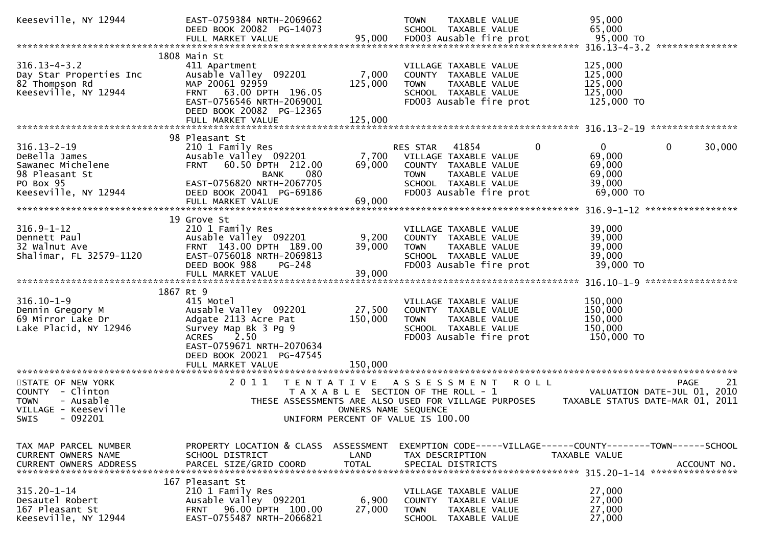| Keeseville, NY 12944                     | EAST-0759384 NRTH-2069662<br>DEED BOOK 20082 PG-14073<br>FULL MARKET VALUE | 95,000       | <b>TOWN</b><br>TAXABLE VALUE<br>SCHOOL TAXABLE VALUE<br>FD003 Ausable fire prot | 95,000<br>65,000<br>95,000 TO    |
|------------------------------------------|----------------------------------------------------------------------------|--------------|---------------------------------------------------------------------------------|----------------------------------|
|                                          |                                                                            |              |                                                                                 |                                  |
|                                          | 1808 Main St                                                               |              |                                                                                 |                                  |
| $316.13 - 4 - 3.2$                       | 411 Apartment                                                              |              | VILLAGE TAXABLE VALUE                                                           | 125,000                          |
| Day Star Properties Inc                  | Ausable Valley 092201                                                      | 7,000        | COUNTY TAXABLE VALUE                                                            | 125,000                          |
| 82 Thompson Rd                           | MAP 20061 92959                                                            | 125,000      | <b>TOWN</b><br>TAXABLE VALUE                                                    | 125,000                          |
| Keeseville, NY 12944                     | FRNT 63.00 DPTH 196.05                                                     |              | SCHOOL TAXABLE VALUE                                                            | 125,000                          |
|                                          | EAST-0756546 NRTH-2069001                                                  |              | FD003 Ausable fire prot                                                         | 125,000 TO                       |
|                                          | DEED BOOK 20082 PG-12365                                                   | 125,000      |                                                                                 |                                  |
|                                          | FULL MARKET VALUE                                                          |              |                                                                                 |                                  |
|                                          | 98 Pleasant St                                                             |              |                                                                                 |                                  |
| $316.13 - 2 - 19$                        | 210 1 Family Res                                                           |              | RES STAR<br>41854<br>0                                                          | 30,000<br>$\mathbf{0}$<br>0      |
| DeBella James                            | Ausable Valley 092201                                                      | 7,700        | VILLAGE TAXABLE VALUE                                                           | 69,000                           |
| Sawanec Michelene                        | <b>FRNT</b><br>60.50 DPTH 212.00                                           | 69,000       | COUNTY TAXABLE VALUE                                                            | 69,000                           |
| 98 Pleasant St                           | 080<br><b>BANK</b>                                                         |              | TAXABLE VALUE<br><b>TOWN</b>                                                    | 69,000                           |
| PO Box 95                                | EAST-0756820 NRTH-2067705                                                  |              | SCHOOL TAXABLE VALUE                                                            | 39,000                           |
| Keeseville, NY 12944                     | DEED BOOK 20041 PG-69186                                                   |              | FD003 Ausable fire prot                                                         | 69,000 TO                        |
|                                          | FULL MARKET VALUE                                                          | 69,000       |                                                                                 |                                  |
|                                          |                                                                            |              |                                                                                 |                                  |
|                                          | 19 Grove St                                                                |              |                                                                                 |                                  |
| $316.9 - 1 - 12$                         | 210 1 Family Res                                                           |              | VILLAGE TAXABLE VALUE                                                           | 39,000                           |
| Dennett Paul                             | Ausable Valley 092201                                                      | 9,200        | COUNTY TAXABLE VALUE                                                            | 39,000                           |
| 32 Walnut Ave                            | FRNT 143.00 DPTH 189.00                                                    | 39,000       | TAXABLE VALUE<br><b>TOWN</b>                                                    | 39,000                           |
| Shalimar, FL 32579-1120                  | EAST-0756018 NRTH-2069813                                                  |              | SCHOOL TAXABLE VALUE                                                            | 39,000                           |
|                                          | DEED BOOK 988<br>$PG-248$                                                  |              | FD003 Ausable fire prot                                                         | 39,000 TO                        |
|                                          |                                                                            |              |                                                                                 |                                  |
|                                          | 1867 Rt 9                                                                  |              |                                                                                 |                                  |
| $316.10 - 1 - 9$                         | 415 Motel                                                                  |              | VILLAGE TAXABLE VALUE                                                           | 150,000                          |
| Dennin Gregory M                         | Ausable Valley 092201                                                      | 27,500       | COUNTY TAXABLE VALUE                                                            | 150,000                          |
| 69 Mirror Lake Dr                        | Adgate 2113 Acre Pat                                                       | 150,000      | <b>TOWN</b><br>TAXABLE VALUE                                                    | 150,000                          |
| Lake Placid, NY 12946                    | Survey Map Bk 3 Pg 9                                                       |              | SCHOOL TAXABLE VALUE                                                            | 150,000                          |
|                                          | 2.50<br><b>ACRES</b>                                                       |              | FD003 Ausable fire prot                                                         | 150,000 TO                       |
|                                          | EAST-0759671 NRTH-2070634                                                  |              |                                                                                 |                                  |
|                                          | DEED BOOK 20021 PG-47545                                                   |              |                                                                                 |                                  |
|                                          | FULL MARKET VALUE                                                          | 150,000      |                                                                                 |                                  |
|                                          |                                                                            |              |                                                                                 |                                  |
| STATE OF NEW YORK                        | 2011<br>T E N T A T I V E                                                  |              | ASSESSMENT ROLL                                                                 | <b>PAGE</b><br>21                |
| COUNTY - Clinton                         |                                                                            |              | T A X A B L E SECTION OF THE ROLL - 1                                           | VALUATION DATE-JUL 01, 2010      |
| <b>TOWN</b><br>- Ausable                 |                                                                            |              | THESE ASSESSMENTS ARE ALSO USED FOR VILLAGE PURPOSES                            | TAXABLE STATUS DATE-MAR 01, 2011 |
| VILLAGE - Keeseville<br>SWIS<br>- 092201 |                                                                            |              | OWNERS NAME SEQUENCE<br>UNIFORM PERCENT OF VALUE IS 100.00                      |                                  |
|                                          |                                                                            |              |                                                                                 |                                  |
|                                          |                                                                            |              |                                                                                 |                                  |
| TAX MAP PARCEL NUMBER                    | PROPERTY LOCATION & CLASS                                                  | ASSESSMENT   | EXEMPTION CODE-----VILLAGE------COUNTY--------TOWN------SCHOOL                  |                                  |
| CURRENT OWNERS NAME                      | SCHOOL DISTRICT                                                            | LAND         | TAX DESCRIPTION                                                                 | TAXABLE VALUE                    |
| <b>CURRENT OWNERS ADDRESS</b>            | PARCEL SIZE/GRID COORD                                                     | <b>TOTAL</b> | SPECIAL DISTRICTS                                                               | ACCOUNT NO.                      |
|                                          |                                                                            |              |                                                                                 |                                  |
|                                          | 167 Pleasant St                                                            |              |                                                                                 |                                  |
| $315.20 - 1 - 14$                        | 210 1 Family Res                                                           |              | VILLAGE TAXABLE VALUE                                                           | 27,000                           |
| Desautel Robert                          | Ausable Valley 092201                                                      | 6,900        | COUNTY TAXABLE VALUE                                                            | 27,000                           |
| 167 Pleasant St<br>Keeseville, NY 12944  | 96.00 DPTH 100.00<br><b>FRNT</b>                                           | 27,000       | <b>TOWN</b><br>TAXABLE VALUE                                                    | 27,000<br>27,000                 |
|                                          | EAST-0755487 NRTH-2066821                                                  |              | SCHOOL TAXABLE VALUE                                                            |                                  |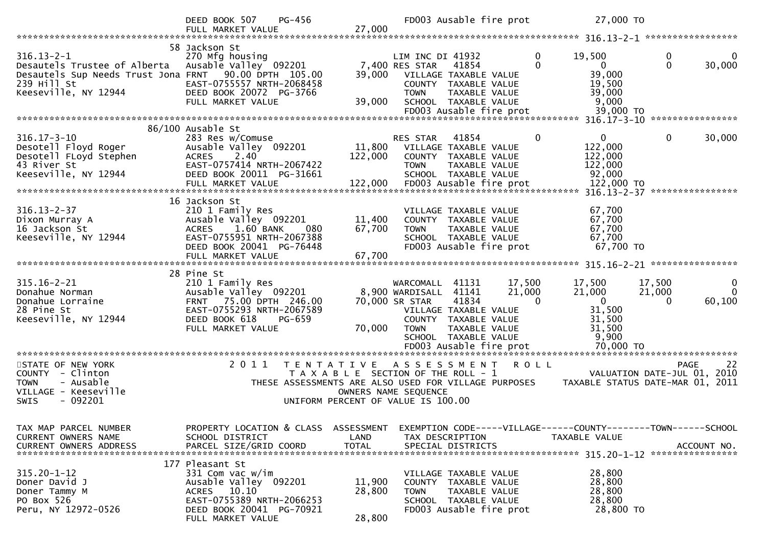|                                                                                                                                                  | PG-456<br>DEED BOOK 507<br>FULL MARKET VALUE                                                                                                                                 | 27,000                     |                                                                                                                   | FD003 Ausable fire prot                                                                                                               | 27,000 TO                                                                          |                                                                               |
|--------------------------------------------------------------------------------------------------------------------------------------------------|------------------------------------------------------------------------------------------------------------------------------------------------------------------------------|----------------------------|-------------------------------------------------------------------------------------------------------------------|---------------------------------------------------------------------------------------------------------------------------------------|------------------------------------------------------------------------------------|-------------------------------------------------------------------------------|
|                                                                                                                                                  |                                                                                                                                                                              |                            |                                                                                                                   |                                                                                                                                       |                                                                                    |                                                                               |
| $316.13 - 2 - 1$<br>Desautels Trustee of Alberta<br>Desautels Sup Needs Trust Jona FRNT 90.00 DPTH 105.00<br>239 Hill St<br>Keeseville, NY 12944 | 58 Jackson St<br>270 Mfg housing<br>Ausable Valley 092201<br>EAST-0755557 NRTH-2068458<br>DEED BOOK 20072 PG-3766                                                            | 39,000                     | LIM INC DI 41932<br>7,400 RES STAR<br><b>TOWN</b>                                                                 | 41854<br>VILLAGE TAXABLE VALUE<br>COUNTY TAXABLE VALUE<br>TAXABLE VALUE                                                               | $\mathbf 0$<br>19,500<br>$\Omega$<br>39,000<br>19,500<br>39,000                    | 0<br>$\Omega$<br>30,000                                                       |
|                                                                                                                                                  | FULL MARKET VALUE                                                                                                                                                            | 39,000                     |                                                                                                                   | SCHOOL TAXABLE VALUE                                                                                                                  | 9,000                                                                              |                                                                               |
|                                                                                                                                                  |                                                                                                                                                                              |                            |                                                                                                                   | FD003 Ausable fire prot                                                                                                               | 39,000 TO                                                                          |                                                                               |
|                                                                                                                                                  |                                                                                                                                                                              |                            |                                                                                                                   |                                                                                                                                       |                                                                                    |                                                                               |
| $316.17 - 3 - 10$<br>Desotell Floyd Roger<br>Desotell FLoyd Stephen<br>43 River St<br>Keeseville, NY 12944                                       | 86/100 Ausable St<br>283 Res w/Comuse<br>Ausable Valley 092201<br><b>ACRES</b><br>2.40<br>EAST-0757414 NRTH-2067422<br>DEED BOOK 20011 PG-31661                              | 11,800<br>122,000          | RES STAR<br><b>TOWN</b>                                                                                           | 41854<br>VILLAGE TAXABLE VALUE<br>COUNTY TAXABLE VALUE<br>TAXABLE VALUE<br>SCHOOL TAXABLE VALUE                                       | $\mathbf{0}$<br>$\mathbf{0}$<br>122,000<br>122,000<br>122,000<br>92,000            | 0<br>30,000                                                                   |
|                                                                                                                                                  |                                                                                                                                                                              |                            |                                                                                                                   |                                                                                                                                       |                                                                                    |                                                                               |
| $316.13 - 2 - 37$<br>Dixon Murray A<br>16 Jackson St<br>Keeseville, NY 12944                                                                     | 16 Jackson St<br>210 1 Family Res<br>Ausable Valley 092201<br>1.60 BANK<br><b>ACRES</b><br>080<br>EAST-0755951 NRTH-2067388<br>DEED BOOK 20041 PG-76448<br>FULL MARKET VALUE | 11,400<br>67,700<br>67,700 | <b>TOWN</b>                                                                                                       | VILLAGE TAXABLE VALUE<br>COUNTY TAXABLE VALUE<br>TAXABLE VALUE<br>SCHOOL TAXABLE VALUE<br>FD003 Ausable fire prot                     | 67,700<br>67,700<br>67,700<br>67,700<br>67,700 TO                                  |                                                                               |
|                                                                                                                                                  |                                                                                                                                                                              |                            |                                                                                                                   |                                                                                                                                       |                                                                                    |                                                                               |
| $315.16 - 2 - 21$<br>Donahue Norman<br>Donahue Lorraine<br>28 Pine St<br>Keeseville, NY 12944                                                    | 28 Pine St<br>210 1 Family Res<br>Ausable Valley 092201<br>FRNT 75.00 DPTH 246.00<br>EAST-0755293 NRTH-2067589<br>DEED BOOK 618<br>PG-659<br>FULL MARKET VALUE               | 70,000                     | WARCOMALL<br>8,900 WARDISALL<br>70,000 SR STAR<br><b>TOWN</b>                                                     | 17,500<br>41131<br>41141<br>21,000<br>41834<br>VILLAGE TAXABLE VALUE<br>COUNTY TAXABLE VALUE<br>TAXABLE VALUE<br>SCHOOL TAXABLE VALUE | 17,500<br>21,000<br>$\Omega$<br>$\mathbf 0$<br>31,500<br>31,500<br>31,500<br>9,900 | 17,500<br>$\bf{0}$<br>$\Omega$<br>21,000<br>60,100<br>$\Omega$                |
|                                                                                                                                                  |                                                                                                                                                                              |                            |                                                                                                                   |                                                                                                                                       |                                                                                    |                                                                               |
| STATE OF NEW YORK<br>COUNTY - Clinton<br>- Ausable<br><b>TOWN</b><br>VILLAGE - Keeseville<br>- 092201<br>SWIS                                    | 2011<br>T E N T A T I V E<br>THESE ASSESSMENTS ARE ALSO USED FOR VILLAGE PURPOSES                                                                                            |                            | ASSESSMENT<br>T A X A B L E SECTION OF THE ROLL - 1<br>OWNERS NAME SEQUENCE<br>UNIFORM PERCENT OF VALUE IS 100.00 | <b>ROLL</b>                                                                                                                           |                                                                                    | PAGE<br>22<br>VALUATION DATE-JUL 01, 2010<br>TAXABLE STATUS DATE-MAR 01, 2011 |
| TAX MAP PARCEL NUMBER<br>CURRENT OWNERS NAME<br>CURRENT OWNERS ADDRESS                                                                           | PROPERTY LOCATION & CLASS ASSESSMENT<br>SCHOOL DISTRICT<br>PARCEL SIZE/GRID COORD                                                                                            | LAND<br><b>TOTAL</b>       | TAX DESCRIPTION<br>SPECIAL DISTRICTS                                                                              |                                                                                                                                       | TAXABLE VALUE                                                                      | EXEMPTION CODE-----VILLAGE------COUNTY--------TOWN------SCHOOL<br>ACCOUNT NO. |
| $315.20 - 1 - 12$<br>Doner David J<br>Doner Tammy M<br>PO Box 526<br>Peru, NY 12972-0526                                                         | 177 Pleasant St<br>331 Com vac w/im<br>Ausable Valley 092201<br>ACRES 10.10<br>EAST-0755389 NRTH-2066253<br>DEED BOOK 20041 PG-70921<br>FULL MARKET VALUE                    | 11,900<br>28,800<br>28,800 | <b>TOWN</b>                                                                                                       | VILLAGE TAXABLE VALUE<br>COUNTY TAXABLE VALUE<br>TAXABLE VALUE<br>SCHOOL TAXABLE VALUE<br>FD003 Ausable fire prot                     | 28,800<br>28,800<br>28,800<br>28,800<br>28,800 TO                                  |                                                                               |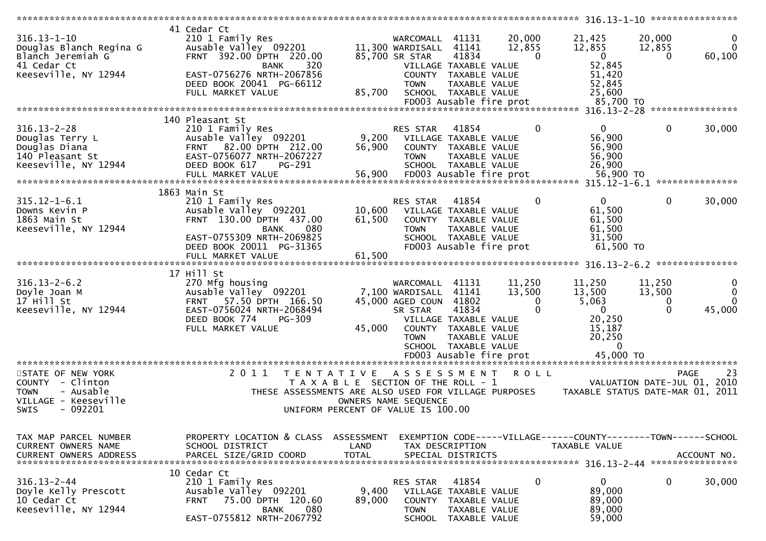| $316.13 - 1 - 10$<br>Douglas Blanch Regina G<br>Blanch Jeremiah G<br>41 Cedar Ct                               | 41 Cedar Ct<br>210 1 Family Res<br>Ausable Valley 092201<br>FRNT 392.00 DPTH 220.00<br>320<br>BANK                                                                                       |                                    | WARCOMALL 41131<br>11,300 WARDISALL<br>85,700 SR STAR                            | 41141<br>41834<br>VILLAGE TAXABLE VALUE                                                                                                             | 20,000<br>12,855<br>$\Omega$          | 21,425<br>12,855<br>$\mathbf{0}$<br>52,845                                                | 20,000<br>12,855<br>0                    | $\Omega$<br>60,100                      |
|----------------------------------------------------------------------------------------------------------------|------------------------------------------------------------------------------------------------------------------------------------------------------------------------------------------|------------------------------------|----------------------------------------------------------------------------------|-----------------------------------------------------------------------------------------------------------------------------------------------------|---------------------------------------|-------------------------------------------------------------------------------------------|------------------------------------------|-----------------------------------------|
| Keeseville, NY 12944                                                                                           | EAST-0756276 NRTH-2067856<br>DEED BOOK 20041 PG-66112<br>FULL MARKET VALUE                                                                                                               | 85,700                             | <b>TOWN</b>                                                                      | COUNTY TAXABLE VALUE<br>TAXABLE VALUE<br>SCHOOL TAXABLE VALUE<br>FD003 Ausable fire prot                                                            |                                       | 51,420<br>52,845<br>25,600<br>85,700 TO                                                   |                                          |                                         |
|                                                                                                                |                                                                                                                                                                                          |                                    |                                                                                  |                                                                                                                                                     |                                       |                                                                                           |                                          |                                         |
| $316.13 - 2 - 28$<br>Douglas Terry L<br>Douglas Diana<br>140 Pleasant St<br>Keeseville, NY 12944               | 140 Pleasant St<br>210 1 Family Res<br>Ausable Valley 092201<br>FRNT 82.00 DPTH 212.00<br>EAST-0756077 NRTH-2067227<br>DEED BOOK 617<br>PG-291<br>FULL MARKET VALUE                      | 9,200<br>56,900<br>56,900          | <b>RES STAR</b><br><b>TOWN</b>                                                   | 41854<br>VILLAGE TAXABLE VALUE<br>COUNTY TAXABLE VALUE<br>TAXABLE VALUE<br>SCHOOL TAXABLE VALUE<br>FD003 Ausable fire prot                          | $\Omega$                              | $\mathbf{0}$<br>56,900<br>56,900<br>56,900<br>26,900<br>56,900 TO                         | $\mathbf{0}$                             | 30,000                                  |
| $315.12 - 1 - 6.1$<br>Downs Kevin P<br>1863 Main St<br>Keeseville, NY 12944                                    | 1863 Main St<br>210 1 Family Res<br>Ausable Valley 092201<br>FRNT 130.00 DPTH 437.00<br>080<br><b>BANK</b><br>EAST-0755309 NRTH-2069825<br>DEED BOOK 20011 PG-31365<br>FULL MARKET VALUE | 10,600<br>61,500<br>61,500         | RES STAR<br><b>TOWN</b>                                                          | 41854<br>VILLAGE TAXABLE VALUE<br>COUNTY TAXABLE VALUE<br>TAXABLE VALUE<br>SCHOOL TAXABLE VALUE<br>FD003 Ausable fire prot                          | 0                                     | $\mathbf{0}$<br>61,500<br>61,500<br>61,500<br>31,500<br>61,500 TO                         | $\mathbf{0}$                             | 30,000                                  |
|                                                                                                                | *********************************                                                                                                                                                        |                                    |                                                                                  |                                                                                                                                                     |                                       |                                                                                           |                                          | **************                          |
| $316.13 - 2 - 6.2$<br>Doyle Joan M<br>17 Hill St<br>Keeseville, NY 12944                                       | 17 Hill St<br>270 Mfg housing<br>Ausable Valley 092201<br>57.50 DPTH 166.50<br><b>FRNT</b><br>EAST-0756024 NRTH-2068494<br>DEED BOOK 774<br>PG-309<br>FULL MARKET VALUE                  | 45,000                             | WARCOMALL<br>7,100 WARDISALL<br>45,000 AGED COUN 41802<br>SR STAR<br><b>TOWN</b> | 41131<br>41141<br>41834<br>VILLAGE TAXABLE VALUE<br>COUNTY TAXABLE VALUE<br><b>TAXABLE VALUE</b><br>SCHOOL TAXABLE VALUE<br>FD003 Ausable fire prot | 11,250<br>13,500<br>$\mathbf{0}$<br>0 | 11,250<br>13,500<br>5,063<br>$\mathbf{0}$<br>20,250<br>15,187<br>20,250<br>0<br>45,000 TO | 11,250<br>13,500<br>$\bf{0}$<br>$\Omega$ | 0<br>$\mathbf{0}$<br>$\Omega$<br>45,000 |
| STATE OF NEW YORK<br>COUNTY - Clinton<br><b>TOWN</b><br>- Ausable<br>VILLAGE - Keeseville<br>$-092201$<br>SWIS | 2011<br>T E N T A T I V E<br>T A X A B L E SECTION OF THE ROLL - 1<br>THESE ASSESSMENTS ARE ALSO USED FOR VILLAGE PURPOSES<br>UNIFORM PERCENT OF VALUE IS 100.00                         |                                    | A S S E S S M E N T<br>OWNERS NAME SEQUENCE                                      |                                                                                                                                                     | <b>ROLL</b>                           | TAXABLE STATUS DATE-MAR 01, 2011                                                          | <b>PAGE</b><br>VALUATION DATE-JUL 01,    | 23<br>2010                              |
| TAX MAP PARCEL NUMBER<br>CURRENT OWNERS NAME<br><b>CURRENT OWNERS ADDRESS</b>                                  | PROPERTY LOCATION & CLASS<br>SCHOOL DISTRICT<br>PARCEL SIZE/GRID COORD                                                                                                                   | ASSESSMENT<br>LAND<br><b>TOTAL</b> | TAX DESCRIPTION                                                                  | SPECIAL DISTRICTS                                                                                                                                   |                                       | EXEMPTION        CODE-----VILLAGE------COUNTY-------TOWN------SCHOOL<br>TAXABLE VALUE     |                                          | ACCOUNT NO.                             |
| $316.13 - 2 - 44$<br>Doyle Kelly Prescott<br>10 Cedar Ct<br>Keeseville, NY 12944                               | 10 Cedar Ct<br>210 1 Family Res<br>Ausable Valley 092201<br>75.00 DPTH 120.60<br><b>FRNT</b><br>080<br><b>BANK</b><br>EAST-0755812 NRTH-2067792                                          | 9,400<br>89,000                    | RES STAR<br><b>COUNTY</b><br><b>TOWN</b><br><b>SCHOOL</b>                        | 41854<br>VILLAGE TAXABLE VALUE<br>TAXABLE VALUE<br>TAXABLE VALUE<br>TAXABLE VALUE                                                                   | 0                                     | $\mathbf{0}$<br>89,000<br>89,000<br>89,000<br>59,000                                      | 0                                        | 30,000                                  |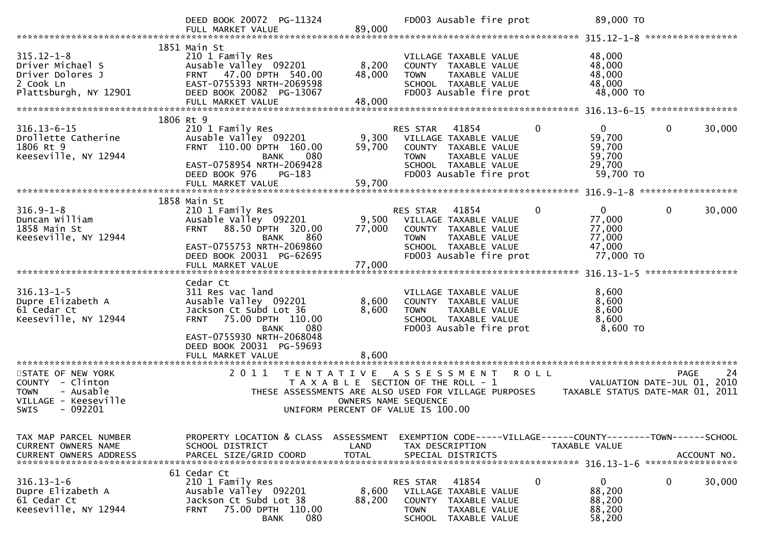|                                                                                                                                 | DEED BOOK 20072 PG-11324<br>FULL MARKET VALUE                                                                                                                                | 89,000                             | FD003 Ausable fire prot                                                                                                                                                      | 89,000 TO                                                              | *****************                                                                |
|---------------------------------------------------------------------------------------------------------------------------------|------------------------------------------------------------------------------------------------------------------------------------------------------------------------------|------------------------------------|------------------------------------------------------------------------------------------------------------------------------------------------------------------------------|------------------------------------------------------------------------|----------------------------------------------------------------------------------|
| $315.12 - 1 - 8$<br>Driver Michael S<br>Driver Dolores J<br>2 Cook Ln<br>Plattsburgh, NY 12901                                  | 1851 Main St<br>210 1 Family Res<br>Ausable Valley 092201<br>47.00 DPTH 540.00<br><b>FRNT</b><br>EAST-0755393 NRTH-2069598<br>DEED BOOK 20082 PG-13067<br>FULL MARKET VALUE  | 8,200<br>48,000<br>48,000          | VILLAGE TAXABLE VALUE<br>COUNTY TAXABLE VALUE<br>TAXABLE VALUE<br><b>TOWN</b><br>SCHOOL TAXABLE VALUE<br>FD003 Ausable fire prot                                             | 48,000<br>48,000<br>48,000<br>48,000<br>48,000 TO                      |                                                                                  |
|                                                                                                                                 |                                                                                                                                                                              |                                    |                                                                                                                                                                              |                                                                        |                                                                                  |
| $316.13 - 6 - 15$<br>Drollette Catherine<br>1806 Rt 9<br>Keeseville, NY 12944                                                   | 1806 Rt 9<br>210 1 Family Res<br>Ausable Valley 092201<br>FRNT 110.00 DPTH 160.00<br>080<br><b>BANK</b><br>EAST-0758954 NRTH-2069428<br>DEED BOOK 976<br>PG-183              | 9,300<br>59,700                    | RES STAR<br>41854<br>VILLAGE TAXABLE VALUE<br>COUNTY TAXABLE VALUE<br><b>TOWN</b><br>TAXABLE VALUE<br>SCHOOL TAXABLE VALUE<br>FD003 Ausable fire prot                        | $\mathbf{0}$<br>0<br>59,700<br>59,700<br>59,700<br>29,700<br>59,700 TO | 0<br>30,000                                                                      |
|                                                                                                                                 |                                                                                                                                                                              |                                    |                                                                                                                                                                              |                                                                        |                                                                                  |
| $316.9 - 1 - 8$<br>Duncan William<br>1858 Main St<br>Keeseville, NY 12944                                                       | 1858 Main St<br>210 1 Family Res<br>Ausable Valley 092201<br>88.50 DPTH 320.00<br><b>FRNT</b><br><b>BANK</b><br>860<br>EAST-0755753 NRTH-2069860<br>DEED BOOK 20031 PG-62695 | 9,500<br>77,000<br>77,000          | RES STAR<br>41854<br>VILLAGE TAXABLE VALUE<br>COUNTY TAXABLE VALUE<br><b>TOWN</b><br>TAXABLE VALUE<br>SCHOOL TAXABLE VALUE<br>FD003 Ausable fire prot                        | $\mathbf{0}$<br>0<br>77,000<br>77,000<br>77,000<br>47,000<br>77,000 TO | 0<br>30,000                                                                      |
|                                                                                                                                 | FULL MARKET VALUE                                                                                                                                                            |                                    |                                                                                                                                                                              |                                                                        |                                                                                  |
| $316.13 - 1 - 5$<br>Dupre Elizabeth A<br>61 Cedar Ct<br>Keeseville, NY 12944                                                    | Cedar Ct<br>311 Res vac land<br>Ausable Valley 092201<br>Jackson Ct Subd Lot 36<br>75.00 DPTH 110.00<br><b>FRNT</b><br>080<br><b>BANK</b><br>EAST-0755930 NRTH-2068048       | 8,600<br>8,600                     | VILLAGE TAXABLE VALUE<br>COUNTY TAXABLE VALUE<br><b>TOWN</b><br>TAXABLE VALUE<br>SCHOOL TAXABLE VALUE<br>FD003 Ausable fire prot                                             | 8,600<br>8,600<br>8,600<br>8,600<br>8,600 TO                           |                                                                                  |
|                                                                                                                                 | DEED BOOK 20031 PG-59693<br>FULL MARKET VALUE                                                                                                                                | 8,600                              |                                                                                                                                                                              |                                                                        |                                                                                  |
| STATE OF NEW YORK<br>- Clinton<br><b>COUNTY</b><br><b>TOWN</b><br>- Ausable<br>VILLAGE - Keeseville<br>$-092201$<br><b>SWIS</b> | **************************<br>2 0 1 1<br>T E N T A T I V E<br>T A X A B L E                                                                                                  |                                    | A S S E S S M E N T<br>ROLL<br>SECTION OF THE ROLL - 1<br>THESE ASSESSMENTS ARE ALSO USED FOR VILLAGE PURPOSES<br>OWNERS NAME SEQUENCE<br>UNIFORM PERCENT OF VALUE IS 100.00 |                                                                        | 24<br>PAGE<br>VALUATION DATE-JUL 01,<br>2010<br>TAXABLE STATUS DATE-MAR 01, 2011 |
| TAX MAP PARCEL NUMBER<br>CURRENT OWNERS NAME<br><b>CURRENT OWNERS ADDRESS</b>                                                   | PROPERTY LOCATION & CLASS<br>SCHOOL DISTRICT<br>PARCEL SIZE/GRID COORD                                                                                                       | ASSESSMENT<br>LAND<br><b>TOTAL</b> | EXEMPTION CODE-----VILLAGE------COUNTY-------TOWN------SCHOOL<br>TAX DESCRIPTION<br>SPECIAL DISTRICTS                                                                        | TAXABLE VALUE                                                          | ACCOUNT NO.<br>*****************                                                 |
| $316.13 - 1 - 6$<br>Dupre Elizabeth A<br>61 Cedar Ct<br>Keeseville, NY 12944                                                    | 61 Cedar Ct<br>210 1 Family Res<br>Ausable Valley 092201<br>Jackson Ct Subd Lot 38<br>75.00 DPTH 110.00<br><b>FRNT</b><br><b>BANK</b><br>080                                 | 8,600<br>88,200                    | RES STAR<br>41854<br>VILLAGE TAXABLE VALUE<br><b>COUNTY</b><br>TAXABLE VALUE<br><b>TOWN</b><br>TAXABLE VALUE<br>TAXABLE VALUE<br><b>SCHOOL</b>                               | 0<br>0<br>88,200<br>88,200<br>88,200<br>58,200                         | 0<br>30,000                                                                      |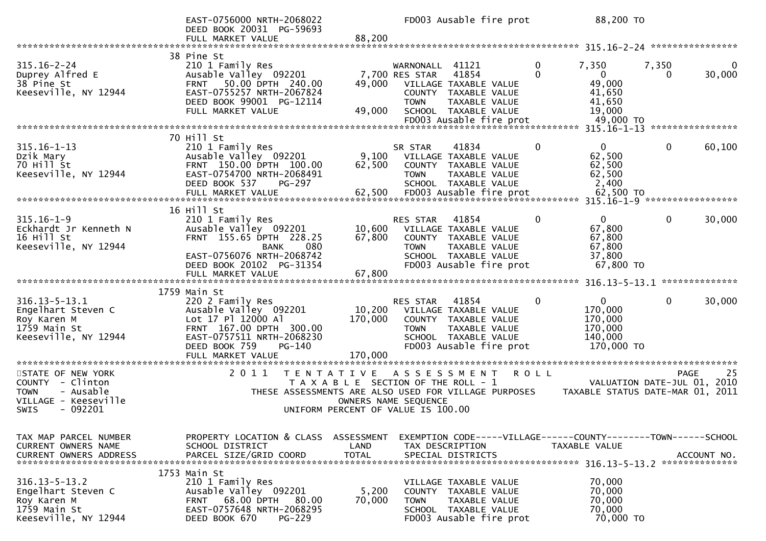|                                                                                                                      | EAST-0756000 NRTH-2068022<br>DEED BOOK 20031 PG-59693<br>FULL MARKET VALUE                                                                                                                         | 88,200                             | FD003 Ausable fire prot                                                                                                                                                           | 88,200 TO                                                                                         |                                                                               |
|----------------------------------------------------------------------------------------------------------------------|----------------------------------------------------------------------------------------------------------------------------------------------------------------------------------------------------|------------------------------------|-----------------------------------------------------------------------------------------------------------------------------------------------------------------------------------|---------------------------------------------------------------------------------------------------|-------------------------------------------------------------------------------|
|                                                                                                                      |                                                                                                                                                                                                    |                                    |                                                                                                                                                                                   |                                                                                                   |                                                                               |
| $315.16 - 2 - 24$<br>Duprey Alfred E<br>38 Pine St<br>Keeseville, NY 12944                                           | 38 Pine St<br>210 1 Family Res<br>Ausable Valley 092201<br>50.00 DPTH 240.00<br><b>FRNT</b><br>EAST-0755257 NRTH-2067824<br>DEED BOOK 99001 PG-12114<br>FULL MARKET VALUE                          | 49,000<br>49,000                   | 41121<br>WARNONALL<br>7,700 RES STAR<br>41854<br>VILLAGE TAXABLE VALUE<br>COUNTY TAXABLE VALUE<br><b>TOWN</b><br>TAXABLE VALUE<br>SCHOOL TAXABLE VALUE<br>FD003 Ausable fire prot | 0<br>7,350<br>$\mathbf{0}$<br>$\overline{0}$<br>49,000<br>41,650<br>41,650<br>19,000<br>49,000 TO | 7,350<br>30,000<br>$\Omega$                                                   |
|                                                                                                                      |                                                                                                                                                                                                    |                                    |                                                                                                                                                                                   |                                                                                                   |                                                                               |
| $315.16 - 1 - 13$<br>Dzik Mary<br>70 Hill St<br>Keeseville, NY 12944<br>************************                     | 70 Hill St<br>210 1 Family Res<br>Ausable Valley 092201<br>FRNT 150.00 DPTH 100.00<br>EAST-0754700 NRTH-2068491<br>DEED BOOK 537<br>PG-297<br>FULL MARKET VALUE<br>******************************* | 9,100<br>62,500<br>62,500          | 41834<br>SR STAR<br>VILLAGE TAXABLE VALUE<br>COUNTY TAXABLE VALUE<br>TAXABLE VALUE<br><b>TOWN</b><br>SCHOOL TAXABLE VALUE<br>FD003 Ausable fire prot                              | $\mathbf{0}$<br>0<br>62,500<br>62,500<br>62,500<br>2,400<br>62,500 TO                             | $\mathbf{0}$<br>60,100<br>315.16-1-9 ******************                       |
|                                                                                                                      | 16 Hill St                                                                                                                                                                                         |                                    |                                                                                                                                                                                   |                                                                                                   |                                                                               |
| $315.16 - 1 - 9$<br>Eckhardt Jr Kenneth N<br>16 Hill St<br>Keeseville, NY 12944                                      | 210 1 Family Res<br>Ausable Valley 092201<br>FRNT 155.65 DPTH 228.25<br>080<br><b>BANK</b><br>EAST-0756076 NRTH-2068742<br>DEED BOOK 20102 PG-31354<br>FULL MARKET VALUE                           | 10,600<br>67,800<br>67,800         | 41854<br><b>RES STAR</b><br>VILLAGE TAXABLE VALUE<br>COUNTY TAXABLE VALUE<br>TAXABLE VALUE<br><b>TOWN</b><br>SCHOOL TAXABLE VALUE<br>FD003 Ausable fire prot                      | 0<br>$\Omega$<br>67,800<br>67,800<br>67,800<br>37,800<br>67,800 TO                                | $\mathbf{0}$<br>30,000                                                        |
|                                                                                                                      |                                                                                                                                                                                                    |                                    |                                                                                                                                                                                   |                                                                                                   |                                                                               |
| $316.13 - 5 - 13.1$<br>Engelhart Steven C<br>Roy Karen M<br>1759 Main St<br>Keeseville, NY 12944                     | 1759 Main St<br>220 2 Family Res<br>Ausable Valley 092201<br>Lot 17 Pl 12000 Al<br>FRNT 167.00 DPTH 300.00<br>EAST-0757511 NRTH-2068230<br>DEED BOOK 759<br>$PG-140$<br>FULL MARKET VALUE          | 10,200<br>170,000<br>170,000       | 41854<br><b>RES STAR</b><br>VILLAGE TAXABLE VALUE<br>COUNTY TAXABLE VALUE<br><b>TOWN</b><br>TAXABLE VALUE<br>SCHOOL TAXABLE VALUE<br>FD003 Ausable fire prot                      | 0<br>$\overline{0}$<br>170,000<br>170,000<br>170,000<br>140,000<br>170,000 TO                     | $\mathbf{0}$<br>30,000                                                        |
| ***********************                                                                                              | ********************<br>2 0 1 1                                                                                                                                                                    |                                    |                                                                                                                                                                                   |                                                                                                   |                                                                               |
| STATE OF NEW YORK<br>COUNTY - Clinton<br>- Ausable<br><b>TOWN</b><br>VILLAGE - Keeseville<br>- 092201<br><b>SWIS</b> |                                                                                                                                                                                                    | T E N T A T I V E                  | ASSESSMENT<br>T A X A B L E SECTION OF THE ROLL - 1<br>THESE ASSESSMENTS ARE ALSO USED FOR VILLAGE PURPOSES<br>OWNERS NAME SEQUENCE<br>UNIFORM PERCENT OF VALUE IS 100.00         | <b>ROLL</b>                                                                                       | 25<br>PAGE<br>VALUATION DATE-JUL 01, 2010<br>TAXABLE STATUS DATE-MAR 01, 2011 |
| TAX MAP PARCEL NUMBER<br>CURRENT OWNERS NAME<br><b>CURRENT OWNERS ADDRESS</b>                                        | PROPERTY LOCATION & CLASS<br>SCHOOL DISTRICT<br>PARCEL SIZE/GRID COORD                                                                                                                             | ASSESSMENT<br>LAND<br><b>TOTAL</b> | EXEMPTION CODE-----VILLAGE------COUNTY--------TOWN------SCHOOL<br>TAX DESCRIPTION<br>SPECIAL DISTRICTS                                                                            | TAXABLE VALUE                                                                                     | ACCOUNT NO.                                                                   |
| $316.13 - 5 - 13.2$<br>Engelhart Steven C<br>Roy Karen M<br>1759 Main St<br>Keeseville, NY 12944                     | 1753 Main St<br>210 1 Family Res<br>Ausable Valley 092201<br>68.00 DPTH<br>80.00<br><b>FRNT</b><br>EAST-0757648 NRTH-2068295<br>DEED BOOK 670<br><b>PG-229</b>                                     | 5,200<br>70,000                    | VILLAGE TAXABLE VALUE<br><b>COUNTY</b><br>TAXABLE VALUE<br><b>TOWN</b><br>TAXABLE VALUE<br>SCHOOL TAXABLE VALUE<br>FD003 Ausable fire prot                                        | 70,000<br>70,000<br>70,000<br>70,000<br>70,000 TO                                                 |                                                                               |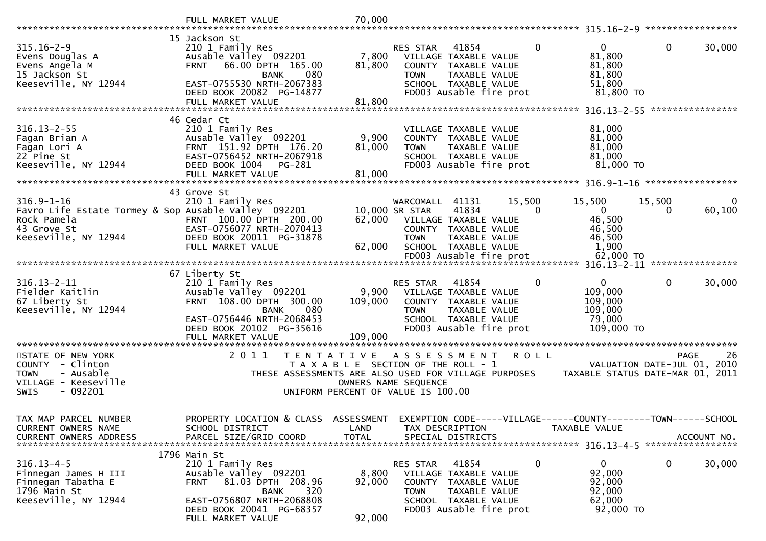|                                                                                                                                | FULL MARKET VALUE                                                                                                                                                                          | 70,000                      |                                                                                                                                                                                                                                                                                              |
|--------------------------------------------------------------------------------------------------------------------------------|--------------------------------------------------------------------------------------------------------------------------------------------------------------------------------------------|-----------------------------|----------------------------------------------------------------------------------------------------------------------------------------------------------------------------------------------------------------------------------------------------------------------------------------------|
| $315.16 - 2 - 9$<br>Evens Douglas A<br>Evens Angela M<br>15 Jackson St<br>Keeseville, NY 12944                                 | 15 Jackson St<br>210 1 Family Res<br>Ausable Valley 092201<br>66.00 DPTH 165.00<br><b>FRNT</b><br>080<br><b>BANK</b><br>EAST-0755530 NRTH-2067383                                          | 7,800<br>81,800             | 0<br>$\mathbf{0}$<br>$\mathbf{0}$<br>30,000<br>41854<br><b>RES STAR</b><br>81,800<br>VILLAGE TAXABLE VALUE<br>81,800<br>COUNTY TAXABLE VALUE<br>81,800<br><b>TOWN</b><br>TAXABLE VALUE<br>51,800<br>SCHOOL TAXABLE VALUE                                                                     |
|                                                                                                                                | DEED BOOK 20082 PG-14877<br>FULL MARKET VALUE                                                                                                                                              | 81,800                      | FD003 Ausable fire prot<br>81,800 TO                                                                                                                                                                                                                                                         |
| $316.13 - 2 - 55$<br>Fagan Brian A<br>Fagan Lori A<br>22 Pine St<br>Keeseville, NY 12944                                       | 46 Cedar Ct<br>210 1 Family Res<br>Ausable Valley 092201<br>FRNT 151.92 DPTH 176.20<br>EAST-0756452 NRTH-2067918<br>DEED BOOK 1004<br>PG-281<br>FULL MARKET VALUE                          | 9,900<br>81,000<br>81,000   | 81,000<br>VILLAGE TAXABLE VALUE<br>81,000<br>COUNTY TAXABLE VALUE<br>81,000<br>TAXABLE VALUE<br><b>TOWN</b><br>81,000<br>SCHOOL TAXABLE VALUE<br>FD003 Ausable fire prot<br>81,000 TO                                                                                                        |
|                                                                                                                                | 43 Grove St                                                                                                                                                                                |                             |                                                                                                                                                                                                                                                                                              |
| $316.9 - 1 - 16$<br>Favro Life Estate Tormey & Sop Ausable Valley 092201<br>Rock Pamela<br>43 Grove St<br>Keeseville, NY 12944 | 210 1 Family Res<br>FRNT 100.00 DPTH 200.00<br>EAST-0756077 NRTH-2070413<br>DEED BOOK 20011 PG-31878                                                                                       | 62,000                      | 15,500<br>15,500<br>15,500<br>WARCOMALL 41131<br>0<br>10,000 SR STAR<br>41834<br>$\mathbf{0}$<br>60,100<br>0<br>0<br>46,500<br>VILLAGE TAXABLE VALUE<br>46,500<br>COUNTY TAXABLE VALUE<br><b>TOWN</b><br>TAXABLE VALUE<br>46,500                                                             |
|                                                                                                                                | FULL MARKET VALUE                                                                                                                                                                          | 62,000                      | 1,900<br>SCHOOL TAXABLE VALUE                                                                                                                                                                                                                                                                |
|                                                                                                                                |                                                                                                                                                                                            |                             | ****************                                                                                                                                                                                                                                                                             |
| $316.13 - 2 - 11$<br>Fielder Kaitlin<br>67 Liberty St<br>Keeseville, NY 12944                                                  | 67 Liberty St<br>210 1 Family Res<br>Ausable Valley 092201<br>FRNT 108.00 DPTH 300.00<br>080<br>BANK<br>EAST-0756446 NRTH-2068453<br>DEED BOOK 20102 PG-35616<br>FULL MARKET VALUE         | 9,900<br>109,000<br>109,000 | $\mathbf{0}$<br>$\mathbf 0$<br>$\mathbf{0}$<br>30,000<br>RES STAR<br>41854<br>109,000<br>VILLAGE TAXABLE VALUE<br>109,000<br>COUNTY TAXABLE VALUE<br>109,000<br><b>TOWN</b><br>TAXABLE VALUE<br>SCHOOL TAXABLE VALUE<br>79,000<br>FD003 Ausable fire prot<br>109,000 TO                      |
| STATE OF NEW YORK<br>COUNTY - Clinton<br>- Ausable<br><b>TOWN</b><br>VILLAGE - Keeseville<br>$-092201$<br><b>SWIS</b>          | 2011<br>T E N T A T I V E                                                                                                                                                                  |                             | 26<br><b>ROLL</b><br><b>PAGE</b><br>A S S E S S M E N T<br>VALUATION DATE-JUL 01,<br>2010<br>T A X A B L E SECTION OF THE ROLL - 1<br>THESE ASSESSMENTS ARE ALSO USED FOR VILLAGE PURPOSES<br>TAXABLE STATUS DATE-MAR 01, 2011<br>OWNERS NAME SEQUENCE<br>UNIFORM PERCENT OF VALUE IS 100.00 |
| TAX MAP PARCEL NUMBER<br>CURRENT OWNERS NAME<br><b>CURRENT OWNERS ADDRESS</b>                                                  | PROPERTY LOCATION & CLASS ASSESSMENT<br>SCHOOL DISTRICT<br>PARCEL SIZE/GRID COORD                                                                                                          | LAND<br><b>TOTAL</b>        | EXEMPTION CODE-----VILLAGE------COUNTY--------TOWN------SCHOOL<br>TAX DESCRIPTION<br>TAXABLE VALUE<br>SPECIAL DISTRICTS<br>ACCOUNT NO.<br>******************                                                                                                                                 |
| $316.13 - 4 - 5$<br>Finnegan James H III<br>Finnegan Tabatha E<br>1796 Main St<br>Keeseville, NY 12944                         | 1796 Main St<br>210 1 Family Res<br>Ausable Valley 092201<br>81.03 DPTH 208.96<br><b>FRNT</b><br>320<br>BANK<br>EAST-0756807 NRTH-2068808<br>DEED BOOK 20041 PG-68357<br>FULL MARKET VALUE | 8,800<br>92,000<br>92,000   | 0<br>41854<br>0<br>0<br>30,000<br>RES STAR<br>92,000<br>VILLAGE TAXABLE VALUE<br>92,000<br><b>COUNTY</b><br>TAXABLE VALUE<br>92,000<br><b>TOWN</b><br>TAXABLE VALUE<br>62,000<br>SCHOOL TAXABLE VALUE<br>92,000 TO<br>FD003 Ausable fire prot                                                |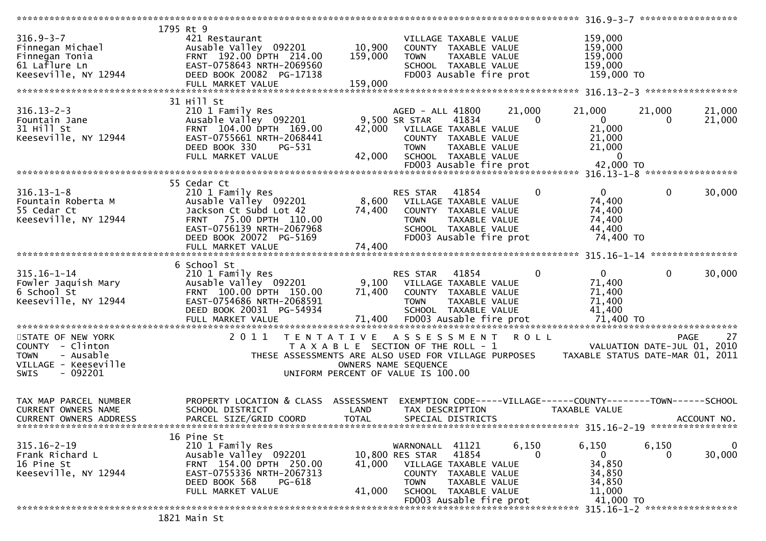|                               | 1795 Rt 9                                            |              |                                       |               |              |                                                                |                             |             |
|-------------------------------|------------------------------------------------------|--------------|---------------------------------------|---------------|--------------|----------------------------------------------------------------|-----------------------------|-------------|
| $316.9 - 3 - 7$               | 421 Restaurant                                       |              | VILLAGE TAXABLE VALUE                 |               |              | 159,000                                                        |                             |             |
| Finnegan Michael              | Ausable Valley 092201                                | 10,900       | COUNTY TAXABLE VALUE                  |               |              | 159,000                                                        |                             |             |
| Finnegan Tonia                | FRNT 192.00 DPTH 214.00                              | 159,000      | <b>TOWN</b>                           | TAXABLE VALUE |              | 159,000                                                        |                             |             |
| 61 Laflure Ln                 | EAST-0758643 NRTH-2069560                            |              | SCHOOL TAXABLE VALUE                  |               |              | 159,000                                                        |                             |             |
| Keeseville, NY 12944          | DEED BOOK 20082 PG-17138                             |              | FD003 Ausable fire prot               |               |              | 159,000 TO                                                     |                             |             |
|                               |                                                      | 159,000      |                                       |               |              |                                                                |                             |             |
|                               | FULL MARKET VALUE                                    |              |                                       |               |              |                                                                |                             |             |
|                               |                                                      |              |                                       |               |              |                                                                |                             |             |
|                               | 31 Hill St                                           |              |                                       |               |              |                                                                |                             |             |
| $316.13 - 2 - 3$              | 210 1 Family Res                                     |              | AGED - ALL 41800                      |               | 21,000       | 21,000                                                         | 21,000                      | 21,000      |
| Fountain Jane                 | Ausable Valley 092201                                |              | 9,500 SR STAR                         | 41834         | $\Omega$     | $\overline{0}$                                                 | $\Omega$                    | 21,000      |
| 31 Hill St                    | FRNT 104.00 DPTH 169.00                              | 42,000       | VILLAGE TAXABLE VALUE                 |               |              | 21,000                                                         |                             |             |
| Keeseville, NY 12944          | EAST-0755661 NRTH-2068441                            |              | COUNTY TAXABLE VALUE                  |               |              | 21,000                                                         |                             |             |
|                               | DEED BOOK 330<br>PG-531                              |              | <b>TOWN</b>                           | TAXABLE VALUE |              | 21,000                                                         |                             |             |
|                               | FULL MARKET VALUE                                    | 42,000       | SCHOOL TAXABLE VALUE                  |               |              | $\Omega$                                                       |                             |             |
|                               |                                                      |              |                                       |               |              |                                                                |                             |             |
|                               |                                                      |              |                                       |               |              |                                                                |                             |             |
|                               |                                                      |              |                                       |               |              |                                                                |                             |             |
|                               | 55 Cedar Ct                                          |              |                                       |               |              |                                                                |                             |             |
| $316.13 - 1 - 8$              | 210 1 Family Res                                     |              | RES STAR                              | 41854         | 0            | $\overline{0}$                                                 | $\mathbf{0}$                | 30,000      |
| Fountain Roberta M            | Ausable Valley 092201                                |              | 8,600 VILLAGE TAXABLE VALUE           |               |              | 74,400                                                         |                             |             |
| 55 Cedar Ct                   | Jackson Ct Subd Lot 42                               | 74,400       | COUNTY TAXABLE VALUE                  |               |              | 74,400                                                         |                             |             |
| Keeseville, NY 12944          | 75.00 DPTH 110.00<br><b>FRNT</b>                     |              | <b>TOWN</b>                           | TAXABLE VALUE |              | 74,400                                                         |                             |             |
|                               | EAST-0756139 NRTH-2067968                            |              | SCHOOL TAXABLE VALUE                  |               |              | 44,400                                                         |                             |             |
|                               | DEED BOOK 20072 PG-5169                              |              | FD003 Ausable fire prot               |               |              | 74,400 TO                                                      |                             |             |
|                               | FULL MARKET VALUE                                    | 74,400       |                                       |               |              |                                                                |                             |             |
|                               |                                                      |              |                                       |               |              |                                                                |                             |             |
|                               | 6 School St                                          |              |                                       |               |              |                                                                |                             |             |
| $315.16 - 1 - 14$             | 210 1 Family Res                                     |              | RES STAR                              | 41854         | $\mathbf{0}$ | $\overline{0}$                                                 | $\mathbf{0}$                | 30,000      |
| Fowler Jaquish Mary           | Ausable Valley 092201                                |              | 9,100 VILLAGE TAXABLE VALUE           |               |              | 71,400                                                         |                             |             |
|                               |                                                      |              |                                       |               |              |                                                                |                             |             |
| 6 School St                   | FRNT 100.00 DPTH 150.00                              | 71,400       | COUNTY TAXABLE VALUE                  |               |              | 71,400                                                         |                             |             |
| Keeseville, NY 12944          | EAST-0754686 NRTH-2068591                            |              | <b>TOWN</b>                           | TAXABLE VALUE |              | 71,400                                                         |                             |             |
|                               | DEED BOOK 20031 PG-54934                             |              | SCHOOL TAXABLE VALUE                  |               |              | 41,400                                                         |                             |             |
|                               | FULL MARKET VALUE                                    | 71,400       | FD003 Ausable fire prot               |               |              | 71,400 TO                                                      |                             |             |
|                               |                                                      |              |                                       |               |              |                                                                |                             |             |
| STATE OF NEW YORK             | 2011 TENTATIVE ASSESSMENT                            |              |                                       |               | <b>ROLL</b>  |                                                                |                             | 27<br>PAGE  |
| COUNTY - Clinton              |                                                      |              | T A X A B L E SECTION OF THE ROLL - 1 |               |              |                                                                | VALUATION DATE-JUL 01, 2010 |             |
| - Ausable<br><b>TOWN</b>      | THESE ASSESSMENTS ARE ALSO USED FOR VILLAGE PURPOSES |              |                                       |               |              | TAXABLE STATUS DATE-MAR 01, 2011                               |                             |             |
| VILLAGE - Keeseville          |                                                      |              | OWNERS NAME SEQUENCE                  |               |              |                                                                |                             |             |
| - 092201<br><b>SWIS</b>       |                                                      |              | UNIFORM PERCENT OF VALUE IS 100.00    |               |              |                                                                |                             |             |
|                               |                                                      |              |                                       |               |              |                                                                |                             |             |
|                               |                                                      |              |                                       |               |              |                                                                |                             |             |
| TAX MAP PARCEL NUMBER         | PROPERTY LOCATION & CLASS ASSESSMENT                 |              |                                       |               |              | EXEMPTION CODE-----VILLAGE------COUNTY--------TOWN------SCHOOL |                             |             |
|                               | SCHOOL DISTRICT                                      |              |                                       |               |              |                                                                |                             |             |
| <b>CURRENT OWNERS NAME</b>    |                                                      | LAND         | TAX DESCRIPTION                       |               |              | TAXABLE VALUE                                                  |                             |             |
| <b>CURRENT OWNERS ADDRESS</b> | PARCEL SIZE/GRID COORD                               | <b>TOTAL</b> | SPECIAL DISTRICTS                     |               |              |                                                                |                             | ACCOUNT NO. |
|                               |                                                      |              |                                       |               |              | 315.16-2-19 *****************                                  |                             |             |
|                               | 16 Pine St                                           |              |                                       |               |              |                                                                |                             |             |
| $315.16 - 2 - 19$             | 210 1 Family Res                                     |              | WARNONALL 41121                       |               | 6,150        | 6,150                                                          | 6,150                       | $\mathbf 0$ |
| Frank Richard L               | Ausable Valley 092201                                |              | 10,800 RES STAR                       | 41854         | 0            | $\Omega$                                                       | 0                           | 30,000      |
| 16 Pine St                    | FRNT 154.00 DPTH 250.00                              | 41,000       | VILLAGE TAXABLE VALUE                 |               |              | 34,850                                                         |                             |             |
| Keeseville, NY 12944          | EAST-0755336 NRTH-2067313                            |              | COUNTY TAXABLE VALUE                  |               |              | 34,850                                                         |                             |             |
|                               | DEED BOOK 568<br>PG-618                              |              | <b>TOWN</b>                           | TAXABLE VALUE |              | 34,850                                                         |                             |             |
|                               | FULL MARKET VALUE                                    | 41,000       | SCHOOL TAXABLE VALUE                  |               |              | 11,000                                                         |                             |             |
|                               |                                                      |              | FD003 Ausable fire prot               |               |              | 41,000 TO                                                      |                             |             |
|                               |                                                      |              |                                       |               |              |                                                                |                             |             |
|                               | 1821 Main St                                         |              |                                       |               |              |                                                                |                             |             |
|                               |                                                      |              |                                       |               |              |                                                                |                             |             |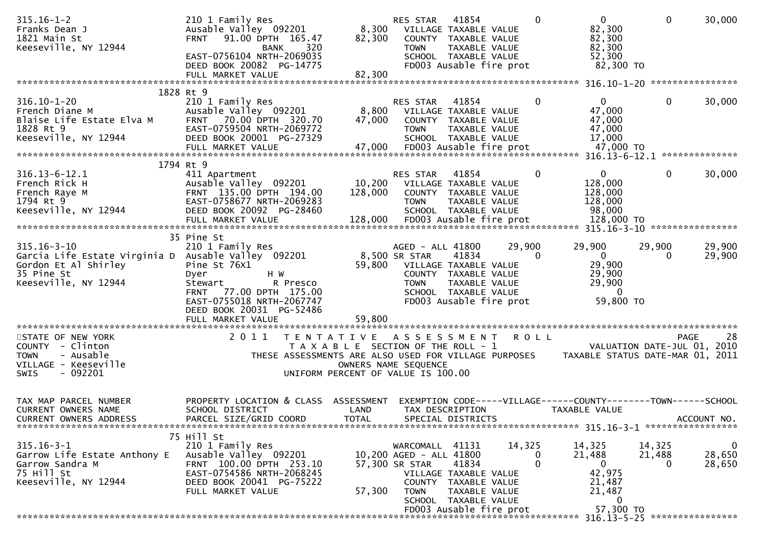| $315.16 - 1 - 2$<br>Franks Dean J<br>1821 Main St<br>Keeseville, NY 12944                                                              | 210 1 Family Res<br>Ausable Valley 092201<br>FRNT 91.00 DPTH 165.47<br>320<br><b>BANK</b><br>EAST-0756104 NRTH-2069035<br>DEED BOOK 20082 PG-14775<br>FULL MARKET VALUE                                | 82,300<br>82,300          | RES STAR<br>8,300 VILLAGE TAXABLE VALUE<br><b>TOWN</b>                                                                     | 41854<br>COUNTY TAXABLE VALUE<br>TAXABLE VALUE<br>SCHOOL TAXABLE VALUE<br>FD003 Ausable fire prot                          | $\Omega$                | $\mathbf{0}$<br>82,300<br>82,300<br>82,300<br>52,300<br>82,300 TO                     | $\mathbf 0$                  | 30,000                           |
|----------------------------------------------------------------------------------------------------------------------------------------|--------------------------------------------------------------------------------------------------------------------------------------------------------------------------------------------------------|---------------------------|----------------------------------------------------------------------------------------------------------------------------|----------------------------------------------------------------------------------------------------------------------------|-------------------------|---------------------------------------------------------------------------------------|------------------------------|----------------------------------|
|                                                                                                                                        |                                                                                                                                                                                                        |                           |                                                                                                                            |                                                                                                                            |                         |                                                                                       |                              |                                  |
| $316.10 - 1 - 20$<br>French Diane M<br>Blaise Life Estate Elva M<br>1828 Rt 9<br>Keeseville, NY 12944                                  | 1828 Rt 9<br>210 1 Family Res<br>Ausable Valley 092201<br>70.00 DPTH 320.70<br><b>FRNT</b><br>EAST-0759504 NRTH-2069772<br>DEED BOOK 20001 PG-27329<br>FULL MARKET VALUE                               | 8,800<br>47,000<br>47,000 | RES STAR<br><b>TOWN</b>                                                                                                    | 41854<br>VILLAGE TAXABLE VALUE<br>COUNTY TAXABLE VALUE<br>TAXABLE VALUE<br>SCHOOL TAXABLE VALUE<br>FD003 Ausable fire prot | $\mathbf{0}$            | $\Omega$<br>47,000<br>47,000<br>47,000<br>17,000<br>47,000 TO                         | 0                            | 30,000                           |
|                                                                                                                                        | 1794 Rt 9                                                                                                                                                                                              |                           |                                                                                                                            |                                                                                                                            |                         |                                                                                       |                              |                                  |
| $316.13 - 6 - 12.1$<br>French Rick H<br>French Raye M<br>1794 Rt 9<br>Keeseville, NY 12944                                             | 411 Apartment<br>Ausable Valley 092201<br>FRNT 135.00 DPTH 194.00<br>EAST-0758677 NRTH-2069283<br>DEED BOOK 20092 PG-28460<br>FULL MARKET VALUE                                                        | 128,000<br>128,000        | RES STAR<br>10,200 VILLAGE TAXABLE VALUE<br><b>TOWN</b><br>FD003 Ausable fire prot                                         | 41854<br>COUNTY TAXABLE VALUE<br>TAXABLE VALUE<br>SCHOOL TAXABLE VALUE                                                     | $\mathbf{0}$            | $\overline{0}$<br>128,000<br>128,000<br>128,000<br>98,000<br>128,000 TO               | $\mathbf{0}$                 | 30,000                           |
|                                                                                                                                        |                                                                                                                                                                                                        |                           |                                                                                                                            |                                                                                                                            |                         |                                                                                       |                              |                                  |
| $315.16 - 3 - 10$<br>Garcia Life Estate Virginia D Ausable Valley 092201<br>Gordon Et Al Shirley<br>35 Pine St<br>Keeseville, NY 12944 | 35 Pine St<br>210 1 Family Res<br>Pine St 76X1<br>Dyer<br>H W<br>Stewart<br>R Presco<br>77.00 DPTH 175.00<br><b>FRNT</b><br>EAST-0755018 NRTH-2067747<br>DEED BOOK 20031 PG-52486<br>FULL MARKET VALUE | 59,800                    | AGED - ALL 41800<br>8,500 SR STAR<br>59,800 VILLAGE TAXABLE VALUE<br><b>TOWN</b>                                           | 41834<br>COUNTY TAXABLE VALUE<br>TAXABLE VALUE<br>SCHOOL TAXABLE VALUE<br>FD003 Ausable fire prot                          | 29,900<br>$\Omega$      | 29,900<br>$\mathbf{0}$<br>29,900<br>29,900<br>29,900<br>$\Omega$<br>59,800 TO         | 29,900<br>$\bf{0}$           | 29,900<br>29,900                 |
| STATE OF NEW YORK<br>COUNTY - Clinton<br><b>TOWN</b><br>- Ausable<br>VILLAGE - Keeseville<br>- 092201<br><b>SWIS</b>                   | 2011<br>T E N T A T I V E                                                                                                                                                                              |                           | A S S E S S M E N T<br>T A X A B L E SECTION OF THE ROLL - 1<br>OWNERS NAME SEQUENCE<br>UNIFORM PERCENT OF VALUE IS 100.00 |                                                                                                                            | <b>ROLL</b>             | THESE ASSESSMENTS ARE ALSO USED FOR VILLAGE PURPOSES TAXABLE STATUS DATE-MAR 01, 2011 | VALUATION DATE-JUL 01, 2010  | 28<br><b>PAGE</b>                |
| TAX MAP PARCEL NUMBER<br>CURRENT OWNERS NAME<br><b>CURRENT OWNERS ADDRESS</b>                                                          | PROPERTY LOCATION & CLASS ASSESSMENT<br>SCHOOL DISTRICT<br>PARCEL SIZE/GRID COORD                                                                                                                      | LAND<br><b>TOTAL</b>      |                                                                                                                            | TAX DESCRIPTION<br>SPECIAL DISTRICTS                                                                                       |                         | EXEMPTION CODE-----VILLAGE------COUNTY--------TOWN------SCHOOL<br>TAXABLE VALUE       |                              | ACCOUNT NO.                      |
| $315.16 - 3 - 1$<br>Garrow Life Estate Anthony E<br>Garrow Sandra M<br>75 Hill St<br>Keeseville, NY 12944                              | 75 Hill St<br>210 1 Family Res<br>Ausable Valley 092201<br>FRNT 100.00 DPTH 253.10<br>EAST-0754586 NRTH-2068245<br>DEED BOOK 20041 PG-75222<br>FULL MARKET VALUE                                       | 57,300                    | WARCOMALL 41131<br>10,200 AGED - ALL 41800<br>57,300 SR STAR<br><b>TOWN</b>                                                | 41834<br>VILLAGE TAXABLE VALUE<br>COUNTY TAXABLE VALUE<br>TAXABLE VALUE<br>SCHOOL TAXABLE VALUE<br>FD003 Ausable fire prot | 14,325<br>0<br>$\Omega$ | 14,325<br>21,488<br>$\mathbf{0}$<br>42,975<br>21,487<br>21,487<br>0<br>57,300 TO      | 14,325<br>21,488<br>$\Omega$ | $\mathbf{0}$<br>28,650<br>28,650 |
|                                                                                                                                        |                                                                                                                                                                                                        |                           |                                                                                                                            |                                                                                                                            |                         |                                                                                       |                              |                                  |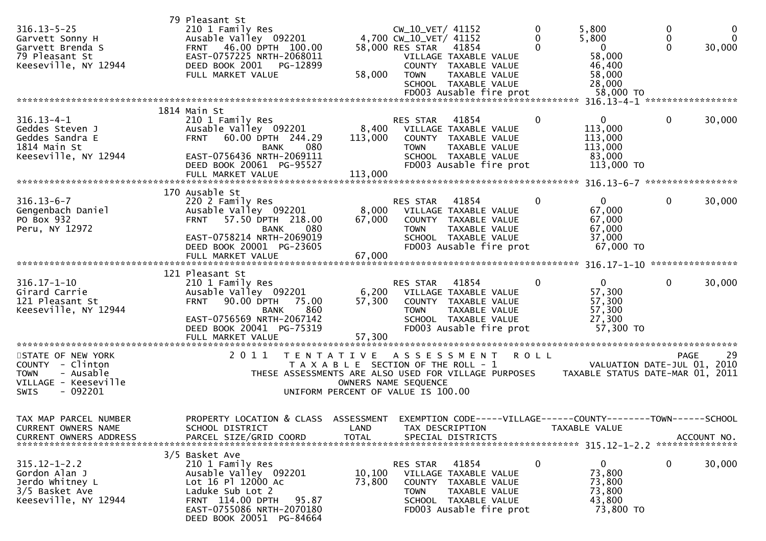| $316.13 - 5 - 25$<br>Garvett Sonny H<br>Garvett Brenda S<br>79 Pleasant St<br>Keeseville, NY 12944 | 79 Pleasant St<br>210 1 Family Res<br>Ausable Valley 092201<br>46.00 DPTH 100.00<br><b>FRNT</b><br>EAST-0757225 NRTH-2068011<br>DEED BOOK 2001<br>PG-12899<br>FULL MARKET VALUE                     | 58,000                      | CW_10_VET/ 41152<br>4,700 CW_10_VET/ 41152<br>58,000 RES STAR<br><b>TOWN</b>                        | 41854<br>VILLAGE TAXABLE VALUE<br>COUNTY TAXABLE VALUE<br>TAXABLE VALUE<br>SCHOOL TAXABLE VALUE<br>FD003 Ausable fire prot        | 0           | 5,800<br>5,800<br>$\mathbf 0$<br>58,000<br>46,400<br>58,000<br>28,000<br>58,000 TO | 0<br>$\mathbf{0}$<br>$\Omega$ | $\bf{0}$<br>$\Omega$<br>30,000 |
|----------------------------------------------------------------------------------------------------|-----------------------------------------------------------------------------------------------------------------------------------------------------------------------------------------------------|-----------------------------|-----------------------------------------------------------------------------------------------------|-----------------------------------------------------------------------------------------------------------------------------------|-------------|------------------------------------------------------------------------------------|-------------------------------|--------------------------------|
|                                                                                                    | 1814 Main St                                                                                                                                                                                        |                             |                                                                                                     |                                                                                                                                   |             |                                                                                    |                               |                                |
| $316.13 - 4 - 1$<br>Geddes Steven J<br>Geddes Sandra E<br>1814 Main St<br>Keeseville, NY 12944     | 210 1 Family Res<br>Ausable Valley 092201<br>60.00 DPTH 244.29<br><b>FRNT</b><br>080<br>BANK<br>EAST-0756436 NRTH-2069111<br>DEED BOOK 20061 PG-95527<br>FULL MARKET VALUE                          | 8,400<br>113,000<br>113,000 | <b>RES STAR</b><br><b>TOWN</b>                                                                      | 41854<br>VILLAGE TAXABLE VALUE<br>COUNTY TAXABLE VALUE<br>TAXABLE VALUE<br>SCHOOL TAXABLE VALUE<br>FD003 Ausable fire prot        | 0           | $\mathbf{0}$<br>113,000<br>113,000<br>113,000<br>83,000<br>113,000 TO              | $\mathbf{0}$                  | 30,000                         |
|                                                                                                    |                                                                                                                                                                                                     |                             |                                                                                                     |                                                                                                                                   |             |                                                                                    |                               |                                |
| $316.13 - 6 - 7$<br>Gengenbach Daniel<br>PO Box 932<br>Peru, NY 12972                              | 170 Ausable St<br>220 2 Family Res<br>Ausable Valley 092201<br>57.50 DPTH 218.00<br><b>FRNT</b><br><b>BANK</b><br>080<br>EAST-0758214 NRTH-2069019<br>DEED BOOK 20001 PG-23605<br>FULL MARKET VALUE | 8,000<br>67,000<br>67,000   | RES STAR<br><b>TOWN</b>                                                                             | 41854<br>VILLAGE TAXABLE VALUE<br>COUNTY TAXABLE VALUE<br>TAXABLE VALUE<br>SCHOOL TAXABLE VALUE<br>FD003 Ausable fire prot        | 0           | $\overline{0}$<br>67,000<br>67,000<br>67,000<br>37,000<br>67,000 TO                | 0                             | 30,000                         |
|                                                                                                    | 121 Pleasant St                                                                                                                                                                                     |                             |                                                                                                     |                                                                                                                                   |             |                                                                                    |                               |                                |
| $316.17 - 1 - 10$<br>Girard Carrie<br>121 Pleasant St<br>Keeseville, NY 12944                      | 210 1 Family Res<br>Ausable Valley 092201<br>90.00 DPTH<br><b>FRNT</b><br>75.00<br>860<br>BANK<br>EAST-0756569 NRTH-2067142<br>DEED BOOK 20041 PG-75319<br>FULL MARKET VALUE                        | 6,200<br>57,300<br>57,300   | RES STAR<br><b>TOWN</b>                                                                             | 41854<br>VILLAGE TAXABLE VALUE<br>COUNTY TAXABLE VALUE<br><b>TAXABLE VALUE</b><br>SCHOOL TAXABLE VALUE<br>FD003 Ausable fire prot |             | $\Omega$<br>57,300<br>57,300<br>57,300<br>27,300<br>57,300 TO                      | $\mathbf{0}$                  | 30,000                         |
| STATE OF NEW YORK                                                                                  | 2011<br>T E N T A T I V E                                                                                                                                                                           |                             | A S S E S S M E N T                                                                                 |                                                                                                                                   | <b>ROLL</b> |                                                                                    | <b>PAGE</b>                   | 29                             |
| COUNTY - Clinton<br>- Ausable<br><b>TOWN</b><br>VILLAGE - Keeseville<br>$-092201$<br><b>SWIS</b>   | THESE ASSESSMENTS ARE ALSO USED FOR VILLAGE PURPOSES                                                                                                                                                |                             | T A X A B L E SECTION OF THE ROLL - 1<br>OWNERS NAME SEQUENCE<br>UNIFORM PERCENT OF VALUE IS 100.00 |                                                                                                                                   |             | VALUATION DATE-JUL 01, 2010<br>TAXABLE STATUS DATE-MAR 01, 2011                    |                               |                                |
| TAX MAP PARCEL NUMBER<br>CURRENT OWNERS NAME                                                       | PROPERTY LOCATION & CLASS ASSESSMENT EXEMPTION CODE-----VILLAGE------COUNTY--------TOWN------SCHOOL<br>SCHOOL DISTRICT                                                                              | LAND                        | TAX DESCRIPTION                                                                                     |                                                                                                                                   |             | TAXABLE VALUE                                                                      |                               |                                |
| $315.12 - 1 - 2.2$<br>Gordon Alan J<br>Jerdo Whitney L<br>3/5 Basket Ave<br>Keeseville, NY 12944   | 3/5 Basket Ave<br>210 1 Family Res<br>Ausable Valley 092201<br>Lot 16 Pl 12000 Ac<br>Laduke Sub Lot 2<br>FRNT 114.00 DPTH<br>95.87<br>EAST-0755086 NRTH-2070180<br>DEED BOOK 20051 PG-84664         | 10,100<br>73,800            | RES STAR<br>TOWN                                                                                    | 41854<br>VILLAGE TAXABLE VALUE<br>COUNTY TAXABLE VALUE<br>TAXABLE VALUE<br>SCHOOL TAXABLE VALUE<br>FD003 Ausable fire prot        |             | $\overline{0}$<br>73,800<br>73,800<br>73,800<br>43,800<br>73,800 TO                | 0                             | 30,000                         |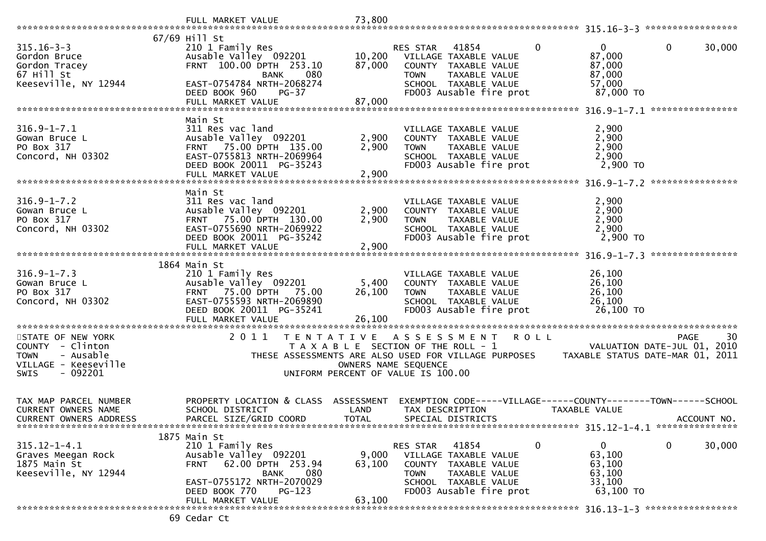|                                                                                                 | FULL MARKET VALUE                                                                                                                                                                           | 73,800                                                                      |                         |                                                                                                                            |              |                                                                   |                                                                               |
|-------------------------------------------------------------------------------------------------|---------------------------------------------------------------------------------------------------------------------------------------------------------------------------------------------|-----------------------------------------------------------------------------|-------------------------|----------------------------------------------------------------------------------------------------------------------------|--------------|-------------------------------------------------------------------|-------------------------------------------------------------------------------|
|                                                                                                 | 67/69 Hill St                                                                                                                                                                               |                                                                             |                         |                                                                                                                            |              |                                                                   |                                                                               |
| $315.16 - 3 - 3$<br>Gordon Bruce<br>Gordon Tracey<br>67 Hill St                                 | 210 1 Family Res<br>Ausable Valley 092201<br>FRNT 100.00 DPTH 253.10<br>080<br><b>BANK</b>                                                                                                  | 10,200<br>87,000                                                            | RES STAR<br><b>TOWN</b> | 41854<br>VILLAGE TAXABLE VALUE<br>COUNTY TAXABLE VALUE<br>TAXABLE VALUE                                                    | $\Omega$     | $\Omega$<br>87,000<br>87,000<br>87,000                            | 0<br>30,000                                                                   |
| Keeseville, NY 12944                                                                            | EAST-0754784 NRTH-2068274<br>DEED BOOK 960<br>$PG-37$<br>FULL MARKET VALUE                                                                                                                  | 87,000                                                                      |                         | SCHOOL TAXABLE VALUE<br>FD003 Ausable fire prot                                                                            |              | 57,000<br>87,000 TO                                               |                                                                               |
|                                                                                                 |                                                                                                                                                                                             |                                                                             |                         |                                                                                                                            |              |                                                                   |                                                                               |
| $316.9 - 1 - 7.1$<br>Gowan Bruce L<br>PO Box 317<br>Concord, NH 03302                           | Main St<br>311 Res vac land<br>Ausable Valley 092201<br>FRNT 75.00 DPTH 135.00<br>EAST-0755813 NRTH-2069964<br>DEED BOOK 20011 PG-35243<br>FULL MARKET VALUE                                | 2,900<br>2,900<br>2,900                                                     | <b>TOWN</b>             | VILLAGE TAXABLE VALUE<br>COUNTY TAXABLE VALUE<br>TAXABLE VALUE<br>SCHOOL TAXABLE VALUE<br>FD003 Ausable fire prot          |              | 2,900<br>2,900<br>2,900<br>2,900<br>2,900 TO                      |                                                                               |
|                                                                                                 |                                                                                                                                                                                             |                                                                             |                         |                                                                                                                            |              |                                                                   |                                                                               |
| $316.9 - 1 - 7.2$<br>Gowan Bruce L<br>PO Box 317<br>Concord, NH 03302                           | Main St<br>311 Res vac land<br>Ausable Valley 092201<br>75.00 DPTH 130.00<br><b>FRNT</b><br>EAST-0755690 NRTH-2069922<br>DEED BOOK 20011 PG-35242<br>FULL MARKET VALUE                      | 2,900<br>2,900<br>2,900                                                     | <b>TOWN</b>             | VILLAGE TAXABLE VALUE<br>COUNTY TAXABLE VALUE<br>TAXABLE VALUE<br>SCHOOL TAXABLE VALUE<br>FD003 Ausable fire prot          |              | 2,900<br>2,900<br>2,900<br>2,900<br>2,900 TO                      |                                                                               |
|                                                                                                 |                                                                                                                                                                                             |                                                                             |                         |                                                                                                                            |              |                                                                   |                                                                               |
| $316.9 - 1 - 7.3$<br>Gowan Bruce L<br>PO Box 317<br>Concord, NH 03302                           | 1864 Main St<br>210 1 Family Res<br>Ausable Valley 092201<br>FRNT 75.00 DPTH 75.00<br>EAST-0755593 NRTH-2069890<br>DEED BOOK 20011 PG-35241<br>FULL MARKET VALUE                            | 5,400<br>26,100<br>26,100                                                   | <b>TOWN</b>             | VILLAGE TAXABLE VALUE<br>COUNTY TAXABLE VALUE<br>TAXABLE VALUE<br>SCHOOL TAXABLE VALUE<br>FD003 Ausable fire prot          |              | 26,100<br>26,100<br>26,100<br>26,100<br>26,100 TO                 |                                                                               |
| STATE OF NEW YORK                                                                               | 2011                                                                                                                                                                                        |                                                                             |                         | TENTATIVE ASSESSMENT ROLL                                                                                                  |              |                                                                   | 30<br>PAGE                                                                    |
| COUNTY - Clinton<br>- Ausable<br><b>TOWN</b><br>VILLAGE - Keeseville<br>- 092201<br><b>SWIS</b> | THESE ASSESSMENTS ARE ALSO USED FOR VILLAGE PURPOSES                                                                                                                                        | T A X A B L E SECTION OF THE ROLL - 1<br>UNIFORM PERCENT OF VALUE IS 100.00 | OWNERS NAME SEQUENCE    |                                                                                                                            |              |                                                                   | VALUATION DATE-JUL 01, 2010<br>TAXABLE STATUS DATE-MAR 01, 2011               |
| TAX MAP PARCEL NUMBER<br>CURRENT OWNERS NAME<br><b>CURRENT OWNERS ADDRESS</b>                   | PROPERTY LOCATION & CLASS<br>SCHOOL DISTRICT<br>PARCEL SIZE/GRID COORD                                                                                                                      | ASSESSMENT<br>LAND<br><b>TOTAL</b>                                          | TAX DESCRIPTION         | SPECIAL DISTRICTS                                                                                                          |              | TAXABLE VALUE                                                     | EXEMPTION CODE-----VILLAGE------COUNTY--------TOWN------SCHOOL<br>ACCOUNT NO. |
|                                                                                                 |                                                                                                                                                                                             |                                                                             |                         |                                                                                                                            |              |                                                                   |                                                                               |
| $315.12 - 1 - 4.1$<br>Graves Meegan Rock<br>1875 Main St<br>Keeseville, NY 12944                | 1875 Main St<br>210 1 Family Res<br>Ausable Valley 092201<br>62.00 DPTH 253.94<br><b>FRNT</b><br>080<br>BANK<br>EAST-0755172 NRTH-2070029<br>DEED BOOK 770<br>$PG-123$<br>FULL MARKET VALUE | 9,000<br>63,100<br>63,100                                                   | RES STAR<br><b>TOWN</b> | 41854<br>VILLAGE TAXABLE VALUE<br>COUNTY TAXABLE VALUE<br>TAXABLE VALUE<br>SCHOOL TAXABLE VALUE<br>FD003 Ausable fire prot | $\mathbf{0}$ | $\mathbf{0}$<br>63,100<br>63,100<br>63,100<br>33,100<br>63,100 TO | 0<br>30,000                                                                   |
|                                                                                                 |                                                                                                                                                                                             |                                                                             |                         |                                                                                                                            |              |                                                                   |                                                                               |
|                                                                                                 | 69 Cedar Ct                                                                                                                                                                                 |                                                                             |                         |                                                                                                                            |              |                                                                   |                                                                               |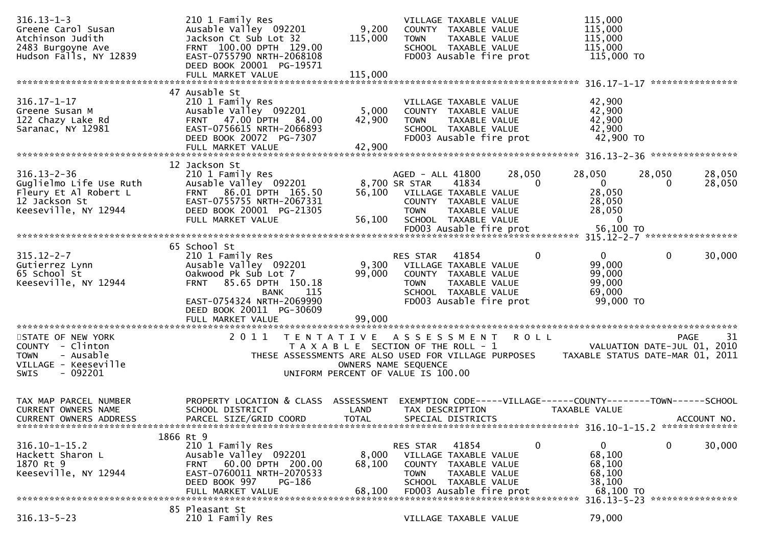| $316.13 - 1 - 3$<br>Greene Carol Susan<br>Atchinson Judith<br>2483 Burgoyne Ave<br>Hudson Falls, NY 12839             | 210 1 Family Res<br>Ausable Valley 092201<br>Jackson Ct Sub Lot 32<br>FRNT 100.00 DPTH 129.00<br>EAST-0755790 NRTH-2068108<br>DEED BOOK 20001 PG-19571<br>FULL MARKET VALUE                   | 9,200<br>115,000<br>115,000 | 115,000<br>VILLAGE TAXABLE VALUE<br>115,000<br>COUNTY TAXABLE VALUE<br>115,000<br><b>TOWN</b><br>TAXABLE VALUE<br>115,000<br>SCHOOL TAXABLE VALUE<br>FD003 Ausable fire prot<br>115,000 TO                                                                                                          |
|-----------------------------------------------------------------------------------------------------------------------|-----------------------------------------------------------------------------------------------------------------------------------------------------------------------------------------------|-----------------------------|-----------------------------------------------------------------------------------------------------------------------------------------------------------------------------------------------------------------------------------------------------------------------------------------------------|
|                                                                                                                       |                                                                                                                                                                                               |                             | ****************                                                                                                                                                                                                                                                                                    |
| $316.17 - 1 - 17$<br>Greene Susan M<br>122 Chazy Lake Rd<br>Saranac, NY 12981                                         | 47 Ausable St<br>210 1 Family Res<br>Ausable Valley 092201<br>FRNT 47.00 DPTH 84.00<br>EAST-0756615 NRTH-2066893<br>DEED BOOK 20072 PG-7307<br>FULL MARKET VALUE                              | 5,000<br>42,900<br>42,900   | 42,900<br>VILLAGE TAXABLE VALUE<br>42,900<br>COUNTY TAXABLE VALUE<br>42,900<br>TAXABLE VALUE<br><b>TOWN</b><br>SCHOOL TAXABLE VALUE<br>42,900<br>FD003 Ausable fire prot<br>42,900 TO                                                                                                               |
|                                                                                                                       | 12 Jackson St                                                                                                                                                                                 |                             |                                                                                                                                                                                                                                                                                                     |
| $316.13 - 2 - 36$<br>Guglielmo Life Use Ruth<br>Fleury Et Al Robert L<br>12 Jackson St<br>Keeseville, NY 12944        | 210 1 Family Res<br>Ausable Valley 092201<br>FRNT 86.01 DPTH 165.50<br>EAST-0755755 NRTH-2067331<br>DEED BOOK 20001 PG-21305<br>FULL MARKET VALUE                                             | 56,100<br>56,100            | 28,050<br>28,050<br>AGED - ALL 41800<br>28,050<br>28,050<br>$\overline{0}$<br>41834<br>$\mathbf{0}$<br>8,700 SR STAR<br>0<br>28,050<br>28,050<br>VILLAGE TAXABLE VALUE<br>28,050<br>COUNTY TAXABLE VALUE<br>28,050<br>TAXABLE VALUE<br><b>TOWN</b><br>SCHOOL TAXABLE VALUE<br>0                     |
|                                                                                                                       |                                                                                                                                                                                               |                             |                                                                                                                                                                                                                                                                                                     |
| $315.12 - 2 - 7$<br>Gutierrez Lynn<br>65 School St<br>Keeseville, NY 12944                                            | 65 School St<br>210 1 Family Res<br>Ausable Valley 092201<br>Oakwood Pk Sub Lot 7<br>85.65 DPTH 150.18<br><b>FRNT</b><br>115<br>BANK<br>EAST-0754324 NRTH-2069990<br>DEED BOOK 20011 PG-30609 | 99,000                      | $\mathbf 0$<br>$\mathbf 0$<br>$\mathbf{0}$<br>30,000<br>RES STAR<br>41854<br>9,300 VILLAGE TAXABLE VALUE<br>99,000<br>99,000<br>COUNTY TAXABLE VALUE<br>99,000<br><b>TOWN</b><br>TAXABLE VALUE<br>69,000<br>SCHOOL TAXABLE VALUE<br>FD003 Ausable fire prot<br>99,000 TO                            |
|                                                                                                                       | FULL MARKET VALUE                                                                                                                                                                             | 99,000                      |                                                                                                                                                                                                                                                                                                     |
| STATE OF NEW YORK<br>COUNTY - Clinton<br>- Ausable<br><b>TOWN</b><br>VILLAGE - Keeseville<br>$-092201$<br><b>SWIS</b> | 2011                                                                                                                                                                                          |                             | <b>ROLL</b><br>-31<br>TENTATIVE ASSESSMENT<br>PAGE<br>T A X A B L E SECTION OF THE ROLL - 1<br>VALUATION DATE-JUL 01, 2010<br>THESE ASSESSMENTS ARE ALSO USED FOR VILLAGE PURPOSES<br>TAXABLE STATUS DATE-MAR 01, 2011<br>OWNERS NAME SEQUENCE<br>UNIFORM PERCENT OF VALUE IS 100.00                |
| TAX MAP PARCEL NUMBER<br><b>CURRENT OWNERS NAME</b><br><b>CURRENT OWNERS ADDRESS</b>                                  | PROPERTY LOCATION & CLASS ASSESSMENT<br>SCHOOL DISTRICT<br>PARCEL SIZE/GRID COORD                                                                                                             | LAND<br><b>TOTAL</b>        | EXEMPTION CODE-----VILLAGE------COUNTY--------TOWN------SCHOOL<br>TAX DESCRIPTION<br>TAXABLE VALUE<br>SPECIAL DISTRICTS<br>ACCOUNT NO.                                                                                                                                                              |
| $316.10 - 1 - 15.2$<br>Hackett Sharon L<br>1870 Rt 9<br>Keeseville, NY 12944                                          | 1866 Rt 9<br>210 1 Family Res<br>Ausable Valley 092201<br>60.00 DPTH 200.00<br><b>FRNT</b><br>EAST-0760011 NRTH-2070533<br>DEED BOOK 997<br>PG-186<br>FULL MARKET VALUE                       | 8,000<br>68,100<br>68.100   | 0<br>$\mathbf 0$<br>$\mathbf{0}$<br>30,000<br>41854<br>RES STAR<br>68,100<br>VILLAGE TAXABLE VALUE<br>68,100<br><b>COUNTY</b><br>TAXABLE VALUE<br>68,100<br><b>TOWN</b><br>TAXABLE VALUE<br>38,100<br>SCHOOL TAXABLE VALUE<br>FD003 Ausable fire prot<br>68,100 TO<br>316.13-5-23 ***************** |
| $316.13 - 5 - 23$                                                                                                     | 85 Pleasant St<br>210 1 Family Res                                                                                                                                                            |                             | 79,000<br>VILLAGE TAXABLE VALUE                                                                                                                                                                                                                                                                     |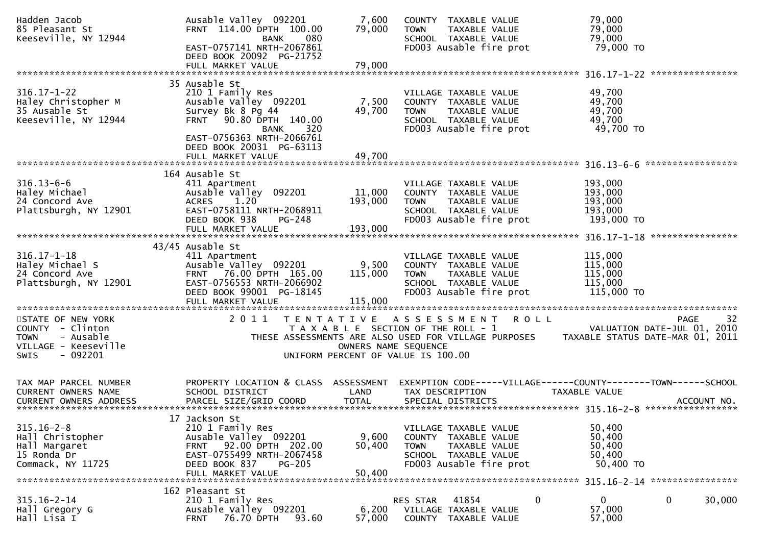| Hadden Jacob<br>85 Pleasant St<br>Keeseville, NY 12944                                                                | Ausable Valley 092201<br>FRNT 114.00 DPTH 100.00<br>080<br><b>BANK</b><br>EAST-0757141 NRTH-2067861<br>DEED BOOK 20092 PG-21752                                                                                         | 7,600<br>79,000<br><b>TOWN</b>                                                                      | COUNTY TAXABLE VALUE<br>TAXABLE VALUE<br>SCHOOL TAXABLE VALUE<br>FD003 Ausable fire prot                          | 79,000<br>79,000<br>79,000<br>79,000 TO                                              |
|-----------------------------------------------------------------------------------------------------------------------|-------------------------------------------------------------------------------------------------------------------------------------------------------------------------------------------------------------------------|-----------------------------------------------------------------------------------------------------|-------------------------------------------------------------------------------------------------------------------|--------------------------------------------------------------------------------------|
|                                                                                                                       | FULL MARKET VALUE                                                                                                                                                                                                       | 79,000                                                                                              |                                                                                                                   |                                                                                      |
| $316.17 - 1 - 22$<br>Haley Christopher M<br>35 Ausable St<br>Keeseville, NY 12944                                     | 35 Ausable St<br>210 1 Family Res<br>Ausable Valley 092201<br>Survey Bk 8 Pg 44<br>90.80 DPTH 140.00<br><b>FRNT</b><br>320<br><b>BANK</b><br>EAST-0756363 NRTH-2066761<br>DEED BOOK 20031 PG-63113<br>FULL MARKET VALUE | 7,500<br>49,700<br><b>TOWN</b><br>49,700                                                            | VILLAGE TAXABLE VALUE<br>COUNTY TAXABLE VALUE<br>TAXABLE VALUE<br>SCHOOL TAXABLE VALUE<br>FD003 Ausable fire prot | 49,700<br>49,700<br>49,700<br>49,700<br>49,700 TO                                    |
|                                                                                                                       |                                                                                                                                                                                                                         |                                                                                                     |                                                                                                                   |                                                                                      |
| $316.13 - 6 - 6$<br>Haley Michael<br>24 Concord Ave<br>Plattsburgh, NY 12901                                          | 164 Ausable St<br>411 Apartment<br>Ausable Valley 092201<br>1.20<br><b>ACRES</b><br>EAST-0758111 NRTH-2068911<br>DEED BOOK 938<br>PG-248                                                                                | 11,000<br>193,000<br>TOWN                                                                           | VILLAGE TAXABLE VALUE<br>COUNTY TAXABLE VALUE<br>TAXABLE VALUE<br>SCHOOL TAXABLE VALUE<br>FD003 Ausable fire prot | 193,000<br>193,000<br>193,000<br>193,000<br>193,000 TO                               |
|                                                                                                                       | 43/45 Ausable St                                                                                                                                                                                                        |                                                                                                     |                                                                                                                   |                                                                                      |
| $316.17 - 1 - 18$<br>Haley Michael S<br>24 Concord Ave<br>Plattsburgh, NY 12901                                       | 411 Apartment<br>Ausable Valley 092201<br>FRNT 76.00 DPTH 165.00<br>EAST-0756553 NRTH-2066902<br>DEED BOOK 99001 PG-18145<br>FULL MARKET VALUE                                                                          | 9,500<br>115,000<br><b>TOWN</b><br>115,000                                                          | VILLAGE TAXABLE VALUE<br>COUNTY TAXABLE VALUE<br>TAXABLE VALUE<br>SCHOOL TAXABLE VALUE<br>FD003 Ausable fire prot | 115,000<br>115,000<br>115,000<br>115,000<br>115,000 TO                               |
| STATE OF NEW YORK<br>COUNTY - Clinton<br>- Ausable<br><b>TOWN</b><br>VILLAGE - Keeseville<br>$-092201$<br><b>SWIS</b> | 2011<br>T E N T A T I V E                                                                                                                                                                                               | T A X A B L E SECTION OF THE ROLL - 1<br>OWNERS NAME SEQUENCE<br>UNIFORM PERCENT OF VALUE IS 100.00 | A S S E S S M E N T<br>R O L L<br>THESE ASSESSMENTS ARE ALSO USED FOR VILLAGE PURPOSES                            | 32<br><b>PAGE</b><br>VALUATION DATE-JUL 01, 2010<br>TAXABLE STATUS DATE-MAR 01, 2011 |
| TAX MAP PARCEL NUMBER<br>CURRENT OWNERS NAME                                                                          | PROPERTY LOCATION & CLASS ASSESSMENT<br>SCHOOL DISTRICT                                                                                                                                                                 | LAND                                                                                                | TAX DESCRIPTION                                                                                                   | EXEMPTION CODE-----VILLAGE------COUNTY--------TOWN------SCHOOL<br>TAXABLE VALUE      |
| $315.16 - 2 - 8$<br>Hall Christopher<br>Hall Margaret<br>15 Ronda Dr<br>Commack, NY 11725                             | 17 Jackson St<br>210 1 Family Res<br>Ausable Valley 092201<br>92.00 DPTH 202.00<br><b>FRNT</b><br>EAST-0755499 NRTH-2067458<br>DEED BOOK 837<br><b>PG-205</b><br>FULL MARKET VALUE                                      | 9,600<br>50,400<br><b>TOWN</b><br>50,400                                                            | VILLAGE TAXABLE VALUE<br>COUNTY TAXABLE VALUE<br>TAXABLE VALUE<br>SCHOOL TAXABLE VALUE<br>FD003 Ausable fire prot | 50,400<br>50,400<br>50,400<br>50,400<br>50,400 TO                                    |
| $315.16 - 2 - 14$<br>Hall Gregory G<br>Hall Lisa I                                                                    | 162 Pleasant St<br>210 1 Family Res<br>Ausable Valley 092201<br>76.70 DPTH<br><b>FRNT</b><br>93.60                                                                                                                      | RES STAR<br>6,200<br>57,000                                                                         | 41854<br>0<br>VILLAGE TAXABLE VALUE<br>COUNTY TAXABLE VALUE                                                       | 0<br>0<br>30,000<br>57,000<br>57,000                                                 |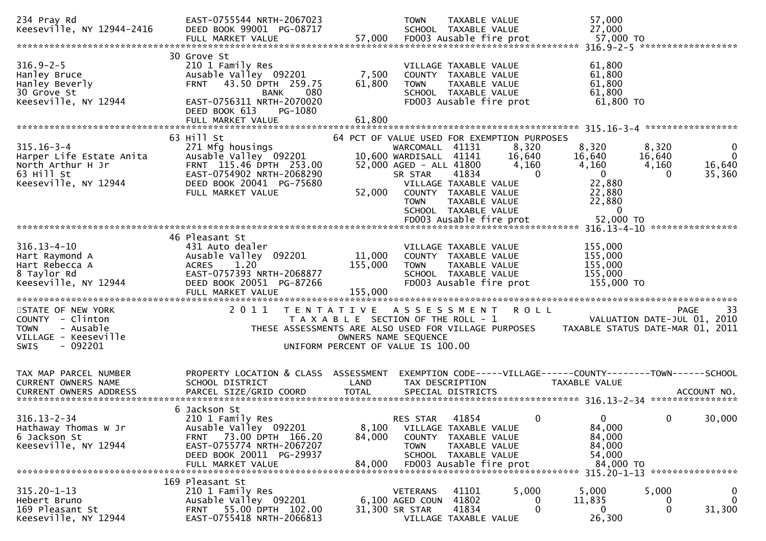| 234 Pray Rd<br>Keeseville, NY 12944-2416                                                                                                                                                                         | EAST-0755544 NRTH-2067023<br>DEED BOOK 99001 PG-08717                                                                                                             |                                                                                                     | <b>TOWN</b>                                                                                    | TAXABLE VALUE<br>SCHOOL TAXABLE VALUE                                                                               |                                      | 57,000<br>27,000                                                                           |                                                                               |
|------------------------------------------------------------------------------------------------------------------------------------------------------------------------------------------------------------------|-------------------------------------------------------------------------------------------------------------------------------------------------------------------|-----------------------------------------------------------------------------------------------------|------------------------------------------------------------------------------------------------|---------------------------------------------------------------------------------------------------------------------|--------------------------------------|--------------------------------------------------------------------------------------------|-------------------------------------------------------------------------------|
|                                                                                                                                                                                                                  |                                                                                                                                                                   |                                                                                                     |                                                                                                |                                                                                                                     |                                      |                                                                                            |                                                                               |
| $316.9 - 2 - 5$<br>Hanley Bruce<br>Hanley Beverly<br>30 Grove St<br>Keeseville, NY 12944                                                                                                                         | 30 Grove St<br>210 1 Family Res<br>Ausable Valley 092201<br>FRNT 43.50 DPTH 259.75<br><b>BANK</b><br>080<br>EAST-0756311 NRTH-2070020<br>DEED BOOK 613<br>PG-1080 | 7,500<br>61,800                                                                                     | <b>TOWN</b>                                                                                    | VILLAGE TAXABLE VALUE<br>COUNTY TAXABLE VALUE<br>TAXABLE VALUE<br>SCHOOL TAXABLE VALUE<br>FD003 Ausable fire prot   |                                      | 61,800<br>61,800<br>61,800<br>61,800<br>61,800 TO                                          |                                                                               |
|                                                                                                                                                                                                                  | FULL MARKET VALUE                                                                                                                                                 | 61,800                                                                                              |                                                                                                |                                                                                                                     |                                      |                                                                                            |                                                                               |
|                                                                                                                                                                                                                  |                                                                                                                                                                   |                                                                                                     |                                                                                                |                                                                                                                     |                                      |                                                                                            |                                                                               |
|                                                                                                                                                                                                                  | 63 Hill St                                                                                                                                                        | 64 PCT OF VALUE USED FOR EXEMPTION PURPOSES                                                         |                                                                                                |                                                                                                                     |                                      |                                                                                            |                                                                               |
| $315.16 - 3 - 4$<br>Harper Life Estate Anita<br>North Arthur H Jr<br>63 Hill St<br>Keeseville, NY 12944                                                                                                          | 271 Mfg housings<br>Ausable Valley 092201<br>FRNT 115.46 DPTH 253.00<br>EAST-0754902 NRTH-2068290<br>DEED BOOK 20041 PG-75680<br>FULL MARKET VALUE                | 52,000                                                                                              | WARCOMALL 41131<br>10,600 WARDISALL 41141<br>52,000 AGED - ALL 41800<br>SR STAR<br><b>TOWN</b> | 41834<br>VILLAGE TAXABLE VALUE<br>COUNTY TAXABLE VALUE<br>TAXABLE VALUE<br>SCHOOL TAXABLE VALUE                     | 8,320<br>16,640<br>4,160<br>$\Omega$ | 8,320<br>16,640<br>4,160<br>$\overline{0}$<br>22,880<br>22,880<br>22,880<br>$\overline{0}$ | 8,320<br>0<br>$\overline{0}$<br>16,640<br>4,160<br>16,640<br>35,360           |
|                                                                                                                                                                                                                  |                                                                                                                                                                   |                                                                                                     |                                                                                                |                                                                                                                     |                                      |                                                                                            |                                                                               |
| $316.13 - 4 - 10$<br>Hart Raymond A<br>Hart Rebecca A<br>8 Taylor Rd<br>Keeseville, NY 12944                                                                                                                     | 46 Pleasant St<br>431 Auto dealer<br>Ausable Valley 092201<br><b>ACRES</b><br>1.20<br>EAST-0757393 NRTH-2068877<br>DEED BOOK 20051 PG-87266                       | 11,000<br>155,000                                                                                   | <b>TOWN</b>                                                                                    | VILLAGE TAXABLE VALUE<br>COUNTY TAXABLE VALUE<br>TAXABLE VALUE<br>SCHOOL TAXABLE VALUE<br>FD003 Ausable fire prot   |                                      | 155,000<br>155,000<br>155,000<br>155,000<br>155,000 TO                                     |                                                                               |
| STATE OF NEW YORK<br>COUNTY - Clinton<br>- Ausable<br><b>TOWN</b><br>VILLAGE - Keeseville<br><b>SWIS</b><br>- 092201                                                                                             | 2011<br>THESE ASSESSMENTS ARE ALSO USED FOR VILLAGE PURPOSES                                                                                                      | TENTATIVE ASSESSMENT<br>T A X A B L E SECTION OF THE ROLL - 1<br>UNIFORM PERCENT OF VALUE IS 100.00 | OWNERS NAME SEQUENCE                                                                           |                                                                                                                     | R O L L                              |                                                                                            | 33<br>PAGE<br>VALUATION DATE-JUL 01, 2010<br>TAXABLE STATUS DATE-MAR 01, 2011 |
| TAX MAP PARCEL NUMBER<br><b>CURRENT OWNERS NAME</b><br>.CURRENT OWNERS ADDRESS PARCEL SIZE/GRID COORD TOTAL SPECIAL DISTRICTS ACCOUNT NO ACCOUNT NO ACCOUNT NO AND ARCEL SIZE/GRID COORD TOTAL SPECIAL DISTRICTS | PROPERTY LOCATION & CLASS ASSESSMENT<br>SCHOOL DISTRICT                                                                                                           | LAND                                                                                                | TAX DESCRIPTION                                                                                |                                                                                                                     |                                      | TAXABLE VALUE                                                                              | EXEMPTION CODE-----VILLAGE------COUNTY--------TOWN------SCHOOL                |
| $316.13 - 2 - 34$<br>Hathaway Thomas W Jr<br>6 Jackson St<br>Keeseville, NY 12944                                                                                                                                | 6 Jackson St<br>210 1 Family Res<br>Ausable Valley 092201<br>FRNT 73.00 DPTH 166.20<br>EAST-0755774 NRTH-2067207<br>DEED BOOK 20011 PG-29937<br>FULL MARKET VALUE | 8,100<br>84,000<br>84,000                                                                           | <b>RES STAR</b><br><b>COUNTY</b><br><b>TOWN</b>                                                | 41854<br>VILLAGE TAXABLE VALUE<br>TAXABLE VALUE<br>TAXABLE VALUE<br>SCHOOL TAXABLE VALUE<br>FD003 Ausable fire prot | $\mathbf{0}$                         | $\mathbf{0}$<br>84,000<br>84,000<br>84,000<br>54,000<br>84,000 TO                          | 30,000<br>$\bf{0}$<br>315.20-1-13 *****************                           |
| $315.20 - 1 - 13$<br>Hebert Bruno<br>169 Pleasant St<br>Keeseville, NY 12944                                                                                                                                     | 169 Pleasant St<br>210 1 Family Res<br>Ausable Valley 092201<br>55.00 DPTH 102.00<br>FRNT<br>EAST-0755418 NRTH-2066813                                            |                                                                                                     | <b>VETERANS</b><br>6,100 AGED COUN<br>31,300 SR STAR                                           | 41101<br>41802<br>41834<br>VILLAGE TAXABLE VALUE                                                                    | 5,000<br>0                           | 5,000<br>11,835<br>0<br>26,300                                                             | 5,000<br>0<br>$\Omega$<br>31,300<br>0                                         |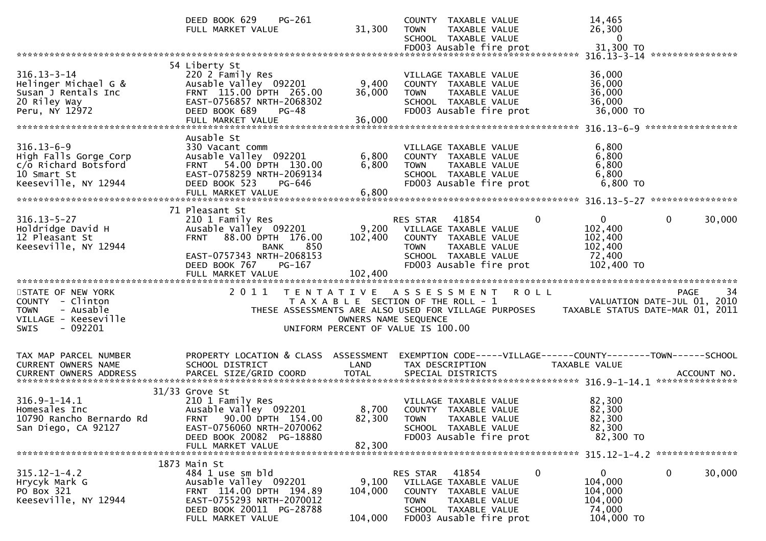|                                                                                                                      | DEED BOOK 629<br>PG-261<br>FULL MARKET VALUE                                                                                                                                                       | 31,300                                    | COUNTY TAXABLE VALUE<br><b>TOWN</b><br>TAXABLE VALUE<br>SCHOOL TAXABLE VALUE                                                                                                                |             | 14,465<br>26,300<br>$\Omega$                                          |                                           |
|----------------------------------------------------------------------------------------------------------------------|----------------------------------------------------------------------------------------------------------------------------------------------------------------------------------------------------|-------------------------------------------|---------------------------------------------------------------------------------------------------------------------------------------------------------------------------------------------|-------------|-----------------------------------------------------------------------|-------------------------------------------|
|                                                                                                                      |                                                                                                                                                                                                    |                                           |                                                                                                                                                                                             |             |                                                                       |                                           |
| $316.13 - 3 - 14$<br>Helinger Michael G &<br>Susan J Rentals Inc<br>20 Riley Way<br>Peru, NY 12972                   | 54 Liberty St<br>220 2 Family Res<br>Ausable Valley 092201<br>FRNT 115.00 DPTH 265.00<br>EAST-0756857 NRTH-2068302<br>DEED BOOK 689<br>PG-48<br>FULL MARKET VALUE                                  | 9,400<br>36,000<br>36,000                 | VILLAGE TAXABLE VALUE<br>COUNTY TAXABLE VALUE<br>TAXABLE VALUE<br><b>TOWN</b><br>SCHOOL TAXABLE VALUE<br>FD003 Ausable fire prot                                                            |             | 36,000<br>36,000<br>36,000<br>36,000<br>36,000 TO                     |                                           |
|                                                                                                                      | Ausable St                                                                                                                                                                                         |                                           |                                                                                                                                                                                             |             |                                                                       |                                           |
| $316.13 - 6 - 9$<br>High Falls Gorge Corp<br>c/o Richard Botsford<br>10 Smart St<br>Keeseville, NY 12944             | 330 Vacant comm<br>Ausable Valley 092201<br>FRNT 54.00 DPTH 130.00<br>EAST-0758259 NRTH-2069134<br>DEED BOOK 523<br>PG-646                                                                         | 6,800<br>6,800                            | VILLAGE TAXABLE VALUE<br>COUNTY TAXABLE VALUE<br>TAXABLE VALUE<br>TOWN<br>SCHOOL TAXABLE VALUE<br>FD003 Ausable fire prot                                                                   |             | 6,800<br>6,800<br>6,800<br>6,800<br>6,800 TO                          |                                           |
|                                                                                                                      |                                                                                                                                                                                                    |                                           |                                                                                                                                                                                             |             |                                                                       |                                           |
| $316.13 - 5 - 27$<br>Holdridge David H<br>12 Pleasant St<br>Keeseville, NY 12944                                     | 71 Pleasant St<br>210 1 Family Res<br>Ausable Valley 092201<br>88.00 DPTH 176.00<br><b>FRNT</b><br>850<br><b>BANK</b><br>EAST-0757343 NRTH-2068153<br>DEED BOOK 767<br>PG-167<br>FULL MARKET VALUE | 9,200<br>102,400<br>102,400               | 41854<br>RES STAR<br>VILLAGE TAXABLE VALUE<br>COUNTY TAXABLE VALUE<br>TAXABLE VALUE<br><b>TOWN</b><br>SCHOOL TAXABLE VALUE<br>FD003 Ausable fire prot                                       | 0           | $\mathbf{0}$<br>102,400<br>102,400<br>102,400<br>72,400<br>102,400 TO | $\mathbf 0$<br>30,000                     |
|                                                                                                                      |                                                                                                                                                                                                    |                                           |                                                                                                                                                                                             |             |                                                                       |                                           |
| STATE OF NEW YORK<br>COUNTY - Clinton<br>- Ausable<br><b>TOWN</b><br>VILLAGE - Keeseville<br>- 092201<br><b>SWIS</b> | 2011                                                                                                                                                                                               | T E N T A T I V E<br>OWNERS NAME SEQUENCE | A S S E S S M E N T<br>T A X A B L E SECTION OF THE ROLL - 1<br>THESE ASSESSMENTS ARE ALSO USED FOR VILLAGE PURPOSES TAXABLE STATUS DATE-MAR 01, 2011<br>UNIFORM PERCENT OF VALUE IS 100.00 | <b>ROLL</b> |                                                                       | PAGE<br>34<br>VALUATION DATE-JUL 01, 2010 |
| TAX MAP PARCEL NUMBER<br>CURRENT OWNERS NAME<br>CURRENT OWNERS ADDRESS                                               | PROPERTY LOCATION & CLASS ASSESSMENT<br>SCHOOL DISTRICT<br>PARCEL SIZE/GRID COORD                                                                                                                  | LAND<br><b>TOTAL</b>                      | EXEMPTION CODE-----VILLAGE------COUNTY-------TOWN------SCHOOL<br>TAX DESCRIPTION<br>SPECIAL DISTRICTS                                                                                       |             | TAXABLE VALUE                                                         | ACCOUNT NO.                               |
| $316.9 - 1 - 14.1$<br>Homesales Inc<br>10790 Rancho Bernardo Rd<br>San Diego, CA 92127                               | $31/33$ Grove St<br>210 1 Family Res<br>Ausable Valley 092201<br>FRNT 90.00 DPTH 154.00<br>EAST-0756060 NRTH-2070062<br>DEED BOOK 20082 PG-18880<br>FULL MARKET VALUE                              | 82,300                                    | VILLAGE TAXABLE VALUE<br>8,700 COUNTY TAXABLE VALUE<br>82,300 TOWN TAXABLE VALUE<br>SCHOOL TAXABLE VALUE<br>FD003 Ausable fire prot                                                         |             | 82,300<br>82,300<br>82,300<br>82,300<br>82,300 TO                     |                                           |
|                                                                                                                      |                                                                                                                                                                                                    |                                           |                                                                                                                                                                                             |             |                                                                       |                                           |
| $315.12 - 1 - 4.2$<br>Hrycyk Mark G<br>PO Box 321<br>Keeseville, NY 12944                                            | 1873 Main St<br>484 1 use sm bld<br>Ausable Valley 092201<br>FRNT 114.00 DPTH 194.89<br>EAST-0755293 NRTH-2070012<br>DEED BOOK 20011 PG-28788<br>FULL MARKET VALUE                                 | 9,100<br>104,000<br>104,000               | RES STAR<br>41854<br>VILLAGE TAXABLE VALUE<br>COUNTY TAXABLE VALUE<br><b>TOWN</b><br>TAXABLE VALUE<br>SCHOOL TAXABLE VALUE<br>FD003 Ausable fire prot                                       | 0           | 0<br>104,000<br>104,000<br>104,000<br>74,000<br>104,000 TO            | $\mathbf{0}$<br>30,000                    |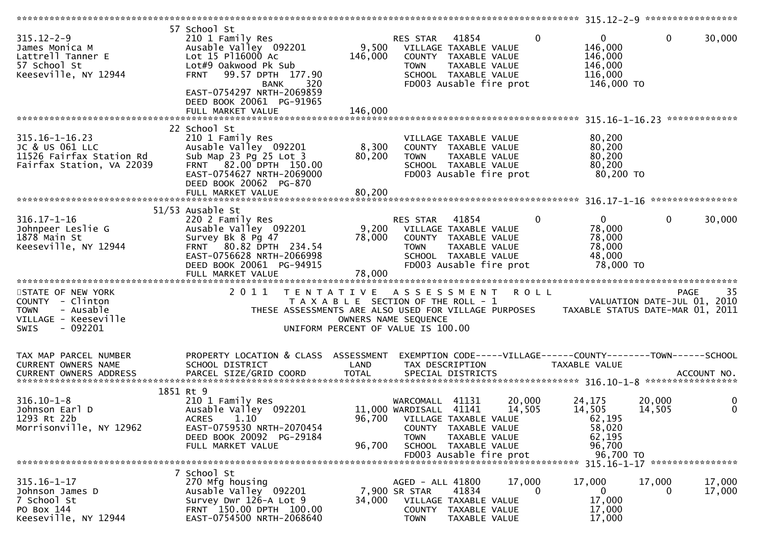| $315.12 - 2 - 9$<br>James Monica M<br>Lattrell Tanner E<br>57 School St<br>Keeseville, NY 12944                       | 57 School St<br>210 1 Family Res<br>Ausable Valley 092201<br>Lot 15 P116000 Ac<br>Lot#9 Oakwood Pk Sub<br>99.57 DPTH 177.90<br><b>FRNT</b><br>320<br><b>BANK</b><br>EAST-0754297 NRTH-2069859 | 9,500<br>146,000                                                                                         | RES STAR<br><b>TOWN</b>                                                                  | 41854<br>VILLAGE TAXABLE VALUE<br>COUNTY TAXABLE VALUE<br>TAXABLE VALUE<br>SCHOOL TAXABLE VALUE<br>FD003 Ausable fire prot | $\mathbf 0$      | $\mathbf{0}$<br>146,000<br>146,000<br>146,000<br>116,000<br>146,000 TO                | $\mathbf{0}$     | 30,000                                    |
|-----------------------------------------------------------------------------------------------------------------------|-----------------------------------------------------------------------------------------------------------------------------------------------------------------------------------------------|----------------------------------------------------------------------------------------------------------|------------------------------------------------------------------------------------------|----------------------------------------------------------------------------------------------------------------------------|------------------|---------------------------------------------------------------------------------------|------------------|-------------------------------------------|
|                                                                                                                       | DEED BOOK 20061 PG-91965<br>FULL MARKET VALUE                                                                                                                                                 | 146,000                                                                                                  |                                                                                          |                                                                                                                            |                  |                                                                                       |                  |                                           |
| $315.16 - 1 - 16.23$<br>JC & US 061 LLC<br>11526 Fairfax Station Rd<br>Fairfax Station, VA 22039                      | 22 School St<br>210 1 Family Res<br>Ausable Valley 092201<br>Sub Map 23 Pg 25 Lot 3<br>FRNT 82.00 DPTH 150.00<br>EAST-0754627 NRTH-2069000<br>DEED BOOK 20062 PG-870                          | 8,300<br>80,200                                                                                          | <b>TOWN</b>                                                                              | VILLAGE TAXABLE VALUE<br>COUNTY TAXABLE VALUE<br>TAXABLE VALUE<br>SCHOOL TAXABLE VALUE<br>FD003 Ausable fire prot          |                  | 80,200<br>80,200<br>80,200<br>80,200<br>80,200 TO                                     |                  |                                           |
|                                                                                                                       | FULL MARKET VALUE                                                                                                                                                                             | 80,200                                                                                                   |                                                                                          |                                                                                                                            |                  |                                                                                       |                  |                                           |
| $316.17 - 1 - 16$<br>Johnpeer Leslie G<br>1878 Main St<br>Keeseville, NY 12944                                        | 51/53 Ausable St<br>220 2 Family Res<br>Ausable Valley 092201<br>Survey Bk 8 Pg 47<br>FRNT 80.82 DPTH 234.54<br>EAST-0756628 NRTH-2066998<br>DEED BOOK 20061 PG-94915                         | 9,200<br>78,000                                                                                          | RES STAR<br><b>TOWN</b>                                                                  | 41854<br>VILLAGE TAXABLE VALUE<br>COUNTY TAXABLE VALUE<br>TAXABLE VALUE<br>SCHOOL TAXABLE VALUE<br>FD003 Ausable fire prot | $\mathbf{0}$     | $\mathbf{0}$<br>78,000<br>78,000<br>78,000<br>48,000<br>78,000 TO                     | $\mathbf{0}$     | 30,000                                    |
| STATE OF NEW YORK<br>COUNTY - Clinton<br>- Ausable<br><b>TOWN</b><br>VILLAGE - Keeseville<br>$-092201$<br><b>SWIS</b> | 2011<br>THESE ASSESSMENTS ARE ALSO USED FOR VILLAGE PURPOSES                                                                                                                                  | TENTATIVE ASSESSMENT ROLL<br>T A X A B L E SECTION OF THE ROLL - 1<br>UNIFORM PERCENT OF VALUE IS 100.00 | OWNERS NAME SEQUENCE                                                                     |                                                                                                                            |                  | TAXABLE STATUS DATE-MAR 01, 2011                                                      |                  | 35<br>PAGE<br>VALUATION DATE-JUL 01, 2010 |
| TAX MAP PARCEL NUMBER<br>CURRENT OWNERS NAME                                                                          | PROPERTY LOCATION & CLASS ASSESSMENT<br>SCHOOL DISTRICT                                                                                                                                       | LAND                                                                                                     |                                                                                          | TAX DESCRIPTION                                                                                                            |                  | EXEMPTION CODE-----VILLAGE------COUNTY-------TOWN------SCHOOL<br><b>TAXABLE VALUE</b> |                  |                                           |
| $316.10 - 1 - 8$<br>Johnson Earl D<br>1293 Rt 22b<br>Morrisonville, NY 12962                                          | 1851 Rt 9<br>210 1 Family Res<br>Ausable Valley 092201<br><b>ACRES</b><br>1.10<br>EAST-0759530 NRTH-2070454<br>DEED BOOK 20092 PG-29184<br>FULL MARKET VALUE                                  | 96,700                                                                                                   | WARCOMALL 41131<br>11,000 WARDISALL 41141<br>96,700 VILLAGE TAXABLE VALUE<br><b>TOWN</b> | COUNTY TAXABLE VALUE<br>TAXABLE VALUE<br>SCHOOL TAXABLE VALUE<br>FD003 Ausable fire prot                                   | 20,000<br>14,505 | 24,175<br>14,505<br>62,195<br>58,020<br>62,195<br>96,700<br>96,700 TO                 | 20,000<br>14,505 | 0<br>$\mathbf{0}$                         |
|                                                                                                                       |                                                                                                                                                                                               |                                                                                                          |                                                                                          |                                                                                                                            |                  |                                                                                       |                  |                                           |
| $315.16 - 1 - 17$<br>Johnson James D<br>7 School St<br>PO Box 144<br>Keeseville, NY 12944                             | 7 School St<br>270 Mfg housing<br>Ausable Valley 092201<br>Survey Dwr 126-A Lot 9<br>FRNT 150.00 DPTH 100.00<br>EAST-0754500 NRTH-2068640                                                     | 34,000                                                                                                   | AGED - ALL 41800<br>7,900 SR STAR<br><b>TOWN</b>                                         | 41834<br>VILLAGE TAXABLE VALUE<br>COUNTY TAXABLE VALUE<br>TAXABLE VALUE                                                    | 17,000<br>0      | 17,000<br>$\mathbf{0}$<br>17,000<br>17,000<br>17,000                                  | 17,000<br>0      | 17,000<br>17,000                          |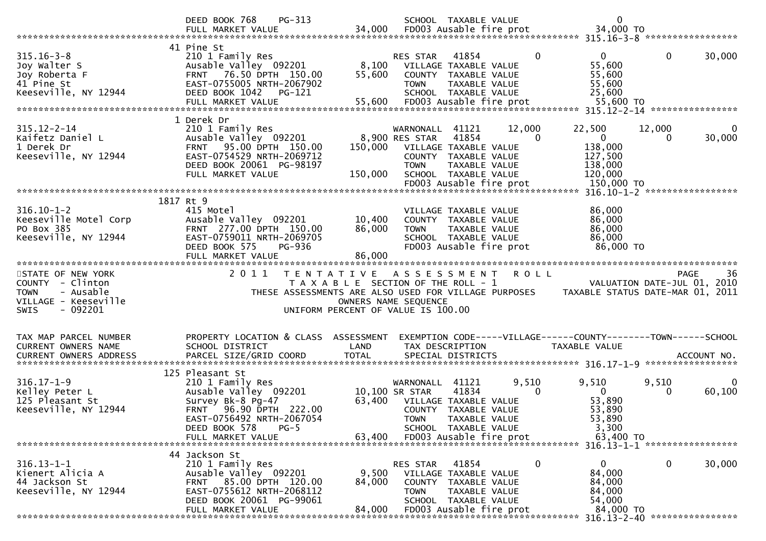|                                                                                                  | PG-313<br>DEED BOOK 768<br>FULL MARKET VALUE                                                                                                                                                       | 34,000                                                                      |                                                                            | SCHOOL TAXABLE VALUE<br>FD003 Ausable fire prot                                                                            |                    | $\mathbf 0$<br>34,000 TO                                                         |                                |                       |
|--------------------------------------------------------------------------------------------------|----------------------------------------------------------------------------------------------------------------------------------------------------------------------------------------------------|-----------------------------------------------------------------------------|----------------------------------------------------------------------------|----------------------------------------------------------------------------------------------------------------------------|--------------------|----------------------------------------------------------------------------------|--------------------------------|-----------------------|
| $315.16 - 3 - 8$<br>Joy Walter S<br>Joy Roberta F<br>41 Pine St<br>Keeseville, NY 12944          | 41 Pine St<br>210 1 Family Res<br>Ausable Valley 092201<br>FRNT 76.50 DPTH 150.00<br>EAST-0755005 NRTH-2067902<br>DEED BOOK 1042<br>PG-121                                                         | 8,100<br>55,600                                                             | RES STAR<br><b>TOWN</b>                                                    | 41854<br>VILLAGE TAXABLE VALUE<br>COUNTY TAXABLE VALUE<br>TAXABLE VALUE<br>SCHOOL TAXABLE VALUE                            | $\mathbf{0}$       | $\mathbf{0}$<br>55,600<br>55,600<br>55,600<br>25,600                             | $\mathbf{0}$                   | 30,000                |
|                                                                                                  |                                                                                                                                                                                                    |                                                                             |                                                                            |                                                                                                                            |                    | 55,600 TO                                                                        | 315.12-2-14 *****************  |                       |
| $315.12 - 2 - 14$<br>Kaifetz Daniel L<br>1 Derek Dr<br>Keeseville, NY 12944                      | 1 Derek Dr<br>210 1 Family Res<br>Ausable Valley 092201<br>95.00 DPTH 150.00<br><b>FRNT</b><br>EAST-0754529 NRTH-2069712<br>DEED BOOK 20061 PG-98197<br>FULL MARKET VALUE                          | 150,000<br>150,000                                                          | WARNONALL 41121<br>8,900 RES STAR<br><b>TOWN</b>                           | 41854<br>VILLAGE TAXABLE VALUE<br>COUNTY TAXABLE VALUE<br>TAXABLE VALUE<br>SCHOOL TAXABLE VALUE<br>FD003 Ausable fire prot | 12,000<br>$\Omega$ | 22,500<br>$\mathbf{0}$<br>138,000<br>127,500<br>138,000<br>120,000<br>150,000 TO | 12,000<br>$\Omega$             | $\bf{0}$<br>30,000    |
|                                                                                                  |                                                                                                                                                                                                    |                                                                             |                                                                            |                                                                                                                            |                    |                                                                                  |                                |                       |
| $316.10 - 1 - 2$<br>Keeseville Motel Corp<br>PO Box 385<br>Keeseville, NY 12944                  | 1817 Rt 9<br>415 Motel<br>Ausable Valley 092201<br>FRNT 277.00 DPTH 150.00<br>EAST-0759011 NRTH-2069705<br>DEED BOOK 575<br><b>PG-936</b>                                                          | 10,400<br>86,000                                                            | <b>TOWN</b>                                                                | VILLAGE TAXABLE VALUE<br>COUNTY TAXABLE VALUE<br>TAXABLE VALUE<br>SCHOOL TAXABLE VALUE<br>FD003 Ausable fire prot          |                    | 86,000<br>86,000<br>86,000<br>86,000<br>86,000 TO                                |                                |                       |
|                                                                                                  | FULL MARKET VALUE                                                                                                                                                                                  | 86,000                                                                      |                                                                            |                                                                                                                            |                    |                                                                                  |                                |                       |
| STATE OF NEW YORK                                                                                | 2 0 1 1<br>T E N T A T I V E                                                                                                                                                                       |                                                                             | A S S E S S M E N T                                                        |                                                                                                                            | <b>ROLL</b>        |                                                                                  | <b>PAGE</b>                    | 36                    |
| COUNTY - Clinton<br><b>TOWN</b><br>- Ausable<br>VILLAGE - Keeseville<br>$-092201$<br><b>SWIS</b> | THESE ASSESSMENTS ARE ALSO USED FOR VILLAGE PURPOSES                                                                                                                                               | T A X A B L E SECTION OF THE ROLL - 1<br>UNIFORM PERCENT OF VALUE IS 100.00 | OWNERS NAME SEQUENCE                                                       |                                                                                                                            |                    | TAXABLE STATUS DATE-MAR 01, 2011                                                 | VALUATION DATE-JUL 01, 2010    |                       |
| TAX MAP PARCEL NUMBER<br><b>CURRENT OWNERS NAME</b><br><b>CURRENT OWNERS ADDRESS</b>             | PROPERTY LOCATION & CLASS ASSESSMENT<br>SCHOOL DISTRICT<br>PARCEL SIZE/GRID COORD                                                                                                                  | LAND<br><b>TOTAL</b>                                                        |                                                                            | TAX DESCRIPTION<br>SPECIAL DISTRICTS                                                                                       |                    | EXEMPTION CODE-----VILLAGE------COUNTY--------TOWN------SCHOOL<br>TAXABLE VALUE  |                                | ACCOUNT NO.           |
| $316.17 - 1 - 9$<br>Kelley Peter L<br>125 Pleasant St<br>Keeseville, NY 12944                    | 125 Pleasant St<br>210 1 Family Res<br>Ausable Valley 092201<br>Survey Bk-8 Pg-47<br>96.90 DPTH 222.00<br><b>FRNT</b><br>EAST-0756492 NRTH-2067054<br>DEED BOOK 578<br>$PG-5$<br>FULL MARKET VALUE | 63,400                                                                      | WARNONALL<br>10,100 SR STAR<br>63,400 VILLAGE TAXABLE VALUE<br><b>TOWN</b> | 41121<br>41834<br>COUNTY TAXABLE VALUE<br>TAXABLE VALUE<br>SCHOOL TAXABLE VALUE<br>FD003 Ausable fire prot                 | 9,510<br>$\Omega$  | 9,510<br>$\mathbf{0}$<br>53,890<br>53,890<br>53,890<br>3,300<br>63,400 TO        | 9,510<br>$\Omega$              | $\mathbf 0$<br>60,100 |
|                                                                                                  | 44 Jackson St                                                                                                                                                                                      |                                                                             |                                                                            |                                                                                                                            |                    |                                                                                  | 316.13-1-1 ******************* |                       |
| $316.13 - 1 - 1$<br>Kienert Alicia A<br>44 Jackson St<br>Keeseville, NY 12944                    | 210 1 Family Res<br>Ausable Valley 092201<br>85.00 DPTH 120.00<br><b>FRNT</b><br>EAST-0755612 NRTH-2068112<br>DEED BOOK 20061 PG-99061<br>FULL MARKET VALUE                                        | 9,500<br>84,000<br>84,000                                                   | RES STAR<br><b>COUNTY</b><br><b>TOWN</b>                                   | 41854<br>VILLAGE TAXABLE VALUE<br>TAXABLE VALUE<br>TAXABLE VALUE<br>SCHOOL TAXABLE VALUE<br>FD003 Ausable fire prot        | 0                  | 0<br>84,000<br>84,000<br>84,000<br>54,000<br>84,000 TO                           | $\mathbf 0$                    | 30,000                |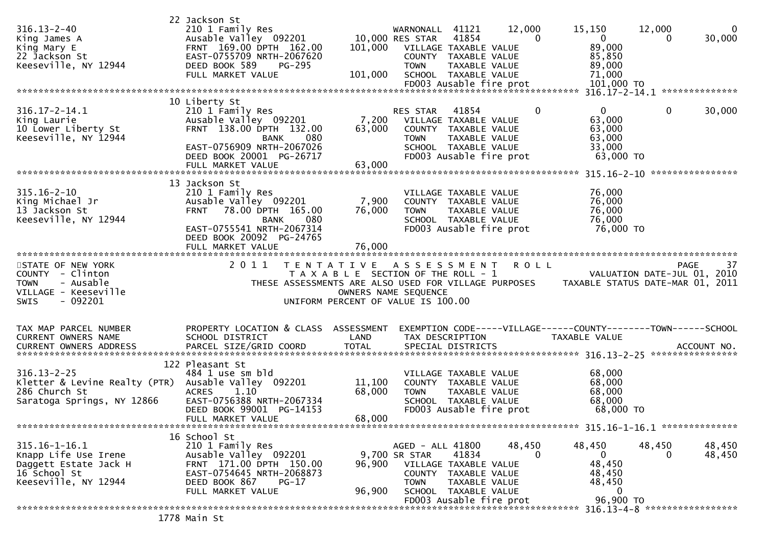| $316.13 - 2 - 40$<br>King James A<br>King Mary E<br>22 Jackson St<br>Keeseville, NY 12944                            | 22 Jackson St<br>210 1 Family Res<br>Ausable Valley 092201<br>FRNT 169.00 DPTH 162.00<br>EAST-0755709 NRTH-2067620<br>DEED BOOK 589<br><b>PG-295</b><br>FULL MARKET VALUE                   | 101,000<br>101,000         | 41121<br>WARNONALL<br>10,000 RES STAR<br>41854<br>VILLAGE TAXABLE VALUE<br>COUNTY TAXABLE VALUE<br><b>TOWN</b><br>SCHOOL TAXABLE VALUE<br>FD003 Ausable fire prot | 12,000<br>$\mathbf{0}$<br>TAXABLE VALUE | 15,150<br>$\overline{0}$<br>89,000<br>85,850<br>89,000<br>71,000<br>101,000 TO | 12,000<br>$\Omega$<br>30,000<br>0                                                    |
|----------------------------------------------------------------------------------------------------------------------|---------------------------------------------------------------------------------------------------------------------------------------------------------------------------------------------|----------------------------|-------------------------------------------------------------------------------------------------------------------------------------------------------------------|-----------------------------------------|--------------------------------------------------------------------------------|--------------------------------------------------------------------------------------|
| $316.17 - 2 - 14.1$<br>King Laurie<br>10 Lower Liberty St<br>Keeseville, NY 12944                                    | 10 Liberty St<br>210 1 Family Res<br>Ausable Valley 092201<br>FRNT 138.00 DPTH 132.00<br>080<br><b>BANK</b><br>EAST-0756909 NRTH-2067026<br>DEED BOOK 20001 PG-26717<br>FULL MARKET VALUE   | 7,200<br>63,000<br>63,000  | 41854<br>RES STAR<br>VILLAGE TAXABLE VALUE<br>COUNTY TAXABLE VALUE<br><b>TOWN</b><br>SCHOOL TAXABLE VALUE<br>FD003 Ausable fire prot                              | 0<br>TAXABLE VALUE                      | $\overline{0}$<br>63,000<br>63,000<br>63,000<br>33,000<br>63,000 TO            | $\mathbf{0}$<br>30,000                                                               |
| $315.16 - 2 - 10$<br>King Michael Jr<br>13 Jackson St<br>Keeseville, NY 12944                                        | 13 Jackson St<br>210 1 Family Res<br>Ausable Valley 092201<br>78.00 DPTH 165.00<br>FRNT<br>080<br><b>BANK</b><br>EAST-0755541 NRTH-2067314<br>DEED BOOK 20092 PG-24765<br>FULL MARKET VALUE | 7,900<br>76,000<br>76,000  | VILLAGE TAXABLE VALUE<br>COUNTY TAXABLE VALUE<br><b>TOWN</b><br>SCHOOL TAXABLE VALUE<br>FD003 Ausable fire prot                                                   | <b>TAXABLE VALUE</b>                    | 76,000<br>76,000<br>76,000<br>76,000<br>76,000 TO                              |                                                                                      |
| STATE OF NEW YORK<br>COUNTY - Clinton<br><b>TOWN</b><br>- Ausable<br>VILLAGE - Keeseville<br><b>SWIS</b><br>- 092201 | 2011<br>THESE ASSESSMENTS ARE ALSO USED FOR VILLAGE PURPOSES                                                                                                                                | OWNERS NAME SEQUENCE       | TENTATIVE ASSESSMENT<br>T A X A B L E SECTION OF THE ROLL - 1<br>UNIFORM PERCENT OF VALUE IS 100.00                                                               | <b>ROLL</b>                             |                                                                                | 37<br><b>PAGE</b><br>VALUATION DATE-JUL 01, 2010<br>TAXABLE STATUS DATE-MAR 01, 2011 |
| TAX MAP PARCEL NUMBER<br>CURRENT OWNERS NAME                                                                         | PROPERTY LOCATION & CLASS ASSESSMENT<br>SCHOOL DISTRICT                                                                                                                                     | LAND                       | TAX DESCRIPTION                                                                                                                                                   |                                         | <b>TAXABLE VALUE</b>                                                           | EXEMPTION CODE-----VILLAGE------COUNTY--------TOWN------SCHOOL                       |
| $316.13 - 2 - 25$<br>Kletter & Levine Realty (PTR)<br>286 Church St<br>Saratoga Springs, NY 12866                    | 122 Pleasant St<br>484 1 use sm bld<br>Ausable Valley 092201<br><b>ACRES</b><br>1.10<br>EAST-0756388 NRTH-2067334<br>DEED BOOK 99001 PG-14153<br>FULL MARKET VALUE                          | 11,100<br>68,000<br>68,000 | VILLAGE TAXABLE VALUE<br>COUNTY TAXABLE VALUE<br><b>TOWN</b><br>SCHOOL TAXABLE VALUE<br>FD003 Ausable fire prot                                                   | TAXABLE VALUE                           | 68,000<br>68,000<br>68,000<br>68,000<br>68,000 TO                              |                                                                                      |
|                                                                                                                      | 16 School St                                                                                                                                                                                |                            |                                                                                                                                                                   |                                         |                                                                                |                                                                                      |
| $315.16 - 1 - 16.1$<br>Knapp Life Use Irene<br>Daggett Estate Jack H<br>16 School St<br>Keeseville, NY 12944         | 210 1 Family Res<br>Ausable Valley 092201<br>FRNT 171.00 DPTH 150.00<br>EAST-0754645 NRTH-2068873                                                                                           | 96,900                     | AGED - ALL 41800<br>9,700 SR STAR<br>41834<br>VILLAGE TAXABLE VALUE<br>COUNTY TAXABLE VALUE                                                                       | 48,450<br>0                             | 48,450<br>$\mathbf{0}$<br>48,450<br>48,450                                     | 48,450<br>48,450<br>48,450<br>0                                                      |
|                                                                                                                      | DEED BOOK 867<br>$PG-17$<br>FULL MARKET VALUE                                                                                                                                               | 96,900                     | <b>TOWN</b><br>SCHOOL TAXABLE VALUE<br>FD003 Ausable fire prot                                                                                                    | TAXABLE VALUE                           | 48,450<br>$\mathbf 0$<br>96,900 TO                                             |                                                                                      |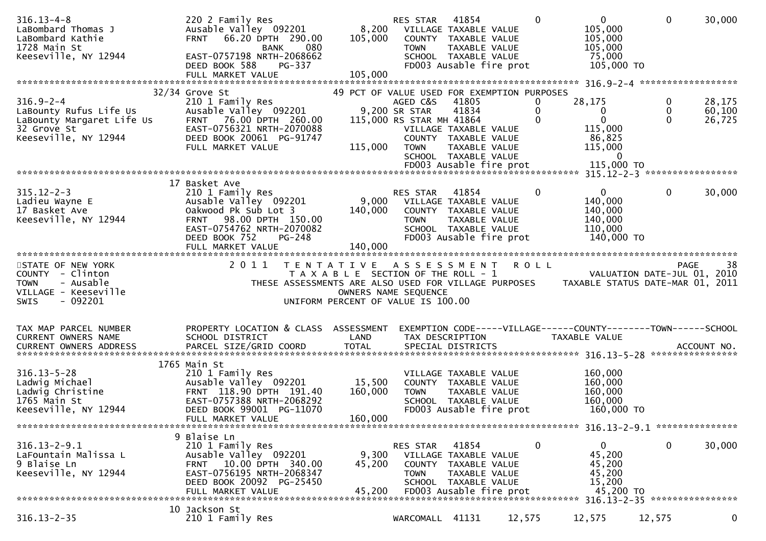| $316.13 - 4 - 8$<br>LaBombard Thomas J<br>LaBombard Kathie<br>1728 Main St<br>Keeseville, NY 12944             | 220 2 Family Res<br>Ausable Valley 092201<br>FRNT 66.20 DPTH 290.00<br>080<br><b>BANK</b><br>EAST-0757198 NRTH-2068662<br>PG-337<br>DEED BOOK 588<br>FULL MARKET VALUE                      | 105,000<br>105,000                                         | RES STAR<br>8,200 VILLAGE TAXABLE VALUE<br><b>TOWN</b>               | 41854<br>COUNTY TAXABLE VALUE<br>TAXABLE VALUE<br>SCHOOL TAXABLE VALUE<br>FD003 Ausable fire prot                   |         | $\mathbf{0}$       | $\overline{0}$<br>105,000<br>105,000<br>105,000<br>75,000<br>105,000 TO         | $\mathbf 0$        | 30,000                     |
|----------------------------------------------------------------------------------------------------------------|---------------------------------------------------------------------------------------------------------------------------------------------------------------------------------------------|------------------------------------------------------------|----------------------------------------------------------------------|---------------------------------------------------------------------------------------------------------------------|---------|--------------------|---------------------------------------------------------------------------------|--------------------|----------------------------|
|                                                                                                                | $32/34$ Grove St                                                                                                                                                                            | 49 PCT OF VALUE USED FOR EXEMPTION PURPOSES                |                                                                      |                                                                                                                     |         |                    |                                                                                 |                    |                            |
| $316.9 - 2 - 4$<br>LaBounty Rufus Life Us<br>LaBounty Margaret Life Us<br>32 Grove St<br>Keeseville, NY 12944  | 210 1 Family Res<br>Ausable Valley 092201<br>FRNT 76.00 DPTH 260.00<br>EAST-0756321 NRTH-2070088<br>DEED BOOK 20061 PG-91747<br>FULL MARKET VALUE                                           | 115,000                                                    | AGED C&S<br>9,200 SR STAR<br>115,000 RS STAR MH 41864<br><b>TOWN</b> | 41805<br>41834<br>VILLAGE TAXABLE VALUE<br>COUNTY TAXABLE VALUE<br>TAXABLE VALUE<br>SCHOOL TAXABLE VALUE            |         | 0<br>0<br>$\Omega$ | 28,175<br>0<br>$\mathbf 0$<br>115,000<br>86,825<br>115,000<br>$\bf{0}$          | 0<br>0<br>$\Omega$ | 28,175<br>60,100<br>26,725 |
|                                                                                                                |                                                                                                                                                                                             |                                                            |                                                                      |                                                                                                                     |         |                    |                                                                                 |                    |                            |
| $315.12 - 2 - 3$<br>Ladieu Wayne E<br>17 Basket Ave<br>Keeseville, NY 12944                                    | 17 Basket Ave<br>210 1 Family Res<br>Ausable Valley 092201<br>Oakwood Pk Sub Lot 3<br>FRNT 98.00 DPTH 150.00<br>EAST-0754762 NRTH-2070082<br>DEED BOOK 752<br>$PG-248$<br>FULL MARKET VALUE | 140,000<br>140,000                                         | RES STAR<br>9,000 VILLAGE TAXABLE VALUE<br><b>TOWN</b>               | 41854<br>COUNTY TAXABLE VALUE<br>TAXABLE VALUE<br>SCHOOL TAXABLE VALUE<br>FD003 Ausable fire prot                   |         | $\mathbf{0}$       | $\overline{0}$<br>140,000<br>140,000<br>140,000<br>110,000<br>140,000 TO        | $\mathbf{0}$       | 30,000                     |
|                                                                                                                |                                                                                                                                                                                             |                                                            |                                                                      |                                                                                                                     |         |                    |                                                                                 |                    |                            |
| STATE OF NEW YORK<br>COUNTY - Clinton<br>- Ausable<br><b>TOWN</b><br>VILLAGE - Keeseville<br>$-092201$<br>SWIS | 2011<br>T A X A B L E SECTION OF THE ROLL - 1 VALUATION DATE-JUL 01, 2010<br>THESE ASSESSMENTS ARE ALSO USED FOR VILLAGE PURPOSES TAXABLE STATUS DATE-MAR 01, 2011                          | TENTATIVE ASSESSMENT<br>UNIFORM PERCENT OF VALUE IS 100.00 | OWNERS NAME SEQUENCE                                                 |                                                                                                                     | R O L L |                    |                                                                                 |                    | 38<br><b>PAGE</b>          |
| TAX MAP PARCEL NUMBER<br>CURRENT OWNERS NAME                                                                   | PROPERTY LOCATION & CLASS ASSESSMENT<br>SCHOOL DISTRICT                                                                                                                                     | LAND                                                       | TAX DESCRIPTION                                                      |                                                                                                                     |         |                    | EXEMPTION CODE-----VILLAGE------COUNTY--------TOWN------SCHOOL<br>TAXABLE VALUE |                    |                            |
| $316.13 - 5 - 28$                                                                                              | 1765 Main St<br>210 1 Family Res                                                                                                                                                            |                                                            |                                                                      |                                                                                                                     |         |                    | 160,000                                                                         |                    |                            |
| Ladwig Michael<br>Ladwig Christine<br>1765 Main St<br>Keeseville, NY 12944                                     | Ausable Valley 092201<br>FRNT 118.90 DPTH 191.40<br>EAST-0757388 NRTH-2068292<br>DEED BOOK 99001 PG-11070                                                                                   | 15,500<br>160,000                                          | <b>TOWN</b>                                                          | VILLAGE TAXABLE VALUE<br>COUNTY TAXABLE VALUE<br>TAXABLE VALUE<br>SCHOOL TAXABLE VALUE<br>FD003 Ausable fire prot   |         |                    | 160,000<br>160,000<br>160,000<br>160,000 TO                                     |                    |                            |
|                                                                                                                | FULL MARKET VALUE                                                                                                                                                                           | 160,000                                                    |                                                                      |                                                                                                                     |         |                    |                                                                                 |                    |                            |
|                                                                                                                | 9 Blaise Ln                                                                                                                                                                                 |                                                            |                                                                      |                                                                                                                     |         |                    |                                                                                 |                    |                            |
| $316.13 - 2 - 9.1$<br>LaFountain Malissa L<br>9 Blaise Ln<br>Keeseville, NY 12944                              | 210 1 Family Res<br>Ausable Valley 092201<br>FRNT 10.00 DPTH 340.00<br>EAST-0756195 NRTH-2068347<br>DEED BOOK 20092 PG-25450<br>FULL MARKET VALUE                                           | 9,300<br>45,200<br>45,200                                  | RES STAR<br>COUNTY<br><b>TOWN</b>                                    | 41854<br>VILLAGE TAXABLE VALUE<br>TAXABLE VALUE<br>TAXABLE VALUE<br>SCHOOL TAXABLE VALUE<br>FD003 Ausable fire prot |         | $\mathbf 0$        | $\mathbf{0}$<br>45,200<br>45,200<br>45,200<br>15,200<br>45,200 TO               | $\mathbf 0$        | 30,000                     |
|                                                                                                                |                                                                                                                                                                                             |                                                            |                                                                      |                                                                                                                     |         |                    |                                                                                 |                    |                            |
| $316.13 - 2 - 35$                                                                                              | 10 Jackson St<br>210 1 Family Res                                                                                                                                                           |                                                            | WARCOMALL 41131                                                      |                                                                                                                     | 12,575  |                    | 12,575                                                                          | 12,575             | 0                          |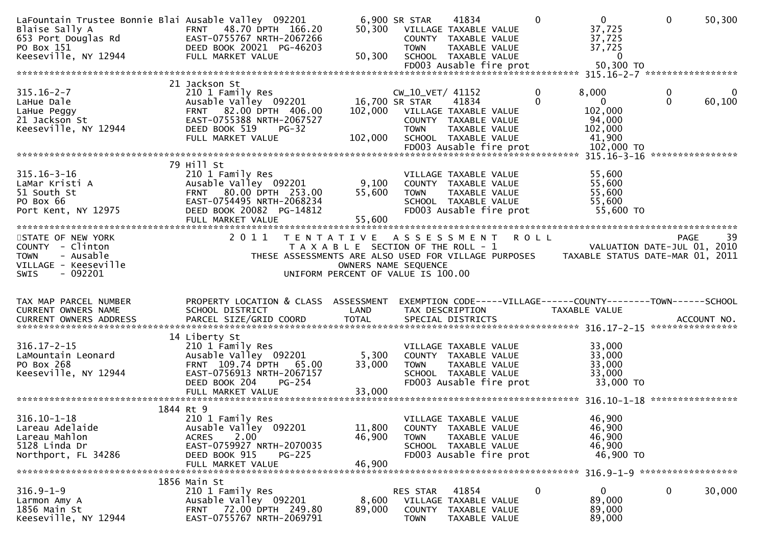| LaFountain Trustee Bonnie Blai Ausable Valley 092201<br>Blaise Sally A<br>653 Port Douglas Rd<br>PO Box 151<br>Keeseville, NY 12944 | FRNT 48.70 DPTH 166.20<br>EAST-0755767 NRTH-2067266<br>DEED BOOK 20021 PG-46203<br>FULL MARKET VALUE                                                               | 50,300<br>50,300                                                                                         | 6,900 SR STAR<br><b>TOWN</b>                      | 41834<br>VILLAGE TAXABLE VALUE<br>COUNTY TAXABLE VALUE<br>TAXABLE VALUE<br>SCHOOL TAXABLE VALUE<br>FD003 Ausable fire prot | $\Omega$      | $\overline{0}$<br>37,725<br>37,725<br>37,725<br>$\Omega$<br>50,300 TO                 | $\mathbf{0}$      | 50,300      |
|-------------------------------------------------------------------------------------------------------------------------------------|--------------------------------------------------------------------------------------------------------------------------------------------------------------------|----------------------------------------------------------------------------------------------------------|---------------------------------------------------|----------------------------------------------------------------------------------------------------------------------------|---------------|---------------------------------------------------------------------------------------|-------------------|-------------|
|                                                                                                                                     |                                                                                                                                                                    |                                                                                                          |                                                   |                                                                                                                            |               |                                                                                       |                   |             |
| $315.16 - 2 - 7$<br>LaHue Dale<br>LaHue Peggy<br>21 Jackson St<br>Keeseville, NY 12944                                              | 21 Jackson St<br>210 1 Family Res<br>Ausable Valley 092201<br>FRNT 82.00 DPTH 406.00<br>EAST-0755388 NRTH-2067527<br>DEED BOOK 519<br>$PG-32$<br>FULL MARKET VALUE | 102,000<br>102,000                                                                                       | CW_10_VET/ 41152<br>16,700 SR STAR<br><b>TOWN</b> | 41834<br>VILLAGE TAXABLE VALUE<br>COUNTY TAXABLE VALUE<br>TAXABLE VALUE<br>SCHOOL TAXABLE VALUE                            | 0<br>$\Omega$ | 8,000<br>$\mathbf{0}$<br>102,000<br>94,000<br>102,000<br>41,900                       | 0<br>$\mathbf{0}$ | 0<br>60,100 |
|                                                                                                                                     |                                                                                                                                                                    |                                                                                                          |                                                   |                                                                                                                            |               |                                                                                       |                   |             |
| $315.16 - 3 - 16$<br>LaMar Kristi A<br>51 South St<br>PO Box 66<br>Port Kent, NY 12975                                              | 79 Hill St<br>210 1 Family Res<br>Ausable Valley 092201<br>FRNT 80.00 DPTH 253.00<br>EAST-0754495 NRTH-2068234<br>DEED BOOK 20082 PG-14812<br>FULL MARKET VALUE    | 9,100<br>55,600<br>55,600                                                                                | <b>TOWN</b>                                       | VILLAGE TAXABLE VALUE<br>COUNTY TAXABLE VALUE<br>TAXABLE VALUE<br>SCHOOL TAXABLE VALUE<br>FD003 Ausable fire prot          |               | 55,600<br>55,600<br>55,600<br>55,600<br>55,600 TO                                     |                   |             |
|                                                                                                                                     |                                                                                                                                                                    |                                                                                                          |                                                   |                                                                                                                            |               |                                                                                       |                   |             |
| STATE OF NEW YORK<br>COUNTY - Clinton<br>- Ausable<br><b>TOWN</b><br>VILLAGE - Keeseville<br>- 092201<br><b>SWIS</b>                | 2011<br>THESE ASSESSMENTS ARE ALSO USED FOR VILLAGE PURPOSES                                                                                                       | TENTATIVE ASSESSMENT ROLL<br>T A X A B L E SECTION OF THE ROLL - 1<br>UNIFORM PERCENT OF VALUE IS 100.00 | OWNERS NAME SEQUENCE                              |                                                                                                                            |               | VALUATION DATE-JUL 01, 2010<br>TAXABLE STATUS DATE-MAR 01, 2011                       | PAGE              | 39          |
| TAX MAP PARCEL NUMBER<br>CURRENT OWNERS NAME<br><b>CURRENT OWNERS ADDRESS</b>                                                       | PROPERTY LOCATION & CLASS ASSESSMENT<br>SCHOOL DISTRICT<br>PARCEL SIZE/GRID COORD                                                                                  | LAND<br><b>TOTAL</b>                                                                                     |                                                   | TAX DESCRIPTION<br>SPECIAL DISTRICTS                                                                                       |               | EXEMPTION CODE-----VILLAGE------COUNTY-------TOWN------SCHOOL<br><b>TAXABLE VALUE</b> |                   | ACCOUNT NO. |
| $316.17 - 2 - 15$<br>LaMountain Leonard<br>PO Box 268<br>Keeseville, NY 12944                                                       | 14 Liberty St<br>210 1 Family Res<br>Ausable Valley 092201<br>FRNT 109.74 DPTH<br>65.00<br>EAST-0756913 NRTH-2067157<br>DEED BOOK 204<br>$PG-254$                  | 5,300<br>33,000                                                                                          | <b>TOWN</b>                                       | VILLAGE TAXABLE VALUE<br>COUNTY TAXABLE VALUE<br>TAXABLE VALUE<br>SCHOOL TAXABLE VALUE<br>FD003 Ausable fire prot          |               | 33,000<br>33,000<br>33,000<br>33,000<br>33,000 TO                                     |                   |             |
|                                                                                                                                     | 1844 Rt 9                                                                                                                                                          |                                                                                                          |                                                   |                                                                                                                            |               |                                                                                       |                   |             |
| $316.10 - 1 - 18$<br>Lareau Adelaide<br>Lareau Mahlon<br>5128 Linda Dr<br>Northport, FL 34286                                       | 210 1 Family Res<br>Ausable Valley 092201<br>2.00<br><b>ACRES</b><br>EAST-0759927 NRTH-2070035<br>DEED BOOK 915<br>$PG-225$<br>FULL MARKET VALUE                   | 11,800<br>46,900<br>46,900                                                                               | <b>TOWN</b>                                       | VILLAGE TAXABLE VALUE<br>COUNTY TAXABLE VALUE<br>TAXABLE VALUE<br>SCHOOL TAXABLE VALUE<br>FD003 Ausable fire prot          |               | 46,900<br>46,900<br>46,900<br>46,900<br>46,900 TO                                     |                   |             |
|                                                                                                                                     | 1856 Main St                                                                                                                                                       |                                                                                                          |                                                   |                                                                                                                            |               |                                                                                       |                   |             |
| $316.9 - 1 - 9$<br>Larmon Amy A<br>1856 Main St<br>Keeseville, NY 12944                                                             | 210 1 Family Res<br>Ausable Valley 092201<br>72.00 DPTH 249.80<br>FRNT<br>EAST-0755767 NRTH-2069791                                                                | 8,600<br>89,000                                                                                          | RES STAR<br><b>TOWN</b>                           | 41854<br>VILLAGE TAXABLE VALUE<br>COUNTY TAXABLE VALUE<br>TAXABLE VALUE                                                    | 0             | $\mathbf{0}$<br>89,000<br>89,000<br>89,000                                            | $\mathbf 0$       | 30,000      |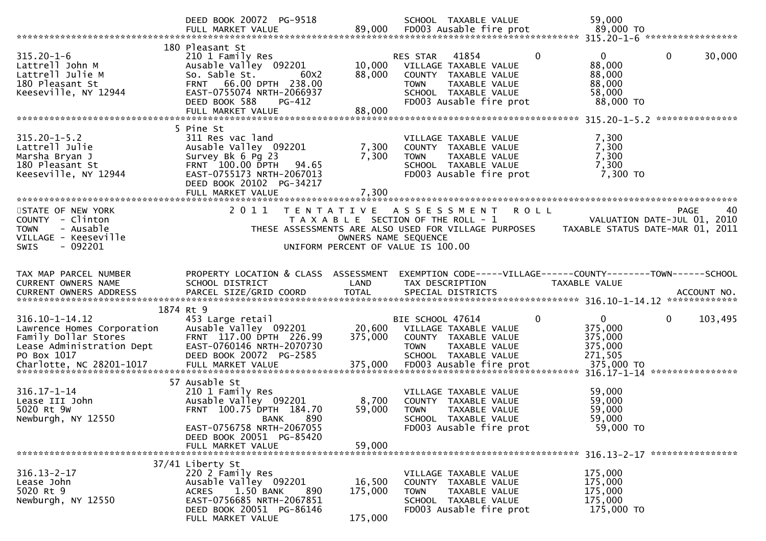|                                                                                                                                                                    | DEED BOOK 20072 PG-9518<br>FULL MARKET VALUE                                                                                                                                                 | 89,000                                    | SCHOOL TAXABLE VALUE<br>FD003 Ausable fire prot                                                                                                                           | 59,000<br>89,000 TO                                                    |                                                  |
|--------------------------------------------------------------------------------------------------------------------------------------------------------------------|----------------------------------------------------------------------------------------------------------------------------------------------------------------------------------------------|-------------------------------------------|---------------------------------------------------------------------------------------------------------------------------------------------------------------------------|------------------------------------------------------------------------|--------------------------------------------------|
| $315.20 - 1 - 6$<br>Lattrell John M<br>Lattrell Julie M<br>180 Pleasant St<br>Keeseville, NY 12944                                                                 | 180 Pleasant St<br>210 1 Family Res<br>Ausable Valley 092201<br>So. Sable St.<br>60X2<br>FRNT 66.00 DPTH 238.00<br>EAST-0755074 NRTH-2066937<br>DEED BOOK 588<br>PG-412<br>FULL MARKET VALUE | 10,000<br>88,000<br>88,000                | 41854<br>$\mathbf{0}$<br>RES STAR<br>VILLAGE TAXABLE VALUE<br>COUNTY TAXABLE VALUE<br><b>TOWN</b><br>TAXABLE VALUE<br>SCHOOL TAXABLE VALUE<br>FD003 Ausable fire prot     | $\overline{0}$<br>88,000<br>88,000<br>88,000<br>58,000<br>88,000 TO    | $\mathbf 0$<br>30,000                            |
|                                                                                                                                                                    |                                                                                                                                                                                              |                                           |                                                                                                                                                                           |                                                                        |                                                  |
| $315.20 - 1 - 5.2$<br>Lattrell Julie<br>Marsha Bryan J<br>180 Pleasant St<br>Keeseville, NY 12944                                                                  | 5 Pine St<br>311 Res vac land<br>Ausable Valley 092201<br>Survey Bk 6 Pg 23<br>FRNT 100.00 DPTH<br>94.65<br>EAST-0755173 NRTH-2067013<br>DEED BOOK 20102 PG-34217<br>FULL MARKET VALUE       | 7,300<br>7,300<br>7,300                   | VILLAGE TAXABLE VALUE<br>COUNTY TAXABLE VALUE<br><b>TOWN</b><br>TAXABLE VALUE<br>SCHOOL TAXABLE VALUE<br>FD003 Ausable fire prot                                          | 7,300<br>7,300<br>7,300<br>7,300<br>7,300 TO                           |                                                  |
|                                                                                                                                                                    |                                                                                                                                                                                              |                                           |                                                                                                                                                                           |                                                                        |                                                  |
| STATE OF NEW YORK<br>COUNTY - Clinton<br>- Ausable<br><b>TOWN</b><br>VILLAGE - Keeseville<br>$-092201$<br><b>SWIS</b>                                              | 2011                                                                                                                                                                                         | T E N T A T I V E<br>OWNERS NAME SEQUENCE | A S S E S S M E N T<br><b>ROLL</b><br>T A X A B L E SECTION OF THE ROLL - 1<br>THESE ASSESSMENTS ARE ALSO USED FOR VILLAGE PURPOSES<br>UNIFORM PERCENT OF VALUE IS 100.00 | TAXABLE STATUS DATE-MAR 01, 2011                                       | <b>PAGE</b><br>40<br>VALUATION DATE-JUL 01, 2010 |
| TAX MAP PARCEL NUMBER<br>CURRENT OWNERS NAME<br>.CURRENT OWNERS ADDRESS PARCEL SIZE/GRID COORD TOTAL SPECIAL DISTRICTS ACCOUNT NO ACCOUNT NO ACCOUNT NO ACCOUNT NO | PROPERTY LOCATION & CLASS ASSESSMENT<br>SCHOOL DISTRICT                                                                                                                                      | LAND                                      | EXEMPTION CODE-----VILLAGE------COUNTY-------TOWN------SCHOOL<br>TAX DESCRIPTION                                                                                          | TAXABLE VALUE                                                          |                                                  |
|                                                                                                                                                                    | 1874 Rt 9                                                                                                                                                                                    |                                           |                                                                                                                                                                           |                                                                        |                                                  |
| $316.10 - 1 - 14.12$<br>Lawrence Homes Corporation<br>Family Dollar Stores<br>Lease Administration Dept<br>PO Box 1017<br>Charlotte, NC 28201-1017                 | 453 Large retail<br>Ausable Valley 092201<br>FRNT 117.00 DPTH 226.99<br>EAST-0760146 NRTH-2070730<br>DEED BOOK 20072 PG-2585<br>FULL MARKET VALUE                                            | 20,600<br>375,000<br>375,000              | BIE SCHOOL 47614<br>0<br>VILLAGE TAXABLE VALUE<br>COUNTY TAXABLE VALUE<br>TAXABLE VALUE<br><b>TOWN</b><br>SCHOOL TAXABLE VALUE<br>FD003 Ausable fire prot                 | $\mathbf{0}$<br>375,000<br>375,000<br>375,000<br>271,505<br>375,000 TO | $\mathbf 0$<br>103,495                           |
|                                                                                                                                                                    | 57 Ausable St                                                                                                                                                                                |                                           |                                                                                                                                                                           |                                                                        |                                                  |
| $316.17 - 1 - 14$<br>Lease III John<br>5020 Rt 9W<br>Newburgh, NY 12550                                                                                            | 210 1 Family Res<br>Ausable Valley 092201<br>FRNT 100.75 DPTH 184.70<br>890<br><b>BANK</b>                                                                                                   | 8,700<br>59,000                           | VILLAGE TAXABLE VALUE<br>COUNTY TAXABLE VALUE<br><b>TOWN</b><br><b>TAXABLE VALUE</b><br>SCHOOL TAXABLE VALUE                                                              | 59,000<br>59,000<br>59,000<br>59,000                                   |                                                  |
|                                                                                                                                                                    | EAST-0756758 NRTH-2067055<br>DEED BOOK 20051 PG-85420<br>FULL MARKET VALUE                                                                                                                   | 59,000                                    | FD003 Ausable fire prot                                                                                                                                                   | 59,000 TO                                                              |                                                  |
|                                                                                                                                                                    | 37/41 Liberty St                                                                                                                                                                             |                                           |                                                                                                                                                                           |                                                                        |                                                  |
| $316.13 - 2 - 17$<br>Lease John<br>5020 Rt 9<br>Newburgh, NY 12550                                                                                                 | 220 2 Family Res<br>Ausable Valley 092201<br><b>ACRES</b><br>1.50 BANK<br>890<br>EAST-0756685 NRTH-2067851                                                                                   | 16,500<br>175,000                         | VILLAGE TAXABLE VALUE<br>COUNTY TAXABLE VALUE<br>TAXABLE VALUE<br><b>TOWN</b><br>SCHOOL TAXABLE VALUE                                                                     | 175,000<br>175,000<br>175,000<br>175,000                               |                                                  |
|                                                                                                                                                                    | DEED BOOK 20051 PG-86146<br>FULL MARKET VALUE                                                                                                                                                | 175,000                                   | FD003 Ausable fire prot                                                                                                                                                   | 175,000 TO                                                             |                                                  |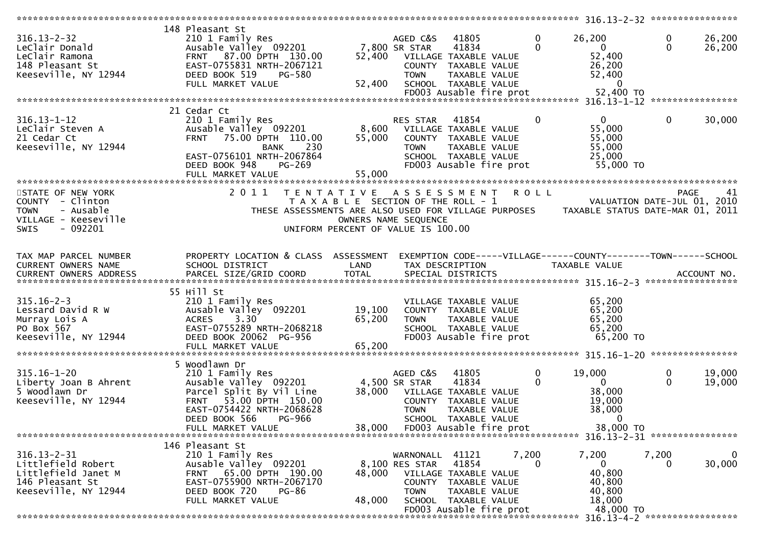|                          | 148 Pleasant St                      |        |                                                      |               |                                                                |             |                   |
|--------------------------|--------------------------------------|--------|------------------------------------------------------|---------------|----------------------------------------------------------------|-------------|-------------------|
| $316.13 - 2 - 32$        | 210 1 Family Res                     |        | AGED C&S<br>41805                                    |               | 26,200<br>0                                                    | 0           | 26,200            |
| LeClair Donald           | Ausable Valley 092201                |        | 7,800 SR STAR<br>41834                               |               | $\Omega$<br>$\mathbf{0}$                                       | $\Omega$    | 26,200            |
|                          | FRNT 87.00 DPTH 130.00               |        |                                                      |               |                                                                |             |                   |
| LeClair Ramona           |                                      | 52,400 | VILLAGE TAXABLE VALUE                                |               | 52,400                                                         |             |                   |
| 148 Pleasant St          | EAST-0755831 NRTH-2067121            |        | COUNTY TAXABLE VALUE                                 |               | 26,200                                                         |             |                   |
| Keeseville, NY 12944     | DEED BOOK 519<br>PG-580              |        | <b>TOWN</b>                                          | TAXABLE VALUE | 52,400                                                         |             |                   |
|                          | FULL MARKET VALUE                    | 52,400 | SCHOOL TAXABLE VALUE                                 |               | $\overline{0}$                                                 |             |                   |
|                          |                                      |        | FD003 Ausable fire prot                              |               | 52,400 TO                                                      |             |                   |
|                          |                                      |        |                                                      |               |                                                                |             |                   |
|                          | 21 Cedar Ct                          |        |                                                      |               |                                                                |             |                   |
|                          |                                      |        |                                                      |               |                                                                |             |                   |
| $316.13 - 1 - 12$        | 210 1 Family Res                     |        | RES STAR<br>41854                                    |               | $\mathbf{0}$<br>$\mathbf{0}$                                   | $\mathbf 0$ | 30,000            |
| LeClair Steven A         | Ausable Valley 092201                | 8,600  | VILLAGE TAXABLE VALUE                                |               | 55,000                                                         |             |                   |
| 21 Cedar Ct              | 75.00 DPTH 110.00<br><b>FRNT</b>     | 55,000 | COUNTY TAXABLE VALUE                                 |               | 55,000                                                         |             |                   |
| Keeseville, NY 12944     | 230<br><b>BANK</b>                   |        | <b>TOWN</b>                                          | TAXABLE VALUE | 55,000                                                         |             |                   |
|                          | EAST-0756101 NRTH-2067864            |        | SCHOOL TAXABLE VALUE                                 |               | 25,000                                                         |             |                   |
|                          | DEED BOOK 948<br>PG-269              |        | FD003 Ausable fire prot                              |               | 55,000 TO                                                      |             |                   |
|                          |                                      | 55,000 |                                                      |               |                                                                |             |                   |
|                          | FULL MARKET VALUE                    |        |                                                      |               |                                                                |             |                   |
|                          |                                      |        |                                                      |               |                                                                |             |                   |
| STATE OF NEW YORK        | 2011                                 |        | TENTATIVE ASSESSMENT                                 | R O L L       |                                                                |             | <b>PAGE</b><br>41 |
| COUNTY - Clinton         |                                      |        | T A X A B L E SECTION OF THE ROLL - 1                |               | VALUATION DATE-JUL 01, 2010                                    |             |                   |
| - Ausable<br><b>TOWN</b> |                                      |        | THESE ASSESSMENTS ARE ALSO USED FOR VILLAGE PURPOSES |               | TAXABLE STATUS DATE-MAR 01, 2011                               |             |                   |
| VILLAGE - Keeseville     |                                      |        | OWNERS NAME SEQUENCE                                 |               |                                                                |             |                   |
| $-092201$<br><b>SWIS</b> |                                      |        | UNIFORM PERCENT OF VALUE IS 100.00                   |               |                                                                |             |                   |
|                          |                                      |        |                                                      |               |                                                                |             |                   |
|                          |                                      |        |                                                      |               |                                                                |             |                   |
|                          |                                      |        |                                                      |               |                                                                |             |                   |
| TAX MAP PARCEL NUMBER    | PROPERTY LOCATION & CLASS ASSESSMENT |        |                                                      |               | EXEMPTION CODE-----VILLAGE------COUNTY--------TOWN------SCHOOL |             |                   |
| CURRENT OWNERS NAME      | SCHOOL DISTRICT                      | LAND   | TAX DESCRIPTION                                      |               | TAXABLE VALUE                                                  |             |                   |
|                          |                                      |        |                                                      |               |                                                                |             |                   |
|                          |                                      |        |                                                      |               |                                                                |             |                   |
| CURRENT OWNERS ADDRESS   |                                      |        |                                                      |               |                                                                |             |                   |
|                          |                                      |        |                                                      |               |                                                                |             |                   |
|                          | 55 Hill St                           |        |                                                      |               |                                                                |             |                   |
| $315.16 - 2 - 3$         | 210 1 Family Res                     |        | VILLAGE TAXABLE VALUE                                |               | 65,200                                                         |             |                   |
| Lessard David R W        | Ausable Valley 092201                | 19,100 | COUNTY TAXABLE VALUE                                 |               | 65,200                                                         |             |                   |
| Murray Lois A            | <b>ACRES</b><br>3.30                 | 65,200 | <b>TOWN</b>                                          | TAXABLE VALUE | 65,200                                                         |             |                   |
| PO Box 567               | EAST-0755289 NRTH-2068218            |        | SCHOOL TAXABLE VALUE                                 |               | 65,200                                                         |             |                   |
|                          | DEED BOOK 20062 PG-956               |        | FD003 Ausable fire prot                              |               | 65,200 TO                                                      |             |                   |
| Keeseville, NY 12944     |                                      |        |                                                      |               |                                                                |             |                   |
|                          | FULL MARKET VALUE                    | 65,200 |                                                      |               |                                                                |             |                   |
|                          |                                      |        |                                                      |               |                                                                |             |                   |
|                          | 5 Woodlawn Dr                        |        |                                                      |               |                                                                |             |                   |
| $315.16 - 1 - 20$        | 210 1 Family Res                     |        | AGED C&S<br>41805                                    |               | 19,000<br>0                                                    | 0           | 19,000            |
| Liberty Joan B Ahrent    | Ausable Valley 092201                |        | 4,500 SR STAR<br>41834                               |               | 0<br>$\mathbf{0}$                                              | $\Omega$    | 19,000            |
| 5 Woodlawn Dr            | Parcel Split By Vil Line             | 38,000 | VILLAGE TAXABLE VALUE                                |               | 38,000                                                         |             |                   |
| Keeseville, NY 12944     | 53.00 DPTH 150.00<br><b>FRNT</b>     |        | COUNTY TAXABLE VALUE                                 |               | 19,000                                                         |             |                   |
|                          | EAST-0754422 NRTH-2068628            |        | <b>TOWN</b>                                          | TAXABLE VALUE | 38,000                                                         |             |                   |
|                          |                                      |        |                                                      |               | $\mathbf{0}$                                                   |             |                   |
|                          | DEED BOOK 566<br>PG-966              |        | SCHOOL TAXABLE VALUE                                 |               |                                                                |             |                   |
|                          | FULL MARKET VALUE                    | 38,000 | FD003 Ausable fire prot                              |               | 38,000 TO                                                      |             |                   |
|                          |                                      |        |                                                      |               |                                                                |             |                   |
|                          | 146 Pleasant St                      |        |                                                      |               |                                                                |             |                   |
| $316.13 - 2 - 31$        | 210 1 Family Res                     |        | WARNONALL 41121                                      | 7,200         | 7,200                                                          | 7,200       | $\mathbf 0$       |
| Littlefield Robert       | Ausable Valley 092201                |        | 41854<br>8,100 RES STAR                              |               | $\Omega$<br>$\mathbf{0}$                                       | $\Omega$    | 30,000            |
| Littlefield Janet M      | 65.00 DPTH 190.00<br><b>FRNT</b>     | 48,000 | VILLAGE TAXABLE VALUE                                |               | 40,800                                                         |             |                   |
| 146 Pleasant St          | EAST-0755900 NRTH-2067170            |        | COUNTY TAXABLE VALUE                                 |               | 40,800                                                         |             |                   |
|                          | <b>PG-86</b>                         |        |                                                      |               |                                                                |             |                   |
| Keeseville, NY 12944     | DEED BOOK 720                        |        | <b>TOWN</b>                                          | TAXABLE VALUE | 40,800                                                         |             |                   |
|                          | FULL MARKET VALUE                    | 48,000 | SCHOOL TAXABLE VALUE                                 |               | 18,000                                                         |             |                   |
|                          |                                      |        | FD003 Ausable fire prot                              |               | 48,000 TO                                                      |             |                   |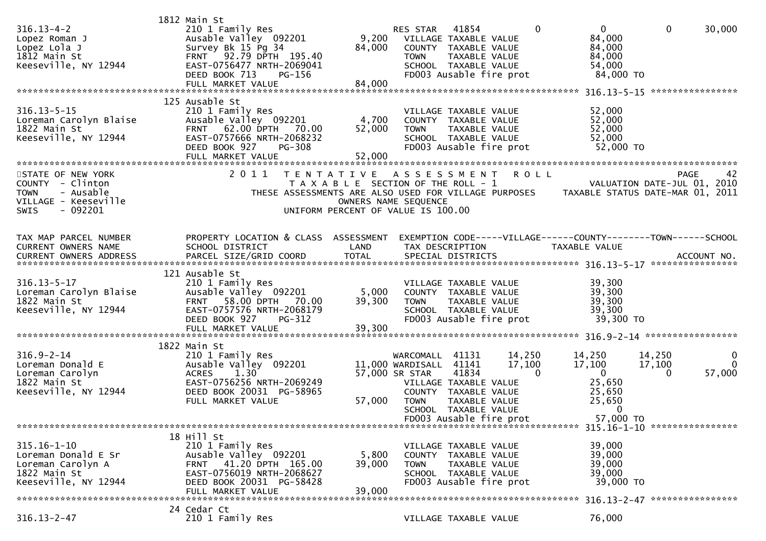|                                             | 1812 Main St                                       |                                       |                        |                                               |             |                                                                                       |                             |              |
|---------------------------------------------|----------------------------------------------------|---------------------------------------|------------------------|-----------------------------------------------|-------------|---------------------------------------------------------------------------------------|-----------------------------|--------------|
| $316.13 - 4 - 2$<br>Lopez Roman J           | 210 1 Family Res<br>Ausable Valley 092201          | 9,200                                 | RES STAR               | 41854<br>VILLAGE TAXABLE VALUE                | $\mathbf 0$ | $\overline{0}$<br>84,000                                                              | $\mathbf{0}$                | 30,000       |
| Lopez Lola J                                | Survey Bk 15 Pg 34                                 | 84,000                                |                        | COUNTY TAXABLE VALUE                          |             | 84,000                                                                                |                             |              |
| 1812 Main St                                | FRNT 92.79 DPTH 195.40                             |                                       | <b>TOWN</b>            | TAXABLE VALUE                                 |             | 84,000                                                                                |                             |              |
| Keeseville, NY 12944                        | EAST-0756477 NRTH-2069041                          |                                       |                        | SCHOOL TAXABLE VALUE                          |             | 54,000                                                                                |                             |              |
|                                             | DEED BOOK 713<br>PG-156                            |                                       |                        | FD003 Ausable fire prot                       |             | 84,000 TO                                                                             |                             |              |
|                                             |                                                    |                                       |                        |                                               |             |                                                                                       |                             |              |
|                                             | 125 Ausable St                                     |                                       |                        |                                               |             |                                                                                       |                             |              |
| $316.13 - 5 - 15$<br>Loreman Carolyn Blaise | 210 1 Family Res<br>Ausable Valley 092201          | 4,700                                 |                        | VILLAGE TAXABLE VALUE<br>COUNTY TAXABLE VALUE |             | 52,000<br>52,000                                                                      |                             |              |
| 1822 Main St                                | FRNT 62.00 DPTH 70.00                              | 52,000                                | <b>TOWN</b>            | TAXABLE VALUE                                 |             | 52,000                                                                                |                             |              |
| Keeseville, NY 12944                        | EAST-0757666 NRTH-2068232                          |                                       |                        | SCHOOL TAXABLE VALUE                          |             | 52,000                                                                                |                             |              |
|                                             | DEED BOOK 927<br><b>PG-308</b>                     |                                       |                        | FD003 Ausable fire prot                       |             | 52,000 TO                                                                             |                             |              |
|                                             | FULL MARKET VALUE                                  | 52,000                                |                        |                                               |             |                                                                                       |                             |              |
| STATE OF NEW YORK                           | 2011                                               | TENTATIVE ASSESSMENT                  |                        |                                               | <b>ROLL</b> |                                                                                       | <b>PAGE</b>                 | 42           |
| COUNTY - Clinton                            |                                                    | T A X A B L E SECTION OF THE ROLL - 1 |                        |                                               |             |                                                                                       | VALUATION DATE-JUL 01, 2010 |              |
| - Ausable<br><b>TOWN</b>                    |                                                    |                                       |                        |                                               |             | THESE ASSESSMENTS ARE ALSO USED FOR VILLAGE PURPOSES TAXABLE STATUS DATE-MAR 01, 2011 |                             |              |
| VILLAGE - Keeseville                        |                                                    | OWNERS NAME SEQUENCE                  |                        |                                               |             |                                                                                       |                             |              |
| $-092201$<br><b>SWIS</b>                    |                                                    | UNIFORM PERCENT OF VALUE IS 100.00    |                        |                                               |             |                                                                                       |                             |              |
|                                             |                                                    |                                       |                        |                                               |             |                                                                                       |                             |              |
| TAX MAP PARCEL NUMBER                       | PROPERTY LOCATION & CLASS ASSESSMENT               |                                       |                        |                                               |             | EXEMPTION CODE-----VILLAGE------COUNTY--------TOWN------SCHOOL                        |                             |              |
| CURRENT OWNERS NAME                         | SCHOOL DISTRICT                                    | LAND                                  |                        | TAX DESCRIPTION                               |             | TAXABLE VALUE                                                                         |                             |              |
|                                             |                                                    |                                       |                        |                                               |             |                                                                                       |                             |              |
|                                             | 121 Ausable St                                     |                                       |                        |                                               |             |                                                                                       |                             |              |
| $316.13 - 5 - 17$                           | 210 1 Family Res                                   |                                       |                        | VILLAGE TAXABLE VALUE                         |             | 39,300                                                                                |                             |              |
| Loreman Carolyn Blaise                      | Ausable Valley 092201                              | 5,000                                 |                        | COUNTY TAXABLE VALUE                          |             | 39,300                                                                                |                             |              |
| 1822 Main St<br>Keeseville, NY 12944        | FRNT 58.00 DPTH 70.00<br>EAST-0757576 NRTH-2068179 | 39,300                                | <b>TOWN</b>            | TAXABLE VALUE<br>SCHOOL TAXABLE VALUE         |             | 39,300<br>39,300                                                                      |                             |              |
|                                             | DEED BOOK 927<br>PG-312                            |                                       |                        | FD003 Ausable fire prot                       |             | 39,300 TO                                                                             |                             |              |
|                                             | FULL MARKET VALUE                                  | 39,300                                |                        |                                               |             |                                                                                       |                             |              |
|                                             |                                                    |                                       |                        |                                               |             |                                                                                       |                             |              |
| $316.9 - 2 - 14$                            | 1822 Main St<br>210 1 Family Res                   |                                       | WARCOMALL              | 41131                                         | 14,250      | 14,250                                                                                | 14,250                      | 0            |
| Loreman Donald E                            | Ausable Valley 092201                              |                                       | 11,000 WARDISALL 41141 |                                               | 17,100      | 17,100                                                                                | 17,100                      | $\mathbf{0}$ |
| Loreman Carolyn                             | 1.30<br><b>ACRES</b>                               |                                       | 57,000 SR STAR         | 41834                                         | $\Omega$    | $\mathbf{0}$                                                                          | 0                           | 57,000       |
| 1822 Main St                                | EAST-0756256 NRTH-2069249                          |                                       |                        | VILLAGE TAXABLE VALUE                         |             | 25,650                                                                                |                             |              |
| Keeseville, NY 12944                        | DEED BOOK 20031 PG-58965<br>FULL MARKET VALUE      | 57,000                                | <b>TOWN</b>            | COUNTY TAXABLE VALUE<br>TAXABLE VALUE         |             | 25,650<br>25,650                                                                      |                             |              |
|                                             |                                                    |                                       |                        | SCHOOL TAXABLE VALUE                          |             | 0                                                                                     |                             |              |
|                                             |                                                    |                                       |                        | FD003 Ausable fire prot                       |             | 57,000 TO                                                                             |                             |              |
|                                             |                                                    |                                       |                        |                                               |             |                                                                                       |                             |              |
| $315.16 - 1 - 10$                           | 18 Hill St<br>210 1 Family Res                     |                                       |                        | VILLAGE TAXABLE VALUE                         |             | 39,000                                                                                |                             |              |
| Loreman Donald E Sr                         | Ausable Valley 092201                              | 5,800                                 |                        | COUNTY TAXABLE VALUE                          |             | 39,000                                                                                |                             |              |
| Loreman Carolyn A                           | FRNT 41.20 DPTH 165.00                             | 39,000                                | <b>TOWN</b>            | TAXABLE VALUE                                 |             | 39,000                                                                                |                             |              |
| 1822 Main St                                | EAST-0756019 NRTH-2068627                          |                                       |                        | SCHOOL TAXABLE VALUE                          |             | 39,000                                                                                |                             |              |
| Keeseville, NY 12944                        | DEED BOOK 20031 PG-58428                           | 39,000                                |                        | FD003 Ausable fire prot                       |             | 39,000 TO                                                                             |                             |              |
|                                             | FULL MARKET VALUE                                  |                                       |                        |                                               |             |                                                                                       |                             |              |
|                                             | 24 Cedar Ct                                        |                                       |                        |                                               |             |                                                                                       |                             |              |
| $316.13 - 2 - 47$                           | 210 1 Family Res                                   |                                       |                        | VILLAGE TAXABLE VALUE                         |             | 76,000                                                                                |                             |              |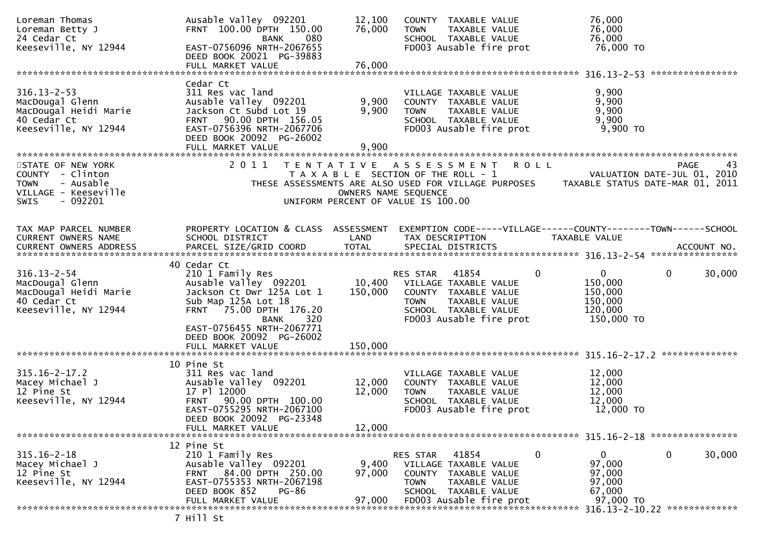| Loreman Thomas<br>Loreman Betty J<br>24 Cedar Ct                                                                      | Ausable Valley 092201<br>FRNT 100.00 DPTH 150.00<br>080<br>BANK<br>EAST-0756096 NRTH-2067655                                                                                            | 12,100<br>76,000                                                                                    | <b>TOWN</b>                                             | COUNTY TAXABLE VALUE<br>TAXABLE VALUE<br>SCHOOL TAXABLE VALUE                                                       |              | 76,000<br>76,000<br>76,000                                                                                           |                               |
|-----------------------------------------------------------------------------------------------------------------------|-----------------------------------------------------------------------------------------------------------------------------------------------------------------------------------------|-----------------------------------------------------------------------------------------------------|---------------------------------------------------------|---------------------------------------------------------------------------------------------------------------------|--------------|----------------------------------------------------------------------------------------------------------------------|-------------------------------|
| Keeseville, NY 12944                                                                                                  | DEED BOOK 20021 PG-39883                                                                                                                                                                |                                                                                                     |                                                         | FD003 Ausable fire prot                                                                                             |              | 76,000 TO                                                                                                            |                               |
|                                                                                                                       |                                                                                                                                                                                         |                                                                                                     |                                                         |                                                                                                                     |              |                                                                                                                      |                               |
| $316.13 - 2 - 53$<br>MacDougal Glenn<br>MacDougal Heidi Marie<br>40 Cedar Ct<br>Keeseville, NY 12944                  | Cedar Ct<br>311 Res vac land<br>Ausable Valley 092201<br>Jackson Ct Subd Lot 19<br>FRNT 90.00 DPTH 156.05<br>EAST-0756396 NRTH-2067706<br>DEED BOOK 20092 PG-26002<br>FULL MARKET VALUE | 9,900<br>9,900<br>9,900                                                                             | <b>TOWN</b>                                             | VILLAGE TAXABLE VALUE<br>COUNTY TAXABLE VALUE<br>TAXABLE VALUE<br>SCHOOL TAXABLE VALUE<br>FD003 Ausable fire prot   |              | 9,900<br>9,900<br>9,900<br>9,900<br>9,900 TO                                                                         |                               |
| STATE OF NEW YORK<br>COUNTY - Clinton<br>- Ausable<br><b>TOWN</b><br>VILLAGE - Keeseville<br>$-092201$<br><b>SWIS</b> | 2011<br>T E N T A T I V E                                                                                                                                                               | T A X A B L E SECTION OF THE ROLL - 1<br>OWNERS NAME SEQUENCE<br>UNIFORM PERCENT OF VALUE IS 100.00 | A S S E S S M E N T                                     |                                                                                                                     | <b>ROLL</b>  | VALUATION DATE-JUL 01, 2010<br>THESE ASSESSMENTS ARE ALSO USED FOR VILLAGE PURPOSES TAXABLE STATUS DATE-MAR 01, 2011 | PAGE<br>43                    |
| TAX MAP PARCEL NUMBER<br>CURRENT OWNERS NAME<br>CURRENT OWNERS ADDRESS                                                | PROPERTY LOCATION & CLASS ASSESSMENT EXEMPTION CODE-----VILLAGE------COUNTY-------TOWN------SCHOOL<br>SCHOOL DISTRICT<br>PARCEL SIZE/GRID COORD                                         | LAND<br><b>TOTAL</b>                                                                                | TAX DESCRIPTION                                         | SPECIAL DISTRICTS                                                                                                   |              | <b>TAXABLE VALUE</b>                                                                                                 | ACCOUNT NO.                   |
|                                                                                                                       | 40 Cedar Ct                                                                                                                                                                             |                                                                                                     |                                                         |                                                                                                                     |              |                                                                                                                      |                               |
| $316.13 - 2 - 54$<br>MacDougal Glenn<br>MacDougal Heidi Marie<br>40 Cedar Ct<br>Keeseville, NY 12944                  | 210 1 Family Res<br>Ausable Valley 092201<br>Jackson Ct Dwr 125A Lot 1<br>Sub Map 125A Lot 18<br>FRNT 75.00 DPTH 176.20<br>320<br><b>BANK</b><br>EAST-0756455 NRTH-2067771              | 150,000                                                                                             | RES STAR<br>10,400 VILLAGE TAXABLE VALUE<br><b>TOWN</b> | 41854<br>COUNTY TAXABLE VALUE<br>TAXABLE VALUE<br>SCHOOL TAXABLE VALUE<br>FD003 Ausable fire prot                   | $\mathbf{0}$ | $\mathbf{0}$<br>150,000<br>150,000<br>150,000<br>120,000<br>150,000 TO                                               | $\mathbf{0}$<br>30,000        |
|                                                                                                                       | DEED BOOK 20092 PG-26002                                                                                                                                                                | 150,000                                                                                             |                                                         |                                                                                                                     |              |                                                                                                                      |                               |
|                                                                                                                       | FULL MARKET VALUE                                                                                                                                                                       |                                                                                                     |                                                         |                                                                                                                     |              |                                                                                                                      | **************                |
| $315.16 - 2 - 17.2$<br>Macey Michael J<br>12 Pine St<br>Keeseville, NY 12944                                          | 10 Pine St<br>311 Res vac land<br>Ausable Valley 092201<br>17 Pl 12000<br>FRNT 90.00 DPTH 100.00<br>EAST-0755295 NRTH-2067100<br>DEED BOOK 20092 PG-23348                               | 12,000<br>12,000                                                                                    | <b>TOWN</b>                                             | VILLAGE TAXABLE VALUE<br>COUNTY TAXABLE VALUE<br>TAXABLE VALUE<br>SCHOOL TAXABLE VALUE<br>FD003 Ausable fire prot   |              | 12,000<br>12,000<br>12,000<br>12,000<br>12,000 TO                                                                    |                               |
|                                                                                                                       | FULL MARKET VALUE                                                                                                                                                                       | 12,000                                                                                              |                                                         |                                                                                                                     |              |                                                                                                                      |                               |
|                                                                                                                       | 12 Pine St                                                                                                                                                                              |                                                                                                     |                                                         |                                                                                                                     |              |                                                                                                                      |                               |
| $315.16 - 2 - 18$<br>Macey Michael J<br>12 Pine St<br>Keeseville, NY 12944                                            | 210 1 Family Res<br>Ausable Valley 092201<br>84.00 DPTH 250.00<br>FRNT<br>EAST-0755353 NRTH-2067198<br>DEED BOOK 852<br><b>PG-86</b><br>FULL MARKET VALUE                               | 9,400<br>97,000<br>97,000                                                                           | <b>RES STAR</b><br><b>COUNTY</b><br><b>TOWN</b>         | 41854<br>VILLAGE TAXABLE VALUE<br>TAXABLE VALUE<br>TAXABLE VALUE<br>SCHOOL TAXABLE VALUE<br>FD003 Ausable fire prot | $\mathbf 0$  | 0<br>97,000<br>97,000<br>97,000<br>67,000<br>97,000 TO                                                               | $\mathbf 0$<br>30,000         |
|                                                                                                                       |                                                                                                                                                                                         |                                                                                                     |                                                         |                                                                                                                     |              |                                                                                                                      | 316.13-2-10.22 ************** |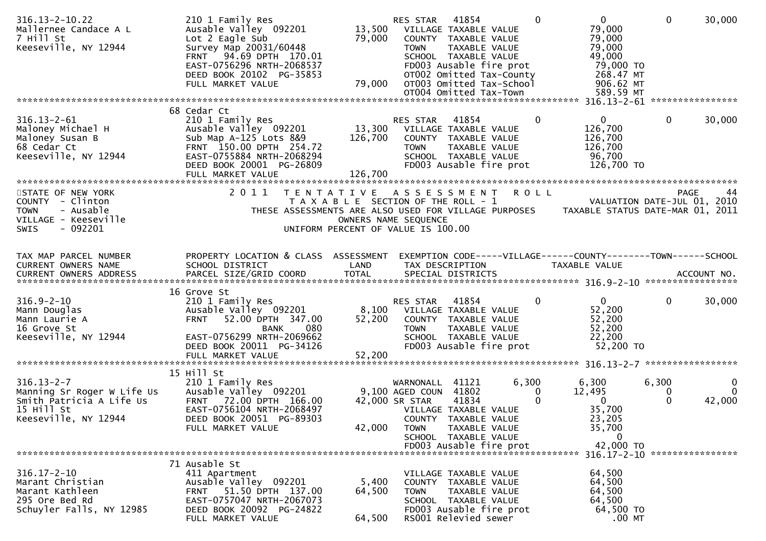| $316.13 - 2 - 10.22$<br>Mallernee Candace A L<br>7 Hill St<br>Keeseville, NY 12944                               | 210 1 Family Res<br>Ausable Valley 092201<br>Lot 2 Eagle Sub<br>Survey Map 20031/60448<br>FRNT 94.69 DPTH 170.01<br>EAST-0756296 NRTH-2068537<br>DEED BOOK 20102 PG-35853<br>FULL MARKET VALUE | 13,500<br>79,000<br>79,000                                                                          | RES STAR<br><b>TOWN</b>                                             | 41854<br>VILLAGE TAXABLE VALUE<br>COUNTY TAXABLE VALUE<br>TAXABLE VALUE<br>SCHOOL TAXABLE VALUE<br>FD003 Ausable fire prot<br>OT002 Omitted Tax-County<br>OT003 Omitted Tax-School<br>OT004 Omitted Tax-Town | $\Omega$     | $\mathbf{0}$<br>79,000<br>79,000<br>79,000<br>49,000<br>79,000 TO<br>268.47 MT<br>906.62 MT<br>589.59 MT | $\mathbf 0$     | 30,000                  |
|------------------------------------------------------------------------------------------------------------------|------------------------------------------------------------------------------------------------------------------------------------------------------------------------------------------------|-----------------------------------------------------------------------------------------------------|---------------------------------------------------------------------|--------------------------------------------------------------------------------------------------------------------------------------------------------------------------------------------------------------|--------------|----------------------------------------------------------------------------------------------------------|-----------------|-------------------------|
|                                                                                                                  | 68 Cedar Ct                                                                                                                                                                                    |                                                                                                     |                                                                     |                                                                                                                                                                                                              |              |                                                                                                          |                 |                         |
| $316.13 - 2 - 61$<br>Maloney Michael H<br>Maloney Susan B<br>68 Cedar Ct<br>Keeseville, NY 12944                 | 210 1 Family Res<br>Ausable Valley 092201<br>Sub Map A-125 Lots 8&9<br>FRNT 150.00 DPTH 254.72<br>EAST-0755884 NRTH-2068294<br>DEED BOOK 20001 PG-26809                                        | 13,300<br>126,700                                                                                   | <b>RES STAR</b><br>VILLAGE TAXABLE VALUE<br><b>TOWN</b>             | 41854<br>COUNTY TAXABLE VALUE<br>TAXABLE VALUE<br>SCHOOL TAXABLE VALUE<br>FD003 Ausable fire prot                                                                                                            | $\mathbf{0}$ | $\Omega$<br>126,700<br>126,700<br>126,700<br>96,700<br>126,700 TO                                        | $\mathbf{0}$    | 30,000                  |
|                                                                                                                  |                                                                                                                                                                                                |                                                                                                     |                                                                     |                                                                                                                                                                                                              |              |                                                                                                          |                 |                         |
| STATE OF NEW YORK<br>COUNTY - Clinton<br><b>TOWN</b><br>- Ausable<br>VILLAGE - Keeseville<br>$-092201$<br>SWIS   | 2011<br>THESE ASSESSMENTS ARE ALSO USED FOR VILLAGE PURPOSES                                                                                                                                   | TENTATIVE ASSESSMENT<br>T A X A B L E SECTION OF THE ROLL - 1<br>UNIFORM PERCENT OF VALUE IS 100.00 | OWNERS NAME SEQUENCE                                                |                                                                                                                                                                                                              | <b>ROLL</b>  | VALUATION DATE-JUL 01, 2010<br>TAXABLE STATUS DATE-MAR 01, 2011                                          | <b>PAGE</b>     | 44                      |
| TAX MAP PARCEL NUMBER<br><b>CURRENT OWNERS NAME</b>                                                              | PROPERTY LOCATION & CLASS ASSESSMENT<br>SCHOOL DISTRICT                                                                                                                                        | LAND                                                                                                |                                                                     | TAX DESCRIPTION                                                                                                                                                                                              |              | EXEMPTION CODE-----VILLAGE------COUNTY--------TOWN------SCHOOL<br>TAXABLE VALUE                          |                 |                         |
|                                                                                                                  | 16 Grove St                                                                                                                                                                                    |                                                                                                     |                                                                     |                                                                                                                                                                                                              |              |                                                                                                          |                 |                         |
| $316.9 - 2 - 10$<br>Mann Douglas<br>Mann Laurie A<br>16 Grove St<br>Keeseville, NY 12944                         | 210 1 Family Res<br>Ausable Valley 092201<br>52.00 DPTH 347.00<br><b>FRNT</b><br>080<br><b>BANK</b><br>EAST-0756299 NRTH-2069662<br>DEED BOOK 20011 PG-34126<br>FULL MARKET VALUE              | 52,200<br>52,200                                                                                    | RES STAR<br>8,100 VILLAGE TAXABLE VALUE<br><b>TOWN</b>              | 41854<br>COUNTY TAXABLE VALUE<br>TAXABLE VALUE<br>SCHOOL TAXABLE VALUE<br>FD003 Ausable fire prot                                                                                                            | $\mathbf{0}$ | 0<br>52,200<br>52,200<br>52,200<br>22,200<br>52,200 TO                                                   | 0               | 30,000                  |
|                                                                                                                  |                                                                                                                                                                                                |                                                                                                     |                                                                     |                                                                                                                                                                                                              |              |                                                                                                          |                 |                         |
| $316.13 - 2 - 7$<br>Manning Sr Roger W Life Us<br>Smith Patricia A Life Us<br>15 Hill St<br>Keeseville, NY 12944 | 15 Hill St<br>210 1 Family Res<br>Ausable Valley 092201<br>FRNT 72.00 DPTH 166.00<br>EAST-0756104 NRTH-2068497<br>DEED BOOK 20051 PG-89303<br>FULL MARKET VALUE                                | 42,000                                                                                              | WARNONALL<br>9,100 AGED COUN 41802<br>42,000 SR STAR<br><b>TOWN</b> | 41121<br>41834<br>VILLAGE TAXABLE VALUE<br>COUNTY TAXABLE VALUE<br>TAXABLE VALUE<br>SCHOOL TAXABLE VALUE<br>FD003 Ausable fire prot                                                                          | 6,300<br>0   | 6,300<br>12,495<br>$\mathbf{0}$<br>35,700<br>23,205<br>35,700<br>0<br>42,000 TO                          | 6,300<br>0<br>0 | 0<br>$\Omega$<br>42,000 |
|                                                                                                                  |                                                                                                                                                                                                |                                                                                                     |                                                                     |                                                                                                                                                                                                              |              | 316.17-2-10 *****************                                                                            |                 |                         |
| $316.17 - 2 - 10$<br>Marant Christian<br>Marant Kathleen<br>295 Ore Bed Rd<br>Schuyler Falls, NY 12985           | 71 Ausable St<br>411 Apartment<br>Ausable Valley 092201<br>51.50 DPTH 137.00<br><b>FRNT</b><br>EAST-0757047 NRTH-2067073<br>DEED BOOK 20092 PG-24822<br>FULL MARKET VALUE                      | 5,400<br>64,500<br>64,500                                                                           | <b>COUNTY</b><br><b>TOWN</b>                                        | VILLAGE TAXABLE VALUE<br>TAXABLE VALUE<br>TAXABLE VALUE<br>SCHOOL TAXABLE VALUE<br>FD003 Ausable fire prot<br>RS001 Relevied sewer                                                                           |              | 64,500<br>64,500<br>64,500<br>64,500<br>64,500 TO<br>$.00$ MT                                            |                 |                         |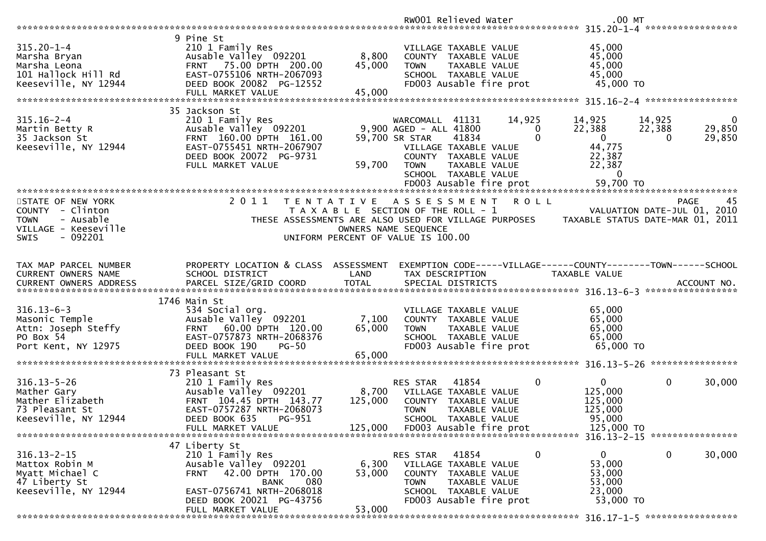|                                                                                                                      |                                                                                                                                                                            |                             | RW001 Relieved Water                                                                                                                                         |                                                    | $.00$ MT                                                                           |                                                                                      |
|----------------------------------------------------------------------------------------------------------------------|----------------------------------------------------------------------------------------------------------------------------------------------------------------------------|-----------------------------|--------------------------------------------------------------------------------------------------------------------------------------------------------------|----------------------------------------------------|------------------------------------------------------------------------------------|--------------------------------------------------------------------------------------|
|                                                                                                                      |                                                                                                                                                                            |                             |                                                                                                                                                              |                                                    |                                                                                    |                                                                                      |
| $315.20 - 1 - 4$<br>Marsha Bryan<br>Marsha Leona<br>101 Hallock Hill Rd<br>Keeseville, NY 12944                      | 9 Pine St<br>210 1 Family Res<br>Ausable Valley 092201<br>FRNT 75.00 DPTH 200.00<br>EAST-0755106 NRTH-2067093<br>DEED BOOK 20082 PG-12552<br>FULL MARKET VALUE             | 8,800<br>45,000<br>45,000   | VILLAGE TAXABLE VALUE<br>COUNTY TAXABLE VALUE<br><b>TOWN</b><br>SCHOOL TAXABLE VALUE<br>FD003 Ausable fire prot                                              | TAXABLE VALUE                                      | 45,000<br>45,000<br>45,000<br>45,000<br>45,000 TO                                  |                                                                                      |
|                                                                                                                      | 35 Jackson St                                                                                                                                                              |                             |                                                                                                                                                              |                                                    |                                                                                    |                                                                                      |
| $315.16 - 2 - 4$<br>Martin Betty R<br>35 Jackson St<br>Keeseville, NY 12944                                          | 210 1 Family Res<br>Ausable Valley 092201<br>FRNT 160.00 DPTH 161.00<br>EAST-0755451 NRTH-2067907<br>DEED BOOK 20072 PG-9731<br>FULL MARKET VALUE                          | 59,700                      | WARCOMALL 41131<br>9,900 AGED - ALL 41800<br>59,700 SR STAR<br>41834<br>VILLAGE TAXABLE VALUE<br>COUNTY TAXABLE VALUE<br><b>TOWN</b><br>SCHOOL TAXABLE VALUE | 14,925<br>$\Omega$<br>$\mathbf 0$<br>TAXABLE VALUE | 14,925<br>22,388<br>$\overline{0}$<br>44,775<br>22,387<br>22,387<br>$\overline{0}$ | 14,925<br>$\mathbf{0}$<br>22,388<br>29,850<br>29,850<br>$\Omega$                     |
|                                                                                                                      |                                                                                                                                                                            |                             | FD003 Ausable fire prot                                                                                                                                      |                                                    | 59,700 TO                                                                          |                                                                                      |
|                                                                                                                      |                                                                                                                                                                            |                             |                                                                                                                                                              |                                                    |                                                                                    |                                                                                      |
| STATE OF NEW YORK<br>COUNTY - Clinton<br><b>TOWN</b><br>- Ausable<br>VILLAGE - Keeseville<br>- 092201<br><b>SWIS</b> | 2011<br>T E N T A T I V E<br>THESE ASSESSMENTS ARE ALSO USED FOR VILLAGE PURPOSES                                                                                          |                             | A S S E S S M E N T<br>T A X A B L E SECTION OF THE ROLL - 1<br>OWNERS NAME SEQUENCE<br>UNIFORM PERCENT OF VALUE IS 100.00                                   | <b>ROLL</b>                                        |                                                                                    | 45<br><b>PAGE</b><br>VALUATION DATE-JUL 01, 2010<br>TAXABLE STATUS DATE-MAR 01, 2011 |
| TAX MAP PARCEL NUMBER                                                                                                | PROPERTY LOCATION & CLASS ASSESSMENT                                                                                                                                       |                             |                                                                                                                                                              |                                                    | EXEMPTION CODE-----VILLAGE------COUNTY--------TOWN------SCHOOL                     |                                                                                      |
| CURRENT OWNERS NAME                                                                                                  | SCHOOL DISTRICT                                                                                                                                                            | LAND                        | TAX DESCRIPTION                                                                                                                                              |                                                    | TAXABLE VALUE                                                                      |                                                                                      |
|                                                                                                                      |                                                                                                                                                                            |                             |                                                                                                                                                              |                                                    |                                                                                    |                                                                                      |
| $316.13 - 6 - 3$<br>Masonic Temple<br>Attn: Joseph Steffy<br>PO Box 54<br>Port Kent, NY 12975                        | 1746 Main St<br>534 Social org.<br>Ausable Valley 092201<br>60.00 DPTH 120.00<br><b>FRNT</b><br>EAST-0757873 NRTH-2068376<br>DEED BOOK 190<br>$PG-50$<br>FULL MARKET VALUE | 7,100<br>65,000<br>65,000   | VILLAGE TAXABLE VALUE<br>COUNTY TAXABLE VALUE<br><b>TOWN</b><br>SCHOOL TAXABLE VALUE<br>FD003 Ausable fire prot                                              | TAXABLE VALUE                                      | 65,000<br>65,000<br>65,000<br>65,000<br>65,000 TO                                  |                                                                                      |
|                                                                                                                      | 73 Pleasant St                                                                                                                                                             |                             |                                                                                                                                                              |                                                    |                                                                                    |                                                                                      |
| $316.13 - 5 - 26$<br>Mather Gary<br>Mather Elizabeth<br>73 Pleasant St<br>Keeseville, NY 12944                       | 210 1 Family Res<br>Ausable Valley 092201<br>FRNT 104.45 DPTH 143.77<br>EAST-0757287 NRTH-2068073<br>DEED BOOK 635<br>PG-951<br>FULL MARKET VALUE                          | 8,700<br>125,000<br>125,000 | 41854<br><b>RES STAR</b><br>VILLAGE TAXABLE VALUE<br>COUNTY TAXABLE VALUE<br><b>TOWN</b><br>SCHOOL TAXABLE VALUE<br>FD003 Ausable fire prot                  | 0<br>TAXABLE VALUE                                 | $\mathbf{0}$<br>125,000<br>125,000<br>125,000<br>95,000<br>125,000 TO              | $\mathbf 0$<br>30,000                                                                |
|                                                                                                                      | 47 Liberty St                                                                                                                                                              |                             |                                                                                                                                                              |                                                    |                                                                                    |                                                                                      |
| $316.13 - 2 - 15$<br>Mattox Robin M<br>Myatt Michael C<br>47 Liberty St<br>Keeseville, NY 12944                      | 210 1 Family Res<br>Ausable Valley 092201<br>42.00 DPTH 170.00<br>FRNT<br>080<br><b>BANK</b><br>EAST-0756741 NRTH-2068018<br>DEED BOOK 20021 PG-43756                      | 6,300<br>53,000             | RES STAR<br>41854<br>VILLAGE TAXABLE VALUE<br>COUNTY TAXABLE VALUE<br><b>TOWN</b><br>SCHOOL TAXABLE VALUE<br>FD003 Ausable fire prot                         | $\mathbf 0$<br>TAXABLE VALUE                       | 0<br>53,000<br>53,000<br>53,000<br>23,000<br>53,000 TO                             | $\mathbf 0$<br>30,000                                                                |
|                                                                                                                      | FULL MARKET VALUE                                                                                                                                                          | 53,000                      |                                                                                                                                                              |                                                    |                                                                                    |                                                                                      |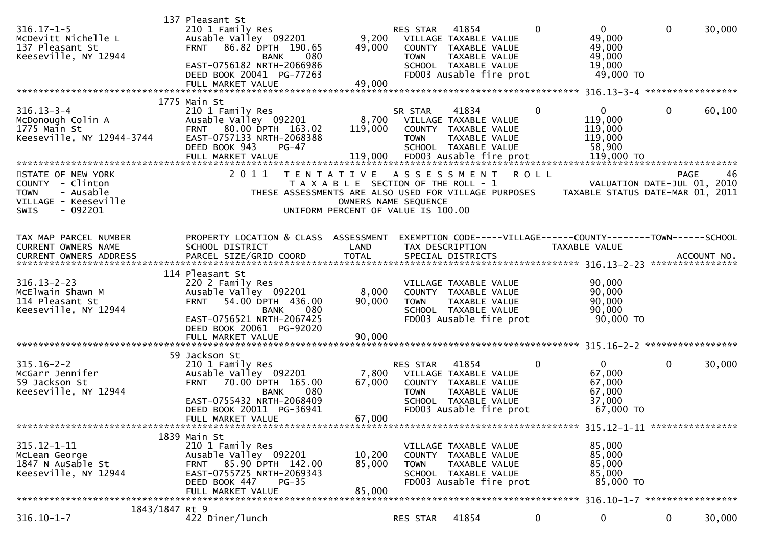| $316.17 - 1 - 5$<br>McDevitt Nichelle L<br>137 Pleasant St<br>Keeseville, NY 12944                            | 137 Pleasant St<br>210 1 Family Res<br>Ausable Valley 092201<br>86.82 DPTH 190.65<br><b>FRNT</b><br>080<br><b>BANK</b><br>EAST-0756182 NRTH-2066986<br>DEED BOOK 20041 PG-77263<br>FULL MARKET VALUE | 9,200<br>49,000<br>49,000                                                                                                   | <b>RES STAR 41854</b><br><b>TOWN</b> | VILLAGE TAXABLE VALUE<br>COUNTY TAXABLE VALUE<br>TAXABLE VALUE<br>SCHOOL TAXABLE VALUE<br>FD003 Ausable fire prot          | $\mathbf 0$ | $\overline{0}$<br>49,000<br>49,000<br>49,000<br>19,000<br>49,000 TO                                                  | $\mathbf 0$  | 30,000 |
|---------------------------------------------------------------------------------------------------------------|------------------------------------------------------------------------------------------------------------------------------------------------------------------------------------------------------|-----------------------------------------------------------------------------------------------------------------------------|--------------------------------------|----------------------------------------------------------------------------------------------------------------------------|-------------|----------------------------------------------------------------------------------------------------------------------|--------------|--------|
| $316.13 - 3 - 4$<br>McDonough Colin A<br>1775 Main St<br>Keeseville, NY 12944-3744                            | 1775 Main St<br>210 1 Family Res<br>Ausable Valley 092201<br>FRNT 80.00 DPTH 163.02<br>EAST-0757133 NRTH-2068388<br>DEED BOOK 943<br>$PG-47$<br>FULL MARKET VALUE                                    | 8,700<br>119,000<br>119,000                                                                                                 | SR STAR<br><b>TOWN</b>               | 41834<br>VILLAGE TAXABLE VALUE<br>COUNTY TAXABLE VALUE<br>TAXABLE VALUE<br>SCHOOL TAXABLE VALUE<br>FD003 Ausable fire prot | $\mathbf 0$ | 0<br>119,000<br>119,000<br>119,000<br>58,900<br>119,000 TO                                                           | 0            | 60,100 |
| STATE OF NEW YORK<br>COUNTY - Clinton<br>- Ausable<br><b>TOWN</b><br>VILLAGE - Keeseville<br>- 092201<br>SWIS | 2011                                                                                                                                                                                                 | TENTATIVE ASSESSMENT<br>T A X A B L E SECTION OF THE ROLL - 1<br>OWNERS NAME SEQUENCE<br>UNIFORM PERCENT OF VALUE IS 100.00 |                                      |                                                                                                                            | <b>ROLL</b> | VALUATION DATE-JUL 01, 2010<br>THESE ASSESSMENTS ARE ALSO USED FOR VILLAGE PURPOSES TAXABLE STATUS DATE-MAR 01, 2011 | <b>PAGE</b>  | 46     |
| TAX MAP PARCEL NUMBER<br>CURRENT OWNERS NAME<br><b>CURRENT OWNERS ADDRESS</b>                                 | PROPERTY LOCATION & CLASS ASSESSMENT<br>SCHOOL DISTRICT                                                                                                                                              | LAND                                                                                                                        |                                      | TAX DESCRIPTION                                                                                                            |             | EXEMPTION CODE-----VILLAGE------COUNTY-------TOWN------SCHOOL<br>TAXABLE VALUE                                       |              |        |
| $316.13 - 2 - 23$<br>McElwain Shawn M<br>114 Pleasant St<br>Keeseville, NY 12944                              | 114 Pleasant St<br>220 2 Family Res<br>Ausable Valley 092201<br>54.00 DPTH 436.00<br><b>FRNT</b><br>080<br><b>BANK</b><br>EAST-0756521 NRTH-2067425<br>DEED BOOK 20061 PG-92020<br>FULL MARKET VALUE | 8,000<br>90,000<br>90,000                                                                                                   | <b>TOWN</b>                          | VILLAGE TAXABLE VALUE<br>COUNTY TAXABLE VALUE<br>TAXABLE VALUE<br>SCHOOL TAXABLE VALUE<br>FD003 Ausable fire prot          |             | 90,000<br>90,000<br>90,000<br>90,000<br>90,000 TO                                                                    |              |        |
| $315.16 - 2 - 2$<br>McGarr Jennifer<br>59 Jackson St<br>Keeseville, NY 12944                                  | 59 Jackson St<br>210 1 Family Res<br>Ausable Valley 092201<br>70.00 DPTH 165.00<br><b>FRNT</b><br>080<br><b>BANK</b><br>EAST-0755432 NRTH-2068409<br>DEED BOOK 20011 PG-36941<br>FULL MARKET VALUE   | 7,800<br>67,000<br>67,000                                                                                                   | RES STAR<br><b>TOWN</b>              | 41854<br>VILLAGE TAXABLE VALUE<br>COUNTY TAXABLE VALUE<br>TAXABLE VALUE<br>SCHOOL TAXABLE VALUE<br>FD003 Ausable fire prot | $\mathbf 0$ | $\mathbf{0}$<br>67,000<br>67,000<br>67,000<br>37,000<br>67,000 TO                                                    | 0            | 30,000 |
| $315.12 - 1 - 11$<br>McLean George<br>1847 N AuSable St<br>Keeseville, NY 12944                               | 1839 Main St<br>210 1 Family Res<br>Ausable Valley 092201<br>FRNT 85.90 DPTH 142.00<br>EAST-0755725 NRTH-2069343<br>DEED BOOK 447<br>PG-35<br>FULL MARKET VALUE                                      | 10,200<br>85,000<br>85,000                                                                                                  | TOWN                                 | VILLAGE TAXABLE VALUE<br>COUNTY TAXABLE VALUE<br>TAXABLE VALUE<br>SCHOOL TAXABLE VALUE<br>FD003 Ausable fire prot          |             | 85,000<br>85,000<br>85,000<br>85,000<br>85,000 TO                                                                    |              |        |
| 1843/1847 Rt 9<br>$316.10 - 1 - 7$                                                                            | 422 Diner/lunch                                                                                                                                                                                      |                                                                                                                             | RES STAR                             | 41854                                                                                                                      | 0           | 0                                                                                                                    | $\mathbf{0}$ | 30,000 |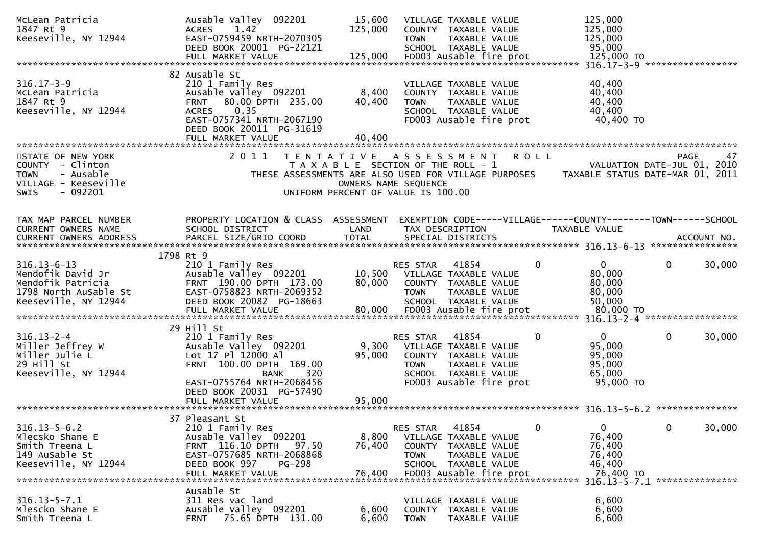| McLean Patricia<br>1847 Rt 9<br>Keeseville, NY 12944                                              | Ausable Valley 092201<br>1.42<br><b>ACRES</b><br>EAST-0759459 NRTH-2070305<br>DEED BOOK 20001 PG-22121                                                                                     | 15,600<br>125,000                                                                                   | <b>TOWN</b>             | VILLAGE TAXABLE VALUE<br>COUNTY TAXABLE VALUE<br>TAXABLE VALUE<br>SCHOOL TAXABLE VALUE                                     |   | 125,000<br>125,000<br>125,000<br>95,000<br>125,000 TO               |                 |        |
|---------------------------------------------------------------------------------------------------|--------------------------------------------------------------------------------------------------------------------------------------------------------------------------------------------|-----------------------------------------------------------------------------------------------------|-------------------------|----------------------------------------------------------------------------------------------------------------------------|---|---------------------------------------------------------------------|-----------------|--------|
|                                                                                                   |                                                                                                                                                                                            |                                                                                                     |                         |                                                                                                                            |   | 316.17-3-9 ******************                                       |                 |        |
| $316.17 - 3 - 9$<br>McLean Patricia<br>1847 Rt 9<br>Keeseville, NY 12944                          | 82 Ausable St<br>210 1 Family Res<br>Ausable Valley 092201<br>FRNT 80.00 DPTH 235.00<br>0.35<br><b>ACRES</b><br>EAST-0757341 NRTH-2067190<br>DEED BOOK 20011 PG-31619<br>FULL MARKET VALUE | 8,400<br>40,400<br>40,400                                                                           | <b>TOWN</b>             | VILLAGE TAXABLE VALUE<br>COUNTY TAXABLE VALUE<br>TAXABLE VALUE<br>SCHOOL TAXABLE VALUE<br>FD003 Ausable fire prot          |   | 40,400<br>40,400<br>40,400<br>40,400<br>40,400 TO                   |                 |        |
| STATE OF NEW YORK                                                                                 | 2011<br>T E N T A T I V E                                                                                                                                                                  |                                                                                                     |                         | A S S E S S M E N T<br>R O L L                                                                                             |   |                                                                     | PAGE            | 47     |
| COUNTY - Clinton<br>- Ausable<br><b>TOWN</b><br>VILLAGE - Keeseville<br>$-092201$<br><b>SWIS</b>  |                                                                                                                                                                                            | T A X A B L E SECTION OF THE ROLL - 1<br>OWNERS NAME SEQUENCE<br>UNIFORM PERCENT OF VALUE IS 100.00 |                         | THESE ASSESSMENTS ARE ALSO USED FOR VILLAGE PURPOSES TAXABLE STATUS DATE-MAR 01, 2011                                      |   | VALUATION DATE-JUL 01, 2010                                         |                 |        |
| TAX MAP PARCEL NUMBER<br>CURRENT OWNERS NAME                                                      | PROPERTY LOCATION & CLASS ASSESSMENT<br>SCHOOL DISTRICT                                                                                                                                    | LAND                                                                                                |                         | EXEMPTION CODE-----VILLAGE------COUNTY--------TOWN------SCHOOL<br>TAX DESCRIPTION                                          |   | <b>TAXABLE VALUE</b>                                                |                 |        |
| 1798 Rt 9<br>$316.13 - 6 - 13$                                                                    |                                                                                                                                                                                            |                                                                                                     |                         |                                                                                                                            | 0 | $\mathbf{0}$                                                        | 0               |        |
| Mendofik David Jr<br>Mendofik Patricia<br>1798 North AuSable St<br>Keeseville, NY 12944           | 210 1 Family Res<br>Ausable Valley 092201<br>FRNT 190.00 DPTH 173.00<br>EAST-0758823 NRTH-2069352<br>DEED BOOK 20082 PG-18663                                                              | 10,500<br>80,000                                                                                    | RES STAR<br><b>TOWN</b> | 41854<br>VILLAGE TAXABLE VALUE<br>COUNTY TAXABLE VALUE<br>TAXABLE VALUE<br>SCHOOL TAXABLE VALUE                            |   | 80,000<br>80,000<br>80,000<br>50,000<br>80,000 TO                   |                 | 30,000 |
|                                                                                                   |                                                                                                                                                                                            |                                                                                                     |                         |                                                                                                                            |   | 316.13-2-4 ******************                                       |                 |        |
| $316.13 - 2 - 4$<br>Miller Jeffrey W<br>Miller Julie L<br>29 Hill St<br>Keeseville, NY 12944      | 29 Hill St<br>210 1 Family Res<br>Ausable Valley 092201<br>Lot 17 Pl 12000 Al<br>FRNT 100.00 DPTH 169.00<br>320<br><b>BANK</b><br>EAST-0755764 NRTH-2068456<br>DEED BOOK 20031 PG-57490    | 9,300<br>95,000                                                                                     | RES STAR<br><b>TOWN</b> | 41854<br>VILLAGE TAXABLE VALUE<br>COUNTY TAXABLE VALUE<br>TAXABLE VALUE<br>SCHOOL TAXABLE VALUE<br>FD003 Ausable fire prot | 0 | $\overline{0}$<br>95,000<br>95,000<br>95,000<br>65,000<br>95,000 TO | $\mathbf 0$     | 30,000 |
|                                                                                                   | FULL MARKET VALUE                                                                                                                                                                          | 95,000                                                                                              |                         |                                                                                                                            |   |                                                                     | *************** |        |
| $316.13 - 5 - 6.2$<br>Mlecsko Shane E<br>Smith Treena L<br>149 AuSable St<br>Keeseville, NY 12944 | 37 Pleasant St<br>210 1 Family Res<br>Ausable Valley 092201<br>FRNT 116.10 DPTH<br>97.50<br>EAST-0757685 NRTH-2068868<br>DEED BOOK 997<br><b>PG-298</b>                                    | 8,800<br>76,400                                                                                     | RES STAR<br><b>TOWN</b> | 41854<br>VILLAGE TAXABLE VALUE<br>COUNTY TAXABLE VALUE<br>TAXABLE VALUE<br>SCHOOL TAXABLE VALUE                            | 0 | $\overline{0}$<br>76,400<br>76,400<br>76,400<br>46,400<br>76,400 TO | $\mathbf 0$     | 30,000 |
|                                                                                                   | Ausable St                                                                                                                                                                                 |                                                                                                     |                         |                                                                                                                            |   | 316.13-5-7.1 ****************                                       |                 |        |
| $316.13 - 5 - 7.1$<br>Mlescko Shane E<br>Smith Treena L                                           | 311 Res vac land<br>Ausable Valley 092201<br>75.65 DPTH 131.00<br><b>FRNT</b>                                                                                                              | 6,600<br>6,600                                                                                      | <b>TOWN</b>             | VILLAGE TAXABLE VALUE<br>COUNTY TAXABLE VALUE<br>TAXABLE VALUE                                                             |   | 6,600<br>6,600<br>6,600                                             |                 |        |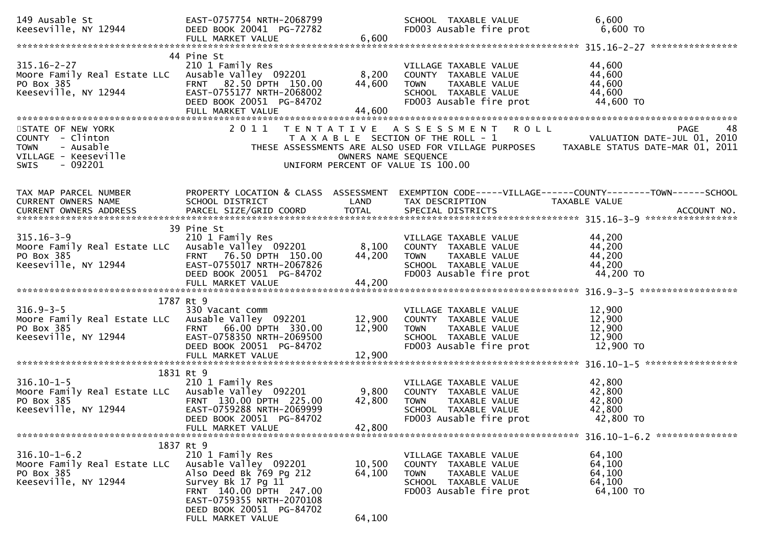| 149 Ausable St<br>Keeseville, NY 12944                                                                               | EAST-0757754 NRTH-2068799<br>DEED BOOK 20041 PG-72782<br>FULL MARKET VALUE                                                                                      | 6,600                      | SCHOOL TAXABLE VALUE<br>FD003 Ausable fire prot                                                                                  | 6,600<br>6,600 TO                                                                                                                  |
|----------------------------------------------------------------------------------------------------------------------|-----------------------------------------------------------------------------------------------------------------------------------------------------------------|----------------------------|----------------------------------------------------------------------------------------------------------------------------------|------------------------------------------------------------------------------------------------------------------------------------|
|                                                                                                                      |                                                                                                                                                                 |                            |                                                                                                                                  |                                                                                                                                    |
| $315.16 - 2 - 27$<br>Moore Family Real Estate LLC Ausable Valley 092201<br>PO Box 385<br>Keeseville, NY 12944        | 44 Pine St<br>210 1 Family Res<br>FRNT 82.50 DPTH 150.00<br>EAST-0755177 NRTH-2068002<br>DEED BOOK 20051 PG-84702<br>FULL MARKET VALUE                          | 8,200<br>44,600<br>44,600  | VILLAGE TAXABLE VALUE<br>COUNTY TAXABLE VALUE<br>TAXABLE VALUE<br><b>TOWN</b><br>SCHOOL TAXABLE VALUE<br>FD003 Ausable fire prot | 44,600<br>44,600<br>44,600<br>44,600<br>44,600 TO                                                                                  |
| STATE OF NEW YORK<br>COUNTY - Clinton<br>- Ausable<br><b>TOWN</b><br>VILLAGE - Keeseville<br>- 092201<br><b>SWIS</b> | 2011                                                                                                                                                            | OWNERS NAME SEQUENCE       | R O L L<br>TENTATIVE ASSESSMENT<br>T A X A B L E SECTION OF THE ROLL - 1<br>UNIFORM PERCENT OF VALUE IS 100.00                   | 48<br>PAGE<br>VALUATION DATE-JUL 01, 2010<br>THESE ASSESSMENTS ARE ALSO USED FOR VILLAGE PURPOSES TAXABLE STATUS DATE-MAR 01, 2011 |
| TAX MAP PARCEL NUMBER<br>CURRENT OWNERS NAME                                                                         | SCHOOL DISTRICT                                                                                                                                                 | LAND                       | TAX DESCRIPTION                                                                                                                  | PROPERTY LOCATION & CLASS ASSESSMENT EXEMPTION CODE-----VILLAGE------COUNTY--------TOWN------SCHOOL<br><b>TAXABLE VALUE</b>        |
| $315.16 - 3 - 9$<br>Moore Family Real Estate LLC Ausable Valley 092201<br>PO Box 385<br>Keeseville, NY 12944         | 39 Pine St<br>210 1 Family Res<br>FRNT 76.50 DPTH 150.00<br>EAST-0755017 NRTH-2067826<br>DEED BOOK 20051 PG-84702<br>FULL MARKET VALUE                          | 8,100<br>44,200<br>44,200  | VILLAGE TAXABLE VALUE<br>COUNTY TAXABLE VALUE<br><b>TOWN</b><br>TAXABLE VALUE<br>SCHOOL TAXABLE VALUE<br>FD003 Ausable fire prot | 44,200<br>44,200<br>44,200<br>44,200<br>44,200 TO                                                                                  |
|                                                                                                                      |                                                                                                                                                                 |                            |                                                                                                                                  |                                                                                                                                    |
| $316.9 - 3 - 5$<br>Moore Family Real Estate LLC Ausable Valley 092201<br>PO Box 385<br>Keeseville, NY 12944          | 1787 Rt 9<br>330 Vacant comm<br>FRNT 66.00 DPTH 330.00<br>EAST-0758350 NRTH-2069500<br>DEED BOOK 20051 PG-84702<br>FULL MARKET VALUE                            | 12,900<br>12,900<br>12,900 | VILLAGE TAXABLE VALUE<br>COUNTY TAXABLE VALUE<br>TAXABLE VALUE<br><b>TOWN</b><br>SCHOOL TAXABLE VALUE<br>FD003 Ausable fire prot | 12,900<br>12,900<br>12,900<br>12,900<br>12,900 TO                                                                                  |
|                                                                                                                      |                                                                                                                                                                 |                            |                                                                                                                                  |                                                                                                                                    |
| $316.10 - 1 - 5$<br>Moore Family Real Estate LLC Ausable Valley 092201<br>PO Box 385<br>Keeseville, NY 12944         | 1831 Rt 9<br>210 1 Family Res<br>FRNT 130.00 DPTH 225.00<br>EAST-0759288 NRTH-2069999<br>DEED BOOK 20051 PG-84702<br>FULL MARKET VALUE                          | 9,800<br>42,800<br>42,800  | VILLAGE TAXABLE VALUE<br>COUNTY TAXABLE VALUE<br>TAXABLE VALUE<br><b>TOWN</b><br>SCHOOL TAXABLE VALUE<br>FD003 Ausable fire prot | 42,800<br>42,800<br>42,800<br>42,800<br>42,800 TO                                                                                  |
|                                                                                                                      |                                                                                                                                                                 |                            |                                                                                                                                  |                                                                                                                                    |
| $316.10 - 1 - 6.2$<br>Moore Family Real Estate LLC<br>PO Box 385<br>Keeseville, NY 12944                             | 1837 Rt 9<br>210 1 Family Res<br>Ausable Valley 092201<br>Also Deed Bk 769 Pg 212<br>Survey Bk 17 Pg 11<br>FRNT 140.00 DPTH 247.00<br>EAST-0759355 NRTH-2070108 | 10,500<br>64,100           | VILLAGE TAXABLE VALUE<br>COUNTY TAXABLE VALUE<br><b>TOWN</b><br>TAXABLE VALUE<br>SCHOOL TAXABLE VALUE<br>FD003 Ausable fire prot | 64,100<br>64,100<br>64,100<br>64,100<br>64,100 TO                                                                                  |
|                                                                                                                      | DEED BOOK 20051 PG-84702<br>FULL MARKET VALUE                                                                                                                   | 64,100                     |                                                                                                                                  |                                                                                                                                    |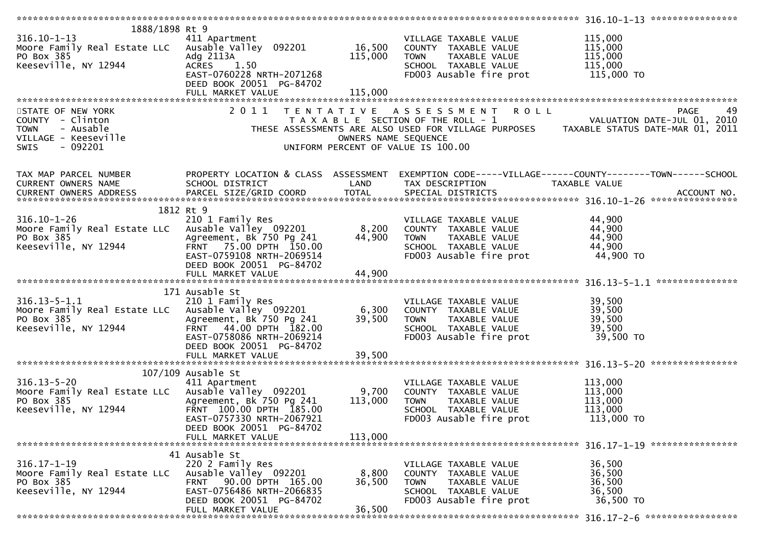|                                                           |                           |                      |                                    | 316.10-1-13 *****************                                                                                                  |
|-----------------------------------------------------------|---------------------------|----------------------|------------------------------------|--------------------------------------------------------------------------------------------------------------------------------|
| 1888/1898 Rt 9                                            |                           |                      |                                    |                                                                                                                                |
| $316.10 - 1 - 13$                                         | 411 Apartment             |                      | VILLAGE TAXABLE VALUE              | 115,000                                                                                                                        |
| Moore Family Real Estate LLC Ausable Valley 092201 16,500 |                           |                      |                                    | 115,000                                                                                                                        |
|                                                           |                           |                      | COUNTY TAXABLE VALUE               |                                                                                                                                |
| PO Box 385                                                | Adg 2113A                 | 115,000              | TAXABLE VALUE<br><b>TOWN</b>       | 115,000                                                                                                                        |
| Keeseville, NY 12944                                      | ACRES 1.50                |                      | SCHOOL TAXABLE VALUE               | 115,000                                                                                                                        |
|                                                           | EAST-0760228 NRTH-2071268 |                      | FD003 Ausable fire prot            | 115,000 TO                                                                                                                     |
|                                                           | DEED BOOK 20051 PG-84702  |                      |                                    |                                                                                                                                |
|                                                           | FULL MARKET VALUE         | 115,000              |                                    |                                                                                                                                |
|                                                           |                           |                      |                                    |                                                                                                                                |
|                                                           |                           |                      |                                    |                                                                                                                                |
| STATE OF NEW YORK                                         | 2011                      |                      | R O L L<br>TENTATIVE ASSESSMENT    | PAGE<br>49                                                                                                                     |
| COUNTY - Clinton                                          |                           |                      |                                    | T A X A B L E SECTION OF THE ROLL - 1<br>THESE ASSESSMENTS ARE ALSO USED FOR VILLAGE PURPOSES TAXABLE STATUS DATE-MAR 01, 2011 |
| - Ausable<br><b>TOWN</b>                                  |                           |                      |                                    |                                                                                                                                |
| VILLAGE - Keeseville                                      |                           | OWNERS NAME SEQUENCE |                                    |                                                                                                                                |
| - 092201<br><b>SWIS</b>                                   |                           |                      |                                    |                                                                                                                                |
|                                                           |                           |                      | UNIFORM PERCENT OF VALUE IS 100.00 |                                                                                                                                |
|                                                           |                           |                      |                                    |                                                                                                                                |
|                                                           |                           |                      |                                    | TAX MAP PARCEL NUMBER PROPERTY LOCATION & CLASS ASSESSMENT EXEMPTION CODE-----VILLAGE------COUNTY--------TOWN------SCHOOL      |
| CURRENT OWNERS NAME                                       | SCHOOL DISTRICT           | LAND                 | TAX DESCRIPTION                    | TAXABLE VALUE                                                                                                                  |
|                                                           |                           |                      |                                    |                                                                                                                                |
| CURRENT OWNERS ADDRESS                                    |                           |                      |                                    |                                                                                                                                |
|                                                           |                           |                      |                                    |                                                                                                                                |
|                                                           | 1812 Rt 9                 |                      |                                    |                                                                                                                                |
| $316.10 - 1 - 26$                                         | 210 1 Family Res          |                      | VILLAGE TAXABLE VALUE              | 44,900                                                                                                                         |
| Moore Family Real Estate LLC Ausable Valley 092201        |                           | 8,200                | COUNTY TAXABLE VALUE               | 44,900                                                                                                                         |
| PO Box 385                                                | Agreement, Bk 750 Pg 241  | 44,900               | <b>TOWN</b><br>TAXABLE VALUE       | 44,900                                                                                                                         |
| Keeseville, NY 12944                                      |                           |                      |                                    |                                                                                                                                |
|                                                           | FRNT 75.00 DPTH 150.00    |                      | SCHOOL TAXABLE VALUE               | 44,900                                                                                                                         |
|                                                           | EAST-0759108 NRTH-2069514 |                      | FD003 Ausable fire prot            | 44,900 TO                                                                                                                      |
|                                                           | DEED BOOK 20051 PG-84702  |                      |                                    |                                                                                                                                |
|                                                           |                           |                      |                                    |                                                                                                                                |
|                                                           |                           |                      |                                    |                                                                                                                                |
|                                                           | 171 Ausable St            |                      |                                    |                                                                                                                                |
| $316.13 - 5 - 1.1$                                        | 210 1 Family Res          |                      | VILLAGE TAXABLE VALUE              | 39,500                                                                                                                         |
|                                                           |                           |                      |                                    |                                                                                                                                |
| Moore Family Real Estate LLC Ausable Valley 092201        |                           | 6,300                | COUNTY TAXABLE VALUE               | 39,500                                                                                                                         |
| PO Box 385                                                | Agreement, Bk 750 Pg 241  | 39,500               | TAXABLE VALUE<br><b>TOWN</b>       | 39,500                                                                                                                         |
| Keeseville, NY 12944                                      | FRNT 44.00 DPTH 182.00    |                      | SCHOOL TAXABLE VALUE               | 39,500                                                                                                                         |
|                                                           | EAST-0758086 NRTH-2069214 |                      | FD003 Ausable fire prot            | 39,500 TO                                                                                                                      |
|                                                           | DEED BOOK 20051 PG-84702  |                      |                                    |                                                                                                                                |
|                                                           |                           |                      |                                    |                                                                                                                                |
|                                                           |                           |                      |                                    |                                                                                                                                |
|                                                           |                           |                      |                                    |                                                                                                                                |
|                                                           | $107/109$ Ausable St      |                      |                                    |                                                                                                                                |
| $316.13 - 5 - 20$                                         | 411 Apartment             |                      | VILLAGE TAXABLE VALUE              | 113,000                                                                                                                        |
| Moore Family Real Estate LLC Ausable Valley 092201        |                           | 9,700                | COUNTY TAXABLE VALUE               | 113,000                                                                                                                        |
| PO Box 385                                                | Agreement, Bk 750 Pg 241  | 113,000              | <b>TOWN</b><br>TAXABLE VALUE       | 113,000                                                                                                                        |
| Keeseville, NY 12944                                      | FRNT 100.00 DPTH 185.00   |                      | SCHOOL TAXABLE VALUE               | 113,000                                                                                                                        |
|                                                           | EAST-0757330 NRTH-2067921 |                      | FD003 Ausable fire prot            | 113,000 TO                                                                                                                     |
|                                                           |                           |                      |                                    |                                                                                                                                |
|                                                           | DEED BOOK 20051 PG-84702  |                      |                                    |                                                                                                                                |
|                                                           | FULL MARKET VALUE         | 113,000              |                                    |                                                                                                                                |
|                                                           |                           |                      |                                    |                                                                                                                                |
|                                                           | 41 Ausable St             |                      |                                    |                                                                                                                                |
| $316.17 - 1 - 19$                                         | 220 2 Family Res          |                      | VILLAGE TAXABLE VALUE              | 36,500                                                                                                                         |
| Moore Family Real Estate LLC                              | Ausable Valley 092201     | 8,800                | COUNTY TAXABLE VALUE               | 36,500                                                                                                                         |
| PO Box 385                                                | FRNT 90.00 DPTH 165.00    | 36,500               | TAXABLE VALUE<br><b>TOWN</b>       | 36,500                                                                                                                         |
|                                                           | EAST-0756486 NRTH-2066835 |                      |                                    | 36,500                                                                                                                         |
| Keeseville, NY 12944                                      |                           |                      | SCHOOL TAXABLE VALUE               |                                                                                                                                |
|                                                           | DEED BOOK 20051 PG-84702  |                      | FD003 Ausable fire prot            | 36,500 TO                                                                                                                      |
|                                                           | FULL MARKET VALUE         | 36,500               |                                    |                                                                                                                                |
|                                                           |                           |                      |                                    |                                                                                                                                |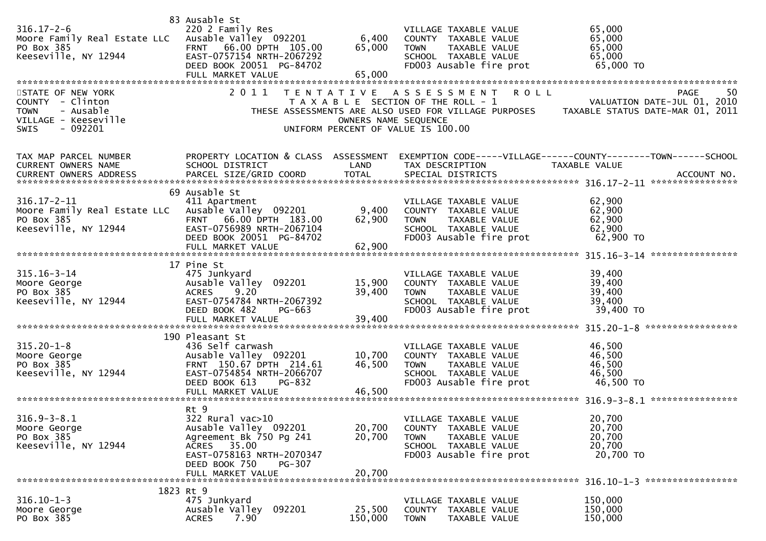| $316.17 - 2 - 6$<br>Moore Family Real Estate LLC Ausable Valley 092201<br>PO Box 385<br>Keeseville, NY 12944<br>STATE OF NEW YORK<br>COUNTY - Clinton<br><b>TOWN</b><br>- Ausable<br>VILLAGE - Keeseville<br>- 092201<br><b>SWIS</b> | 83 Ausable St<br>220 2 Family Res<br>FRNT 66.00 DPTH 105.00<br>EAST-0757154 NRTH-2067292<br>DEED BOOK 20051 PG-84702<br>FULL MARKET VALUE<br>2011                        | 6,400<br>65,000<br>65,000<br>OWNERS NAME SEQUENCE | VILLAGE TAXABLE VALUE<br>COUNTY TAXABLE VALUE<br>TAXABLE VALUE<br><b>TOWN</b><br>SCHOOL TAXABLE VALUE<br>FD003 Ausable fire prot<br>ROLL<br>TENTATIVE ASSESSMENT<br>T A X A B L E SECTION OF THE ROLL - 1<br>UNIFORM PERCENT OF VALUE IS 100.00 | 65,000<br>65,000<br>65,000<br>65,000<br>65,000 TO<br><b>PAGE</b><br>50<br>VALUATION DATE-JUL 01, 2010<br>THESE ASSESSMENTS ARE ALSO USED FOR VILLAGE PURPOSES TAXABLE STATUS DATE-MAR 01, 2011 |
|--------------------------------------------------------------------------------------------------------------------------------------------------------------------------------------------------------------------------------------|--------------------------------------------------------------------------------------------------------------------------------------------------------------------------|---------------------------------------------------|-------------------------------------------------------------------------------------------------------------------------------------------------------------------------------------------------------------------------------------------------|------------------------------------------------------------------------------------------------------------------------------------------------------------------------------------------------|
| TAX MAP PARCEL NUMBER<br>CURRENT OWNERS NAME                                                                                                                                                                                         | SCHOOL DISTRICT                                                                                                                                                          | LAND<br><b>TOTAL</b>                              | TAX DESCRIPTION                                                                                                                                                                                                                                 | PROPERTY LOCATION & CLASS ASSESSMENT EXEMPTION CODE-----VILLAGE------COUNTY--------TOWN------SCHOOL<br>TAXABLE VALUE                                                                           |
| $316.17 - 2 - 11$<br>Moore Family Real Estate LLC Ausable Valley 092201<br>PO Box 385<br>(12944)<br>Keeseville, NY 12944                                                                                                             | 69 Ausable St<br>411 Apartment<br>FRNT 66.00 DPTH 183.00<br>EAST-0756989 NRTH-2067104<br>DEED BOOK 20051 PG-84702                                                        | 9,400<br>62,900                                   | VILLAGE TAXABLE VALUE<br>COUNTY TAXABLE VALUE<br><b>TOWN</b><br>TAXABLE VALUE<br>SCHOOL TAXABLE VALUE<br>FD003 Ausable fire prot                                                                                                                | 62,900<br>62,900<br>62,900<br>62,900<br>62,900 TO                                                                                                                                              |
| $315.16 - 3 - 14$<br>Moore George<br>PO Box 385<br>Keeseville, NY 12944                                                                                                                                                              | 17 Pine St<br>475 Junkyard<br>Ausable valley 092201<br>ACRES 9.20<br>EAST-0754784 NRTH-2067392<br>DEED BOOK 482<br>PG-663<br>FULL MARKET VALUE                           | 15,900<br>39,400<br>39,400                        | VILLAGE TAXABLE VALUE<br>COUNTY TAXABLE VALUE<br>TAXABLE VALUE<br>TOWN<br>SCHOOL TAXABLE VALUE<br>FD003 Ausable fire prot                                                                                                                       | 39,400<br>39,400<br>39,400<br>39,400<br>39,400 TO                                                                                                                                              |
| $315.20 - 1 - 8$<br>Moore George<br>PO Box 385<br>Keeseville, NY 12944                                                                                                                                                               | 190 Pleasant St<br>436 Self carwash<br>Ausable Valley 092201<br>FRNT 150.67 DPTH 214.61<br>EAST-0754854 NRTH-2066707<br>DEED BOOK 613<br>PG-832<br>FULL MARKET VALUE     | 10,700<br>46,500<br>46,500                        | VILLAGE TAXABLE VALUE<br>COUNTY TAXABLE VALUE<br>TAXABLE VALUE<br><b>TOWN</b><br>SCHOOL TAXABLE VALUE<br>FD003 Ausable fire prot                                                                                                                | 46,500<br>46,500<br>46,500<br>46,500<br>46,500 TO                                                                                                                                              |
| $316.9 - 3 - 8.1$<br>Moore George<br>PO Box 385<br>Keeseville, NY 12944                                                                                                                                                              | Rt 9<br>322 Rural vac>10<br>Ausable Valley 092201<br>Agreement Bk 750 Pg 241<br>ACRES 35.00<br>EAST-0758163 NRTH-2070347<br>DEED BOOK 750<br>PG-307<br>FULL MARKET VALUE | 20,700<br>20,700<br>20,700                        | VILLAGE TAXABLE VALUE<br>COUNTY TAXABLE VALUE<br><b>TOWN</b><br>TAXABLE VALUE<br>SCHOOL TAXABLE VALUE<br>FD003 Ausable fire prot                                                                                                                | 20,700<br>20,700<br>20,700<br>20,700<br>20,700 TO                                                                                                                                              |
| $316.10 - 1 - 3$<br>Moore George<br>PO Box 385                                                                                                                                                                                       | 1823 Rt 9<br>475 Junkyard<br>Ausable Valley 092201<br>7.90<br><b>ACRES</b>                                                                                               | 25,500<br>150,000                                 | VILLAGE TAXABLE VALUE<br>COUNTY TAXABLE VALUE<br><b>TOWN</b><br>TAXABLE VALUE                                                                                                                                                                   | 150,000<br>150,000<br>150,000                                                                                                                                                                  |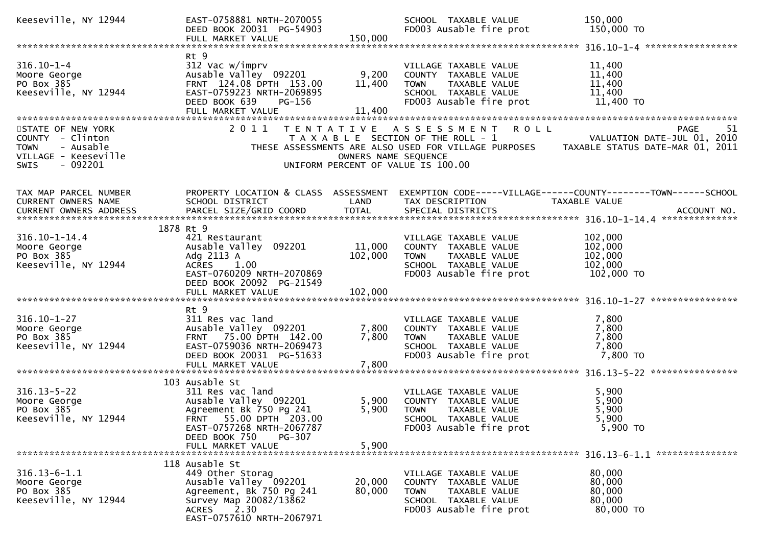| Keeseville, NY 12944                                                                                                 | EAST-0758881 NRTH-2070055<br>DEED BOOK 20031 PG-54903                                                                                                                  | 150,000                   | SCHOOL TAXABLE VALUE<br>FD003 Ausable fire prot                                                                                  | 150,000<br>150,000 TO                                                                                                              |
|----------------------------------------------------------------------------------------------------------------------|------------------------------------------------------------------------------------------------------------------------------------------------------------------------|---------------------------|----------------------------------------------------------------------------------------------------------------------------------|------------------------------------------------------------------------------------------------------------------------------------|
|                                                                                                                      | FULL MARKET VALUE                                                                                                                                                      |                           |                                                                                                                                  |                                                                                                                                    |
| $316.10 - 1 - 4$<br>Moore George<br>PO Box 385<br>Keeseville, NY 12944                                               | Rt 9<br>312 Vac w/imprv<br>Ausable Valley 092201<br>FRNT 124.08 DPTH 153.00<br>EAST-0759223 NRTH-2069895<br>DEED BOOK 639<br>PG-156<br>FULL MARKET VALUE               | 9,200<br>11,400<br>11,400 | VILLAGE TAXABLE VALUE<br>COUNTY TAXABLE VALUE<br>TAXABLE VALUE<br><b>TOWN</b><br>SCHOOL TAXABLE VALUE<br>FD003 Ausable fire prot | 11,400<br>11,400<br>11,400<br>11,400<br>11,400 TO                                                                                  |
| STATE OF NEW YORK<br>COUNTY - Clinton<br>- Ausable<br><b>TOWN</b><br>VILLAGE - Keeseville<br>- 092201<br><b>SWIS</b> | 2011                                                                                                                                                                   | OWNERS NAME SEQUENCE      | ROLL<br>TENTATIVE ASSESSMENT<br>T A X A B L E SECTION OF THE ROLL - 1<br>UNIFORM PERCENT OF VALUE IS 100.00                      | PAGE<br>51<br>VALUATION DATE-JUL 01, 2010<br>THESE ASSESSMENTS ARE ALSO USED FOR VILLAGE PURPOSES TAXABLE STATUS DATE-MAR 01, 2011 |
| TAX MAP PARCEL NUMBER<br>CURRENT OWNERS NAME<br>CURRENT OWNERS ADDRESS                                               | PROPERTY LOCATION & CLASS ASSESSMENT<br>SCHOOL DISTRICT<br>PARCEL SIZE/GRID COORD                                                                                      | LAND<br><b>TOTAL</b>      | TAX DESCRIPTION<br>SPECIAL DISTRICTS                                                                                             | EXEMPTION CODE-----VILLAGE------COUNTY-------TOWN------SCHOOL<br>TAXABLE VALUE<br>ACCOUNT NO.                                      |
| $316.10 - 1 - 14.4$<br>Moore George<br>PO Box 385<br>Keeseville, NY 12944                                            | 1878 Rt 9<br>421 Restaurant<br>Ausable Valley 092201<br>Adg 2113 A<br>ACRES 1.00<br>EAST-0760209 NRTH-2070869<br>DEED BOOK 20092 PG-21549                              | 11,000<br>102,000         | VILLAGE TAXABLE VALUE<br>COUNTY TAXABLE VALUE<br><b>TOWN</b><br>TAXABLE VALUE<br>SCHOOL TAXABLE VALUE<br>FD003 Ausable fire prot | 102,000<br>102,000<br>102,000<br>102,000<br>102,000 TO                                                                             |
|                                                                                                                      |                                                                                                                                                                        |                           |                                                                                                                                  |                                                                                                                                    |
| $316.10 - 1 - 27$<br>Moore George<br>PO Box 385<br>Keeseville, NY 12944                                              | Rt 9<br>311 Res vac land<br>Ausable Valley 092201<br>FRNT 75.00 DPTH 142.00<br>EAST-0759036 NRTH-2069473<br>DEED BOOK 20031 PG-51633<br>FULL MARKET VALUE              | 7,800<br>7,800<br>7,800   | VILLAGE TAXABLE VALUE<br>COUNTY TAXABLE VALUE<br><b>TOWN</b><br>TAXABLE VALUE<br>SCHOOL TAXABLE VALUE<br>FD003 Ausable fire prot | 7,800<br>7,800<br>7,800<br>7,800<br>7,800 TO                                                                                       |
|                                                                                                                      |                                                                                                                                                                        |                           |                                                                                                                                  |                                                                                                                                    |
| $316.13 - 5 - 22$<br>Moore George<br>PO Box 385<br>Keeseville, NY 12944                                              | 103 Ausable St<br>311 Res vac land<br>Ausable Valley 092201<br>Agreement Bk 750 Pg 241<br>FRNT 55.00 DPTH 203.00<br>EAST-0757268 NRTH-2067787                          | 5,900<br>5,900            | VILLAGE TAXABLE VALUE<br>COUNTY TAXABLE VALUE<br><b>TOWN</b><br>TAXABLE VALUE<br>SCHOOL TAXABLE VALUE<br>FD003 Ausable fire prot | 5,900<br>5,900<br>5,900<br>5,900<br>5,900 TO                                                                                       |
|                                                                                                                      | DEED BOOK 750<br>PG-307<br>FULL MARKET VALUE                                                                                                                           | 5,900                     |                                                                                                                                  |                                                                                                                                    |
| $316.13 - 6 - 1.1$<br>Moore George<br>PO Box 385<br>Keeseville, NY 12944                                             | 118 Ausable St<br>449 Other Storag<br>Ausable Valley 092201<br>Agreement, Bk 750 Pg 241<br>Survey Map 20082/13862<br>2.30<br><b>ACRES</b><br>EAST-0757610 NRTH-2067971 | 20,000<br>80,000          | VILLAGE TAXABLE VALUE<br>COUNTY TAXABLE VALUE<br><b>TOWN</b><br>TAXABLE VALUE<br>SCHOOL TAXABLE VALUE<br>FD003 Ausable fire prot | 80,000<br>80,000<br>80,000<br>80,000<br>80,000 TO                                                                                  |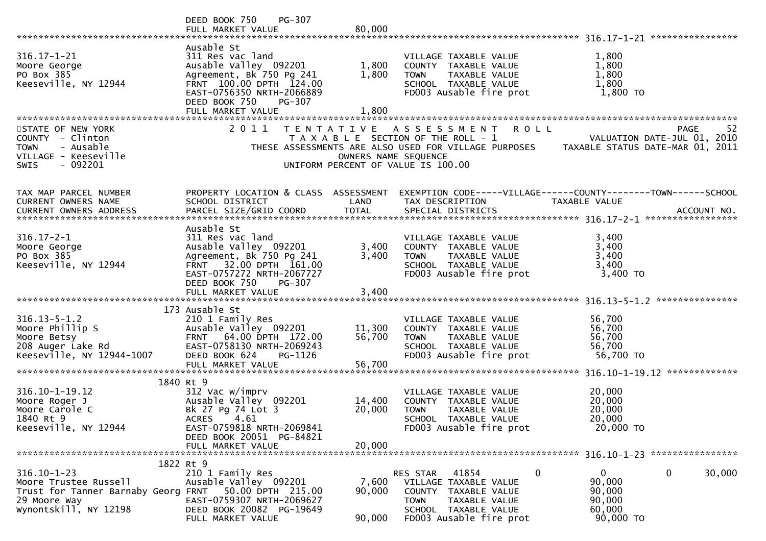|                                       | PG-307<br>DEED BOOK 750                               |                      |                                                      |                                                                |
|---------------------------------------|-------------------------------------------------------|----------------------|------------------------------------------------------|----------------------------------------------------------------|
|                                       | FULL MARKET VALUE                                     | 80,000               |                                                      |                                                                |
|                                       |                                                       |                      |                                                      |                                                                |
|                                       | Ausable St                                            |                      |                                                      |                                                                |
| $316.17 - 1 - 21$                     | 311 Res vac land                                      |                      | VILLAGE TAXABLE VALUE                                | 1,800                                                          |
| Moore George<br>PO Box 385            | Ausable Valley 092201                                 | 1,800                | COUNTY TAXABLE VALUE                                 | 1,800                                                          |
| Keeseville, NY 12944                  | Agreement, Bk 750 Pg 241<br>FRNT 100.00 DPTH 124.00   | 1,800                | TAXABLE VALUE<br><b>TOWN</b><br>SCHOOL TAXABLE VALUE | 1,800<br>1,800                                                 |
|                                       | EAST-0756350 NRTH-2066889                             |                      | FD003 Ausable fire prot                              | 1,800 TO                                                       |
|                                       | DEED BOOK 750<br>PG-307                               |                      |                                                      |                                                                |
|                                       | FULL MARKET VALUE                                     | 1,800                |                                                      |                                                                |
|                                       |                                                       |                      |                                                      |                                                                |
| STATE OF NEW YORK                     | 2011                                                  |                      | TENTATIVE ASSESSMENT<br><b>ROLL</b>                  | -52<br>PAGE                                                    |
| COUNTY - Clinton                      |                                                       |                      | T A X A B L E SECTION OF THE ROLL - 1                | VALUATION DATE-JUL 01, 2010                                    |
| - Ausable<br><b>TOWN</b>              |                                                       |                      | THESE ASSESSMENTS ARE ALSO USED FOR VILLAGE PURPOSES | TAXABLE STATUS DATE-MAR 01, 2011                               |
| VILLAGE - Keeseville                  |                                                       | OWNERS NAME SEQUENCE |                                                      |                                                                |
| - 092201<br><b>SWIS</b>               |                                                       |                      | UNIFORM PERCENT OF VALUE IS 100.00                   |                                                                |
|                                       |                                                       |                      |                                                      |                                                                |
|                                       |                                                       |                      |                                                      |                                                                |
| TAX MAP PARCEL NUMBER                 | PROPERTY LOCATION & CLASS ASSESSMENT                  |                      |                                                      | EXEMPTION CODE-----VILLAGE------COUNTY--------TOWN------SCHOOL |
| <b>CURRENT OWNERS NAME</b>            | SCHOOL DISTRICT                                       | LAND                 | TAX DESCRIPTION                                      | TAXABLE VALUE                                                  |
|                                       |                                                       |                      |                                                      |                                                                |
|                                       | Ausable St                                            |                      |                                                      |                                                                |
| $316.17 - 2 - 1$                      | 311 Res vac land                                      |                      | VILLAGE TAXABLE VALUE                                | 3,400                                                          |
| Moore George                          | Ausable Valley 092201                                 | 3,400                | COUNTY TAXABLE VALUE                                 | 3,400                                                          |
| PO Box 385                            | Agreement, Bk 750 Pg 241                              | 3,400                | TAXABLE VALUE<br><b>TOWN</b>                         | 3,400                                                          |
| Keeseville, NY 12944                  | 32.00 DPTH 161.00<br><b>FRNT</b>                      |                      | SCHOOL TAXABLE VALUE                                 | 3,400                                                          |
|                                       | EAST-0757272 NRTH-2067727                             |                      | FD003 Ausable fire prot                              | 3,400 TO                                                       |
|                                       | DEED BOOK 750<br>PG-307                               |                      |                                                      |                                                                |
|                                       | FULL MARKET VALUE                                     | 3,400                |                                                      |                                                                |
|                                       |                                                       |                      |                                                      | ***************                                                |
|                                       | 173 Ausable St                                        |                      |                                                      |                                                                |
| $316.13 - 5 - 1.2$                    | 210 1 Family Res                                      |                      | VILLAGE TAXABLE VALUE                                | 56,700                                                         |
| Moore Phillip S                       | Ausable Valley 092201                                 | 11,300               | COUNTY TAXABLE VALUE                                 | 56,700                                                         |
| Moore Betsy                           | 64.00 DPTH 172.00<br><b>FRNT</b>                      | 56,700               | TAXABLE VALUE<br><b>TOWN</b>                         | 56,700                                                         |
| 208 Auger Lake Rd                     | EAST-0758130 NRTH-2069243                             |                      | SCHOOL TAXABLE VALUE                                 | 56,700                                                         |
| Keeseville, NY 12944-1007             | DEED BOOK 624<br>PG-1126                              |                      | FD003 Ausable fire prot                              | 56,700 TO                                                      |
|                                       | FULL MARKET VALUE                                     | 56,700               |                                                      | 316.10-1-19.12 **************                                  |
|                                       | 1840 Rt 9                                             |                      |                                                      |                                                                |
| 316.10-1-19.12                        | 312 Vac w/imprv                                       |                      | VILLAGE TAXABLE VALUE                                | 20,000                                                         |
| Moore Roger J                         | Ausable Valley 092201                                 | 14,400               | COUNTY TAXABLE VALUE                                 | 20,000                                                         |
| Moore Carole C                        | Bk 27 Pg 74 Lot 3                                     | 20,000               | <b>TOWN</b><br>TAXABLE VALUE                         | 20,000                                                         |
| 1840 Rt 9                             | <b>ACRES</b><br>4.61                                  |                      | SCHOOL TAXABLE VALUE                                 | 20,000                                                         |
| Keeseville, NY 12944                  | EAST-0759818 NRTH-2069841                             |                      | FD003 Ausable fire prot                              | 20,000 TO                                                      |
|                                       | DEED BOOK 20051 PG-84821                              |                      |                                                      |                                                                |
|                                       | FULL MARKET VALUE                                     | 20,000               |                                                      |                                                                |
|                                       |                                                       |                      |                                                      |                                                                |
|                                       | 1822 Rt 9                                             |                      |                                                      |                                                                |
| $316.10 - 1 - 23$                     | 210 1 Family Res                                      |                      | RES STAR 41854<br>$\overline{0}$                     | $\mathbf{0}$<br>$\mathbf{0}$<br>30,000                         |
| Moore Trustee Russell                 | Ausable Valley 092201                                 | 7,600                | VILLAGE TAXABLE VALUE                                | 90,000                                                         |
| Trust for Tanner Barnaby Georg FRNT   | 50.00 DPTH 215.00                                     | 90,000               | COUNTY TAXABLE VALUE                                 | 90,000                                                         |
| 29 Moore Way<br>Wynontskill, NY 12198 | EAST-0759307 NRTH-2069627<br>DEED BOOK 20082 PG-19649 |                      | <b>TOWN</b><br>TAXABLE VALUE<br>SCHOOL TAXABLE VALUE | 90,000<br>60,000                                               |
|                                       | FULL MARKET VALUE                                     | 90,000               | FD003 Ausable fire prot                              | 90,000 TO                                                      |
|                                       |                                                       |                      |                                                      |                                                                |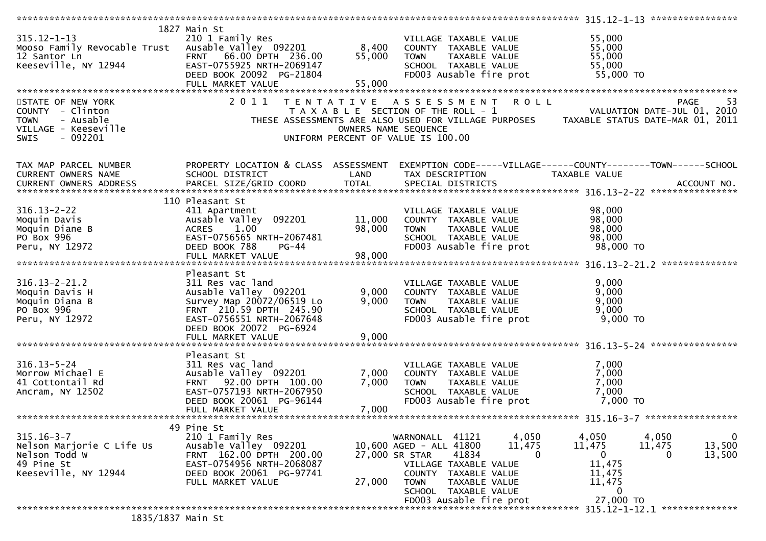|                                                                                                                                      |                                                                                                                                                    |                            |                                                                                                                                                                                                                           | ***************** 315.12-1-13 ****************                                  |                                                                |
|--------------------------------------------------------------------------------------------------------------------------------------|----------------------------------------------------------------------------------------------------------------------------------------------------|----------------------------|---------------------------------------------------------------------------------------------------------------------------------------------------------------------------------------------------------------------------|---------------------------------------------------------------------------------|----------------------------------------------------------------|
| $315.12 - 1 - 13$<br>Mooso Family Revocable Trust Ausable Valley 092201<br>12 Santor Ln<br>Keeseville, NY 12944<br>STATE OF NEW YORK | 1827 Main St<br>210 1 Family Res<br>FRNT 66.00 DPTH 236.00<br>EAST-0755925 NRTH-2069147<br>DEED BOOK 20092 PG-21804<br>FULL MARKET VALUE<br>2011   | 8,400<br>55,000<br>55,000  | VILLAGE TAXABLE VALUE<br>COUNTY TAXABLE VALUE<br><b>TOWN</b><br>TAXABLE VALUE<br>SCHOOL TAXABLE VALUE<br>FD003 Ausable fire prot<br>R O L L<br>TENTATIVE ASSESSMENT                                                       | 55,000<br>55,000<br>55,000<br>55,000<br>55,000 TO                               | -53<br>PAGE                                                    |
| COUNTY - Clinton<br>- Ausable<br><b>TOWN</b><br>VILLAGE - Keeseville<br>$-092201$<br><b>SWIS</b>                                     |                                                                                                                                                    | OWNERS NAME SEQUENCE       | T A X A B L E SECTION OF THE ROLL - 1<br>THESE ASSESSMENTS ARE ALSO USED FOR VILLAGE PURPOSES TAXABLE STATUS DATE-MAR 01, 2011<br>UNIFORM PERCENT OF VALUE IS 100.00                                                      | VALUATION DATE-JUL 01, 2010                                                     |                                                                |
| TAX MAP PARCEL NUMBER<br>CURRENT OWNERS NAME<br><b>CURRENT OWNERS ADDRESS</b>                                                        | PROPERTY LOCATION & CLASS ASSESSMENT<br>SCHOOL DISTRICT<br>PARCEL SIZE/GRID COORD                                                                  | LAND<br><b>TOTAL</b>       | EXEMPTION CODE-----VILLAGE------COUNTY--------TOWN------SCHOOL<br>TAX DESCRIPTION<br>SPECIAL DISTRICTS                                                                                                                    | TAXABLE VALUE                                                                   | ACCOUNT NO.                                                    |
| $316.13 - 2 - 22$<br>Moquin Davis<br>Moquin Diane B<br>PO Box 996<br>Peru, NY 12972                                                  | 110 Pleasant St<br>411 Apartment<br>Ausable Valley 092201<br>1.00<br><b>ACRES</b><br>EAST-0756565 NRTH-2067481<br>DEED BOOK 788<br>$PG-44$         | 11,000<br>98,000<br>98,000 | VILLAGE TAXABLE VALUE<br>COUNTY TAXABLE VALUE<br>TAXABLE VALUE<br><b>TOWN</b><br>SCHOOL TAXABLE VALUE<br>FD003 Ausable fire prot                                                                                          | 98,000<br>98,000<br>98,000<br>98,000<br>98,000 TO                               |                                                                |
| $316.13 - 2 - 21.2$                                                                                                                  | FULL MARKET VALUE<br>Pleasant St<br>311 Res vac land                                                                                               |                            | VILLAGE TAXABLE VALUE                                                                                                                                                                                                     | 9,000                                                                           |                                                                |
| Moquin Davis H<br>Moquin Diana B<br>PO Box 996<br>Peru, NY 12972                                                                     | Ausable Valley 092201<br>Survey Map 20072/06519 Lo<br>FRNT 210.59 DPTH 245.90<br>EAST-0756551 NRTH-2067648<br>DEED BOOK 20072 PG-6924              | 9,000<br>9,000             | COUNTY TAXABLE VALUE<br><b>TOWN</b><br>TAXABLE VALUE<br>SCHOOL TAXABLE VALUE<br>FD003 Ausable fire prot                                                                                                                   | 9,000<br>9,000<br>9,000<br>$9,000$ TO                                           |                                                                |
|                                                                                                                                      | Pleasant St                                                                                                                                        |                            |                                                                                                                                                                                                                           |                                                                                 |                                                                |
| $316.13 - 5 - 24$<br>Morrow Michael E<br>41 Cottontail Rd<br>Ancram, NY 12502                                                        | 311 Res vac land<br>Ausable Valley 092201<br>FRNT 92.00 DPTH 100.00<br>EAST-0757193 NRTH-2067950<br>DEED BOOK 20061 PG-96144<br>FULL MARKET VALUE  | 7,000<br>7,000<br>7,000    | VILLAGE TAXABLE VALUE<br>COUNTY TAXABLE VALUE<br><b>TOWN</b><br>TAXABLE VALUE<br>SCHOOL TAXABLE VALUE<br>FD003 Ausable fire prot                                                                                          | 7,000<br>7,000<br>7,000<br>7,000<br>7,000 TO                                    |                                                                |
|                                                                                                                                      | 49 Pine St                                                                                                                                         |                            |                                                                                                                                                                                                                           |                                                                                 |                                                                |
| $315.16 - 3 - 7$<br>Nelson Marjorie C Life Us<br>Nelson Todd W<br>49 Pine St<br>Keeseville, NY 12944                                 | 210 1 Family Res<br>Ausable Valley 092201<br>FRNT 162.00 DPTH 200.00<br>EAST-0754956 NRTH-2068087<br>DEED BOOK 20061 PG-97741<br>FULL MARKET VALUE | 27,000 SR STAR<br>27,000   | 41121<br>4,050<br>WARNONALL<br>10,600 AGED - ALL 41800<br>11,475<br>$\Omega$<br>41834<br>VILLAGE TAXABLE VALUE<br>COUNTY TAXABLE VALUE<br>TAXABLE VALUE<br><b>TOWN</b><br>SCHOOL TAXABLE VALUE<br>FD003 Ausable fire prot | 4,050<br>11,475<br>$\mathbf{0}$<br>11,475<br>11,475<br>11,475<br>0<br>27,000 TO | $\mathbf 0$<br>4,050<br>13,500<br>11,475<br>13,500<br>$\Omega$ |
| 1835/1837 Main St                                                                                                                    |                                                                                                                                                    |                            |                                                                                                                                                                                                                           |                                                                                 | 315.12-1-12.1 ***************                                  |
|                                                                                                                                      |                                                                                                                                                    |                            |                                                                                                                                                                                                                           |                                                                                 |                                                                |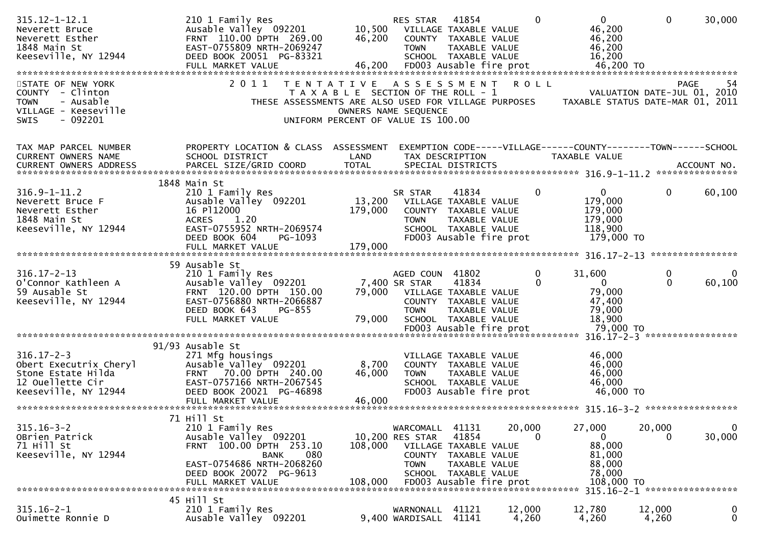| $315.12 - 1 - 12.1$<br>Neverett Bruce<br>Neverett Esther<br>1848 Main St<br>Keeseville, NY 12944                     | 210 1 Family Res<br>Ausable Valley 092201<br>FRNT 110.00 DPTH 269.00<br>EAST-0755809 NRTH-2069247<br>DEED BOOK 20051 PG-83321                                                 | 10,500<br>46,200                                                                                 | RES STAR<br>COUNTY<br><b>TOWN</b>                     | 41854<br>VILLAGE TAXABLE VALUE<br>TAXABLE VALUE<br>TAXABLE VALUE<br>SCHOOL TAXABLE VALUE                                            | $\Omega$        | $\overline{0}$<br>46,200<br>46,200<br>46,200<br>16,200                          | $\mathbf{0}$                                 | 30,000                 |
|----------------------------------------------------------------------------------------------------------------------|-------------------------------------------------------------------------------------------------------------------------------------------------------------------------------|--------------------------------------------------------------------------------------------------|-------------------------------------------------------|-------------------------------------------------------------------------------------------------------------------------------------|-----------------|---------------------------------------------------------------------------------|----------------------------------------------|------------------------|
| STATE OF NEW YORK<br>COUNTY - Clinton<br>- Ausable<br><b>TOWN</b><br>VILLAGE - Keeseville<br><b>SWIS</b><br>- 092201 | 2011<br>THESE ASSESSMENTS ARE ALSO USED FOR VILLAGE PURPOSES                                                                                                                  | T E N T A T I V E<br>T A X A B L E SECTION OF THE ROLL - 1<br>UNIFORM PERCENT OF VALUE IS 100.00 | A S S E S S M E N T<br>OWNERS NAME SEQUENCE           |                                                                                                                                     | <b>ROLL</b>     | TAXABLE STATUS DATE-MAR 01, 2011                                                | VALUATION DATE-JUL 01, 2010                  | -54<br>PAGE            |
| TAX MAP PARCEL NUMBER<br><b>CURRENT OWNERS NAME</b>                                                                  | PROPERTY LOCATION & CLASS ASSESSMENT<br>SCHOOL DISTRICT                                                                                                                       | LAND                                                                                             |                                                       | TAX DESCRIPTION                                                                                                                     |                 | EXEMPTION CODE-----VILLAGE------COUNTY--------TOWN------SCHOOL<br>TAXABLE VALUE |                                              |                        |
| $316.9 - 1 - 11.2$<br>Neverett Bruce F<br>Neverett Esther<br>1848 Main St<br>Keeseville, NY 12944                    | 1848 Main St<br>210 1 Family Res<br>Ausable Valley 092201<br>16 P112000<br><b>ACRES</b><br>1.20<br>EAST-0755952 NRTH-2069574<br>DEED BOOK 604<br>PG-1093<br>FULL MARKET VALUE | 13,200<br>179,000<br>179,000                                                                     | SR STAR<br><b>TOWN</b>                                | 41834<br>VILLAGE TAXABLE VALUE<br>COUNTY TAXABLE VALUE<br>TAXABLE VALUE<br>SCHOOL TAXABLE VALUE<br>FD003 Ausable fire prot          | 0               | $\mathbf{0}$<br>179,000<br>179,000<br>179,000<br>118,900<br>179,000 TO          | $\mathbf{0}$                                 | 60,100                 |
|                                                                                                                      |                                                                                                                                                                               |                                                                                                  |                                                       |                                                                                                                                     |                 |                                                                                 |                                              |                        |
| $316.17 - 2 - 13$<br>O'Connor Kathleen A<br>59 Ausable St<br>Keeseville, NY 12944                                    | 59 Ausable St<br>210 1 Family Res<br>Ausable Valley 092201<br>FRNT 120.00 DPTH 150.00<br>EAST-0756880 NRTH-2066887<br>PG-855<br>DEED BOOK 643<br>FULL MARKET VALUE            | 79,000<br>79,000                                                                                 | AGED COUN<br>7,400 SR STAR<br><b>TOWN</b>             | 41802<br>41834<br>VILLAGE TAXABLE VALUE<br>COUNTY TAXABLE VALUE<br>TAXABLE VALUE<br>SCHOOL TAXABLE VALUE<br>FD003 Ausable fire prot | 0<br>0          | 31,600<br>$\overline{0}$<br>79,000<br>47,400<br>79,000<br>18,900<br>79,000 TO   | 0<br>$\Omega$                                | $\Omega$<br>60,100     |
|                                                                                                                      |                                                                                                                                                                               |                                                                                                  |                                                       |                                                                                                                                     |                 |                                                                                 |                                              |                        |
| $316.17 - 2 - 3$<br>Obert Executrix Cheryl<br>Stone Estate Hilda<br>12 Ouellette Cir<br>Keeseville, NY 12944         | 91/93 Ausable St<br>271 Mfg housings<br>Ausable Valley 092201<br>70.00 DPTH 240.00<br><b>FRNT</b><br>EAST-0757166 NRTH-2067545<br>DEED BOOK 20021 PG-46898                    | 8,700<br>46,000                                                                                  | <b>TOWN</b>                                           | VILLAGE TAXABLE VALUE<br>COUNTY TAXABLE VALUE<br>TAXABLE VALUE<br>SCHOOL TAXABLE VALUE<br>FD003 Ausable fire prot                   |                 | 46,000<br>46,000<br>46,000<br>46,000<br>46,000 TO                               |                                              |                        |
|                                                                                                                      | 71 Hill St                                                                                                                                                                    |                                                                                                  |                                                       |                                                                                                                                     |                 |                                                                                 |                                              | *****************      |
| $315.16 - 3 - 2$<br>OBrien Patrick<br>71 Hill St<br>Keeseville, NY 12944                                             | 210 1 Family Res<br>Ausable Valley 092201<br>FRNT 100.00 DPTH 253.10<br>080<br><b>BANK</b><br>EAST-0754686 NRTH-2068260<br>DEED BOOK 20072 PG-9613                            | 108,000                                                                                          | WARCOMALL<br>10,200 RES STAR<br>COUNTY<br><b>TOWN</b> | 41131<br>41854<br>VILLAGE TAXABLE VALUE<br>TAXABLE VALUE<br>TAXABLE VALUE<br>SCHOOL TAXABLE VALUE                                   | 20,000<br>0     | 27,000<br>$\mathbf 0$<br>88,000<br>81,000<br>88,000<br>78,000<br>108,000 TO     | 20,000<br>0<br>315.16-2-1 ****************** | $\mathbf{0}$<br>30,000 |
|                                                                                                                      | 45 Hill St                                                                                                                                                                    |                                                                                                  |                                                       |                                                                                                                                     |                 |                                                                                 |                                              |                        |
| $315.16 - 2 - 1$<br>Ouimette Ronnie D                                                                                | 210 1 Family Res<br>Ausable Valley 092201                                                                                                                                     |                                                                                                  | WARNONALL<br>9,400 WARDISALL                          | 41121<br>41141                                                                                                                      | 12,000<br>4,260 | 12,780<br>4,260                                                                 | 12,000<br>4,260                              | 0<br>0                 |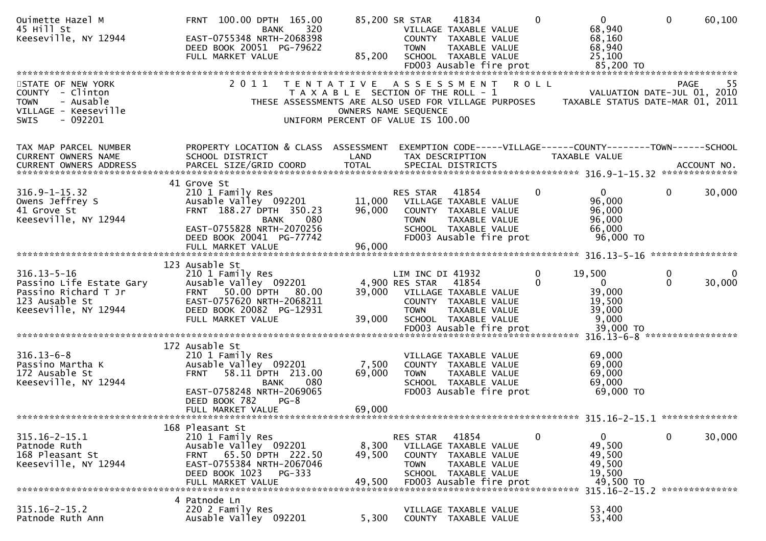| Ouimette Hazel M<br>45 Hill St<br>Keeseville, NY 12944                                                          | FRNT 100.00 DPTH 165.00<br>320<br>BANK<br>EAST-0755348 NRTH-2068398<br>DEED BOOK 20051 PG-79622<br>FULL MARKET VALUE                                                          | 85,200                                                                                           | 85,200 SR STAR<br><b>TOWN</b>                     | 41834<br>VILLAGE TAXABLE VALUE<br>COUNTY TAXABLE VALUE<br>TAXABLE VALUE<br>SCHOOL TAXABLE VALUE                            |             | $\Omega$ | $\mathbf{0}$<br>68,940<br>68,160<br>68,940<br>25,100                                               | $\mathbf{0}$      | 60,100      |
|-----------------------------------------------------------------------------------------------------------------|-------------------------------------------------------------------------------------------------------------------------------------------------------------------------------|--------------------------------------------------------------------------------------------------|---------------------------------------------------|----------------------------------------------------------------------------------------------------------------------------|-------------|----------|----------------------------------------------------------------------------------------------------|-------------------|-------------|
|                                                                                                                 |                                                                                                                                                                               |                                                                                                  |                                                   |                                                                                                                            |             |          |                                                                                                    |                   |             |
| STATE OF NEW YORK<br>COUNTY - Clinton<br>- Ausable<br><b>TOWN</b><br>VILLAGE - Keeseville<br>SWIS<br>$-092201$  | 2011<br>THESE ASSESSMENTS ARE ALSO USED FOR VILLAGE PURPOSES                                                                                                                  | T E N T A T I V E<br>T A X A B L E SECTION OF THE ROLL - 1<br>UNIFORM PERCENT OF VALUE IS 100.00 | A S S E S S M E N T<br>OWNERS NAME SEQUENCE       |                                                                                                                            | <b>ROLL</b> |          | VALUATION DATE-JUL 01, 2010<br>TAXABLE STATUS DATE-MAR 01, 2011                                    | <b>PAGE</b>       | -55         |
| TAX MAP PARCEL NUMBER                                                                                           | PROPERTY LOCATION & CLASS ASSESSMENT                                                                                                                                          |                                                                                                  |                                                   |                                                                                                                            |             |          | EXEMPTION CODE-----VILLAGE------COUNTY--------TOWN------SCHOOL                                     |                   |             |
| CURRENT OWNERS NAME                                                                                             | SCHOOL DISTRICT                                                                                                                                                               | LAND                                                                                             |                                                   | TAX DESCRIPTION                                                                                                            |             |          | TAXABLE VALUE                                                                                      |                   |             |
|                                                                                                                 | 41 Grove St                                                                                                                                                                   |                                                                                                  |                                                   |                                                                                                                            |             |          |                                                                                                    |                   |             |
| $316.9 - 1 - 15.32$<br>Owens Jeffrey S<br>41 Grove St<br>Keeseville, NY 12944                                   | 210 1 Family Res<br>Ausable Valley 092201<br>FRNT 188.27 DPTH 350.23<br>080<br><b>BANK</b><br>EAST-0755828 NRTH-2070256<br>DEED BOOK 20041 PG-77742                           | 11,000<br>96,000                                                                                 | RES STAR<br><b>TOWN</b>                           | 41854<br>VILLAGE TAXABLE VALUE<br>COUNTY TAXABLE VALUE<br>TAXABLE VALUE<br>SCHOOL TAXABLE VALUE<br>FD003 Ausable fire prot |             | $\Omega$ | $\overline{0}$<br>96,000<br>96,000<br>96,000<br>66,000<br>96,000 TO                                | 0                 | 30,000      |
|                                                                                                                 | FULL MARKET VALUE                                                                                                                                                             | 96,000                                                                                           |                                                   |                                                                                                                            |             |          |                                                                                                    |                   |             |
|                                                                                                                 |                                                                                                                                                                               |                                                                                                  |                                                   |                                                                                                                            |             |          |                                                                                                    |                   |             |
| $316.13 - 5 - 16$<br>Passino Life Estate Gary<br>Passino Richard T Jr<br>123 Ausable St<br>Keeseville, NY 12944 | 123 Ausable St<br>210 1 Family Res<br>Ausable Valley 092201<br>FRNT 50.00 DPTH 80.00<br>EAST-0757620 NRTH-2068211<br>DEED BOOK 20082 PG-12931                                 | 39,000                                                                                           | LIM INC DI 41932<br>4,900 RES STAR<br><b>TOWN</b> | 41854<br>VILLAGE TAXABLE VALUE<br>COUNTY TAXABLE VALUE<br>TAXABLE VALUE                                                    |             | 0        | 19,500<br>0<br>39,000<br>19,500<br>39,000                                                          | 0<br>$\mathbf{0}$ | 0<br>30,000 |
|                                                                                                                 | FULL MARKET VALUE                                                                                                                                                             | 39,000                                                                                           |                                                   | SCHOOL TAXABLE VALUE                                                                                                       |             |          | 9,000                                                                                              |                   |             |
|                                                                                                                 |                                                                                                                                                                               |                                                                                                  |                                                   |                                                                                                                            |             |          |                                                                                                    |                   |             |
| $316.13 - 6 - 8$<br>Passino Martha K<br>172 Ausable St<br>Keeseville, NY 12944                                  | 172 Ausable St<br>210 1 Family Res<br>Ausable Valley 092201<br>58.11 DPTH 213.00<br><b>FRNT</b><br>080<br><b>BANK</b><br>EAST-0758248 NRTH-2069065<br>DEED BOOK 782<br>$PG-8$ | 7,500<br>69,000                                                                                  | <b>TOWN</b>                                       | VILLAGE TAXABLE VALUE<br>COUNTY TAXABLE VALUE<br>TAXABLE VALUE<br>SCHOOL TAXABLE VALUE<br>FD003 Ausable fire prot          |             |          | 69,000<br>69,000<br>69,000<br>69,000<br>69,000 TO                                                  |                   |             |
|                                                                                                                 | FULL MARKET VALUE                                                                                                                                                             | 69,000                                                                                           |                                                   |                                                                                                                            |             |          |                                                                                                    |                   |             |
| $315.16 - 2 - 15.1$<br>Patnode Ruth<br>168 Pleasant St<br>Keeseville, NY 12944                                  | 168 Pleasant St<br>210 1 Family Res<br>Ausable Valley 092201<br>65.50 DPTH 222.50<br><b>FRNT</b><br>EAST-0755384 NRTH-2067046<br>DEED BOOK 1023 PG-333<br>FULL MARKET VALUE   | 8,300<br>49,500<br>49,500                                                                        | RES STAR<br><b>COUNTY</b><br><b>TOWN</b>          | 41854<br>VILLAGE TAXABLE VALUE<br>TAXABLE VALUE<br>TAXABLE VALUE<br>SCHOOL TAXABLE VALUE<br>FD003 Ausable fire prot        |             | 0        | $\mathbf{0}$<br>49,500<br>49,500<br>49,500<br>19,500<br>49,500 TO<br>315.16-2-15.2 *************** | $\mathbf{0}$      | 30,000      |
|                                                                                                                 | 4 Patnode Ln                                                                                                                                                                  |                                                                                                  |                                                   |                                                                                                                            |             |          |                                                                                                    |                   |             |
| $315.16 - 2 - 15.2$<br>Patnode Ruth Ann                                                                         | 220 2 Family Res<br>Ausable Valley 092201                                                                                                                                     | 5,300                                                                                            |                                                   | VILLAGE TAXABLE VALUE<br>COUNTY TAXABLE VALUE                                                                              |             |          | 53,400<br>53,400                                                                                   |                   |             |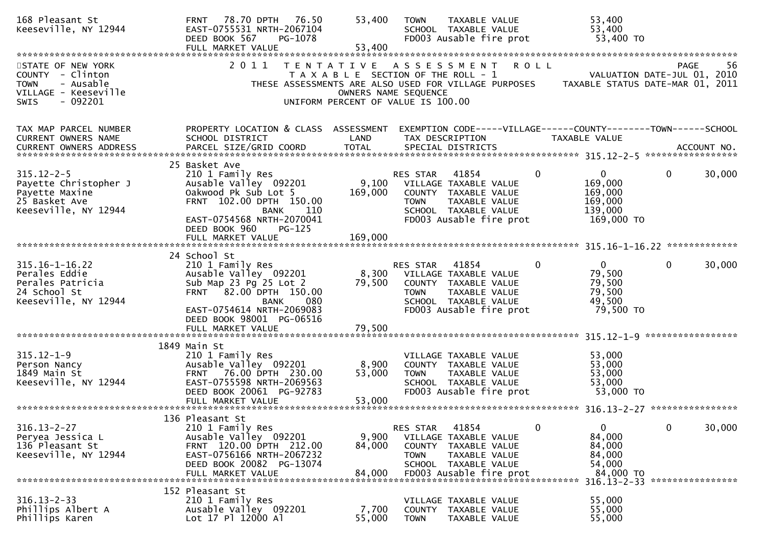| 168 Pleasant St<br>Keeseville, NY 12944                                                                               | FRNT 78.70 DPTH 76.50<br>EAST-0755531 NRTH-2067104<br>DEED BOOK 567<br>PG-1078<br>FULL MARKET VALUE                                                                                                            | 53,400<br>53,400                                           | <b>TOWN</b>                              | TAXABLE VALUE<br>SCHOOL TAXABLE VALUE<br>FD003 Ausable fire prot                                                                                                                  |              | 53,400<br>53,400<br>53,400 TO                                          |              |             |
|-----------------------------------------------------------------------------------------------------------------------|----------------------------------------------------------------------------------------------------------------------------------------------------------------------------------------------------------------|------------------------------------------------------------|------------------------------------------|-----------------------------------------------------------------------------------------------------------------------------------------------------------------------------------|--------------|------------------------------------------------------------------------|--------------|-------------|
| STATE OF NEW YORK<br>COUNTY - Clinton<br>- Ausable<br><b>TOWN</b><br>VILLAGE - Keeseville<br>$-092201$<br><b>SWIS</b> | 2011<br>T E N T A T I V E                                                                                                                                                                                      | OWNERS NAME SEQUENCE<br>UNIFORM PERCENT OF VALUE IS 100.00 |                                          | A S S E S S M E N T<br>T A X A B L E SECTION OF THE ROLL - 1 VALUATION DATE-JUL 01, 2010<br>THESE ASSESSMENTS ARE ALSO USED FOR VILLAGE PURPOSES TAXABLE STATUS DATE-MAR 01, 2011 | <b>ROLL</b>  |                                                                        | <b>PAGE</b>  | -56         |
| TAX MAP PARCEL NUMBER<br>CURRENT OWNERS NAME<br>CURRENT OWNERS ADDRESS                                                | PROPERTY LOCATION & CLASS ASSESSMENT EXEMPTION CODE-----VILLAGE------COUNTY--------TOWN------SCHOOL<br>SCHOOL DISTRICT<br>PARCEL SIZE/GRID COORD                                                               | LAND<br><b>TOTAL</b>                                       |                                          | TAX DESCRIPTION<br>SPECIAL DISTRICTS                                                                                                                                              |              | TAXABLE VALUE                                                          |              | ACCOUNT NO. |
| $315.12 - 2 - 5$<br>Payette Christopher J<br>Payette Maxine<br>25 Basket Ave<br>Keeseville, NY 12944                  | 25 Basket Ave<br>210 1 Family Res<br>Ausable Valley 092201<br>Oakwood Pk Sub Lot 5<br>FRNT 102.00 DPTH 150.00<br>BANK<br>-- 110<br>EAST-0754568 NRTH-2070041<br>DEED BOOK 960<br>$PG-125$<br>FULL MARKET VALUE | 169,000<br>169,000                                         | RES STAR<br><b>TOWN</b>                  | 41854<br>9,100 VILLAGE TAXABLE VALUE<br>COUNTY TAXABLE VALUE<br>TAXABLE VALUE<br>SCHOOL TAXABLE VALUE<br>FD003 Ausable fire prot                                                  | $\Omega$     | $\mathbf{0}$<br>169,000<br>169,000<br>169,000<br>139,000<br>169,000 TO | $\Omega$     | 30,000      |
|                                                                                                                       |                                                                                                                                                                                                                |                                                            |                                          |                                                                                                                                                                                   |              |                                                                        |              |             |
| $315.16 - 1 - 16.22$<br>Perales Eddie<br>Perales Patricia<br>24 School St<br>Keeseville, NY 12944                     | 24 School St<br>210 1 Family Res<br>Ausable Valley 092201<br>Sub Map 23 Pg 25 Lot 2<br>FRNT 82.00 DPTH 150.00<br>BANK<br>080<br>EAST-0754614 NRTH-2069083<br>DEED BOOK 98001 PG-06516                          | 79,500                                                     | RES STAR 41854<br><b>TOWN</b>            | 8,300 VILLAGE TAXABLE VALUE<br>COUNTY TAXABLE VALUE<br>TAXABLE VALUE<br>SCHOOL TAXABLE VALUE<br>FD003 Ausable fire prot                                                           | $\mathbf{0}$ | $\overline{0}$<br>79,500<br>79,500<br>79,500<br>49,500<br>79,500 TO    | $\mathbf{0}$ | 30,000      |
|                                                                                                                       | FULL MARKET VALUE                                                                                                                                                                                              | 79,500                                                     |                                          |                                                                                                                                                                                   |              |                                                                        |              |             |
|                                                                                                                       | 1849 Main St                                                                                                                                                                                                   |                                                            |                                          |                                                                                                                                                                                   |              |                                                                        |              |             |
| $315.12 - 1 - 9$<br>Person Nancy<br>1849 Main St<br>Keeseville, NY 12944                                              | 210 1 Family Res<br>Ausable Valley 092201<br>FRNT 76.00 DPTH 230.00<br>EAST-0755598 NRTH-2069563<br>DEED BOOK 20061 PG-92783                                                                                   | 8,900<br>53,000                                            | <b>TOWN</b>                              | VILLAGE TAXABLE VALUE<br>COUNTY TAXABLE VALUE<br>TAXABLE VALUE<br>SCHOOL TAXABLE VALUE<br>FD003 Ausable fire prot                                                                 |              | 53,000<br>53,000<br>53,000<br>53,000<br>53,000 TO                      |              |             |
|                                                                                                                       |                                                                                                                                                                                                                |                                                            |                                          |                                                                                                                                                                                   |              |                                                                        |              |             |
| $316.13 - 2 - 27$<br>Peryea Jessica L<br>136 Pleasant St<br>Keeseville, NY 12944                                      | 136 Pleasant St<br>210 1 Family Res<br>Ausable Valley 092201<br>FRNT 120.00 DPTH 212.00<br>EAST-0756166 NRTH-2067232<br>DEED BOOK 20082 PG-13074<br>FULL MARKET VALUE                                          | 9,900<br>84,000<br>84,000                                  | RES STAR<br><b>COUNTY</b><br><b>TOWN</b> | 41854<br>VILLAGE TAXABLE VALUE<br>TAXABLE VALUE<br>TAXABLE VALUE<br>SCHOOL TAXABLE VALUE<br>FD003 Ausable fire prot                                                               | $\Omega$     | 0<br>84,000<br>84,000<br>84,000<br>54,000<br>84,000 TO                 | 0            | 30,000      |
|                                                                                                                       | 152 Pleasant St                                                                                                                                                                                                |                                                            |                                          |                                                                                                                                                                                   |              | 316.13-2-33 *****************                                          |              |             |
| $316.13 - 2 - 33$<br>Phillips Albert A<br>Phillips Karen                                                              | 210 1 Family Res<br>Ausable Valley 092201<br>Lot 17 Pl 12000 Al                                                                                                                                                | 7,700<br>55,000                                            | <b>COUNTY</b><br><b>TOWN</b>             | VILLAGE TAXABLE VALUE<br>TAXABLE VALUE<br>TAXABLE VALUE                                                                                                                           |              | 55,000<br>55,000<br>55,000                                             |              |             |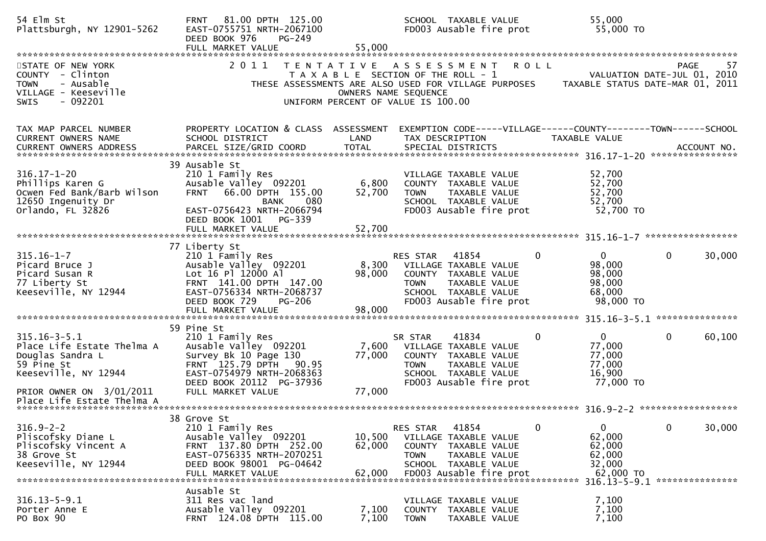| 54 Elm St<br>Plattsburgh, NY 12901-5262                                                                                                | 81.00 DPTH 125.00<br><b>FRNT</b><br>EAST-0755751 NRTH-2067100<br>DEED BOOK 976<br>PG-249<br>FULL MARKET VALUE                                                                               | 55,000                                                                                                                      |                                   | SCHOOL TAXABLE VALUE<br>FD003 Ausable fire prot                                                                            | 55,000<br>55,000 TO                                                                   |                                            |        |
|----------------------------------------------------------------------------------------------------------------------------------------|---------------------------------------------------------------------------------------------------------------------------------------------------------------------------------------------|-----------------------------------------------------------------------------------------------------------------------------|-----------------------------------|----------------------------------------------------------------------------------------------------------------------------|---------------------------------------------------------------------------------------|--------------------------------------------|--------|
| STATE OF NEW YORK<br>COUNTY - Clinton<br>- Ausable<br><b>TOWN</b><br>VILLAGE - Keeseville<br>SWIS<br>$-092201$                         | 2011                                                                                                                                                                                        | TENTATIVE ASSESSMENT<br>T A X A B L E SECTION OF THE ROLL - 1<br>OWNERS NAME SEQUENCE<br>UNIFORM PERCENT OF VALUE IS 100.00 |                                   | <b>ROLL</b>                                                                                                                | THESE ASSESSMENTS ARE ALSO USED FOR VILLAGE PURPOSES TAXABLE STATUS DATE-MAR 01, 2011 | <b>PAGE</b><br>VALUATION DATE-JUL 01, 2010 | 57     |
| TAX MAP PARCEL NUMBER<br><b>CURRENT OWNERS NAME</b><br>CURRENT OWNERS ADDRESS                                                          | PROPERTY LOCATION & CLASS ASSESSMENT<br>SCHOOL DISTRICT                                                                                                                                     | LAND                                                                                                                        | TAX DESCRIPTION                   |                                                                                                                            | EXEMPTION CODE-----VILLAGE------COUNTY--------TOWN------SCHOOL<br>TAXABLE VALUE       |                                            |        |
| $316.17 - 1 - 20$<br>Phillips Karen G<br>Ocwen Fed Bank/Barb Wilson<br>12650 Ingenuity Dr<br>Orlando, FL 32826                         | 39 Ausable St<br>210 1 Family Res<br>Ausable Valley 092201<br>66.00 DPTH 155.00<br><b>FRNT</b><br>080<br><b>BANK</b><br>EAST-0756423 NRTH-2066794<br>DEED BOOK 1001<br>$PG-339$             | 6,800<br>52,700                                                                                                             | <b>TOWN</b>                       | VILLAGE TAXABLE VALUE<br>COUNTY TAXABLE VALUE<br>TAXABLE VALUE<br>SCHOOL TAXABLE VALUE<br>FD003 Ausable fire prot          | 52,700<br>52,700<br>52,700<br>52,700<br>52,700 TO                                     |                                            |        |
| $315.16 - 1 - 7$<br>Picard Bruce J<br>Picard Susan R<br>77 Liberty St<br>Keeseville, NY 12944                                          | 77 Liberty St<br>210 1 Family Res<br>Ausable Valley 092201<br>Lot 16 Pl 12000 Al<br>FRNT 141.00 DPTH 147.00<br>EAST-0756334 NRTH-2068737<br>DEED BOOK 729<br>PG-206<br>FULL MARKET VALUE    | 8,300<br>98,000<br>98,000                                                                                                   | RES STAR<br><b>TOWN</b>           | 41854<br>VILLAGE TAXABLE VALUE<br>COUNTY TAXABLE VALUE<br>TAXABLE VALUE<br>SCHOOL TAXABLE VALUE<br>FD003 Ausable fire prot | 0<br>$\mathbf 0$<br>98,000<br>98,000<br>98,000<br>68,000<br>98,000 TO                 | 0                                          | 30,000 |
| $315.16 - 3 - 5.1$<br>Place Life Estate Thelma A<br>Douglas Sandra L<br>59 Pine St<br>Keeseville, NY 12944<br>PRIOR OWNER ON 3/01/2011 | 59 Pine St<br>210 1 Family Res<br>Ausable Valley 092201<br>Survey Bk 10 Page 130<br>FRNT 125.79 DPTH<br>90.95<br>EAST-0754979 NRTH-2068363<br>DEED BOOK 20112 PG-37936<br>FULL MARKET VALUE | 7,600<br>77,000<br>77,000                                                                                                   | SR STAR<br><b>TOWN</b>            | 41834<br>VILLAGE TAXABLE VALUE<br>COUNTY TAXABLE VALUE<br>TAXABLE VALUE<br>SCHOOL TAXABLE VALUE<br>FD003 Ausable fire prot | 0<br>$\Omega$<br>77,000<br>77,000<br>77,000<br>16,900<br>77,000 TO                    | $\mathbf{0}$                               | 60,100 |
| $316.9 - 2 - 2$<br>Pliscofsky Diane L<br>Pliscofsky Vincent A<br>38 Grove St<br>Keeseville, NY 12944                                   | 38 Grove St<br>210 1 Family Res<br>Ausable Valley 092201<br>FRNT 137.80 DPTH 252.00<br>EAST-0756335 NRTH-2070251<br>DEED BOOK 98001 PG-04642<br>FULL MARKET VALUE                           | 10,500<br>62,000<br>62,000                                                                                                  | RES STAR<br>COUNTY<br><b>TOWN</b> | 41854<br>VILLAGE TAXABLE VALUE<br>TAXABLE VALUE<br>TAXABLE VALUE<br>SCHOOL TAXABLE VALUE<br>FD003 Ausable fire prot        | 0<br>$\mathbf 0$<br>62,000<br>62,000<br>62,000<br>32,000<br>62,000 TO                 | 0                                          | 30,000 |
| $316.13 - 5 - 9.1$<br>Porter Anne E<br>PO Box 90                                                                                       | Ausable St<br>311 Res vac land<br>Ausable Valley 092201<br>FRNT 124.08 DPTH 115.00                                                                                                          | 7,100<br>7,100                                                                                                              | <b>TOWN</b>                       | VILLAGE TAXABLE VALUE<br>COUNTY TAXABLE VALUE<br>TAXABLE VALUE                                                             | 7,100<br>7,100<br>7,100                                                               | 316.13-5-9.1 ****************              |        |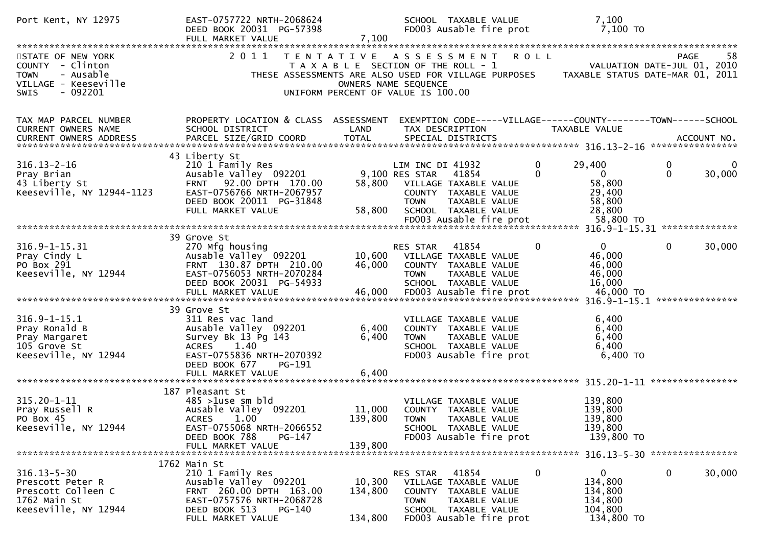| Port Kent, NY 12975                                                                                                  | EAST-0757722 NRTH-2068624<br>DEED BOOK 20031 PG-57398<br>FULL MARKET VALUE                                                                                                           | 7,100                        | SCHOOL TAXABLE VALUE<br>FD003 Ausable fire prot                                                                                                                                                    | 7,100<br>7,100 TO                                                                                                                                                                                                                                                                                                 |
|----------------------------------------------------------------------------------------------------------------------|--------------------------------------------------------------------------------------------------------------------------------------------------------------------------------------|------------------------------|----------------------------------------------------------------------------------------------------------------------------------------------------------------------------------------------------|-------------------------------------------------------------------------------------------------------------------------------------------------------------------------------------------------------------------------------------------------------------------------------------------------------------------|
| STATE OF NEW YORK<br>COUNTY - Clinton<br><b>TOWN</b><br>- Ausable<br>VILLAGE - Keeseville<br>- 092201<br><b>SWIS</b> | 2011                                                                                                                                                                                 |                              | TENTATIVE ASSESSMENT<br><b>ROLL</b><br>T A X A B L E SECTION OF THE ROLL - 1<br>THESE ASSESSMENTS ARE ALSO USED FOR VILLAGE PURPOSES<br>OWNERS NAME SEQUENCE<br>UNIFORM PERCENT OF VALUE IS 100.00 | 58<br><b>PAGE</b><br>VALUATION DATE-JUL 01, 2010<br>TAXABLE STATUS DATE-MAR 01, 2011                                                                                                                                                                                                                              |
| TAX MAP PARCEL NUMBER<br>CURRENT OWNERS NAME                                                                         | PROPERTY LOCATION & CLASS ASSESSMENT<br>SCHOOL DISTRICT                                                                                                                              | LAND                         | TAX DESCRIPTION                                                                                                                                                                                    | EXEMPTION CODE-----VILLAGE------COUNTY--------TOWN------SCHOOL<br>TAXABLE VALUE<br>.4CCOUNT NO . PARCEL SIZE/GRID COORD TOTAL SPECIAL DISTRICTS . ACCOUNT NO . ACCOUNT NO . ACCOUNT NO . يتعدي بدورة المستوى المستوى المستوى المستوى المستوى المستوى المستوى المستوى المستوى المستوى المستوى المستوى المستوى المس |
| $316.13 - 2 - 16$<br>Pray Brian<br>43 Liberty St<br>Keeseville, NY 12944-1123                                        | 43 Liberty St<br>210 1 Family Res<br>Ausable Valley 092201<br>FRNT 92.00 DPTH 170.00<br>EAST-0756766 NRTH-2067957<br>DEED BOOK 20011 PG-31848<br>FULL MARKET VALUE                   | 58,800<br>58,800             | $\mathbf{0}$<br>LIM INC DI 41932<br>9,100 RES STAR<br>41854<br>VILLAGE TAXABLE VALUE<br>COUNTY TAXABLE VALUE<br><b>TOWN</b><br>TAXABLE VALUE<br>SCHOOL TAXABLE VALUE<br>FD003 Ausable fire prot    | 29,400<br>0<br>0<br>$\Omega$<br>$\Omega$<br>30,000<br>58,800<br>29,400<br>58,800<br>28,800<br>58,800 TO                                                                                                                                                                                                           |
| $316.9 - 1 - 15.31$<br>Pray Cindy L<br>PO Box 291<br>Keeseville, NY 12944                                            | 39 Grove St<br>270 Mfg housing<br>Ausable Valley 092201<br>FRNT 130.87 DPTH 210.00<br>EAST-0756053 NRTH-2070284<br>DEED BOOK 20031 PG-54933                                          | 10,600<br>46,000             | 0<br>RES STAR<br>41854<br>VILLAGE TAXABLE VALUE<br>COUNTY TAXABLE VALUE<br><b>TOWN</b><br>TAXABLE VALUE<br>SCHOOL TAXABLE VALUE                                                                    | $\mathbf{0}$<br>0<br>30,000<br>46,000<br>46,000<br>46,000<br>16,000                                                                                                                                                                                                                                               |
| $316.9 - 1 - 15.1$<br>Pray Ronald B<br>Pray Margaret<br>105 Grove St<br>Keeseville, NY 12944                         | 39 Grove St<br>311 Res vac land<br>Ausable Valley 092201<br>Survey Bk 13 Pg 143<br><b>ACRES</b><br>1.40<br>EAST-0755836 NRTH-2070392<br>DEED BOOK 677<br>PG-191<br>FULL MARKET VALUE | 6,400<br>6,400<br>6,400      | VILLAGE TAXABLE VALUE<br>COUNTY TAXABLE VALUE<br>TAXABLE VALUE<br><b>TOWN</b><br>SCHOOL TAXABLE VALUE<br>FD003 Ausable fire prot                                                                   | 6,400<br>6,400<br>6,400<br>6,400<br>6,400 TO                                                                                                                                                                                                                                                                      |
| $315.20 - 1 - 11$<br>Pray Russell R<br>PO Box 45<br>Keeseville, NY 12944                                             | 187 Pleasant St<br>$485$ >1use sm bld<br>Ausable Valley 092201<br>ACRES 1.00<br>EAST-0755068 NRTH-2066552<br>DEED BOOK 788<br>PG-147<br>FULL MARKET VALUE                            | 11,000<br>139,800<br>139,800 | VILLAGE TAXABLE VALUE<br>COUNTY TAXABLE VALUE<br>TOWN TAXABLE VALUE<br>SCHOOL TAXABLE VALUE<br>FD003 Ausable fire prot                                                                             | 139,800<br>139,800<br>139,800<br>139,800<br>139,800 TO                                                                                                                                                                                                                                                            |
| $316.13 - 5 - 30$<br>Prescott Peter R<br>Prescott Colleen C<br>1762 Main St<br>Keeseville, NY 12944                  | 1762 Main St<br>210 1 Family Res<br>Ausable Valley 092201<br>FRNT 260.00 DPTH 163.00<br>EAST-0757576 NRTH-2068728<br>DEED BOOK 513<br>PG-140<br>FULL MARKET VALUE                    | 10,300<br>134,800<br>134,800 | 0<br>RES STAR<br>41854<br>VILLAGE TAXABLE VALUE<br>COUNTY TAXABLE VALUE<br><b>TOWN</b><br>TAXABLE VALUE<br>SCHOOL TAXABLE VALUE<br>FD003 Ausable fire prot                                         | 0<br>0<br>30,000<br>134,800<br>134,800<br>134,800<br>104,800<br>134,800 TO                                                                                                                                                                                                                                        |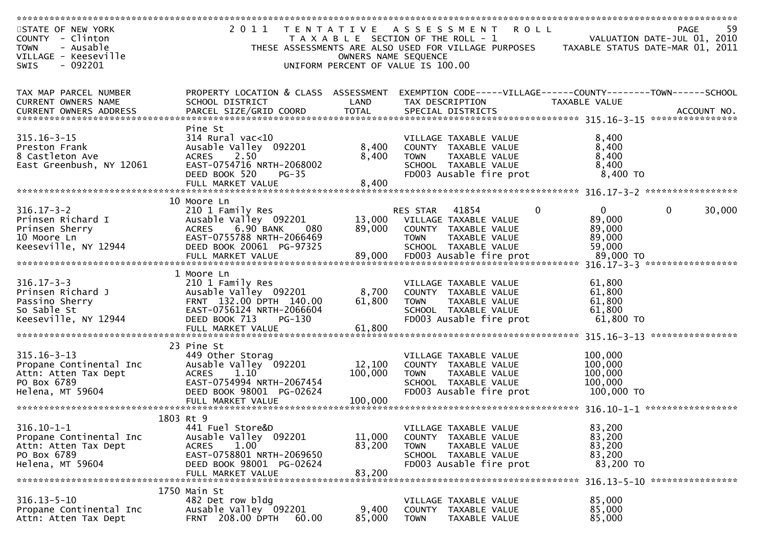| STATE OF NEW YORK<br>COUNTY - Clinton            | 2 0 1 1<br>T E N T A T I V E                          |                      | ROLL<br>A S S E S S M E N T<br>T A X A B L E SECTION OF THE ROLL - 1 |                                  | -59<br>PAGE<br>VALUATION DATE-JUL 01, 2010 |
|--------------------------------------------------|-------------------------------------------------------|----------------------|----------------------------------------------------------------------|----------------------------------|--------------------------------------------|
| - Ausable<br><b>TOWN</b>                         |                                                       |                      | THESE ASSESSMENTS ARE ALSO USED FOR VILLAGE PURPOSES                 | TAXABLE STATUS DATE-MAR 01, 2011 |                                            |
| VILLAGE - Keeseville<br>$-092201$<br><b>SWIS</b> |                                                       | OWNERS NAME SEQUENCE | UNIFORM PERCENT OF VALUE IS 100.00                                   |                                  |                                            |
|                                                  |                                                       |                      |                                                                      |                                  |                                            |
| TAX MAP PARCEL NUMBER                            | PROPERTY LOCATION & CLASS ASSESSMENT                  |                      | EXEMPTION CODE-----VILLAGE------COUNTY--------TOWN------SCHOOL       |                                  |                                            |
| CURRENT OWNERS NAME                              | SCHOOL DISTRICT                                       | LAND                 | TAX DESCRIPTION                                                      | TAXABLE VALUE                    |                                            |
|                                                  |                                                       |                      |                                                                      |                                  | ACCOUNT NO.                                |
|                                                  | Pine St                                               |                      |                                                                      |                                  | ****************                           |
| $315.16 - 3 - 15$                                | $314$ Rural vac<10                                    |                      | VILLAGE TAXABLE VALUE                                                | 8,400                            |                                            |
| Preston Frank                                    | Ausable Valley 092201                                 | 8,400                | COUNTY TAXABLE VALUE                                                 | 8,400                            |                                            |
| 8 Castleton Ave                                  | 2.50<br><b>ACRES</b>                                  | 8,400                | <b>TOWN</b><br>TAXABLE VALUE                                         | 8,400                            |                                            |
| East Greenbush, NY 12061                         | EAST-0754716 NRTH-2068002<br>DEED BOOK 520<br>$PG-35$ |                      | SCHOOL TAXABLE VALUE<br>FD003 Ausable fire prot                      | 8,400<br>$8,400$ TO              |                                            |
|                                                  |                                                       |                      |                                                                      |                                  |                                            |
|                                                  | 10 Moore Ln                                           |                      |                                                                      |                                  |                                            |
| $316.17 - 3 - 2$                                 | 210 1 Family Res                                      |                      | RES STAR<br>41854<br>0                                               | $\overline{0}$                   | $\mathbf 0$<br>30,000                      |
| Prinsen Richard I                                | Ausable Valley 092201                                 | 13,000               | VILLAGE TAXABLE VALUE                                                | 89,000                           |                                            |
| Prinsen Sherry                                   | 6.90 BANK<br><b>ACRES</b><br>080                      | 89,000               | COUNTY TAXABLE VALUE                                                 | 89,000                           |                                            |
| 10 Moore Ln<br>Keeseville, NY 12944              | EAST-0755788 NRTH-2066469<br>DEED BOOK 20061 PG-97325 |                      | <b>TOWN</b><br>TAXABLE VALUE<br>SCHOOL TAXABLE VALUE                 | 89,000<br>59,000                 |                                            |
|                                                  |                                                       |                      |                                                                      |                                  |                                            |
|                                                  |                                                       |                      |                                                                      |                                  |                                            |
| $316.17 - 3 - 3$                                 | 1 Moore Ln<br>210 1 Family Res                        |                      | VILLAGE TAXABLE VALUE                                                | 61,800                           |                                            |
| Prinsen Richard J                                | Ausable Valley 092201                                 | 8,700                | COUNTY TAXABLE VALUE                                                 | 61,800                           |                                            |
| Passino Sherry                                   | FRNT 132.00 DPTH 140.00                               | 61,800               | <b>TOWN</b><br>TAXABLE VALUE                                         | 61,800                           |                                            |
| So Sable St                                      | EAST-0756124 NRTH-2066604                             |                      | SCHOOL TAXABLE VALUE                                                 | 61,800                           |                                            |
| Keeseville, NY 12944                             | DEED BOOK 713<br>PG-130<br>FULL MARKET VALUE          | 61,800               | FD003 Ausable fire prot                                              | 61,800 TO                        |                                            |
|                                                  |                                                       |                      |                                                                      |                                  | ****************                           |
|                                                  | 23 Pine St                                            |                      |                                                                      |                                  |                                            |
| $315.16 - 3 - 13$<br>Propane Continental Inc     | 449 Other Storag<br>Ausable Valley 092201             | 12,100               | VILLAGE TAXABLE VALUE<br>COUNTY TAXABLE VALUE                        | 100,000<br>100,000               |                                            |
| Attn: Atten Tax Dept                             | <b>ACRES</b><br>1.10                                  | 100,000              | TAXABLE VALUE<br><b>TOWN</b>                                         | 100,000                          |                                            |
| PO Box 6789                                      | EAST-0754994 NRTH-2067454                             |                      | SCHOOL TAXABLE VALUE                                                 | 100,000                          |                                            |
| Helena, MT 59604                                 | DEED BOOK 98001 PG-02624                              |                      | FD003 Ausable fire prot                                              | 100,000 TO                       |                                            |
|                                                  |                                                       |                      |                                                                      |                                  |                                            |
|                                                  | 1803 Rt 9                                             |                      |                                                                      |                                  |                                            |
| $316.10 - 1 - 1$                                 | 441 Fuel Store&D                                      |                      | VILLAGE TAXABLE VALUE                                                | 83,200                           |                                            |
| Propane Continental Inc<br>Attn: Atten Tax Dept  | Ausable Valley 092201<br><b>ACRES</b><br>1.00         | 11,000<br>83,200     | TAXABLE VALUE<br><b>COUNTY</b><br>TAXABLE VALUE<br><b>TOWN</b>       | 83,200<br>83,200                 |                                            |
| PO Box 6789                                      | EAST-0758801 NRTH-2069650                             |                      | SCHOOL TAXABLE VALUE                                                 | 83,200                           |                                            |
| Helena, MT 59604                                 | DEED BOOK 98001 PG-02624                              |                      | FD003 Ausable fire prot                                              | 83,200 TO                        |                                            |
|                                                  | FULL MARKET VALUE                                     | 83,200               |                                                                      |                                  |                                            |
|                                                  | 1750 Main St                                          |                      |                                                                      |                                  |                                            |
| $316.13 - 5 - 10$                                | 482 Det row bldg                                      |                      | VILLAGE TAXABLE VALUE                                                | 85,000                           |                                            |
| Propane Continental Inc<br>Attn: Atten Tax Dept  | Ausable Valley 092201<br>FRNT 208.00 DPTH<br>60.00    | 9,400<br>85,000      | COUNTY TAXABLE VALUE<br><b>TOWN</b><br>TAXABLE VALUE                 | 85,000<br>85,000                 |                                            |
|                                                  |                                                       |                      |                                                                      |                                  |                                            |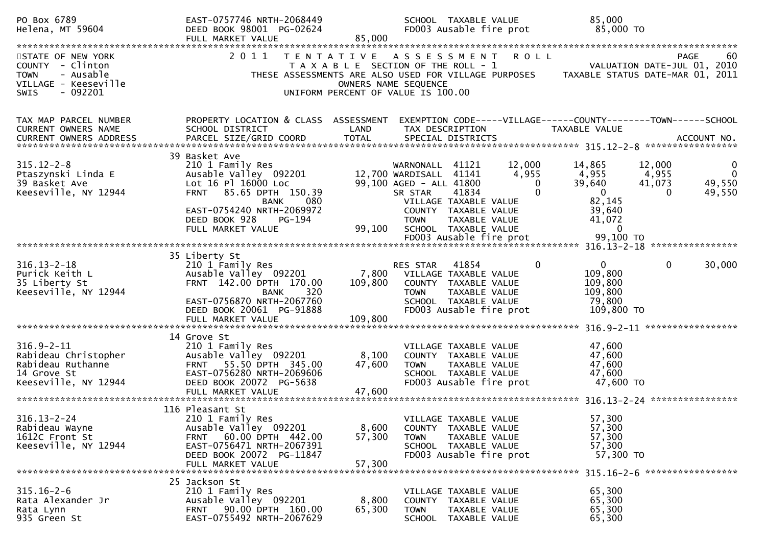| PO Box 6789<br>Helena, MT 59604                                                                                       | EAST-0757746 NRTH-2068449<br>DEED BOOK 98001 PG-02624<br>FULL MARKET VALUE                                                                                                                                     | 85,000                                                                                                   |                                                                                                | SCHOOL TAXABLE VALUE<br>FD003 Ausable fire prot                                                                   |                                                 | 85,000<br>85,000 TO                                                                      |                                       |                                                  |
|-----------------------------------------------------------------------------------------------------------------------|----------------------------------------------------------------------------------------------------------------------------------------------------------------------------------------------------------------|----------------------------------------------------------------------------------------------------------|------------------------------------------------------------------------------------------------|-------------------------------------------------------------------------------------------------------------------|-------------------------------------------------|------------------------------------------------------------------------------------------|---------------------------------------|--------------------------------------------------|
|                                                                                                                       |                                                                                                                                                                                                                |                                                                                                          |                                                                                                |                                                                                                                   |                                                 |                                                                                          |                                       |                                                  |
| STATE OF NEW YORK<br>COUNTY - Clinton<br>- Ausable<br><b>TOWN</b><br>VILLAGE - Keeseville<br>$-092201$<br><b>SWIS</b> | 2011                                                                                                                                                                                                           | TENTATIVE ASSESSMENT ROLL<br>T A X A B L E SECTION OF THE ROLL - 1<br>UNIFORM PERCENT OF VALUE IS 100.00 | OWNERS NAME SEQUENCE                                                                           |                                                                                                                   |                                                 | THESE ASSESSMENTS ARE ALSO USED FOR VILLAGE PURPOSES TAXABLE STATUS DATE-MAR 01, 2011    |                                       | 60<br>PAGE<br>VALUATION DATE-JUL 01, 2010        |
| TAX MAP PARCEL NUMBER<br>CURRENT OWNERS NAME                                                                          | PROPERTY LOCATION & CLASS ASSESSMENT<br>SCHOOL DISTRICT                                                                                                                                                        | LAND                                                                                                     | TAX DESCRIPTION                                                                                |                                                                                                                   |                                                 | EXEMPTION CODE-----VILLAGE------COUNTY--------TOWN------SCHOOL<br>TAXABLE VALUE          |                                       |                                                  |
| $315.12 - 2 - 8$<br>Ptaszynski Linda E<br>39 Basket Ave<br>Keeseville, NY 12944                                       | 39 Basket Ave<br>210 1 Family Res<br>Ausable Valley 092201<br>Lot 16 Pl 16000 Loc<br>FRNT 85.65 DPTH 150.39<br>080<br><b>BANK</b><br>EAST-0754240 NRTH-2069972<br>DEED BOOK 928<br>PG-194<br>FULL MARKET VALUE | 99,100                                                                                                   | WARNONALL 41121<br>12,700 WARDISALL 41141<br>99,100 AGED - ALL 41800<br>SR STAR<br><b>TOWN</b> | 41834<br>VILLAGE TAXABLE VALUE<br>COUNTY TAXABLE VALUE<br>TAXABLE VALUE<br>SCHOOL TAXABLE VALUE                   | 12,000<br>4,955<br>$\mathbf{0}$<br>$\mathbf{0}$ | 14,865<br>4,955<br>39,640<br>$\mathbf 0$<br>82,145<br>39,640<br>41,072<br>$\overline{0}$ | 12,000<br>4,955<br>41,073<br>$\Omega$ | 0<br>$\overline{\mathbf{0}}$<br>49,550<br>49,550 |
|                                                                                                                       |                                                                                                                                                                                                                |                                                                                                          |                                                                                                |                                                                                                                   |                                                 |                                                                                          |                                       |                                                  |
|                                                                                                                       |                                                                                                                                                                                                                |                                                                                                          |                                                                                                |                                                                                                                   |                                                 |                                                                                          |                                       |                                                  |
| $316.13 - 2 - 18$<br>Purick Keith L<br>35 Liberty St<br>Keeseville, NY 12944                                          | 35 Liberty St<br>210 1 Family Res<br>Ausable Valley 092201<br>FRNT 142.00 DPTH 170.00<br>320<br><b>BANK</b><br>EAST-0756870 NRTH-2067760<br>DEED BOOK 20061 PG-91888<br>FULL MARKET VALUE                      | 109,800<br>109,800                                                                                       | RES STAR<br>7,800 VILLAGE TAXABLE VALUE<br><b>TOWN</b>                                         | 41854<br>COUNTY TAXABLE VALUE<br>TAXABLE VALUE<br>SCHOOL TAXABLE VALUE<br>FD003 Ausable fire prot                 | $\mathbf 0$                                     | $\mathbf 0$<br>109,800<br>109,800<br>109,800<br>79,800<br>109,800 TO                     | $\mathbf{0}$                          | 30,000                                           |
|                                                                                                                       |                                                                                                                                                                                                                |                                                                                                          |                                                                                                |                                                                                                                   |                                                 |                                                                                          |                                       |                                                  |
| $316.9 - 2 - 11$<br>Rabideau Christopher<br>Rabideau Ruthanne<br>14 Grove St<br>Keeseville, NY 12944                  | 14 Grove St<br>210 1 Family Res<br>Ausable Valley 092201<br>FRNT 55.50 DPTH 345.00<br>EAST-0756280 NRTH-2069606<br>DEED BOOK 20072 PG-5638<br>FULL MARKET VALUE                                                | 8,100<br>47,600<br>47,600                                                                                | <b>TOWN</b>                                                                                    | VILLAGE TAXABLE VALUE<br>COUNTY TAXABLE VALUE<br>TAXABLE VALUE<br>SCHOOL TAXABLE VALUE<br>FD003 Ausable fire prot |                                                 | 47,600<br>47,600<br>47,600<br>47,600<br>47,600 TO                                        |                                       |                                                  |
|                                                                                                                       | 116 Pleasant St                                                                                                                                                                                                |                                                                                                          |                                                                                                |                                                                                                                   |                                                 |                                                                                          |                                       |                                                  |
| $316.13 - 2 - 24$<br>Rabideau Wayne<br>1612C Front St<br>Keeseville, NY 12944                                         | 210 1 Family Res<br>Ausable Valley 092201<br>FRNT 60.00 DPTH 442.00<br>EAST-0756471 NRTH-2067391<br>DEED BOOK 20072 PG-11847<br>FULL MARKET VALUE                                                              | 8,600<br>57,300<br>57,300                                                                                | <b>TOWN</b>                                                                                    | VILLAGE TAXABLE VALUE<br>COUNTY TAXABLE VALUE<br>TAXABLE VALUE<br>SCHOOL TAXABLE VALUE<br>FD003 Ausable fire prot |                                                 | 57,300<br>57,300<br>57,300<br>57,300<br>57,300 TO                                        |                                       |                                                  |
| $315.16 - 2 - 6$<br>Rata Alexander Jr<br>Rata Lynn<br>935 Green St                                                    | 25 Jackson St<br>210 1 Family Res<br>Ausable Valley 092201<br>FRNT 90.00 DPTH 160.00<br>EAST-0755492 NRTH-2067629                                                                                              | 8,800<br>65,300                                                                                          | <b>TOWN</b>                                                                                    | VILLAGE TAXABLE VALUE<br>COUNTY TAXABLE VALUE<br>TAXABLE VALUE<br>SCHOOL TAXABLE VALUE                            |                                                 | 65,300<br>65,300<br>65,300<br>65,300                                                     |                                       |                                                  |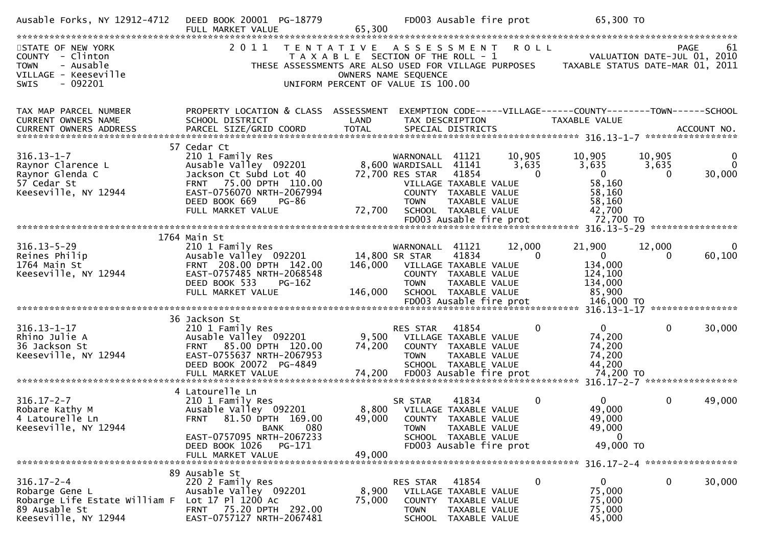| Ausable Forks, NY 12912-4712                                                                                                   | DEED BOOK 20001 PG-18779<br>FULL MARKET VALUE                                                                                                                                                   | 65,300                                                                                              |                                                                               | FD003 Ausable fire prot                                                                                                    |                             | 65,300 TO                                                                            |                             |                  |
|--------------------------------------------------------------------------------------------------------------------------------|-------------------------------------------------------------------------------------------------------------------------------------------------------------------------------------------------|-----------------------------------------------------------------------------------------------------|-------------------------------------------------------------------------------|----------------------------------------------------------------------------------------------------------------------------|-----------------------------|--------------------------------------------------------------------------------------|-----------------------------|------------------|
| STATE OF NEW YORK<br>COUNTY - Clinton<br>- Ausable<br><b>TOWN</b><br>VILLAGE - Keeseville<br>$-092201$<br><b>SWIS</b>          | 2011<br>THESE ASSESSMENTS ARE ALSO USED FOR VILLAGE PURPOSES                                                                                                                                    | TENTATIVE ASSESSMENT<br>T A X A B L E SECTION OF THE ROLL - 1<br>UNIFORM PERCENT OF VALUE IS 100.00 | OWNERS NAME SEQUENCE                                                          |                                                                                                                            | R O L L                     | TAXABLE STATUS DATE-MAR 01, 2011                                                     | VALUATION DATE-JUL 01, 2010 | 61<br>PAGE       |
| TAX MAP PARCEL NUMBER<br><b>CURRENT OWNERS NAME</b>                                                                            | PROPERTY LOCATION & CLASS ASSESSMENT<br>SCHOOL DISTRICT                                                                                                                                         | LAND                                                                                                |                                                                               | TAX DESCRIPTION                                                                                                            |                             | EXEMPTION CODE-----VILLAGE------COUNTY--------TOWN------SCHOOL<br>TAXABLE VALUE      |                             |                  |
| $316.13 - 1 - 7$<br>Raynor Clarence L<br>Raynor Glenda C<br>57 Cedar St<br>Keeseville, NY 12944                                | 57 Cedar Ct<br>210 1 Family Res<br>Ausable Valley 092201<br>Jackson Ct Subd Lot 40<br>FRNT 75.00 DPTH 110.00<br>EAST-0756070 NRTH-2067994<br>DEED BOOK 669<br><b>PG-86</b><br>FULL MARKET VALUE | 72,700                                                                                              | WARNONALL 41121<br>8,600 WARDISALL 41141<br>72,700 RES STAR<br><b>TOWN</b>    | 41854<br>VILLAGE TAXABLE VALUE<br>COUNTY TAXABLE VALUE<br>TAXABLE VALUE<br>SCHOOL TAXABLE VALUE<br>FD003 Ausable fire prot | 10,905<br>3,635<br>$\Omega$ | 10,905<br>3,635<br>$\mathbf{0}$<br>58,160<br>58,160<br>58,160<br>42,700<br>72,700 TO | 10,905<br>3,635<br>0        | 0<br>0<br>30,000 |
|                                                                                                                                |                                                                                                                                                                                                 |                                                                                                     |                                                                               |                                                                                                                            |                             |                                                                                      |                             |                  |
| $316.13 - 5 - 29$<br>Reines Philip<br>1764 Main St<br>Keeseville, NY 12944                                                     | 1764 Main St<br>210 1 Family Res<br>Ausable Valley 092201<br>FRNT 208.00 DPTH 142.00<br>EAST-0757485 NRTH-2068548<br>DEED BOOK 533<br>$PG-162$<br>FULL MARKET VALUE                             | 146,000<br>146,000                                                                                  | WARNONALL 41121<br>14,800 SR STAR<br><b>TOWN</b>                              | 41834<br>VILLAGE TAXABLE VALUE<br>COUNTY TAXABLE VALUE<br>TAXABLE VALUE<br>SCHOOL TAXABLE VALUE                            | 12,000<br>$\Omega$          | 21,900<br>$\mathbf 0$<br>134,000<br>124,100<br>134,000<br>85,900                     | 12,000<br>0                 | 60,100           |
|                                                                                                                                |                                                                                                                                                                                                 |                                                                                                     |                                                                               |                                                                                                                            |                             |                                                                                      |                             |                  |
| $316.13 - 1 - 17$<br>Rhino Julie A<br>36 Jackson St<br>Keeseville, NY 12944                                                    | 36 Jackson St<br>210 1 Family Res<br>Ausable Valley 092201<br>FRNT 85.00 DPTH 120.00<br>EAST-0755637 NRTH-2067953<br>DEED BOOK 20072 PG-4849                                                    | 9,500<br>74,200                                                                                     | RES STAR<br><b>TOWN</b>                                                       | 41854<br>VILLAGE TAXABLE VALUE<br>COUNTY TAXABLE VALUE<br>TAXABLE VALUE<br>SCHOOL TAXABLE VALUE                            | $\mathbf{0}$                | $\mathbf{0}$<br>74,200<br>74,200<br>74,200<br>44,200                                 | $\mathbf 0$                 | 30,000           |
|                                                                                                                                |                                                                                                                                                                                                 |                                                                                                     |                                                                               |                                                                                                                            |                             |                                                                                      |                             |                  |
| $316.17 - 2 - 7$<br>Robare Kathy M<br>4 Latourelle Ln<br>Keeseville, NY 12944                                                  | 4 Latourelle Ln<br>210 1 Family Res<br>Ausable Valley 092201<br>FRNT 81.50 DPTH 169.00<br>080<br><b>BANK</b><br>EAST-0757095 NRTH-2067233                                                       |                                                                                                     | SR STAR<br>8,800 VILLAGE TAXABLE VALUE<br>49,000 COUNTY TAXABLE VALUE<br>TOWN | 41834<br>TAXABLE VALUE<br>SCHOOL TAXABLE VALUE                                                                             | 0                           | $\mathbf{0}$<br>49,000<br>49,000<br>49,000<br>$\Omega$                               | $\mathbf{0}$                | 49,000           |
|                                                                                                                                | DEED BOOK 1026<br>PG-171<br>FULL MARKET VALUE                                                                                                                                                   | 49,000                                                                                              |                                                                               | FD003 Ausable fire prot                                                                                                    |                             | 49,000 TO                                                                            |                             |                  |
|                                                                                                                                |                                                                                                                                                                                                 |                                                                                                     |                                                                               |                                                                                                                            |                             |                                                                                      |                             |                  |
| $316.17 - 2 - 4$<br>Robarge Gene L<br>Robarge Life Estate William F Lot 17 Pl 1200 Ac<br>89 Ausable St<br>Keeseville, NY 12944 | 89 Ausable St<br>220 2 Family Res<br>Ausable Valley 092201<br>FRNT 75.20 DPTH 292.00<br>EAST-0757127 NRTH-2067481                                                                               | 8,900<br>75,000                                                                                     | RES STAR<br><b>TOWN</b>                                                       | 41854<br>VILLAGE TAXABLE VALUE<br>COUNTY TAXABLE VALUE<br>TAXABLE VALUE<br>SCHOOL TAXABLE VALUE                            | 0                           | 0<br>75,000<br>75,000<br>75,000<br>45,000                                            | $\mathbf{0}$                | 30,000           |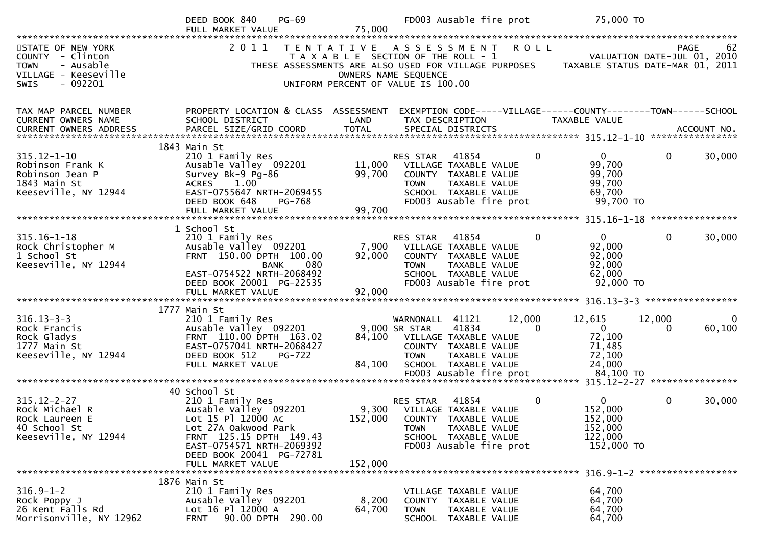|                                                                                                                | $PG-69$<br>DEED BOOK 840<br>FULL MARKET VALUE                                                                                                                                               | 75,000                     | FD003 Ausable fire prot                                                                                                                                                                  | 75,000 TO                                                                                                 |
|----------------------------------------------------------------------------------------------------------------|---------------------------------------------------------------------------------------------------------------------------------------------------------------------------------------------|----------------------------|------------------------------------------------------------------------------------------------------------------------------------------------------------------------------------------|-----------------------------------------------------------------------------------------------------------|
| STATE OF NEW YORK<br>COUNTY - Clinton<br><b>TOWN</b><br>- Ausable<br>VILLAGE - Keeseville<br>SWIS<br>$-092201$ | 2011                                                                                                                                                                                        |                            | TENTATIVE ASSESSMENT ROLL<br>T A X A B L E SECTION OF THE ROLL - 1<br>THESE ASSESSMENTS ARE ALSO USED FOR VILLAGE PURPOSES<br>OWNERS NAME SEQUENCE<br>UNIFORM PERCENT OF VALUE IS 100.00 | 62<br>PAGE<br>VALUATION DATE-JUL 01, 2010<br>TAXABLE STATUS DATE-MAR 01, 2011                             |
| TAX MAP PARCEL NUMBER<br>CURRENT OWNERS NAME                                                                   | PROPERTY LOCATION & CLASS ASSESSMENT<br>SCHOOL DISTRICT                                                                                                                                     | LAND                       | TAX DESCRIPTION                                                                                                                                                                          | EXEMPTION CODE-----VILLAGE------COUNTY--------TOWN------SCHOOL<br>TAXABLE VALUE                           |
| $315.12 - 1 - 10$<br>Robinson Frank K<br>Robinson Jean P<br>1843 Main St<br>Keeseville, NY 12944               | 1843 Main St<br>210 1 Family Res<br>Ausable Valley 092201<br>Survey Bk-9 Pg-86<br>1.00<br><b>ACRES</b><br>EAST-0755647 NRTH-2069455<br>DEED BOOK 648<br>PG-768<br>FULL MARKET VALUE         | 11,000<br>99,700<br>99,700 | RES STAR<br>41854<br>VILLAGE TAXABLE VALUE<br>COUNTY TAXABLE VALUE<br>TAXABLE VALUE<br><b>TOWN</b><br>SCHOOL TAXABLE VALUE<br>FD003 Ausable fire prot                                    | $\mathbf{0}$<br>30,000<br>$\Omega$<br>$\overline{0}$<br>99,700<br>99,700<br>99,700<br>69,700<br>99,700 TO |
| $315.16 - 1 - 18$<br>Rock Christopher M<br>1 School St<br>Keeseville, NY 12944                                 | 1 School St<br>210 1 Family Res<br>Ausable Valley 092201<br>FRNT 150.00 DPTH 100.00<br><b>BANK</b><br>080<br>EAST-0754522 NRTH-2068492<br>DEED BOOK 20001 PG-22535                          | 7,900<br>92,000            | RES STAR<br>41854<br>VILLAGE TAXABLE VALUE<br>COUNTY TAXABLE VALUE<br>TAXABLE VALUE<br><b>TOWN</b><br>SCHOOL TAXABLE VALUE<br>FD003 Ausable fire prot                                    | $\Omega$<br>$\Omega$<br>30,000<br>92,000<br>92,000<br>92,000<br>62,000<br>92,000 TO                       |
|                                                                                                                |                                                                                                                                                                                             |                            |                                                                                                                                                                                          |                                                                                                           |
| $316.13 - 3 - 3$<br>Rock Francis<br>Rock Gladys<br>1777 Main St<br>Keeseville, NY 12944                        | 1777 Main St<br>210 1 Family Res<br>Ausable Valley 092201<br>FRNT 110.00 DPTH 163.02<br>EAST-0757041 NRTH-2068427<br>DEED BOOK 512<br><b>PG-722</b><br>FULL MARKET VALUE                    | 84,100                     | 12,000<br>WARNONALL 41121<br>9,000 SR STAR<br>41834<br>84,100 VILLAGE TAXABLE VALUE<br>COUNTY TAXABLE VALUE<br><b>TOWN</b><br>TAXABLE VALUE<br>SCHOOL TAXABLE VALUE                      | 12,615<br>12,000<br>0<br>60,100<br>$\Omega$<br>$\mathbf{0}$<br>0<br>72,100<br>71,485<br>72,100<br>24,000  |
|                                                                                                                |                                                                                                                                                                                             |                            |                                                                                                                                                                                          |                                                                                                           |
| $315.12 - 2 - 27$<br>Rock Michael R<br>Rock Laureen E<br>40 School St<br>Keeseville, NY 12944                  | 40 School St<br>210 1 Family Res<br>Ausable Valley 092201<br>Lot 15 Pl 12000 Ac<br>Lot 27A Oakwood Park<br>FRNT 125.15 DPTH 149.43<br>EAST-0754571 NRTH-2069392<br>DEED BOOK 20041 PG-72781 |                            | 41854<br>RES STAR<br>9,300 VILLAGE TAXABLE VALUE<br>152,000 COUNTY TAXABLE VALUE<br>TAXABLE VALUE<br><b>TOWN</b><br>SCHOOL TAXABLE VALUE<br>FD003 Ausable fire prot                      | 0<br>30,000<br>0<br>0<br>152,000<br>152,000<br>152,000<br>122,000<br>152,000 TO                           |
|                                                                                                                | FULL MARKET VALUE                                                                                                                                                                           | 152,000                    |                                                                                                                                                                                          |                                                                                                           |
|                                                                                                                | 1876 Main St                                                                                                                                                                                |                            |                                                                                                                                                                                          |                                                                                                           |
| $316.9 - 1 - 2$<br>Rock Poppy J<br>26 Kent Falls Rd<br>Morrisonville, NY 12962                                 | 210 1 Family Res<br>Ausable Valley 092201<br>Lot 16 Pl 12000 A<br>90.00 DPTH 290.00<br><b>FRNT</b>                                                                                          | 8,200<br>64,700            | VILLAGE TAXABLE VALUE<br>COUNTY TAXABLE VALUE<br><b>TOWN</b><br>TAXABLE VALUE<br>SCHOOL TAXABLE VALUE                                                                                    | 64,700<br>64,700<br>64,700<br>64,700                                                                      |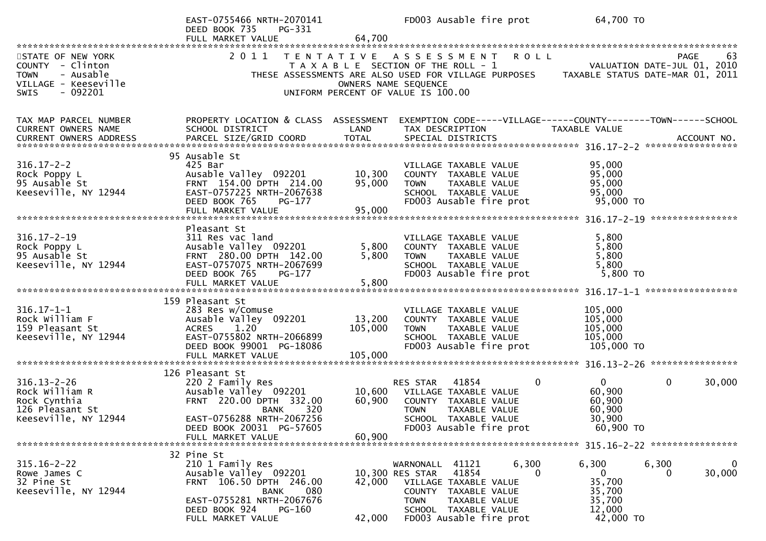|                                                                                                                       | EAST-0755466 NRTH-2070141<br>DEED BOOK 735<br>PG-331<br>FULL MARKET VALUE                                                                                          | 64,700                       |                                                                                                     | FD003 Ausable fire prot                                                                                           | 64,700 TO                                                                                                            |                                               |
|-----------------------------------------------------------------------------------------------------------------------|--------------------------------------------------------------------------------------------------------------------------------------------------------------------|------------------------------|-----------------------------------------------------------------------------------------------------|-------------------------------------------------------------------------------------------------------------------|----------------------------------------------------------------------------------------------------------------------|-----------------------------------------------|
|                                                                                                                       |                                                                                                                                                                    |                              |                                                                                                     |                                                                                                                   |                                                                                                                      |                                               |
| STATE OF NEW YORK<br>COUNTY - Clinton<br>- Ausable<br><b>TOWN</b><br>VILLAGE - Keeseville<br>$-092201$<br><b>SWIS</b> | 2011                                                                                                                                                               |                              | T A X A B L E SECTION OF THE ROLL - 1<br>OWNERS NAME SEQUENCE<br>UNIFORM PERCENT OF VALUE IS 100.00 | TENTATIVE ASSESSMENT ROLL                                                                                         | VALUATION DATE-JUL 01, 2010<br>THESE ASSESSMENTS ARE ALSO USED FOR VILLAGE PURPOSES TAXABLE STATUS DATE-MAR 01, 2011 | PAGE<br>63                                    |
|                                                                                                                       |                                                                                                                                                                    |                              |                                                                                                     |                                                                                                                   |                                                                                                                      |                                               |
| TAX MAP PARCEL NUMBER<br>CURRENT OWNERS NAME                                                                          | PROPERTY LOCATION & CLASS ASSESSMENT<br>SCHOOL DISTRICT                                                                                                            | LAND<br><b>TOTAL</b>         | TAX DESCRIPTION                                                                                     |                                                                                                                   | EXEMPTION CODE-----VILLAGE------COUNTY--------TOWN------SCHOOL<br>TAXABLE VALUE                                      |                                               |
|                                                                                                                       | 95 Ausable St                                                                                                                                                      |                              |                                                                                                     |                                                                                                                   |                                                                                                                      |                                               |
| $316.17 - 2 - 2$<br>Rock Poppy L<br>95 Ausable St<br>Keeseville, NY 12944                                             | 425 Bar<br>Ausable Valley 092201<br>FRNT 154.00 DPTH 214.00<br>EAST-0757225 NRTH-2067638<br>DEED BOOK 765<br>PG-177                                                | 10,300<br>95,000             | <b>TOWN</b>                                                                                         | VILLAGE TAXABLE VALUE<br>COUNTY TAXABLE VALUE<br>TAXABLE VALUE<br>SCHOOL TAXABLE VALUE<br>FD003 Ausable fire prot | 95,000<br>95,000<br>95,000<br>95,000<br>95,000 TO                                                                    |                                               |
|                                                                                                                       |                                                                                                                                                                    |                              |                                                                                                     |                                                                                                                   |                                                                                                                      |                                               |
| $316.17 - 2 - 19$<br>Rock Poppy L<br>95 Ausable St<br>Keeseville, NY 12944                                            | Pleasant St<br>311 Res vac land<br>Ausable Valley 092201<br>FRNT 280.00 DPTH 142.00<br>EAST-0757075 NRTH-2067699<br>DEED BOOK 765<br>PG-177                        | 5,800<br>5,800               | <b>TOWN</b>                                                                                         | VILLAGE TAXABLE VALUE<br>COUNTY TAXABLE VALUE<br>TAXABLE VALUE<br>SCHOOL TAXABLE VALUE<br>FD003 Ausable fire prot | 5,800<br>5,800<br>5,800<br>5,800<br>5,800 TO                                                                         |                                               |
|                                                                                                                       |                                                                                                                                                                    |                              |                                                                                                     |                                                                                                                   |                                                                                                                      |                                               |
| $316.17 - 1 - 1$<br>Rock William F<br>159 Pleasant St<br>Keeseville, NY 12944                                         | 159 Pleasant St<br>283 Res w/Comuse<br>Ausable Valley 092201<br>1.20<br><b>ACRES</b><br>EAST-0755802 NRTH-2066899<br>DEED BOOK 99001 PG-18086<br>FULL MARKET VALUE | 13,200<br>105,000<br>105,000 | <b>TOWN</b>                                                                                         | VILLAGE TAXABLE VALUE<br>COUNTY TAXABLE VALUE<br>TAXABLE VALUE<br>SCHOOL TAXABLE VALUE<br>FD003 Ausable fire prot | 105,000<br>105,000<br>105,000<br>105,000<br>105,000 TO                                                               |                                               |
|                                                                                                                       |                                                                                                                                                                    |                              |                                                                                                     |                                                                                                                   |                                                                                                                      |                                               |
| $316.13 - 2 - 26$<br>Rock William R<br>Rock Cynthia<br>126 Pleasant St<br>Keeseville, NY 12944                        | 126 Pleasant St<br>220 2 Family Res<br>Ausable Valley 092201<br>FRNT 220.00 DPTH 332.00<br>320<br>BANK<br>EAST-0756288 NRTH-2067256                                | 10,600<br>60,900             | <b>RES STAR</b><br><b>TOWN</b>                                                                      | 41854<br>VILLAGE TAXABLE VALUE<br>COUNTY TAXABLE VALUE<br>TAXABLE VALUE<br>SCHOOL TAXABLE VALUE                   | $\mathbf{0}$<br>0<br>60,900<br>60,900<br>60,900<br>30,900                                                            | $\mathbf 0$<br>30,000                         |
|                                                                                                                       | DEED BOOK 20031 PG-57605<br>FULL MARKET VALUE                                                                                                                      | 60,900                       |                                                                                                     | FD003 Ausable fire prot                                                                                           | 60,900 TO                                                                                                            |                                               |
|                                                                                                                       |                                                                                                                                                                    |                              |                                                                                                     |                                                                                                                   |                                                                                                                      |                                               |
| $315.16 - 2 - 22$<br>Rowe James C<br>32 Pine St<br>Keeseville, NY 12944                                               | 32 Pine St<br>210 1 Family Res<br>Ausable Valley 092201<br>FRNT 106.50 DPTH 246.00<br><b>BANK</b><br>080<br>EAST-0755281 NRTH-2067676                              | 42,000                       | WARNONALL 41121<br>10,300 RES STAR<br><b>TOWN</b>                                                   | 6,300<br>41854<br>VILLAGE TAXABLE VALUE<br>COUNTY TAXABLE VALUE<br>TAXABLE VALUE                                  | 6,300<br>$\mathbf{0}$<br>$\Omega$<br>35,700<br>35,700<br>35,700                                                      | 6,300<br>$\overline{0}$<br>30,000<br>$\Omega$ |
|                                                                                                                       | DEED BOOK 924<br>PG-160<br>FULL MARKET VALUE                                                                                                                       | 42,000                       |                                                                                                     | SCHOOL TAXABLE VALUE<br>FD003 Ausable fire prot                                                                   | 12,000<br>42,000 TO                                                                                                  |                                               |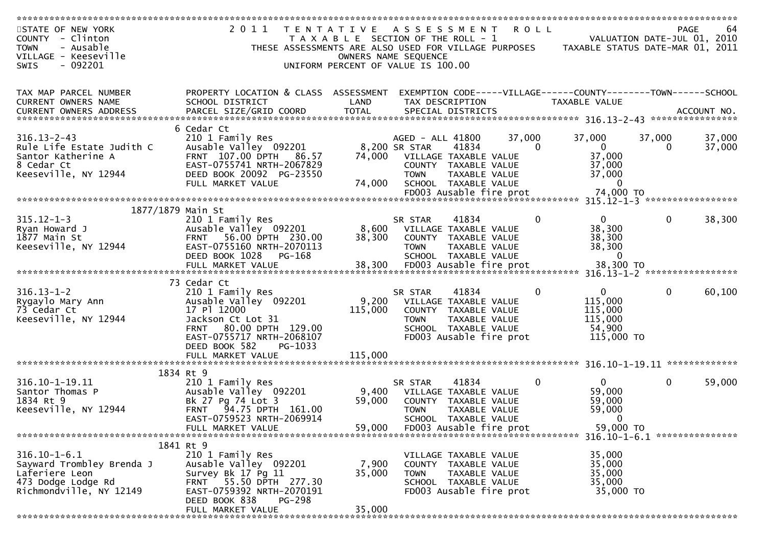| STATE OF NEW YORK         | 2011                                                 | T E N T A T I V E                     | A S S E S S M E N T         |                         | <b>ROLL</b>  |                                                                |              | <b>PAGE</b><br>64           |
|---------------------------|------------------------------------------------------|---------------------------------------|-----------------------------|-------------------------|--------------|----------------------------------------------------------------|--------------|-----------------------------|
| COUNTY - Clinton          |                                                      | T A X A B L E SECTION OF THE ROLL - 1 |                             |                         |              |                                                                |              | VALUATION DATE-JUL 01, 2010 |
| - Ausable<br><b>TOWN</b>  | THESE ASSESSMENTS ARE ALSO USED FOR VILLAGE PURPOSES |                                       |                             |                         |              | TAXABLE STATUS DATE-MAR 01, 2011                               |              |                             |
| VILLAGE - Keeseville      |                                                      |                                       | OWNERS NAME SEQUENCE        |                         |              |                                                                |              |                             |
|                           |                                                      |                                       |                             |                         |              |                                                                |              |                             |
| $-092201$<br><b>SWIS</b>  |                                                      | UNIFORM PERCENT OF VALUE IS 100.00    |                             |                         |              |                                                                |              |                             |
|                           |                                                      |                                       |                             |                         |              |                                                                |              |                             |
|                           |                                                      |                                       |                             |                         |              |                                                                |              |                             |
| TAX MAP PARCEL NUMBER     | PROPERTY LOCATION & CLASS ASSESSMENT                 |                                       |                             |                         |              | EXEMPTION CODE-----VILLAGE------COUNTY--------TOWN------SCHOOL |              |                             |
| CURRENT OWNERS NAME       | SCHOOL DISTRICT                                      | LAND                                  |                             | TAX DESCRIPTION         |              | TAXABLE VALUE                                                  |              |                             |
|                           |                                                      |                                       |                             |                         |              |                                                                |              |                             |
|                           |                                                      |                                       |                             |                         |              |                                                                |              |                             |
|                           | 6 Cedar Ct                                           |                                       |                             |                         |              |                                                                |              |                             |
| $316.13 - 2 - 43$         | 210 1 Family Res                                     |                                       | AGED - ALL 41800            |                         | 37,000       | 37,000                                                         | 37,000       | 37,000                      |
| Rule Life Estate Judith C | Ausable Valley 092201                                |                                       | 8,200 SR STAR               | 41834                   | $\Omega$     | $\mathbf{0}$                                                   | 0            | 37,000                      |
| Santor Katherine A        | FRNT 107.00 DPTH<br>86.57                            | 74,000                                | VILLAGE TAXABLE VALUE       |                         |              | 37,000                                                         |              |                             |
| 8 Cedar Ct                | EAST-0755741 NRTH-2067829                            |                                       |                             | COUNTY TAXABLE VALUE    |              | 37,000                                                         |              |                             |
| Keeseville, NY 12944      | DEED BOOK 20092 PG-23550                             |                                       | <b>TOWN</b>                 | TAXABLE VALUE           |              | 37,000                                                         |              |                             |
|                           |                                                      |                                       |                             |                         |              |                                                                |              |                             |
|                           | FULL MARKET VALUE                                    | 74,000                                |                             | SCHOOL TAXABLE VALUE    |              | $\mathbf 0$                                                    |              |                             |
|                           |                                                      |                                       |                             | FD003 Ausable fire prot |              | 74,000 TO                                                      |              |                             |
|                           |                                                      |                                       |                             |                         |              |                                                                |              |                             |
| 1877/1879 Main St         |                                                      |                                       |                             |                         |              |                                                                |              |                             |
| $315.12 - 1 - 3$          | 210 1 Family Res                                     |                                       | SR STAR                     | 41834                   | $\mathbf{0}$ | $\overline{0}$                                                 | 0            | 38,300                      |
| Ryan Howard J             | Ausable Valley 092201                                |                                       | 8,600 VILLAGE TAXABLE VALUE |                         |              | 38,300                                                         |              |                             |
| 1877 Main St              | FRNT 56.00 DPTH 230.00                               | 38,300                                |                             | COUNTY TAXABLE VALUE    |              | 38,300                                                         |              |                             |
| Keeseville, NY 12944      | EAST-0755160 NRTH-2070113                            |                                       | <b>TOWN</b>                 | TAXABLE VALUE           |              | 38,300                                                         |              |                             |
|                           | DEED BOOK 1028<br>PG-168                             |                                       |                             | SCHOOL TAXABLE VALUE    |              | $\Omega$                                                       |              |                             |
|                           |                                                      |                                       |                             |                         |              |                                                                |              |                             |
|                           |                                                      |                                       |                             |                         |              |                                                                |              |                             |
|                           | 73 Cedar Ct                                          |                                       |                             |                         |              |                                                                |              |                             |
| $316.13 - 1 - 2$          | 210 1 Family Res                                     |                                       | SR STAR                     | 41834                   | 0            | $\overline{0}$                                                 | $\mathbf{0}$ | 60,100                      |
| Rygaylo Mary Ann          | Ausable Valley 092201                                |                                       | 9,200 VILLAGE TAXABLE VALUE |                         |              | 115,000                                                        |              |                             |
| 73 Cedar Ct               | 17 Pl 12000                                          |                                       |                             |                         |              |                                                                |              |                             |
|                           |                                                      | 115,000                               |                             | COUNTY TAXABLE VALUE    |              | 115,000                                                        |              |                             |
| Keeseville, NY 12944      | Jackson Ct Lot 31                                    |                                       | <b>TOWN</b>                 | TAXABLE VALUE           |              | 115,000                                                        |              |                             |
|                           | 80.00 DPTH 129.00<br><b>FRNT</b>                     |                                       |                             | SCHOOL TAXABLE VALUE    |              | 54,900                                                         |              |                             |
|                           | EAST-0755717 NRTH-2068107                            |                                       |                             | FD003 Ausable fire prot |              | 115,000 TO                                                     |              |                             |
|                           | DEED BOOK 582<br>PG-1033                             |                                       |                             |                         |              |                                                                |              |                             |
|                           | FULL MARKET VALUE                                    | 115,000                               |                             |                         |              |                                                                |              |                             |
|                           |                                                      |                                       |                             |                         |              |                                                                |              |                             |
|                           | 1834 Rt 9                                            |                                       |                             |                         |              |                                                                |              |                             |
| 316.10-1-19.11            | 210 1 Family Res                                     |                                       | SR STAR                     | 41834                   | $\mathbf{0}$ | $\mathbf{0}$                                                   | 0            | 59,000                      |
| Santor Thomas P           | Ausable Valley 092201                                | 9,400                                 |                             | VILLAGE TAXABLE VALUE   |              | 59,000                                                         |              |                             |
| 1834 Rt 9                 | Bk 27 Pg 74 Lot 3                                    | 59,000                                | COUNTY                      | TAXABLE VALUE           |              | 59,000                                                         |              |                             |
| Keeseville, NY 12944      | <b>FRNT</b><br>94.75 DPTH 161.00                     |                                       | <b>TOWN</b>                 | <b>TAXABLE VALUE</b>    |              | 59,000                                                         |              |                             |
|                           | EAST-0759523 NRTH-2069914                            |                                       |                             | SCHOOL TAXABLE VALUE    |              | $\bf{0}$                                                       |              |                             |
|                           | FULL MARKET VALUE                                    | 59,000                                |                             |                         |              | 59,000 TO                                                      |              |                             |
|                           |                                                      |                                       |                             | FD003 Ausable fire prot |              |                                                                |              |                             |
|                           |                                                      |                                       |                             |                         |              |                                                                |              |                             |
|                           | 1841 Rt 9                                            |                                       |                             |                         |              |                                                                |              |                             |
| $316.10 - 1 - 6.1$        | 210 1 Family Res                                     |                                       |                             | VILLAGE TAXABLE VALUE   |              | 35,000                                                         |              |                             |
| Sayward Trombley Brenda J | Ausable Valley 092201                                | 7,900                                 |                             | COUNTY TAXABLE VALUE    |              | 35,000                                                         |              |                             |
| Laferiere Leon            | Survey Bk 17 Pg 11                                   | 35,000                                | <b>TOWN</b>                 | TAXABLE VALUE           |              | 35,000                                                         |              |                             |
| 473 Dodge Lodge Rd        | FRNT 55.50 DPTH 277.30                               |                                       |                             | SCHOOL TAXABLE VALUE    |              | 35,000                                                         |              |                             |
| Richmondville, NY 12149   | EAST-0759392 NRTH-2070191                            |                                       |                             | FD003 Ausable fire prot |              | 35,000 TO                                                      |              |                             |
|                           | DEED BOOK 838<br><b>PG-298</b>                       |                                       |                             |                         |              |                                                                |              |                             |
|                           | FULL MARKET VALUE                                    | 35,000                                |                             |                         |              |                                                                |              |                             |
|                           |                                                      |                                       |                             |                         |              |                                                                |              |                             |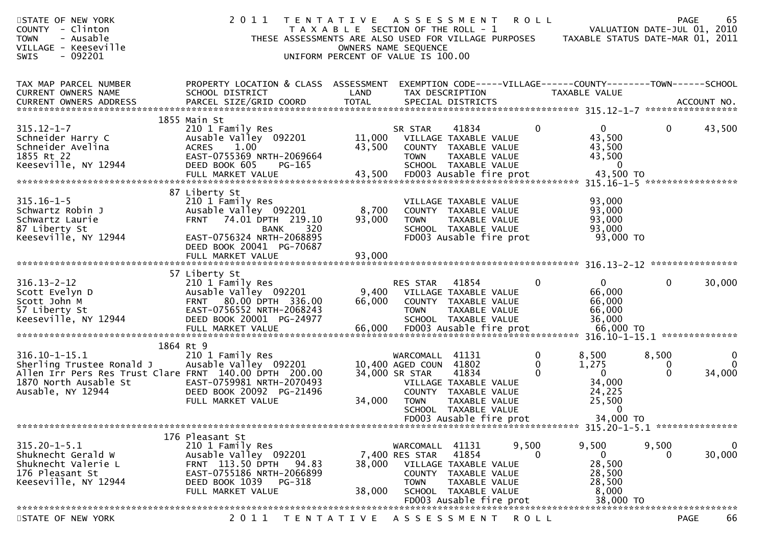| STATE OF NEW YORK<br>COUNTY - Clinton<br>- Ausable<br><b>TOWN</b><br>VILLAGE - Keeseville<br>$-092201$<br>SWIS | 2011<br>THESE ASSESSMENTS ARE ALSO USED FOR VILLAGE PURPOSES                                                                                                      | TENTATIVE ASSESSMENT<br>T A X A B L E SECTION OF THE ROLL - 1<br>UNIFORM PERCENT OF VALUE IS 100.00 | OWNERS NAME SEQUENCE                                  |                                                                                                                            | <b>ROLL</b>            | TAXABLE STATUS DATE-MAR 01, 2011                                                | <b>PAGE</b><br>VALUATION DATE-JUL 01, 2010 | 65                      |
|----------------------------------------------------------------------------------------------------------------|-------------------------------------------------------------------------------------------------------------------------------------------------------------------|-----------------------------------------------------------------------------------------------------|-------------------------------------------------------|----------------------------------------------------------------------------------------------------------------------------|------------------------|---------------------------------------------------------------------------------|--------------------------------------------|-------------------------|
| TAX MAP PARCEL NUMBER<br>CURRENT OWNERS NAME                                                                   | PROPERTY LOCATION & CLASS ASSESSMENT<br>SCHOOL DISTRICT                                                                                                           | LAND                                                                                                | TAX DESCRIPTION                                       |                                                                                                                            |                        | EXEMPTION CODE-----VILLAGE------COUNTY--------TOWN------SCHOOL<br>TAXABLE VALUE |                                            |                         |
|                                                                                                                | 1855 Main St                                                                                                                                                      |                                                                                                     |                                                       |                                                                                                                            |                        |                                                                                 |                                            |                         |
| $315.12 - 1 - 7$<br>Schneider Harry C<br>Schneider Avelina<br>1855 Rt 22<br>Keeseville, NY 12944               | 210 1 Family Res<br>Ausable Valley 092201<br>1.00<br><b>ACRES</b><br>EAST-0755369 NRTH-2069664<br>DEED BOOK 605<br>$PG-165$<br>FULL MARKET VALUE                  | 11,000<br>43,500<br>43,500                                                                          | SR STAR<br><b>TOWN</b>                                | 41834<br>VILLAGE TAXABLE VALUE<br>COUNTY TAXABLE VALUE<br>TAXABLE VALUE<br>SCHOOL TAXABLE VALUE<br>FD003 Ausable fire prot | $\mathbf{0}$           | $\overline{0}$<br>43,500<br>43,500<br>43,500<br>$\mathbf 0$<br>43,500 TO        | $\mathbf 0$                                | 43,500                  |
| $315.16 - 1 - 5$<br>Schwartz Robin J<br>Schwartz Laurie                                                        | 87 Liberty St<br>210 1 Family Res<br>Ausable Valley 092201<br><b>FRNT</b><br>74.01 DPTH 219.10                                                                    | 8,700<br>93,000                                                                                     | <b>TOWN</b>                                           | VILLAGE TAXABLE VALUE<br>COUNTY TAXABLE VALUE<br>TAXABLE VALUE                                                             |                        | 93,000<br>93,000<br>93,000                                                      |                                            |                         |
| 87 Liberty St<br>Keeseville, NY 12944                                                                          | 320<br>BANK<br>EAST-0756324 NRTH-2068895<br>DEED BOOK 20041 PG-70687<br>FULL MARKET VALUE                                                                         | 93,000                                                                                              |                                                       | SCHOOL TAXABLE VALUE<br>FD003 Ausable fire prot                                                                            |                        | 93,000<br>93,000 TO                                                             |                                            |                         |
|                                                                                                                |                                                                                                                                                                   |                                                                                                     |                                                       |                                                                                                                            |                        |                                                                                 |                                            |                         |
| $316.13 - 2 - 12$<br>Scott Evelyn D<br>Scott John M<br>57 Liberty St<br>Keeseville, NY 12944                   | 57 Liberty St<br>210 1 Family Res<br>Ausable Valley 092201<br>FRNT 80.00 DPTH 336.00<br>EAST-0756552 NRTH-2068243<br>DEED BOOK 20001 PG-24977                     | 9,400<br>66,000                                                                                     | <b>RES STAR</b><br><b>TOWN</b>                        | 41854<br>VILLAGE TAXABLE VALUE<br>COUNTY TAXABLE VALUE<br>TAXABLE VALUE<br>SCHOOL TAXABLE VALUE                            | $\Omega$               | $\mathbf{0}$<br>66,000<br>66,000<br>66,000<br>36,000                            | $\mathbf{0}$                               | 30,000                  |
|                                                                                                                | FULL MARKET VALUE                                                                                                                                                 | 66,000                                                                                              |                                                       | FD003 Ausable fire prot                                                                                                    |                        | 66,000 TO                                                                       |                                            |                         |
| $316.10 - 1 - 15.1$<br>Sherling Trustee Ronald J<br>Allen Irr Pers Res Trust Clare FRNT 140.00 DPTH 200.00     | 1864 Rt 9<br>210 1 Family Res<br>Ausable Valley 092201                                                                                                            |                                                                                                     | WARCOMALL 41131<br>10,400 AGED COUN<br>34,000 SR STAR | 41802<br>41834                                                                                                             | $\mathbf{0}$<br>0<br>0 | 8,500<br>1,275<br>$\overline{0}$                                                | 8,500<br>0<br>$\Omega$                     | 0<br>$\Omega$<br>34,000 |
| 1870 North Ausable St<br>Ausable, NY 12944                                                                     | EAST-0759981 NRTH-2070493<br>DEED BOOK 20092 PG-21496<br>FULL MARKET VALUE                                                                                        | 34,000                                                                                              | <b>TOWN</b>                                           | VILLAGE TAXABLE VALUE<br>COUNTY TAXABLE VALUE<br>TAXABLE VALUE<br>SCHOOL TAXABLE VALUE<br>FD003 Ausable fire prot          |                        | 34,000<br>24,225<br>25,500<br>0<br>34,000 TO                                    |                                            |                         |
|                                                                                                                |                                                                                                                                                                   |                                                                                                     |                                                       |                                                                                                                            |                        |                                                                                 |                                            |                         |
| $315.20 - 1 - 5.1$<br>Shuknecht Gerald W<br>Shuknecht Valerie L<br>176 Pleasant St<br>Keeseville, NY 12944     | 176 Pleasant St<br>210 1 Family Res<br>Ausable Valley 092201<br>FRNT 113.50 DPTH 94.83<br>EAST-0755186 NRTH-2066899<br>DEED BOOK 1039 PG-318<br>FULL MARKET VALUE | 38,000<br>38,000                                                                                    | WARCOMALL 41131<br>7,400 RES STAR<br><b>TOWN</b>      | 41854<br>VILLAGE TAXABLE VALUE<br>COUNTY TAXABLE VALUE<br>TAXABLE VALUE<br>SCHOOL TAXABLE VALUE<br>FD003 Ausable fire prot | 9,500<br>$\Omega$      | 9,500<br>$\overline{0}$<br>28,500<br>28,500<br>28,500<br>8,000<br>38,000 TO     | 9,500<br>0                                 | $\bf{0}$<br>30,000      |
|                                                                                                                |                                                                                                                                                                   |                                                                                                     |                                                       |                                                                                                                            |                        |                                                                                 |                                            |                         |
| STATE OF NEW YORK                                                                                              | 2011<br>T E N T A T I V E                                                                                                                                         |                                                                                                     | A S S E S S M E N T                                   |                                                                                                                            | R O L L                |                                                                                 | <b>PAGE</b>                                | 66                      |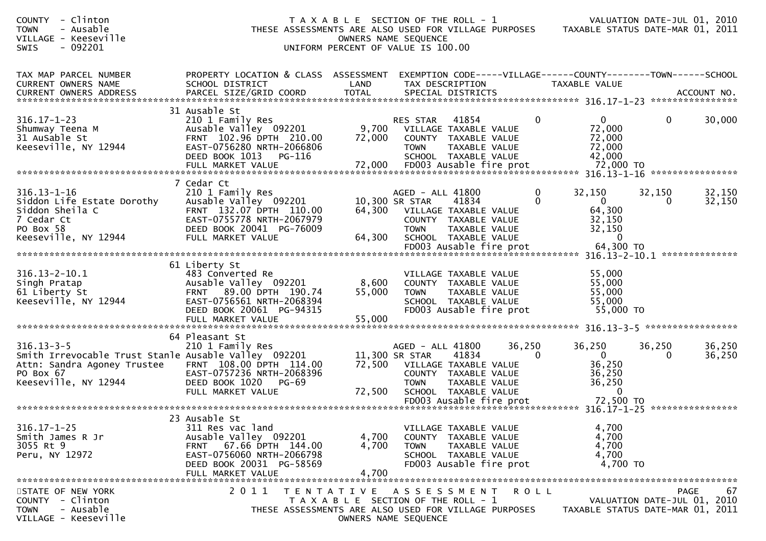| - Clinton<br><b>COUNTY</b><br><b>TOWN</b><br>- Ausable<br>VILLAGE - Keeseville<br>$-092201$<br><b>SWIS</b>                                   |                                                                                                                                                                     |                           | T A X A B L E SECTION OF THE ROLL - 1<br>THESE ASSESSMENTS ARE ALSO USED FOR VILLAGE PURPOSES<br>OWNERS NAME SEQUENCE<br>UNIFORM PERCENT OF VALUE IS 100.00  |                        |                                                                    | VALUATION DATE-JUL 01, 2010<br>TAXABLE STATUS DATE-MAR 01, 2011                      |
|----------------------------------------------------------------------------------------------------------------------------------------------|---------------------------------------------------------------------------------------------------------------------------------------------------------------------|---------------------------|--------------------------------------------------------------------------------------------------------------------------------------------------------------|------------------------|--------------------------------------------------------------------|--------------------------------------------------------------------------------------|
| TAX MAP PARCEL NUMBER<br>CURRENT OWNERS NAME<br><b>CURRENT OWNERS ADDRESS</b>                                                                | PROPERTY LOCATION & CLASS ASSESSMENT<br>SCHOOL DISTRICT<br>PARCEL SIZE/GRID COORD                                                                                   | LAND<br><b>TOTAL</b>      | TAX DESCRIPTION<br>SPECIAL DISTRICTS                                                                                                                         |                        | TAXABLE VALUE                                                      | EXEMPTION CODE-----VILLAGE------COUNTY--------TOWN------SCHOOL<br>ACCOUNT NO.        |
| $316.17 - 1 - 23$<br>Shumway Teena M<br>31 AuSable St<br>Keeseville, NY 12944                                                                | 31 Ausable St<br>210 1 Family Res<br>Ausable Valley 092201<br>FRNT 102.96 DPTH 210.00<br>EAST-0756280 NRTH-2066806<br>DEED BOOK 1013<br>PG-116<br>FULL MARKET VALUE | 9,700<br>72,000<br>72,000 | 41854<br><b>RES STAR</b><br>VILLAGE TAXABLE VALUE<br>COUNTY TAXABLE VALUE<br>TAXABLE VALUE<br><b>TOWN</b><br>SCHOOL TAXABLE VALUE<br>FD003 Ausable fire prot | $\Omega$               | $\Omega$<br>72,000<br>72,000<br>72,000<br>42,000<br>72,000 TO      | $\mathbf 0$<br>30,000                                                                |
|                                                                                                                                              | 7 Cedar Ct                                                                                                                                                          |                           |                                                                                                                                                              |                        |                                                                    |                                                                                      |
| $316.13 - 1 - 16$<br>Siddon Life Estate Dorothy<br>Siddon Sheila C<br>7 Cedar Ct<br>PO Box 58<br>Keeseville, NY 12944                        | 210 1 Family Res<br>Ausable Valley 092201<br>FRNT 132.07 DPTH 110.00<br>EAST-0755778 NRTH-2067979<br>DEED BOOK 20041 PG-76009<br>FULL MARKET VALUE                  | 64,300<br>64,300          | AGED - ALL 41800<br>41834<br>10,300 SR STAR<br>VILLAGE TAXABLE VALUE<br>COUNTY TAXABLE VALUE<br>TAXABLE VALUE<br><b>TOWN</b><br>SCHOOL TAXABLE VALUE         | 0<br>$\Omega$          | 32,150<br>$\overline{0}$<br>64,300<br>32,150<br>32,150<br>$\Omega$ | 32,150<br>32,150<br>32,150<br>0                                                      |
|                                                                                                                                              |                                                                                                                                                                     |                           |                                                                                                                                                              |                        |                                                                    |                                                                                      |
| $316.13 - 2 - 10.1$<br>Singh Pratap<br>61 Liberty St<br>Keeseville, NY 12944                                                                 | 61 Liberty St<br>483 Converted Re<br>Ausable Valley 092201<br>FRNT 89.00 DPTH 190.74<br>EAST-0756561 NRTH-2068394<br>DEED BOOK 20061 PG-94315<br>FULL MARKET VALUE  | 8,600<br>55,000<br>55,000 | VILLAGE TAXABLE VALUE<br>COUNTY TAXABLE VALUE<br><b>TOWN</b><br>TAXABLE VALUE<br>SCHOOL TAXABLE VALUE<br>FD003 Ausable fire prot                             |                        | 55,000<br>55,000<br>55,000<br>55,000<br>55,000 TO                  | *****************                                                                    |
|                                                                                                                                              | 64 Pleasant St                                                                                                                                                      |                           |                                                                                                                                                              |                        |                                                                    |                                                                                      |
| $316.13 - 3 - 5$<br>Smith Irrevocable Trust Stanle Ausable Valley 092201<br>Attn: Sandra Agoney Trustee<br>PO Box 67<br>Keeseville, NY 12944 | 210 1 Family Res<br>FRNT 108.00 DPTH 114.00<br>EAST-0757236 NRTH-2068396<br>DEED BOOK 1020<br>PG-69<br>FULL MARKET VALUE                                            | 72,500<br>72,500          | AGED - ALL 41800<br>11,300 SR STAR<br>41834<br>VILLAGE TAXABLE VALUE<br>COUNTY TAXABLE VALUE<br><b>TOWN</b><br>TAXABLE VALUE<br>SCHOOL TAXABLE VALUE         | 36,250<br>$\mathbf{0}$ | 36,250<br>$\overline{0}$<br>36,250<br>36,250<br>36,250<br>$\Omega$ | 36,250<br>36,250<br>36,250<br>0                                                      |
|                                                                                                                                              |                                                                                                                                                                     |                           |                                                                                                                                                              |                        |                                                                    |                                                                                      |
| $316.17 - 1 - 25$<br>Smith James R Jr<br>3055 Rt 9<br>Peru, NY 12972                                                                         | 23 Ausable St<br>311 Res vac land<br>Ausable Valley 092201<br>FRNT 67.66 DPTH 144.00<br>EAST-0756060 NRTH-2066798<br>DEED BOOK 20031 PG-58569<br>FULL MARKET VALUE  | 4,700<br>4,700<br>4,700   | VILLAGE TAXABLE VALUE<br>COUNTY TAXABLE VALUE<br><b>TOWN</b><br>TAXABLE VALUE<br>SCHOOL TAXABLE VALUE<br>FD003 Ausable fire prot                             |                        | 4,700<br>4,700<br>4,700<br>4,700<br>4,700 TO                       |                                                                                      |
| STATE OF NEW YORK<br>COUNTY - Clinton<br>- Ausable<br><b>TOWN</b><br>VILLAGE - Keeseville                                                    | 2011                                                                                                                                                                |                           | TENTATIVE ASSESSMENT ROLL<br>T A X A B L E SECTION OF THE ROLL - 1<br>THESE ASSESSMENTS ARE ALSO USED FOR VILLAGE PURPOSES<br>OWNERS NAME SEQUENCE           |                        |                                                                    | 67<br><b>PAGE</b><br>VALUATION DATE-JUL 01, 2010<br>TAXABLE STATUS DATE-MAR 01, 2011 |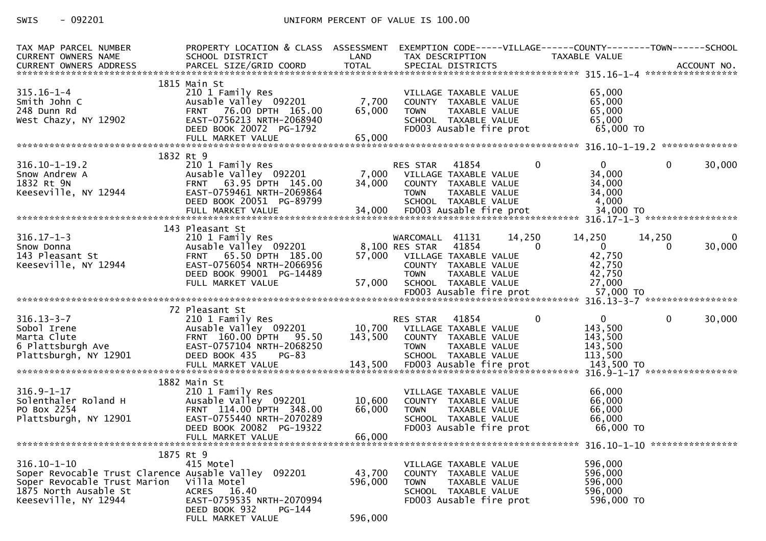## SWIS - 092201 CONTROLLER UNIFORM PERCENT OF VALUE IS 100.00

| TAX MAP PARCEL NUMBER<br><b>CURRENT OWNERS NAME</b>                                                                                                 | PROPERTY LOCATION & CLASS ASSESSMENT<br>SCHOOL DISTRICT                                                                                                                     | LAND                         | TAX DESCRIPTION                                                                                                           |                                          | EXEMPTION CODE-----VILLAGE------COUNTY--------TOWN------SCHOOL<br>TAXABLE VALUE |              |             |
|-----------------------------------------------------------------------------------------------------------------------------------------------------|-----------------------------------------------------------------------------------------------------------------------------------------------------------------------------|------------------------------|---------------------------------------------------------------------------------------------------------------------------|------------------------------------------|---------------------------------------------------------------------------------|--------------|-------------|
| $315.16 - 1 - 4$<br>Smith John C<br>248 Dunn Rd<br>West Chazy, NY 12902                                                                             | 1815 Main St<br>210 1 Family Res<br>Ausable Valley 092201<br>FRNT 76.00 DPTH 165.00<br>EAST-0756213 NRTH-2068940<br>DEED BOOK 20072 PG-1792<br>FULL MARKET VALUE            | 7,700<br>65,000<br>65,000    | VILLAGE TAXABLE VALUE<br>COUNTY TAXABLE VALUE<br><b>TOWN</b><br>SCHOOL TAXABLE VALUE                                      | TAXABLE VALUE<br>FD003 Ausable fire prot | 65,000<br>65,000<br>65,000<br>65,000<br>65,000 TO                               |              |             |
|                                                                                                                                                     | 1832 Rt 9                                                                                                                                                                   |                              |                                                                                                                           |                                          |                                                                                 |              |             |
| $316.10 - 1 - 19.2$<br>Snow Andrew A<br>1832 Rt 9N<br>Keeseville, NY 12944                                                                          | 210 1 Family Res<br>Ausable Valley 092201<br>FRNT 63.95 DPTH 145.00<br>EAST-0759461 NRTH-2069864<br>DEED BOOK 20051 PG-89799                                                | 7,000<br>34,000              | 41854<br>RES STAR<br>VILLAGE TAXABLE VALUE<br>COUNTY TAXABLE VALUE<br><b>TOWN</b><br>SCHOOL TAXABLE VALUE                 | TAXABLE VALUE                            | $\mathbf{0}$<br>0<br>34,000<br>34,000<br>34,000<br>4,000                        | $\mathbf{0}$ | 30,000      |
|                                                                                                                                                     |                                                                                                                                                                             |                              |                                                                                                                           |                                          |                                                                                 |              |             |
| $316.17 - 1 - 3$<br>Snow Donna<br>143 Pleasant St<br>Keeseville, NY 12944                                                                           | 143 Pleasant St<br>210 1 Family Res<br>Ausable Valley 092201<br>FRNT 65.50 DPTH 185.00<br>EAST-0756054 NRTH-2066956<br>DEED BOOK 99001 PG-14489<br>FULL MARKET VALUE        | 57,000<br>57,000             | WARCOMALL 41131<br>8,100 RES STAR<br>VILLAGE TAXABLE VALUE<br>COUNTY TAXABLE VALUE<br><b>TOWN</b><br>SCHOOL TAXABLE VALUE | 14,250<br>41854<br>TAXABLE VALUE         | 14,250<br>$\Omega$<br>$\overline{0}$<br>42,750<br>42,750<br>42,750<br>27,000    | 14,250<br>0  | 0<br>30,000 |
|                                                                                                                                                     |                                                                                                                                                                             |                              |                                                                                                                           |                                          |                                                                                 |              |             |
| $316.13 - 3 - 7$<br>Sobol Irene<br>Marta Clute<br>6 Plattsburgh Ave<br>Plattsburgh, NY 12901                                                        | 72 Pleasant St<br>210 1 Family Res<br>Ausable Valley 092201 10,700 VILLAGE TAXABLE VALUE<br>FRNT 160.00 DPTH 95.50<br>EAST-0757104 NRTH-2068250<br>DEED BOOK 435<br>$PG-83$ | 143,500                      | 41854<br>RES STAR<br>COUNTY TAXABLE VALUE<br><b>TOWN</b><br>SCHOOL TAXABLE VALUE                                          | TAXABLE VALUE                            | $\mathbf{0}$<br>$\mathbf{0}$<br>143,500<br>143,500<br>143,500<br>113,500        | $\mathbf{0}$ | 30,000      |
|                                                                                                                                                     | 1882 Main St                                                                                                                                                                |                              |                                                                                                                           |                                          |                                                                                 |              |             |
| $316.9 - 1 - 17$<br>Solenthaler Roland H<br>PO Box 2254<br>Plattsburgh, NY 12901                                                                    | 210 1 Family Res<br>Ausable Valley 092201<br>FRNT 114.00 DPTH 348.00<br>EAST-0755440 NRTH-2070289<br>DEED BOOK 20082 PG-19322                                               | 10,600<br>66,000             | VILLAGE TAXABLE VALUE<br>COUNTY TAXABLE VALUE<br><b>TOWN</b><br>SCHOOL TAXABLE VALUE                                      | TAXABLE VALUE<br>FD003 Ausable fire prot | 66,000<br>66,000<br>66,000<br>66,000<br>66,000 TO                               |              |             |
|                                                                                                                                                     | FULL MARKET VALUE                                                                                                                                                           | 66,000                       |                                                                                                                           |                                          |                                                                                 |              |             |
| $316.10 - 1 - 10$<br>Soper Revocable Trust Clarence Ausable Valley<br>Soper Revocable Trust Marion<br>1875 North Ausable St<br>Keeseville, NY 12944 | 1875 Rt 9<br>415 Motel<br>092201<br>Villa Motel<br><b>ACRES</b><br>16.40<br>EAST-0759535 NRTH-2070994<br>DEED BOOK 932<br>PG-144<br>FULL MARKET VALUE                       | 43,700<br>596,000<br>596,000 | VILLAGE TAXABLE VALUE<br>COUNTY TAXABLE VALUE<br><b>TOWN</b><br>SCHOOL TAXABLE VALUE                                      | TAXABLE VALUE<br>FD003 Ausable fire prot | 596,000<br>596,000<br>596,000<br>596,000<br>596,000 TO                          |              |             |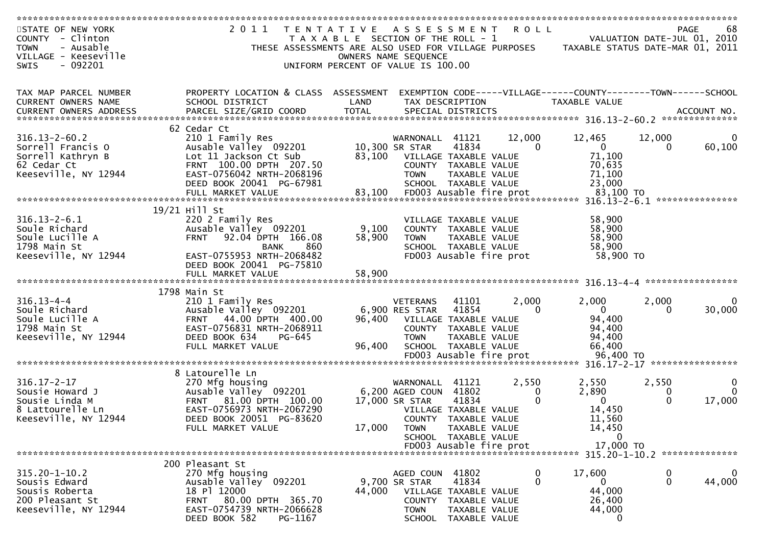| STATE OF NEW YORK                | 2011<br>T E N T A T I V E                                     |                                       | A S S E S S M E N T          |                                       | ROLL              |                                                                |              | 68<br>PAGE                  |
|----------------------------------|---------------------------------------------------------------|---------------------------------------|------------------------------|---------------------------------------|-------------------|----------------------------------------------------------------|--------------|-----------------------------|
| COUNTY - Clinton                 |                                                               | T A X A B L E SECTION OF THE ROLL - 1 |                              |                                       |                   |                                                                |              | VALUATION DATE-JUL 01, 2010 |
| <b>TOWN</b><br>- Ausable         | THESE ASSESSMENTS ARE ALSO USED FOR VILLAGE PURPOSES          |                                       |                              |                                       |                   | TAXABLE STATUS DATE-MAR 01, 2011                               |              |                             |
| VILLAGE - Keeseville             |                                                               | OWNERS NAME SEQUENCE                  |                              |                                       |                   |                                                                |              |                             |
| $-092201$<br><b>SWIS</b>         |                                                               | UNIFORM PERCENT OF VALUE IS 100.00    |                              |                                       |                   |                                                                |              |                             |
|                                  |                                                               |                                       |                              |                                       |                   |                                                                |              |                             |
|                                  |                                                               |                                       |                              |                                       |                   |                                                                |              |                             |
| TAX MAP PARCEL NUMBER            | PROPERTY LOCATION & CLASS ASSESSMENT                          |                                       |                              |                                       |                   | EXEMPTION CODE-----VILLAGE------COUNTY--------TOWN------SCHOOL |              |                             |
| CURRENT OWNERS NAME              | SCHOOL DISTRICT                                               | LAND                                  | TAX DESCRIPTION              |                                       |                   | TAXABLE VALUE                                                  |              |                             |
|                                  |                                                               |                                       |                              |                                       |                   |                                                                |              |                             |
|                                  | 62 Cedar Ct                                                   |                                       |                              |                                       |                   |                                                                |              |                             |
| $316.13 - 2 - 60.2$              | 210 1 Family Res                                              |                                       | WARNONALL                    | 41121                                 | 12,000            | 12,465                                                         | 12,000       |                             |
| Sorrell Francis O                | Ausable Valley 092201                                         |                                       | 10,300 SR STAR               | 41834                                 | $\Omega$          | $\mathbf{0}$                                                   | 0            | 60,100                      |
| Sorrell Kathryn B                | Lot 11 Jackson Ct Sub                                         | 83,100                                | VILLAGE TAXABLE VALUE        |                                       |                   | 71,100                                                         |              |                             |
| 62 Cedar Ct                      | FRNT 100.00 DPTH 207.50                                       |                                       |                              | COUNTY TAXABLE VALUE                  |                   | 70,635                                                         |              |                             |
| Keeseville, NY 12944             | EAST-0756042 NRTH-2068196                                     |                                       | <b>TOWN</b>                  | TAXABLE VALUE                         |                   | 71,100                                                         |              |                             |
|                                  | DEED BOOK 20041 PG-67981                                      |                                       |                              | SCHOOL TAXABLE VALUE                  |                   | 23,000                                                         |              |                             |
|                                  |                                                               |                                       |                              |                                       |                   |                                                                |              |                             |
|                                  |                                                               |                                       |                              |                                       |                   |                                                                |              |                             |
|                                  | 19/21 Hill St                                                 |                                       |                              |                                       |                   |                                                                |              |                             |
| $316.13 - 2 - 6.1$               | 220 2 Family Res                                              |                                       |                              | VILLAGE TAXABLE VALUE                 |                   | 58,900                                                         |              |                             |
| Soule Richard                    | Ausable Valley 092201                                         | 9,100                                 |                              | COUNTY TAXABLE VALUE                  |                   | 58,900                                                         |              |                             |
| Soule Lucille A                  | 92.04 DPTH 166.08<br><b>FRNT</b>                              | 58,900                                | <b>TOWN</b>                  | TAXABLE VALUE                         |                   | 58,900                                                         |              |                             |
| 1798 Main St                     | 860<br><b>BANK</b>                                            |                                       |                              | SCHOOL TAXABLE VALUE                  |                   | 58,900                                                         |              |                             |
| Keeseville, NY 12944             | EAST-0755953 NRTH-2068482                                     |                                       |                              | FD003 Ausable fire prot               |                   | 58,900 TO                                                      |              |                             |
|                                  | DEED BOOK 20041 PG-75810                                      |                                       |                              |                                       |                   |                                                                |              |                             |
|                                  |                                                               |                                       |                              |                                       |                   |                                                                |              |                             |
|                                  |                                                               |                                       |                              |                                       |                   |                                                                |              |                             |
|                                  | 1798 Main St                                                  |                                       |                              |                                       |                   |                                                                |              |                             |
| $316.13 - 4 - 4$                 | 210 1 Family Res                                              |                                       | <b>VETERANS</b>              | 41101                                 | 2,000<br>$\Omega$ | 2,000                                                          | 2,000        | $\Omega$                    |
| Soule Richard<br>Soule Lucille A | Ausable Valley 092201                                         |                                       | 6,900 RES STAR               | 41854                                 |                   | $\mathbf{0}$<br>94,400                                         | $\Omega$     | 30,000                      |
|                                  | 44.00 DPTH 400.00<br><b>FRNT</b><br>EAST-0756831 NRTH-2068911 | 96,400                                |                              | VILLAGE TAXABLE VALUE                 |                   |                                                                |              |                             |
| 1798 Main St                     | PG-645                                                        |                                       |                              | COUNTY TAXABLE VALUE                  |                   | 94,400                                                         |              |                             |
| Keeseville, NY 12944             | DEED BOOK 634<br>FULL MARKET VALUE                            | 96,400                                | <b>TOWN</b>                  | TAXABLE VALUE<br>SCHOOL TAXABLE VALUE |                   | 94,400<br>66,400                                               |              |                             |
|                                  |                                                               |                                       |                              | FD003 Ausable fire prot               |                   | 96,400 TO                                                      |              |                             |
|                                  |                                                               |                                       |                              |                                       |                   | $316.17 - 2 - 17$                                              |              | *****************           |
|                                  | 8 Latourelle Ln                                               |                                       |                              |                                       |                   |                                                                |              |                             |
| $316.17 - 2 - 17$                | 270 Mfg housing                                               |                                       | WARNONALL                    | 41121                                 | 2,550             | 2,550                                                          | 2,550        |                             |
| Sousie Howard J                  | Ausable Valley 092201                                         |                                       | 6,200 AGED COUN 41802        |                                       | 0                 | 2,890                                                          | 0            | 0                           |
| Sousie Linda M                   | FRNT 81.00 DPTH 100.00                                        |                                       | 17,000 SR STAR               | 41834                                 | 0                 | $\Omega$                                                       | $\Omega$     | 17,000                      |
| 8 Lattourelle Ln                 | EAST-0756973 NRTH-2067290                                     |                                       |                              | VILLAGE TAXABLE VALUE                 |                   | 14,450                                                         |              |                             |
| Keeseville, NY 12944             | DEED BOOK 20051 PG-83620                                      |                                       |                              | COUNTY TAXABLE VALUE                  |                   | 11,560                                                         |              |                             |
|                                  | FULL MARKET VALUE                                             | 17,000                                | <b>TOWN</b>                  | TAXABLE VALUE                         |                   | 14,450                                                         |              |                             |
|                                  |                                                               |                                       |                              | SCHOOL TAXABLE VALUE                  |                   | 0                                                              |              |                             |
|                                  |                                                               |                                       |                              | FD003 Ausable fire prot               |                   | 17,000 TO                                                      |              |                             |
|                                  |                                                               |                                       |                              |                                       |                   |                                                                |              |                             |
|                                  | 200 Pleasant St                                               |                                       |                              |                                       |                   |                                                                |              |                             |
| $315.20 - 1 - 10.2$              | 270 Mfg housing                                               |                                       | AGED COUN 41802              |                                       | $\mathbf 0$       | 17,600                                                         | 0            | $\mathbf 0$                 |
| Sousis Edward                    | Ausable Valley 092201                                         |                                       | 9,700 SR STAR                | 41834                                 | $\mathbf{0}$      | 0                                                              | $\mathbf{0}$ | 44,000                      |
| Sousis Roberta                   | 18 Pl 12000                                                   | 44,000                                |                              | VILLAGE TAXABLE VALUE                 |                   | 44,000                                                         |              |                             |
| 200 Pleasant St                  | FRNT 80.00 DPTH 365.70                                        |                                       |                              | COUNTY TAXABLE VALUE                  |                   | 26,400                                                         |              |                             |
| Keeseville, NY 12944             |                                                               |                                       |                              |                                       |                   |                                                                |              |                             |
|                                  | EAST-0754739 NRTH-2066628<br>DEED BOOK 582<br>PG-1167         |                                       | <b>TOWN</b><br><b>SCHOOL</b> | TAXABLE VALUE<br>TAXABLE VALUE        |                   | 44,000<br>$\mathbf{0}$                                         |              |                             |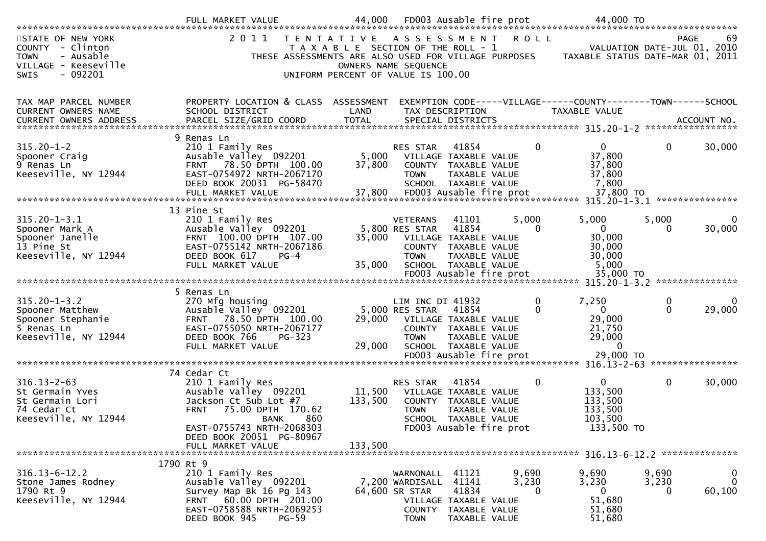| STATE OF NEW YORK<br>COUNTY - Clinton<br>- Ausable<br><b>TOWN</b><br>VILLAGE - Keeseville<br><b>SWIS</b><br>$-092201$ | 2011<br>THESE ASSESSMENTS ARE ALSO USED FOR VILLAGE PURPOSES                                                                                                            | T E N T A T I V E<br>T A X A B L E SECTION OF THE ROLL - 1<br>OWNERS NAME SEQUENCE<br>UNIFORM PERCENT OF VALUE IS 100.00 | ASSESSMENT                                                    |                                                                                                 | <b>ROLL</b>         | TAXABLE STATUS DATE-MAR 01, 2011                                                | VALUATION DATE-JUL 01, 2010 | -69<br><b>PAGE</b>         |
|-----------------------------------------------------------------------------------------------------------------------|-------------------------------------------------------------------------------------------------------------------------------------------------------------------------|--------------------------------------------------------------------------------------------------------------------------|---------------------------------------------------------------|-------------------------------------------------------------------------------------------------|---------------------|---------------------------------------------------------------------------------|-----------------------------|----------------------------|
| TAX MAP PARCEL NUMBER<br>CURRENT OWNERS NAME<br><b>CURRENT OWNERS ADDRESS</b>                                         | PROPERTY LOCATION & CLASS ASSESSMENT<br>SCHOOL DISTRICT<br>PARCEL SIZE/GRID COORD                                                                                       | LAND<br><b>TOTAL</b>                                                                                                     |                                                               | TAX DESCRIPTION<br>SPECIAL DISTRICTS                                                            |                     | EXEMPTION CODE-----VILLAGE------COUNTY--------TOWN------SCHOOL<br>TAXABLE VALUE |                             | ACCOUNT NO.                |
| $315.20 - 1 - 2$<br>Spooner Craig<br>9 Renas Ln<br>Keeseville, NY 12944                                               | 9 Renas Ln<br>210 1 Family Res<br>Ausable Valley 092201<br>FRNT 78.50 DPTH 100.00<br>EAST-0754972 NRTH-2067170<br>DEED BOOK 20031 PG-58470                              | 5,000<br>37,800                                                                                                          | <b>RES STAR</b><br><b>TOWN</b>                                | 41854<br>VILLAGE TAXABLE VALUE<br>COUNTY TAXABLE VALUE<br>TAXABLE VALUE<br>SCHOOL TAXABLE VALUE | $\Omega$            | 0<br>37,800<br>37,800<br>37,800<br>7,800<br>37,800 TO                           | 0                           | 30,000                     |
|                                                                                                                       |                                                                                                                                                                         |                                                                                                                          |                                                               |                                                                                                 |                     | 315.20-1-3.1 ****************                                                   |                             |                            |
| $315.20 - 1 - 3.1$<br>Spooner Mark A<br>Spooner Janelle<br>13 Pine St<br>Keeseville, NY 12944                         | 13 Pine St<br>210 1 Family Res<br>Ausable Valley 092201<br>FRNT 100.00 DPTH 107.00<br>EAST-0755142 NRTH-2067186<br>DEED BOOK 617<br>PG-4                                | 35,000                                                                                                                   | <b>VETERANS</b><br>5,800 RES STAR<br><b>TOWN</b>              | 41101<br>41854<br>VILLAGE TAXABLE VALUE<br>COUNTY TAXABLE VALUE<br>TAXABLE VALUE                | 5,000<br>$\Omega$   | 5,000<br>$\Omega$<br>30,000<br>30,000<br>30,000                                 | 5,000<br>0                  | $\Omega$<br>30,000         |
|                                                                                                                       | FULL MARKET VALUE                                                                                                                                                       | 35,000                                                                                                                   |                                                               | SCHOOL TAXABLE VALUE                                                                            |                     | 5,000                                                                           |                             |                            |
|                                                                                                                       |                                                                                                                                                                         |                                                                                                                          |                                                               |                                                                                                 |                     | 35,000 TO<br>315.20-1-3.2 ****************                                      |                             |                            |
| $315.20 - 1 - 3.2$<br>Spooner Matthew<br>Spooner Stephanie<br>5 Renas Ln<br>Keeseville, NY 12944                      | 5 Renas Ln<br>270 Mfg housing<br>Ausable Valley 092201<br>FRNT 78.50 DPTH 100.00<br>EAST-0755050 NRTH-2067177<br>DEED BOOK 766<br>$PG-323$<br>FULL MARKET VALUE         | 29,000<br>29,000                                                                                                         | LIM INC DI 41932<br>5,000 RES STAR<br><b>TOWN</b>             | 41854<br>VILLAGE TAXABLE VALUE<br>COUNTY TAXABLE VALUE<br>TAXABLE VALUE<br>SCHOOL TAXABLE VALUE | 0<br>0              | 7,250<br>$\mathbf{0}$<br>29,000<br>21,750<br>29,000<br>0                        | 0<br>$\Omega$               | $\Omega$<br>29,000         |
|                                                                                                                       |                                                                                                                                                                         |                                                                                                                          |                                                               | FD003 Ausable fire prot                                                                         |                     | 29,000 TO<br>$316.13 - 2 - 63$                                                  |                             | ****************           |
| $316.13 - 2 - 63$<br>St Germain Yves<br>St Germain Lori<br>74 Cedar Ct<br>Keeseville, NY 12944                        | 74 Cedar Ct<br>210 1 Family Res<br>Ausable Valley 092201<br>Jackson Ct Sub Lot #7<br>75.00 DPTH 170.62<br><b>FRNT</b><br>860<br><b>BANK</b>                             | 11,500<br>133,500                                                                                                        | <b>RES STAR</b><br><b>TOWN</b>                                | 41854<br>VILLAGE TAXABLE VALUE<br>COUNTY TAXABLE VALUE<br>TAXABLE VALUE<br>SCHOOL TAXABLE VALUE | 0                   | 0<br>133,500<br>133,500<br>133,500<br>103,500                                   | $\mathbf{0}$                | 30,000                     |
|                                                                                                                       | EAST-0755743 NRTH-2068303<br>DEED BOOK 20051 PG-80967<br>FULL MARKET VALUE                                                                                              | 133,500                                                                                                                  |                                                               | FD003 Ausable fire prot                                                                         |                     | 133,500 TO                                                                      |                             |                            |
| $316.13 - 6 - 12.2$<br>Stone James Rodney<br>1790 Rt 9<br>Keeseville, NY 12944                                        | 1790 Rt 9<br>210 1 Family Res<br>Ausable Valley 092201<br>Survey Map Bk 16 Pg 143<br>60.00 DPTH 201.00<br>FRNT<br>EAST-0758588 NRTH-2069253<br>DEED BOOK 945<br>$PG-59$ |                                                                                                                          | WARNONALL<br>7,200 WARDISALL<br>64,600 SR STAR<br><b>TOWN</b> | 41121<br>41141<br>41834<br>VILLAGE TAXABLE VALUE<br>COUNTY TAXABLE VALUE<br>TAXABLE VALUE       | 9,690<br>3,230<br>0 | 9,690<br>3,230<br>0<br>51,680<br>51,680<br>51,680                               | 9,690<br>3,230<br>0         | 0<br>$\mathbf 0$<br>60,100 |
|                                                                                                                       |                                                                                                                                                                         |                                                                                                                          |                                                               |                                                                                                 |                     |                                                                                 |                             |                            |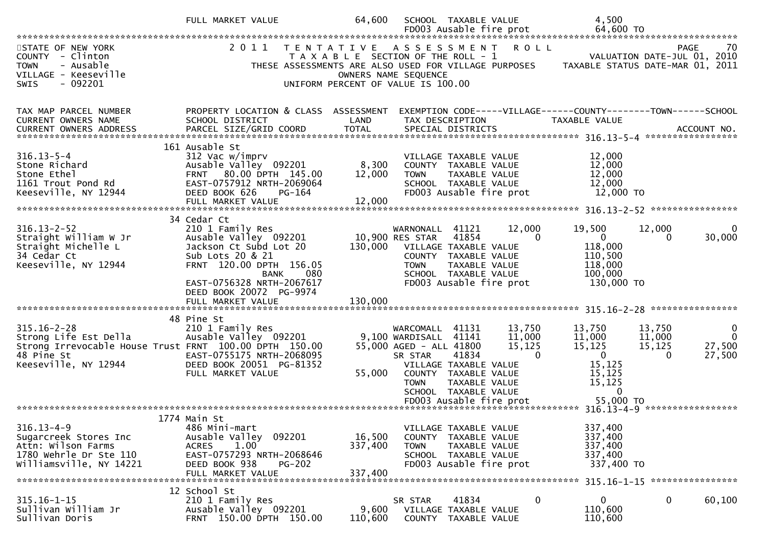|                                                                                                                                            | FULL MARKET VALUE                                                                                                                                                                                               | 64,600                                                                      |                                                                                   | SCHOOL TAXABLE VALUE                                                                                              |                                        | 4,500                                                                              |                                 |                                           |
|--------------------------------------------------------------------------------------------------------------------------------------------|-----------------------------------------------------------------------------------------------------------------------------------------------------------------------------------------------------------------|-----------------------------------------------------------------------------|-----------------------------------------------------------------------------------|-------------------------------------------------------------------------------------------------------------------|----------------------------------------|------------------------------------------------------------------------------------|---------------------------------|-------------------------------------------|
| STATE OF NEW YORK<br>COUNTY - Clinton<br><b>TOWN</b><br>- Ausable<br>VILLAGE - Keeseville<br>SWIS<br>$-092201$                             | 2011<br>T E N T A T I V E<br>THESE ASSESSMENTS ARE ALSO USED FOR VILLAGE PURPOSES                                                                                                                               | T A X A B L E SECTION OF THE ROLL - 1<br>UNIFORM PERCENT OF VALUE IS 100.00 | OWNERS NAME SEQUENCE                                                              | ASSESSMENT                                                                                                        | <b>ROLL</b>                            | TAXABLE STATUS DATE-MAR 01, 2011                                                   |                                 | PAGE<br>70<br>VALUATION DATE-JUL 01, 2010 |
| TAX MAP PARCEL NUMBER<br>CURRENT OWNERS NAME                                                                                               | PROPERTY LOCATION & CLASS ASSESSMENT<br>SCHOOL DISTRICT                                                                                                                                                         | LAND                                                                        |                                                                                   | TAX DESCRIPTION                                                                                                   |                                        | EXEMPTION CODE-----VILLAGE------COUNTY--------TOWN------SCHOOL<br>TAXABLE VALUE    |                                 |                                           |
| $316.13 - 5 - 4$<br>Stone Richard<br>Stone Ethel<br>1161 Trout Pond Rd<br>Keeseville, NY 12944                                             | 161 Ausable St<br>312 Vac w/imprv<br>Ausable Valley 092201<br>FRNT 80.00 DPTH 145.00<br>EAST-0757912 NRTH-2069064<br>DEED BOOK 626<br>PG-164<br>FULL MARKET VALUE                                               | 8,300<br>12,000<br>12,000                                                   | <b>TOWN</b>                                                                       | VILLAGE TAXABLE VALUE<br>COUNTY TAXABLE VALUE<br>TAXABLE VALUE<br>SCHOOL TAXABLE VALUE<br>FD003 Ausable fire prot |                                        | 12,000<br>12,000<br>12,000<br>12,000<br>12,000 TO                                  |                                 |                                           |
| $316.13 - 2 - 52$<br>Straight William W Jr<br>Straight Michelle L<br>34 Cedar Ct<br>Keeseville, NY 12944                                   | 34 Cedar Ct<br>210 1 Family Res<br>Ausable Valley 092201<br>Jackson Ct Subd Lot 20<br>Sub Lots 20 & 21<br>FRNT 120.00 DPTH 156.05<br>080<br><b>BANK</b><br>EAST-0756328 NRTH-2067617<br>DEED BOOK 20072 PG-9974 |                                                                             | WARNONALL<br>10,900 RES STAR<br>130,000 VILLAGE TAXABLE VALUE<br><b>TOWN</b>      | 41121<br>41854<br>COUNTY TAXABLE VALUE<br>TAXABLE VALUE<br>SCHOOL TAXABLE VALUE<br>FD003 Ausable fire prot        | 12,000<br>$\Omega$                     | 19,500<br>$\overline{0}$<br>118,000<br>110,500<br>118,000<br>100,000<br>130,000 TO | 12,000<br>0                     | 30,000                                    |
| $315.16 - 2 - 28$<br>Strong Life Est Della<br>Strong Irrevocable House Trust FRNT 100.00 DPTH 150.00<br>48 Pine St<br>Keeseville, NY 12944 | 48 Pine St<br>210 1 Family Res<br>Ausable Valley 092201<br>EAST-0755175 NRTH-2068095<br>DEED BOOK 20051 PG-81352<br>FULL MARKET VALUE                                                                           | 55,000                                                                      | WARCOMALL<br>9,100 WARDISALL<br>55,000 AGED - ALL 41800<br>SR STAR<br><b>TOWN</b> | 41131<br>41141<br>41834<br>VILLAGE TAXABLE VALUE<br>COUNTY TAXABLE VALUE<br>TAXABLE VALUE<br>SCHOOL TAXABLE VALUE | 13,750<br>11,000<br>15,125<br>$\Omega$ | 13,750<br>11,000<br>15,125<br>$\mathbf 0$<br>15,125<br>15,125<br>15,125<br>0       | 13,750<br>11,000<br>15,125<br>0 | 0<br>$\Omega$<br>27,500<br>27,500         |
| $316.13 - 4 - 9$<br>Sugarcreek Stores Inc<br>Attn: Wilson Farms<br>1780 Wehrle Dr Ste 110<br>Williamsville, NY 14221                       | 1774 Main St<br>486 Mini-mart<br>Ausable Valley 092201<br>1.00<br><b>ACRES</b><br>EAST-0757293 NRTH-2068646<br>DEED BOOK 938<br><b>PG-202</b><br>FULL MARKET VALUE                                              | 16,500<br>337,400<br>337,400                                                | <b>TOWN</b>                                                                       | VILLAGE TAXABLE VALUE<br>COUNTY TAXABLE VALUE<br>TAXABLE VALUE<br>SCHOOL TAXABLE VALUE<br>FD003 Ausable fire prot |                                        | 337,400<br>337,400<br>337,400<br>337,400<br>337,400 TO                             |                                 |                                           |
| $315.16 - 1 - 15$<br>Sullivan William Jr<br>Sullivan Doris                                                                                 | 12 School St<br>210 1 Family Res<br>Ausable Valley 092201<br>FRNT 150.00 DPTH 150.00                                                                                                                            | 9,600<br>110,600                                                            | SR STAR                                                                           | 41834<br>VILLAGE TAXABLE VALUE<br>COUNTY TAXABLE VALUE                                                            | 0                                      | 0<br>110,600<br>110,600                                                            | 0                               | 315.16-1-15 *****************<br>60,100   |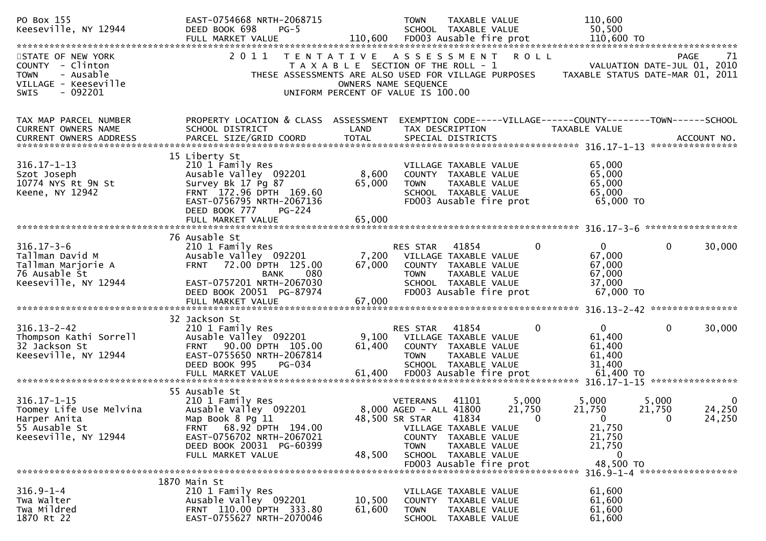| PO Box 155<br>Keeseville, NY 12944<br>STATE OF NEW YORK<br>COUNTY - Clinton<br>- Ausable<br><b>TOWN</b><br>VILLAGE - Keeseville<br>$-092201$<br><b>SWIS</b> | EAST-0754668 NRTH-2068715<br>DEED BOOK 698<br>$PG-5$<br>FULL MARKET VALUE<br>2011<br>T E N T A T I V E                                                                                   | OWNERS NAME SEQUENCE      | 110,600<br><b>TOWN</b><br>TAXABLE VALUE<br>SCHOOL TAXABLE VALUE<br>50,500<br>110,600 FD003 Ausable fire prot<br>110,600 TO<br>ASSESSMENT<br><b>ROLL</b><br><b>PAGE</b><br>T A X A B L E SECTION OF THE ROLL - 1<br>VALUATION DATE-JUL 01, 2010<br>THESE ASSESSMENTS ARE ALSO USED FOR VILLAGE PURPOSES<br>TAXABLE STATUS DATE-MAR 01, 2011<br>UNIFORM PERCENT OF VALUE IS 100.00 | 71                                 |
|-------------------------------------------------------------------------------------------------------------------------------------------------------------|------------------------------------------------------------------------------------------------------------------------------------------------------------------------------------------|---------------------------|----------------------------------------------------------------------------------------------------------------------------------------------------------------------------------------------------------------------------------------------------------------------------------------------------------------------------------------------------------------------------------|------------------------------------|
| TAX MAP PARCEL NUMBER<br>CURRENT OWNERS NAME                                                                                                                | PROPERTY LOCATION & CLASS ASSESSMENT<br>SCHOOL DISTRICT                                                                                                                                  | LAND                      | EXEMPTION CODE-----VILLAGE------COUNTY--------TOWN------SCHOOL<br>TAX DESCRIPTION<br>TAXABLE VALUE                                                                                                                                                                                                                                                                               |                                    |
| $316.17 - 1 - 13$<br>Szot Joseph<br>10774 NYS Rt 9N St<br>Keene, NY 12942                                                                                   | 15 Liberty St<br>210 1 Family Res<br>Ausable Valley 092201<br>Survey Bk 17 Pg 87<br>FRNT 172.96 DPTH 169.60<br>EAST-0756795 NRTH-2067136<br>DEED BOOK 777<br>PG-224<br>FULL MARKET VALUE | 8,600<br>65,000<br>65,000 | 65,000<br>VILLAGE TAXABLE VALUE<br>65,000<br>COUNTY TAXABLE VALUE<br>65,000<br><b>TOWN</b><br>TAXABLE VALUE<br>65,000<br>SCHOOL TAXABLE VALUE<br>FD003 Ausable fire prot<br>65,000 TO                                                                                                                                                                                            |                                    |
| $316.17 - 3 - 6$<br>Tallman David M<br>Tallman Marjorie A<br>76 Ausable St<br>Keeseville, NY 12944                                                          | 76 Ausable St<br>210 1 Family Res<br>Ausable Valley 092201<br>FRNT 72.00 DPTH 125.00<br>080<br><b>BANK</b><br>EAST-0757201 NRTH-2067030<br>DEED BOOK 20051 PG-87974<br>FULL MARKET VALUE | 7,200<br>67,000<br>67,000 | 41854<br>$\mathbf{0}$<br>$\mathbf{0}$<br>$\mathbf{0}$<br>RES STAR<br>67,000<br>VILLAGE TAXABLE VALUE<br>67,000<br>COUNTY TAXABLE VALUE<br>67,000<br><b>TOWN</b><br>TAXABLE VALUE<br>37,000<br>SCHOOL TAXABLE VALUE<br>67,000 TO<br>FD003 Ausable fire prot                                                                                                                       | 30,000                             |
| $316.13 - 2 - 42$<br>Thompson Kathi Sorrell<br>32 Jackson St<br>Keeseville, NY 12944                                                                        | 32 Jackson St<br>210 1 Family Res<br>Ausable Valley 092201<br>FRNT 90.00 DPTH 105.00<br>EAST-0755650 NRTH-2067814<br>DEED BOOK 995<br>PG-034                                             | 9,100<br>61,400           | 0<br>$\mathbf{0}$<br>RES STAR<br>41854<br>$\Omega$<br>61,400<br>VILLAGE TAXABLE VALUE<br>61,400<br>COUNTY TAXABLE VALUE<br>61,400<br><b>TOWN</b><br>TAXABLE VALUE<br>31,400<br>SCHOOL TAXABLE VALUE                                                                                                                                                                              | 30,000                             |
| $316.17 - 1 - 15$<br>Toomey Life Use Melvina<br>Harper Anita<br>55 Ausable St<br>Keeseville, NY 12944                                                       | 55 Ausable St<br>210 1 Family Res<br>Ausable Valley 092201<br>Map Book 8 Pg 11<br>FRNT 68.92 DPTH 194.00<br>EAST-0756702 NRTH-2067021<br>DEED BOOK 20031 PG-60399<br>FULL MARKET VALUE   | 48,500 SR STAR<br>48,500  | 5,000<br>5,000<br>41101<br>5,000<br><b>VETERANS</b><br>8,000 AGED - ALL 41800<br>21,750<br>21,750<br>21,750<br>41834<br>$\Omega$<br>$\mathbf{0}$<br>$\Omega$<br>21,750<br>VILLAGE TAXABLE VALUE<br>21,750<br>COUNTY TAXABLE VALUE<br>21,750<br>TAXABLE VALUE<br><b>TOWN</b><br>SCHOOL TAXABLE VALUE<br>0<br>48,500 TO                                                            | $\overline{0}$<br>24,250<br>24,250 |
| $316.9 - 1 - 4$<br>Twa Walter<br>Twa Mildred<br>1870 Rt 22                                                                                                  | 1870 Main St<br>210 1 Family Res<br>Ausable Valley 092201<br>FRNT 110.00 DPTH 333.80<br>EAST-0755627 NRTH-2070046                                                                        | 10,500<br>61,600          | 316.9-1-4 *******************<br>VILLAGE TAXABLE VALUE<br>61,600<br>61,600<br>COUNTY TAXABLE VALUE<br>61,600<br>TAXABLE VALUE<br>TOWN<br>61,600<br>SCHOOL TAXABLE VALUE                                                                                                                                                                                                          |                                    |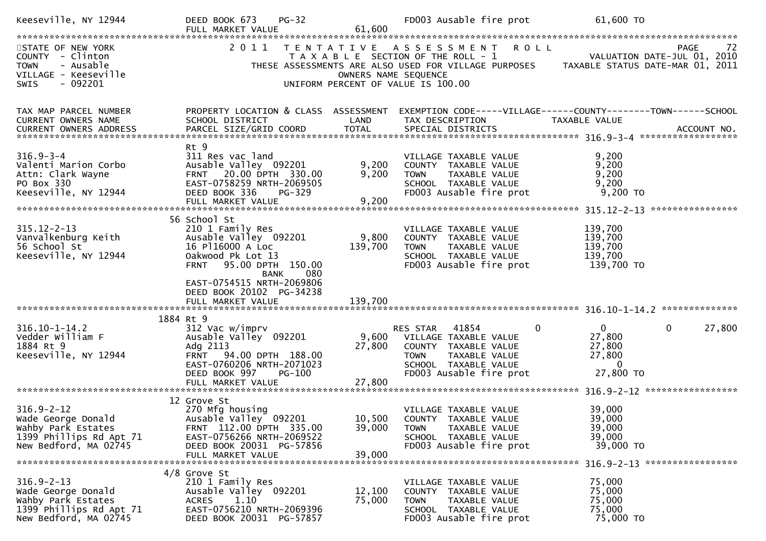| Keeseville, NY 12944                                                                                             | $PG-32$<br>DEED BOOK 673<br>FULL MARKET VALUE                                                                                                                                                               | 61,600                    | FD003 Ausable fire prot                                                                                                                                               | 61,600 TO                                                                          |
|------------------------------------------------------------------------------------------------------------------|-------------------------------------------------------------------------------------------------------------------------------------------------------------------------------------------------------------|---------------------------|-----------------------------------------------------------------------------------------------------------------------------------------------------------------------|------------------------------------------------------------------------------------|
| STATE OF NEW YORK<br>COUNTY - Clinton<br>- Ausable<br><b>TOWN</b><br>VILLAGE - Keeseville<br>SWIS<br>$-092201$   |                                                                                                                                                                                                             | OWNERS NAME SEQUENCE      | 2011 TENTATIVE ASSESSMENT ROLL<br>T A X A B L E SECTION OF THE ROLL - 1<br>THESE ASSESSMENTS ARE ALSO USED FOR VILLAGE PURPOSES<br>UNIFORM PERCENT OF VALUE IS 100.00 | PAGE<br>-72<br>VALUATION DATE-JUL 01, 2010<br>TAXABLE STATUS DATE-MAR 01, 2011     |
| TAX MAP PARCEL NUMBER<br>CURRENT OWNERS NAME                                                                     | PROPERTY LOCATION & CLASS ASSESSMENT<br>SCHOOL DISTRICT                                                                                                                                                     | LAND                      | TAX DESCRIPTION                                                                                                                                                       | EXEMPTION CODE-----VILLAGE------COUNTY--------TOWN------SCHOOL<br>TAXABLE VALUE    |
| $316.9 - 3 - 4$<br>Valenti Marion Corbo<br>Attn: Clark Wayne<br>PO Box 330<br>Keeseville, NY 12944               | Rt 9<br>311 Res vac land<br>Ausable Valley 092201<br>FRNT 20.00 DPTH 330.00<br>EAST-0758259 NRTH-2069505<br>DEED BOOK 336<br>PG-329<br>FULL MARKET VALUE                                                    | 9,200<br>9,200<br>9,200   | VILLAGE TAXABLE VALUE<br>COUNTY TAXABLE VALUE<br>TAXABLE VALUE<br><b>TOWN</b><br>SCHOOL TAXABLE VALUE<br>FD003 Ausable fire prot                                      | 9,200<br>9,200<br>9,200<br>9,200<br>9,200 TO<br>****************                   |
| $315.12 - 2 - 13$<br>Vanvalkenburg Keith<br>56 School St<br>Keeseville, NY 12944                                 | 56 School St<br>210 1 Family Res<br>Ausable Valley 092201<br>16 P116000 A Loc<br>Oakwood Pk Lot 13<br>FRNT 95.00 DPTH 150.00<br>080<br><b>BANK</b><br>EAST-0754515 NRTH-2069806<br>DEED BOOK 20102 PG-34238 | 9,800<br>139,700          | VILLAGE TAXABLE VALUE<br>COUNTY TAXABLE VALUE<br><b>TOWN</b><br>TAXABLE VALUE<br>SCHOOL TAXABLE VALUE<br>FD003 Ausable fire prot                                      | 139,700<br>139,700<br>139,700<br>139,700<br>139,700 TO                             |
|                                                                                                                  | 1884 Rt 9                                                                                                                                                                                                   |                           |                                                                                                                                                                       |                                                                                    |
| $316.10 - 1 - 14.2$<br>Vedder William F<br>1884 Rt 9<br>Keeseville, NY 12944                                     | 312 Vac w/imprv<br>Ausable Valley 092201<br>Adg 2113<br>FRNT 94.00 DPTH 188.00<br>EAST-0760206 NRTH-2071023<br>DEED BOOK 997<br><b>PG-100</b><br>FULL MARKET VALUE                                          | 9,600<br>27,800<br>27,800 | RES STAR<br>41854<br>0<br>VILLAGE TAXABLE VALUE<br>COUNTY TAXABLE VALUE<br><b>TOWN</b><br>TAXABLE VALUE<br>SCHOOL TAXABLE VALUE<br>FD003 Ausable fire prot            | $\mathbf{0}$<br>0<br>27,800<br>27,800<br>27,800<br>27,800<br>$\Omega$<br>27,800 TO |
|                                                                                                                  |                                                                                                                                                                                                             |                           |                                                                                                                                                                       |                                                                                    |
| $316.9 - 2 - 12$<br>Wade George Donald<br>Wahby Park Estates<br>1399 Phillips Rd Apt 71<br>New Bedford, MA 02745 | 12 Grove St<br>270 Mfg housing<br>Ausable Valley 092201<br>FRNT 112.00 DPTH 335.00<br>EAST-0756266 NRTH-2069522<br>DEED BOOK 20031 PG-57856<br>FULL MARKET VALUE                                            | 39,000<br>39,000          | VILLAGE TAXABLE VALUE<br>10,500 COUNTY TAXABLE VALUE<br>TAXABLE VALUE<br><b>TOWN</b><br>SCHOOL TAXABLE VALUE<br>FD003 Ausable fire prot                               | 39,000<br>39,000<br>39,000<br>39,000<br>39,000 TO                                  |
|                                                                                                                  |                                                                                                                                                                                                             |                           |                                                                                                                                                                       |                                                                                    |
| $316.9 - 2 - 13$<br>Wade George Donald<br>Wahby Park Estates<br>1399 Phillips Rd Apt 71<br>New Bedford, MA 02745 | 4/8 Grove St<br>210 1 Family Res<br>Ausable Valley 092201<br>1.10<br>ACRES<br>EAST-0756210 NRTH-2069396<br>DEED BOOK 20031 PG-57857                                                                         | 12,100<br>75,000          | VILLAGE TAXABLE VALUE<br>COUNTY TAXABLE VALUE<br>TAXABLE VALUE<br><b>TOWN</b><br>SCHOOL TAXABLE VALUE<br>FD003 Ausable fire prot                                      | 75,000<br>75,000<br>75,000<br>75,000<br>75,000 TO                                  |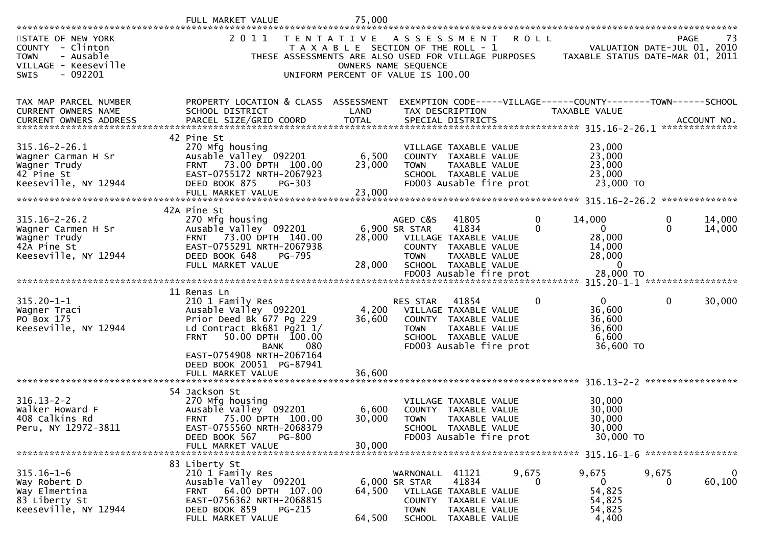|                                                                                                                                                                  | FULL MARKET VALUE                                                                                                                                                         | 75,000                                                                                           |                                                           |                                                                                                                   |             |                                                                                       |                   |                       |
|------------------------------------------------------------------------------------------------------------------------------------------------------------------|---------------------------------------------------------------------------------------------------------------------------------------------------------------------------|--------------------------------------------------------------------------------------------------|-----------------------------------------------------------|-------------------------------------------------------------------------------------------------------------------|-------------|---------------------------------------------------------------------------------------|-------------------|-----------------------|
| STATE OF NEW YORK<br>COUNTY - Clinton<br><b>TOWN</b><br>- Ausable<br>VILLAGE - Keeseville<br>$-092201$<br><b>SWIS</b>                                            | 2 0 1 1<br>THESE ASSESSMENTS ARE ALSO USED FOR VILLAGE PURPOSES                                                                                                           | T E N T A T I V E<br>T A X A B L E SECTION OF THE ROLL - 1<br>UNIFORM PERCENT OF VALUE IS 100.00 | OWNERS NAME SEQUENCE                                      | ASSESSMENT                                                                                                        | <b>ROLL</b> | VALUATION DATE-JUL 01, 2010<br>TAXABLE STATUS DATE-MAR 01, 2011                       | <b>PAGE</b>       | 73                    |
| TAX MAP PARCEL NUMBER<br>CURRENT OWNERS NAME<br>.CURRENT OWNERS ADDRESS PARCEL SIZE/GRID COORD TOTAL SPECIAL DISTRICTS ACCOUNT NO ACCOUNT NO ACCOUNT NO AND ARTY | PROPERTY LOCATION & CLASS ASSESSMENT<br>SCHOOL DISTRICT                                                                                                                   | LAND                                                                                             |                                                           | TAX DESCRIPTION                                                                                                   |             | EXEMPTION CODE-----VILLAGE------COUNTY-------TOWN------SCHOOL<br><b>TAXABLE VALUE</b> |                   |                       |
| 315.16-2-26.1<br>Wagner Carman H Sr<br>Wagner Trudy<br>42 Pine St<br>Keeseville, NY 12944                                                                        | 42 Pine St<br>270 Mfg housing<br>Ausable Valley 092201<br>73.00 DPTH 100.00<br><b>FRNT</b><br>EAST-0755172 NRTH-2067923<br>DEED BOOK 875<br>$PG-303$<br>FULL MARKET VALUE | 6,500<br>23,000<br>23,000                                                                        | <b>TOWN</b>                                               | VILLAGE TAXABLE VALUE<br>COUNTY TAXABLE VALUE<br>TAXABLE VALUE<br>SCHOOL TAXABLE VALUE<br>FD003 Ausable fire prot |             | 23,000<br>23,000<br>23,000<br>23,000<br>23,000 TO                                     |                   |                       |
| $315.16 - 2 - 26.2$<br>Wagner Carmen H Sr                                                                                                                        | 42A Pine St<br>270 Mfg housing<br>Ausable Valley 092201                                                                                                                   |                                                                                                  | AGED C&S<br>6,900 SR STAR                                 | 41805<br>41834                                                                                                    | 0<br>0      | 14,000<br>$\mathbf{0}$                                                                | 0<br>$\mathbf{0}$ | 14,000<br>14,000      |
| Wagner Trudy<br>42A Pine St<br>Keeseville, NY 12944                                                                                                              | FRNT 73.00 DPTH 140.00<br>EAST-0755291 NRTH-2067938<br>DEED BOOK 648<br>PG-795<br>FULL MARKET VALUE                                                                       | 28,000<br>28,000                                                                                 | <b>COUNTY</b><br><b>TOWN</b>                              | VILLAGE TAXABLE VALUE<br>TAXABLE VALUE<br>TAXABLE VALUE<br>SCHOOL TAXABLE VALUE                                   |             | 28,000<br>14,000<br>28,000<br>$\Omega$                                                |                   |                       |
|                                                                                                                                                                  |                                                                                                                                                                           |                                                                                                  |                                                           | FD003 Ausable fire prot                                                                                           |             | 28,000 TO                                                                             |                   |                       |
| $315.20 - 1 - 1$<br>Wagner Traci<br>PO Box 175<br>Keeseville, NY 12944                                                                                           | 11 Renas Ln<br>210 1 Family Res<br>Ausable Valley 092201<br>Prior Deed Bk 677 Pg 229<br>Ld Contract Bk681 Pg21 1/<br>50.00 DPTH 100.00<br><b>FRNT</b>                     | 4,200<br>36,600                                                                                  | RES STAR<br>COUNTY<br><b>TOWN</b>                         | 41854<br>VILLAGE TAXABLE VALUE<br>TAXABLE VALUE<br>TAXABLE VALUE<br>SCHOOL TAXABLE VALUE                          | $\bf{0}$    | $\Omega$<br>36,600<br>36,600<br>36,600<br>6,600                                       | $\mathbf 0$       | 30,000                |
|                                                                                                                                                                  | 080<br><b>BANK</b><br>EAST-0754908 NRTH-2067164<br>DEED BOOK 20051 PG-87941<br>FULL MARKET VALUE                                                                          | 36,600                                                                                           |                                                           | FD003 Ausable fire prot                                                                                           |             | 36,600 TO                                                                             |                   |                       |
|                                                                                                                                                                  | 54 Jackson St                                                                                                                                                             |                                                                                                  |                                                           |                                                                                                                   |             |                                                                                       |                   |                       |
| $316.13 - 2 - 2$<br>Walker Howard F<br>408 Calkins Rd<br>Peru, NY 12972-3811                                                                                     | 270 Mfg housing<br>Ausable Valley 092201<br><b>FRNT</b><br>75.00 DPTH 100.00<br>EAST-0755560 NRTH-2068379<br>DEED BOOK 567<br><b>PG-800</b><br>FULL MARKET VALUE          | 6,600<br>30,000<br>30,000                                                                        | COUNTY<br><b>TOWN</b>                                     | VILLAGE TAXABLE VALUE<br>TAXABLE VALUE<br><b>TAXABLE VALUE</b><br>SCHOOL TAXABLE VALUE<br>FD003 Ausable fire prot |             | 30,000<br>30,000<br>30,000<br>30,000<br>30,000 TO                                     |                   |                       |
|                                                                                                                                                                  | 83 Liberty St                                                                                                                                                             |                                                                                                  |                                                           |                                                                                                                   |             |                                                                                       |                   |                       |
| $315.16 - 1 - 6$<br>Way Robert D<br>Way Elmertina<br>83 Liberty St<br>Keeseville, NY 12944                                                                       | 210 1 Family Res<br>Ausable Valley 092201<br>64.00 DPTH 107.00<br>FRNT<br>EAST-0756362 NRTH-2068815<br>DEED BOOK 859<br><b>PG-215</b><br>FULL MARKET VALUE                | 64,500<br>64,500                                                                                 | WARNONALL 41121<br>6,000 SR STAR<br><b>TOWN</b><br>SCHOOL | 41834<br>VILLAGE TAXABLE VALUE<br>COUNTY TAXABLE VALUE<br>TAXABLE VALUE<br>TAXABLE VALUE                          | 9,675<br>0  | 9,675<br>$\mathbf 0$<br>54,825<br>54,825<br>54,825<br>4,400                           | 9,675<br>0        | $\mathbf 0$<br>60,100 |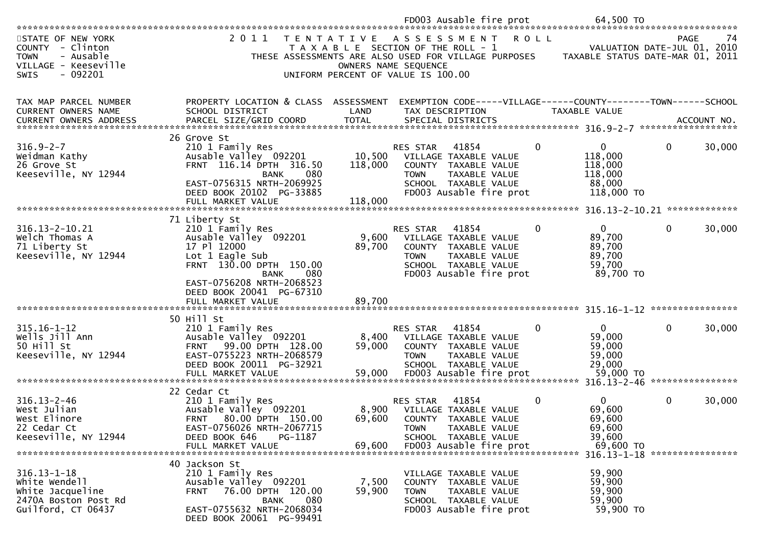|                                                                                                                                                                             |                                                                                                                                                                                         |                              | FD003 Ausable fire prot                                                                                                                                    |             | 64,500 TO                                                             |                  |            |
|-----------------------------------------------------------------------------------------------------------------------------------------------------------------------------|-----------------------------------------------------------------------------------------------------------------------------------------------------------------------------------------|------------------------------|------------------------------------------------------------------------------------------------------------------------------------------------------------|-------------|-----------------------------------------------------------------------|------------------|------------|
| STATE OF NEW YORK<br>COUNTY - Clinton<br>- Ausable<br><b>TOWN</b><br>VILLAGE - Keeseville<br>$-092201$<br>SWIS                                                              | 2 0 1 1<br>T E N T A T I V E                                                                                                                                                            | OWNERS NAME SEQUENCE         | A S S E S S M E N T<br>T A X A B L E SECTION OF THE ROLL - 1<br>THESE ASSESSMENTS ARE ALSO USED FOR VILLAGE PURPOSES<br>UNIFORM PERCENT OF VALUE IS 100.00 | <b>ROLL</b> | VALUATION DATE-JUL 01,<br>TAXABLE STATUS DATE-MAR 01, 2011            | <b>PAGE</b>      | 74<br>2010 |
| TAX MAP PARCEL NUMBER<br>CURRENT OWNERS NAME<br>.4CCOUNT NO . PARCEL SIZE/GRID COORD TOTAL SPECIAL DISTRICTS SPERE SIZE ACCOUNT NO . AND ANNO . AND TOTAL SPECIAL DISTRICTS | PROPERTY LOCATION & CLASS ASSESSMENT<br>SCHOOL DISTRICT                                                                                                                                 | LAND                         | EXEMPTION CODE-----VILLAGE------COUNTY--------TOWN------SCHOOL<br>TAX DESCRIPTION                                                                          |             | TAXABLE VALUE                                                         |                  |            |
| $316.9 - 2 - 7$<br>Weidman Kathy<br>26 Grove St<br>Keeseville, NY 12944                                                                                                     | 26 Grove St<br>210 1 Family Res<br>Ausable Valley 092201<br>FRNT 116.14 DPTH 316.50<br>080<br><b>BANK</b><br>EAST-0756315 NRTH-2069925<br>DEED BOOK 20102 PG-33885<br>FULL MARKET VALUE | 10,500<br>118,000<br>118,000 | 41854<br>RES STAR<br>VILLAGE TAXABLE VALUE<br>COUNTY TAXABLE VALUE<br><b>TOWN</b><br>TAXABLE VALUE<br>SCHOOL TAXABLE VALUE<br>FD003 Ausable fire prot      | $\mathbf 0$ | $\mathbf{0}$<br>118,000<br>118,000<br>118,000<br>88,000<br>118,000 TO | 0                | 30,000     |
| 316.13-2-10.21<br>Welch Thomas A<br>71 Liberty St<br>Keeseville, NY 12944                                                                                                   | 71 Liberty St<br>210 1 Family Res<br>Ausable Valley 092201<br>17 Pl 12000                                                                                                               | 9,600<br>89,700              | 41854<br><b>RES STAR</b><br>VILLAGE TAXABLE VALUE<br>COUNTY TAXABLE VALUE                                                                                  | $\mathbf 0$ | 316.13-2-10.21 **************<br>$\mathbf{0}$<br>89,700<br>89,700     | 0                | 30,000     |
|                                                                                                                                                                             | Lot 1 Eagle Sub<br>FRNT 130.00 DPTH 150.00<br>080<br><b>BANK</b><br>EAST-0756208 NRTH-2068523<br>DEED BOOK 20041 PG-67310<br>FULL MARKET VALUE                                          | 89,700                       | <b>TOWN</b><br>TAXABLE VALUE<br>SCHOOL TAXABLE VALUE<br>FD003 Ausable fire prot                                                                            |             | 89,700<br>59,700<br>89,700 TO                                         |                  |            |
|                                                                                                                                                                             |                                                                                                                                                                                         |                              |                                                                                                                                                            |             |                                                                       |                  |            |
| $315.16 - 1 - 12$<br>Wells Jill Ann<br>50 Hill St<br>Keeseville, NY 12944                                                                                                   | 50 Hill St<br>210 1 Family Res<br>Ausable Valley 092201<br>FRNT 99.00 DPTH 128.00<br>EAST-0755223 NRTH-2068579<br>DEED BOOK 20011 PG-32921                                              | 8,400<br>59,000              | RES STAR<br>41854<br>VILLAGE TAXABLE VALUE<br>COUNTY TAXABLE VALUE<br>TAXABLE VALUE<br><b>TOWN</b><br>SCHOOL TAXABLE VALUE                                 | $\Omega$    | 0<br>59,000<br>59,000<br>59,000<br>29,000                             | $\mathbf{0}$     | 30,000     |
|                                                                                                                                                                             | FULL MARKET VALUE                                                                                                                                                                       | 59,000                       | FD003 Ausable fire prot                                                                                                                                    |             | 59,000 TO<br>$316.13 - 2 - 46$                                        | **************** |            |
| $316.13 - 2 - 46$<br>West Julian<br>West Elinore<br>22 Cedar Ct<br>Keeseville, NY 12944                                                                                     | 22 Cedar Ct<br>210 1 Family Res<br>Ausable Valley 092201<br>80.00 DPTH 150.00<br><b>FRNT</b><br>EAST-0756026 NRTH-2067715<br>DEED BOOK 646<br>PG-1187<br>FULL MARKET VALUE              | 8,900<br>69,600<br>69,600    | RES STAR<br>41854<br>VILLAGE TAXABLE VALUE<br>COUNTY TAXABLE VALUE<br>TAXABLE VALUE<br><b>TOWN</b><br>SCHOOL TAXABLE VALUE<br>FD003 Ausable fire prot      | $\Omega$    | $\mathbf{0}$<br>69,600<br>69,600<br>69,600<br>39,600<br>69,600 TO     | 0                | 30,000     |
|                                                                                                                                                                             | 40 Jackson St                                                                                                                                                                           |                              |                                                                                                                                                            |             | 316.13-1-18 *****************                                         |                  |            |
| $316.13 - 1 - 18$<br>White Wendell<br>White Jacqueline<br>2470A Boston Post Rd<br>Guilford, CT 06437                                                                        | 210 1 Family Res<br>Ausable Valley 092201<br>76.00 DPTH 120.00<br><b>FRNT</b><br>080<br><b>BANK</b><br>EAST-0755632 NRTH-2068034<br>DEED BOOK 20061 PG-99491                            | 7,500<br>59,900              | VILLAGE TAXABLE VALUE<br><b>COUNTY</b><br>TAXABLE VALUE<br><b>TOWN</b><br>TAXABLE VALUE<br>SCHOOL TAXABLE VALUE<br>FD003 Ausable fire prot                 |             | 59,900<br>59,900<br>59,900<br>59,900<br>59,900 TO                     |                  |            |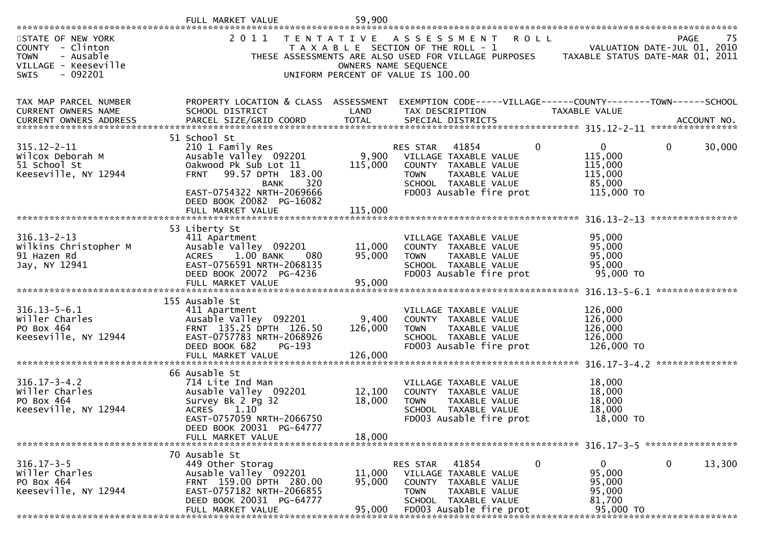|                                                                                                                       | FULL MARKET VALUE                                                                                                                                                                                     | 59,900                     |                                                                                                                            |                                                                                                                            |                                                                                        |                                            |
|-----------------------------------------------------------------------------------------------------------------------|-------------------------------------------------------------------------------------------------------------------------------------------------------------------------------------------------------|----------------------------|----------------------------------------------------------------------------------------------------------------------------|----------------------------------------------------------------------------------------------------------------------------|----------------------------------------------------------------------------------------|--------------------------------------------|
| STATE OF NEW YORK<br>COUNTY - Clinton<br><b>TOWN</b><br>- Ausable<br>VILLAGE - Keeseville<br>$-092201$<br><b>SWIS</b> | 2011<br>T E N T A T I V E                                                                                                                                                                             |                            | A S S E S S M E N T<br>T A X A B L E SECTION OF THE ROLL - 1<br>OWNERS NAME SEQUENCE<br>UNIFORM PERCENT OF VALUE IS 100.00 | R O L L                                                                                                                    | THESE ASSESSMENTS ARE ALSO USED FOR VILLAGE PURPOSES TAXABLE STATUS DATE-MAR 01, 2011  | PAGE<br>-75<br>VALUATION DATE-JUL 01, 2010 |
| TAX MAP PARCEL NUMBER<br>CURRENT OWNERS NAME<br><b>CURRENT OWNERS ADDRESS</b>                                         | PROPERTY LOCATION & CLASS ASSESSMENT<br>SCHOOL DISTRICT<br>.4CCOUNT NO . PARCEL SIZE/GRID COORD TOTAL SPECIAL DISTRICTS SPERE SIZE ACCOUNT NO . AND ANNO . AND TOTAL SPECIAL DISTRICTS                | LAND                       | TAX DESCRIPTION                                                                                                            |                                                                                                                            | EXEMPTION CODE-----VILLAGE------COUNTY--------TOWN------SCHOOL<br><b>TAXABLE VALUE</b> |                                            |
| $315.12 - 2 - 11$<br>Wilcox Deborah M<br>51 School St<br>Keeseville, NY 12944                                         | 51 School St<br>210 1 Family Res<br>Ausable Valley 092201<br>Oakwood Pk Sub Lot 11<br>99.57 DPTH 183.00<br><b>FRNT</b><br>320<br><b>BANK</b><br>EAST-0754322 NRTH-2069666<br>DEED BOOK 20082 PG-16082 | 9,900<br>115,000           | RES STAR<br><b>TOWN</b>                                                                                                    | 41854<br>VILLAGE TAXABLE VALUE<br>COUNTY TAXABLE VALUE<br>TAXABLE VALUE<br>SCHOOL TAXABLE VALUE<br>FD003 Ausable fire prot | $\mathbf{0}$<br>0<br>115,000<br>115,000<br>115,000<br>85,000<br>115,000 TO             | 0<br>30,000                                |
|                                                                                                                       | FULL MARKET VALUE                                                                                                                                                                                     | 115,000                    |                                                                                                                            |                                                                                                                            |                                                                                        |                                            |
| $316.13 - 2 - 13$<br>Wilkins Christopher M<br>91 Hazen Rd<br>Jay, NY 12941                                            | 53 Liberty St<br>411 Apartment<br>Ausable Valley 092201<br>1.00 BANK<br>080<br><b>ACRES</b><br>EAST-0756591 NRTH-2068135<br>DEED BOOK 20072 PG-4236<br>FULL MARKET VALUE                              | 11,000<br>95,000<br>95,000 | <b>TOWN</b>                                                                                                                | VILLAGE TAXABLE VALUE<br>COUNTY TAXABLE VALUE<br>TAXABLE VALUE<br>SCHOOL TAXABLE VALUE<br>FD003 Ausable fire prot          | 95,000<br>95,000<br>95,000<br>95,000<br>95,000 TO                                      | **************                             |
| $316.13 - 5 - 6.1$<br>willer Charles<br>PO Box 464<br>Keeseville, NY 12944                                            | 155 Ausable St<br>411 Apartment<br>Ausable Valley 092201<br>FRNT 135.25 DPTH 126.50<br>EAST-0757783 NRTH-2068926<br>DEED BOOK 682<br>PG-193                                                           | 9,400<br>126,000           | <b>TOWN</b>                                                                                                                | VILLAGE TAXABLE VALUE<br>COUNTY TAXABLE VALUE<br>TAXABLE VALUE<br>SCHOOL TAXABLE VALUE<br>FD003 Ausable fire prot          | 126,000<br>126,000<br>126,000<br>126,000<br>126,000 TO                                 |                                            |
| $316.17 - 3 - 4.2$<br>Willer Charles<br>PO Box 464<br>Keeseville, NY 12944                                            | 66 Ausable St<br>714 Lite Ind Man<br>Ausable Valley 092201<br>Survey Bk 2 Pg 32<br><b>ACRES</b><br>1.10<br>EAST-0757059 NRTH-2066750<br>DEED BOOK 20031 PG-64777<br>FULL MARKET VALUE                 | 12,100<br>18,000<br>18,000 | <b>TOWN</b>                                                                                                                | VILLAGE TAXABLE VALUE<br>COUNTY TAXABLE VALUE<br>TAXABLE VALUE<br>SCHOOL TAXABLE VALUE<br>FD003 Ausable fire prot          | 18,000<br>18,000<br>18,000<br>18,000<br>18,000 TO                                      |                                            |
|                                                                                                                       | 70 Ausable St                                                                                                                                                                                         |                            |                                                                                                                            |                                                                                                                            |                                                                                        |                                            |
| $316.17 - 3 - 5$<br>willer Charles<br>PO Box 464<br>Keeseville, NY 12944                                              | 449 Other Storag<br>Ausable Valley 092201<br>FRNT 159.00 DPTH 280.00<br>EAST-0757182 NRTH-2066855<br>DEED BOOK 20031 PG-64777<br>FULL MARKET VALUE                                                    | 11,000<br>95,000<br>95,000 | RES STAR<br><b>COUNTY</b><br><b>TOWN</b>                                                                                   | 41854<br>VILLAGE TAXABLE VALUE<br>TAXABLE VALUE<br>TAXABLE VALUE<br>SCHOOL TAXABLE VALUE<br>FD003 Ausable fire prot        | 0<br>$\mathbf{0}$<br>95,000<br>95,000<br>95,000<br>81,700<br>95,000 TO                 | 0<br>13,300                                |
|                                                                                                                       |                                                                                                                                                                                                       |                            |                                                                                                                            |                                                                                                                            |                                                                                        |                                            |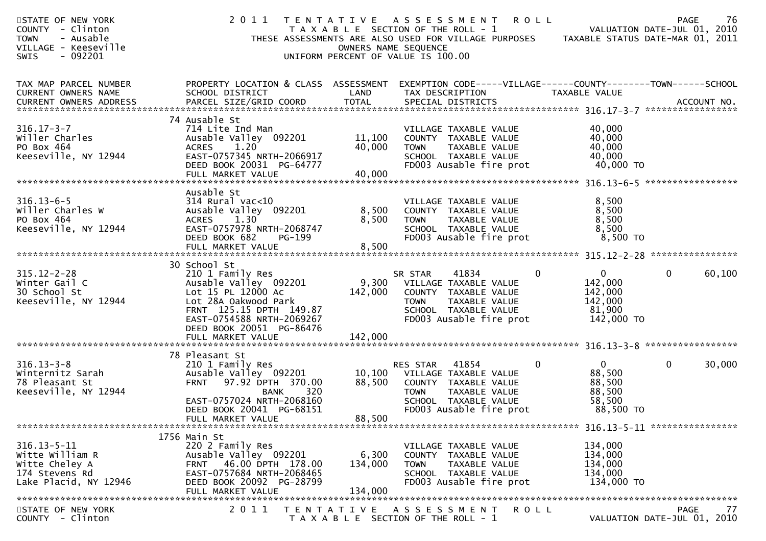| TAX MAP PARCEL NUMBER<br>PROPERTY LOCATION & CLASS ASSESSMENT<br>EXEMPTION CODE-----VILLAGE------COUNTY--------TOWN------SCHOOL<br>CURRENT OWNERS NAME<br>SCHOOL DISTRICT<br>LAND<br>TAX DESCRIPTION<br>TAXABLE VALUE<br>CURRENT OWNERS ADDRESS<br>74 Ausable St<br>$316.17 - 3 - 7$<br>40,000<br>714 Lite Ind Man<br>VILLAGE TAXABLE VALUE<br>Willer Charles<br>11,100<br>40,000<br>Ausable Valley 092201<br>COUNTY TAXABLE VALUE<br>40,000<br>PO Box 464<br>1.20<br><b>ACRES</b><br>40,000<br>TAXABLE VALUE<br><b>TOWN</b><br>Keeseville, NY 12944<br>EAST-0757345 NRTH-2066917<br>40,000<br>SCHOOL TAXABLE VALUE<br>DEED BOOK 20031 PG-64777<br>FD003 Ausable fire prot<br>40,000 TO<br>40,000<br>FULL MARKET VALUE<br>Ausable St<br>$316.13 - 6 - 5$<br>8,500<br>$314$ Rural vac< $10$<br>VILLAGE TAXABLE VALUE<br>8,500<br>Willer Charles W<br>Ausable Valley 092201<br>8,500<br>COUNTY TAXABLE VALUE<br>1.30<br>8,500<br>PO Box 464<br><b>ACRES</b><br>8,500<br>TAXABLE VALUE<br><b>TOWN</b><br>EAST-0757978 NRTH-2068747<br>Keeseville, NY 12944<br>8,500<br>SCHOOL TAXABLE VALUE<br>DEED BOOK 682<br>FD003 Ausable fire prot<br>8,500 TO<br>PG-199<br>8,500<br>FULL MARKET VALUE<br>30 School St<br>$315.12 - 2 - 28$<br>$\Omega$<br>$\mathbf 0$<br>210 1 Family Res<br>41834<br>0<br>SR STAR<br>9,300<br>142,000<br>Winter Gail C<br>Ausable Valley 092201<br>VILLAGE TAXABLE VALUE<br>30 School St<br>Lot 15 PL 12000 Ac<br>142,000<br>142,000<br>COUNTY TAXABLE VALUE<br>Keeseville, NY 12944<br>Lot 28A Oakwood Park<br>142,000<br>TAXABLE VALUE<br><b>TOWN</b><br>FRNT 125.15 DPTH 149.87<br>SCHOOL TAXABLE VALUE<br>81,900<br>EAST-0754588 NRTH-2069267<br>FD003 Ausable fire prot<br>142,000 TO<br>DEED BOOK 20051 PG-86476<br>78 Pleasant St<br>$316.13 - 3 - 8$<br>41854<br>$\mathbf 0$<br>$\mathbf{0}$<br>$\mathbf{0}$<br>210 1 Family Res<br>RES STAR<br>88,500<br>Winternitz Sarah<br>Ausable Valley 092201<br>10,100<br>VILLAGE TAXABLE VALUE<br>78 Pleasant St<br>97.92 DPTH 370.00<br>88,500<br><b>FRNT</b><br>88,500<br>COUNTY TAXABLE VALUE<br>Keeseville, NY 12944<br>88,500<br><b>BANK</b><br>320<br><b>TOWN</b><br>TAXABLE VALUE<br>EAST-0757024 NRTH-2068160<br>SCHOOL TAXABLE VALUE<br>58,500<br>FD003 Ausable fire prot<br>88,500 TO<br>DEED BOOK 20041 PG-68151<br>88,500<br>FULL MARKET VALUE<br>1756 Main St<br>$316.13 - 5 - 11$<br>134,000<br>220 2 Family Res<br>VILLAGE TAXABLE VALUE<br>Witte William R<br>Ausable Valley 092201<br>6,300<br>134,000<br>COUNTY TAXABLE VALUE<br>FRNT 46.00 DPTH 178.00<br>Witte Cheley A<br>134,000<br>134,000<br><b>TOWN</b><br>TAXABLE VALUE<br>EAST-0757684 NRTH-2068465<br>174 Stevens Rd<br>SCHOOL TAXABLE VALUE<br>134,000<br>DEED BOOK 20092 PG-28799<br>FD003 Ausable fire prot<br>Lake Placid, NY 12946<br>134,000 TO<br>134,000<br>FULL MARKET VALUE | STATE OF NEW YORK<br>COUNTY - Clinton<br><b>TOWN</b><br>- Ausable<br>VILLAGE - Keeseville<br>$-092201$<br><b>SWIS</b> | 2011 | T E N T A T I V E<br>UNIFORM PERCENT OF VALUE IS 100.00 | A S S E S S M E N T<br>T A X A B L E SECTION OF THE ROLL - 1<br>THESE ASSESSMENTS ARE ALSO USED FOR VILLAGE PURPOSES<br>OWNERS NAME SEQUENCE | <b>ROLL</b> | 76<br><b>PAGE</b><br>VALUATION DATE-JUL 01, 2010<br>TAXABLE STATUS DATE-MAR 01, 2011 |
|---------------------------------------------------------------------------------------------------------------------------------------------------------------------------------------------------------------------------------------------------------------------------------------------------------------------------------------------------------------------------------------------------------------------------------------------------------------------------------------------------------------------------------------------------------------------------------------------------------------------------------------------------------------------------------------------------------------------------------------------------------------------------------------------------------------------------------------------------------------------------------------------------------------------------------------------------------------------------------------------------------------------------------------------------------------------------------------------------------------------------------------------------------------------------------------------------------------------------------------------------------------------------------------------------------------------------------------------------------------------------------------------------------------------------------------------------------------------------------------------------------------------------------------------------------------------------------------------------------------------------------------------------------------------------------------------------------------------------------------------------------------------------------------------------------------------------------------------------------------------------------------------------------------------------------------------------------------------------------------------------------------------------------------------------------------------------------------------------------------------------------------------------------------------------------------------------------------------------------------------------------------------------------------------------------------------------------------------------------------------------------------------------------------------------------------------------------------------------------------------------------------------------------------------------------------------------------------------------------------------------------------------------------------------------------------------------------------------------------------------------------------------------------------------------------------------------------------|-----------------------------------------------------------------------------------------------------------------------|------|---------------------------------------------------------|----------------------------------------------------------------------------------------------------------------------------------------------|-------------|--------------------------------------------------------------------------------------|
|                                                                                                                                                                                                                                                                                                                                                                                                                                                                                                                                                                                                                                                                                                                                                                                                                                                                                                                                                                                                                                                                                                                                                                                                                                                                                                                                                                                                                                                                                                                                                                                                                                                                                                                                                                                                                                                                                                                                                                                                                                                                                                                                                                                                                                                                                                                                                                                                                                                                                                                                                                                                                                                                                                                                                                                                                                       |                                                                                                                       |      |                                                         |                                                                                                                                              |             |                                                                                      |
|                                                                                                                                                                                                                                                                                                                                                                                                                                                                                                                                                                                                                                                                                                                                                                                                                                                                                                                                                                                                                                                                                                                                                                                                                                                                                                                                                                                                                                                                                                                                                                                                                                                                                                                                                                                                                                                                                                                                                                                                                                                                                                                                                                                                                                                                                                                                                                                                                                                                                                                                                                                                                                                                                                                                                                                                                                       |                                                                                                                       |      |                                                         |                                                                                                                                              |             |                                                                                      |
|                                                                                                                                                                                                                                                                                                                                                                                                                                                                                                                                                                                                                                                                                                                                                                                                                                                                                                                                                                                                                                                                                                                                                                                                                                                                                                                                                                                                                                                                                                                                                                                                                                                                                                                                                                                                                                                                                                                                                                                                                                                                                                                                                                                                                                                                                                                                                                                                                                                                                                                                                                                                                                                                                                                                                                                                                                       |                                                                                                                       |      |                                                         |                                                                                                                                              |             |                                                                                      |
|                                                                                                                                                                                                                                                                                                                                                                                                                                                                                                                                                                                                                                                                                                                                                                                                                                                                                                                                                                                                                                                                                                                                                                                                                                                                                                                                                                                                                                                                                                                                                                                                                                                                                                                                                                                                                                                                                                                                                                                                                                                                                                                                                                                                                                                                                                                                                                                                                                                                                                                                                                                                                                                                                                                                                                                                                                       |                                                                                                                       |      |                                                         |                                                                                                                                              |             | 60,100                                                                               |
|                                                                                                                                                                                                                                                                                                                                                                                                                                                                                                                                                                                                                                                                                                                                                                                                                                                                                                                                                                                                                                                                                                                                                                                                                                                                                                                                                                                                                                                                                                                                                                                                                                                                                                                                                                                                                                                                                                                                                                                                                                                                                                                                                                                                                                                                                                                                                                                                                                                                                                                                                                                                                                                                                                                                                                                                                                       |                                                                                                                       |      |                                                         |                                                                                                                                              |             | 30,000                                                                               |
| 2 0 1 1<br>STATE OF NEW YORK<br><b>PAGE</b><br>TENTATIVE ASSESSMENT<br>R O L L<br>COUNTY - Clinton<br>T A X A B L E SECTION OF THE ROLL - 1<br>VALUATION DATE-JUL 01, 2010                                                                                                                                                                                                                                                                                                                                                                                                                                                                                                                                                                                                                                                                                                                                                                                                                                                                                                                                                                                                                                                                                                                                                                                                                                                                                                                                                                                                                                                                                                                                                                                                                                                                                                                                                                                                                                                                                                                                                                                                                                                                                                                                                                                                                                                                                                                                                                                                                                                                                                                                                                                                                                                            |                                                                                                                       |      |                                                         |                                                                                                                                              |             | 77                                                                                   |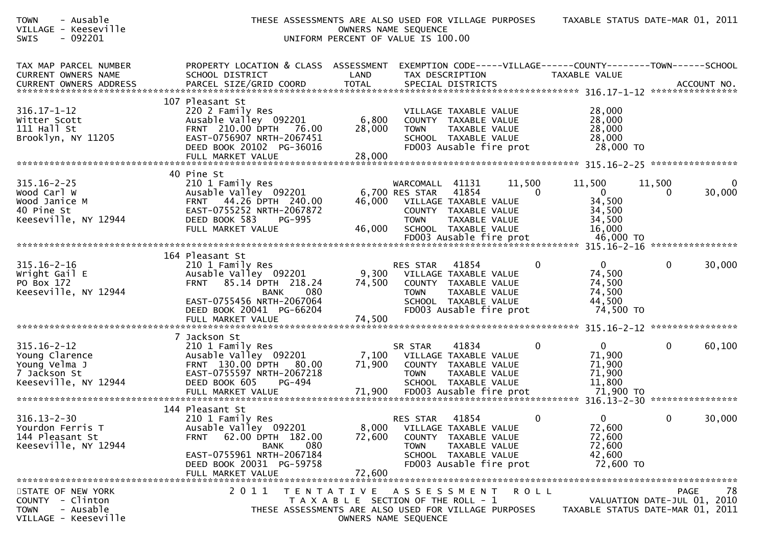| - Ausable<br><b>TOWN</b><br>VILLAGE - Keeseville<br>$-092201$<br>SWIS                        | THESE ASSESSMENTS ARE ALSO USED FOR VILLAGE PURPOSES                                                                                                                                                 | UNIFORM PERCENT OF VALUE IS 100.00              | OWNERS NAME SEQUENCE                        |                                                                                                                                     |                    | TAXABLE STATUS DATE-MAR 01, 2011                                                |                |                                           |
|----------------------------------------------------------------------------------------------|------------------------------------------------------------------------------------------------------------------------------------------------------------------------------------------------------|-------------------------------------------------|---------------------------------------------|-------------------------------------------------------------------------------------------------------------------------------------|--------------------|---------------------------------------------------------------------------------|----------------|-------------------------------------------|
| TAX MAP PARCEL NUMBER<br>CURRENT OWNERS NAME                                                 | PROPERTY LOCATION & CLASS ASSESSMENT<br>SCHOOL DISTRICT                                                                                                                                              | LAND                                            | TAX DESCRIPTION                             |                                                                                                                                     |                    | EXEMPTION CODE-----VILLAGE------COUNTY--------TOWN------SCHOOL<br>TAXABLE VALUE |                |                                           |
| $316.17 - 1 - 12$<br>Witter Scott<br>$111$ Hall St<br>Brooklyn, NY 11205                     | 107 Pleasant St<br>220 2 Family Res<br>Ausable Valley 092201<br>FRNT 210.00 DPTH 76.00<br>EAST-0756907 NRTH-2067451<br>DEED BOOK 20102 PG-36016<br>FULL MARKET VALUE                                 | 6,800<br>28,000<br>28,000                       | <b>TOWN</b>                                 | VILLAGE TAXABLE VALUE<br>COUNTY TAXABLE VALUE<br>TAXABLE VALUE<br>SCHOOL TAXABLE VALUE<br>FD003 Ausable fire prot                   |                    | 28,000<br>28,000<br>28,000<br>28,000<br>28,000 TO                               |                |                                           |
| $315.16 - 2 - 25$<br>Wood Carl W<br>Wood Janice M<br>40 Pine St<br>Keeseville, NY 12944      | 40 Pine St<br>210 1 Family Res<br>Ausable Valley 092201<br>FRNT 44.26 DPTH 240.00<br>EAST-0755252 NRTH-2067872<br>DEED BOOK 583<br>PG-995<br>FULL MARKET VALUE                                       | 46,000<br>46,000                                | WARCOMALL<br>6,700 RES STAR<br><b>TOWN</b>  | 41131<br>41854<br>VILLAGE TAXABLE VALUE<br>COUNTY TAXABLE VALUE<br>TAXABLE VALUE<br>SCHOOL TAXABLE VALUE<br>FD003 Ausable fire prot | 11,500<br>$\Omega$ | 11,500<br>$\mathbf{0}$<br>34,500<br>34,500<br>34,500<br>16,000<br>46,000 TO     | 11,500<br>0    | 0<br>30,000                               |
| $315.16 - 2 - 16$<br>Wright Gail E<br>PO Box 172<br>Keeseville, NY 12944                     | 164 Pleasant St<br>210 1 Family Res<br>Ausable Valley 092201<br>85.14 DPTH 218.24<br><b>FRNT</b><br><b>BANK</b><br>080<br>EAST-0755456 NRTH-2067064<br>DEED BOOK 20041 PG-66204<br>FULL MARKET VALUE | 9,300<br>74,500<br>74,500                       | RES STAR<br><b>TOWN</b>                     | 41854<br>VILLAGE TAXABLE VALUE<br>COUNTY TAXABLE VALUE<br>TAXABLE VALUE<br>SCHOOL TAXABLE VALUE<br>FD003 Ausable fire prot          | 0                  | $\mathbf{0}$<br>74,500<br>74,500<br>74,500<br>44,500<br>74,500 TO               | $\mathbf{0}$   | 30,000                                    |
| $315.16 - 2 - 12$<br>Young Clarence<br>Young Velma J<br>7 Jackson St<br>Keeseville, NY 12944 | 7 Jackson St<br>210 1 Family Res<br>Ausable Valley 092201<br>FRNT 130.00 DPTH 80.00<br>EAST-0755597 NRTH-2067218<br>DEED BOOK 605<br>PG-494<br>FULL MARKET VALUE                                     | 7,100<br>71,900<br>71,900                       | SR STAR<br><b>TOWN</b>                      | 41834<br>VILLAGE TAXABLE VALUE<br>COUNTY TAXABLE VALUE<br>TAXABLE VALUE<br>SCHOOL TAXABLE VALUE<br>FD003 Ausable fire prot          | $\Omega$           | $\Omega$<br>71,900<br>71,900<br>71,900<br>11,800<br>71,900 TO                   | 0              | 60,100<br>****************                |
| $316.13 - 2 - 30$<br>Yourdon Ferris T<br>144 Pleasant St<br>Keeseville, NY 12944             | 144 Pleasant St<br>210 1 Family Res<br>Ausable Valley 092201<br><b>FRNT</b><br>62.00 DPTH 182.00<br>080<br>BANK<br>EAST-0755961 NRTH-2067184<br>DEED BOOK 20031 PG-59758                             | 8,000<br>72,600                                 | RES STAR 41854<br><b>TOWN</b>               | VILLAGE TAXABLE VALUE<br>COUNTY TAXABLE VALUE<br>TAXABLE VALUE<br>SCHOOL TAXABLE VALUE<br>FD003 Ausable fire prot                   | $\overline{0}$     | $\overline{0}$<br>72,600<br>72,600<br>72,600<br>42,600<br>72,600 TO             | $\overline{0}$ | 30,000                                    |
| STATE OF NEW YORK<br>COUNTY - Clinton<br><b>TOWN</b><br>- Ausable<br>VILLAGE - Keeseville    | FULL MARKET VALUE<br>2011<br>T E N T A T I V E<br>THESE ASSESSMENTS ARE ALSO USED FOR VILLAGE PURPOSES                                                                                               | 72,600<br>T A X A B L E SECTION OF THE ROLL - 1 | A S S E S S M E N T<br>OWNERS NAME SEQUENCE |                                                                                                                                     | ROLL               | TAXABLE STATUS DATE-MAR 01, 2011                                                |                | 78<br>PAGE<br>VALUATION DATE-JUL 01, 2010 |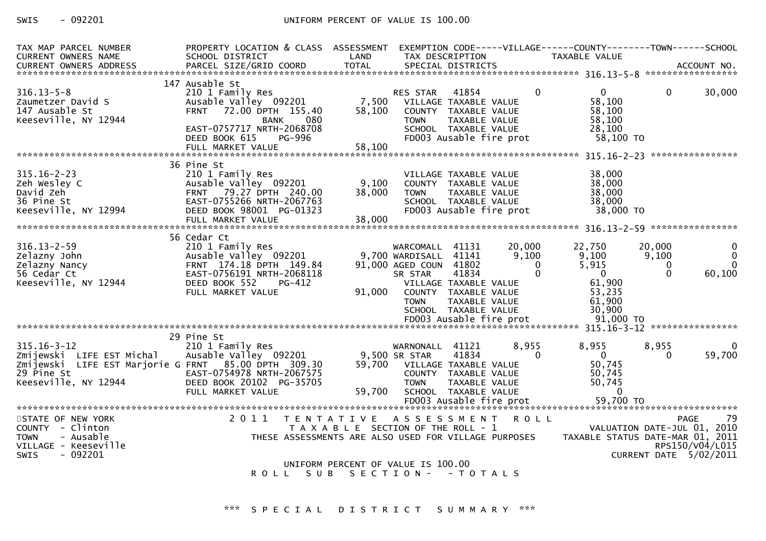## SWIS - 092201 CONTROLLER UNIFORM PERCENT OF VALUE IS 100.00

| TAX MAP PARCEL NUMBER<br><b>CURRENT OWNERS NAME</b>                                                                                          | PROPERTY LOCATION & CLASS ASSESSMENT<br>SCHOOL DISTRICT                                                                                                                              | LAND                                                          | TAX DESCRIPTION                                                                                                                                                 |                                 |                                         | EXEMPTION CODE-----VILLAGE------COUNTY--------TOWN------SCHOOL<br>TAXABLE VALUE |                                         |                                                                                               |
|----------------------------------------------------------------------------------------------------------------------------------------------|--------------------------------------------------------------------------------------------------------------------------------------------------------------------------------------|---------------------------------------------------------------|-----------------------------------------------------------------------------------------------------------------------------------------------------------------|---------------------------------|-----------------------------------------|---------------------------------------------------------------------------------|-----------------------------------------|-----------------------------------------------------------------------------------------------|
|                                                                                                                                              |                                                                                                                                                                                      |                                                               |                                                                                                                                                                 |                                 |                                         |                                                                                 |                                         |                                                                                               |
| $316.13 - 5 - 8$<br>Zaumetzer David S<br>147 Ausable St<br>Keeseville, NY 12944                                                              | 147 Ausable St<br>210 1 Family Res<br>Ausable Valley 092201<br>72.00 DPTH 155.40<br><b>FRNT</b><br>080<br><b>BANK</b><br>EAST-0757717 NRTH-2068708<br>DEED BOOK 615<br><b>PG-996</b> | 7,500<br>58,100                                               | <b>RES STAR</b><br>VILLAGE TAXABLE VALUE<br>COUNTY TAXABLE VALUE<br><b>TOWN</b><br>SCHOOL TAXABLE VALUE<br>FD003 Ausable fire prot                              | 41854<br>TAXABLE VALUE          | $\Omega$                                | $\overline{0}$<br>58,100<br>58,100<br>58,100<br>28,100<br>58,100 TO             | $\Omega$                                | 30,000                                                                                        |
|                                                                                                                                              |                                                                                                                                                                                      |                                                               |                                                                                                                                                                 |                                 |                                         |                                                                                 |                                         |                                                                                               |
| $315.16 - 2 - 23$<br>Zeh Wesley C<br>David Zeh<br>36 Pine St<br>Keeseville, NY 12994                                                         | 36 Pine St<br>210 1 Family Res<br>Ausable Valley 092201<br>FRNT 79.27 DPTH 240.00<br>EAST-0755266 NRTH-2067763<br>DEED BOOK 98001 PG-01323<br>FULL MARKET VALUE                      | 9,100<br>38,000<br>38,000                                     | VILLAGE TAXABLE VALUE<br>COUNTY TAXABLE VALUE<br><b>TOWN</b><br>SCHOOL TAXABLE VALUE<br>FD003 Ausable fire prot                                                 | TAXABLE VALUE                   |                                         | 38,000<br>38,000<br>38,000<br>38,000<br>38,000 TO                               |                                         |                                                                                               |
|                                                                                                                                              | 56 Cedar Ct                                                                                                                                                                          |                                                               |                                                                                                                                                                 |                                 |                                         |                                                                                 |                                         |                                                                                               |
| $316.13 - 2 - 59$<br>Zelazny John<br>Zelazny Nancy<br>56 Cedar Ct<br>Keeseville, NY 12944                                                    | 210 1 Family Res<br>Ausable Valley 092201<br>FRNT 174.18 DPTH 149.84<br>EAST-0756191 NRTH-2068118<br>DEED BOOK 552<br>PG-412<br>FULL MARKET VALUE                                    | 91,000                                                        | WARCOMALL<br>9,700 WARDISALL 41141<br>91,000 AGED COUN 41802<br>SR STAR<br>VILLAGE TAXABLE VALUE<br>COUNTY TAXABLE VALUE<br><b>TOWN</b><br>SCHOOL TAXABLE VALUE | 41131<br>41834<br>TAXABLE VALUE | 20,000<br>9,100<br>$\Omega$<br>$\Omega$ | 22,750<br>9,100<br>5,915<br>$\Omega$<br>61,900<br>53,235<br>61,900<br>30,900    | 20,000<br>9,100<br>$\Omega$<br>$\Omega$ | $\mathbf{0}$<br>$\Omega$<br>60,100                                                            |
|                                                                                                                                              |                                                                                                                                                                                      |                                                               |                                                                                                                                                                 |                                 |                                         |                                                                                 |                                         |                                                                                               |
|                                                                                                                                              | 29 Pine St                                                                                                                                                                           |                                                               |                                                                                                                                                                 |                                 |                                         |                                                                                 |                                         |                                                                                               |
| $315.16 - 3 - 12$<br>Zmijewski LIFE EST Michal<br>Zmijewski LIFE EST Marjorie G FRNT 85.00 DPTH 309.30<br>29 Pine St<br>Keeseville, NY 12944 | 210 1 Family Res<br>Ausable Valley 092201<br>EAST-0754978 NRTH-2067575<br>DEED BOOK 20102 PG-35705<br>FULL MARKET VALUE                                                              | 59,700<br>59,700                                              | WARNONALL 41121<br>9,500 SR STAR<br>VILLAGE TAXABLE VALUE<br>COUNTY TAXABLE VALUE<br><b>TOWN</b><br>SCHOOL TAXABLE VALUE                                        | 41834<br>TAXABLE VALUE          | 8,955<br>$\Omega$                       | 8,955<br>$\Omega$<br>50,745<br>50,745<br>50,745<br>$\overline{0}$               | 8,955<br>0                              | 0<br>59,700                                                                                   |
|                                                                                                                                              |                                                                                                                                                                                      |                                                               |                                                                                                                                                                 |                                 |                                         |                                                                                 |                                         |                                                                                               |
| STATE OF NEW YORK<br>COUNTY - Clinton<br>- Ausable<br><b>TOWN</b><br>VILLAGE - Keeseville<br>$-092201$<br><b>SWIS</b>                        | 2011<br>THESE ASSESSMENTS ARE ALSO USED FOR VILLAGE PURPOSES                                                                                                                         | TENTATIVE ASSESSMENT<br>T A X A B L E SECTION OF THE ROLL - 1 |                                                                                                                                                                 |                                 | <b>ROLL</b>                             | TAXABLE STATUS DATE-MAR 01, 2011                                                |                                         | 79<br><b>PAGE</b><br>VALUATION DATE-JUL 01, 2010<br>RPS150/V04/L015<br>CURRENT DATE 5/02/2011 |
|                                                                                                                                              | ROLL SUB SECTION- - TOTALS                                                                                                                                                           | UNIFORM PERCENT OF VALUE IS 100.00                            |                                                                                                                                                                 |                                 |                                         |                                                                                 |                                         |                                                                                               |
|                                                                                                                                              |                                                                                                                                                                                      |                                                               |                                                                                                                                                                 |                                 |                                         |                                                                                 |                                         |                                                                                               |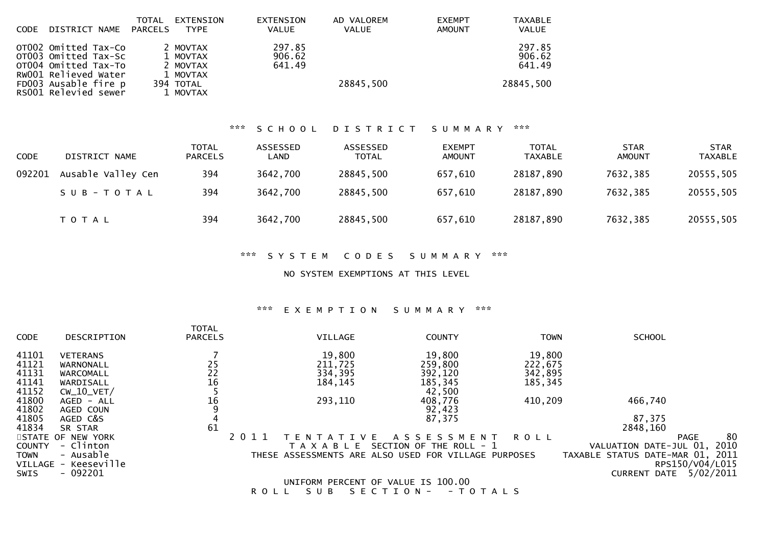| <b>CODE</b> | DISTRICT NAME                                                                                | TOTAL<br>PARCELS | EXTENSION<br><b>TYPE</b>                     | <b>EXTENSION</b><br><b>VALUE</b> | AD VALOREM<br><b>VALUE</b> | <b>EXEMPT</b><br>AMOUNT | <b>TAXABLE</b><br><b>VALUE</b> |
|-------------|----------------------------------------------------------------------------------------------|------------------|----------------------------------------------|----------------------------------|----------------------------|-------------------------|--------------------------------|
|             | OT002 Omitted Tax-Co<br>OT003 Omitted Tax-Sc<br>OT004 Omitted Tax-To<br>RW001 Relieved Water |                  | 2 MOVTAX<br>1 MOVTAX<br>2 MOVTAX<br>1 MOVTAX | 297.85<br>906.62<br>641.49       |                            |                         | 297.85<br>906.62<br>641.49     |
|             | FD003 Ausable fire p<br>RS001 Relevied sewer                                                 |                  | 394 TOTAL<br>1 MOVTAX                        |                                  | 28845,500                  |                         | 28845,500                      |

## \*\*\* S C H O O L D I S T R I C T S U M M A R Y \*\*\*

| <b>CODE</b> | DISTRICT NAME      | <b>TOTAL</b><br><b>PARCELS</b> | ASSESSED<br>LAND | ASSESSED<br><b>TOTAL</b> | <b>EXEMPT</b><br><b>AMOUNT</b> | <b>TOTAL</b><br><b>TAXABLE</b> | <b>STAR</b><br><b>AMOUNT</b> | <b>STAR</b><br><b>TAXABLE</b> |
|-------------|--------------------|--------------------------------|------------------|--------------------------|--------------------------------|--------------------------------|------------------------------|-------------------------------|
| 092201      | Ausable Valley Cen | 394                            | 3642,700         | 28845,500                | 657,610                        | 28187,890                      | 7632,385                     | 20555,505                     |
|             | SUB-TOTAL          | 394                            | 3642,700         | 28845,500                | 657,610                        | 28187,890                      | 7632,385                     | 20555,505                     |
|             | T O T A L          | 394                            | 3642,700         | 28845,500                | 657,610                        | 28187,890                      | 7632,385                     | 20555,505                     |

### \*\*\* S Y S T E M C O D E S S U M M A R Y \*\*\*

NO SYSTEM EXEMPTIONS AT THIS LEVEL

## \*\*\* E X E M P T I O N S U M M A R Y \*\*\*

|               |                      | <b>TOTAL</b>   |               |                                                      |             |                                  |                 |      |
|---------------|----------------------|----------------|---------------|------------------------------------------------------|-------------|----------------------------------|-----------------|------|
| <b>CODE</b>   | DESCRIPTION          | <b>PARCELS</b> | VILLAGE       | <b>COUNTY</b>                                        | <b>TOWN</b> | <b>SCHOOL</b>                    |                 |      |
| 41101         | <b>VETERANS</b>      |                | 19,800        | 19,800                                               | 19,800      |                                  |                 |      |
| 41121         | WARNONALL            | 25             | 211,725       | 259,800                                              | 222,675     |                                  |                 |      |
| 41131         | WARCOMALL            | 22             | 334,395       | 392,120                                              | 342,895     |                                  |                 |      |
| 41141         | WARDISALL            | 16             | 184, 145      | 185,345                                              | 185,345     |                                  |                 |      |
| 41152         | $CW_10_VET/$         |                |               | 42,500                                               |             |                                  |                 |      |
| 41800         | AGED - ALL           | 16             | 293,110       | 408,776                                              | 410,209     | 466,740                          |                 |      |
| 41802         | AGED COUN            |                |               | 92,423                                               |             |                                  |                 |      |
| 41805         | AGED C&S             |                |               | 87,375                                               |             | 87,375                           |                 |      |
| 41834         | SR STAR              | 61             |               |                                                      |             | 2848,160                         |                 |      |
|               | STATE OF NEW YORK    |                | EN            | A S S E S S M E N T<br>V F                           | R O L L     |                                  | <b>PAGE</b>     | 80   |
| <b>COUNTY</b> | - Clinton            |                | T A X A B L E | SECTION OF THE ROLL - 1                              |             | VALUATION DATE-JUL 01,           |                 | 2010 |
| <b>TOWN</b>   | - Ausable            |                |               | THESE ASSESSMENTS ARE ALSO USED FOR VILLAGE PURPOSES |             | TAXABLE STATUS DATE-MAR 01, 2011 |                 |      |
|               | VILLAGE - Keeseville |                |               |                                                      |             |                                  | RPS150/V04/L015 |      |
| SWIS          | $-092201$            |                |               |                                                      |             | <b>CURRENT DATE</b>              | 5/02/2011       |      |
|               |                      |                |               | UNIFORM PERCENT OF VALUE IS 100.00                   |             |                                  |                 |      |

R O L L S U B S E C T I O N - - T O T A L S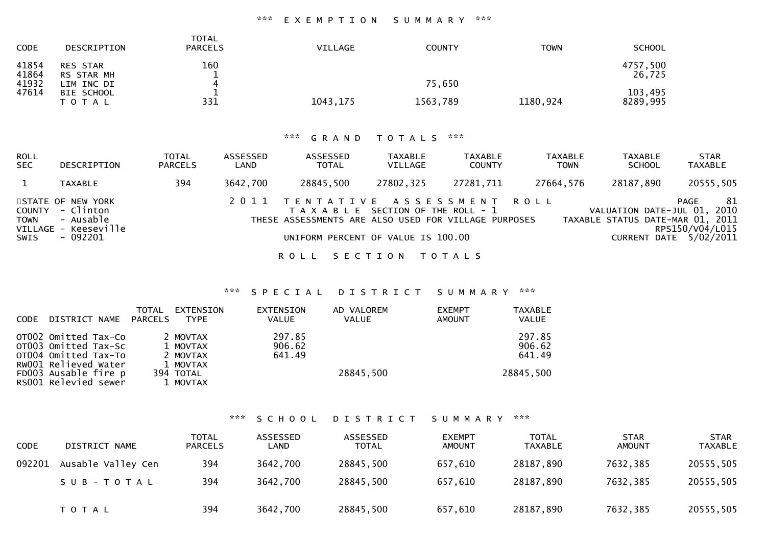## \*\*\* E X E M P T I O N S U M M A R Y \*\*\*

| <b>CODE</b>             | DESCRIPTION                                 | <b>TOTAL</b><br><b>PARCELS</b> | <b>VILLAGE</b> | <b>COUNTY</b> | <b>TOWN</b> | <b>SCHOOL</b>       |
|-------------------------|---------------------------------------------|--------------------------------|----------------|---------------|-------------|---------------------|
| 41854<br>41864<br>41932 | <b>RES STAR</b><br>RS STAR MH<br>LIM INC DI | 160                            |                | 75,650        |             | 4757,500<br>26,725  |
| 47614                   | BIE SCHOOL<br>T O T A L                     | 331                            | 1043, 175      | 1563,789      | 1180,924    | 103,495<br>8289,995 |

## \*\*\* G R A N D T O T A L S \*\*\*

| ROLL<br><b>SEC</b>            | <b>DESCRIPTION</b>                                                              | <b>TOTAL</b><br><b>PARCELS</b> | ASSESSED<br>LAND | ASSESSED<br><b>TOTAL</b>                                                                                                                                              | <b>TAXABLE</b><br>VILLAGE | <b>TAXABLE</b><br><b>COUNTY</b> | <b>TAXABLE</b><br><b>TOWN</b> | TAXABLE<br><b>SCHOOL</b>                                        | <b>STAR</b><br><b>TAXABLE</b>                           |
|-------------------------------|---------------------------------------------------------------------------------|--------------------------------|------------------|-----------------------------------------------------------------------------------------------------------------------------------------------------------------------|---------------------------|---------------------------------|-------------------------------|-----------------------------------------------------------------|---------------------------------------------------------|
|                               | <b>TAXABLE</b>                                                                  | 394                            | 3642,700         | 28845,500                                                                                                                                                             | 27802,325                 | 27281,711                       | 27664,576                     | 28187,890                                                       | 20555,505                                               |
| COUNTY<br><b>TOWN</b><br>SWIS | STATE OF NEW YORK<br>- Clinton<br>- Ausable<br>VILLAGE - Keeseville<br>- 092201 |                                |                  | 2011 TENTATIVE ASSESSMENT ROLL<br>T A X A B L E SECTION OF THE ROLL - 1<br>THESE ASSESSMENTS ARE ALSO USED FOR VILLAGE PURPOSES<br>UNIFORM PERCENT OF VALUE IS 100.00 |                           |                                 |                               | VALUATION DATE-JUL 01, 2010<br>TAXABLE STATUS DATE-MAR 01, 2011 | 81<br>PAGE<br>RPS150/V04/L015<br>CURRENT DATE 5/02/2011 |
|                               |                                                                                 |                                |                  | R O L L                                                                                                                                                               | SECTION TOTALS            |                                 |                               |                                                                 |                                                         |

## \*\*\* S P E C I A L D I S T R I C T S U M M A R Y \*\*\*

| <b>CODE</b> | DISTRICT NAME                                                                                | TOTAL<br>PARCELS | EXTENSION<br><b>TYPE</b>                     | EXTENSION<br><b>VALUE</b>  | AD VALOREM<br><b>VALUE</b> | <b>EXEMPT</b><br>AMOUNT | <b>TAXABLE</b><br><b>VALUE</b> |
|-------------|----------------------------------------------------------------------------------------------|------------------|----------------------------------------------|----------------------------|----------------------------|-------------------------|--------------------------------|
|             | OTO02 Omitted Tax-Co<br>OT003 Omitted Tax-Sc<br>OT004 Omitted Tax-To<br>RW001 Relieved Water |                  | 2 MOVTAX<br>1 MOVTAX<br>2 MOVTAX<br>1 MOVTAX | 297.85<br>906.62<br>641.49 |                            |                         | 297.85<br>906.62<br>641.49     |
|             | FD003 Ausable fire p<br>RS001 Relevied sewer                                                 |                  | 394 TOTAL<br>1 MOVTAX                        |                            | 28845,500                  |                         | 28845,500                      |

## \*\*\* S C H O O L D I S T R I C T S U M M A R Y \*\*\*

| <b>CODE</b> | DISTRICT NAME      | <b>TOTAL</b><br><b>PARCELS</b> | ASSESSED<br>LAND | ASSESSED<br><b>TOTAL</b> | <b>EXEMPT</b><br>AMOUNT | <b>TOTAL</b><br>TAXABLE | <b>STAR</b><br>AMOUNT | <b>STAR</b><br><b>TAXABLE</b> |
|-------------|--------------------|--------------------------------|------------------|--------------------------|-------------------------|-------------------------|-----------------------|-------------------------------|
| 092201      | Ausable Valley Cen | 394                            | 3642,700         | 28845,500                | 657,610                 | 28187,890               | 7632,385              | 20555,505                     |
|             | SUB-TOTAL          | 394                            | 3642,700         | 28845,500                | 657,610                 | 28187,890               | 7632,385              | 20555,505                     |
|             | <b>TOTAL</b>       | 394                            | 3642,700         | 28845,500                | 657,610                 | 28187,890               | 7632,385              | 20555,505                     |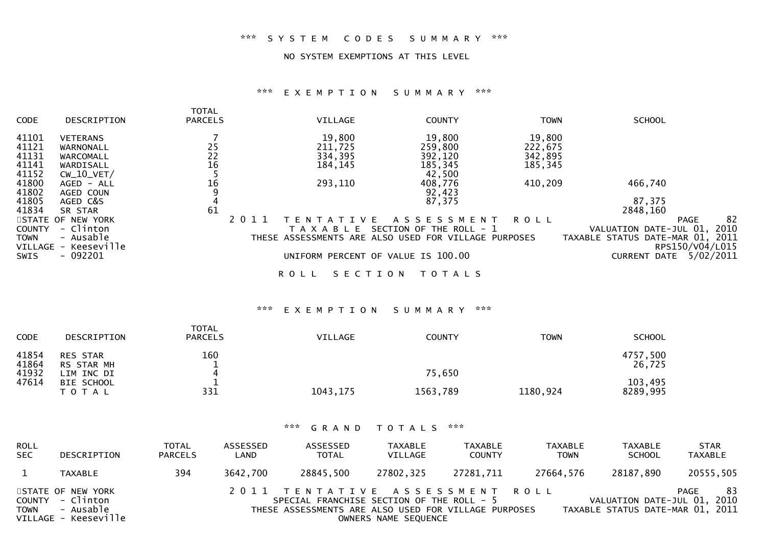## \*\*\* S Y S T E M C O D E S S U M M A R Y \*\*\*

#### NO SYSTEM EXEMPTIONS AT THIS LEVEL

#### \*\*\* E X E M P T I O N S U M M A R Y \*\*\*

|               |                      | <b>TOTAL</b>                            |         |                        |                                                      |             |                                  |                   |
|---------------|----------------------|-----------------------------------------|---------|------------------------|------------------------------------------------------|-------------|----------------------------------|-------------------|
| <b>CODE</b>   | DESCRIPTION          | <b>PARCELS</b>                          |         | <b>VILLAGE</b>         | <b>COUNTY</b>                                        | <b>TOWN</b> | <b>SCHOOL</b>                    |                   |
| 41101         | <b>VETERANS</b>      |                                         |         | 19,800                 | 19,800                                               | 19,800      |                                  |                   |
| 41121         | WARNONALL            |                                         |         | 211,725                | 259,800                                              | 222,675     |                                  |                   |
| 41131         | WARCOMALL            | $\begin{array}{c} 25 \\ 22 \end{array}$ |         | 334,395                | 392,120                                              | 342,895     |                                  |                   |
| 41141         | WARDISALL            | 16                                      |         | 184, 145               | 185,345                                              | 185,345     |                                  |                   |
| 41152         | $CW_10_VET/$         |                                         |         |                        | 42,500                                               |             |                                  |                   |
| 41800         | AGED - ALL           | 16                                      |         | 293,110                | 408,776                                              | 410,209     | 466,740                          |                   |
| 41802         | AGED COUN            |                                         |         |                        | 92,423                                               |             |                                  |                   |
| 41805         | AGED C&S             | 4                                       |         |                        | 87,375                                               |             | 87,375                           |                   |
| 41834         | SR STAR              | 61                                      |         |                        |                                                      |             | 2848,160                         |                   |
|               | STATE OF NEW YORK    |                                         | 2 0 1 1 | V F<br>TFN<br>ד ∆      | A S S E S S M E N T                                  | ROLL        |                                  | 82<br><b>PAGE</b> |
| <b>COUNTY</b> | - Clinton            |                                         |         | TAXABLE                | SECTION OF THE ROLL - 1                              |             | VALUATION DATE-JUL 01,           | 2010              |
| <b>TOWN</b>   | - Ausable            |                                         |         |                        | THESE ASSESSMENTS ARE ALSO USED FOR VILLAGE PURPOSES |             | TAXABLE STATUS DATE-MAR 01, 2011 |                   |
|               | VILLAGE - Keeseville |                                         |         |                        |                                                      |             |                                  | RPS150/V04/L015   |
| <b>SWIS</b>   | $-092201$            |                                         |         |                        | UNIFORM PERCENT OF VALUE IS 100.00                   |             | CURRENT DATE                     | 5/02/2011         |
|               |                      |                                         |         | SECTION<br><b>ROLL</b> | T O T A L S                                          |             |                                  |                   |

## \*\*\* E X E M P T I O N S U M M A R Y \*\*\*

| <b>CODE</b>             | DESCRIPTION                                 | TOTAL<br><b>PARCELS</b> | <b>VILLAGE</b> | <b>COUNTY</b> | <b>TOWN</b> | <b>SCHOOL</b>       |
|-------------------------|---------------------------------------------|-------------------------|----------------|---------------|-------------|---------------------|
| 41854<br>41864<br>41932 | <b>RES STAR</b><br>RS STAR MH<br>LIM INC DI | 160<br>4                |                | 75,650        |             | 4757,500<br>26,725  |
| 47614                   | BIE SCHOOL<br>T O T A L                     | 331                     | 1043, 175      | 1563,789      | 1180,924    | 103,495<br>8289,995 |

| <b>ROLL</b><br><b>SEC</b> | DESCRIPTION                                                                | <b>TOTAL</b><br><b>PARCELS</b> | ASSESSED<br>LAND | ASSESSED<br><b>TOTAL</b>                                                                                                            | TAXABLE<br>VILLAGE   | <b>TAXABLE</b><br><b>COUNTY</b> | TAXABLE<br><b>TOWN</b> | <b>TAXABLE</b><br><b>SCHOOL</b>                                 | <b>STAR</b><br>TAXABLE |
|---------------------------|----------------------------------------------------------------------------|--------------------------------|------------------|-------------------------------------------------------------------------------------------------------------------------------------|----------------------|---------------------------------|------------------------|-----------------------------------------------------------------|------------------------|
|                           | <b>TAXABLE</b>                                                             | 394                            | 3642,700         | 28845,500                                                                                                                           | 27802.325            | 27281.711                       | 27664,576              | 28187,890                                                       | 20555,505              |
| <b>TOWN</b>               | STATE OF NEW YORK<br>COUNTY - Clinton<br>- Ausable<br>VILLAGE - Keeseville |                                |                  | 2011 TENTATIVE ASSESSMENT ROLL<br>SPECIAL FRANCHISE SECTION OF THE ROLL - 5<br>THESE ASSESSMENTS ARE ALSO USED FOR VILLAGE PURPOSES | OWNERS NAME SEQUENCE |                                 |                        | VALUATION DATE-JUL 01, 2010<br>TAXABLE STATUS DATE-MAR 01, 2011 | -83<br>PAGE            |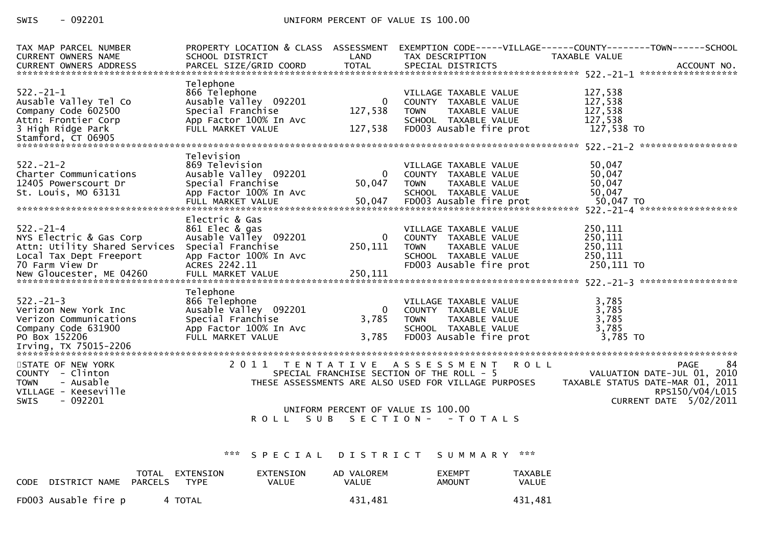## SWIS - 092201 UNIFORM PERCENT OF VALUE IS 100.00

| TAX MAP PARCEL NUMBER<br>CURRENT OWNERS NAME                                                                                     | PROPERTY LOCATION & CLASS ASSESSMENT<br>SCHOOL DISTRICT                                                                   | LAND                         | TAX DESCRIPTION                                                                                                                               | EXEMPTION CODE-----VILLAGE------COUNTY--------TOWN------SCHOOL<br>TAXABLE VALUE                                            |
|----------------------------------------------------------------------------------------------------------------------------------|---------------------------------------------------------------------------------------------------------------------------|------------------------------|-----------------------------------------------------------------------------------------------------------------------------------------------|----------------------------------------------------------------------------------------------------------------------------|
| $522. -21 - 1$<br>Ausable Valley Tel Co<br>Company Code 602500<br>Attn: Frontier Corp<br>3 High Ridge Park<br>Stamford, CT 06905 | Telephone<br>866 Telephone<br>Ausable Valley 092201<br>Special Franchise<br>App Factor 100% In Avc<br>FULL MARKET VALUE   | 0<br>127,538<br>127,538      | VILLAGE TAXABLE VALUE<br>COUNTY TAXABLE VALUE<br><b>TOWN</b><br>TAXABLE VALUE<br>SCHOOL TAXABLE VALUE<br>FD003 Ausable fire prot              | 127,538<br>127,538<br>127,538<br>127,538<br>127,538 TO                                                                     |
| $522 - 21 - 2$<br>Charter Communications<br>12405 Powerscourt Dr<br>St. Louis, MO 63131                                          | Television<br>869 Television<br>Ausable Valley 092201<br>Special Franchise<br>App Factor 100% In Avc<br>FULL MARKET VALUE | $\Omega$<br>50,047<br>50,047 | VILLAGE TAXABLE VALUE<br>COUNTY TAXABLE VALUE<br>TAXABLE VALUE<br><b>TOWN</b><br>SCHOOL TAXABLE VALUE<br>FD003 Ausable fire prot              | 50,047<br>50,047<br>50,047<br>50,047<br>50,047 TO                                                                          |
| $522. - 21 - 4$<br>NYS Electric & Gas Corp<br>Attn: Utility Shared Services<br>Local Tax Dept Freeport<br>70 Farm View Dr        | Electric & Gas<br>861 Elec & gas<br>Ausable Valley 092201<br>Special Franchise<br>App Factor 100% In Avc<br>ACRES 2242.11 | 0<br>250,111                 | VILLAGE TAXABLE VALUE<br>COUNTY TAXABLE VALUE<br><b>TOWN</b><br>TAXABLE VALUE<br>SCHOOL TAXABLE VALUE<br>FD003 Ausable fire prot              | 250,111<br>250,111<br>250,111<br>250,111<br>250,111 TO                                                                     |
| $522. -21 - 3$<br>Verizon New York Inc<br>Verizon Communications<br>Company Code 631900<br>PO Box 152206                         | Telephone<br>866 Telephone<br>Ausable Valley 092201<br>Special Franchise<br>App Factor 100% In Avc<br>FULL MARKET VALUE   | $\Omega$<br>3,785<br>3,785   | VILLAGE TAXABLE VALUE<br>COUNTY TAXABLE VALUE<br><b>TOWN</b><br>TAXABLE VALUE<br>SCHOOL TAXABLE VALUE<br>FD003 Ausable fire prot              | 3,785<br>3,785<br>3,785<br>3,785<br>3,785 TO                                                                               |
| STATE OF NEW YORK<br>COUNTY - Clinton<br>- Ausable<br><b>TOWN</b><br>VILLAGE - Keeseville<br>$-092201$<br><b>SWIS</b>            |                                                                                                                           |                              | 2011 TENTATIVE ASSESSMENT<br><b>ROLL</b><br>SPECIAL FRANCHISE SECTION OF THE ROLL - 5<br>THESE ASSESSMENTS ARE ALSO USED FOR VILLAGE PURPOSES | 84<br>PAGE<br>VALUATION DATE-JUL 01, 2010<br>TAXABLE STATUS DATE-MAR 01, 2011<br>RPS150/V04/L015<br>CURRENT DATE 5/02/2011 |
|                                                                                                                                  | ROLL<br>SUB                                                                                                               |                              | UNIFORM PERCENT OF VALUE IS 100.00<br>SECTION - - TOTALS                                                                                      |                                                                                                                            |

## \*\*\* S P E C I A L D I S T R I C T S U M M A R Y \*\*\*

| CODE DISTRICT NAME PARCELS | TOTAL EXTENSION<br><b>TYPE</b> | EXTENSION<br>VALUE | AD VALOREM<br>VALUE | <b>EXEMPT</b><br>AMOUNT | TAXABLE<br>VALUE |
|----------------------------|--------------------------------|--------------------|---------------------|-------------------------|------------------|
| FD003 Ausable fire p       | 4 TOTAL                        |                    | 431.481             |                         | 431.481          |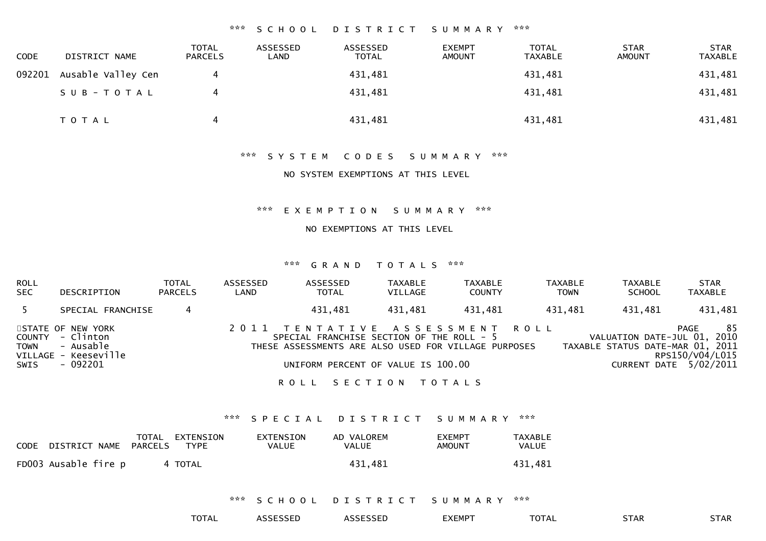#### \*\*\* S C H O O L D I S T R I C T S U M M A R Y \*\*\*

| <b>CODE</b> | DISTRICT NAME      | <b>TOTAL</b><br><b>PARCELS</b> | ASSESSED<br>∟AND | ASSESSED<br>TOTAL | <b>EXEMPT</b><br><b>AMOUNT</b> | <b>TOTAL</b><br><b>TAXABLE</b> | <b>STAR</b><br>AMOUNT | <b>STAR</b><br><b>TAXABLE</b> |
|-------------|--------------------|--------------------------------|------------------|-------------------|--------------------------------|--------------------------------|-----------------------|-------------------------------|
| 092201      | Ausable Valley Cen |                                |                  | 431,481           |                                | 431,481                        |                       | 431,481                       |
|             | SUB-TOTAL          |                                |                  | 431,481           |                                | 431,481                        |                       | 431,481                       |
|             | T O T A L          |                                |                  | 431,481           |                                | 431,481                        |                       | 431,481                       |

#### \*\*\* S Y S T E M C O D E S S U M M A R Y \*\*\*

#### NO SYSTEM EXEMPTIONS AT THIS LEVEL

#### \*\*\* E X E M P T I O N S U M M A R Y \*\*\*

#### NO EXEMPTIONS AT THIS LEVEL

#### \*\*\* G R A N D T O T A L S \*\*\*

| <b>ROLL</b><br><b>SEC</b> | DESCRIPTION                                                                            | <b>TOTAL</b><br><b>PARCELS</b> | ASSESSED<br>LAND | ASSESSED<br><b>TOTAL</b>                                                                                                                                                  | TAXABLE<br>VILLAGE | <b>TAXABLE</b><br><b>COUNTY</b> | <b>TAXABLE</b><br><b>TOWN</b> | TAXABLE<br><b>SCHOOL</b>                                        | <b>STAR</b><br><b>TAXABLE</b>                           |
|---------------------------|----------------------------------------------------------------------------------------|--------------------------------|------------------|---------------------------------------------------------------------------------------------------------------------------------------------------------------------------|--------------------|---------------------------------|-------------------------------|-----------------------------------------------------------------|---------------------------------------------------------|
|                           | SPECIAL FRANCHISE                                                                      |                                |                  | 431,481                                                                                                                                                                   | 431,481            | 431,481                         | 431,481                       | 431,481                                                         | 431,481                                                 |
| <b>TOWN</b><br>SWIS       | STATE OF NEW YORK<br>COUNTY - Clinton<br>- Ausable<br>VILLAGE - Keeseville<br>- 092201 |                                |                  | 2011 TENTATIVE ASSESSMENT ROLL<br>SPECIAL FRANCHISE SECTION OF THE ROLL - 5<br>THESE ASSESSMENTS ARE ALSO USED FOR VILLAGE PURPOSES<br>UNIFORM PERCENT OF VALUE IS 100.00 |                    |                                 |                               | VALUATION DATE-JUL 01, 2010<br>TAXABLE STATUS DATE-MAR 01, 2011 | 85<br>PAGE<br>RPS150/V04/L015<br>CURRENT DATE 5/02/2011 |

ROLL SECTION TOTALS

#### \*\*\* S P E C I A L D I S T R I C T S U M M A R Y \*\*\*

| CODE | DISTRICT NAME        | TOTAL<br>PARCELS | EXTENSION<br>TYPE | EXTENSION<br>VALUE | AD VALOREM<br>VALUE | <b>EXEMPT</b><br>AMOUNT | TAXABLE<br><b>VALUE</b> |
|------|----------------------|------------------|-------------------|--------------------|---------------------|-------------------------|-------------------------|
|      | FD003 Ausable fire p |                  | 4 TOTAL           |                    | 431.481             |                         | 431.481                 |

\*\*\* S C H O O L D I S T R I C T S U M M A R Y \*\*\*

| <b>TOTAL</b> | <b>ASSESSED</b> | <b>\SSESSED</b><br>△ | <b>EXEMPT</b> | <b>TOTAL</b> | <b>STAR</b> | <b>STAR</b> |
|--------------|-----------------|----------------------|---------------|--------------|-------------|-------------|
|              |                 |                      |               |              |             |             |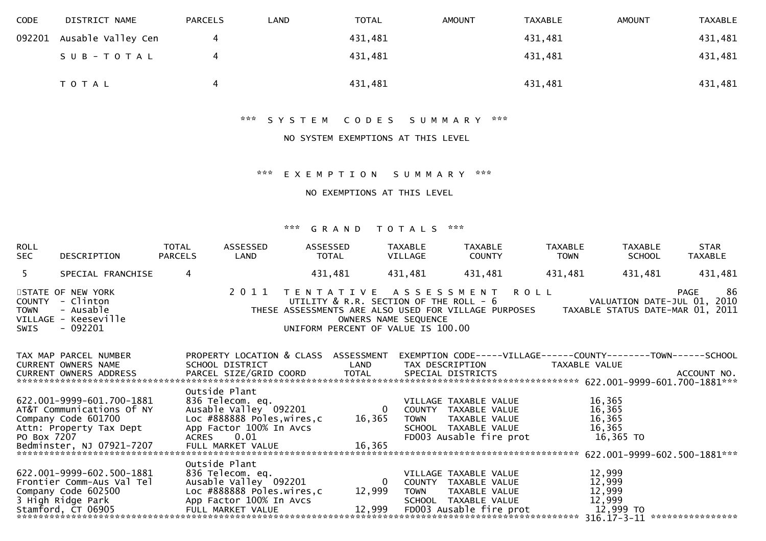| <b>CODE</b> | DISTRICT NAME             | <b>PARCELS</b> | LAND | <b>TOTAL</b> | <b>AMOUNT</b> | <b>TAXABLE</b> | <b>AMOUNT</b> | <b>TAXABLE</b> |
|-------------|---------------------------|----------------|------|--------------|---------------|----------------|---------------|----------------|
|             | 092201 Ausable Valley Cen | 4              |      | 431,481      |               | 431,481        |               | 431,481        |
|             | S U B - T O T A L         |                |      | 431,481      |               | 431,481        |               | 431,481        |
|             | T O T A L                 | 4              |      | 431,481      |               | 431,481        |               | 431,481        |

\*\*\* S Y S T E M C O D E S S U M M A R Y \*\*\*

## NO SYSTEM EXEMPTIONS AT THIS LEVEL

#### \*\*\* E X E M P T I O N S U M M A R Y \*\*\*

NO EXEMPTIONS AT THIS LEVEL

| <b>ROLL</b><br>SEC                                                                        | DESCRIPTION                                                                                                | TOTAL<br><b>PARCELS</b> | ASSESSED<br>LAND                                                                                                                                                     | ASSESSED | TOTAL                                       | TAXABLE<br>VILLAGE | TAXABLE<br>COUNTY                                                                                                 | TAXABLE<br><b>TOWN</b>                                                                                                                                                                                     | TAXABLE<br>SCHOOL                                 | <b>STAR</b><br>TAXABLE |
|-------------------------------------------------------------------------------------------|------------------------------------------------------------------------------------------------------------|-------------------------|----------------------------------------------------------------------------------------------------------------------------------------------------------------------|----------|---------------------------------------------|--------------------|-------------------------------------------------------------------------------------------------------------------|------------------------------------------------------------------------------------------------------------------------------------------------------------------------------------------------------------|---------------------------------------------------|------------------------|
| 5 <sup>7</sup>                                                                            | SPECIAL FRANCHISE                                                                                          | $\overline{4}$          |                                                                                                                                                                      |          | 431,481                                     | 431,481            | 431,481                                                                                                           | 431,481                                                                                                                                                                                                    | 431,481                                           | 431,481                |
| STATE OF NEW YORK<br>COUNTY - Clinton<br>TOWN<br>VILLAGE - Keeseville<br>- 092201<br>SWIS | - Ausable                                                                                                  |                         |                                                                                                                                                                      |          |                                             |                    |                                                                                                                   | 2 0 1 1 T E N I A I I V E A J J L MILL - 6 VALUAILUN DAIE-JUL V1, LUIS<br>UTILITY & R.R. SECTION OF THE ROLL - 6 VALUAILUN DAIE-JUL V1, LUIS<br>OWNERS NAME SEQUENCE<br>UNIFORM PERCENT OF VALUE IS 100.00 |                                                   |                        |
|                                                                                           |                                                                                                            |                         |                                                                                                                                                                      |          |                                             |                    | LAND TAX DESCRIPTION                                                                                              | TAX MAP PARCEL NUMBER      PROPERTY LOCATION & CLASS ASSESSMENT EXEMPTION CODE-----VILLAGE------COUNTY--------TOWN------SCHOOL                                                                             |                                                   |                        |
|                                                                                           | 622.001-9999-601.700-1881<br>AT&T Communications Of NY<br>Company Code 601700<br>Bedminster, NJ 07921-7207 |                         | Outside Plant<br>المستحدث<br>836 Telecom. eq. (1922)<br>Ausable Valley 092201 (1982) 0 COUNTY TAXABLE VALUE<br>Loc #888888 Poles,wires,c 16,365<br>FULL MARKET VALUE |          | 16,365                                      | <b>TOWN</b>        | VILLAGE TAXABLE VALUE<br>TAXABLE VALUE<br>SCHOOL TAXABLE VALUE<br>FD003 Ausable fire prot                         |                                                                                                                                                                                                            | 16,365<br>16,365<br>16,365<br>16,365<br>16,365 TO |                        |
|                                                                                           | 622.001-9999-602.500-1881<br>Frontier Comm-Aus Val Tel<br>Stamford, ČT 06905                               |                         | Outside Plant<br>836 Telecom. eq.<br>Ausable Valley 092201<br>FULL MARKET VALUE                                                                                      |          | $\overline{\mathbf{0}}$<br>12,999<br>12,999 | TOWN               | VILLAGE TAXABLE VALUE<br>COUNTY TAXABLE VALUE<br>TAXABLE VALUE<br>SCHOOL TAXABLE VALUE<br>FD003 Ausable fire prot |                                                                                                                                                                                                            | 12,999<br>12,999<br>12,999<br>12,999<br>12,999 TO |                        |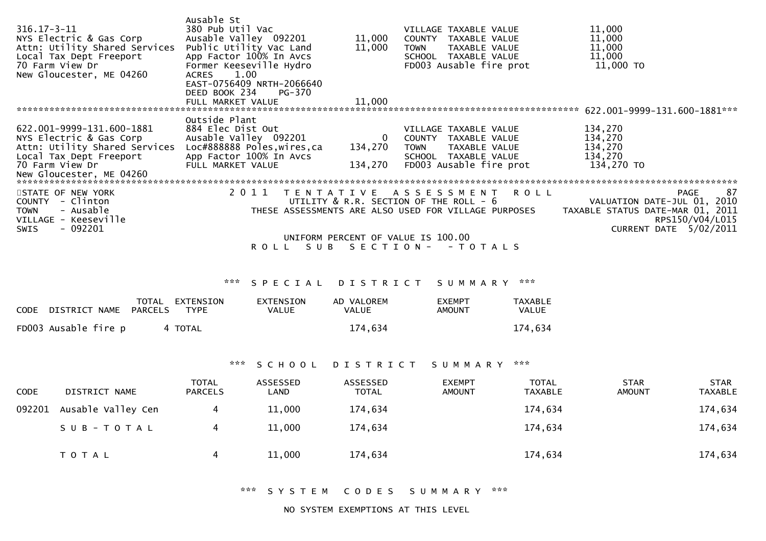| 316.17-3-11<br>NYS Electric & Gas Corp<br>Attn: Utility Shared Services<br>Local Tax Dept Freeport<br>70 Farm View Dr<br>New Gloucester, ME 04260               | Ausable St<br>380 Pub Util Vac<br>Ausable Valley 092201<br>Public Utility Vac Land<br>App Factor 100% In Avcs<br>Former Keeseville Hydro<br>1.00<br><b>ACRES</b><br>EAST-0756409 NRTH-2066640<br>DEED BOOK 234<br>PG-370<br>FULL MARKET VALUE | 11,000<br>11,000<br>11,000        | VILLAGE TAXABLE VALUE<br>TAXABLE VALUE<br>COUNTY<br>TAXABLE VALUE<br><b>TOWN</b><br>SCHOOL TAXABLE VALUE<br>FD003 Ausable fire prot                                                     | 11,000<br>11,000<br>11,000<br>11,000<br>11,000 TO                                                                           |
|-----------------------------------------------------------------------------------------------------------------------------------------------------------------|-----------------------------------------------------------------------------------------------------------------------------------------------------------------------------------------------------------------------------------------------|-----------------------------------|-----------------------------------------------------------------------------------------------------------------------------------------------------------------------------------------|-----------------------------------------------------------------------------------------------------------------------------|
| *******************************                                                                                                                                 |                                                                                                                                                                                                                                               |                                   |                                                                                                                                                                                         | $622.001 - 9999 - 131.600 - 1881***$                                                                                        |
| 622.001-9999-131.600-1881<br>NYS Electric & Gas Corp<br>Attn: Utility Shared Services<br>Local Tax Dept Freeport<br>70 Farm View Dr<br>New Gloucester, ME 04260 | Outside Plant<br>884 Elec Dist Out<br>Ausable Valley 092201<br>Loc#888888 Poles, wires, ca<br>App Factor 100% In Avcs<br>FULL MARKET VALUE                                                                                                    | $\mathbf 0$<br>134,270<br>134,270 | VILLAGE TAXABLE VALUE<br>COUNTY<br>TAXABLE VALUE<br>TAXABLE VALUE<br><b>TOWN</b><br>SCHOOL TAXABLE VALUE<br>FD003 Ausable fire prot                                                     | 134,270<br>134,270<br>134,270<br>134,270<br>134,270 TO                                                                      |
| STATE OF NEW YORK<br>- Clinton<br>COUNTY<br>- Ausable<br><b>TOWN</b><br>VILLAGE - Keeseville<br>$-092201$<br>SWIS                                               | 2011<br>T E N T A T I V E<br>SUB.<br>R O L L                                                                                                                                                                                                  | SECTION-                          | A S S E S S M E N T<br><b>ROLL</b><br>UTILITY & R.R. SECTION OF THE ROLL - 6<br>THESE ASSESSMENTS ARE ALSO USED FOR VILLAGE PURPOSES<br>UNIFORM PERCENT OF VALUE IS 100.00<br>$-TOTALS$ | -87<br>PAGE<br>VALUATION DATE-JUL 01, 2010<br>TAXABLE STATUS DATE-MAR 01, 2011<br>RPS150/V04/L015<br>CURRENT DATE 5/02/2011 |

## \*\*\* S P E C I A L D I S T R I C T S U M M A R Y \*\*\*

| CODE DISTRICT NAME PARCELS | TOTAL | EXTENSION<br>TYPF | EXTENSION<br>VALUE | AD VALOREM<br><b>VALUE</b> | <b>FXFMPT</b><br>AMOUNT | <b>TAXABLE</b><br>VALUE |
|----------------------------|-------|-------------------|--------------------|----------------------------|-------------------------|-------------------------|
| FD003 Ausable fire p       |       | 4 TOTAL           |                    | 174.634                    |                         | 174,634                 |

## \*\*\* S C H O O L D I S T R I C T S U M M A R Y \*\*\*

| <b>CODE</b> | DISTRICT NAME      | <b>TOTAL</b><br><b>PARCELS</b> | ASSESSED<br>LAND | ASSESSED<br>TOTAL | <b>EXEMPT</b><br><b>AMOUNT</b> | <b>TOTAL</b><br>TAXABLE | <b>STAR</b><br><b>AMOUNT</b> | <b>STAR</b><br>TAXABLE |
|-------------|--------------------|--------------------------------|------------------|-------------------|--------------------------------|-------------------------|------------------------------|------------------------|
| 092201      | Ausable Valley Cen |                                | 11,000           | 174,634           |                                | 174,634                 |                              | 174,634                |
|             | SUB-TOTAL          |                                | 11,000           | 174,634           |                                | 174,634                 |                              | 174,634                |
|             | T O T A L          | 4                              | 11,000           | 174,634           |                                | 174,634                 |                              | 174,634                |

\*\*\* S Y S T E M C O D E S S U M M A R Y \*\*\*

NO SYSTEM EXEMPTIONS AT THIS LEVEL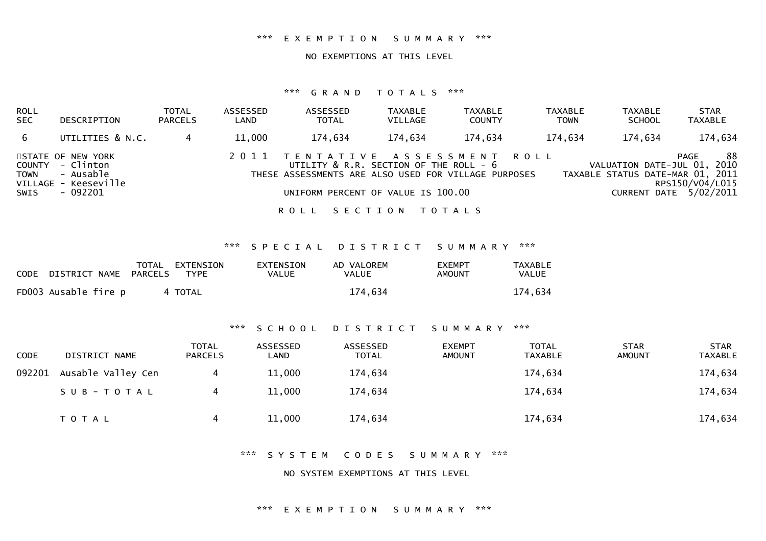#### \*\*\* E X E M P T I O N S U M M A R Y \*\*\*

#### NO EXEMPTIONS AT THIS LEVEL

#### \*\*\* G R A N D T O T A L S \*\*\*

| <b>ROLL</b><br><b>SEC</b> | DESCRIPTION                                                                            | TOTAL<br><b>PARCELS</b> | ASSESSED<br>LAND | <b>ASSESSED</b><br><b>TOTAL</b>                                                                                                                                             | <b>TAXABLE</b><br>VILLAGE | <b>TAXABLE</b><br><b>COUNTY</b> | <b>TAXABLE</b><br><b>TOWN</b> | <b>TAXABLE</b><br><b>SCHOOL</b> | <b>STAR</b><br><b>TAXABLE</b>                                                                                               |
|---------------------------|----------------------------------------------------------------------------------------|-------------------------|------------------|-----------------------------------------------------------------------------------------------------------------------------------------------------------------------------|---------------------------|---------------------------------|-------------------------------|---------------------------------|-----------------------------------------------------------------------------------------------------------------------------|
| 6                         | UTILITIES & N.C.                                                                       |                         | 11,000           | 174,634                                                                                                                                                                     | 174,634                   | 174,634                         | 174,634                       | 174,634                         | 174,634                                                                                                                     |
| <b>TOWN</b><br>SWIS       | STATE OF NEW YORK<br>COUNTY - Clinton<br>- Ausable<br>VILLAGE - Keeseville<br>- 092201 |                         |                  | 2011 TENTATIVE ASSESSMENT ROLL<br>UTILITY $\&$ R.R. SECTION OF THE ROLL - $6$<br>THESE ASSESSMENTS ARE ALSO USED FOR VILLAGE PURPOSES<br>UNIFORM PERCENT OF VALUE IS 100.00 |                           |                                 |                               |                                 | -88<br>PAGE<br>VALUATION DATE-JUL 01, 2010<br>TAXABLE STATUS DATE-MAR 01, 2011<br>RPS150/V04/L015<br>CURRENT DATE 5/02/2011 |
|                           |                                                                                        |                         |                  | R O L L                                                                                                                                                                     | SECTION TOTALS            |                                 |                               |                                 |                                                                                                                             |

\*\*\* S P E C I A L D I S T R I C T S U M M A R Y \*\*\*

| CODE DISTRICT NAME PARCELS | TOTAL EXTENSION<br>TYPF | <b>EXTENSION</b><br>VALUE | AD VALOREM<br><b>VALUE</b> | <b>FXEMPT</b><br>AMOUNT | <b>TAXABLE</b><br>VALUE |
|----------------------------|-------------------------|---------------------------|----------------------------|-------------------------|-------------------------|
| FD003 Ausable fire p       | 4 TOTAL                 |                           | 174.634                    |                         | 174,634                 |

#### \*\*\* S C H O O L D I S T R I C T S U M M A R Y \*\*\*

| <b>CODE</b> | DISTRICT NAME      | <b>TOTAL</b><br><b>PARCELS</b> | ASSESSED<br>LAND | ASSESSED<br><b>TOTAL</b> | <b>EXEMPT</b><br><b>AMOUNT</b> | TOTAL<br>TAXABLE | <b>STAR</b><br>AMOUNT | <b>STAR</b><br><b>TAXABLE</b> |
|-------------|--------------------|--------------------------------|------------------|--------------------------|--------------------------------|------------------|-----------------------|-------------------------------|
| 092201      | Ausable Valley Cen |                                | 11,000           | 174,634                  |                                | 174,634          |                       | 174,634                       |
|             | SUB-TOTAL          | 4                              | 11,000           | 174,634                  |                                | 174,634          |                       | 174,634                       |
|             | T O T A L          | 4                              | 11,000           | 174,634                  |                                | 174,634          |                       | 174,634                       |

\*\*\* S Y S T E M C O D E S S U M M A R Y \*\*\*

NO SYSTEM EXEMPTIONS AT THIS LEVEL

#### \*\*\* E X E M P T I O N S U M M A R Y \*\*\*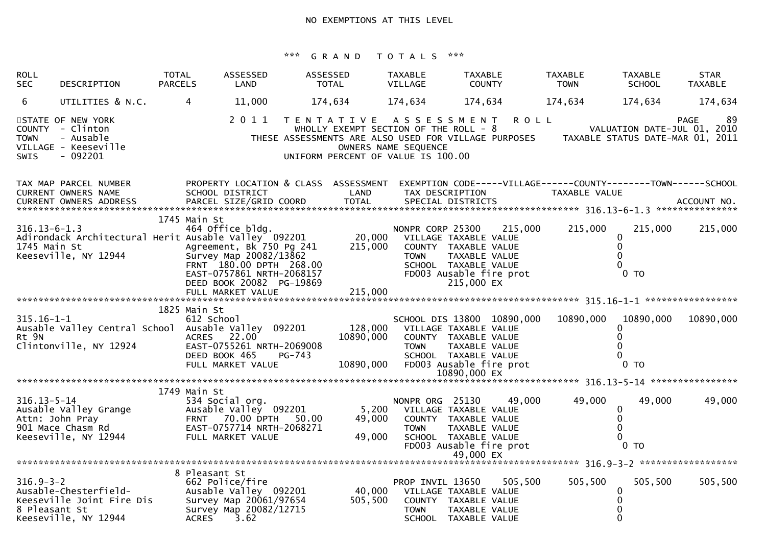| <b>ROLL</b><br><b>SEC</b>          | DESCRIPTION                                                                             | <b>TOTAL</b><br><b>PARCELS</b> | ASSESSED<br>LAND                                                                                                                                           | ASSESSED | <b>TOTAL</b>                                                                                                                                                | <b>TAXABLE</b><br>VILLAGE                                | <b>TAXABLE</b><br><b>COUNTY</b>                                                                                                 |                            | <b>TAXABLE</b><br><b>TOWN</b>    | <b>TAXABLE</b><br><b>SCHOOL</b>                                                    | <b>STAR</b><br><b>TAXABLE</b> |
|------------------------------------|-----------------------------------------------------------------------------------------|--------------------------------|------------------------------------------------------------------------------------------------------------------------------------------------------------|----------|-------------------------------------------------------------------------------------------------------------------------------------------------------------|----------------------------------------------------------|---------------------------------------------------------------------------------------------------------------------------------|----------------------------|----------------------------------|------------------------------------------------------------------------------------|-------------------------------|
| 6                                  | UTILITIES & N.C.                                                                        | 4                              | 11,000                                                                                                                                                     |          | 174,634                                                                                                                                                     | 174,634                                                  | 174,634                                                                                                                         |                            | 174,634                          | 174,634                                                                            | 174,634                       |
| <b>TOWN</b><br><b>SWIS</b>         | STATE OF NEW YORK<br>COUNTY - Clinton<br>- Ausable<br>VILLAGE - Keeseville<br>$-092201$ |                                | 2011                                                                                                                                                       |          | TENTATIVE ASSESSMENT<br>WHOLLY EXEMPT SECTION OF THE ROLL - 8<br>THESE ASSESSMENTS ARE ALSO USED FOR VILLAGE PURPOSES<br>UNIFORM PERCENT OF VALUE IS 100.00 | OWNERS NAME SEQUENCE                                     |                                                                                                                                 | <b>ROLL</b>                | TAXABLE STATUS DATE-MAR 01, 2011 | VALUATION DATE-JUL 01, 2010                                                        | 89<br><b>PAGE</b>             |
|                                    | TAX MAP PARCEL NUMBER<br><b>CURRENT OWNERS NAME</b>                                     |                                | PROPERTY LOCATION & CLASS ASSESSMENT EXEMPTION CODE-----VILLAGE------COUNTY--------TOWN------SCHOOL<br>SCHOOL DISTRICT<br>1745 Main St                     |          | LAND                                                                                                                                                        |                                                          | TAX DESCRIPTION                                                                                                                 |                            | TAXABLE VALUE                    |                                                                                    |                               |
| $316.13 - 6 - 1.3$<br>1745 Main St | Adirondack Architectural Herit Ausable Valley 092201<br>Keeseville, NY 12944            |                                | 464 Office bldg.<br>Agreement, Bk 750 Pg 241<br>Survey Map 20082/13862<br>FRNT 180.00 DPTH 268.00<br>EAST-0757861 NRTH-2068157<br>DEED BOOK 20082 PG-19869 |          | 20,000<br>215,000                                                                                                                                           | NONPR CORP 25300<br><b>TOWN</b>                          | VILLAGE TAXABLE VALUE<br>COUNTY TAXABLE VALUE<br>TAXABLE VALUE<br>SCHOOL TAXABLE VALUE<br>FD003 Ausable fire prot<br>215,000 EX | 215,000                    | 215,000                          | 215,000<br>0<br>0<br>0<br>$0$ TO                                                   | 215,000                       |
|                                    |                                                                                         |                                | FULL MARKET VALUE                                                                                                                                          |          | 215,000                                                                                                                                                     |                                                          |                                                                                                                                 |                            |                                  |                                                                                    |                               |
| $315.16 - 1 - 1$<br>Rt 9N          | Ausable Valley Central School<br>Clintonville, NY 12924                                 |                                | 1825 Main St<br>612 School<br>Ausable Valley 092201<br>ACRES 22.00<br>EAST-0755261 NRTH-2069008<br>DEED BOOK 465<br>FULL MARKET VALUE                      | PG-743   | 128,000<br>10890,000<br>10890,000                                                                                                                           | <b>TOWN</b><br>FD003 Ausable fire prot                   | VILLAGE TAXABLE VALUE<br>COUNTY TAXABLE VALUE<br>TAXABLE VALUE<br>SCHOOL TAXABLE VALUE<br>10890.000 EX                          | SCHOOL DIS 13800 10890,000 | 10890,000                        | 10890.000<br>0<br>$\Omega$<br>$\Omega$<br>$\Omega$<br>0 <sub>T</sub>               | 10890,000                     |
|                                    |                                                                                         |                                | 1749 Main St                                                                                                                                               |          |                                                                                                                                                             |                                                          |                                                                                                                                 |                            |                                  |                                                                                    |                               |
| $316.13 - 5 - 14$                  | Ausable Valley Grange<br>Attn: John Pray<br>901 Mace Chasm Rd<br>Keeseville, NY 12944   |                                | 534 Social org.<br>Ausable Valley 092201<br><b>FRNT 70.00 DPTH</b><br>EAST-0757714 NRTH-2068271<br>FULL MARKET VALUE                                       | 50.00    | 5,200<br>49,000<br>49,000                                                                                                                                   | NONPR ORG 25130<br><b>TOWN</b>                           | VILLAGE TAXABLE VALUE<br>COUNTY TAXABLE VALUE<br>TAXABLE VALUE<br>SCHOOL TAXABLE VALUE<br>FD003 Ausable fire prot<br>49,000 EX  | 49,000                     | 49,000                           | 49,000<br>$\mathbf 0$<br>$\mathbf 0$<br>$\mathbf{0}$<br>$\Omega$<br>0 <sub>T</sub> | 49,000                        |
|                                    |                                                                                         |                                | 8 Pleasant St                                                                                                                                              |          |                                                                                                                                                             |                                                          |                                                                                                                                 |                            |                                  |                                                                                    |                               |
| $316.9 - 3 - 2$<br>8 Pleasant St   | Ausable-Chesterfield-<br>Keeseville Joint Fire Dis<br>Keeseville, NY 12944              |                                | 662 Police/fire<br>Ausable Valley 092201<br>Survey Map 20061/97654<br>Survey Map 20082/12715<br><b>ACRES</b><br>3.62                                       |          | 40,000<br>505,500                                                                                                                                           | PROP INVIL 13650<br>VILLAGE TAXABLE VALUE<br><b>TOWN</b> | COUNTY TAXABLE VALUE<br>TAXABLE VALUE<br>SCHOOL TAXABLE VALUE                                                                   | 505,500                    | 505,500                          | 505,500<br>$\mathbf 0$<br>$\mathbf 0$<br>$\mathbf 0$                               | 505,500                       |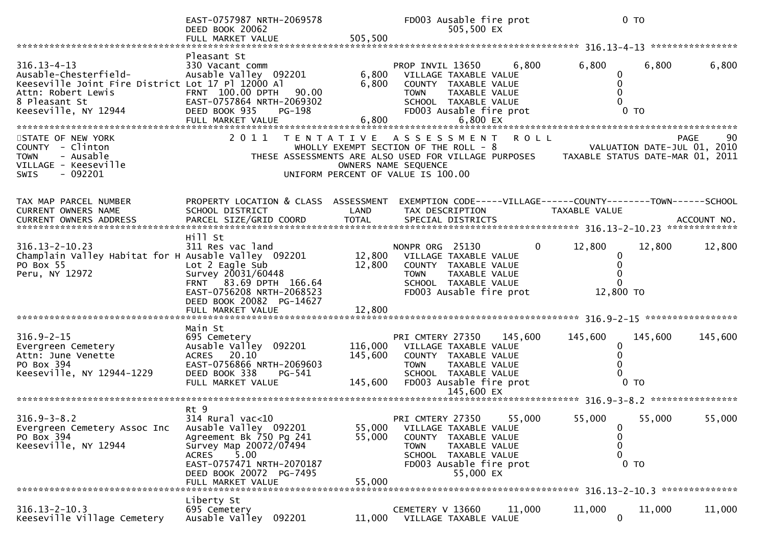|                                                                                                                                                                | EAST-0757987 NRTH-2069578<br>DEED BOOK 20062<br>FULL MARKET VALUE                                                                                                                 | 505,500                       | FD003 Ausable fire prot<br>505,500 EX                                                                                                                                                                                          |                             | $0$ TO                                                       |                |
|----------------------------------------------------------------------------------------------------------------------------------------------------------------|-----------------------------------------------------------------------------------------------------------------------------------------------------------------------------------|-------------------------------|--------------------------------------------------------------------------------------------------------------------------------------------------------------------------------------------------------------------------------|-----------------------------|--------------------------------------------------------------|----------------|
|                                                                                                                                                                |                                                                                                                                                                                   |                               |                                                                                                                                                                                                                                |                             |                                                              |                |
| $316.13 - 4 - 13$<br>Ausable-Chesterfield-<br>Keeseville Joint Fire District Lot 17 Pl 12000 Al<br>Attn: Robert Lewis<br>8 Pleasant St<br>Keeseville, NY 12944 | Pleasant St<br>330 Vacant comm<br>Ausable Valley 092201<br>FRNT 100.00 DPTH<br>90.00<br>EAST-0757864 NRTH-2069302<br>DEED BOOK 935<br><b>PG-198</b>                               | 6,800<br>6,800                | PROP INVIL 13650<br>VILLAGE TAXABLE VALUE<br>COUNTY TAXABLE VALUE<br>TAXABLE VALUE<br><b>TOWN</b><br>SCHOOL TAXABLE VALUE<br>FD003 Ausable fire prot                                                                           | 6,800<br>6,800              | 6,800<br>0<br>0<br>0<br>0 <sub>T</sub>                       | 6,800          |
| STATE OF NEW YORK<br>COUNTY - Clinton<br>- Ausable<br><b>TOWN</b><br>VILLAGE - Keeseville<br>- 092201<br><b>SWIS</b>                                           |                                                                                                                                                                                   |                               | 2011 TENTATIVE ASSESSMENT ROLL<br>WHOLLY EXEMPT SECTION OF THE ROLL - 8<br>THESE ASSESSMENTS ARE ALSO USED FOR VILLAGE PURPOSES TAXABLE STATUS DATE-MAR 01, 2011<br>OWNERS NAME SEQUENCE<br>UNIFORM PERCENT OF VALUE IS 100.00 | VALUATION DATE-JUL 01, 2010 |                                                              | 90<br>PAGE     |
| TAX MAP PARCEL NUMBER<br>CURRENT OWNERS NAME                                                                                                                   | PROPERTY LOCATION & CLASS ASSESSMENT<br>SCHOOL DISTRICT                                                                                                                           | LAND                          | EXEMPTION CODE-----VILLAGE------COUNTY--------TOWN------SCHOOL<br>TAX DESCRIPTION                                                                                                                                              | TAXABLE VALUE               |                                                              |                |
| $316.13 - 2 - 10.23$<br>Champlain Valley Habitat for H Ausable Valley 092201<br>PO Box 55<br>Peru, NY 12972                                                    | Hill St<br>311 Res vac land<br>Lot 2 Eagle Sub<br>Survey 20031/60448<br>FRNT 83.69 DPTH 166.64<br>EAST-0756208 NRTH-2068523<br>DEED BOOK 20082 PG-14627<br>FULL MARKET VALUE      | 12,800<br>12,800<br>12,800    | NONPR ORG 25130<br>VILLAGE TAXABLE VALUE<br>COUNTY TAXABLE VALUE<br>TAXABLE VALUE<br>TOWN<br>SCHOOL TAXABLE VALUE<br>FD003 Ausable fire prot                                                                                   | 12,800<br>0                 | 12,800<br>0<br>0<br>$\Omega$<br>12,800 TO                    | 12,800         |
|                                                                                                                                                                |                                                                                                                                                                                   |                               |                                                                                                                                                                                                                                |                             |                                                              |                |
| $316.9 - 2 - 15$<br>Evergreen Cemetery<br>Attn: June Venette<br>PO Box 394<br>Keeseville, NY 12944-1229                                                        | Main St<br>695 Cemetery<br>Ausable Valley 092201<br>ACRES 20.10<br>EAST-0756866 NRTH-2069603<br>DEED BOOK 338<br>PG-541<br>FULL MARKET VALUE                                      | 116,000<br>145,600<br>145,600 | PRI CMTERY 27350<br>VILLAGE TAXABLE VALUE<br>COUNTY TAXABLE VALUE<br><b>TOWN</b><br>TAXABLE VALUE<br>SCHOOL TAXABLE VALUE<br>FD003 Ausable fire prot                                                                           | 145,600<br>145,600          | 145,600<br>0<br>0<br>0<br>0 <sub>T</sub>                     | 145,600        |
|                                                                                                                                                                |                                                                                                                                                                                   |                               | 145,600 EX                                                                                                                                                                                                                     |                             |                                                              |                |
| $316.9 - 3 - 8.2$<br>Evergreen Cemetery Assoc Inc<br>PO Box 394<br>Keeseville, NY 12944                                                                        | Rt 9<br>$314$ Rural vac<10<br>Ausable Valley 092201<br>Agreement Bk 750 Pg 241<br>Survey Map 20072/07494<br>5.00<br>ACRES<br>EAST-0757471 NRTH-2070187<br>DEED BOOK 20072 PG-7495 | 55,000<br>55,000              | PRI CMTERY 27350<br>VILLAGE TAXABLE VALUE<br>COUNTY TAXABLE VALUE<br>TAXABLE VALUE<br>TOWN<br>SCHOOL TAXABLE VALUE<br>FD003 Ausable fire prot<br>55,000 EX                                                                     | 55,000<br>55,000            | 55,000<br>$\mathbf 0$<br>0<br>$\mathbf{0}$<br>0 <sub>T</sub> | 55,000         |
|                                                                                                                                                                |                                                                                                                                                                                   |                               |                                                                                                                                                                                                                                |                             |                                                              | ************** |
| $316.13 - 2 - 10.3$<br>Keeseville Village Cemetery                                                                                                             | Liberty St<br>695 Cemetery<br>Ausable Valley 092201                                                                                                                               | 11,000                        | CEMETERY V 13660<br>VILLAGE TAXABLE VALUE                                                                                                                                                                                      | 11,000<br>11,000            | 11,000<br>$\mathbf 0$                                        | 11,000         |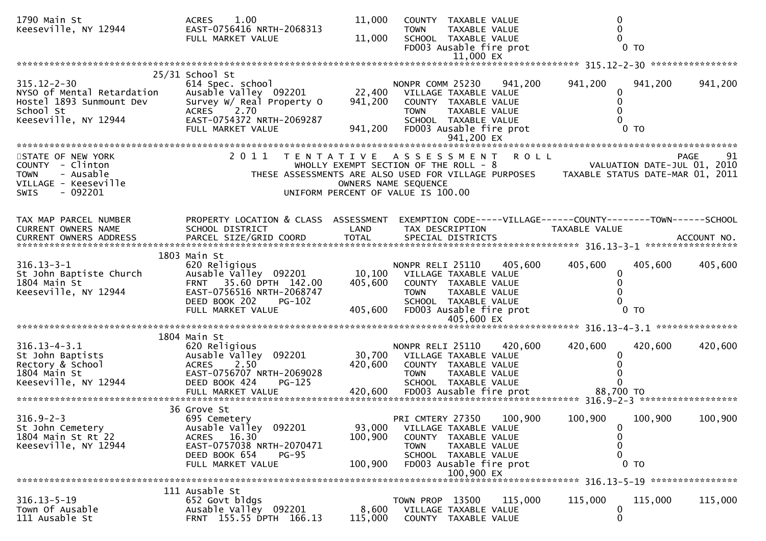| 1790 Main St                                                                                           | 1.00<br><b>ACRES</b>                                 | 11,000  | COUNTY TAXABLE VALUE                                                                                          |             |                             |                |            |
|--------------------------------------------------------------------------------------------------------|------------------------------------------------------|---------|---------------------------------------------------------------------------------------------------------------|-------------|-----------------------------|----------------|------------|
| Keeseville, NY 12944                                                                                   | EAST-0756416 NRTH-2068313<br>FULL MARKET VALUE       | 11,000  | TAXABLE VALUE<br><b>TOWN</b><br>SCHOOL TAXABLE VALUE                                                          |             | 0                           |                |            |
|                                                                                                        |                                                      |         | FD003 Ausable fire prot                                                                                       |             |                             | $0$ TO         |            |
|                                                                                                        |                                                      |         | 11,000 EX                                                                                                     |             |                             |                |            |
|                                                                                                        | 25/31 School St                                      |         |                                                                                                               |             |                             |                |            |
| $315.12 - 2 - 30$<br>NYSO of Mental Retardation                                                        | 614 Spec. school<br>Ausable Valley 092201            | 22,400  | NONPR COMM 25230 941,200<br>VILLAGE TAXABLE VALUE                                                             |             | 941,200<br>0                | 941,200        | 941,200    |
| Hostel 1893 Sunmount Dev                                                                               | Survey W/ Real Property O                            | 941,200 | COUNTY TAXABLE VALUE                                                                                          |             | 0                           |                |            |
| School St<br>Keeseville, NY 12944                                                                      | <b>ACRES</b><br>2.70<br>EAST-0754372 NRTH-2069287    |         | <b>TOWN</b><br>TAXABLE VALUE<br>SCHOOL TAXABLE VALUE                                                          |             |                             |                |            |
|                                                                                                        | FULL MARKET VALUE                                    | 941,200 | FD003 Ausable fire prot                                                                                       |             |                             | 0 <sub>T</sub> |            |
|                                                                                                        |                                                      |         |                                                                                                               |             |                             |                |            |
| STATE OF NEW YORK                                                                                      | 2011                                                 |         | TENTATIVE ASSESSMENT                                                                                          | <b>ROLL</b> |                             |                | PAGE<br>91 |
| COUNTY - Clinton                                                                                       |                                                      |         | WHOLLY EXEMPT SECTION OF THE ROLL - 8                                                                         |             | VALUATION DATE-JUL 01, 2010 |                |            |
| <b>TOWN</b><br>- Ausable<br>VILLAGE - Keeseville                                                       |                                                      |         | THESE ASSESSMENTS ARE ALSO USED FOR VILLAGE PURPOSES TAXABLE STATUS DATE-MAR 01, 2011<br>OWNERS NAME SEQUENCE |             |                             |                |            |
| - 092201<br><b>SWIS</b>                                                                                |                                                      |         | UNIFORM PERCENT OF VALUE IS 100.00                                                                            |             |                             |                |            |
|                                                                                                        |                                                      |         |                                                                                                               |             |                             |                |            |
| TAX MAP PARCEL NUMBER                                                                                  | PROPERTY LOCATION & CLASS ASSESSMENT                 |         | EXEMPTION CODE-----VILLAGE------COUNTY-------TOWN------SCHOOL                                                 |             |                             |                |            |
| CURRENT OWNERS NAME                                                                                    | SCHOOL DISTRICT                                      | LAND    | TAX DESCRIPTION                                                                                               |             | TAXABLE VALUE               |                |            |
| CURRENT OWNERS ADDRESS FARCEL SIZE/GRID COORD TOTAL SPECIAL DISTRICTS FOR THE SPECIAL POST ACCOUNT NO. |                                                      |         |                                                                                                               |             |                             |                |            |
|                                                                                                        | 1803 Main St                                         |         |                                                                                                               |             |                             |                |            |
| $316.13 - 3 - 1$<br>St John Baptiste Church                                                            | 620 Religious<br>Ausable Valley 092201               |         | NONPR RELI 25110<br>10,100 VILLAGE TAXABLE VALUE                                                              | 405,600     | 405,600<br>0                | 405,600        | 405,600    |
| 1804 Main St                                                                                           | FRNT 35.60 DPTH 142.00                               | 405,600 | COUNTY TAXABLE VALUE                                                                                          |             | $\Omega$                    |                |            |
| Keeseville, NY 12944                                                                                   | EAST-0756516 NRTH-2068747<br>DEED BOOK 202<br>PG-102 |         | TAXABLE VALUE<br>TOWN<br>SCHOOL TAXABLE VALUE                                                                 |             |                             |                |            |
|                                                                                                        | FULL MARKET VALUE                                    | 405,600 | FD003 Ausable fire prot                                                                                       |             |                             | $0$ TO         |            |
|                                                                                                        |                                                      |         | 405,600 EX                                                                                                    |             |                             |                |            |
|                                                                                                        | 1804 Main St                                         |         |                                                                                                               |             |                             |                |            |
| $316.13 - 4 - 3.1$                                                                                     | 620 Religious                                        |         | NONPR RELI 25110                                                                                              | 420,600     | 420,600                     | 420,600        | 420,600    |
| St John Baptists<br>Rectory & School                                                                   | Ausable Valley 092201<br>2.50<br>ACRES               | 420,600 | 30,700 VILLAGE TAXABLE VALUE<br>COUNTY TAXABLE VALUE                                                          |             | 0                           |                |            |
| 1804 Main St                                                                                           | EAST-0756707 NRTH-2069028                            |         | <b>TOWN</b><br>TAXABLE VALUE                                                                                  |             |                             |                |            |
| Keeseville, NY 12944                                                                                   | DEED BOOK 424<br>PG-125                              |         | SCHOOL TAXABLE VALUE                                                                                          |             |                             |                |            |
|                                                                                                        |                                                      |         |                                                                                                               |             |                             |                |            |
|                                                                                                        | 36 Grove St                                          |         |                                                                                                               |             |                             |                |            |
| $316.9 - 2 - 3$<br>St John Cemetery                                                                    | 695 Cemetery<br>Ausable Valley 092201                | 93,000  | PRI CMTERY 27350<br>VILLAGE TAXABLE VALUE                                                                     | 100,900     | 100,900<br>$\bf{0}$         | 100,900        | 100,900    |
| 1804 Main St Rt 22                                                                                     | ACRES 16.30                                          | 100,900 | COUNTY TAXABLE VALUE                                                                                          |             | 0                           |                |            |
| Keeseville, NY 12944                                                                                   | EAST-0757038 NRTH-2070471                            |         | <b>TOWN</b><br>TAXABLE VALUE                                                                                  |             | $\mathbf{0}$                |                |            |
|                                                                                                        | DEED BOOK 654<br>$PG-95$<br>FULL MARKET VALUE        | 100,900 | SCHOOL TAXABLE VALUE<br>FD003 Ausable fire prot                                                               |             | 0                           | 0 <sub>T</sub> |            |
|                                                                                                        |                                                      |         | 100,900 EX                                                                                                    |             |                             |                |            |
|                                                                                                        | 111 Ausable St                                       |         |                                                                                                               |             |                             |                |            |
| $316.13 - 5 - 19$                                                                                      | 652 Govt bldgs                                       |         | TOWN PROP 13500                                                                                               | 115,000     | 115,000                     | 115,000        | 115,000    |
| Town Of Ausable<br>111 Ausable St                                                                      | Ausable Valley 092201                                | 8,600   | VILLAGE TAXABLE VALUE                                                                                         |             | $\bf{0}$                    |                |            |
|                                                                                                        | FRNT 155.55 DPTH 166.13                              | 115,000 | COUNTY TAXABLE VALUE                                                                                          |             | $\mathbf 0$                 |                |            |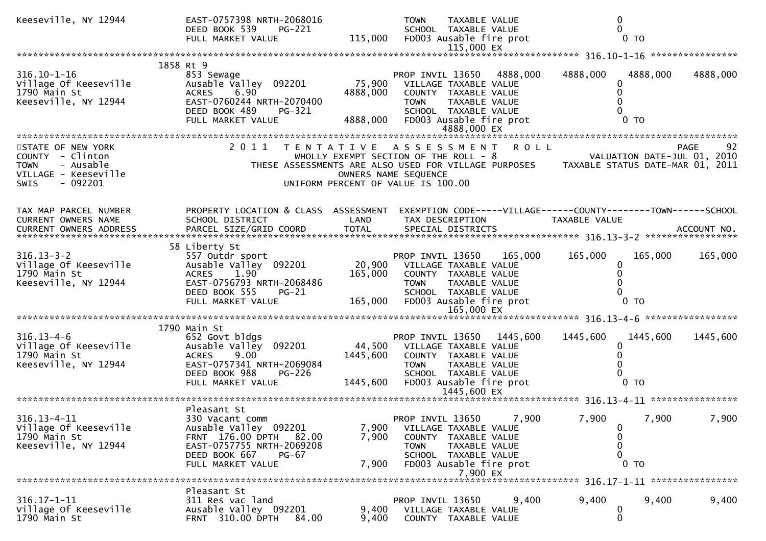| Keeseville, NY 12944                                                                     | EAST-0757398 NRTH-2068016<br>DEED BOOK 539<br>PG-221<br>FULL MARKET VALUE                                                                                           |                                | <b>TOWN</b><br>TAXABLE VALUE<br>SCHOOL TAXABLE VALUE<br>115,000 FD003 Ausable fire prot<br>115,000 EX                                                              |          | 0                                                               | $\Omega$<br>$0$ TO                              |                   |
|------------------------------------------------------------------------------------------|---------------------------------------------------------------------------------------------------------------------------------------------------------------------|--------------------------------|--------------------------------------------------------------------------------------------------------------------------------------------------------------------|----------|-----------------------------------------------------------------|-------------------------------------------------|-------------------|
|                                                                                          |                                                                                                                                                                     |                                |                                                                                                                                                                    |          |                                                                 |                                                 |                   |
| $316.10 - 1 - 16$<br>Village Of Keeseville<br>1790 Main St<br>Keeseville, NY 12944       | 1858 Rt 9<br>853 Sewage<br>Ausable Valley 092201<br>6.90<br><b>ACRES</b><br>EAST-0760244 NRTH-2070400<br>DEED BOOK 489<br>PG-321<br>FULL MARKET VALUE               | 75,900<br>4888,000<br>4888,000 | PROP INVIL 13650<br>VILLAGE TAXABLE VALUE<br>COUNTY TAXABLE VALUE<br><b>TOWN</b><br>TAXABLE VALUE<br>SCHOOL TAXABLE VALUE<br>FD003 Ausable fire prot               | 4888,000 | 4888,000<br>0                                                   | 4888,000<br>0<br>$0$ TO                         | 4888,000          |
| STATE OF NEW YORK                                                                        | 2011 TENTATIVE ASSESSMENT ROLL                                                                                                                                      |                                |                                                                                                                                                                    |          |                                                                 |                                                 | 92<br><b>PAGE</b> |
| COUNTY - Clinton<br>- Ausable<br><b>TOWN</b><br>VILLAGE - Keeseville<br>SWIS<br>- 092201 |                                                                                                                                                                     |                                | WHOLLY EXEMPT SECTION OF THE ROLL - $8$<br>THESE ASSESSMENTS ARE ALSO USED FOR VILLAGE PURPOSES<br>OWNERS NAME SEQUENCE<br>UNIFORM PERCENT OF VALUE IS 100.00      |          | VALUATION DATE-JUL 01, 2010<br>TAXABLE STATUS DATE-MAR 01, 2011 |                                                 |                   |
| TAX MAP PARCEL NUMBER<br><b>CURRENT OWNERS NAME</b>                                      | PROPERTY LOCATION & CLASS ASSESSMENT<br>SCHOOL DISTRICT                                                                                                             | LAND                           | EXEMPTION CODE-----VILLAGE------COUNTY--------TOWN------SCHOOL<br>TAX DESCRIPTION                                                                                  |          | TAXABLE VALUE                                                   |                                                 |                   |
|                                                                                          |                                                                                                                                                                     |                                |                                                                                                                                                                    |          |                                                                 |                                                 |                   |
| $316.13 - 3 - 2$<br>Village Of Keeseville<br>1790 Main St<br>Keeseville, NY 12944        | 58 Liberty St<br>557 Outdr sport<br>Ausable Valley 092201<br>1.90<br><b>ACRES</b><br>EAST-0756793 NRTH-2068486<br>DEED BOOK 555<br>PG-21<br>FULL MARKET VALUE       | 165,000<br>165,000             | PROP INVIL 13650<br>20,900 VILLAGE TAXABLE VALUE<br>COUNTY TAXABLE VALUE<br>TAXABLE VALUE<br>TOWN<br>SCHOOL TAXABLE VALUE<br>FD003 Ausable fire prot<br>165,000 EX | 165,000  | 165,000                                                         | 165,000<br>0<br>0<br>$\Omega$<br>0 <sub>T</sub> | 165,000           |
|                                                                                          |                                                                                                                                                                     |                                |                                                                                                                                                                    |          |                                                                 |                                                 |                   |
| $316.13 - 4 - 6$<br>Village Of Keeseville<br>1790 Main St<br>Keeseville, NY 12944        | 1790 Main St<br>652 Govt bldgs<br>Ausable Valley 092201<br><b>ACRES</b><br>9.00<br>EAST-0757341 NRTH-2069084<br>DEED BOOK 988<br><b>PG-226</b><br>FULL MARKET VALUE | 44,500<br>1445,600<br>1445,600 | PROP INVIL 13650<br>VILLAGE TAXABLE VALUE<br>COUNTY TAXABLE VALUE<br>TOWN<br>TAXABLE VALUE<br>SCHOOL TAXABLE VALUE<br>FD003 Ausable fire prot<br>1445,600 EX       | 1445,600 | 1445,600                                                        | 1445,600<br>0<br>0<br>$0$ TO                    | 1445,600          |
|                                                                                          |                                                                                                                                                                     |                                |                                                                                                                                                                    |          |                                                                 |                                                 |                   |
| $316.13 - 4 - 11$<br>Village Of Keeseville<br>1790 Main St<br>Keeseville, NY 12944       | Pleasant St<br>330 Vacant comm<br>Ausable Valley 092201<br>FRNT 176.00 DPTH 82.00<br>EAST-0757755 NRTH-2069208<br>DEED BOOK 667<br>PG-67<br>FULL MARKET VALUE       | 7,900<br>7,900<br>7,900        | PROP INVIL 13650<br>VILLAGE TAXABLE VALUE<br>COUNTY TAXABLE VALUE<br><b>TOWN</b><br>TAXABLE VALUE<br>SCHOOL TAXABLE VALUE<br>FD003 Ausable fire prot<br>7,900 EX   | 7,900    | 7,900<br>0<br>0<br>0<br>0                                       | 7,900<br>$0$ TO                                 | 7,900             |
|                                                                                          |                                                                                                                                                                     |                                |                                                                                                                                                                    |          |                                                                 |                                                 |                   |
| $316.17 - 1 - 11$<br>Village Of Keeseville<br>1790 Main St                               | Pleasant St<br>311 Res vac land<br>Ausable Valley 092201<br>FRNT 310.00 DPTH<br>84.00                                                                               | 9,400<br>9,400                 | PROP INVIL 13650<br>VILLAGE TAXABLE VALUE<br>COUNTY TAXABLE VALUE                                                                                                  | 9,400    | 9,400<br>0<br>$\mathbf{0}$                                      | 9,400                                           | 9,400             |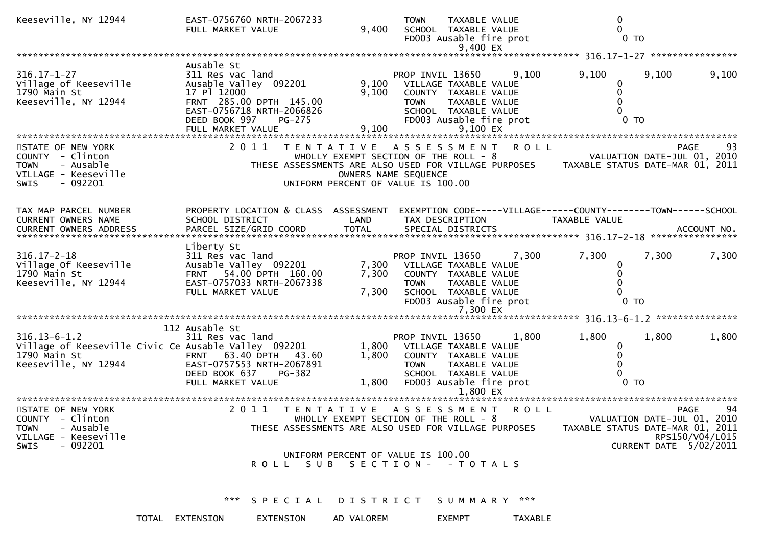| Keeseville, NY 12944                                                                                                 | EAST-0756760 NRTH-2067233<br>FULL MARKET VALUE                                                                                                            | 9,400          | <b>TOWN</b><br>TAXABLE VALUE<br>SCHOOL TAXABLE VALUE<br>FD003 Ausable fire prot<br>9,400 EX                                                                                                    |       | 0<br>$0$ TO                                                     |                                                               |                       |
|----------------------------------------------------------------------------------------------------------------------|-----------------------------------------------------------------------------------------------------------------------------------------------------------|----------------|------------------------------------------------------------------------------------------------------------------------------------------------------------------------------------------------|-------|-----------------------------------------------------------------|---------------------------------------------------------------|-----------------------|
|                                                                                                                      |                                                                                                                                                           |                |                                                                                                                                                                                                |       |                                                                 |                                                               |                       |
| $316.17 - 1 - 27$<br>Village of Keeseville<br>1790 Main St<br>Keeseville, NY 12944                                   | Ausable St<br>311 Res vac land<br>Ausable Valley 092201<br>17 Pl 12000<br>FRNT 285.00 DPTH 145.00<br>EAST-0756718 NRTH-2066826<br>DEED BOOK 997<br>PG-275 | 9,100          | PROP INVIL 13650<br>9,100 VILLAGE TAXABLE VALUE<br>COUNTY TAXABLE VALUE<br>TAXABLE VALUE<br><b>TOWN</b><br>SCHOOL TAXABLE VALUE<br>FD003 Ausable fire prot                                     | 9,100 | 9,100<br>0<br>0 <sub>T</sub>                                    | 9,100                                                         | 9,100                 |
| STATE OF NEW YORK<br>COUNTY - Clinton<br><b>TOWN</b><br>- Ausable<br>VILLAGE - Keeseville<br>- 092201<br><b>SWIS</b> |                                                                                                                                                           |                | 2011 TENTATIVE ASSESSMENT ROLL<br>WHOLLY EXEMPT SECTION OF THE ROLL - 8<br>THESE ASSESSMENTS ARE ALSO USED FOR VILLAGE PURPOSES<br>OWNERS NAME SEQUENCE<br>UNIFORM PERCENT OF VALUE IS 100.00  |       | VALUATION DATE-JUL 01, 2010<br>TAXABLE STATUS DATE-MAR 01, 2011 | <b>PAGE</b>                                                   | 93                    |
| TAX MAP PARCEL NUMBER<br>CURRENT OWNERS NAME                                                                         | PROPERTY LOCATION & CLASS ASSESSMENT<br>SCHOOL DISTRICT                                                                                                   | LAND           | EXEMPTION CODE-----VILLAGE------COUNTY--------TOWN------SCHOOL<br>TAX DESCRIPTION                                                                                                              |       | TAXABLE VALUE                                                   |                                                               |                       |
| $316.17 - 2 - 18$<br>Village Of Keeseville<br>1790 Main St<br>Keeseville, NY 12944                                   | Liberty St<br>311 Res vac land<br>Ausable Valley 092201<br>FRNT 54.00 DPTH 160.00<br>EAST-0757033 NRTH-2067338<br>FULL MARKET VALUE                       | 7,300<br>7,300 | PROP INVIL 13650<br>7,300 VILLAGE TAXABLE VALUE<br>COUNTY TAXABLE VALUE<br>TAXABLE VALUE<br><b>TOWN</b><br>SCHOOL TAXABLE VALUE<br>FD003 Ausable fire prot<br>7,300 EX                         | 7,300 | 7,300<br>0<br>0 <sub>T</sub>                                    | 7,300                                                         | 7,300                 |
| $316.13 - 6 - 1.2$<br>Village of Keeseville Civic Ce Ausable Valley 092201<br>1790 Main St<br>Keeseville, NY 12944   | 112 Ausable St<br>311 Res vac land<br>FRNT 63.40 DPTH 43.60<br>EAST-0757553 NRTH-2067891<br>DEED BOOK 637<br><b>PG-382</b><br>FULL MARKET VALUE           | 1,800<br>1,800 | PROP INVIL 13650<br>1,800 VILLAGE TAXABLE VALUE<br>COUNTY TAXABLE VALUE<br><b>TOWN</b><br>TAXABLE VALUE<br>SCHOOL TAXABLE VALUE<br>FD003 Ausable fire prot                                     | 1,800 | 1,800<br>0 <sub>T</sub>                                         | 1,800                                                         | 1,800                 |
| STATE OF NEW YORK<br>COUNTY - Clinton<br>- Ausable<br><b>TOWN</b><br>VILLAGE - Keeseville<br>$-092201$<br>SWIS       | 2011                                                                                                                                                      |                | TENTATIVE ASSESSMENT ROLL<br>WHOLLY EXEMPT SECTION OF THE ROLL - 8<br>THESE ASSESSMENTS ARE ALSO USED FOR VILLAGE PURPOSES<br>UNIFORM PERCENT OF VALUE IS 100.00<br>ROLL SUB SECTION- - TOTALS |       | TAXABLE STATUS DATE-MAR 01, 2011                                | PAGE<br>VALUATION DATE-JUL 01, 2010<br>CURRENT DATE 5/02/2011 | 94<br>RPS150/V04/L015 |
|                                                                                                                      | *** SPECIAL DISTRICT SUMMARY ***                                                                                                                          |                |                                                                                                                                                                                                |       |                                                                 |                                                               |                       |

TOTAL EXTENSION EXTENSION AD VALOREM EXEMPT TAXABLE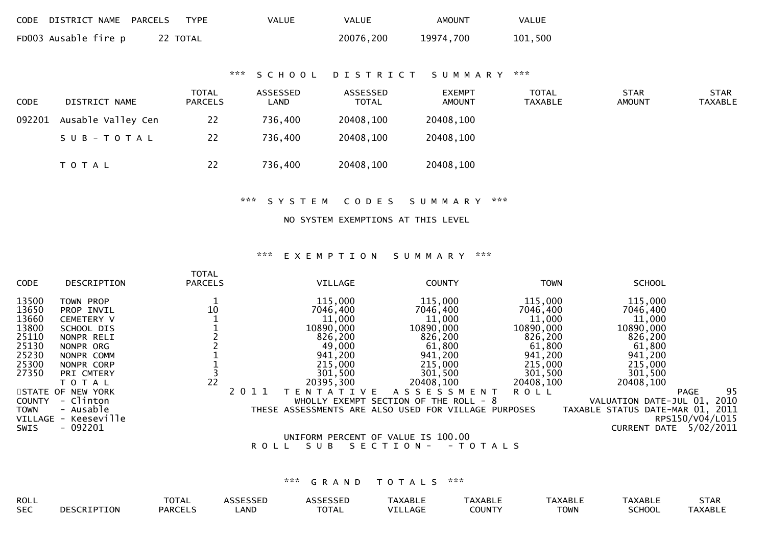| CODE DISTRICT NAME PARCELS | TYPE     | VALUE | <b>VALUE</b> | <b>AMOUNT</b> | VALUE   |
|----------------------------|----------|-------|--------------|---------------|---------|
| FD003 Ausable fire p       | 22 TOTAL |       | 20076,200    | 19974,700     | 101,500 |

## \*\*\* S C H O O L D I S T R I C T S U M M A R Y \*\*\*

| <b>CODE</b> | DISTRICT NAME      | <b>TOTAL</b><br><b>PARCELS</b> | ASSESSED<br>LAND | ASSESSED<br><b>TOTAL</b> | EXEMPT<br><b>AMOUNT</b> | TOTAL<br>TAXABLE | <b>STAR</b><br><b>AMOUNT</b> | <b>STAR</b><br><b>TAXABLE</b> |
|-------------|--------------------|--------------------------------|------------------|--------------------------|-------------------------|------------------|------------------------------|-------------------------------|
| 092201      | Ausable Valley Cen | 22                             | 736,400          | 20408,100                | 20408,100               |                  |                              |                               |
|             | SUB-TOTAL          | 22                             | 736,400          | 20408,100                | 20408,100               |                  |                              |                               |
|             | T O T A L          | 22                             | 736,400          | 20408,100                | 20408,100               |                  |                              |                               |

#### \*\*\* S Y S T E M C O D E S S U M M A R Y \*\*\*

## NO SYSTEM EXEMPTIONS AT THIS LEVEL

#### \*\*\* E X E M P T I O N S U M M A R Y \*\*\*

| CODE          | DESCRIPTION          | <b>TOTAL</b><br><b>PARCELS</b> |      | VILLAGE           | <b>COUNTY</b>                                        | <b>TOWN</b> | <b>SCHOOL</b>                    |                 |
|---------------|----------------------|--------------------------------|------|-------------------|------------------------------------------------------|-------------|----------------------------------|-----------------|
| 13500         | TOWN PROP            |                                |      | 115,000           | 115,000                                              | 115,000     | 115,000                          |                 |
| 13650         | PROP INVIL           | 10                             |      | 7046,400          | 7046,400                                             | 7046,400    | 7046,400                         |                 |
| 13660         | CEMETERY V           |                                |      | 11,000            | 11,000                                               | 11,000      | 11,000                           |                 |
| 13800         | SCHOOL DIS           |                                |      | 10890,000         | 10890,000                                            | 10890,000   | 10890,000                        |                 |
| 25110         | NONPR RELI           |                                |      | 826,200           | 826,200                                              | 826,200     | 826,200                          |                 |
| 25130         | NONPR ORG            |                                |      | 49,000            | 61,800                                               | 61,800      | 61,800                           |                 |
| 25230         | NONPR COMM           |                                |      | 941,200           | 941,200                                              | 941,200     | 941,200                          |                 |
| 25300         | NONPR CORP           |                                |      | 215,000           | 215,000                                              | 215,000     | 215,000                          |                 |
| 27350         | PRI CMTERY           |                                |      | 301,500           | 301,500                                              | 301,500     | 301,500                          |                 |
|               | T O T A L            | 22                             |      | 20395,300         | 20408,100                                            | 20408,100   | 20408,100                        |                 |
|               | STATE OF NEW YORK    |                                | 2011 | T E N T A T I V E | <b>ASSESSMENT</b>                                    | <b>ROLL</b> | <b>PAGE</b>                      | 95              |
| <b>COUNTY</b> | - Clinton            |                                |      |                   | WHOLLY EXEMPT SECTION OF THE ROLL $-8$               |             | VALUATION DATE-JUL 01,           | 2010            |
| <b>TOWN</b>   | - Ausable            |                                |      |                   | THESE ASSESSMENTS ARE ALSO USED FOR VILLAGE PURPOSES |             | TAXABLE STATUS DATE-MAR 01, 2011 |                 |
|               | VILLAGE - Keeseville |                                |      |                   |                                                      |             |                                  | RPS150/V04/L015 |
| SWIS          | $-092201$            |                                |      |                   |                                                      |             | <b>CURRENT DATE</b>              | 5/02/2011       |
|               |                      |                                |      |                   | UNIFORM PERCENT OF VALUE IS 100.00                   |             |                                  |                 |
|               |                      |                                |      |                   |                                                      | - - - - - - |                                  |                 |

## R O L L S U B S E C T I O N - - T O T A L S

| ROLL       |                        | π∩π∧<br>UIAL |      | $\begin{array}{c} \n \bullet \bullet \bullet \bullet \bullet \bullet \bullet \bullet \end{array}$ | <b>TAXABLE</b> | <sup>-</sup> AXABLL | <b>XABLI</b> | "VAADL.           | SIAK                                            |
|------------|------------------------|--------------|------|---------------------------------------------------------------------------------------------------|----------------|---------------------|--------------|-------------------|-------------------------------------------------|
| <b>SEC</b> | $c$ cotot $\pi$<br>ION | PARCEI       | LAND | -~- <u>-</u><br>IOIAL                                                                             | $\sim$<br>וטר  | TOUNT:              | TOWN         | CCDIOR<br>וטטווטנ | $\Delta$ $\vee$ $\Delta$ $\Box$ $\Box$<br>ABLL" |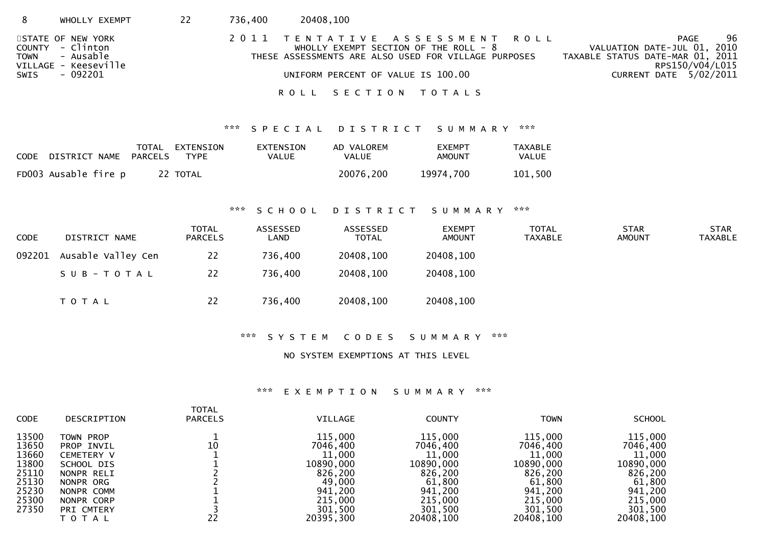| 8    | WHOLLY EXEMPT                                                                               | 22 | 736,400 | 20408,100 |                                                                                                                                                                         |                                                                                                                              |
|------|---------------------------------------------------------------------------------------------|----|---------|-----------|-------------------------------------------------------------------------------------------------------------------------------------------------------------------------|------------------------------------------------------------------------------------------------------------------------------|
| SWIS | STATE OF NEW YORK<br>COUNTY - Clinton<br>TOWN - Ausable<br>VILLAGE - Keeseville<br>- 092201 |    |         |           | 2011 TENTATIVE ASSESSMENT ROLL<br>WHOLLY EXEMPT SECTION OF THE ROLL - $8$<br>THESE ASSESSMENTS ARE ALSO USED FOR VILLAGE PURPOSES<br>UNIFORM PERCENT OF VALUE IS 100.00 | 96<br>PAGE<br>VALUATION DATE-JUL 01, 2010<br>TAXABLE STATUS DATE-MAR 01, 2011<br>RPS150/V04/L015<br>CURRENT DATE $5/02/2011$ |
|      |                                                                                             |    |         |           | ROLL SECTION TOTALS                                                                                                                                                     |                                                                                                                              |

## \*\*\* S P E C I A L D I S T R I C T S U M M A R Y \*\*\*

| CODE DISTRICT NAME PARCELS | TOTAL EXTENSION<br>TYPE | EXTENSION<br>VALUE | AD VALOREM<br>VALUE | <b>EXEMPT</b><br>AMOUNT | TAXABLE<br>VALUE |
|----------------------------|-------------------------|--------------------|---------------------|-------------------------|------------------|
| FD003 Ausable fire p       | 22 TOTAL                |                    | 20076,200           | 19974,700               | 101,500          |

### \*\*\* S C H O O L D I S T R I C T S U M M A R Y \*\*\*

| <b>CODE</b> | DISTRICT NAME      | <b>TOTAL</b><br><b>PARCELS</b> | ASSESSED<br>LAND | ASSESSED<br><b>TOTAL</b> | <b>EXEMPT</b><br><b>AMOUNT</b> | TOTAL<br><b>TAXABLE</b> | <b>STAR</b><br><b>AMOUNT</b> | <b>STAR</b><br><b>TAXABLE</b> |
|-------------|--------------------|--------------------------------|------------------|--------------------------|--------------------------------|-------------------------|------------------------------|-------------------------------|
| 092201      | Ausable Valley Cen | 22                             | 736,400          | 20408,100                | 20408,100                      |                         |                              |                               |
|             | SUB-TOTAL          | 22                             | 736,400          | 20408,100                | 20408,100                      |                         |                              |                               |
|             | T O T A L          | 22                             | 736,400          | 20408,100                | 20408,100                      |                         |                              |                               |

## \*\*\* S Y S T E M C O D E S S U M M A R Y \*\*\*

### NO SYSTEM EXEMPTIONS AT THIS LEVEL

### \*\*\* E X E M P T I O N S U M M A R Y \*\*\*

| <b>CODE</b>    | DESCRIPTION              | TOTAL<br><b>PARCELS</b> | <b>VILLAGE</b>      | <b>COUNTY</b>       | <b>TOWN</b>         | <b>SCHOOL</b>       |
|----------------|--------------------------|-------------------------|---------------------|---------------------|---------------------|---------------------|
| 13500          | TOWN PROP                |                         | 115,000             | 115,000             | 115,000             | 115,000             |
| 13650          | PROP INVIL               | 10                      | 7046.400            | 7046,400            | 7046,400            | 7046,400            |
| 13660<br>13800 | <b>CEMETERY V</b>        |                         | 11,000<br>10890,000 | 11,000<br>10890,000 | 11,000<br>10890,000 | 11,000<br>10890,000 |
| 25110          | SCHOOL DIS<br>NONPR RELI |                         | 826,200             | 826,200             | 826,200             | 826,200             |
| 25130          | NONPR ORG                |                         | 49,000              | 61,800              | 61,800              | 61,800              |
| 25230          | NONPR COMM               |                         | 941,200             | 941,200             | 941,200             | 941,200             |
| 25300          | NONPR CORP               |                         | 215,000             | 215,000             | 215,000             | 215,000             |
| 27350          | PRI CMTERY               |                         | 301,500             | 301,500             | 301,500             | 301,500             |
|                | T O T A L                | 22                      | 20395,300           | 20408,100           | 20408,100           | 20408,100           |
|                |                          |                         |                     |                     |                     |                     |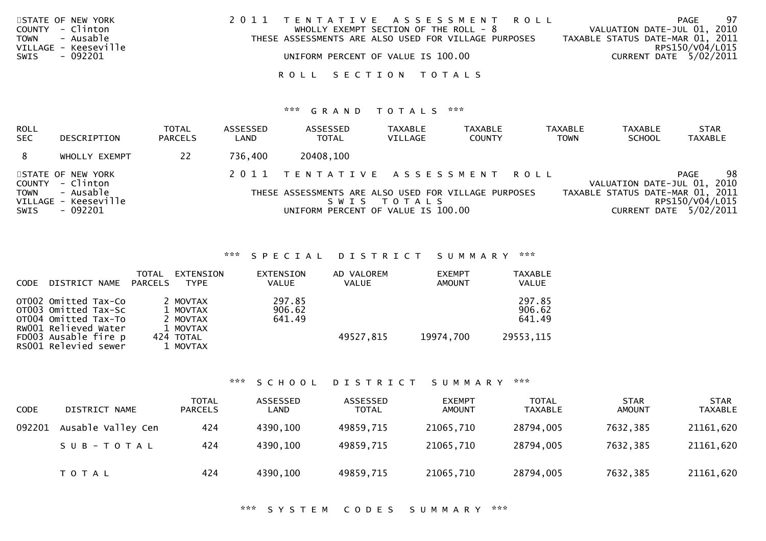| STATE OF NEW YORK<br>COUNTY - Clinton<br>TOWN - Ausable | 2011 TENTATIVE ASSESSMENT ROLL<br>WHOLLY EXEMPT SECTION OF THE ROLL - $8$<br>THESE ASSESSMENTS ARE ALSO USED FOR VILLAGE PURPOSES | - 97<br>PAGE<br>VALUATION DATE-JUL 01, 2010<br>TAXABLE STATUS DATE-MAR 01, 2011 |
|---------------------------------------------------------|-----------------------------------------------------------------------------------------------------------------------------------|---------------------------------------------------------------------------------|
| VILLAGE - Keeseville<br>- 092201<br>SWIS                | UNIFORM PERCENT OF VALUE IS 100.00                                                                                                | RPS150/V04/L015<br>CURRENT DATE 5/02/2011                                       |
|                                                         | ROLL SECTION TOTALS                                                                                                               |                                                                                 |

## \*\*\* G R A N D T O T A L S \*\*\*

| ROLL<br><b>SEC</b>            | DESCRIPTION                                                                     | <b>TOTAL</b><br><b>PARCELS</b> | ASSESSED<br>LAND | ASSESSED<br><b>TOTAL</b>                                                                                                     | <b>TAXABLE</b><br>VILLAGE | <b>TAXABLE</b><br><b>COUNTY</b> | <b>TAXABLE</b><br><b>TOWN</b> | <b>TAXABLE</b><br><b>SCHOOL</b>  | <b>STAR</b><br><b>TAXABLE</b>                                                                 |
|-------------------------------|---------------------------------------------------------------------------------|--------------------------------|------------------|------------------------------------------------------------------------------------------------------------------------------|---------------------------|---------------------------------|-------------------------------|----------------------------------|-----------------------------------------------------------------------------------------------|
| 8                             | WHOLLY EXEMPT                                                                   | 22                             | 736,400          | 20408,100                                                                                                                    |                           |                                 |                               |                                  |                                                                                               |
| COUNTY<br><b>TOWN</b><br>SWIS | STATE OF NEW YORK<br>- Clinton<br>- Ausable<br>VILLAGE - Keeseville<br>- 092201 |                                |                  | 2011 TENTATIVE ASSESSMENT ROLL<br>THESE ASSESSMENTS ARE ALSO USED FOR VILLAGE PURPOSES<br>UNIFORM PERCENT OF VALUE IS 100.00 | SWIS TOTALS               |                                 |                               | TAXABLE STATUS DATE-MAR 01, 2011 | 98<br><b>PAGE</b><br>VALUATION DATE-JUL 01, 2010<br>RPS150/V04/L015<br>CURRENT DATE 5/02/2011 |

\*\*\* S P E C I A L D I S T R I C T S U M M A R Y \*\*\*

| <b>CODE</b> | DISTRICT NAME                                                                                | TOTAL<br>PARCELS | EXTENSION<br>TYPE                            | EXTENSION<br><b>VALUE</b>  | AD VALOREM<br><b>VALUE</b> | <b>EXEMPT</b><br><b>AMOUNT</b> | <b>TAXABLE</b><br><b>VALUE</b> |
|-------------|----------------------------------------------------------------------------------------------|------------------|----------------------------------------------|----------------------------|----------------------------|--------------------------------|--------------------------------|
|             | OT002 Omitted Tax-Co<br>OT003 Omitted Tax-Sc<br>OTO04 Omitted Tax-To<br>RW001 Relieved Water |                  | 2 MOVTAX<br>1 MOVTAX<br>2 MOVTAX<br>1 MOVTAX | 297.85<br>906.62<br>641.49 |                            |                                | 297.85<br>906.62<br>641.49     |
|             | FD003 Ausable fire p<br>RS001 Relevied sewer                                                 |                  | 424 TOTAL<br>1 MOVTAX                        |                            | 49527,815                  | 19974,700                      | 29553,115                      |

\*\*\* S C H O O L D I S T R I C T S U M M A R Y \*\*\*

| <b>CODE</b> | DISTRICT NAME      | <b>TOTAL</b><br><b>PARCELS</b> | ASSESSED<br>LAND | ASSESSED<br><b>TOTAL</b> | <b>EXEMPT</b><br><b>AMOUNT</b> | TOTAL<br><b>TAXABLE</b> | <b>STAR</b><br><b>AMOUNT</b> | <b>STAR</b><br>TAXABLE |
|-------------|--------------------|--------------------------------|------------------|--------------------------|--------------------------------|-------------------------|------------------------------|------------------------|
| 092201      | Ausable Valley Cen | 424                            | 4390,100         | 49859,715                | 21065,710                      | 28794,005               | 7632,385                     | 21161,620              |
|             | $SUB - TO TAL$     | 424                            | 4390,100         | 49859,715                | 21065,710                      | 28794,005               | 7632,385                     | 21161,620              |
|             | <b>TOTAL</b>       | 424                            | 4390,100         | 49859,715                | 21065,710                      | 28794,005               | 7632,385                     | 21161,620              |

\*\*\* S Y S T E M C O D E S S U M M A R Y \*\*\*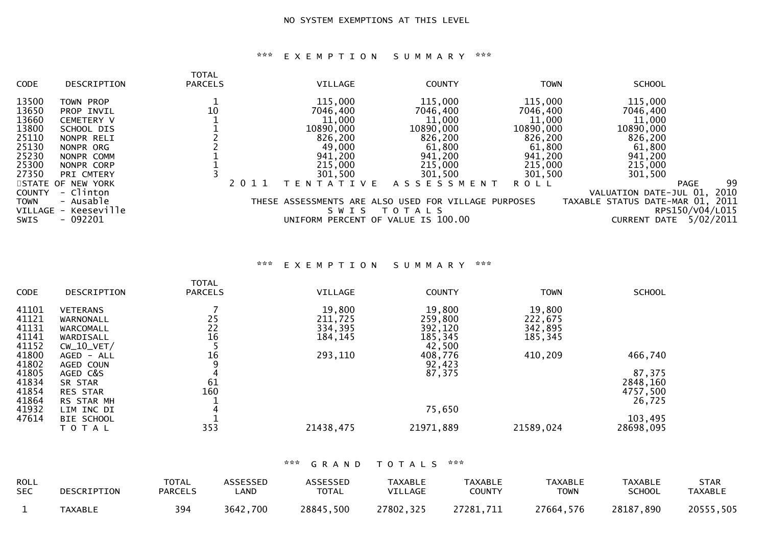## \*\*\* E X E M P T I O N S U M M A R Y \*\*\*

| <b>CODE</b>   | DESCRIPTION          | TOTAL<br><b>PARCELS</b> |      | VILLAGE           | <b>COUNTY</b>                                        | <b>TOWN</b> | <b>SCHOOL</b>                    |      |
|---------------|----------------------|-------------------------|------|-------------------|------------------------------------------------------|-------------|----------------------------------|------|
| 13500         | <b>TOWN PROP</b>     |                         |      | 115,000           | 115,000                                              | 115,000     | 115,000                          |      |
| 13650         | PROP INVIL           | 10                      |      | 7046,400          | 7046,400                                             | 7046,400    | 7046,400                         |      |
| 13660         | <b>CEMETERY V</b>    |                         |      | 11,000            | 11,000                                               | 11,000      | 11,000                           |      |
| 13800         | SCHOOL DIS           |                         |      | 10890,000         | 10890,000                                            | 10890,000   | 10890,000                        |      |
| 25110         | NONPR RELI           |                         |      | 826,200           | 826,200                                              | 826,200     | 826,200                          |      |
| 25130         | NONPR ORG            |                         |      | 49,000            | 61,800                                               | 61,800      | 61,800                           |      |
| 25230         | NONPR COMM           |                         |      | 941,200           | 941,200                                              | 941,200     | 941,200                          |      |
| 25300         | NONPR CORP           |                         |      | 215,000           | 215,000                                              | 215,000     | 215,000                          |      |
| 27350         | PRI CMTERY           |                         |      | 301,500           | 301,500                                              | 301,500     | 301,500                          |      |
|               | STATE OF NEW YORK    |                         | 2011 | T E N T A T I V E | A S S E S S M E N T                                  | <b>ROLL</b> | <b>PAGE</b>                      | 99   |
| <b>COUNTY</b> | - Clinton            |                         |      |                   |                                                      |             | VALUATION DATE-JUL 01,           | 2010 |
| <b>TOWN</b>   | - Ausable            |                         |      |                   | THESE ASSESSMENTS ARE ALSO USED FOR VILLAGE PURPOSES |             | TAXABLE STATUS DATE-MAR 01,      | 2011 |
|               | VILLAGE - Keeseville |                         |      | S W I S           | T O T A L S                                          |             | RPS150/V04/L015                  |      |
| <b>SWIS</b>   | $-092201$            |                         |      |                   | UNIFORM PERCENT OF VALUE IS 100.00                   |             | 5/02/2011<br><b>CURRENT DATE</b> |      |
|               |                      |                         |      |                   |                                                      |             |                                  |      |

\*\*\* E X E M P T I O N S U M M A R Y \*\*\*

| <b>CODE</b> | DESCRIPTION     | <b>TOTAL</b><br><b>PARCELS</b> | VILLAGE   | <b>COUNTY</b> | <b>TOWN</b> | <b>SCHOOL</b> |
|-------------|-----------------|--------------------------------|-----------|---------------|-------------|---------------|
| 41101       | <b>VETERANS</b> |                                | 19,800    | 19,800        | 19,800      |               |
| 41121       | WARNONALL       | 25                             | 211,725   | 259,800       | 222,675     |               |
| 41131       | WARCOMALL       | 22                             | 334,395   | 392,120       | 342,895     |               |
| 41141       | WARDISALL       | 16                             | 184, 145  | 185,345       | 185,345     |               |
| 41152       | $CW_10_VET/$    |                                |           | 42,500        |             |               |
| 41800       | AGED - ALL      | 16                             | 293,110   | 408,776       | 410,209     | 466,740       |
| 41802       | AGED COUN       |                                |           | 92,423        |             |               |
| 41805       | AGED C&S        |                                |           | 87,375        |             | 87,375        |
| 41834       | SR STAR         | 61                             |           |               |             | 2848,160      |
| 41854       | <b>RES STAR</b> | 160                            |           |               |             | 4757,500      |
| 41864       | RS STAR MH      |                                |           |               |             | 26,725        |
| 41932       | LIM INC DI      |                                |           | 75,650        |             |               |
| 47614       | BIE SCHOOL      |                                |           |               |             | 103,495       |
|             | T O T A L       | 353                            | 21438,475 | 21971,889     | 21589,024   | 28698,095     |

| <b>ROLL</b> | <b>DESCRIPTION</b> | <b>TOTAL</b> | ASSESSED | <b>ASSESSED</b> | TAXABLE   | TAXABLE       | <b>TAXABLE</b> | <b>TAXABLE</b> | <b>STAR</b>    |
|-------------|--------------------|--------------|----------|-----------------|-----------|---------------|----------------|----------------|----------------|
| <b>SEC</b>  |                    | PARCELS      | ∟AND     | <b>TOTAL</b>    | VILLAGE   | <b>COUNTY</b> | <b>TOWN</b>    | <b>SCHOOL</b>  | <b>TAXABLE</b> |
|             | <b>TAXABLE</b>     | 394          | 3642,700 | 28845,500       | 27802,325 | 27281,711     | 27664,576      | 28187,890      | 20555,505      |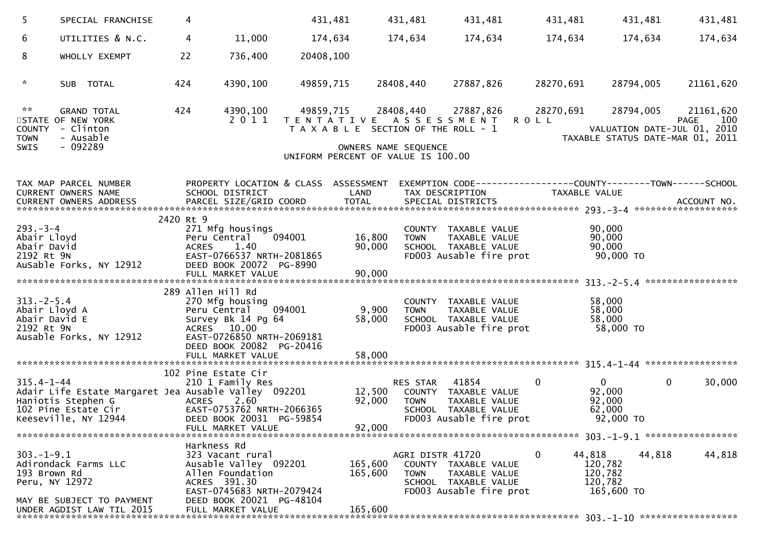| 5                                                               | SPECIAL FRANCHISE                                                                                                         | 4                 |                                                                                                                                      |           | 431,481                    | 431,481                                                    | 431,481                                                                                           |             | 431,481                                                 | 431,481   | 431,481                                                                                     |
|-----------------------------------------------------------------|---------------------------------------------------------------------------------------------------------------------------|-------------------|--------------------------------------------------------------------------------------------------------------------------------------|-----------|----------------------------|------------------------------------------------------------|---------------------------------------------------------------------------------------------------|-------------|---------------------------------------------------------|-----------|---------------------------------------------------------------------------------------------|
| 6                                                               | UTILITIES & N.C.                                                                                                          | 4                 | 11,000                                                                                                                               | 174,634   |                            | 174,634                                                    | 174,634                                                                                           |             | 174,634                                                 | 174,634   | 174,634                                                                                     |
| 8                                                               | WHOLLY EXEMPT                                                                                                             | 22                | 736,400                                                                                                                              | 20408,100 |                            |                                                            |                                                                                                   |             |                                                         |           |                                                                                             |
| $\mathcal{H}$                                                   | SUB TOTAL                                                                                                                 | 424               | 4390,100                                                                                                                             | 49859,715 |                            | 28408,440                                                  | 27887,826                                                                                         | 28270,691   |                                                         | 28794,005 | 21161,620                                                                                   |
| $\kappa \times$<br><b>COUNTY</b><br><b>TOWN</b><br>SWIS         | <b>GRAND TOTAL</b><br>STATE OF NEW YORK<br>- Clinton<br>- Ausable<br>$-092289$                                            | 424               | 4390,100<br>2011                                                                                                                     |           | 49859,715                  | OWNERS NAME SEQUENCE<br>UNIFORM PERCENT OF VALUE IS 100.00 | 28408,440 27887,826<br>TENTATIVE ASSESSMENT ROLL<br>T A X A B L E SECTION OF THE ROLL - 1         |             | 28270,691                                               | 28794,005 | 21161,620<br>100<br>PAGE<br>VALUATION DATE-JUL 01, 2010<br>TAXABLE STATUS DATE-MAR 01, 2011 |
|                                                                 | TAX MAP PARCEL NUMBER<br>CURRENT OWNERS NAME                                                                              |                   | PROPERTY LOCATION & CLASS ASSESSMENT<br>SCHOOL DISTRICT                                                                              |           | LAND                       |                                                            | TAX DESCRIPTION                                                                                   |             | TAXABLE VALUE                                           |           | EXEMPTION CODE------------------COUNTY--------TOWN------SCHOOL                              |
|                                                                 |                                                                                                                           |                   |                                                                                                                                      |           |                            |                                                            |                                                                                                   |             |                                                         |           |                                                                                             |
| $293 - 3 - 4$<br>Abair Lloyd<br>Abair David<br>2192 Rt 9N       | AuSable Forks, NY 12912                                                                                                   | 2420 Rt 9         | 271 Mfg housings<br>Peru Central 094001<br>ACRES 1.40<br>EAST-0766537 NRTH-2081865<br>DEED BOOK 20072 PG-8990                        |           | 16,800<br>90,000           | <b>TOWN</b>                                                | COUNTY TAXABLE VALUE<br>TAXABLE VALUE<br>SCHOOL TAXABLE VALUE<br>FD003 Ausable fire prot          |             | 90,000<br>90,000<br>90,000<br>90,000 TO                 |           |                                                                                             |
|                                                                 |                                                                                                                           |                   |                                                                                                                                      |           |                            |                                                            |                                                                                                   |             |                                                         |           |                                                                                             |
| $313 - 2 - 5.4$<br>Abair Lloyd A<br>Abair David E<br>2192 Rt 9N | Ausable Forks, NY 12912                                                                                                   | 289 Allen Hill Rd | 270 Mfg housing<br>Peru Central 094001<br>Survey Bk 14 Pg 64<br>ACRES 10.00<br>EAST-0726850 NRTH-2069181<br>DEED BOOK 20082 PG-20416 |           | 9,900<br>58,000            | <b>TOWN</b>                                                | COUNTY TAXABLE VALUE<br>TAXABLE VALUE<br>SCHOOL TAXABLE VALUE<br>FD003 Ausable fire prot          |             | 58,000<br>58,000<br>58,000<br>58,000 TO                 |           |                                                                                             |
|                                                                 |                                                                                                                           |                   |                                                                                                                                      |           |                            |                                                            |                                                                                                   |             |                                                         |           |                                                                                             |
| $315.4 - 1 - 44$                                                | Adair Life Estate Margaret Jea Ausable Valley 092201<br>Haniotis Stephen G<br>102 Pine Estate Cir<br>Keeseville, NY 12944 | <b>ACRES</b>      | 102 Pine Estate Cir<br>210 1 Family Res<br>2.60<br>EAST-0753762 NRTH-2066365<br>DEED BOOK 20031 PG-59854<br>FULL MARKET VALUE        |           | 12,500<br>92,000<br>92,000 | RES STAR<br><b>TOWN</b>                                    | 41854<br>COUNTY TAXABLE VALUE<br>TAXABLE VALUE<br>SCHOOL TAXABLE VALUE<br>FD003 Ausable fire prot | $\mathbf 0$ | $\mathbf{0}$<br>92,000<br>92,000<br>62,000<br>92,000 TO |           | $\mathbf{0}$<br>30,000                                                                      |
|                                                                 |                                                                                                                           | Harkness Rd       |                                                                                                                                      |           |                            |                                                            |                                                                                                   |             |                                                         |           |                                                                                             |
| $303.-1-9.1$<br>193 Brown Rd<br>Peru, NY 12972                  | Adirondack Farms LLC                                                                                                      |                   | 323 Vacant rural<br>Ausable Valley 092201<br>Allen Foundation<br>ACRES 391.30<br>EAST-0745683 NRTH-2079424                           |           | 165,600<br>165,600         | AGRI DISTR 41720<br><b>TOWN</b>                            | COUNTY TAXABLE VALUE<br>TAXABLE VALUE<br>SCHOOL TAXABLE VALUE<br>FD003 Ausable fire prot          | 0           | 44,818<br>120,782<br>120,782<br>120,782<br>165,600 TO   | 44,818    | 44,818                                                                                      |
|                                                                 | MAY BE SUBJECT TO PAYMENT<br>UNDER AGDIST LAW TIL 2015                                                                    |                   | DEED BOOK 20021 PG-48104<br>FULL MARKET VALUE                                                                                        |           | 165,600                    |                                                            |                                                                                                   |             |                                                         |           |                                                                                             |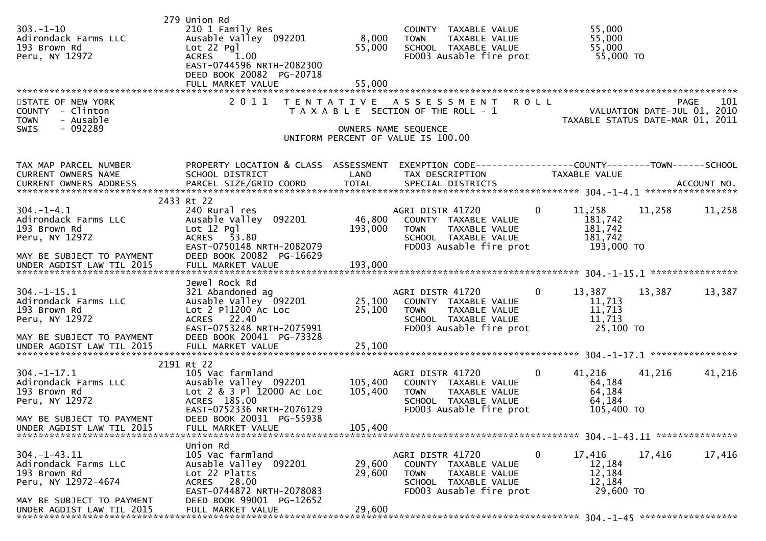| $303. - 1 - 10$<br>Adirondack Farms LLC<br>193 Brown Rd<br>Peru, NY 12972                                                             | 279 Union Rd<br>210 1 Family Res<br>Ausable Valley 092201<br>$Lot 22$ $Pq$ ]<br>1.00<br><b>ACRES</b><br>EAST-0744596 NRTH-2082300<br>DEED BOOK 20082 PG-20718<br>FULL MARKET VALUE | 8,000<br>55,000<br>55,000 | COUNTY TAXABLE VALUE<br>TAXABLE VALUE<br><b>TOWN</b><br>SCHOOL TAXABLE VALUE<br>FD003 Ausable fire prot 55,000 TO                                                                |                                                | 55,000<br>55,000<br>55,000                         |                    |
|---------------------------------------------------------------------------------------------------------------------------------------|------------------------------------------------------------------------------------------------------------------------------------------------------------------------------------|---------------------------|----------------------------------------------------------------------------------------------------------------------------------------------------------------------------------|------------------------------------------------|----------------------------------------------------|--------------------|
| STATE OF NEW YORK<br>COUNTY - Clinton<br>- Ausable<br><b>TOWN</b><br>- 092289<br>SWIS                                                 | 2011                                                                                                                                                                               |                           | TENTATIVE ASSESSMENT ROLL<br>PAGE 101<br>T A X A B L E SECTION OF THE ROLL - 1<br>TAXABLE STATUS DATE-MAR 01, 2011<br>OWNERS NAME SEQUENCE<br>UNIFORM PERCENT OF VALUE IS 100.00 |                                                |                                                    | <b>PAGE</b><br>101 |
| TAX MAP PARCEL NUMBER<br>CURRENT OWNERS NAME<br>CURRENT OWNERS ADDRESS                                                                | PROPERTY LOCATION & CLASS ASSESSMENT<br>SCHOOL DISTRICT                                                                                                                            | LAND                      | EXEMPTION CODE-----------------COUNTY-------TOWN-----SCHOOL<br>TAX DESCRIPTION                                                                                                   | TAXABLE VALUE                                  |                                                    |                    |
| $304. -1 - 4.1$<br>Adirondack Farms LLC<br>193 Brown Rd<br>Peru, NY 12972<br>MAY BE SUBJECT TO PAYMENT                                | 2433 Rt 22<br>240 Rural res<br>Ausable Valley 092201<br>$Lot 12$ $Pq$ ]<br>ACRES 53.80<br>EAST-0750148 NRTH-2082079<br>DEED BOOK 20082 PG-16629                                    | 46,800<br>193,000         | AGRI DISTR 41720<br>COUNTY TAXABLE VALUE<br>TAXABLE VALUE<br><b>TOWN</b><br>SCHOOL TAXABLE VALUE<br>FD003 Ausable fire prot 193,000 TO                                           | $\overline{0}$<br>11,258<br>181,742<br>181,742 | 11,258<br>181,742                                  | 11,258             |
| UNDER AGDIST LAW TIL 2015                                                                                                             | FULL MARKET VALUE                                                                                                                                                                  | 193,000                   |                                                                                                                                                                                  |                                                |                                                    |                    |
| $304. - 1 - 15.1$<br>Adirondack Farms LLC<br>193 Brown Rd<br>Peru, NY 12972<br>MAY BE SUBJECT TO PAYMENT                              | Jewel Rock Rd<br>321 Abandoned ag<br>Lot 2 P11200 AC Loc<br>ACRES 22.40<br>EAST-0753248 NRTH-2075991<br>DEED BOOK 20041 PG-73328                                                   |                           | AGRI DISTR 41720 0<br>SCHOOL TAXABLE VALUE<br>FD003 Ausable fire prot                                                                                                            | 13,387<br>11,713                               | 13,387<br>11,713<br>11,713<br>25,100 TO            | 13,387             |
| UNDER AGDIST LAW TIL 2015                                                                                                             | FULL MARKET VALUE                                                                                                                                                                  | 25,100                    |                                                                                                                                                                                  |                                                |                                                    |                    |
| $304. - 1 - 17.1$<br>Adirondack Farms LLC<br>193 Brown Rd<br>Peru, NY 12972<br>MAY BE SUBJECT TO PAYMENT<br>UNDER AGDIST LAW TIL 2015 | 2191 Rt 22<br>105 Vac farmland<br>Ausable Valley 092201<br>Lot 2 & 3 Pl 12000 Ac Loc<br>ACRES 185.00<br>EAST-0752336 NRTH-2076129<br>DEED BOOK 20031 PG-55938<br>FULL MARKET VALUE | 105,400<br>105,400        | AGRI DISTR 41720<br>105,400 COUNTY TAXABLE VALUE<br>TAXABLE VALUE<br>TOWN<br>SCHOOL TAXABLE VALUE<br>FD003 Ausable fire prot                                                     | $\overline{0}$<br>41,216                       | 41,216<br>64,184<br>64,184<br>64,184<br>105,400 TO | 41,216             |
|                                                                                                                                       | Union Rd                                                                                                                                                                           |                           |                                                                                                                                                                                  |                                                |                                                    |                    |
| $304. -1 - 43.11$<br>Adirondack Farms LLC<br>193 Brown Rd<br>Peru, NY 12972-4674                                                      | 105 Vac farmland<br>Ausable Valley 092201<br>Lot 22 Platts<br>ACRES 28.00<br>EAST-0744872 NRTH-2078083<br>DEED BOOK 99001 PG-12652                                                 | 29,600<br>29,600          | AGRI DISTR 41720<br>COUNTY TAXABLE VALUE<br><b>TOWN</b><br>TAXABLE VALUE<br>SCHOOL TAXABLE VALUE<br>FD003 Ausable fire prot                                                      | $\mathbf 0$<br>17,416                          | 17,416<br>12,184<br>12,184<br>12,184<br>29,600 TO  | 17,416             |
| MAY BE SUBJECT TO PAYMENT<br>UNDER AGDIST LAW TIL 2015                                                                                | FULL MARKET VALUE                                                                                                                                                                  | 29,600                    |                                                                                                                                                                                  |                                                |                                                    |                    |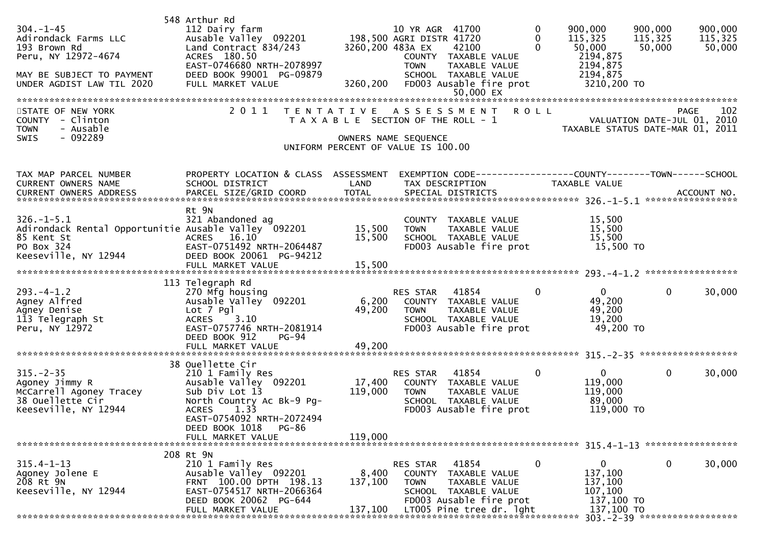| $304. -1 - 45$<br>Adirondack Farms LLC<br>193 Brown Rd<br>Peru, NY 12972-4674<br>MAY BE SUBJECT TO PAYMENT<br>UNDER AGDIST LAW TIL 2020 | 548 Arthur Rd<br>112 Dairy farm<br>Ausable Valley 092201<br>Land Contract 834/243<br>ACRES 180.50<br>EAST-0746680 NRTH-2078997<br>DEED BOOK 99001 PG-09879<br>FULL MARKET VALUE                                          | 3260,200 483A EX<br>3260,200 | 10 YR AGR 41700<br>198,500 AGRI DISTR 41720<br>42100<br>COUNTY TAXABLE VALUE<br>TAXABLE VALUE<br><b>TOWN</b><br>SCHOOL TAXABLE VALUE<br>FD003 Ausable fire prot<br>50,000 EX | 0<br>$\Omega$<br>$\Omega$ | 900,000<br>115,325<br>50,000<br>2194,875<br>2194,875<br>2194,875<br>3210,200 TO | 900,000<br>115,325<br>50,000                                            | 900,000<br>115,325<br>50,000 |
|-----------------------------------------------------------------------------------------------------------------------------------------|--------------------------------------------------------------------------------------------------------------------------------------------------------------------------------------------------------------------------|------------------------------|------------------------------------------------------------------------------------------------------------------------------------------------------------------------------|---------------------------|---------------------------------------------------------------------------------|-------------------------------------------------------------------------|------------------------------|
| STATE OF NEW YORK<br>COUNTY - Clinton<br>- Ausable<br><b>TOWN</b><br>$-092289$<br>SWIS                                                  | 2011                                                                                                                                                                                                                     |                              | TENTATIVE ASSESSMENT ROLL<br>T A X A B L E SECTION OF THE ROLL - 1<br>OWNERS NAME SEQUENCE<br>UNIFORM PERCENT OF VALUE IS 100.00                                             |                           |                                                                                 | PAGE<br>VALUATION DATE-JUL 01, 2010<br>TAXABLE STATUS DATE-MAR 01, 2011 | 102                          |
| TAX MAP PARCEL NUMBER<br>CURRENT OWNERS NAME                                                                                            | PROPERTY LOCATION & CLASS ASSESSMENT<br>SCHOOL DISTRICT                                                                                                                                                                  | LAND                         | EXEMPTION CODE-----------------COUNTY-------TOWN------SCHOOL<br>TAX DESCRIPTION                                                                                              |                           | TAXABLE VALUE                                                                   |                                                                         |                              |
| $326. - 1 - 5.1$<br>Adirondack Rental Opportunitie Ausable Valley 092201<br>85 Kent St<br>PO Box 324<br>Keeseville, NY 12944            | Rt 9N<br>321 Abandoned ag<br>16.10<br><b>ACRES</b><br>EAST-0751492 NRTH-2064487<br>DEED BOOK 20061 PG-94212<br>FULL MARKET VALUE                                                                                         | 15,500<br>15,500<br>15,500   | COUNTY TAXABLE VALUE<br>TAXABLE VALUE<br><b>TOWN</b><br>SCHOOL TAXABLE VALUE<br>FD003 Ausable fire prot                                                                      |                           | 15,500<br>15,500<br>15,500<br>15,500 TO                                         |                                                                         |                              |
| $293. -4 - 1.2$<br>Agney Alfred<br>Agney Denise<br>113 Telegraph St<br>Peru, NY 12972                                                   | 113 Telegraph Rd<br>270 Mfg housing<br>Ausable Valley 092201<br>Lot 7 Pgl<br>3.10<br><b>ACRES</b><br>EAST-0757746 NRTH-2081914<br>DEED BOOK 912<br>$PG-94$                                                               | 6,200<br>49,200              | RES STAR<br>41854<br>COUNTY TAXABLE VALUE<br>TAXABLE VALUE<br>TOWN<br>SCHOOL TAXABLE VALUE<br>FD003 Ausable fire prot                                                        | $\mathbf{0}$              | $\overline{0}$<br>49,200<br>49,200<br>19,200<br>49,200 TO                       | $\mathbf{0}$                                                            | 30,000                       |
| $315. - 2 - 35$<br>Agoney Jimmy R<br>McCarrell Agoney Tracey<br>38 Ouellette Cir<br>Keeseville, NY 12944                                | 38 Ouellette Cir<br>210 1 Family Res<br>Ausable Valley 092201<br>Sub Div Lot 13<br>North Country Ac Bk-9 Pg-<br>1.33<br><b>ACRES</b><br>EAST-0754092 NRTH-2072494<br>DEED BOOK 1018<br><b>PG-86</b><br>FULL MARKET VALUE | 17,400<br>119,000<br>119,000 | 41854<br>RES STAR<br>COUNTY TAXABLE VALUE<br>TAXABLE VALUE<br><b>TOWN</b><br>SCHOOL TAXABLE VALUE<br>FD003 Ausable fire prot                                                 | $\mathbf 0$               | $\mathbf{0}$<br>119,000<br>119,000<br>89,000<br>119,000 TO                      | $\mathbf 0$                                                             | 30,000                       |
| $315.4 - 1 - 13$<br>Agoney Jolene E<br>208 Rt 9N<br>Keeseville, NY 12944                                                                | 208 Rt 9N<br>210 1 Family Res<br>Ausable Valley 092201<br>FRNT 100.00 DPTH 198.13<br>EAST-0754517 NRTH-2066364<br>DEED BOOK 20062 PG-644<br>FULL MARKET VALUE                                                            | 8,400<br>137,100<br>137,100  | RES STAR<br>41854<br>COUNTY<br>TAXABLE VALUE<br><b>TOWN</b><br>TAXABLE VALUE<br>SCHOOL TAXABLE VALUE<br>FD003 Ausable fire prot<br>LT005 Pine tree dr. lght                  | 0                         | $\mathbf{0}$<br>137,100<br>137,100<br>107,100<br>137,100 TO<br>137,100 TO       | 0                                                                       | 30,000                       |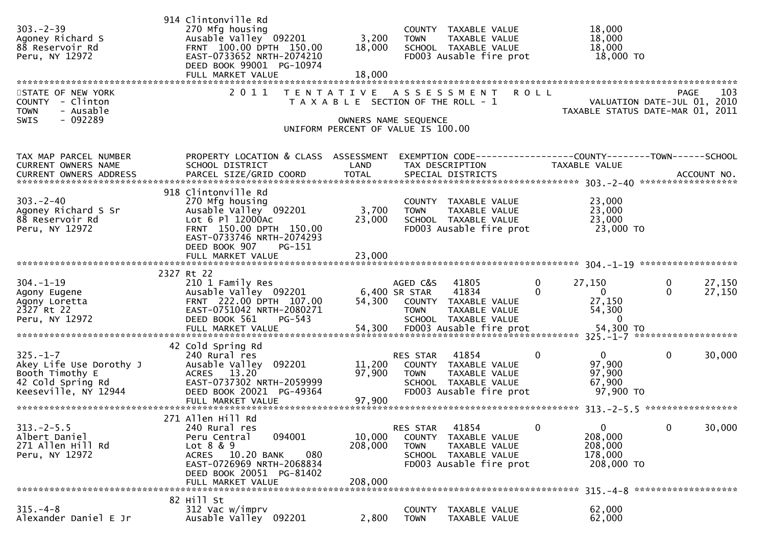| $303 - 2 - 39$<br>Agoney Richard S<br>88 Reservoir Rd<br>Peru, NY 12972<br>STATE OF NEW YORK              | 914 Clintonville Rd<br>270 Mfg housing<br>Ausable Valley 092201<br>FRNT 100.00 DPTH 150.00<br>EAST-0733652 NRTH-2074210<br>DEED BOOK 99001 PG-10974<br>FULL MARKET VALUE<br>2 0 1 1 | 3,200<br>18,000<br>18,000    | COUNTY TAXABLE VALUE<br><b>TOWN</b><br>TAXABLE VALUE<br>SCHOOL TAXABLE VALUE<br>FD003 Ausable fire prot<br>TENTATIVE ASSESSMENT | 18,000<br>18,000<br>18,000<br>18,000 TO<br><b>ROLL</b>                                  | 103<br>PAGE                                                     |
|-----------------------------------------------------------------------------------------------------------|-------------------------------------------------------------------------------------------------------------------------------------------------------------------------------------|------------------------------|---------------------------------------------------------------------------------------------------------------------------------|-----------------------------------------------------------------------------------------|-----------------------------------------------------------------|
| COUNTY - Clinton<br>- Ausable<br><b>TOWN</b><br>- 092289<br><b>SWIS</b>                                   |                                                                                                                                                                                     |                              | T A X A B L E SECTION OF THE ROLL - 1<br>OWNERS NAME SEQUENCE<br>UNIFORM PERCENT OF VALUE IS 100.00                             |                                                                                         | VALUATION DATE-JUL 01, 2010<br>TAXABLE STATUS DATE-MAR 01, 2011 |
| TAX MAP PARCEL NUMBER<br>CURRENT OWNERS NAME                                                              | PROPERTY LOCATION & CLASS ASSESSMENT<br>SCHOOL DISTRICT                                                                                                                             | LAND                         | EXEMPTION CODE-----------------COUNTY-------TOWN------SCHOOL<br>TAX DESCRIPTION                                                 | <b>TAXABLE VALUE</b>                                                                    |                                                                 |
| $303 - 2 - 40$<br>Agoney Richard S Sr<br>88 Reservoir Rd<br>Peru, NY 12972                                | 918 Clintonville Rd<br>270 Mfg housing<br>Ausable Valley 092201<br>Lot 6 Pl 12000Ac<br>FRNT 150.00 DPTH 150.00<br>EAST-0733746 NRTH-2074293<br>DEED BOOK 907<br>PG-151              | 3,700<br>23,000              | COUNTY TAXABLE VALUE<br>TAXABLE VALUE<br><b>TOWN</b><br>SCHOOL TAXABLE VALUE<br>FD003 Ausable fire prot                         | 23,000<br>23,000<br>23,000<br>23,000 TO                                                 |                                                                 |
|                                                                                                           |                                                                                                                                                                                     |                              |                                                                                                                                 |                                                                                         |                                                                 |
| $304. - 1 - 19$<br>Agony Eugene<br>Agony Loretta<br>2327 Rt 22<br>Peru, NY 12972                          | 2327 Rt 22<br>210 1 Family Res<br>Ausable Valley 092201<br>FRNT 222.00 DPTH 107.00<br>EAST-0751042 NRTH-2080271<br>DEED BOOK 561<br>$PG-543$                                        | 54,300                       | AGED C&S<br>41805<br>6,400 SR STAR<br>41834<br>COUNTY TAXABLE VALUE<br><b>TOWN</b><br>TAXABLE VALUE<br>SCHOOL TAXABLE VALUE     | $\mathbf{0}$<br>27,150<br>$\Omega$<br>$\overline{0}$<br>27,150<br>54,300<br>$\mathbf 0$ | 27,150<br>0<br>27,150<br>$\Omega$                               |
|                                                                                                           | FULL MARKET VALUE                                                                                                                                                                   | 54,300                       | FD003 Ausable fire prot                                                                                                         | 54,300 TO                                                                               |                                                                 |
| $325. - 1 - 7$<br>Akey Life Use Dorothy J<br>Booth Timothy E<br>42 Cold Spring Rd<br>Keeseville, NY 12944 | 42 Cold Spring Rd<br>240 Rural res<br>Ausable Valley 092201<br>ACRES 13.20<br>EAST-0737302 NRTH-2059999<br>DEED BOOK 20021 PG-49364                                                 | 11,200<br>97,900             | 41854<br>RES STAR<br>COUNTY TAXABLE VALUE<br><b>TOWN</b><br>TAXABLE VALUE<br>SCHOOL TAXABLE VALUE<br>FD003 Ausable fire prot    | $\Omega$<br>$\mathbf 0$<br>97,900<br>97,900<br>67,900<br>97,900 TO                      | $\mathbf 0$<br>30,000                                           |
| $313 - 2 - 5.5$<br>Albert Daniel<br>271 Allen Hill Rd<br>Peru, NY 12972                                   | 271 Allen Hill Rd<br>240 Rural res<br>094001<br>Peru Central<br>Lot 8 & 9<br>ACRES 10.20 BANK<br>080<br>EAST-0726969 NRTH-2068834<br>DEED BOOK 20051 PG-81402                       | 10,000<br>208,000<br>208,000 | 41854<br>RES STAR<br>COUNTY TAXABLE VALUE<br>TAXABLE VALUE<br><b>TOWN</b><br>SCHOOL TAXABLE VALUE<br>FD003 Ausable fire prot    | $\mathbf 0$<br>0<br>208,000<br>208,000<br>178,000<br>208,000 TO                         | $\mathbf{0}$<br>30,000                                          |
|                                                                                                           | FULL MARKET VALUE                                                                                                                                                                   |                              |                                                                                                                                 |                                                                                         |                                                                 |
| $315. - 4 - 8$<br>Alexander Daniel E Jr                                                                   | 82 Hill St<br>312 Vac w/imprv<br>Ausable Valley 092201                                                                                                                              | 2,800                        | <b>COUNTY</b><br>TAXABLE VALUE<br><b>TOWN</b><br>TAXABLE VALUE                                                                  | 62,000<br>62,000                                                                        |                                                                 |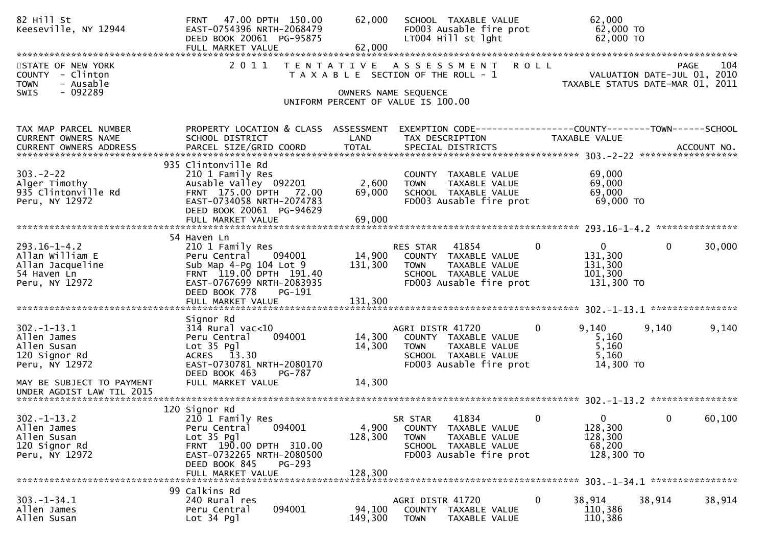| 82 Hill St<br>Keeseville, NY 12944                                                              | 47.00 DPTH 150.00<br><b>FRNT</b><br>EAST-0754396 NRTH-2068479<br>DEED BOOK 20061 PG-95875<br>FULL MARKET VALUE                                                                              | 62,000<br>62,000             | SCHOOL TAXABLE VALUE<br>FD003 Ausable fire prot<br>LT004 Hill st lght                                                        |              | 62,000<br>62,000 TO<br>62,000 TO                                |              |             |
|-------------------------------------------------------------------------------------------------|---------------------------------------------------------------------------------------------------------------------------------------------------------------------------------------------|------------------------------|------------------------------------------------------------------------------------------------------------------------------|--------------|-----------------------------------------------------------------|--------------|-------------|
| STATE OF NEW YORK<br><b>COUNTY</b><br>- Clinton<br>- Ausable<br><b>TOWN</b><br>- 092289<br>SWIS | 2 0 1 1<br>T E N T A T I V E                                                                                                                                                                | OWNERS NAME SEQUENCE         | A S S E S S M E N T<br>T A X A B L E SECTION OF THE ROLL - 1                                                                 | <b>ROLL</b>  | VALUATION DATE-JUL 01, 2010<br>TAXABLE STATUS DATE-MAR 01, 2011 | <b>PAGE</b>  | 104         |
|                                                                                                 |                                                                                                                                                                                             |                              | UNIFORM PERCENT OF VALUE IS 100.00                                                                                           |              |                                                                 |              |             |
| TAX MAP PARCEL NUMBER<br><b>CURRENT OWNERS NAME</b><br>CURRENT OWNERS ADDRESS                   | PROPERTY LOCATION & CLASS ASSESSMENT<br>SCHOOL DISTRICT<br>PARCEL SIZE/GRID COORD                                                                                                           | LAND<br><b>TOTAL</b>         | TAX DESCRIPTION<br>SPECIAL DISTRICTS                                                                                         |              | TAXABLE VALUE                                                   |              | ACCOUNT NO. |
| $303 - 2 - 22$<br>Alger Timothy<br>935 Clintonville Rd<br>Peru, NY 12972                        | 935 Clintonville Rd<br>210 1 Family Res<br>Ausable Valley 092201<br>FRNT 175.00 DPTH 72.00<br>EAST-0734058 NRTH-2074783<br>DEED BOOK 20061 PG-94629<br>FULL MARKET VALUE                    | 2,600<br>69,000<br>69,000    | COUNTY TAXABLE VALUE<br>TAXABLE VALUE<br><b>TOWN</b><br>SCHOOL TAXABLE VALUE<br>FD003 Ausable fire prot                      |              | 69,000<br>69,000<br>69,000<br>69,000 TO                         |              |             |
|                                                                                                 |                                                                                                                                                                                             |                              |                                                                                                                              |              |                                                                 |              |             |
| $293.16 - 1 - 4.2$<br>Allan William E<br>Allan Jacqueline<br>54 Haven Ln<br>Peru, NY 12972      | 54 Haven Ln<br>210 1 Family Res<br>Peru Central<br>094001<br>Sub Map 4-Pg 104 Lot 9<br>FRNT 119.00 DPTH 191.40<br>EAST-0767699 NRTH-2083935<br>DEED BOOK 778<br>PG-191<br>FULL MARKET VALUE | 14,900<br>131,300<br>131,300 | RES STAR<br>41854<br>COUNTY TAXABLE VALUE<br><b>TOWN</b><br>TAXABLE VALUE<br>SCHOOL TAXABLE VALUE<br>FD003 Ausable fire prot | $\bf{0}$     | $\mathbf{0}$<br>131,300<br>131,300<br>101,300<br>131,300 TO     | $\mathbf{0}$ | 30,000      |
|                                                                                                 | Signor Rd                                                                                                                                                                                   |                              |                                                                                                                              |              |                                                                 |              |             |
| $302 - 1 - 13.1$<br>Allen James<br>Allen Susan<br>120 Signor Rd<br>Peru, NY 12972               | $314$ Rural vac<10<br>Peru Central<br>094001<br>Lot $35$ Pgl<br>ACRES 13.30<br>EAST-0730781 NRTH-2080170<br>DEED BOOK 463<br>PG-787                                                         | 14,300<br>14,300             | AGRI DISTR 41720<br>COUNTY TAXABLE VALUE<br><b>TOWN</b><br>TAXABLE VALUE<br>SCHOOL TAXABLE VALUE<br>FD003 Ausable fire prot  | 0            | 9,140<br>5,160<br>5,160<br>5,160<br>14,300 TO                   | 9,140        | 9,140       |
| MAY BE SUBJECT TO PAYMENT<br>UNDER AGDIST LAW TIL 2015                                          | FULL MARKET VALUE                                                                                                                                                                           | 14,300                       |                                                                                                                              |              |                                                                 |              |             |
|                                                                                                 |                                                                                                                                                                                             |                              |                                                                                                                              |              |                                                                 |              |             |
| $302. - 1 - 13.2$<br>Allen James<br>Allen Susan<br>120 Signor Rd<br>Peru, NY 12972              | 120 Signor Rd<br>210 1 Family Res<br>094001<br>Peru Central<br>$Lot 35$ Pgl<br>FRNT 190.00 DPTH 310.00<br>EAST-0732265 NRTH-2080500<br>DEED BOOK 845<br><b>PG-293</b><br>FULL MARKET VALUE  | 4,900<br>128,300<br>128,300  | 41834<br>SR STAR<br>COUNTY TAXABLE VALUE<br><b>TOWN</b><br>TAXABLE VALUE<br>SCHOOL TAXABLE VALUE<br>FD003 Ausable fire prot  | $\mathbf{0}$ | $\mathbf 0$<br>128,300<br>128,300<br>68,200<br>128,300 TO       | 0            | 60,100      |
|                                                                                                 | 99 Calkins Rd                                                                                                                                                                               |                              |                                                                                                                              |              |                                                                 |              |             |
| $303. -1 - 34.1$<br>Allen James<br>Allen Susan                                                  | 240 Rural res<br>094001<br>Peru Central<br>Lot 34 Pgl                                                                                                                                       | 94,100<br>149,300            | AGRI DISTR 41720<br>COUNTY TAXABLE VALUE<br><b>TOWN</b><br>TAXABLE VALUE                                                     | 0            | 38,914<br>110,386<br>110,386                                    | 38,914       | 38,914      |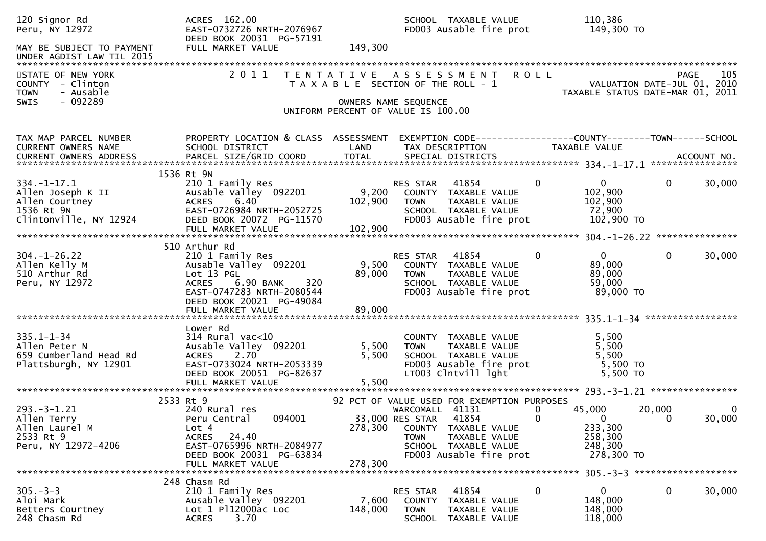| 120 Signor Rd<br>Peru, NY 12972                                                                  | ACRES 162.00<br>EAST-0732726 NRTH-2076967<br>DEED BOOK 20031 PG-57191                                                                                                                      |                                                                                                     |                                                   | SCHOOL TAXABLE VALUE<br>FD003 Ausable fire prot                                                                                                  | 110,386<br>149,300 TO                                                                  |                                                                                       |
|--------------------------------------------------------------------------------------------------|--------------------------------------------------------------------------------------------------------------------------------------------------------------------------------------------|-----------------------------------------------------------------------------------------------------|---------------------------------------------------|--------------------------------------------------------------------------------------------------------------------------------------------------|----------------------------------------------------------------------------------------|---------------------------------------------------------------------------------------|
| MAY BE SUBJECT TO PAYMENT<br>UNDER AGDIST LAW TIL 2015                                           | FULL MARKET VALUE                                                                                                                                                                          | 149,300                                                                                             |                                                   |                                                                                                                                                  |                                                                                        |                                                                                       |
| STATE OF NEW YORK<br>COUNTY - Clinton<br><b>TOWN</b><br>- Ausable<br>$-092289$<br>SWIS           | 2011                                                                                                                                                                                       | T A X A B L E SECTION OF THE ROLL - 1<br>OWNERS NAME SEQUENCE<br>UNIFORM PERCENT OF VALUE IS 100.00 |                                                   | TENTATIVE ASSESSMENT ROLL                                                                                                                        |                                                                                        | 105<br><b>PAGE</b><br>VALUATION DATE-JUL 01, 2010<br>TAXABLE STATUS DATE-MAR 01, 2011 |
| TAX MAP PARCEL NUMBER<br>CURRENT OWNERS NAME                                                     | PROPERTY LOCATION & CLASS ASSESSMENT<br>SCHOOL DISTRICT                                                                                                                                    | LAND                                                                                                |                                                   | TAX DESCRIPTION                                                                                                                                  | TAXABLE VALUE                                                                          | EXEMPTION CODE-----------------COUNTY-------TOWN------SCHOOL                          |
| $334. - 1 - 17.1$<br>Allen Joseph K II<br>Allen Courtney<br>1536 Rt 9N<br>Clintonville, NY 12924 | 1536 Rt 9N<br>210 1 Family Res<br>Ausable Valley 092201<br><b>ACRES</b><br>6.40<br>EAST-0726984 NRTH-2052725<br>DEED BOOK 20072 PG-11570                                                   | 9,200<br>102,900                                                                                    | <b>RES STAR 41854</b><br><b>TOWN</b>              | COUNTY TAXABLE VALUE<br>TAXABLE VALUE<br>SCHOOL TAXABLE VALUE<br>FD003 Ausable fire prot                                                         | $\overline{0}$<br>$\overline{0}$<br>102,900<br>102,900<br>72,900<br>102,900 TO         | $\mathbf{0}$<br>30,000                                                                |
| $304. - 1 - 26.22$<br>Allen Kelly M<br>510 Arthur Rd<br>Peru, NY 12972                           | 510 Arthur Rd<br>210 1 Family Res<br>Ausable Valley 092201<br>Lot 13 PGL<br><b>ACRES</b><br>6.90 BANK<br>320<br>EAST-0747283 NRTH-2080544<br>DEED BOOK 20021 PG-49084<br>FULL MARKET VALUE | 89,000<br>89,000                                                                                    | RES STAR<br><b>TOWN</b>                           | 41854<br>9,500 COUNTY TAXABLE VALUE<br>TAXABLE VALUE<br>SCHOOL TAXABLE VALUE<br>FD003 Ausable fire prot                                          | $\mathbf{0}$<br>$\mathbf 0$<br>89,000<br>89,000<br>59,000<br>89,000 TO                 | 30,000<br>$\mathbf{0}$                                                                |
| $335.1 - 1 - 34$<br>Allen Peter N<br>659 Cumberland Head Rd<br>Plattsburgh, NY 12901             | Lower Rd<br>$314$ Rural vac<10<br>Ausable Valley 092201<br>2.70<br><b>ACRES</b><br>EAST-0733024 NRTH-2053339<br>DEED BOOK 20051 PG-82637<br>FULL MARKET VALUE                              | 5,500<br>5,500<br>5,500                                                                             | <b>TOWN</b>                                       | COUNTY TAXABLE VALUE<br>TAXABLE VALUE<br>SCHOOL TAXABLE VALUE<br>FD003 Ausable fire prot<br>LT003 Clntvill lght                                  | 5,500<br>5,500<br>5,500<br>5,500 TO<br>5,500 TO                                        |                                                                                       |
| $293. -3 - 1.21$<br>Allen Terry<br>Allen Laurel M<br>2533 Rt 9<br>Peru, NY 12972-4206            | 2533 Rt 9<br>240 Rural res<br>094001<br>Peru Central<br>Lot 4<br><b>ACRES</b><br>24.40<br>EAST-0765996 NRTH-2084977<br>DEED BOOK 20031 PG-63834<br>FULL MARKET VALUE                       | 278,300<br>278,300                                                                                  | WARCOMALL 41131<br>33,000 RES STAR<br><b>TOWN</b> | 92 PCT OF VALUE USED FOR EXEMPTION PURPOSES<br>41854<br>COUNTY TAXABLE VALUE<br>TAXABLE VALUE<br>SCHOOL TAXABLE VALUE<br>FD003 Ausable fire prot | 45,000<br>0<br>$\Omega$<br>$\mathbf{0}$<br>233,300<br>258,300<br>248,300<br>278,300 TO | 20,000<br>0<br>30,000<br>$\Omega$                                                     |
| $305 - 3 - 3$<br>Aloi Mark<br>Betters Courtney<br>248 Chasm Rd                                   | 248 Chasm Rd<br>210 1 Family Res<br>Ausable Valley 092201<br>Lot 1 Pl12000ac Loc<br>3.70<br><b>ACRES</b>                                                                                   | 7,600<br>148,000                                                                                    | RES STAR<br><b>TOWN</b><br>SCHOOL                 | 41854<br>COUNTY TAXABLE VALUE<br>TAXABLE VALUE<br>TAXABLE VALUE                                                                                  | 0<br>0<br>148,000<br>148,000<br>118,000                                                | 30,000<br>0                                                                           |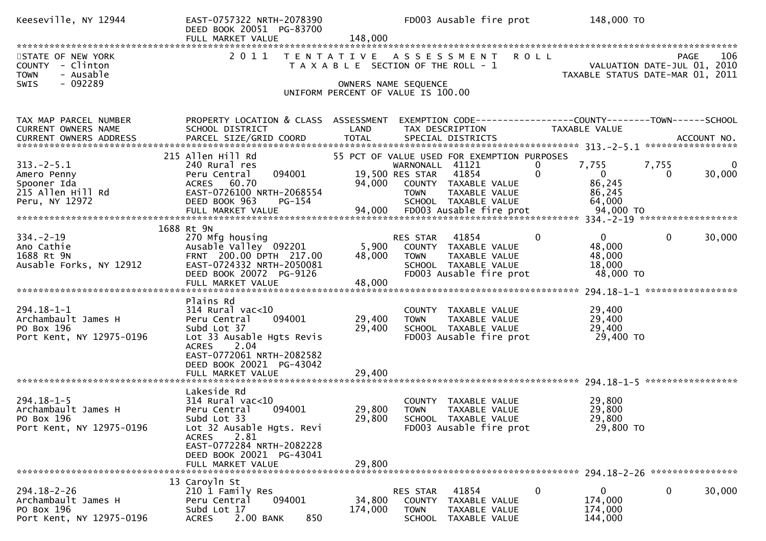| Keeseville, NY 12944                                                                  | EAST-0757322 NRTH-2078390<br>DEED BOOK 20051 PG-83700<br>FULL MARKET VALUE                                                                                                             | 148,000                               |                                                           | FD003 Ausable fire prot                                                                                               |                          | 148,000 TO                                                      |                   |                    |
|---------------------------------------------------------------------------------------|----------------------------------------------------------------------------------------------------------------------------------------------------------------------------------------|---------------------------------------|-----------------------------------------------------------|-----------------------------------------------------------------------------------------------------------------------|--------------------------|-----------------------------------------------------------------|-------------------|--------------------|
| STATE OF NEW YORK<br>COUNTY - Clinton<br>- Ausable<br><b>TOWN</b><br>- 092289<br>SWIS | 2011                                                                                                                                                                                   | T A X A B L E SECTION OF THE ROLL - 1 | OWNERS NAME SEQUENCE                                      | TENTATIVE ASSESSMENT                                                                                                  | <b>ROLL</b>              | VALUATION DATE-JUL 01, 2010<br>TAXABLE STATUS DATE-MAR 01, 2011 | PAGE              | 106                |
|                                                                                       |                                                                                                                                                                                        | UNIFORM PERCENT OF VALUE IS 100.00    |                                                           |                                                                                                                       |                          |                                                                 |                   |                    |
| TAX MAP PARCEL NUMBER<br>CURRENT OWNERS NAME                                          | PROPERTY LOCATION & CLASS ASSESSMENT<br>SCHOOL DISTRICT                                                                                                                                | LAND                                  | TAX DESCRIPTION                                           | EXEMPTION CODE------------------COUNTY--------TOWN------SCHOOL                                                        | TAXABLE VALUE            |                                                                 |                   |                    |
| $313.-2-5.1$<br>Amero Penny<br>Spooner Ida<br>215 Allen Hill Rd<br>Peru, NY 12972     | 215 Allen Hill Rd<br>240 Rural res<br>094001<br>Peru Central<br>ACRES 60.70<br>EAST-0726100 NRTH-2068554<br>DEED BOOK 963<br>$PG-154$                                                  | 94,000                                | WARNONALL 41121<br>19,500 RES STAR<br><b>TOWN</b>         | 55 PCT OF VALUE USED FOR EXEMPTION PURPOSES<br>41854<br>COUNTY TAXABLE VALUE<br>TAXABLE VALUE<br>SCHOOL TAXABLE VALUE | $\Omega$<br>$\mathbf{0}$ | 7,755<br>$\Omega$<br>86,245<br>86,245<br>64,000                 | 7,755<br>$\Omega$ | $\bf{0}$<br>30,000 |
|                                                                                       |                                                                                                                                                                                        |                                       |                                                           |                                                                                                                       |                          |                                                                 |                   |                    |
| $334. - 2 - 19$<br>Ano Cathie<br>1688 Rt 9N<br>Ausable Forks, NY 12912                | 1688 Rt 9N<br>270 Mfg housing<br>Ausable Valley 092201<br>FRNT 200.00 DPTH 217.00<br>EAST-0724332 NRTH-2050081<br>DEED BOOK 20072 PG-9126<br>FULL MARKET VALUE                         | 5,900<br>48,000<br>48,000             | RES STAR<br><b>TOWN</b>                                   | 41854<br>COUNTY TAXABLE VALUE<br>TAXABLE VALUE<br>SCHOOL TAXABLE VALUE<br>FD003 Ausable fire prot                     | $\mathbf{0}$             | $\mathbf{0}$<br>48,000<br>48,000<br>18,000<br>48,000 TO         | $\mathbf 0$       | 30,000             |
|                                                                                       |                                                                                                                                                                                        |                                       |                                                           |                                                                                                                       |                          |                                                                 |                   |                    |
| $294.18 - 1 - 1$<br>Archambault James H<br>PO Box 196<br>Port Kent, NY 12975-0196     | Plains Rd<br>$314$ Rural vac<10<br>094001<br>Peru Central<br>Subd Lot 37<br>Lot 33 Ausable Hgts Revis<br>2.04<br><b>ACRES</b><br>EAST-0772061 NRTH-2082582<br>DEED BOOK 20021 PG-43042 | 29,400<br>29,400                      | TOWN                                                      | COUNTY TAXABLE VALUE<br>TAXABLE VALUE<br>SCHOOL TAXABLE VALUE<br>FD003 Ausable fire prot                              |                          | 29,400<br>29,400<br>29,400<br>29,400 TO                         |                   |                    |
|                                                                                       |                                                                                                                                                                                        |                                       |                                                           |                                                                                                                       |                          |                                                                 |                   |                    |
| $294.18 - 1 - 5$<br>Archambault James H<br>PO Box 196<br>Port Kent, NY 12975-0196     | Lakeside Rd<br>$314$ Rural vac<10<br>Peru Central<br>094001<br>Subd Lot 33<br>Lot 32 Ausable Hgts. Revi<br>2.81<br><b>ACRES</b><br>EAST-0772284 NRTH-2082228                           | 29,800<br>29,800                      | <b>TOWN</b>                                               | COUNTY TAXABLE VALUE<br>TAXABLE VALUE<br>SCHOOL TAXABLE VALUE<br>FD003 Ausable fire prot                              |                          | 29,800<br>29,800<br>29,800<br>29,800 TO                         |                   |                    |
|                                                                                       | DEED BOOK 20021 PG-43041<br>FULL MARKET VALUE                                                                                                                                          | 29,800                                |                                                           |                                                                                                                       |                          |                                                                 |                   |                    |
| $294.18 - 2 - 26$<br>Archambault James H<br>PO Box 196<br>Port Kent, NY 12975-0196    | 13 Caroyln St<br>210 1 Family Res<br>094001<br>Peru Central<br>Subd Lot 17<br><b>ACRES</b><br>2.00 BANK<br>850                                                                         | 34,800<br>174,000                     | RES STAR<br><b>COUNTY</b><br><b>TOWN</b><br><b>SCHOOL</b> | 41854<br>TAXABLE VALUE<br>TAXABLE VALUE<br>TAXABLE VALUE                                                              | 0                        | $\mathbf{0}$<br>174,000<br>174,000<br>144,000                   | 0                 | 30,000             |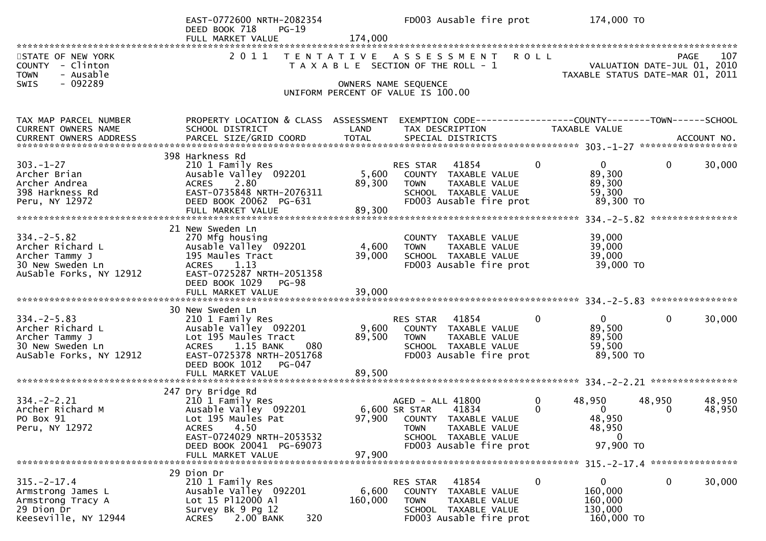|                                                                                                       | EAST-0772600 NRTH-2082354<br>DEED BOOK 718<br>PG-19<br>FULL MARKET VALUE                                                                                                                   | 174,000                 | FD003 Ausable fire prot                                                                                                                                          | 174,000 TO                                                                                               |
|-------------------------------------------------------------------------------------------------------|--------------------------------------------------------------------------------------------------------------------------------------------------------------------------------------------|-------------------------|------------------------------------------------------------------------------------------------------------------------------------------------------------------|----------------------------------------------------------------------------------------------------------|
| STATE OF NEW YORK<br>COUNTY - Clinton<br>- Ausable<br><b>TOWN</b><br>$-092289$<br>SWIS                | 2011                                                                                                                                                                                       |                         | TENTATIVE ASSESSMENT ROLL<br>T A X A B L E SECTION OF THE ROLL - 1<br>OWNERS NAME SEQUENCE<br>UNIFORM PERCENT OF VALUE IS 100.00                                 | 107<br>PAGE<br>VALUATION DATE-JUL 01, 2010<br>TAXABLE STATUS DATE-MAR 01, 2011                           |
| TAX MAP PARCEL NUMBER<br>CURRENT OWNERS NAME<br><b>CURRENT OWNERS ADDRESS</b>                         | PROPERTY LOCATION & CLASS ASSESSMENT<br>SCHOOL DISTRICT                                                                                                                                    | LAND                    | TAX DESCRIPTION                                                                                                                                                  | EXEMPTION CODE-----------------COUNTY--------TOWN------SCHOOL<br>TAXABLE VALUE                           |
| $303 - 1 - 27$<br>Archer Brian<br>Archer Andrea<br>398 Harkness Rd<br>Peru, NY 12972                  | 398 Harkness Rd<br>210 1 Family Res<br>Ausable Valley 092201<br>2.80<br><b>ACRES</b><br>EAST-0735848 NRTH-2076311<br>DEED BOOK 20062 PG-631                                                | 5,600<br>89,300         | $\mathbf{0}$<br>RES STAR<br>41854<br>COUNTY TAXABLE VALUE<br><b>TOWN</b><br>TAXABLE VALUE<br>SCHOOL TAXABLE VALUE<br>FD003 Ausable fire prot                     | $\overline{0}$<br>$\mathbf{0}$<br>30,000<br>89,300<br>89,300<br>59,300<br>89,300 TO                      |
| $334. -2 - 5.82$<br>Archer Richard L<br>Archer Tammy J<br>30 New Sweden Ln<br>AuSable Forks, NY 12912 | 21 New Sweden Ln<br>270 Mfg housing<br>Ausable Valley 092201<br>195 Maules Tract<br>1.13<br><b>ACRES</b><br>EAST-0725287 NRTH-2051358<br>DEED BOOK 1029<br>PG-98                           | 4,600<br>39,000         | COUNTY TAXABLE VALUE<br><b>TOWN</b><br>TAXABLE VALUE<br>SCHOOL TAXABLE VALUE<br>FD003 Ausable fire prot                                                          | 39,000<br>39,000<br>39,000<br>39,000 TO                                                                  |
| $334. -2 - 5.83$<br>Archer Richard L<br>Archer Tammy J<br>30 New Sweden Ln<br>AuSable Forks, NY 12912 | 30 New Sweden Ln<br>210 1 Family Res<br>Ausable Valley 092201<br>Lot 195 Maules Tract<br>1.15 BANK<br>080<br>ACRES<br>EAST-0725378 NRTH-2051768<br>DEED BOOK 1012<br>PG-047                | 9,600<br>89,500         | <b>RES STAR 41854</b><br>$\mathbf 0$<br>COUNTY TAXABLE VALUE<br>TAXABLE VALUE<br><b>TOWN</b><br>SCHOOL TAXABLE VALUE<br>FD003 Ausable fire prot                  | $\mathbf 0$<br>$\mathbf{0}$<br>30,000<br>89,500<br>89,500<br>59,500<br>89,500 TO                         |
| $334. - 2 - 2.21$<br>Archer Richard M<br>PO Box 91<br>Peru, NY 12972                                  | 247 Dry Bridge Rd<br>210 1 Family Res<br>Ausable Valley 092201<br>Lot 195 Maules Pat<br>4.50<br><b>ACRES</b><br>EAST-0724029 NRTH-2053532<br>DEED BOOK 20041 PG-69073<br>FULL MARKET VALUE | 6,600 SR STAR<br>97,900 | 0<br>AGED - ALL 41800<br>$\mathbf{0}$<br>41834<br>97,900 COUNTY TAXABLE VALUE<br><b>TOWN</b><br>TAXABLE VALUE<br>SCHOOL TAXABLE VALUE<br>FD003 Ausable fire prot | 48,950<br>48,950<br>48,950<br>48,950<br>$\overline{0}$<br>$\bf{0}$<br>48,950<br>48,950<br>0<br>97,900 TO |
| $315. - 2 - 17.4$<br>Armstrong James L<br>Armstrong Tracy A<br>29 Dion Dr<br>Keeseville, NY 12944     | 29 Dion Dr<br>210 1 Family Res<br>Ausable Valley 092201<br>Lot 15 P112000 Al<br>Survey Bk 9 Pg 12<br>2.00 BANK<br>320<br><b>ACRES</b>                                                      | 6,600<br>160,000        | 41854<br>$\boldsymbol{0}$<br>RES STAR<br>COUNTY<br>TAXABLE VALUE<br>TAXABLE VALUE<br><b>TOWN</b><br>SCHOOL TAXABLE VALUE<br>FD003 Ausable fire prot              | $\mathbf 0$<br>30,000<br>$\overline{0}$<br>160,000<br>160,000<br>130,000<br>160,000 TO                   |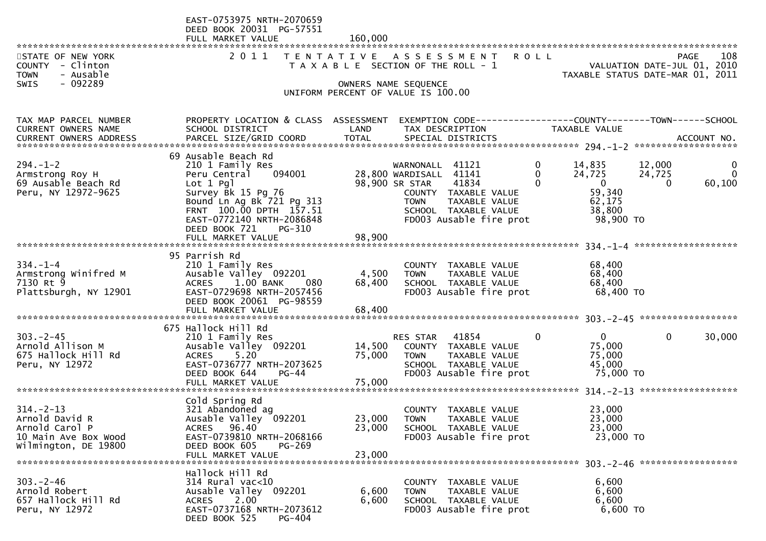|                                                                                                     | EAST-0753975 NRTH-2070659<br>DEED BOOK 20031 PG-57551<br>FULL MARKET VALUE                                                                                                                                                                | 160,000                                                                     |                                                                            |                                                                                                   |                               |                                                                               |                              |                                        |
|-----------------------------------------------------------------------------------------------------|-------------------------------------------------------------------------------------------------------------------------------------------------------------------------------------------------------------------------------------------|-----------------------------------------------------------------------------|----------------------------------------------------------------------------|---------------------------------------------------------------------------------------------------|-------------------------------|-------------------------------------------------------------------------------|------------------------------|----------------------------------------|
| STATE OF NEW YORK<br>COUNTY - Clinton<br>- Ausable<br><b>TOWN</b><br>$-092289$<br><b>SWIS</b>       | 2011                                                                                                                                                                                                                                      | T A X A B L E SECTION OF THE ROLL - 1<br>UNIFORM PERCENT OF VALUE IS 100.00 | OWNERS NAME SEQUENCE                                                       | TENTATIVE ASSESSMENT ROLL                                                                         |                               | VALUATION DATE-JUL 01, 2010<br>TAXABLE STATUS DATE-MAR 01, 2011               |                              | 108<br>PAGE                            |
| TAX MAP PARCEL NUMBER<br>CURRENT OWNERS NAME                                                        | PROPERTY LOCATION & CLASS ASSESSMENT<br>SCHOOL DISTRICT                                                                                                                                                                                   | LAND                                                                        | TAX DESCRIPTION                                                            | EXEMPTION CODE------------------COUNTY--------TOWN------SCHOOL                                    |                               | TAXABLE VALUE                                                                 |                              |                                        |
| $294. - 1 - 2$<br>Armstrong Roy H<br>69 Ausable Beach Rd<br>Peru, NY 12972-9625                     | 69 Ausable Beach Rd<br>210 1 Family Res<br>094001<br>Peru Central<br>Lot 1 Pgl<br>Survey Bk 15 Pg 76<br>Bound Ln Ag Bk 721 Pg 313<br>FRNT 100.00 DPTH 157.51<br>EAST-0772140 NRTH-2086848<br>DEED BOOK 721<br>PG-310<br>FULL MARKET VALUE | 98,900                                                                      | WARNONALL 41121<br>28,800 WARDISALL 41141<br>98,900 SR STAR<br><b>TOWN</b> | 41834<br>COUNTY TAXABLE VALUE<br>TAXABLE VALUE<br>SCHOOL TAXABLE VALUE<br>FD003 Ausable fire prot | 0<br>$\mathbf{0}$<br>$\Omega$ | 14,835<br>24,725<br>$\overline{0}$<br>59,340<br>62,175<br>38,800<br>98,900 TO | 12,000<br>24,725<br>$\Omega$ | $\mathbf{0}$<br>$\mathbf{0}$<br>60,100 |
| $334. - 1 - 4$<br>Armstrong Winifred M<br>7130 Rt 9<br>Plattsburgh, NY 12901                        | 95 Parrish Rd<br>210 1 Family Res<br>Ausable Valley 092201<br>$1.00$ BANK<br><b>ACRES</b><br>-- 080<br>EAST-0729698 NRTH-2057456<br>DEED BOOK 20061 PG-98559                                                                              | 4,500<br>68,400                                                             | <b>TOWN</b>                                                                | COUNTY TAXABLE VALUE<br>TAXABLE VALUE<br>SCHOOL TAXABLE VALUE<br>FD003 Ausable fire prot          |                               | 68,400<br>68,400<br>68,400<br>68,400 TO                                       |                              |                                        |
| $303 - 2 - 45$<br>Arnold Allison M<br>675 Hallock Hill Rd<br>Peru, NY 12972                         | 675 Hallock Hill Rd<br>210 1 Family Res<br>Ausable Valley 092201<br>5.20<br><b>ACRES</b><br>EAST-0736777 NRTH-2073625<br>DEED BOOK 644<br>PG-44<br>FULL MARKET VALUE                                                                      | 14,500<br>75,000<br>75,000                                                  | RES STAR 41854<br><b>TOWN</b>                                              | COUNTY TAXABLE VALUE<br>TAXABLE VALUE<br>SCHOOL TAXABLE VALUE<br>FD003 Ausable fire prot          | $\mathbf{0}$                  | $\mathbf{0}$<br>75,000<br>75,000<br>45,000<br>75,000 TO                       | $\mathbf 0$                  | 30,000                                 |
| $314. - 2 - 13$<br>Arnold David R<br>Arnold Carol P<br>10 Main Ave Box Wood<br>Wilmington, DE 19800 | Cold Spring Rd<br>321 Abandoned ag<br>Ausable Valley 092201<br>ACRES 96.40<br>EAST-0739810 NRTH-2068166<br>DEED BOOK 605<br>PG-269<br>FULL MARKET VALUE                                                                                   | 23,000<br>23,000<br>23,000                                                  | COUNTY<br><b>TOWN</b>                                                      | TAXABLE VALUE<br>TAXABLE VALUE<br>SCHOOL TAXABLE VALUE<br>FD003 Ausable fire prot                 |                               | 23,000<br>23,000<br>23,000<br>23,000 TO                                       |                              |                                        |
| $303 - 2 - 46$<br>Arnold Robert<br>657 Hallock Hill Rd<br>Peru, NY 12972                            | Hallock Hill Rd<br>$314$ Rural vac<10<br>Ausable Valley 092201<br>2.00<br><b>ACRES</b><br>EAST-0737168 NRTH-2073612<br>DEED BOOK 525<br>PG-404                                                                                            | 6,600<br>6,600                                                              | TOWN                                                                       | COUNTY TAXABLE VALUE<br>TAXABLE VALUE<br>SCHOOL TAXABLE VALUE<br>FD003 Ausable fire prot          |                               | 6,600<br>6,600<br>6,600<br>6,600 TO                                           |                              |                                        |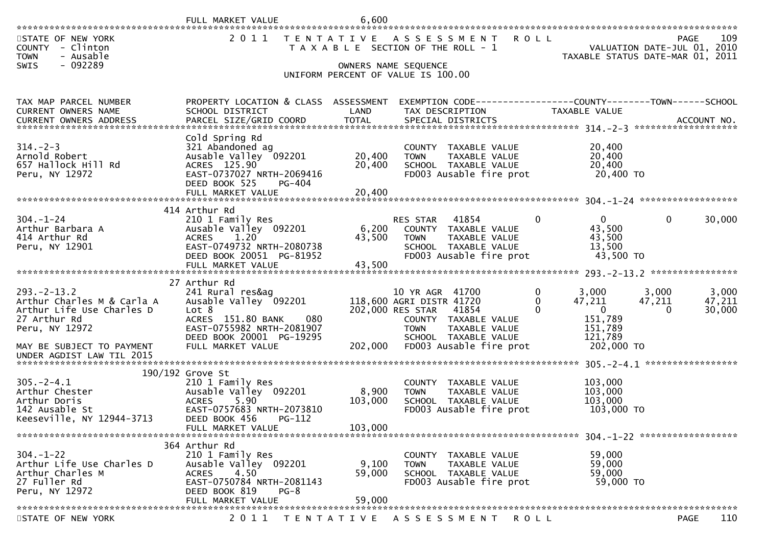|                                                                                                    |                                                                                                                                                          | 6,600                      |                                                                                                                                     |                           |                                                                 |                             |                           |
|----------------------------------------------------------------------------------------------------|----------------------------------------------------------------------------------------------------------------------------------------------------------|----------------------------|-------------------------------------------------------------------------------------------------------------------------------------|---------------------------|-----------------------------------------------------------------|-----------------------------|---------------------------|
| STATE OF NEW YORK<br>COUNTY - Clinton<br>- Ausable<br><b>TOWN</b><br>- 092289<br>SWIS              |                                                                                                                                                          |                            | 2011 TENTATIVE ASSESSMENT<br>T A X A B L E SECTION OF THE ROLL - 1<br>OWNERS NAME SEQUENCE                                          | <b>ROLL</b>               | VALUATION DATE-JUL 01, 2010<br>TAXABLE STATUS DATE-MAR 01, 2011 |                             | 109<br>PAGE               |
|                                                                                                    |                                                                                                                                                          |                            | UNIFORM PERCENT OF VALUE IS 100.00                                                                                                  |                           |                                                                 |                             |                           |
| TAX MAP PARCEL NUMBER<br>CURRENT OWNERS NAME                                                       | PROPERTY LOCATION & CLASS ASSESSMENT<br>SCHOOL DISTRICT                                                                                                  | LAND                       | EXEMPTION CODE-----------------COUNTY--------TOWN-----SCHOOL<br>TAX DESCRIPTION                                                     |                           | <b>TAXABLE VALUE</b>                                            |                             |                           |
| $314. - 2 - 3$<br>Arnold Robert<br>657 Hallock Hill Rd<br>Peru, NY 12972                           | Cold Spring Rd<br>321 Abandoned ag<br>Ausable Valley 092201<br>ACRES 125.90<br>EAST-0737027 NRTH-2069416<br>DEED BOOK 525<br>PG-404<br>FULL MARKET VALUE | 20,400<br>20,400<br>20,400 | COUNTY TAXABLE VALUE<br><b>TOWN</b><br>TAXABLE VALUE<br>SCHOOL TAXABLE VALUE<br>FD003 Ausable fire prot                             |                           | 20,400<br>20,400<br>20,400<br>20,400 TO                         |                             |                           |
|                                                                                                    |                                                                                                                                                          |                            |                                                                                                                                     |                           |                                                                 |                             |                           |
| $304. - 1 - 24$<br>Arthur Barbara A<br>414 Arthur Rd<br>Peru, NY 12901                             | 414 Arthur Rd<br>210 1 Family Res<br>Ausable Valley 092201<br><b>ACRES</b><br>1.20<br>EAST-0749732 NRTH-2080738<br>DEED BOOK 20051 PG-81952              | 6,200<br>43,500            | 41854<br><b>RES STAR</b><br>COUNTY TAXABLE VALUE<br><b>TOWN</b><br>TAXABLE VALUE<br>SCHOOL TAXABLE VALUE<br>FD003 Ausable fire prot | $\Omega$                  | $\mathbf{0}$<br>43,500<br>43,500<br>13,500<br>43,500 TO         | $\mathbf{0}$                | 30,000                    |
|                                                                                                    | FULL MARKET VALUE                                                                                                                                        | 43,500                     |                                                                                                                                     |                           |                                                                 |                             |                           |
| $293 - 2 - 13.2$<br>Arthur Charles M & Carla A<br>Arthur Life Use Charles D<br>27 Arthur Rd        | 27 Arthur Rd<br>241 Rural res&ag<br>Ausable Valley 092201<br>Lot 8<br>ACRES 151.80 BANK<br>080                                                           |                            | 10 YR AGR 41700<br>118,600 AGRI DISTR 41720<br>202,000 RES STAR 41854<br>COUNTY TAXABLE VALUE                                       | 0<br>$\Omega$<br>$\Omega$ | 3,000<br>47,211<br>$\overline{\phantom{0}}$<br>151,789          | 3,000<br>47,211<br>$\Omega$ | 3,000<br>47,211<br>30,000 |
| Peru, NY 12972<br>MAY BE SUBJECT TO PAYMENT<br>UNDER AGDIST LAW TIL 2015                           | EAST-0755982 NRTH-2081907<br>DEED BOOK 20001 PG-19295<br>FULL MARKET VALUE                                                                               | 202,000                    | TAXABLE VALUE<br><b>TOWN</b><br>SCHOOL TAXABLE VALUE<br>FD003 Ausable fire prot                                                     |                           | 151,789<br>121,789<br>202,000 TO                                |                             |                           |
|                                                                                                    | 190/192 Grove St                                                                                                                                         |                            |                                                                                                                                     |                           |                                                                 |                             |                           |
| $305. -2 - 4.1$<br>Arthur Chester<br>Arthur Doris<br>142 Ausable St<br>Keeseville, NY 12944-3713   | 210 1 Family Res<br>Ausable Valley 092201<br>5.90<br><b>ACRES</b><br>EAST-0757683 NRTH-2073810<br>DEED BOOK 456<br>PG-112                                | 8,900<br>103,000           | COUNTY TAXABLE VALUE<br>TAXABLE VALUE<br><b>TOWN</b><br>SCHOOL TAXABLE VALUE<br>FD003 Ausable fire prot                             |                           | 103,000<br>103,000<br>103,000<br>103,000 TO                     |                             |                           |
|                                                                                                    | FULL MARKET VALUE                                                                                                                                        | 103,000                    |                                                                                                                                     |                           |                                                                 |                             |                           |
| $304. - 1 - 22$<br>Arthur Life Use Charles D<br>Arthur Charles M<br>27 Fuller Rd<br>Peru, NY 12972 | 364 Arthur Rd<br>210 1 Family Res<br>Ausable Valley 092201<br><b>ACRES</b><br>4.50<br>EAST-0750784 NRTH-2081143<br>DEED BOOK 819<br>$PG-8$               | 9,100<br>59,000            | COUNTY TAXABLE VALUE<br><b>TOWN</b><br>TAXABLE VALUE<br>SCHOOL TAXABLE VALUE<br>FD003 Ausable fire prot                             |                           | 59,000<br>59,000<br>59,000<br>59,000 TO                         |                             |                           |
|                                                                                                    | FULL MARKET VALUE                                                                                                                                        | 59,000                     |                                                                                                                                     |                           |                                                                 |                             |                           |
| STATE OF NEW YORK                                                                                  | 2011                                                                                                                                                     |                            | TENTATIVE ASSESSMENT                                                                                                                | ROLL                      |                                                                 |                             | 110<br><b>PAGE</b>        |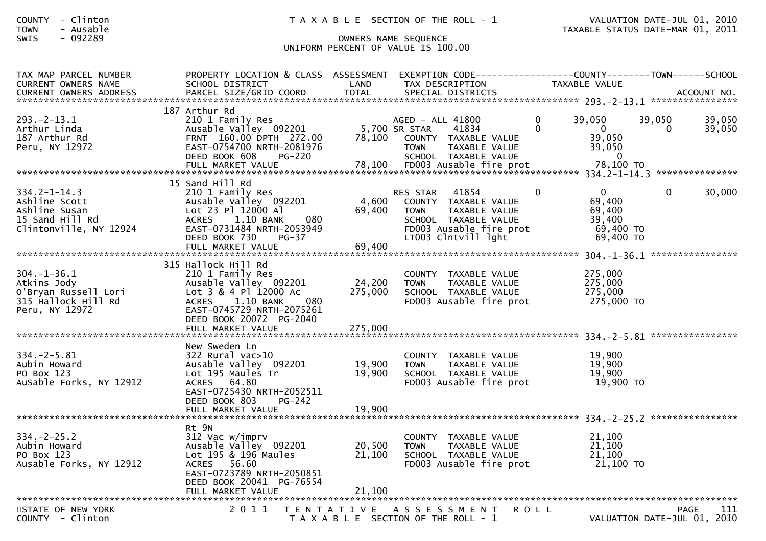## SWIS - 092289 OWNERS NAME SEQUENCE UNIFORM PERCENT OF VALUE IS 100.00

| TAX MAP PARCEL NUMBER<br><b>CURRENT OWNERS NAME</b>                                               | PROPERTY LOCATION & CLASS ASSESSMENT EXEMPTION CODE----------------COUNTY--------TOWN------SCHOOL<br>SCHOOL DISTRICT                                                                                 | LAND                         | TAX DESCRIPTION                                                                                                                                            |                      | <b>TAXABLE VALUE</b>                                                 |                                            |                  |
|---------------------------------------------------------------------------------------------------|------------------------------------------------------------------------------------------------------------------------------------------------------------------------------------------------------|------------------------------|------------------------------------------------------------------------------------------------------------------------------------------------------------|----------------------|----------------------------------------------------------------------|--------------------------------------------|------------------|
|                                                                                                   |                                                                                                                                                                                                      |                              |                                                                                                                                                            |                      |                                                                      |                                            |                  |
| $293. - 2 - 13.1$<br>Arthur Linda<br>187 Arthur Rd<br>Peru, NY 12972                              | 187 Arthur Rd<br>210 1 Family Res<br>Ausable Valley 092201<br>FRNT 160.00 DPTH 272.00<br>EAST-0754700 NRTH-2081976<br>DEED BOOK 608<br><b>PG-220</b>                                                 | 78,100                       | AGED - ALL 41800<br>5,700 SR STAR<br>41834<br>COUNTY TAXABLE VALUE<br><b>TOWN</b><br>TAXABLE VALUE<br>SCHOOL TAXABLE VALUE                                 | $\Omega$<br>$\Omega$ | 39,050<br>$\mathbf{0}$<br>39,050<br>39,050<br>$\mathbf{0}$           | 39,050<br>$\Omega$                         | 39,050<br>39,050 |
| $334.2 - 1 - 14.3$<br>Ashline Scott<br>Ashline Susan<br>15 Sand Hill Rd<br>Clintonville, NY 12924 | 15 Sand Hill Rd<br>210 1 Family Res<br>Ausable Valley 092201<br>Lot 23 Pl 12000 Al<br>1.10 BANK<br><b>ACRES</b><br>080<br>EAST-0731484 NRTH-2053949<br>DEED BOOK 730<br>$PG-37$<br>FULL MARKET VALUE | 4,600<br>69,400<br>69,400    | 41854<br><b>RES STAR</b><br>COUNTY TAXABLE VALUE<br><b>TOWN</b><br>TAXABLE VALUE<br>SCHOOL TAXABLE VALUE<br>FD003 Ausable fire prot<br>LT003 Clntvill lght | $\mathbf{0}$         | $\mathbf{0}$<br>69,400<br>69,400<br>39,400<br>69,400 TO<br>69,400 TO | $\mathbf{0}$                               | 30,000           |
|                                                                                                   |                                                                                                                                                                                                      |                              |                                                                                                                                                            |                      |                                                                      |                                            | **************** |
| $304. - 1 - 36.1$<br>Atkins Jody<br>O'Bryan Russell Lori<br>315 Hallock Hill Rd<br>Peru, NY 12972 | 315 Hallock Hill Rd<br>210 1 Family Res<br>Ausable Valley 092201<br>Lot 3 & 4 Pl 12000 Ac<br>ACRES 1.10 BANK<br>080<br>EAST-0745729 NRTH-2075261<br>DEED BOOK 20072 PG-2040<br>FULL MARKET VALUE     | 24,200<br>275,000<br>275,000 | COUNTY TAXABLE VALUE<br><b>TOWN</b><br>TAXABLE VALUE<br>SCHOOL TAXABLE VALUE<br>FD003 Ausable fire prot                                                    |                      | 275,000<br>275,000<br>275,000<br>275,000 TO                          |                                            |                  |
|                                                                                                   |                                                                                                                                                                                                      |                              |                                                                                                                                                            |                      |                                                                      |                                            |                  |
| $334. - 2 - 5.81$<br>Aubin Howard<br>PO Box 123<br>AuSable Forks, NY 12912                        | New Sweden Ln<br>322 Rural vac>10<br>Ausable Valley 092201<br>Lot 195 Maules Tr<br>ACRES 64.80<br>EAST-0725430 NRTH-2052511<br>DEED BOOK 803<br>PG-242                                               | 19,900<br>19,900             | COUNTY TAXABLE VALUE<br><b>TOWN</b><br>TAXABLE VALUE<br>SCHOOL TAXABLE VALUE<br>FD003 Ausable fire prot                                                    |                      | 19,900<br>19,900<br>19,900<br>19,900 TO                              |                                            |                  |
|                                                                                                   | FULL MARKET VALUE                                                                                                                                                                                    | 19,900                       |                                                                                                                                                            |                      |                                                                      |                                            |                  |
|                                                                                                   | Rt 9N                                                                                                                                                                                                |                              |                                                                                                                                                            |                      |                                                                      |                                            |                  |
| $334. -2 - 25.2$<br>Aubin Howard<br>PO Box 123<br>Ausable Forks, NY 12912                         | 312 Vac w/imprv<br>Ausable Valley 092201<br>Lot 195 & 196 Maules<br>56.60<br><b>ACRES</b><br>EAST-0723789 NRTH-2050851<br>DEED BOOK 20041 PG-76554                                                   | 20,500<br>21,100             | COUNTY TAXABLE VALUE<br><b>TOWN</b><br>TAXABLE VALUE<br>SCHOOL TAXABLE VALUE<br>FD003 Ausable fire prot                                                    |                      | 21,100<br>21,100<br>21,100<br>21,100 TO                              |                                            |                  |
|                                                                                                   |                                                                                                                                                                                                      |                              |                                                                                                                                                            |                      |                                                                      |                                            |                  |
| STATE OF NEW YORK<br>$COUNTY - Clinton$                                                           | 2011                                                                                                                                                                                                 |                              | TENTATIVE ASSESSMENT<br>T A X A B L E SECTION OF THE ROLL - 1                                                                                              | <b>ROLL</b>          |                                                                      | <b>PAGE</b><br>VALUATION DATE-JUL 01, 2010 | 111              |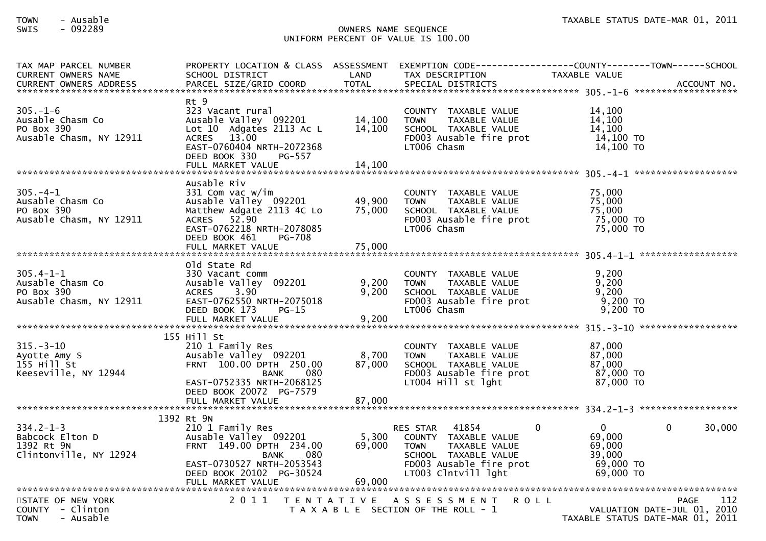## TOWN - Ausable TAXABLE STATUS DATE-MAR 01, 2011SWIS - 092289 OWNERS NAME SEQUENCE UNIFORM PERCENT OF VALUE IS 100.00

| TAX MAP PARCEL NUMBER<br><b>CURRENT OWNERS NAME</b><br><b>CURRENT OWNERS ADDRESS</b> | PROPERTY LOCATION & CLASS ASSESSMENT<br>SCHOOL DISTRICT<br>PARCEL SIZE/GRID COORD                                                                                                        | LAND<br><b>TOTAL</b>       | EXEMPTION CODE------------------COUNTY--------TOWN------SCHOOL<br>TAX DESCRIPTION<br>SPECIAL DISTRICTS                                                                 | TAXABLE VALUE                                                    | ACCOUNT NO.                                       |
|--------------------------------------------------------------------------------------|------------------------------------------------------------------------------------------------------------------------------------------------------------------------------------------|----------------------------|------------------------------------------------------------------------------------------------------------------------------------------------------------------------|------------------------------------------------------------------|---------------------------------------------------|
| $305. - 1 - 6$<br>Ausable Chasm Co<br>PO Box 390<br>Ausable Chasm, NY 12911          | Rt 9<br>323 Vacant rural<br>Ausable Valley 092201<br>Lot 10 Adgates 2113 Ac L<br>ACRES 13.00<br>EAST-0760404 NRTH-2072368<br>DEED BOOK 330<br>PG-557<br>FULL MARKET VALUE                | 14,100<br>14,100<br>14,100 | COUNTY TAXABLE VALUE<br><b>TAXABLE VALUE</b><br><b>TOWN</b><br>SCHOOL TAXABLE VALUE<br>FD003 Ausable fire prot<br>LT006 Chasm                                          | 14,100<br>14,100<br>14.100<br>14,100 TO<br>14,100 TO             |                                                   |
| $305. -4 - 1$<br>Ausable Chasm Co<br>PO Box 390<br>Ausable Chasm, NY 12911           | Ausable Riv<br>331 Com vac w/im<br>Ausable Valley 092201<br>Matthew Adgate 2113 4C Lo<br>ACRES 52.90<br>EAST-0762218 NRTH-2078085<br>DEED BOOK 461<br><b>PG-708</b><br>FULL MARKET VALUE | 49,900<br>75,000<br>75,000 | COUNTY TAXABLE VALUE<br>TAXABLE VALUE<br><b>TOWN</b><br>SCHOOL TAXABLE VALUE<br>FD003 Ausable fire prot<br>LT006 Chasm                                                 | 75,000<br>75,000<br>75.000<br>75,000 TO<br>75,000 TO             |                                                   |
| $305.4 - 1 - 1$<br>Ausable Chasm Co<br>PO Box 390<br>Ausable Chasm, NY 12911         | old State Rd<br>330 Vacant comm<br>Ausable Valley 092201<br>3.90<br><b>ACRES</b><br>EAST-0762550 NRTH-2075018<br>DEED BOOK 173<br>$PG-15$<br>FULL MARKET VALUE                           | 9,200<br>9,200<br>9,200    | COUNTY TAXABLE VALUE<br><b>TOWN</b><br>TAXABLE VALUE<br>SCHOOL TAXABLE VALUE<br>FD003 Ausable fire prot<br>LT006 Chasm                                                 | 9,200<br>9,200<br>9,200<br>9,200 TO<br>9,200 TO                  |                                                   |
| $315. - 3 - 10$<br>Ayotte Amy S<br>155 Hill St<br>Keeseville, NY 12944               | 155 Hill St<br>210 1 Family Res<br>Ausable Valley 092201<br>FRNT 100.00 DPTH 250.00<br>080<br><b>BANK</b><br>EAST-0752335 NRTH-2068125<br>DEED BOOK 20072 PG-7579                        | 8,700<br>87,000            | COUNTY TAXABLE VALUE<br>TAXABLE VALUE<br><b>TOWN</b><br>SCHOOL TAXABLE VALUE<br>FD003 Ausable fire prot<br>LT004 Hill st lght                                          | 87,000<br>87,000<br>87.000<br>87,000 TO<br>87,000 TO             |                                                   |
| $334.2 - 1 - 3$<br>Babcock Elton D<br>1392 Rt 9N<br>Clintonville, NY 12924           | 1392 Rt 9N<br>210 1 Family Res<br>Ausable Valley 092201<br>FRNT 149.00 DPTH 234.00<br>080<br>BANK<br>EAST-0730527 NRTH-2053543<br>DEED BOOK 20102 PG-30524<br>FULL MARKET VALUE          | 5,300<br>69,000<br>69,000  | 41854<br>$\Omega$<br><b>RES STAR</b><br>COUNTY TAXABLE VALUE<br>TAXABLE VALUE<br><b>TOWN</b><br>SCHOOL TAXABLE VALUE<br>FD003 Ausable fire prot<br>LT003 Clntvill lght | $\Omega$<br>69,000<br>69,000<br>39,000<br>69,000 TO<br>69,000 TO | 30,000<br>$\Omega$                                |
| STATE OF NEW YORK<br>COUNTY - Clinton<br>- Ausable<br><b>TOWN</b>                    | 2011                                                                                                                                                                                     |                            | TENTATIVE ASSESSMENT<br><b>ROLL</b><br>T A X A B L E SECTION OF THE ROLL - 1                                                                                           | TAXABLE STATUS DATE-MAR 01, 2011                                 | 112<br><b>PAGE</b><br>VALUATION DATE-JUL 01, 2010 |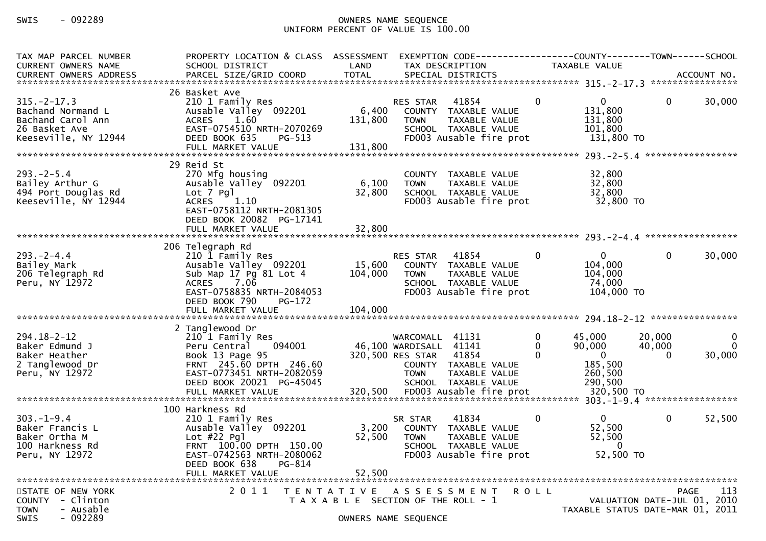# SWIS - 092289 OWNERS NAME SEQUENCE UNIFORM PERCENT OF VALUE IS 100.00

| TAX MAP PARCEL NUMBER<br>CURRENT OWNERS NAME<br><b>CURRENT OWNERS ADDRESS</b>                       | PROPERTY LOCATION & CLASS ASSESSMENT<br>SCHOOL DISTRICT<br>PARCEL SIZE/GRID COORD                                                                                              | LAND<br><b>TOTAL</b>                  | TAX DESCRIPTION                                                                    | EXEMPTION CODE------------------COUNTY--------TOWN------SCHOOL<br>SPECIAL DISTRICTS               |                              | TAXABLE VALUE                                                     |                                            | ACCOUNT NO.                 |
|-----------------------------------------------------------------------------------------------------|--------------------------------------------------------------------------------------------------------------------------------------------------------------------------------|---------------------------------------|------------------------------------------------------------------------------------|---------------------------------------------------------------------------------------------------|------------------------------|-------------------------------------------------------------------|--------------------------------------------|-----------------------------|
| $315. -2 - 17.3$<br>Bachand Normand L<br>Bachand Carol Ann<br>26 Basket Ave<br>Keeseville, NY 12944 | 26 Basket Ave<br>210 1 Family Res<br>Ausable Valley 092201<br>ACRES 1.60<br>EAST-0754510 NRTH-2070269<br>DEED BOOK 635<br>$PG-513$                                             | 6,400<br>131,800                      | RES STAR 41854<br><b>TOWN</b>                                                      | COUNTY TAXABLE VALUE<br>TAXABLE VALUE<br>SCHOOL TAXABLE VALUE<br>FD003 Ausable fire prot          | $\mathbf{0}$                 | $\overline{0}$<br>131,800<br>131,800<br>101,800<br>131,800 TO     | 0                                          | 30,000                      |
| $293. - 2 - 5.4$<br>Bailey Arthur G<br>494 Port Douglas Rd<br>Keeseville, NY 12944                  | 29 Reid St<br>270 Mfg housing<br>Ausable Valley 092201<br>Lot 7 Pgl<br>1.10<br><b>ACRES</b><br>EAST-0758112 NRTH-2081305<br>DEED BOOK 20082 PG-17141                           | 6,100<br>32,800                       | <b>TOWN</b>                                                                        | COUNTY TAXABLE VALUE<br>TAXABLE VALUE<br>SCHOOL TAXABLE VALUE<br>FD003 Ausable fire prot          |                              | 32,800<br>32,800<br>32,800<br>32,800 TO                           |                                            |                             |
|                                                                                                     |                                                                                                                                                                                |                                       |                                                                                    |                                                                                                   |                              |                                                                   |                                            |                             |
| $293 - 2 - 4.4$<br>Bailey Mark<br>206 Telegraph Rd<br>Peru, NY 12972                                | 206 Telegraph Rd<br>210 1 Family Res<br>Ausable Valley 092201<br>Sub Map 17 Pg 81 Lot 4<br>7.06<br><b>ACRES</b><br>EAST-0758835 NRTH-2084053<br>DEED BOOK 790<br><b>PG-172</b> | 15,600<br>104,000                     | <b>RES STAR 41854</b><br><b>TOWN</b>                                               | COUNTY TAXABLE VALUE<br>TAXABLE VALUE<br>SCHOOL TAXABLE VALUE<br>FD003 Ausable fire prot          | $\mathbf{0}$                 | $\mathbf{0}$<br>104,000<br>104,000<br>74,000<br>104,000 TO        | $\mathbf 0$                                | 30,000                      |
|                                                                                                     | FULL MARKET VALUE                                                                                                                                                              | 104,000                               |                                                                                    |                                                                                                   |                              |                                                                   |                                            |                             |
| $294.18 - 2 - 12$<br>Baker Edmund J<br>Baker Heather<br>2 Tanglewood Dr<br>Peru, NY 12972           | 2 Tanglewood Dr<br>210 1 Family Res<br>Peru Central<br>094001<br>Book 13 Page 95<br>FRNT 245.60 DPTH 246.60<br>EAST-0773451 NRTH-2082059<br>DEED BOOK 20021 PG-45045           |                                       | WARCOMALL 41131<br>46,100 WARDISALL 41141<br>320,500 RES STAR 41854<br><b>TOWN</b> | COUNTY TAXABLE VALUE<br>TAXABLE VALUE<br>SCHOOL TAXABLE VALUE                                     | $\mathbf 0$<br>0<br>$\Omega$ | 45,000<br>90,000<br>$\mathbf{0}$<br>185,500<br>260,500<br>290,500 | 20,000<br>40,000<br>0                      | $\mathbf{0}$<br>0<br>30,000 |
|                                                                                                     | 100 Harkness Rd                                                                                                                                                                |                                       |                                                                                    |                                                                                                   |                              |                                                                   |                                            |                             |
| $303. - 1 - 9.4$<br>Baker Francis L<br>Baker Ortha M<br>100 Harkness Rd<br>Peru, NY 12972           | 210 1 Family Res<br>Ausable Valley 092201<br>Lot $#22$ Pgl<br>FRNT 100.00 DPTH 150.00<br>EAST-0742563 NRTH-2080062<br>DEED BOOK 638<br>PG-814                                  | 3,200<br>52,500                       | SR STAR<br><b>TOWN</b>                                                             | 41834<br>COUNTY TAXABLE VALUE<br>TAXABLE VALUE<br>SCHOOL TAXABLE VALUE<br>FD003 Ausable fire prot | $\mathbf{0}$                 | $\mathbf{0}$<br>52,500<br>52,500<br>$\bf{0}$<br>52,500 TO         | $\mathbf 0$                                | 52,500                      |
|                                                                                                     | FULL MARKET VALUE                                                                                                                                                              | 52,500                                |                                                                                    |                                                                                                   |                              |                                                                   |                                            |                             |
| STATE OF NEW YORK<br>COUNTY - Clinton<br><b>TOWN</b><br>- Ausable<br>$-092289$<br>SWIS              | 2011 TENTATIVE ASSESSMENT                                                                                                                                                      | T A X A B L E SECTION OF THE ROLL - 1 | OWNERS NAME SEQUENCE                                                               |                                                                                                   | R O L L                      | TAXABLE STATUS DATE-MAR 01, 2011                                  | <b>PAGE</b><br>VALUATION DATE-JUL 01, 2010 | 113                         |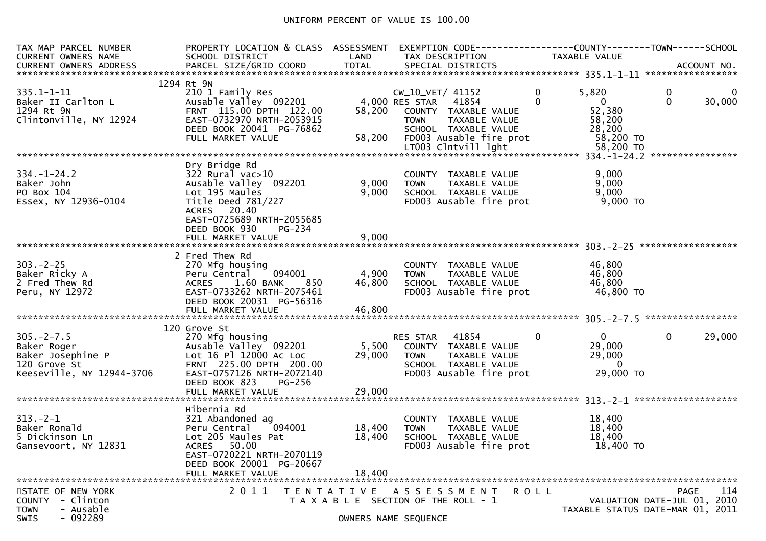## UNIFORM PERCENT OF VALUE IS 100.00

| TAX MAP PARCEL NUMBER<br>CURRENT OWNERS NAME                                                            | PROPERTY LOCATION & CLASS ASSESSMENT<br>SCHOOL DISTRICT                                                                                                                                    | LAND              | TAX DESCRIPTION                                                                                                                              | TAXABLE VALUE                                                                        |                                                                                       |  |
|---------------------------------------------------------------------------------------------------------|--------------------------------------------------------------------------------------------------------------------------------------------------------------------------------------------|-------------------|----------------------------------------------------------------------------------------------------------------------------------------------|--------------------------------------------------------------------------------------|---------------------------------------------------------------------------------------|--|
|                                                                                                         |                                                                                                                                                                                            |                   |                                                                                                                                              |                                                                                      |                                                                                       |  |
| $335.1 - 1 - 11$<br>Baker II Carlton L<br>1294 Rt 9N<br>Clintonville, NY 12924                          | 1294 Rt 9N<br>210 1 Family Res<br>Ausable Valley 092201<br>FRNT 115.00 DPTH 122.00<br>EAST-0732970 NRTH-2053915<br>DEED BOOK 20041 PG-76862<br>FULL MARKET VALUE                           | 58,200<br>58,200  | CW_10_VET/ 41152<br>4,000 RES STAR 41854<br>COUNTY TAXABLE VALUE<br>TAXABLE VALUE<br>TOWN<br>SCHOOL TAXABLE VALUE<br>FD003 Ausable fire prot | $\mathbf{0}$<br>5,820<br>0<br>$\mathbf 0$<br>52,380<br>58,200<br>28,200<br>58,200 TO | $\mathbf 0$<br>0<br>$\mathbf 0$<br>30,000                                             |  |
|                                                                                                         |                                                                                                                                                                                            |                   |                                                                                                                                              |                                                                                      |                                                                                       |  |
|                                                                                                         |                                                                                                                                                                                            |                   |                                                                                                                                              |                                                                                      |                                                                                       |  |
| $334. - 1 - 24.2$<br>Baker John<br>PO Box 104<br>Essex, NY 12936-0104                                   | Dry Bridge Rd<br>$322$ Rural vac $>10$<br>Ausable Valley 092201<br>Lot 195 Maules<br>Title Deed 781/227<br>ACRES 20.40<br>EAST-0725689 NRTH-2055685<br>DEED BOOK 930<br>PG-234             | 9,000<br>9,000    | COUNTY TAXABLE VALUE<br><b>TOWN</b><br>TAXABLE VALUE<br>SCHOOL TAXABLE VALUE<br>FD003 Ausable fire prot                                      | 9,000<br>9,000<br>9,000<br>$9,000$ TO                                                |                                                                                       |  |
|                                                                                                         | FULL MARKET VALUE                                                                                                                                                                          | 9,000             |                                                                                                                                              |                                                                                      |                                                                                       |  |
|                                                                                                         | 2 Fred Thew Rd                                                                                                                                                                             |                   |                                                                                                                                              |                                                                                      |                                                                                       |  |
| $303 - 2 - 25$<br>Baker Ricky A<br>2 Fred Thew Rd<br>Peru, NY 12972                                     | 270 Mfg housing<br>094001<br>Peru Central<br>$1.60$ BANK<br>850<br><b>ACRES</b><br>EAST-0733262 NRTH-2075461<br>DEED BOOK 20031 PG-56316                                                   | 4,900<br>46,800   | COUNTY TAXABLE VALUE<br>TAXABLE VALUE<br><b>TOWN</b><br>SCHOOL TAXABLE VALUE<br>FD003 Ausable fire prot                                      | 46,800<br>46,800<br>46,800<br>46,800 TO                                              |                                                                                       |  |
|                                                                                                         |                                                                                                                                                                                            |                   |                                                                                                                                              |                                                                                      |                                                                                       |  |
| $305. -2 - 7.5$<br>Baker Roger<br>Baker Josephine P<br>120 Grove St<br>Keeseville, NY 12944-3706        | 120 Grove St<br>270 Mfg housing<br>Ausable Valley 092201<br>Lot 16 Pl 12000 Ac Loc<br>FRNT 225.00 DPTH 200.00<br>EAST-0757126 NRTH-2072140<br>DEED BOOK 823<br>PG-256<br>FULL MARKET VALUE | 29,000<br>29,000  | RES STAR<br>41854<br>5,500 COUNTY TAXABLE VALUE<br>TAXABLE VALUE<br><b>TOWN</b><br>SCHOOL TAXABLE VALUE<br>FD003 Ausable fire prot           | $\mathbf{0}$<br>0<br>29,000<br>29,000<br>$\overline{0}$<br>29,000 TO                 | $\mathbf 0$<br>29,000                                                                 |  |
|                                                                                                         |                                                                                                                                                                                            |                   |                                                                                                                                              |                                                                                      |                                                                                       |  |
| $313 - 2 - 1$<br>Baker Ronald<br>5 Dickinson Ln<br>Gansevoort, NY 12831                                 | Hibernia Rd<br>321 Abandoned ag<br>Peru Central<br>094001<br>Lot 205 Maules Pat<br><b>ACRES</b><br>50.00<br>EAST-0720221 NRTH-2070119<br>DEED BOOK 20001 PG-20667                          | 18,400<br>18,400  | COUNTY TAXABLE VALUE<br><b>TOWN</b><br>TAXABLE VALUE<br>SCHOOL TAXABLE VALUE<br>FD003 Ausable fire prot                                      | 18,400<br>18,400<br>18,400<br>18,400 TO                                              |                                                                                       |  |
|                                                                                                         | FULL MARKET VALUE                                                                                                                                                                          | 18,400            |                                                                                                                                              |                                                                                      |                                                                                       |  |
| STATE OF NEW YORK<br>- Clinton<br><b>COUNTY</b><br>- Ausable<br><b>TOWN</b><br>$-092289$<br><b>SWIS</b> | 2011                                                                                                                                                                                       | T E N T A T I V E | A S S E S S M E N T<br>T A X A B L E SECTION OF THE ROLL - 1<br>OWNERS NAME SEQUENCE                                                         | R O L L                                                                              | 114<br><b>PAGE</b><br>VALUATION DATE-JUL 01, 2010<br>TAXABLE STATUS DATE-MAR 01, 2011 |  |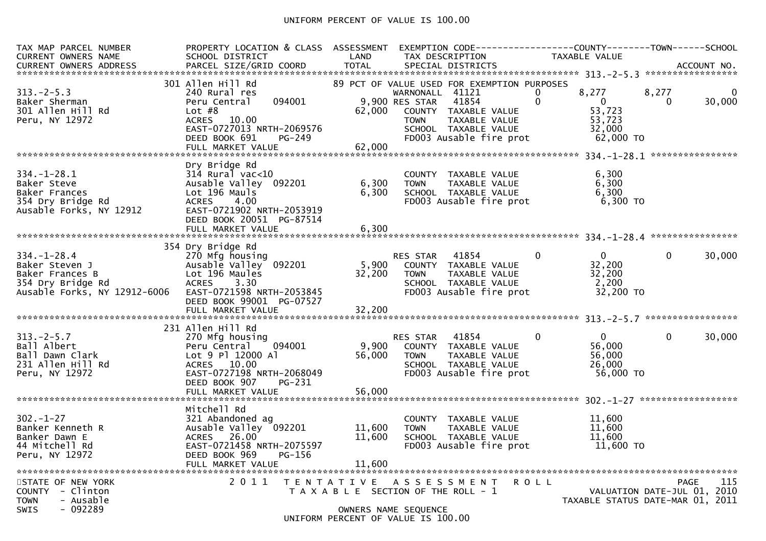## UNIFORM PERCENT OF VALUE IS 100.00

| TAX MAP PARCEL NUMBER<br>CURRENT OWNERS NAME                                                                | PROPERTY LOCATION & CLASS ASSESSMENT<br>SCHOOL DISTRICT                                                                                                        | LAND                       | EXEMPTION CODE-----------------COUNTY--------TOWN------SCHOOL<br>TAX DESCRIPTION                                                                                                                  | TAXABLE VALUE                                                                           |                                            |
|-------------------------------------------------------------------------------------------------------------|----------------------------------------------------------------------------------------------------------------------------------------------------------------|----------------------------|---------------------------------------------------------------------------------------------------------------------------------------------------------------------------------------------------|-----------------------------------------------------------------------------------------|--------------------------------------------|
| $313 - 2 - 5.3$<br>Baker Sherman<br>301 Allen Hill Rd<br>Peru, NY 12972                                     | 301 Allen Hill Rd<br>240 Rural res<br>094001<br>Peru Central<br>Lot $#8$<br>ACRES 10.00<br>EAST-0727013 NRTH-2069576<br>DEED BOOK 691<br>PG-249                | 62,000                     | 89 PCT OF VALUE USED FOR EXEMPTION PURPOSES<br>WARNONALL 41121<br>9,900 RES STAR 41854<br>COUNTY TAXABLE VALUE<br>TAXABLE VALUE<br><b>TOWN</b><br>SCHOOL TAXABLE VALUE<br>FDOO3 Ausable fire prot | 8,277<br>0<br>$\mathbf{0}$<br>$\overline{0}$<br>53,723<br>53,723<br>32,000<br>62,000 TO | 8,277<br>$\mathbf 0$<br>30,000<br>$\Omega$ |
|                                                                                                             |                                                                                                                                                                |                            |                                                                                                                                                                                                   |                                                                                         |                                            |
| $334. - 1 - 28.1$<br>Baker Steve<br>Baker Frances<br>354 Dry Bridge Rd<br>Ausable Forks, NY 12912           | Dry Bridge Rd<br>$314$ Rural vac<10<br>Ausable Valley 092201<br>Lot 196 Mauls<br><b>ACRES</b><br>4.00<br>EAST-0721902 NRTH-2053919<br>DEED BOOK 20051 PG-87514 | 6,300                      | COUNTY TAXABLE VALUE<br>6,300 TOWN<br>TAXABLE VALUE<br>SCHOOL TAXABLE VALUE<br>FD003 Ausable fire prot 6,300 TO                                                                                   | 6,300<br>6,300<br>6,300                                                                 |                                            |
|                                                                                                             |                                                                                                                                                                |                            |                                                                                                                                                                                                   |                                                                                         |                                            |
| $334. - 1 - 28.4$<br>Baker Steven J<br>Baker Frances B<br>354 Dry Bridge Rd<br>Ausable Forks, NY 12912-6006 | 354 Dry Bridge Rd<br>270 Mfg housing<br>Ausable Valley 092201<br>Lot 196 Maules<br>ACRES       3.30<br>EAST-0721598  NRTH-2053845<br>DEED BOOK 99001 PG-07527  | 32,200                     | RES STAR 41854<br>5,900 COUNTY TAXABLE VALUE<br><b>TOWN</b><br>TAXABLE VALUE<br>SCHOOL TAXABLE VALUE<br>FD003 Ausable fire prot                                                                   | $\mathbf{0}$<br>$0 \qquad \qquad$<br>32,200<br>32,200<br>2,200<br>32,200 TO             | $\overline{0}$<br>30,000                   |
|                                                                                                             | 231 Allen Hill Rd                                                                                                                                              |                            |                                                                                                                                                                                                   |                                                                                         |                                            |
| $313 - 2 - 5.7$<br>Ball Albert<br>Ball Dawn Clark<br>231 Allen Hill Rd<br>Peru, NY 12972                    | 270 Mfg housing<br>094001<br>Peru Central<br>Lot 9 Pl 12000 Al<br>ACRES 10.00<br>EAST-0727198 NRTH-2068049<br>DEED BOOK 907<br>PG-231                          |                            | RES STAR 41854<br>9,900 COUNTY TAXABLE VALUE<br>56,000 TOWN<br>TAXABLE VALUE<br>SCHOOL TAXABLE VALUE<br>FD003 Ausable fire prot                                                                   | $0 \qquad \qquad$<br>$\overline{0}$<br>56,000<br>56,000<br>26,000<br>56,000 TO          | $\mathbf 0$<br>30,000                      |
|                                                                                                             | FULL MARKET VALUE                                                                                                                                              | 56,000                     |                                                                                                                                                                                                   |                                                                                         |                                            |
| $302 - 1 - 27$<br>Banker Kenneth R<br>Banker Dawn E<br>44 Mitchell Rd<br>Peru, NY 12972                     | Mitchell Rd<br>321 Abandoned ag<br>Ausable Valley 092201<br>ACRES 26.00<br>EAST-0721458 NRTH-2075597<br>PG-156<br>DEED BOOK 969<br>FULL MARKET VALUE           | 11,600<br>11,600<br>11,600 | COUNTY TAXABLE VALUE<br>TAXABLE VALUE<br><b>TOWN</b><br>SCHOOL TAXABLE VALUE<br>FD003 Ausable fire prot                                                                                           | 11,600<br>11,600<br>11,600<br>11,600 TO                                                 |                                            |
| STATE OF NEW YORK<br>- Clinton<br><b>COUNTY</b>                                                             | 2011                                                                                                                                                           |                            | TENTATIVE ASSESSMENT<br>T A X A B L E SECTION OF THE ROLL - 1                                                                                                                                     | R O L L                                                                                 | 115<br>PAGE<br>VALUATION DATE-JUL 01, 2010 |
| - Ausable<br><b>TOWN</b><br>$-092289$<br>SWIS                                                               |                                                                                                                                                                |                            | OWNERS NAME SEQUENCE<br>UNIFORM PERCENT OF VALUE IS 100.00                                                                                                                                        |                                                                                         | TAXABLE STATUS DATE-MAR 01, 2011           |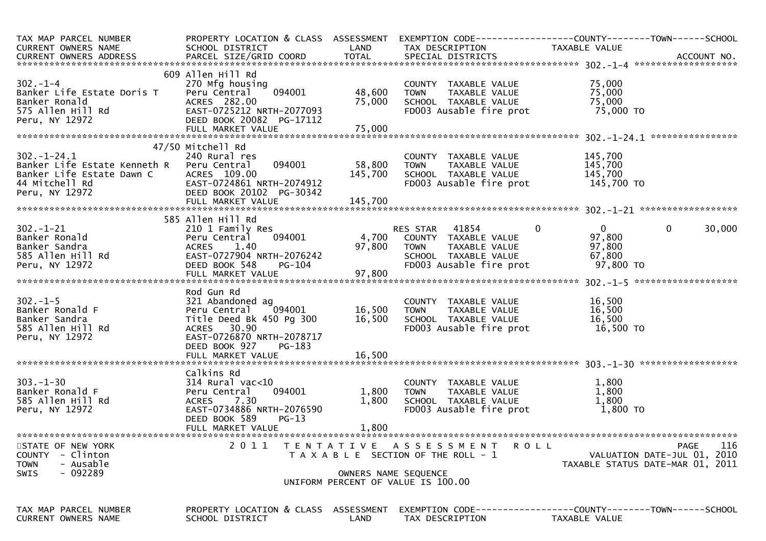| TAX MAP PARCEL NUMBER<br>CURRENT OWNERS NAME<br>CURRENT OWNERS ADDRESS                                            | SCHOOL DISTRICT                                                                                                                                                      | LAND                       | TAX DESCRIPTION                                                                                                                            | PROPERTY LOCATION & CLASS ASSESSMENT EXEMPTION CODE----------------COUNTY-------TOWN------SCHOOL<br>TAXABLE VALUE |
|-------------------------------------------------------------------------------------------------------------------|----------------------------------------------------------------------------------------------------------------------------------------------------------------------|----------------------------|--------------------------------------------------------------------------------------------------------------------------------------------|-------------------------------------------------------------------------------------------------------------------|
| $302 - 1 - 4$<br>Banker Life Estate Doris T<br>Banker Ronald<br>575 Allen Hill Rd<br>Peru, NY 12972               | 609 Allen Hill Rd<br>270 Mfg housing<br>094001<br>Peru Central<br>ACRES 282.00<br>EAST-0725212 NRTH-2077093<br>DEED BOOK 20082 PG-17112<br>FULL MARKET VALUE         | 48,600<br>75,000<br>75,000 | COUNTY TAXABLE VALUE<br><b>TOWN</b><br>TAXABLE VALUE<br>SCHOOL TAXABLE VALUE<br>FD003 Ausable fire prot                                    | 75,000<br>75,000<br>75,000<br>75,000 TO                                                                           |
| $302 - 1 - 24.1$<br>Banker Life Estate Kenneth R<br>Banker Life Estate Dawn C<br>44 Mitchell Rd<br>Peru, NY 12972 | 47/50 Mitchell Rd<br>240 Rural res<br>094001<br>Peru Central<br>ACRES 109.00<br>EAST-0724861 NRTH-2074912<br>DEED BOOK 20102 PG-30342                                | 58,800<br>145,700          | COUNTY TAXABLE VALUE<br><b>TOWN</b><br>TAXABLE VALUE<br>SCHOOL TAXABLE VALUE<br>FD003 Ausable fire prot                                    | 145,700<br>145,700<br>145,700<br>145,700 TO                                                                       |
| $302 - 1 - 21$<br>Banker Ronald<br>Banker Sandra<br>585 Allen Hill Rd<br>Peru, NY 12972                           | 585 Allen Hill Rd<br>210 1 Family Res<br>094001<br>Peru Central<br>1.40<br><b>ACRES</b><br>EAST-0727904 NRTH-2076242<br>DEED BOOK 548<br>PG-104<br>FULL MARKET VALUE | 4,700<br>97,800<br>97,800  | $\mathbf{0}$<br>RES STAR 41854<br>COUNTY TAXABLE VALUE<br><b>TOWN</b><br>TAXABLE VALUE<br>SCHOOL TAXABLE VALUE<br>FD003 Ausable fire prot  | $\mathbf{0}$<br>0<br>30,000<br>97,800<br>97,800<br>67,800<br>97,800 TO                                            |
| $302 - 1 - 5$<br>Banker Ronald F<br>Banker Sandra<br>585 Allen Hill Rd<br>Peru, NY 12972                          | Rod Gun Rd<br>321 Abandoned ag<br>094001<br>Peru Central<br>Title Deed Bk 450 Pg 300<br>ACRES 30.90<br>EAST-0726870 NRTH-2078717<br>DEED BOOK 927<br>PG-183          | 16,500<br>16,500           | COUNTY TAXABLE VALUE<br>TAXABLE VALUE<br><b>TOWN</b><br>SCHOOL TAXABLE VALUE<br>FD003 Ausable fire prot                                    | 16,500<br>16,500<br>16,500<br>16,500 TO                                                                           |
| $303 - 1 - 30$<br>Banker Ronald F<br>585 Allen Hill Rd<br>Peru, NY 12972                                          | Calkins Rd<br>314 Rural vac<10<br>094001<br>Peru Central<br>7.30<br><b>ACRES</b><br>EAST-0734886 NRTH-2076590<br>DEED BOOK 589<br>$PG-13$<br>FULL MARKET VALUE       | 1,800<br>1,800<br>1,800    | COUNTY TAXABLE VALUE<br>TAXABLE VALUE<br><b>TOWN</b><br>SCHOOL TAXABLE VALUE<br>FD003 Ausable fire prot                                    | 1,800<br>1,800<br>1,800<br>1,800 TO                                                                               |
| STATE OF NEW YORK<br><b>COUNTY</b><br>- Clinton<br>- Ausable<br><b>TOWN</b><br>- 092289<br>SWIS                   | 2011                                                                                                                                                                 |                            | TENTATIVE ASSESSMENT<br><b>ROLL</b><br>T A X A B L E SECTION OF THE ROLL - 1<br>OWNERS NAME SEQUENCE<br>UNIFORM PERCENT OF VALUE IS 100.00 | 116<br>PAGE<br>VALUATION DATE-JUL 01, 2010<br>TAXABLE STATUS DATE-MAR 01, 2011                                    |
| TAX MAP PARCEL NUMBER<br>CURRENT OWNERS NAME                                                                      | PROPERTY LOCATION & CLASS ASSESSMENT<br>SCHOOL DISTRICT                                                                                                              | LAND                       | TAX DESCRIPTION                                                                                                                            | EXEMPTION        CODE-----------------COUNTY-------TOWN------SCHOOL<br>TAXABLE VALUE                              |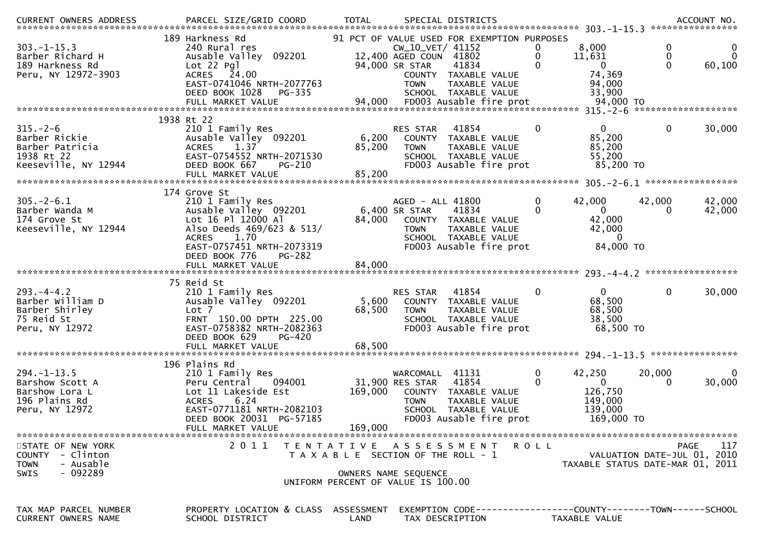| CURRENT OWNERS ADDRESS<br>.CURRENT OWNERS ADDRESS PARCEL SIZE/GRID COORD TOTAL SPECIAL DISTRICTS ACCOUNT NO ACCOUNT NO ACCOUNT NO AND ARTY |                                                                                                                                                                                     |                           |                                                                                                                                                                                                      |                        |                                                                            |                    |
|--------------------------------------------------------------------------------------------------------------------------------------------|-------------------------------------------------------------------------------------------------------------------------------------------------------------------------------------|---------------------------|------------------------------------------------------------------------------------------------------------------------------------------------------------------------------------------------------|------------------------|----------------------------------------------------------------------------|--------------------|
| $303. -1 - 15.3$<br>Barber Richard H<br>189 Harkness Rd<br>Peru, NY 12972-3903                                                             | 189 Harkness Rd<br>240 Rural res<br>Ausable Valley 092201<br>$Lot 22$ Pg<br>ACRES 24.00<br>EAST-0741046 NRTH-2077763<br>DEED BOOK 1028<br>$PG-335$                                  |                           | 91 PCT OF VALUE USED FOR EXEMPTION PURPOSES<br>CW_10_VET/ 41152<br>12,400 AGED COUN 41802<br>94,000 SR STAR<br>41834<br>COUNTY TAXABLE VALUE<br>TAXABLE VALUE<br><b>TOWN</b><br>SCHOOL TAXABLE VALUE | 11,631                 | 8,000<br>0<br>0<br>$\Omega$<br>$\Omega$<br>74,369<br>94,000<br>33,900      | $\Omega$<br>60,100 |
| $315. - 2 - 6$                                                                                                                             | 1938 Rt 22<br>210 1 Family Res                                                                                                                                                      |                           | 41854                                                                                                                                                                                                | $\mathbf{0}$           | $\Omega$<br>$\mathbf{0}$                                                   |                    |
| Barber Rickie<br>Barber Patricia<br>1938 Rt 22<br>Keeseville, NY 12944                                                                     | Ausable Valley 092201<br><b>ACRES</b><br>1.37<br>EAST-0754552 NRTH-2071530<br>DEED BOOK 667<br><b>PG-210</b><br>FULL MARKET VALUE                                                   | 6,200<br>85,200<br>85,200 | RES STAR<br>COUNTY TAXABLE VALUE<br>TAXABLE VALUE<br><b>TOWN</b><br>SCHOOL TAXABLE VALUE<br>FD003 Ausable fire prot                                                                                  |                        | 85,200<br>85,200<br>55,200<br>85,200 TO                                    | 30,000             |
|                                                                                                                                            | 174 Grove St                                                                                                                                                                        |                           |                                                                                                                                                                                                      |                        |                                                                            |                    |
| $305. - 2 - 6.1$<br>Barber Wanda M<br>174 Grove St<br>Keeseville, NY 12944                                                                 | 210 1 Family Res<br>Ausable Valley 092201<br>Lot 16 Pl 12000 Al<br>Also Deeds 469/623 & 513/<br><b>ACRES</b><br>1.70<br>EAST-0757451 NRTH-2073319<br>DEED BOOK 776<br><b>PG-282</b> | 84,000                    | AGED - ALL 41800<br>6,400 SR STAR<br>41834<br>COUNTY TAXABLE VALUE<br>TAXABLE VALUE<br><b>TOWN</b><br>SCHOOL TAXABLE VALUE<br>FD003 Ausable fire prot                                                | 42,000<br>0            | 42,000<br>$\Omega$<br>0<br>42,000<br>42,000<br>$\overline{0}$<br>84,000 TO | 42,000<br>42,000   |
|                                                                                                                                            |                                                                                                                                                                                     |                           |                                                                                                                                                                                                      |                        |                                                                            |                    |
| $293. -4 - 4.2$<br>Barber William D<br>Barber Shirley<br>75 Reid St<br>Peru, NY 12972                                                      | 75 Reid St<br>210 1 Family Res<br>Ausable Valley 092201<br>Lot 7<br>FRNT 150.00 DPTH 225.00<br>EAST-0758382 NRTH-2082363<br>DEED BOOK 629<br><b>PG-420</b><br>FULL MARKET VALUE     | 5,600<br>68,500<br>68,500 | RES STAR<br>41854<br>COUNTY TAXABLE VALUE<br>TAXABLE VALUE<br><b>TOWN</b><br>SCHOOL TAXABLE VALUE<br>FD003 Ausable fire prot                                                                         | 0                      | $\Omega$<br>0<br>68,500<br>68,500<br>38,500<br>68,500 TO                   | 30,000             |
|                                                                                                                                            | 196 Plains Rd                                                                                                                                                                       |                           |                                                                                                                                                                                                      |                        |                                                                            |                    |
| $294. -1 - 13.5$<br>Barshow Scott A<br>Barshow Lora L<br>196 Plains Rd<br>Peru, NY 12972                                                   | 210 1 Family Res<br>094001<br>Peru Central<br>Lot 11 Lakeside Est<br>6.24<br><b>ACRES</b><br>EAST-0771181 NRTH-2082103<br>DEED BOOK 20031 PG-57185<br>FULL MARKET VALUE             | 169,000<br>169,000        | WARCOMALL 41131<br>31,900 RES STAR<br>41854<br>COUNTY TAXABLE VALUE<br>TAXABLE VALUE<br><b>TOWN</b><br>SCHOOL TAXABLE VALUE<br>FD003 Ausable fire prot                                               | $\mathbf{0}$<br>42,250 | 20,000<br>$\Omega$<br>126,750<br>149,000<br>139,000<br>169,000 TO          | $\Omega$<br>30,000 |
| STATE OF NEW YORK<br>COUNTY - Clinton<br>- Ausable<br><b>TOWN</b><br>- 092289<br><b>SWIS</b>                                               | 2 0 1 1                                                                                                                                                                             |                           | TENTATIVE ASSESSMENT<br>ROLL<br>T A X A B L E SECTION OF THE ROLL - 1<br>OWNERS NAME SEQUENCE<br>UNIFORM PERCENT OF VALUE IS 100.00                                                                  |                        | VALUATION DATE-JUL 01, 2010<br>TAXABLE STATUS DATE-MAR 01, 2011            | 117<br><b>PAGE</b> |
| TAX MAP PARCEL NUMBER<br>CURRENT OWNERS NAME                                                                                               | PROPERTY LOCATION & CLASS ASSESSMENT<br>SCHOOL DISTRICT                                                                                                                             | LAND                      | EXEMPTION CODE-----------------COUNTY-------TOWN------SCHOOL<br>TAX DESCRIPTION                                                                                                                      | TAXABLE VALUE          |                                                                            |                    |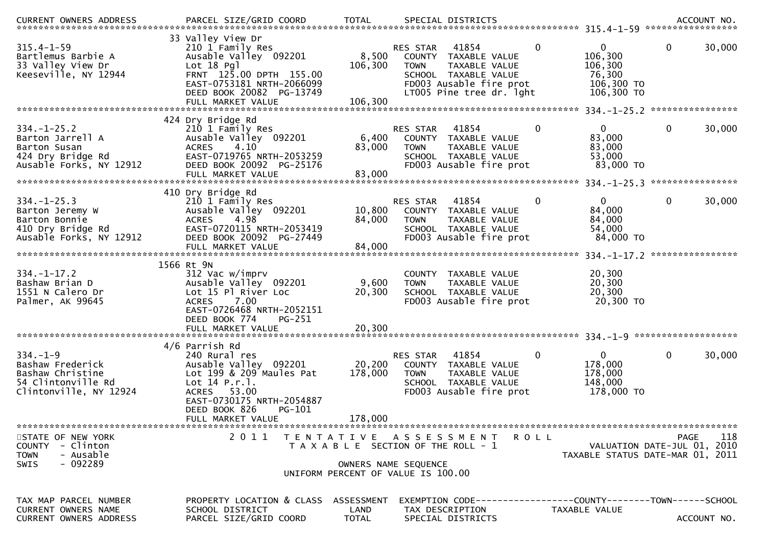| $315.4 - 1 - 59$<br>Bartlemus Barbie A<br>33 Valley View Dr<br>Keeseville, NY 12944                    | 33 Valley View Dr<br>210 1 Family Res<br>Ausable Valley 092201<br>Lot 18 Pgl<br>FRNT 125.00 DPTH 155.00<br>EAST-0753181 NRTH-2066099<br>DEED BOOK 20082 PG-13749                      | 8,500<br>106,300           | 41854<br>RES STAR<br>COUNTY TAXABLE VALUE<br>TAXABLE VALUE<br><b>TOWN</b><br>SCHOOL TAXABLE VALUE<br>FD003 Ausable fire prot<br>LT005 Pine tree dr. 1ght | $\mathbf 0$<br>$\mathbf 0$<br>106,300<br>106,300<br>76,300<br>106,300 TO<br>106,300 TO | $\mathbf 0$<br>30,000                                                                 |
|--------------------------------------------------------------------------------------------------------|---------------------------------------------------------------------------------------------------------------------------------------------------------------------------------------|----------------------------|----------------------------------------------------------------------------------------------------------------------------------------------------------|----------------------------------------------------------------------------------------|---------------------------------------------------------------------------------------|
|                                                                                                        | 424 Dry Bridge Rd                                                                                                                                                                     |                            |                                                                                                                                                          |                                                                                        |                                                                                       |
| $334. - 1 - 25.2$<br>Barton Jarrell A<br>Barton Susan<br>424 Dry Bridge Rd<br>Ausable Forks, NY 12912  | 210 1 Family Res<br>Ausable Valley 092201<br>4.10<br><b>ACRES</b><br>EAST-0719765 NRTH-2053259<br>DEED BOOK 20092 PG-25176<br>FULL MARKET VALUE                                       | 6,400<br>83,000<br>83,000  | 41854<br>RES STAR<br>COUNTY TAXABLE VALUE<br><b>TOWN</b><br>TAXABLE VALUE<br>SCHOOL TAXABLE VALUE<br>FD003 Ausable fire prot                             | $\mathbf 0$<br>0<br>83,000<br>83,000<br>53,000<br>83,000 TO                            | $\mathbf 0$<br>30,000                                                                 |
|                                                                                                        |                                                                                                                                                                                       |                            |                                                                                                                                                          |                                                                                        |                                                                                       |
| $334. - 1 - 25.3$<br>Barton Jeremy W<br>Barton Bonnie<br>410 Dry Bridge Rd<br>Ausable Forks, NY 12912  | 410 Dry Bridge Rd<br>210 1 Family Res<br>Ausable Valley 092201<br>4.98<br><b>ACRES</b><br>EAST-0720115 NRTH-2053419<br>DEED BOOK 20092 PG-27449<br>FULL MARKET VALUE                  | 10,800<br>84,000<br>84,000 | 41854<br>RES STAR<br>COUNTY TAXABLE VALUE<br><b>TOWN</b><br>TAXABLE VALUE<br>SCHOOL TAXABLE VALUE<br>FD003 Ausable fire prot                             | 0<br>0<br>84,000<br>84,000<br>54,000<br>84,000 TO                                      | 30,000<br>0                                                                           |
|                                                                                                        |                                                                                                                                                                                       |                            |                                                                                                                                                          | $334. - 1 - 17.2$                                                                      | ****************                                                                      |
| $334. - 1 - 17.2$<br>Bashaw Brian D<br>1551 N Calero Dr<br>Palmer, AK 99645                            | 1566 Rt 9N<br>312 Vac w/imprv<br>Ausable Valley 092201<br>Lot 15 Pl River Loc<br>7.00<br><b>ACRES</b><br>EAST-0726468 NRTH-2052151<br>DEED BOOK 774<br><b>PG-251</b>                  | 9,600<br>20,300            | <b>COUNTY</b><br><b>TAXABLE VALUE</b><br><b>TOWN</b><br>TAXABLE VALUE<br>SCHOOL TAXABLE VALUE<br>FD003 Ausable fire prot                                 | 20,300<br>20,300<br>20,300<br>20,300 TO                                                |                                                                                       |
|                                                                                                        | FULL MARKET VALUE                                                                                                                                                                     | 20,300                     |                                                                                                                                                          |                                                                                        |                                                                                       |
| $334. - 1 - 9$<br>Bashaw Frederick<br>Bashaw Christine<br>54 Clintonville Rd<br>Clintonville, NY 12924 | 4/6 Parrish Rd<br>240 Rural res<br>Ausable Valley 092201<br>Lot 199 & 209 Maules Pat<br>Lot $14$ P.r.].<br>ACRES 53.00<br>EAST-0730175 NRTH-2054887<br>DEED BOOK 826<br><b>PG-101</b> | 20,200<br>178,000          | 41854<br>RES STAR<br>COUNTY TAXABLE VALUE<br><b>TOWN</b><br>TAXABLE VALUE<br>SCHOOL TAXABLE VALUE<br>FD003 Ausable fire prot                             | $\mathbf 0$<br>0<br>178,000<br>178,000<br>148,000<br>178,000 TO                        | $\mathbf 0$<br>30,000                                                                 |
|                                                                                                        | FULL MARKET VALUE                                                                                                                                                                     | 178,000                    |                                                                                                                                                          |                                                                                        |                                                                                       |
| STATE OF NEW YORK<br>COUNTY - Clinton<br>- Ausable<br><b>TOWN</b><br>$-092289$<br><b>SWIS</b>          | 2011                                                                                                                                                                                  |                            | R O L L<br>TENTATIVE ASSESSMENT<br>T A X A B L E SECTION OF THE ROLL - 1<br>OWNERS NAME SEQUENCE<br>UNIFORM PERCENT OF VALUE IS 100.00                   |                                                                                        | 118<br><b>PAGE</b><br>VALUATION DATE-JUL 01, 2010<br>TAXABLE STATUS DATE-MAR 01, 2011 |
| TAX MAP PARCEL NUMBER<br>CURRENT OWNERS NAME<br>CURRENT OWNERS ADDRESS                                 | PROPERTY LOCATION & CLASS ASSESSMENT<br>SCHOOL DISTRICT<br>PARCEL SIZE/GRID COORD                                                                                                     | LAND<br><b>TOTAL</b>       | EXEMPTION CODE------------------COUNTY-------TOWN------SCHOOL<br>TAX DESCRIPTION<br>SPECIAL DISTRICTS                                                    | TAXABLE VALUE                                                                          | ACCOUNT NO.                                                                           |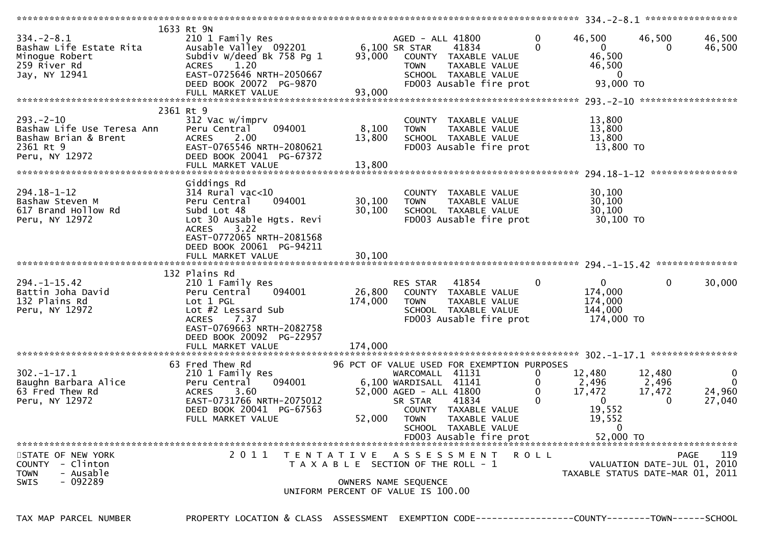|                            | 1633 Rt 9N                |                                       |                         |                                             |              |                                  |                             |                    |
|----------------------------|---------------------------|---------------------------------------|-------------------------|---------------------------------------------|--------------|----------------------------------|-----------------------------|--------------------|
| $334. - 2 - 8.1$           | 210 1 Family Res          |                                       | AGED - ALL 41800        |                                             | 0            | 46,500                           | 46,500                      | 46,500             |
| Bashaw Life Estate Rita    | Ausable Valley 092201     |                                       | 6,100 SR STAR           | 41834                                       | $\Omega$     | $\overline{0}$                   | 0                           | 46,500             |
| Minogue Robert             | Subdiv W/deed Bk 758 Pg 1 | 93,000                                |                         | COUNTY TAXABLE VALUE                        |              | 46,500                           |                             |                    |
| 259 River Rd               | 1.20<br><b>ACRES</b>      |                                       | <b>TOWN</b>             | TAXABLE VALUE                               |              | 46,500                           |                             |                    |
| Jay, NY 12941              | EAST-0725646 NRTH-2050667 |                                       |                         | SCHOOL TAXABLE VALUE                        |              | $\mathbf 0$                      |                             |                    |
|                            |                           |                                       |                         |                                             |              | 93,000 TO                        |                             |                    |
|                            | DEED BOOK 20072 PG-9870   |                                       |                         | FD003 Ausable fire prot                     |              |                                  |                             |                    |
|                            | FULL MARKET VALUE         | 93,000                                |                         |                                             |              |                                  |                             |                    |
|                            |                           |                                       |                         |                                             |              |                                  |                             |                    |
|                            | 2361 Rt 9                 |                                       |                         |                                             |              |                                  |                             |                    |
| $293. - 2 - 10$            | 312 Vac w/imprv           |                                       |                         | COUNTY TAXABLE VALUE                        |              | 13,800                           |                             |                    |
| Bashaw Life Use Teresa Ann | 094001<br>Peru Central    | 8,100                                 | TOWN                    | TAXABLE VALUE                               |              | 13,800                           |                             |                    |
| Bashaw Brian & Brent       | <b>ACRES</b><br>2.00      | 13,800                                |                         | SCHOOL TAXABLE VALUE                        |              | 13,800                           |                             |                    |
| 2361 Rt 9                  | EAST-0765546 NRTH-2080621 |                                       |                         | FD003 Ausable fire prot                     |              | 13,800 TO                        |                             |                    |
| Peru, NY 12972             | DEED BOOK 20041 PG-67372  |                                       |                         |                                             |              |                                  |                             |                    |
|                            | FULL MARKET VALUE         | 13,800                                |                         |                                             |              |                                  |                             |                    |
|                            |                           |                                       |                         |                                             |              |                                  |                             |                    |
|                            | Giddings Rd               |                                       |                         |                                             |              |                                  |                             |                    |
| 294.18-1-12                | $314$ Rural vac<10        |                                       |                         | COUNTY TAXABLE VALUE                        |              | 30,100                           |                             |                    |
| Bashaw Steven M            | 094001<br>Peru Central    | 30,100                                | <b>TOWN</b>             | TAXABLE VALUE                               |              | 30,100                           |                             |                    |
| 617 Brand Hollow Rd        | Subd Lot 48               | 30,100                                |                         | SCHOOL TAXABLE VALUE                        |              | 30,100                           |                             |                    |
| Peru, NY 12972             | Lot 30 Ausable Hgts. Revi |                                       |                         | FD003 Ausable fire prot                     |              | 30,100 TO                        |                             |                    |
|                            | <b>ACRES</b><br>3.22      |                                       |                         |                                             |              |                                  |                             |                    |
|                            | EAST-0772065 NRTH-2081568 |                                       |                         |                                             |              |                                  |                             |                    |
|                            |                           |                                       |                         |                                             |              |                                  |                             |                    |
|                            | DEED BOOK 20061 PG-94211  |                                       |                         |                                             |              |                                  |                             |                    |
|                            |                           |                                       |                         |                                             |              |                                  |                             |                    |
|                            |                           |                                       |                         |                                             |              |                                  |                             |                    |
|                            | 132 Plains Rd             |                                       |                         |                                             |              |                                  |                             |                    |
| $294. - 1 - 15.42$         | 210 1 Family Res          |                                       | RES STAR                | 41854                                       | $\mathbf{0}$ | $\overline{0}$                   | $\mathbf{0}$                | 30,000             |
| Battin Joha David          | Peru Central<br>094001    | 26,800                                |                         | COUNTY TAXABLE VALUE                        |              | 174,000                          |                             |                    |
| 132 Plains Rd              | Lot 1 PGL                 | 174,000                               | TOWN                    | TAXABLE VALUE                               |              | 174,000                          |                             |                    |
| Peru, NY 12972             |                           |                                       |                         | SCHOOL TAXABLE VALUE                        |              | 144,000                          |                             |                    |
|                            | Lot #2 Lessard Sub        |                                       |                         |                                             |              |                                  |                             |                    |
|                            | 7.37<br><b>ACRES</b>      |                                       |                         |                                             |              |                                  |                             |                    |
|                            | EAST-0769663 NRTH-2082758 |                                       |                         | FD003 Ausable fire prot                     |              | 174,000 TO                       |                             |                    |
|                            |                           |                                       |                         |                                             |              |                                  |                             |                    |
|                            | DEED BOOK 20092 PG-22957  |                                       |                         |                                             |              |                                  |                             |                    |
|                            | FULL MARKET VALUE         | 174,000                               |                         |                                             |              |                                  |                             |                    |
|                            |                           |                                       |                         |                                             |              |                                  |                             |                    |
|                            | 63 Fred Thew Rd           |                                       |                         | 96 PCT OF VALUE USED FOR EXEMPTION PURPOSES |              |                                  |                             |                    |
| $302 - 1 - 17.1$           | 210 1 Family Res          |                                       | WARCOMALL 41131         |                                             | 0            | 12,480                           | 12,480                      | $\mathbf 0$        |
| Baughn Barbara Alice       | 094001<br>Peru Central    |                                       | 6,100 WARDISALL 41141   |                                             | 0            | 2,496                            | 2,496                       | $\mathbf{0}$       |
| 63 Fred Thew Rd            | 3.60<br><b>ACRES</b>      |                                       | 52,000 AGED - ALL 41800 |                                             | $\mathbf{0}$ | 17,472                           | 17,472                      | 24,960             |
| Peru, NY 12972             | EAST-0731766 NRTH-2075012 |                                       | SR STAR                 | 41834                                       | $\mathbf 0$  | $\overline{0}$                   | $\Omega$                    | 27,040             |
|                            | DEED BOOK 20041 PG-67563  |                                       |                         | COUNTY TAXABLE VALUE                        |              | 19,552                           |                             |                    |
|                            | FULL MARKET VALUE         |                                       | 52,000 TOWN             | TAXABLE VALUE                               |              | 19,552                           |                             |                    |
|                            |                           |                                       |                         | SCHOOL TAXABLE VALUE                        |              | 0                                |                             |                    |
|                            |                           |                                       |                         | FD003 Ausable fire prot                     |              | 52,000 TO                        |                             |                    |
|                            |                           |                                       |                         |                                             |              |                                  |                             |                    |
| STATE OF NEW YORK          | 2011                      | TENTATIVE ASSESSMENT                  |                         |                                             | R O L L      |                                  |                             | 119<br><b>PAGE</b> |
| - Clinton<br><b>COUNTY</b> |                           | T A X A B L E SECTION OF THE ROLL - 1 |                         |                                             |              |                                  | VALUATION DATE-JUL 01, 2010 |                    |
| - Ausable<br>TOWN          |                           |                                       |                         |                                             |              | TAXABLE STATUS DATE-MAR 01, 2011 |                             |                    |
| $-092289$<br>SWIS          |                           |                                       | OWNERS NAME SEQUENCE    |                                             |              |                                  |                             |                    |
|                            |                           | UNIFORM PERCENT OF VALUE IS 100.00    |                         |                                             |              |                                  |                             |                    |

TAX MAP PARCEL NUMBER PROPERTY LOCATION & CLASS ASSESSMENT EXEMPTION CODE----------------COUNTY--------TOWN------SCHOOL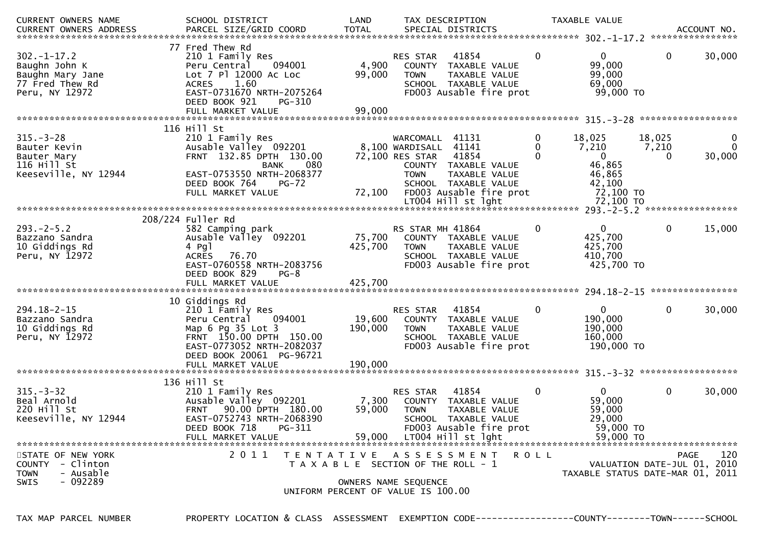| <b>CURRENT OWNERS NAME</b><br>.CURRENT OWNERS ADDRESS PARCEL SIZE/GRID COORD TOTAL SPECIAL DISTRICTS ACCOUNT NO ACCOUNT NO ACCOUNT NO ACCOUNT | SCHOOL DISTRICT                                                                                                                                                                              | LAND                         | TAX DESCRIPTION                                                                      |                                                                                                                                  |                    | TAXABLE VALUE                                                                          |                      |                         |
|-----------------------------------------------------------------------------------------------------------------------------------------------|----------------------------------------------------------------------------------------------------------------------------------------------------------------------------------------------|------------------------------|--------------------------------------------------------------------------------------|----------------------------------------------------------------------------------------------------------------------------------|--------------------|----------------------------------------------------------------------------------------|----------------------|-------------------------|
| $302 - 1 - 17.2$<br>Baughn John K<br>Baughn Mary Jane<br>77 Fred Thew Rd<br>Peru, NY 12972                                                    | 77 Fred Thew Rd<br>210 1 Family Res<br>Peru Central<br>094001<br>Lot 7 Pl 12000 Ac Loc<br>1.60<br><b>ACRES</b><br>EAST-0731670 NRTH-2075264<br>DEED BOOK 921<br>PG-310<br>FULL MARKET VALUE  | 4,900<br>99,000<br>99,000    | RES STAR<br>COUNTY<br><b>TOWN</b>                                                    | 41854<br>TAXABLE VALUE<br>TAXABLE VALUE<br>SCHOOL TAXABLE VALUE<br>FD003 Ausable fire prot                                       | $\mathbf{0}$       | $\overline{0}$<br>99,000<br>99,000<br>69,000<br>99,000 TO                              | $\mathbf{0}$         | 30,000                  |
|                                                                                                                                               |                                                                                                                                                                                              |                              |                                                                                      |                                                                                                                                  |                    |                                                                                        |                      |                         |
| $315. - 3 - 28$<br>Bauter Kevin<br>Bauter Mary<br>116 Hill St<br>Keeseville, NY 12944                                                         | 116 Hill St<br>210 1 Family Res<br>Ausable Valley 092201<br>FRNT 132.85 DPTH 130.00<br><b>BANK</b><br>080<br>EAST-0753550 NRTH-2068377<br>DEED BOOK 764<br><b>PG-72</b><br>FULL MARKET VALUE | 72,100                       | WARCOMALL 41131<br>8,100 WARDISALL<br>72,100 RES STAR<br><b>TOWN</b>                 | 41141<br>41854<br>COUNTY TAXABLE VALUE<br>TAXABLE VALUE<br>SCHOOL TAXABLE VALUE<br>FD003 Ausable fire prot<br>LT004 Hill st lght | 0<br>$\Omega$<br>0 | 18,025<br>7,210<br>$\mathbf 0$<br>46,865<br>46,865<br>42,100<br>72,100 TO<br>72,100 TO | 18,025<br>7,210<br>0 | 0<br>$\Omega$<br>30,000 |
|                                                                                                                                               |                                                                                                                                                                                              |                              |                                                                                      |                                                                                                                                  |                    |                                                                                        |                      |                         |
| $293. -2 - 5.2$<br>Bazzano Sandra<br>10 Giddings Rd<br>Peru, NY 12972                                                                         | 208/224 Fuller Rd<br>582 Camping park<br>Ausable Valley 092201<br>$4$ Pgl<br>ACRES 76.70<br>EAST-0760558 NRTH-2083756<br>DEED BOOK 829<br>$PG-8$                                             | 75,700<br>425,700            | RS STAR MH 41864<br><b>TOWN</b>                                                      | COUNTY TAXABLE VALUE<br>TAXABLE VALUE<br>SCHOOL TAXABLE VALUE<br>FD003 Ausable fire prot                                         | 0                  | $\mathbf{0}$<br>425,700<br>425,700<br>410,700<br>425,700 TO                            | $\mathbf{0}$         | 15,000                  |
|                                                                                                                                               |                                                                                                                                                                                              |                              |                                                                                      |                                                                                                                                  |                    |                                                                                        |                      |                         |
| $294.18 - 2 - 15$<br>Bazzano Sandra<br>10 Giddings Rd<br>Peru, NY 12972                                                                       | 10 Giddings Rd<br>210 1 Family Res<br>Peru Central<br>094001<br>Map 6 Pg 35 Lot 3<br>FRNT 150.00 DPTH 150.00<br>EAST-0773052 NRTH-2082037<br>DEED BOOK 20061 PG-96721<br>FULL MARKET VALUE   | 19,600<br>190,000<br>190,000 | RES STAR<br><b>TOWN</b>                                                              | 41854<br>COUNTY TAXABLE VALUE<br>TAXABLE VALUE<br>SCHOOL TAXABLE VALUE<br>FD003 Ausable fire prot                                | 0                  | $\mathbf{0}$<br>190,000<br>190,000<br>160,000<br>190,000 TO                            | $\mathbf 0$          | 30,000                  |
|                                                                                                                                               |                                                                                                                                                                                              |                              |                                                                                      |                                                                                                                                  |                    |                                                                                        |                      |                         |
| $315 - 3 - 32$<br>Beal Arnold<br>220 Hill St<br>Keeseville, NY 12944                                                                          | 136 Hill St<br>210 1 Family Res<br>Ausable Valley 092201<br>FRNT 90.00 DPTH 180.00<br>EAST-0752743 NRTH-2068390<br>PG-311<br>DEED BOOK 718<br>FULL MARKET VALUE                              | 7,300<br>59,000<br>59,000    | RES STAR<br><b>TOWN</b><br><b>SCHOOL</b>                                             | 41854<br>COUNTY TAXABLE VALUE<br><b>TAXABLE VALUE</b><br>TAXABLE VALUE<br>FD003 Ausable fire prot<br>LT004 Hill st lght          | $\mathbf 0$        | $\mathbf{0}$<br>59,000<br>59,000<br>29,000<br>59,000 TO<br>59,000 TO                   | $\mathbf 0$          | 30,000                  |
| STATE OF NEW YORK<br>- Clinton<br><b>COUNTY</b><br>- Ausable<br><b>TOWN</b><br>$-092289$<br><b>SWIS</b>                                       | 2011<br>T E N T A T I V E<br>UNIFORM PERCENT OF VALUE IS 100.00                                                                                                                              |                              | A S S E S S M E N T<br>T A X A B L E SECTION OF THE ROLL - 1<br>OWNERS NAME SEQUENCE |                                                                                                                                  | <b>ROLL</b>        | VALUATION DATE-JUL 01, 2010<br>TAXABLE STATUS DATE-MAR 01, 2011                        | <b>PAGE</b>          | 120                     |

TAX MAP PARCEL NUMBER PROPERTY LOCATION & CLASS ASSESSMENT EXEMPTION CODE----------------COUNTY--------TOWN------SCHOOL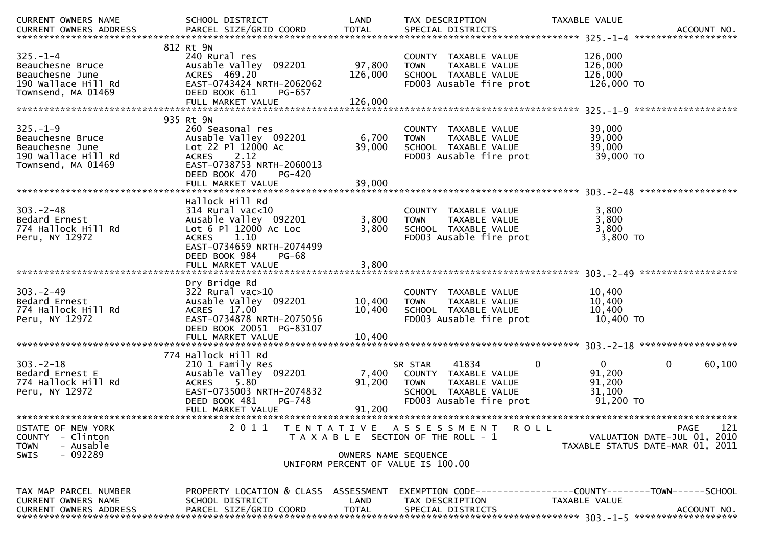| CURRENT OWNERS NAME                                                                                     | SCHOOL DISTRICT                                                                                                                                 | LAND                 | TAX DESCRIPTION                                                                                                                            | TAXABLE VALUE                                                                   |
|---------------------------------------------------------------------------------------------------------|-------------------------------------------------------------------------------------------------------------------------------------------------|----------------------|--------------------------------------------------------------------------------------------------------------------------------------------|---------------------------------------------------------------------------------|
| $325. - 1 - 4$<br>Beauchesne Bruce<br>Beauchesne June<br>190 Wallace Hill Rd<br>Townsend, MA 01469      | 812 Rt 9N<br>240 Rural res<br>Ausable Valley 092201<br>ACRES 469.20<br>EAST-0743424 NRTH-2062062<br>DEED BOOK 611<br>PG-657                     | 97,800<br>126,000    | COUNTY TAXABLE VALUE<br>TAXABLE VALUE<br><b>TOWN</b><br>SCHOOL TAXABLE VALUE<br>FD003 Ausable fire prot                                    | 126,000<br>126,000<br>126,000<br>126,000 TO<br>*******************              |
|                                                                                                         | 935 Rt 9N                                                                                                                                       |                      |                                                                                                                                            |                                                                                 |
| $325. - 1 - 9$<br>Beauchesne Bruce<br>Beauchesne June<br>190 Wallace Hill Rd<br>Townsend, MA 01469      | 260 Seasonal res<br>Ausable Valley 092201<br>Lot 22 Pl 12000 Ac<br>2.12<br><b>ACRES</b><br>EAST-0738753 NRTH-2060013<br>DEED BOOK 470<br>PG-420 | 6,700<br>39,000      | COUNTY TAXABLE VALUE<br><b>TOWN</b><br><b>TAXABLE VALUE</b><br>SCHOOL TAXABLE VALUE<br>FD003 Ausable fire prot                             | 39,000<br>39,000<br>39,000<br>39,000 TO                                         |
|                                                                                                         | FULL MARKET VALUE                                                                                                                               | 39,000               |                                                                                                                                            |                                                                                 |
| $303 - 2 - 48$<br>Bedard Ernest<br>774 Hallock Hill Rd<br>Peru, NY 12972                                | Hallock Hill Rd<br>$314$ Rural vac<10<br>Ausable Valley 092201<br>Lot 6 Pl 12000 Ac Loc<br><b>ACRES</b><br>1.10<br>EAST-0734659 NRTH-2074499    | 3,800<br>3,800       | COUNTY TAXABLE VALUE<br>TAXABLE VALUE<br><b>TOWN</b><br>SCHOOL TAXABLE VALUE<br>FD003 Ausable fire prot                                    | 3,800<br>3,800<br>3,800<br>3,800 TO                                             |
|                                                                                                         | DEED BOOK 984<br><b>PG-68</b>                                                                                                                   |                      |                                                                                                                                            |                                                                                 |
|                                                                                                         |                                                                                                                                                 |                      |                                                                                                                                            |                                                                                 |
| $303 - 2 - 49$<br>Bedard Ernest<br>774 Hallock Hill Rd<br>Peru, NY 12972                                | Dry Bridge Rd<br>$322$ Rural vac $>10$<br>Ausable Valley 092201<br>ACRES 17.00<br>EAST-0734878 NRTH-2075056<br>DEED BOOK 20051 PG-83107         | 10,400<br>10,400     | COUNTY TAXABLE VALUE<br>TAXABLE VALUE<br><b>TOWN</b><br>SCHOOL TAXABLE VALUE<br>FD003 Ausable fire prot                                    | 10,400<br>10,400<br>10,400<br>10,400 TO                                         |
|                                                                                                         | 774 Hallock Hill Rd                                                                                                                             |                      |                                                                                                                                            |                                                                                 |
| $303 - 2 - 18$<br>Bedard Ernest E<br>774 Hallock Hill Rd<br>Peru, NY 12972                              | 210 1 Family Res<br>Ausable Valley 092201<br>5.80<br><b>ACRES</b><br>EAST-0735003 NRTH-2074832<br>DEED BOOK 481<br>PG-748                       | 7,400<br>91,200      | 41834<br>$\mathbf 0$<br>SR STAR<br>COUNTY TAXABLE VALUE<br><b>TOWN</b><br>TAXABLE VALUE<br>SCHOOL TAXABLE VALUE<br>FD003 Ausable fire prot | $\mathbf 0$<br>$\mathbf 0$<br>60,100<br>91,200<br>91,200<br>31,100<br>91,200 TO |
|                                                                                                         | FULL MARKET VALUE                                                                                                                               | 91,200               |                                                                                                                                            |                                                                                 |
| STATE OF NEW YORK<br><b>COUNTY</b><br>- Clinton<br>- Ausable<br><b>TOWN</b><br>$-092289$<br><b>SWIS</b> | 2011                                                                                                                                            | OWNERS NAME SEQUENCE | TENTATIVE ASSESSMENT<br><b>ROLL</b><br>T A X A B L E SECTION OF THE ROLL - 1                                                               | 121<br>PAGE<br>VALUATION DATE-JUL 01, 2010<br>TAXABLE STATUS DATE-MAR 01, 2011  |
|                                                                                                         |                                                                                                                                                 |                      | UNIFORM PERCENT OF VALUE IS 100.00                                                                                                         |                                                                                 |
| TAX MAP PARCEL NUMBER<br>CURRENT OWNERS NAME<br><b>CURRENT OWNERS ADDRESS</b>                           | PROPERTY LOCATION & CLASS ASSESSMENT<br>SCHOOL DISTRICT<br>PARCEL SIZE/GRID COORD                                                               | LAND<br><b>TOTAL</b> | TAX DESCRIPTION<br>SPECIAL DISTRICTS                                                                                                       | TAXABLE VALUE<br>ACCOUNT NO.                                                    |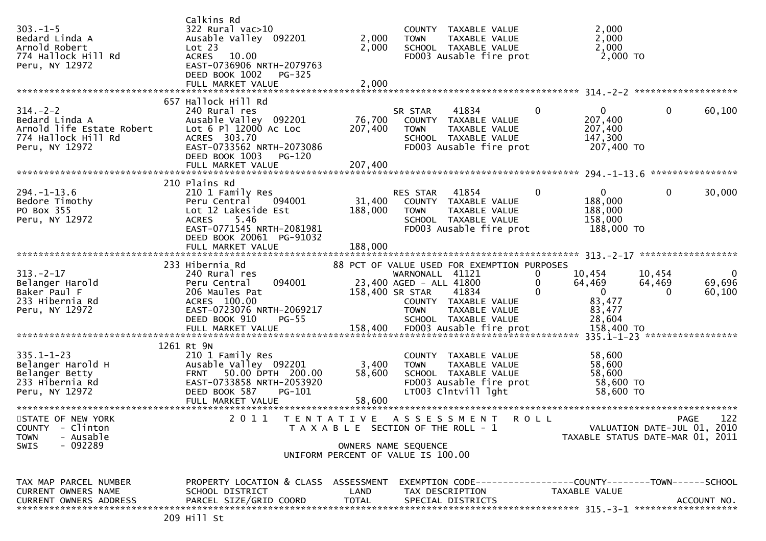| $303. - 1 - 5$<br>Bedard Linda A<br>Arnold Robert<br>774 Hallock Hill Rd<br>Peru, NY 12972             | Calkins Rd<br>322 Rural vac>10<br>Ausable Valley 092201<br>Lot 23<br>ACRES 10.00<br>EAST-0736906 NRTH-2079763<br>DEED BOOK 1002<br>PG-325<br>FULL MARKET VALUE                  | 2,000<br>2,000<br>2,000 | COUNTY TAXABLE VALUE<br>TAXABLE VALUE<br><b>TOWN</b><br>SCHOOL TAXABLE VALUE<br>FD003 Ausable fire prot                                                                                                                          | 2,000<br>2,000<br>2,000<br>2,000 TO                                                             |                                                                                       |
|--------------------------------------------------------------------------------------------------------|---------------------------------------------------------------------------------------------------------------------------------------------------------------------------------|-------------------------|----------------------------------------------------------------------------------------------------------------------------------------------------------------------------------------------------------------------------------|-------------------------------------------------------------------------------------------------|---------------------------------------------------------------------------------------|
|                                                                                                        | 657 Hallock Hill Rd                                                                                                                                                             |                         |                                                                                                                                                                                                                                  |                                                                                                 |                                                                                       |
| $314. - 2 - 2$<br>Bedard Linda A<br>Arnold life Estate Robert<br>774 Hallock Hill Rd<br>Peru, NY 12972 | 240 Rural res<br>Ausable Valley 092201<br>Lot 6 Pl 12000 Ac Loc<br>ACRES 303.70<br>EAST-0733562 NRTH-2073086<br>DEED BOOK 1003<br>PG-120                                        | 76,700<br>207,400       | 41834<br>SR STAR<br>COUNTY TAXABLE VALUE<br>TAXABLE VALUE<br><b>TOWN</b><br>SCHOOL TAXABLE VALUE<br>FD003 Ausable fire prot                                                                                                      | $\mathbf 0$<br>$\mathbf{0}$<br>207,400<br>207,400<br>147,300<br>207,400 TO                      | 0<br>60,100                                                                           |
|                                                                                                        |                                                                                                                                                                                 |                         |                                                                                                                                                                                                                                  |                                                                                                 | ****************                                                                      |
| $294. -1 - 13.6$<br>Bedore Timothy<br>PO Box 355<br>Peru, NY 12972                                     | 210 Plains Rd<br>210 1 Family Res<br>Peru Central<br>094001<br>Lot 12 Lakeside Est<br>5.46<br><b>ACRES</b><br>EAST-0771545 NRTH-2081981<br>DEED BOOK 20061 PG-91032             | 31,400<br>188,000       | 41854<br>RES STAR<br>COUNTY TAXABLE VALUE<br>TAXABLE VALUE<br><b>TOWN</b><br>SCHOOL TAXABLE VALUE<br>FD003 Ausable fire prot                                                                                                     | $\mathbf{0}$<br>$\mathbf{0}$<br>188,000<br>188,000<br>158,000<br>188,000 TO                     | 0<br>30,000                                                                           |
|                                                                                                        |                                                                                                                                                                                 |                         |                                                                                                                                                                                                                                  |                                                                                                 |                                                                                       |
|                                                                                                        |                                                                                                                                                                                 |                         |                                                                                                                                                                                                                                  |                                                                                                 |                                                                                       |
| $313 - 2 - 17$<br>Belanger Harold<br>Baker Paul F<br>233 Hibernia Rd<br>Peru, NY 12972                 | 233 Hibernia Rd<br>240 Rural res<br>094001<br>Peru Central<br>206 Maules Pat<br>ACRES 100.00<br>EAST-0723076 NRTH-2069217<br>DEED BOOK 910<br><b>PG-55</b><br>FULL MARKET VALUE | 158,400                 | 88 PCT OF VALUE USED FOR EXEMPTION PURPOSES<br>WARNONALL 41121<br>23,400 AGED - ALL 41800<br>158,400 SR STAR<br>41834<br>COUNTY TAXABLE VALUE<br>TAXABLE VALUE<br><b>TOWN</b><br>SCHOOL TAXABLE VALUE<br>FD003 Ausable fire prot | 10,454<br>0<br>64,469<br>$\Omega$<br>$\overline{0}$<br>83,477<br>83,477<br>28,604<br>158,400 TO | 10,454<br>$\bf{0}$<br>64,469<br>69,696<br>60,100<br>$\Omega$                          |
|                                                                                                        | 1261 Rt 9N                                                                                                                                                                      |                         |                                                                                                                                                                                                                                  |                                                                                                 |                                                                                       |
| $335.1 - 1 - 23$<br>Belanger Harold H<br>Belanger Betty<br>233 Hibernia Rd<br>Peru, NY 12972           | 210 1 Family Res<br>Ausable Valley 092201<br>50.00 DPTH 200.00<br><b>FRNT</b><br>EAST-0733858 NRTH-2053920<br>DEED BOOK 587<br>$PG-101$                                         | 3,400<br>58,600         | COUNTY TAXABLE VALUE<br>TAXABLE VALUE<br><b>TOWN</b><br>SCHOOL TAXABLE VALUE<br>FD003 Ausable fire prot<br>LT003 Clntvill lght                                                                                                   | 58,600<br>58,600<br>58,600<br>58,600 TO<br>58,600 TO                                            |                                                                                       |
| STATE OF NEW YORK<br>COUNTY - Clinton<br><b>TOWN</b><br>- Ausable<br>SWIS<br>- 092289                  |                                                                                                                                                                                 |                         | 2011 TENTATIVE ASSESSMENT ROLL<br>T A X A B L E SECTION OF THE ROLL - 1<br>OWNERS NAME SEQUENCE                                                                                                                                  |                                                                                                 | 122<br><b>PAGE</b><br>VALUATION DATE-JUL 01, 2010<br>TAXABLE STATUS DATE-MAR 01, 2011 |
|                                                                                                        |                                                                                                                                                                                 |                         | UNIFORM PERCENT OF VALUE IS 100.00                                                                                                                                                                                               |                                                                                                 |                                                                                       |
| TAX MAP PARCEL NUMBER<br><b>CURRENT OWNERS NAME</b><br>CURRENT OWNERS ADDRESS                          | PROPERTY LOCATION & CLASS ASSESSMENT<br>SCHOOL DISTRICT<br>PARCEL SIZE/GRID COORD<br>209 Hill St                                                                                | LAND<br><b>TOTAL</b>    | EXEMPTION CODE-----------------COUNTY-------TOWN------SCHOOL<br>TAX DESCRIPTION<br>SPECIAL DISTRICTS                                                                                                                             | TAXABLE VALUE                                                                                   | ACCOUNT NO.                                                                           |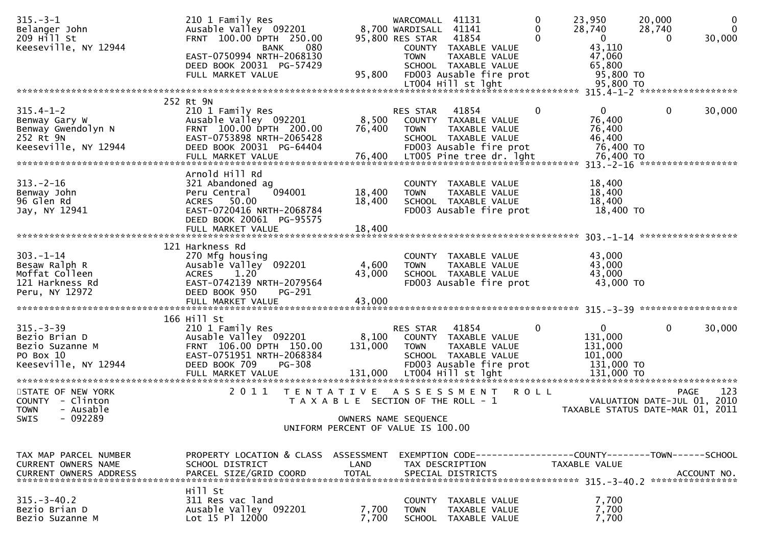| $315. - 3 - 1$<br>Belanger John<br>209 Hill St<br>Keeseville, NY 12944                                       | 210 1 Family Res<br>Ausable Valley 092201<br>FRNT 100.00 DPTH 250.00<br>080<br><b>BANK</b><br>EAST-0750994 NRTH-2068130<br>DEED BOOK 20031 PG-57429<br>FULL MARKET VALUE                         | 95,800                                                                      | WARCOMALL 41131<br>8,700 WARDISALL 41141<br>95,800 RES STAR<br><b>TOWN</b> | 41854<br>COUNTY TAXABLE VALUE<br>TAXABLE VALUE<br>SCHOOL TAXABLE VALUE<br>FD003 Ausable fire prot<br>LT004 Hill st lght               | 0<br>0                  | 23,950<br>28,740<br>$\overline{0}$<br>43,110<br>47,060<br>65,800<br>95,800 TO<br>95,800 TO   | 20,000<br>28,740<br>$\Omega$ | $\mathbf{0}$<br>$\Omega$<br>30,000 |
|--------------------------------------------------------------------------------------------------------------|--------------------------------------------------------------------------------------------------------------------------------------------------------------------------------------------------|-----------------------------------------------------------------------------|----------------------------------------------------------------------------|---------------------------------------------------------------------------------------------------------------------------------------|-------------------------|----------------------------------------------------------------------------------------------|------------------------------|------------------------------------|
| $315.4 - 1 - 2$<br>Benway Gary W<br>Benway Gwendolyn N<br>252 Rt 9N<br>Keeseville, NY 12944                  | 252 Rt 9N<br>210 1 Family Res<br>Ausable Valley 092201<br>FRNT 100.00 DPTH 200.00<br>EAST-0753898 NRTH-2065428<br>DEED BOOK 20031 PG-64404<br>FULL MARKET VALUE                                  | 8,500<br>76,400<br>76,400                                                   | RES STAR<br><b>COUNTY</b><br><b>TOWN</b>                                   | 41854<br>TAXABLE VALUE<br>TAXABLE VALUE<br>SCHOOL TAXABLE VALUE<br>FD003 Ausable fire prot<br>LT005 Pine tree dr. 1ght                | $\Omega$                | 0<br>76,400<br>76,400<br>46,400<br>76,400 TO<br>76,400 TO<br>313. -2-16 ******************** | 0                            | 30,000                             |
| $313 - 2 - 16$<br>Benway John<br>96 Glen Rd<br>Jay, NY 12941                                                 | Arnold Hill Rd<br>321 Abandoned ag<br>094001<br>Peru Central<br>ACRES 50.00<br>EAST-0720416 NRTH-2068784<br>DEED BOOK 20061 PG-95575                                                             | 18,400<br>18,400                                                            | <b>TOWN</b>                                                                | COUNTY TAXABLE VALUE<br>TAXABLE VALUE<br>SCHOOL TAXABLE VALUE<br>FD003 Ausable fire prot                                              |                         | 18,400<br>18,400<br>18,400<br>18,400 TO                                                      |                              |                                    |
| $303. - 1 - 14$<br>Besaw Ralph R<br>Moffat Colleen<br>121 Harkness Rd<br>Peru, NY 12972                      | 121 Harkness Rd<br>270 Mfg housing<br>Ausable Valley 092201<br>1.20<br><b>ACRES</b><br>EAST-0742139 NRTH-2079564<br>DEED BOOK 950<br>PG-291<br>FULL MARKET VALUE                                 | 4,600<br>43,000<br>43,000                                                   | <b>TOWN</b>                                                                | COUNTY TAXABLE VALUE<br>TAXABLE VALUE<br>SCHOOL TAXABLE VALUE<br>FD003 Ausable fire prot                                              |                         | 43,000<br>43,000<br>43,000<br>43,000 TO                                                      |                              |                                    |
| $315 - 3 - 39$<br>Bezio Brian D<br>Bezio Suzanne M<br>PO Box 10<br>Keeseville, NY 12944<br>STATE OF NEW YORK | 166 Hill St<br>210 1 Family Res<br>Ausable Valley 092201<br>FRNT 106.00 DPTH 150.00<br>EAST-0751951 NRTH-2068384<br>DEED BOOK 709<br>PG-308<br>FULL MARKET VALUE<br>2 0 1 1<br>T E N T A T I V E | 8,100<br>131,000<br>131,000                                                 | <b>RES STAR</b><br><b>TOWN</b>                                             | 41854<br>COUNTY TAXABLE VALUE<br>TAXABLE VALUE<br>SCHOOL TAXABLE VALUE<br>FD003 Ausable fire prot<br>LT004 Hill st lght<br>ASSESSMENT | $\Omega$<br><b>ROLL</b> | 0<br>131,000<br>131,000<br>101,000<br>131,000 TO<br>131,000 TO                               | 0<br><b>PAGE</b>             | 30,000<br>123                      |
| COUNTY - Clinton<br>- Ausable<br><b>TOWN</b><br>$-092289$<br>SWIS                                            |                                                                                                                                                                                                  | T A X A B L E SECTION OF THE ROLL - 1<br>UNIFORM PERCENT OF VALUE IS 100.00 | OWNERS NAME SEQUENCE                                                       |                                                                                                                                       |                         | TAXABLE STATUS DATE-MAR 01, 2011                                                             | VALUATION DATE-JUL 01,       | 2010                               |
| TAX MAP PARCEL NUMBER<br>CURRENT OWNERS NAME<br><b>CURRENT OWNERS ADDRESS</b>                                | PROPERTY LOCATION & CLASS ASSESSMENT<br>SCHOOL DISTRICT<br>PARCEL SIZE/GRID COORD<br>Hill St                                                                                                     | LAND<br><b>TOTAL</b>                                                        |                                                                            | EXEMPTION CODE-----------------COUNTY-------TOWN------SCHOOL<br>TAX DESCRIPTION<br>SPECIAL DISTRICTS                                  |                         | <b>TAXABLE VALUE</b>                                                                         |                              | ACCOUNT NO.                        |
| $315. - 3 - 40.2$<br>Bezio Brian D<br>Bezio Suzanne M                                                        | 311 Res vac land<br>Ausable Valley 092201<br>Lot 15 Pl 12000                                                                                                                                     | 7,700<br>7,700                                                              | <b>TOWN</b><br><b>SCHOOL</b>                                               | COUNTY TAXABLE VALUE<br>TAXABLE VALUE<br>TAXABLE VALUE                                                                                |                         | 7,700<br>7,700<br>7,700                                                                      |                              |                                    |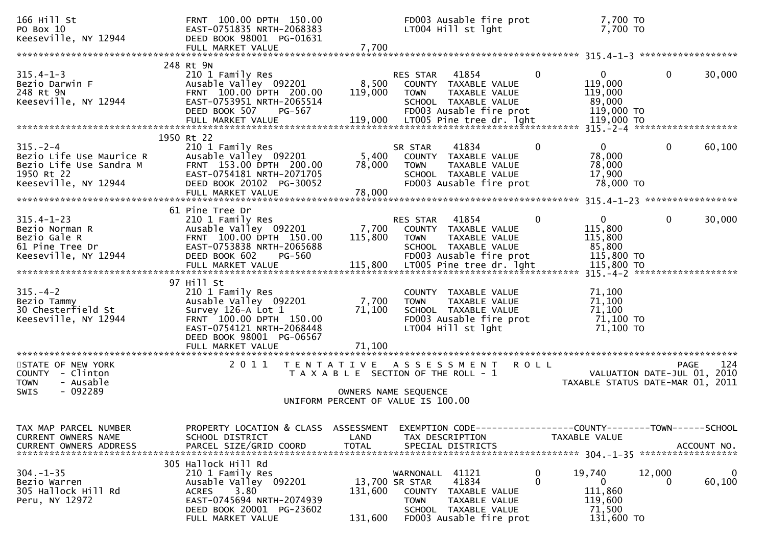| 166 Hill St<br>PO Box 10<br>Keeseville, NY 12944                                                            | FRNT 100.00 DPTH 150.00<br>EAST-0751835 NRTH-2068383<br>DEED BOOK 98001 PG-01631<br>FULL MARKET VALUE                                                             | 7,700                                                         |                                                  | FD003 Ausable fire prot<br>LT004 Hill st lght                                                                  |              | 7,700 TO<br>7,700 TO                                       |              |             |
|-------------------------------------------------------------------------------------------------------------|-------------------------------------------------------------------------------------------------------------------------------------------------------------------|---------------------------------------------------------------|--------------------------------------------------|----------------------------------------------------------------------------------------------------------------|--------------|------------------------------------------------------------|--------------|-------------|
| $315.4 - 1 - 3$<br>Bezio Darwin F<br>248 Rt 9N                                                              | 248 Rt 9N<br>210 1 Family Res<br>Ausable Valley 092201<br>FRNT 100.00 DPTH 200.00                                                                                 | 8,500<br>119,000                                              | RES STAR<br><b>TOWN</b>                          | 41854<br>COUNTY TAXABLE VALUE<br>TAXABLE VALUE                                                                 | $\mathbf 0$  | $\overline{0}$<br>119,000<br>119,000                       | $\mathbf{0}$ | 30,000      |
| Keeseville, NY 12944                                                                                        | EAST-0753951 NRTH-2065514<br>DEED BOOK 507<br>PG-567                                                                                                              |                                                               |                                                  | SCHOOL TAXABLE VALUE<br>FD003 Ausable fire prot                                                                |              | 89,000<br>119,000 TO                                       |              |             |
|                                                                                                             | 1950 Rt 22                                                                                                                                                        |                                                               |                                                  |                                                                                                                |              |                                                            |              |             |
| $315. - 2 - 4$<br>Bezio Life Use Maurice R<br>Bezio Life Use Sandra M<br>1950 Rt 22<br>Keeseville, NY 12944 | 210 1 Family Res<br>Ausable Valley 092201<br>FRNT 153.00 DPTH 200.00<br>EAST-0754181 NRTH-2071705<br>DEED BOOK 20102 PG-30052<br>FULL MARKET VALUE                | 5,400<br>78,000<br>78,000                                     | SR STAR<br><b>TOWN</b>                           | 41834<br>COUNTY TAXABLE VALUE<br>TAXABLE VALUE<br>SCHOOL TAXABLE VALUE<br>FD003 Ausable fire prot              | 0            | 0<br>78,000<br>78,000<br>17,900<br>78,000 TO               | $\mathbf{0}$ | 60,100      |
|                                                                                                             |                                                                                                                                                                   |                                                               |                                                  |                                                                                                                |              |                                                            |              |             |
| $315.4 - 1 - 23$<br>Bezio Norman R<br>Bezio Gale R<br>61 Pine Tree Dr<br>Keeseville, NY 12944               | 61 Pine Tree Dr<br>210 1 Family Res<br>Ausable Valley 092201<br>FRNT 100.00 DPTH 150.00<br>EAST-0753838 NRTH-2065688<br>DEED BOOK 602<br><b>PG-560</b>            | 7,700<br>115,800                                              | RES STAR<br><b>TOWN</b>                          | 41854<br>COUNTY TAXABLE VALUE<br>TAXABLE VALUE<br>SCHOOL TAXABLE VALUE<br>FD003 Ausable fire prot              | $\mathbf{0}$ | $\mathbf{0}$<br>115,800<br>115,800<br>85,800<br>115,800 TO | 0            | 30,000      |
|                                                                                                             | FULL MARKET VALUE                                                                                                                                                 | 115,800                                                       |                                                  | LT005 Pine tree dr. lght                                                                                       |              | 115,800 TO                                                 |              |             |
|                                                                                                             |                                                                                                                                                                   |                                                               |                                                  |                                                                                                                |              |                                                            |              |             |
| $315. - 4 - 2$<br>Bezio Tammy<br>30 Chesterfield St<br>Keeseville, NY 12944                                 | 97 Hill St<br>210 1 Family Res<br>Ausable Valley 092201<br>Survey 126-A Lot 1<br>FRNT 100.00 DPTH 150.00<br>EAST-0754121 NRTH-2068448<br>DEED BOOK 98001 PG-06567 | 7,700<br>71,100                                               | <b>TOWN</b>                                      | COUNTY TAXABLE VALUE<br>TAXABLE VALUE<br>SCHOOL TAXABLE VALUE<br>FD003 Ausable fire prot<br>LT004 Hill st lght |              | 71,100<br>71,100<br>71,100<br>71,100 то<br>71,100 TO       |              |             |
|                                                                                                             | FULL MARKET VALUE                                                                                                                                                 | 71,100                                                        |                                                  |                                                                                                                |              |                                                            |              |             |
| STATE OF NEW YORK<br>COUNTY - Clinton<br><b>TOWN</b><br>- Ausable                                           | 2011                                                                                                                                                              | TENTATIVE ASSESSMENT<br>T A X A B L E SECTION OF THE ROLL - 1 |                                                  |                                                                                                                | <b>ROLL</b>  | VALUATION DATE-JUL 01,<br>TAXABLE STATUS DATE-MAR 01, 2011 | <b>PAGE</b>  | 124<br>2010 |
| SWIS<br>- 092289                                                                                            |                                                                                                                                                                   | OWNERS NAME SEQUENCE<br>UNIFORM PERCENT OF VALUE IS 100.00    |                                                  |                                                                                                                |              |                                                            |              |             |
|                                                                                                             |                                                                                                                                                                   |                                                               |                                                  |                                                                                                                |              |                                                            |              |             |
| TAX MAP PARCEL NUMBER<br>CURRENT OWNERS NAME<br><b>CURRENT OWNERS ADDRESS</b>                               | PROPERTY LOCATION & CLASS ASSESSMENT<br>SCHOOL DISTRICT<br>PARCEL SIZE/GRID COORD                                                                                 | LAND<br><b>TOTAL</b>                                          | TAX DESCRIPTION                                  | EXEMPTION CODE-----------------COUNTY-------TOWN------SCHOOL<br>SPECIAL DISTRICTS                              |              | TAXABLE VALUE                                              |              | ACCOUNT NO. |
| $304. - 1 - 35$<br>Bezio Warren<br>305 Hallock Hill Rd<br>Peru, NY 12972                                    | 305 Hallock Hill Rd<br>210 1 Family Res<br>Ausable Valley 092201<br>3.80<br>ACRES<br>EAST-0745694 NRTH-2074939<br>DEED BOOK 20001 PG-23602<br>FULL MARKET VALUE   | 131,600<br>131,600                                            | WARNONALL 41121<br>13,700 SR STAR<br><b>TOWN</b> | 41834<br>COUNTY TAXABLE VALUE<br>TAXABLE VALUE<br>SCHOOL TAXABLE VALUE<br>FD003 Ausable fire prot              | 0<br>0       | 19,740<br>0<br>111,860<br>119,600<br>71,500<br>131,600 TO  | 12,000<br>0  | 0<br>60,100 |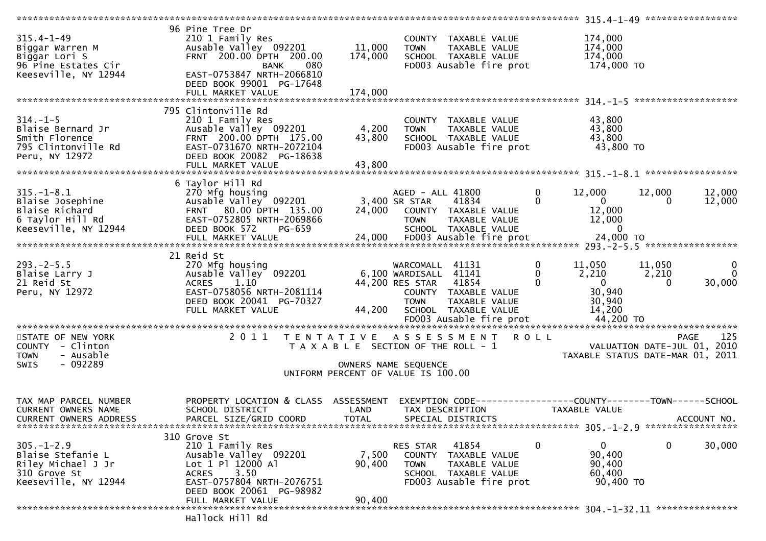| $315.4 - 1 - 49$<br>Biggar Warren M<br>Biggar Lori S<br>96 Pine Estates Cir<br>Keeseville, NY 12944 | 96 Pine Tree Dr<br>210 1 Family Res<br>Ausable Valley 092201<br>FRNT 200.00 DPTH 200.00<br>080<br><b>BANK</b><br>EAST-0753847 NRTH-2066810<br>DEED BOOK 99001 PG-17648<br>FULL MARKET VALUE | 11,000<br>174,000<br>174,000 | COUNTY TAXABLE VALUE<br><b>TOWN</b><br>SCHOOL TAXABLE VALUE<br>FD003 Ausable fire prot                                                                         | TAXABLE VALUE                                  | 174,000<br>174,000<br>174,000<br>174,000 TO                                   |                             |                         |
|-----------------------------------------------------------------------------------------------------|---------------------------------------------------------------------------------------------------------------------------------------------------------------------------------------------|------------------------------|----------------------------------------------------------------------------------------------------------------------------------------------------------------|------------------------------------------------|-------------------------------------------------------------------------------|-----------------------------|-------------------------|
| $314. - 1 - 5$<br>Blaise Bernard Jr<br>Smith Florence<br>795 Clintonville Rd<br>Peru, NY 12972      | 795 Clintonville Rd<br>210 1 Family Res<br>Ausable Valley 092201<br>FRNT 200.00 DPTH 175.00<br>EAST-0731670 NRTH-2072104<br>DEED BOOK 20082 PG-18638                                        | 4,200<br>43,800              | COUNTY TAXABLE VALUE<br><b>TOWN</b><br>SCHOOL TAXABLE VALUE<br>FD003 Ausable fire prot                                                                         | TAXABLE VALUE                                  | 43,800<br>43,800<br>43,800<br>43,800 TO                                       |                             |                         |
| $315. - 1 - 8.1$<br>Blaise Josephine<br>Blaise Richard<br>6 Taylor Hill Rd<br>Keeseville, NY 12944  | 6 Taylor Hill Rd<br>270 Mfg housing<br>Ausable Valley 092201<br>FRNT 80.00 DPTH 135.00<br>EAST-0752805 NRTH-2069866<br>DEED BOOK 572<br>PG-659                                              |                              | AGED - ALL 41800<br>3,400 SR STAR<br>41834<br>24,000 COUNTY TAXABLE VALUE<br><b>TOWN</b><br>SCHOOL TAXABLE VALUE                                               | 0<br>0<br>TAXABLE VALUE                        | 12,000<br>$\overline{0}$<br>12,000<br>12,000<br>$\overline{0}$                | 12,000<br>0                 | 12,000<br>12,000        |
| $293. -2 - 5.5$<br>Blaise Larry J<br>21 Reid St<br>Peru, NY 12972                                   | 21 Reid St<br>270 Mfg housing<br>Ausable Valley 092201<br><b>ACRES</b><br>1.10<br>EAST-0758056 NRTH-2081114<br>DEED BOOK 20041 PG-70327<br>FULL MARKET VALUE                                | 44,200                       | WARCOMALL 41131<br>6,100 WARDISALL 41141<br>44,200 RES STAR<br>41854<br>COUNTY TAXABLE VALUE<br><b>TOWN</b><br>SCHOOL TAXABLE VALUE<br>FD003 Ausable fire prot | 0<br>$\mathbf{0}$<br>$\Omega$<br>TAXABLE VALUE | 11,050<br>2,210<br>$\overline{0}$<br>30,940<br>30,940<br>14,200<br>44,200 TO  | 11,050<br>2,210<br>$\Omega$ | 0<br>$\Omega$<br>30,000 |
| STATE OF NEW YORK<br>COUNTY - Clinton<br><b>TOWN</b><br>- Ausable<br>$-092289$<br><b>SWIS</b>       | 2011                                                                                                                                                                                        |                              | TENTATIVE ASSESSMENT<br>T A X A B L E SECTION OF THE ROLL - 1<br>OWNERS NAME SEQUENCE<br>UNIFORM PERCENT OF VALUE IS 100.00                                    | <b>ROLL</b>                                    | TAXABLE STATUS DATE-MAR 01, 2011                                              | VALUATION DATE-JUL 01, 2010 | 125<br>PAGE             |
| TAX MAP PARCEL NUMBER<br><b>CURRENT OWNERS NAME</b><br><b>CURRENT OWNERS ADDRESS</b>                | PROPERTY LOCATION & CLASS ASSESSMENT<br>SCHOOL DISTRICT<br>PARCEL SIZE/GRID COORD                                                                                                           | LAND<br><b>TOTAL</b>         | TAX DESCRIPTION<br>SPECIAL DISTRICTS                                                                                                                           |                                                | EXEMPTION CODE-----------------COUNTY-------TOWN------SCHOOL<br>TAXABLE VALUE |                             | ACCOUNT NO.             |
| $305. - 1 - 2.9$<br>Blaise Stefanie L<br>Riley Michael J Jr<br>310 Grove St<br>Keeseville, NY 12944 | 310 Grove St<br>210 1 Family Res<br>Ausable Valley 092201<br>Lot 1 Pl 12000 Al<br>3.50<br><b>ACRES</b><br>EAST-0757804 NRTH-2076751<br>DEED BOOK 20061 PG-98982<br>FULL MARKET VALUE        | 7,500<br>90,400<br>90,400    | RES STAR<br>41854<br>COUNTY TAXABLE VALUE<br><b>TOWN</b><br>SCHOOL TAXABLE VALUE<br>FD003 Ausable fire prot                                                    | $\mathbf 0$<br><b>TAXABLE VALUE</b>            | 0<br>90,400<br>90,400<br>60,400<br>90,400 TO                                  | 0                           | 30,000                  |
|                                                                                                     | Hallock Hill Rd                                                                                                                                                                             |                              |                                                                                                                                                                |                                                |                                                                               |                             |                         |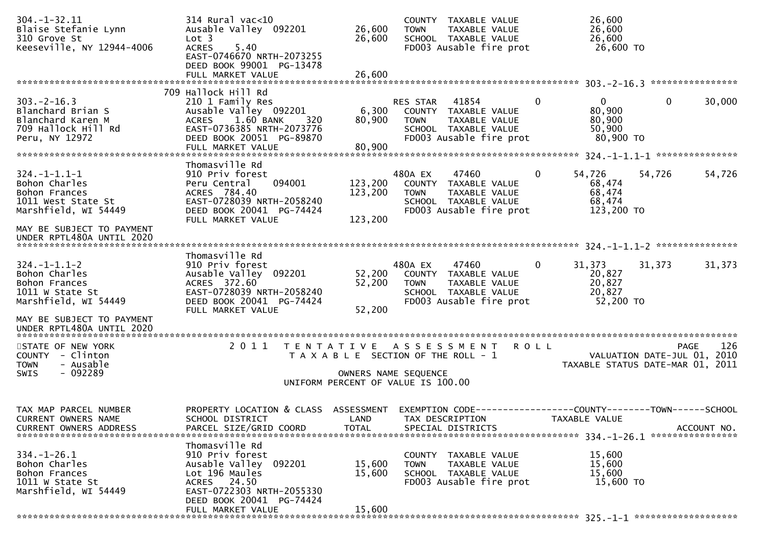| $304. - 1 - 32.11$<br>Blaise Stefanie Lynn<br>310 Grove St<br>Keeseville, NY 12944-4006              | 314 Rural vac<10<br>Ausable Valley 092201<br>Lot 3<br><b>ACRES</b><br>5.40<br>EAST-0746670 NRTH-2073255<br>DEED BOOK 99001 PG-13478<br>FULL MARKET VALUE    | 26,600<br>26,600<br>26,600                                                                                               | <b>TOWN</b>             | COUNTY TAXABLE VALUE<br>TAXABLE VALUE<br>SCHOOL TAXABLE VALUE<br>FD003 Ausable fire prot          |              | 26,600<br>26,600<br>26,600<br>26,600 TO                       |                                     |             |
|------------------------------------------------------------------------------------------------------|-------------------------------------------------------------------------------------------------------------------------------------------------------------|--------------------------------------------------------------------------------------------------------------------------|-------------------------|---------------------------------------------------------------------------------------------------|--------------|---------------------------------------------------------------|-------------------------------------|-------------|
|                                                                                                      | 709 Hallock Hill Rd                                                                                                                                         |                                                                                                                          |                         |                                                                                                   |              |                                                               |                                     |             |
| $303 - 2 - 16.3$<br>Blanchard Brian S<br>Blanchard Karen M<br>709 Hallock Hill Rd<br>Peru, NY 12972  | 210 1 Family Res<br>Ausable Valley 092201<br>1.60 BANK<br><b>ACRES</b><br>320<br>EAST-0736385 NRTH-2073776<br>DEED BOOK 20051 PG-89870<br>FULL MARKET VALUE | 6,300<br>80,900<br>80,900                                                                                                | RES STAR<br><b>TOWN</b> | 41854<br>COUNTY TAXABLE VALUE<br>TAXABLE VALUE<br>SCHOOL TAXABLE VALUE<br>FD003 Ausable fire prot | 0            | $\mathbf{0}$<br>80,900<br>80,900<br>50,900<br>80,900 TO       | $\mathbf{0}$                        | 30,000      |
|                                                                                                      |                                                                                                                                                             |                                                                                                                          |                         |                                                                                                   |              |                                                               |                                     |             |
| $324. - 1 - 1.1 - 1$<br>Bohon Charles<br>Bohon Frances<br>1011 West State St<br>Marshfield, WI 54449 | Thomasville Rd<br>910 Priv forest<br>Peru Central<br>094001<br>ACRES 784.40<br>EAST-0728039 NRTH-2058240<br>DEED BOOK 20041 PG-74424<br>FULL MARKET VALUE   | 123,200<br>123,200<br>123,200                                                                                            | 480A EX<br><b>TOWN</b>  | 47460<br>COUNTY TAXABLE VALUE<br>TAXABLE VALUE<br>SCHOOL TAXABLE VALUE<br>FD003 Ausable fire prot | $\Omega$     | 54,726<br>68,474<br>68,474<br>68,474<br>123,200 TO            | 54,726                              | 54,726      |
| MAY BE SUBJECT TO PAYMENT<br>UNDER RPTL480A UNTIL 2020                                               |                                                                                                                                                             |                                                                                                                          |                         |                                                                                                   |              |                                                               |                                     |             |
|                                                                                                      | Thomasville Rd                                                                                                                                              |                                                                                                                          |                         |                                                                                                   |              |                                                               |                                     |             |
| $324. - 1 - 1.1 - 2$<br>Bohon Charles<br>Bohon Frances<br>1011 W State St<br>Marshfield, WI 54449    | 910 Priv forest<br>Ausable Valley 092201<br>ACRES 372.60<br>EAST-0728039 NRTH-2058240<br>DEED BOOK 20041 PG-74424<br>FULL MARKET VALUE                      | 52,200<br>52,200<br>52,200                                                                                               | 480A EX<br><b>TOWN</b>  | 47460<br>COUNTY TAXABLE VALUE<br>TAXABLE VALUE<br>SCHOOL TAXABLE VALUE<br>FD003 Ausable fire prot | $\mathbf{0}$ | 31,373<br>20,827<br>20,827<br>20,827<br>52,200 TO             | 31,373                              | 31,373      |
| MAY BE SUBJECT TO PAYMENT<br>UNDER RPTL480A UNTIL 2020                                               |                                                                                                                                                             |                                                                                                                          |                         |                                                                                                   |              |                                                               |                                     |             |
| STATE OF NEW YORK<br>COUNTY - Clinton<br><b>TOWN</b><br>- Ausable<br>$-092289$<br><b>SWIS</b>        | 2011                                                                                                                                                        | T E N T A T I V E<br>T A X A B L E SECTION OF THE ROLL - 1<br>OWNERS NAME SEQUENCE<br>UNIFORM PERCENT OF VALUE IS 100.00 |                         | A S S E S S M E N T                                                                               | <b>ROLL</b>  | TAXABLE STATUS DATE-MAR 01, 2011                              | PAGE<br>VALUATION DATE-JUL 01, 2010 | 126         |
| TAX MAP PARCEL NUMBER<br>CURRENT OWNERS NAME<br><b>CURRENT OWNERS ADDRESS</b>                        | PROPERTY LOCATION & CLASS<br>SCHOOL DISTRICT<br>PARCEL SIZE/GRID COORD                                                                                      | ASSESSMENT<br>LAND<br><b>TOTAL</b>                                                                                       | EXEMPTION CODE-         | TAX DESCRIPTION<br>SPECIAL DISTRICTS                                                              |              | --------------COUNTY--------TOWN------SCHOOL<br>TAXABLE VALUE |                                     | ACCOUNT NO. |
|                                                                                                      | Thomasville Rd                                                                                                                                              |                                                                                                                          |                         |                                                                                                   |              |                                                               |                                     |             |
| $334. - 1 - 26.1$<br>Bohon Charles<br>Bohon Frances<br>1011 W State St<br>Marshfield, WI 54449       | 910 Priv forest<br>Ausable Valley 092201<br>Lot 196 Maules<br>ACRES 24.50<br>EAST-0722303 NRTH-2055330                                                      | 15,600<br>15,600                                                                                                         | <b>TOWN</b>             | COUNTY TAXABLE VALUE<br><b>TAXABLE VALUE</b><br>SCHOOL TAXABLE VALUE<br>FD003 Ausable fire prot   |              | 15,600<br>15,600<br>15,600<br>15,600 TO                       |                                     |             |
|                                                                                                      | DEED BOOK 20041 PG-74424<br>FULL MARKET VALUE                                                                                                               | 15,600                                                                                                                   |                         |                                                                                                   |              |                                                               |                                     |             |
|                                                                                                      |                                                                                                                                                             |                                                                                                                          |                         |                                                                                                   |              |                                                               |                                     |             |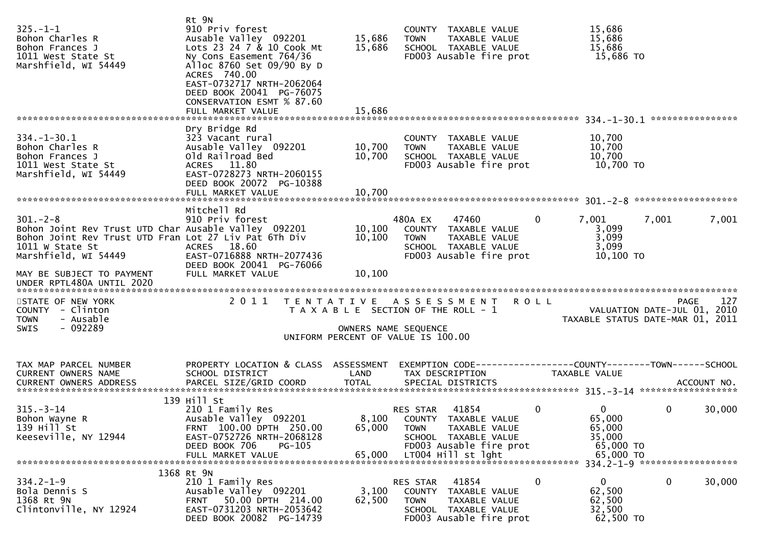| $325. - 1 - 1$<br>Bohon Charles R<br>Bohon Frances J<br>1011 West State St<br>Marshfield, WI 54449                                                                                                                                  | Rt 9N<br>910 Priv forest<br>Ausable Valley 092201<br>Lots 23 24 7 & 10 Cook Mt<br>Ny Cons Easement 764/36<br>Alloc 8760 Set 09/90 By D<br>ACRES 740.00<br>EAST-0732717 NRTH-2062064<br>DEED BOOK 20041 PG-76075<br>CONSERVATION ESMT % 87.60<br>FULL MARKET VALUE | 15,686<br>15,686<br>15,686 | COUNTY TAXABLE VALUE<br><b>TOWN</b><br>TAXABLE VALUE<br>SCHOOL TAXABLE VALUE<br>FD003 Ausable fire prot                                                  | 15,686<br>15,686<br>15,686<br>15,686 TO                        |                                                                                |
|-------------------------------------------------------------------------------------------------------------------------------------------------------------------------------------------------------------------------------------|-------------------------------------------------------------------------------------------------------------------------------------------------------------------------------------------------------------------------------------------------------------------|----------------------------|----------------------------------------------------------------------------------------------------------------------------------------------------------|----------------------------------------------------------------|--------------------------------------------------------------------------------|
| $334. - 1 - 30.1$<br>Bohon Charles R<br>Bohon Frances J<br>1011 West State St<br>Marshfield, WI 54449                                                                                                                               | Dry Bridge Rd<br>323 Vacant rural<br>Ausable Valley 092201<br>Old Railroad Bed<br>ACRES 11.80<br>EAST-0728273 NRTH-2060155<br>DEED BOOK 20072 PG-10388<br>FULL MARKET VALUE                                                                                       | 10,700<br>10,700<br>10,700 | COUNTY TAXABLE VALUE<br>TAXABLE VALUE<br><b>TOWN</b><br>SCHOOL TAXABLE VALUE<br>FD003 Ausable fire prot                                                  | 10,700<br>10,700<br>10,700<br>10,700 TO                        |                                                                                |
| $301 - 2 - 8$<br>Bohon Joint Rev Trust UTD Char Ausable Valley 092201<br>Bohon Joint Rev Trust UTD Fran Lot 27 Liv Pat 6Th Div<br>1011 W State St<br>Marshfield, WI 54449<br>MAY BE SUBJECT TO PAYMENT<br>UNDER RPTL480A UNTIL 2020 | Mitchell Rd<br>910 Priv forest<br>ACRES 18.60<br>EAST-0716888 NRTH-2077436<br>DEED BOOK 20041 PG-76066<br>FULL MARKET VALUE                                                                                                                                       | 10,100<br>10,100<br>10,100 | 47460<br>480A EX<br>COUNTY TAXABLE VALUE<br>TAXABLE VALUE<br><b>TOWN</b><br>SCHOOL TAXABLE VALUE<br>FD003 Ausable fire prot                              | $\mathbf{0}$<br>7,001<br>3,099<br>3,099<br>3,099<br>10,100 TO  | 7,001<br>7,001                                                                 |
| STATE OF NEW YORK<br>COUNTY - Clinton<br>- Ausable<br><b>TOWN</b><br>- 092289<br><b>SWIS</b>                                                                                                                                        | 2011                                                                                                                                                                                                                                                              |                            | TENTATIVE ASSESSMENT<br>T A X A B L E SECTION OF THE ROLL - 1<br>OWNERS NAME SEQUENCE<br>UNIFORM PERCENT OF VALUE IS 100.00                              | <b>ROLL</b>                                                    | 127<br>PAGE<br>VALUATION DATE-JUL 01, 2010<br>TAXABLE STATUS DATE-MAR 01, 2011 |
| TAX MAP PARCEL NUMBER<br>CURRENT OWNERS NAME<br><b>CURRENT OWNERS ADDRESS</b>                                                                                                                                                       | PROPERTY LOCATION & CLASS ASSESSMENT<br>SCHOOL DISTRICT                                                                                                                                                                                                           | LAND                       | EXEMPTION CODE------------------COUNTY--------TOWN------SCHOOL<br>TAX DESCRIPTION                                                                        | TAXABLE VALUE                                                  |                                                                                |
| $315. - 3 - 14$<br>Bohon Wayne R<br>139 Hill St<br>Keeseville, NY 12944                                                                                                                                                             | 139 Hill St<br>210 1 Family Res<br>Ausable Valley 092201<br>FRNT 100.00 DPTH 250.00<br>EAST-0752726 NRTH-2068128<br>DEED BOOK 706<br>PG-105<br>FULL MARKET VALUE                                                                                                  | 65,000<br>65,000           | 41854<br>RES STAR<br>8,100 COUNTY TAXABLE VALUE<br>TAXABLE VALUE<br><b>TOWN</b><br>SCHOOL TAXABLE VALUE<br>FD003 Ausable fire prot<br>LT004 Hill st lght | 0<br>0<br>65,000<br>65,000<br>35,000<br>65,000 TO<br>65,000 TO | 0<br>30,000<br>334.2-1-9 *******************                                   |
| $334.2 - 1 - 9$<br>Bola Dennis S<br>1368 Rt 9N<br>Clintonville, NY 12924                                                                                                                                                            | 1368 Rt 9N<br>210 1 Family Res<br>Ausable Valley 092201<br>50.00 DPTH 214.00<br><b>FRNT</b><br>EAST-0731203 NRTH-2053642<br>DEED BOOK 20082 PG-14739                                                                                                              | 3,100<br>62,500            | 41854<br><b>RES STAR</b><br><b>COUNTY</b><br>TAXABLE VALUE<br><b>TOWN</b><br>TAXABLE VALUE<br>SCHOOL TAXABLE VALUE<br>FD003 Ausable fire prot            | 0<br>$\Omega$<br>62,500<br>62,500<br>32,500<br>62,500 TO       | 0<br>30,000                                                                    |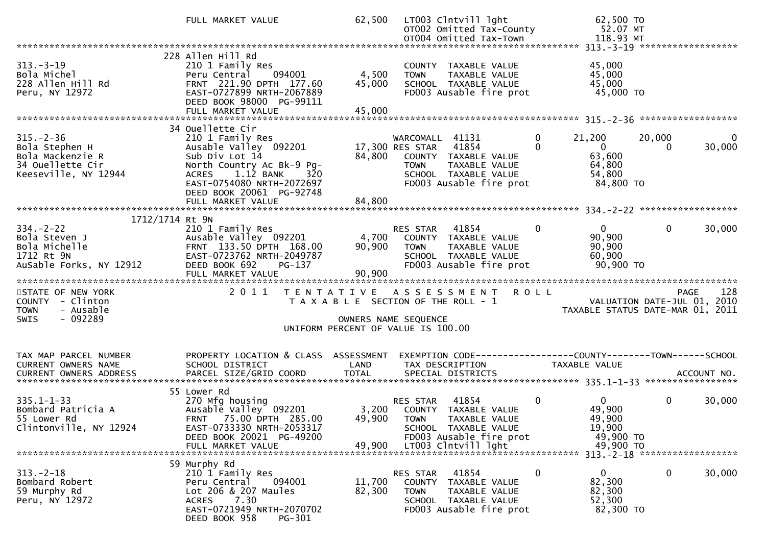|                                                                                                              | FULL MARKET VALUE                                                                                                                                                                                                       | 62,500                    | LT003 Clntvill lght<br>OT002 Omitted Tax-County<br>OT004 Omitted Tax-Town                                                                              |                                         | 62,500 TO<br>52.07 MT<br>118.93 MT                                     |                    |             |
|--------------------------------------------------------------------------------------------------------------|-------------------------------------------------------------------------------------------------------------------------------------------------------------------------------------------------------------------------|---------------------------|--------------------------------------------------------------------------------------------------------------------------------------------------------|-----------------------------------------|------------------------------------------------------------------------|--------------------|-------------|
|                                                                                                              |                                                                                                                                                                                                                         |                           |                                                                                                                                                        |                                         |                                                                        |                    |             |
| $313 - 3 - 19$<br>Bola Michel<br>228 Allen Hill Rd<br>Peru, NY 12972                                         | 228 Allen Hill Rd<br>210 1 Family Res<br>Peru Central<br>094001<br>FRNT 221.90 DPTH 177.60<br>EAST-0727899 NRTH-2067889<br>DEED BOOK 98000 PG-99111<br>FULL MARKET VALUE                                                | 4,500<br>45,000<br>45,000 | COUNTY TAXABLE VALUE<br>TAXABLE VALUE<br><b>TOWN</b><br>SCHOOL TAXABLE VALUE<br>FD003 Ausable fire prot                                                |                                         | 45,000<br>45,000<br>45,000<br>45,000 TO                                |                    |             |
|                                                                                                              |                                                                                                                                                                                                                         |                           |                                                                                                                                                        |                                         |                                                                        |                    |             |
| $315. - 2 - 36$<br>Bola Stephen H<br>Bola Mackenzie R<br>34 Ouellette Cir<br>Keeseville, NY 12944            | 34 Ouellette Cir<br>210 1 Family Res<br>Ausable Valley 092201<br>Sub Div Lot 14<br>North Country Ac Bk-9 Pg-<br>$1.12$ BANK<br>32 <sub>0</sub><br><b>ACRES</b><br>EAST-0754080 NRTH-2072697<br>DEED BOOK 20061 PG-92748 | 84,800                    | WARCOMALL 41131<br>17,300 RES STAR 41854<br>COUNTY TAXABLE VALUE<br><b>TOWN</b><br>TAXABLE VALUE<br>SCHOOL TAXABLE VALUE<br>FD003 Ausable fire prot    | $\mathbf 0$<br>$\Omega$                 | 21,200<br>$\overline{0}$<br>63,600<br>64,800<br>54,800<br>84,800 TO    | 20,000<br>$\Omega$ | 0<br>30,000 |
|                                                                                                              |                                                                                                                                                                                                                         |                           |                                                                                                                                                        |                                         |                                                                        |                    |             |
| 1712/1714 Rt 9N<br>$334. -2 - 22$<br>Bola Steven J<br>Bola Michelle<br>1712 Rt 9N<br>AuSable Forks, NY 12912 | 210 1 Family Res<br>Ausable Valley 092201 4,700<br>FRNT 133.50 DPTH 168.00<br>EAST-0723762 NRTH-2049787<br>DEED BOOK 692<br><b>PG-137</b><br>FULL MARKET VALUE                                                          | 90,900<br>90,900          | <b>RES STAR 41854</b><br>COUNTY TAXABLE VALUE<br><b>TOWN</b><br>TAXABLE VALUE<br>SCHOOL TAXABLE VALUE<br>FD003 Ausable fire prot                       | $\Omega$                                | $\Omega$<br>90,900<br>90,900<br>60,900<br>90,900 TO                    | $\mathbf{0}$       | 30,000      |
| STATE OF NEW YORK<br>COUNTY - Clinton<br>- Ausable<br><b>TOWN</b><br>- 092289<br><b>SWIS</b>                 | 2011<br>T E N T A T I V E                                                                                                                                                                                               |                           | A S S E S S M E N T R O L L<br>T A X A B L E SECTION OF THE ROLL - 1<br>OWNERS NAME SEQUENCE                                                           | PAGE 128<br>VALUATION DATE-JUL 01, 2010 | TAXABLE STATUS DATE-MAR 01, 2011                                       |                    | 128         |
|                                                                                                              |                                                                                                                                                                                                                         |                           | UNIFORM PERCENT OF VALUE IS 100.00                                                                                                                     |                                         |                                                                        |                    |             |
| TAX MAP PARCEL NUMBER<br>CURRENT OWNERS NAME<br>CURRENT OWNERS ADDRESS                                       | PROPERTY LOCATION & CLASS ASSESSMENT<br>SCHOOL DISTRICT                                                                                                                                                                 | LAND                      | EXEMPTION CODE-----------------COUNTY-------TOWN------SCHOOL<br>TAX DESCRIPTION                                                                        |                                         | TAXABLE VALUE                                                          |                    |             |
| $335.1 - 1 - 33$<br>Bombard Patricia A<br>55 Lower Rd<br>Clintonville, NY 12924                              | 55 Lower Rd<br>270 Mfg housing<br>Ausable Valley 092201<br>FRNT 75.00 DPTH 285.00<br>EAST-0733330 NRTH-2053317<br>DEED BOOK 20021 PG-49200<br>FULL MARKET VALUE                                                         | 49,900                    | 41854<br>RES STAR<br>3,200 COUNTY TAXABLE VALUE<br>49,900 TOWN TAXABLE VALUE<br>SCHOOL TAXABLE VALUE<br>FD003 Ausable fire prot<br>LT003 Clntvill lght | $\mathbf{0}$                            | $\overline{0}$<br>49,900<br>49,900<br>19,900<br>49,900 TO<br>49,900 TO | $\mathbf{0}$       | 30,000      |
| $313 - 2 - 18$<br>Bombard Robert<br>59 Murphy Rd<br>Peru, NY 12972                                           | 59 Murphy Rd<br>210 1 Family Res<br>094001<br>Peru Central<br>Lot 206 & 207 Maules<br>7.30<br>ACRES<br>EAST-0721949 NRTH-2070702<br>DEED BOOK 958<br>PG-301                                                             | 11,700<br>82,300          | RES STAR<br>41854<br>TAXABLE VALUE<br>COUNTY<br><b>TOWN</b><br>TAXABLE VALUE<br>SCHOOL TAXABLE VALUE<br>FD003 Ausable fire prot                        | 0                                       | $\mathbf{0}$<br>82,300<br>82,300<br>52,300<br>82,300 TO                | 0                  | 30,000      |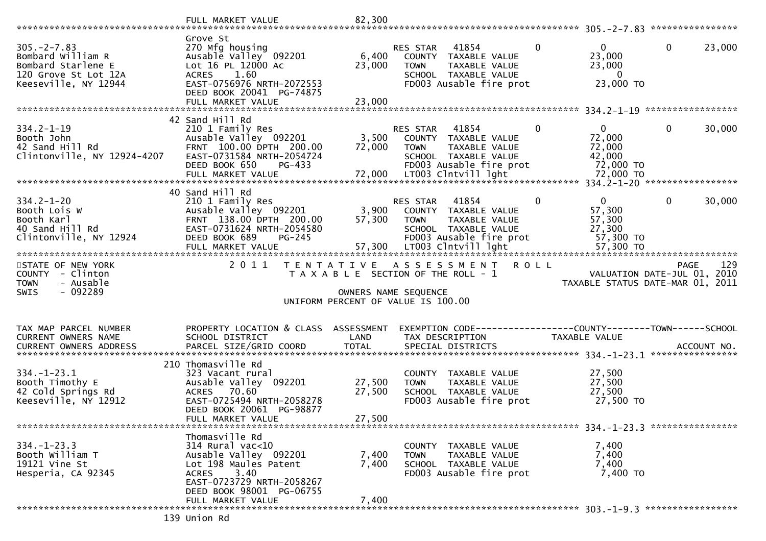|                                                                                                             | FULL MARKET VALUE                                                                                                                                                      | 82,300                     |                                                                                                                                                     |                                                                                     |                                                                                       |
|-------------------------------------------------------------------------------------------------------------|------------------------------------------------------------------------------------------------------------------------------------------------------------------------|----------------------------|-----------------------------------------------------------------------------------------------------------------------------------------------------|-------------------------------------------------------------------------------------|---------------------------------------------------------------------------------------|
| $305. -2 - 7.83$<br>Bombard William R<br>Bombard Starlene E<br>120 Grove St Lot 12A<br>Keeseville, NY 12944 | Grove St<br>270 Mfg housing<br>Ausable Valley 092201<br>Lot 16 PL 12000 AC<br>1.60<br><b>ACRES</b><br>EAST-0756976 NRTH-2072553<br>DEED BOOK 20041 PG-74875            | 6,400<br>23,000            | 41854<br>RES STAR<br>COUNTY TAXABLE VALUE<br><b>TOWN</b><br>TAXABLE VALUE<br>SCHOOL TAXABLE VALUE<br>FD003 Ausable fire prot                        | $\mathbf{0}$<br>$\overline{0}$<br>23,000<br>23,000<br>$\overline{0}$<br>23,000 TO   | $\mathbf 0$<br>23,000                                                                 |
|                                                                                                             | 42 Sand Hill Rd                                                                                                                                                        |                            |                                                                                                                                                     |                                                                                     |                                                                                       |
| $334.2 - 1 - 19$<br>Booth John<br>42 Sand Hill Rd<br>Clintonville, NY 12924-4207                            | 210 1 Family Res<br>Ausable Valley 092201<br>FRNT 100.00 DPTH 200.00<br>EAST-0731584 NRTH-2054724<br>DEED BOOK 650<br>PG-433                                           | 3,500<br>72,000            | RES STAR 41854<br>COUNTY TAXABLE VALUE<br><b>TOWN</b><br>TAXABLE VALUE<br>SCHOOL TAXABLE VALUE<br>FD003 Ausable fire prot                           | $\mathbf{0}$<br>$\mathbf{0}$<br>72,000<br>72,000<br>42,000<br>72,000 TO             | $\mathbf{0}$<br>30,000                                                                |
|                                                                                                             |                                                                                                                                                                        |                            |                                                                                                                                                     |                                                                                     |                                                                                       |
| $334.2 - 1 - 20$<br>Booth Lois W<br>Booth Karl<br>40 Sand Hill Rd<br>Clintonville, NY 12924                 | 40 Sand Hill Rd<br>210 1 Family Res<br>Ausable Valley 092201<br>FRNT 138.00 DPTH 200.00<br>EAST-0731624 NRTH-2054580<br>DEED BOOK 689<br>PG-245<br>FULL MARKET VALUE   | 3,900<br>57,300<br>57,300  | RES STAR<br>41854<br>COUNTY TAXABLE VALUE<br>TAXABLE VALUE<br><b>TOWN</b><br>SCHOOL TAXABLE VALUE<br>FD003 Ausable fire prot<br>LT003 Clntvill lght | $\mathbf{0}$<br>$\mathbf 0$<br>57,300<br>57,300<br>27,300<br>57,300 TO<br>57,300 TO | $\mathbf 0$<br>30,000                                                                 |
| STATE OF NEW YORK<br>COUNTY - Clinton<br>- Ausable<br><b>TOWN</b><br>$-092289$<br><b>SWIS</b>               | 2011<br>T E N T A T I V E                                                                                                                                              |                            | A S S E S S M E N T R O L L<br>T A X A B L E SECTION OF THE ROLL - 1<br>OWNERS NAME SEQUENCE<br>UNIFORM PERCENT OF VALUE IS 100.00                  |                                                                                     | 129<br><b>PAGE</b><br>VALUATION DATE-JUL 01, 2010<br>TAXABLE STATUS DATE-MAR 01, 2011 |
| TAX MAP PARCEL NUMBER<br>CURRENT OWNERS NAME                                                                | PROPERTY LOCATION & CLASS ASSESSMENT<br>SCHOOL DISTRICT                                                                                                                | LAND                       | EXEMPTION CODE-----------------COUNTY--------TOWN------SCHOOL<br>TAX DESCRIPTION                                                                    | TAXABLE VALUE                                                                       |                                                                                       |
| $334. - 1 - 23.1$<br>Booth Timothy E<br>42 Cold Springs Rd<br>Keeseville, NY 12912                          | 210 Thomasville Rd<br>323 Vacant rural<br>Ausable Valley 092201<br>70.60<br><b>ACRES</b><br>EAST-0725494 NRTH-2058278<br>DEED BOOK 20061 PG-98877<br>FULL MARKET VALUE | 27,500<br>27,500<br>27,500 | COUNTY TAXABLE VALUE<br><b>TOWN</b><br>TAXABLE VALUE<br>SCHOOL TAXABLE VALUE<br>FD003 Ausable fire prot                                             | 27,500<br>27,500<br>27,500<br>27,500 TO                                             |                                                                                       |
|                                                                                                             |                                                                                                                                                                        |                            |                                                                                                                                                     |                                                                                     |                                                                                       |
| $334. - 1 - 23.3$<br>Booth William T                                                                        | Thomasville Rd<br>$314$ Rural vac<10                                                                                                                                   | 7,400                      | COUNTY TAXABLE VALUE<br>TAXABLE VALUE<br><b>TOWN</b>                                                                                                | 7,400<br>7,400                                                                      |                                                                                       |
| 19121 Vine St<br>Hesperia, CA 92345                                                                         | Ausable Valley 092201<br>Lot 198 Maules Patent<br>3.40<br><b>ACRES</b><br>EAST-0723729 NRTH-2058267<br>DEED BOOK 98001 PG-06755                                        | 7,400                      | SCHOOL TAXABLE VALUE<br>FD003 Ausable fire prot                                                                                                     | 7,400<br>7,400 TO                                                                   |                                                                                       |
|                                                                                                             | FULL MARKET VALUE<br>139 Union Rd                                                                                                                                      | 7,400                      |                                                                                                                                                     |                                                                                     |                                                                                       |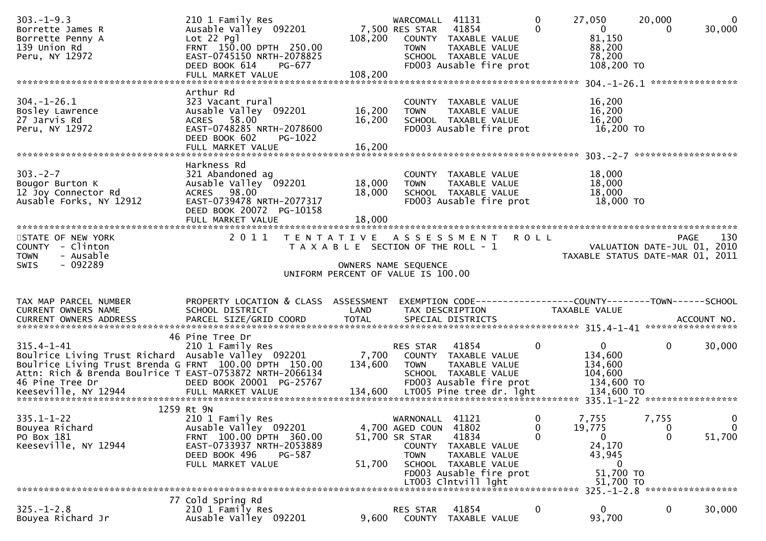| $303. -1 - 9.3$<br>Borrette James R<br>Borrette Penny A<br>139 Union Rd<br>Peru, NY 12972                                                                                                                                            | 210 1 Family Res<br>Ausable Valley 092201<br>$Lot 22$ Pgl<br>FRNT 150.00 DPTH 250.00<br>EAST-0745150 NRTH-2078825<br>DEED BOOK 614<br>PG-677<br>FULL MARKET VALUE | 108,200<br>108,200                    | WARCOMALL 41131<br>7,500 RES STAR 41854<br><b>TOWN</b>                    | COUNTY TAXABLE VALUE<br>TAXABLE VALUE<br>SCHOOL TAXABLE VALUE<br>FD003 Ausable fire prot | $\mathbf 0$<br>$\Omega$ | 27,050<br>$\overline{0}$<br>81,150<br>88,200<br>78,200<br>108,200 TO | 20,000<br>0                      | $\mathbf{0}$<br>30,000                    |
|--------------------------------------------------------------------------------------------------------------------------------------------------------------------------------------------------------------------------------------|-------------------------------------------------------------------------------------------------------------------------------------------------------------------|---------------------------------------|---------------------------------------------------------------------------|------------------------------------------------------------------------------------------|-------------------------|----------------------------------------------------------------------|----------------------------------|-------------------------------------------|
|                                                                                                                                                                                                                                      | Arthur Rd                                                                                                                                                         |                                       |                                                                           |                                                                                          |                         |                                                                      |                                  | ****************                          |
| $304. - 1 - 26.1$<br>Bosley Lawrence<br>27 Jarvis Rd<br>Peru, NY 12972                                                                                                                                                               | 323 Vacant rural<br>Ausable Valley 092201<br>ACRES 58.00<br>EAST-0748285 NRTH-2078600<br>DEED BOOK 602<br>PG-1022                                                 | 16,200<br>16,200                      | <b>TOWN</b>                                                               | COUNTY TAXABLE VALUE<br>TAXABLE VALUE<br>SCHOOL TAXABLE VALUE<br>FD003 Ausable fire prot |                         | 16,200<br>16,200<br>16,200<br>16,200 TO                              |                                  |                                           |
|                                                                                                                                                                                                                                      | FULL MARKET VALUE                                                                                                                                                 | 16,200                                |                                                                           |                                                                                          |                         |                                                                      |                                  |                                           |
| $303 - 2 - 7$<br>Bougor Burton K<br>12 Joy Connector Rd<br>Ausable Forks, NY 12912                                                                                                                                                   | Harkness Rd<br>321 Abandoned ag<br>Ausable Valley 092201<br>ACRES 98.00<br>EAST-0739478 NRTH-2077317<br>DEED BOOK 20072 PG-10158                                  | 18,000<br>18,000                      | <b>TOWN</b>                                                               | COUNTY TAXABLE VALUE<br>TAXABLE VALUE<br>SCHOOL TAXABLE VALUE<br>FD003 Ausable fire prot |                         | 18,000<br>18,000<br>18,000<br>18,000 TO                              |                                  |                                           |
|                                                                                                                                                                                                                                      |                                                                                                                                                                   |                                       |                                                                           |                                                                                          |                         |                                                                      |                                  |                                           |
| STATE OF NEW YORK<br>COUNTY - Clinton<br>- Ausable<br><b>TOWN</b><br>- 092289                                                                                                                                                        | 2011 TENTATIVE ASSESSMENT ROLL                                                                                                                                    | T A X A B L E SECTION OF THE ROLL - 1 |                                                                           |                                                                                          |                         | VALUATION DATE-JUL 01, 2010<br>TAXABLE STATUS DATE-MAR 01, 2011      |                                  | 130<br>PAGE                               |
| SWIS                                                                                                                                                                                                                                 |                                                                                                                                                                   | UNIFORM PERCENT OF VALUE IS 100.00    | OWNERS NAME SEQUENCE                                                      |                                                                                          |                         |                                                                      |                                  |                                           |
| TAX MAP PARCEL NUMBER<br>CURRENT OWNERS NAME                                                                                                                                                                                         | PROPERTY LOCATION & CLASS ASSESSMENT<br>SCHOOL DISTRICT                                                                                                           | LAND                                  |                                                                           | EXEMPTION CODE------------------COUNTY--------TOWN------SCHOOL<br>TAX DESCRIPTION        |                         | TAXABLE VALUE                                                        |                                  |                                           |
| $315.4 - 1 - 41$<br>Boulrice Living Trust Richard Ausable Valley 092201 7,700 COUNTY TAXABLE VALUE<br>Boulrice Living Trust Brenda G FRNT 100.00 DPTH 150.00<br>Attn: Rich & Brenda Boulrice T EAST-0753872 NRTH-2066134             | 46 Pine Tree Dr<br>210 1 Family Res                                                                                                                               | 134,600                               | RES STAR 41854<br><b>TOWN</b>                                             | TAXABLE VALUE<br>SCHOOL TAXABLE VALUE                                                    | $\mathbf{0}$            | $\mathbf{0}$<br>134,600<br>134,600<br>104,600                        | $\mathbf{0}$                     | 30,000                                    |
| 46 Pine Tree Dr         DEED BOOK 20001 PG-25767          FDOO3 Ausable fire prot     134,600 TO<br>Keeseville, NY 12944      FULL MARKET VALUE       134,600  LTOO5 Pine tree dr. lght      134,600 TO<br>************************* |                                                                                                                                                                   |                                       |                                                                           |                                                                                          |                         |                                                                      |                                  |                                           |
| $335.1 - 1 - 22$<br>Bouyea Richard<br>PO Box 181<br>Keeseville, NY 12944                                                                                                                                                             | 1259 Rt 9N<br>210 1 Family Res<br>Ausable Valley 092201<br>FRNT 100.00 DPTH 360.00<br>EAST-0733937 NRTH-2053889<br>DEED BOOK 496<br>PG-587                        |                                       | WARNONALL 41121<br>4,700 AGED COUN 41802<br>51,700 SR STAR<br><b>TOWN</b> | 41834<br>COUNTY TAXABLE VALUE<br>TAXABLE VALUE                                           | 0<br>0<br>0             | 7,755<br>19,775<br>0<br>24,170<br>43,945                             | 7,755<br>$\bf{0}$<br>$\mathbf 0$ | $\mathbf 0$<br>$\mathbf 0$<br>51,700      |
|                                                                                                                                                                                                                                      | FULL MARKET VALUE                                                                                                                                                 | 51,700                                |                                                                           | SCHOOL TAXABLE VALUE<br>FD003 Ausable fire prot                                          |                         | $\Omega$<br>51,700 TO                                                |                                  |                                           |
|                                                                                                                                                                                                                                      |                                                                                                                                                                   |                                       |                                                                           | LT003 Clntvill lght                                                                      |                         | 51,700 TO                                                            |                                  |                                           |
| $325. - 1 - 2.8$                                                                                                                                                                                                                     | 77 Cold Spring Rd<br>210 1 Family Res                                                                                                                             |                                       | RES STAR                                                                  | 41854                                                                                    | 0                       | $\mathbf{0}$                                                         | $\mathbf 0$                      | 325. -1-2.8 *******************<br>30,000 |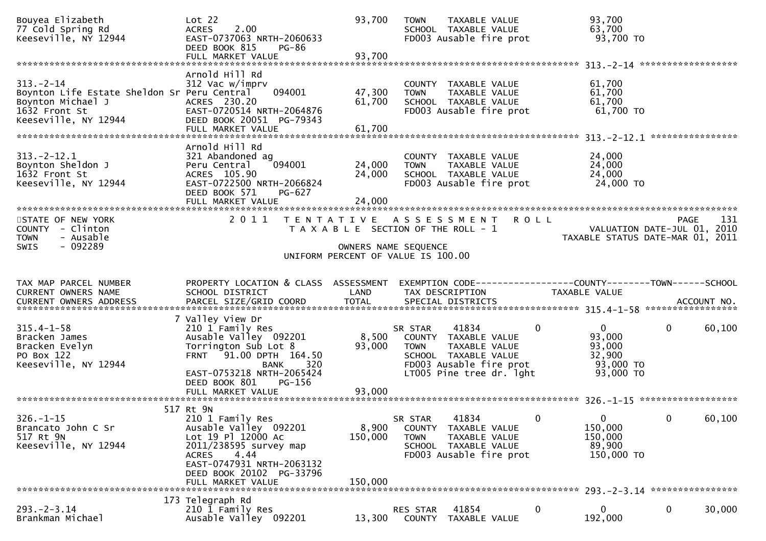| Bouyea Elizabeth<br>77 Cold Spring Rd<br>Keeseville, NY 12944                                                               | Lot 22<br>2.00<br><b>ACRES</b><br>EAST-0737063 NRTH-2060633<br>DEED BOOK 815<br>PG-86<br>FULL MARKET VALUE                                                                 | 93,700<br>93,700                                           | <b>TOWN</b>            | TAXABLE VALUE<br>SCHOOL TAXABLE VALUE<br>FD003 Ausable fire prot                                                              | 93,700<br>63,700                                | 93,700 TO                                                       |             |
|-----------------------------------------------------------------------------------------------------------------------------|----------------------------------------------------------------------------------------------------------------------------------------------------------------------------|------------------------------------------------------------|------------------------|-------------------------------------------------------------------------------------------------------------------------------|-------------------------------------------------|-----------------------------------------------------------------|-------------|
|                                                                                                                             |                                                                                                                                                                            |                                                            |                        |                                                                                                                               |                                                 |                                                                 |             |
| $313 - 2 - 14$<br>Boynton Life Estate Sheldon Sr Peru Central<br>Boynton Michael J<br>1632 Front St<br>Keeseville, NY 12944 | Arnold Hill Rd<br>312 Vac w/imprv<br>094001<br>ACRES 230.20<br>EAST-0720514 NRTH-2064876<br>DEED BOOK 20051 PG-79343                                                       | 47,300<br>61,700                                           | <b>TOWN</b>            | COUNTY TAXABLE VALUE<br>TAXABLE VALUE<br>SCHOOL TAXABLE VALUE<br>FD003 Ausable fire prot                                      | 61,700<br>61,700<br>61,700                      | 61,700 TO                                                       |             |
|                                                                                                                             |                                                                                                                                                                            |                                                            |                        |                                                                                                                               |                                                 |                                                                 |             |
| $313 - 2 - 12.1$<br>Boynton Sheldon J<br>1632 Front St<br>Keeseville, NY 12944                                              | Arnold Hill Rd<br>321 Abandoned ag<br>094001<br>Peru Central<br>ACRES 105.90<br>EAST-0722500 NRTH-2066824<br>DEED BOOK 571<br>PG-627<br>FULL MARKET VALUE                  | 24,000<br>24,000<br>24,000                                 | <b>TOWN</b>            | COUNTY TAXABLE VALUE<br>TAXABLE VALUE<br>SCHOOL TAXABLE VALUE<br>FD003 Ausable fire prot                                      | 24,000<br>24,000<br>24,000                      | 24,000 TO                                                       |             |
|                                                                                                                             |                                                                                                                                                                            |                                                            |                        |                                                                                                                               |                                                 |                                                                 |             |
| STATE OF NEW YORK<br>COUNTY - Clinton<br>- Ausable<br><b>TOWN</b>                                                           | 2011                                                                                                                                                                       | T A X A B L E SECTION OF THE ROLL - 1                      |                        | TENTATIVE ASSESSMENT ROLL                                                                                                     |                                                 | VALUATION DATE-JUL 01, 2010<br>TAXABLE STATUS DATE-MAR 01, 2011 | 131<br>PAGE |
| $-092289$<br>SWIS                                                                                                           |                                                                                                                                                                            | OWNERS NAME SEQUENCE<br>UNIFORM PERCENT OF VALUE IS 100.00 |                        |                                                                                                                               |                                                 |                                                                 |             |
| TAX MAP PARCEL NUMBER<br>CURRENT OWNERS NAME                                                                                | PROPERTY LOCATION & CLASS ASSESSMENT<br>SCHOOL DISTRICT                                                                                                                    | LAND                                                       |                        | EXEMPTION CODE-----------------COUNTY--------TOWN------SCHOOL<br>TAX DESCRIPTION                                              | TAXABLE VALUE                                   |                                                                 |             |
|                                                                                                                             | 7 Valley View Dr                                                                                                                                                           |                                                            |                        |                                                                                                                               |                                                 |                                                                 |             |
| $315.4 - 1 - 58$<br>Bracken James<br>Bracken Evelyn<br>PO Box 122<br>Keeseville, NY 12944                                   | 210 1 Family Res<br>Ausable Valley 092201<br>Torrington Sub Lot 8<br>FRNT 91.00 DPTH 164.50<br>320<br>BANK<br>EAST-0753218 NRTH-2065424<br>DEED BOOK 801<br>PG-156         | 8,500<br>93,000                                            | SR STAR<br><b>TOWN</b> | 41834<br>COUNTY TAXABLE VALUE<br>TAXABLE VALUE<br>SCHOOL TAXABLE VALUE<br>FD003 Ausable fire prot<br>LT005 Pine tree dr. 1ght | 0<br>$\mathbf{0}$<br>93,000<br>93,000<br>32,900 | $\mathbf 0$<br>93,000 TO<br>93,000 TO                           | 60,100      |
|                                                                                                                             |                                                                                                                                                                            |                                                            |                        |                                                                                                                               |                                                 |                                                                 |             |
|                                                                                                                             | 517 Rt 9N                                                                                                                                                                  |                                                            |                        |                                                                                                                               |                                                 |                                                                 |             |
| $326. - 1 - 15$<br>Brancato John C Sr<br>517 Rt 9N<br>Keeseville, NY 12944                                                  | 210 1 Family Res<br>Ausable Valley 092201<br>Lot 19 Pl 12000 Ac<br>2011/238595 survey map<br>4.44<br><b>ACRES</b><br>EAST-0747931 NRTH-2063132<br>DEED BOOK 20102 PG-33796 | 8,900<br>150,000                                           | SR STAR<br><b>TOWN</b> | 41834<br>COUNTY TAXABLE VALUE<br>TAXABLE VALUE<br>SCHOOL TAXABLE VALUE<br>FD003 Ausable fire prot                             | 0<br>0<br>150,000<br>150,000<br>89,900          | 0<br>150,000 TO                                                 | 60,100      |
|                                                                                                                             | FULL MARKET VALUE                                                                                                                                                          | 150,000                                                    |                        |                                                                                                                               |                                                 |                                                                 |             |
| $293 - 2 - 3.14$<br>Brankman Michael                                                                                        | 173 Telegraph Rd<br>210 1 Family Res<br>Ausable Valley 092201                                                                                                              | 13,300                                                     | RES STAR<br>COUNTY     | 41854<br>TAXABLE VALUE                                                                                                        | 0<br>0<br>192,000                               | $\bf{0}$                                                        | 30,000      |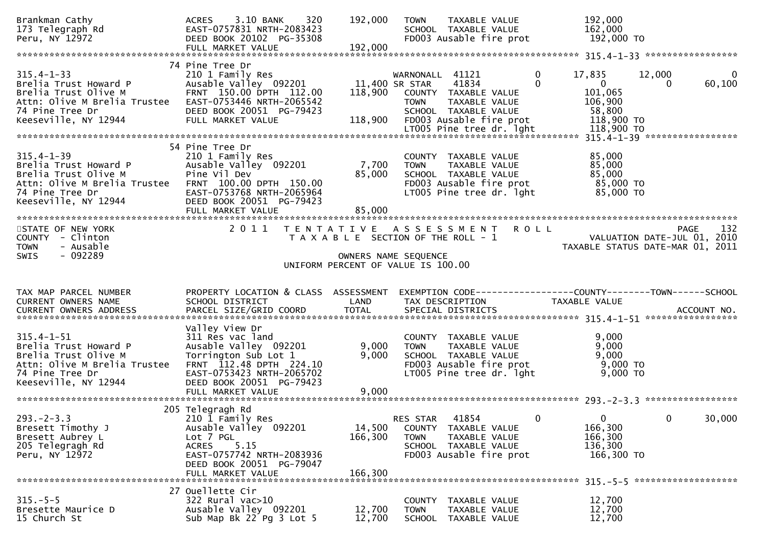| Brankman Cathy<br>173 Telegraph Rd<br>Peru, NY 12972                                                                                         | 3.10 BANK<br>320<br><b>ACRES</b><br>EAST-0757831 NRTH-2083423<br>DEED BOOK 20102 PG-35308                                                                                             | 192,000                      | TAXABLE VALUE<br><b>TOWN</b><br>SCHOOL TAXABLE VALUE<br>FD003 Ausable fire prot                                                                       | 192,000<br>162,000<br>192,000 TO                                                                  |                                                                                       |
|----------------------------------------------------------------------------------------------------------------------------------------------|---------------------------------------------------------------------------------------------------------------------------------------------------------------------------------------|------------------------------|-------------------------------------------------------------------------------------------------------------------------------------------------------|---------------------------------------------------------------------------------------------------|---------------------------------------------------------------------------------------|
| $315.4 - 1 - 33$<br>Brelia Trust Howard P<br>Brelia Trust Olive M<br>Attn: Olive M Brelia Trustee<br>74 Pine Tree Dr<br>Keeseville, NY 12944 | 74 Pine Tree Dr<br>210 1 Family Res<br>Ausable Valley 092201<br>FRNT 150.00 DPTH 112.00<br>EAST-0753446 NRTH-2065542<br>DEED BOOK 20051 PG-79423<br>FULL MARKET VALUE                 | 118,900<br>118,900           | WARNONALL 41121<br>41834<br>11,400 SR STAR<br>COUNTY TAXABLE VALUE<br>TAXABLE VALUE<br><b>TOWN</b><br>SCHOOL TAXABLE VALUE<br>FD003 Ausable fire prot | $\mathbf 0$<br>17,835<br>$\Omega$<br>$\overline{0}$<br>101,065<br>106,900<br>58,800<br>118,900 TO | 12,000<br>$\mathbf 0$<br>60,100<br>$\Omega$                                           |
| $315.4 - 1 - 39$<br>Brelia Trust Howard P<br>Brelia Trust Olive M<br>Attn: Olive M Brelia Trustee<br>74 Pine Tree Dr<br>Keeseville, NY 12944 | 54 Pine Tree Dr<br>210 1 Family Res<br>Ausable Valley 092201<br>Pine Vil Dev<br>FRNT 100.00 DPTH 150.00<br>EAST-0753768 NRTH-2065964<br>DEED BOOK 20051 PG-79423<br>FULL MARKET VALUE | 7,700<br>85,000<br>85,000    | COUNTY TAXABLE VALUE<br>TAXABLE VALUE<br><b>TOWN</b><br>SCHOOL TAXABLE VALUE<br>FD003 Ausable fire prot<br>LT005 Pine tree dr. 1ght                   | 85,000<br>85,000<br>85,000<br>85,000 TO<br>85,000 TO                                              |                                                                                       |
| STATE OF NEW YORK<br>COUNTY - Clinton<br><b>TOWN</b><br>- Ausable<br>$-092289$<br><b>SWIS</b>                                                | 2011                                                                                                                                                                                  | T E N T A T I V E            | A S S E S S M E N T<br>T A X A B L E SECTION OF THE ROLL - 1<br>OWNERS NAME SEQUENCE<br>UNIFORM PERCENT OF VALUE IS 100.00                            | <b>ROLL</b>                                                                                       | 132<br><b>PAGE</b><br>VALUATION DATE-JUL 01, 2010<br>TAXABLE STATUS DATE-MAR 01, 2011 |
|                                                                                                                                              |                                                                                                                                                                                       |                              |                                                                                                                                                       |                                                                                                   |                                                                                       |
| TAX MAP PARCEL NUMBER<br>CURRENT OWNERS NAME<br>CURRENT OWNERS ADDRESS                                                                       | PROPERTY LOCATION & CLASS ASSESSMENT<br>SCHOOL DISTRICT<br>PARCEL SIZE/GRID COORD                                                                                                     | LAND<br><b>TOTAL</b>         | EXEMPTION CODE------------------COUNTY--------TOWN------SCHOOL<br>TAX DESCRIPTION<br>SPECIAL DISTRICTS                                                | TAXABLE VALUE                                                                                     | ACCOUNT NO.                                                                           |
| $315.4 - 1 - 51$<br>Brelia Trust Howard P<br>Brelia Trust Olive M<br>Attn: Olive M Brelia Trustee<br>74 Pine Tree Dr<br>Keeseville, NY 12944 | Valley View Dr<br>311 Res vac land<br>Ausable Valley 092201<br>Torrington Sub Lot 1<br>FRNT 112.48 DPTH 224.10<br>EAST-0753423 NRTH-2065702<br>DEED BOOK 20051 PG-79423               | 9,000<br>9,000               | COUNTY TAXABLE VALUE<br>TAXABLE VALUE<br><b>TOWN</b><br>SCHOOL TAXABLE VALUE<br>FD003 Ausable fire prot<br>LT005 Pine tree dr. 1ght                   | 9,000<br>9,000<br>9,000<br>9,000 TO<br>9,000 TO                                                   |                                                                                       |
| $293. -2 - 3.3$<br>Bresett Timothy J<br>Bresett Aubrey L<br>205 Telegragh Rd<br>Peru, NY 12972                                               | 205 Telegragh Rd<br>210 1 Family Res<br>Ausable Valley 092201<br>Lot 7 PGL<br>5.15<br><b>ACRES</b><br>EAST-0757742 NRTH-2083936<br>DEED BOOK 20051 PG-79047<br>FULL MARKET VALUE      | 14,500<br>166,300<br>166,300 | 41854<br>RES STAR<br>COUNTY TAXABLE VALUE<br><b>TOWN</b><br>TAXABLE VALUE<br>SCHOOL TAXABLE VALUE<br>FD003 Ausable fire prot                          | 0<br>$\Omega$<br>166,300<br>166,300<br>136,300<br>166,300 TO                                      | $\mathbf 0$<br>30,000                                                                 |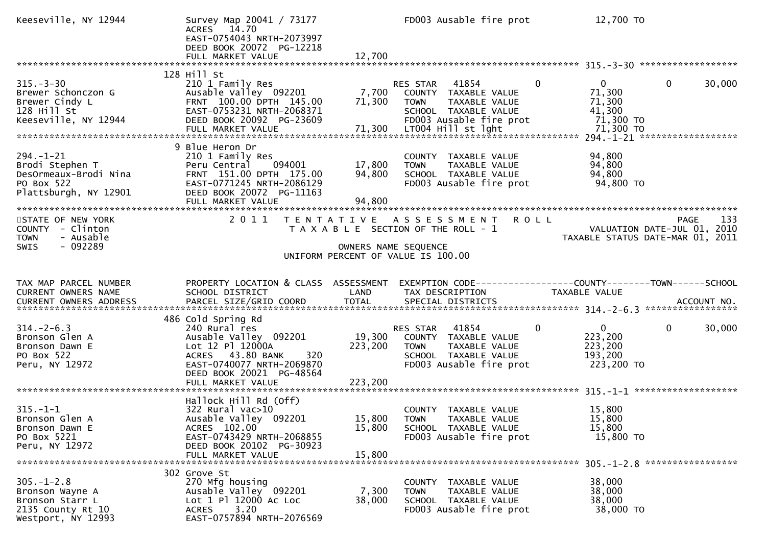| Keeseville, NY 12944                                                                               | Survey Map 20041 / 73177<br>ACRES 14.70<br>EAST-0754043 NRTH-2073997<br>DEED BOOK 20072 PG-12218                                                                                          |                              | FD003 Ausable fire prot                                                                                                                      | 12,700 TO                                                                   |             |
|----------------------------------------------------------------------------------------------------|-------------------------------------------------------------------------------------------------------------------------------------------------------------------------------------------|------------------------------|----------------------------------------------------------------------------------------------------------------------------------------------|-----------------------------------------------------------------------------|-------------|
| $315. - 3 - 30$<br>Brewer Schonczon G<br>Brewer Cindy L<br>128 Hill St<br>Keeseville, NY 12944     | 128 Hill St<br>210 1 Family Res<br>Ausable Valley 092201<br>FRNT 100.00 DPTH 145.00<br>EAST-0753231 NRTH-2068371<br>DEED BOOK 20092 PG-23609                                              | 7,700<br>71,300              | RES STAR 41854<br>$\mathbf{0}$<br>COUNTY TAXABLE VALUE<br>TAXABLE VALUE<br><b>TOWN</b><br>SCHOOL TAXABLE VALUE<br>FD003 Ausable fire prot    | $0 \qquad \qquad$<br>$\mathbf 0$<br>71,300<br>71,300<br>41,300<br>71,300 TO | 30,000      |
| $294. - 1 - 21$<br>Brodi Stephen T<br>DesOrmeaux-Brodi Nina<br>PO Box 522<br>Plattsburgh, NY 12901 | 9 Blue Heron Dr<br>210 1 Family Res<br>094001<br>Peru Central<br>FRNT 151.00 DPTH 175.00<br>EAST-0771245 NRTH-2086129<br>DEED BOOK 20072 PG-11163<br>FULL MARKET VALUE                    | 17,800<br>94,800<br>94,800   | COUNTY TAXABLE VALUE<br><b>TOWN</b><br>TAXABLE VALUE<br>SCHOOL TAXABLE VALUE<br>FD003 Ausable fire prot                                      | 94,800<br>94,800<br>94,800<br>94,800 TO                                     |             |
| STATE OF NEW YORK<br>COUNTY - Clinton<br>- Ausable<br><b>TOWN</b><br>$-092289$<br><b>SWIS</b>      | 2011                                                                                                                                                                                      |                              | TENTATIVE ASSESSMENT ROLL<br>T A X A B L E SECTION OF THE ROLL - 1<br>OWNERS NAME SEQUENCE<br>UNIFORM PERCENT OF VALUE IS 100.00             | VALUATION DATE-JUL 01, 2010<br>TAXABLE STATUS DATE-MAR 01, 2011             | 133<br>PAGE |
| TAX MAP PARCEL NUMBER<br>CURRENT OWNERS NAME                                                       | PROPERTY LOCATION & CLASS ASSESSMENT<br>SCHOOL DISTRICT                                                                                                                                   | LAND                         | EXEMPTION CODE------------------COUNTY--------TOWN------SCHOOL<br>TAX DESCRIPTION                                                            | TAXABLE VALUE                                                               |             |
| $314. - 2 - 6.3$<br>Bronson Glen A<br>Bronson Dawn E<br>PO Box 522<br>Peru, NY 12972               | 486 Cold Spring Rd<br>240 Rural res<br>Ausable Valley 092201<br>Lot 12 Pl 12000A<br>ACRES 43.80 BANK<br>320<br>EAST-0740077 NRTH-2069870<br>DEED BOOK 20021 PG-48564<br>FULL MARKET VALUE | 19,300<br>223,200<br>223,200 | 41854<br>$\mathbf{0}$<br>RES STAR<br>COUNTY TAXABLE VALUE<br><b>TOWN</b><br>TAXABLE VALUE<br>SCHOOL TAXABLE VALUE<br>FD003 Ausable fire prot | $\mathbf{0}$<br>0<br>223,200<br>223,200<br>193,200<br>223,200 TO            | 30,000      |
| $315. - 1 - 1$<br>Bronson Glen A<br>Bronson Dawn E<br>PO Box 5221<br>Peru, NY 12972                | Hallock Hill Rd (Off)<br>322 Rural vac>10<br>Ausable Valley 092201<br>ACRES 102.00<br>EAST-0743429 NRTH-2068855<br>DEED BOOK 20102 PG-30923<br>FULL MARKET VALUE                          | 15,800<br>15.800             | COUNTY TAXABLE VALUE<br>15,800 TOWN<br>TAXABLE VALUE<br>SCHOOL TAXABLE VALUE<br>FD003 Ausable fire prot                                      | 15,800<br>15,800<br>15,800<br>15,800 TO                                     |             |
| $305. - 1 - 2.8$<br>Bronson Wayne A<br>Bronson Starr L<br>2135 County Rt 10<br>Westport, NY 12993  | 302 Grove St<br>270 Mfg housing<br>Ausable Valley 092201<br>Lot 1 Pl 12000 Ac Loc<br>3.20<br><b>ACRES</b><br>EAST-0757894 NRTH-2076569                                                    | 7,300<br>38,000              | COUNTY TAXABLE VALUE<br>TAXABLE VALUE<br><b>TOWN</b><br>SCHOOL TAXABLE VALUE<br>FD003 Ausable fire prot                                      | 38,000<br>38,000<br>38,000<br>38,000 TO                                     |             |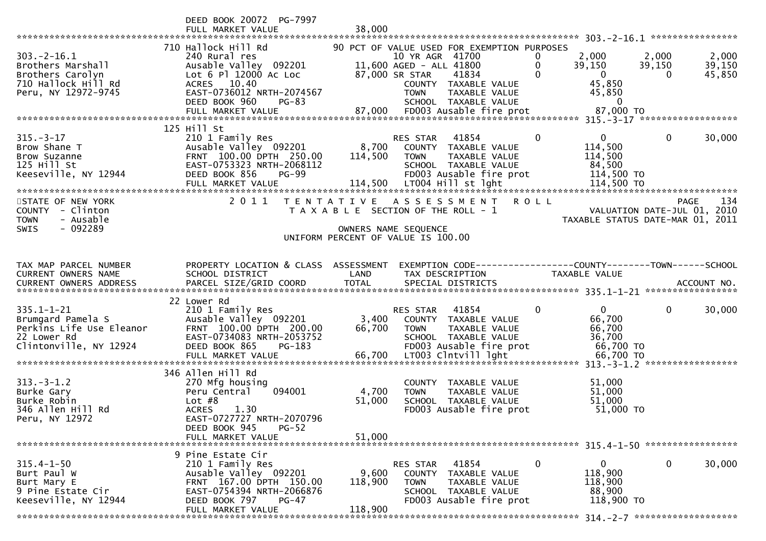|                                                                                                            | DEED BOOK 20072 PG-7997<br>FULL MARKET VALUE                                                                                                                | 38,000           |                                                                                                                                                                              |                        |                                                                |                                                                 |
|------------------------------------------------------------------------------------------------------------|-------------------------------------------------------------------------------------------------------------------------------------------------------------|------------------|------------------------------------------------------------------------------------------------------------------------------------------------------------------------------|------------------------|----------------------------------------------------------------|-----------------------------------------------------------------|
|                                                                                                            |                                                                                                                                                             |                  |                                                                                                                                                                              |                        |                                                                |                                                                 |
| $303. -2 - 16.1$<br>Brothers Marshall<br>Brothers Carolyn<br>710 Hallock Hill Rd<br>Peru, NY 12972-9745    | 710 Hallock Hill Rd<br>240 Rural res<br>Ausable Valley 092201<br>Lot 6 Pl 12000 Ac Loc<br>ACRES 10.40<br>EAST-0736012 NRTH-2074567                          |                  | 90 PCT OF VALUE USED FOR EXEMPTION PURPOSES<br>10 YR AGR 41700<br>11,600 AGED - ALL 41800<br>87,000 SR STAR<br>41834<br>COUNTY TAXABLE VALUE<br>TAXABLE VALUE<br><b>TOWN</b> | 0<br>0<br>$\mathbf{0}$ | 2,000<br>2,000<br>39,150<br>$\overline{0}$<br>45,850<br>45,850 | 2,000<br>39,150<br>39,150<br>45,850<br>$\Omega$                 |
|                                                                                                            | DEED BOOK 960<br>$PG-83$                                                                                                                                    |                  | SCHOOL TAXABLE VALUE                                                                                                                                                         |                        | $\overline{0}$                                                 |                                                                 |
|                                                                                                            |                                                                                                                                                             |                  |                                                                                                                                                                              |                        |                                                                |                                                                 |
|                                                                                                            | 125 Hill St                                                                                                                                                 |                  |                                                                                                                                                                              |                        |                                                                |                                                                 |
| $315. - 3 - 17$<br>Brow Shane T<br>Brow Suzanne<br>125 Hill St<br>Keeseville, NY 12944                     | 210 1 Family Res<br>Ausable Valley 092201<br>FRNT 100.00 DPTH 250.00<br>EAST-0753323 NRTH-2068112<br>DEED BOOK 856<br><b>PG-99</b>                          | 114,500          | RES STAR<br>41854<br>8,700 COUNTY TAXABLE VALUE<br><b>TOWN</b><br>TAXABLE VALUE<br>SCHOOL TAXABLE VALUE<br>FD003 Ausable fire prot                                           | $\mathbf 0$            | $\mathbf{0}$<br>114,500<br>114,500<br>84,500<br>114,500 TO     | $\Omega$<br>30,000                                              |
| STATE OF NEW YORK                                                                                          | 2011                                                                                                                                                        |                  | TENTATIVE ASSESSMENT                                                                                                                                                         | <b>ROLL</b>            |                                                                | 134<br><b>PAGE</b>                                              |
| COUNTY - Clinton<br>- Ausable<br><b>TOWN</b><br>$-092289$<br><b>SWIS</b>                                   |                                                                                                                                                             |                  | T A X A B L E SECTION OF THE ROLL - 1<br>OWNERS NAME SEQUENCE                                                                                                                |                        |                                                                | VALUATION DATE-JUL 01, 2010<br>TAXABLE STATUS DATE-MAR 01, 2011 |
|                                                                                                            |                                                                                                                                                             |                  | UNIFORM PERCENT OF VALUE IS 100.00                                                                                                                                           |                        |                                                                |                                                                 |
| TAX MAP PARCEL NUMBER<br><b>CURRENT OWNERS NAME</b>                                                        | PROPERTY LOCATION & CLASS ASSESSMENT<br>SCHOOL DISTRICT                                                                                                     | LAND             | EXEMPTION CODE-----------------COUNTY-------TOWN------SCHOOL<br>TAX DESCRIPTION                                                                                              |                        | TAXABLE VALUE                                                  |                                                                 |
|                                                                                                            |                                                                                                                                                             |                  |                                                                                                                                                                              |                        |                                                                |                                                                 |
|                                                                                                            |                                                                                                                                                             |                  |                                                                                                                                                                              |                        |                                                                |                                                                 |
| $335.1 - 1 - 21$<br>Brumgard Pamela S<br>Perkins Life Use Eleanor<br>22 Lower Rd<br>Clintonville, NY 12924 | 22 Lower Rd<br>210 1 Family Res<br>Ausable Valley 092201<br>FRNT 100.00 DPTH 200.00<br>EAST-0734083 NRTH-2053752<br>DEED BOOK 865<br>PG-183                 | 3,400<br>66,700  | RES STAR 41854<br>COUNTY TAXABLE VALUE<br><b>TOWN</b><br>TAXABLE VALUE<br>SCHOOL TAXABLE VALUE<br>FD003 Ausable fire prot                                                    | $\mathbf 0$            | $\mathbf{0}$<br>66,700<br>66,700<br>36,700<br>66,700 TO        | $\mathbf 0$<br>30,000                                           |
|                                                                                                            |                                                                                                                                                             |                  |                                                                                                                                                                              |                        |                                                                |                                                                 |
| $313.-3-1.2$<br>Burke Gary<br>Burke Robin<br>346 Allen Hill Rd<br>Peru, NY 12972                           | 346 Allen Hill Rd<br>270 Mfg housing<br>Peru Central<br>094001<br>Lot $#8$<br><b>ACRES</b><br>1.30<br>EAST-0727727 NRTH-2070796<br>DEED BOOK 945<br>$PG-52$ | 4,700<br>51,000  | COUNTY TAXABLE VALUE<br>TAXABLE VALUE<br><b>TOWN</b><br>SCHOOL TAXABLE VALUE<br>FD003 Ausable fire prot                                                                      |                        | 51,000<br>51,000<br>51,000<br>51,000 TO                        |                                                                 |
|                                                                                                            | FULL MARKET VALUE                                                                                                                                           | 51,000           |                                                                                                                                                                              |                        |                                                                |                                                                 |
|                                                                                                            |                                                                                                                                                             |                  |                                                                                                                                                                              |                        |                                                                |                                                                 |
| $315.4 - 1 - 50$<br>Burt Paul W<br>Burt Mary E<br>9 Pine Estate Cir<br>Keeseville, NY 12944                | 9 Pine Estate Cir<br>210 1 Family Res<br>Ausable Valley 092201<br>FRNT 167.00 DPTH 150.00<br>EAST-0754394 NRTH-2066876<br>DEED BOOK 797<br><b>PG-47</b>     | 9,600<br>118,900 | RES STAR<br>41854<br>COUNTY<br>TAXABLE VALUE<br><b>TOWN</b><br>TAXABLE VALUE<br>SCHOOL TAXABLE VALUE<br>FD003 Ausable fire prot                                              | $\mathbf 0$            | 0<br>118,900<br>118,900<br>88,900<br>118,900 TO                | $\mathbf 0$<br>30,000                                           |
|                                                                                                            | FULL MARKET VALUE                                                                                                                                           | 118,900          |                                                                                                                                                                              |                        |                                                                |                                                                 |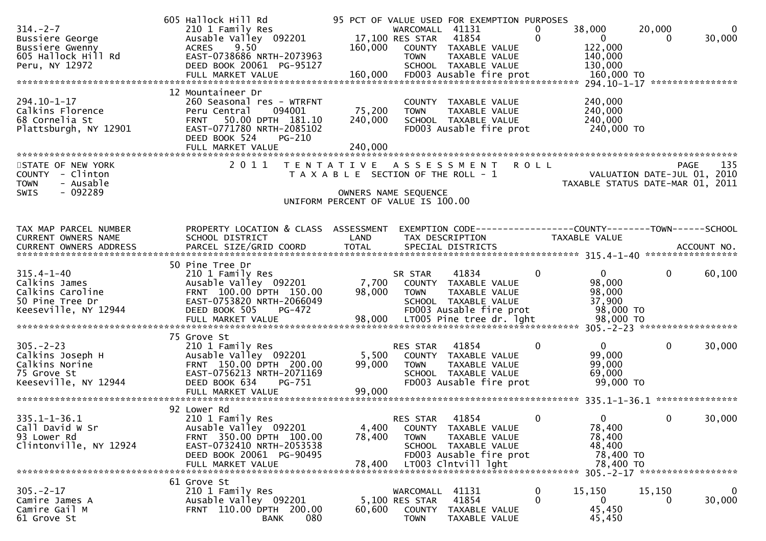| $314. - 2 - 7$<br>Bussiere George<br>Bussiere Gwenny<br>605 Hallock Hill Rd<br>Peru, NY 12972    | 605 Hallock Hill Rd<br>210 1 Family Res<br>Ausable Valley 092201<br>ACRES 9.50<br>EAST-0738686 NRTH-2073963<br>DEED BOOK 20061 PG-95127<br>FULL MARKET VALUE         | 160,000<br>160,000                                                                                  | WARCOMALL 41131<br>17,100 RES STAR<br><b>TOWN</b>    | 95 PCT OF VALUE USED FOR EXEMPTION PURPOSES<br>41854<br>COUNTY TAXABLE VALUE<br>TAXABLE VALUE<br>SCHOOL TAXABLE VALUE<br>FD003 Ausable fire prot | 0<br>$\Omega$           | 38,000<br>$\overline{0}$<br>122,000<br>140,000<br>130,000<br>160,000 TO<br>294.10-1-17 *****************                                                                                                                                                                                                                                                                                   | 20,000<br>$\Omega$      | 0<br>30,000            |
|--------------------------------------------------------------------------------------------------|----------------------------------------------------------------------------------------------------------------------------------------------------------------------|-----------------------------------------------------------------------------------------------------|------------------------------------------------------|--------------------------------------------------------------------------------------------------------------------------------------------------|-------------------------|--------------------------------------------------------------------------------------------------------------------------------------------------------------------------------------------------------------------------------------------------------------------------------------------------------------------------------------------------------------------------------------------|-------------------------|------------------------|
| 294.10-1-17<br>Calkins Florence<br>68 Cornelia St<br>Plattsburgh, NY 12901                       | 12 Mountaineer Dr<br>260 Seasonal res - WTRFNT<br>Peru Central<br>094001<br>50.00 DPTH 181.10<br><b>FRNT</b><br>EAST-0771780 NRTH-2085102<br>DEED BOOK 524<br>PG-210 | 75,200<br>240,000                                                                                   | <b>TOWN</b>                                          | COUNTY TAXABLE VALUE<br>TAXABLE VALUE<br>SCHOOL TAXABLE VALUE<br>FD003 Ausable fire prot                                                         |                         | 240,000<br>240,000<br>240,000<br>240,000 TO                                                                                                                                                                                                                                                                                                                                                |                         |                        |
| STATE OF NEW YORK<br>COUNTY - Clinton<br>- Ausable<br><b>TOWN</b><br>$-092289$<br><b>SWIS</b>    | 2011                                                                                                                                                                 | TENTATIVE ASSESSMENT<br>T A X A B L E SECTION OF THE ROLL - 1<br>UNIFORM PERCENT OF VALUE IS 100.00 | OWNERS NAME SEQUENCE                                 |                                                                                                                                                  | <b>ROLL</b>             | VALUATION DATE-JUL 01, 2010<br>TAXABLE STATUS DATE-MAR 01, 2011                                                                                                                                                                                                                                                                                                                            | <b>PAGE</b>             | 135                    |
| TAX MAP PARCEL NUMBER<br>CURRENT OWNERS NAME<br>CURRENT OWNERS ADDRESS                           | PROPERTY LOCATION & CLASS ASSESSMENT<br>SCHOOL DISTRICT                                                                                                              | LAND                                                                                                | TAX DESCRIPTION                                      |                                                                                                                                                  |                         | TAXABLE VALUE                                                                                                                                                                                                                                                                                                                                                                              |                         |                        |
| $315.4 - 1 - 40$<br>Calkins James<br>Calkins Caroline<br>50 Pine Tree Dr<br>Keeseville, NY 12944 | 50 Pine Tree Dr<br>210 1 Family Res<br>Ausable Valley 092201<br>FRNT 100.00 DPTH 150.00<br>EAST-0753820 NRTH-2066049<br>DEED BOOK 505<br>PG-472<br>FULL MARKET VALUE | 7,700<br>98,000<br>98,000                                                                           | SR STAR<br><b>TOWN</b>                               | 41834<br>COUNTY TAXABLE VALUE<br>TAXABLE VALUE<br>SCHOOL TAXABLE VALUE<br>FD003 Ausable fire prot<br>LT005 Pine tree dr. 1ght                    | $\Omega$                | $\overline{0}$<br>98,000<br>98,000<br>37,900<br>98,000 TO<br>98,000 TO                                                                                                                                                                                                                                                                                                                     | $\mathbf{0}$            | 60,100                 |
| $305. -2 - 23$<br>Calkins Joseph H<br>Calkins Norine<br>75 Grove St<br>Keeseville, NY 12944      | 75 Grove St<br>210 1 Family Res<br>Ausable Valley 092201<br>FRNT 150.00 DPTH 200.00<br>EAST-0756213 NRTH-2071169<br>DEED BOOK 634<br>PG-751<br>FULL MARKET VALUE     | 5,500<br>99,000<br>99,000                                                                           | RES STAR<br><b>TOWN</b>                              | 41854<br>COUNTY TAXABLE VALUE<br>TAXABLE VALUE<br>SCHOOL TAXABLE VALUE<br>FD003 Ausable fire prot                                                | 0                       | $\mathbf{0}$<br>99,000<br>99,000<br>69,000<br>99,000 TO                                                                                                                                                                                                                                                                                                                                    | $\mathbf{0}$            | 30,000                 |
| $335.1 - 1 - 36.1$<br>Call David W Sr<br>93 Lower Rd<br>Clintonville, NY 12924                   | 92 Lower Rd<br>210 1 Family Res<br>Ausable Valley 092201<br>FRNT 350.00 DPTH 100.00<br>EAST-0732410 NRTH-2053538<br>DEED BOOK 20061 PG-90495<br>FULL MARKET VALUE    | 4,400<br>78,400<br>78,400                                                                           | RES STAR 41854<br><b>TOWN</b>                        | COUNTY TAXABLE VALUE<br>TAXABLE VALUE<br>SCHOOL TAXABLE VALUE<br>FD003 Ausable fire prot<br>LT003 Clntvill lght                                  | $\overline{\mathbf{0}}$ | $\overline{0}$ and $\overline{0}$ and $\overline{0}$ and $\overline{0}$ and $\overline{0}$ and $\overline{0}$ and $\overline{0}$ and $\overline{0}$ and $\overline{0}$ and $\overline{0}$ and $\overline{0}$ and $\overline{0}$ and $\overline{0}$ and $\overline{0}$ and $\overline{0}$ and $\overline{0}$ and $\overline{0}$ and<br>78,400<br>78,400<br>48,400<br>78,400 TO<br>78,400 TO | $\overline{\mathbf{0}}$ | 30,000                 |
| $305. -2 - 17$<br>Camire James A<br>Camire Gail M<br>61 Grove St                                 | 61 Grove St<br>210 1 Family Res<br>Ausable Valley 092201<br>FRNT 110.00 DPTH 200.00<br>080<br><b>BANK</b>                                                            | 60,600                                                                                              | WARCOMALL<br>5,100 RES STAR<br>COUNTY<br><b>TOWN</b> | 41131<br>41854<br>TAXABLE VALUE<br>TAXABLE VALUE                                                                                                 | 0<br>$\Omega$           | 15,150<br>$\mathbf{0}$<br>45,450<br>45,450                                                                                                                                                                                                                                                                                                                                                 | 15,150<br>0             | $\mathbf{0}$<br>30,000 |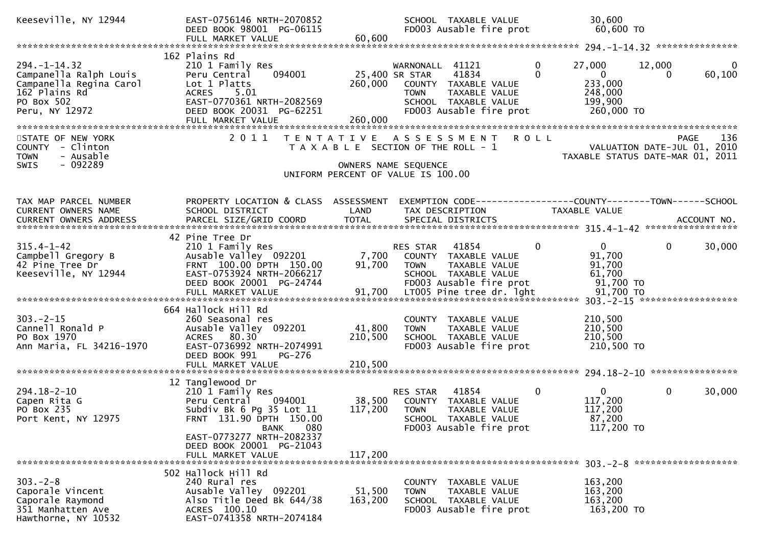| Keeseville, NY 12944                                                                                                     | EAST-0756146 NRTH-2070852<br>DEED BOOK 98001 PG-06115<br>FULL MARKET VALUE                                                                                              | 60,600                               | SCHOOL TAXABLE VALUE<br>FD003 Ausable fire prot                                                                                     | 30,600<br>60,600 TO                                                                    |                                                        |
|--------------------------------------------------------------------------------------------------------------------------|-------------------------------------------------------------------------------------------------------------------------------------------------------------------------|--------------------------------------|-------------------------------------------------------------------------------------------------------------------------------------|----------------------------------------------------------------------------------------|--------------------------------------------------------|
|                                                                                                                          |                                                                                                                                                                         |                                      |                                                                                                                                     |                                                                                        |                                                        |
| $294. - 1 - 14.32$<br>Campanella Ralph Louis<br>Campanella Regina Carol<br>162 Plains Rd<br>PO Box 502<br>Peru, NY 12972 | 162 Plains Rd<br>210 1 Family Res<br>094001<br>Peru Central<br>Lot 1 Platts<br>ACRES 5.01<br>EAST-0770361 NRTH-2082569<br>DEED BOOK 20031 PG-62251<br>FULL MARKET VALUE | 25,400 SR STAR<br>260,000<br>260,000 | WARNONALL 41121<br>41834<br>COUNTY TAXABLE VALUE<br><b>TOWN</b><br>TAXABLE VALUE<br>SCHOOL TAXABLE VALUE<br>FD003 Ausable fire prot | 27,000<br>0<br>$\Omega$<br>$\mathbf{0}$<br>233,000<br>248,000<br>199,900<br>260,000 TO | $\mathbf{0}$<br>12,000<br>60,100<br>0                  |
| STATE OF NEW YORK<br>COUNTY - Clinton<br>- Ausable<br><b>TOWN</b><br>$-092289$<br><b>SWIS</b>                            | 2011                                                                                                                                                                    |                                      | TENTATIVE ASSESSMENT ROLL<br>T A X A B L E SECTION OF THE ROLL - 1<br>OWNERS NAME SEQUENCE<br>UNIFORM PERCENT OF VALUE IS 100.00    | VALUATION DATE-JUL 01, 2010                                                            | 136<br><b>PAGE</b><br>TAXABLE STATUS DATE-MAR 01, 2011 |
| TAX MAP PARCEL NUMBER<br>CURRENT OWNERS NAME                                                                             | PROPERTY LOCATION & CLASS ASSESSMENT<br>SCHOOL DISTRICT                                                                                                                 | LAND                                 | EXEMPTION CODE-----------------COUNTY-------TOWN------SCHOOL<br>TAX DESCRIPTION                                                     | TAXABLE VALUE                                                                          |                                                        |
| $315.4 - 1 - 42$<br>Campbell Gregory B<br>42 Pine Tree Dr<br>Keeseville, NY 12944                                        | 42 Pine Tree Dr<br>210 1 Family Res<br>Ausable Valley 092201<br>FRNT 100.00 DPTH 150.00<br>EAST-0753924 NRTH-2066217<br>DEED BOOK 20001 PG-24744                        | 7,700<br>91,700                      | RES STAR 41854<br>COUNTY TAXABLE VALUE<br>TAXABLE VALUE<br>TOWN<br>SCHOOL TAXABLE VALUE<br>FD003 Ausable fire prot                  | $0 \qquad$<br>$\mathbf{0}$<br>91,700<br>91,700<br>61,700<br>91,700 TO                  | $\mathbf{0}$<br>30,000                                 |
| $303 - 2 - 15$<br>Cannell Ronald P<br>PO Box 1970<br>Ann Maria, FL 34216-1970                                            | 664 Hallock Hill Rd<br>260 Seasonal res<br>Ausable Valley 092201<br>ACRES 80.30<br>EAST-0736992 NRTH-2074991<br>DEED BOOK 991<br>PG-276<br>FULL MARKET VALUE            | 41,800<br>210,500<br>210,500         | COUNTY TAXABLE VALUE<br>TAXABLE VALUE<br><b>TOWN</b><br>SCHOOL TAXABLE VALUE<br>FD003 Ausable fire prot                             | 210,500<br>210,500<br>210,500<br>210,500 TO                                            |                                                        |
|                                                                                                                          |                                                                                                                                                                         |                                      |                                                                                                                                     |                                                                                        |                                                        |
| 294.18-2-10<br>Capen Rita G<br>PO Box 235<br>Port Kent, NY 12975                                                         | 12 Tanglewood Dr<br>210 1 Family Res<br>Peru Central 094001<br>Subdiv Bk 6 Pg 35 Lot 11<br>FRNT 131.90 DPTH 150.00<br>080<br><b>BANK</b>                                | 38,500<br>117,200                    | 41854<br>RES STAR<br>COUNTY TAXABLE VALUE<br><b>TOWN</b><br>TAXABLE VALUE<br>SCHOOL TAXABLE VALUE<br>FD003 Ausable fire prot        | $\mathbf 0$<br>$\mathbf{0}$<br>117,200<br>117,200<br>87,200<br>117,200 TO              | $\mathbf{0}$<br>30,000                                 |
|                                                                                                                          | EAST-0773277 NRTH-2082337<br>DEED BOOK 20001 PG-21043<br>FULL MARKET VALUE                                                                                              | 117,200                              |                                                                                                                                     |                                                                                        |                                                        |
| $303 - 2 - 8$<br>Caporale Vincent<br>Caporale Raymond<br>351 Manhatten Ave<br>Hawthorne, NY 10532                        | 502 Hallock Hill Rd<br>240 Rural res<br>Ausable Valley 092201<br>Also Title Deed Bk 644/38<br>ACRES 100.10<br>EAST-0741358 NRTH-2074184                                 | 51,500<br>163,200                    | COUNTY TAXABLE VALUE<br>TAXABLE VALUE<br><b>TOWN</b><br>SCHOOL TAXABLE VALUE<br>FD003 Ausable fire prot                             | 163,200<br>163,200<br>163,200<br>163,200 TO                                            |                                                        |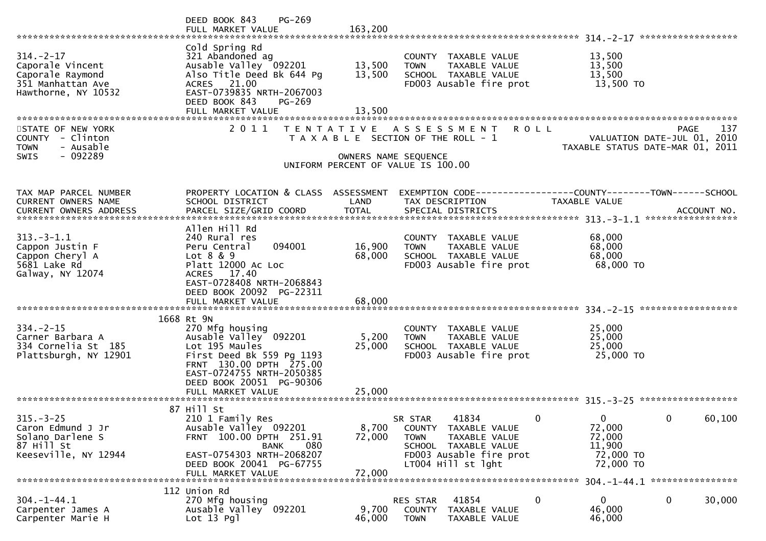|                                                                                                     | PG-269<br>DEED BOOK 843<br>FULL MARKET VALUE                                                                                                                                                                   | 163,200                    |                                                                                                                                                             |                                                                           |                                            |
|-----------------------------------------------------------------------------------------------------|----------------------------------------------------------------------------------------------------------------------------------------------------------------------------------------------------------------|----------------------------|-------------------------------------------------------------------------------------------------------------------------------------------------------------|---------------------------------------------------------------------------|--------------------------------------------|
| $314. - 2 - 17$<br>Caporale Vincent<br>Caporale Raymond<br>351 Manhattan Ave<br>Hawthorne, NY 10532 | Cold Spring Rd<br>321 Abandoned ag<br>Ausable Valley 092201<br>Also Title Deed Bk 644 Pg<br>ACRES 21.00<br>EAST-0739835 NRTH-2067003<br>DEED BOOK 843<br>PG-269<br>FULL MARKET VALUE                           | 13,500<br>13,500<br>13,500 | COUNTY TAXABLE VALUE<br>TAXABLE VALUE<br><b>TOWN</b><br>SCHOOL TAXABLE VALUE<br>FD003 Ausable fire prot                                                     | 13,500<br>13,500<br>13,500<br>13,500 TO                                   |                                            |
| STATE OF NEW YORK<br>COUNTY - Clinton<br>- Ausable<br><b>TOWN</b><br>$-092289$<br><b>SWIS</b>       | 2011                                                                                                                                                                                                           | OWNERS NAME SEQUENCE       | TENTATIVE ASSESSMENT<br>T A X A B L E SECTION OF THE ROLL - 1<br>UNIFORM PERCENT OF VALUE IS 100.00                                                         | <b>ROLL</b><br>TAXABLE STATUS DATE-MAR 01, 2011                           | 137<br>PAGE<br>VALUATION DATE-JUL 01, 2010 |
| TAX MAP PARCEL NUMBER<br><b>CURRENT OWNERS NAME</b>                                                 | PROPERTY LOCATION & CLASS ASSESSMENT<br>SCHOOL DISTRICT                                                                                                                                                        | LAND                       | TAX DESCRIPTION                                                                                                                                             | TAXABLE VALUE                                                             |                                            |
| $313.-3-1.1$<br>Cappon Justin F<br>Cappon Cheryl A<br>5681 Lake Rd<br>Galway, NY 12074              | Allen Hill Rd<br>240 Rural res<br>094001<br>Peru Central<br>Lot 8 & 9<br>Platt 12000 Ac Loc<br><b>ACRES</b><br>17.40<br>EAST-0728408 NRTH-2068843<br>DEED BOOK 20092 PG-22311<br>FULL MARKET VALUE             | 16,900<br>68,000<br>68,000 | COUNTY TAXABLE VALUE<br>TAXABLE VALUE<br><b>TOWN</b><br>SCHOOL TAXABLE VALUE<br>FD003 Ausable fire prot                                                     | 68,000<br>68,000<br>68,000<br>68,000 TO                                   |                                            |
| $334 - 2 - 15$<br>Carner Barbara A<br>334 Cornelia St 185<br>Plattsburgh, NY 12901                  | 1668 Rt 9N<br>270 Mfg housing<br>Ausable Valley 092201<br>Lot 195 Maules<br>First Deed Bk 559 Pg 1193<br>FRNT 130.00 DPTH 275.00<br>EAST-0724755 NRTH-2050385<br>DEED BOOK 20051 PG-90306<br>FULL MARKET VALUE | 5,200<br>25,000<br>25,000  | COUNTY TAXABLE VALUE<br><b>TAXABLE VALUE</b><br><b>TOWN</b><br>SCHOOL TAXABLE VALUE<br>FD003 Ausable fire prot                                              | 25,000<br>25,000<br>25,000<br>25,000 TO                                   |                                            |
| $315. - 3 - 25$<br>Caron Edmund J Jr<br>Solano Darlene S<br>87 Hill St<br>Keeseville, NY 12944      | 87 Hill St<br>210 1 Family Res<br>Ausable Valley 092201<br>FRNT 100.00 DPTH 251.91<br><b>BANK</b><br>080<br>EAST-0754303 NRTH-2068207<br>DEED BOOK 20041 PG-67755<br>FULL MARKET VALUE                         | 8,700<br>72,000<br>72,000  | 41834<br>SR STAR<br><b>COUNTY</b><br>TAXABLE VALUE<br><b>TOWN</b><br>TAXABLE VALUE<br>SCHOOL TAXABLE VALUE<br>FD003 Ausable fire prot<br>LT004 Hill st lght | 0<br>$\mathbf{0}$<br>72,000<br>72,000<br>11,900<br>72,000 TO<br>72,000 TO | 0<br>60,100                                |
| $304. - 1 - 44.1$<br>Carpenter James A<br>Carpenter Marie H                                         | 112 Union Rd<br>270 Mfg housing<br>Ausable Valley 092201<br>$Lot 13$ Pgl                                                                                                                                       | 9,700<br>46,000            | 41854<br>RES STAR<br>COUNTY<br>TAXABLE VALUE<br><b>TOWN</b><br>TAXABLE VALUE                                                                                | 0<br>0<br>46,000<br>46,000                                                | 0<br>30,000                                |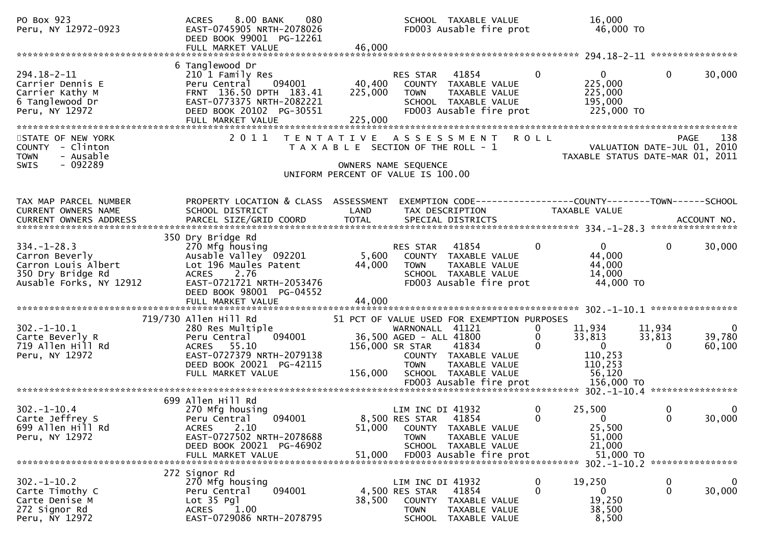| PO Box 923<br>Peru, NY 12972-0923                                                                          | 8.00 BANK<br>080<br><b>ACRES</b><br>EAST-0745905 NRTH-2078026<br>DEED BOOK 99001 PG-12261<br>FULL MARKET VALUE                                                                     | 46,000                       | SCHOOL TAXABLE VALUE                                                                                                                                                                         | FD003 Ausable fire prot                  | 16,000<br>46,000 TO                                                                                                 |                                |                                              |
|------------------------------------------------------------------------------------------------------------|------------------------------------------------------------------------------------------------------------------------------------------------------------------------------------|------------------------------|----------------------------------------------------------------------------------------------------------------------------------------------------------------------------------------------|------------------------------------------|---------------------------------------------------------------------------------------------------------------------|--------------------------------|----------------------------------------------|
| 294.18-2-11<br>Carrier Dennis E<br>Carrier Kathy M<br>6 Tanglewood Dr<br>Peru, NY 12972                    | 6 Tanglewood Dr<br>210 1 Family Res<br>094001<br>Peru Central<br>FRNT 136.50 DPTH 183.41<br>EAST-0773375 NRTH-2082221<br>DEED BOOK 20102 PG-30551<br>FULL MARKET VALUE             | 40,400<br>225,000<br>225,000 | 41854<br>RES STAR<br>COUNTY TAXABLE VALUE<br><b>TOWN</b><br>SCHOOL TAXABLE VALUE                                                                                                             | TAXABLE VALUE<br>FD003 Ausable fire prot | $\Omega$<br>$\mathbf{0}$<br>225,000<br>225,000<br>195,000<br>225,000 TO                                             | $\mathbf{0}$                   | 30,000                                       |
| STATE OF NEW YORK<br>COUNTY - Clinton<br><b>TOWN</b><br>- Ausable<br>$-092289$<br><b>SWIS</b>              | 2 0 1 1                                                                                                                                                                            |                              | TENTATIVE ASSESSMENT<br>T A X A B L E SECTION OF THE ROLL - 1<br>OWNERS NAME SEQUENCE<br>UNIFORM PERCENT OF VALUE IS 100.00                                                                  | <b>ROLL</b>                              | VALUATION DATE-JUL 01, 2010<br>TAXABLE STATUS DATE-MAR 01, 2011                                                     | PAGE                           | 138                                          |
| TAX MAP PARCEL NUMBER<br>CURRENT OWNERS NAME                                                               | PROPERTY LOCATION & CLASS ASSESSMENT<br>SCHOOL DISTRICT                                                                                                                            | LAND                         | TAX DESCRIPTION                                                                                                                                                                              |                                          | EXEMPTION CODE------------------COUNTY--------TOWN------SCHOOL<br>TAXABLE VALUE                                     |                                | ACCOUNT NO.<br>****************              |
| $334. - 1 - 28.3$<br>Carron Beverly<br>Carron Louis Albert<br>350 Dry Bridge Rd<br>Ausable Forks, NY 12912 | 350 Dry Bridge Rd<br>270 Mfg housing<br>Ausable Valley 092201<br>Lot 196 Maules Patent<br>ACRES 2.76<br>EAST-0721721 NRTH-2053476<br>DEED BOOK 98001 PG-04552<br>FULL MARKET VALUE | 5,600<br>44,000<br>44,000    | 41854<br><b>RES STAR</b><br>COUNTY TAXABLE VALUE<br><b>TOWN</b><br>SCHOOL TAXABLE VALUE                                                                                                      | TAXABLE VALUE<br>FD003 Ausable fire prot | $\mathbf{0}$<br>$\overline{0}$<br>44,000<br>44,000<br>14,000<br>44,000 TO                                           | $\mathbf{0}$                   | 30,000                                       |
|                                                                                                            |                                                                                                                                                                                    |                              |                                                                                                                                                                                              |                                          |                                                                                                                     |                                |                                              |
| $302. - 1 - 10.1$<br>Carte Beverly R<br>719 Allen Hill Rd<br>Peru, NY 12972                                | 719/730 Allen Hill Rd<br>280 Res Multiple<br>094001<br>Peru Central<br>ACRES 55.10<br>EAST-0727379 NRTH-2079138<br>DEED BOOK 20021 PG-42115<br>FULL MARKET VALUE                   | 156,000 SR STAR<br>156,000   | 51 PCT OF VALUE USED FOR EXEMPTION PURPOSES<br>WARNONALL 41121<br>36,500 AGED - ALL 41800<br>41834<br>COUNTY TAXABLE VALUE<br><b>TOWN</b><br>SCHOOL TAXABLE VALUE<br>FD003 Ausable fire prot | TAXABLE VALUE                            | 11,934<br>0<br>$\mathbf{0}$<br>33,813<br>$\mathbf{0}$<br>$\mathbf{0}$<br>110,253<br>110,253<br>56,120<br>156,000 TO | 11,934<br>33,813<br>$\Omega$   | $\overline{\phantom{0}}$<br>39,780<br>60,100 |
|                                                                                                            |                                                                                                                                                                                    |                              |                                                                                                                                                                                              |                                          |                                                                                                                     |                                |                                              |
| $302 - 1 - 10.4$<br>Carte Jeffrey S<br>699 Allen Hill Rd<br>Peru, NY 12972                                 | 699 Allen Hill Rd<br>270 Mfg housing<br>094001<br>Peru Central<br>2.10<br><b>ACRES</b><br>EAST-0727502 NRTH-2078688<br>DEED BOOK 20021 PG-46902<br>FULL MARKET VALUE               | 51,000<br>51,000             | LIM INC DI 41932<br>8,500 RES STAR 41854<br>COUNTY TAXABLE VALUE<br><b>TOWN</b><br>SCHOOL TAXABLE VALUE<br>FD003 Ausable fire prot                                                           | TAXABLE VALUE                            | 25,500<br>0<br>0<br>$\Omega$<br>25,500<br>51,000<br>21,000<br>51,000 TO                                             | 0<br>0                         | 0<br>30,000                                  |
|                                                                                                            | 272 Signor Rd                                                                                                                                                                      |                              |                                                                                                                                                                                              |                                          |                                                                                                                     | 302. -1-10.2 ***************** |                                              |
| $302 - 1 - 10.2$<br>Carte Timothy C<br>Carte Denise M<br>272 Signor Rd<br>Peru, NY 12972                   | 270 Mfg housing<br>Peru Central<br>094001<br>Lot 35 Pgl<br>1.00<br>ACRES<br>EAST-0729086 NRTH-2078795                                                                              | 38,500                       | LIM INC DI 41932<br>4,500 RES STAR<br>41854<br><b>COUNTY</b><br><b>TOWN</b><br>SCHOOL TAXABLE VALUE                                                                                          | TAXABLE VALUE<br>TAXABLE VALUE           | $\bf{0}$<br>19,250<br>0<br>0<br>19,250<br>38,500<br>8,500                                                           | $\bf{0}$<br>$\mathbf 0$        | $\mathbf 0$<br>30,000                        |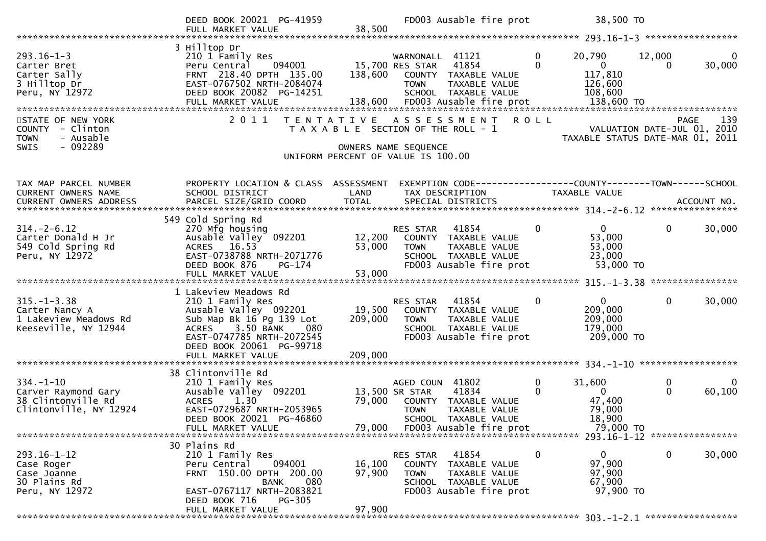|                                                                                                 | DEED BOOK 20021 PG-41959<br>FULL MARKET VALUE                                                                                                                                               | 38,500                     | FD003 Ausable fire prot                                                                                                                                         | 38,500 TO                                                                                          |                                                                                       |
|-------------------------------------------------------------------------------------------------|---------------------------------------------------------------------------------------------------------------------------------------------------------------------------------------------|----------------------------|-----------------------------------------------------------------------------------------------------------------------------------------------------------------|----------------------------------------------------------------------------------------------------|---------------------------------------------------------------------------------------|
| $293.16 - 1 - 3$<br>Carter Bret<br>Carter Sally<br>3 Hilltop Dr<br>Peru, NY 12972               | 3 Hilltop Dr<br>210 1 Family Res<br>094001<br>Peru Central<br>FRNT 218.40 DPTH 135.00<br>EAST-0767502 NRTH-2084074<br>DEED BOOK 20082 PG-14251<br>FULL MARKET VALUE                         | 138,600<br>138,600         | WARNONALL 41121<br>15,700 RES STAR<br>41854<br>COUNTY TAXABLE VALUE<br><b>TOWN</b><br>TAXABLE VALUE<br>SCHOOL TAXABLE VALUE<br>FD003 Ausable fire prot          | $\mathbf 0$<br>20,790<br>$\Omega$<br>$\overline{0}$<br>117,810<br>126,600<br>108,600<br>138,600 TO | 12,000<br>$\Omega$<br>30,000<br>$\Omega$                                              |
| STATE OF NEW YORK<br><b>COUNTY</b><br>- Clinton<br>- Ausable<br><b>TOWN</b><br>- 092289<br>SWIS | 2011                                                                                                                                                                                        | T E N T A T I V E          | A S S E S S M E N T<br>T A X A B L E SECTION OF THE ROLL - 1<br>OWNERS NAME SEQUENCE<br>UNIFORM PERCENT OF VALUE IS 100.00                                      | <b>ROLL</b>                                                                                        | 139<br><b>PAGE</b><br>VALUATION DATE-JUL 01, 2010<br>TAXABLE STATUS DATE-MAR 01, 2011 |
| TAX MAP PARCEL NUMBER<br>CURRENT OWNERS NAME                                                    | PROPERTY LOCATION & CLASS ASSESSMENT<br>SCHOOL DISTRICT                                                                                                                                     | LAND                       | EXEMPTION CODE-----------------COUNTY--------TOWN------SCHOOL<br>TAX DESCRIPTION                                                                                | TAXABLE VALUE                                                                                      |                                                                                       |
| $314. - 2 - 6.12$<br>Carter Donald H Jr<br>549 Cold Spring Rd<br>Peru, NY 12972                 | 549 Cold Spring Rd<br>270 Mfg housing<br>Ausable Valley 092201<br>ACRES 16.53<br>EAST-0738788 NRTH-2071776<br>DEED BOOK 876<br>$PG-174$<br>FULL MARKET VALUE                                | 12,200<br>53,000<br>53,000 | RES STAR<br>41854<br>COUNTY TAXABLE VALUE<br><b>TOWN</b><br>TAXABLE VALUE<br>SCHOOL TAXABLE VALUE<br>FD003 Ausable fire prot                                    | $\overline{0}$<br>0<br>53,000<br>53,000<br>23,000<br>53,000 TO                                     | $\mathbf{0}$<br>30,000                                                                |
| $315. - 1 - 3.38$<br>Carter Nancy A<br>1 Lakeview Meadows Rd<br>Keeseville, NY 12944            | 1 Lakeview Meadows Rd<br>210 1 Family Res<br>Ausable Valley 092201<br>Sub Map Bk 16 Pg 139 Lot<br>3.50 BANK<br><b>ACRES</b><br>080<br>EAST-0747785 NRTH-2072545<br>DEED BOOK 20061 PG-99718 | 19,500<br>209,000          | 41854<br>RES STAR<br>COUNTY TAXABLE VALUE<br><b>TOWN</b><br>TAXABLE VALUE<br>SCHOOL TAXABLE VALUE<br>FD003 Ausable fire prot                                    | $\mathbf{0}$<br>$\overline{0}$<br>209,000<br>209,000<br>179,000<br>209,000 TO                      | $\mathbf 0$<br>30,000                                                                 |
| $334. - 1 - 10$<br>Carver Raymond Gary<br>38 Clintonville Rd<br>Clintonville, NY 12924          | 38 Clintonville Rd<br>210 1 Family Res<br>Ausable Valley 092201<br>1.30<br><b>ACRES</b><br>EAST-0729687 NRTH-2053965<br>DEED BOOK 20021 PG-46860<br>FULL MARKET VALUE                       | 79,000<br>79,000           | AGED COUN 41802<br>13,500 SR STAR<br>41834<br>COUNTY TAXABLE VALUE<br><b>TOWN</b><br>TAXABLE VALUE<br><b>SCHOOL</b><br>TAXABLE VALUE<br>FD003 Ausable fire prot | $\mathbf 0$<br>31,600<br>$\Omega$<br>$\Omega$<br>47,400<br>79,000<br>18,900<br>79,000 TO           | 0<br>0<br>$\Omega$<br>60,100                                                          |
| 293.16-1-12<br>Case Roger<br>Case Joanne<br>30 Plains Rd<br>Peru, NY 12972                      | 30 Plains Rd<br>210 1 Family Res<br>094001<br>Peru Central<br>FRNT 150.00 DPTH 200.00<br>080<br><b>BANK</b><br>EAST-0767117 NRTH-2083821<br>PG-305<br>DEED BOOK 716<br>FULL MARKET VALUE    | 16,100<br>97,900<br>97,900 | 41854<br><b>RES STAR</b><br>COUNTY<br>TAXABLE VALUE<br>TAXABLE VALUE<br><b>TOWN</b><br>SCHOOL TAXABLE VALUE<br>FD003 Ausable fire prot                          | $\mathbf{0}$<br>0<br>97,900<br>97,900<br>67,900<br>97,900 TO                                       | 30,000<br>0                                                                           |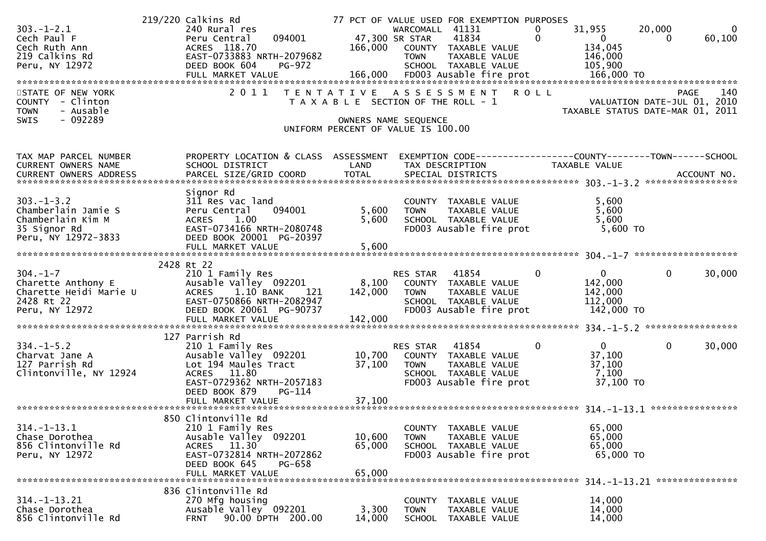| $303. -1 - 2.1$<br>Cech Paul F<br>Cech Ruth Ann<br>219 Calkins Rd<br>Peru, NY 12972                | 219/220 Calkins Rd<br>240 Rural res<br>094001<br>Peru Central<br>ACRES 118.70<br>EAST-0733883 NRTH-2079682<br>DEED BOOK 604<br><b>PG-972</b>                      |                            | 77 PCT OF VALUE USED FOR EXEMPTION PURPOSES<br>WARCOMALL 41131<br>47,300 SR STAR<br>41834<br>166,000 COUNTY TAXABLE VALUE<br>TAXABLE VALUE<br><b>TOWN</b><br>SCHOOL TAXABLE VALUE | 31,955<br>0<br>$\mathbf 0$<br>$\overline{\mathbf{0}}$<br>134,045<br>146,000<br>105,900 | 20,000<br>$\mathbf 0$<br>60,100<br>0 |
|----------------------------------------------------------------------------------------------------|-------------------------------------------------------------------------------------------------------------------------------------------------------------------|----------------------------|-----------------------------------------------------------------------------------------------------------------------------------------------------------------------------------|----------------------------------------------------------------------------------------|--------------------------------------|
| STATE OF NEW YORK<br>COUNTY - Clinton<br>- Ausable<br><b>TOWN</b><br>$-092289$<br><b>SWIS</b>      |                                                                                                                                                                   |                            | 2011 TENTATIVE ASSESSMENT ROLL<br>T A X A B L E SECTION OF THE ROLL - 1<br>OWNERS NAME SEQUENCE<br>UNIFORM PERCENT OF VALUE IS 100.00                                             | PAGE 140<br>VALUATION DATE-JUL 01, 2010<br>TAXARLE STATUS DATE WALLER                  | TAXABLE STATUS DATE-MAR 01, 2011     |
| TAX MAP PARCEL NUMBER<br>CURRENT OWNERS NAME                                                       | PROPERTY LOCATION & CLASS ASSESSMENT<br>SCHOOL DISTRICT                                                                                                           | LAND                       | EXEMPTION CODE------------------COUNTY--------TOWN------SCHOOL<br>TAX DESCRIPTION                                                                                                 | TAXABLE VALUE                                                                          |                                      |
| $303. -1 - 3.2$<br>Chamberlain Jamie S<br>Chamberlain Kim M<br>35 Signor Rd<br>Peru, NY 12972-3833 | Signor Rd<br>311 Res vac land<br>094001<br>Peru Central<br>1.00<br><b>ACRES</b><br>EAST-0734166 NRTH-2080748<br>DEED BOOK 20001 PG-20397<br>FULL MARKET VALUE     | 5,600<br>5,600<br>5,600    | COUNTY TAXABLE VALUE<br><b>TOWN</b><br>TAXABLE VALUE<br>SCHOOL TAXABLE VALUE<br>FD003 Ausable fire prot                                                                           | 5,600<br>5,600<br>5,600<br>5,600 TO                                                    |                                      |
|                                                                                                    |                                                                                                                                                                   |                            |                                                                                                                                                                                   |                                                                                        |                                      |
| ---<br>Charette Heidi Marie U<br>2428 Rt 22<br>Peru, NY 12972                                      | 2428 Rt 22<br>210 1 Family Res<br>Ausable Valley 092201<br>ACRES 1.10 BANK<br>121<br>EAST-0750866 NRTH-2082947<br>DEED BOOK 20061 PG-90737<br>FULL MARKET VALUE   | 142,000<br>142,000         | RES STAR 41854<br>8,100 COUNTY TAXABLE VALUE<br>TAXABLE VALUE<br><b>TOWN</b><br>SCHOOL TAXABLE VALUE<br>FD003 Ausable fire prot                                                   | $\Omega$<br>$\mathbf{0}$<br>142,000<br>142,000<br>112,000<br>142,000 TO                | $\mathbf{0}$<br>30,000               |
| $334. - 1 - 5.2$<br>Charvat Jane A<br>127 Parrish Rd<br>Clintonville, NY 12924                     | 127 Parrish Rd<br>210 1 Family Res<br>Ausable Valley 092201<br>Lot 194 Maules Tract<br>ACRES 11.80<br>EAST-0729362 NRTH-2057183<br>DEED BOOK 879<br><b>PG-114</b> | 37,100                     | RES STAR 41854<br>10,700 COUNTY TAXABLE VALUE<br><b>TOWN</b><br>TAXABLE VALUE<br>SCHOOL TAXABLE VALUE<br>FD003 Ausable fire prot                                                  | $\bf{0}$<br>0<br>37,100<br>37,100<br>7,100<br>37,100 TO                                | $\mathbf{0}$<br>30,000               |
| $314. - 1 - 13.1$<br>Chase Dorothea<br>856 Clintonville Rd<br>Peru, NY 12972                       | 850 Clintonville Rd<br>210 1 Family Res<br>Ausable Valley 092201<br>ACRES 11.30<br>EAST-0732814 NRTH-2072862<br>DEED BOOK 645<br>PG-658<br>FULL MARKET VALUE      | 10,600<br>65,000<br>65,000 | COUNTY<br>TAXABLE VALUE<br><b>TOWN</b><br>TAXABLE VALUE<br>SCHOOL TAXABLE VALUE<br>FD003 Ausable fire prot                                                                        | 65,000<br>65,000<br>65,000<br>65,000 TO                                                |                                      |
| $314. - 1 - 13.21$<br>Chase Dorothea<br>856 Clintonville Rd                                        | 836 Clintonville Rd<br>270 Mfg housing<br>Ausable Valley 092201<br>90.00 DPTH 200.00<br><b>FRNT</b>                                                               | 3,300<br>14,000            | COUNTY<br>TAXABLE VALUE<br><b>TOWN</b><br><b>TAXABLE VALUE</b><br>SCHOOL TAXABLE VALUE                                                                                            | 14,000<br>14,000<br>14,000                                                             |                                      |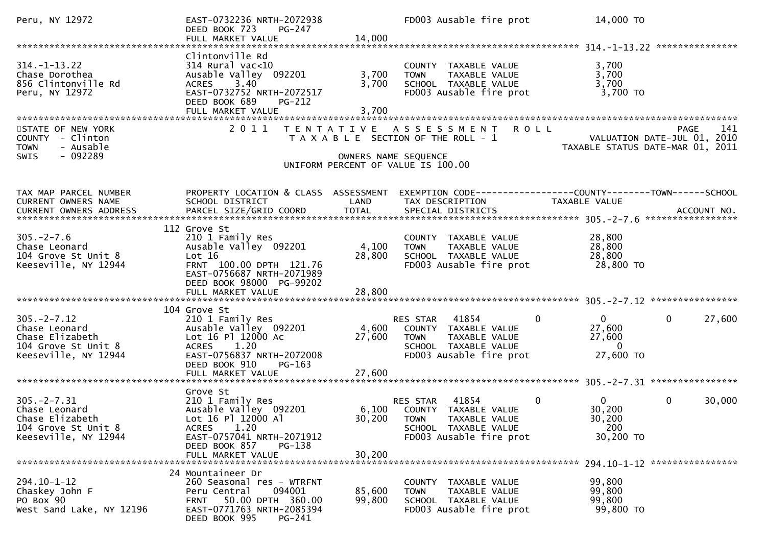| Peru, NY 12972                                                                                      | EAST-0732236 NRTH-2072938<br>PG-247<br>DEED BOOK 723                                                                                                                  | 14,000                  | FD003 Ausable fire prot                                                                                                         | 14,000 TO                                                                   |                        |
|-----------------------------------------------------------------------------------------------------|-----------------------------------------------------------------------------------------------------------------------------------------------------------------------|-------------------------|---------------------------------------------------------------------------------------------------------------------------------|-----------------------------------------------------------------------------|------------------------|
|                                                                                                     | FULL MARKET VALUE                                                                                                                                                     |                         |                                                                                                                                 |                                                                             |                        |
| $314. - 1 - 13.22$<br>Chase Dorothea<br>856 Clintonville Rd<br>Peru, NY 12972                       | Clintonville Rd<br>$314$ Rural vac<10<br>Ausable Valley 092201<br>3.40<br><b>ACRES</b><br>EAST-0732752 NRTH-2072517<br>DEED BOOK 689<br>$PG-212$<br>FULL MARKET VALUE | 3,700<br>3,700<br>3,700 | COUNTY TAXABLE VALUE<br><b>TOWN</b><br>TAXABLE VALUE<br>SCHOOL TAXABLE VALUE<br>FD003 Ausable fire prot                         | 3,700<br>3,700<br>3,700<br>3,700 TO                                         |                        |
| STATE OF NEW YORK<br>COUNTY - Clinton<br>- Ausable<br><b>TOWN</b><br>$-092289$<br><b>SWIS</b>       | 2011                                                                                                                                                                  | OWNERS NAME SEQUENCE    | TENTATIVE ASSESSMENT ROLL<br>T A X A B L E SECTION OF THE ROLL - 1<br>UNIFORM PERCENT OF VALUE IS 100.00                        | VALUATION DATE-JUL 01, 2010<br>TAXABLE STATUS DATE-MAR 01, 2011             | <b>PAGE</b><br>141     |
| TAX MAP PARCEL NUMBER<br>CURRENT OWNERS NAME                                                        | PROPERTY LOCATION & CLASS ASSESSMENT<br>SCHOOL DISTRICT                                                                                                               | LAND                    | TAX DESCRIPTION                                                                                                                 | TAXABLE VALUE                                                               |                        |
| $305. -2 - 7.6$<br>Chase Leonard<br>104 Grove St Unit 8<br>Keeseville, NY 12944                     | 112 Grove St<br>210 1 Family Res<br>Ausable Valley 092201<br>Lot 16<br>FRNT 100.00 DPTH 121.76<br>EAST-0756687 NRTH-2071989<br>DEED BOOK 98000 PG-99202               | 4,100<br>28,800         | COUNTY TAXABLE VALUE<br><b>TOWN</b><br>TAXABLE VALUE<br>SCHOOL TAXABLE VALUE<br>FD003 Ausable fire prot                         | 28,800<br>28,800<br>28,800<br>28,800 TO                                     |                        |
|                                                                                                     |                                                                                                                                                                       |                         |                                                                                                                                 |                                                                             |                        |
| $305. -2 - 7.12$<br>Chase Leonard<br>Chase Elizabeth<br>104 Grove St Unit 8<br>Keeseville, NY 12944 | 104 Grove St<br>210 1 Family Res<br>Ausable Valley 092201<br>Lot 16 Pl 12000 Ac<br>1.20<br><b>ACRES</b><br>EAST-0756837 NRTH-2072008<br>DEED BOOK 910<br>PG-163       | 27,600                  | RES STAR 41854<br>4,600 COUNTY TAXABLE VALUE<br>TAXABLE VALUE<br><b>TOWN</b><br>SCHOOL TAXABLE VALUE<br>FD003 Ausable fire prot | $\overline{0}$<br>$\mathbf{0}$<br>27,600<br>27,600<br>$\Omega$<br>27,600 TO | 27,600<br>$\mathbf{0}$ |
|                                                                                                     |                                                                                                                                                                       |                         |                                                                                                                                 |                                                                             |                        |
| $305. -2 - 7.31$<br>Chase Leonard<br>Chase Elizabeth<br>104 Grove St Unit 8<br>Keeseville, NY 12944 | Grove St<br>210 1 Family Res<br>Ausable Valley 092201<br>Lot 16 Pl 12000 Al<br>1.20<br><b>ACRES</b><br>EAST-0757041 NRTH-2071912<br>DEED BOOK 857<br>PG-138           |                         | 41854<br>RES STAR<br>6,100 COUNTY TAXABLE VALUE<br>30,200 TOWN TAXABLE VALUE<br>SCHOOL TAXABLE VALUE<br>FD003 Ausable fire prot | $\mathbf{0}$<br>$\mathbf{0}$<br>30,200<br>30,200<br>200<br>30,200 TO        | 0<br>30,000            |
|                                                                                                     | FULL MARKET VALUE                                                                                                                                                     | 30,200                  |                                                                                                                                 |                                                                             |                        |
| 294.10-1-12<br>Chaskey John F<br>PO Box 90<br>West Sand Lake, NY 12196                              | 24 Mountaineer Dr<br>260 Seasonal res - WTRFNT<br>094001<br>Peru Central<br>50.00 DPTH 360.00<br><b>FRNT</b><br>EAST-0771763 NRTH-2085394<br>DEED BOOK 995<br>PG-241  | 85,600<br>99,800        | COUNTY TAXABLE VALUE<br><b>TOWN</b><br>TAXABLE VALUE<br>SCHOOL TAXABLE VALUE<br>FD003 Ausable fire prot                         | 99,800<br>99,800<br>99,800<br>99,800 TO                                     |                        |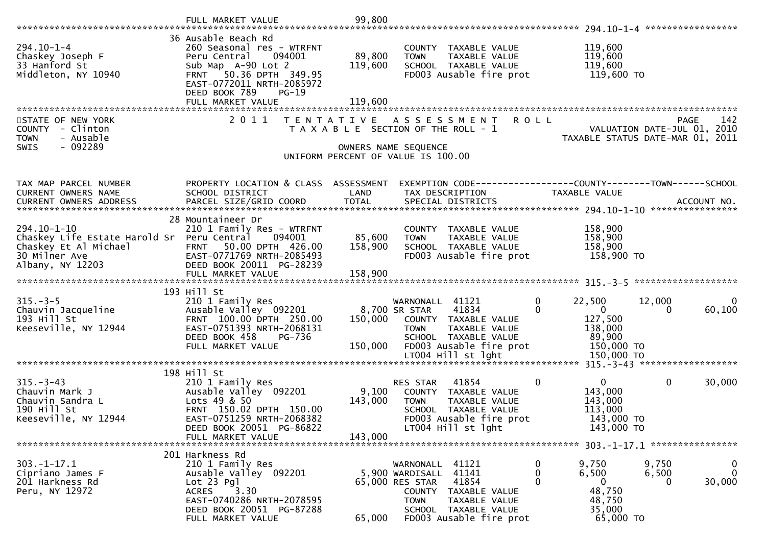|                                                                                                                                | FULL MARKET VALUE                                                                                                                                                                             | 99,800            |                                                                                                                                                                                       |                                                                                                              |                                                          |
|--------------------------------------------------------------------------------------------------------------------------------|-----------------------------------------------------------------------------------------------------------------------------------------------------------------------------------------------|-------------------|---------------------------------------------------------------------------------------------------------------------------------------------------------------------------------------|--------------------------------------------------------------------------------------------------------------|----------------------------------------------------------|
| $294.10 - 1 - 4$<br>Chaskey Joseph F<br>33 Hanford St<br>Middleton, NY 10940                                                   | 36 Ausable Beach Rd<br>260 Seasonal res - WTRFNT<br>Peru Central<br>094001<br>Sub Map A-90 Lot 2<br>50.36 DPTH 349.95<br><b>FRNT</b><br>EAST-0772011 NRTH-2085972<br>DEED BOOK 789<br>$PG-19$ | 89,800<br>119,600 | COUNTY TAXABLE VALUE<br><b>TOWN</b><br>TAXABLE VALUE<br>SCHOOL TAXABLE VALUE<br>FD003 Ausable fire prot                                                                               | 119,600<br>119,600<br>119,600<br>119,600 TO                                                                  |                                                          |
|                                                                                                                                | FULL MARKET VALUE                                                                                                                                                                             | 119,600           |                                                                                                                                                                                       |                                                                                                              |                                                          |
| STATE OF NEW YORK<br>COUNTY - Clinton<br>- Ausable<br><b>TOWN</b><br>$-092289$<br><b>SWIS</b>                                  | 2 0 1 1                                                                                                                                                                                       | T E N T A T I V E | <b>ROLL</b><br>A S S E S S M E N T<br>T A X A B L E SECTION OF THE ROLL - 1<br>OWNERS NAME SEQUENCE<br>UNIFORM PERCENT OF VALUE IS 100.00                                             | VALUATION DATE-JUL 01, 2010<br>TAXABLE STATUS DATE-MAR 01, 2011                                              | <b>PAGE</b><br>142                                       |
| TAX MAP PARCEL NUMBER<br>CURRENT OWNERS NAME                                                                                   | PROPERTY LOCATION & CLASS ASSESSMENT<br>SCHOOL DISTRICT                                                                                                                                       | LAND              | EXEMPTION CODE-----------------COUNTY-------TOWN------SCHOOL<br>TAX DESCRIPTION                                                                                                       | TAXABLE VALUE                                                                                                |                                                          |
|                                                                                                                                |                                                                                                                                                                                               |                   |                                                                                                                                                                                       |                                                                                                              |                                                          |
| 294.10-1-10<br>Chaskey Life Estate Harold Sr Peru Central 094001<br>Chaskey Et Al Michael<br>30 Milner Ave<br>Albany, NY 12203 | 28 Mountaineer Dr<br>210 1 Family Res - WTRFNT<br>50.00 DPTH 426.00<br><b>FRNT</b><br>EAST-0771769 NRTH-2085493<br>DEED BOOK 20011 PG-28239                                                   | 85,600<br>158,900 | COUNTY TAXABLE VALUE<br>TAXABLE VALUE<br><b>TOWN</b><br>SCHOOL TAXABLE VALUE<br>FD003 Ausable fire prot                                                                               | 158,900<br>158,900<br>158,900<br>158,900 TO                                                                  |                                                          |
|                                                                                                                                | 193 Hill St                                                                                                                                                                                   |                   |                                                                                                                                                                                       |                                                                                                              |                                                          |
| $315. - 3 - 5$<br>Chauvin Jacqueline<br>193 Hill St<br>Keeseville, NY 12944                                                    | 210 1 Family Res<br>Ausable Valley 092201<br>FRNT 100.00 DPTH 250.00<br>EAST-0751393 NRTH-2068131<br>DEED BOOK 458<br>PG-736<br>FULL MARKET VALUE                                             | 150,000           | WARNONALL 41121<br>8,700 SR STAR<br>41834<br>150,000 COUNTY TAXABLE VALUE<br><b>TOWN</b><br>TAXABLE VALUE<br>SCHOOL TAXABLE VALUE<br>FD003 Ausable fire prot                          | $\mathbf 0$<br>22,500<br>$\overline{0}$<br>$\Omega$<br>127,500<br>138,000<br>89,900<br>150,000 TO            | 12,000<br>$\overline{0}$<br>60,100<br>$\Omega$           |
|                                                                                                                                |                                                                                                                                                                                               |                   |                                                                                                                                                                                       |                                                                                                              |                                                          |
| $315 - 3 - 43$<br>Chauvin Mark J<br>Chauvin Sandra L<br>190 Hill St<br>Keeseville, NY 12944                                    | 198 Hill St<br>210 1 Family Res<br>Ausable Valley 092201<br>Lots 49 & 50<br>FRNT 150.02 DPTH 150.00<br>EAST-0751259 NRTH-2068382<br>DEED BOOK 20051 PG-86822                                  | 9,100<br>143,000  | RES STAR<br>41854<br>COUNTY TAXABLE VALUE<br><b>TOWN</b><br>TAXABLE VALUE<br>SCHOOL TAXABLE VALUE<br>FD003 Ausable fire prot<br>LT004 Hill st lght                                    | 0<br>$\mathbf{0}$<br>143,000<br>143,000<br>113,000<br>143,000 TO<br>143,000 TO                               | $\mathbf{0}$<br>30,000                                   |
|                                                                                                                                | FULL MARKET VALUE                                                                                                                                                                             | 143,000           |                                                                                                                                                                                       |                                                                                                              |                                                          |
|                                                                                                                                | 201 Harkness Rd                                                                                                                                                                               |                   |                                                                                                                                                                                       |                                                                                                              |                                                          |
| $303. - 1 - 17.1$<br>Cipriano James F<br>201 Harkness Rd<br>Peru, NY 12972                                                     | 210 1 Family Res<br>Ausable Valley 092201<br>$Lot 23$ Pgl<br><b>ACRES</b><br>3.30<br>EAST-0740286 NRTH-2078595<br>DEED BOOK 20051 PG-87288<br>FULL MARKET VALUE                               | 65,000            | 41121<br>WARNONALL<br>41141<br>5,900 WARDISALL<br>41854<br>65,000 RES STAR<br>COUNTY TAXABLE VALUE<br>TAXABLE VALUE<br><b>TOWN</b><br>SCHOOL TAXABLE VALUE<br>FD003 Ausable fire prot | 9,750<br>$\mathbf 0$<br>$\mathbf 0$<br>6,500<br>0<br>$\mathbf{0}$<br>48,750<br>48,750<br>35,000<br>65,000 TO | 9,750<br>$\bf{0}$<br>$\mathbf 0$<br>6,500<br>30,000<br>0 |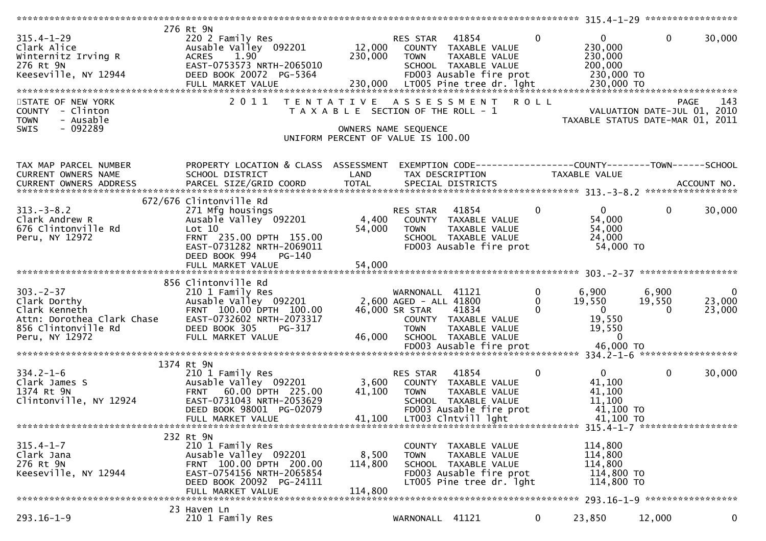|                                    | 276 Rt 9N                                 |                                       |                        |                                  |                |                                                                 |              |                             |
|------------------------------------|-------------------------------------------|---------------------------------------|------------------------|----------------------------------|----------------|-----------------------------------------------------------------|--------------|-----------------------------|
| $315.4 - 1 - 29$                   | 220 2 Family Res                          |                                       | RES STAR 41854         |                                  | $\overline{0}$ | $\mathbf{0}$                                                    | $\mathbf{0}$ | 30,000                      |
|                                    | Ausable Valley 092201                     |                                       |                        | 12,000 COUNTY TAXABLE VALUE      |                | 230,000                                                         |              |                             |
| Clark Alice<br>Winternitz Irving R | 1.90<br><b>ACRES</b>                      | 230,000                               | <b>TOWN</b>            | TAXABLE VALUE                    |                | 230,000                                                         |              |                             |
| 276 Rt 9N                          | EAST-0753573 NRTH-2065010                 |                                       |                        | SCHOOL TAXABLE VALUE             |                | 200,000                                                         |              |                             |
| Keeseville, NY 12944               | DEED BOOK 20072 PG-5364                   |                                       |                        | FD003 Ausable fire prot          |                | 230,000 TO                                                      |              |                             |
|                                    | FULL MARKET VALUE                         |                                       |                        | 230,000 LT005 Pine tree dr. 1ght |                | 230,000 TO                                                      |              |                             |
|                                    |                                           |                                       |                        |                                  |                |                                                                 |              |                             |
| STATE OF NEW YORK                  | 2011                                      |                                       |                        | TENTATIVE ASSESSMENT ROLL        |                |                                                                 |              | 143<br>PAGE                 |
|                                    |                                           |                                       |                        |                                  |                |                                                                 |              |                             |
| COUNTY - Clinton                   |                                           | T A X A B L E SECTION OF THE ROLL - 1 |                        |                                  |                | VALUATION DATE-JUL UI, ZUIU<br>TAXABLE STATUS DATE-MAR 01, 2011 |              | VALUATION DATE-JUL 01, 2010 |
| - Ausable<br><b>TOWN</b>           |                                           |                                       |                        |                                  |                |                                                                 |              |                             |
| $-092289$<br><b>SWIS</b>           |                                           |                                       | OWNERS NAME SEQUENCE   |                                  |                |                                                                 |              |                             |
|                                    |                                           | UNIFORM PERCENT OF VALUE IS 100.00    |                        |                                  |                |                                                                 |              |                             |
|                                    |                                           |                                       |                        |                                  |                |                                                                 |              |                             |
| TAX MAP PARCEL NUMBER              | PROPERTY LOCATION & CLASS ASSESSMENT      |                                       |                        |                                  |                | EXEMPTION CODE-----------------COUNTY--------TOWN------SCHOOL   |              |                             |
| CURRENT OWNERS NAME                | SCHOOL DISTRICT                           | LAND                                  | TAX DESCRIPTION        |                                  |                | TAXABLE VALUE                                                   |              |                             |
|                                    |                                           |                                       |                        |                                  |                |                                                                 |              |                             |
|                                    |                                           |                                       |                        |                                  |                |                                                                 |              |                             |
|                                    | 672/676 Clintonville Rd                   |                                       |                        |                                  |                |                                                                 |              |                             |
| $313 - 3 - 8.2$                    | 271 Mfg housings                          |                                       | RES STAR 41854         |                                  | $\mathbf{0}$   | $\overline{0}$                                                  | $\mathbf{0}$ | 30,000                      |
| Clark Andrew R                     | צוב Mrg nousings<br>Ausable Valley 092201 | 4,400                                 |                        | COUNTY TAXABLE VALUE             |                | 54,000                                                          |              |                             |
| 676 Clintonville Rd                | Lot 10                                    | 54,000                                | <b>TOWN</b>            | TAXABLE VALUE                    |                | 54,000                                                          |              |                             |
| Peru, NY 12972                     | FRNT 235.00 DPTH 155.00                   |                                       |                        | SCHOOL TAXABLE VALUE             |                | 24,000                                                          |              |                             |
|                                    | EAST-0731282 NRTH-2069011                 |                                       |                        | FD003 Ausable fire prot          |                | 54,000 TO                                                       |              |                             |
|                                    | DEED BOOK 994<br>PG-140                   |                                       |                        |                                  |                |                                                                 |              |                             |
|                                    | FULL MARKET VALUE                         | 54,000                                |                        |                                  |                |                                                                 |              |                             |
|                                    |                                           |                                       |                        |                                  |                |                                                                 |              |                             |
|                                    | 856 Clintonville Rd                       |                                       |                        |                                  |                |                                                                 |              |                             |
| $303 - 2 - 37$                     | 210 1 Family Res                          |                                       | WARNONALL 41121        |                                  | $\overline{0}$ | $6,900$ 6,900                                                   |              | $\overline{0}$              |
| Clark Dorthy                       | Ausable Valley 092201                     |                                       | 2,600 AGED - ALL 41800 |                                  | $\mathbf{0}$   | 19,550                                                          | 19,550       | 23,000                      |
| Clark Kenneth                      | FRNT 100.00 DPTH 100.00                   |                                       | 46,000 SR STAR 41834   |                                  | $\mathbf 0$    | $\overline{0}$                                                  | $\Omega$     | 23,000                      |
| Attn: Dorothea Clark Chase         | EAST-0732602 NRTH-2073317                 |                                       |                        | COUNTY TAXABLE VALUE             |                | 19,550                                                          |              |                             |
| 856 Clintonville Rd                | DEED BOOK 305<br>PG-317                   |                                       | <b>TOWN</b>            | TAXABLE VALUE                    |                | 19,550                                                          |              |                             |
| Peru, NY 12972                     | FULL MARKET VALUE                         | 46,000                                |                        | SCHOOL TAXABLE VALUE             |                | $\sim$ 0                                                        |              |                             |
|                                    |                                           |                                       |                        |                                  |                |                                                                 |              |                             |
|                                    |                                           |                                       |                        |                                  |                |                                                                 |              |                             |
|                                    | 1374 Rt 9N                                |                                       |                        |                                  |                |                                                                 |              |                             |
| $334.2 - 1 - 6$                    | 210 1 Family Res                          |                                       | RES STAR 41854         |                                  | 0              | $\mathbf{0}$                                                    | $\mathbf{0}$ | 30,000                      |
| Clark James S                      | Ausable Valley 092201                     | 3,600                                 |                        | COUNTY TAXABLE VALUE             |                | 41,100                                                          |              |                             |
| $\mathsf{S}$<br>1374 Rt 9N         | FRNT 60.00 DPTH 225.00                    | 41,100                                |                        |                                  |                | 41,100                                                          |              |                             |
|                                    | EAST-0731043 NRTH-2053629                 |                                       | <b>TOWN</b>            | TAXABLE VALUE                    |                | 11,100                                                          |              |                             |
| Clintonville, NY 12924             |                                           |                                       |                        | SCHOOL TAXABLE VALUE             |                |                                                                 |              |                             |
|                                    | DEED BOOK 98001 PG-02079                  |                                       |                        | FD003 Ausable fire prot          |                | 41,100 TO                                                       |              |                             |
|                                    | FULL MARKET VALUE                         |                                       |                        | 41,100 LT003 Clntvill lght       |                | 41,100 TO                                                       |              |                             |
|                                    |                                           |                                       |                        |                                  |                |                                                                 |              |                             |
|                                    | 232 Rt 9N                                 |                                       |                        |                                  |                |                                                                 |              |                             |
| $315.4 - 1 - 7$                    | 210 1 Family Res                          |                                       |                        | COUNTY TAXABLE VALUE             |                | 114,800                                                         |              |                             |
| Clark Jana                         | Ausable Valley 092201                     | 8,500                                 | TOWN                   | TAXABLE VALUE                    |                | 114,800                                                         |              |                             |
| 276 Rt 9N                          | FRNT 100.00 DPTH 200.00                   | 114,800                               |                        | SCHOOL TAXABLE VALUE             |                | 114,800                                                         |              |                             |
| Keeseville, NY 12944               | EAST-0754156 NRTH-2065854                 |                                       |                        | FD003 Ausable fire prot          |                | 114,800 TO                                                      |              |                             |
|                                    | DEED BOOK 20092 PG-24111                  |                                       |                        | LT005 Pine tree dr. lght         |                | 114,800 TO                                                      |              |                             |
|                                    | FULL MARKET VALUE                         | 114,800                               |                        |                                  |                |                                                                 |              |                             |
|                                    |                                           |                                       |                        |                                  |                |                                                                 |              |                             |
|                                    | 23 Haven Ln                               |                                       |                        |                                  |                |                                                                 |              |                             |
|                                    |                                           |                                       |                        |                                  |                |                                                                 |              |                             |
| $293.16 - 1 - 9$                   | 210 1 Family Res                          |                                       | WARNONALL 41121        |                                  | $\mathbf{0}$   | 23,850                                                          | 12,000       | 0                           |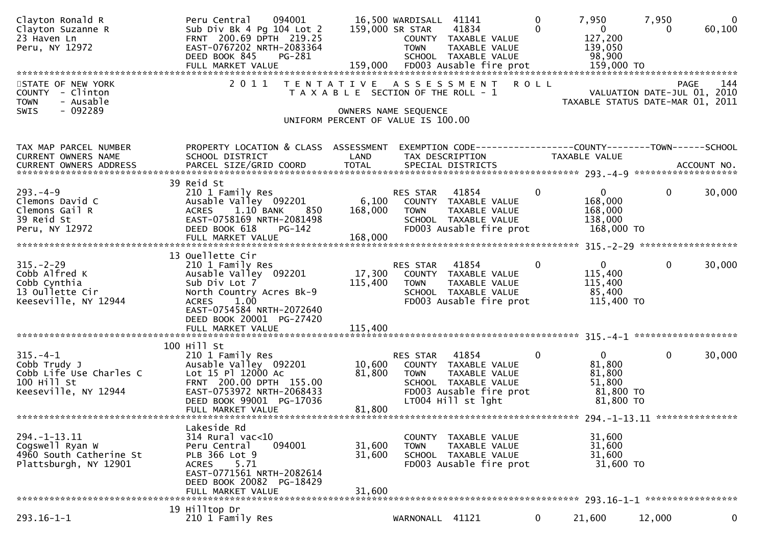| Clayton Ronald R<br>Clayton Suzanne R<br>23 Haven Ln<br>Peru, NY 12972<br>FULL MARKET VALUE 199,000 FD003 Ausable fire prot 159,000 TO الEDA The the status of the status and the status the status and the status of the status of the status of the status of the status of the status of the status | Peru Central<br>094001<br>Sub Div Bk 4 Pg 104 Lot 2<br>FRNT 200.69 DPTH 219.25<br>EAST-0767202 NRTH-2083364<br>DEED BOOK 845<br>PG-281                                                      |                                                                             | 16,500 WARDISALL 41141<br>159,000 SR STAR<br><b>TOWN</b> | 41834<br>COUNTY TAXABLE VALUE<br>TAXABLE VALUE<br>SCHOOL TAXABLE VALUE                                                  | 0<br>0       | 7,950<br>$\overline{0}$<br>127,200<br>139,050<br>98,900              | 7,950<br>0                          | $\overline{0}$<br>60,100 |
|--------------------------------------------------------------------------------------------------------------------------------------------------------------------------------------------------------------------------------------------------------------------------------------------------------|---------------------------------------------------------------------------------------------------------------------------------------------------------------------------------------------|-----------------------------------------------------------------------------|----------------------------------------------------------|-------------------------------------------------------------------------------------------------------------------------|--------------|----------------------------------------------------------------------|-------------------------------------|--------------------------|
| STATE OF NEW YORK<br>COUNTY - Clinton<br>- Ausable<br><b>TOWN</b><br>$-092289$<br>SWIS                                                                                                                                                                                                                 | 2011 TENTATIVE ASSESSMENT                                                                                                                                                                   | T A X A B L E SECTION OF THE ROLL - 1<br>UNIFORM PERCENT OF VALUE IS 100.00 | OWNERS NAME SEQUENCE                                     |                                                                                                                         | R O L L      | TAXABLE STATUS DATE-MAR 01, 2011                                     | PAGE<br>VALUATION DATE-JUL 01, 2010 | 144                      |
| TAX MAP PARCEL NUMBER<br><b>CURRENT OWNERS NAME</b><br>CURRENT OWNERS ADDRESS                                                                                                                                                                                                                          | PROPERTY LOCATION & CLASS ASSESSMENT<br>SCHOOL DISTRICT<br>39 Reid St                                                                                                                       | LAND                                                                        |                                                          | EXEMPTION CODE-----------------COUNTY--------TOWN------SCHOOL<br>TAX DESCRIPTION                                        |              | TAXABLE VALUE                                                        |                                     |                          |
| $293. -4 - 9$<br>Clemons David C<br>Clemons Gail R<br>39 Reid St<br>Peru, NY 12972                                                                                                                                                                                                                     | 210 1 Family Res<br>Ausable Valley 092201<br>1.10 BANK<br>850<br><b>ACRES</b><br>EAST-0758169 NRTH-2081498<br>DEED BOOK 618<br>$PG-142$<br>FULL MARKET VALUE                                | 6,100<br>168,000<br>168,000                                                 | RES STAR<br><b>TOWN</b>                                  | 41854<br>COUNTY TAXABLE VALUE<br>TAXABLE VALUE<br>SCHOOL TAXABLE VALUE<br>FD003 Ausable fire prot                       | 0            | $\mathbf{0}$<br>168,000<br>168,000<br>138,000<br>168,000 TO          | 0                                   | 30,000                   |
| $315. - 2 - 29$<br>Cobb Alfred K<br>Cobb Cynthia<br>13 Oullette Cir<br>Keeseville, NY 12944                                                                                                                                                                                                            | 13 Ouellette Cir<br>210 1 Family Res<br>Ausable Valley 092201<br>Sub Div Lot 7<br>North Country Acres Bk-9<br><b>ACRES</b><br>1.00<br>EAST-0754584 NRTH-2072640<br>DEED BOOK 20001 PG-27420 | 17,300<br>115,400                                                           | RES STAR<br><b>TOWN</b>                                  | 41854<br>COUNTY TAXABLE VALUE<br>TAXABLE VALUE<br>SCHOOL TAXABLE VALUE<br>FD003 Ausable fire prot                       | 0            | $\mathbf{0}$<br>115,400<br>115,400<br>85,400<br>115,400 TO           | 0                                   | 30,000                   |
| $315. -4-1$<br>Cobb Trudy J<br>Cobb Life Use Charles C<br>100 Hill St<br>Keeseville, NY 12944                                                                                                                                                                                                          | 100 Hill St<br>210 1 Family Res<br>Ausable Valley 092201<br>Lot 15 Pl 12000 Ac<br>FRNT 200.00 DPTH 155.00<br>EAST-0753972 NRTH-2068433<br>DEED BOOK 99001 PG-17036<br>FULL MARKET VALUE     | 10,600<br>81,800<br>81,800                                                  | <b>RES STAR</b><br><b>TOWN</b>                           | 41854<br>COUNTY TAXABLE VALUE<br>TAXABLE VALUE<br>SCHOOL TAXABLE VALUE<br>FD003 Ausable fire prot<br>LT004 Hill st lght | $\mathbf{0}$ | $\mathbf{0}$<br>81,800<br>81,800<br>51,800<br>81,800 TO<br>81,800 TO | $\mathbf{0}$                        | 30,000                   |
| 294. -1-13.11<br>Cogswell Ryan W<br>4960 South Catherine St<br>Plattsburgh, NY 12901                                                                                                                                                                                                                   | Lakeside Rd<br>314 Rural vac<10<br>094001<br>Peru Central<br>PLB 366 Lot 9<br>5.71<br><b>ACRES</b><br>EAST-0771561 NRTH-2082614<br>DEED BOOK 20082 PG-18429<br>FULL MARKET VALUE            | 31,600<br>31,600<br>31,600                                                  | COUNTY<br><b>TOWN</b>                                    | TAXABLE VALUE<br>TAXABLE VALUE<br>SCHOOL TAXABLE VALUE<br>FD003 Ausable fire prot                                       |              | 31,600<br>31,600<br>31,600<br>31,600 TO                              |                                     |                          |
| $293.16 - 1 - 1$                                                                                                                                                                                                                                                                                       | 19 Hilltop Dr<br>210 1 Family Res                                                                                                                                                           |                                                                             | WARNONALL 41121                                          |                                                                                                                         | $\mathbf{0}$ | 21,600                                                               | 12,000                              | 0                        |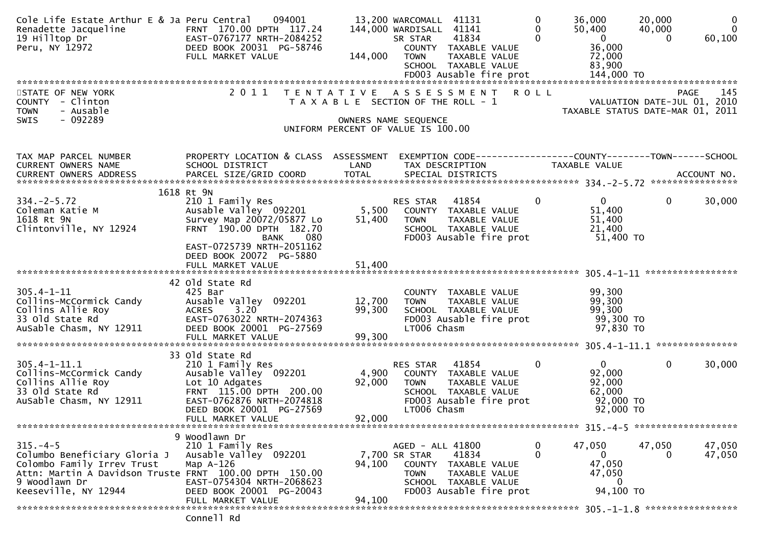| Cole Life Estate Arthur E & Ja Peru Central<br>Renadette Jacqueline<br>19 Hilltop Dr<br>Peru, NY 12972                                                                       | 094001<br>FRNT 170.00 DPTH 117.24<br>EAST-0767177 NRTH-2084252<br>DEED BOOK 20031 PG-58746<br>FULL MARKET VALUE                                 | 144,000          | 13,200 WARCOMALL 41131<br>144,000 WARDISALL 41141<br>41834<br>SR STAR<br>COUNTY TAXABLE VALUE<br>TAXABLE VALUE<br><b>TOWN</b><br>SCHOOL TAXABLE VALUE | $\Omega$<br>36,000<br>$\Omega$<br>$\Omega$ | 20,000<br>50,400<br>40,000<br>$\overline{\mathbf{0}}$<br>$\Omega$<br>36,000<br>72,000<br>83,900 | $\mathbf 0$<br>$\mathbf 0$<br>60,100 |
|------------------------------------------------------------------------------------------------------------------------------------------------------------------------------|-------------------------------------------------------------------------------------------------------------------------------------------------|------------------|-------------------------------------------------------------------------------------------------------------------------------------------------------|--------------------------------------------|-------------------------------------------------------------------------------------------------|--------------------------------------|
| STATE OF NEW YORK<br>COUNTY - Clinton<br><b>TOWN</b><br>- Ausable                                                                                                            | 2011                                                                                                                                            |                  | TENTATIVE ASSESSMENT<br>T A X A B L E SECTION OF THE ROLL - 1                                                                                         | <b>ROLL</b>                                | VALUATION DATE-JUL 01, 2010<br>TAXABLE STATUS DATE-MAR 01, 2011                                 | 145<br><b>PAGE</b>                   |
| $-092289$<br>SWIS                                                                                                                                                            |                                                                                                                                                 |                  | OWNERS NAME SEQUENCE<br>UNIFORM PERCENT OF VALUE IS 100.00                                                                                            |                                            |                                                                                                 |                                      |
| TAX MAP PARCEL NUMBER<br>CURRENT OWNERS NAME                                                                                                                                 | PROPERTY LOCATION & CLASS ASSESSMENT<br>SCHOOL DISTRICT                                                                                         | LAND             | TAX DESCRIPTION                                                                                                                                       | TAXABLE VALUE                              |                                                                                                 |                                      |
|                                                                                                                                                                              | 1618 Rt 9N                                                                                                                                      |                  |                                                                                                                                                       |                                            |                                                                                                 |                                      |
| $334. -2 - 5.72$<br>Coleman Katie M<br>1618 Rt 9N<br>Clintonville, NY 12924                                                                                                  | 210 1 Family Res<br>Ausable Valley 092201<br>Survey Map 20072/05877 Lo<br>FRNT 190.00 DPTH 182.70<br>BANK<br>080                                | 5,500<br>51,400  | RES STAR<br>41854<br>COUNTY TAXABLE VALUE<br><b>TOWN</b><br>TAXABLE VALUE<br>SCHOOL TAXABLE VALUE<br>FD003 Ausable fire prot                          | $\mathbf{0}$                               | $\mathbf{0}$<br>$\mathbf 0$<br>51,400<br>51,400<br>21,400<br>51,400 TO                          | 30,000                               |
|                                                                                                                                                                              | EAST-0725739 NRTH-2051162<br>DEED BOOK 20072 PG-5880<br>FULL MARKET VALUE                                                                       | 51,400           |                                                                                                                                                       |                                            |                                                                                                 |                                      |
| $305.4 - 1 - 11$<br>Collins-McCormick Candy<br>Collins Allie Roy<br>33 Old State Rd<br>AuSable Chasm, NY 12911                                                               | 42 Old State Rd<br>425 Bar<br>Ausable Valley 092201<br>3.20<br><b>ACRES</b><br>EAST-0763022 NRTH-2074363<br>DEED BOOK 20001 PG-27569            | 12,700<br>99,300 | COUNTY TAXABLE VALUE<br>TAXABLE VALUE<br><b>TOWN</b><br>SCHOOL TAXABLE VALUE<br>FD003 Ausable fire prot<br>LT006 Chasm                                |                                            | 99,300<br>99,300<br>99,300<br>99,300 TO<br>97,830 TO                                            |                                      |
|                                                                                                                                                                              | 33 Old State Rd                                                                                                                                 |                  |                                                                                                                                                       |                                            |                                                                                                 |                                      |
| $305.4 - 1 - 11.1$<br>Collins-McCormick Candy<br>Collins Allie Roy<br>33 Old State Rd<br>AuSable Chasm, NY 12911                                                             | 210 1 Family Res<br>Ausable Valley 092201<br>Lot 10 Adgates<br>FRNT 115.00 DPTH 200.00<br>EAST-0762876 NRTH-2074818<br>DEED BOOK 20001 PG-27569 | 4,900<br>92,000  | 41854<br>RES STAR<br>COUNTY TAXABLE VALUE<br><b>TOWN</b><br>TAXABLE VALUE<br>SCHOOL TAXABLE VALUE<br>FD003 Ausable fire prot<br>LT006 Chasm           | $\mathbf{0}$                               | 0<br>0<br>92,000<br>92,000<br>62,000<br>92,000 TO<br>92,000 TO                                  | 30,000                               |
|                                                                                                                                                                              | FULL MARKET VALUE                                                                                                                               | 92,000           |                                                                                                                                                       |                                            |                                                                                                 |                                      |
|                                                                                                                                                                              | 9 Woodlawn Dr                                                                                                                                   |                  |                                                                                                                                                       |                                            |                                                                                                 |                                      |
| $315. -4-5$<br>Columbo Beneficiary Gloria J<br>Colombo Family Irrev Trust<br>Attn: Martin A Davidson Truste FRNT 100.00 DPTH 150.00<br>9 Woodlawn Dr<br>Keeseville, NY 12944 | 210 1 Family Res<br>Ausable Valley 092201<br>Map A-126<br>EAST-0754304 NRTH-2068623                                                             | 94,100           | AGED - ALL 41800<br>7,700 SR STAR<br>41834<br>COUNTY TAXABLE VALUE<br><b>TOWN</b><br>TAXABLE VALUE<br>SCHOOL TAXABLE VALUE<br>FD003 Ausable fire prot | 47,050<br>0<br>$\Omega$                    | 47,050<br>0<br>0<br>47,050<br>47,050<br>$\bf{0}$                                                | 47,050<br>47,050                     |
|                                                                                                                                                                              | DEED BOOK 20001 PG-20043<br>FULL MARKET VALUE                                                                                                   | 94,100           |                                                                                                                                                       |                                            | 94,100 TO                                                                                       |                                      |
|                                                                                                                                                                              | Connell Rd                                                                                                                                      |                  |                                                                                                                                                       |                                            |                                                                                                 |                                      |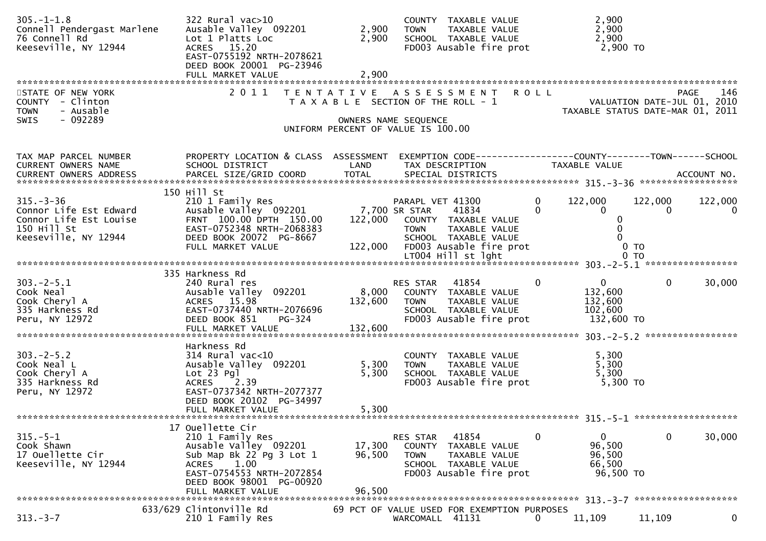| $305. - 1 - 1.8$<br>Connell Pendergast Marlene<br>76 Connell Rd<br>Keeseville, NY 12944                    | 322 Rural vac>10<br>Ausable Valley 092201<br>Lot 1 Platts Loc<br>ACRES 15.20<br>EAST-0755192 NRTH-2078621<br>DEED BOOK 20001 PG-23946<br>FULL MARKET VALUE                                      | 2,900<br>2,900<br>2,900                                                                             | <b>TOWN</b>                                      | COUNTY TAXABLE VALUE<br>TAXABLE VALUE<br>SCHOOL TAXABLE VALUE<br>FD003 Ausable fire prot                  |                      | 2,900<br>2,900<br>2,900<br>2,900 TO                           |                                     |              |
|------------------------------------------------------------------------------------------------------------|-------------------------------------------------------------------------------------------------------------------------------------------------------------------------------------------------|-----------------------------------------------------------------------------------------------------|--------------------------------------------------|-----------------------------------------------------------------------------------------------------------|----------------------|---------------------------------------------------------------|-------------------------------------|--------------|
| STATE OF NEW YORK<br>COUNTY - Clinton<br>- Ausable<br><b>TOWN</b><br>SWIS<br>$-092289$                     | 2011                                                                                                                                                                                            | TENTATIVE ASSESSMENT<br>T A X A B L E SECTION OF THE ROLL - 1<br>UNIFORM PERCENT OF VALUE IS 100.00 | OWNERS NAME SEQUENCE                             |                                                                                                           | <b>ROLL</b>          | TAXABLE STATUS DATE-MAR 01, 2011                              | PAGE<br>VALUATION DATE-JUL 01, 2010 | 146          |
| TAX MAP PARCEL NUMBER<br>CURRENT OWNERS NAME<br>CURRENT OWNERS ADDRESS                                     | PROPERTY LOCATION & CLASS ASSESSMENT<br>SCHOOL DISTRICT<br>150 Hill St                                                                                                                          | LAND                                                                                                | TAX DESCRIPTION                                  | EXEMPTION CODE-----------------COUNTY-------TOWN------SCHOOL                                              |                      | TAXABLE VALUE                                                 |                                     |              |
| $315. - 3 - 36$<br>Connor Life Est Edward<br>Connor Life Est Louise<br>150 Hill St<br>Keeseville, NY 12944 | 210 1 Family Res<br>Ausable Valley 092201<br>FRNT 100.00 DPTH 150.00<br>EAST-0752348 NRTH-2068383<br>DEED BOOK 20072 PG-8667<br>FULL MARKET VALUE                                               | 122,000                                                                                             | PARAPL VET 41300<br>7,700 SR STAR<br><b>TOWN</b> | 41834<br>122,000 COUNTY TAXABLE VALUE<br>TAXABLE VALUE<br>SCHOOL TAXABLE VALUE<br>FD003 Ausable fire prot | $\Omega$<br>$\Omega$ | 122,000<br>$\Omega$<br>0<br>0 <sub>T</sub>                    | 122,000<br>$\bf{0}$                 | 122,000<br>0 |
| $303 - 2 - 5.1$<br>Cook Neal<br>Cook Cheryl A<br>335 Harkness Rd<br>Peru, NY 12972                         | 335 Harkness Rd<br>240 Rural res<br>Ausable Valley 092201<br>ACRES 15.98<br>EAST-0737440 NRTH-2076696<br>DEED BOOK 851<br>PG-324<br>FULL MARKET VALUE                                           | 8,000<br>132,600<br>132,600                                                                         | RES STAR<br><b>TOWN</b>                          | 41854<br>COUNTY TAXABLE VALUE<br>TAXABLE VALUE<br>SCHOOL TAXABLE VALUE<br>FD003 Ausable fire prot         | $\mathbf{0}$         | $\overline{0}$<br>132,600<br>132,600<br>102,600<br>132,600 TO | $\mathbf{0}$                        | 30,000       |
| $303 - 2 - 5.2$<br>Cook Neal L<br>Cook Cheryl A<br>335 Harkness Rd<br>Peru, NY 12972                       | Harkness Rd<br>$314$ Rural vac< $10$<br>Ausable Valley 092201<br>$Lot 23$ $Pq$ ]<br><b>ACRES</b><br>2.39<br>EAST-0737342 NRTH-2077377<br>DEED BOOK 20102 PG-34997<br>FULL MARKET VALUE          | 5,300<br>5,300<br>5,300                                                                             | <b>TOWN</b>                                      | COUNTY TAXABLE VALUE<br>TAXABLE VALUE<br>SCHOOL TAXABLE VALUE<br>FD003 Ausable fire prot                  |                      | 5,300<br>5,300<br>5,300<br>$5,300$ TO                         |                                     |              |
| $315.-5-1$<br>Cook Shawn<br>17 Ouellette Cir<br>Keeseville, NY 12944                                       | 17 Ouellette Cir<br>210 1 Family Res<br>Ausable Valley 092201<br>Sub Map Bk 22 Pg 3 Lot 1<br>1.00<br><b>ACRES</b><br>EAST-0754553 NRTH-2072854<br>DEED BOOK 98001 PG-00920<br>FULL MARKET VALUE | 17,300<br>96,500<br>96,500                                                                          | RES STAR<br>COUNTY<br><b>TOWN</b>                | 41854<br>TAXABLE VALUE<br>TAXABLE VALUE<br>SCHOOL TAXABLE VALUE<br>FD003 Ausable fire prot                | $\Omega$             | 0<br>96,500<br>96,500<br>66,500<br>96,500 TO                  | 0                                   | 30,000       |
| $313 - 3 - 7$                                                                                              | 633/629 Clintonville Rd<br>210 1 Family Res                                                                                                                                                     |                                                                                                     | WARCOMALL 41131                                  | 69 PCT OF VALUE USED FOR EXEMPTION PURPOSES                                                               | 0                    | 11,109                                                        | 11,109                              | 0            |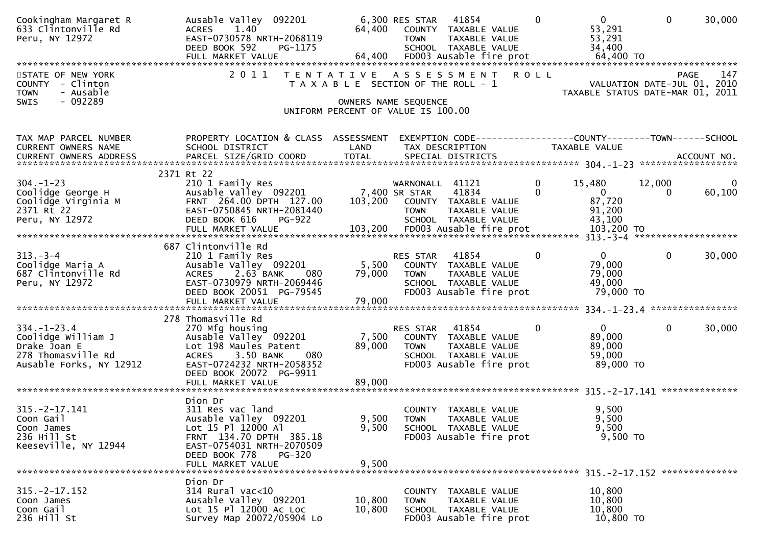| Cookingham Margaret R<br>633 Clintonville Rd<br>Peru, NY 12972    | Ausable Valley 092201<br>1.40<br><b>ACRES</b><br>EAST-0730578 NRTH-2068119<br>DEED BOOK 592<br>PG-1175 | 64,400                                                        | 6,300 RES STAR<br><b>TOWN</b> | 41854<br>COUNTY TAXABLE VALUE<br>TAXABLE VALUE<br>SCHOOL TAXABLE VALUE |             | $\Omega$    | $\mathbf{0}$<br>53,291<br>53,291<br>34,400                                     | $\Omega$                    | 30,000             |
|-------------------------------------------------------------------|--------------------------------------------------------------------------------------------------------|---------------------------------------------------------------|-------------------------------|------------------------------------------------------------------------|-------------|-------------|--------------------------------------------------------------------------------|-----------------------------|--------------------|
| STATE OF NEW YORK<br>COUNTY - Clinton<br>- Ausable<br><b>TOWN</b> | 2011                                                                                                   | TENTATIVE ASSESSMENT<br>T A X A B L E SECTION OF THE ROLL - 1 |                               |                                                                        | <b>ROLL</b> |             | TAXABLE STATUS DATE-MAR 01, 2011                                               | VALUATION DATE-JUL 01, 2010 | 147<br><b>PAGE</b> |
| $-092289$<br>SWIS                                                 |                                                                                                        | OWNERS NAME SEQUENCE<br>UNIFORM PERCENT OF VALUE IS 100.00    |                               |                                                                        |             |             |                                                                                |                             |                    |
| TAX MAP PARCEL NUMBER<br>CURRENT OWNERS NAME                      | PROPERTY LOCATION & CLASS ASSESSMENT<br>SCHOOL DISTRICT                                                | LAND                                                          |                               | TAX DESCRIPTION                                                        |             |             | EXEMPTION CODE-----------------COUNTY--------TOWN------SCHOOL<br>TAXABLE VALUE |                             |                    |
|                                                                   | 2371 Rt 22                                                                                             |                                                               |                               |                                                                        |             |             |                                                                                |                             |                    |
| $304. - 1 - 23$                                                   | 210 1 Family Res                                                                                       |                                                               | WARNONALL 41121               |                                                                        |             | 0           | 15,480                                                                         | 12,000                      | 0                  |
| Coolidge George H                                                 | Ausable Valley 092201                                                                                  | 7,400 SR STAR                                                 |                               | 41834                                                                  |             | $\Omega$    | $\overline{0}$                                                                 | 0                           | 60,100             |
| Coolidge Virginia M<br>2371 Rt 22                                 | FRNT 264.00 DPTH 127.00<br>EAST-0750845 NRTH-2081440                                                   |                                                               | 103,200 COUNTY TAXABLE VALUE  |                                                                        |             |             | 87,720<br>91,200                                                               |                             |                    |
| Peru, NY 12972                                                    | DEED BOOK 616<br>PG-922                                                                                |                                                               | <b>TOWN</b>                   | TAXABLE VALUE<br>SCHOOL TAXABLE VALUE                                  |             |             | 43,100                                                                         |                             |                    |
|                                                                   |                                                                                                        |                                                               |                               |                                                                        |             |             |                                                                                |                             |                    |
|                                                                   | 687 Clintonville Rd                                                                                    |                                                               |                               |                                                                        |             |             |                                                                                |                             |                    |
| $313. - 3 - 4$                                                    | 210 1 Family Res                                                                                       |                                                               | RES STAR                      | 41854                                                                  |             | $\mathbf 0$ | $\overline{0}$                                                                 | $\mathbf 0$                 | 30,000             |
| Coolidge Maria A                                                  | Ausable Valley 092201                                                                                  | 5,500                                                         |                               | COUNTY TAXABLE VALUE                                                   |             |             | 79,000                                                                         |                             |                    |
| 687 Clintonville Rd                                               | 2.63 BANK<br><b>ACRES</b><br>080                                                                       | 79,000                                                        | <b>TOWN</b>                   | TAXABLE VALUE                                                          |             |             | 79,000                                                                         |                             |                    |
| Peru, NY 12972                                                    | EAST-0730979 NRTH-2069446<br>DEED BOOK 20051 PG-79545                                                  |                                                               |                               | SCHOOL TAXABLE VALUE<br>FD003 Ausable fire prot                        |             |             | 49,000<br>79,000 TO                                                            |                             |                    |
|                                                                   | FULL MARKET VALUE                                                                                      | 79,000                                                        |                               |                                                                        |             |             |                                                                                |                             |                    |
|                                                                   |                                                                                                        |                                                               |                               |                                                                        |             |             |                                                                                |                             |                    |
| $334. - 1 - 23.4$                                                 | 278 Thomasville Rd<br>270 Mfg housing                                                                  |                                                               | RES STAR                      | 41854                                                                  |             | $\mathbf 0$ | $\mathbf{0}$                                                                   | $\mathbf{0}$                | 30,000             |
| Coolidge William J                                                | Ausable Valley 092201                                                                                  | 7,500                                                         |                               | COUNTY TAXABLE VALUE                                                   |             |             | 89,000                                                                         |                             |                    |
| Drake Joan E                                                      | Lot 198 Maules Patent                                                                                  | 89,000                                                        | <b>TOWN</b>                   | TAXABLE VALUE                                                          |             |             | 89,000                                                                         |                             |                    |
| 278 Thomasville Rd<br>Ausable Forks, NY 12912                     | 3.50 BANK<br><b>ACRES</b><br>080<br>EAST-0724232 NRTH-2058352                                          |                                                               |                               | SCHOOL TAXABLE VALUE<br>FD003 Ausable fire prot                        |             |             | 59,000<br>89,000 TO                                                            |                             |                    |
|                                                                   | DEED BOOK 20072 PG-9911                                                                                |                                                               |                               |                                                                        |             |             |                                                                                |                             |                    |
|                                                                   |                                                                                                        |                                                               |                               |                                                                        |             |             |                                                                                |                             |                    |
|                                                                   | Dion Dr                                                                                                |                                                               |                               |                                                                        |             |             |                                                                                |                             |                    |
| $315. -2 - 17.141$                                                | 311 Res vac land                                                                                       |                                                               |                               | COUNTY TAXABLE VALUE                                                   |             |             | 9,500                                                                          |                             |                    |
| Coon Gail                                                         | Ausable Valley 092201                                                                                  | 9,500                                                         | <b>TOWN</b>                   | TAXABLE VALUE                                                          |             |             | 9,500                                                                          |                             |                    |
| Coon James<br>236 Hill St                                         | Lot 15 Pl 12000 Al<br>FRNT 134.70 DPTH 385.18                                                          | 9,500                                                         |                               | SCHOOL TAXABLE VALUE<br>FD003 Ausable fire prot                        |             |             | 9,500<br>9,500 TO                                                              |                             |                    |
| Keeseville, NY 12944                                              | EAST-0754031 NRTH-2070509                                                                              |                                                               |                               |                                                                        |             |             |                                                                                |                             |                    |
|                                                                   | DEED BOOK 778<br>PG-320                                                                                |                                                               |                               |                                                                        |             |             |                                                                                |                             |                    |
|                                                                   | FULL MARKET VALUE                                                                                      | 9,500                                                         |                               |                                                                        |             |             |                                                                                |                             |                    |
|                                                                   | Dion Dr                                                                                                |                                                               |                               |                                                                        |             |             |                                                                                |                             |                    |
| $315. - 2 - 17.152$                                               | 314 Rural vac<10                                                                                       |                                                               |                               | COUNTY TAXABLE VALUE                                                   |             |             | 10,800                                                                         |                             |                    |
| Coon James                                                        | Ausable Valley 092201                                                                                  | 10,800                                                        | TOWN                          | TAXABLE VALUE                                                          |             |             | 10,800                                                                         |                             |                    |
| Coon Gail<br>236 Hill St                                          | Lot 15 Pl 12000 Ac Loc<br>Survey Map 20072/05904 Lo                                                    | 10,800                                                        |                               | SCHOOL TAXABLE VALUE<br>FD003 Ausable fire prot                        |             |             | 10,800<br>10,800 TO                                                            |                             |                    |
|                                                                   |                                                                                                        |                                                               |                               |                                                                        |             |             |                                                                                |                             |                    |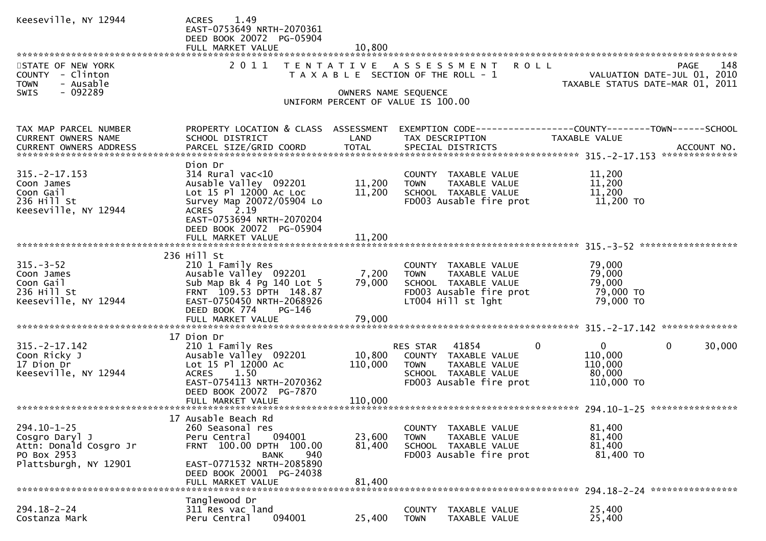| Keeseville, NY 12944                                                                                  | 1.49<br><b>ACRES</b><br>EAST-0753649 NRTH-2070361<br>DEED BOOK 20072 PG-05904<br>FULL MARKET VALUE                                                                                               | 10,800                     |                                                                                                                                           |                                                                                                                                                                                                                                                                                                                  |
|-------------------------------------------------------------------------------------------------------|--------------------------------------------------------------------------------------------------------------------------------------------------------------------------------------------------|----------------------------|-------------------------------------------------------------------------------------------------------------------------------------------|------------------------------------------------------------------------------------------------------------------------------------------------------------------------------------------------------------------------------------------------------------------------------------------------------------------|
| STATE OF NEW YORK<br>COUNTY - Clinton<br>- Ausable<br><b>TOWN</b><br>$-092289$<br><b>SWIS</b>         | 2011                                                                                                                                                                                             | OWNERS NAME SEQUENCE       | TENTATIVE ASSESSMENT<br>T A X A B L E SECTION OF THE ROLL - 1<br>UNIFORM PERCENT OF VALUE IS 100.00                                       | PAGE 148<br>VALUATION DATE-JUL 01, 2010<br>TAXABLE STATUS DATE USE 21, 2010                                                                                                                                                                                                                                      |
| TAX MAP PARCEL NUMBER<br>CURRENT OWNERS NAME                                                          | PROPERTY LOCATION & CLASS ASSESSMENT<br>SCHOOL DISTRICT                                                                                                                                          | LAND                       | TAX DESCRIPTION                                                                                                                           | EXEMPTION CODE-----------------COUNTY--------TOWN------SCHOOL<br>TAXABLE VALUE<br>.CURRENT OWNERS ADDRESS PARCEL SIZE/GRID COORD TOTAL SPECIAL DISTRICTS (ACCOUNT NO ACCOUNT NO ACCOUNT NO AND EXAMPLE TO THE SPECIAL DISTRICTS AND MALL SERVIT ASSESS TO A A SERVIT ASSESSED TO A SERVIT AS A SERVIT ASSESSED A |
| $315. -2 - 17.153$<br>Coon James<br>Coon Gail<br>236 Hill St<br>Keeseville, NY 12944                  | Dion Dr<br>$314$ Rural vac< $10$<br>Ausable Valley 092201<br>Lot 15 Pl 12000 Ac Loc<br>Survey Map 20072/05904 Lo<br>ACRES 2.19<br>EAST-0753694 NRTH-2070204<br>DEED BOOK 20072 PG-05904          | 11,200<br>11,200           | COUNTY TAXABLE VALUE<br><b>TOWN</b><br>TAXABLE VALUE<br>SCHOOL TAXABLE VALUE<br>FD003 Ausable fire prot                                   | 11,200<br>11,200<br>11,200<br>11,200 TO                                                                                                                                                                                                                                                                          |
|                                                                                                       | 236 Hill St                                                                                                                                                                                      |                            |                                                                                                                                           |                                                                                                                                                                                                                                                                                                                  |
| $315. - 3 - 52$<br>Coon James<br>Coon Gail<br>236 Hill St<br>Keeseville, NY 12944                     | 210 1 Family Res<br>Ausable Valley 092201<br>Sub Map Bk 4 Pg 140 Lot 5<br>FRNT 109.53 DPTH 148.87<br>EAST-0750450 NRTH-2068926<br>DEED BOOK 774<br>PG-146<br>FULL MARKET VALUE                   | 7,200<br>79,000<br>79,000  | COUNTY TAXABLE VALUE<br><b>TOWN</b><br>TAXABLE VALUE<br>SCHOOL TAXABLE VALUE<br>FD003 Ausable fire prot<br>LT004 Hill st lght             | 79,000<br>79,000<br>79,000<br>79,000 TO<br>79,000 TO                                                                                                                                                                                                                                                             |
|                                                                                                       | 17 Dion Dr                                                                                                                                                                                       |                            |                                                                                                                                           |                                                                                                                                                                                                                                                                                                                  |
| $315. -2 - 17.142$<br>Coon Ricky J<br>17 Dion Dr<br>Keeseville, NY 12944                              | 210 1 Family Res<br>Ausable Valley 092201<br>Lot 15 Pl 12000 Ac<br>1.50<br><b>ACRES</b><br>EAST-0754113 NRTH-2070362<br>DEED BOOK 20072 PG-7870                                                  | 10,800<br>110,000          | $\mathbf{0}$<br>RES STAR 41854<br>COUNTY TAXABLE VALUE<br><b>TOWN</b><br>TAXABLE VALUE<br>SCHOOL TAXABLE VALUE<br>FD003 Ausable fire prot | $\mathbf{0}$<br>$\mathbf{0}$<br>30,000<br>110,000<br>110,000<br>80,000<br>110,000 TO                                                                                                                                                                                                                             |
|                                                                                                       |                                                                                                                                                                                                  |                            |                                                                                                                                           |                                                                                                                                                                                                                                                                                                                  |
| $294.10 - 1 - 25$<br>Cosgro Daryl J<br>Attn: Donald Cosgro Jr<br>PO Box 2953<br>Plattsburgh, NY 12901 | 17 Ausable Beach Rd<br>260 Seasonal res<br>094001<br>Peru Central<br>FRNT 100.00 DPTH 100.00<br>940<br><b>BANK</b><br>EAST-0771532 NRTH-2085890<br>DEED BOOK 20001 PG-24038<br>FULL MARKET VALUE | 23,600<br>81,400<br>81,400 | COUNTY<br>TAXABLE VALUE<br>TAXABLE VALUE<br><b>TOWN</b><br>SCHOOL TAXABLE VALUE<br>FD003 Ausable fire prot                                | 81,400<br>81,400<br>81,400<br>81,400 TO                                                                                                                                                                                                                                                                          |
|                                                                                                       |                                                                                                                                                                                                  |                            |                                                                                                                                           |                                                                                                                                                                                                                                                                                                                  |
| $294.18 - 2 - 24$<br>Costanza Mark                                                                    | Tanglewood Dr<br>311 Res vac land<br>094001<br>Peru Central                                                                                                                                      | 25,400                     | TAXABLE VALUE<br>COUNTY<br>TAXABLE VALUE<br><b>TOWN</b>                                                                                   | 25,400<br>25,400                                                                                                                                                                                                                                                                                                 |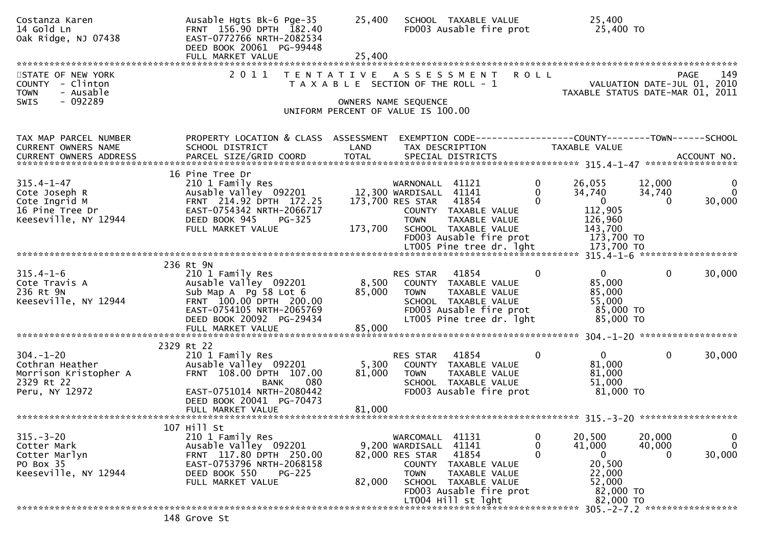| Costanza Karen<br>14 Gold Ln<br>Oak Ridge, NJ 07438                                           | Ausable Hgts Bk-6 Pge-35<br>FRNT 156.90 DPTH 182.40<br>EAST-0772766 NRTH-2082534<br>DEED BOOK 20061 PG-99448<br>FULL MARKET VALUE                                           | 25,400<br>25,400          | SCHOOL TAXABLE VALUE<br>FD003 Ausable fire prot                                                                                                                                                               |                                         | 25,400<br>25,400 TO                                                                           |                              |                                    |
|-----------------------------------------------------------------------------------------------|-----------------------------------------------------------------------------------------------------------------------------------------------------------------------------|---------------------------|---------------------------------------------------------------------------------------------------------------------------------------------------------------------------------------------------------------|-----------------------------------------|-----------------------------------------------------------------------------------------------|------------------------------|------------------------------------|
| STATE OF NEW YORK<br>COUNTY - Clinton<br><b>TOWN</b><br>- Ausable<br>$-092289$<br><b>SWIS</b> | 2011                                                                                                                                                                        |                           | TENTATIVE ASSESSMENT<br>T A X A B L E SECTION OF THE ROLL - 1<br>OWNERS NAME SEQUENCE<br>UNIFORM PERCENT OF VALUE IS 100.00                                                                                   | <b>ROLL</b>                             | VALUATION DATE-JUL 01, 2010<br>TAXABLE STATUS DATE-MAR 01, 2011                               | PAGE                         | 149                                |
| TAX MAP PARCEL NUMBER<br><b>CURRENT OWNERS NAME</b><br>CURRENT OWNERS ADDRESS                 | PROPERTY LOCATION & CLASS ASSESSMENT<br>SCHOOL DISTRICT                                                                                                                     | LAND                      | TAX DESCRIPTION                                                                                                                                                                                               |                                         | TAXABLE VALUE                                                                                 |                              |                                    |
| $315.4 - 1 - 47$<br>Cote Joseph R<br>Cote Ingrid M<br>16 Pine Tree Dr<br>Keeseville, NY 12944 | 16 Pine Tree Dr<br>210 1 Family Res<br>Ausable Valley 092201<br>FRNT 214.92 DPTH 172.25<br>EAST-0754342 NRTH-2066717<br>DEED BOOK 945<br>$PG-325$<br>FULL MARKET VALUE      | 173,700                   | WARNONALL 41121<br>12,300 WARDISALL 41141<br>41854<br>173,700 RES STAR<br>COUNTY TAXABLE VALUE<br><b>TOWN</b><br>TAXABLE VALUE<br>SCHOOL TAXABLE VALUE<br>FD003 Ausable fire prot<br>LT005 Pine tree dr. lght | $\mathbf 0$<br>$\mathbf{0}$<br>$\Omega$ | 26,055<br>34,740<br>$\mathbf{0}$<br>112,905<br>126,960<br>143,700<br>173,700 TO<br>173,700 TO | 12,000<br>34,740<br>$\Omega$ | $\mathbf{0}$<br>$\Omega$<br>30,000 |
|                                                                                               | 236 Rt 9N                                                                                                                                                                   |                           |                                                                                                                                                                                                               |                                         |                                                                                               |                              |                                    |
| $315.4 - 1 - 6$<br>Cote Travis A<br>236 Rt 9N<br>Keeseville, NY 12944                         | 210 1 Family Res<br>Ausable Valley 092201<br>Sub Map A Pg 58 Lot 6<br>FRNT 100.00 DPTH 200.00<br>EAST-0754105 NRTH-2065769<br>DEED BOOK 20092 PG-29434<br>FULL MARKET VALUE | 8,500<br>85,000<br>85,000 | 41854<br>RES STAR<br>COUNTY TAXABLE VALUE<br>TAXABLE VALUE<br><b>TOWN</b><br>SCHOOL TAXABLE VALUE<br>FD003 Ausable fire prot<br>LT005 Pine tree dr. lght                                                      | $\mathbf{0}$                            | $\mathbf 0$<br>85,000<br>85,000<br>55,000<br>85,000 TO<br>85,000 TO                           | $\mathbf{0}$                 | 30,000                             |
|                                                                                               |                                                                                                                                                                             |                           |                                                                                                                                                                                                               |                                         |                                                                                               |                              |                                    |
| $304. - 1 - 20$<br>Cothran Heather<br>Morrison Kristopher A<br>2329 Rt 22<br>Peru, NY 12972   | 2329 Rt 22<br>210 1 Family Res<br>Ausable Valley 092201<br>FRNT 108.00 DPTH 107.00<br>080<br>BANK<br>EAST-0751014 NRTH-2080442<br>DEED BOOK 20041 PG-70473                  | 5,300<br>81,000           | 41854<br>RES STAR<br>COUNTY TAXABLE VALUE<br><b>TOWN</b><br>TAXABLE VALUE<br>SCHOOL TAXABLE VALUE<br>FD003 Ausable fire prot                                                                                  | 0                                       | $\mathbf{0}$<br>81,000<br>81,000<br>51,000<br>81,000 TO                                       | $\overline{0}$               | 30,000                             |
|                                                                                               | FULL MARKET VALUE                                                                                                                                                           | 81,000                    |                                                                                                                                                                                                               |                                         |                                                                                               |                              |                                    |
|                                                                                               | 107 Hill St                                                                                                                                                                 |                           |                                                                                                                                                                                                               |                                         |                                                                                               |                              |                                    |
| $315. - 3 - 20$<br>Cotter Mark<br>Cotter Marlyn<br>PO Box 35<br>Keeseville, NY 12944          | 210 1 Family Res<br>Ausable Valley 092201<br>FRNT 117.80 DPTH 250.00<br>EAST-0753796 NRTH-2068158<br>DEED BOOK 550<br>$PG-225$<br>FULL MARKET VALUE                         | 82,000                    | WARCOMALL<br>41131<br>41141<br>9,200 WARDISALL<br>41854<br>82,000 RES STAR<br>COUNTY TAXABLE VALUE<br><b>TOWN</b><br>TAXABLE VALUE<br>SCHOOL TAXABLE VALUE<br>FD003 Ausable fire prot<br>LT004 Hill st lght   |                                         | 20,500<br>41,000<br>0<br>20,500<br>22,000<br>52,000<br>82,000 TO<br>82,000 TO                 | 20,000<br>40,000<br>$\Omega$ | $\bf{0}$<br>$\mathbf 0$<br>30,000  |
|                                                                                               | 148 Grove St                                                                                                                                                                |                           |                                                                                                                                                                                                               |                                         | 305. - 2 - 7.2 ******************                                                             |                              |                                    |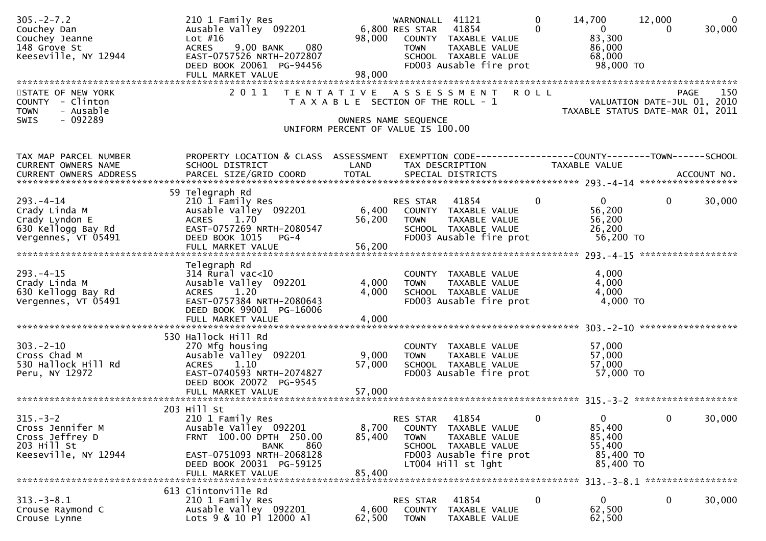| $305. -2 - 7.2$<br>Couchey Dan<br>Couchey Jeanne<br>148 Grove St<br>Keeseville, NY 12944       | 210 1 Family Res<br>Ausable Valley 092201<br>Lot #16<br><b>ACRES</b><br>9.00 BANK<br>080<br>EAST-0757526 NRTH-2072807<br>DEED BOOK 20061 PG-94456<br>FULL MARKET VALUE           | 98,000<br>98,000          | WARNONALL 41121<br>6,800 RES STAR 41854<br>COUNTY TAXABLE VALUE<br>TAXABLE VALUE<br><b>TOWN</b><br>SCHOOL TAXABLE VALUE<br>FD003 Ausable fire prot | $\mathbf 0$<br>$\Omega$ | 14,700<br>$\overline{0}$<br>83,300<br>86,000<br>68,000<br>98,000 TO | 12,000<br>$\Omega$ | $\overline{0}$<br>30,000 |
|------------------------------------------------------------------------------------------------|----------------------------------------------------------------------------------------------------------------------------------------------------------------------------------|---------------------------|----------------------------------------------------------------------------------------------------------------------------------------------------|-------------------------|---------------------------------------------------------------------|--------------------|--------------------------|
| STATE OF NEW YORK<br>COUNTY - Clinton<br>- Ausable<br><b>TOWN</b><br>$-092289$<br><b>SWIS</b>  | 2011                                                                                                                                                                             |                           | TENTATIVE ASSESSMENT<br>T A X A B L E SECTION OF THE ROLL - 1<br>OWNERS NAME SEQUENCE<br>UNIFORM PERCENT OF VALUE IS 100.00                        | <b>ROLL</b>             | VALUATION DATE-JUL 01, 2010<br>TAXABLE STATUS DATE-MAR 01, 2011     | <b>PAGE</b>        | 150                      |
| TAX MAP PARCEL NUMBER<br>CURRENT OWNERS NAME                                                   | PROPERTY LOCATION & CLASS ASSESSMENT<br>SCHOOL DISTRICT                                                                                                                          | LAND                      | EXEMPTION CODE-----------------COUNTY--------TOWN------SCHOOL<br>TAX DESCRIPTION                                                                   |                         | TAXABLE VALUE                                                       |                    |                          |
| $293. -4 - 14$<br>Crady Linda M<br>Crady Lyndon E<br>630 Kellogg Bay Rd<br>Vergennes, VT 05491 | 59 Telegraph Rd<br>210 1 Family Res<br>Ausable Valley 092201<br>1.70<br><b>ACRES</b><br>EAST-0757269 NRTH-2080547<br>DEED BOOK 1015 PG-4<br>FULL MARKET VALUE                    | 6,400<br>56,200<br>56,200 | RES STAR 41854<br>COUNTY TAXABLE VALUE<br>TAXABLE VALUE<br><b>TOWN</b><br>SCHOOL TAXABLE VALUE<br>FD003 Ausable fire prot                          | $\mathbf 0$             | $\overline{0}$<br>56,200<br>56,200<br>26,200<br>56,200 TO           | $\mathbf{0}$       | 30,000                   |
| $293. -4 - 15$<br>Crady Linda M<br>630 Kellogg Bay Rd<br>Vergennes, VT 05491                   | Telegraph Rd<br>$314$ Rural vac<10<br>Ausable Valley 092201<br>ACRES 1.20<br>EAST-0757384 NRTH-2080643<br>DEED BOOK 99001 PG-16006<br>FULL MARKET VALUE                          | 4,000<br>4,000<br>4,000   | COUNTY TAXABLE VALUE<br>TAXABLE VALUE<br><b>TOWN</b><br>SCHOOL TAXABLE VALUE<br>FD003 Ausable fire prot                                            |                         | 4,000<br>4,000<br>4,000<br>4,000 TO                                 |                    |                          |
| $303 - 2 - 10$<br>Cross Chad M<br>530 Hallock Hill Rd<br>Peru, NY 12972                        | 530 Hallock Hill Rd<br>270 Mfg housing<br>Ausable Valley 092201<br>ACRES 1.10<br>EAST-0740593 NRTH-2074827<br>DEED BOOK 20072 PG-9545                                            | 9,000<br>57,000           | COUNTY TAXABLE VALUE<br><b>TOWN</b><br>TAXABLE VALUE<br>SCHOOL TAXABLE VALUE<br>FD003 Ausable fire prot                                            |                         | 57,000<br>57,000<br>57,000<br>57,000 TO                             |                    |                          |
| $315. - 3 - 2$<br>Cross Jennifer M<br>Cross Jeffrey D<br>203 Hill St<br>Keeseville, NY 12944   | 203 Hill St<br>210 1 Family Res<br>Ausable Valley 092201<br>FRNT 100.00 DPTH 250.00<br>860<br>BANK<br>EAST-0751093 NRTH-2068128<br>DEED BOOK 20031 PG-59125<br>FULL MARKET VALUE | 8,700<br>85,400<br>85,400 | 41854<br>RES STAR<br>COUNTY TAXABLE VALUE<br><b>TOWN</b><br>TAXABLE VALUE<br>SCHOOL TAXABLE VALUE<br>FD003 Ausable fire prot<br>LT004 Hill st lght | $\mathbf{0}$            | $\Omega$<br>85,400<br>85,400<br>55,400<br>85,400 TO<br>85,400 TO    | $\mathbf{0}$       | 30,000                   |
| $313 - 3 - 8.1$<br>Crouse Raymond C<br>Crouse Lynne                                            | 613 Clintonville Rd<br>210 1 Family Res<br>Ausable Valley 092201<br>Lots 9 & 10 Pl 12000 Al                                                                                      | 4,600<br>62,500           | 41854<br>RES STAR<br>COUNTY<br>TAXABLE VALUE<br><b>TOWN</b><br>TAXABLE VALUE                                                                       | 0                       | $\mathbf{0}$<br>62,500<br>62,500                                    | $\bf{0}$           | 30,000                   |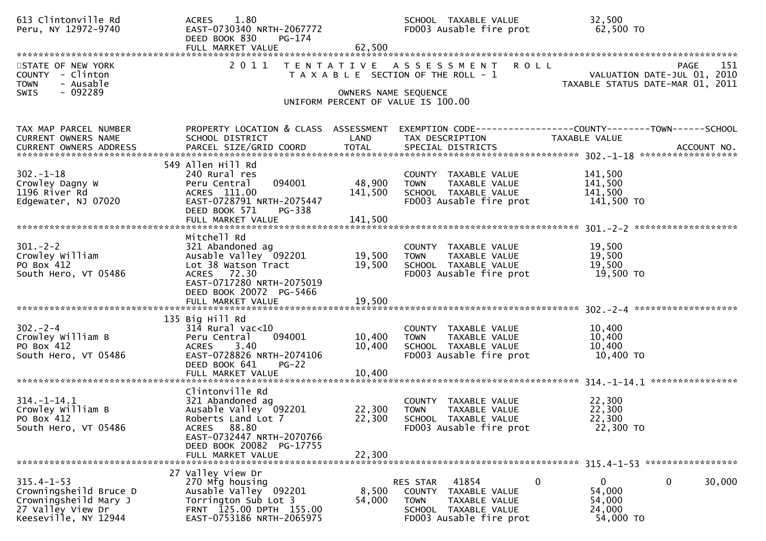| 613 Clintonville Rd<br>Peru, NY 12972-9740                                                                       | 1.80<br><b>ACRES</b><br>EAST-0730340 NRTH-2067772<br>DEED BOOK 830<br>PG-174                                                                                                             |                                 | SCHOOL TAXABLE VALUE<br>FD003 Ausable fire prot                                                                                             | 32,500<br>62,500 TO                                                               |
|------------------------------------------------------------------------------------------------------------------|------------------------------------------------------------------------------------------------------------------------------------------------------------------------------------------|---------------------------------|---------------------------------------------------------------------------------------------------------------------------------------------|-----------------------------------------------------------------------------------|
| STATE OF NEW YORK<br>COUNTY - Clinton<br>- Ausable<br><b>TOWN</b><br>- 092289<br>SWIS                            |                                                                                                                                                                                          | OWNERS NAME SEQUENCE            | 2011 TENTATIVE ASSESSMENT ROLL<br>T A X A B L E SECTION OF THE ROLL - 1<br>UNIFORM PERCENT OF VALUE IS 100.00                               | PAGE<br>151<br>VALUATION DATE-JUL 01, 2010<br>TAXABLE STATUS DATE-MAR 01, 2011    |
| TAX MAP PARCEL NUMBER<br>CURRENT OWNERS NAME                                                                     | PROPERTY LOCATION & CLASS ASSESSMENT<br>SCHOOL DISTRICT                                                                                                                                  | LAND                            | TAX DESCRIPTION                                                                                                                             | EXEMPTION CODE------------------COUNTY--------TOWN------SCHOOL<br>TAXABLE VALUE   |
| $302 - 1 - 18$<br>Crowley Dagny W<br>1196 River Rd<br>Edgewater, NJ 07020                                        | 549 Allen Hill Rd<br>240 Rural res<br>094001<br>Peru Central<br>ACRES 111.00<br>EAST-0728791 NRTH-2075447<br>DEED BOOK 571<br>PG-338<br>FULL MARKET VALUE                                | 48,900<br>141,500<br>141,500    | COUNTY TAXABLE VALUE<br>TAXABLE VALUE<br><b>TOWN</b><br>SCHOOL TAXABLE VALUE<br>FD003 Ausable fire prot                                     | 141,500<br>141,500<br>141,500<br>141,500 TO                                       |
| $301 - 2 - 2$<br>Crowley William<br>PO Box 412<br>South Hero, VT 05486                                           | Mitchell Rd<br>321 Abandoned ag<br>Ausable Valley <sup>5</sup> 092201<br>Lot 38 Watson Tract<br>ACRES 72.30<br>EAST-0717280 NRTH-2075019<br>DEED BOOK 20072 PG-5466<br>FULL MARKET VALUE | 19,500<br>19,500<br>19,500      | COUNTY TAXABLE VALUE<br>TAXABLE VALUE<br>TOWN<br>SCHOOL TAXABLE VALUE<br>FD003 Ausable fire prot                                            | 19,500<br>19,500<br>19,500<br>19,500 TO                                           |
| $302 - 2 - 4$<br>Crowley William B<br>PO Box 412<br>South Hero, VT 05486                                         | 135 Big Hill Rd<br>$314$ Rural vac< $10$<br>094001<br>Peru Central<br><b>ACRES</b><br>3.40<br>EAST-0728826 NRTH-2074106<br>DEED BOOK 641<br>$PG-22$<br>FULL MARKET VALUE                 | 10,400<br>10,400<br>10,400      | COUNTY TAXABLE VALUE<br><b>TOWN</b><br>TAXABLE VALUE<br>SCHOOL TAXABLE VALUE<br>FD003 Ausable fire prot                                     | 10,400<br>10,400<br>10,400<br>10,400 TO                                           |
| $314. - 1 - 14.1$<br>Crowley William B<br>PO Box 412<br>South Hero, VT 05486                                     | Clintonville Rd<br>321 Abandoned ag<br>Ausable Valley 092201<br>Roberts Land Lot 7<br>ACRES 88.80<br>EAST-0732447 NRTH-2070766<br>DEED BOOK 20082 PG-17755<br>FULL MARKET VALUE          | 22,300 TOWN<br>22,300<br>22,300 | COUNTY TAXABLE VALUE<br>TAXABLE VALUE<br>SCHOOL TAXABLE VALUE<br>FD003 Ausable fire prot                                                    | 22,300<br>22,300<br>22,300<br>22,300 TO                                           |
| $315.4 - 1 - 53$<br>Crowningsheild Bruce D<br>Crowningsheild Mary J<br>27 Valley View Dr<br>Keeseville, NY 12944 | 27 Valley View Dr<br>270 Mfg housing<br>Ausable Valley 092201<br>Torrington Sub Lot 3<br>FRNT 125.00 DPTH 155.00<br>EAST-0753186 NRTH-2065975                                            | 8,500<br>54,000                 | $\mathbf 0$<br>RES STAR<br>41854<br>COUNTY TAXABLE VALUE<br><b>TOWN</b><br>TAXABLE VALUE<br>SCHOOL TAXABLE VALUE<br>FD003 Ausable fire prot | $\mathbf{0}$<br>$\mathbf{0}$<br>30,000<br>54,000<br>54,000<br>24,000<br>54,000 TO |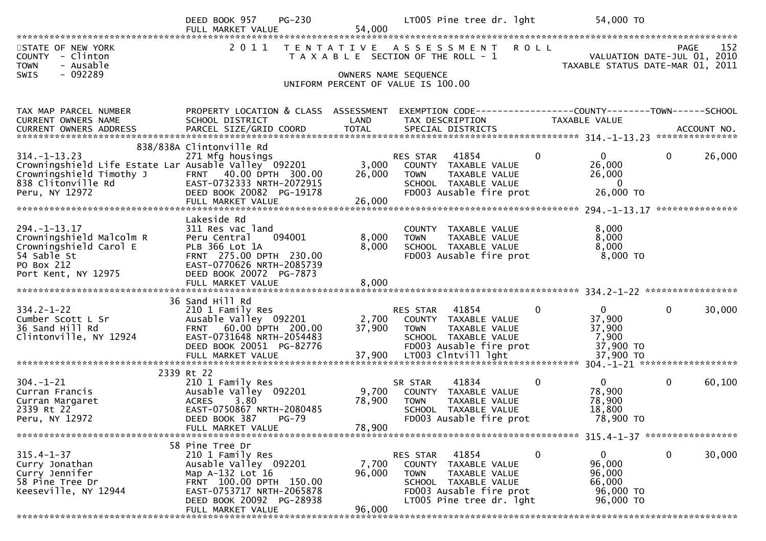|                                                                                                                                                | $PG-230$<br>DEED BOOK 957<br>FULL MARKET VALUE                                                                                                                                      | 54,000                    | LT005 Pine tree dr. 1ght                                                                                                                                 | 54,000 TO                                                                       |                                                                                       |
|------------------------------------------------------------------------------------------------------------------------------------------------|-------------------------------------------------------------------------------------------------------------------------------------------------------------------------------------|---------------------------|----------------------------------------------------------------------------------------------------------------------------------------------------------|---------------------------------------------------------------------------------|---------------------------------------------------------------------------------------|
| STATE OF NEW YORK<br>- Clinton<br>COUNTY<br>- Ausable<br><b>TOWN</b><br>$-092289$<br><b>SWIS</b>                                               | 2011                                                                                                                                                                                |                           | TENTATIVE ASSESSMENT ROLL<br>T A X A B L E SECTION OF THE ROLL - 1<br>OWNERS NAME SEQUENCE<br>UNIFORM PERCENT OF VALUE IS 100.00                         |                                                                                 | 152<br><b>PAGE</b><br>VALUATION DATE-JUL 01, 2010<br>TAXABLE STATUS DATE-MAR 01, 2011 |
| TAX MAP PARCEL NUMBER<br>CURRENT OWNERS NAME                                                                                                   | PROPERTY LOCATION & CLASS ASSESSMENT<br>SCHOOL DISTRICT                                                                                                                             | LAND                      | EXEMPTION CODE------------------COUNTY--------TOWN------SCHOOL<br>TAX DESCRIPTION                                                                        | TAXABLE VALUE                                                                   |                                                                                       |
| $314. - 1 - 13.23$<br>Crowningshield Life Estate Lar Ausable Valley 092201<br>Crowningshield Timothy J<br>838 Clitonville Rd<br>Peru, NY 12972 | 838/838A Clintonville Rd<br>271 Mfg housings<br>FRNT 40.00 DPTH 300.00<br>EAST-0732333 NRTH-2072915<br>DEED BOOK 20082 PG-19178<br>FULL MARKET VALUE                                | 3,000<br>26,000<br>26,000 | 41854<br>RES STAR<br>COUNTY TAXABLE VALUE<br>TAXABLE VALUE<br><b>TOWN</b><br>SCHOOL TAXABLE VALUE<br>FD003 Ausable fire prot                             | $\mathbf{0}$<br>$\mathbf{0}$<br>26,000<br>26,000<br>$\overline{0}$<br>26,000 TO | 26,000<br>$\overline{0}$                                                              |
| $294. -1 - 13.17$<br>Crowningshield Malcolm R<br>Crowningshield Carol E<br>54 Sable St<br>PO Box 212<br>Port Kent, NY 12975                    | Lakeside Rd<br>311 Res vac land<br>Peru Central<br>094001<br>PLB 366 Lot 1A<br>FRNT 275.00 DPTH 230.00<br>EAST-0770626 NRTH-2085739<br>DEED BOOK 20072 PG-7873<br>FULL MARKET VALUE | 8,000<br>8,000<br>8,000   | COUNTY TAXABLE VALUE<br>TAXABLE VALUE<br><b>TOWN</b><br>SCHOOL TAXABLE VALUE<br>FD003 Ausable fire prot                                                  | 8,000<br>8,000<br>8,000<br>8,000 TO                                             | ***************                                                                       |
|                                                                                                                                                | 36 Sand Hill Rd                                                                                                                                                                     |                           |                                                                                                                                                          |                                                                                 |                                                                                       |
| $334.2 - 1 - 22$<br>Cumber Scott L Sr<br>36 Sand Hill Rd<br>Clintonville, NY 12924                                                             | 210 1 Family Res<br>Ausable Valley 092201<br>FRNT 60.00 DPTH 200.00<br>EAST-0731648 NRTH-2054483<br>DEED BOOK 20051 PG-82776                                                        | 2,700<br>37,900           | RES STAR 41854<br>COUNTY TAXABLE VALUE<br><b>TOWN</b><br>TAXABLE VALUE<br>SCHOOL TAXABLE VALUE<br>FD003 Ausable fire prot                                | $\overline{0}$<br>$\mathbf{0}$<br>37,900<br>37,900<br>7,900<br>37,900 TO        | 30,000<br>$\overline{0}$                                                              |
|                                                                                                                                                |                                                                                                                                                                                     |                           |                                                                                                                                                          |                                                                                 |                                                                                       |
| $304. - 1 - 21$<br>Curran Francis<br>Curran Margaret<br>2339 Rt 22<br>Peru, NY 12972                                                           | 2339 Rt 22<br>210 1 Family Res<br>Ausable Valley 092201<br><b>ACRES</b><br>3.80<br>EAST-0750867 NRTH-2080485<br>DEED BOOK 387 PG-79                                                 | 9,700<br>78,900           | 41834<br>SR STAR<br>COUNTY TAXABLE VALUE<br>TAXABLE VALUE<br><b>TOWN</b><br>SCHOOL TAXABLE VALUE<br>FD003 Ausable fire prot                              | 0<br>$\mathbf{0}$<br>78,900<br>78,900<br>18,800<br>78,900 TO                    | $\mathbf 0$<br>60,100                                                                 |
|                                                                                                                                                | FULL MARKET VALUE                                                                                                                                                                   | 78,900                    |                                                                                                                                                          |                                                                                 |                                                                                       |
| $315.4 - 1 - 37$<br>Curry Jonathan<br>Curry Jennifer<br>58 Pine Tree Dr<br>Keeseville, NY 12944                                                | 58 Pine Tree Dr<br>210 1 Family Res<br>Ausable Valley 092201<br>Map A-132 Lot 16<br>FRNT 100.00 DPTH 150.00<br>EAST-0753717 NRTH-2065878<br>DEED BOOK 20092 PG-28938                | 7,700<br>96,000<br>96,000 | RES STAR<br>41854<br>COUNTY TAXABLE VALUE<br><b>TOWN</b><br>TAXABLE VALUE<br>SCHOOL TAXABLE VALUE<br>FD003 Ausable fire prot<br>LT005 Pine tree dr. 1ght | 0<br>$\bf{0}$<br>96,000<br>96,000<br>66,000<br>96,000 TO<br>96,000 TO           | 30,000<br>$\mathbf{0}$                                                                |
|                                                                                                                                                | FULL MARKET VALUE                                                                                                                                                                   |                           |                                                                                                                                                          |                                                                                 |                                                                                       |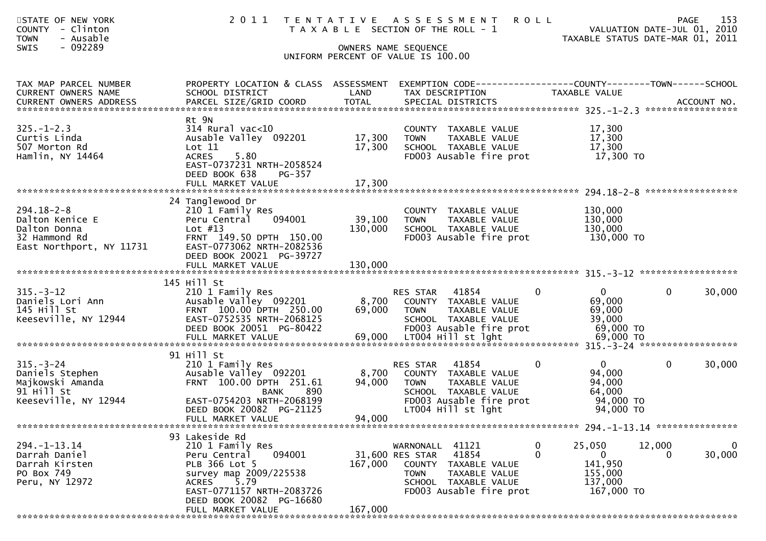| STATE OF NEW YORK<br><b>COUNTY</b><br>- Clinton<br><b>TOWN</b><br>- Ausable<br>$-092289$<br><b>SWIS</b> | 2011                                                                                                                                                                                                          |                              | TENTATIVE ASSESSMENT<br><b>ROLL</b><br>T A X A B L E SECTION OF THE ROLL - 1<br>OWNERS NAME SEQUENCE<br>UNIFORM PERCENT OF VALUE IS 100.00                                        | VALUATION DATE-JUL 01, 2010<br>TAXABLE STATUS DATE-MAR 01, 2011                        | 153<br>PAGE           |
|---------------------------------------------------------------------------------------------------------|---------------------------------------------------------------------------------------------------------------------------------------------------------------------------------------------------------------|------------------------------|-----------------------------------------------------------------------------------------------------------------------------------------------------------------------------------|----------------------------------------------------------------------------------------|-----------------------|
| TAX MAP PARCEL NUMBER<br>CURRENT OWNERS NAME                                                            | PROPERTY LOCATION & CLASS ASSESSMENT<br>SCHOOL DISTRICT                                                                                                                                                       | LAND                         | TAX DESCRIPTION                                                                                                                                                                   | TAXABLE VALUE                                                                          |                       |
| $325. - 1 - 2.3$<br>Curtis Linda<br>507 Morton Rd<br>Hamlin, NY 14464                                   | Rt 9N<br>$314$ Rural vac<10<br>Ausable Valley 092201<br>Lot 11<br><b>ACRES</b><br>5.80<br>EAST-0737231 NRTH-2058524<br>DEED BOOK 638<br>PG-357<br>FULL MARKET VALUE                                           | 17,300<br>17,300<br>17,300   | COUNTY TAXABLE VALUE<br><b>TOWN</b><br>TAXABLE VALUE<br>SCHOOL TAXABLE VALUE<br>FD003 Ausable fire prot                                                                           | 17,300<br>17,300<br>17,300<br>17,300 TO                                                |                       |
| $294.18 - 2 - 8$<br>Dalton Kenice E<br>Dalton Donna<br>32 Hammond Rd<br>East Northport, NY 11731        | 24 Tanglewood Dr<br>210 1 Family Res<br>094001<br>Peru Central<br>Lot $#13$<br>FRNT 149.50 DPTH 150.00<br>EAST-0773062 NRTH-2082536<br>DEED BOOK 20021 PG-39727<br>FULL MARKET VALUE                          | 39,100<br>130,000<br>130,000 | COUNTY TAXABLE VALUE<br><b>TOWN</b><br>TAXABLE VALUE<br>SCHOOL TAXABLE VALUE<br>FD003 Ausable fire prot                                                                           | 130,000<br>130,000<br>130,000<br>130,000 TO                                            |                       |
| $315. - 3 - 12$<br>Daniels Lori Ann<br>145 Hill St<br>Keeseville, NY 12944                              | 145 Hill St<br>210 1 Family Res<br>Ausable Valley 092201<br>FRNT 100.00 DPTH 250.00<br>EAST-0752535 NRTH-2068125<br>DEED BOOK 20051 PG-80422                                                                  | 8,700<br>69,000              | 41854<br>RES STAR<br>0<br>COUNTY TAXABLE VALUE<br><b>TOWN</b><br>TAXABLE VALUE<br>SCHOOL TAXABLE VALUE<br>FD003 Ausable fire prot                                                 | $\overline{0}$<br>$\overline{0}$<br>69,000<br>69,000<br>39,000<br>69,000 TO            | 30,000                |
| $315. - 3 - 24$<br>Daniels Stephen<br>Majkowski Amanda<br>91 Hill St<br>Keeseville, NY 12944            | 91 Hill St<br>210 1 Family Res<br>Ausable Valley 092201<br>FRNT 100.00 DPTH 251.61<br>890<br><b>BANK</b><br>EAST-0754203 NRTH-2068199<br>DEED BOOK 20082 PG-21125<br>FULL MARKET VALUE                        | 8,700<br>94,000<br>94,000    | 41854<br>$\mathbf 0$<br>RES STAR<br>COUNTY TAXABLE VALUE<br><b>TOWN</b><br>TAXABLE VALUE<br>SCHOOL TAXABLE VALUE<br>FD003 Ausable fire prot<br>LT004 Hill st lght                 | $\mathbf 0$<br>$\mathbf{0}$<br>94,000<br>94,000<br>64,000<br>94,000 TO<br>94,000 TO    | 30,000                |
| $294. -1 - 13.14$<br>Darrah Daniel<br>Darrah Kirsten<br>PO Box 749<br>Peru, NY 12972                    | 93 Lakeside Rd<br>210 1 Family Res<br>094001<br>Peru Central<br>PLB 366 Lot 5<br>survey map 2009/225538<br>5.79<br><b>ACRES</b><br>EAST-0771157 NRTH-2083726<br>DEED BOOK 20082 PG-16680<br>FULL MARKET VALUE | 167,000<br>167,000           | WARNONALL 41121<br>$\mathbf 0$<br>41854<br>$\Omega$<br>31,600 RES STAR<br>COUNTY TAXABLE VALUE<br>TAXABLE VALUE<br><b>TOWN</b><br>SCHOOL TAXABLE VALUE<br>FD003 Ausable fire prot | 25,050<br>12,000<br>$\overline{0}$<br>0<br>141,950<br>155,000<br>137,000<br>167,000 TO | $\mathbf 0$<br>30,000 |
|                                                                                                         |                                                                                                                                                                                                               |                              |                                                                                                                                                                                   |                                                                                        |                       |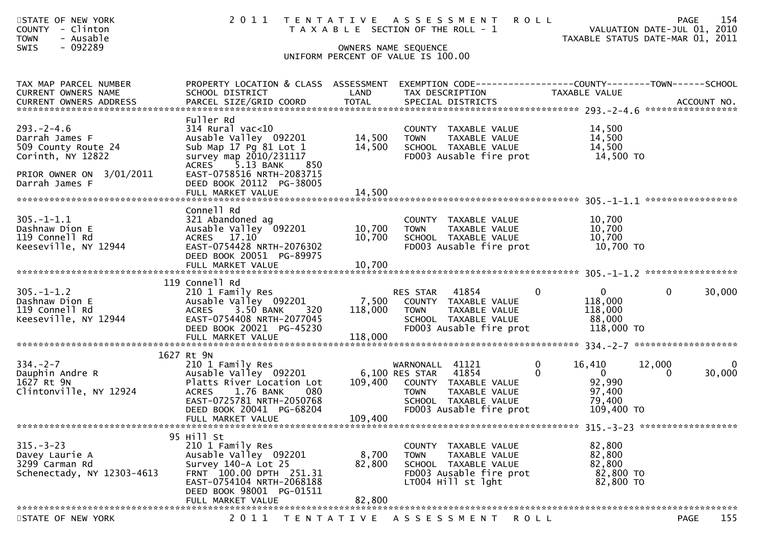| STATE OF NEW YORK<br><b>COUNTY</b><br>- Clinton<br><b>TOWN</b><br>- Ausable<br>$-092289$<br><b>SWIS</b>                     | 2011                                                                                                                                                                                                                 |                            | <b>ROLL</b><br>TENTATIVE ASSESSMENT<br>T A X A B L E SECTION OF THE ROLL - 1<br>OWNERS NAME SEQUENCE<br>UNIFORM PERCENT OF VALUE IS 100.00            | TAXABLE STATUS DATE-MAR 01, 2011                                                                 | 154<br>PAGE<br>VALUATION DATE-JUL 01, 2010 |
|-----------------------------------------------------------------------------------------------------------------------------|----------------------------------------------------------------------------------------------------------------------------------------------------------------------------------------------------------------------|----------------------------|-------------------------------------------------------------------------------------------------------------------------------------------------------|--------------------------------------------------------------------------------------------------|--------------------------------------------|
| TAX MAP PARCEL NUMBER<br>CURRENT OWNERS NAME                                                                                | PROPERTY LOCATION & CLASS ASSESSMENT<br>SCHOOL DISTRICT                                                                                                                                                              | LAND                       | EXEMPTION CODE-----------------COUNTY-------TOWN------SCHOOL<br>TAX DESCRIPTION                                                                       | TAXABLE VALUE                                                                                    |                                            |
| $293 - 2 - 4.6$<br>Darrah James F<br>509 County Route 24<br>Corinth, NY 12822<br>PRIOR OWNER ON 3/01/2011<br>Darrah James F | Fuller Rd<br>$314$ Rural vac<10<br>Ausable Valley 092201<br>Sub Map 17 Pg 81 Lot 1<br>survey map 2010/231117<br>ACRES 5.13 BANK<br>850<br>EAST-0758516 NRTH-2083715<br>DEED BOOK 20112 PG-38005<br>FULL MARKET VALUE | 14,500<br>14,500<br>14,500 | COUNTY TAXABLE VALUE<br>TAXABLE VALUE<br><b>TOWN</b><br>SCHOOL TAXABLE VALUE<br>FD003 Ausable fire prot                                               | 14,500<br>14,500<br>14,500<br>14,500 TO                                                          |                                            |
| $305. - 1 - 1.1$<br>Dashnaw Dion E<br>119 Connell Rd<br>Keeseville, NY 12944                                                | Connell Rd<br>321 Abandoned ag<br>Ausable Valley 092201<br>ACRES 17.10<br>EAST-0754428 NRTH-2076302<br>DEED BOOK 20051 PG-89975<br>FULL MARKET VALUE                                                                 | 10,700<br>10,700<br>10,700 | COUNTY TAXABLE VALUE<br>TAXABLE VALUE<br><b>TOWN</b><br>SCHOOL TAXABLE VALUE<br>FD003 Ausable fire prot                                               | 10,700<br>10,700<br>10,700<br>10,700 TO                                                          |                                            |
| $305. - 1 - 1.2$<br>Dashnaw Dion E<br>119 Connell Rd<br>Keeseville, NY 12944                                                | 119 Connell Rd<br>210 1 Family Res<br>Ausable Valley 092201<br>3.50 BANK<br><b>ACRES</b><br>320<br>EAST-0754408 NRTH-2077045<br>DEED BOOK 20021 PG-45230                                                             | 7,500<br>118,000           | 41854<br>$\mathbf{0}$<br>RES STAR<br>COUNTY TAXABLE VALUE<br><b>TOWN</b><br>TAXABLE VALUE<br>SCHOOL TAXABLE VALUE<br>FD003 Ausable fire prot          | $\overline{0}$<br>118,000<br>118,000<br>88,000<br>118,000 TO                                     | 30,000<br>$\overline{0}$                   |
| $334. - 2 - 7$<br>Dauphin Andre R<br>1627 Rt 9N<br>Clintonville, NY 12924                                                   | 1627 Rt 9N<br>210 1 Family Res<br>Ausable Valley 092201<br>Platts River Location Lot<br>1.76 BANK<br>080<br><b>ACRES</b><br>EAST-0725781 NRTH-2050768<br>DEED BOOK 20041 PG-68204<br>FULL MARKET VALUE               | 109,400<br>109,400         | WARNONALL 41121<br>6,100 RES STAR<br>41854<br>COUNTY TAXABLE VALUE<br><b>TOWN</b><br>TAXABLE VALUE<br>SCHOOL TAXABLE VALUE<br>FD003 Ausable fire prot | $\mathbf{0}$<br>16,410<br>$\overline{0}$<br>$\Omega$<br>92,990<br>97,400<br>79,400<br>109,400 TO | $\Omega$<br>12,000<br>30,000<br>0          |
| $315 - 3 - 23$<br>Davey Laurie A<br>3299 Carman Rd<br>Schenectady, NY 12303-4613                                            | 95 Hill St<br>210 1 Family Res<br>Ausable Valley 092201<br>Survey 140-A Lot 25<br>FRNT 100.00 DPTH 251.31<br>EAST-0754104 NRTH-2068188<br>DEED BOOK 98001 PG-01511<br>FULL MARKET VALUE                              | 8,700<br>82,800<br>82,800  | COUNTY TAXABLE VALUE<br><b>TOWN</b><br>TAXABLE VALUE<br>SCHOOL TAXABLE VALUE<br>FD003 Ausable fire prot<br>LT004 Hill st lght                         | 82,800<br>82,800<br>82,800<br>82,800 TO<br>82,800 TO                                             |                                            |
| STATE OF NEW YORK                                                                                                           |                                                                                                                                                                                                                      |                            | 2011 TENTATIVE ASSESSMENT<br><b>ROLL</b>                                                                                                              |                                                                                                  | 155<br>PAGE                                |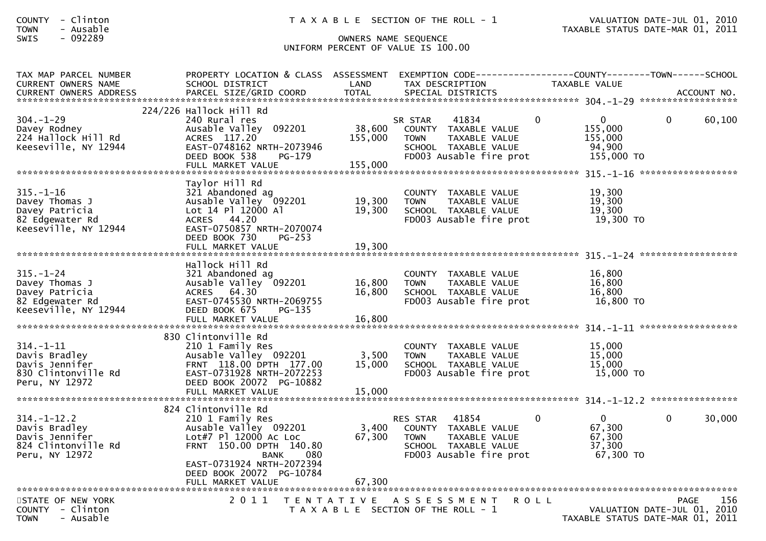| <b>COUNTY</b> | Clinton<br>$\overline{\phantom{0}}$ |  |
|---------------|-------------------------------------|--|
| <b>TOWN</b>   | Ausable<br>- 1                      |  |

COUNTY - Clinton T A X A B L E SECTION OF THE ROLL - 1 VALUATION DATE-JUL 01, 2010 TOWN - Ausable TAXABLE STATUS DATE-MAR 01, 2011

## SWIS - 092289 OWNERS NAME SEQUENCE UNIFORM PERCENT OF VALUE IS 100.00

| TAX MAP PARCEL NUMBER<br><b>CURRENT OWNERS NAME</b>                                            | PROPERTY LOCATION & CLASS ASSESSMENT<br>SCHOOL DISTRICT                                                                                                                                             | LAND                         | EXEMPTION CODE-----------------COUNTY--------TOWN------SCHOOL<br>TAX DESCRIPTION                                             |             | TAXABLE VALUE                                              |             |             |
|------------------------------------------------------------------------------------------------|-----------------------------------------------------------------------------------------------------------------------------------------------------------------------------------------------------|------------------------------|------------------------------------------------------------------------------------------------------------------------------|-------------|------------------------------------------------------------|-------------|-------------|
|                                                                                                |                                                                                                                                                                                                     |                              |                                                                                                                              |             |                                                            |             |             |
| $304. - 1 - 29$<br>Davey Rodney<br>224 Hallock Hill Rd<br>Keeseville, NY 12944                 | 224/226 Hallock Hill Rd<br>240 Rural res<br>Ausable Valley 092201<br>ACRES 117.20<br>EAST-0748162 NRTH-2073946<br>DEED BOOK 538<br>PG-179<br>FULL MARKET VALUE                                      | 38,600<br>155,000<br>155,000 | 41834<br>SR STAR<br>COUNTY TAXABLE VALUE<br>TAXABLE VALUE<br><b>TOWN</b><br>SCHOOL TAXABLE VALUE<br>FD003 Ausable fire prot  | $\Omega$    | $\mathbf{0}$<br>155,000<br>155,000<br>94,900<br>155,000 TO | $\Omega$    | 60,100      |
| $315. - 1 - 16$<br>Davey Thomas J<br>Davey Patricia<br>82 Edgewater Rd<br>Keeseville, NY 12944 | Taylor Hill Rd<br>321 Abandoned ag<br>Ausable Valley 092201<br>Lot 14 Pl 12000 Al<br>ACRES 44.20<br>EAST-0750857 NRTH-2070074<br>DEED BOOK 730<br>$PG-253$<br>FULL MARKET VALUE                     | 19,300<br>19,300<br>19,300   | COUNTY TAXABLE VALUE<br>TAXABLE VALUE<br><b>TOWN</b><br>SCHOOL TAXABLE VALUE<br>FD003 Ausable fire prot                      |             | 19,300<br>19,300<br>19,300<br>19,300 TO                    |             |             |
|                                                                                                |                                                                                                                                                                                                     |                              |                                                                                                                              |             |                                                            |             |             |
| $315. - 1 - 24$<br>Davey Thomas J<br>Davey Patricia<br>82 Edgewater Rd<br>Keeseville, NY 12944 | Hallock Hill Rd<br>321 Abandoned ag<br>Ausable Valley 092201<br>ACRES 64.30<br>EAST-0745530 NRTH-2069755<br>DEED BOOK 675<br>PG-135<br>FULL MARKET VALUE                                            | 16,800<br>16,800<br>16,800   | COUNTY TAXABLE VALUE<br><b>TOWN</b><br>TAXABLE VALUE<br>SCHOOL TAXABLE VALUE<br>FD003 Ausable fire prot                      |             | 16,800<br>16,800<br>16,800<br>16,800 TO                    |             |             |
|                                                                                                |                                                                                                                                                                                                     |                              |                                                                                                                              |             |                                                            |             |             |
| $314. - 1 - 11$<br>Davis Bradley<br>Davis Jennifer<br>830 Clintonville Rd<br>Peru, NY 12972    | 830 Clintonville Rd<br>210 1 Family Res<br>Ausable Valley 092201<br>FRNT 118.00 DPTH 177.00<br>EAST-0731928 NRTH-2072253<br>DEED BOOK 20072 PG-10882<br>FULL MARKET VALUE                           | 3,500<br>15,000<br>15,000    | COUNTY TAXABLE VALUE<br>TAXABLE VALUE<br><b>TOWN</b><br>SCHOOL TAXABLE VALUE<br>FD003 Ausable fire prot                      |             | 15,000<br>15,000<br>15,000<br>15,000 TO                    |             |             |
|                                                                                                |                                                                                                                                                                                                     |                              |                                                                                                                              |             |                                                            |             |             |
| $314. - 1 - 12.2$<br>Davis Bradley<br>Davis Jennifer<br>824 Clintonville Rd<br>Peru, NY 12972  | 824 Clintonville Rd<br>210 1 Family Res<br>Ausable Valley 092201<br>Lot#7 Pl 12000 Ac Loc<br>FRNT 150.00 DPTH 140.80<br>080<br><b>BANK</b><br>EAST-0731924 NRTH-2072394<br>DEED BOOK 20072 PG-10784 | 3,400<br>67,300              | 41854<br>RES STAR<br>COUNTY TAXABLE VALUE<br><b>TOWN</b><br>TAXABLE VALUE<br>SCHOOL TAXABLE VALUE<br>FD003 Ausable fire prot | $\Omega$    | $\Omega$<br>67,300<br>67,300<br>37,300<br>67,300 TO        | $\Omega$    | 30,000      |
|                                                                                                |                                                                                                                                                                                                     |                              |                                                                                                                              |             |                                                            |             |             |
| STATE OF NEW YORK<br>COUNTY - Clinton<br><b>TOWN</b><br>- Ausable                              | 2011                                                                                                                                                                                                |                              | TENTATIVE ASSESSMENT<br>T A X A B L E SECTION OF THE ROLL - 1                                                                | <b>ROLL</b> | VALUATION DATE-JUL 01,<br>TAXABLE STATUS DATE-MAR 01, 2011 | <b>PAGE</b> | 156<br>2010 |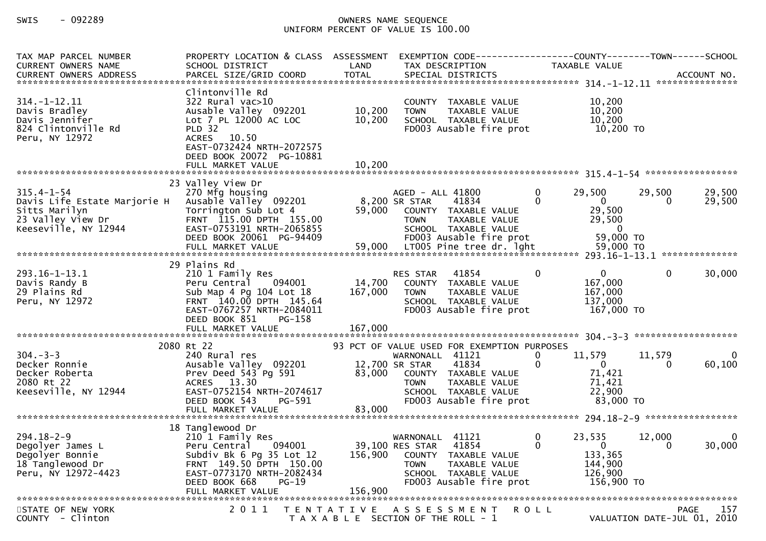## SWIS - 092289 OWNERS NAME SEQUENCE UNIFORM PERCENT OF VALUE IS 100.00

| TAX MAP PARCEL NUMBER<br><b>CURRENT OWNERS NAME</b><br>CURRENT OWNERS ADDRESS                                  | PROPERTY LOCATION & CLASS ASSESSMENT<br>SCHOOL DISTRICT<br>PARCEL SIZE/GRID COORD                                                                                                                   | LAND<br><b>TOTAL</b> | EXEMPTION CODE-----------------COUNTY-------TOWN------SCHOOL<br>TAX DESCRIPTION<br>SPECIAL DISTRICTS                                                           | TAXABLE VALUE                      |                                                                                   | ACCOUNT NO.      |
|----------------------------------------------------------------------------------------------------------------|-----------------------------------------------------------------------------------------------------------------------------------------------------------------------------------------------------|----------------------|----------------------------------------------------------------------------------------------------------------------------------------------------------------|------------------------------------|-----------------------------------------------------------------------------------|------------------|
| $314. - 1 - 12.11$<br>Davis Bradley<br>Davis Jennifer<br>824 Clintonville Rd<br>Peru, NY 12972                 | Clintonville Rd<br>$322$ Rural vac $>10$<br>Ausable Valley 092201<br>Lot 7 PL 12000 AC LOC<br><b>PLD 32</b><br><b>ACRES</b><br>10.50<br>EAST-0732424 NRTH-2072575<br>DEED BOOK 20072 PG-10881       | 10,200<br>10,200     | COUNTY TAXABLE VALUE<br><b>TOWN</b><br>TAXABLE VALUE<br>SCHOOL TAXABLE VALUE<br>FD003 Ausable fire prot                                                        |                                    | 10,200<br>10,200<br>10,200<br>10,200 TO                                           |                  |
|                                                                                                                |                                                                                                                                                                                                     |                      |                                                                                                                                                                |                                    |                                                                                   |                  |
| $315.4 - 1 - 54$<br>Davis Life Estate Marjorie H<br>Sitts Marilyn<br>23 Valley View Dr<br>Keeseville, NY 12944 | 23 Valley View Dr<br>270 Mfg housing<br>Ausable Valley 092201<br>Torrington Sub Lot 4<br>FRNT 115.00 DPTH 155.00<br>EAST-0753191 NRTH-2065855<br>DEED BOOK 20061 PG-94409                           | 59,000               | AGED - ALL 41800<br>8,200 SR STAR<br>41834<br>COUNTY TAXABLE VALUE<br>TAXABLE VALUE<br><b>TOWN</b><br>SCHOOL TAXABLE VALUE<br>FD003 Ausable fire prot          | $\mathbf{0}$<br>29,500<br>$\Omega$ | 29,500<br>$\mathbf{0}$<br>0<br>29,500<br>29,500<br>$\overline{0}$<br>59,000 TO    | 29,500<br>29,500 |
|                                                                                                                | FULL MARKET VALUE                                                                                                                                                                                   | 59,000               | LT005 Pine tree dr. lght                                                                                                                                       |                                    | 59,000 TO                                                                         |                  |
|                                                                                                                | 29 Plains Rd                                                                                                                                                                                        |                      |                                                                                                                                                                |                                    |                                                                                   |                  |
| 293.16-1-13.1<br>Davis Randy B<br>29 Plains Rd<br>Peru, NY 12972                                               | 210 1 Family Res<br>094001<br>Peru Central<br>Sub Map 4 Pg 104 Lot 18<br>FRNT 140.00 DPTH 145.64<br>EAST-0767257 NRTH-2084011<br>DEED BOOK 851<br>PG-158                                            | 14,700<br>167,000    | 41854<br>RES STAR<br>COUNTY TAXABLE VALUE<br><b>TOWN</b><br>TAXABLE VALUE<br>SCHOOL TAXABLE VALUE<br>FD003 Ausable fire prot                                   | $\mathbf{0}$                       | $\overline{0}$<br>$\Omega$<br>167,000<br>167,000<br>137,000<br>167,000 TO         | 30,000           |
|                                                                                                                |                                                                                                                                                                                                     |                      |                                                                                                                                                                |                                    |                                                                                   |                  |
|                                                                                                                | 2080 Rt 22                                                                                                                                                                                          |                      | 93 PCT OF VALUE USED FOR EXEMPTION PURPOSES                                                                                                                    |                                    |                                                                                   |                  |
| $304 - 3 - 3$<br>Decker Ronnie<br>Decker Roberta<br>2080 Rt 22<br>Keeseville, NY 12944                         | 240 Rural res<br>Ausable Valley 092201<br>Prev Deed 543 Pg 591<br>ACRES 13.30<br>EAST-0752154 NRTH-2074617<br>DEED BOOK 543<br>PG-591<br>FULL MARKET VALUE                                          | 83,000<br>83,000     | WARNONALL 41121<br>12,700 SR STAR<br>41834<br>COUNTY TAXABLE VALUE<br>TAXABLE VALUE<br><b>TOWN</b><br>SCHOOL TAXABLE VALUE<br>FD003 Ausable fire prot          | 11,579<br>0<br>$\mathbf{0}$        | 11,579<br>$\mathbf{0}$<br>0<br>71,421<br>71,421<br>22,900<br>83,000 TO            | 0<br>60,100      |
|                                                                                                                |                                                                                                                                                                                                     |                      |                                                                                                                                                                |                                    |                                                                                   |                  |
| $294.18 - 2 - 9$<br>Degolyer James L<br>Degolyer Bonnie<br>18 Tanglewood Dr<br>Peru, NY 12972-4423             | 18 Tanglewood Dr<br>210 1 Family Res<br>094001<br>Peru Central<br>Subdiv Bk 6 Pg 35 Lot 12<br>FRNT 149.50 DPTH 150.00<br>EAST-0773170 NRTH-2082434<br>DEED BOOK 668<br>$PG-19$<br>FULL MARKET VALUE | 156,900              | WARNONALL 41121<br>39,100 RES STAR<br>41854<br>156,900 COUNTY TAXABLE VALUE<br>TAXABLE VALUE<br><b>TOWN</b><br>SCHOOL TAXABLE VALUE<br>FD003 Ausable fire prot | $\mathbf 0$<br>23,535<br>0         | 12,000<br>$\mathbf{0}$<br>$\Omega$<br>133,365<br>144,900<br>126,900<br>156,900 TO | 0<br>30,000      |
| STATE OF NEW YORK<br>COUNTY - Clinton                                                                          | 2011                                                                                                                                                                                                | T E N T A T I V E    | A S S E S S M E N T<br>T A X A B L E SECTION OF THE ROLL - 1                                                                                                   | ROLL                               | VALUATION DATE-JUL 01, 2010                                                       | PAGE<br>157      |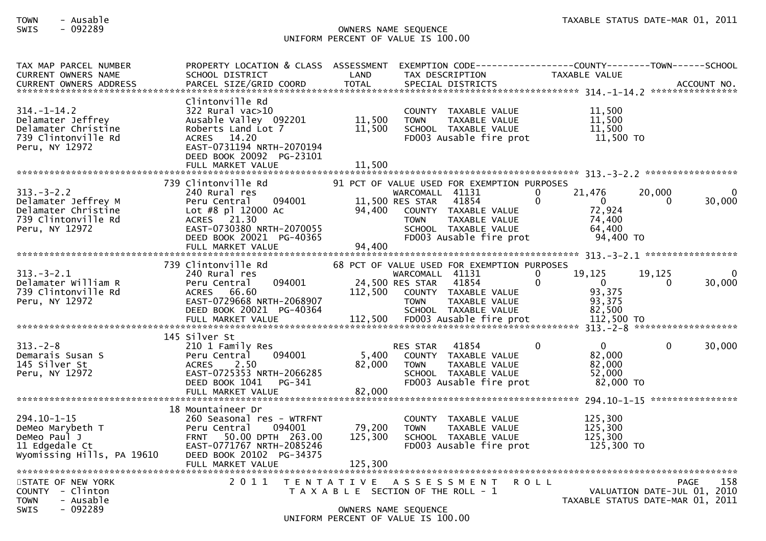## SWIS - 092289 OWNERS NAME SEQUENCE UNIFORM PERCENT OF VALUE IS 100.00

| TAX MAP PARCEL NUMBER<br><b>CURRENT OWNERS NAME</b><br>CURRENT OWNERS ADDRESS                          | PROPERTY LOCATION & CLASS ASSESSMENT<br>SCHOOL DISTRICT<br>PARCEL SIZE/GRID COORD                                                                                                          | LAND<br><b>TOTAL</b>         | EXEMPTION        CODE-----------------COUNTY-------TOWN------SCHOOL<br>TAX DESCRIPTION<br>SPECIAL DISTRICTS                                                                                           | TAXABLE VALUE                                                                              |                                                                         | ACCOUNT NO. |
|--------------------------------------------------------------------------------------------------------|--------------------------------------------------------------------------------------------------------------------------------------------------------------------------------------------|------------------------------|-------------------------------------------------------------------------------------------------------------------------------------------------------------------------------------------------------|--------------------------------------------------------------------------------------------|-------------------------------------------------------------------------|-------------|
| $314. - 1 - 14.2$<br>Delamater Jeffrey<br>Delamater Christine<br>739 Clintonville Rd<br>Peru, NY 12972 | Clintonville Rd<br>322 Rural vac>10<br>Ausable Valley 092201<br>Roberts Land Lot 7<br>ACRES 14.20<br>EAST-0731194 NRTH-2070194<br>DEED BOOK 20092 PG-23101<br>FULL MARKET VALUE            | 11,500<br>11,500<br>11,500   | COUNTY TAXABLE VALUE<br><b>TOWN</b><br>TAXABLE VALUE<br>SCHOOL TAXABLE VALUE<br>FD003 Ausable fire prot                                                                                               | 11,500<br>11,500<br>11,500<br>$11,500$ TO                                                  |                                                                         |             |
|                                                                                                        |                                                                                                                                                                                            |                              |                                                                                                                                                                                                       |                                                                                            |                                                                         |             |
| $313 - 3 - 2.2$<br>Delamater Jeffrey M<br>Delamater Christine<br>739 Clintonville Rd<br>Peru, NY 12972 | 739 Clintonville Rd<br>240 Rural res<br>094001<br>Peru Central<br>Lot #8 pl 12000 Ac<br>ACRES 21.30<br>EAST-0730380 NRTH-2070055<br>DEED BOOK 20021 PG-40365<br>FULL MARKET VALUE          | 94,400<br>94,400             | 91 PCT OF VALUE USED FOR EXEMPTION PURPOSES<br>WARCOMALL 41131<br>11,500 RES STAR<br>41854<br>COUNTY TAXABLE VALUE<br>TAXABLE VALUE<br><b>TOWN</b><br>SCHOOL TAXABLE VALUE<br>FD003 Ausable fire prot | 0<br>21,476<br>$\Omega$<br>$\Omega$<br>72,924<br>74,400<br>64,400<br>94,400 TO             | 20,000<br>$\Omega$                                                      | 30,000      |
|                                                                                                        |                                                                                                                                                                                            |                              |                                                                                                                                                                                                       |                                                                                            |                                                                         |             |
| $313 - 3 - 2.1$<br>Delamater William R<br>739 Clintonville Rd<br>Peru, NY 12972                        | 739 Clintonville Rd<br>240 Rural res<br>094001<br>Peru Central<br>ACRES 66.60<br>EAST-0729668 NRTH-2068907<br>DEED BOOK 20021 PG-40364<br>FULL MARKET VALUE                                | 112,500<br>112,500           | 68 PCT OF VALUE USED FOR EXEMPTION PURPOSES<br>WARCOMALL 41131<br>24,500 RES STAR<br>41854<br>COUNTY TAXABLE VALUE<br><b>TOWN</b><br>TAXABLE VALUE<br>SCHOOL TAXABLE VALUE<br>FD003 Ausable fire prot | $\Omega$<br>19,125<br>$\Omega$<br>$\mathbf{0}$<br>93,375<br>93,375<br>82,500<br>112,500 TO | 19,125<br>$\Omega$                                                      | 30,000      |
|                                                                                                        |                                                                                                                                                                                            |                              |                                                                                                                                                                                                       |                                                                                            |                                                                         |             |
| $313 - 2 - 8$<br>Demarais Susan S<br>145 Silver St<br>Peru, NY 12972                                   | 145 Silver St<br>210 1 Family Res<br>094001<br>Peru Central<br>2.50<br><b>ACRES</b><br>EAST-0725353 NRTH-2066285<br>DEED BOOK 1041<br>PG-341<br>FULL MARKET VALUE                          | 5,400<br>82,000<br>82,000    | 41854<br>RES STAR<br>COUNTY TAXABLE VALUE<br>TAXABLE VALUE<br><b>TOWN</b><br>SCHOOL TAXABLE VALUE<br>FD003 Ausable fire prot                                                                          | $\Omega$<br>$\overline{0}$<br>82,000<br>82,000<br>52,000<br>82,000 TO                      | $\mathbf{0}$                                                            | 30,000      |
|                                                                                                        |                                                                                                                                                                                            |                              |                                                                                                                                                                                                       |                                                                                            |                                                                         |             |
| $294.10 - 1 - 15$<br>DeMeo Marybeth T<br>DeMeo Paul J<br>11 Edgedale Ct<br>Wyomissing Hills, PA 19610  | 18 Mountaineer Dr<br>260 Seasonal res - WTRFNT<br>094001<br>Peru Central<br><b>FRNT</b><br>50.00 DPTH 263.00<br>EAST-0771767 NRTH-2085246<br>DEED BOOK 20102 PG-34375<br>FULL MARKET VALUE | 79,200<br>125,300<br>125,300 | COUNTY TAXABLE VALUE<br><b>TOWN</b><br>TAXABLE VALUE<br>SCHOOL TAXABLE VALUE<br>FD003 Ausable fire prot                                                                                               | 125,300<br>125,300<br>125.300<br>125,300 TO                                                |                                                                         |             |
|                                                                                                        |                                                                                                                                                                                            |                              |                                                                                                                                                                                                       |                                                                                            |                                                                         |             |
| STATE OF NEW YORK<br>$COUNTY - Clinton$<br>- Ausable<br><b>TOWN</b><br>$-092289$<br><b>SWIS</b>        | 2011                                                                                                                                                                                       |                              | TENTATIVE ASSESSMENT<br>T A X A B L E SECTION OF THE ROLL - 1<br>OWNERS NAME SEQUENCE<br>UNIFORM PERCENT OF VALUE IS 100.00                                                                           | <b>ROLL</b>                                                                                | PAGE<br>VALUATION DATE-JUL 01, 2010<br>TAXABLE STATUS DATE-MAR 01, 2011 | 158         |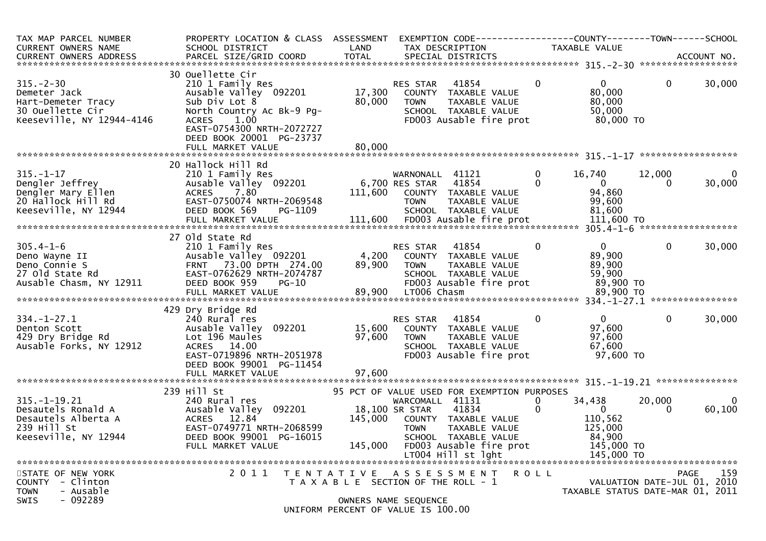| TAX MAP PARCEL NUMBER<br>CURRENT OWNERS NAME                                                                                                                                                                                   | PROPERTY LOCATION & CLASS ASSESSMENT<br>SCHOOL DISTRICT                                                                                                                                                           | LAND                                                       |                                                  | EXEMPTION CODE-----------------COUNTY-------TOWN------SCHOOL<br>TAX DESCRIPTION                                         |                          | TAXABLE VALUE                                                                        |              |                                            |
|--------------------------------------------------------------------------------------------------------------------------------------------------------------------------------------------------------------------------------|-------------------------------------------------------------------------------------------------------------------------------------------------------------------------------------------------------------------|------------------------------------------------------------|--------------------------------------------------|-------------------------------------------------------------------------------------------------------------------------|--------------------------|--------------------------------------------------------------------------------------|--------------|--------------------------------------------|
| .4CCOUNT NO . PARCEL SIZE/GRID COORD TOTAL SPECIAL DISTRICTS . ACCOUNT NO . ACCOUNT NO . ACCOUNT NO . يتمكن بن المكتب المكتب المكتب المكتب المكتب المكتب المكتب المكتب المكتب المكتب المكتب المكتب المكتب المكتب المكتب المكتب |                                                                                                                                                                                                                   |                                                            |                                                  |                                                                                                                         |                          |                                                                                      |              |                                            |
| $315. - 2 - 30$<br>Demeter Jack<br>Hart-Demeter Tracy<br>30 Ouellette Cir<br>Keeseville, NY 12944-4146                                                                                                                         | 30 Ouellette Cir<br>210 1 Family Res<br>Ausable Valley 092201<br>Sub Div Lot 8<br>North Country Ac Bk-9 Pg-<br>1.00<br><b>ACRES</b><br>EAST-0754300 NRTH-2072727<br>DEED BOOK 20001 PG-23737<br>FULL MARKET VALUE | 17,300<br>80,000<br>80,000                                 | RES STAR<br>TOWN                                 | 41854<br>COUNTY TAXABLE VALUE<br>TAXABLE VALUE<br>SCHOOL TAXABLE VALUE<br>FD003 Ausable fire prot                       | $\Omega$                 | $\mathbf{0}$<br>80,000<br>80,000<br>50,000<br>80,000 TO                              | $\mathbf{0}$ | 30,000                                     |
|                                                                                                                                                                                                                                |                                                                                                                                                                                                                   |                                                            |                                                  |                                                                                                                         |                          |                                                                                      |              |                                            |
| $315. - 1 - 17$<br>Dengler Jeffrey<br>Dengler Mary Ellen<br>20 Hallock Hill Rd<br>Keeseville, NY 12944                                                                                                                         | 20 Hallock Hill Rd<br>210 1 Family Res<br>Ausable Valley 092201<br><b>ACRES</b><br>7.80<br>EAST-0750074 NRTH-2069548<br>DEED BOOK 569<br>PG-1109<br>FULL MARKET VALUE                                             | 6,700 RES STAR<br>111,600                                  | WARNONALL 41121<br><b>TOWN</b>                   | 41854<br>COUNTY TAXABLE VALUE<br>TAXABLE VALUE<br>SCHOOL TAXABLE VALUE<br>111,600 FD003 Ausable fire prot               | $\mathbf{0}$<br>$\Omega$ | 16,740<br>$\overline{0}$<br>94,860<br>99,600<br>81,600<br>111,600 TO                 | 12,000<br>0  | 0<br>30,000                                |
|                                                                                                                                                                                                                                | 27 Old State Rd                                                                                                                                                                                                   |                                                            |                                                  |                                                                                                                         |                          |                                                                                      |              |                                            |
| $305.4 - 1 - 6$<br>Deno Wayne II<br>Deno Connie S<br>27 Old State Rd<br>Ausable Chasm, NY 12911                                                                                                                                | 210 1 Family Res<br>Ausable Valley 092201<br>FRNT 73.00 DPTH 274.00<br>EAST-0762629 NRTH-2074787<br>DEED BOOK 959<br>$PG-10$                                                                                      | 4,200<br>89,900                                            | RES STAR<br><b>TOWN</b>                          | 41854<br>COUNTY TAXABLE VALUE<br>TAXABLE VALUE<br>SCHOOL TAXABLE VALUE<br>FD003 Ausable fire prot                       | $\mathbf{0}$             | 0<br>89,900<br>89,900<br>59,900<br>89,900 TO                                         | $\mathbf 0$  | 30,000                                     |
|                                                                                                                                                                                                                                | 429 Dry Bridge Rd                                                                                                                                                                                                 |                                                            |                                                  |                                                                                                                         |                          |                                                                                      |              |                                            |
| $334. - 1 - 27.1$<br>Denton Scott<br>429 Dry Bridge Rd<br>Ausable Forks, NY 12912                                                                                                                                              | 240 Rural res<br>Ausable Valley 092201<br>Lot 196 Maules<br>14.00<br><b>ACRES</b><br>EAST-0719896 NRTH-2051978<br>DEED BOOK 99001 PG-11454                                                                        | 15,600<br>97,600                                           | RES STAR<br><b>TOWN</b>                          | 41854<br>COUNTY TAXABLE VALUE<br>TAXABLE VALUE<br>SCHOOL TAXABLE VALUE<br>FD003 Ausable fire prot                       | 0                        | $\Omega$<br>97,600<br>97,600<br>67,600<br>97,600 TO                                  | $\mathbf{0}$ | 30,000                                     |
|                                                                                                                                                                                                                                | FULL MARKET VALUE                                                                                                                                                                                                 | 97,600                                                     |                                                  |                                                                                                                         |                          |                                                                                      |              |                                            |
|                                                                                                                                                                                                                                | 239 Hill St                                                                                                                                                                                                       |                                                            |                                                  | 95 PCT OF VALUE USED FOR EXEMPTION PURPOSES                                                                             |                          |                                                                                      |              |                                            |
| $315. - 1 - 19.21$<br>Desautels Ronald A<br>Desautels Alberta A<br>239 Hill St<br>Keeseville, NY 12944                                                                                                                         | 240 Rural res<br>Ausable Valley 092201<br>ACRES 12.84<br>EAST-0749771 NRTH-2068599<br>DEED BOOK 99001 PG-16015<br>FULL MARKET VALUE                                                                               | 145,000<br>145,000                                         | WARCOMALL 41131<br>18,100 SR STAR<br><b>TOWN</b> | 41834<br>COUNTY TAXABLE VALUE<br>TAXABLE VALUE<br>SCHOOL TAXABLE VALUE<br>FD003 Ausable fire prot<br>LT004 Hill st lght | 0<br>$\mathbf{0}$        | 34,438<br>$\overline{0}$<br>110,562<br>125,000<br>84,900<br>145,000 TO<br>145,000 TO | 20,000<br>0  | $\Omega$<br>60,100                         |
| STATE OF NEW YORK<br>- Clinton<br><b>COUNTY</b><br>- Ausable<br><b>TOWN</b>                                                                                                                                                    | 2011                                                                                                                                                                                                              | T E N T A T I V E<br>T A X A B L E SECTION OF THE ROLL - 1 |                                                  | A S S E S S M E N T                                                                                                     | <b>ROLL</b>              | TAXABLE STATUS DATE-MAR 01, 2011                                                     |              | 159<br>PAGE<br>VALUATION DATE-JUL 01, 2010 |
| $-092289$<br>SWIS                                                                                                                                                                                                              |                                                                                                                                                                                                                   | OWNERS NAME SEQUENCE<br>UNIFORM PERCENT OF VALUE IS 100.00 |                                                  |                                                                                                                         |                          |                                                                                      |              |                                            |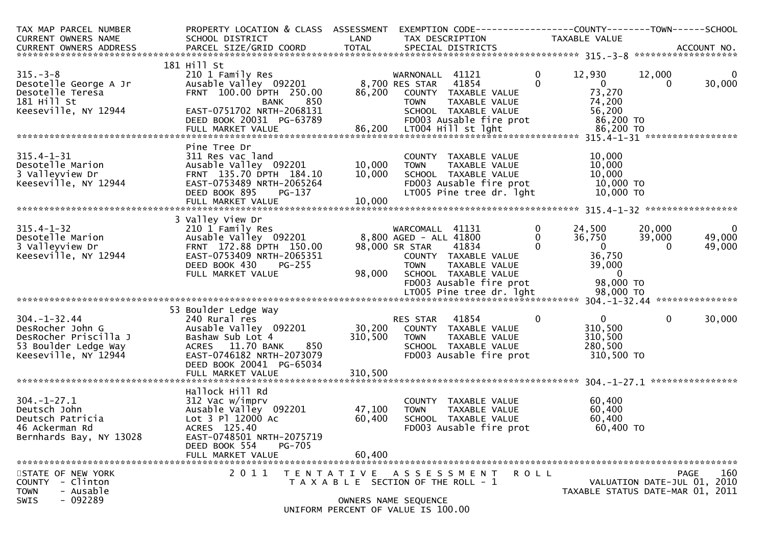| TAX MAP PARCEL NUMBER                        | PROPERTY LOCATION & CLASS ASSESSMENT        |                   | EXEMPTION CODE-----------------COUNTY-------TOWN------SCHOOL |                          |                                      |                             |              |
|----------------------------------------------|---------------------------------------------|-------------------|--------------------------------------------------------------|--------------------------|--------------------------------------|-----------------------------|--------------|
| CURRENT OWNERS NAME                          | SCHOOL DISTRICT                             | LAND              | TAX DESCRIPTION                                              |                          | TAXABLE VALUE                        |                             |              |
|                                              |                                             |                   |                                                              |                          |                                      |                             |              |
|                                              |                                             |                   |                                                              |                          |                                      |                             |              |
|                                              | 181 Hill St                                 |                   |                                                              |                          |                                      |                             |              |
| $315. - 3 - 8$                               | 210 1 Family Res                            |                   | WARNONALL 41121                                              | $\overline{0}$           | 12,930                               | 12,000                      | $\mathbf{0}$ |
| Desotelle George A Jr                        | Ausable valley 092201                       |                   | 8,700 RES STAR 41854                                         | $\Omega$                 | $\overline{\mathbf{0}}$              | $\Omega$                    | 30,000       |
| Desotelle Teresa                             | FRNT 100.00 DPTH 250.00                     | 86,200            | COUNTY TAXABLE VALUE                                         |                          | 73,270                               |                             |              |
| 181 Hill St                                  | 850<br><b>BANK</b>                          |                   | <b>TOWN</b><br>TAXABLE VALUE                                 |                          | 74,200                               |                             |              |
| Keeseville, NY 12944                         | EAST-0751702 NRTH-2068131                   |                   | SCHOOL TAXABLE VALUE                                         |                          | 56,200                               |                             |              |
|                                              | DEED BOOK 20031 PG-63789                    |                   | FD003 Ausable fire prot                                      |                          | 86,200 TO                            |                             |              |
|                                              |                                             |                   |                                                              |                          |                                      |                             |              |
|                                              |                                             |                   |                                                              |                          |                                      |                             |              |
|                                              | Pine Tree Dr                                |                   |                                                              |                          |                                      |                             |              |
| $315.4 - 1 - 31$                             | 311 Res vac land                            |                   | COUNTY TAXABLE VALUE                                         |                          | 10,000                               |                             |              |
| Desotelle Marion                             | Ausable Valley 092201                       | 10,000            | TAXABLE VALUE<br><b>TOWN</b>                                 |                          | 10,000                               |                             |              |
| 3 Valleyview Dr                              | FRNT 135.70 DPTH 184.10                     | 10,000            | SCHOOL TAXABLE VALUE                                         |                          | 10,000                               |                             |              |
| Keeseville, NY 12944                         | EAST-0753489 NRTH-2065264                   |                   | FD003 Ausable fire prot                                      |                          | 10,000 TO                            |                             |              |
|                                              | DEED BOOK 895<br>PG-137                     |                   | LT005 Pine tree dr. 1ght                                     |                          | 10,000 TO                            |                             |              |
|                                              | FULL MARKET VALUE                           | 10,000            |                                                              |                          |                                      |                             |              |
|                                              |                                             |                   |                                                              |                          |                                      |                             |              |
|                                              | 3 Valley View Dr                            |                   |                                                              |                          |                                      |                             |              |
| $315.4 - 1 - 32$                             | 210 1 Family Res                            |                   | WARCOMALL 41131                                              | $\mathbf{0}$             | 24,500                               | 20,000                      | $\mathbf 0$  |
| Desotelle Marion                             | Ausable Valley 092201                       |                   | 8,800 AGED - ALL 41800                                       | $\mathbf{0}$<br>$\Omega$ | 36,750<br>$\overline{\phantom{a}}$ 0 | 39,000                      | 49,000       |
| 3 Valleyview Dr                              | FRNT 172.88 DPTH 150.00                     |                   | 98,000 SR STAR<br>41834                                      |                          |                                      | $\Omega$                    | 49,000       |
| Keeseville, NY 12944                         | EAST-0753409 NRTH-2065351                   |                   | COUNTY TAXABLE VALUE                                         |                          | 36,750                               |                             |              |
|                                              | DEED BOOK 430<br>$PG-255$                   |                   | <b>TOWN</b><br>TAXABLE VALUE                                 |                          | 39,000                               |                             |              |
|                                              | FULL MARKET VALUE                           | 98,000            | SCHOOL TAXABLE VALUE                                         |                          | $\overline{\mathbf{0}}$              |                             |              |
|                                              |                                             |                   | FD003 Ausable fire prot                                      |                          | 98,000 TO                            |                             |              |
|                                              |                                             |                   |                                                              |                          |                                      |                             |              |
|                                              |                                             |                   |                                                              |                          |                                      |                             |              |
| $304. - 1 - 32.44$                           | 53 Boulder Ledge Way                        |                   |                                                              | $\mathbf{0}$             |                                      | $\mathbf{0}$                |              |
|                                              | 240 Rural res                               |                   | RES STAR 41854<br>30,200 COUNTY TAXABLE VALUE                |                          | $\mathbf{0}$                         |                             | 30,000       |
| DesRocher John G                             | Ausable Valley 092201                       |                   |                                                              |                          | 310,500                              |                             |              |
| DesRocher Priscilla J                        | Bashaw Sub Lot 4<br>ACRES 11.70 BANK<br>850 | 310,500           | TAXABLE VALUE<br>TOWN                                        |                          | 310,500<br>280,500                   |                             |              |
| 53 Boulder Ledge Way<br>Keeseville, NY 12944 | EAST-0746182 NRTH-2073079                   |                   | SCHOOL TAXABLE VALUE<br>FD003 Ausable fire prot              |                          | 310,500 TO                           |                             |              |
|                                              | DEED BOOK 20041 PG-65034                    |                   |                                                              |                          |                                      |                             |              |
|                                              |                                             | 310,500           |                                                              |                          |                                      |                             |              |
|                                              | FULL MARKET VALUE                           |                   |                                                              |                          |                                      |                             |              |
|                                              | Hallock Hill Rd                             |                   |                                                              |                          |                                      |                             |              |
| $304. - 1 - 27.1$                            | 312 Vac w/imprv                             |                   | COUNTY TAXABLE VALUE                                         |                          | 60,400                               |                             |              |
| Deutsch John                                 | Ausable Valley 092201                       | 47,100            | TAXABLE VALUE<br><b>TOWN</b>                                 |                          | 60,400                               |                             |              |
| Deutsch Patricia                             | Lot 3 Pl 12000 Ac                           | 60,400            | SCHOOL TAXABLE VALUE                                         |                          | 60,400                               |                             |              |
| 46 Ackerman Rd                               | ACRES 125.40                                |                   | FD003 Ausable fire prot                                      |                          | 60,400 TO                            |                             |              |
| Bernhards Bay, NY 13028                      | EAST-0748501 NRTH-2075719                   |                   |                                                              |                          |                                      |                             |              |
|                                              | DEED BOOK 554<br><b>PG-705</b>              |                   |                                                              |                          |                                      |                             |              |
|                                              | FULL MARKET VALUE                           | 60,400            |                                                              |                          |                                      |                             |              |
|                                              |                                             |                   |                                                              |                          |                                      |                             |              |
| STATE OF NEW YORK                            | 2011                                        | T E N T A T I V E | A S S E S S M E N T                                          | R O L L                  |                                      | <b>PAGE</b>                 | 160          |
| - Clinton<br><b>COUNTY</b>                   |                                             |                   | T A X A B L E SECTION OF THE ROLL - 1                        |                          |                                      | VALUATION DATE-JUL 01, 2010 |              |
| - Ausable<br><b>TOWN</b>                     |                                             |                   |                                                              |                          | TAXABLE STATUS DATE-MAR 01, 2011     |                             |              |
| $-092289$<br><b>SWIS</b>                     |                                             |                   | OWNERS NAME SEQUENCE                                         |                          |                                      |                             |              |
|                                              |                                             |                   | UNIFORM PERCENT OF VALUE IS 100.00                           |                          |                                      |                             |              |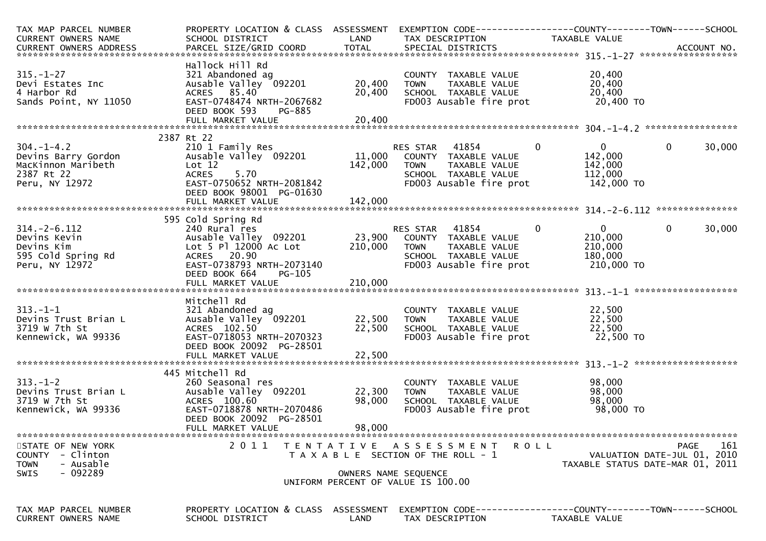| TAX MAP PARCEL NUMBER                        | PROPERTY LOCATION & CLASS ASSESSMENT                    |                  | EXEMPTION        CODE------------------COUNTY-------TOWN------SCHOOL |                              |                                                                 |
|----------------------------------------------|---------------------------------------------------------|------------------|----------------------------------------------------------------------|------------------------------|-----------------------------------------------------------------|
| CURRENT OWNERS NAME                          | SCHOOL DISTRICT                                         | LAND             | TAX DESCRIPTION                                                      | TAXABLE VALUE                |                                                                 |
|                                              |                                                         |                  |                                                                      |                              |                                                                 |
|                                              | Hallock Hill Rd                                         |                  |                                                                      |                              |                                                                 |
| $315. - 1 - 27$                              | 321 Abandoned ag                                        |                  | COUNTY TAXABLE VALUE                                                 | 20,400                       |                                                                 |
| Devi Estates Inc                             | Ausable Valley 092201                                   | 20,400           | <b>TOWN</b><br>TAXABLE VALUE                                         | 20,400                       |                                                                 |
| 4 Harbor Rd                                  | ACRES 85.40                                             | 20,400           | SCHOOL TAXABLE VALUE                                                 | 20,400                       |                                                                 |
| Sands Point, NY 11050                        | EAST-0748474 NRTH-2067682                               |                  | FD003 Ausable fire prot                                              | 20,400 TO                    |                                                                 |
|                                              | DEED BOOK 593<br>PG-885<br>FULL MARKET VALUE            | 20,400           |                                                                      |                              |                                                                 |
|                                              |                                                         |                  |                                                                      |                              |                                                                 |
|                                              | 2387 Rt 22                                              |                  |                                                                      |                              |                                                                 |
| $304. - 1 - 4.2$                             | 210 1 Family Res                                        |                  | RES STAR 41854                                                       | - 0<br>$\mathbf{0}$          | 30,000<br>$\mathbf{0}$                                          |
| Devins Barry Gordon                          | Ausable Valley 092201                                   |                  | 11,000 COUNTY TAXABLE VALUE                                          | 142,000                      |                                                                 |
| MacKinnon Maribeth                           | Lot 12                                                  | 142,000          | TAXABLE VALUE<br><b>TOWN</b>                                         | 142,000                      |                                                                 |
| 2387 Rt 22                                   | 5.70<br><b>ACRES</b>                                    |                  | SCHOOL TAXABLE VALUE                                                 | 112,000                      |                                                                 |
| Peru, NY 12972                               | EAST-0750652 NRTH-2081842<br>DEED BOOK 98001 PG-01630   |                  | FD003 Ausable fire prot                                              | 142,000 TO                   |                                                                 |
|                                              | FULL MARKET VALUE                                       | 142,000          |                                                                      |                              |                                                                 |
|                                              |                                                         |                  |                                                                      |                              |                                                                 |
|                                              | 595 Cold Spring Rd                                      |                  |                                                                      |                              |                                                                 |
| $314. - 2 - 6.112$                           | 240 Rural res                                           |                  | RES STAR 41854                                                       | $\mathbf{0}$<br>$\mathbf{0}$ | 30,000<br>$\overline{0}$                                        |
| Devins Kevin                                 | Ausable Valley 092201                                   | 23,900           | COUNTY TAXABLE VALUE                                                 | 210,000                      |                                                                 |
| Devins Kim                                   | Lot 5 Pl 12000 Ac Lot<br>ACRES 20.90                    | 210,000          | <b>TOWN</b><br>TAXABLE VALUE                                         | 210,000                      |                                                                 |
| 595 Cold Spring Rd<br>Peru, NY 12972         | EAST-0738793 NRTH-2073140                               |                  | SCHOOL TAXABLE VALUE<br>FD003 Ausable fire prot                      | 180,000<br>210,000 TO        |                                                                 |
|                                              | DEED BOOK 664<br>PG-105                                 |                  |                                                                      |                              |                                                                 |
|                                              | FULL MARKET VALUE                                       | 210,000          |                                                                      |                              |                                                                 |
|                                              |                                                         |                  |                                                                      |                              |                                                                 |
|                                              | Mitchell Rd                                             |                  |                                                                      |                              |                                                                 |
| $313. - 1 - 1$                               | 321 Abandoned ag<br>Ausable Valley 092201               |                  | COUNTY TAXABLE VALUE                                                 | 22,500                       |                                                                 |
| Devins Trust Brian L<br>3719 w 7th St        | ACRES 102.50                                            | 22,500<br>22,500 | <b>TOWN</b><br>TAXABLE VALUE<br>SCHOOL TAXABLE VALUE                 | 22,500<br>22,500             |                                                                 |
| Kennewick, WA 99336                          | EAST-0718053 NRTH-2070323                               |                  | FD003 Ausable fire prot                                              | 22,500 TO                    |                                                                 |
|                                              | DEED BOOK 20092 PG-28501                                |                  |                                                                      |                              |                                                                 |
|                                              |                                                         |                  |                                                                      |                              |                                                                 |
|                                              |                                                         |                  |                                                                      |                              |                                                                 |
|                                              | 445 Mitchell Rd                                         |                  |                                                                      |                              |                                                                 |
| $313. - 1 - 2$                               | 260 Seasonal res                                        | 22,300           | COUNTY TAXABLE VALUE                                                 | 98,000<br>98,000             |                                                                 |
| Devins Trust Brian L<br>3719 w 7th St        | Ausable Valley 092201<br>ACRES 100.60                   | 98,000           | TAXABLE VALUE<br><b>TOWN</b><br>SCHOOL TAXABLE VALUE                 | 98,000                       |                                                                 |
| Kennewick, WA 99336                          | EAST-0718878 NRTH-2070486                               |                  | FD003 Ausable fire prot                                              | 98,000 TO                    |                                                                 |
|                                              | DEED BOOK 20092 PG-28501                                |                  |                                                                      |                              |                                                                 |
|                                              | FULL MARKET VALUE                                       | 98,000           |                                                                      |                              |                                                                 |
|                                              |                                                         |                  |                                                                      |                              |                                                                 |
| STATE OF NEW YORK                            | 2 0 1 1<br>T E N T A T I V E                            |                  | A S S E S S M E N T                                                  | <b>ROLL</b>                  | 161<br><b>PAGE</b>                                              |
| COUNTY - Clinton<br>- Ausable<br><b>TOWN</b> |                                                         |                  | T A X A B L E SECTION OF THE ROLL - 1                                |                              | VALUATION DATE-JUL 01, 2010<br>TAXABLE STATUS DATE-MAR 01, 2011 |
| $-092289$<br><b>SWIS</b>                     |                                                         |                  | OWNERS NAME SEQUENCE                                                 |                              |                                                                 |
|                                              |                                                         |                  | UNIFORM PERCENT OF VALUE IS 100.00                                   |                              |                                                                 |
|                                              |                                                         |                  |                                                                      |                              |                                                                 |
|                                              |                                                         |                  |                                                                      |                              |                                                                 |
| TAX MAP PARCEL NUMBER<br>CURRENT OWNERS NAME | PROPERTY LOCATION & CLASS ASSESSMENT<br>SCHOOL DISTRICT | LAND             | TAX DESCRIPTION                                                      | TAXABLE VALUE                |                                                                 |
|                                              |                                                         |                  |                                                                      |                              |                                                                 |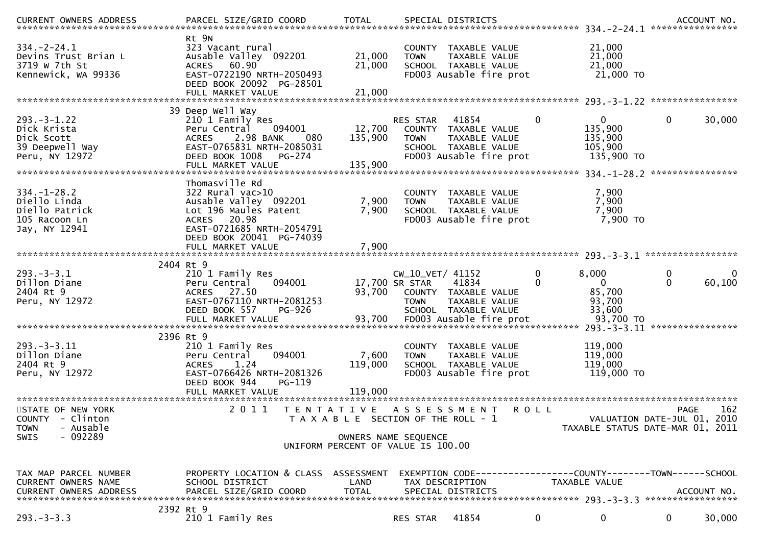| $334. -2 - 24.1$<br>Devins Trust Brian L<br>3719 w 7th St<br>Kennewick, WA 99336              | Rt 9N<br>323 Vacant rural<br>Ausable Valley 092201<br>ACRES 60.90<br>EAST-0722190 NRTH-2050493<br>DEED BOOK 20092 PG-28501<br>FULL MARKET VALUE                                         | 21,000<br>21,000<br>21,000                                                                                                  | <b>TOWN</b>                                       | COUNTY TAXABLE VALUE<br>TAXABLE VALUE<br>SCHOOL TAXABLE VALUE<br>FD003 Ausable fire prot            |              | 21,000<br>21,000<br>21,000<br>21,000 TO                      |                                                                         |     |
|-----------------------------------------------------------------------------------------------|-----------------------------------------------------------------------------------------------------------------------------------------------------------------------------------------|-----------------------------------------------------------------------------------------------------------------------------|---------------------------------------------------|-----------------------------------------------------------------------------------------------------|--------------|--------------------------------------------------------------|-------------------------------------------------------------------------|-----|
|                                                                                               |                                                                                                                                                                                         |                                                                                                                             |                                                   |                                                                                                     |              |                                                              |                                                                         |     |
| $293. -3 - 1.22$<br>Dick Krista<br>Dick Scott<br>39 Deepwell Way<br>Peru, NY 12972            | 39 Deep Well Way<br>210 1 Family Res<br>094001<br>Peru Central<br>2.98 BANK<br>080<br><b>ACRES</b><br>EAST-0765831 NRTH-2085031<br>DEED BOOK 1008<br><b>PG-274</b><br>FULL MARKET VALUE | 12,700<br>135,900<br>135,900                                                                                                | <b>RES STAR</b><br><b>TOWN</b>                    | 41854<br>COUNTY TAXABLE VALUE<br>TAXABLE VALUE<br>SCHOOL TAXABLE VALUE<br>FD003 Ausable fire prot   | $\mathbf{0}$ | 0<br>135,900<br>135,900<br>105,900<br>135,900 TO             | $\mathbf{0}$<br>30,000                                                  |     |
|                                                                                               | Thomasville Rd                                                                                                                                                                          |                                                                                                                             |                                                   |                                                                                                     |              |                                                              | ****************                                                        |     |
| $334. - 1 - 28.2$<br>Diello Linda<br>Diello Patrick<br>105 Racoon Ln<br>Jay, NY 12941         | $322$ Rural vac $>10$<br>Ausable Valley 092201<br>Lot 196 Maules Patent<br>ACRES 20.98<br>EAST-0721685 NRTH-2054791<br>DEED BOOK 20041 PG-74039                                         | 7,900<br>7,900                                                                                                              | <b>TOWN</b>                                       | COUNTY TAXABLE VALUE<br>TAXABLE VALUE<br>SCHOOL TAXABLE VALUE<br>FD003 Ausable fire prot            |              | 7,900<br>7,900<br>7,900<br>7,900 TO                          |                                                                         |     |
|                                                                                               | FULL MARKET VALUE                                                                                                                                                                       | 7,900                                                                                                                       |                                                   |                                                                                                     |              |                                                              |                                                                         |     |
|                                                                                               |                                                                                                                                                                                         |                                                                                                                             |                                                   |                                                                                                     |              |                                                              |                                                                         |     |
| $293. -3 -3.1$<br>Dillon Diane<br>2404 Rt 9<br>Peru, NY 12972                                 | 2404 Rt 9<br>210 1 Family Res<br>094001<br>Peru Central<br>ACRES 27.50<br>EAST-0767110 NRTH-2081253<br>DEED BOOK 557<br>PG-926<br>FULL MARKET VALUE                                     | 93,700<br>93,700                                                                                                            | CW_10_VET/ 41152<br>17,700 SR STAR<br><b>TOWN</b> | 41834<br>COUNTY TAXABLE VALUE<br>TAXABLE VALUE<br>SCHOOL TAXABLE VALUE<br>FD003 Ausable fire prot   | 0<br>0       | 8,000<br>$\Omega$<br>85,700<br>93,700<br>33,600<br>93,700 TO | 0<br>$\Omega$<br>60,100                                                 | 0   |
|                                                                                               |                                                                                                                                                                                         |                                                                                                                             |                                                   |                                                                                                     |              | $293. - 3 - 3.11$                                            | ****************                                                        |     |
| $293. - 3 - 3.11$<br>Dillon Diane<br>2404 Rt 9<br>Peru, NY 12972                              | 2396 Rt 9<br>210 1 Family Res<br>Peru Central<br>094001<br><b>ACRES</b><br>1.24<br>EAST-0766426 NRTH-2081326<br>DEED BOOK 944<br>PG-119<br>FULL MARKET VALUE                            | 7,600<br>119,000<br>119,000                                                                                                 | <b>TOWN</b>                                       | COUNTY TAXABLE VALUE<br>TAXABLE VALUE<br>SCHOOL TAXABLE VALUE<br>FD003 Ausable fire prot            |              | 119,000<br>119,000<br>119,000<br>119,000 TO                  |                                                                         |     |
|                                                                                               |                                                                                                                                                                                         |                                                                                                                             |                                                   |                                                                                                     |              |                                                              |                                                                         |     |
| STATE OF NEW YORK<br>COUNTY - Clinton<br><b>TOWN</b><br>- Ausable<br>$-092289$<br><b>SWIS</b> | 2 0 1 1                                                                                                                                                                                 | TENTATIVE ASSESSMENT<br>T A X A B L E SECTION OF THE ROLL - 1<br>OWNERS NAME SEQUENCE<br>UNIFORM PERCENT OF VALUE IS 100.00 |                                                   |                                                                                                     | <b>ROLL</b>  |                                                              | PAGE<br>VALUATION DATE-JUL 01, 2010<br>TAXABLE STATUS DATE-MAR 01, 2011 | 162 |
| TAX MAP PARCEL NUMBER<br>CURRENT OWNERS NAME<br><b>CURRENT OWNERS ADDRESS</b>                 | PROPERTY LOCATION & CLASS ASSESSMENT<br>SCHOOL DISTRICT<br>PARCEL SIZE/GRID COORD                                                                                                       | LAND<br><b>TOTAL</b>                                                                                                        |                                                   | EXEMPTION CODE-----------------COUNTY-------TOWN-----SCHOOL<br>TAX DESCRIPTION<br>SPECIAL DISTRICTS |              | TAXABLE VALUE                                                | ACCOUNT NO.                                                             |     |
| $293. -3 -3.3$                                                                                | 2392 Rt 9<br>210 1 Family Res                                                                                                                                                           |                                                                                                                             | RES STAR                                          | 41854                                                                                               | 0            | 0                                                            | 30,000<br>0                                                             |     |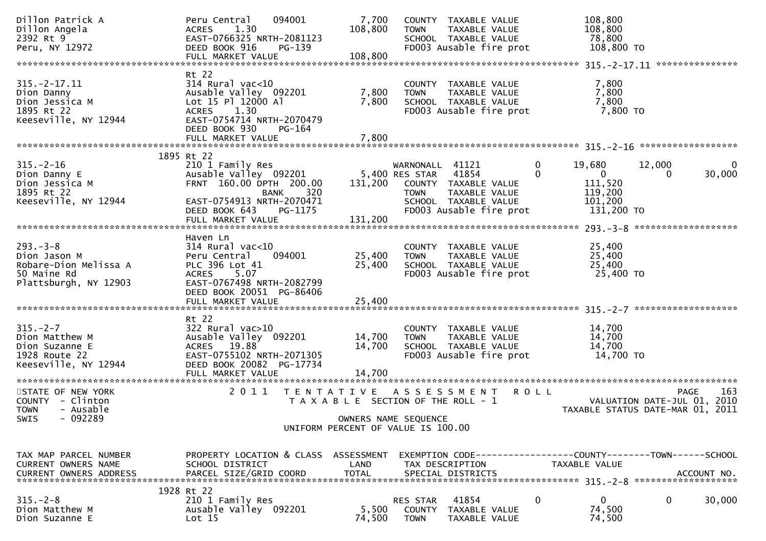| Dillon Patrick A<br>Dillon Angela<br>2392 Rt 9<br>Peru, NY 12972                               | Peru Central<br>094001<br>1.30<br><b>ACRES</b><br>EAST-0766325 NRTH-2081123<br>DEED BOOK 916<br>$PG-139$<br>FULL MARKET VALUE                                  | 7,700<br>108,800<br>108,800 | <b>TOWN</b>                                                  | COUNTY TAXABLE VALUE<br>TAXABLE VALUE<br>SCHOOL TAXABLE VALUE<br>FD003 Ausable fire prot          | 108,800<br>108,800<br>78,800<br>108,800 TO                                         |                                                                                          |
|------------------------------------------------------------------------------------------------|----------------------------------------------------------------------------------------------------------------------------------------------------------------|-----------------------------|--------------------------------------------------------------|---------------------------------------------------------------------------------------------------|------------------------------------------------------------------------------------|------------------------------------------------------------------------------------------|
|                                                                                                |                                                                                                                                                                |                             |                                                              |                                                                                                   |                                                                                    |                                                                                          |
| $315. -2 - 17.11$<br>Dion Danny<br>Dion Jessica M<br>1895 Rt 22<br>Keeseville, NY 12944        | Rt 22<br>$314$ Rural vac<10<br>Ausable Valley 092201<br>Lot 15 Pl 12000 Al<br>ACRES 1.30<br>EAST-0754714 NRTH-2070479                                          | 7,800<br>7,800              | <b>TOWN</b>                                                  | COUNTY TAXABLE VALUE<br>TAXABLE VALUE<br>SCHOOL TAXABLE VALUE<br>FD003 Ausable fire prot          | 7,800<br>7,800<br>7,800<br>7,800 TO                                                |                                                                                          |
|                                                                                                | DEED BOOK 930<br>PG-164<br>FULL MARKET VALUE                                                                                                                   | 7,800                       |                                                              |                                                                                                   |                                                                                    |                                                                                          |
|                                                                                                | 1895 Rt 22                                                                                                                                                     |                             |                                                              |                                                                                                   |                                                                                    |                                                                                          |
| $315. - 2 - 16$<br>Dion Danny E<br>Dion Jessica M<br>1895 Rt 22<br>Keeseville, NY 12944        | 210 1 Family Res<br>Ausable Valley 092201<br>FRNT 160.00 DPTH 200.00<br>320<br>BANK<br>EAST-0754913 NRTH-2070471<br>PG-1175<br>DEED BOOK 643                   | 131,200                     | WARNONALL 41121<br>5,400 RES STAR<br><b>TOWN</b>             | 41854<br>COUNTY TAXABLE VALUE<br>TAXABLE VALUE<br>SCHOOL TAXABLE VALUE<br>FD003 Ausable fire prot | 19,680<br>0<br>$\Omega$<br>$\Omega$<br>111,520<br>119,200<br>101,200<br>131,200 TO | 12,000<br>$\Omega$<br>30,000<br>0                                                        |
|                                                                                                | FULL MARKET VALUE                                                                                                                                              | 131,200                     |                                                              |                                                                                                   |                                                                                    |                                                                                          |
| $293 - 3 - 8$<br>Dion Jason M<br>Robare-Dion Melissa A<br>50 Maine Rd<br>Plattsburgh, NY 12903 | Haven Ln<br>$314$ Rural vac< $10$<br>094001<br>Peru Central<br>PLC 396 Lot 41<br>5.07<br><b>ACRES</b><br>EAST-0767498 NRTH-2082799<br>DEED BOOK 20051 PG-86406 | 25,400<br>25,400            | <b>TOWN</b>                                                  | COUNTY TAXABLE VALUE<br>TAXABLE VALUE<br>SCHOOL TAXABLE VALUE<br>FD003 Ausable fire prot          | 25,400<br>25,400<br>25,400<br>25,400 TO                                            |                                                                                          |
|                                                                                                | FULL MARKET VALUE                                                                                                                                              | 25,400                      |                                                              |                                                                                                   |                                                                                    |                                                                                          |
| $315. - 2 - 7$<br>Dion Matthew M<br>Dion Suzanne E<br>1928 Route 22<br>Keeseville, NY 12944    | Rt 22<br>$322$ Rural vac $>10$<br>Ausable Valley 092201<br>ACRES 19.88<br>EAST-0755102 NRTH-2071305<br>DEED BOOK 20082 PG-17734<br>FULL MARKET VALUE           | 14,700<br>14,700<br>14,700  | <b>TOWN</b>                                                  | COUNTY TAXABLE VALUE<br>TAXABLE VALUE<br>SCHOOL TAXABLE VALUE<br>FD003 Ausable fire prot          | 14,700<br>14,700<br>14,700<br>14,700 TO                                            |                                                                                          |
| STATE OF NEW YORK<br>COUNTY - Clinton<br><b>TOWN</b><br>- Ausable                              | 2011<br>T E N T A T I V E                                                                                                                                      |                             | A S S E S S M E N T<br>T A X A B L E SECTION OF THE ROLL - 1 |                                                                                                   | <b>ROLL</b>                                                                        | 163<br><b>PAGE</b><br>2010<br>VALUATION DATE-JUL 01,<br>TAXABLE STATUS DATE-MAR 01, 2011 |
| $-092289$<br>SWIS                                                                              |                                                                                                                                                                |                             | OWNERS NAME SEQUENCE<br>UNIFORM PERCENT OF VALUE IS 100.00   |                                                                                                   |                                                                                    |                                                                                          |
| TAX MAP PARCEL NUMBER<br><b>CURRENT OWNERS NAME</b><br><b>CURRENT OWNERS ADDRESS</b>           | PROPERTY LOCATION & CLASS ASSESSMENT<br>SCHOOL DISTRICT<br>PARCEL SIZE/GRID COORD                                                                              | LAND<br><b>TOTAL</b>        |                                                              | TAX DESCRIPTION<br>SPECIAL DISTRICTS                                                              | TAXABLE VALUE                                                                      | EXEMPTION CODE-----------------COUNTY-------TOWN------SCHOOL<br>ACCOUNT NO.              |
| $315. - 2 - 8$<br>Dion Matthew M<br>Dion Suzanne E                                             | 1928 Rt 22<br>210 1 Family Res<br>Ausable Valley 092201<br>Lot 15                                                                                              | 5,500<br>74,500             | RES STAR<br>COUNTY<br><b>TOWN</b>                            | 41854<br>TAXABLE VALUE<br>TAXABLE VALUE                                                           | 0<br>0<br>74,500<br>74,500                                                         | 0<br>30,000                                                                              |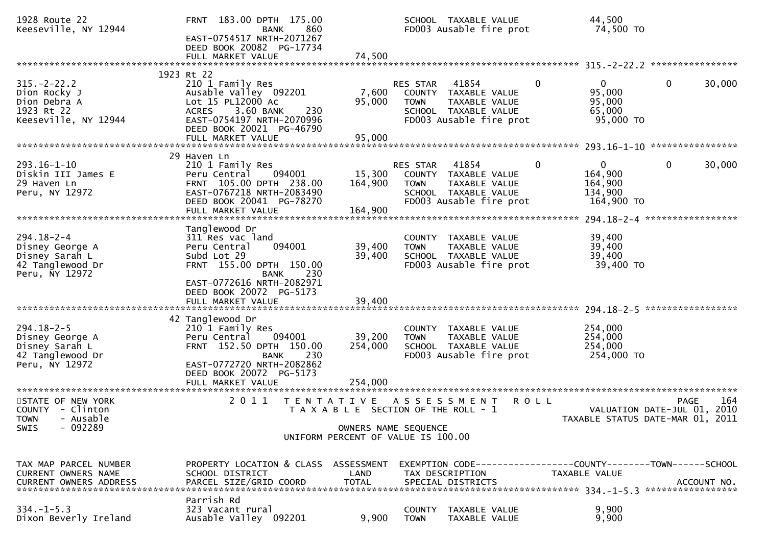| 1928 Route 22<br>Keeseville, NY 12944                                                  | FRNT 183.00 DPTH 175.00<br>860<br><b>BANK</b><br>EAST-0754517 NRTH-2071267<br>DEED BOOK 20082 PG-17734<br>FULL MARKET VALUE                                        | 74,500                                                     |                                | SCHOOL TAXABLE VALUE<br>FD003 Ausable fire prot                                                   | 44,500<br>74,500 TO                                                 |                                                           |
|----------------------------------------------------------------------------------------|--------------------------------------------------------------------------------------------------------------------------------------------------------------------|------------------------------------------------------------|--------------------------------|---------------------------------------------------------------------------------------------------|---------------------------------------------------------------------|-----------------------------------------------------------|
|                                                                                        | 1923 Rt 22                                                                                                                                                         |                                                            |                                |                                                                                                   |                                                                     |                                                           |
| $315. -2 - 22.2$<br>Dion Rocky J<br>Dion Debra A<br>1923 Rt 22<br>Keeseville, NY 12944 | 210 1 Family Res<br>Ausable Valley 092201<br>Lot 15 PL12000 Ac<br>3.60 BANK<br><b>ACRES</b><br>230<br>EAST-0754197 NRTH-2070996<br>DEED BOOK 20021 PG-46790        | 7,600<br>95,000                                            | RES STAR<br><b>TOWN</b>        | 41854<br>COUNTY TAXABLE VALUE<br>TAXABLE VALUE<br>SCHOOL TAXABLE VALUE<br>FD003 Ausable fire prot | $\mathbf{0}$<br>$\Omega$<br>95,000<br>95,000<br>65,000<br>95,000 TO | 0<br>30,000                                               |
|                                                                                        | FULL MARKET VALUE                                                                                                                                                  | 95,000                                                     |                                |                                                                                                   |                                                                     |                                                           |
| $293.16 - 1 - 10$<br>Diskin III James E<br>29 Haven Ln<br>Peru, NY 12972               | 29 Haven Ln<br>210 1 Family Res<br>094001<br>Peru Central<br>FRNT 105.00 DPTH 238.00<br>EAST-0767218 NRTH-2083490<br>DEED BOOK 20041 PG-78270<br>FULL MARKET VALUE | 15,300<br>164,900<br>164,900                               | <b>RES STAR</b><br><b>TOWN</b> | 41854<br>COUNTY TAXABLE VALUE<br>TAXABLE VALUE<br>SCHOOL TAXABLE VALUE<br>FD003 Ausable fire prot | $\mathbf{0}$<br>0<br>164,900<br>164,900<br>134,900<br>164,900 TO    | 0<br>30,000                                               |
| $294.18 - 2 - 4$                                                                       | Tanglewood Dr<br>311 Res vac land                                                                                                                                  |                                                            | COUNTY                         | TAXABLE VALUE                                                                                     | 39,400                                                              |                                                           |
| Disney George A<br>Disney Sarah L<br>42 Tanglewood Dr<br>Peru, NY 12972                | 094001<br>Peru Central<br>Subd Lot 29<br>FRNT 155.00 DPTH 150.00<br>230<br><b>BANK</b>                                                                             | 39,400<br>39,400                                           | <b>TOWN</b>                    | TAXABLE VALUE<br>SCHOOL TAXABLE VALUE<br>FD003 Ausable fire prot                                  | 39,400<br>39,400<br>39,400 TO                                       |                                                           |
|                                                                                        | EAST-0772616 NRTH-2082971<br>DEED BOOK 20072 PG-5173<br>FULL MARKET VALUE                                                                                          | 39,400                                                     |                                |                                                                                                   |                                                                     | *****************                                         |
|                                                                                        | 42 Tanglewood Dr                                                                                                                                                   |                                                            |                                |                                                                                                   |                                                                     |                                                           |
| $294.18 - 2 - 5$<br>Disney George A<br>Disney Sarah L<br>42 Tanglewood Dr              | 210 1 Family Res<br>094001<br>Peru Central<br>FRNT 152.50 DPTH 150.00<br><b>BANK</b><br>230                                                                        | 39,200<br>254,000                                          | <b>TOWN</b>                    | COUNTY TAXABLE VALUE<br><b>TAXABLE VALUE</b><br>SCHOOL TAXABLE VALUE<br>FD003 Ausable fire prot   | 254,000<br>254,000<br>254,000<br>254,000 TO                         |                                                           |
| Peru, NY 12972                                                                         | EAST-0772720 NRTH-2082862<br>DEED BOOK 20072 PG-5173<br>FULL MARKET VALUE                                                                                          | 254,000                                                    |                                |                                                                                                   |                                                                     |                                                           |
| STATE OF NEW YORK<br>COUNTY - Clinton<br>TOWN - Ausable                                | 2011                                                                                                                                                               | T E N T A T I V E<br>T A X A B L E SECTION OF THE ROLL - 1 |                                | A S S E S S M E N T                                                                               | R O L L<br>TAXABLE STATUS DATE-MAR 01,                              | 164<br><b>PAGE</b><br>VALUATION DATE-JUL 01, 2010<br>2011 |
| $-092289$<br><b>SWIS</b>                                                               |                                                                                                                                                                    | OWNERS NAME SEQUENCE<br>UNIFORM PERCENT OF VALUE IS 100.00 |                                |                                                                                                   |                                                                     |                                                           |
| TAX MAP PARCEL NUMBER<br>CURRENT OWNERS NAME                                           | PROPERTY LOCATION & CLASS ASSESSMENT<br>SCHOOL DISTRICT                                                                                                            | LAND                                                       |                                | TAX DESCRIPTION                                                                                   | <b>TAXABLE VALUE</b>                                                |                                                           |
| $334. -1 - 5.3$<br>Dixon Beverly Ireland                                               | Parrish Rd<br>323 Vacant rural<br>Ausable Valley 092201                                                                                                            | 9,900                                                      | COUNTY<br><b>TOWN</b>          | TAXABLE VALUE<br>TAXABLE VALUE                                                                    | 9,900<br>9,900                                                      |                                                           |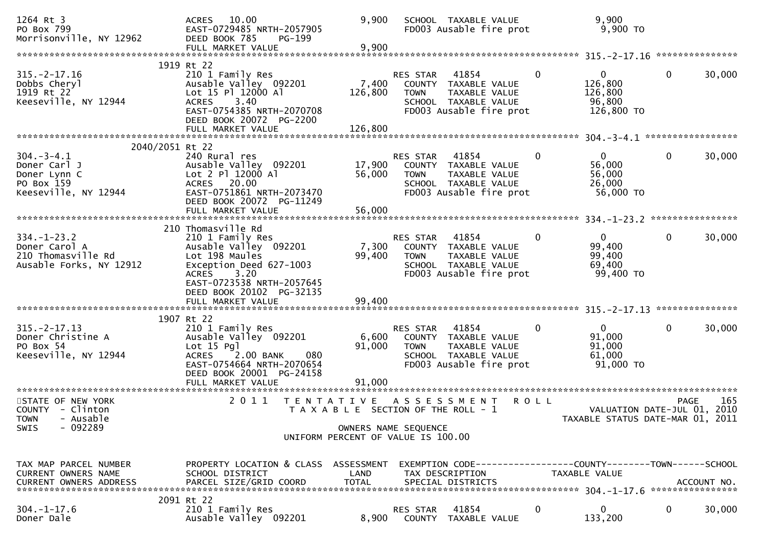| 1264 Rt 3<br>PO Box 799<br>Morrisonville, NY 12962                                     | 10.00<br><b>ACRES</b><br>EAST-0729485 NRTH-2057905<br>DEED BOOK 785<br>PG-199<br>FULL MARKET VALUE                                                                                                                 | 9,900<br>9,900                        |                                             | SCHOOL TAXABLE VALUE<br>FD003 Ausable fire prot                                                   |             | 9,900<br>9,900 TO                                               |              |        |
|----------------------------------------------------------------------------------------|--------------------------------------------------------------------------------------------------------------------------------------------------------------------------------------------------------------------|---------------------------------------|---------------------------------------------|---------------------------------------------------------------------------------------------------|-------------|-----------------------------------------------------------------|--------------|--------|
|                                                                                        |                                                                                                                                                                                                                    |                                       |                                             |                                                                                                   |             |                                                                 |              |        |
| $315. -2 - 17.16$<br>Dobbs Cheryl<br>1919 Rt 22<br>Keeseville, NY 12944                | 1919 Rt 22<br>210 1 Family Res<br>Ausable Valley 092201<br>Lot 15 Pl 12000 Al<br>3.40<br><b>ACRES</b><br>EAST-0754385 NRTH-2070708<br>DEED BOOK 20072 PG-2200                                                      | 7,400<br>126,800                      | RES STAR<br><b>TOWN</b>                     | 41854<br>COUNTY TAXABLE VALUE<br>TAXABLE VALUE<br>SCHOOL TAXABLE VALUE<br>FD003 Ausable fire prot | 0           | $\mathbf{0}$<br>126,800<br>126,800<br>96,800<br>126,800 TO      | $\Omega$     | 30,000 |
|                                                                                        |                                                                                                                                                                                                                    |                                       |                                             |                                                                                                   |             |                                                                 |              |        |
| 2040/2051 Rt 22                                                                        |                                                                                                                                                                                                                    |                                       |                                             |                                                                                                   |             |                                                                 |              |        |
| $304. - 3 - 4.1$<br>Doner Carl J<br>Doner Lynn C<br>PO Box 159<br>Keeseville, NY 12944 | 240 Rural res<br>Ausable Valley 092201<br>Lot 2 Pl 12000 Al<br>ACRES 20.00<br>EAST-0751861 NRTH-2073470<br>DEED BOOK 20072 PG-11249<br>FULL MARKET VALUE                                                           | 17,900<br>56,000<br>56,000            | RES STAR<br><b>TOWN</b>                     | 41854<br>COUNTY TAXABLE VALUE<br>TAXABLE VALUE<br>SCHOOL TAXABLE VALUE<br>FD003 Ausable fire prot | 0           | $\overline{0}$<br>56,000<br>56,000<br>26,000<br>56,000 TO       | $\mathbf{0}$ | 30,000 |
|                                                                                        |                                                                                                                                                                                                                    |                                       |                                             |                                                                                                   |             |                                                                 |              |        |
| $334. - 1 - 23.2$<br>Doner Carol A<br>210 Thomasville Rd<br>Ausable Forks, NY 12912    | 210 Thomasville Rd<br>210 1 Family Res<br>Ausable Valley 092201<br>Lot 198 Maules<br>Exception Deed 627-1003<br>3.20<br><b>ACRES</b><br>EAST-0723538 NRTH-2057645<br>DEED BOOK 20102 PG-32135<br>FULL MARKET VALUE | 7,300<br>99,400<br>99,400             | RES STAR<br><b>TOWN</b>                     | 41854<br>COUNTY TAXABLE VALUE<br>TAXABLE VALUE<br>SCHOOL TAXABLE VALUE<br>FD003 Ausable fire prot | $\Omega$    | $\mathbf{0}$<br>99,400<br>99,400<br>69,400<br>99,400 TO         | $\mathbf{0}$ | 30,000 |
|                                                                                        |                                                                                                                                                                                                                    |                                       |                                             |                                                                                                   |             |                                                                 |              |        |
|                                                                                        | 1907 Rt 22                                                                                                                                                                                                         |                                       |                                             |                                                                                                   |             |                                                                 |              |        |
| $315. -2 - 17.13$<br>Doner Christine A<br>PO Box 54<br>Keeseville, NY 12944            | 210 1 Family Res<br>Ausable Valley 092201<br>$Lot 15$ Pg<br><b>ACRES</b><br>2.00 BANK<br>080<br>EAST-0754664 NRTH-2070654<br>DEED BOOK 20001 PG-24158<br>FULL MARKET VALUE                                         | 6,600<br>91,000<br>91,000             | RES STAR<br><b>TOWN</b>                     | 41854<br>COUNTY TAXABLE VALUE<br>TAXABLE VALUE<br>SCHOOL TAXABLE VALUE<br>FD003 Ausable fire prot | $\mathbf 0$ | $\mathbf{0}$<br>91,000<br>91,000<br>61,000<br>$91,000$ TO       | $\mathbf{0}$ | 30,000 |
|                                                                                        |                                                                                                                                                                                                                    |                                       |                                             |                                                                                                   |             |                                                                 |              |        |
| STATE OF NEW YORK<br>COUNTY - Clinton<br>TOWN - Ausable<br>$-092289$<br><b>SWIS</b>    | 2011<br>T E N T A T I V E                                                                                                                                                                                          | T A X A B L E SECTION OF THE ROLL - 1 | A S S E S S M E N T<br>OWNERS NAME SEQUENCE |                                                                                                   | <b>ROLL</b> | VALUATION DATE-JUL 01, 2010<br>TAXABLE STATUS DATE-MAR 01, 2011 | <b>PAGE</b>  | 165    |
|                                                                                        |                                                                                                                                                                                                                    | UNIFORM PERCENT OF VALUE IS 100.00    |                                             |                                                                                                   |             |                                                                 |              |        |
|                                                                                        |                                                                                                                                                                                                                    |                                       |                                             |                                                                                                   |             |                                                                 |              |        |
| TAX MAP PARCEL NUMBER<br><b>CURRENT OWNERS NAME</b>                                    | PROPERTY LOCATION & CLASS ASSESSMENT<br>SCHOOL DISTRICT                                                                                                                                                            | LAND                                  | TAX DESCRIPTION                             | EXEMPTION CODE------------------COUNTY--------TOWN------SCHOOL                                    |             | <b>TAXABLE VALUE</b>                                            |              |        |
|                                                                                        | 2091 Rt 22                                                                                                                                                                                                         |                                       |                                             |                                                                                                   |             |                                                                 |              |        |
| $304. - 1 - 17.6$<br>Doner Dale                                                        | 210 1 Family Res<br>Ausable Valley 092201                                                                                                                                                                          | 8,900                                 | RES STAR                                    | 41854<br>COUNTY TAXABLE VALUE                                                                     | 0           | $\Omega$<br>133,200                                             | 0            | 30,000 |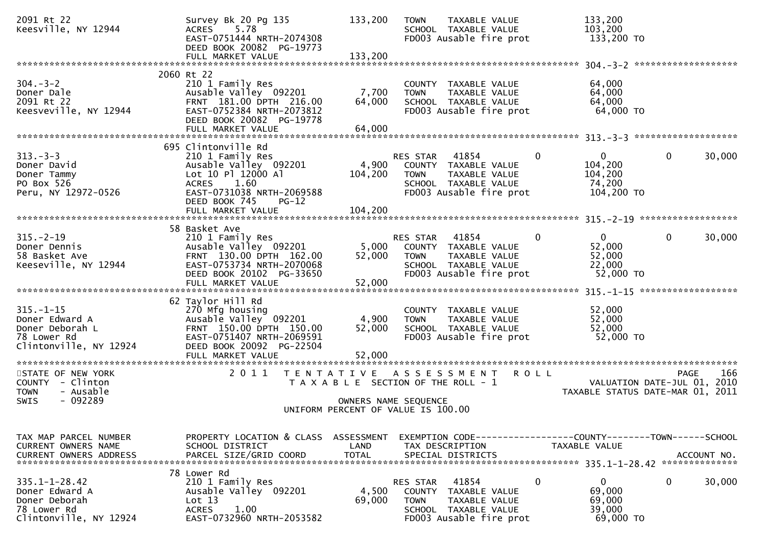| 2091 Rt 22<br>Keesville, NY 12944                                                               | Survey Bk 20 Pg 135<br>5.78<br><b>ACRES</b><br>EAST-0751444 NRTH-2074308<br>DEED BOOK 20082 PG-19773<br>FULL MARKET VALUE                                               | 133,200<br>133,200                 | <b>TOWN</b><br>TAXABLE VALUE<br>SCHOOL TAXABLE VALUE<br>FD003 Ausable fire prot                                                        | 133,200<br>103,200<br>133,200 TO                                                                |
|-------------------------------------------------------------------------------------------------|-------------------------------------------------------------------------------------------------------------------------------------------------------------------------|------------------------------------|----------------------------------------------------------------------------------------------------------------------------------------|-------------------------------------------------------------------------------------------------|
|                                                                                                 |                                                                                                                                                                         |                                    |                                                                                                                                        |                                                                                                 |
| $304 - 3 - 2$<br>Doner Dale<br>2091 Rt 22<br>Keesveville, NY 12944                              | 2060 Rt 22<br>210 1 Family Res<br>Ausable Valley 092201<br>FRNT 181.00 DPTH 216.00<br>EAST-0752384 NRTH-2073812<br>DEED BOOK 20082 PG-19778                             | 7,700<br>64,000                    | COUNTY TAXABLE VALUE<br>TAXABLE VALUE<br><b>TOWN</b><br>SCHOOL TAXABLE VALUE<br>FD003 Ausable fire prot                                | 64,000<br>64,000<br>64,000<br>64,000 TO                                                         |
|                                                                                                 |                                                                                                                                                                         |                                    |                                                                                                                                        |                                                                                                 |
| $313 - 3 - 3$<br>Doner David<br>Doner Tammy<br>PO Box 526<br>Peru, NY 12972-0526                | 695 Clintonville Rd<br>210 1 Family Res<br>Ausable Valley 092201<br>Lot 10 Pl 12000 Al<br><b>ACRES</b><br>1.60<br>EAST-0731038 NRTH-2069588<br>DEED BOOK 745<br>$PG-12$ | 4,900<br>104,200                   | RES STAR 41854<br>COUNTY TAXABLE VALUE<br>TAXABLE VALUE<br><b>TOWN</b><br>SCHOOL TAXABLE VALUE<br>FD003 Ausable fire prot              | 0<br>$\mathbf{0}$<br>0<br>30,000<br>104,200<br>104,200<br>74,200<br>104,200 TO                  |
|                                                                                                 |                                                                                                                                                                         |                                    |                                                                                                                                        |                                                                                                 |
| $315. - 2 - 19$<br>Doner Dennis<br>58 Basket Ave<br>Keeseville, NY 12944                        | 58 Basket Ave<br>210 1 Family Res<br>Ausable Valley 092201<br>FRNT 130.00 DPTH 162.00<br>EAST-0753734 NRTH-2070068<br>DEED BOOK 20102 PG-33650                          | 5,000<br>52,000                    | RES STAR 41854<br>COUNTY TAXABLE VALUE<br>TAXABLE VALUE<br><b>TOWN</b><br>SCHOOL TAXABLE VALUE<br>FD003 Ausable fire prot              | $\mathbf 0$<br>$\mathbf 0$<br>$\mathbf{0}$<br>30,000<br>52,000<br>52,000<br>22,000<br>52,000 TO |
|                                                                                                 |                                                                                                                                                                         |                                    |                                                                                                                                        |                                                                                                 |
| $315. - 1 - 15$<br>Doner Edward A<br>Doner Deborah L<br>78 Lower Rd<br>Clintonville, NY 12924   | 62 Taylor Hill Rd<br>270 Mfg housing<br>Ausable Valley 092201<br>FRNT 150.00 DPTH 150.00<br>EAST-0751407 NRTH-2069591<br>DEED BOOK 20092 PG-22504                       | 4,900<br>52,000                    | COUNTY TAXABLE VALUE<br><b>TOWN</b><br>TAXABLE VALUE<br>SCHOOL TAXABLE VALUE<br>FD003 Ausable fire prot                                | 52,000<br>52,000<br>52,000<br>52,000 TO                                                         |
|                                                                                                 | FULL MARKET VALUE                                                                                                                                                       | 52,000                             |                                                                                                                                        |                                                                                                 |
| STATE OF NEW YORK<br>COUNTY - Clinton<br><b>TOWN</b><br>- Ausable<br>$-092289$<br>SWIS          | 2 0 1 1<br>T E N T A T I V E                                                                                                                                            | OWNERS NAME SEQUENCE               | A S S E S S M E N T<br>T A X A B L E SECTION OF THE ROLL - 1                                                                           | 166<br><b>ROLL</b><br>PAGE<br>VALUATION DATE-JUL 01, 2010<br>TAXABLE STATUS DATE-MAR 01, 2011   |
|                                                                                                 |                                                                                                                                                                         |                                    | UNIFORM PERCENT OF VALUE IS 100.00                                                                                                     |                                                                                                 |
| TAX MAP PARCEL NUMBER<br>CURRENT OWNERS NAME<br><b>CURRENT OWNERS ADDRESS</b>                   | PROPERTY LOCATION & CLASS<br>SCHOOL DISTRICT<br>PARCEL SIZE/GRID COORD                                                                                                  | ASSESSMENT<br>LAND<br><b>TOTAL</b> | TAX DESCRIPTION<br>SPECIAL DISTRICTS                                                                                                   | TAXABLE VALUE<br>ACCOUNT NO.                                                                    |
| $335.1 - 1 - 28.42$<br>Doner Edward A<br>Doner Deborah<br>78 Lower Rd<br>Clintonville, NY 12924 | 78 Lower Rd<br>210 1 Family Res<br>Ausable Valley 092201<br>Lot 13<br>1.00<br><b>ACRES</b><br>EAST-0732960 NRTH-2053582                                                 | 4,500<br>69,000                    | 41854<br>RES STAR<br><b>COUNTY</b><br>TAXABLE VALUE<br><b>TOWN</b><br>TAXABLE VALUE<br>SCHOOL TAXABLE VALUE<br>FD003 Ausable fire prot | $\mathbf 0$<br>$\mathbf{0}$<br>0<br>30,000<br>69,000<br>69,000<br>39,000<br>69,000 TO           |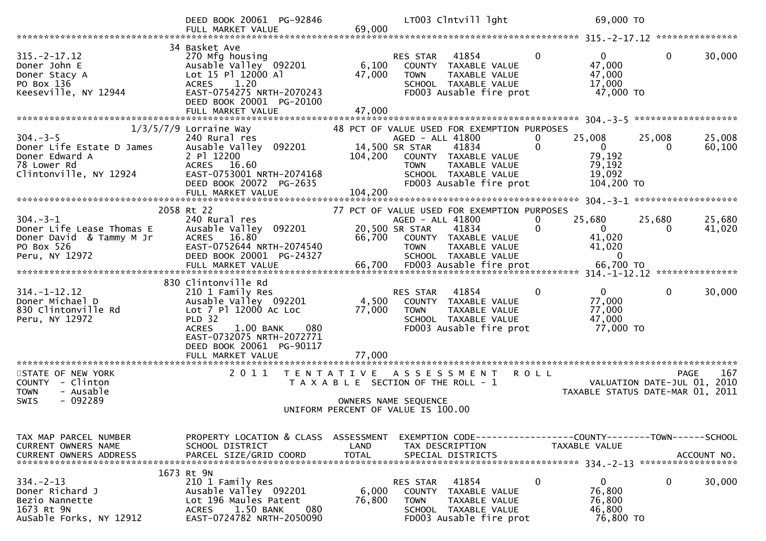|                                                                                                        | DEED BOOK 20061 PG-92846                                                                                                                                                                                |                                           | LT003 Clntvill lght                                                                                                                                                                 | 69,000 TO                                                                             |                                                                                       |
|--------------------------------------------------------------------------------------------------------|---------------------------------------------------------------------------------------------------------------------------------------------------------------------------------------------------------|-------------------------------------------|-------------------------------------------------------------------------------------------------------------------------------------------------------------------------------------|---------------------------------------------------------------------------------------|---------------------------------------------------------------------------------------|
|                                                                                                        | FULL MARKET VALUE                                                                                                                                                                                       | 69,000                                    |                                                                                                                                                                                     |                                                                                       |                                                                                       |
| $315. -2 - 17.12$<br>Doner John E<br>Doner Stacy A<br>PO Box 136<br>Keeseville, NY 12944               | 34 Basket Ave<br>270 Mfg housing<br>Ausable Valley 092201<br>Lot 15 Pl 12000 Al<br>1.20<br><b>ACRES</b><br>EAST-0754275 NRTH-2070243<br>DEED BOOK 20001 PG-20100<br>FULL MARKET VALUE                   | 6,100<br>47,000<br>47,000                 | 41854<br>RES STAR<br>COUNTY TAXABLE VALUE<br><b>TOWN</b><br>TAXABLE VALUE<br>SCHOOL TAXABLE VALUE<br>FD003 Ausable fire prot                                                        | $\mathbf{0}$<br>$\overline{0}$<br>47,000<br>47,000<br>17,000<br>47,000 TO             | $\mathbf{0}$<br>30,000                                                                |
|                                                                                                        |                                                                                                                                                                                                         |                                           |                                                                                                                                                                                     |                                                                                       |                                                                                       |
| $304. - 3 - 5$<br>Doner Life Estate D James<br>Doner Edward A<br>78 Lower Rd<br>Clintonville, NY 12924 | $1/3/5/7/9$ Lorraine Way<br>240 Rural res<br>Ausable Valley 092201<br>2 P1 12200<br>ACRES 16.60<br>EAST-0753001 NRTH-2074168<br>DEED BOOK 20072 PG-2635                                                 | 14,500 SR STAR<br>104,200                 | 48 PCT OF VALUE USED FOR EXEMPTION PURPOSES<br>AGED - ALL 41800<br>41834<br>COUNTY TAXABLE VALUE<br>TAXABLE VALUE<br><b>TOWN</b><br>SCHOOL TAXABLE VALUE<br>FD003 Ausable fire prot | 25,008<br>0<br>$\Omega$<br>$\overline{0}$<br>79,192<br>79,192<br>19,092<br>104,200 TO | 25,008<br>25,008<br>$\Omega$<br>60,100                                                |
|                                                                                                        | FULL MARKET VALUE                                                                                                                                                                                       | 104,200                                   |                                                                                                                                                                                     |                                                                                       |                                                                                       |
| $304 - 3 - 1$<br>Doner Life Lease Thomas E<br>Doner David & Tammy M Jr<br>PO Box 526<br>Peru, NY 12972 | 2058 Rt 22<br>240 Rural res<br>Ausable Valley 092201<br>ACRES 16.80<br>EAST-0752644 NRTH-2074540<br>DEED BOOK 20001 PG-24327<br>FULL MARKET VALUE                                                       | 20,500 SR STAR<br>66,700<br>66,700        | 77 PCT OF VALUE USED FOR EXEMPTION PURPOSES<br>AGED - ALL 41800<br>41834<br>COUNTY TAXABLE VALUE<br>TAXABLE VALUE<br><b>TOWN</b><br>SCHOOL TAXABLE VALUE<br>FD003 Ausable fire prot | 25,680<br>0<br>$\Omega$<br>0<br>41,020<br>41,020<br>$\Omega$<br>66,700 TO             | 25,680<br>25,680<br>41,020<br>$\Omega$                                                |
| $314. - 1 - 12.12$<br>Doner Michael D<br>830 Clintonville Rd<br>Peru, NY 12972                         | 830 Clintonville Rd<br>210 1 Family Res<br>Ausable Valley 092201<br>Lot 7 Pl 12000 Ac Loc<br><b>PLD 32</b><br><b>ACRES</b><br>1.00 BANK<br>080<br>EAST-0732075 NRTH-2072771<br>DEED BOOK 20061 PG-90117 | 4,500<br>77,000                           | 41854<br>RES STAR<br>COUNTY TAXABLE VALUE<br><b>TOWN</b><br>TAXABLE VALUE<br>SCHOOL TAXABLE VALUE<br>FD003 Ausable fire prot                                                        | $\mathbf{0}$<br>$\overline{0}$<br>77,000<br>77,000<br>47,000<br>77,000 TO             | $\mathbf{0}$<br>30,000                                                                |
| **********************                                                                                 | FULL MARKET VALUE<br>***********************                                                                                                                                                            | 77,000                                    |                                                                                                                                                                                     |                                                                                       |                                                                                       |
| STATE OF NEW YORK<br>COUNTY - Clinton<br>- Ausable<br><b>TOWN</b><br>$-092289$<br><b>SWIS</b>          | 2 0 1 1                                                                                                                                                                                                 | T E N T A T I V E<br>OWNERS NAME SEQUENCE | A S S E S S M E N T<br>T A X A B L E SECTION OF THE ROLL - 1<br>UNIFORM PERCENT OF VALUE IS 100.00                                                                                  | <b>ROLL</b>                                                                           | 167<br><b>PAGE</b><br>VALUATION DATE-JUL 01, 2010<br>TAXABLE STATUS DATE-MAR 01, 2011 |
| TAX MAP PARCEL NUMBER<br>CURRENT OWNERS NAME<br><b>CURRENT OWNERS ADDRESS</b>                          | PROPERTY LOCATION & CLASS<br>SCHOOL DISTRICT<br>PARCEL SIZE/GRID COORD                                                                                                                                  | ASSESSMENT<br>LAND<br><b>TOTAL</b>        | EXEMPTION CODE-----------------COUNTY-------TOWN------SCHOOL<br>TAX DESCRIPTION<br>SPECIAL DISTRICTS                                                                                | TAXABLE VALUE                                                                         | ACCOUNT NO.<br>******************                                                     |
| $334. -2 - 13$<br>Doner Richard J<br>Bezio Nannette<br>1673 Rt 9N<br>AuSable Forks, NY 12912           | 1673 Rt 9N<br>210 1 Family Res<br>Ausable Valley 092201<br>Lot 196 Maules Patent<br>1.50 BANK<br>080<br><b>ACRES</b><br>EAST-0724782 NRTH-2050090                                                       | 6,000<br>76,800                           | 41854<br>RES STAR<br><b>COUNTY</b><br>TAXABLE VALUE<br><b>TOWN</b><br>TAXABLE VALUE<br>SCHOOL TAXABLE VALUE<br>FD003 Ausable fire prot                                              | $\mathbf 0$<br>$\mathbf{0}$<br>76,800<br>76,800<br>46,800<br>76,800 TO                | $\mathbf{0}$<br>30,000                                                                |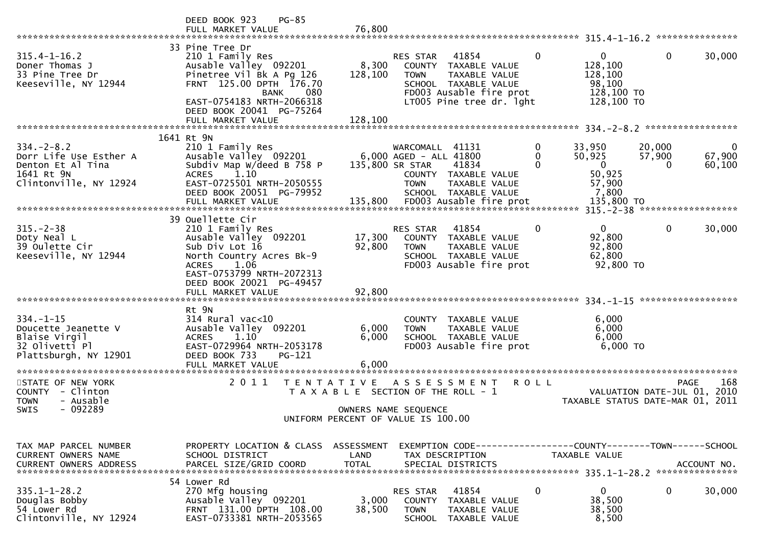|                                                                                                         | DEED BOOK 923<br>$PG-85$<br>FULL MARKET VALUE                                                                                                                                                      | 76,800                  |                                                                                                                                                          |                    |                                                                            |                                            |                       |
|---------------------------------------------------------------------------------------------------------|----------------------------------------------------------------------------------------------------------------------------------------------------------------------------------------------------|-------------------------|----------------------------------------------------------------------------------------------------------------------------------------------------------|--------------------|----------------------------------------------------------------------------|--------------------------------------------|-----------------------|
|                                                                                                         |                                                                                                                                                                                                    |                         |                                                                                                                                                          |                    |                                                                            |                                            |                       |
| $315.4 - 1 - 16.2$<br>Doner Thomas J<br>33 Pine Tree Dr<br>Keeseville, NY 12944                         | 33 Pine Tree Dr<br>210 1 Family Res<br>Ausable Valley 092201<br>Pinetree Vil Bk A Pg 126<br>FRNT 125.00 DPTH 176.70<br><b>BANK</b><br>080<br>EAST-0754183 NRTH-2066318<br>DEED BOOK 20041 PG-75264 | 8,300<br>128,100        | 41854<br>RES STAR<br>COUNTY TAXABLE VALUE<br><b>TOWN</b><br>TAXABLE VALUE<br>SCHOOL TAXABLE VALUE<br>FD003 Ausable fire prot<br>LT005 Pine tree dr. 1ght | $\mathbf{0}$       | $\overline{0}$<br>128,100<br>128,100<br>98,100<br>128,100 TO<br>128,100 TO | $\mathbf{0}$                               | 30,000                |
|                                                                                                         | FULL MARKET VALUE                                                                                                                                                                                  | 128,100                 |                                                                                                                                                          |                    |                                                                            |                                            |                       |
| $334. - 2 - 8.2$<br>Dorr Life Use Esther A<br>Denton Et Al Tina<br>1641 Rt 9N<br>Clintonville, NY 12924 | 1641 Rt 9N<br>210 1 Family Res<br>Ausable Valley 092201<br>Subdiv Map W/deed B 758 P<br>1.10<br><b>ACRES</b><br>EAST-0725501 NRTH-2050555<br>DEED BOOK 20051 PG-79952                              |                         | WARCOMALL 41131<br>6,000 AGED - ALL 41800<br>135,800 SR STAR<br>41834<br>COUNTY TAXABLE VALUE<br><b>TOWN</b><br>TAXABLE VALUE<br>SCHOOL TAXABLE VALUE    | 0<br>0<br>$\Omega$ | 33,950<br>50,925<br>$\mathbf{0}$<br>50,925<br>57,900<br>7,800              | 20,000<br>57,900<br>$\Omega$               | 0<br>67,900<br>60,100 |
|                                                                                                         |                                                                                                                                                                                                    |                         |                                                                                                                                                          |                    |                                                                            |                                            |                       |
|                                                                                                         |                                                                                                                                                                                                    |                         |                                                                                                                                                          |                    |                                                                            |                                            |                       |
| $315. - 2 - 38$<br>Doty Neal L<br>39 Oulette Cir<br>Keeseville, NY 12944                                | 39 Ouellette Cir<br>210 1 Family Res<br>Ausable Valley 092201<br>Sub Div Lot 16<br>North Country Acres Bk-9<br>1.06<br><b>ACRES</b><br>EAST-0753799 NRTH-2072313<br>DEED BOOK 20021 PG-49457       | 17,300<br>92,800        | 41854<br>RES STAR<br>COUNTY TAXABLE VALUE<br><b>TOWN</b><br>TAXABLE VALUE<br>SCHOOL TAXABLE VALUE<br>FD003 Ausable fire prot                             | $\mathbf{0}$       | $\Omega$<br>92,800<br>92,800<br>62,800<br>92,800 TO                        | $\mathbf 0$                                | 30,000                |
|                                                                                                         | FULL MARKET VALUE                                                                                                                                                                                  | 92,800                  |                                                                                                                                                          |                    |                                                                            |                                            |                       |
|                                                                                                         |                                                                                                                                                                                                    |                         |                                                                                                                                                          |                    |                                                                            |                                            |                       |
| $334. - 1 - 15$<br>Doucette Jeanette V<br>Blaise Virgil<br>32 Olivetti Pl<br>Plattsburgh, NY 12901      | Rt 9N<br>$314$ Rural vac<10<br>Ausable Valley 092201<br>1.10<br><b>ACRES</b><br>EAST-0729964 NRTH-2053178<br>DEED BOOK 733<br>PG-121<br>FULL MARKET VALUE                                          | 6,000<br>6,000<br>6,000 | COUNTY TAXABLE VALUE<br>TAXABLE VALUE<br><b>TOWN</b><br>SCHOOL TAXABLE VALUE<br>FD003 Ausable fire prot                                                  |                    | 6,000<br>6,000<br>6,000<br>6,000 TO                                        |                                            |                       |
|                                                                                                         |                                                                                                                                                                                                    |                         |                                                                                                                                                          |                    |                                                                            |                                            |                       |
| STATE OF NEW YORK<br>COUNTY - Clinton<br>- Ausable<br><b>TOWN</b>                                       | 2011<br>T E N T A T I V E                                                                                                                                                                          |                         | A S S E S S M E N T<br>T A X A B L E SECTION OF THE ROLL - 1                                                                                             | <b>ROLL</b>        | TAXABLE STATUS DATE-MAR 01, 2011                                           | <b>PAGE</b><br>VALUATION DATE-JUL 01, 2010 | 168                   |
| - 092289<br><b>SWIS</b>                                                                                 |                                                                                                                                                                                                    |                         | OWNERS NAME SEQUENCE<br>UNIFORM PERCENT OF VALUE IS 100.00                                                                                               |                    |                                                                            |                                            |                       |
|                                                                                                         |                                                                                                                                                                                                    |                         |                                                                                                                                                          |                    |                                                                            |                                            |                       |
| TAX MAP PARCEL NUMBER<br>CURRENT OWNERS NAME                                                            | PROPERTY LOCATION & CLASS ASSESSMENT<br>SCHOOL DISTRICT                                                                                                                                            | LAND                    | EXEMPTION CODE-----------------COUNTY-------TOWN------SCHOOL<br>TAX DESCRIPTION                                                                          |                    | TAXABLE VALUE                                                              |                                            |                       |
|                                                                                                         | 54 Lower Rd                                                                                                                                                                                        |                         |                                                                                                                                                          |                    |                                                                            |                                            |                       |
| $335.1 - 1 - 28.2$<br>Douglas Bobby<br>54 Lower Rd<br>Clintonville, NY 12924                            | 270 Mfg housing<br>Ausable Valley 092201<br>FRNT 131.00 DPTH 108.00<br>EAST-0733381 NRTH-2053565                                                                                                   | 3,000<br>38,500         | 41854<br>RES STAR<br><b>COUNTY</b><br>TAXABLE VALUE<br><b>TOWN</b><br>TAXABLE VALUE<br><b>SCHOOL</b><br>TAXABLE VALUE                                    | 0                  | $\mathbf 0$<br>38,500<br>38,500<br>8,500                                   | 0                                          | 30,000                |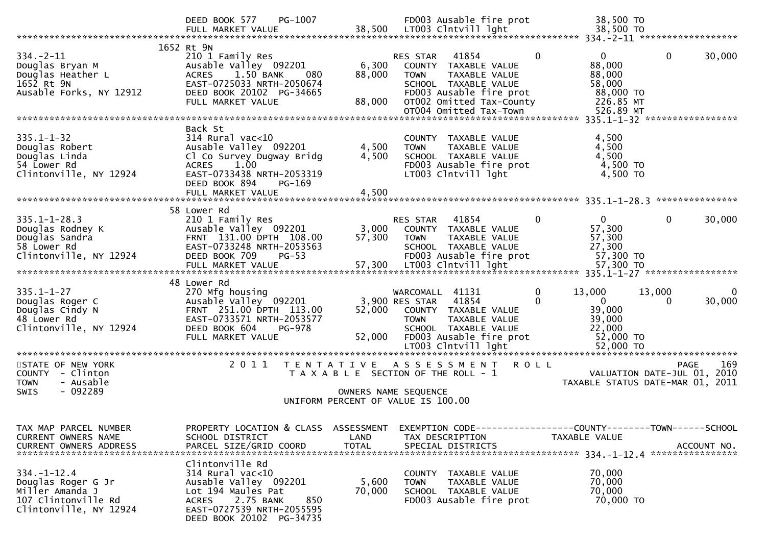|                                                                                                             | PG-1007<br>DEED BOOK 577<br>FULL MARKET VALUE                                                                                                                                            | 38,500                    | FD003 Ausable fire prot<br>LT003 Clntvill lght                                                                                                                                     | 38,500 TO<br>38,500 TO                                                                       |                                                                                          |
|-------------------------------------------------------------------------------------------------------------|------------------------------------------------------------------------------------------------------------------------------------------------------------------------------------------|---------------------------|------------------------------------------------------------------------------------------------------------------------------------------------------------------------------------|----------------------------------------------------------------------------------------------|------------------------------------------------------------------------------------------|
| $334. -2 - 11$<br>Douglas Bryan M<br>Douglas Heather L<br>1652 Rt 9N<br>Ausable Forks, NY 12912             | 1652 Rt 9N<br>210 1 Family Res<br>Ausable Valley 092201<br>1.50 BANK<br><b>ACRES</b><br>080<br>EAST-0725033 NRTH-2050674<br>DEED BOOK 20102 PG-34665<br>FULL MARKET VALUE                | 6,300<br>88,000<br>88,000 | 41854<br>RES STAR<br>COUNTY TAXABLE VALUE<br><b>TOWN</b><br>TAXABLE VALUE<br>SCHOOL TAXABLE VALUE<br>FD003 Ausable fire prot<br>OT002 Omitted Tax-County<br>OT004 Omitted Tax-Town | $\Omega$<br>0<br>88,000<br>88,000<br>58,000<br>88,000 TO<br>226.85 MT<br>526.89 MT           | 0<br>30,000                                                                              |
|                                                                                                             |                                                                                                                                                                                          |                           |                                                                                                                                                                                    |                                                                                              |                                                                                          |
| $335.1 - 1 - 32$<br>Douglas Robert<br>Douglas Linda<br>54 Lower Rd<br>Clintonville, NY 12924                | Back St<br>$314$ Rural vac<10<br>Ausable Valley 092201<br>Cl Co Survey Dugway Bridg<br>1.00<br><b>ACRES</b><br>EAST-0733438 NRTH-2053319<br>DEED BOOK 894<br>PG-169<br>FULL MARKET VALUE | 4,500<br>4,500<br>4,500   | COUNTY TAXABLE VALUE<br><b>TOWN</b><br>TAXABLE VALUE<br>SCHOOL TAXABLE VALUE<br>FD003 Ausable fire prot<br>LT003 Clntvill lght                                                     | 4,500<br>4,500<br>4,500<br>4,500 TO<br>4,500 TO                                              |                                                                                          |
|                                                                                                             |                                                                                                                                                                                          |                           |                                                                                                                                                                                    |                                                                                              |                                                                                          |
| $335.1 - 1 - 28.3$<br>Douglas Rodney K<br>Douglas Sandra<br>58 Lower Rd<br>Clintonville, NY 12924           | 58 Lower Rd<br>210 1 Family Res<br>Ausable Valley 092201<br>FRNT 131.00 DPTH 108.00<br>EAST-0733248 NRTH-2053563<br>DEED BOOK 709<br>$PG-53$<br>FULL MARKET VALUE                        | 3,000<br>57,300<br>57,300 | 41854<br><b>RES STAR</b><br>COUNTY TAXABLE VALUE<br>TAXABLE VALUE<br><b>TOWN</b><br>SCHOOL TAXABLE VALUE<br>FD003 Ausable fire prot<br>LT003 Clntvill lght                         | 0<br>$\Omega$<br>57,300<br>57,300<br>27,300<br>57,300 TO<br>57,300 TO                        | $\mathbf{0}$<br>30,000                                                                   |
|                                                                                                             | 48 Lower Rd                                                                                                                                                                              |                           |                                                                                                                                                                                    |                                                                                              |                                                                                          |
| $335.1 - 1 - 27$<br>Douglas Roger C<br>Douglas Cindy N<br>48 Lower Rd<br>Clintonville, NY 12924             | 270 Mfg housing<br>Ausable Valley 092201<br>FRNT 251.00 DPTH 113.00<br>EAST-0733571 NRTH-2053577<br>DEED BOOK 604<br><b>PG-978</b><br>FULL MARKET VALUE                                  | 52,000<br>52,000          | WARCOMALL 41131<br>41854<br>3,900 RES STAR<br>COUNTY TAXABLE VALUE<br><b>TOWN</b><br>TAXABLE VALUE<br>SCHOOL TAXABLE VALUE<br>FD003 Ausable fire prot                              | $\mathbf 0$<br>13,000<br>$\Omega$<br>$\mathbf{0}$<br>39,000<br>39,000<br>22,000<br>52,000 TO | 13,000<br>0<br>30,000<br>$\Omega$                                                        |
|                                                                                                             |                                                                                                                                                                                          |                           |                                                                                                                                                                                    |                                                                                              |                                                                                          |
| STATE OF NEW YORK<br>COUNTY - Clinton<br>- Ausable<br><b>TOWN</b><br>$-092289$<br><b>SWIS</b>               | 2011<br>T E N T A T I V E                                                                                                                                                                |                           | A S S E S S M E N T<br>T A X A B L E SECTION OF THE ROLL - 1<br>OWNERS NAME SEQUENCE                                                                                               | <b>ROLL</b>                                                                                  | 169<br><b>PAGE</b><br>2010<br>VALUATION DATE-JUL 01,<br>TAXABLE STATUS DATE-MAR 01, 2011 |
|                                                                                                             |                                                                                                                                                                                          |                           | UNIFORM PERCENT OF VALUE IS 100.00                                                                                                                                                 |                                                                                              |                                                                                          |
| TAX MAP PARCEL NUMBER<br>CURRENT OWNERS NAME<br><b>CURRENT OWNERS ADDRESS</b>                               | PROPERTY LOCATION & CLASS ASSESSMENT<br>SCHOOL DISTRICT<br>PARCEL SIZE/GRID COORD                                                                                                        | LAND<br><b>TOTAL</b>      | EXEMPTION CODE------------------COUNTY--------TOWN------SCHOOL<br>TAX DESCRIPTION<br>SPECIAL DISTRICTS                                                                             | TAXABLE VALUE                                                                                | ACCOUNT NO.                                                                              |
| $334. - 1 - 12.4$<br>Douglas Roger G Jr<br>Miller Amanda J<br>107 Clintonville Rd<br>Clintonville, NY 12924 | Clintonville Rd<br>314 Rural vac<10<br>Ausable Valley 092201<br>Lot 194 Maules Pat<br>2.75 BANK<br>850<br><b>ACRES</b><br>EAST-0727539 NRTH-2055595<br>DEED BOOK 20102 PG-34735          | 5,600<br>70,000           | COUNTY TAXABLE VALUE<br>TAXABLE VALUE<br><b>TOWN</b><br>SCHOOL TAXABLE VALUE<br>FD003 Ausable fire prot                                                                            | 70,000<br>70,000<br>70,000<br>70,000 TO                                                      |                                                                                          |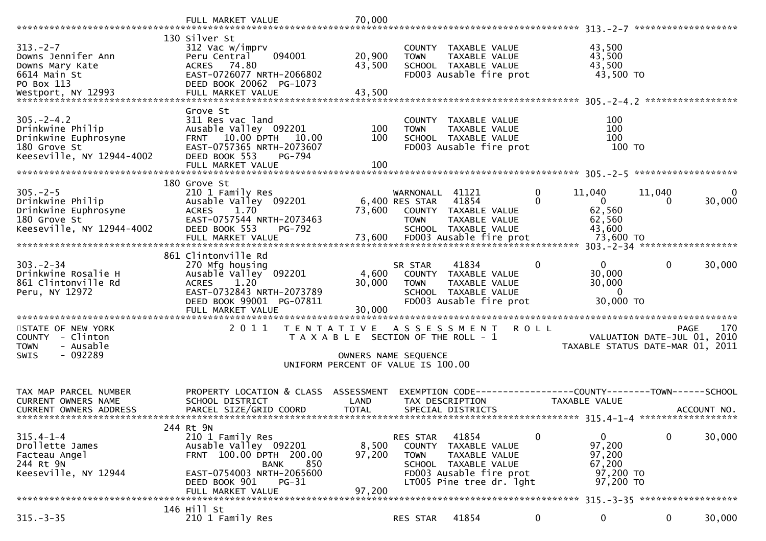|                                                                                                            | FULL MARKET VALUE                                                                                                                                                                     | 70,000                                   |                                                                                                                                                                    |                   |                                                               | *******************                   |                     |
|------------------------------------------------------------------------------------------------------------|---------------------------------------------------------------------------------------------------------------------------------------------------------------------------------------|------------------------------------------|--------------------------------------------------------------------------------------------------------------------------------------------------------------------|-------------------|---------------------------------------------------------------|---------------------------------------|---------------------|
| $313 - 2 - 7$<br>Downs Jennifer Ann<br>Downs Mary Kate<br>6614 Main St<br>PO Box 113<br>Westport, NY 12993 | 130 Silver St<br>312 Vac w/imprv<br>094001<br>Peru Central<br>ACRES 74.80<br>EAST-0726077 NRTH-2066802<br>DEED BOOK 20062 PG-1073<br>FULL MARKET VALUE                                | 20,900<br>43,500<br>43,500               | COUNTY TAXABLE VALUE<br>TAXABLE VALUE<br><b>TOWN</b><br>SCHOOL TAXABLE VALUE<br>FD003 Ausable fire prot                                                            |                   | 43,500<br>43,500<br>43,500<br>43,500 TO                       |                                       |                     |
| $305. -2 - 4.2$<br>Drinkwine Philip<br>Drinkwine Euphrosyne<br>180 Grove St<br>Keeseville, NY 12944-4002   | Grove St<br>311 Res vac land<br>Ausable Valley 092201<br>FRNT 10.00 DPTH<br>10.00<br>EAST-0757365 NRTH-2073607<br>DEED BOOK 553<br>PG-794<br>FULL MARKET VALUE                        | 100<br>100<br>100                        | <b>COUNTY</b><br>TAXABLE VALUE<br>TAXABLE VALUE<br><b>TOWN</b><br>SCHOOL TAXABLE VALUE<br>FD003 Ausable fire prot                                                  |                   | 100<br>100<br>100<br>100 TO                                   |                                       |                     |
| $305. -2 - 5$<br>Drinkwine Philip<br>Drinkwine Euphrosyne<br>180 Grove St<br>Keeseville, NY 12944-4002     | 180 Grove St<br>210 1 Family Res<br>Ausable Valley 092201<br>1.70<br><b>ACRES</b><br>EAST-0757544 NRTH-2073463<br>DEED BOOK 553<br>PG-792<br>FULL MARKET VALUE                        | 73,600                                   | WARNONALL 41121<br>41854<br>6,400 RES STAR<br>COUNTY TAXABLE VALUE<br><b>TOWN</b><br>TAXABLE VALUE<br>SCHOOL TAXABLE VALUE                                         | 0<br>$\mathbf{0}$ | 11,040<br>$\mathbf{0}$<br>62,560<br>62,560<br>43,600          | 11,040<br>0                           | $\Omega$<br>30,000  |
| $303 - 2 - 34$<br>Drinkwine Rosalie H<br>861 Clintonville Rd<br>Peru, NY 12972                             | 861 Clintonville Rd<br>270 Mfg housing<br>Ausable Valley 092201<br><b>ACRES</b><br>1.20<br>EAST-0732843 NRTH-2073789<br>DEED BOOK 99001 PG-07811<br>FULL MARKET VALUE                 | 4,600<br>30,000<br>30,000<br>*********** | 41834<br>SR STAR<br>COUNTY<br>TAXABLE VALUE<br><b>TOWN</b><br>TAXABLE VALUE<br>SCHOOL TAXABLE VALUE<br>FD003 Ausable fire prot                                     | 0                 | $\mathbf{0}$<br>30,000<br>30,000<br>$\mathbf{0}$<br>30,000 TO | 0                                     | 30,000              |
| STATE OF NEW YORK<br>- Clinton<br>COUNTY<br>- Ausable<br><b>TOWN</b><br>$-092289$<br><b>SWIS</b>           | 2011<br>T E N T A T I V E                                                                                                                                                             |                                          | A S S E S S M E N T<br>T A X A B L E SECTION OF THE ROLL - 1<br>OWNERS NAME SEQUENCE<br>UNIFORM PERCENT OF VALUE IS 100.00                                         | <b>ROLL</b>       | TAXABLE STATUS DATE-MAR 01,                                   | <b>PAGE</b><br>VALUATION DATE-JUL 01, | 170<br>2010<br>2011 |
| TAX MAP PARCEL NUMBER<br><b>CURRENT OWNERS NAME</b><br>CURRENT OWNERS ADDRESS                              | PROPERTY LOCATION & CLASS ASSESSMENT<br>SCHOOL DISTRICT<br>PARCEL SIZE/GRID COORD                                                                                                     | LAND<br><b>TOTAL</b>                     | TAX DESCRIPTION<br>SPECIAL DISTRICTS                                                                                                                               |                   | TAXABLE VALUE                                                 |                                       | ACCOUNT NO.         |
| $315.4 - 1 - 4$<br>Drollette James<br>Facteau Angel<br>244 Rt 9N<br>Keeseville, NY 12944                   | 244 Rt 9N<br>210 1 Family Res<br>Ausable Valley 092201<br>FRNT 100.00 DPTH 200.00<br><b>BANK</b><br>850<br>EAST-0754003 NRTH-2065600<br>DEED BOOK 901<br>$PG-31$<br>FULL MARKET VALUE | 8,500<br>97,200<br>97,200                | 41854<br><b>RES STAR</b><br>COUNTY<br>TAXABLE VALUE<br><b>TOWN</b><br>TAXABLE VALUE<br>SCHOOL TAXABLE VALUE<br>FD003 Ausable fire prot<br>LT005 Pine tree dr. 1ght |                   | 0<br>97,200<br>97,200<br>67,200<br>97,200 TO<br>97,200 TO     | 0                                     | 30,000              |
| $315. - 3 - 35$                                                                                            | 146 Hill St<br>210 1 Family Res                                                                                                                                                       |                                          | 41854<br><b>RES STAR</b>                                                                                                                                           | 0                 | 0                                                             | 0                                     | 30,000              |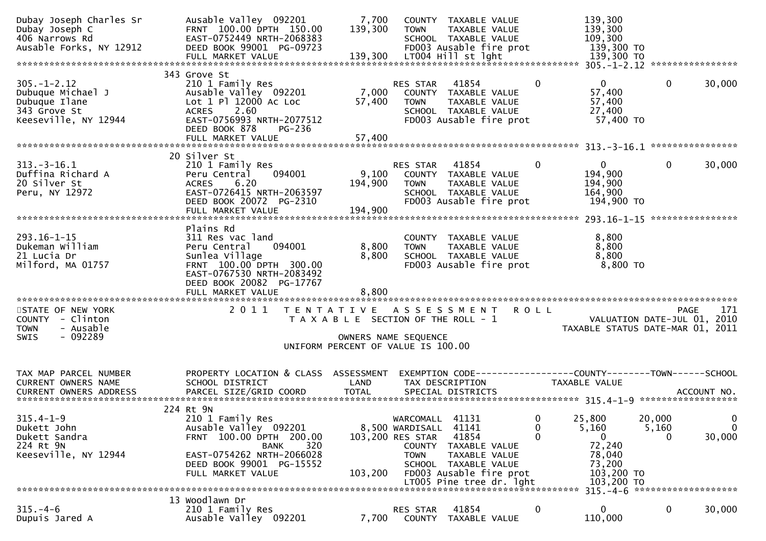| Dubay Joseph Charles Sr<br>Dubay Joseph C<br>406 Narrows Rd<br>Ausable Forks, NY 12912          | Ausable Valley 092201<br>FRNT 100.00 DPTH 150.00<br>EAST-0752449 NRTH-2068383<br>DEED BOOK 99001 PG-09723<br>FULL MARKET VALUE                                    | 7,700<br>139,300<br>139,300                                                                                                 | <b>TOWN</b>                                                                     | COUNTY TAXABLE VALUE<br>TAXABLE VALUE<br>SCHOOL TAXABLE VALUE<br>FD003 Ausable fire prot<br>LT004 Hill st lght                  |             |              | 139,300<br>139,300<br>109,300<br>139,300 TO<br>139,300 TO                      |                 |                             |
|-------------------------------------------------------------------------------------------------|-------------------------------------------------------------------------------------------------------------------------------------------------------------------|-----------------------------------------------------------------------------------------------------------------------------|---------------------------------------------------------------------------------|---------------------------------------------------------------------------------------------------------------------------------|-------------|--------------|--------------------------------------------------------------------------------|-----------------|-----------------------------|
|                                                                                                 | 343 Grove St                                                                                                                                                      |                                                                                                                             |                                                                                 |                                                                                                                                 |             |              |                                                                                |                 |                             |
| $305. - 1 - 2.12$<br>Dubuque Michael J<br>Dubuque Ilane<br>343 Grove St<br>Keeseville, NY 12944 | 210 1 Family Res<br>Ausable Valley 092201<br>Lot 1 Pl 12000 Ac Loc<br>2.60<br><b>ACRES</b><br>EAST-0756993 NRTH-2077512<br>DEED BOOK 878<br>PG-236                | 7,000<br>57,400                                                                                                             | RES STAR<br><b>TOWN</b>                                                         | 41854<br>COUNTY TAXABLE VALUE<br>TAXABLE VALUE<br>SCHOOL TAXABLE VALUE<br>FD003 Ausable fire prot                               |             | $\Omega$     | $\Omega$<br>57,400<br>57,400<br>27,400<br>57,400 TO                            | $\mathbf{0}$    | 30,000                      |
|                                                                                                 | FULL MARKET VALUE                                                                                                                                                 | 57,400                                                                                                                      |                                                                                 |                                                                                                                                 |             |              |                                                                                |                 |                             |
|                                                                                                 | 20 Silver St                                                                                                                                                      |                                                                                                                             |                                                                                 |                                                                                                                                 |             |              |                                                                                |                 |                             |
| $313. - 3 - 16.1$<br>Duffina Richard A<br>20 Silver St<br>Peru, NY 12972                        | 210 1 Family Res<br>094001<br>Peru Central<br>6.20<br><b>ACRES</b><br>EAST-0726415 NRTH-2063597<br>DEED BOOK 20072 PG-2310<br>FULL MARKET VALUE                   | 9,100<br>194,900<br>194,900                                                                                                 | <b>RES STAR</b><br><b>TOWN</b>                                                  | 41854<br>COUNTY TAXABLE VALUE<br>TAXABLE VALUE<br>SCHOOL TAXABLE VALUE<br>FD003 Ausable fire prot                               |             | $\mathbf{0}$ | $\mathbf{0}$<br>194,900<br>194,900<br>164,900<br>194,900 TO                    | 0               | 30,000                      |
|                                                                                                 |                                                                                                                                                                   |                                                                                                                             |                                                                                 |                                                                                                                                 |             |              |                                                                                |                 |                             |
| $293.16 - 1 - 15$<br>Dukeman William<br>21 Lucia Dr<br>Milford, MA 01757                        | Plains Rd<br>311 Res vac land<br>094001<br>Peru Central<br>Sunlea Village<br>FRNT 100.00 DPTH 300.00<br>EAST-0767530 NRTH-2083492<br>DEED BOOK 20082 PG-17767     | 8,800<br>8,800                                                                                                              | <b>TOWN</b>                                                                     | COUNTY TAXABLE VALUE<br>TAXABLE VALUE<br>SCHOOL TAXABLE VALUE<br>FD003 Ausable fire prot                                        |             |              | 8,800<br>8,800<br>8,800<br>8,800 TO                                            |                 |                             |
|                                                                                                 |                                                                                                                                                                   |                                                                                                                             |                                                                                 |                                                                                                                                 |             |              |                                                                                |                 |                             |
| STATE OF NEW YORK<br>COUNTY - Clinton<br>- Ausable<br><b>TOWN</b><br>- 092289<br><b>SWIS</b>    | 2011                                                                                                                                                              | TENTATIVE ASSESSMENT<br>T A X A B L E SECTION OF THE ROLL - 1<br>OWNERS NAME SEQUENCE<br>UNIFORM PERCENT OF VALUE IS 100.00 |                                                                                 |                                                                                                                                 | <b>ROLL</b> |              | VALUATION DATE-JUL 01, 2010<br>TAXABLE STATUS DATE-MAR 01, 2011                | <b>PAGE</b>     | 171                         |
| TAX MAP PARCEL NUMBER                                                                           | PROPERTY LOCATION & CLASS ASSESSMENT                                                                                                                              |                                                                                                                             |                                                                                 |                                                                                                                                 |             |              | EXEMPTION CODE------------------COUNTY--------TOWN------SCHOOL                 |                 |                             |
| CURRENT OWNERS NAME                                                                             | SCHOOL DISTRICT                                                                                                                                                   | LAND                                                                                                                        |                                                                                 | TAX DESCRIPTION                                                                                                                 |             |              | TAXABLE VALUE                                                                  |                 |                             |
|                                                                                                 | 224 Rt 9N                                                                                                                                                         |                                                                                                                             |                                                                                 |                                                                                                                                 |             |              |                                                                                |                 |                             |
| $315.4 - 1 - 9$<br>Dukett John<br>Dukett Sandra<br>224 Rt 9N<br>Keeseville, NY 12944            | 210 1 Family Res<br>Ausable Valley 092201<br>FRNT 100.00 DPTH 200.00<br>320<br>BANK<br>EAST-0754262 NRTH-2066028<br>DEED BOOK 99001 PG-15552<br>FULL MARKET VALUE | 103,200                                                                                                                     | WARCOMALL<br>8,500 WARDISALL 41141<br>103,200 RES STAR<br>COUNTY<br><b>TOWN</b> | 41131<br>41854<br>TAXABLE VALUE<br>TAXABLE VALUE<br>SCHOOL TAXABLE VALUE<br>FD003 Ausable fire prot<br>LT005 Pine tree dr. 1ght |             | 0<br>0<br>0  | 25,800<br>5,160<br>0<br>72,240<br>78,040<br>73,200<br>103,200 TO<br>103,200 TO | 20,000<br>5,160 | 0<br>$\mathbf{0}$<br>30,000 |
|                                                                                                 |                                                                                                                                                                   |                                                                                                                             |                                                                                 |                                                                                                                                 |             |              |                                                                                |                 |                             |
| $315. - 4 - 6$<br>Dupuis Jared A                                                                | 13 Woodlawn Dr<br>210 1 Family Res<br>Ausable Valley 092201                                                                                                       | 7,700                                                                                                                       | RES STAR<br>COUNTY                                                              | 41854<br>TAXABLE VALUE                                                                                                          |             | 0            | 0<br>110,000                                                                   | $\bf{0}$        | 30,000                      |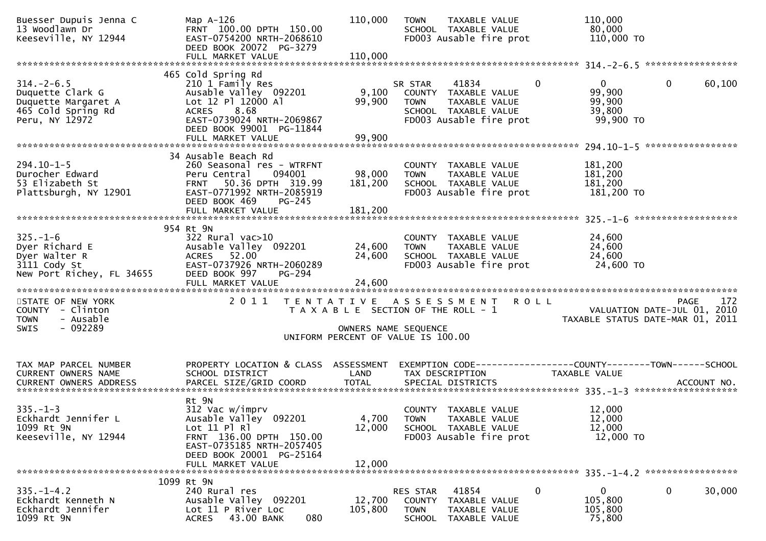| Buesser Dupuis Jenna C<br>13 Woodlawn Dr<br>Keeseville, NY 12944                                    | Map A-126<br>FRNT 100.00 DPTH 150.00<br>EAST-0754200 NRTH-2068610<br>DEED BOOK 20072 PG-3279                                                                                                | 110,000                      | <b>TOWN</b><br>TAXABLE VALUE<br>SCHOOL TAXABLE VALUE<br>FD003 Ausable fire prot                                          |                | 110,000<br>80,000<br>110,000 TO                              |                                                                                |
|-----------------------------------------------------------------------------------------------------|---------------------------------------------------------------------------------------------------------------------------------------------------------------------------------------------|------------------------------|--------------------------------------------------------------------------------------------------------------------------|----------------|--------------------------------------------------------------|--------------------------------------------------------------------------------|
|                                                                                                     |                                                                                                                                                                                             |                              |                                                                                                                          |                |                                                              |                                                                                |
| $314. - 2 - 6.5$<br>Duquette Clark G<br>Duquette Margaret A<br>465 Cold Spring Rd<br>Peru, NY 12972 | 465 Cold Spring Rd<br>210 1 Family Res<br>Ausable Valley 092201<br>Lot 12 Pl 12000 Al<br>8.68<br><b>ACRES</b><br>EAST-0739024 NRTH-2069867<br>DEED BOOK 99001 PG-11844<br>FULL MARKET VALUE | 9,100<br>99,900<br>99,900    | SR STAR 41834<br>COUNTY TAXABLE VALUE<br><b>TOWN</b><br>TAXABLE VALUE<br>SCHOOL TAXABLE VALUE<br>FD003 Ausable fire prot | $\overline{0}$ | $0 \qquad \qquad$<br>99,900<br>99,900<br>39,800<br>99,900 TO | $\mathbf 0$<br>60,100                                                          |
|                                                                                                     |                                                                                                                                                                                             |                              |                                                                                                                          |                |                                                              |                                                                                |
| 294.10-1-5<br>Durocher Edward<br>53 Elizabeth St<br>Plattsburgh, NY 12901                           | 34 Ausable Beach Rd<br>260 Seasonal res - WTRFNT<br>094001<br>Peru Central<br>50.36 DPTH 319.99<br><b>FRNT</b><br>EAST-0771992 NRTH-2085919<br>DEED BOOK 469<br>PG-245<br>FULL MARKET VALUE | 98,000<br>181,200<br>181,200 | COUNTY TAXABLE VALUE<br><b>TOWN</b><br>TAXABLE VALUE<br>SCHOOL TAXABLE VALUE<br>FD003 Ausable fire prot                  |                | 181,200<br>181,200<br>181,200<br>181,200 TO                  |                                                                                |
|                                                                                                     |                                                                                                                                                                                             |                              |                                                                                                                          |                |                                                              |                                                                                |
| $325. - 1 - 6$<br>Dyer Richard E<br>Dyer Walter R<br>3111 Cody St<br>New Port Richey, FL 34655      | 954 Rt 9N<br>$322$ Rural vac $>10$<br>Ausable Valley 092201<br>ACRES 52.00<br>EAST-0737926 NRTH-2060289<br>DEED BOOK 997<br>PG-294                                                          | 24,600<br>24,600             | COUNTY TAXABLE VALUE<br>TAXABLE VALUE<br><b>TOWN</b><br>SCHOOL TAXABLE VALUE<br>FD003 Ausable fire prot                  |                | 24,600<br>24,600<br>24,600<br>24,600 TO                      |                                                                                |
|                                                                                                     |                                                                                                                                                                                             |                              |                                                                                                                          |                |                                                              |                                                                                |
| STATE OF NEW YORK<br>COUNTY - Clinton<br>- Ausable<br><b>TOWN</b><br>$-092289$<br><b>SWIS</b>       | 2011 TENTATIVE ASSESSMENT                                                                                                                                                                   |                              | T A X A B L E SECTION OF THE ROLL - 1<br>OWNERS NAME SEQUENCE<br>UNIFORM PERCENT OF VALUE IS 100.00                      | <b>ROLL</b>    |                                                              | 172<br>PAGE<br>VALUATION DATE-JUL 01, 2010<br>TAXABLE STATUS DATE-MAR 01, 2011 |
| TAX MAP PARCEL NUMBER<br>CURRENT OWNERS NAME                                                        | PROPERTY LOCATION & CLASS ASSESSMENT<br>SCHOOL DISTRICT                                                                                                                                     | LAND                         | EXEMPTION CODE-----------------COUNTY--------TOWN------SCHOOL<br>TAX DESCRIPTION                                         |                | TAXABLE VALUE                                                |                                                                                |
| $335. - 1 - 3$<br>Eckhardt Jennifer L<br>1099 Rt 9N<br>Keeseville, NY 12944                         | Rt 9N<br>312 Vac w/imprv<br>Ausable yalley 092201<br>$Lot 11$ $PI R$ ]<br>FRNT 136.00 DPTH 150.00<br>EAST-0735185 NRTH-2057405<br>DEED BOOK 20001 PG-25164<br>FULL MARKET VALUE             | 12,000<br>12,000             | COUNTY TAXABLE VALUE<br>4,700 TOWN<br>TAXABLE VALUE<br>SCHOOL TAXABLE VALUE<br>FD003 Ausable fire prot                   |                | 12,000<br>12,000<br>12,000<br>12,000 TO                      |                                                                                |
|                                                                                                     | 1099 Rt 9N                                                                                                                                                                                  |                              |                                                                                                                          |                |                                                              |                                                                                |
| $335. - 1 - 4.2$<br>Eckhardt Kenneth N<br>Eckhardt Jennifer<br>1099 Rt 9N                           | 240 Rural res<br>Ausable Valley 092201<br>Lot 11 P River Loc<br>43.00 BANK<br><b>ACRES</b><br>080                                                                                           | 12,700<br>105,800            | 41854<br>RES STAR<br><b>COUNTY</b><br>TAXABLE VALUE<br><b>TOWN</b><br>TAXABLE VALUE<br>SCHOOL TAXABLE VALUE              | 0              | $\overline{0}$<br>105,800<br>105,800<br>75,800               | 30,000<br>0                                                                    |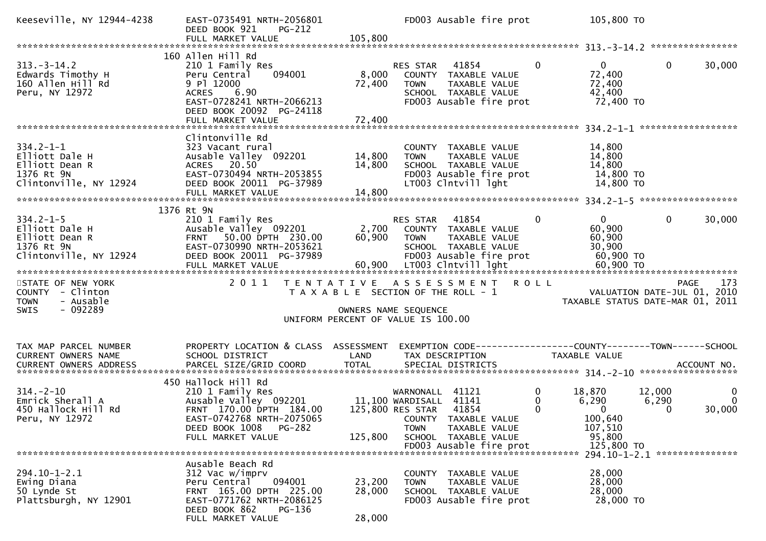| Keeseville, NY 12944-4238                                                                                                                                                                                                                             | EAST-0735491 NRTH-2056801<br>DEED BOOK 921<br><b>PG-212</b>                                                                                                               |                            | FD003 Ausable fire prot                                                                                                                              |                                     | 105,800 TO                                                                |                             |                                    |
|-------------------------------------------------------------------------------------------------------------------------------------------------------------------------------------------------------------------------------------------------------|---------------------------------------------------------------------------------------------------------------------------------------------------------------------------|----------------------------|------------------------------------------------------------------------------------------------------------------------------------------------------|-------------------------------------|---------------------------------------------------------------------------|-----------------------------|------------------------------------|
|                                                                                                                                                                                                                                                       |                                                                                                                                                                           |                            |                                                                                                                                                      |                                     |                                                                           |                             |                                    |
| $313 - 3 - 14.2$<br>Edwards Timothy H<br>160 Allen Hill Rd<br>Peru, NY 12972                                                                                                                                                                          | 160 Allen Hill Rd<br>210 1 Family Res<br>094001<br>Peru Central<br>9 Pl 12000<br>ACRES 6.90<br>EAST-0728241 NRTH-2066213<br>DEED BOOK 20092 PG-24118<br>FULL MARKET VALUE | 8,000<br>72,400<br>72,400  | RES STAR<br>41854<br>COUNTY TAXABLE VALUE<br><b>TOWN</b><br>TAXABLE VALUE<br>SCHOOL TAXABLE VALUE<br>FD003 Ausable fire prot                         | $\mathbf{0}$                        | $\overline{0}$<br>72,400<br>72,400<br>42,400<br>72,400 TO                 | $\mathbf{0}$                | 30,000                             |
|                                                                                                                                                                                                                                                       |                                                                                                                                                                           |                            |                                                                                                                                                      |                                     |                                                                           |                             |                                    |
| $334.2 - 1 - 1$<br>Elliott Dale H<br>Elliott Dean R<br>1376 Rt 9N<br>Clintonville, NY 12924                                                                                                                                                           | Clintonville Rd<br>323 Vacant rural<br>Ausable Valley 092201<br>ACRES 20.50<br>EAST-0730494 NRTH-2053855<br>DEED BOOK 20011 PG-37989                                      | 14,800<br>14,800           | COUNTY TAXABLE VALUE<br>TAXABLE VALUE<br><b>TOWN</b><br>SCHOOL TAXABLE VALUE<br>FD003 Ausable fire prot<br>LT003 Clntvill lght                       |                                     | 14,800<br>14,800<br>14,800<br>14,800 TO<br>14,800 TO                      |                             |                                    |
|                                                                                                                                                                                                                                                       | 1376 Rt 9N                                                                                                                                                                |                            |                                                                                                                                                      |                                     |                                                                           |                             |                                    |
| $334.2 - 1 - 5$<br>Elliott Dale H<br>Elliott Dean R<br>1376 Rt 9N<br>Clintonville, NY 12924                                                                                                                                                           | 210 1 Family Res<br>Ausable Valley 092201<br>FRNT 50.00 DPTH 230.00<br>EAST-0730990 NRTH-2053621<br>DEED BOOK 20011 PG-37989                                              |                            | RES STAR<br>41854<br>2,700 COUNTY TAXABLE VALUE<br>60,900 TOWN<br>TAXABLE VALUE<br>SCHOOL TAXABLE VALUE<br>FD003 Ausable fire prot                   | $\mathbf 0$                         | $\mathbf{0}$<br>60,900<br>60,900<br>30,900<br>60,900 TO                   | $\mathbf{0}$                | 30,000                             |
| STATE OF NEW YORK                                                                                                                                                                                                                                     | 2 0 1 1                                                                                                                                                                   |                            | TENTATIVE ASSESSMENT ROLL                                                                                                                            |                                     |                                                                           | PAGE                        | 173                                |
| COUNTY - Clinton<br>- Ausable<br><b>TOWN</b><br>$-092289$<br><b>SWIS</b>                                                                                                                                                                              |                                                                                                                                                                           |                            | T A X A B L E SECTION OF THE ROLL - 1<br>OWNERS NAME SEQUENCE<br>UNIFORM PERCENT OF VALUE IS 100.00                                                  |                                     | VALUATION DATE-JUL 01, 2010<br>TAXABLE STATUS DATE-MAR 01, 2011           |                             |                                    |
| TAX MAP PARCEL NUMBER                                                                                                                                                                                                                                 | PROPERTY LOCATION & CLASS ASSESSMENT                                                                                                                                      |                            | EXEMPTION CODE-----------------COUNTY--------TOWN------SCHOOL                                                                                        |                                     |                                                                           |                             |                                    |
| CURRENT OWNERS NAME<br>.4CCOUNT NO . PARCEL SIZE/GRID COORD TOTAL SPECIAL DISTRICTS . ACCOUNT NO . ACCOUNT NO . ACCOUNT NO . بالمحدثة المستوى المستوى المستوى المستوى المستوى المستوى المستوى المستوى المستوى المستوى المستوى المستوى المستوى المستوى | SCHOOL DISTRICT                                                                                                                                                           | LAND                       | TAX DESCRIPTION                                                                                                                                      |                                     | TAXABLE VALUE                                                             |                             |                                    |
|                                                                                                                                                                                                                                                       | 450 Hallock Hill Rd                                                                                                                                                       |                            |                                                                                                                                                      |                                     |                                                                           |                             |                                    |
| $314. - 2 - 10$<br>Emrick Sherall A<br>450 Hallock Hill Rd<br>Peru, NY 12972                                                                                                                                                                          | 210 1 Family Res<br>Ausable Valley 092201 11,100 WARDISALL 41141<br>FRNT 170.00 DPTH 184.00<br>EAST-0742768 NRTH-2075065<br>DEED BOOK 1008 PG-282<br>FULL MARKET VALUE    | 125,800                    | WARNONALL 41121<br>125,800 RES STAR 41854<br>COUNTY TAXABLE VALUE<br>TAXABLE VALUE<br><b>TOWN</b><br>SCHOOL TAXABLE VALUE<br>FD003 Ausable fire prot | $\bf{0}$<br>$\Omega$<br>$\mathbf 0$ | 18,870<br>6,290<br>$\bf{0}$<br>100,640<br>107,510<br>95,800<br>125,800 TO | 12,000<br>6,290<br>$\Omega$ | $\mathbf{0}$<br>$\Omega$<br>30,000 |
|                                                                                                                                                                                                                                                       |                                                                                                                                                                           |                            |                                                                                                                                                      |                                     |                                                                           |                             |                                    |
| $294.10 - 1 - 2.1$<br>Ewing Diana<br>50 Lynde St<br>Plattsburgh, NY 12901                                                                                                                                                                             | Ausable Beach Rd<br>312 Vac w/imprv<br>Peru Central<br>094001<br>FRNT 165.00 DPTH 225.00<br>EAST-0771762 NRTH-2086125<br>DEED BOOK 862<br>PG-136<br>FULL MARKET VALUE     | 23,200<br>28,000<br>28,000 | COUNTY TAXABLE VALUE<br>TAXABLE VALUE<br><b>TOWN</b><br>SCHOOL TAXABLE VALUE<br>FD003 Ausable fire prot                                              |                                     | 28,000<br>28,000<br>28,000<br>28,000 TO                                   |                             |                                    |
|                                                                                                                                                                                                                                                       |                                                                                                                                                                           |                            |                                                                                                                                                      |                                     |                                                                           |                             |                                    |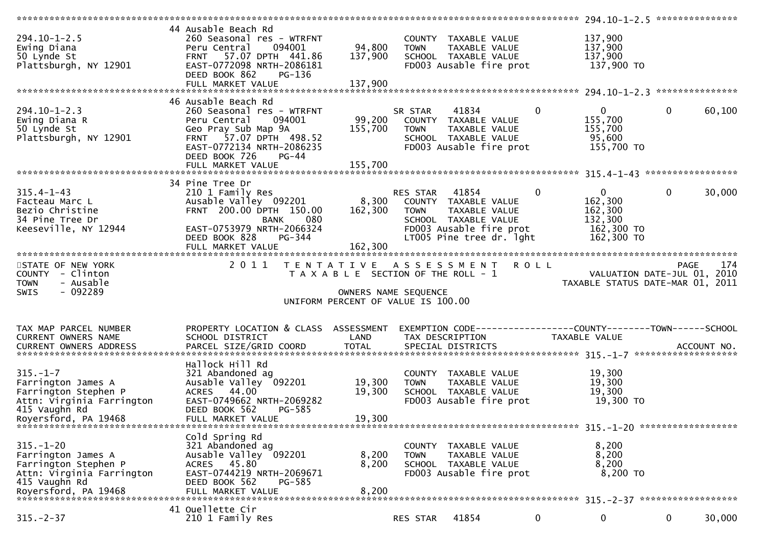| $294.10 - 1 - 2.5$<br>Ewing Diana<br>50 Lynde St<br>Plattsburgh, NY 12901                                                           | 44 Ausable Beach Rd<br>260 Seasonal res - WTRFNT<br>094001<br>Peru Central<br>FRNT 57.07 DPTH 441.86<br>EAST-0772098 NRTH-2086181<br>DEED BOOK 862<br>PG-136                                                          | 94,800<br>137,900       | COUNTY TAXABLE VALUE<br><b>TOWN</b><br>TAXABLE VALUE<br>SCHOOL TAXABLE VALUE<br>FD003 Ausable fire prot                               |          | 137,900<br>137,900<br>137,900<br>137,900 TO                               |                |        |
|-------------------------------------------------------------------------------------------------------------------------------------|-----------------------------------------------------------------------------------------------------------------------------------------------------------------------------------------------------------------------|-------------------------|---------------------------------------------------------------------------------------------------------------------------------------|----------|---------------------------------------------------------------------------|----------------|--------|
|                                                                                                                                     | FULL MARKET VALUE                                                                                                                                                                                                     | 137,900                 |                                                                                                                                       |          |                                                                           |                |        |
| $294.10 - 1 - 2.3$<br>Ewing Diana R<br>50 Lynde St<br>Plattsburgh, NY 12901                                                         | 46 Ausable Beach Rd<br>260 Seasonal res - WTRFNT<br>Peru Central<br>094001<br>Geo Pray Sub Map 9A<br>FRNT 57.07 DPTH 498.52<br>EAST-0772134 NRTH-2086235<br>DEED BOOK 726<br>$PG-44$                                  | 99,200<br>155,700       | 41834<br>SR STAR<br>COUNTY TAXABLE VALUE<br>TAXABLE VALUE<br><b>TOWN</b><br>SCHOOL TAXABLE VALUE<br>FD003 Ausable fire prot           | $\Omega$ | $\mathbf{0}$<br>155,700<br>155,700<br>95,600<br>155,700 TO                | $\overline{0}$ | 60,100 |
|                                                                                                                                     |                                                                                                                                                                                                                       |                         |                                                                                                                                       |          |                                                                           |                |        |
| $315.4 - 1 - 43$<br>Facteau Marc L<br>Bezio Christine<br>34 Pine Tree Dr<br>Keeseville, NY 12944                                    | 34 Pine Tree Dr<br>210 1 Family Res<br>Ausable Valley 092201 8,300 COUNTY TAXABLE VALUE<br>FRNT 200.00 DPTH 150.00<br><b>BANK</b><br>080<br>EAST-0753979 NRTH-2066324<br>PG-344<br>DEED BOOK 828<br>FULL MARKET VALUE | 162,300<br>162,300      | RES STAR 41854<br><b>TOWN</b><br>TAXABLE VALUE<br>SCHOOL TAXABLE VALUE<br>FD003 Ausable fire prot<br>LT005 Pine tree dr. lght         | $\bf{0}$ | $\mathbf{0}$<br>162,300<br>162,300<br>132,300<br>162,300 TO<br>162,300 TO | $\overline{0}$ | 30,000 |
| STATE OF NEW YORK<br>COUNTY - Clinton<br>- Ausable<br><b>TOWN</b><br>$-092289$<br><b>SWIS</b>                                       |                                                                                                                                                                                                                       |                         | 2011 TENTATIVE ASSESSMENT ROLL<br>T A X A B L E SECTION OF THE ROLL - 1<br>OWNERS NAME SEQUENCE<br>UNIFORM PERCENT OF VALUE IS 100.00 |          | VALUATION DATE-JUL 01, 2010<br>TAXABLE STATUS DATE-MAR 01, 2011           | <b>PAGE</b>    | 174    |
| TAX MAP PARCEL NUMBER<br>CURRENT OWNERS NAME                                                                                        | PROPERTY LOCATION & CLASS ASSESSMENT<br>SCHOOL DISTRICT                                                                                                                                                               | LAND                    | EXEMPTION CODE------------------COUNTY--------TOWN------SCHOOL<br>TAX DESCRIPTION                                                     |          | TAXABLE VALUE                                                             |                |        |
| $315. - 1 - 7$<br>Farrington James A<br>Farrington Stephen P<br>Attn: Virginia Farrington                                           | Hallock Hill Rd<br>321 Abandoned ag<br>Ausable Valley 092201<br>ACRES 44.00                                                                                                                                           | 19,300<br>19,300        | COUNTY TAXABLE VALUE<br>TAXABLE VALUE<br><b>TOWN</b><br>SCHOOL TAXABLE VALUE                                                          |          | 19,300<br>19,300                                                          |                |        |
| 415 Vaughn Rd<br>Royersford, PA 19468                                                                                               | EAST-0749662 NRTH-2069282<br>DEED BOOK 562<br>PG-585<br>FULL MARKET VALUE                                                                                                                                             | 19,300                  | FD003 Ausable fire prot                                                                                                               |          | 19,300<br>19,300 TO                                                       |                |        |
| $315. - 1 - 20$<br>Farrington James A<br>Farrington Stephen P<br>Attn: Virginia Farrington<br>415 Vaughn Rd<br>Royersford, PA 19468 | Cold Spring Rd<br>321 Abandoned ag<br>Ausable Valley 092201<br>ACRES 45.80<br>EAST-0744219 NRTH-2069671<br>DEED BOOK 562<br>PG-585<br>FULL MARKET VALUE                                                               | 8,200<br>8,200<br>8,200 | COUNTY TAXABLE VALUE<br>TAXABLE VALUE<br><b>TOWN</b><br>SCHOOL TAXABLE VALUE<br>FD003 Ausable fire prot                               |          | 8,200<br>8,200<br>8,200<br>8,200 TO                                       |                |        |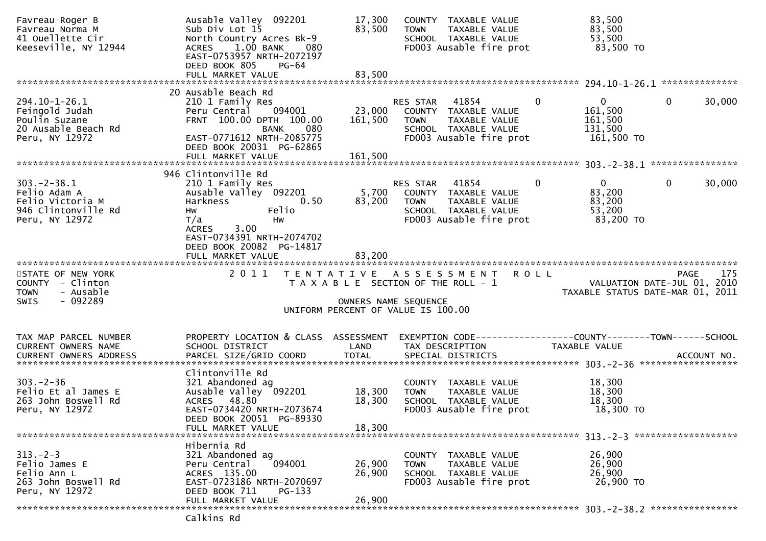| Favreau Roger B<br>Favreau Norma M<br>41 Ouellette Cir<br>Keeseville, NY 12944                  | Ausable Valley 092201<br>Sub Div Lot 15<br>North Country Acres Bk-9<br>$1.00$ BANK<br>080<br><b>ACRES</b><br>EAST-0753957 NRTH-2072197<br>DEED BOOK 805<br>PG-64<br>FULL MARKET VALUE            | 17,300<br>83,500<br>83,500   | COUNTY TAXABLE VALUE<br>TAXABLE VALUE<br><b>TOWN</b><br>SCHOOL TAXABLE VALUE<br>FD003 Ausable fire prot                                                  | 83,500<br>83,500<br>53,500<br>83,500 TO                                       |  |
|-------------------------------------------------------------------------------------------------|--------------------------------------------------------------------------------------------------------------------------------------------------------------------------------------------------|------------------------------|----------------------------------------------------------------------------------------------------------------------------------------------------------|-------------------------------------------------------------------------------|--|
|                                                                                                 |                                                                                                                                                                                                  |                              |                                                                                                                                                          |                                                                               |  |
| $294.10 - 1 - 26.1$<br>Feingold Judah<br>Poulin Suzane<br>20 Ausable Beach Rd<br>Peru, NY 12972 | 20 Ausable Beach Rd<br>210 1 Family Res<br>094001<br>Peru Central<br>FRNT 100.00 DPTH 100.00<br><b>BANK</b><br>080<br>EAST-0771612 NRTH-2085775<br>DEED BOOK 20031 PG-62865<br>FULL MARKET VALUE | 23,000<br>161,500<br>161,500 | $\mathbf{0}$<br>RES STAR 41854<br>COUNTY TAXABLE VALUE<br>TAXABLE VALUE<br><b>TOWN</b><br>SCHOOL TAXABLE VALUE<br>FD003 Ausable fire prot                | $\mathbf{0}$<br>0<br>30,000<br>161,500<br>161,500<br>131,500<br>161,500 TO    |  |
|                                                                                                 |                                                                                                                                                                                                  |                              |                                                                                                                                                          |                                                                               |  |
| $303 - 2 - 38.1$<br>Felio Adam A<br>Felio Victoria M<br>946 Clintonville Rd<br>Peru, NY 12972   | 946 Clintonville Rd<br>210 1 Family Res<br>Ausable Valley 092201<br>Harkness<br>0.50<br>Felio<br>Hw<br>T/a<br>Hw<br>ACRES 3.00                                                                   | 83,200                       | $\overline{0}$<br><b>RES STAR 41854</b><br>5,700 COUNTY TAXABLE VALUE<br><b>TOWN</b><br>TAXABLE VALUE<br>SCHOOL TAXABLE VALUE<br>FD003 Ausable fire prot | $\mathbf 0$<br>$\Omega$<br>30,000<br>83,200<br>83,200<br>53,200<br>83,200 TO  |  |
| STATE OF NEW YORK<br>COUNTY - Clinton                                                           | EAST-0734391 NRTH-2074702<br>DEED BOOK 20082 PG-14817<br>FULL MARKET VALUE<br>2011                                                                                                               | 83,200                       | TENTATIVE ASSESSMENT<br><b>ROLL</b><br>T A X A B L E SECTION OF THE ROLL - 1                                                                             | PAGE<br>175                                                                   |  |
| - Ausable<br><b>TOWN</b><br>- 092289<br><b>SWIS</b>                                             |                                                                                                                                                                                                  | OWNERS NAME SEQUENCE         |                                                                                                                                                          | VALUATION DATE-JUL 01, 2010<br>TAXABLE STATUS DATE-MAR 01, 2011               |  |
|                                                                                                 |                                                                                                                                                                                                  |                              | UNIFORM PERCENT OF VALUE IS 100.00                                                                                                                       |                                                                               |  |
| TAX MAP PARCEL NUMBER<br>CURRENT OWNERS NAME<br>CURRENT OWNERS ADDRESS                          | PROPERTY LOCATION & CLASS ASSESSMENT<br>SCHOOL DISTRICT                                                                                                                                          | LAND                         | TAX DESCRIPTION                                                                                                                                          | EXEMPTION CODE-----------------COUNTY-------TOWN------SCHOOL<br>TAXABLE VALUE |  |
| $303 - 2 - 36$<br>Felio Et al James E<br>263 John Boswell Rd<br>Peru, NY 12972                  | Clintonville Rd<br>321 Abandoned ag<br>Ausable Valley 092201<br>ACRES 48.80<br>EAST-0734420 NRTH-2073674<br>DEED BOOK 20051 PG-89330<br>FULL MARKET VALUE                                        | 18,300<br>18,300<br>18,300   | COUNTY TAXABLE VALUE<br>TAXABLE VALUE<br><b>TOWN</b><br>SCHOOL TAXABLE VALUE<br>FD003 Ausable fire prot                                                  | 18,300<br>18,300<br>18,300<br>18,300 TO                                       |  |
| $313 - 2 - 3$<br>Felio James E<br>Felio Ann L<br>263 John Boswell Rd<br>Peru, NY 12972          | Hibernia Rd<br>321 Abandoned ag<br>094001<br>Peru Central<br>ACRES 135.00<br>EAST-0723186 NRTH-2070697<br>DEED BOOK 711<br>$PG-133$<br>FULL MARKET VALUE                                         | 26,900<br>26,900<br>26,900   | <b>COUNTY</b><br>TAXABLE VALUE<br>TAXABLE VALUE<br><b>TOWN</b><br>SCHOOL TAXABLE VALUE<br>FD003 Ausable fire prot                                        | 26,900<br>26,900<br>26,900<br>26,900 TO<br>303. - 2 - 38. 2 ***************** |  |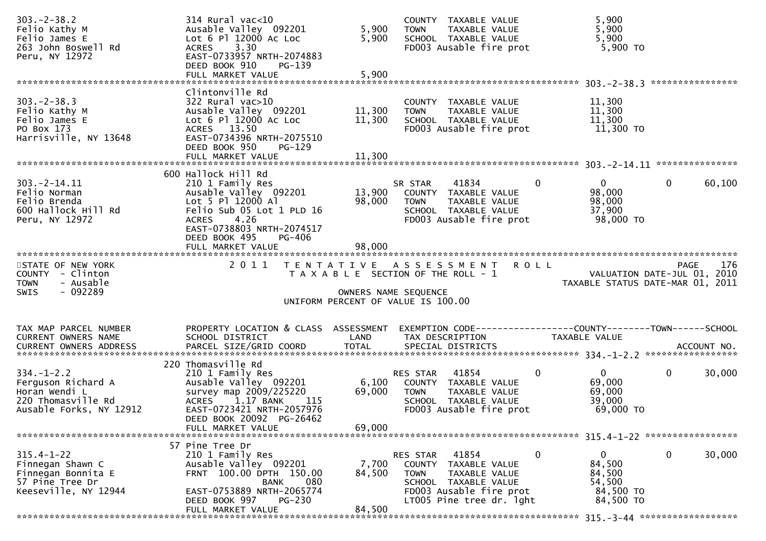| $303 - 2 - 38.2$<br>Felio Kathy M<br>Felio James E<br>263 John Boswell Rd<br>Peru, NY 12972              | 314 Rural vac<10<br>Ausable Valley 092201<br>Lot 6 Pl 12000 Ac Loc<br>3.30<br><b>ACRES</b><br>EAST-0733957 NRTH-2074883<br>DEED BOOK 910<br>PG-139<br>FULL MARKET VALUE                            | 5,900<br>5,900<br>5,900    | COUNTY TAXABLE VALUE<br><b>TOWN</b><br>TAXABLE VALUE<br>SCHOOL TAXABLE VALUE<br>FD003 Ausable fire prot                                                  | 5,900<br>5,900<br>5,900<br>5,900 TO                                         |                             |     |
|----------------------------------------------------------------------------------------------------------|----------------------------------------------------------------------------------------------------------------------------------------------------------------------------------------------------|----------------------------|----------------------------------------------------------------------------------------------------------------------------------------------------------|-----------------------------------------------------------------------------|-----------------------------|-----|
|                                                                                                          |                                                                                                                                                                                                    |                            |                                                                                                                                                          |                                                                             |                             |     |
| $303 - 2 - 38.3$<br>Felio Kathy M<br>Felio James E<br>PO Box 173<br>Harrisville, NY 13648                | Clintonville Rd<br>$322$ Rural vac $>10$<br>Ausable Valley 092201<br>Lot 6 Pl 12000 Ac Loc<br>ACRES 13.50<br>EAST-0734396 NRTH-2075510<br>DEED BOOK 950<br>$PG-129$<br>FULL MARKET VALUE           | 11,300<br>11,300<br>11,300 | COUNTY TAXABLE VALUE<br>TAXABLE VALUE<br><b>TOWN</b><br>SCHOOL TAXABLE VALUE<br>FD003 Ausable fire prot                                                  | 11,300<br>11,300<br>11,300<br>11,300 TO                                     |                             |     |
|                                                                                                          |                                                                                                                                                                                                    |                            |                                                                                                                                                          |                                                                             |                             |     |
| $303. -2 - 14.11$<br>Felio Norman<br>Felio Brenda<br>600 Hallock Hill Rd<br>Peru, NY 12972               | 600 Hallock Hill Rd<br>210 1 Family Res<br>Ausable Valley 092201<br>Lot 5 Pl 12000 Al<br>Felio Sub 05 Lot 1 PLD 16<br>4.26<br><b>ACRES</b><br>EAST-0738803 NRTH-2074517<br>DEED BOOK 495<br>PG-406 | 13,900<br>98,000           | 41834<br>SR STAR<br>COUNTY TAXABLE VALUE<br><b>TOWN</b><br>TAXABLE VALUE<br>SCHOOL TAXABLE VALUE<br>FD003 Ausable fire prot                              | $\overline{0}$<br>$\overline{0}$<br>98,000<br>98,000<br>37,900<br>98,000 TO | $\mathbf{0}$<br>60,100      |     |
|                                                                                                          | FULL MARKET VALUE                                                                                                                                                                                  | 98,000                     |                                                                                                                                                          |                                                                             |                             |     |
| STATE OF NEW YORK<br>COUNTY - Clinton                                                                    | 2011                                                                                                                                                                                               |                            | TENTATIVE ASSESSMENT ROLL                                                                                                                                |                                                                             | PAGE                        | 176 |
| <b>TOWN</b><br>- Ausable<br>$-092289$<br>SWIS                                                            |                                                                                                                                                                                                    | OWNERS NAME SEQUENCE       | T A X A B L E SECTION OF THE ROLL - 1<br>UNIFORM PERCENT OF VALUE IS 100.00                                                                              | TAXABLE STATUS DATE-MAR 01, 2011                                            | VALUATION DATE-JUL 01, 2010 |     |
|                                                                                                          |                                                                                                                                                                                                    |                            |                                                                                                                                                          |                                                                             |                             |     |
| TAX MAP PARCEL NUMBER<br>CURRENT OWNERS NAME                                                             | PROPERTY LOCATION & CLASS ASSESSMENT<br>SCHOOL DISTRICT                                                                                                                                            | LAND                       | EXEMPTION CODE-----------------COUNTY--------TOWN------SCHOOL<br>TAX DESCRIPTION                                                                         | TAXABLE VALUE                                                               |                             |     |
| $334. - 1 - 2.2$<br>Ferguson Richard A<br>Horan Wendi L<br>220 Thomasville Rd<br>Ausable Forks, NY 12912 | 220 Thomasville Rd<br>210 1 Family Res<br>Ausable Valley 092201<br>survey map 2009/225220<br>ACRES 1.17 BANK<br>- 115<br>EAST-0723421 NRTH-2057976<br>DEED BOOK 20092 PG-26462                     | 6,100<br>69,000            | RES STAR 41854<br>COUNTY TAXABLE VALUE<br>TAXABLE VALUE<br><b>TOWN</b><br>SCHOOL TAXABLE VALUE<br>FD003 Ausable fire prot                                | $\mathbf{0}$<br>$\Omega$<br>69,000<br>69,000<br>39,000<br>69,000 TO         | $\mathbf{0}$<br>30,000      |     |
|                                                                                                          | FULL MARKET VALUE                                                                                                                                                                                  | 69,000                     |                                                                                                                                                          |                                                                             |                             |     |
| $315.4 - 1 - 22$<br>Finnegan Shawn C<br>Finnegan Bonnita E<br>57 Pine Tree Dr<br>Keeseville, NY 12944    | 57 Pine Tree Dr<br>210 1 Family Res<br>Ausable Valley 092201<br>FRNT 100.00 DPTH 150.00<br>080<br><b>BANK</b><br>EAST-0753889 NRTH-2065774<br>DEED BOOK 997<br>PG-230<br>FULL MARKET VALUE         | 7,700<br>84,500<br>84,500  | RES STAR<br>41854<br>COUNTY TAXABLE VALUE<br><b>TOWN</b><br>TAXABLE VALUE<br>SCHOOL TAXABLE VALUE<br>FD003 Ausable fire prot<br>LT005 Pine tree dr. lght | $\mathbf 0$<br>0<br>84,500<br>84,500<br>54,500<br>84,500 TO<br>84,500 TO    | 0<br>30,000                 |     |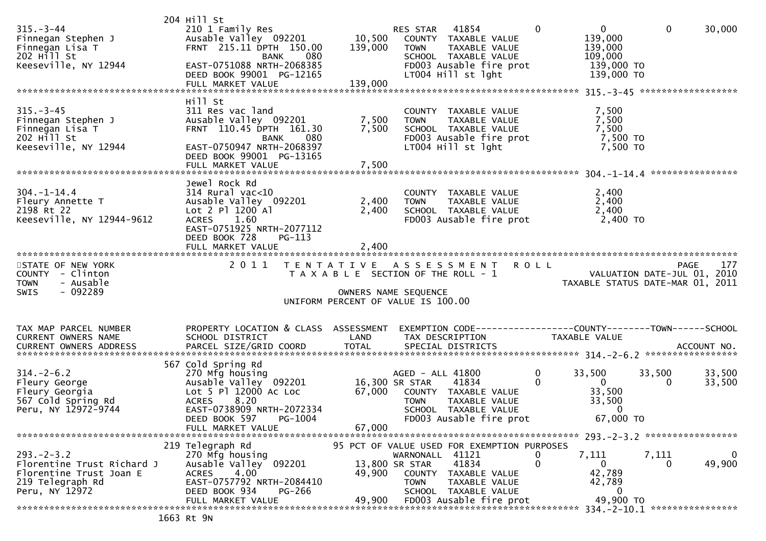| $315 - 3 - 44$                                                                 | 204 Hill St<br>210 1 Family Res                                        |                                                               | RES STAR 41854       |                                                                  | $\mathbf{0}$ | $\overline{0}$                   | $\mathbf 0$                                | 30,000 |
|--------------------------------------------------------------------------------|------------------------------------------------------------------------|---------------------------------------------------------------|----------------------|------------------------------------------------------------------|--------------|----------------------------------|--------------------------------------------|--------|
| Finnegan Stephen J<br>Finnegan Lisa T<br>202 Hill St                           | Ausable Valley 092201<br>FRNT 215.11 DPTH 150.00<br>080<br>BANK        | 10,500<br>139,000                                             | <b>TOWN</b>          | COUNTY TAXABLE VALUE<br>TAXABLE VALUE<br>SCHOOL TAXABLE VALUE    |              | 139,000<br>139,000<br>109,000    |                                            |        |
| Keeseville, NY 12944                                                           | EAST-0751088 NRTH-2068385<br>DEED BOOK 99001 PG-12165                  |                                                               |                      | FD003 Ausable fire prot<br>LT004 Hill st lght                    |              | 139,000 TO<br>139,000 TO         |                                            |        |
|                                                                                | FULL MARKET VALUE                                                      | 139,000                                                       |                      |                                                                  |              |                                  |                                            |        |
| $315 - 3 - 45$                                                                 | Hill St<br>311 Res vac land                                            |                                                               |                      | COUNTY TAXABLE VALUE                                             |              | 7,500                            |                                            |        |
| Finnegan Stephen J<br>Finnegan Lisa T<br>$202$ H <sup><math>11</math></sup> St | Ausable Valley 092201<br>FRNT 110.45 DPTH 161.30<br>080<br><b>BANK</b> | 7,500<br>7,500                                                | <b>TOWN</b>          | TAXABLE VALUE<br>SCHOOL TAXABLE VALUE<br>FD003 Ausable fire prot |              | 7,500<br>7,500<br>7,500 TO       |                                            |        |
| Keeseville, NY 12944                                                           | EAST-0750947 NRTH-2068397<br>DEED BOOK 99001 PG-13165                  |                                                               |                      | LT004 Hill st lght                                               |              | 7,500 TO                         |                                            |        |
|                                                                                | FULL MARKET VALUE                                                      | 7,500                                                         |                      |                                                                  |              |                                  |                                            |        |
|                                                                                | Jewel Rock Rd                                                          |                                                               |                      |                                                                  |              |                                  |                                            |        |
| $304. - 1 - 14.4$<br>Fleury Annette T                                          | $314$ Rural vac<10<br>Ausable Valley 092201                            | 2,400                                                         | <b>TOWN</b>          | COUNTY TAXABLE VALUE<br>TAXABLE VALUE                            |              | 2,400<br>2,400                   |                                            |        |
| 2198 Rt 22<br>Keeseville, NY 12944-9612                                        | Lot 2 P1 1200 A1<br>1.60<br><b>ACRES</b>                               | 2,400                                                         |                      | SCHOOL TAXABLE VALUE<br>FD003 Ausable fire prot                  |              | 2,400<br>2,400 TO                |                                            |        |
|                                                                                | EAST-0751925 NRTH-2077112<br>DEED BOOK 728<br>PG-113                   |                                                               |                      |                                                                  |              |                                  |                                            |        |
|                                                                                |                                                                        |                                                               |                      |                                                                  |              |                                  |                                            |        |
| STATE OF NEW YORK<br>COUNTY - Clinton                                          | 2 0 1 1                                                                | TENTATIVE ASSESSMENT<br>T A X A B L E SECTION OF THE ROLL - 1 |                      |                                                                  | ROLL         |                                  | <b>PAGE</b><br>VALUATION DATE-JUL 01, 2010 | 177    |
| <b>TOWN</b>                                                                    |                                                                        |                                                               |                      |                                                                  |              |                                  |                                            |        |
| - Ausable<br>$-092289$<br><b>SWIS</b>                                          |                                                                        |                                                               | OWNERS NAME SEQUENCE |                                                                  |              | TAXABLE STATUS DATE-MAR 01, 2011 |                                            |        |
|                                                                                |                                                                        | UNIFORM PERCENT OF VALUE IS 100.00                            |                      |                                                                  |              |                                  |                                            |        |
| TAX MAP PARCEL NUMBER                                                          | PROPERTY LOCATION & CLASS ASSESSMENT                                   |                                                               |                      | EXEMPTION CODE-----------------COUNTY-------TOWN------SCHOOL     |              |                                  |                                            |        |
| CURRENT OWNERS NAME                                                            | SCHOOL DISTRICT                                                        | LAND                                                          |                      | TAX DESCRIPTION                                                  |              | TAXABLE VALUE                    |                                            |        |
|                                                                                | 567 Cold Spring Rd                                                     |                                                               |                      |                                                                  |              |                                  |                                            |        |
| $314. - 2 - 6.2$                                                               | 270 Mfg housing                                                        |                                                               | AGED - ALL 41800     |                                                                  | $\mathbf 0$  | 33,500                           | 33,500                                     | 33,500 |
| Fleury George<br>Fleury Georgia                                                | Ausable Valley 092201<br>Lot 5 Pl 12000 Ac Loc                         | 67,000                                                        | 16,300 SR STAR       | 41834<br>COUNTY TAXABLE VALUE                                    | $\Omega$     | $\mathbf{0}$<br>33,500           | $\Omega$                                   | 33,500 |
| 567 Cold Spring Rd<br>Peru, NY 12972-9744                                      | 8.20<br><b>ACRES</b><br>EAST-0738909 NRTH-2072334                      |                                                               | <b>TOWN</b>          | TAXABLE VALUE<br>SCHOOL TAXABLE VALUE                            |              | 33,500<br>$\bf{0}$               |                                            |        |
|                                                                                | DEED BOOK 597 PG-1004                                                  |                                                               |                      | FD003 Ausable fire prot                                          |              | 67,000 TO                        |                                            |        |
|                                                                                | FULL MARKET VALUE                                                      | 67,000                                                        |                      |                                                                  |              |                                  |                                            |        |
| $293 - 2 - 3.2$                                                                | 219 Telegraph Rd<br>270 Mfg housing                                    |                                                               | WARNONALL 41121      | 95 PCT OF VALUE USED FOR EXEMPTION PURPOSES                      | $\mathbf 0$  | 7,111                            | 7,111                                      | 0      |
| Florentine Trust Richard J                                                     | Ausable Valley 092201                                                  |                                                               | 13,800 SR STAR       | 41834                                                            | 0            | $\Omega$                         | 0                                          | 49,900 |
| Florentine Trust Joan E<br>219 Telegraph Rd                                    | 4.00<br><b>ACRES</b><br>EAST-0757792 NRTH-2084410                      | 49,900                                                        | <b>TOWN</b>          | COUNTY TAXABLE VALUE<br>TAXABLE VALUE                            |              | 42,789<br>42,789                 |                                            |        |
| Peru, NY 12972                                                                 | DEED BOOK 934<br><b>PG-266</b><br>FULL MARKET VALUE                    | 49,900                                                        |                      | SCHOOL TAXABLE VALUE<br>FD003 Ausable fire prot                  |              | 0<br>49,900 TO                   |                                            |        |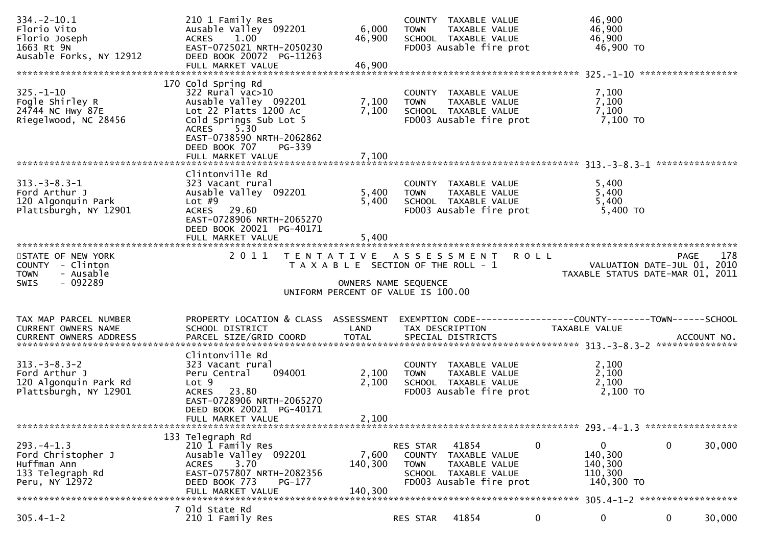| $334. - 2 - 10.1$<br>Florio Vito<br>Florio Joseph<br>1663 Rt 9N<br>Ausable Forks, NY 12912 | 210 1 Family Res<br>Ausable Valley 092201<br>ACRES 1.00<br>EAST-0725021 NRTH-2050230<br>DEED BOOK 20072 PG-11263<br>FULL MARKET VALUE                                                              | 6,000<br>46,900<br>46,900                                     | <b>TOWN</b>             | COUNTY TAXABLE VALUE<br>TAXABLE VALUE<br>SCHOOL TAXABLE VALUE<br>FD003 Ausable fire prot          | 46,900<br>46,900<br>46,900<br>46,900 TO                                       |                                                                                |
|--------------------------------------------------------------------------------------------|----------------------------------------------------------------------------------------------------------------------------------------------------------------------------------------------------|---------------------------------------------------------------|-------------------------|---------------------------------------------------------------------------------------------------|-------------------------------------------------------------------------------|--------------------------------------------------------------------------------|
|                                                                                            |                                                                                                                                                                                                    |                                                               |                         |                                                                                                   |                                                                               |                                                                                |
| $325. - 1 - 10$<br>Fogle Shirley R<br>24744 NC Hwy 87E<br>Riegelwood, NC 28456             | 170 Cold Spring Rd<br>322 Rural vac>10<br>Ausable Valley 092201<br>Lot 22 Platts 1200 Ac<br>Cold Springs Sub Lot 5<br><b>ACRES</b><br>5.30<br>EAST-0738590 NRTH-2062862<br>DEED BOOK 707<br>PG-339 | 7,100<br>7,100                                                | <b>TOWN</b>             | COUNTY TAXABLE VALUE<br>TAXABLE VALUE<br>SCHOOL TAXABLE VALUE<br>FD003 Ausable fire prot          | 7,100<br>7,100<br>7,100<br>7,100 то                                           |                                                                                |
|                                                                                            |                                                                                                                                                                                                    |                                                               |                         |                                                                                                   |                                                                               |                                                                                |
| $313. - 3 - 8.3 - 1$<br>Ford Arthur J<br>120 Algonquin Park<br>Plattsburgh, NY 12901       | Clintonville Rd<br>323 Vacant rural<br>Ausable Valley 092201<br>Lot $#9$<br>ACRES 29.60<br>EAST-0728906 NRTH-2065270<br>DEED BOOK 20021 PG-40171<br>FULL MARKET VALUE                              | 5,400<br>5,400<br>5,400                                       | <b>TOWN</b>             | COUNTY TAXABLE VALUE<br>TAXABLE VALUE<br>SCHOOL TAXABLE VALUE<br>FD003 Ausable fire prot          | 5,400<br>5,400<br>5,400<br>5,400 TO                                           |                                                                                |
| STATE OF NEW YORK<br>COUNTY - Clinton<br>- Ausable<br><b>TOWN</b>                          | 2 0 1 1                                                                                                                                                                                            | TENTATIVE ASSESSMENT<br>T A X A B L E SECTION OF THE ROLL - 1 |                         |                                                                                                   | <b>ROLL</b>                                                                   | 178<br>PAGE<br>VALUATION DATE-JUL 01, 2010<br>TAXABLE STATUS DATE-MAR 01, 2011 |
| $-092289$<br>SWIS                                                                          |                                                                                                                                                                                                    | OWNERS NAME SEQUENCE<br>UNIFORM PERCENT OF VALUE IS 100.00    |                         |                                                                                                   |                                                                               |                                                                                |
| TAX MAP PARCEL NUMBER<br>CURRENT OWNERS NAME                                               | PROPERTY LOCATION & CLASS ASSESSMENT<br>SCHOOL DISTRICT                                                                                                                                            | LAND                                                          |                         | TAX DESCRIPTION                                                                                   | EXEMPTION CODE-----------------COUNTY-------TOWN------SCHOOL<br>TAXABLE VALUE |                                                                                |
| $313 - 3 - 8.3 - 2$<br>Ford Arthur J<br>120 Algonquin Park Rd<br>Plattsburgh, NY 12901     | Clintonville Rd<br>323 Vacant rural<br>094001<br>Peru Central<br>Lot <sub>9</sub><br>ACRES 23.80<br>EAST-0728906 NRTH-2065270<br>DEED BOOK 20021 PG-40171<br>FULL MARKET VALUE                     | 2,100<br>2,100<br>2,100                                       | <b>TOWN</b>             | COUNTY TAXABLE VALUE<br>TAXABLE VALUE<br>SCHOOL TAXABLE VALUE<br>FD003 Ausable fire prot          | 2,100<br>2,100<br>2,100<br>2,100 TO                                           |                                                                                |
|                                                                                            |                                                                                                                                                                                                    |                                                               |                         |                                                                                                   |                                                                               |                                                                                |
| $293. -4 - 1.3$<br>Ford Christopher J<br>Huffman Ann<br>133 Telegraph Rd<br>Peru, NY 12972 | 133 Telegraph Rd<br>210 1 Family Res<br>Ausable Valley 092201<br>3.70<br><b>ACRES</b><br>EAST-0757807 NRTH-2082356<br>DEED BOOK 773<br>$PG-177$<br>FULL MARKET VALUE                               | 7,600<br>140,300<br>140,300                                   | RES STAR<br><b>TOWN</b> | 41854<br>COUNTY TAXABLE VALUE<br>TAXABLE VALUE<br>SCHOOL TAXABLE VALUE<br>FD003 Ausable fire prot | 0<br>0<br>140,300<br>140,300<br>110,300<br>140,300 TO                         | $\mathbf 0$<br>30,000                                                          |
| $305.4 - 1 - 2$                                                                            | 7 Old State Rd<br>210 1 Family Res                                                                                                                                                                 |                                                               | RES STAR                | 41854                                                                                             | 0<br>0                                                                        | 30,000<br>$\mathbf{0}$                                                         |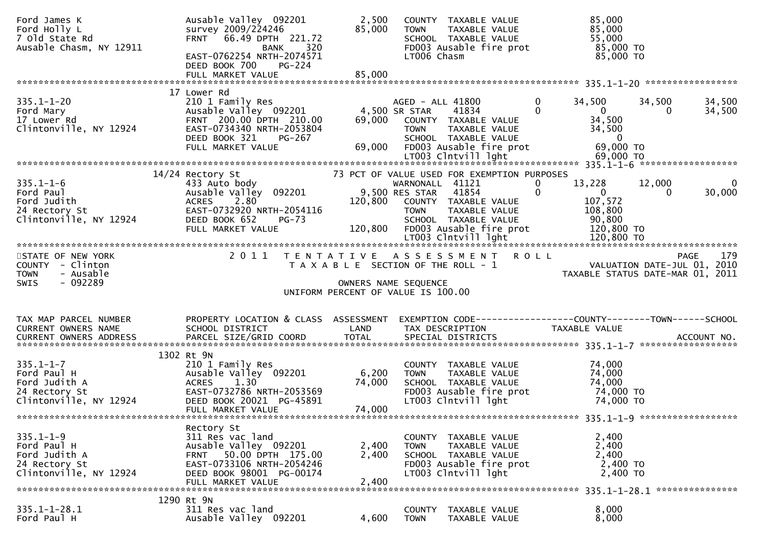| Ford James K<br>Ford Holly L<br>7 Old State Rd<br>Ausable Chasm, NY 12911                  | Ausable Valley 092201<br>survey 2009/224246<br>FRNT 66.49 DPTH 221.72<br>320<br>BANK<br>EAST-0762254 NRTH-2074571<br>DEED BOOK 700<br>$PG-224$                     | 2,500<br>85,000                      | COUNTY TAXABLE VALUE<br>TAXABLE VALUE<br>TOWN<br>SCHOOL TAXABLE VALUE<br>FD003 Ausable fire prot<br>LT006 Chasm                                                                    | 85,000<br>85,000<br>55,000<br>85,000 TO<br>85,000 TO                                                                                                 |
|--------------------------------------------------------------------------------------------|--------------------------------------------------------------------------------------------------------------------------------------------------------------------|--------------------------------------|------------------------------------------------------------------------------------------------------------------------------------------------------------------------------------|------------------------------------------------------------------------------------------------------------------------------------------------------|
|                                                                                            | 17 Lower Rd                                                                                                                                                        |                                      |                                                                                                                                                                                    |                                                                                                                                                      |
| $335.1 - 1 - 20$<br>Ford Mary<br>17 Lower Rd<br>Clintonville, NY 12924                     | 210 1 Family Res<br>Ausable Valley 092201<br>FRNT 200.00 DPTH 210.00<br>EAST-0734340 NRTH-2053804<br>DEED BOOK 321<br>PG-267<br>FULL MARKET VALUE                  | 4,500 SR STAR<br>69,000              | AGED - ALL 41800<br>41834<br>69,000 COUNTY TAXABLE VALUE<br>TAXABLE VALUE<br><b>TOWN</b><br>SCHOOL TAXABLE VALUE<br>FD003 Ausable fire prot                                        | 0<br>34,500<br>34,500<br>34,500<br>$\Omega$<br>34,500<br>$\overline{0}$<br>34,500<br>34,500<br>$\overline{0}$<br>69,000 TO                           |
|                                                                                            |                                                                                                                                                                    |                                      |                                                                                                                                                                                    |                                                                                                                                                      |
| $335.1 - 1 - 6$<br>Ford Paul<br>Ford Judith<br>24 Rectory St<br>Clintonville, NY 12924     | 14/24 Rectory St<br>433 Auto body<br>Ausable Valley 092201<br>2.80<br><b>ACRES</b><br>EAST-0732920 NRTH-2054116<br>DEED BOOK 652<br>PG-73<br>FULL MARKET VALUE     | 9,500 RES STAR<br>120,800<br>120,800 | 73 PCT OF VALUE USED FOR EXEMPTION PURPOSES<br>WARNONALL 41121<br>41854<br>COUNTY TAXABLE VALUE<br><b>TOWN</b><br>TAXABLE VALUE<br>SCHOOL TAXABLE VALUE<br>FD003 Ausable fire prot | 13,228<br>12,000<br>$\overline{\phantom{0}}$<br>0<br>$\mathbf 0$<br>$\mathbf{0}$<br>30,000<br>$\Omega$<br>107,572<br>108,800<br>90,800<br>120,800 TO |
|                                                                                            |                                                                                                                                                                    |                                      |                                                                                                                                                                                    |                                                                                                                                                      |
| STATE OF NEW YORK<br>COUNTY - Clinton                                                      |                                                                                                                                                                    |                                      | 2011 TENTATIVE ASSESSMENT ROLL<br>T A X A B L E SECTION OF THE ROLL - 1                                                                                                            | PAGE 179<br>VALUATION DATE-JUL 01, 2010<br>TAXARLE STATUS DATE 111-112                                                                               |
| <b>TOWN</b><br>- Ausable<br>- 092289<br><b>SWIS</b>                                        |                                                                                                                                                                    |                                      | OWNERS NAME SEQUENCE                                                                                                                                                               |                                                                                                                                                      |
|                                                                                            |                                                                                                                                                                    |                                      | UNIFORM PERCENT OF VALUE IS 100.00                                                                                                                                                 |                                                                                                                                                      |
| TAX MAP PARCEL NUMBER<br>CURRENT OWNERS NAME                                               | PROPERTY LOCATION & CLASS ASSESSMENT<br>SCHOOL DISTRICT                                                                                                            | LAND                                 | TAX DESCRIPTION                                                                                                                                                                    | EXEMPTION CODE------------------COUNTY--------TOWN------SCHOOL<br>TAXABLE VALUE                                                                      |
|                                                                                            |                                                                                                                                                                    |                                      |                                                                                                                                                                                    |                                                                                                                                                      |
| $335.1 - 1 - 7$<br>Ford Paul H<br>Ford Judith A<br>24 Rectory St<br>Clintonville, NY 12924 | 1302 Rt 9N<br>210 1 Family Res<br>Ausable Valley 092201<br><b>ACRES</b><br>1.30<br>EAST-0732786 NRTH-2053569<br>DEED BOOK 20021 PG-45891<br>FULL MARKET VALUE      | 6,200<br>74,000<br>74,000            | COUNTY TAXABLE VALUE<br><b>TOWN</b><br>TAXABLE VALUE<br>SCHOOL TAXABLE VALUE<br>FD003 Ausable fire prot<br>LT003 Clntvill lght                                                     | 74,000<br>74,000<br>74,000<br>74,000 TO<br>74,000 TO                                                                                                 |
|                                                                                            |                                                                                                                                                                    |                                      |                                                                                                                                                                                    |                                                                                                                                                      |
| $335.1 - 1 - 9$<br>Ford Paul H<br>Ford Judith A<br>24 Rectory St<br>Clintonville, NY 12924 | Rectory St<br>311 Res vac land<br>Ausable Valley 092201<br>50.00 DPTH 175.00<br>FRNT<br>EAST-0733106 NRTH-2054246<br>DEED BOOK 98001 PG-00174<br>FULL MARKET VALUE | 2,400<br>2,400<br>2,400              | COUNTY TAXABLE VALUE<br>TAXABLE VALUE<br><b>TOWN</b><br>SCHOOL TAXABLE VALUE<br>FD003 Ausable fire prot<br>LT003 Clntvill lght                                                     | 2,400<br>2,400<br>2,400<br>2,400 TO<br>2,400 TO                                                                                                      |
|                                                                                            | 1290 Rt 9N                                                                                                                                                         |                                      |                                                                                                                                                                                    |                                                                                                                                                      |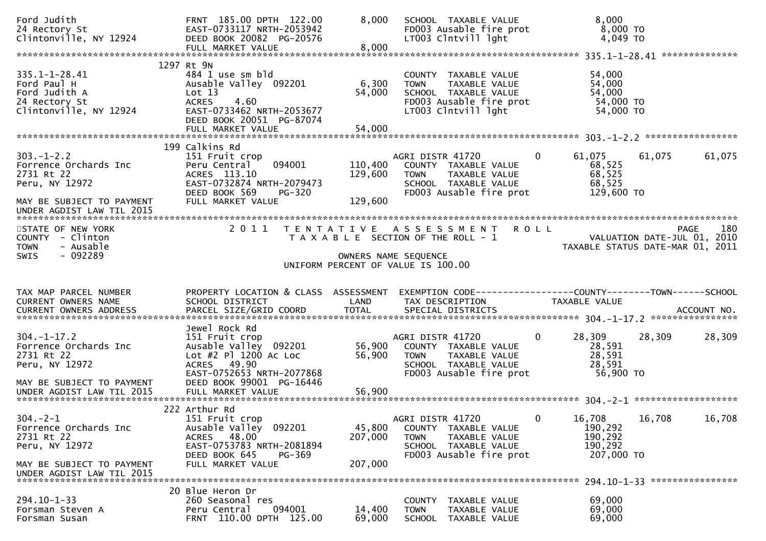| Ford Judith<br>24 Rectory St<br>Clintonville, NY 12924                                                  | FRNT 185.00 DPTH 122.00<br>EAST-0733117 NRTH-2053942<br>DEED BOOK 20082 PG-20576<br>FULL MARKET VALUE                                                          | 8,000<br>8,000                | SCHOOL TAXABLE VALUE<br>FD003 Ausable fire prot<br>LT003 Clntvill lght                                                                    | 8,000<br>8,000 TO<br>4,049 TO                                                        |        |
|---------------------------------------------------------------------------------------------------------|----------------------------------------------------------------------------------------------------------------------------------------------------------------|-------------------------------|-------------------------------------------------------------------------------------------------------------------------------------------|--------------------------------------------------------------------------------------|--------|
| $335.1 - 1 - 28.41$<br>Ford Paul H<br>Ford Judith A<br>24 Rectory St<br>Clintonville, NY 12924          | 1297 Rt 9N<br>484 1 use sm bld<br>Ausable Valley 092201<br>Lot 13<br><b>ACRES</b><br>4.60<br>EAST-0733462 NRTH-2053677<br>DEED BOOK 20051 PG-87074             | 6,300<br>54,000               | COUNTY TAXABLE VALUE<br>TAXABLE VALUE<br><b>TOWN</b><br>SCHOOL TAXABLE VALUE<br>FD003 Ausable fire prot<br>LT003 Clntvill lght            | 54,000<br>54,000<br>54,000<br>54,000 TO<br>54,000 TO                                 |        |
|                                                                                                         | 199 Calkins Rd                                                                                                                                                 |                               |                                                                                                                                           |                                                                                      |        |
| $303 - 1 - 2.2$<br>Forrence Orchards Inc<br>2731 Rt 22<br>Peru, NY 12972<br>MAY BE SUBJECT TO PAYMENT   | 151 Fruit crop<br>094001<br>Peru Central<br>ACRES 113.10<br>EAST-0732874 NRTH-2079473<br>DEED BOOK 569<br><b>PG-320</b><br>FULL MARKET VALUE                   | 110,400<br>129,600<br>129,600 | AGRI DISTR 41720<br>COUNTY TAXABLE VALUE<br>TAXABLE VALUE<br><b>TOWN</b><br>SCHOOL TAXABLE VALUE<br>FD003 Ausable fire prot               | $\overline{0}$<br>61,075<br>61,075<br>68,525<br>68,525<br>68,525<br>129,600 TO       | 61,075 |
|                                                                                                         |                                                                                                                                                                |                               |                                                                                                                                           |                                                                                      |        |
| STATE OF NEW YORK<br>COUNTY - Clinton<br>- Ausable<br><b>TOWN</b><br>- 092289<br><b>SWIS</b>            | 2 0 1 1                                                                                                                                                        | T E N T A T I V E             | <b>ROLL</b><br>A S S E S S M E N T<br>T A X A B L E SECTION OF THE ROLL - 1<br>OWNERS NAME SEQUENCE<br>UNIFORM PERCENT OF VALUE IS 100.00 | PAGE<br>VALUATION DATE-JUL 01, 2010<br>TAXABLE STATUS DATE-MAR 01, 2011              | 180    |
|                                                                                                         |                                                                                                                                                                |                               |                                                                                                                                           |                                                                                      |        |
|                                                                                                         |                                                                                                                                                                |                               |                                                                                                                                           |                                                                                      |        |
| TAX MAP PARCEL NUMBER<br>CURRENT OWNERS NAME                                                            | PROPERTY LOCATION & CLASS ASSESSMENT<br>SCHOOL DISTRICT                                                                                                        | LAND                          | TAX DESCRIPTION                                                                                                                           | EXEMPTION        CODE-----------------COUNTY-------TOWN------SCHOOL<br>TAXABLE VALUE |        |
| $304. - 1 - 17.2$<br>Forrence Orchards Inc<br>2731 Rt 22<br>Peru, NY 12972<br>MAY BE SUBJECT TO PAYMENT | Jewel Rock Rd<br>151 Fruit crop<br>Ausable Valley 092201<br>Lot #2 Pl 1200 Ac Loc<br>ACRES 49.90<br>EAST-0752653 NRTH-2077868<br>DEED BOOK 99001 PG-16446      | 56,900<br>56,900              | AGRI DISTR 41720<br>COUNTY TAXABLE VALUE<br><b>TOWN</b><br>TAXABLE VALUE<br>SCHOOL TAXABLE VALUE<br>FD003 Ausable fire prot               | $\Omega$<br>28,309<br>28,309<br>28,591<br>28,591<br>28,591<br>56,900 TO              | 28,309 |
|                                                                                                         |                                                                                                                                                                |                               |                                                                                                                                           |                                                                                      |        |
| $304. -2 - 1$<br>Forrence Orchards Inc<br>2731 Rt 22<br>Peru, NY 12972<br>MAY BE SUBJECT TO PAYMENT     | 222 Arthur Rd<br>151 Fruit crop<br>Ausable Valley 092201<br>48.00<br><b>ACRES</b><br>EAST-0753783 NRTH-2081894<br>DEED BOOK 645<br>PG-369<br>FULL MARKET VALUE | 45,800<br>207,000<br>207,000  | AGRI DISTR 41720<br>COUNTY TAXABLE VALUE<br>TAXABLE VALUE<br><b>TOWN</b><br>SCHOOL TAXABLE VALUE<br>FD003 Ausable fire prot               | 16,708<br>16,708<br>0<br>190,292<br>190,292<br>190,292<br>207,000 TO                 | 16,708 |
| UNDER AGDIST LAW TIL 2015                                                                               | 20 Blue Heron Dr                                                                                                                                               |                               |                                                                                                                                           | 294.10-1-33 *****************                                                        |        |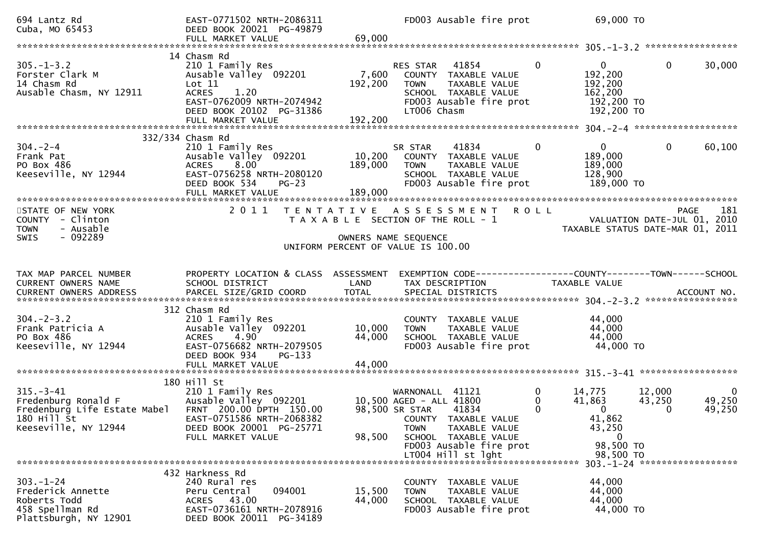| 694 Lantz Rd<br>Cuba, MO 65453                                                                                               | EAST-0771502 NRTH-2086311<br>DEED BOOK 20021 PG-49879<br>FULL MARKET VALUE                                                                                        | 69,000                     | FD003 Ausable fire prot                                                                                                                                                          | 69,000 TO                                                                                                   |                                                         |
|------------------------------------------------------------------------------------------------------------------------------|-------------------------------------------------------------------------------------------------------------------------------------------------------------------|----------------------------|----------------------------------------------------------------------------------------------------------------------------------------------------------------------------------|-------------------------------------------------------------------------------------------------------------|---------------------------------------------------------|
|                                                                                                                              |                                                                                                                                                                   |                            |                                                                                                                                                                                  |                                                                                                             |                                                         |
| $305. - 1 - 3.2$<br>Forster Clark M<br>14 Chasm Rd<br>Ausable Chasm, NY 12911                                                | 14 Chasm Rd<br>210 1 Family Res<br>Ausable Valley 092201<br>Lot 11<br>1.20<br><b>ACRES</b><br>EAST-0762009 NRTH-2074942<br>DEED BOOK 20102 PG-31386               | 7,600<br>192,200           | 41854<br>RES STAR<br>COUNTY TAXABLE VALUE<br><b>TOWN</b><br>TAXABLE VALUE<br>SCHOOL TAXABLE VALUE<br>FD003 Ausable fire prot<br>LT006 Chasm                                      | $\Omega$<br>$\overline{0}$<br>192,200<br>192,200<br>162,200<br>192,200 TO<br>192,200 TO                     | $\mathbf{0}$<br>30,000                                  |
|                                                                                                                              | FULL MARKET VALUE                                                                                                                                                 | 192,200                    |                                                                                                                                                                                  |                                                                                                             |                                                         |
|                                                                                                                              |                                                                                                                                                                   |                            |                                                                                                                                                                                  |                                                                                                             |                                                         |
| $304. - 2 - 4$<br>Frank Pat<br>PO Box 486<br>Keeseville, NY 12944                                                            | 332/334 Chasm Rd<br>210 1 Family Res<br>Ausable Valley 092201<br>8.00<br><b>ACRES</b><br>EAST-0756258 NRTH-2080120<br>DEED BOOK 534<br>$PG-23$                    | 10,200<br>189,000          | 41834<br>SR STAR<br>COUNTY TAXABLE VALUE<br><b>TOWN</b><br>TAXABLE VALUE<br>SCHOOL TAXABLE VALUE<br>FD003 Ausable fire prot                                                      | $\mathbf{0}$<br>$\Omega$<br>189,000<br>189,000<br>128,900<br>189,000 TO                                     | $\mathbf{0}$<br>60,100                                  |
| STATE OF NEW YORK                                                                                                            |                                                                                                                                                                   |                            | 2011 TENTATIVE ASSESSMENT ROLL                                                                                                                                                   |                                                                                                             | 181<br>PAGE                                             |
| COUNTY - Clinton<br>- Ausable<br><b>TOWN</b>                                                                                 |                                                                                                                                                                   |                            | T A X A B L E SECTION OF THE ROLL - 1                                                                                                                                            | VALUATION DATE-JUL $\overline{01}$ , 2010                                                                   | TAXABLE STATUS DATE-MAR 01, 2011                        |
| SWIS<br>- 092289                                                                                                             |                                                                                                                                                                   |                            | OWNERS NAME SEQUENCE                                                                                                                                                             |                                                                                                             |                                                         |
|                                                                                                                              |                                                                                                                                                                   |                            | UNIFORM PERCENT OF VALUE IS 100.00                                                                                                                                               |                                                                                                             |                                                         |
|                                                                                                                              |                                                                                                                                                                   |                            |                                                                                                                                                                                  |                                                                                                             |                                                         |
| TAX MAP PARCEL NUMBER<br>CURRENT OWNERS NAME<br>CURRENT OWNERS ADDRESS                                                       | PROPERTY LOCATION & CLASS ASSESSMENT<br>SCHOOL DISTRICT                                                                                                           | LAND                       | EXEMPTION CODE------------------COUNTY--------TOWN------SCHOOL<br>TAX DESCRIPTION                                                                                                | TAXABLE VALUE                                                                                               |                                                         |
|                                                                                                                              |                                                                                                                                                                   |                            |                                                                                                                                                                                  |                                                                                                             |                                                         |
| $304. -2 - 3.2$<br>Frank Patricia A<br>PO Box 486<br>Keeseville, NY 12944                                                    | 312 Chasm Rd<br>210 1 Family Res<br>Ausable Valley 092201<br><b>ACRES</b><br>4.90<br>EAST-0756682 NRTH-2079505<br>DEED BOOK 934<br>$PG-133$<br>FULL MARKET VALUE  | 10,000<br>44,000<br>44,000 | COUNTY TAXABLE VALUE<br><b>TOWN</b><br>TAXABLE VALUE<br>SCHOOL TAXABLE VALUE<br>FD003 Ausable fire prot                                                                          | 44,000<br>44,000<br>44,000<br>44,000 TO                                                                     |                                                         |
|                                                                                                                              |                                                                                                                                                                   |                            |                                                                                                                                                                                  |                                                                                                             |                                                         |
| $315. - 3 - 41$<br>Fredenburg Ronald F<br>Fredenburg Life Estate Mabel<br>$180$ Hill $\overline{5}t$<br>Keeseville, NY 12944 | 180 Hill St<br>210 1 Family Res<br>Ausable Valley 092201<br>FRNT 200.00 DPTH 150.00<br>EAST-0751586 NRTH-2068382<br>DEED BOOK 20001 PG-25771<br>FULL MARKET VALUE | 98,500                     | 41121<br>WARNONALL<br>10,500 AGED - ALL 41800<br>98,500 SR STAR 41834<br>COUNTY TAXABLE VALUE<br>TAXABLE VALUE<br><b>TOWN</b><br>SCHOOL TAXABLE VALUE<br>FD003 Ausable fire prot | 0<br>14,775<br>$\Omega$<br>41,863<br>0<br>$\overline{0}$<br>41,862<br>43,250<br>$\overline{0}$<br>98,500 TO | 12,000<br>- 0<br>49,250<br>43,250<br>49,250<br>$\Omega$ |
|                                                                                                                              |                                                                                                                                                                   |                            | LT004 Hill st lght                                                                                                                                                               | 98,500 TO                                                                                                   | 303. -1-24 ********************                         |
| $303 - 1 - 24$<br>Frederick Annette<br>Roberts Todd<br>458 Spellman Rd<br>Plattsburgh, NY 12901                              | 432 Harkness Rd<br>240 Rural res<br>094001<br>Peru Central<br>ACRES 43.00<br>EAST-0736161 NRTH-2078916<br>DEED BOOK 20011 PG-34189                                | 15,500<br>44,000           | COUNTY TAXABLE VALUE<br>TAXABLE VALUE<br><b>TOWN</b><br>SCHOOL TAXABLE VALUE<br>FD003 Ausable fire prot                                                                          | 44,000<br>44,000<br>44,000<br>44,000 TO                                                                     |                                                         |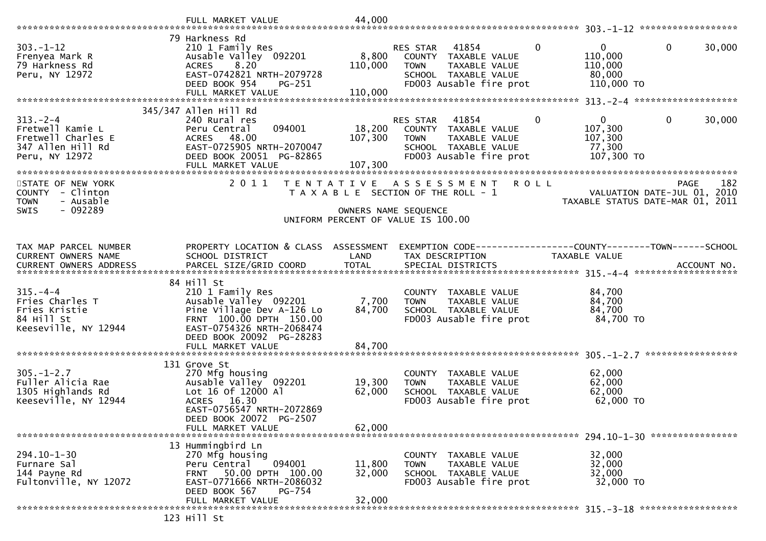|                                                                                                 | FULL MARKET VALUE                                                                                                                                                                                                  | 44,000                      |                                                                                                                                              |                                                            |                                            |
|-------------------------------------------------------------------------------------------------|--------------------------------------------------------------------------------------------------------------------------------------------------------------------------------------------------------------------|-----------------------------|----------------------------------------------------------------------------------------------------------------------------------------------|------------------------------------------------------------|--------------------------------------------|
| $303. - 1 - 12$<br>Frenyea Mark R<br>79 Harkness Rd<br>Peru, NY 12972                           | 79 Harkness Rd<br>210 1 Family Res<br>Ausable Valley 092201<br>8.20<br><b>ACRES</b><br>EAST-0742821 NRTH-2079728<br>DEED BOOK 954<br>$PG-251$<br>FULL MARKET VALUE                                                 | 8,800<br>110,000<br>110,000 | $\mathbf{0}$<br>RES STAR<br>41854<br>COUNTY TAXABLE VALUE<br>TAXABLE VALUE<br><b>TOWN</b><br>SCHOOL TAXABLE VALUE<br>FD003 Ausable fire prot | $\mathbf{0}$<br>110,000<br>110,000<br>80,000<br>110,000 TO | $\mathbf{0}$<br>30,000                     |
|                                                                                                 |                                                                                                                                                                                                                    |                             |                                                                                                                                              |                                                            |                                            |
| $313 - 2 - 4$<br>Fretwell Kamie L<br>Fretwell Charles E<br>347 Allen Hill Rd<br>Peru, NY 12972  | 345/347 Allen Hill Rd<br>240 Rural res<br>094001<br>Peru Central<br>ACRES 48.00<br>EAST-0725905 NRTH-2070047<br>DEED BOOK 20051 PG-82865                                                                           | 18,200<br>107,300           | RES STAR 41854<br>$\mathbf 0$<br>COUNTY TAXABLE VALUE<br>TAXABLE VALUE<br><b>TOWN</b><br>SCHOOL TAXABLE VALUE<br>FD003 Ausable fire prot     | $\mathbf{0}$<br>107,300<br>107,300<br>77,300<br>107,300 TO | $\mathbf 0$<br>30,000                      |
| STATE OF NEW YORK<br>COUNTY<br>- Clinton<br><b>TOWN</b><br>- Ausable<br>- 092289<br><b>SWIS</b> | 2011                                                                                                                                                                                                               | OWNERS NAME SEQUENCE        | TENTATIVE ASSESSMENT<br><b>ROLL</b><br>T A X A B L E SECTION OF THE ROLL - 1<br>UNIFORM PERCENT OF VALUE IS 100.00                           | TAXABLE STATUS DATE-MAR 01, 2011                           | 182<br>PAGE<br>VALUATION DATE-JUL 01, 2010 |
|                                                                                                 |                                                                                                                                                                                                                    |                             |                                                                                                                                              |                                                            |                                            |
| TAX MAP PARCEL NUMBER<br>CURRENT OWNERS NAME                                                    | PROPERTY LOCATION & CLASS ASSESSMENT<br>SCHOOL DISTRICT                                                                                                                                                            | LAND                        | EXEMPTION CODE------------------COUNTY--------TOWN------SCHOOL<br>TAX DESCRIPTION                                                            | TAXABLE VALUE                                              |                                            |
| $315. - 4 - 4$<br>Fries Charles T<br>Fries Kristie<br>84 Hill St<br>Keeseville, NY 12944        | 84 Hill St<br>210 1 Family Res<br>Ausable Valley 092201<br>Pine Village Dev A-126 Lo<br>FRNT 100.00 DPTH 150.00<br>EAST-0754326 NRTH-2068474<br>DEED BOOK 20092 PG-28283                                           | 7,700<br>84,700             | COUNTY TAXABLE VALUE<br><b>TOWN</b><br>TAXABLE VALUE<br>SCHOOL TAXABLE VALUE<br>FD003 Ausable fire prot                                      | 84,700<br>84,700<br>84,700<br>84,700 TO                    |                                            |
|                                                                                                 | FULL MARKET VALUE                                                                                                                                                                                                  | 84,700                      |                                                                                                                                              |                                                            |                                            |
| $305. - 1 - 2.7$<br>Fuller Alicia Rae<br>1305 Highlands Rd<br>Keeseville, NY 12944              | 131 Grove St<br>270 Mfg housing<br>Ausable Valley 092201<br>Lot 16 of 12000 Al<br>ACRES 16.30<br>EAST-0756547 NRTH-2072869<br>DEED BOOK 20072 PG-2507<br>FULL MARKET VALUE                                         | 19,300<br>62,000<br>62,000  | COUNTY TAXABLE VALUE<br>TAXABLE VALUE<br><b>TOWN</b><br>SCHOOL TAXABLE VALUE<br>FD003 Ausable fire prot                                      | 62,000<br>62,000<br>62,000<br>62,000 TO                    |                                            |
| $294.10 - 1 - 30$<br>Furnare Sal<br>144 Payne Rd<br>Fultonville, NY 12072                       | 13 Hummingbird Ln<br>270 Mfg housing<br>Peru Central<br>094001<br>50.00 DPTH 100.00<br><b>FRNT</b><br>EAST-0771666 NRTH-2086032<br><b>PG-754</b><br>DEED BOOK 567<br>FULL MARKET VALUE<br>$122 \quad 111 \quad 5+$ | 11,800<br>32,000<br>32,000  | COUNTY TAXABLE VALUE<br><b>TOWN</b><br>TAXABLE VALUE<br>SCHOOL TAXABLE VALUE<br>FD003 Ausable fire prot                                      | 32,000<br>32,000<br>32,000<br>32,000 TO                    |                                            |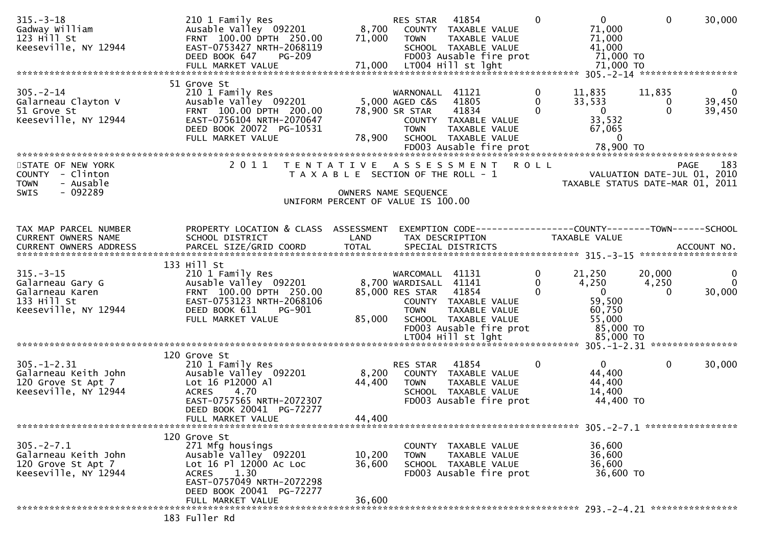| $315. - 3 - 18$<br>Gadway William<br>$123$ $H111$ St<br>Keeseville, NY 12944                  | 210 1 Family Res<br>Ausable Valley 092201<br>FRNT 100.00 DPTH 250.00<br>EAST-0753427 NRTH-2068119<br>DEED BOOK 647<br>PG-209                                                              | 8,700                      | 41854<br>RES STAR<br>COUNTY TAXABLE VALUE<br>71,000 TOWN<br>TAXABLE VALUE<br>SCHOOL TAXABLE VALUE<br>FD003 Ausable fire prot                                                 | $\Omega$                                | $\mathbf{0}$<br>71,000<br>71,000<br>41,000<br>71,000 TO                               | $\mathbf 0$                 | 30,000                                     |
|-----------------------------------------------------------------------------------------------|-------------------------------------------------------------------------------------------------------------------------------------------------------------------------------------------|----------------------------|------------------------------------------------------------------------------------------------------------------------------------------------------------------------------|-----------------------------------------|---------------------------------------------------------------------------------------|-----------------------------|--------------------------------------------|
|                                                                                               | 51 Grove St                                                                                                                                                                               |                            |                                                                                                                                                                              |                                         |                                                                                       |                             |                                            |
| $305. - 2 - 14$<br>Galarneau Clayton V<br>51 Grove St<br>Keeseville, NY 12944                 | 210 1 Family Res<br>Ausable Valley 092201<br>FRNT 100.00 DPTH 200.00<br>EAST-0756104 NRTH-2070647<br>DEED BOOK 20072 PG-10531<br>FULL MARKET VALUE                                        | 78,900                     | WARNONALL 41121<br>5,000 AGED C&S<br>41805<br>41834<br>78,900 SR STAR<br>COUNTY TAXABLE VALUE<br><b>TOWN</b><br>TAXABLE VALUE<br>SCHOOL TAXABLE VALUE                        | $\mathbf 0$<br>$\mathbf{0}$<br>$\Omega$ | 11,835<br>33,533<br>$\overline{0}$<br>33,532<br>67,065<br>- 0                         | 11,835<br>0<br>$\Omega$     | $\bf{0}$<br>39,450<br>39,450               |
|                                                                                               |                                                                                                                                                                                           |                            |                                                                                                                                                                              |                                         |                                                                                       |                             |                                            |
| STATE OF NEW YORK<br>COUNTY - Clinton<br>- Ausable<br><b>TOWN</b><br>$-092289$<br><b>SWIS</b> | 2011                                                                                                                                                                                      | T E N T A T I V E          | A S S E S S M E N T R O L L<br>T A X A B L E SECTION OF THE ROLL - 1<br>OWNERS NAME SEQUENCE<br>UNIFORM PERCENT OF VALUE IS 100.00                                           |                                         | VALUATION DATE-JUL 01, 2010<br>TAXABLE STATUS DATE-MAR 01, 2011                       |                             | 183<br>PAGE                                |
|                                                                                               |                                                                                                                                                                                           |                            |                                                                                                                                                                              |                                         |                                                                                       |                             |                                            |
| TAX MAP PARCEL NUMBER<br>CURRENT OWNERS NAME<br><b>CURRENT OWNERS ADDRESS</b>                 | PROPERTY LOCATION & CLASS ASSESSMENT<br>SCHOOL DISTRICT<br>PARCEL SIZE/GRID COORD                                                                                                         | LAND<br><b>TOTAL</b>       | EXEMPTION CODE------------------COUNTY--------TOWN------SCHOOL<br>TAX DESCRIPTION<br>SPECIAL DISTRICTS                                                                       |                                         | TAXABLE VALUE                                                                         |                             | ACCOUNT NO.                                |
|                                                                                               | 133 Hill St                                                                                                                                                                               |                            |                                                                                                                                                                              |                                         |                                                                                       |                             |                                            |
| $315. - 3 - 15$<br>Galarneau Gary G<br>Galarneau Karen<br>133 Hill St<br>Keeseville, NY 12944 | 210 1 Family Res<br>Ausable Valley 092201<br>FRNT 100.00 DPTH 250.00<br>EAST-0753123 NRTH-2068106<br>DEED BOOK 611<br>PG-901<br>FULL MARKET VALUE                                         | 85,000                     | WARCOMALL 41131<br>8,700 WARDISALL 41141<br>85,000 RES STAR 41854<br>COUNTY TAXABLE VALUE<br><b>TOWN</b><br>TAXABLE VALUE<br>SCHOOL TAXABLE VALUE<br>FD003 Ausable fire prot | 0<br>0<br>$\Omega$                      | 21,250<br>4,250<br>$\overline{\mathbf{0}}$<br>59,500<br>60,750<br>55,000<br>85,000 TO | 20,000<br>4,250<br>$\Omega$ | $\overline{0}$<br>$\overline{0}$<br>30,000 |
|                                                                                               |                                                                                                                                                                                           |                            |                                                                                                                                                                              |                                         |                                                                                       |                             |                                            |
| $305. - 1 - 2.31$<br>Galarneau Keith John<br>120 Grove St Apt 7<br>Keeseville, NY 12944       | 120 Grove St<br>210 1 Family Res<br>Ausable Valley 092201<br>Lot 16 P12000 Al<br>4.70<br><b>ACRES</b><br>EAST-0757565 NRTH-2072307<br>DEED BOOK 20041 PG-72277<br>FULL MARKET VALUE       | 8,200<br>44,400<br>44,400  | 41854<br>RES STAR<br>COUNTY TAXABLE VALUE<br>TAXABLE VALUE<br><b>TOWN</b><br>SCHOOL TAXABLE VALUE<br>FD003 Ausable fire prot                                                 | $\mathbf 0$                             | $\mathbf{0}$<br>44,400<br>44,400<br>14,400<br>44,400 TO                               | $\mathbf 0$                 | 30,000                                     |
|                                                                                               |                                                                                                                                                                                           |                            |                                                                                                                                                                              |                                         |                                                                                       |                             |                                            |
| $305. -2 - 7.1$<br>Galarneau Keith John<br>120 Grove St Apt 7<br>Keeseville, NY 12944         | 120 Grove St<br>271 Mfg housings<br>Ausable Valley 092201<br>Lot 16 Pl 12000 Ac Loc<br>1.30<br><b>ACRES</b><br>EAST-0757049 NRTH-2072298<br>DEED BOOK 20041 PG-72277<br>FULL MARKET VALUE | 10,200<br>36,600<br>36,600 | COUNTY TAXABLE VALUE<br>TAXABLE VALUE<br>TOWN<br>SCHOOL TAXABLE VALUE<br>FD003 Ausable fire prot                                                                             |                                         | 36,600<br>36,600<br>36,600<br>36,600 TO                                               |                             |                                            |
|                                                                                               |                                                                                                                                                                                           |                            |                                                                                                                                                                              |                                         |                                                                                       |                             |                                            |
|                                                                                               | 183 Fuller Rd                                                                                                                                                                             |                            |                                                                                                                                                                              |                                         |                                                                                       |                             |                                            |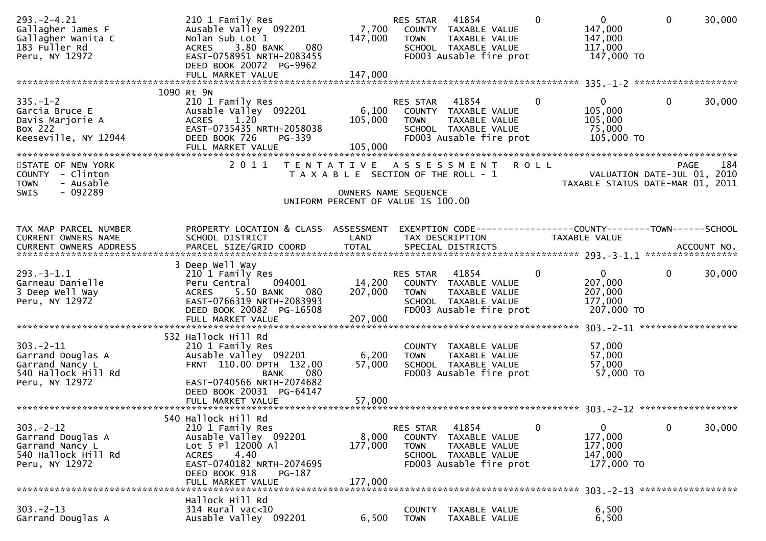| $293. -2 - 4.21$<br>Gallagher James F<br>Gallagher Wanita C<br>183 Fuller Rd<br>Peru, NY 12972  | 210 1 Family Res<br>Ausable Valley 092201<br>Nolan Sub Lot 1<br>ACRES 3.80 BANK<br>080<br>EAST-0758951 NRTH-2083455<br>DEED BOOK 20072 PG-9962<br>FULL MARKET VALUE                             | 147,000<br>147,000                                                                                                               | RES STAR<br>7,700 COUNTY TAXABLE VALUE<br><b>TOWN</b> | 41854<br>TAXABLE VALUE<br>SCHOOL TAXABLE VALUE<br>FD003 Ausable fire prot                         | $\Omega$     | $\mathbf{0}$<br>147,000<br>147,000<br>117,000<br>147,000 TO   | $\mathbf{0}$                                                                   | 30,000      |
|-------------------------------------------------------------------------------------------------|-------------------------------------------------------------------------------------------------------------------------------------------------------------------------------------------------|----------------------------------------------------------------------------------------------------------------------------------|-------------------------------------------------------|---------------------------------------------------------------------------------------------------|--------------|---------------------------------------------------------------|--------------------------------------------------------------------------------|-------------|
|                                                                                                 |                                                                                                                                                                                                 |                                                                                                                                  |                                                       |                                                                                                   |              |                                                               |                                                                                |             |
| $335. - 1 - 2$<br>Garcia Bruce E<br>Davis Marjorie A<br>Box 222<br>Keeseville, NY 12944         | 1090 Rt 9N<br>210 1 Family Res<br>Ausable Valley 092201<br>1.20<br><b>ACRES</b><br>EAST-0735435 NRTH-2058038<br>DEED BOOK 726<br>PG-339<br>FULL MARKET VALUE                                    | 6,100<br>105,000<br>105,000                                                                                                      | RES STAR<br><b>TOWN</b>                               | 41854<br>COUNTY TAXABLE VALUE<br>TAXABLE VALUE<br>SCHOOL TAXABLE VALUE<br>FD003 Ausable fire prot | $\mathbf{0}$ | $\overline{0}$<br>105,000<br>105,000<br>75,000<br>105,000 TO  | $\mathbf{0}$                                                                   | 30,000      |
| STATE OF NEW YORK<br>COUNTY - Clinton<br>- Ausable<br><b>TOWN</b><br>- 092289<br><b>SWIS</b>    | 2011                                                                                                                                                                                            | TENTATIVE ASSESSMENT ROLL<br>T A X A B L E SECTION OF THE ROLL - 1<br>OWNERS NAME SEQUENCE<br>UNIFORM PERCENT OF VALUE IS 100.00 |                                                       |                                                                                                   |              |                                                               | <b>PAGE</b><br>VALUATION DATE-JUL 01, 2010<br>TAXABLE STATUS DATE-MAR 01, 2011 | 184         |
| TAX MAP PARCEL NUMBER<br>CURRENT OWNERS NAME<br><b>CURRENT OWNERS ADDRESS</b>                   | PROPERTY LOCATION & CLASS ASSESSMENT<br>SCHOOL DISTRICT<br>PARCEL SIZE/GRID COORD                                                                                                               | LAND<br><b>TOTAL</b>                                                                                                             |                                                       | TAX DESCRIPTION<br>SPECIAL DISTRICTS                                                              |              | TAXABLE VALUE                                                 | EXEMPTION CODE------------------COUNTY--------TOWN------SCHOOL                 | ACCOUNT NO. |
| $293 - 3 - 1.1$<br>Garneau Danielle<br>3 Deep Well Way<br>Peru, NY 12972                        | 3 Deep Well Way<br>210 1 Family Res<br>094001<br>Peru Central<br>ACRES 5.50 BANK<br>080<br>EAST-0766319 NRTH-2083993<br>DEED BOOK 20082 PG-16508<br>FULL MARKET VALUE                           | 14,200<br>207,000<br>207,000                                                                                                     | RES STAR<br><b>TOWN</b>                               | 41854<br>COUNTY TAXABLE VALUE<br>TAXABLE VALUE<br>SCHOOL TAXABLE VALUE<br>FD003 Ausable fire prot | $\mathbf 0$  | $\overline{0}$<br>207,000<br>207,000<br>177,000<br>207,000 TO | $\mathbf{0}$                                                                   | 30,000      |
| $303 - 2 - 11$<br>Garrand Douglas A<br>Garrand Nancy L<br>540 Hallock Hill Rd<br>Peru, NY 12972 | 532 Hallock Hill Rd<br>210 1 Family Res<br>Ausable Valley 092201<br>FRNT 110.00 DPTH 132.00<br><b>BANK</b><br>080<br>EAST-0740566 NRTH-2074682<br>DEED BOOK 20031 PG-64147<br>FULL MARKET VALUE | 6,200<br>57,000<br>57,000                                                                                                        | <b>TOWN</b>                                           | COUNTY TAXABLE VALUE<br>TAXABLE VALUE<br>SCHOOL TAXABLE VALUE<br>FD003 Ausable fire prot          |              | 57,000<br>57,000<br>57,000<br>57,000 TO                       |                                                                                |             |
| $303 - 2 - 12$<br>Garrand Douglas A<br>Garrand Nancy L<br>540 Hallock Hill Rd<br>Peru, NY 12972 | 540 Hallock Hill Rd<br>210 1 Family Res<br>Ausable Valley 092201<br>Lot 5 Pl 12000 Al<br>4.40<br><b>ACRES</b><br>EAST-0740182 NRTH-2074695<br>DEED BOOK 918<br>PG-187<br>FULL MARKET VALUE      | 8,000<br>177,000<br>177,000                                                                                                      | RES STAR<br><b>COUNTY</b><br><b>TOWN</b>              | 41854<br>TAXABLE VALUE<br>TAXABLE VALUE<br>SCHOOL TAXABLE VALUE<br>FD003 Ausable fire prot        | 0            | $\mathbf{0}$<br>177,000<br>177,000<br>147,000<br>177,000 TO   | $\mathbf 0$                                                                    | 30,000      |
| $303 - 2 - 13$<br>Garrand Douglas A                                                             | Hallock Hill Rd<br>314 Rural vac<10<br>Ausable Valley 092201                                                                                                                                    | 6,500                                                                                                                            | <b>COUNTY</b><br><b>TOWN</b>                          | TAXABLE VALUE<br>TAXABLE VALUE                                                                    |              | 6,500<br>6,500                                                |                                                                                |             |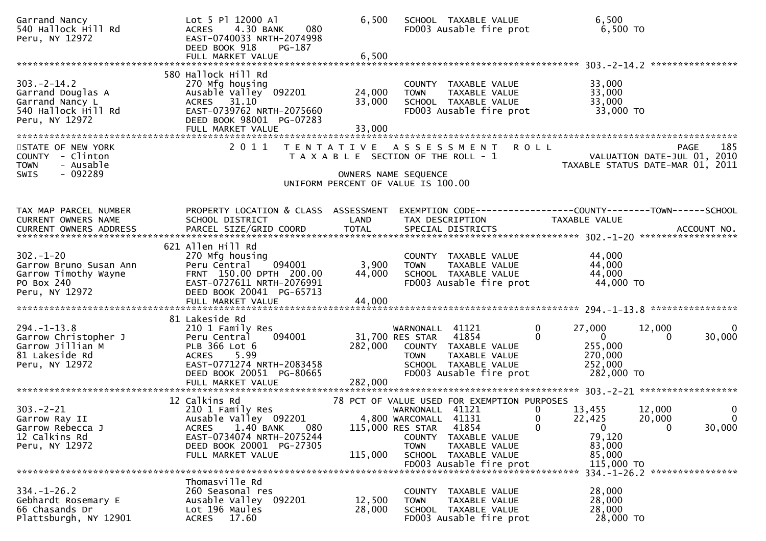| Garrand Nancy<br>540 Hallock Hill Rd<br>Peru, NY 12972                                            | Lot 5 Pl 12000 Al<br>4.30 BANK<br>080<br><b>ACRES</b><br>EAST-0740033 NRTH-2074998<br>DEED BOOK 918<br>PG-187                                                     | 6,500                     | SCHOOL TAXABLE VALUE<br>FD003 Ausable fire prot                                                                                                        | 6,500<br>6,500 TO                                                                                                                                  |
|---------------------------------------------------------------------------------------------------|-------------------------------------------------------------------------------------------------------------------------------------------------------------------|---------------------------|--------------------------------------------------------------------------------------------------------------------------------------------------------|----------------------------------------------------------------------------------------------------------------------------------------------------|
|                                                                                                   |                                                                                                                                                                   |                           |                                                                                                                                                        |                                                                                                                                                    |
| $303 - 2 - 14.2$<br>Garrand Douglas A<br>Garrand Nancy L<br>540 Hallock Hill Rd<br>Peru, NY 12972 | 580 Hallock Hill Rd<br>270 Mfg housing<br>Ausable Valley 092201<br>ACRES 31.10<br>EAST-0739762 NRTH-2075660<br>DEED BOOK 98001 PG-07283                           | 24,000<br>33,000          | COUNTY TAXABLE VALUE<br><b>TOWN</b><br>TAXABLE VALUE<br>SCHOOL TAXABLE VALUE<br>FD003 Ausable fire prot                                                | 33,000<br>33,000<br>33,000<br>33,000 TO                                                                                                            |
| STATE OF NEW YORK<br>COUNTY - Clinton<br>- Ausable<br><b>TOWN</b><br>- 092289<br><b>SWIS</b>      | 2011                                                                                                                                                              |                           | TENTATIVE ASSESSMENT<br><b>ROLL</b><br>T A X A B L E SECTION OF THE ROLL - 1<br>OWNERS NAME SEQUENCE                                                   | 185<br><b>PAGE</b><br>VALUATION DATE-JUL 01, 2010<br>TAXABLE STATUS DATE-MAR 01, 2011                                                              |
|                                                                                                   |                                                                                                                                                                   |                           | UNIFORM PERCENT OF VALUE IS 100.00                                                                                                                     |                                                                                                                                                    |
| TAX MAP PARCEL NUMBER<br>CURRENT OWNERS NAME<br>CURRENT OWNERS ADDRESS                            | PROPERTY LOCATION & CLASS ASSESSMENT<br>SCHOOL DISTRICT                                                                                                           | LAND                      | TAX DESCRIPTION                                                                                                                                        | EXEMPTION CODE-----------------COUNTY-------TOWN------SCHOOL<br><b>TAXABLE VALUE</b>                                                               |
|                                                                                                   | 621 Allen Hill Rd                                                                                                                                                 |                           |                                                                                                                                                        |                                                                                                                                                    |
| $302 - 1 - 20$<br>Garrow Bruno Susan Ann<br>Garrow Timothy Wayne<br>PO Box 240<br>Peru, NY 12972  | 270 Mfg housing<br>094001<br>Peru Central<br>FRNT 150.00 DPTH 200.00<br>EAST-0727611 NRTH-2076991<br>DEED BOOK 20041 PG-65713<br>FULL MARKET VALUE                | 3,900<br>44,000<br>44,000 | COUNTY TAXABLE VALUE<br><b>TOWN</b><br>TAXABLE VALUE<br>SCHOOL TAXABLE VALUE<br>FD003 Ausable fire prot                                                | 44,000<br>44,000<br>44,000<br>44,000 TO                                                                                                            |
|                                                                                                   | 81 Lakeside Rd                                                                                                                                                    |                           |                                                                                                                                                        |                                                                                                                                                    |
| $294. -1 - 13.8$<br>Garrow Christopher J<br>Garrow Jillian M<br>81 Lakeside Rd<br>Peru, NY 12972  | 210 1 Family Res<br>094001<br>Peru Central<br>PLB 366 Lot 6<br><b>ACRES</b><br>5.99<br>EAST-0771274 NRTH-2083458<br>DEED BOOK 20051 PG-80665<br>FULL MARKET VALUE | 282,000<br>282,000        | WARNONALL 41121<br>31,700 RES STAR<br>41854<br>COUNTY TAXABLE VALUE<br>TAXABLE VALUE<br><b>TOWN</b><br>SCHOOL TAXABLE VALUE<br>FD003 Ausable fire prot | 27,000<br>$\mathbf{0}$<br>0<br>12,000<br>30,000<br>$\Omega$<br>$\overline{0}$<br>0<br>255,000<br>270,000<br>252,000<br>282,000 TO                  |
|                                                                                                   | 12 Calkins Rd                                                                                                                                                     |                           | 78 PCT OF VALUE USED FOR EXEMPTION PURPOSES                                                                                                            |                                                                                                                                                    |
| $303 - 2 - 21$<br>Garrow Ray II<br>Garrow Rebecca J<br>12 Calkins Rd<br>Peru, NY 12972            | 210 1 Family Res<br>Ausable Valley 092201<br>1.40 BANK<br>080<br><b>ACRES</b><br>EAST-0734074 NRTH-2075244<br>DEED BOOK 20001 PG-27305<br>FULL MARKET VALUE       | 115,000                   | WARNONALL 41121<br>4,800 WARCOMALL 41131<br>41854<br>115,000 RES STAR<br>COUNTY TAXABLE VALUE<br><b>TOWN</b><br>TAXABLE VALUE<br>SCHOOL TAXABLE VALUE  | 0<br>0<br>13,455<br>12,000<br>$\Omega$<br>22,425<br>20,000<br>$\Omega$<br>$\mathbf 0$<br>$\mathbf{0}$<br>0<br>30,000<br>79,120<br>83,000<br>85,000 |
|                                                                                                   |                                                                                                                                                                   |                           |                                                                                                                                                        | 115,000 TO<br>334. -1-26. 2 *****************                                                                                                      |
| $334. - 1 - 26.2$<br>Gebhardt Rosemary E<br>66 Chasands Dr<br>Plattsburgh, NY 12901               | Thomasville Rd<br>260 Seasonal res<br>Ausable Valley 092201<br>Lot 196 Maules<br>17.60<br><b>ACRES</b>                                                            | 12,500<br>28,000          | COUNTY TAXABLE VALUE<br>TAXABLE VALUE<br><b>TOWN</b><br>SCHOOL TAXABLE VALUE<br>FD003 Ausable fire prot                                                | 28,000<br>28,000<br>28,000<br>28,000 TO                                                                                                            |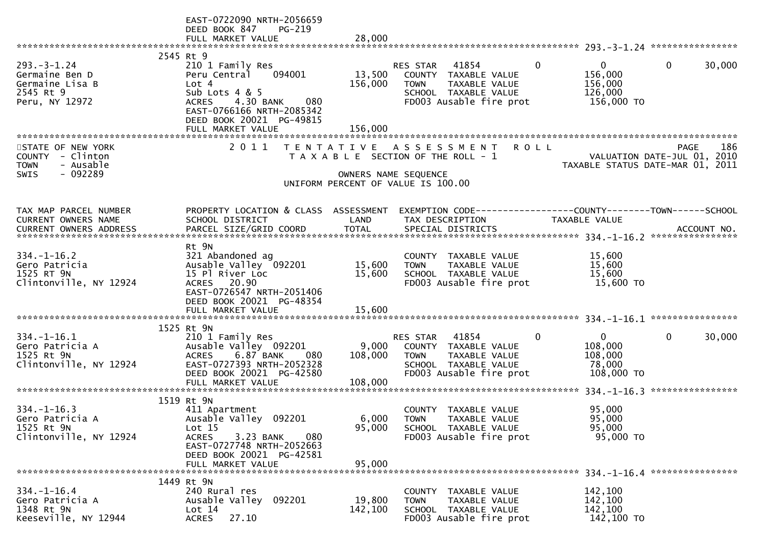|                                                                                              | EAST-0722090 NRTH-2056659<br>DEED BOOK 847<br><b>PG-219</b><br>FULL MARKET VALUE                                                                                                  | 28,000                      |                                                                                                                                                      |                                                                          |                                                                                |
|----------------------------------------------------------------------------------------------|-----------------------------------------------------------------------------------------------------------------------------------------------------------------------------------|-----------------------------|------------------------------------------------------------------------------------------------------------------------------------------------------|--------------------------------------------------------------------------|--------------------------------------------------------------------------------|
|                                                                                              |                                                                                                                                                                                   |                             |                                                                                                                                                      |                                                                          |                                                                                |
| $293. -3 - 1.24$<br>Germaine Ben D<br>Germaine Lisa B<br>2545 Rt 9<br>Peru, NY 12972         | 2545 Rt 9<br>210 1 Family Res<br>094001<br>Peru Central<br>Lot 4<br>Sub Lots $4 & 5$<br><b>ACRES</b><br>4.30 BANK<br>080<br>EAST-0766166 NRTH-2085342<br>DEED BOOK 20021 PG-49815 | 13,500<br>156,000           | 41854<br><b>RES STAR</b><br><b>COUNTY</b><br>TAXABLE VALUE<br><b>TOWN</b><br><b>TAXABLE VALUE</b><br>SCHOOL TAXABLE VALUE<br>FD003 Ausable fire prot | $\Omega$<br>$\Omega$<br>156,000<br>156,000<br>126,000<br>156,000 TO      | 30,000<br>0                                                                    |
|                                                                                              |                                                                                                                                                                                   |                             |                                                                                                                                                      |                                                                          |                                                                                |
| STATE OF NEW YORK<br>COUNTY - Clinton<br>- Ausable<br><b>TOWN</b><br>- 092289<br><b>SWIS</b> | 2011                                                                                                                                                                              |                             | TENTATIVE ASSESSMENT<br>T A X A B L E SECTION OF THE ROLL - 1<br>OWNERS NAME SEQUENCE<br>UNIFORM PERCENT OF VALUE IS 100.00                          | <b>ROLL</b>                                                              | 186<br>PAGE<br>VALUATION DATE-JUL 01, 2010<br>TAXABLE STATUS DATE-MAR 01, 2011 |
|                                                                                              |                                                                                                                                                                                   |                             |                                                                                                                                                      |                                                                          |                                                                                |
| TAX MAP PARCEL NUMBER<br>CURRENT OWNERS NAME                                                 | PROPERTY LOCATION & CLASS ASSESSMENT<br>SCHOOL DISTRICT                                                                                                                           | LAND                        | TAX DESCRIPTION                                                                                                                                      | <b>TAXABLE VALUE</b>                                                     |                                                                                |
|                                                                                              | Rt 9N                                                                                                                                                                             |                             |                                                                                                                                                      |                                                                          |                                                                                |
| $334. - 1 - 16.2$<br>Gero Patricia<br>1525 RT 9N<br>Clintonville, NY 12924                   | 321 Abandoned ag<br>Ausable Valley 092201<br>15 Pl River Loc<br>ACRES 20.90<br>EAST-0726547 NRTH-2051406<br>DEED BOOK 20021 PG-48354                                              | 15,600<br>15,600            | COUNTY TAXABLE VALUE<br>TAXABLE VALUE<br><b>TOWN</b><br>SCHOOL TAXABLE VALUE<br>FD003 Ausable fire prot                                              | 15,600<br>15,600<br>15,600<br>15,600 TO                                  |                                                                                |
|                                                                                              | FULL MARKET VALUE                                                                                                                                                                 | 15,600                      |                                                                                                                                                      |                                                                          |                                                                                |
| $334. - 1 - 16.1$<br>Gero Patricia A<br>1525 Rt 9N<br>Clintonville, NY 12924                 | 1525 Rt 9N<br>210 1 Family Res<br>Ausable Valley 092201<br>6.87 BANK<br><b>ACRES</b><br>080<br>EAST-0727393 NRTH-2052328<br>DEED BOOK 20021 PG-42580<br>FULL MARKET VALUE         | 9,000<br>108,000<br>108,000 | 41854<br><b>RES STAR</b><br>COUNTY<br>TAXABLE VALUE<br>TAXABLE VALUE<br><b>TOWN</b><br>SCHOOL TAXABLE VALUE<br>FD003 Ausable fire prot               | $\Omega$<br>$\overline{0}$<br>108,000<br>108,000<br>78,000<br>108,000 TO | 0<br>30,000<br>****************                                                |
|                                                                                              | 1519 Rt 9N                                                                                                                                                                        |                             |                                                                                                                                                      |                                                                          |                                                                                |
| $334. - 1 - 16.3$<br>Gero Patricia A<br>1525 Rt 9N<br>Clintonville, NY 12924                 | 411 Apartment<br>Ausable Valley 092201<br>Lot 15<br><b>ACRES</b><br>3.23 BANK<br>080<br>EAST-0727748 NRTH-2052663<br>DEED BOOK 20021 PG-42581                                     | 95,000                      | COUNTY TAXABLE VALUE<br>6,000 TOWN<br>TAXABLE VALUE<br>SCHOOL TAXABLE VALUE<br>FD003 Ausable fire prot                                               | 95,000<br>95,000<br>95,000<br>95,000 TO                                  |                                                                                |
|                                                                                              | FULL MARKET VALUE                                                                                                                                                                 | 95,000                      |                                                                                                                                                      |                                                                          |                                                                                |
| $334. - 1 - 16.4$<br>Gero Patricia A<br>1348 Rt 9N<br>Keeseville, NY 12944                   | 1449 Rt 9N<br>240 Rural res<br>Ausable Valley<br>092201<br>Lot 14<br><b>ACRES</b><br>27.10                                                                                        | 19,800<br>142,100           | COUNTY TAXABLE VALUE<br>TAXABLE VALUE<br><b>TOWN</b><br>SCHOOL TAXABLE VALUE<br>FD003 Ausable fire prot                                              | 142,100<br>142,100<br>142,100<br>142,100 TO                              |                                                                                |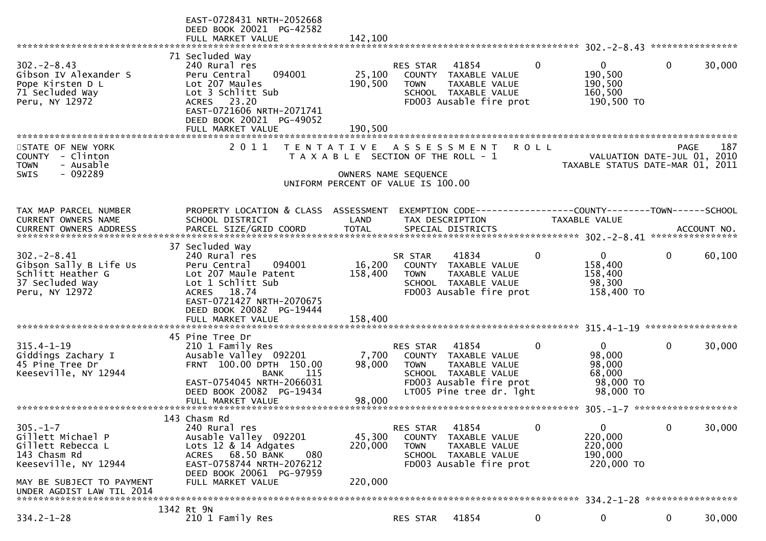|                                                                                                      | EAST-0728431 NRTH-2052668<br>DEED BOOK 20021 PG-42582<br>FULL MARKET VALUE                                                                                                        | 142,100                      |                                                                                                                                         |                                                       |                                                                        |              |                            |
|------------------------------------------------------------------------------------------------------|-----------------------------------------------------------------------------------------------------------------------------------------------------------------------------------|------------------------------|-----------------------------------------------------------------------------------------------------------------------------------------|-------------------------------------------------------|------------------------------------------------------------------------|--------------|----------------------------|
| 71 Secluded Way                                                                                      |                                                                                                                                                                                   |                              |                                                                                                                                         |                                                       |                                                                        |              |                            |
| $302 - 2 - 8.43$<br>Gibson IV Alexander S<br>Pope Kirsten D L<br>71 Secluded Way<br>Peru, NY 12972   | 240 Rural res<br>094001<br>Peru Central<br>Lot 207 Maules<br>Lot 3 Schlitt Sub<br>ACRES 23.20<br>EAST-0721606 NRTH-2071741<br>DEED BOOK 20021 PG-49052                            | 25,100<br>190,500            | 41854<br><b>RES STAR</b><br>COUNTY<br><b>TOWN</b><br>SCHOOL TAXABLE VALUE<br>FD003 Ausable fire prot                                    | $\mathbf{0}$<br>TAXABLE VALUE<br><b>TAXABLE VALUE</b> | $\overline{0}$<br>190,500<br>190,500<br>160,500<br>190,500 TO          | $\mathbf{0}$ | 30,000                     |
|                                                                                                      |                                                                                                                                                                                   |                              |                                                                                                                                         |                                                       |                                                                        |              |                            |
| STATE OF NEW YORK<br>- Clinton<br><b>COUNTY</b><br>- Ausable<br><b>TOWN</b><br>$-092289$<br>SWIS     | 2011                                                                                                                                                                              |                              | TENTATIVE ASSESSMENT<br>T A X A B L E SECTION OF THE ROLL - 1<br>OWNERS NAME SEQUENCE<br>UNIFORM PERCENT OF VALUE IS 100.00             | <b>ROLL</b>                                           | VALUATION DATE-JUL 01,<br>TAXABLE STATUS DATE-MAR 01, 2011             |              | 187<br><b>PAGE</b><br>2010 |
|                                                                                                      |                                                                                                                                                                                   |                              |                                                                                                                                         |                                                       |                                                                        |              |                            |
| TAX MAP PARCEL NUMBER<br><b>CURRENT OWNERS NAME</b>                                                  | PROPERTY LOCATION & CLASS ASSESSMENT<br>SCHOOL DISTRICT                                                                                                                           | LAND                         | TAX DESCRIPTION                                                                                                                         |                                                       | <b>TAXABLE VALUE</b>                                                   |              |                            |
|                                                                                                      | 37 Secluded Way                                                                                                                                                                   |                              |                                                                                                                                         |                                                       |                                                                        |              |                            |
| $302 - 2 - 8.41$<br>Gibson Sally B Life Us<br>Schlitt Heather G<br>37 Secluded Way<br>Peru, NY 12972 | 240 Rural res<br>094001<br>Peru Central<br>Lot 207 Maule Patent<br>Lot 1 Schlitt Sub<br>ACRES 18.74<br>EAST-0721427 NRTH-2070675<br>DEED BOOK 20082 PG-19444<br>FULL MARKET VALUE | 16,200<br>158,400<br>158,400 | 41834<br>SR STAR<br>COUNTY TAXABLE VALUE<br><b>TOWN</b><br>SCHOOL TAXABLE VALUE<br>FD003 Ausable fire prot                              | 0<br>TAXABLE VALUE                                    | $\overline{0}$<br>158,400<br>158,400<br>98,300<br>158,400 TO           | 0            | 60,100                     |
| 45 Pine Tree Dr                                                                                      |                                                                                                                                                                                   |                              |                                                                                                                                         |                                                       |                                                                        |              |                            |
| $315.4 - 1 - 19$<br>Giddings Zachary I<br>45 Pine Tree Dr<br>Keeseville, NY 12944                    | 210 1 Family Res<br>Ausable Valley 092201<br>FRNT 100.00 DPTH 150.00<br>115<br>BANK<br>EAST-0754045 NRTH-2066031<br>DEED BOOK 20082 PG-19434                                      | 7,700<br>98,000              | RES STAR<br>41854<br>COUNTY TAXABLE VALUE<br><b>TOWN</b><br>SCHOOL TAXABLE VALUE<br>FD003 Ausable fire prot<br>LT005 Pine tree dr. lght | $\mathbf{0}$<br>TAXABLE VALUE                         | $\overline{0}$<br>98,000<br>98,000<br>68,000<br>98,000 TO<br>98,000 TO | $\mathbf 0$  | 30,000                     |
| 143 Chasm Rd                                                                                         |                                                                                                                                                                                   |                              |                                                                                                                                         |                                                       |                                                                        |              |                            |
| $305. - 1 - 7$<br>Gillett Michael P<br>Gillett Rebecca L<br>143 Chasm Rd<br>Keeseville, NY 12944     | 240 Rural res<br>Ausable Valley 092201<br>Lots 12 & 14 Adgates<br>68.50 BANK<br>ACRES<br>080<br>EAST-0758744 NRTH-2076212<br>DEED BOOK 20061 PG-97959                             | 45,300<br>220,000            | 41854<br>RES STAR<br>COUNTY TAXABLE VALUE<br><b>TOWN</b><br>SCHOOL TAXABLE VALUE<br>FD003 Ausable fire prot                             | 0<br>TAXABLE VALUE                                    | $\mathbf{0}$<br>220,000<br>220,000<br>190,000<br>220,000 TO            | $\mathbf 0$  | 30,000                     |
| MAY BE SUBJECT TO PAYMENT<br>UNDER AGDIST LAW TIL 2014                                               | FULL MARKET VALUE                                                                                                                                                                 | 220,000                      |                                                                                                                                         |                                                       |                                                                        |              |                            |
| $334.2 - 1 - 28$                                                                                     | 1342 Rt 9N<br>210 1 Family Res                                                                                                                                                    |                              | 41854<br>RES STAR                                                                                                                       | 0                                                     | 0                                                                      | 0            | 30,000                     |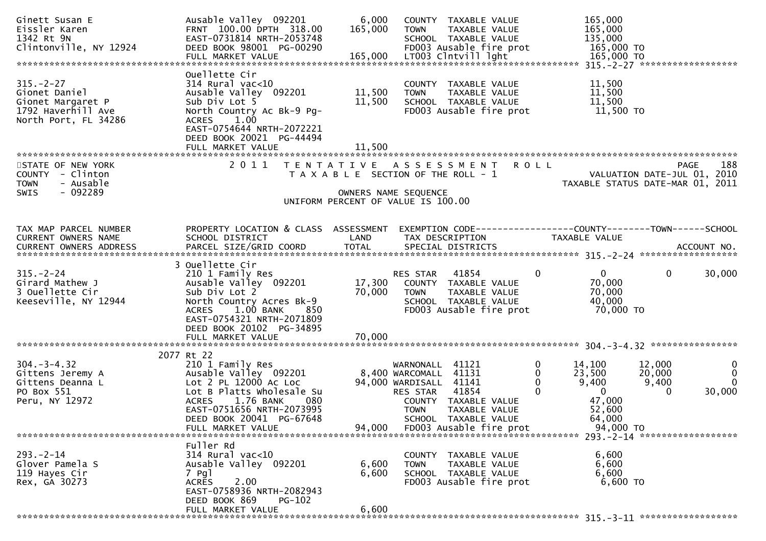| Ginett Susan E<br>Eissler Karen<br>1342 Rt 9N<br>Clintonville, NY 12924                                         | Ausable Valley 092201<br>FRNT 100.00 DPTH 318.00<br>EAST-0731814 NRTH-2053748<br>DEED BOOK 98001 PG-00290                                                                                                                       | 6,000<br>165,000                      | <b>TOWN</b>                                                                                         | COUNTY TAXABLE VALUE<br>TAXABLE VALUE<br>SCHOOL TAXABLE VALUE<br>FD003 Ausable fire prot          |                           | 165,000<br>165,000<br>135,000<br>165,000 TO                                            |                                       |                                               |
|-----------------------------------------------------------------------------------------------------------------|---------------------------------------------------------------------------------------------------------------------------------------------------------------------------------------------------------------------------------|---------------------------------------|-----------------------------------------------------------------------------------------------------|---------------------------------------------------------------------------------------------------|---------------------------|----------------------------------------------------------------------------------------|---------------------------------------|-----------------------------------------------|
|                                                                                                                 |                                                                                                                                                                                                                                 |                                       |                                                                                                     |                                                                                                   |                           |                                                                                        |                                       |                                               |
| $315. - 2 - 27$<br>Gionet Daniel<br>Gionet Margaret P<br>1792 Haverhill Ave<br>North Port, FL 34286             | Ouellette Cir<br>$314$ Rural vac<10<br>Ausable Valley 092201<br>Sub Div Lot 5<br>North Country Ac Bk-9 Pg-<br>1.00<br><b>ACRES</b><br>EAST-0754644 NRTH-2072221                                                                 | 11,500<br>11,500                      | <b>TOWN</b>                                                                                         | COUNTY TAXABLE VALUE<br>TAXABLE VALUE<br>SCHOOL TAXABLE VALUE<br>FD003 Ausable fire prot          |                           | 11,500<br>11,500<br>11,500<br>11,500 TO                                                |                                       |                                               |
|                                                                                                                 | DEED BOOK 20021 PG-44494                                                                                                                                                                                                        | 11,500                                |                                                                                                     |                                                                                                   |                           |                                                                                        |                                       |                                               |
| STATE OF NEW YORK                                                                                               | 2011                                                                                                                                                                                                                            | T E N T A T I V E                     |                                                                                                     | A S S E S S M E N T                                                                               | ROLL                      |                                                                                        |                                       | 188<br>PAGE                                   |
| COUNTY - Clinton<br>- Ausable<br><b>TOWN</b>                                                                    |                                                                                                                                                                                                                                 | T A X A B L E SECTION OF THE ROLL - 1 |                                                                                                     |                                                                                                   |                           | VALUATION DATE-JUL 01, 2010<br>TAXABLE STATUS DATE-MAR 01, 2011                        |                                       |                                               |
| - 092289<br><b>SWIS</b>                                                                                         |                                                                                                                                                                                                                                 | UNIFORM PERCENT OF VALUE IS 100.00    | OWNERS NAME SEQUENCE                                                                                |                                                                                                   |                           |                                                                                        |                                       |                                               |
|                                                                                                                 |                                                                                                                                                                                                                                 |                                       |                                                                                                     |                                                                                                   |                           |                                                                                        |                                       |                                               |
|                                                                                                                 |                                                                                                                                                                                                                                 |                                       |                                                                                                     |                                                                                                   |                           |                                                                                        |                                       |                                               |
| TAX MAP PARCEL NUMBER                                                                                           | PROPERTY LOCATION & CLASS ASSESSMENT                                                                                                                                                                                            |                                       |                                                                                                     |                                                                                                   |                           | EXEMPTION CODE-----------------COUNTY-------TOWN------SCHOOL                           |                                       |                                               |
| CURRENT OWNERS NAME                                                                                             | SCHOOL DISTRICT                                                                                                                                                                                                                 | LAND                                  |                                                                                                     | TAX DESCRIPTION                                                                                   |                           | TAXABLE VALUE                                                                          |                                       |                                               |
| .CURRENT OWNERS ADDRESS PARCEL SIZE/GRID COORD TOTAL SPECIAL DISTRICTS ACCOUNT NO ACCOUNT NO ACCOUNT NO ACCOUNT |                                                                                                                                                                                                                                 |                                       |                                                                                                     |                                                                                                   |                           |                                                                                        |                                       |                                               |
|                                                                                                                 |                                                                                                                                                                                                                                 |                                       |                                                                                                     |                                                                                                   |                           |                                                                                        |                                       |                                               |
| $315. - 2 - 24$<br>Girard Mathew J<br>3 Ouellette Cir<br>Keeseville, NY 12944                                   | 3 Ouellette Cir<br>210 1 Family Res<br>Ausable Valley 092201<br>Sub Div Lot 2<br>North Country Acres Bk-9<br>$1.00$ BANK<br><b>ACRES</b><br>850<br>EAST-0754321 NRTH-2071809                                                    | 17,300<br>70,000                      | RES STAR<br><b>TOWN</b>                                                                             | 41854<br>COUNTY TAXABLE VALUE<br>TAXABLE VALUE<br>SCHOOL TAXABLE VALUE<br>FD003 Ausable fire prot | $\overline{0}$            | $\overline{0}$<br>70,000<br>70,000<br>40,000<br>70,000 TO                              | $\mathbf{0}$                          | 30,000                                        |
|                                                                                                                 | DEED BOOK 20102 PG-34895                                                                                                                                                                                                        |                                       |                                                                                                     |                                                                                                   |                           |                                                                                        |                                       |                                               |
|                                                                                                                 |                                                                                                                                                                                                                                 |                                       |                                                                                                     |                                                                                                   |                           |                                                                                        |                                       |                                               |
|                                                                                                                 |                                                                                                                                                                                                                                 |                                       |                                                                                                     |                                                                                                   |                           |                                                                                        |                                       |                                               |
| $304 - 3 - 4.32$<br>Gittens Jeremy A<br>Gittens Deanna L<br>PO Box 551<br>Peru, NY 12972                        | 2077 Rt 22<br>210 1 Family Res<br>Ausable Valley 092201<br>Lot 2 PL 12000 Ac Loc<br>Lot B Platts Wholesale Su<br>1.76 BANK<br>080<br><b>ACRES</b><br>EAST-0751656 NRTH-2073995<br>DEED BOOK 20041 PG-67648<br>FULL MARKET VALUE | 94,000                                | WARNONALL 41121<br>8,400 WARCOMALL 41131<br>94,000 WARDISALL 41141<br>RES STAR 41854<br><b>TOWN</b> | COUNTY TAXABLE VALUE<br>TAXABLE VALUE<br>SCHOOL TAXABLE VALUE<br>FD003 Ausable fire prot          | 0<br>$\Omega$<br>$\Omega$ | 14,100<br>23,500<br>9,400<br>$\overline{0}$<br>47,000<br>52,600<br>64,000<br>94,000 TO | 12,000<br>20,000<br>9,400<br>$\Omega$ | $\bf{0}$<br>$\mathbf 0$<br>$\Omega$<br>30,000 |
|                                                                                                                 |                                                                                                                                                                                                                                 |                                       |                                                                                                     |                                                                                                   |                           |                                                                                        |                                       |                                               |
| $293 - 2 - 14$<br>Glover Pamela S<br>119 Hayes Cir<br>Rex, GA 30273                                             | Fuller Rd<br>$314$ Rural vac<10<br>Ausable Valley 092201<br>7 Pgl<br>2.00<br><b>ACRES</b>                                                                                                                                       | 6,600<br>6,600                        | <b>TOWN</b>                                                                                         | COUNTY TAXABLE VALUE<br>TAXABLE VALUE<br>SCHOOL TAXABLE VALUE<br>FD003 Ausable fire prot          |                           | 6,600<br>6,600<br>6,600<br>6,600 TO                                                    |                                       |                                               |
|                                                                                                                 | EAST-0758936 NRTH-2082943<br>DEED BOOK 869<br>$PG-102$<br>FULL MARKET VALUE                                                                                                                                                     | 6,600                                 |                                                                                                     |                                                                                                   |                           |                                                                                        |                                       |                                               |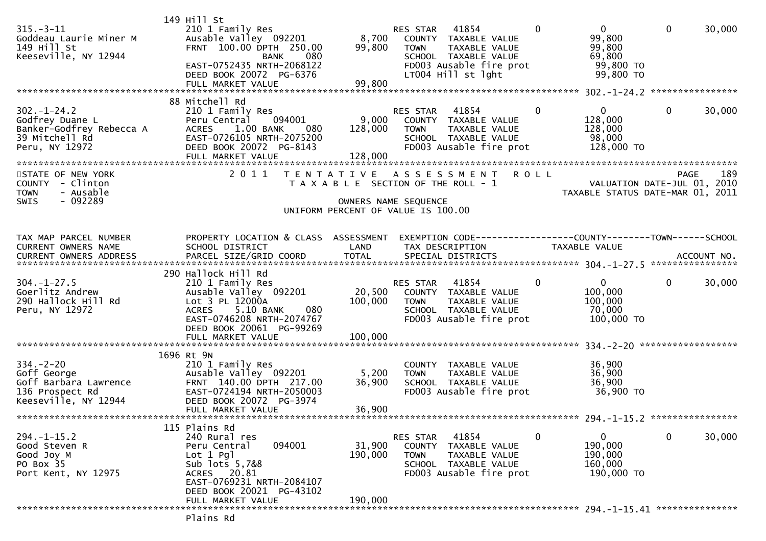| $315. - 3 - 11$<br>Goddeau Laurie Miner M<br>149 Hill St<br>Keeseville, NY 12944                    | 149 Hill St<br>210 1 Family Res<br>Ausable Valley 092201<br>FRNT 100.00 DPTH 250.00<br>080<br><b>BANK</b><br>EAST-0752435 NRTH-2068122<br>DEED BOOK 20072 PG-6376<br>FULL MARKET VALUE                | 8,700<br>99,800<br>99,800    | RES STAR 41854<br>COUNTY TAXABLE VALUE<br><b>TOWN</b><br>SCHOOL TAXABLE VALUE<br>LT004 Hill st lght                              | TAXABLE VALUE<br>FD003 Ausable fire prot                           | $\Omega$     | $\overline{0}$<br>99,800<br>99,800<br>69,800<br>99,800 TO<br>99,800 TO | $\mathbf 0$  | 30,000 |
|-----------------------------------------------------------------------------------------------------|-------------------------------------------------------------------------------------------------------------------------------------------------------------------------------------------------------|------------------------------|----------------------------------------------------------------------------------------------------------------------------------|--------------------------------------------------------------------|--------------|------------------------------------------------------------------------|--------------|--------|
|                                                                                                     | 88 Mitchell Rd                                                                                                                                                                                        |                              |                                                                                                                                  |                                                                    |              |                                                                        |              |        |
| $302 - 1 - 24.2$<br>Godfrey Duane L<br>Banker-Godfrey Rebecca A<br>39 Mitchell Rd<br>Peru, NY 12972 | 210 1 Family Res<br>094001<br>Peru Central<br><b>ACRES</b><br>1.00 BANK<br>080<br>EAST-0726105 NRTH-2075200<br>DEED BOOK 20072 PG-8143<br>FULL MARKET VALUE                                           | 9,000<br>128,000<br>128,000  | RES STAR 41854<br>COUNTY TAXABLE VALUE<br><b>TOWN</b><br>SCHOOL TAXABLE VALUE                                                    | TAXABLE VALUE<br>FD003 Ausable fire prot                           | $\mathbf{0}$ | $\mathbf{0}$<br>128,000<br>128,000<br>98,000<br>128,000 TO             | $\mathbf 0$  | 30,000 |
| STATE OF NEW YORK<br>COUNTY - Clinton<br>- Ausable<br><b>TOWN</b><br>$-092289$<br><b>SWIS</b>       | 2011                                                                                                                                                                                                  |                              | TENTATIVE ASSESSMENT ROLL<br>T A X A B L E SECTION OF THE ROLL - 1<br>OWNERS NAME SEQUENCE<br>UNIFORM PERCENT OF VALUE IS 100.00 |                                                                    |              | VALUATION DATE-JUL 01, 2010<br>TAXABLE STATUS DATE-MAR 01, 2011        | <b>PAGE</b>  | 189    |
| TAX MAP PARCEL NUMBER<br>CURRENT OWNERS NAME<br><b>CURRENT OWNERS ADDRESS</b>                       | PROPERTY LOCATION & CLASS ASSESSMENT<br>SCHOOL DISTRICT                                                                                                                                               | LAND                         | TAX DESCRIPTION                                                                                                                  | EXEMPTION CODE-----------------COUNTY-------TOWN------SCHOOL       |              | TAXABLE VALUE                                                          |              |        |
| $304 - 1 - 27.5$<br>Goerlitz Andrew<br>290 Hallock Hill Rd<br>Peru, NY 12972                        | 290 Hallock Hill Rd<br>210 1 Family Res<br>Ausable Valley 092201<br>Lot 3 PL 12000A<br>5.10 BANK<br><b>ACRES</b><br>080<br>EAST-0746208 NRTH-2074767<br>DEED BOOK 20061 PG-99269<br>FULL MARKET VALUE | 20,500<br>100,000<br>100,000 | RES STAR 41854<br>COUNTY TAXABLE VALUE<br><b>TOWN</b><br>SCHOOL TAXABLE VALUE                                                    | TAXABLE VALUE<br>FD003 Ausable fire prot                           | $\mathbf 0$  | $\mathbf{0}$<br>100,000<br>100,000<br>70,000<br>100,000 TO             | $\mathbf{0}$ | 30,000 |
|                                                                                                     | 1696 Rt 9N                                                                                                                                                                                            |                              |                                                                                                                                  |                                                                    |              |                                                                        |              |        |
| $334. - 2 - 20$<br>Goff George<br>Goff Barbara Lawrence<br>136 Prospect Rd<br>Keeseville, NY 12944  | 210 1 Family Res<br>Ausable Valley 092201<br>FRNT 140.00 DPTH 217.00<br>EAST-0724194 NRTH-2050003<br>DEED BOOK 20072 PG-3974<br>FULL MARKET VALUE                                                     | 5,200<br>36,900<br>36,900    | COUNTY TAXABLE VALUE<br><b>TOWN</b><br>SCHOOL TAXABLE VALUE                                                                      | TAXABLE VALUE<br>FD003 Ausable fire prot                           |              | 36,900<br>36,900<br>36,900<br>36,900 TO                                |              |        |
|                                                                                                     | 115 Plains Rd                                                                                                                                                                                         |                              |                                                                                                                                  |                                                                    |              |                                                                        |              |        |
| $294. -1 - 15.2$<br>Good Steven R<br>Good Joy M<br>PO Box 35<br>Port Kent, NY 12975                 | 240 Rural res<br>094001<br>Peru Central<br>Lot 1 Pgl<br>Sub lots 5,7&8<br>ACRES 20.81<br>EAST-0769231 NRTH-2084107<br>DEED BOOK 20021 PG-43102                                                        | 31,900<br>190,000            | RES STAR<br><b>COUNTY</b><br><b>TOWN</b><br>SCHOOL TAXABLE VALUE                                                                 | 41854<br>TAXABLE VALUE<br>TAXABLE VALUE<br>FD003 Ausable fire prot | 0            | 0<br>190,000<br>190,000<br>160,000<br>190,000 TO                       | 0            | 30,000 |
|                                                                                                     | FULL MARKET VALUE                                                                                                                                                                                     | 190,000                      |                                                                                                                                  |                                                                    |              |                                                                        |              |        |
|                                                                                                     | Plains Rd                                                                                                                                                                                             |                              |                                                                                                                                  |                                                                    |              |                                                                        |              |        |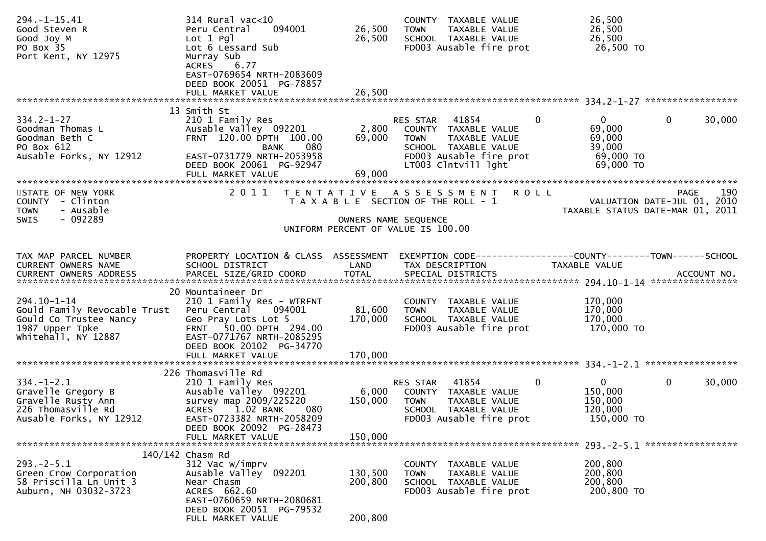| $294. -1 - 15.41$<br>Good Steven R<br>Good Joy M<br>PO Box 35<br>Port Kent, NY 12975                            | $314$ Rural vac<10<br>094001<br>Peru Central<br>$Lot 1$ Pgl<br>Lot 6 Lessard Sub<br>Murray Sub<br>6.77<br><b>ACRES</b><br>EAST-0769654 NRTH-2083609<br>DEED BOOK 20051 PG-78857<br>FULL MARKET VALUE | 26,500<br>26,500<br>26,500    | COUNTY TAXABLE VALUE<br><b>TOWN</b><br>TAXABLE VALUE<br>SCHOOL TAXABLE VALUE<br>FD003 Ausable fire prot                                                            | 26,500<br>26,500<br>26,500<br>26,500 TO                          |                                                                                       |
|-----------------------------------------------------------------------------------------------------------------|------------------------------------------------------------------------------------------------------------------------------------------------------------------------------------------------------|-------------------------------|--------------------------------------------------------------------------------------------------------------------------------------------------------------------|------------------------------------------------------------------|---------------------------------------------------------------------------------------|
|                                                                                                                 | 13 Smith St                                                                                                                                                                                          |                               |                                                                                                                                                                    |                                                                  |                                                                                       |
| $334.2 - 1 - 27$<br>Goodman Thomas L<br>Goodman Beth C<br>PO Box 612<br>Ausable Forks, NY 12912                 | 210 1 Family Res<br>Ausable Valley 092201<br>FRNT 120.00 DPTH 100.00<br>080<br><b>BANK</b><br>EAST-0731779 NRTH-2053958<br>DEED BOOK 20061 PG-92947<br>FULL MARKET VALUE                             | 2,800<br>69,000<br>69,000     | $\mathbf 0$<br>RES STAR<br>41854<br>COUNTY TAXABLE VALUE<br>TAXABLE VALUE<br><b>TOWN</b><br>SCHOOL TAXABLE VALUE<br>FD003 Ausable fire prot<br>LT003 Clntvill lght | 0<br>69,000<br>69,000<br>39,000<br>69,000 TO<br>69,000 TO        | $\mathbf 0$<br>30,000                                                                 |
|                                                                                                                 |                                                                                                                                                                                                      |                               |                                                                                                                                                                    |                                                                  |                                                                                       |
| STATE OF NEW YORK<br>COUNTY - Clinton<br>- Ausable<br><b>TOWN</b><br>SWIS<br>- 092289                           | 2011                                                                                                                                                                                                 | OWNERS NAME SEQUENCE          | TENTATIVE ASSESSMENT<br><b>ROLL</b><br>T A X A B L E SECTION OF THE ROLL - 1<br>UNIFORM PERCENT OF VALUE IS 100.00                                                 |                                                                  | 190<br><b>PAGE</b><br>VALUATION DATE-JUL 01, 2010<br>TAXABLE STATUS DATE-MAR 01, 2011 |
| TAX MAP PARCEL NUMBER                                                                                           | PROPERTY LOCATION & CLASS ASSESSMENT                                                                                                                                                                 |                               |                                                                                                                                                                    |                                                                  |                                                                                       |
| CURRENT OWNERS NAME<br><b>CURRENT OWNERS ADDRESS</b>                                                            | SCHOOL DISTRICT                                                                                                                                                                                      | LAND                          | TAX DESCRIPTION                                                                                                                                                    | TAXABLE VALUE                                                    |                                                                                       |
|                                                                                                                 |                                                                                                                                                                                                      |                               |                                                                                                                                                                    |                                                                  |                                                                                       |
| 294.10-1-14<br>Gould Family Revocable Trust<br>Gould Co Trustee Nancy<br>1987 Upper Tpke<br>whitehall, NY 12887 | 20 Mountaineer Dr<br>210 1 Family Res - WTRFNT<br>094001<br>Peru Central<br>Geo Pray Lots Lot 5<br>50.00 DPTH 294.00<br><b>FRNT</b><br>EAST-0771767 NRTH-2085295<br>DEED BOOK 20102 PG-34770         | 81,600<br>170,000             | COUNTY TAXABLE VALUE<br><b>TOWN</b><br>TAXABLE VALUE<br>SCHOOL TAXABLE VALUE<br>FD003 Ausable fire prot                                                            | 170,000<br>170,000<br>170,000<br>170,000 то                      |                                                                                       |
|                                                                                                                 |                                                                                                                                                                                                      |                               |                                                                                                                                                                    |                                                                  |                                                                                       |
| $334. - 1 - 2.1$<br>Gravelle Gregory B<br>Gravelle Rusty Ann<br>226 Thomasville Rd<br>Ausable Forks, NY 12912   | 226 Thomasville Rd<br>210 1 Family Res<br>Ausable Valley 092201<br>survey map 2009/225220<br>1.02 BANK<br>080<br><b>ACRES</b><br>EAST-0723382 NRTH-2058209<br>DEED BOOK 20092 PG-28473               | 6,000<br>150,000              | 41854<br><b>RES STAR</b><br>COUNTY TAXABLE VALUE<br>TAXABLE VALUE<br><b>TOWN</b><br>SCHOOL TAXABLE VALUE<br>FD003 Ausable fire prot                                | $\mathbf{0}$<br>0<br>150,000<br>150,000<br>120,000<br>150,000 TO | $\mathbf 0$<br>30,000                                                                 |
|                                                                                                                 | FULL MARKET VALUE                                                                                                                                                                                    | 150,000                       |                                                                                                                                                                    |                                                                  |                                                                                       |
|                                                                                                                 | $140/142$ Chasm Rd                                                                                                                                                                                   |                               |                                                                                                                                                                    |                                                                  | 293. - 2 - 5.1 ******************                                                     |
| $293. - 2 - 5.1$<br>Green Crow Corporation<br>58 Priscilla Ln Unit 3<br>Auburn, NH 03032-3723                   | 312 Vac w/imprv<br>Ausable Valley 092201<br>Near Chasm<br>ACRES 662.60<br>EAST-0760659 NRTH-2080681<br>DEED BOOK 20051 PG-79532<br>FULL MARKET VALUE                                                 | 130,500<br>200,800<br>200,800 | COUNTY TAXABLE VALUE<br><b>TOWN</b><br>TAXABLE VALUE<br>SCHOOL TAXABLE VALUE<br>FD003 Ausable fire prot                                                            | 200,800<br>200,800<br>200,800<br>200,800 TO                      |                                                                                       |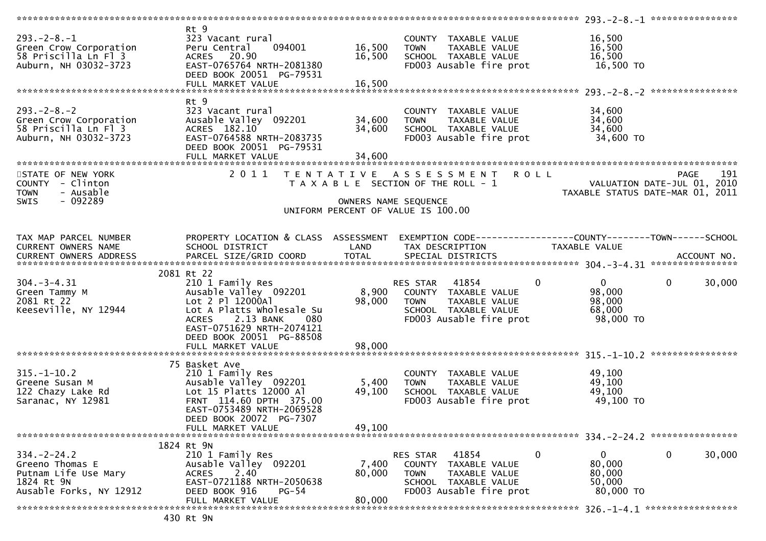| $293. -2 - 8. - 1$<br>Green Crow Corporation                            | Rt 9<br>323 Vacant rural<br>094001<br>Peru Central                               | 16,500               | COUNTY TAXABLE VALUE<br><b>TOWN</b><br>TAXABLE VALUE                            | 16,500<br>16,500              |                                                   |
|-------------------------------------------------------------------------|----------------------------------------------------------------------------------|----------------------|---------------------------------------------------------------------------------|-------------------------------|---------------------------------------------------|
| 58 Priscilla Ln Fl 3<br>Auburn, NH 03032-3723                           | ACRES 20.90<br>EAST-0765764 NRTH-2081380<br>DEED BOOK 20051 PG-79531             | 16,500               | SCHOOL TAXABLE VALUE<br>FD003 Ausable fire prot                                 | 16,500<br>16,500 TO           |                                                   |
|                                                                         | FULL MARKET VALUE                                                                | 16,500               |                                                                                 |                               |                                                   |
| $293 - 2 - 8 - 2$                                                       | Rt 9<br>323 Vacant rural                                                         |                      | COUNTY TAXABLE VALUE                                                            | 34,600                        |                                                   |
| Green Crow Corporation<br>58 Priscilla Ln Fl 3<br>Auburn, NH 03032-3723 | Ausable Valley 092201<br>ACRES 182.10<br>EAST-0764588 NRTH-2083735               | 34,600<br>34,600     | TAXABLE VALUE<br><b>TOWN</b><br>SCHOOL TAXABLE VALUE<br>FD003 Ausable fire prot | 34,600<br>34,600<br>34,600 TO |                                                   |
|                                                                         | DEED BOOK 20051 PG-79531<br>FULL MARKET VALUE                                    | 34,600               |                                                                                 |                               |                                                   |
| STATE OF NEW YORK<br>COUNTY - Clinton                                   | 2011                                                                             |                      | TENTATIVE ASSESSMENT ROLL<br>T A X A B L E SECTION OF THE ROLL - 1              |                               | 191<br><b>PAGE</b><br>VALUATION DATE-JUL 01, 2010 |
| - Ausable<br><b>TOWN</b><br>$-092289$<br><b>SWIS</b>                    |                                                                                  | OWNERS NAME SEQUENCE |                                                                                 |                               | TAXABLE STATUS DATE-MAR 01, 2011                  |
|                                                                         |                                                                                  |                      | UNIFORM PERCENT OF VALUE IS 100.00                                              |                               |                                                   |
| TAX MAP PARCEL NUMBER                                                   | PROPERTY LOCATION & CLASS ASSESSMENT                                             |                      | EXEMPTION CODE-----------------COUNTY--------TOWN-----SCHOOL                    |                               |                                                   |
| CURRENT OWNERS NAME<br>CURRENT OWNERS ADDRESS                           | SCHOOL DISTRICT                                                                  | LAND                 | TAX DESCRIPTION                                                                 | TAXABLE VALUE                 |                                                   |
|                                                                         |                                                                                  |                      |                                                                                 |                               |                                                   |
| $304. - 3 - 4.31$                                                       | 2081 Rt 22<br>210 1 Family Res                                                   |                      | RES STAR 41854                                                                  | $\mathbf{0}$<br>$\mathbf{0}$  | $\mathbf{0}$<br>30,000                            |
| Green Tammy M<br>2081 Rt 22                                             | Ausable Valley 092201<br>Lot 2 Pl 12000Al                                        | 8,900<br>98,000      | COUNTY TAXABLE VALUE<br><b>TOWN</b><br>TAXABLE VALUE                            | 98,000<br>98,000              |                                                   |
| Keeseville, NY 12944                                                    | Lot A Platts Wholesale Su<br>ACRES 2.13 BANK<br>080<br>EAST-0751629 NRTH-2074121 |                      | SCHOOL TAXABLE VALUE<br>FD003 Ausable fire prot                                 | 68,000<br>98,000 TO           |                                                   |
|                                                                         | DEED BOOK 20051 PG-88508<br>FULL MARKET VALUE                                    | 98,000               |                                                                                 |                               |                                                   |
|                                                                         | 75 Basket Ave                                                                    |                      |                                                                                 |                               | ****************                                  |
| $315. - 1 - 10.2$                                                       | 210 1 Family Res                                                                 |                      | COUNTY TAXABLE VALUE                                                            | 49,100                        |                                                   |
| Greene Susan M<br>122 Chazy Lake Rd                                     | Ausable Valley 092201<br>Lot 15 Platts 12000 Al                                  | 5,400<br>49,100      | <b>TOWN</b><br>TAXABLE VALUE<br>SCHOOL TAXABLE VALUE                            | 49,100<br>49,100              |                                                   |
| Saranac, NY 12981                                                       | FRNT 114.60 DPTH 375.00<br>EAST-0753489 NRTH-2069528<br>DEED BOOK 20072 PG-7307  |                      | FD003 Ausable fire prot                                                         | 49,100 TO                     |                                                   |
|                                                                         | FULL MARKET VALUE                                                                | 49,100               |                                                                                 |                               |                                                   |
|                                                                         | 1824 Rt 9N                                                                       |                      |                                                                                 |                               |                                                   |
| $334 - 2 - 24.2$<br>Greeno Thomas E                                     | 210 1 Family Res<br>Ausable Valley 092201                                        | 7,400                | RES STAR<br>41854<br><b>COUNTY</b><br>TAXABLE VALUE                             | 0<br>0<br>80,000              | 0<br>30,000                                       |
| Putnam Life Use Mary                                                    | 2.40<br><b>ACRES</b>                                                             | 80,000               | <b>TOWN</b><br>TAXABLE VALUE                                                    | 80,000                        |                                                   |
| 1824 Rt 9N<br>Ausable Forks, NY 12912                                   | EAST-0721188 NRTH-2050638<br>DEED BOOK 916<br><b>PG-54</b>                       |                      | SCHOOL TAXABLE VALUE<br>FD003 Ausable fire prot                                 | 50,000<br>80,000 TO           |                                                   |
|                                                                         | FULL MARKET VALUE                                                                | 80,000               |                                                                                 |                               |                                                   |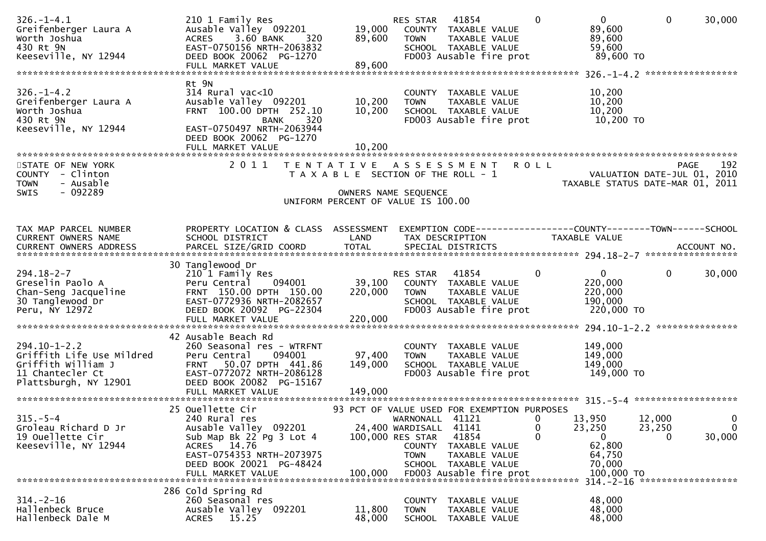| $326. - 1 - 4.1$<br>Greifenberger Laura A<br>Worth Joshua<br>430 Rt 9N<br>Keeseville, NY 12944                     | 210 1 Family Res<br>Ausable Valley 092201<br>3.60 BANK<br><b>ACRES</b><br>320<br>EAST-0750156 NRTH-2063832<br>DEED BOOK 20062 PG-1270                                               | 19,000<br>89,600                                           | RES STAR<br><b>TOWN</b>                                                | 41854<br>COUNTY TAXABLE VALUE<br>TAXABLE VALUE<br>SCHOOL TAXABLE VALUE<br>FD003 Ausable fire prot           | $\Omega$                  |                  | $\mathbf{0}$<br>89,600<br>89,600<br>59,600<br>89,600 TO         | $\mathbf 0$                  | 30,000                               |
|--------------------------------------------------------------------------------------------------------------------|-------------------------------------------------------------------------------------------------------------------------------------------------------------------------------------|------------------------------------------------------------|------------------------------------------------------------------------|-------------------------------------------------------------------------------------------------------------|---------------------------|------------------|-----------------------------------------------------------------|------------------------------|--------------------------------------|
|                                                                                                                    |                                                                                                                                                                                     |                                                            |                                                                        |                                                                                                             |                           |                  |                                                                 |                              |                                      |
| $326. - 1 - 4.2$<br>Greifenberger Laura A<br>Worth Joshua<br>430 Rt 9N<br>Keeseville, NY 12944                     | Rt 9N<br>$314$ Rural vac<10<br>Ausable Valley 092201<br>FRNT 100.00 DPTH 252.10<br>320<br><b>BANK</b><br>EAST-0750497 NRTH-2063944<br>DEED BOOK 20062 PG-1270<br>FULL MARKET VALUE  | 10,200<br>10,200<br>10,200                                 | <b>TOWN</b>                                                            | COUNTY TAXABLE VALUE<br>TAXABLE VALUE<br>SCHOOL TAXABLE VALUE<br>FD003 Ausable fire prot                    |                           |                  | 10,200<br>10,200<br>10,200<br>10,200 TO                         |                              |                                      |
|                                                                                                                    |                                                                                                                                                                                     |                                                            |                                                                        |                                                                                                             |                           |                  |                                                                 |                              |                                      |
| STATE OF NEW YORK<br>COUNTY - Clinton<br><b>TOWN</b><br>- Ausable<br>$-092289$<br><b>SWIS</b>                      | 2011                                                                                                                                                                                | T E N T A T I V E<br>T A X A B L E SECTION OF THE ROLL - 1 | A S S E S S M E N T<br>OWNERS NAME SEQUENCE                            |                                                                                                             | <b>ROLL</b>               |                  | VALUATION DATE-JUL 01, 2010<br>TAXABLE STATUS DATE-MAR 01, 2011 | <b>PAGE</b>                  | 192                                  |
|                                                                                                                    |                                                                                                                                                                                     | UNIFORM PERCENT OF VALUE IS 100.00                         |                                                                        |                                                                                                             |                           |                  |                                                                 |                              |                                      |
|                                                                                                                    |                                                                                                                                                                                     |                                                            |                                                                        |                                                                                                             |                           |                  |                                                                 |                              |                                      |
| TAX MAP PARCEL NUMBER<br>CURRENT OWNERS NAME<br>CURRENT OWNERS ADDRESS                                             | PROPERTY LOCATION & CLASS ASSESSMENT<br>SCHOOL DISTRICT<br>PARCEL SIZE/GRID COORD                                                                                                   | LAND<br><b>TOTAL</b>                                       |                                                                        | EXEMPTION        CODE-----------------COUNTY-------TOWN------SCHOOL<br>TAX DESCRIPTION<br>SPECIAL DISTRICTS |                           | TAXABLE VALUE    |                                                                 |                              | ACCOUNT NO.                          |
|                                                                                                                    | 30 Tanglewood Dr                                                                                                                                                                    |                                                            |                                                                        |                                                                                                             |                           |                  |                                                                 |                              |                                      |
| $294.18 - 2 - 7$<br>Greselin Paolo A<br>Chan-Seng Jacqueline<br>30 Tanglewood Dr<br>Peru, NY 12972                 | 210 1 Family Res<br>094001<br>Peru Central<br>FRNT 150.00 DPTH 150.00<br>EAST-0772936 NRTH-2082657<br>DEED BOOK 20092 PG-22304<br>FULL MARKET VALUE                                 | 39,100<br>220,000<br>220,000                               | RES STAR<br><b>TOWN</b>                                                | 41854<br>COUNTY TAXABLE VALUE<br>TAXABLE VALUE<br>SCHOOL TAXABLE VALUE<br>FD003 Ausable fire prot           | $\mathbf 0$               |                  | $\mathbf{0}$<br>220,000<br>220,000<br>190,000<br>220,000 TO     | $\Omega$                     | 30,000                               |
|                                                                                                                    | 42 Ausable Beach Rd                                                                                                                                                                 |                                                            |                                                                        |                                                                                                             |                           |                  |                                                                 |                              |                                      |
| $294.10 - 1 - 2.2$<br>Griffith Life Use Mildred<br>Griffith William J<br>11 Chantecler Ct<br>Plattsburgh, NY 12901 | 260 Seasonal res - WTRFNT<br>Peru Central<br>094001<br>FRNT 50.07 DPTH 441.86<br>EAST-0772072 NRTH-2086128<br>DEED BOOK 20082 PG-15167                                              | 97,400<br>149,000                                          | <b>TOWN</b>                                                            | COUNTY TAXABLE VALUE<br>TAXABLE VALUE<br>SCHOOL TAXABLE VALUE<br>FD003 Ausable fire prot                    |                           |                  | 149,000<br>149,000<br>149,000<br>149,000 TO                     |                              |                                      |
|                                                                                                                    |                                                                                                                                                                                     |                                                            |                                                                        |                                                                                                             |                           |                  |                                                                 |                              |                                      |
| $315. - 5 - 4$<br>Groleau Richard D Jr<br>19 Ouellette Cir<br>Keeseville, NY 12944                                 | 25 Ouellette Cir<br>240 Rural res<br>Ausable Valley 092201<br>Sub Map Bk 22 Pg 3 Lot 4<br>ACRES 14.76<br>EAST-0754353 NRTH-2073975<br>DEED BOOK 20021 PG-48424<br>FULL MARKET VALUE | 93 PCT OF VALUE USED FOR EXEMPTION PURPOSES<br>100,000     | WARNONALL 41121<br>24,400 WARDISALL<br>100,000 RES STAR<br><b>TOWN</b> | 41141<br>41854<br>COUNTY TAXABLE VALUE<br>TAXABLE VALUE<br>SCHOOL TAXABLE VALUE<br>FD003 Ausable fire prot  | 0<br>$\bf{0}$<br>$\Omega$ | 13,950<br>23,250 | $\mathbf{0}$<br>62,800<br>64,750<br>70,000<br>100,000 TO        | 12,000<br>23,250<br>$\Omega$ | $\mathbf 0$<br>$\mathbf 0$<br>30,000 |
|                                                                                                                    |                                                                                                                                                                                     |                                                            |                                                                        |                                                                                                             |                           |                  | 314. - 2 - 16 ********************                              |                              |                                      |
| $314. - 2 - 16$<br>Hallenbeck Bruce<br>Hallenbeck Dale M                                                           | 286 Cold Spring Rd<br>260 Seasonal res<br>Ausable Valley 092201<br>15.25<br><b>ACRES</b>                                                                                            | 11,800<br>48,000                                           | <b>TOWN</b><br><b>SCHOOL</b>                                           | COUNTY TAXABLE VALUE<br>TAXABLE VALUE<br>TAXABLE VALUE                                                      |                           |                  | 48,000<br>48,000<br>48,000                                      |                              |                                      |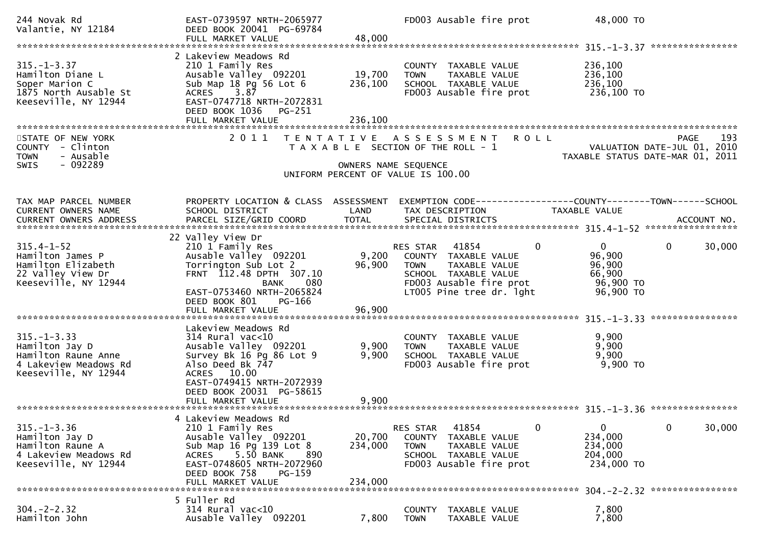| 244 Novak Rd<br>Valantie, NY 12184                                                                          | EAST-0739597 NRTH-2065977<br>DEED BOOK 20041 PG-69784<br>FULL MARKET VALUE                                                                                                                                           | 48,000                       | FD003 Ausable fire prot                                                                                                                                  | 48,000 TO                                                                             |                                                           |
|-------------------------------------------------------------------------------------------------------------|----------------------------------------------------------------------------------------------------------------------------------------------------------------------------------------------------------------------|------------------------------|----------------------------------------------------------------------------------------------------------------------------------------------------------|---------------------------------------------------------------------------------------|-----------------------------------------------------------|
| $315. - 1 - 3.37$<br>Hamilton Diane L<br>Soper Marion C<br>1875 North Ausable St<br>Keeseville, NY 12944    | 2 Lakeview Meadows Rd<br>210 1 Family Res<br>Ausable Valley 092201<br>Sub Map 18 Pg 56 Lot 6<br>3.87<br><b>ACRES</b><br>EAST-0747718 NRTH-2072831<br>DEED BOOK 1036<br>PG-251<br>FULL MARKET VALUE                   | 19,700<br>236,100<br>236,100 | COUNTY TAXABLE VALUE<br>TAXABLE VALUE<br><b>TOWN</b><br>SCHOOL TAXABLE VALUE<br>FD003 Ausable fire prot                                                  | 236,100<br>236,100<br>236,100<br>236,100 то                                           |                                                           |
| STATE OF NEW YORK<br>COUNTY - Clinton<br>- Ausable<br><b>TOWN</b><br>$-092289$<br><b>SWIS</b>               | 2011<br>T E N T A T I V E                                                                                                                                                                                            |                              | <b>ROLL</b><br>A S S E S S M E N T<br>T A X A B L E SECTION OF THE ROLL - 1<br>OWNERS NAME SEQUENCE<br>UNIFORM PERCENT OF VALUE IS 100.00                | TAXABLE STATUS DATE-MAR 01,                                                           | 193<br><b>PAGE</b><br>VALUATION DATE-JUL 01, 2010<br>2011 |
| TAX MAP PARCEL NUMBER<br>CURRENT OWNERS NAME                                                                | PROPERTY LOCATION & CLASS ASSESSMENT<br>SCHOOL DISTRICT                                                                                                                                                              | LAND                         | EXEMPTION CODE-----------------COUNTY-------TOWN------SCHOOL<br>TAX DESCRIPTION                                                                          | TAXABLE VALUE                                                                         |                                                           |
| $315.4 - 1 - 52$<br>Hamilton James P<br>Hamilton Elizabeth<br>22 Valley View Dr<br>Keeseville, NY 12944     | 22 Valley View Dr<br>210 1 Family Res<br>Ausable Valley 092201<br>Torrington Sub Lot 2<br>FRNT 112.48 DPTH 307.10<br>080<br><b>BANK</b><br>EAST-0753460 NRTH-2065824<br>DEED BOOK 801<br>PG-166<br>FULL MARKET VALUE | 9,200<br>96,900<br>96,900    | RES STAR<br>41854<br>COUNTY TAXABLE VALUE<br>TAXABLE VALUE<br><b>TOWN</b><br>SCHOOL TAXABLE VALUE<br>FD003 Ausable fire prot<br>LT005 Pine tree dr. 1ght | $\mathbf 0$<br>$\overline{0}$<br>96,900<br>96,900<br>66,900<br>96,900 TO<br>96,900 TO | $\mathbf{0}$<br>30,000                                    |
| $315. - 1 - 3.33$<br>Hamilton Jay D<br>Hamilton Raune Anne<br>4 Lakeview Meadows Rd<br>Keeseville, NY 12944 | Lakeview Meadows Rd<br>$314$ Rural vac<10<br>Ausable Valley 092201<br>Survey Bk 16 Pg 86 Lot 9<br>Also Deed Bk 747<br>ACRES 10.00<br>EAST-0749415 NRTH-2072939<br>DEED BOOK 20031 PG-58615                           | 9,900<br>9,900               | COUNTY TAXABLE VALUE<br>TAXABLE VALUE<br><b>TOWN</b><br>SCHOOL TAXABLE VALUE<br>FD003 Ausable fire prot                                                  | 9,900<br>9,900<br>9,900<br>$9,900$ TO                                                 | ****************                                          |
| $315. - 1 - 3.36$<br>Hamilton Jay D<br>Hamilton Raune A<br>4 Lakeview Meadows Rd<br>Keeseville, NY 12944    | 4 Lakeview Meadows Rd<br>210 1 Family Res<br>Ausable Valley 092201<br>Sub Map 16 Pg 139 Lot 8<br>5.50 BANK<br>ACRES<br>890<br>EAST-0748605 NRTH-2072960<br>DEED BOOK 758<br><b>PG-159</b><br>FULL MARKET VALUE       | 20,700<br>234,000<br>234,000 | 41854<br>RES STAR<br>COUNTY TAXABLE VALUE<br>TAXABLE VALUE<br><b>TOWN</b><br>SCHOOL TAXABLE VALUE<br>FD003 Ausable fire prot                             | 0<br>0<br>234,000<br>234,000<br>204,000<br>234,000 TO                                 | 0<br>30,000                                               |
| $304. -2 - 2.32$<br>Hamilton John                                                                           | 5 Fuller Rd<br>$314$ Rural vac< $10$<br>Ausable Valley 092201                                                                                                                                                        | 7,800                        | <b>COUNTY</b><br>TAXABLE VALUE<br><b>TOWN</b><br>TAXABLE VALUE                                                                                           | 7,800<br>7,800                                                                        |                                                           |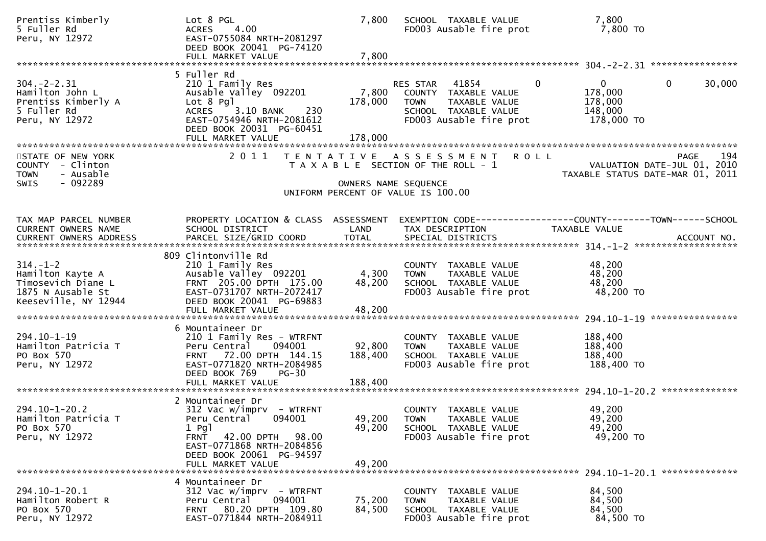| Prentiss Kimberly<br>5 Fuller Rd<br>Peru, NY 12972                                          | Lot 8 PGL<br>4.00<br>ACRES<br>EAST-0755084 NRTH-2081297<br>DEED BOOK 20041 PG-74120                                                                                                   | 7,800                        | SCHOOL TAXABLE VALUE<br>FD003 Ausable fire prot                                                                                            | 7,800<br>7,800 TO                                                                      |
|---------------------------------------------------------------------------------------------|---------------------------------------------------------------------------------------------------------------------------------------------------------------------------------------|------------------------------|--------------------------------------------------------------------------------------------------------------------------------------------|----------------------------------------------------------------------------------------|
|                                                                                             | 5 Fuller Rd                                                                                                                                                                           |                              |                                                                                                                                            |                                                                                        |
| $304. -2 - 2.31$<br>Hamilton John L<br>Prentiss Kimberly A<br>5 Fuller Rd<br>Peru, NY 12972 | 210 1 Family Res<br>Ausable Valley 092201<br>Lot 8 Pgl<br>ACRES 3.10 BANK<br>230<br>EAST-0754946 NRTH-2081612<br>DEED BOOK 20031 PG-60451                                             | 178,000                      | RES STAR 41854<br>$\overline{0}$<br>7,800 COUNTY TAXABLE VALUE<br>TAXABLE VALUE<br>TOWN<br>SCHOOL TAXABLE VALUE<br>FD003 Ausable fire prot | $\mathbf{0}$<br>30,000<br>$\mathbf{0}$<br>178,000<br>178,000<br>148,000<br>178,000 TO  |
|                                                                                             | FULL MARKET VALUE                                                                                                                                                                     | 178,000                      |                                                                                                                                            |                                                                                        |
| STATE OF NEW YORK<br>COUNTY - Clinton<br>- Ausable<br><b>TOWN</b><br>$-092289$<br>SWIS      | 2011                                                                                                                                                                                  |                              | TENTATIVE ASSESSMENT<br><b>ROLL</b><br>T A X A B L E SECTION OF THE ROLL - 1<br>OWNERS NAME SEQUENCE                                       | 194<br><b>PAGE</b><br>VALUATION DATE-JUL 01, 2010<br>TAXABLE STATUS DATE-MAR 01, 2011  |
|                                                                                             |                                                                                                                                                                                       |                              | UNIFORM PERCENT OF VALUE IS 100.00                                                                                                         |                                                                                        |
| TAX MAP PARCEL NUMBER<br>CURRENT OWNERS NAME                                                | PROPERTY LOCATION & CLASS ASSESSMENT<br>SCHOOL DISTRICT                                                                                                                               | LAND                         | TAX DESCRIPTION                                                                                                                            | EXEMPTION CODE------------------COUNTY--------TOWN------SCHOOL<br><b>TAXABLE VALUE</b> |
|                                                                                             | 809 Clintonville Rd                                                                                                                                                                   |                              |                                                                                                                                            |                                                                                        |
| $314. - 1 - 2$<br>Hamilton Kayte A<br>Timosevich Diane L<br>1875 N Ausable St               | 210 1 Family Res<br>Ausable Valley 092201<br>FRNT 205.00 DPTH 175.00<br>EAST-0731707 NRTH-2072417                                                                                     | 4,300<br>48,200              | COUNTY TAXABLE VALUE<br>TAXABLE VALUE<br>TOWN<br>SCHOOL TAXABLE VALUE<br>FD003 Ausable fire prot                                           | 48,200<br>48,200<br>48,200<br>48,200 TO                                                |
| Keeseville, NY 12944                                                                        | DEED BOOK 20041 PG-69883<br>FULL MARKET VALUE                                                                                                                                         | 48,200                       |                                                                                                                                            |                                                                                        |
|                                                                                             |                                                                                                                                                                                       |                              |                                                                                                                                            |                                                                                        |
| 294.10-1-19<br>Hamilton Patricia T<br>PO Box 570<br>Peru, NY 12972                          | 6 Mountaineer Dr<br>210 1 Family Res - WTRFNT<br>094001<br>Peru Central<br>FRNT 72.00 DPTH 144.15<br>EAST-0771820 NRTH-2084985<br>DEED BOOK 769<br>$PG-30$<br>FULL MARKET VALUE       | 92,800<br>188,400<br>188,400 | COUNTY TAXABLE VALUE<br>TAXABLE VALUE<br><b>TOWN</b><br>SCHOOL TAXABLE VALUE<br>FD003 Ausable fire prot                                    | 188,400<br>188,400<br>188,400<br>188,400 TO                                            |
|                                                                                             |                                                                                                                                                                                       |                              |                                                                                                                                            |                                                                                        |
| $294.10 - 1 - 20.2$<br>Hamilton Patricia T<br>PO Box 570<br>Peru, NY 12972                  | 2 Mountaineer Dr<br>$312$ Vac w/imprv - WTRFNT<br>Peru Central<br>094001<br>$1$ Pg $1$<br><b>FRNT</b><br>42.00 DPTH<br>98.00<br>EAST-0771868 NRTH-2084856<br>DEED BOOK 20061 PG-94597 | 49,200<br>49,200             | COUNTY TAXABLE VALUE<br><b>TOWN</b><br>TAXABLE VALUE<br>SCHOOL TAXABLE VALUE<br>FD003 Ausable fire prot                                    | 49,200<br>49,200<br>49,200<br>49,200 TO                                                |
|                                                                                             | FULL MARKET VALUE                                                                                                                                                                     | 49,200                       |                                                                                                                                            |                                                                                        |
| $294.10 - 1 - 20.1$<br>Hamilton Robert R<br>PO Box 570<br>Peru, NY 12972                    | 4 Mountaineer Dr<br>$312$ Vac w/imprv - WTRFNT<br>094001<br>Peru Central<br>FRNT 80.20 DPTH 109.80<br>EAST-0771844 NRTH-2084911                                                       | 75,200<br>84,500             | COUNTY TAXABLE VALUE<br>TAXABLE VALUE<br><b>TOWN</b><br>SCHOOL TAXABLE VALUE<br>FD003 Ausable fire prot                                    | 84,500<br>84,500<br>84,500<br>84,500 TO                                                |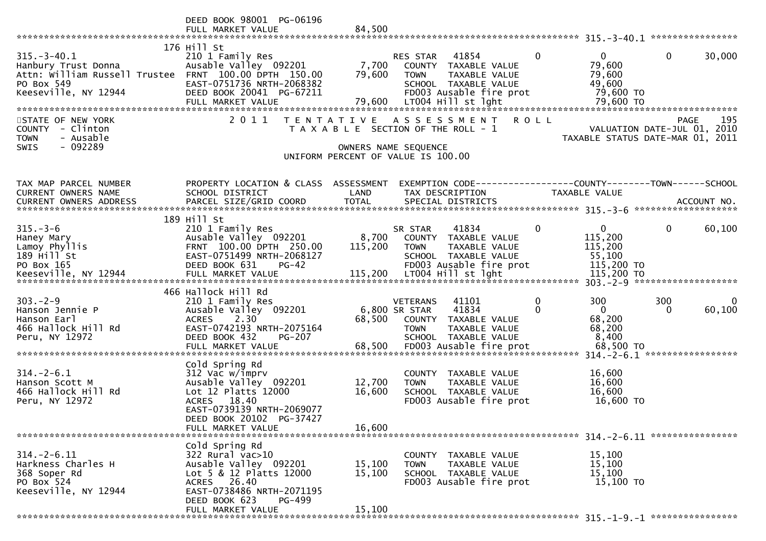|                                                                              | DEED BOOK 98001 PG-06196<br>FULL MARKET VALUE         | 84,500            |                                                                     |              |                      |                                                   |
|------------------------------------------------------------------------------|-------------------------------------------------------|-------------------|---------------------------------------------------------------------|--------------|----------------------|---------------------------------------------------|
|                                                                              |                                                       |                   |                                                                     |              |                      |                                                   |
| $315. - 3 - 40.1$                                                            | 176 Hill St<br>210 1 Family Res                       |                   | RES STAR<br>41854                                                   | $\mathbf{0}$ | $\overline{0}$       | $\mathbf{0}$<br>30,000                            |
| Hanbury Trust Donna<br>Attn: William Russell Trustee FRNT 100.00 DPTH 150.00 | Ausable Valley 092201                                 | 7,700<br>79,600   | COUNTY<br>TAXABLE VALUE<br>TAXABLE VALUE<br><b>TOWN</b>             |              | 79,600<br>79,600     |                                                   |
| PO Box 549<br>Keeseville, NY 12944                                           | EAST-0751736 NRTH-2068382<br>DEED BOOK 20041 PG-67211 |                   | SCHOOL TAXABLE VALUE<br>FD003 Ausable fire prot                     |              | 49,600<br>79,600 TO  |                                                   |
|                                                                              | FULL MARKET VALUE                                     | 79,600            | LT004 Hill st lght                                                  |              | 79,600 TO            |                                                   |
| STATE OF NEW YORK<br>COUNTY - Clinton                                        | 2011                                                  | T E N T A T I V E | A S S E S S M E N T<br>T A X A B L E SECTION OF THE ROLL - 1        | <b>ROLL</b>  |                      | 195<br><b>PAGE</b><br>VALUATION DATE-JUL 01, 2010 |
| - Ausable<br><b>TOWN</b>                                                     |                                                       |                   |                                                                     |              |                      | TAXABLE STATUS DATE-MAR 01, 2011                  |
| - 092289<br><b>SWIS</b>                                                      |                                                       |                   | OWNERS NAME SEQUENCE<br>UNIFORM PERCENT OF VALUE IS 100.00          |              |                      |                                                   |
| TAX MAP PARCEL NUMBER                                                        | PROPERTY LOCATION & CLASS ASSESSMENT                  |                   | EXEMPTION        CODE-----------------COUNTY-------TOWN------SCHOOL |              |                      |                                                   |
| CURRENT OWNERS NAME                                                          | SCHOOL DISTRICT                                       | LAND              | TAX DESCRIPTION                                                     |              | TAXABLE VALUE        |                                                   |
|                                                                              | 189 Hill St                                           |                   |                                                                     |              |                      |                                                   |
| $315. - 3 - 6$                                                               | 210 1 Family Res                                      |                   | 41834<br>SR STAR                                                    | $\mathbf 0$  | $\overline{0}$       | $\mathbf 0$<br>60,100                             |
| Haney Mary<br>Lamoy Phyllis                                                  | Ausable Valley 092201<br>FRNT 100.00 DPTH 250.00      | 8,700<br>115,200  | COUNTY TAXABLE VALUE<br>TAXABLE VALUE<br><b>TOWN</b>                |              | 115,200<br>115,200   |                                                   |
| 189 Hill St<br>PO Box 165                                                    | EAST-0751499 NRTH-2068127<br>DEED BOOK 631<br>$PG-42$ |                   | SCHOOL TAXABLE VALUE<br>FD003 Ausable fire prot                     |              | 55,100<br>115,200 TO |                                                   |
|                                                                              |                                                       |                   |                                                                     |              |                      |                                                   |
| $303 - 2 - 9$                                                                | 466 Hallock Hill Rd<br>210 1 Family Res               |                   | 41101<br><b>VETERANS</b>                                            | $\mathbf 0$  | 300                  | 300<br>0                                          |
| Hanson Jennie P                                                              | Ausable Valley 092201                                 |                   | 41834<br>6,800 SR STAR                                              | 0            | $\overline{0}$       | 60,100<br>$\Omega$                                |
| Hanson Earl<br>466 Hallock Hill Rd                                           | <b>ACRES</b><br>2.30<br>EAST-0742193 NRTH-2075164     | 68,500            | COUNTY TAXABLE VALUE<br><b>TOWN</b><br>TAXABLE VALUE                |              | 68,200<br>68,200     |                                                   |
| Peru, NY 12972                                                               | DEED BOOK 432<br>PG-207<br>FULL MARKET VALUE          |                   | SCHOOL TAXABLE VALUE                                                |              | 8,400                |                                                   |
|                                                                              | Cold Spring Rd                                        |                   |                                                                     |              |                      |                                                   |
| $314. - 2 - 6.1$                                                             | 312 Vac w/imprv                                       |                   | COUNTY TAXABLE VALUE                                                |              | 16,600               |                                                   |
| Hanson Scott M<br>466 Hallock Hill Rd                                        | Ausable Valley 092201<br>Lot $12$ Platts $12000$      | 12,700<br>16,600  | <b>TOWN</b><br>TAXABLE VALUE<br>SCHOOL TAXABLE VALUE                |              | 16,600<br>16,600     |                                                   |
| Peru, NY 12972                                                               | ACRES 18.40<br>EAST-0739139 NRTH-2069077              |                   | FD003 Ausable fire prot                                             |              | 16,600 TO            |                                                   |
|                                                                              | DEED BOOK 20102 PG-37427<br>FULL MARKET VALUE         | 16,600            |                                                                     |              |                      |                                                   |
|                                                                              | Cold Spring Rd                                        |                   |                                                                     |              |                      |                                                   |
| $314. - 2 - 6.11$                                                            | $322$ Rural vac $>10$                                 |                   | TAXABLE VALUE<br>COUNTY                                             |              | 15,100               |                                                   |
| Harkness Charles H<br>368 Soper Rd                                           | Ausable Valley 092201<br>Lot 5 & 12 Platts 12000      | 15,100<br>15,100  | TAXABLE VALUE<br><b>TOWN</b><br>SCHOOL TAXABLE VALUE                |              | 15,100<br>15,100     |                                                   |
| PO Box 524<br>Keeseville, NY 12944                                           | ACRES 26.40<br>EAST-0738486 NRTH-2071195              |                   | FD003 Ausable fire prot                                             |              | 15,100 TO            |                                                   |
|                                                                              | DEED BOOK 623<br>PG-499<br>FULL MARKET VALUE          | 15,100            |                                                                     |              |                      |                                                   |
|                                                                              |                                                       |                   |                                                                     |              |                      |                                                   |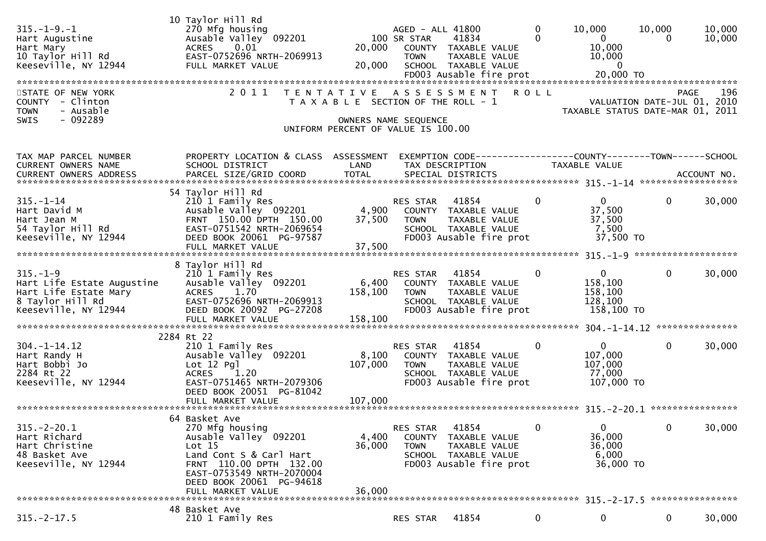| $315. - 1 - 9. - 1$<br>Hart Augustine<br>Hart Mary<br>10 Taylor Hill Rd<br>Keeseville, NY 12944                   | 10 Taylor Hill Rd<br>270 Mfg housing<br>Ausable Valley 092201<br>0.01<br><b>ACRES</b><br>EAST-0752696 NRTH-2069913<br>FULL MARKET VALUE                             | 20,000<br>20,000                                                            | AGED - ALL 41800<br>100 SR STAR<br><b>TOWN</b> | 41834<br>COUNTY TAXABLE VALUE<br>TAXABLE VALUE<br>SCHOOL TAXABLE VALUE                                   | $\mathbf{0}$<br>$\Omega$ | 10,000<br>$\overline{0}$<br>10,000<br>10,000<br>$\overline{\mathbf{0}}$ | 10,000<br>0                                | 10,000<br>10,000 |
|-------------------------------------------------------------------------------------------------------------------|---------------------------------------------------------------------------------------------------------------------------------------------------------------------|-----------------------------------------------------------------------------|------------------------------------------------|----------------------------------------------------------------------------------------------------------|--------------------------|-------------------------------------------------------------------------|--------------------------------------------|------------------|
| STATE OF NEW YORK<br>COUNTY - Clinton<br>- Ausable<br><b>TOWN</b><br>$-092289$<br><b>SWIS</b>                     | 2011                                                                                                                                                                | T A X A B L E SECTION OF THE ROLL - 1<br>UNIFORM PERCENT OF VALUE IS 100.00 | OWNERS NAME SEQUENCE                           | TENTATIVE ASSESSMENT                                                                                     | <b>ROLL</b>              | TAXABLE STATUS DATE-MAR 01, 2011                                        | <b>PAGE</b><br>VALUATION DATE-JUL 01, 2010 | 196              |
| TAX MAP PARCEL NUMBER<br>CURRENT OWNERS NAME                                                                      | PROPERTY LOCATION & CLASS ASSESSMENT<br>SCHOOL DISTRICT<br>54 Taylor Hill Rd                                                                                        | LAND                                                                        |                                                | EXEMPTION CODE------------------COUNTY--------TOWN------SCHOOL<br>TAX DESCRIPTION                        |                          | <b>TAXABLE VALUE</b>                                                    |                                            |                  |
| $315. - 1 - 14$<br>Hart David M<br>Hart Jean M<br>54 Taylor Hill Rd<br>Keeseville, NY 12944                       | 210 1 Family Res<br>Ausable Valley 092201<br>FRNT 150.00 DPTH 150.00<br>EAST-0751542 NRTH-2069654<br>DEED BOOK 20061 PG-97587<br>FULL MARKET VALUE                  | 4,900<br>37,500<br>37,500                                                   | RES STAR<br><b>TOWN</b>                        | 41854<br>COUNTY TAXABLE VALUE<br>TAXABLE VALUE<br>SCHOOL TAXABLE VALUE<br>FD003 Ausable fire prot        | 0                        | 0<br>37,500<br>37,500<br>7,500<br>37,500 TO                             | $\Omega$                                   | 30,000           |
|                                                                                                                   |                                                                                                                                                                     |                                                                             |                                                |                                                                                                          |                          |                                                                         |                                            |                  |
| $315. - 1 - 9$<br>Hart Life Estate Augustine<br>Hart Life Estate Mary<br>8 Taylor Hill Rd<br>Keeseville, NY 12944 | 8 Taylor Hill Rd<br>210 1 Family Res<br>Ausable Valley 092201<br>1.70<br><b>ACRES</b><br>EAST-0752696 NRTH-2069913<br>DEED BOOK 20092 PG-27208<br>FULL MARKET VALUE | 6,400<br>158,100<br>158,100                                                 | RES STAR<br><b>TOWN</b>                        | 41854<br>COUNTY TAXABLE VALUE<br>TAXABLE VALUE<br>SCHOOL TAXABLE VALUE<br>FD003 Ausable fire prot        | $\mathbf{0}$             | $\mathbf{0}$<br>158,100<br>158,100<br>128,100<br>158,100 TO             | $\mathbf{0}$                               | 30,000           |
|                                                                                                                   | 2284 Rt 22                                                                                                                                                          |                                                                             |                                                |                                                                                                          |                          |                                                                         |                                            |                  |
| $304. - 1 - 14.12$<br>Hart Randy H<br>Hart Bobbi Jo<br>2284 Rt 22<br>Keeseville, NY 12944                         | 210 1 Family Res<br>Ausable Valley 092201<br>$Lot 12$ Pg]<br><b>ACRES</b><br>1.20<br>EAST-0751465 NRTH-2079306<br>DEED BOOK 20051 PG-81042                          | 8,100<br>107,000                                                            | RES STAR<br><b>TOWN</b>                        | 41854<br>COUNTY TAXABLE VALUE<br><b>TAXABLE VALUE</b><br>SCHOOL TAXABLE VALUE<br>FD003 Ausable fire prot | $\mathbf{0}$             | $\mathbf{0}$<br>107,000<br>107,000<br>77,000<br>107,000 TO              | $\mathbf{0}$                               | 30,000           |
|                                                                                                                   |                                                                                                                                                                     |                                                                             |                                                |                                                                                                          |                          |                                                                         |                                            |                  |
| $315. - 2 - 20.1$<br>Hart Richard<br>Hart Christine<br>48 Basket Ave<br>Keeseville, NY 12944                      | 64 Basket Ave<br>270 Mfg housing<br>Ausable Valley 092201<br>Lot $15$<br>Land Cont S & Carl Hart<br>FRNT 110.00 DPTH 132.00<br>EAST-0753549 NRTH-2070004            | 4,400<br>36,000                                                             | RES STAR<br><b>TOWN</b>                        | 41854<br>COUNTY TAXABLE VALUE<br>TAXABLE VALUE<br>SCHOOL TAXABLE VALUE<br>FD003 Ausable fire prot        | 0                        | $\mathbf{0}$<br>36,000<br>36,000<br>6,000<br>36,000 TO                  | 0                                          | 30,000           |
|                                                                                                                   | DEED BOOK 20061 PG-94618<br>FULL MARKET VALUE                                                                                                                       | 36,000                                                                      |                                                |                                                                                                          |                          |                                                                         |                                            |                  |
| $315. -2 - 17.5$                                                                                                  | 48 Basket Ave<br>210 1 Family Res                                                                                                                                   |                                                                             | RES STAR                                       | 41854                                                                                                    | 0                        | 0                                                                       | 0                                          | 30,000           |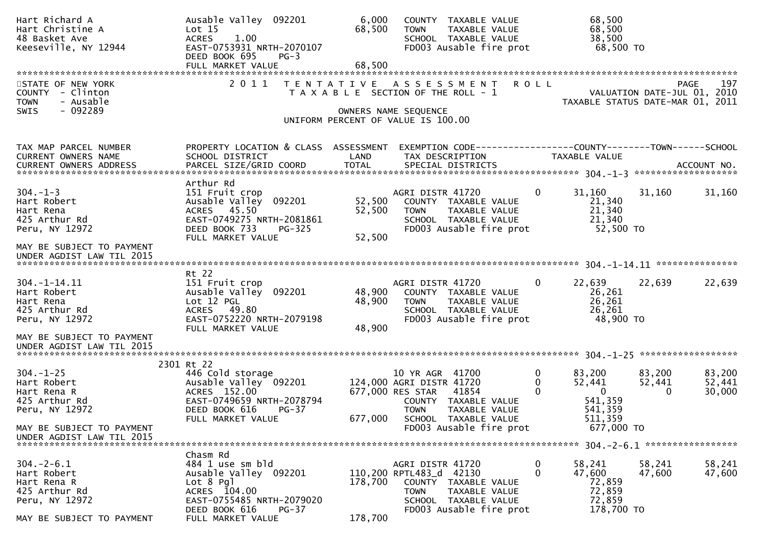| Hart Richard A<br>Hart Christine A<br>48 Basket Ave<br>Keeseville, NY 12944                                   | Ausable Valley 092201<br>Lot <sub>15</sub><br>1.00<br><b>ACRES</b><br>EAST-0753931 NRTH-2070107<br>DEED BOOK 695<br>$PG-3$                                         | 6,000<br>68,500            | COUNTY TAXABLE VALUE<br>TAXABLE VALUE<br><b>TOWN</b><br>SCHOOL TAXABLE VALUE<br>FD003 Ausable fire prot                                                  | 68,500<br>68,500<br>38,500<br>68,500 TO                                                        |                                                                                       |  |  |
|---------------------------------------------------------------------------------------------------------------|--------------------------------------------------------------------------------------------------------------------------------------------------------------------|----------------------------|----------------------------------------------------------------------------------------------------------------------------------------------------------|------------------------------------------------------------------------------------------------|---------------------------------------------------------------------------------------|--|--|
|                                                                                                               |                                                                                                                                                                    |                            |                                                                                                                                                          |                                                                                                |                                                                                       |  |  |
| STATE OF NEW YORK<br>- Clinton<br><b>COUNTY</b><br>- Ausable<br><b>TOWN</b><br>$-092289$<br><b>SWIS</b>       |                                                                                                                                                                    |                            | 2011 TENTATIVE ASSESSMENT<br>T A X A B L E SECTION OF THE ROLL - 1<br>OWNERS NAME SEQUENCE<br>UNIFORM PERCENT OF VALUE IS 100.00                         | <b>ROLL</b>                                                                                    | 197<br><b>PAGE</b><br>VALUATION DATE-JUL 01, 2010<br>TAXABLE STATUS DATE-MAR 01, 2011 |  |  |
| TAX MAP PARCEL NUMBER<br>CURRENT OWNERS NAME<br>CURRENT OWNERS ADDRESS                                        | PROPERTY LOCATION & CLASS ASSESSMENT<br>SCHOOL DISTRICT                                                                                                            | LAND                       | EXEMPTION CODE-----------------COUNTY-------TOWN------SCHOOL<br>TAX DESCRIPTION                                                                          | <b>TAXABLE VALUE</b>                                                                           |                                                                                       |  |  |
| $304. - 1 - 3$<br>Hart Robert<br>Hart Rena<br>425 Arthur Rd<br>Peru, NY 12972                                 | Arthur Rd<br>151 Fruit crop<br>Ausable Valley<br>092201<br>ACRES 45.50<br>EAST-0749275 NRTH-2081861<br>DEED BOOK 733<br>$PG-325$<br>FULL MARKET VALUE              | 52,500<br>52,500<br>52,500 | AGRI DISTR 41720<br>COUNTY TAXABLE VALUE<br>TAXABLE VALUE<br><b>TOWN</b><br>SCHOOL TAXABLE VALUE<br>FD003 Ausable fire prot                              | 31,160<br>0<br>21,340<br>21,340<br>21,340<br>52,500 TO                                         | 31,160<br>31,160                                                                      |  |  |
| MAY BE SUBJECT TO PAYMENT<br>UNDER AGDIST LAW TIL 2015                                                        |                                                                                                                                                                    |                            |                                                                                                                                                          |                                                                                                |                                                                                       |  |  |
| $304. - 1 - 14.11$<br>Hart Robert<br>Hart Rena<br>425 Arthur Rd<br>Peru, NY 12972                             | Rt 22<br>151 Fruit crop<br>Ausable Valley<br>092201<br>Lot 12 PGL<br>ACRES 49.80<br>EAST-0752220 NRTH-2079198<br>FULL MARKET VALUE                                 | 48,900<br>48,900<br>48,900 | AGRI DISTR 41720<br>COUNTY TAXABLE VALUE<br><b>TOWN</b><br>TAXABLE VALUE<br>SCHOOL TAXABLE VALUE<br>FD003 Ausable fire prot                              | $\Omega$<br>22,639<br>26,261<br>26,261<br>26,261<br>48,900 TO                                  | 22,639<br>22,639                                                                      |  |  |
| MAY BE SUBJECT TO PAYMENT<br>UNDER AGDIST LAW TIL 2015                                                        | 2301 Rt 22                                                                                                                                                         |                            |                                                                                                                                                          |                                                                                                |                                                                                       |  |  |
| $304. - 1 - 25$<br>Hart Robert<br>Hart Rena R<br>425 Arthur Rd<br>Peru, NY 12972                              | 446 Cold storage<br>Ausable Valley <sup>-</sup> 092201<br>ACRES 152.00<br>EAST-0749659 NRTH-2078794<br>DEED BOOK 616<br>$PG-37$<br>FULL MARKET VALUE               | 677,000                    | 10 YR AGR 41700<br>124,000 AGRI DISTR 41720<br>677,000 RES STAR<br>41854<br>COUNTY TAXABLE VALUE<br><b>TOWN</b><br>TAXABLE VALUE<br>SCHOOL TAXABLE VALUE | 0<br>83,200<br>$\Omega$<br>52,441<br>$\Omega$<br>$\mathbf{0}$<br>541,359<br>541,359<br>511,359 | 83,200<br>83,200<br>52,441<br>52,441<br>30,000<br>0                                   |  |  |
| MAY BE SUBJECT TO PAYMENT<br>UNDER AGDIST LAW TIL 2015                                                        |                                                                                                                                                                    |                            | FD003 Ausable fire prot                                                                                                                                  | 677,000 TO                                                                                     |                                                                                       |  |  |
| $304 - 2 - 6.1$<br>Hart Robert<br>Hart Rena R<br>425 Arthur Rd<br>Peru, NY 12972<br>MAY BE SUBJECT TO PAYMENT | Chasm Rd<br>484 1 use sm bld<br>Ausable Valley 092201<br>$Lot 8$ Pgl<br>ACRES 104.00<br>EAST-0755485 NRTH-2079020<br>$PG-37$<br>DEED BOOK 616<br>FULL MARKET VALUE | 178,700<br>178,700         | AGRI DISTR 41720<br>110,200 RPTL483_d 42130<br>COUNTY TAXABLE VALUE<br>TAXABLE VALUE<br><b>TOWN</b><br>SCHOOL TAXABLE VALUE<br>FD003 Ausable fire prot   | 58,241<br>0<br>0<br>47,600<br>72,859<br>72,859<br>72,859<br>178,700 TO                         | 58,241<br>58,241<br>47,600<br>47,600                                                  |  |  |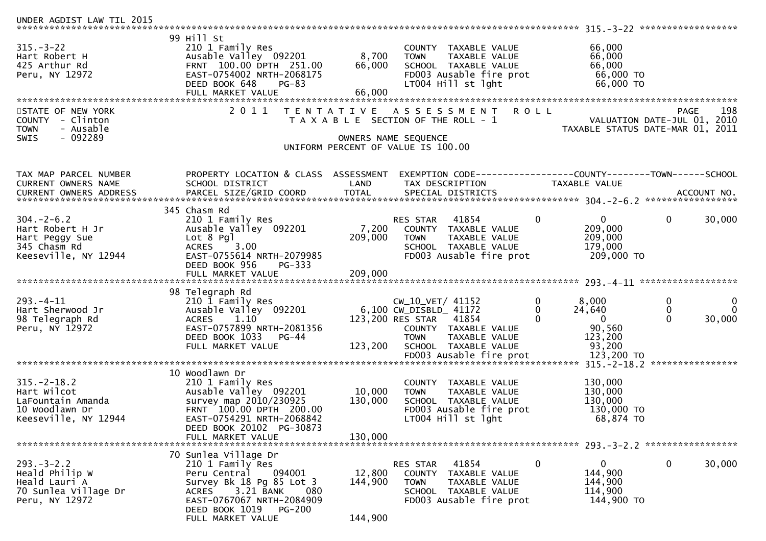| UNDER AGDIST LAW TIL 2015                                                                       |                                                                                                                                                                                                |                              |                                                                                                                                                         |                                                                                        |                                                                                       |
|-------------------------------------------------------------------------------------------------|------------------------------------------------------------------------------------------------------------------------------------------------------------------------------------------------|------------------------------|---------------------------------------------------------------------------------------------------------------------------------------------------------|----------------------------------------------------------------------------------------|---------------------------------------------------------------------------------------|
| $315. - 3 - 22$<br>Hart Robert H<br>425 Arthur Rd<br>Peru, NY 12972                             | 99 Hill St<br>210 1 Family Res<br>Ausable Valley 092201<br>FRNT 100.00 DPTH 251.00<br>EAST-0754002 NRTH-2068175<br>DEED BOOK 648<br>$PG-83$<br>FULL MARKET VALUE                               | 8,700<br>66,000<br>66,000    | COUNTY TAXABLE VALUE<br>TAXABLE VALUE<br><b>TOWN</b><br>SCHOOL TAXABLE VALUE<br>FD003 Ausable fire prot<br>LT004 Hill st lght                           | 66,000<br>66,000<br>66,000<br>66,000 TO<br>66,000 ТО                                   |                                                                                       |
| STATE OF NEW YORK<br>COUNTY - Clinton<br>- Ausable<br><b>TOWN</b><br>- 092289<br><b>SWIS</b>    | 2011<br>T E N T A T I V E                                                                                                                                                                      |                              | A S S E S S M E N T<br>T A X A B L E SECTION OF THE ROLL - 1<br>OWNERS NAME SEQUENCE<br>UNIFORM PERCENT OF VALUE IS 100.00                              | <b>ROLL</b>                                                                            | 198<br><b>PAGE</b><br>VALUATION DATE-JUL 01, 2010<br>TAXABLE STATUS DATE-MAR 01, 2011 |
| TAX MAP PARCEL NUMBER<br>CURRENT OWNERS NAME<br>CURRENT OWNERS ADDRESS                          | PROPERTY LOCATION & CLASS ASSESSMENT<br>SCHOOL DISTRICT                                                                                                                                        | LAND                         | EXEMPTION        CODE-----------------COUNTY-------TOWN------SCHOOL<br>TAX DESCRIPTION                                                                  | TAXABLE VALUE                                                                          |                                                                                       |
| $304. - 2 - 6.2$<br>Hart Robert H Jr<br>Hart Peggy Sue<br>345 Chasm Rd<br>Keeseville, NY 12944  | 345 Chasm Rd<br>210 1 Family Res<br>Ausable Valley 092201<br>$Lot 8$ Pgl<br>3.00<br><b>ACRES</b><br>EAST-0755614 NRTH-2079985<br>DEED BOOK 956<br>PG-333                                       | 7,200<br>209,000             | RES STAR<br>41854<br>COUNTY TAXABLE VALUE<br>TAXABLE VALUE<br>TOWN<br>SCHOOL TAXABLE VALUE<br>FD003 Ausable fire prot                                   | $\overline{0}$<br>$\mathbf{0}$<br>209,000<br>209,000<br>179,000<br>209,000 TO          | $\mathbf 0$<br>30,000                                                                 |
| $293. -4 - 11$<br>Hart Sherwood Jr<br>98 Telegraph Rd<br>Peru, NY 12972                         | 98 Telegraph Rd<br>210 1 Family Res<br>Ausable Valley 092201<br>1.10<br><b>ACRES</b><br>EAST-0757899 NRTH-2081356<br>DEED BOOK 1033<br>$PG-44$<br>FULL MARKET VALUE                            | 123,200                      | CW_10_VET/ 41152<br>6,100 CW_DISBLD_ 41172<br>123,200 RES STAR<br>41854<br>COUNTY TAXABLE VALUE<br>TAXABLE VALUE<br><b>TOWN</b><br>SCHOOL TAXABLE VALUE | 0<br>8,000<br>24,640<br>0<br>$\Omega$<br>$\overline{0}$<br>90,560<br>123,200<br>93,200 | 0<br>$\mathbf 0$<br>$\Omega$<br>0<br>$\Omega$<br>30,000<br>****************           |
| $315. - 2 - 18.2$<br>Hart Wilcot<br>LaFountain Amanda<br>10 Woodlawn Dr<br>Keeseville, NY 12944 | 10 Woodlawn Dr<br>210 1 Family Res<br>Ausable Valley 092201<br>survey map 2010/230925<br>FRNT 100.00 DPTH 200.00<br>EAST-0754291 NRTH-2068842<br>DEED BOOK 20102 PG-30873<br>FULL MARKET VALUE | 10,000<br>130,000<br>130,000 | COUNTY TAXABLE VALUE<br>TAXABLE VALUE<br><b>TOWN</b><br>SCHOOL TAXABLE VALUE<br>FD003 Ausable fire prot<br>LT004 Hill st lght                           | 130,000<br>130,000<br>130,000<br>130,000 TO<br>68,874 TO                               |                                                                                       |
| $293. - 3 - 2.2$<br>Heald Philip W<br>Heald Lauri A<br>70 Sunlea Village Dr<br>Peru, NY 12972   | 70 Sunlea Village Dr<br>210 1 Family Res<br>094001<br>Peru Central<br>Survey Bk 18 Pg 85 Lot 3<br>3.21 BANK<br><b>ACRES</b><br>080<br>EAST-0767067 NRTH-2084909<br>DEED BOOK 1019 PG-200       | 12,800<br>144,900            | 41854<br>RES STAR<br>COUNTY TAXABLE VALUE<br><b>TOWN</b><br>TAXABLE VALUE<br>SCHOOL TAXABLE VALUE<br>FD003 Ausable fire prot                            | $\bf{0}$<br>$\overline{0}$<br>144,900<br>144,900<br>114,900<br>144,900 TO              | $\bf{0}$<br>30,000                                                                    |
|                                                                                                 | FULL MARKET VALUE                                                                                                                                                                              | 144,900                      |                                                                                                                                                         |                                                                                        |                                                                                       |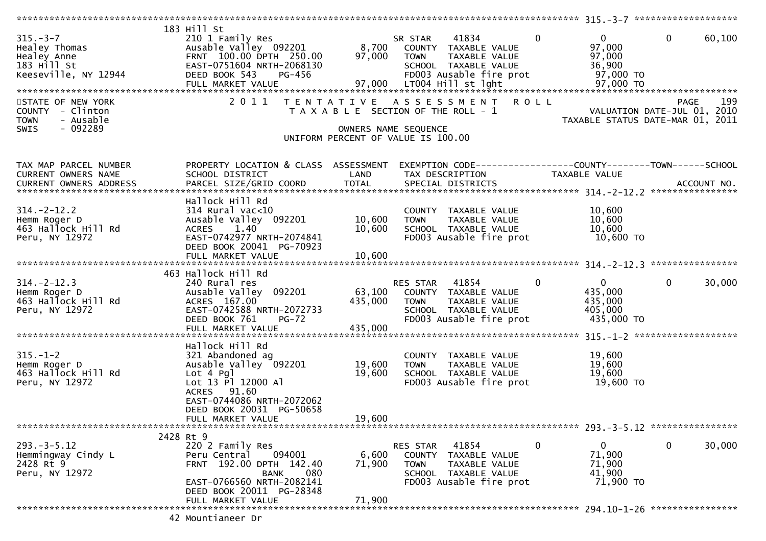|                                     | 183 Hill St                                 |                      |                                           |                |                                                              |                                   |
|-------------------------------------|---------------------------------------------|----------------------|-------------------------------------------|----------------|--------------------------------------------------------------|-----------------------------------|
| $315. - 3 - 7$                      | 210 1 Family Res                            |                      | 41834<br>SR STAR                          | $\overline{0}$ | 0                                                            | $\overline{0}$<br>60,100          |
| Healey Thomas                       | Ausable Valley 092201                       |                      | 8,700 COUNTY TAXABLE VALUE                |                | 97,000                                                       |                                   |
| Healey Anne                         | FRNT 100.00 DPTH 250.00                     | 97,000               | <b>TOWN</b>                               | TAXABLE VALUE  | 97,000                                                       |                                   |
| 183 Hill St                         | EAST-0751604 NRTH-2068130                   |                      | SCHOOL TAXABLE VALUE                      |                | 36,900                                                       |                                   |
| Keeseville, NY 12944                | DEED BOOK 543<br>PG-456                     |                      | FD003 Ausable fire prot                   |                | 97,000 TO                                                    |                                   |
|                                     | FULL MARKET VALUE                           |                      | 97,000 LT004 Hill st lght                 |                | 97,000 TO                                                    |                                   |
| STATE OF NEW YORK                   | 2011                                        |                      | TENTATIVE ASSESSMENT ROLL                 |                |                                                              | 199<br><b>PAGE</b>                |
| COUNTY - Clinton                    |                                             |                      | T A X A B L E SECTION OF THE ROLL - 1     |                |                                                              | VALUATION DATE-JUL 01, 2010       |
| - Ausable<br><b>TOWN</b>            |                                             |                      |                                           |                |                                                              | TAXABLE STATUS DATE-MAR 01, 2011  |
| $-092289$<br><b>SWIS</b>            |                                             | OWNERS NAME SEQUENCE |                                           |                |                                                              |                                   |
|                                     |                                             |                      | UNIFORM PERCENT OF VALUE IS 100.00        |                |                                                              |                                   |
| TAX MAP PARCEL NUMBER               | PROPERTY LOCATION & CLASS ASSESSMENT        |                      |                                           |                | EXEMPTION CODE-----------------COUNTY--------TOWN-----SCHOOL |                                   |
| CURRENT OWNERS NAME                 | SCHOOL DISTRICT                             | LAND                 | TAX DESCRIPTION                           |                | TAXABLE VALUE                                                |                                   |
| <b>CURRENT OWNERS ADDRESS</b>       | PARCEL SIZE/GRID COORD                      | <b>TOTAL</b>         | SPECIAL DISTRICTS                         |                |                                                              | ACCOUNT NO.                       |
|                                     |                                             |                      |                                           |                |                                                              |                                   |
| $314. - 2 - 12.2$                   | Hallock Hill Rd                             |                      |                                           |                |                                                              |                                   |
|                                     | $314$ Rural vac<10<br>Ausable Valley 092201 | 10,600               | COUNTY TAXABLE VALUE<br><b>TOWN</b>       | TAXABLE VALUE  | 10,600<br>10,600                                             |                                   |
| Hemm Roger D<br>463 Hallock Hill Rd | 1.40<br><b>ACRES</b>                        | 10,600               | SCHOOL TAXABLE VALUE                      |                | 10,600                                                       |                                   |
| Peru, NY 12972                      | EAST-0742977 NRTH-2074841                   |                      | FD003 Ausable fire prot                   |                | 10,600 TO                                                    |                                   |
|                                     | DEED BOOK 20041 PG-70923                    |                      |                                           |                |                                                              |                                   |
|                                     | FULL MARKET VALUE                           | 10,600               |                                           |                |                                                              |                                   |
|                                     |                                             |                      |                                           |                |                                                              |                                   |
|                                     | 463 Hallock Hill Rd                         |                      |                                           |                |                                                              |                                   |
| $314. -2 - 12.3$                    | 240 Rural res                               |                      | RES STAR 41854                            | $\mathbf{0}$   | $\overline{0}$                                               | $\mathbf 0$<br>30,000             |
| Hemm Roger D                        | Ausable Valley 092201                       |                      | 63,100 COUNTY TAXABLE VALUE               |                | 435,000                                                      |                                   |
| 463 Hallock Hill Rd                 | ACRES 167.00                                | 435,000              | <b>TOWN</b>                               | TAXABLE VALUE  | 435,000                                                      |                                   |
| Peru, NY 12972                      | EAST-0742588 NRTH-2072733                   |                      | SCHOOL TAXABLE VALUE                      |                | 405,000                                                      |                                   |
|                                     | DEED BOOK 761<br>$PG-72$                    |                      | FD003 Ausable fire prot                   |                | 435,000 TO                                                   |                                   |
|                                     | FULL MARKET VALUE                           | 435,000              |                                           |                |                                                              |                                   |
|                                     | Hallock Hill Rd                             |                      |                                           |                |                                                              |                                   |
| $315. - 1 - 2$                      | 321 Abandoned ag                            |                      | COUNTY TAXABLE VALUE                      |                | 19,600                                                       |                                   |
| Hemm Roger D                        | Ausable Valley 092201                       | 19,600               | <b>TOWN</b>                               | TAXABLE VALUE  | 19,600                                                       |                                   |
| 463 Hallock Hill Rd                 | $Lot 4$ Pg                                  | 19,600               | SCHOOL TAXABLE VALUE                      |                | 19,600                                                       |                                   |
| Peru, NY 12972                      | Lot 13 Pl 12000 Al                          |                      | FD003 Ausable fire prot                   |                | 19,600 TO                                                    |                                   |
|                                     | ACRES 91.60                                 |                      |                                           |                |                                                              |                                   |
|                                     | EAST-0744086 NRTH-2072062                   |                      |                                           |                |                                                              |                                   |
|                                     | DEED BOOK 20031 PG-50658                    |                      |                                           |                |                                                              |                                   |
|                                     | FULL MARKET VALUE                           | 19,600               |                                           |                |                                                              |                                   |
|                                     |                                             |                      |                                           |                |                                                              | 293. - 3 - 5.12 ***************** |
| $293. -3 - 5.12$                    | 2428 Rt 9                                   |                      |                                           | $\mathbf{0}$   | $\mathbf{0}$                                                 | $\mathbf 0$<br>30,000             |
| Hemmingway Cindy L                  | 220 2 Family Res<br>Peru Central<br>094001  | 6,600                | 41854<br>RES STAR<br>COUNTY TAXABLE VALUE |                | 71,900                                                       |                                   |
| 2428 Rt 9                           | FRNT 192.00 DPTH 142.40                     | 71,900               | <b>TOWN</b>                               | TAXABLE VALUE  | 71,900                                                       |                                   |
| Peru, NY 12972                      | 080<br><b>BANK</b>                          |                      | SCHOOL TAXABLE VALUE                      |                | 41,900                                                       |                                   |
|                                     | EAST-0766560 NRTH-2082141                   |                      | FD003 Ausable fire prot                   |                | 71,900 TO                                                    |                                   |
|                                     | DEED BOOK 20011 PG-28348                    |                      |                                           |                |                                                              |                                   |
|                                     | FULL MARKET VALUE                           | 71,900               |                                           |                |                                                              |                                   |
|                                     |                                             |                      |                                           |                |                                                              |                                   |
|                                     | 42 Mountianeer Dr                           |                      |                                           |                |                                                              |                                   |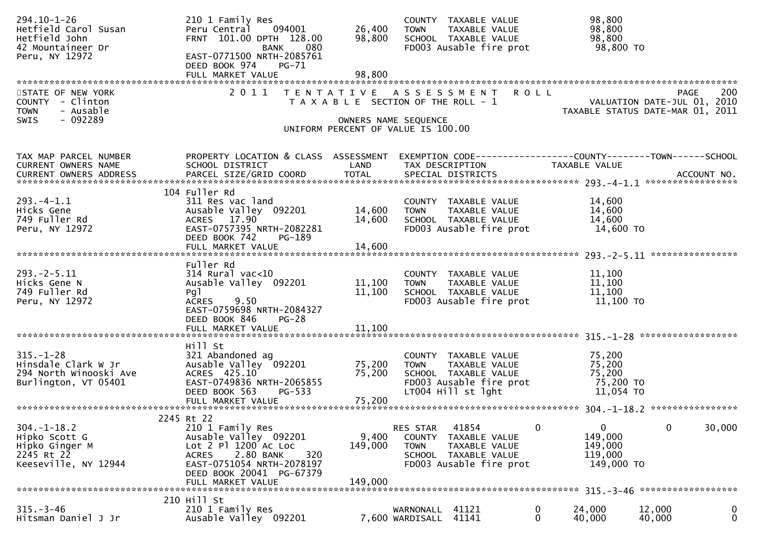| $294.10 - 1 - 26$<br>Hetfield Carol Susan<br>Hetfield John<br>42 Mountaineer Dr<br>Peru, NY 12972 | 210 1 Family Res<br>094001<br>Peru Central<br>FRNT 101.00 DPTH 128.00<br>080<br><b>BANK</b><br>EAST-0771500 NRTH-2085761<br>DEED BOOK 974<br>PG-71<br>FULL MARKET VALUE | 26,400<br>98,800<br>98,800                                 | <b>TOWN</b>                  | COUNTY TAXABLE VALUE<br>TAXABLE VALUE<br>SCHOOL TAXABLE VALUE<br>FD003 Ausable fire prot |             | 98,800<br>98,800<br>98,800<br>98,800 TO |                             |                    |
|---------------------------------------------------------------------------------------------------|-------------------------------------------------------------------------------------------------------------------------------------------------------------------------|------------------------------------------------------------|------------------------------|------------------------------------------------------------------------------------------|-------------|-----------------------------------------|-----------------------------|--------------------|
| STATE OF NEW YORK                                                                                 | 2 0 1 1                                                                                                                                                                 | TENTATIVE ASSESSMENT                                       |                              |                                                                                          | <b>ROLL</b> |                                         |                             | 200<br><b>PAGE</b> |
| COUNTY - Clinton<br>- Ausable<br><b>TOWN</b>                                                      |                                                                                                                                                                         | T A X A B L E SECTION OF THE ROLL - 1                      |                              |                                                                                          |             | TAXABLE STATUS DATE-MAR 01, 2011        | VALUATION DATE-JUL 01, 2010 |                    |
| $-092289$<br><b>SWIS</b>                                                                          |                                                                                                                                                                         | OWNERS NAME SEQUENCE<br>UNIFORM PERCENT OF VALUE IS 100.00 |                              |                                                                                          |             |                                         |                             |                    |
| TAX MAP PARCEL NUMBER<br>CURRENT OWNERS NAME                                                      | PROPERTY LOCATION & CLASS ASSESSMENT<br>SCHOOL DISTRICT                                                                                                                 | LAND                                                       | TAX DESCRIPTION              | EXEMPTION CODE------------------COUNTY--------TOWN------SCHOOL                           |             | TAXABLE VALUE                           |                             |                    |
|                                                                                                   |                                                                                                                                                                         |                                                            |                              |                                                                                          |             |                                         |                             |                    |
|                                                                                                   | 104 Fuller Rd                                                                                                                                                           |                                                            |                              |                                                                                          |             |                                         |                             |                    |
| $293. -4 - 1.1$                                                                                   | 311 Res vac land                                                                                                                                                        |                                                            |                              | COUNTY TAXABLE VALUE                                                                     |             | 14,600                                  |                             |                    |
| Hicks Gene<br>749 Fuller Rd                                                                       | Ausable Valley 092201<br>ACRES 17.90                                                                                                                                    | 14,600<br>14,600                                           | <b>TOWN</b>                  | TAXABLE VALUE<br>SCHOOL TAXABLE VALUE                                                    |             | 14,600<br>14,600                        |                             |                    |
| Peru, NY 12972                                                                                    | EAST-0757395 NRTH-2082281                                                                                                                                               |                                                            |                              | FD003 Ausable fire prot                                                                  |             | 14,600 TO                               |                             |                    |
|                                                                                                   | DEED BOOK 742<br>PG-189                                                                                                                                                 |                                                            |                              |                                                                                          |             |                                         |                             |                    |
|                                                                                                   | FULL MARKET VALUE                                                                                                                                                       | 14,600                                                     |                              |                                                                                          |             |                                         |                             |                    |
|                                                                                                   | Fuller Rd                                                                                                                                                               |                                                            |                              |                                                                                          |             |                                         |                             |                    |
| $293. -2 - 5.11$                                                                                  | $314$ Rural vac<10                                                                                                                                                      |                                                            |                              | COUNTY TAXABLE VALUE                                                                     |             | 11,100                                  |                             |                    |
| Hicks Gene N                                                                                      | Ausable Valley 092201                                                                                                                                                   | 11,100                                                     | <b>TOWN</b>                  | TAXABLE VALUE                                                                            |             | 11,100<br>11,100                        |                             |                    |
| 749 Fuller Rd<br>Peru, NY 12972                                                                   | Pg <sub>1</sub><br>9.50<br><b>ACRES</b>                                                                                                                                 | 11,100                                                     |                              | SCHOOL TAXABLE VALUE<br>FD003 Ausable fire prot                                          |             | 11,100 TO                               |                             |                    |
|                                                                                                   | EAST-0759698 NRTH-2084327                                                                                                                                               |                                                            |                              |                                                                                          |             |                                         |                             |                    |
|                                                                                                   | DEED BOOK 846<br><b>PG-28</b>                                                                                                                                           | 11,100                                                     |                              |                                                                                          |             |                                         |                             |                    |
|                                                                                                   | FULL MARKET VALUE                                                                                                                                                       |                                                            |                              |                                                                                          |             |                                         |                             |                    |
|                                                                                                   | Hill St                                                                                                                                                                 |                                                            |                              |                                                                                          |             |                                         |                             |                    |
| $315. - 1 - 28$                                                                                   | 321 Abandoned ag                                                                                                                                                        |                                                            |                              | COUNTY TAXABLE VALUE                                                                     |             | 75,200                                  |                             |                    |
| Hinsdale Clark W Jr<br>294 North Winooski Ave                                                     | Ausable Valley 092201<br>ACRES 425.10                                                                                                                                   | 75,200<br>75,200                                           | <b>TOWN</b>                  | TAXABLE VALUE<br>SCHOOL TAXABLE VALUE                                                    |             | 75,200<br>75,200                        |                             |                    |
| Burlington, VT 05401                                                                              | EAST-0749836 NRTH-2065855                                                                                                                                               |                                                            |                              | FD003 Ausable fire prot                                                                  |             | 75,200 TO                               |                             |                    |
|                                                                                                   | DEED BOOK 563<br>PG-533                                                                                                                                                 |                                                            |                              | LT004 Hill st lght                                                                       |             | 11,054 TO                               |                             |                    |
|                                                                                                   | FULL MARKET VALUE                                                                                                                                                       | 75,200                                                     |                              |                                                                                          |             |                                         |                             |                    |
|                                                                                                   | 2245 Rt 22                                                                                                                                                              |                                                            |                              |                                                                                          |             |                                         |                             |                    |
| $304. - 1 - 18.2$                                                                                 | 210 1 Family Res                                                                                                                                                        |                                                            | RES STAR                     | 41854                                                                                    | 0           | $\overline{0}$                          | $\mathbf 0$                 | 30,000             |
| Hipko Scott G<br>Hipko Ginger M                                                                   | Ausable Valley 092201<br>Lot 2 Pl 1200 Ac Loc                                                                                                                           | 9,400<br>149,000                                           | <b>COUNTY</b><br><b>TOWN</b> | TAXABLE VALUE<br>TAXABLE VALUE                                                           |             | 149,000<br>149,000                      |                             |                    |
| 2245 Rt 22                                                                                        | 320<br>2.80 BANK<br><b>ACRES</b>                                                                                                                                        |                                                            |                              | SCHOOL TAXABLE VALUE                                                                     |             | 119,000                                 |                             |                    |
| Keeseville, NY 12944                                                                              | EAST-0751054 NRTH-2078197                                                                                                                                               |                                                            |                              | FD003 Ausable fire prot                                                                  |             | 149,000 TO                              |                             |                    |
|                                                                                                   | DEED BOOK 20041 PG-67379<br>FULL MARKET VALUE                                                                                                                           | 149,000                                                    |                              |                                                                                          |             |                                         |                             |                    |
|                                                                                                   |                                                                                                                                                                         |                                                            |                              |                                                                                          |             |                                         |                             |                    |
|                                                                                                   | 210 Hill St                                                                                                                                                             |                                                            |                              |                                                                                          |             |                                         |                             |                    |
| $315. - 3 - 46$<br>Hitsman Daniel J Jr                                                            | 210 1 Family Res<br>Ausable Valley 092201                                                                                                                               |                                                            | WARNONALL<br>7,600 WARDISALL | 41121<br>41141                                                                           | 0<br>0      | 24,000<br>40,000                        | 12,000<br>40,000            | 0<br>$\mathbf 0$   |
|                                                                                                   |                                                                                                                                                                         |                                                            |                              |                                                                                          |             |                                         |                             |                    |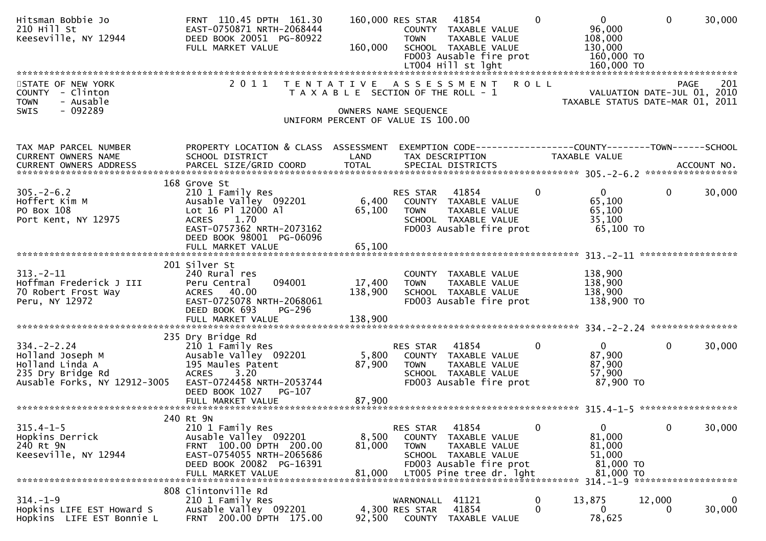| Hitsman Bobbie Jo<br>210 Hill St<br>Keeseville, NY 12944                                                      | FRNT 110.45 DPTH 161.30<br>EAST-0750871 NRTH-2068444<br>DEED BOOK 20051 PG-80922<br>FULL MARKET VALUE                                              | 160,000                               | 160,000 RES STAR 41854<br><b>TOWN</b> | COUNTY TAXABLE VALUE<br>TAXABLE VALUE<br>SCHOOL TAXABLE VALUE<br>FD003 Ausable fire prot                               | $\Omega$                    | $\overline{0}$<br>96,000<br>108,000<br>130,000<br>160,000 TO         | $\Omega$                                   | 30,000      |
|---------------------------------------------------------------------------------------------------------------|----------------------------------------------------------------------------------------------------------------------------------------------------|---------------------------------------|---------------------------------------|------------------------------------------------------------------------------------------------------------------------|-----------------------------|----------------------------------------------------------------------|--------------------------------------------|-------------|
|                                                                                                               |                                                                                                                                                    |                                       |                                       |                                                                                                                        |                             |                                                                      |                                            |             |
| STATE OF NEW YORK<br>COUNTY - Clinton<br>- Ausable<br><b>TOWN</b><br>SWIS<br>$-092289$                        | 2 0 1 1                                                                                                                                            | T A X A B L E SECTION OF THE ROLL - 1 | OWNERS NAME SEQUENCE                  | TENTATIVE ASSESSMENT                                                                                                   | <b>ROLL</b>                 | TAXABLE STATUS DATE-MAR 01, 2011                                     | <b>PAGE</b><br>VALUATION DATE-JUL 01, 2010 | 201         |
|                                                                                                               |                                                                                                                                                    | UNIFORM PERCENT OF VALUE IS 100.00    |                                       |                                                                                                                        |                             |                                                                      |                                            |             |
|                                                                                                               |                                                                                                                                                    |                                       |                                       |                                                                                                                        |                             |                                                                      |                                            |             |
| TAX MAP PARCEL NUMBER<br>CURRENT OWNERS NAME                                                                  | PROPERTY LOCATION & CLASS ASSESSMENT<br>SCHOOL DISTRICT                                                                                            | LAND                                  | TAX DESCRIPTION                       |                                                                                                                        |                             | TAXABLE VALUE                                                        |                                            |             |
|                                                                                                               | 168 Grove St                                                                                                                                       |                                       |                                       |                                                                                                                        |                             |                                                                      |                                            |             |
| $305. - 2 - 6.2$<br>Hoffert Kim M<br>PO Box 108<br>Port Kent, NY 12975                                        | 210 1 Family Res<br>Ausable Valley 092201<br>Lot 16 Pl 12000 Al<br>1.70<br><b>ACRES</b><br>EAST-0757362 NRTH-2073162<br>DEED BOOK 98001 PG-06096   | 6,400<br>65,100                       | RES STAR<br><b>TOWN</b>               | 41854<br>COUNTY TAXABLE VALUE<br>TAXABLE VALUE<br>SCHOOL TAXABLE VALUE<br>FD003 Ausable fire prot                      | $\mathbf{0}$                | $\mathbf{0}$<br>65,100<br>65,100<br>35,100<br>65,100 TO              | $\mathbf{0}$                               | 30,000      |
|                                                                                                               | FULL MARKET VALUE                                                                                                                                  | 65,100                                |                                       |                                                                                                                        |                             |                                                                      |                                            |             |
|                                                                                                               |                                                                                                                                                    |                                       |                                       |                                                                                                                        |                             |                                                                      |                                            |             |
| $313 - 2 - 11$<br>Hoffman Frederick J III<br>70 Robert Frost Way<br>Peru, NY 12972                            | 201 Silver St<br>240 Rural res<br>094001<br>Peru Central<br>ACRES 40.00<br>EAST-0725078 NRTH-2068061<br>DEED BOOK 693<br>PG-296                    | 17,400<br>138,900                     | <b>TOWN</b>                           | COUNTY TAXABLE VALUE<br>TAXABLE VALUE<br>SCHOOL TAXABLE VALUE<br>FD003 Ausable fire prot                               |                             | 138,900<br>138,900<br>138,900<br>138,900 TO                          |                                            |             |
|                                                                                                               | 235 Dry Bridge Rd                                                                                                                                  |                                       |                                       |                                                                                                                        |                             |                                                                      |                                            |             |
| $334. - 2 - 2.24$<br>Holland Joseph M<br>Holland Linda A<br>235 Dry Bridge Rd<br>Ausable Forks, NY 12912-3005 | 210 1 Family Res<br>Ausable Valley 092201<br>195 Maules Patent<br>3.20<br><b>ACRES</b><br>EAST-0724458 NRTH-2053744<br>DEED BOOK 1027 PG-107       | 5,800<br>87,900                       | RES STAR<br><b>TOWN</b>               | 41854<br>COUNTY TAXABLE VALUE<br>TAXABLE VALUE<br>SCHOOL TAXABLE VALUE<br>FD003 Ausable fire prot                      | 0                           | $\mathbf{0}$<br>87,900<br>87,900<br>57,900<br>87,900 TO              | 0                                          | 30,000      |
|                                                                                                               |                                                                                                                                                    |                                       |                                       |                                                                                                                        |                             |                                                                      |                                            |             |
|                                                                                                               | 240 Rt 9N                                                                                                                                          |                                       |                                       |                                                                                                                        |                             |                                                                      |                                            |             |
| $315.4 - 1 - 5$<br>Hopkins Derrick<br>240 Rt 9N<br>Keeseville, NY 12944                                       | 210 1 Family Res<br>Ausable Valley 092201<br>FRNT 100.00 DPTH 200.00<br>EAST-0754055 NRTH-2065686<br>DEED BOOK 20082 PG-16391<br>FULL MARKET VALUE | 8,500<br>81,000<br>81,000             | RES STAR<br>COUNTY<br><b>TOWN</b>     | 41854<br>TAXABLE VALUE<br>TAXABLE VALUE<br>SCHOOL TAXABLE VALUE<br>FD003 Ausable fire prot<br>LT005 Pine tree dr. 1ght |                             | $\mathbf{0}$<br>81,000<br>81,000<br>51,000<br>81,000 TO<br>81,000 TO | 0                                          | 30,000      |
|                                                                                                               | 808 Clintonville Rd                                                                                                                                |                                       |                                       |                                                                                                                        |                             |                                                                      |                                            |             |
| $314. - 1 - 9$<br>Hopkins LIFE EST Howard S<br>Hopkins LIFE EST Bonnie L                                      | 210 1 Family Res<br>Ausable Valley 092201<br>FRNT 200.00 DPTH 175.00                                                                               | 92,500                                | WARNONALL<br>4,300 RES STAR<br>COUNTY | 41121<br>41854<br>TAXABLE VALUE                                                                                        | $\mathbf 0$<br>$\mathbf{0}$ | 13,875<br>0<br>78,625                                                | 12,000                                     | 0<br>30,000 |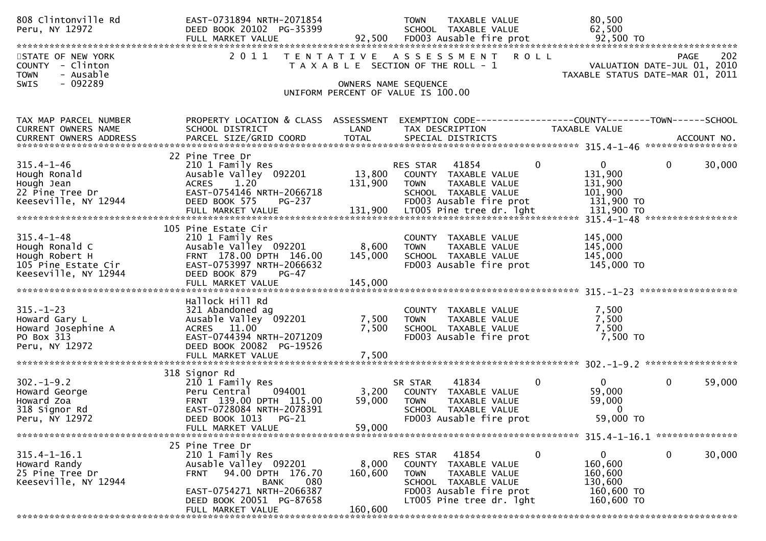| 808 Clintonville Rd<br>Peru, NY 12972                                                               | EAST-0731894 NRTH-2071854<br>DEED BOOK 20102 PG-35399                                                                                                                           |                                                            | <b>TOWN</b>             | <b>TAXABLE VALUE</b><br>SCHOOL TAXABLE VALUE                                                                                  |              | 80,500<br>62,500                                                          |              |        |
|-----------------------------------------------------------------------------------------------------|---------------------------------------------------------------------------------------------------------------------------------------------------------------------------------|------------------------------------------------------------|-------------------------|-------------------------------------------------------------------------------------------------------------------------------|--------------|---------------------------------------------------------------------------|--------------|--------|
| STATE OF NEW YORK<br>COUNTY - Clinton<br>- Ausable<br><b>TOWN</b>                                   | 2 0 1 1<br>T E N T A T I V E                                                                                                                                                    | T A X A B L E SECTION OF THE ROLL - 1                      |                         | A S S E S S M E N T                                                                                                           | <b>ROLL</b>  | VALUATION DATE-JUL 01, 2010<br>TAXABLE STATUS DATE-MAR 01, 2011           | <b>PAGE</b>  | 202    |
| $-092289$<br>SWIS                                                                                   |                                                                                                                                                                                 | OWNERS NAME SEQUENCE<br>UNIFORM PERCENT OF VALUE IS 100.00 |                         |                                                                                                                               |              |                                                                           |              |        |
| TAX MAP PARCEL NUMBER<br>CURRENT OWNERS NAME                                                        | PROPERTY LOCATION & CLASS ASSESSMENT<br>SCHOOL DISTRICT                                                                                                                         | LAND                                                       | TAX DESCRIPTION         | EXEMPTION CODE-----------------COUNTY--------TOWN------SCHOOL                                                                 |              | TAXABLE VALUE                                                             |              |        |
|                                                                                                     | 22 Pine Tree Dr                                                                                                                                                                 |                                                            |                         |                                                                                                                               |              |                                                                           |              |        |
| $315.4 - 1 - 46$<br>Hough Ronald<br>Hough Jean<br>22 Pine Tree Dr<br>Keeseville, NY 12944           | 210 1 Family Res<br>Ausable Valley 092201<br>1.20<br><b>ACRES</b><br>EAST-0754146 NRTH-2066718<br>DEED BOOK 575<br>PG-237                                                       | 13,800<br>131,900                                          | RES STAR<br><b>TOWN</b> | 41854<br>COUNTY TAXABLE VALUE<br>TAXABLE VALUE<br>SCHOOL TAXABLE VALUE<br>FD003 Ausable fire prot                             | $\mathbf{0}$ | $\mathbf{0}$<br>131,900<br>131,900<br>101,900<br>131,900 TO<br>131,900 TO | $\mathbf{0}$ | 30,000 |
|                                                                                                     |                                                                                                                                                                                 |                                                            |                         |                                                                                                                               |              | 315.4-1-48 ******************                                             |              |        |
| $315.4 - 1 - 48$<br>Hough Ronald C<br>Hough Robert H<br>105 Pine Estate Cir<br>Keeseville, NY 12944 | 105 Pine Estate Cir<br>210 1 Family Res<br>Ausable Valley 092201<br>FRNT 178.00 DPTH 146.00<br>EAST-0753997 NRTH-2066632<br>DEED BOOK 879<br>$PG-47$                            | 8,600<br>145,000                                           | <b>TOWN</b>             | COUNTY TAXABLE VALUE<br>TAXABLE VALUE<br>SCHOOL TAXABLE VALUE<br>FD003 Ausable fire prot                                      |              | 145,000<br>145,000<br>145,000<br>145,000 TO                               |              |        |
|                                                                                                     | FULL MARKET VALUE                                                                                                                                                               | 145,000                                                    |                         |                                                                                                                               |              |                                                                           |              |        |
| $315. - 1 - 23$<br>Howard Gary L<br>Howard Josephine A<br>PO Box 313<br>Peru, NY 12972              | Hallock Hill Rd<br>321 Abandoned ag<br>Ausable Valley 092201<br>ACRES 11.00<br>EAST-0744394 NRTH-2071209<br>DEED BOOK 20082 PG-19526<br>FULL MARKET VALUE                       | 7,500<br>7,500<br>7,500                                    | <b>TOWN</b>             | COUNTY TAXABLE VALUE<br>TAXABLE VALUE<br>SCHOOL TAXABLE VALUE<br>FD003 Ausable fire prot                                      |              | 7,500<br>7,500<br>7,500<br>7,500 TO                                       |              |        |
|                                                                                                     | 318 Signor Rd                                                                                                                                                                   |                                                            |                         |                                                                                                                               |              |                                                                           |              |        |
| $302 - 1 - 9.2$<br>Howard George<br>Howard Zoa<br>318 Signor Rd<br>Peru, NY 12972                   | 210 1 Family Res<br>094001<br>Peru Central<br>FRNT 139.00 DPTH 115.00<br>EAST-0728084 NRTH-2078391<br>DEED BOOK 1013<br>$PG-21$                                                 | 3,200<br>59,000                                            | SR STAR<br><b>TOWN</b>  | 41834<br>COUNTY TAXABLE VALUE<br>TAXABLE VALUE<br>SCHOOL TAXABLE VALUE<br>FD003 Ausable fire prot                             | 0            | $\mathbf{0}$<br>59,000<br>59,000<br>0<br>59,000 TO                        | 0            | 59,000 |
|                                                                                                     | FULL MARKET VALUE                                                                                                                                                               | 59,000                                                     |                         |                                                                                                                               |              |                                                                           |              |        |
| $315.4 - 1 - 16.1$<br>Howard Randy<br>25 Pine Tree Dr<br>Keeseville, NY 12944                       | 25 Pine Tree Dr<br>210 1 Family Res<br>Ausable Valley 092201<br>94.00 DPTH 176.70<br><b>FRNT</b><br>080<br><b>BANK</b><br>EAST-0754271 NRTH-2066387<br>DEED BOOK 20051 PG-87658 | 8,000<br>160,600                                           | RES STAR<br><b>TOWN</b> | 41854<br>COUNTY TAXABLE VALUE<br>TAXABLE VALUE<br>SCHOOL TAXABLE VALUE<br>FD003 Ausable fire prot<br>LT005 Pine tree dr. 1ght | $\mathbf{0}$ | $\mathbf{0}$<br>160,600<br>160,600<br>130,600<br>160,600 TO<br>160,600 TO | 0            | 30,000 |
|                                                                                                     | FULL MARKET VALUE                                                                                                                                                               | 160,600                                                    |                         |                                                                                                                               |              |                                                                           |              |        |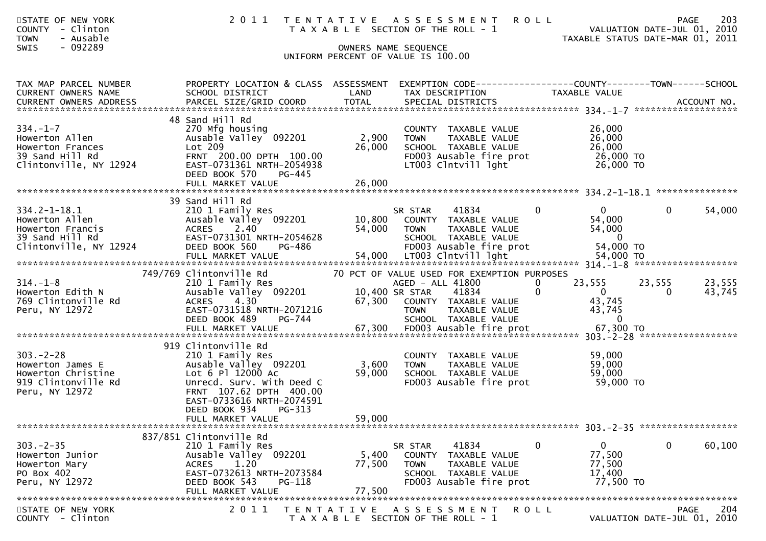| STATE OF NEW YORK<br><b>COUNTY</b><br>- Clinton<br>- Ausable<br><b>TOWN</b><br>- 092289<br><b>SWIS</b> |                                                                                                                                                                                                         | OWNERS NAME SEQUENCE      | 2011 TENTATIVE ASSESSMENT<br><b>ROLL</b><br>T A X A B L E SECTION OF THE ROLL - 1                                                           |                                                                          | 203<br>PAGE<br>VALUATION DATE-JUL 01, 2010<br>TAXABLE STATUS DATE-MAR 01, 2011 |
|--------------------------------------------------------------------------------------------------------|---------------------------------------------------------------------------------------------------------------------------------------------------------------------------------------------------------|---------------------------|---------------------------------------------------------------------------------------------------------------------------------------------|--------------------------------------------------------------------------|--------------------------------------------------------------------------------|
|                                                                                                        |                                                                                                                                                                                                         |                           | UNIFORM PERCENT OF VALUE IS 100.00                                                                                                          |                                                                          |                                                                                |
|                                                                                                        |                                                                                                                                                                                                         |                           |                                                                                                                                             |                                                                          |                                                                                |
| TAX MAP PARCEL NUMBER<br>CURRENT OWNERS NAME                                                           | PROPERTY LOCATION & CLASS ASSESSMENT<br>SCHOOL DISTRICT                                                                                                                                                 | LAND                      | TAX DESCRIPTION                                                                                                                             | TAXABLE VALUE                                                            |                                                                                |
| $334. - 1 - 7$<br>Howerton Allen<br>Howerton Frances<br>39 Sand Hill Rd<br>Clintonville, NY 12924      | 48 Sand Hill Rd<br>270 Mfg housing<br>Ausable Valley 092201<br>Lot 209<br>FRNT 200.00 DPTH 100.00<br>EAST-0731361 NRTH-2054938<br>DEED BOOK 570<br>PG-445<br>FULL MARKET VALUE                          | 2,900<br>26,000<br>26,000 | COUNTY TAXABLE VALUE<br>TAXABLE VALUE<br>TOWN<br>SCHOOL TAXABLE VALUE<br>FD003 Ausable fire prot<br>LT003 Clntvill lght                     | 26,000<br>26,000<br>26,000<br>26,000 TO<br>26,000 TO                     |                                                                                |
|                                                                                                        |                                                                                                                                                                                                         |                           |                                                                                                                                             |                                                                          |                                                                                |
| $334.2 - 1 - 18.1$<br>Howerton Allen<br>Howerton Francis<br>39 Sand Hill Rd<br>Clintonville, NY 12924  | 39 Sand Hill Rd<br>210 1 Family Res<br>Ausable Valley 092201<br><b>ACRES</b><br>2.40<br>EAST-0731301 NRTH-2054628<br>DEED BOOK 560<br>PG-486                                                            | 10,800<br>54,000          | $\mathbf{0}$<br>SR STAR<br>41834<br>COUNTY TAXABLE VALUE<br><b>TOWN</b><br>TAXABLE VALUE<br>SCHOOL TAXABLE VALUE<br>FD003 Ausable fire prot | $\overline{0}$<br>54,000<br>54,000<br>$\overline{0}$<br>54,000 TO        | 54,000<br>$\Omega$                                                             |
|                                                                                                        | 749/769 Clintonville Rd                                                                                                                                                                                 |                           | 70 PCT OF VALUE USED FOR EXEMPTION PURPOSES                                                                                                 |                                                                          |                                                                                |
| $314. - 1 - 8$<br>Howerton Edith N<br>769 Clintonville Rd<br>Peru, NY 12972                            | 210 1 Family Res<br>Ausable Valley 092201<br><b>ACRES</b><br>4.30<br>EAST-0731518 NRTH-2071216<br>DEED BOOK 489<br>PG-744                                                                               | 10,400 SR STAR<br>67,300  | AGED - ALL 41800<br>41834<br>$\mathbf{0}$<br>COUNTY TAXABLE VALUE<br>TAXABLE VALUE<br><b>TOWN</b><br>SCHOOL TAXABLE VALUE                   | 23,555<br>$\mathbf{0}$<br>$\overline{0}$<br>43,745<br>43,745<br>$\Omega$ | 23,555<br>23,555<br>43,745<br>$\Omega$                                         |
|                                                                                                        |                                                                                                                                                                                                         |                           |                                                                                                                                             |                                                                          |                                                                                |
| $303 - 2 - 28$<br>Howerton James E<br>Howerton Christine<br>919 Clintonville Rd<br>Peru, NY 12972      | 919 Clintonville Rd<br>210 1 Family Res<br>Ausable Valley 092201<br>Lot 6 Pl 12000 Ac<br>Unrecd. Surv. With Deed C<br>FRNT 107.62 DPTH 400.00<br>EAST-0733616 NRTH-2074591<br>DEED BOOK 934<br>$PG-313$ | 3,600<br>59,000           | COUNTY TAXABLE VALUE<br><b>TOWN</b><br>TAXABLE VALUE<br>SCHOOL TAXABLE VALUE<br>FD003 Ausable fire prot                                     | 59,000<br>59,000<br>59,000<br>59,000 TO                                  |                                                                                |
|                                                                                                        | FULL MARKET VALUE                                                                                                                                                                                       | 59,000                    |                                                                                                                                             |                                                                          |                                                                                |
|                                                                                                        | 837/851 Clintonville Rd                                                                                                                                                                                 |                           |                                                                                                                                             |                                                                          |                                                                                |
| $303 - 2 - 35$<br>Howerton Junior<br>Howerton Mary<br>PO Box 402<br>Peru, NY 12972                     | 210 1 Family Res<br>Ausable Valley 092201<br>1.20<br><b>ACRES</b><br>EAST-0732613 NRTH-2073584<br>DEED BOOK 543<br>$PG-118$<br>FULL MARKET VALUE                                                        | 5,400<br>77,500<br>77,500 | 41834<br>$\mathbf 0$<br>SR STAR<br>COUNTY TAXABLE VALUE<br><b>TOWN</b><br>TAXABLE VALUE<br>SCHOOL TAXABLE VALUE<br>FD003 Ausable fire prot  | $\mathbf{0}$<br>77,500<br>77,500<br>17,400<br>77,500 TO                  | $\overline{0}$<br>60,100                                                       |
| STATE OF NEW YORK<br>COUNTY - Clinton                                                                  | 2 0 1 1                                                                                                                                                                                                 | T E N T A T I V E         | R O L L<br>A S S E S S M E N T<br>T A X A B L E SECTION OF THE ROLL - 1                                                                     |                                                                          | <b>PAGE</b><br>204<br>VALUATION DATE-JUL 01, 2010                              |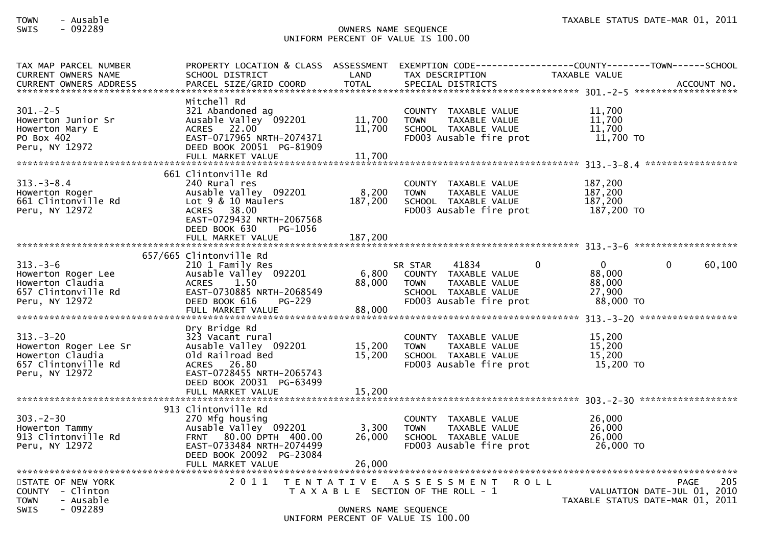## SWIS - 092289 OWNERS NAME SEQUENCE UNIFORM PERCENT OF VALUE IS 100.00

| TAX MAP PARCEL NUMBER<br><b>CURRENT OWNERS NAME</b><br><b>CURRENT OWNERS ADDRESS</b>                 | PROPERTY LOCATION & CLASS ASSESSMENT<br>SCHOOL DISTRICT<br>PARCEL SIZE/GRID COORD                                                                                                   | LAND<br><b>TOTAL</b>        | EXEMPTION CODE------------------COUNTY--------TOWN------SCHOOL<br>TAX DESCRIPTION<br>SPECIAL DISTRICTS                      | TAXABLE VALUE                                                       | ACCOUNT NO.                         |        |
|------------------------------------------------------------------------------------------------------|-------------------------------------------------------------------------------------------------------------------------------------------------------------------------------------|-----------------------------|-----------------------------------------------------------------------------------------------------------------------------|---------------------------------------------------------------------|-------------------------------------|--------|
| $301 - 2 - 5$<br>Howerton Junior Sr<br>Howerton Mary E<br>PO Box 402<br>Peru, NY 12972               | Mitchell Rd<br>321 Abandoned ag<br>Ausable Valley 092201<br><b>ACRES</b><br>22.00<br>EAST-0717965 NRTH-2074371<br>DEED BOOK 20051 PG-81909<br>FULL MARKET VALUE                     | 11,700<br>11,700<br>11,700  | COUNTY TAXABLE VALUE<br><b>TOWN</b><br>TAXABLE VALUE<br>SCHOOL TAXABLE VALUE<br>FD003 Ausable fire prot                     | 11,700<br>11,700<br>11,700<br>11,700 TO                             |                                     |        |
| $313. - 3 - 8.4$<br>Howerton Roger<br>661 Clintonville Rd<br>Peru, NY 12972                          | 661 Clintonville Rd<br>240 Rural res<br>Ausable Valley 092201<br>Lot $9 \& 10$ Maulers<br>ACRES 38.00<br>EAST-0729432 NRTH-2067568<br>DEED BOOK 630<br>PG-1056<br>FULL MARKET VALUE | 8,200<br>187,200<br>187,200 | COUNTY TAXABLE VALUE<br><b>TOWN</b><br>TAXABLE VALUE<br>SCHOOL TAXABLE VALUE<br>FD003 Ausable fire prot                     | 187,200<br>187,200<br>187,200<br>187,200 TO                         |                                     |        |
|                                                                                                      | 657/665 Clintonville Rd                                                                                                                                                             |                             |                                                                                                                             |                                                                     |                                     |        |
| $313 - 3 - 6$<br>Howerton Roger Lee<br>Howerton Claudia<br>657 Clintonville Rd<br>Peru, NY 12972     | 210 1 Family Res<br>Ausable Valley 092201<br>1.50<br><b>ACRES</b><br>EAST-0730885 NRTH-2068549<br>DEED BOOK 616<br>$PG-229$<br>FULL MARKET VALUE                                    | 6,800<br>88,000<br>88,000   | SR STAR<br>41834<br>COUNTY TAXABLE VALUE<br><b>TOWN</b><br>TAXABLE VALUE<br>SCHOOL TAXABLE VALUE<br>FD003 Ausable fire prot | $\Omega$<br>$\mathbf{0}$<br>88,000<br>88,000<br>27,900<br>88,000 TO | 0                                   | 60,100 |
| $313 - 3 - 20$<br>Howerton Roger Lee Sr<br>Howerton Claudia<br>657 Clintonville Rd<br>Peru, NY 12972 | Dry Bridge Rd<br>323 Vacant rural<br>Ausable Valley 092201<br>Old Railroad Bed<br>ACRES 26.80<br>EAST-0728455 NRTH-2065743<br>DEED BOOK 20031 PG-63499<br>FULL MARKET VALUE         | 15,200<br>15,200<br>15,200  | COUNTY TAXABLE VALUE<br><b>TOWN</b><br>TAXABLE VALUE<br>SCHOOL TAXABLE VALUE<br>FD003 Ausable fire prot                     | 15,200<br>15,200<br>15,200<br>15,200 TO                             |                                     |        |
|                                                                                                      | 913 Clintonville Rd                                                                                                                                                                 |                             |                                                                                                                             |                                                                     |                                     |        |
| $303 - 2 - 30$<br>Howerton Tammy<br>913 Clintonville Rd<br>Peru, NY 12972                            | 270 Mfg housing<br>Ausable Valley 092201<br>FRNT 80.00 DPTH 400.00<br>EAST-0733484 NRTH-2074499<br>DEED BOOK 20092 PG-23084                                                         | 3,300<br>26,000             | COUNTY TAXABLE VALUE<br><b>TOWN</b><br>TAXABLE VALUE<br>SCHOOL TAXABLE VALUE<br>FD003 Ausable fire prot                     | 26,000<br>26,000<br>26,000<br>26,000 TO                             |                                     |        |
|                                                                                                      | FULL MARKET VALUE                                                                                                                                                                   | 26,000                      |                                                                                                                             |                                                                     |                                     |        |
| STATE OF NEW YORK<br>$COUNTY - Clinton$<br>- Ausable<br><b>TOWN</b><br>$-092289$<br><b>SWIS</b>      | 2011                                                                                                                                                                                | OWNERS NAME SEQUENCE        | TENTATIVE ASSESSMENT<br><b>ROLL</b><br>T A X A B L E SECTION OF THE ROLL - 1<br>UNIFORM PERCENT OF VALUE IS 100.00          | TAXABLE STATUS DATE-MAR 01, 2011                                    | PAGE<br>VALUATION DATE-JUL 01, 2010 | 205    |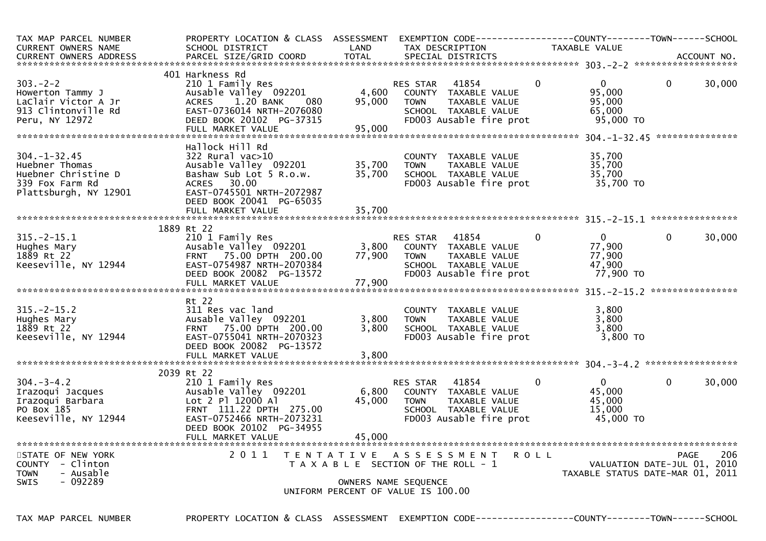| TAX MAP PARCEL NUMBER<br><b>CURRENT OWNERS NAME</b>                                                     | PROPERTY LOCATION & CLASS ASSESSMENT<br>SCHOOL DISTRICT                                                                                                                              | LAND                       | TAX DESCRIPTION                                                                                                                  | <b>TAXABLE VALUE</b> |                                                                        |                    |
|---------------------------------------------------------------------------------------------------------|--------------------------------------------------------------------------------------------------------------------------------------------------------------------------------------|----------------------------|----------------------------------------------------------------------------------------------------------------------------------|----------------------|------------------------------------------------------------------------|--------------------|
|                                                                                                         |                                                                                                                                                                                      |                            |                                                                                                                                  |                      |                                                                        |                    |
| $303 - 2 - 2$<br>Howerton Tammy J<br>LaClair Victor A Jr<br>913 Clintonville Rd<br>Peru, NY 12972       | 401 Harkness Rd<br>210 1 Family Res<br>Ausable Valley 092201<br>1.20 BANK<br><b>ACRES</b><br>080<br>EAST-0736014 NRTH-2076080<br>DEED BOOK 20102 PG-37315<br>FULL MARKET VALUE       | 4,600<br>95,000<br>95,000  | 41854<br>RES STAR<br>COUNTY TAXABLE VALUE<br><b>TOWN</b><br>TAXABLE VALUE<br>SCHOOL TAXABLE VALUE<br>FD003 Ausable fire prot     | $\Omega$             | $\Omega$<br>$\Omega$<br>95,000<br>95,000<br>65,000<br>95,000 TO        | 30,000             |
| $304. - 1 - 32.45$<br>Huebner Thomas<br>Huebner Christine D<br>339 Fox Farm Rd<br>Plattsburgh, NY 12901 | Hallock Hill Rd<br>322 Rural vac>10<br>Ausable Valley 092201<br>Bashaw Sub Lot 5 R.o.w.<br>ACRES 30.00<br>EAST-0745501 NRTH-2072987<br>DEED BOOK 20041 PG-65035<br>FULL MARKET VALUE | 35,700<br>35,700<br>35,700 | COUNTY TAXABLE VALUE<br>TAXABLE VALUE<br><b>TOWN</b><br>SCHOOL TAXABLE VALUE<br>FD003 Ausable fire prot                          |                      | 35,700<br>35,700<br>35,700<br>35,700 TO                                |                    |
|                                                                                                         |                                                                                                                                                                                      |                            |                                                                                                                                  |                      |                                                                        |                    |
| $315. - 2 - 15.1$<br>Hughes Mary<br>1889 Rt 22<br>Keeseville, NY 12944                                  | 1889 Rt 22<br>210 1 Family Res<br>Ausable Valley 092201<br>FRNT 75.00 DPTH 200.00<br>EAST-0754987 NRTH-2070384<br>DEED BOOK 20082 PG-13572<br>FULL MARKET VALUE                      | 3,800<br>77,900<br>77,900  | RES STAR<br>41854<br>COUNTY TAXABLE VALUE<br><b>TOWN</b><br>TAXABLE VALUE<br>SCHOOL TAXABLE VALUE<br>FD003 Ausable fire prot     | $\Omega$             | $\overline{0}$<br>$\Omega$<br>77,900<br>77,900<br>47,900<br>77,900 TO  | 30,000             |
|                                                                                                         | Rt 22                                                                                                                                                                                |                            |                                                                                                                                  |                      |                                                                        |                    |
| $315. - 2 - 15.2$<br>Hughes Mary<br>1889 Rt 22<br>Keeseville, NY 12944                                  | 311 Res vac land<br>Ausable Valley 092201<br>FRNT 75.00 DPTH 200.00<br>EAST-0755041 NRTH-2070323<br>DEED BOOK 20082 PG-13572<br>FULL MARKET VALUE                                    | 3,800<br>3,800<br>3,800    | COUNTY TAXABLE VALUE<br>TAXABLE VALUE<br><b>TOWN</b><br>SCHOOL TAXABLE VALUE<br>FD003 Ausable fire prot                          |                      | 3,800<br>3,800<br>3,800<br>3,800 TO                                    |                    |
|                                                                                                         | 2039 Rt 22                                                                                                                                                                           |                            |                                                                                                                                  |                      |                                                                        |                    |
| $304 - 3 - 4.2$<br>Irazoqui Jacques<br>Irazoqui Barbara<br>PO Box 185<br>Keeseville, NY 12944           | 210 1 Family Res<br>Ausable Valley 092201<br>Lot 2 Pl 12000 Al<br>FRNT 111.22 DPTH 275.00<br>EAST-0752466 NRTH-2073231<br>DEED BOOK 20102 PG-34955                                   | 6,800<br>45,000<br>45,000  | 41854<br>RES STAR<br>COUNTY TAXABLE VALUE<br>TAXABLE VALUE<br><b>TOWN</b><br>SCHOOL TAXABLE VALUE<br>FD003 Ausable fire prot     | $\mathbf{0}$         | $\mathbf{0}$<br>$\mathbf 0$<br>45,000<br>45,000<br>15,000<br>45,000 TO | 30,000             |
| STATE OF NEW YORK<br>COUNTY - Clinton<br><b>TOWN</b><br>- Ausable<br>$-092289$<br><b>SWIS</b>           | 2011                                                                                                                                                                                 |                            | TENTATIVE ASSESSMENT ROLL<br>T A X A B L E SECTION OF THE ROLL - 1<br>OWNERS NAME SEQUENCE<br>UNIFORM PERCENT OF VALUE IS 100.00 |                      | VALUATION DATE-JUL 01, 2010<br>TAXABLE STATUS DATE-MAR 01, 2011        | <b>PAGE</b><br>206 |

TAX MAP PARCEL NUMBER PROPERTY LOCATION & CLASS ASSESSMENT EXEMPTION CODE----------------COUNTY--------TOWN------SCHOOL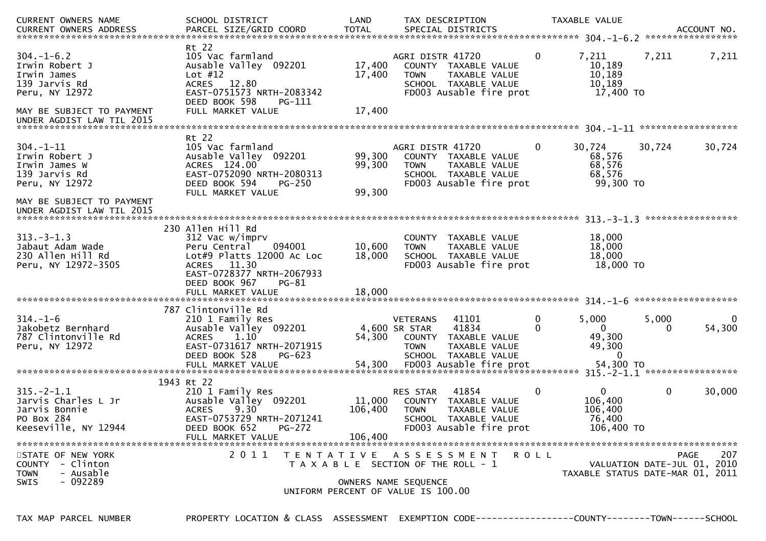| <b>CURRENT OWNERS NAME</b><br><b>CURRENT OWNERS ADDRESS</b>                                    | SCHOOL DISTRICT<br>PARCEL SIZE/GRID COORD                                                                                                                                                        | LAND<br><b>TOTAL</b>         | TAX DESCRIPTION<br>SPECIAL DISTRICTS                                                                                                                             |         | TAXABLE VALUE                                                  |             | ACCOUNT NO.<br>*****************                  |
|------------------------------------------------------------------------------------------------|--------------------------------------------------------------------------------------------------------------------------------------------------------------------------------------------------|------------------------------|------------------------------------------------------------------------------------------------------------------------------------------------------------------|---------|----------------------------------------------------------------|-------------|---------------------------------------------------|
| $304. - 1 - 6.2$<br>Irwin Robert J<br>Irwin James<br>139 Jarvis Rd<br>Peru, NY 12972           | Rt 22<br>105 Vac farmland<br>Ausable Valley 092201<br>Lot $#12$<br>ACRES 12.80<br>EAST-0751573 NRTH-2083342<br>DEED BOOK 598<br>PG-111                                                           | 17,400<br>17,400             | AGRI DISTR 41720<br>COUNTY TAXABLE VALUE<br><b>TOWN</b><br>TAXABLE VALUE<br>SCHOOL TAXABLE VALUE<br>FD003 Ausable fire prot                                      | 0       | 7,211<br>10,189<br>10,189<br>10,189<br>17,400 TO               | 7,211       | 7,211                                             |
| MAY BE SUBJECT TO PAYMENT<br>UNDER AGDIST LAW TIL 2015                                         | FULL MARKET VALUE                                                                                                                                                                                | 17,400                       |                                                                                                                                                                  |         |                                                                |             |                                                   |
| $304. - 1 - 11$<br>Irwin Robert J<br>Irwin James W<br>139 Jarvis Rd<br>Peru, NY 12972          | Rt 22<br>105 Vac farmland<br>Ausable Valley 092201<br>ACRES 124.00<br>EAST-0752090 NRTH-2080313<br>DEED BOOK 594<br>$PG-250$<br>FULL MARKET VALUE                                                | 99,300<br>99,300<br>99,300   | AGRI DISTR 41720<br>COUNTY TAXABLE VALUE<br>TAXABLE VALUE<br><b>TOWN</b><br>SCHOOL TAXABLE VALUE<br>FD003 Ausable fire prot                                      | 0       | 30,724<br>68,576<br>68,576<br>68,576<br>99,300 TO              | 30,724      | 30,724                                            |
| MAY BE SUBJECT TO PAYMENT                                                                      |                                                                                                                                                                                                  |                              |                                                                                                                                                                  |         |                                                                |             | *****************                                 |
| $313 - 3 - 1.3$<br>Jabaut Adam Wade<br>230 Allen Hill Rd<br>Peru, NY 12972-3505                | 230 Allen Hill Rd<br>312 Vac w/imprv<br>094001<br>Peru Central<br>Lot#9 Platts 12000 Ac Loc<br>11.30<br><b>ACRES</b><br>EAST-0728377 NRTH-2067933<br>DEED BOOK 967<br>PG-81<br>FULL MARKET VALUE | 10,600<br>18,000<br>18,000   | COUNTY TAXABLE VALUE<br><b>TOWN</b><br>TAXABLE VALUE<br>SCHOOL TAXABLE VALUE<br>FD003 Ausable fire prot                                                          |         | 18,000<br>18,000<br>18,000<br>18,000 TO                        |             |                                                   |
| **********************                                                                         |                                                                                                                                                                                                  |                              |                                                                                                                                                                  |         | $314. - 1 - 6$ *********************                           |             |                                                   |
| $314. - 1 - 6$<br>Jakobetz Bernhard<br>787 Clintonville Rd<br>Peru, NY 12972                   | 787 Clintonville Rd<br>210 1 Family Res<br>Ausable Valley 092201<br><b>ACRES</b><br>1.10<br>EAST-0731617 NRTH-2071915<br>DEED BOOK 528<br>PG-623<br>FULL MARKET VALUE                            | 54,300<br>54,300             | 41101<br><b>VETERANS</b><br>41834<br>4,600 SR STAR<br>COUNTY<br>TAXABLE VALUE<br><b>TOWN</b><br>TAXABLE VALUE<br>SCHOOL TAXABLE VALUE<br>FD003 Ausable fire prot | 0<br>0  | 5,000<br>$\bf{0}$<br>49,300<br>49,300<br>$\Omega$<br>54,300 TO | 5,000<br>0  | $\mathbf{0}$<br>54,300                            |
|                                                                                                |                                                                                                                                                                                                  |                              |                                                                                                                                                                  |         |                                                                |             |                                                   |
| $315. - 2 - 1.1$<br>Jarvis Charles L Jr<br>Jarvis Bonnie<br>PO Box 284<br>Keeseville, NY 12944 | 1943 Rt 22<br>210 1 Family Res<br>Ausable Valley 092201<br><b>ACRES</b><br>9.30<br>EAST-0753729 NRTH-2071241<br>DEED BOOK 652<br>$PG-272$<br>FULL MARKET VALUE                                   | 11,000<br>106,400<br>106,400 | 41854<br>RES STAR<br>COUNTY TAXABLE VALUE<br><b>TOWN</b><br>TAXABLE VALUE<br>SCHOOL TAXABLE VALUE<br>FD003 Ausable fire prot                                     | 0       | $\mathbf{0}$<br>106,400<br>106,400<br>76,400<br>106,400 TO     | $\mathbf 0$ | 30,000                                            |
| STATE OF NEW YORK<br>COUNTY<br>- Clinton<br>- Ausable<br><b>TOWN</b><br>$-092289$<br>SWIS      | 2011                                                                                                                                                                                             |                              | TENTATIVE ASSESSMENT<br>T A X A B L E SECTION OF THE ROLL - 1<br>OWNERS NAME SEQUENCE<br>UNIFORM PERCENT OF VALUE IS 100.00                                      | R O L L | TAXABLE STATUS DATE-MAR 01, 2011                               |             | 207<br><b>PAGE</b><br>VALUATION DATE-JUL 01, 2010 |

TAX MAP PARCEL NUMBER PROPERTY LOCATION & CLASS ASSESSMENT EXEMPTION CODE----------------COUNTY--------TOWN------SCHOOL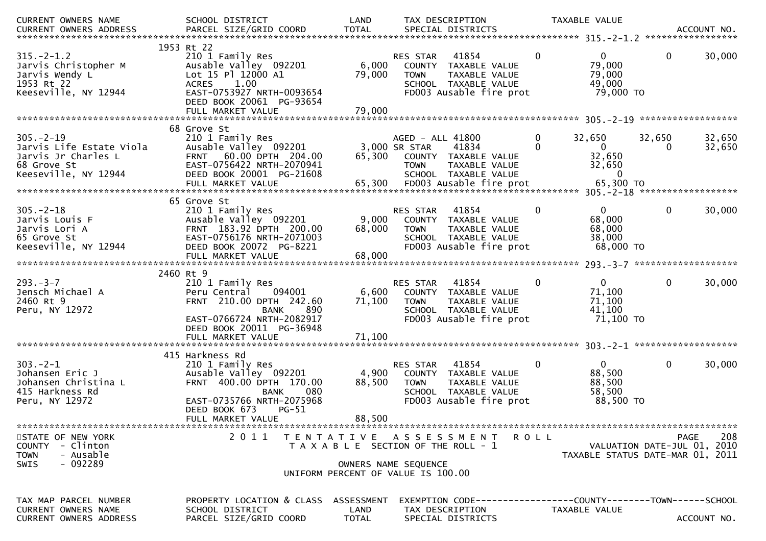| CURRENT OWNERS NAME                                                                                      | SCHOOL DISTRICT                                                                                                                                                           | LAND<br>TOTAL                      | TAX DESCRIPTION                                                                                                                   |                            | TAXABLE VALUE                                                   |              |                  |
|----------------------------------------------------------------------------------------------------------|---------------------------------------------------------------------------------------------------------------------------------------------------------------------------|------------------------------------|-----------------------------------------------------------------------------------------------------------------------------------|----------------------------|-----------------------------------------------------------------|--------------|------------------|
|                                                                                                          |                                                                                                                                                                           |                                    |                                                                                                                                   |                            |                                                                 |              |                  |
| $315. - 2 - 1.2$<br>Jarvis Christopher M<br>Jarvis Wendy L<br>1953 Rt 22<br>Keeseville, NY 12944         | 1953 Rt 22<br>210 1 Family Res<br>Ausable Valley 092201<br>Lot 15 Pl 12000 A1<br>ACRES 1.00<br>EAST-0753927 NRTH-0093654<br>DEED BOOK 20061 PG-93654<br>FULL MARKET VALUE | 6,000<br>79,000<br>79,000          | 41854<br>RES STAR<br>COUNTY TAXABLE VALUE<br><b>TOWN</b><br>TAXABLE VALUE<br>SCHOOL TAXABLE VALUE<br>FD003 Ausable fire prot      | $\mathbf 0$                | $\overline{0}$<br>79,000<br>79,000<br>49,000<br>79,000 TO       | 0            | 30,000           |
|                                                                                                          |                                                                                                                                                                           |                                    |                                                                                                                                   |                            |                                                                 |              |                  |
| $305. -2 - 19$<br>Jarvis Life Estate Viola<br>Jarvis Jr Charles L<br>68 Grove St<br>Keeseville, NY 12944 | 68 Grove St<br>210 1 Family Res<br>Ausable Valley 092201<br>FRNT 60.00 DPTH 204.00<br>EAST-0756422 NRTH-2070941<br>DEED BOOK 20001 PG-21608                               |                                    | AGED - ALL 41800<br>3,000 SR STAR<br>41834<br>65,300 COUNTY TAXABLE VALUE<br><b>TOWN</b><br>TAXABLE VALUE<br>SCHOOL TAXABLE VALUE | $\overline{0}$<br>$\Omega$ | 32,650<br>$\mathbf{0}$<br>32,650<br>32,650<br>$\overline{0}$    | 32,650<br>0  | 32,650<br>32,650 |
|                                                                                                          | 65 Grove St                                                                                                                                                               |                                    |                                                                                                                                   |                            |                                                                 |              |                  |
| $305 - 2 - 18$<br>Jarvis Louis F<br>Jarvis Lori A<br>65 Grove St<br>Keeseville, NY 12944                 | 210 1 Family Res<br>Ausable Valley 092201<br>FRNT 183.92 DPTH 200.00<br>EAST-0756176 NRTH-2071003<br>DEED BOOK 20072 PG-8221<br>FULL MARKET VALUE                         | 9,000<br>68,000<br>68,000          | 41854<br>RES STAR<br>COUNTY TAXABLE VALUE<br>TAXABLE VALUE<br><b>TOWN</b><br>SCHOOL TAXABLE VALUE<br>FD003 Ausable fire prot      | $\bf{0}$                   | $\mathbf{0}$<br>68,000<br>68,000<br>38,000<br>68,000 TO         | $\mathbf 0$  | 30,000           |
|                                                                                                          |                                                                                                                                                                           |                                    |                                                                                                                                   |                            |                                                                 |              |                  |
| $293. -3 -7$<br>Jensch Michael A<br>2460 Rt 9<br>Peru, NY 12972                                          | 2460 Rt 9<br>210 1 Family Res<br>094001<br>Peru Central<br>FRNT 210.00 DPTH 242.60<br>890<br><b>BANK</b><br>EAST-0766724 NRTH-2082917<br>DEED BOOK 20011 PG-36948         | 6,600<br>71,100                    | 41854<br>RES STAR<br>COUNTY TAXABLE VALUE<br><b>TOWN</b><br>TAXABLE VALUE<br>SCHOOL TAXABLE VALUE<br>FD003 Ausable fire prot      | $\mathbf{0}$               | $\mathbf{0}$<br>71,100<br>71,100<br>41,100<br>71,100 TO         | $\mathbf{0}$ | 30,000           |
|                                                                                                          |                                                                                                                                                                           |                                    |                                                                                                                                   |                            |                                                                 |              |                  |
| $303 - 2 - 1$<br>Johansen Eric J<br>Johansen Christina L<br>415 Harkness Rd<br>Peru, NY 12972            | 415 Harkness Rd<br>210 1 Family Res<br>Ausable Valley 092201<br>FRNT 400.00 DPTH 170.00<br><b>BANK</b><br>080<br>EAST-0735766 NRTH-2075968                                | 4,900<br>88,500                    | RES STAR<br>41854<br>COUNTY TAXABLE VALUE<br><b>TOWN</b><br>TAXABLE VALUE<br>SCHOOL TAXABLE VALUE<br>FD003 Ausable fire prot      | $\mathbf 0$                | $\mathbf{0}$<br>88,500<br>88,500<br>58,500<br>88,500 TO         | $\mathbf 0$  | 30,000           |
|                                                                                                          | DEED BOOK 673<br>$PG-51$<br>FULL MARKET VALUE                                                                                                                             | 88,500                             |                                                                                                                                   |                            |                                                                 |              |                  |
| STATE OF NEW YORK<br>- Clinton<br>COUNTY<br>- Ausable<br><b>TOWN</b><br>$-092289$<br>SWIS                | 2011                                                                                                                                                                      |                                    | TENTATIVE ASSESSMENT<br>T A X A B L E SECTION OF THE ROLL - 1<br>OWNERS NAME SEQUENCE<br>UNIFORM PERCENT OF VALUE IS 100.00       | <b>ROLL</b>                | VALUATION DATE-JUL 01, 2010<br>TAXABLE STATUS DATE-MAR 01, 2011 | PAGE         | 208              |
| TAX MAP PARCEL NUMBER<br><b>CURRENT OWNERS NAME</b><br><b>CURRENT OWNERS ADDRESS</b>                     | PROPERTY LOCATION & CLASS<br>SCHOOL DISTRICT<br>PARCEL SIZE/GRID COORD                                                                                                    | ASSESSMENT<br>LAND<br><b>TOTAL</b> | EXEMPTION CODE-----------------COUNTY-------TOWN------SCHOOL<br>TAX DESCRIPTION<br>SPECIAL DISTRICTS                              |                            | TAXABLE VALUE                                                   |              | ACCOUNT NO.      |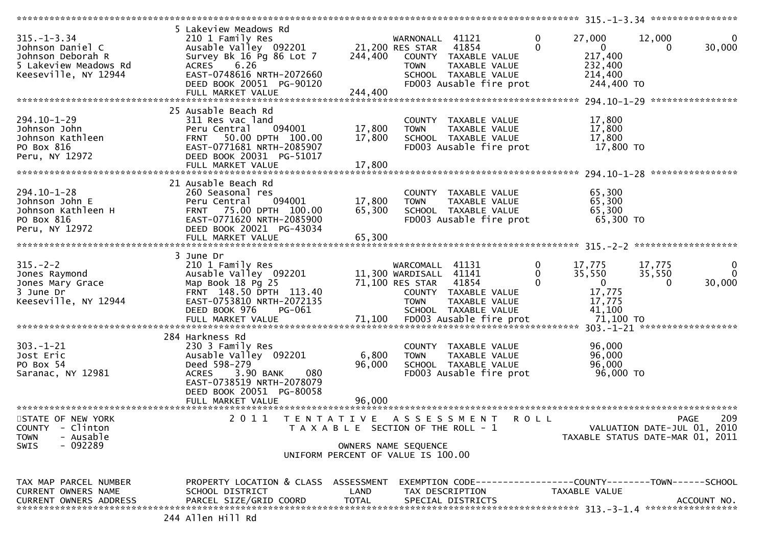| $315. - 1 - 3.34$<br>Johnson Daniel C<br>Johnson Deborah R<br>5 Lakeview Meadows Rd<br>Keeseville, NY 12944 | 5 Lakeview Meadows Rd<br>210 1 Family Res<br>Ausable Valley 092201<br>Survey Bk 16 Pg 86 Lot 7<br><b>ACRES</b><br>6.26<br>EAST-0748616 NRTH-2072660<br>DEED BOOK 20051 PG-90120<br>FULL MARKET VALUE | 21,200 RES STAR<br>244,400<br>244,400                                                               | WARNONALL 41121<br><b>TOWN</b>                                                    | 41854<br>COUNTY TAXABLE VALUE<br>TAXABLE VALUE<br>SCHOOL TAXABLE VALUE<br>FD003 Ausable fire prot | $\mathbf 0$<br>$\Omega$ | 27,000<br>$\mathbf{0}$<br>217,400<br>232,400<br>214,400<br>244,400 TO | 12,000<br>$\Omega$                                                             | $\mathbf 0$<br>30,000              |
|-------------------------------------------------------------------------------------------------------------|------------------------------------------------------------------------------------------------------------------------------------------------------------------------------------------------------|-----------------------------------------------------------------------------------------------------|-----------------------------------------------------------------------------------|---------------------------------------------------------------------------------------------------|-------------------------|-----------------------------------------------------------------------|--------------------------------------------------------------------------------|------------------------------------|
| 294.10-1-29<br>Johnson John<br>Johnson Kathleen<br>PO Box 816<br>Peru, NY 12972                             | 25 Ausable Beach Rd<br>311 Res vac land<br>094001<br>Peru Central<br>50.00 DPTH 100.00<br><b>FRNT</b><br>EAST-0771681 NRTH-2085907<br>DEED BOOK 20031 PG-51017<br>FULL MARKET VALUE                  | 17,800<br>17,800<br>17,800                                                                          | <b>TOWN</b>                                                                       | COUNTY TAXABLE VALUE<br>TAXABLE VALUE<br>SCHOOL TAXABLE VALUE<br>FD003 Ausable fire prot          |                         | 17,800<br>17,800<br>17,800<br>17,800 TO                               | ****************                                                               |                                    |
| 294.10-1-28<br>Johnson John E<br>Johnson Kathleen H<br>PO Box 816<br>Peru, NY 12972                         | 21 Ausable Beach Rd<br>260 Seasonal res<br>094001<br>Peru Central<br>FRNT 75.00 DPTH 100.00<br>EAST-0771620 NRTH-2085900<br>DEED BOOK 20021 PG-43034<br>FULL MARKET VALUE                            | 17,800<br>65,300<br>65,300                                                                          | <b>TOWN</b>                                                                       | COUNTY TAXABLE VALUE<br>TAXABLE VALUE<br>SCHOOL TAXABLE VALUE<br>FD003 Ausable fire prot          |                         | 65,300<br>65,300<br>65,300<br>65,300 TO                               |                                                                                |                                    |
| $315. - 2 - 2$<br>Jones Raymond<br>Jones Mary Grace<br>3 June Dr<br>Keeseville, NY 12944                    | 3 June Dr<br>210 1 Family Res<br>Ausable Valley 092201<br>Map Book 18 Pg 25<br>FRNT 148.50 DPTH 113.40<br>EAST-0753810 NRTH-2072135<br>DEED BOOK 976<br>PG-061                                       |                                                                                                     | WARCOMALL 41131<br>11,300 WARDISALL 41141<br>71,100 RES STAR 41854<br><b>TOWN</b> | COUNTY TAXABLE VALUE<br>TAXABLE VALUE<br>SCHOOL TAXABLE VALUE                                     | 0<br>0<br>$\Omega$      | 17,775<br>35,550<br>$\overline{0}$<br>17,775<br>17,775<br>41,100      | 17,775<br>35,550<br>$\Omega$                                                   | $\mathbf{0}$<br>$\Omega$<br>30,000 |
| $303. - 1 - 21$<br>Jost Eric<br>PO Box 54<br>Saranac, NY 12981                                              | 284 Harkness Rd<br>230 3 Family Res<br>Ausable Valley 092201<br>Deed 598-279<br>080<br><b>ACRES</b><br>3.90 BANK<br>EAST-0738519 NRTH-2078079<br>DEED BOOK 20051 PG-80058<br>FULL MARKET VALUE       | 6,800<br>96,000<br>96,000                                                                           | <b>TOWN</b>                                                                       | COUNTY TAXABLE VALUE<br>TAXABLE VALUE<br>SCHOOL TAXABLE VALUE<br>FD003 Ausable fire prot          |                         | 96,000<br>96,000<br>96,000<br>96,000 TO                               |                                                                                |                                    |
| STATE OF NEW YORK<br><b>COUNTY</b><br>- Clinton<br>- Ausable<br><b>TOWN</b><br>$-092289$<br>SWIS            | 2011<br>T E N T A T I V E                                                                                                                                                                            | T A X A B L E SECTION OF THE ROLL - 1<br>OWNERS NAME SEQUENCE<br>UNIFORM PERCENT OF VALUE IS 100.00 |                                                                                   | A S S E S S M E N T                                                                               | <b>ROLL</b>             |                                                                       | <b>PAGE</b><br>VALUATION DATE-JUL 01, 2010<br>TAXABLE STATUS DATE-MAR 01, 2011 | 209                                |
| TAX MAP PARCEL NUMBER<br><b>CURRENT OWNERS NAME</b><br><b>CURRENT OWNERS ADDRESS</b>                        | PROPERTY LOCATION & CLASS ASSESSMENT<br>SCHOOL DISTRICT<br>PARCEL SIZE/GRID COORD<br>244 Allen Hill Rd                                                                                               | LAND<br><b>TOTAL</b>                                                                                | TAX DESCRIPTION                                                                   | EXEMPTION CODE-----------------COUNTY-------TOWN------SCHOOL<br>SPECIAL DISTRICTS                 |                         | TAXABLE VALUE                                                         |                                                                                | ACCOUNT NO.                        |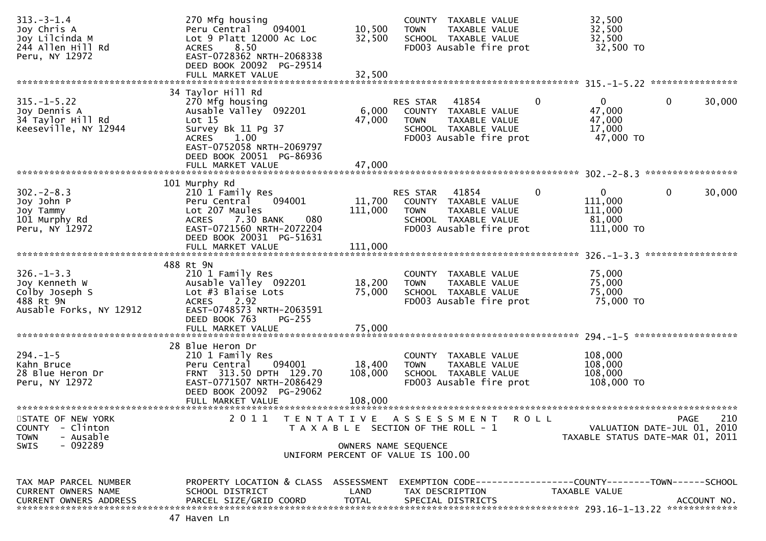| $313. - 3 - 1.4$<br>Joy Chris A<br>Joy Lilcinda M<br>244 Allen Hill Rd<br>Peru, NY 12972                | 270 Mfg housing<br>Peru Central<br>094001<br>Lot 9 Platt 12000 Ac Loc<br>8.50<br><b>ACRES</b><br>EAST-0728362 NRTH-2068338<br>DEED BOOK 20092 PG-29514                                              | 10,500<br>32,500                                                                                                 | <b>TOWN</b>                    | COUNTY TAXABLE VALUE<br>TAXABLE VALUE<br>SCHOOL TAXABLE VALUE<br>FD003 Ausable fire prot                     |             | 32,500<br>32,500<br>32,500<br>32,500 TO                         |             |             |
|---------------------------------------------------------------------------------------------------------|-----------------------------------------------------------------------------------------------------------------------------------------------------------------------------------------------------|------------------------------------------------------------------------------------------------------------------|--------------------------------|--------------------------------------------------------------------------------------------------------------|-------------|-----------------------------------------------------------------|-------------|-------------|
|                                                                                                         | FULL MARKET VALUE                                                                                                                                                                                   | 32,500                                                                                                           |                                |                                                                                                              |             |                                                                 |             |             |
| $315. - 1 - 5.22$<br>Joy Dennis A<br>34 Taylor Hill Rd<br>Keeseville, NY 12944                          | 34 Taylor Hill Rd<br>270 Mfg housing<br>Ausable Valley 092201<br>Lot 15<br>Survey Bk 11 Pg 37<br><b>ACRES</b><br>1.00<br>EAST-0752058 NRTH-2069797<br>DEED BOOK 20051 PG-86936<br>FULL MARKET VALUE | 6,000<br>47,000<br>47,000                                                                                        | <b>RES STAR</b><br><b>TOWN</b> | 41854<br>COUNTY TAXABLE VALUE<br>TAXABLE VALUE<br>SCHOOL TAXABLE VALUE<br>FD003 Ausable fire prot            | 0           | $\Omega$<br>47,000<br>47,000<br>17,000<br>47,000 TO             | 0           | 30,000      |
|                                                                                                         |                                                                                                                                                                                                     |                                                                                                                  |                                |                                                                                                              |             |                                                                 |             |             |
| $302 - 2 - 8.3$<br>Joy John P<br>Joy Tammy<br>101 Murphy Rd<br>Peru, NY 12972                           | 101 Murphy Rd<br>210 1 Family Res<br>094001<br>Peru Central<br>Lot 207 Maules<br>7.30 BANK<br>080<br><b>ACRES</b><br>EAST-0721560 NRTH-2072204<br>DEED BOOK 20031 PG-51631                          | 11,700<br>111,000<br>111,000                                                                                     | <b>RES STAR</b><br><b>TOWN</b> | 41854<br>COUNTY TAXABLE VALUE<br>TAXABLE VALUE<br>SCHOOL TAXABLE VALUE<br>FD003 Ausable fire prot            | 0           | 0<br>111,000<br>111,000<br>81,000<br>111,000 TO                 | 0           | 30,000      |
|                                                                                                         | FULL MARKET VALUE                                                                                                                                                                                   |                                                                                                                  |                                |                                                                                                              |             |                                                                 |             |             |
| $326. - 1 - 3.3$<br>Joy Kenneth W<br>Colby Joseph S<br>488 Rt 9N<br>Ausable Forks, NY 12912             | 488 Rt 9N<br>210 1 Family Res<br>Ausable Valley 092201<br>Lot #3 Blaise Lots<br><b>ACRES</b><br>2.92<br>EAST-0748573 NRTH-2063591<br>DEED BOOK 763<br>$PG-255$                                      | 18,200<br>75,000                                                                                                 | <b>TOWN</b>                    | COUNTY TAXABLE VALUE<br>TAXABLE VALUE<br>SCHOOL TAXABLE VALUE<br>FD003 Ausable fire prot                     |             | 75,000<br>75,000<br>75,000<br>75,000 TO                         |             |             |
|                                                                                                         |                                                                                                                                                                                                     |                                                                                                                  |                                |                                                                                                              |             |                                                                 |             |             |
| $294. -1 - 5$<br>Kahn Bruce<br>28 Blue Heron Dr<br>Peru, NY 12972                                       | 28 Blue Heron Dr<br>210 1 Family Res<br>094001<br>Peru Central<br>FRNT 313.50 DPTH 129.70<br>EAST-0771507 NRTH-2086429<br>DEED BOOK 20092 PG-29062<br>FULL MARKET VALUE                             | 18,400<br>108,000<br>108,000                                                                                     | <b>TOWN</b>                    | COUNTY TAXABLE VALUE<br>TAXABLE VALUE<br>SCHOOL TAXABLE VALUE<br>FD003 Ausable fire prot                     |             | 108,000<br>108,000<br>108,000<br>108,000 TO                     |             |             |
| STATE OF NEW YORK<br><b>COUNTY</b><br>- Clinton<br>- Ausable<br><b>TOWN</b><br>$-092289$<br><b>SWIS</b> | ********************<br>2 0 1 1                                                                                                                                                                     | TENTATIVE<br>T A X A B L E SECTION OF THE ROLL - 1<br>OWNERS NAME SEOUENCE<br>UNIFORM PERCENT OF VALUE IS 100.00 |                                | A S S E S S M E N T                                                                                          | <b>ROLL</b> | VALUATION DATE-JUL 01, 2010<br>TAXABLE STATUS DATE-MAR 01, 2011 | <b>PAGE</b> | 210         |
| TAX MAP PARCEL NUMBER<br>CURRENT OWNERS NAME<br><b>CURRENT OWNERS ADDRESS</b>                           | PROPERTY LOCATION & CLASS ASSESSMENT<br>SCHOOL DISTRICT<br>PARCEL SIZE/GRID COORD<br>47 Haven Ln                                                                                                    | LAND<br><b>TOTAL</b>                                                                                             |                                | EXEMPTION        CODE------------------COUNTY-------TOWN------SCHOOL<br>TAX DESCRIPTION<br>SPECIAL DISTRICTS |             | TAXABLE VALUE                                                   |             | ACCOUNT NO. |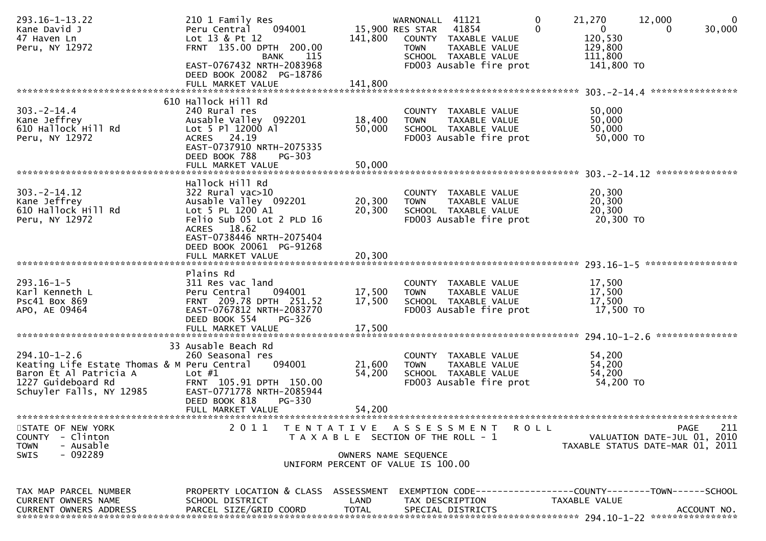| $293.16 - 1 - 13.22$<br>Kane David J<br>47 Haven Ln<br>Peru, NY 12972                                                                         | 210 1 Family Res<br>Peru Central<br>094001<br>Lot 13 & Pt 12<br>FRNT 135.00 DPTH 200.00<br><b>BANK</b><br>115                        | 141,800              | WARNONALL 41121<br>15,900 RES STAR<br><b>TOWN</b>          | 41854<br>COUNTY TAXABLE VALUE<br>TAXABLE VALUE<br>SCHOOL TAXABLE VALUE                                      | 0<br>$\Omega$ | 21,270<br>$\mathbf{0}$<br>120,530<br>129,800<br>111,800 | 12,000<br>$\Omega$                 | $\mathbf 0$<br>30,000 |
|-----------------------------------------------------------------------------------------------------------------------------------------------|--------------------------------------------------------------------------------------------------------------------------------------|----------------------|------------------------------------------------------------|-------------------------------------------------------------------------------------------------------------|---------------|---------------------------------------------------------|------------------------------------|-----------------------|
|                                                                                                                                               | EAST-0767432 NRTH-2083968<br>DEED BOOK 20082 PG-18786<br>FULL MARKET VALUE                                                           | 141,800              |                                                            | FD003 Ausable fire prot                                                                                     |               | 141,800 TO                                              |                                    |                       |
|                                                                                                                                               | 610 Hallock Hill Rd                                                                                                                  |                      |                                                            |                                                                                                             |               |                                                         | 303. - 2 - 14. 4 ***************** |                       |
| $303. -2 - 14.4$<br>Kane Jeffrey<br>610 Hallock Hill Rd<br>Peru, NY 12972                                                                     | 240 Rural res<br>Ausable Valley 092201<br>Lot 5 Pl 12000 Al<br>ACRES 24.19<br>EAST-0737910 NRTH-2075335<br>DEED BOOK 788<br>$PG-303$ | 18,400<br>50,000     | <b>TOWN</b>                                                | COUNTY TAXABLE VALUE<br>TAXABLE VALUE<br>SCHOOL TAXABLE VALUE<br>FD003 Ausable fire prot                    |               | 50,000<br>50,000<br>50,000<br>50,000 TO                 |                                    |                       |
|                                                                                                                                               | FULL MARKET VALUE                                                                                                                    | 50,000               |                                                            |                                                                                                             |               |                                                         |                                    |                       |
|                                                                                                                                               | Hallock Hill Rd                                                                                                                      |                      |                                                            |                                                                                                             |               |                                                         |                                    |                       |
| $303. -2 - 14.12$<br>Kane Jeffrey<br>610 Hallock Hill Rd<br>Peru, NY 12972                                                                    | $322$ Rural vac $>10$<br>Ausable Valley 092201<br>Lot 5 PL 1200 A1<br>Felio Sub 05 Lot 2 PLD 16<br>ACRES 18.62                       | 20,300<br>20,300     | <b>TOWN</b>                                                | COUNTY TAXABLE VALUE<br>TAXABLE VALUE<br>SCHOOL TAXABLE VALUE<br>FD003 Ausable fire prot                    |               | 20,300<br>20,300<br>20,300<br>20,300 TO                 |                                    |                       |
|                                                                                                                                               | EAST-0738446 NRTH-2075404<br>DEED BOOK 20061 PG-91268<br>FULL MARKET VALUE                                                           | 20,300               |                                                            |                                                                                                             |               |                                                         |                                    |                       |
|                                                                                                                                               | Plains Rd                                                                                                                            |                      |                                                            |                                                                                                             |               |                                                         |                                    |                       |
| $293.16 - 1 - 5$<br>Karl Kenneth L<br><b>PSC41 BOX 869</b><br>APO, AE 09464                                                                   | 311 Res vac land<br>094001<br>Peru Central<br>FRNT 209.78 DPTH 251.52<br>EAST-0767812 NRTH-2083770<br>DEED BOOK 554<br>PG-326        | 17,500<br>17,500     | <b>TOWN</b>                                                | COUNTY TAXABLE VALUE<br>TAXABLE VALUE<br>SCHOOL TAXABLE VALUE<br>FD003 Ausable fire prot                    |               | 17,500<br>17,500<br>17,500<br>17,500 TO                 |                                    |                       |
|                                                                                                                                               | FULL MARKET VALUE                                                                                                                    | 17,500               |                                                            |                                                                                                             |               |                                                         |                                    |                       |
|                                                                                                                                               | 33 Ausable Beach Rd                                                                                                                  |                      |                                                            |                                                                                                             |               |                                                         |                                    | ***************       |
| $294.10 - 1 - 2.6$<br>Keating Life Estate Thomas & M Peru Central<br>Baron Et Al Patricia A<br>1227 Guideboard Rd<br>Schuyler Falls, NY 12985 | 260 Seasonal res<br>094001<br>Lot $#1$<br>FRNT 105.91 DPTH 150.00<br>EAST-0771778 NRTH-2085944<br>DEED BOOK 818<br>PG-330            | 21,600<br>54,200     | <b>TOWN</b>                                                | COUNTY TAXABLE VALUE<br>TAXABLE VALUE<br>SCHOOL TAXABLE VALUE<br>FD003 Ausable fire prot                    |               | 54,200<br>54,200<br>54,200<br>54,200 TO                 |                                    |                       |
|                                                                                                                                               | FULL MARKET VALUE                                                                                                                    | 54,200               |                                                            |                                                                                                             |               |                                                         |                                    |                       |
| STATE OF NEW YORK                                                                                                                             | 2 0 1 1                                                                                                                              |                      |                                                            | TENTATIVE ASSESSMENT                                                                                        | <b>ROLL</b>   |                                                         | PAGE                               | 211                   |
| <b>COUNTY</b><br>- Clinton                                                                                                                    |                                                                                                                                      |                      | T A X A B L E SECTION OF THE ROLL - 1                      |                                                                                                             |               |                                                         | VALUATION DATE-JUL 01, 2010        |                       |
| <b>TOWN</b><br>- Ausable<br>$-092289$<br>SWIS                                                                                                 |                                                                                                                                      |                      | OWNERS NAME SEQUENCE<br>UNIFORM PERCENT OF VALUE IS 100.00 |                                                                                                             |               |                                                         | TAXABLE STATUS DATE-MAR 01, 2011   |                       |
| TAX MAP PARCEL NUMBER<br>CURRENT OWNERS NAME<br><b>CURRENT OWNERS ADDRESS</b>                                                                 | PROPERTY LOCATION & CLASS ASSESSMENT<br>SCHOOL DISTRICT<br>PARCEL SIZE/GRID COORD                                                    | LAND<br><b>TOTAL</b> |                                                            | EXEMPTION        CODE-----------------COUNTY-------TOWN------SCHOOL<br>TAX DESCRIPTION<br>SPECIAL DISTRICTS |               | TAXABLE VALUE                                           |                                    | ACCOUNT NO.           |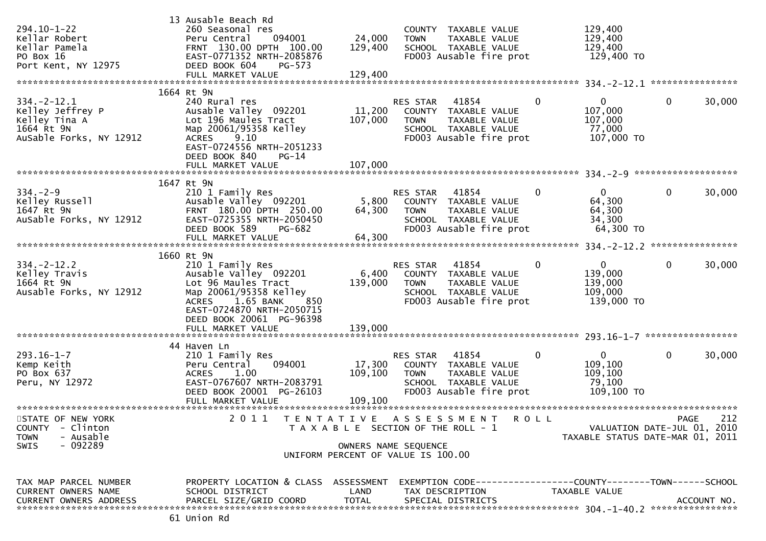| $294.10 - 1 - 22$<br>Kellar Robert<br>Kellar Pamela<br>PO Box 16<br>Port Kent, NY 12975        | 13 Ausable Beach Rd<br>260 Seasonal res<br>094001<br>Peru Central<br>FRNT 130.00 DPTH 100.00<br>EAST-0771352 NRTH-2085876<br>DEED BOOK 604<br>$PG-573$<br>FULL MARKET VALUE                                                | 24,000<br>129,400<br>129,400                                                                        | <b>TOWN</b>                    | COUNTY TAXABLE VALUE<br>TAXABLE VALUE<br>SCHOOL TAXABLE VALUE<br>FD003 Ausable fire prot             |              | 129,400<br>129,400<br>129,400<br>129,400 TO                     |              |             |
|------------------------------------------------------------------------------------------------|----------------------------------------------------------------------------------------------------------------------------------------------------------------------------------------------------------------------------|-----------------------------------------------------------------------------------------------------|--------------------------------|------------------------------------------------------------------------------------------------------|--------------|-----------------------------------------------------------------|--------------|-------------|
| $334. -2 - 12.1$<br>Kelley Jeffrey P<br>Kelley Tina A<br>1664 Rt 9N<br>AuSable Forks, NY 12912 | 1664 Rt 9N<br>240 Rural res<br>Ausable Valley 092201<br>Lot 196 Maules Tract<br>Map 20061/95358 Kelley<br>9.10<br><b>ACRES</b><br>EAST-0724556 NRTH-2051233<br>DEED BOOK 840<br>PG-14                                      | 11,200<br>107,000                                                                                   | <b>RES STAR</b><br><b>TOWN</b> | 41854<br>COUNTY TAXABLE VALUE<br>TAXABLE VALUE<br>SCHOOL TAXABLE VALUE<br>FD003 Ausable fire prot    | $\mathbf 0$  | 0<br>107,000<br>107,000<br>77,000<br>107,000 TO                 | $\mathbf{0}$ | 30,000      |
|                                                                                                |                                                                                                                                                                                                                            |                                                                                                     |                                |                                                                                                      |              |                                                                 |              |             |
| $334. - 2 - 9$<br>Kelley Russell<br>1647 Rt 9N<br>AuSable Forks, NY 12912                      | 1647 Rt 9N<br>210 1 Family Res<br>Ausable Valley 092201<br>FRNT 180.00 DPTH 250.00<br>EAST-0725355 NRTH-2050450<br>DEED BOOK 589<br>PG-682                                                                                 | 5,800<br>64,300                                                                                     | RES STAR<br><b>TOWN</b>        | 41854<br>COUNTY TAXABLE VALUE<br>TAXABLE VALUE<br>SCHOOL TAXABLE VALUE<br>FD003 Ausable fire prot    | 0            | $\overline{0}$<br>64,300<br>64,300<br>34,300<br>64,300 TO       | $\mathbf 0$  | 30,000      |
|                                                                                                |                                                                                                                                                                                                                            |                                                                                                     |                                |                                                                                                      |              |                                                                 |              |             |
| $334. -2 - 12.2$<br>Kelley Travis<br>1664 Rt 9N<br>Ausable Forks, NY 12912                     | 1660 Rt 9N<br>210 1 Family Res<br>Ausable Valley 092201<br>Lot 96 Maules Tract<br>Map 20061/95358 Kelley<br><b>ACRES</b><br>1.65 BANK<br>850<br>EAST-0724870 NRTH-2050715<br>DEED BOOK 20061 PG-96398<br>FULL MARKET VALUE | 6,400<br>139,000<br>139,000                                                                         | RES STAR<br><b>TOWN</b>        | 41854<br>COUNTY TAXABLE VALUE<br>TAXABLE VALUE<br>SCHOOL TAXABLE VALUE<br>FD003 Ausable fire prot    | 0            | $\mathbf{0}$<br>139,000<br>139,000<br>109,000<br>139,000 TO     | $\mathbf{0}$ | 30,000      |
|                                                                                                | 44 Haven Ln                                                                                                                                                                                                                |                                                                                                     |                                |                                                                                                      |              |                                                                 |              |             |
| $293.16 - 1 - 7$<br>Kemp Keith<br>PO Box 637<br>Peru, NY 12972                                 | 210 1 Family Res<br>094001<br>Peru Central<br>1.00<br><b>ACRES</b><br>EAST-0767607 NRTH-2083791<br>DEED BOOK 20001 PG-26103                                                                                                | 17,300<br>109,100                                                                                   | RES STAR<br><b>TOWN</b>        | 41854<br>COUNTY TAXABLE VALUE<br>TAXABLE VALUE<br>SCHOOL TAXABLE VALUE<br>FD003 Ausable fire prot    | $\mathbf{0}$ | $\mathbf{0}$<br>109,100<br>109,100<br>79,100<br>109,100 TO      | $\mathbf 0$  | 30,000      |
| STATE OF NEW YORK<br>COUNTY - Clinton<br>- Ausable<br><b>TOWN</b><br>$-092289$<br>SWIS         | 2011 TENTATIVE ASSESSMENT ROLL                                                                                                                                                                                             | T A X A B L E SECTION OF THE ROLL - 1<br>OWNERS NAME SEQUENCE<br>UNIFORM PERCENT OF VALUE IS 100.00 |                                |                                                                                                      |              | VALUATION DATE-JUL 01, 2010<br>TAXABLE STATUS DATE-MAR 01, 2011 | PAGE         | 212         |
| TAX MAP PARCEL NUMBER<br><b>CURRENT OWNERS NAME</b><br>CURRENT OWNERS ADDRESS                  | PROPERTY LOCATION & CLASS ASSESSMENT<br>SCHOOL DISTRICT<br>PARCEL SIZE/GRID COORD<br>61 Union Rd                                                                                                                           | LAND<br><b>TOTAL</b>                                                                                |                                | EXEMPTION CODE-----------------COUNTY-------TOWN------SCHOOL<br>TAX DESCRIPTION<br>SPECIAL DISTRICTS |              | TAXABLE VALUE                                                   |              | ACCOUNT NO. |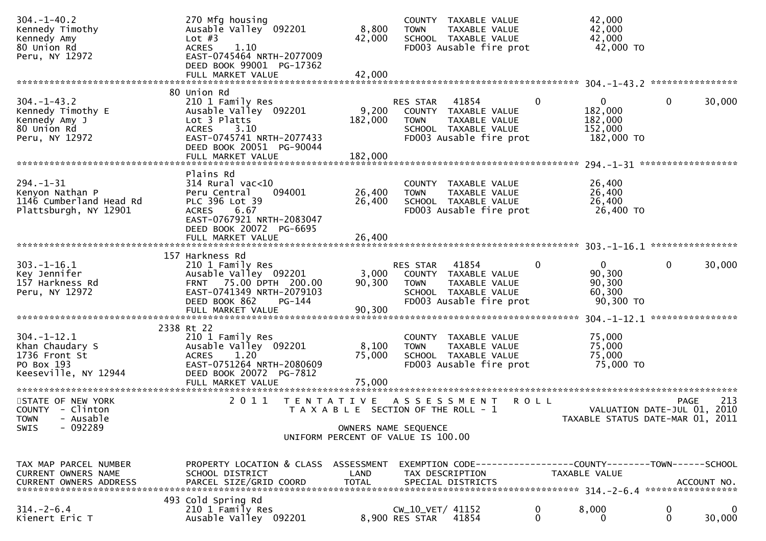| $304. - 1 - 40.2$<br>Kennedy Timothy<br>Kennedy Amy<br>80 Union Rd<br>Peru, NY 12972                                                                                                         | 270 Mfg housing<br>Ausable Valley <sup>O92201</sup><br>Lot $#3$<br>1.10<br><b>ACRES</b><br>EAST-0745464 NRTH-2077009<br>DEED BOOK 99001 PG-17362<br>FULL MARKET VALUE | 8,800<br>42,000<br>42,000                                     | <b>TOWN</b>                        | COUNTY TAXABLE VALUE<br>TAXABLE VALUE<br>SCHOOL TAXABLE VALUE<br>FD003 Ausable fire prot          |              | 42,000<br>42,000<br>42,000<br>42,000 TO                         |                   |             |
|----------------------------------------------------------------------------------------------------------------------------------------------------------------------------------------------|-----------------------------------------------------------------------------------------------------------------------------------------------------------------------|---------------------------------------------------------------|------------------------------------|---------------------------------------------------------------------------------------------------|--------------|-----------------------------------------------------------------|-------------------|-------------|
|                                                                                                                                                                                              |                                                                                                                                                                       |                                                               |                                    |                                                                                                   |              |                                                                 |                   |             |
| $304. - 1 - 43.2$<br>Kennedy Timothy E<br>Kennedy Amy J<br>80 Union Rd<br>Peru, NY 12972                                                                                                     | 80 Union Rd<br>210 1 Family Res<br>Ausable Valley 092201<br>Lot 3 Platts<br>ACRES 3.10<br>EAST-0745741 NRTH-2077433<br>DEED BOOK 20051 PG-90044                       | 9,200<br>182,000                                              | RES STAR<br><b>TOWN</b>            | 41854<br>COUNTY TAXABLE VALUE<br>TAXABLE VALUE<br>SCHOOL TAXABLE VALUE<br>FD003 Ausable fire prot | $\mathbf{0}$ | $\overline{0}$<br>182,000<br>182,000<br>152,000<br>182,000 TO   | $\mathbf 0$       | 30,000      |
|                                                                                                                                                                                              |                                                                                                                                                                       |                                                               |                                    |                                                                                                   |              |                                                                 |                   |             |
| $294. -1 - 31$<br>Kenyon Nathan P<br>1146 Cumberland Head Rd<br>Plattsburgh, NY 12901                                                                                                        | Plains Rd<br>$314$ Rural vac<10<br>Peru Central<br>094001<br>PLC 396 Lot 39<br>6.67<br><b>ACRES</b><br>EAST-0767921 NRTH-2083047<br>DEED BOOK 20072 PG-6695           | 26,400<br>26,400                                              | <b>TOWN</b>                        | COUNTY TAXABLE VALUE<br>TAXABLE VALUE<br>SCHOOL TAXABLE VALUE<br>FD003 Ausable fire prot          |              | 26,400<br>26,400<br>26,400<br>26,400 TO                         |                   |             |
|                                                                                                                                                                                              | FULL MARKET VALUE                                                                                                                                                     | 26,400                                                        |                                    |                                                                                                   |              |                                                                 |                   |             |
|                                                                                                                                                                                              | 157 Harkness Rd                                                                                                                                                       |                                                               |                                    |                                                                                                   |              |                                                                 |                   |             |
| $303. - 1 - 16.1$<br>Key Jennifer<br>157 Harkness Rd<br>Peru, NY 12972                                                                                                                       | 210 1 Family Res<br>Ausable Valley 092201<br>FRNT 75.00 DPTH 200.00<br>EAST-0741349 NRTH-2079103<br>DEED BOOK 862<br>PG-144                                           | 3,000<br>90,300                                               | RES STAR<br><b>TOWN</b>            | 41854<br>COUNTY TAXABLE VALUE<br>TAXABLE VALUE<br>SCHOOL TAXABLE VALUE<br>FD003 Ausable fire prot | 0            | $\overline{0}$<br>90,300<br>90,300<br>60,300<br>90,300 TO       | $\mathbf 0$       | 30,000      |
|                                                                                                                                                                                              | FULL MARKET VALUE                                                                                                                                                     | 90,300                                                        |                                    |                                                                                                   |              |                                                                 |                   |             |
| $304. - 1 - 12.1$<br>Khan Chaudary S<br>1736 Front St<br>PO Box 193<br>Keeseville, NY 12944                                                                                                  | 2338 Rt 22<br>210 1 Family Res<br>Ausable Valley 092201<br>1.20<br><b>ACRES</b><br>EAST-0751264 NRTH-2080609<br>DEED BOOK 20072 PG-7812<br>FULL MARKET VALUE          | 8,100<br>75,000<br>75,000                                     | COUNTY<br><b>TOWN</b>              | TAXABLE VALUE<br>TAXABLE VALUE<br>SCHOOL TAXABLE VALUE<br>FD003 Ausable fire prot                 |              | 75,000<br>75,000<br>75,000<br>75,000 TO                         |                   |             |
| STATE OF NEW YORK<br>COUNTY - Clinton<br>- Ausable<br><b>TOWN</b><br>$-092289$<br>SWIS                                                                                                       | 2011<br>T E N T A T I V E                                                                                                                                             | T A X A B L E SECTION OF THE ROLL - 1<br>OWNERS NAME SEQUENCE |                                    | A S S E S S M E N T                                                                               | <b>ROLL</b>  | VALUATION DATE-JUL 01, 2010<br>TAXABLE STATUS DATE-MAR 01, 2011 | PAGE              | 213         |
|                                                                                                                                                                                              |                                                                                                                                                                       | UNIFORM PERCENT OF VALUE IS 100.00                            |                                    |                                                                                                   |              |                                                                 |                   |             |
| TAX MAP PARCEL NUMBER<br>CURRENT OWNERS NAME<br>.CURRENT OWNERS ADDRESS PARCEL SIZE/GRID COORD TOTAL SPECIAL DISTRICTS MANUST ACCOUNT NO ACCOUNT NO AND A AND MANUST AND A SPECIAL DISTRICTS | PROPERTY LOCATION & CLASS ASSESSMENT<br>SCHOOL DISTRICT                                                                                                               | LAND                                                          | TAX DESCRIPTION                    | EXEMPTION CODE------------------COUNTY--------TOWN------SCHOOL                                    |              | TAXABLE VALUE                                                   |                   |             |
| $314. - 2 - 6.4$<br>Kienert Eric T                                                                                                                                                           | 493 Cold Spring Rd<br>210 1 Family Res<br>Ausable Valley 092201                                                                                                       |                                                               | CW_10_VET/ 41152<br>8,900 RES STAR | 41854                                                                                             | 0<br>0       | 8,000<br>0                                                      | 0<br>$\mathbf{0}$ | 0<br>30,000 |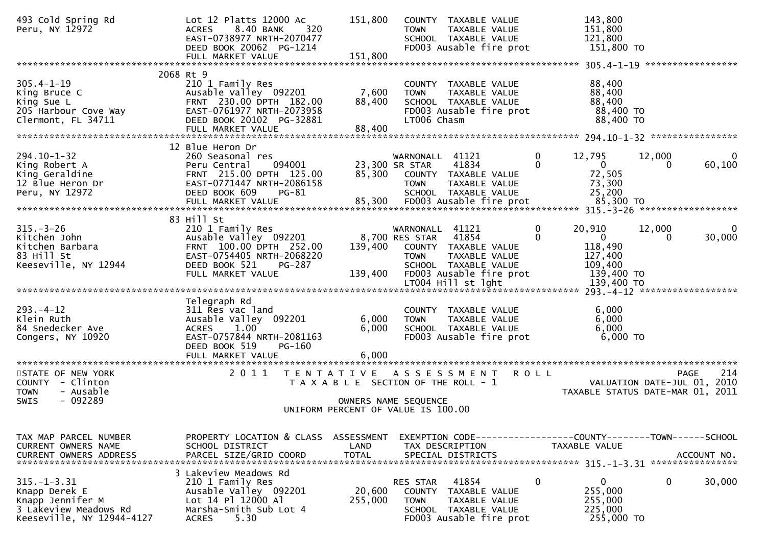| 493 Cold Spring Rd<br>Peru, NY 12972                                                                         | Lot 12 Platts 12000 Ac<br>8.40 BANK<br>320<br><b>ACRES</b><br>EAST-0738977 NRTH-2070477<br>DEED BOOK 20062 PG-1214<br>FULL MARKET VALUE                         | 151,800<br>151,800                 | COUNTY TAXABLE VALUE<br><b>TOWN</b><br>TAXABLE VALUE<br>SCHOOL TAXABLE VALUE<br>FD003 Ausable fire prot                                                   | 143,800<br>151,800<br>121,800<br>151,800 TO                                                                                                                                                                                                         |
|--------------------------------------------------------------------------------------------------------------|-----------------------------------------------------------------------------------------------------------------------------------------------------------------|------------------------------------|-----------------------------------------------------------------------------------------------------------------------------------------------------------|-----------------------------------------------------------------------------------------------------------------------------------------------------------------------------------------------------------------------------------------------------|
| $305.4 - 1 - 19$<br>King Bruce C<br>King Sue L<br>205 Harbour Cove Way<br>Clermont, FL 34711                 | 2068 Rt 9<br>210 1 Family Res<br>Ausable Valley 092201<br>FRNT 230.00 DPTH 182.00<br>EAST-0761977 NRTH-2073958<br>DEED BOOK 20102 PG-32881<br>FULL MARKET VALUE | 7,600<br>88,400<br>88,400          | COUNTY TAXABLE VALUE<br><b>TOWN</b><br>TAXABLE VALUE<br>SCHOOL TAXABLE VALUE<br>FD003 Ausable fire prot<br>LT006 Chasm                                    | 88,400<br>88,400<br>88,400<br>88,400 TO<br>88,400 TO                                                                                                                                                                                                |
| 294.10-1-32<br>King Robert A<br>King Geraldine<br>12 Blue Heron Dr<br>Peru, NY 12972                         | 12 Blue Heron Dr<br>260 Seasonal res<br>Peru Central<br>094001<br>FRNT 215.00 DPTH 125.00<br>EAST-0771447 NRTH-2086158<br>DEED BOOK 609<br>$PG-81$              | 85,300                             | WARNONALL 41121<br>41834<br>23,300 SR STAR<br>COUNTY TAXABLE VALUE<br><b>TOWN</b><br>TAXABLE VALUE<br>SCHOOL TAXABLE VALUE                                | $\mathbf 0$<br>12,795<br>12,000<br>0<br>$\Omega$<br>$\mathbf{0}$<br>60,100<br>0<br>72,505<br>73,300<br>25,200<br>- 2011 2012<br>FULL MARKET VALUE 85,300 FD003 Ausable fire prot 85,300 TO FROM 10 PULL MARKET VALUE 85,300 FD003 Ausable fire prot |
| $315. - 3 - 26$<br>Kitchen John<br>Kitchen Barbara<br>83 Hill St<br>Keeseville, NY 12944                     | 83 Hill St<br>210 1 Family Res<br>Ausable Valley 092201<br>FRNT 100.00 DPTH 252.00<br>EAST-0754405 NRTH-2068220<br>DEED BOOK 521<br>PG-287<br>FULL MARKET VALUE | 139,400<br>139,400                 | WARNONALL 41121<br>8,700 RES STAR 41854<br>COUNTY TAXABLE VALUE<br><b>TOWN</b><br><b>TAXABLE VALUE</b><br>SCHOOL TAXABLE VALUE<br>FD003 Ausable fire prot | $\mathbf 0$<br>20,910<br>12,000<br>0<br>$\mathbf{0}$<br>$\Omega$<br>30,000<br>0<br>118,490<br>127,400<br>109,400<br>139,400 TO                                                                                                                      |
| $293. -4 - 12$<br>Klein Ruth<br>84 Snedecker Ave<br>Congers, NY 10920                                        | Telegraph Rd<br>311 Res vac land<br>Ausable Valley 092201<br>1.00<br><b>ACRES</b><br>EAST-0757844 NRTH-2081163<br>DEED BOOK 519<br>PG-160<br>FULL MARKET VALUE  | 6,000<br>6,000<br>6.000            | COUNTY TAXABLE VALUE<br><b>TOWN</b><br>TAXABLE VALUE<br>SCHOOL TAXABLE VALUE<br>FD003 Ausable fire prot                                                   | 6,000<br>6,000<br>6,000<br>6,000 TO                                                                                                                                                                                                                 |
| STATE OF NEW YORK<br>COUNTY - Clinton<br><b>TOWN</b><br>- Ausable<br>- 092289<br><b>SWIS</b>                 | 2 0 1 1<br>T E N T A T I V E                                                                                                                                    |                                    | A S S E S S M E N T<br>T A X A B L E SECTION OF THE ROLL - 1<br>OWNERS NAME SEQUENCE<br>UNIFORM PERCENT OF VALUE IS 100.00                                | 214<br><b>ROLL</b><br>PAGE<br>VALUATION DATE-JUL 01, 2010<br>TAXABLE STATUS DATE-MAR 01, 2011                                                                                                                                                       |
| TAX MAP PARCEL NUMBER<br>CURRENT OWNERS NAME<br><b>CURRENT OWNERS ADDRESS</b>                                | PROPERTY LOCATION & CLASS<br>SCHOOL DISTRICT<br>PARCEL SIZE/GRID COORD                                                                                          | ASSESSMENT<br>LAND<br><b>TOTAL</b> | TAX DESCRIPTION<br>SPECIAL DISTRICTS                                                                                                                      | EXEMPTION CODE-----------------COUNTY-------TOWN------SCHOOL<br>TAXABLE VALUE<br>ACCOUNT NO.                                                                                                                                                        |
| $315. - 1 - 3.31$<br>Knapp Derek E<br>Knapp Jennifer M<br>3 Lakeview Meadows Rd<br>Keeseville, NY 12944-4127 | 3 Lakeview Meadows Rd<br>210 1 Family Res<br>Ausable Valley 092201<br>Lot 14 Pl 12000 Al<br>Marsha-Smith Sub Lot 4<br><b>ACRES</b><br>5.30                      | 20,600<br>255,000                  | 41854<br>RES STAR<br><b>COUNTY</b><br>TAXABLE VALUE<br><b>TOWN</b><br>TAXABLE VALUE<br>SCHOOL TAXABLE VALUE<br>FD003 Ausable fire prot                    | $\overline{0}$<br>$\mathbf 0$<br>0<br>30,000<br>255,000<br>255,000<br>225,000<br>255,000 TO                                                                                                                                                         |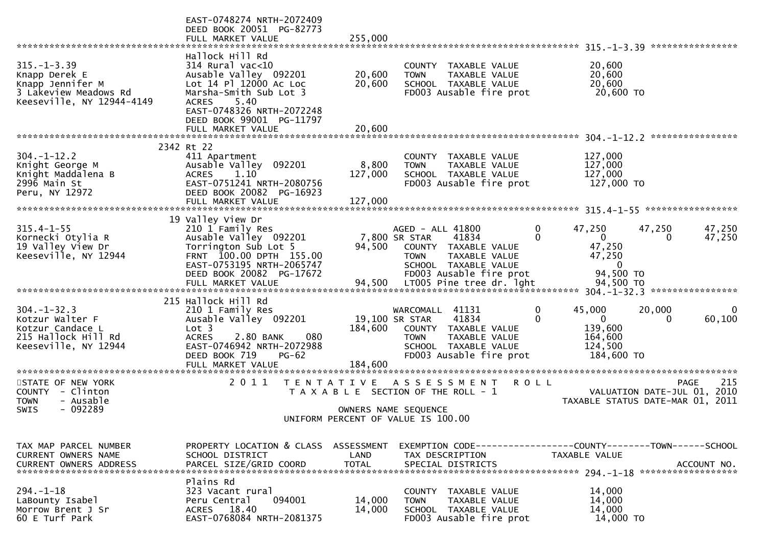| *******************************                                                                              | EAST-0748274 NRTH-2072409<br>DEED BOOK 20051 PG-82773<br>FULL MARKET VALUE                                                                                                                  | 255,000                            |                                                                                                                                                                                   |                                                                                                                                            |
|--------------------------------------------------------------------------------------------------------------|---------------------------------------------------------------------------------------------------------------------------------------------------------------------------------------------|------------------------------------|-----------------------------------------------------------------------------------------------------------------------------------------------------------------------------------|--------------------------------------------------------------------------------------------------------------------------------------------|
| $315. - 1 - 3.39$<br>Knapp Derek E<br>Knapp Jennifer M<br>3 Lakeview Meadows Rd<br>Keeseville, NY 12944-4149 | Hallock Hill Rd<br>$314$ Rural vac<10<br>Ausable Valley 092201<br>Lot 14 Pl 12000 Ac Loc<br>Marsha-Smith Sub Lot 3<br><b>ACRES</b><br>5.40<br>EAST-0748326 NRTH-2072248                     | 20,600<br>20,600                   | COUNTY TAXABLE VALUE<br>TAXABLE VALUE<br><b>TOWN</b><br>SCHOOL TAXABLE VALUE<br>FD003 Ausable fire prot                                                                           | 20,600<br>20,600<br>20,600<br>20,600 TO                                                                                                    |
|                                                                                                              | DEED BOOK 99001 PG-11797                                                                                                                                                                    |                                    |                                                                                                                                                                                   | ****************                                                                                                                           |
|                                                                                                              | 2342 Rt 22                                                                                                                                                                                  |                                    |                                                                                                                                                                                   |                                                                                                                                            |
| $304. - 1 - 12.2$<br>Knight George M<br>Knight Maddalena B<br>2996 Main St<br>Peru, NY 12972                 | 411 Apartment<br>Ausable Valley 092201<br>1.10<br><b>ACRES</b><br>EAST-0751241 NRTH-2080756<br>DEED BOOK 20082 PG-16923<br>FULL MARKET VALUE                                                | 8,800<br>127,000<br>127,000        | COUNTY TAXABLE VALUE<br>TAXABLE VALUE<br><b>TOWN</b><br>SCHOOL TAXABLE VALUE<br>FD003 Ausable fire prot                                                                           | 127,000<br>127,000<br>127,000<br>127,000 TO                                                                                                |
|                                                                                                              | 19 Valley View Dr                                                                                                                                                                           |                                    |                                                                                                                                                                                   |                                                                                                                                            |
| $315.4 - 1 - 55$<br>Kornecki Otylia R<br>19 Valley View Dr<br>Keeseville, NY 12944                           | 210 1 Family Res<br>Ausable Valley 092201<br>Torrington Sub Lot 5<br>FRNT 100.00 DPTH 155.00<br>EAST-0753195 NRTH-2065747<br>DEED BOOK 20082 PG-17672<br>FULL MARKET VALUE                  | 94,500<br>94,500                   | AGED - ALL 41800<br>7,800 SR STAR<br>41834<br>COUNTY TAXABLE VALUE<br>TAXABLE VALUE<br><b>TOWN</b><br>SCHOOL TAXABLE VALUE<br>FD003 Ausable fire prot<br>LT005 Pine tree dr. lght | 47,250<br>47,250<br>47,250<br>0<br>0<br>$\overline{0}$<br>47,250<br>$\Omega$<br>47,250<br>47,250<br>$\mathbf{0}$<br>94,500 TO<br>94,500 TO |
|                                                                                                              |                                                                                                                                                                                             |                                    |                                                                                                                                                                                   |                                                                                                                                            |
| $304. - 1 - 32.3$<br>Kotzur Walter F<br>Kotzur Candace L<br>215 Hallock Hill Rd<br>Keeseville, NY 12944      | 215 Hallock Hill Rd<br>210 1 Family Res<br>Ausable Valley 092201<br>Lot 3<br><b>ACRES</b><br>2.80 BANK<br>080<br>EAST-0746942 NRTH-2072988<br>DEED BOOK 719<br>$PG-62$<br>FULL MARKET VALUE | 184,600<br>184,600                 | WARCOMALL<br>41131<br>19,100 SR STAR<br>41834<br>COUNTY TAXABLE VALUE<br>TAXABLE VALUE<br><b>TOWN</b><br>SCHOOL TAXABLE VALUE<br>FD003 Ausable fire prot                          | 45,000<br>20,000<br>0<br>0<br>60,100<br>0<br>0<br>139,600<br>164,600<br>124,500<br>184,600 TO                                              |
| ********************                                                                                         | *******************                                                                                                                                                                         |                                    |                                                                                                                                                                                   |                                                                                                                                            |
| STATE OF NEW YORK<br>COUNTY - Clinton<br>- Ausable<br>TOWN<br>- 092289<br><b>SWIS</b>                        | 2011                                                                                                                                                                                        | T E N T A T I V E                  | A S S E S S M E N T<br>T A X A B L E SECTION OF THE ROLL - 1<br>OWNERS NAME SEQUENCE                                                                                              | 215<br><b>ROLL</b><br><b>PAGE</b><br>2010<br>VALUATION DATE-JUL 01,<br>TAXABLE STATUS DATE-MAR 01, 2011                                    |
|                                                                                                              |                                                                                                                                                                                             |                                    | UNIFORM PERCENT OF VALUE IS 100.00                                                                                                                                                |                                                                                                                                            |
| TAX MAP PARCEL NUMBER<br>CURRENT OWNERS NAME<br><b>CURRENT OWNERS ADDRESS</b>                                | PROPERTY LOCATION & CLASS<br>SCHOOL DISTRICT<br>PARCEL SIZE/GRID COORD                                                                                                                      | ASSESSMENT<br>LAND<br><b>TOTAL</b> | TAX DESCRIPTION<br>SPECIAL DISTRICTS                                                                                                                                              | EXEMPTION CODE-----------------COUNTY-------TOWN------SCHOOL<br><b>TAXABLE VALUE</b><br>ACCOUNT NO.                                        |
| $294. - 1 - 18$<br>LaBounty Isabel<br>Morrow Brent J Sr<br>60 E Turf Park                                    | Plains Rd<br>323 Vacant rural<br>094001<br>Peru Central<br>ACRES 18.40<br>EAST-0768084 NRTH-2081375                                                                                         | 14,000<br>14,000                   | COUNTY TAXABLE VALUE<br><b>TOWN</b><br><b>TAXABLE VALUE</b><br>SCHOOL TAXABLE VALUE<br>FD003 Ausable fire prot                                                                    | 14,000<br>14,000<br>14,000<br>14,000 TO                                                                                                    |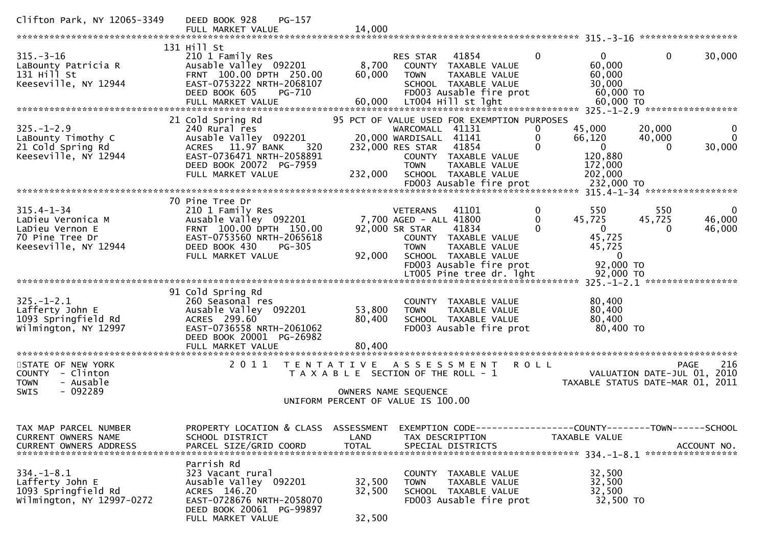| Clifton Park, NY 12065-3349                                                                                                                                                         | DEED BOOK 928<br>PG-157<br>FULL MARKET VALUE                                                                                                                                                                                    | 14,000                                                           |                                                                                                                                                                                                                                       |                                                                                                           | ******************                                                                                                  |
|-------------------------------------------------------------------------------------------------------------------------------------------------------------------------------------|---------------------------------------------------------------------------------------------------------------------------------------------------------------------------------------------------------------------------------|------------------------------------------------------------------|---------------------------------------------------------------------------------------------------------------------------------------------------------------------------------------------------------------------------------------|-----------------------------------------------------------------------------------------------------------|---------------------------------------------------------------------------------------------------------------------|
| $315. - 3 - 16$<br>LaBounty Patricia R<br>$131$ Hill St<br>Keeseville, NY 12944                                                                                                     | 131 Hill St<br>210 1 Family Res<br>Ausable Valley 092201<br>FRNT 100.00 DPTH 250.00<br>EAST-0753222 NRTH-2068107<br>DEED BOOK 605<br>PG-710<br>FULL MARKET VALUE                                                                | 8,700<br>60,000<br>60.000                                        | 41854<br><b>RES STAR</b><br>COUNTY TAXABLE VALUE<br><b>TOWN</b><br>TAXABLE VALUE<br>SCHOOL TAXABLE VALUE<br>FD003 Ausable fire prot<br>LT004 Hill st lght                                                                             | $\mathbf{0}$<br>$\mathbf{0}$<br>60,000<br>60,000<br>30,000<br>60,000 TO<br>60,000 TO                      | $\mathbf 0$<br>30,000<br>325. -1-2.9 ******************                                                             |
| $325. - 1 - 2.9$<br>LaBounty Timothy C<br>21 Cold Spring Rd<br>Keeseville, NY 12944                                                                                                 | 21 Cold Spring Rd<br>240 Rural res<br>Ausable Valley 092201<br>11.97 BANK<br>320<br><b>ACRES</b><br>EAST-0736471 NRTH-2058891<br>DEED BOOK 20072 PG-7959<br>FULL MARKET VALUE                                                   | 232,000                                                          | 95 PCT OF VALUE USED FOR EXEMPTION PURPOSES<br>WARCOMALL<br>41131<br>20,000 WARDISALL 41141<br>232,000 RES STAR<br>41854<br>COUNTY TAXABLE VALUE<br>TAXABLE VALUE<br><b>TOWN</b><br>SCHOOL TAXABLE VALUE                              | 45,000<br>0<br>0<br>66,120<br>$\Omega$<br>$\mathbf 0$<br>120,880<br>172,000<br>202,000                    | 20,000<br>0<br>$\Omega$<br>40,000<br>30,000<br>$\Omega$                                                             |
| $315.4 - 1 - 34$<br>LaDieu Veronica M<br>LaDieu Vernon E<br>70 Pine Tree Dr<br>Keeseville, NY 12944                                                                                 | 70 Pine Tree Dr<br>210 1 Family Res<br>Ausable Valley 092201<br>FRNT 100.00 DPTH 150.00<br>EAST-0753560 NRTH-2065618<br>DEED BOOK 430<br>PG-305<br>FULL MARKET VALUE                                                            | 92,000                                                           | 41101<br><b>VETERANS</b><br>7,700 AGED - ALL 41800<br>92,000 SR STAR<br>41834<br>COUNTY TAXABLE VALUE<br><b>TOWN</b><br>TAXABLE VALUE<br>SCHOOL TAXABLE VALUE<br>FD003 Ausable fire prot<br>LT005 Pine tree dr. lght                  | 550<br>0<br>0<br>45,725<br>$\Omega$<br>$\Omega$<br>45,725<br>45,725<br>$\Omega$<br>92,000 TO<br>92,000 TO | 550<br>0<br>45,725<br>46,000<br>46,000<br>$\Omega$                                                                  |
| $325. - 1 - 2.1$<br>Lafferty John E<br>1093 Springfield Rd<br>Wilmington, NY 12997<br>STATE OF NEW YORK<br>COUNTY - Clinton<br><b>TOWN</b><br>- Ausable<br>$-092289$<br><b>SWIS</b> | 91 Cold Spring Rd<br>260 Seasonal res<br>Ausable Valley 092201<br>ACRES 299.60<br>EAST-0736558 NRTH-2061062<br>DEED BOOK 20001 PG-26982<br>FULL MARKET VALUE<br>2011                                                            | 53,800<br>80,400<br>80,400<br>T E N T A T I V E                  | COUNTY TAXABLE VALUE<br><b>TOWN</b><br>TAXABLE VALUE<br>SCHOOL TAXABLE VALUE<br>FD003 Ausable fire prot<br>A S S E S S M E N T<br>T A X A B L E SECTION OF THE ROLL - 1<br>OWNERS NAME SEQUENCE<br>UNIFORM PERCENT OF VALUE IS 100.00 | 80,400<br>80,400<br>80,400<br>80,400 TO<br><b>ROLL</b>                                                    | 325. -1-2.1 ******************<br>216<br>PAGE<br>2010<br>VALUATION DATE-JUL 01,<br>TAXABLE STATUS DATE-MAR 01, 2011 |
| TAX MAP PARCEL NUMBER<br>CURRENT OWNERS NAME<br><b>CURRENT OWNERS ADDRESS</b><br>$334. - 1 - 8.1$<br>Lafferty John E<br>1093 Springfield Rd<br>Wilmington, NY 12997-0272            | PROPERTY LOCATION & CLASS<br>SCHOOL DISTRICT<br>PARCEL SIZE/GRID COORD<br>Parrish Rd<br>323 Vacant rural<br>Ausable Valley 092201<br>ACRES 146.20<br>EAST-0728676 NRTH-2058070<br>DEED BOOK 20061 PG-99897<br>FULL MARKET VALUE | ASSESSMENT<br>LAND<br><b>TOTAL</b><br>32,500<br>32,500<br>32,500 | EXEMPTION CODE-----------------COUNTY-------TOWN------SCHOOL<br>TAX DESCRIPTION<br>SPECIAL DISTRICTS<br>COUNTY TAXABLE VALUE<br>TAXABLE VALUE<br><b>TOWN</b><br>SCHOOL TAXABLE VALUE<br>FD003 Ausable fire prot                       | TAXABLE VALUE<br>32,500<br>32,500<br>32,500<br>32,500 TO                                                  | ACCOUNT NO.                                                                                                         |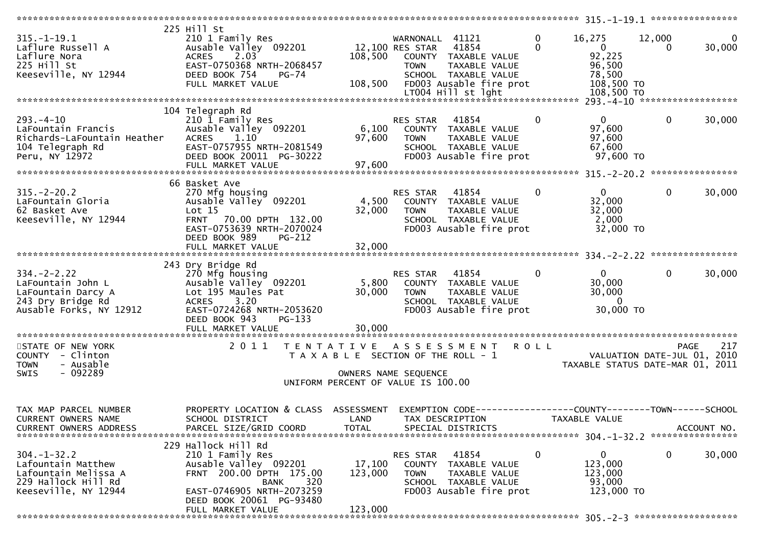| $315. - 1 - 19.1$<br>Laflure Russell A                                                                        | 225 Hill St<br>210 1 Family Res<br>Ausable Valley 092201                                                                                                                   |                                       | WARNONALL 41121<br>12,100 RES STAR 41854        |                                                                                                      | $\mathbf{0}$<br>$\Omega$ | 16,275<br>$\overline{0}$                                          | 12,000<br>$\Omega$ | $\overline{0}$<br>30,000 |
|---------------------------------------------------------------------------------------------------------------|----------------------------------------------------------------------------------------------------------------------------------------------------------------------------|---------------------------------------|-------------------------------------------------|------------------------------------------------------------------------------------------------------|--------------------------|-------------------------------------------------------------------|--------------------|--------------------------|
| Laflure Nora<br>225 Hill St<br>Keeseville, NY 12944                                                           | 2.03<br><b>ACRES</b><br>EAST-0750368 NRTH-2068457<br>DEED BOOK 754<br><b>PG-74</b>                                                                                         | 108,500                               | <b>TOWN</b>                                     | COUNTY TAXABLE VALUE<br>TAXABLE VALUE<br>SCHOOL TAXABLE VALUE                                        |                          | 92,225<br>96,500<br>78,500                                        |                    |                          |
|                                                                                                               | FULL MARKET VALUE                                                                                                                                                          | 108,500                               |                                                 | FD003 Ausable fire prot<br>LT004 Hill st lght                                                        |                          | 108,500 TO<br>108,500 TO                                          |                    |                          |
|                                                                                                               | 104 Telegraph Rd                                                                                                                                                           |                                       |                                                 |                                                                                                      |                          |                                                                   |                    |                          |
| $293. -4 - 10$<br>LaFountain Francis<br>Richards-LaFountain Heather<br>104 Telegraph Rd                       | 210 1 Family Res<br>Ausable Valley 092201<br><b>ACRES</b><br>1.10<br>EAST-0757955 NRTH-2081549                                                                             | 6,100<br>97,600                       | RES STAR<br><b>TOWN</b>                         | 41854<br>COUNTY TAXABLE VALUE<br>TAXABLE VALUE<br>SCHOOL TAXABLE VALUE                               | $\mathbf{0}$             | $\mathbf{0}$<br>97,600<br>97,600<br>67,600                        | $\mathbf 0$        | 30,000                   |
| Peru, NY 12972                                                                                                | DEED BOOK 20011 PG-30222                                                                                                                                                   | 97,600                                |                                                 | FD003 Ausable fire prot                                                                              |                          | 97,600 TO                                                         |                    |                          |
|                                                                                                               |                                                                                                                                                                            |                                       |                                                 |                                                                                                      |                          |                                                                   |                    |                          |
| $315. - 2 - 20.2$<br>LaFountain Gloria<br>62 Basket Ave<br>Keeseville, NY 12944                               | 66 Basket Ave<br>270 Mfg housing<br>Ausable Valley 092201<br>Lot 15<br>70.00 DPTH 132.00<br><b>FRNT</b><br>EAST-0753639 NRTH-2070024                                       | 4,500<br>32,000                       | RES STAR<br><b>TOWN</b>                         | 41854<br>COUNTY TAXABLE VALUE<br>TAXABLE VALUE<br>SCHOOL TAXABLE VALUE<br>FD003 Ausable fire prot    | $\mathbf{0}$             | $\overline{0}$<br>32,000<br>32,000<br>2,000<br>32,000 TO          | $\mathbf{0}$       | 30,000                   |
|                                                                                                               | DEED BOOK 989<br>PG-212<br>FULL MARKET VALUE                                                                                                                               | 32,000                                |                                                 |                                                                                                      |                          |                                                                   |                    |                          |
|                                                                                                               |                                                                                                                                                                            |                                       |                                                 |                                                                                                      |                          |                                                                   |                    |                          |
|                                                                                                               | 243 Dry Bridge Rd                                                                                                                                                          |                                       |                                                 |                                                                                                      |                          |                                                                   |                    |                          |
| $334. - 2 - 2.22$<br>LaFountain John L<br>LaFountain Darcy A<br>243 Dry Bridge Rd<br>Ausable Forks, NY 12912  | 270 Mfg housing<br>Ausable Valley 092201<br>Lot 195 Maules Pat<br>3.20<br><b>ACRES</b><br>EAST-0724268 NRTH-2053620<br>DEED BOOK 943<br>PG-133                             | 5,800<br>30,000                       | RES STAR<br><b>TOWN</b>                         | 41854<br>COUNTY TAXABLE VALUE<br>TAXABLE VALUE<br>SCHOOL TAXABLE VALUE<br>FD003 Ausable fire prot    | $\mathbf{0}$             | $\overline{0}$<br>30,000<br>30,000<br>$\overline{0}$<br>30,000 TO | $\mathbf{0}$       | 30,000                   |
|                                                                                                               | FULL MARKET VALUE                                                                                                                                                          | 30,000                                |                                                 |                                                                                                      |                          |                                                                   |                    |                          |
|                                                                                                               |                                                                                                                                                                            |                                       |                                                 |                                                                                                      |                          |                                                                   |                    |                          |
| STATE OF NEW YORK<br>COUNTY - Clinton<br>- Ausable<br><b>TOWN</b>                                             | 2011 TENTATIVE ASSESSMENT                                                                                                                                                  | T A X A B L E SECTION OF THE ROLL - 1 |                                                 |                                                                                                      | <b>ROLL</b>              | VALUATION DATE-JUL 01, 2010<br>TAXABLE STATUS DATE-MAR 01, 2011   | <b>PAGE</b>        | 217                      |
| - 092289<br><b>SWIS</b>                                                                                       |                                                                                                                                                                            |                                       | OWNERS NAME SEQUENCE                            |                                                                                                      |                          |                                                                   |                    |                          |
|                                                                                                               |                                                                                                                                                                            | UNIFORM PERCENT OF VALUE IS 100.00    |                                                 |                                                                                                      |                          |                                                                   |                    |                          |
|                                                                                                               |                                                                                                                                                                            |                                       |                                                 |                                                                                                      |                          |                                                                   |                    |                          |
| TAX MAP PARCEL NUMBER<br>CURRENT OWNERS NAME<br><b>CURRENT OWNERS ADDRESS</b>                                 | PROPERTY LOCATION & CLASS<br>SCHOOL DISTRICT<br>PARCEL SIZE/GRID COORD                                                                                                     | ASSESSMENT<br>LAND<br><b>TOTAL</b>    |                                                 | EXEMPTION CODE-----------------COUNTY-------TOWN------SCHOOL<br>TAX DESCRIPTION<br>SPECIAL DISTRICTS |                          | TAXABLE VALUE                                                     |                    | ACCOUNT NO.              |
|                                                                                                               |                                                                                                                                                                            |                                       |                                                 |                                                                                                      |                          |                                                                   |                    |                          |
| $304 - 1 - 32.2$<br>Lafountain Matthew<br>Lafountain Melissa A<br>229 Hallock Hill Rd<br>Keeseville, NY 12944 | 229 Hallock Hill Rd<br>210 1 Family Res<br>Ausable Valley 092201<br>FRNT 200.00 DPTH 175.00<br>320<br><b>BANK</b><br>EAST-0746905 NRTH-2073259<br>DEED BOOK 20061 PG-93480 | 17,100<br>123,000                     | <b>RES STAR</b><br><b>COUNTY</b><br><b>TOWN</b> | 41854<br>TAXABLE VALUE<br>TAXABLE VALUE<br>SCHOOL TAXABLE VALUE<br>FD003 Ausable fire prot           | 0                        | 0<br>123,000<br>123,000<br>93,000<br>123,000 TO                   | 0                  | 30,000                   |
|                                                                                                               | FULL MARKET VALUE                                                                                                                                                          | 123,000                               |                                                 |                                                                                                      |                          |                                                                   |                    |                          |
|                                                                                                               |                                                                                                                                                                            |                                       |                                                 |                                                                                                      |                          |                                                                   |                    |                          |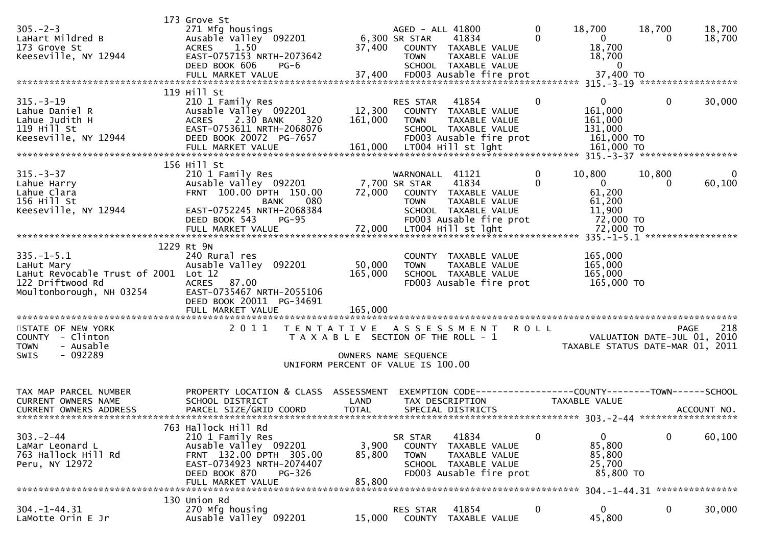|                                                                                                                        | 173 Grove St                                                                                                                                                             |                                       |                                                  |                                                                                                          |                             |                                                               |                                            |                  |
|------------------------------------------------------------------------------------------------------------------------|--------------------------------------------------------------------------------------------------------------------------------------------------------------------------|---------------------------------------|--------------------------------------------------|----------------------------------------------------------------------------------------------------------|-----------------------------|---------------------------------------------------------------|--------------------------------------------|------------------|
| $305. -2 - 3$<br>LaHart Mildred B<br>173 Grove St<br>Keeseville, NY 12944                                              | 271 Mfg housings<br>271 Mfg housings<br>Ausable Valley 092201<br>ACRES 1.50<br>EAST-0757153 NRTH-2073642<br>DEED BOOK 606                                                |                                       | AGED - ALL 41800<br>6,300 SR STAR<br><b>TOWN</b> | 41834<br>37,400 COUNTY TAXABLE VALUE<br>TAXABLE VALUE                                                    | $\mathbf 0$<br>$\mathbf{0}$ | 18,700<br>$\overline{0}$<br>18,700<br>18,700                  | 18,700<br>$\bf{0}$                         | 18,700<br>18,700 |
|                                                                                                                        | PG-6                                                                                                                                                                     |                                       |                                                  | SCHOOL TAXABLE VALUE                                                                                     |                             | $\bf{0}$                                                      |                                            |                  |
| $315. - 3 - 19$<br>Lahue Daniel R<br>Lahue Judith H<br>119 Hill St<br>Keeseville, NY 12944                             | 119 Hill St<br>210 1 Family Res<br>Ausable Valley 092201<br>2.30 BANK<br><b>ACRES</b><br>320<br>EAST-0753611 NRTH-2068076<br>DEED BOOK 20072 PG-7657                     | 161,000                               | RES STAR<br><b>TOWN</b>                          | 41854<br>12,300 COUNTY TAXABLE VALUE<br>TAXABLE VALUE<br>SCHOOL TAXABLE VALUE<br>FD003 Ausable fire prot | $\mathbf 0$                 | $\overline{0}$<br>161,000<br>161,000<br>131,000<br>161,000 TO | $\bf{0}$                                   | 30,000           |
|                                                                                                                        | 156 Hill St                                                                                                                                                              |                                       |                                                  |                                                                                                          |                             |                                                               |                                            |                  |
| $315. - 3 - 37$<br>Lahue Harry<br>Lahue Clara<br>156 Hill St<br>Keeseville, NY 12944                                   | 210 1 Family Res<br>Ausable Valley 092201 7,700 SR STAR<br>FRNT 100.00 DPTH 150.00<br>BANK<br>080<br>EAST-0752245 NRTH-2068384                                           |                                       | WARNONALL 41121<br><b>TOWN</b>                   | 41834<br>72,000 COUNTY TAXABLE VALUE<br>TAXABLE VALUE<br>SCHOOL TAXABLE VALUE                            | $\mathbf{0}$<br>$\Omega$    | 10,800<br>$\overline{0}$<br>61,200<br>61,200<br>11,900        | 10,800                                     | 0<br>60,100      |
|                                                                                                                        | $PG-95$<br>DEED BOOK 543                                                                                                                                                 |                                       |                                                  | FD003 Ausable fire prot                                                                                  |                             | 72,000 TO                                                     |                                            |                  |
|                                                                                                                        | 1229 Rt 9N                                                                                                                                                               |                                       |                                                  |                                                                                                          |                             |                                                               |                                            |                  |
| $335. - 1 - 5.1$<br>LaHut Mary<br>LaHut Revocable Trust of 2001 Lot 12<br>122 Driftwood Rd<br>Moultonborough, NH 03254 | 240 Rural res<br>Ausable Valley 092201<br>ACRES 87.00<br>EAST-0735467 NRTH-2055106<br>DEED BOOK 20011 PG-34691                                                           | 50,000<br>165,000                     | <b>TOWN</b>                                      | COUNTY TAXABLE VALUE<br>TAXABLE VALUE<br>SCHOOL TAXABLE VALUE<br>FD003 Ausable fire prot                 |                             | 165,000<br>165,000<br>165,000<br>165,000 TO                   |                                            |                  |
|                                                                                                                        |                                                                                                                                                                          |                                       |                                                  |                                                                                                          |                             |                                                               |                                            |                  |
| STATE OF NEW YORK<br>COUNTY - Clinton<br><b>TOWN</b><br>- Ausable<br>- 092289<br>SWIS                                  | 2011                                                                                                                                                                     | T A X A B L E SECTION OF THE ROLL - 1 | OWNERS NAME SEQUENCE                             | TENTATIVE ASSESSMENT ROLL                                                                                |                             | TAXABLE STATUS DATE-MAR 01, 2011                              | <b>PAGE</b><br>VALUATION DATE-JUL 01, 2010 | 218              |
|                                                                                                                        |                                                                                                                                                                          | UNIFORM PERCENT OF VALUE IS 100.00    |                                                  |                                                                                                          |                             |                                                               |                                            |                  |
| TAX MAP PARCEL NUMBER<br><b>CURRENT OWNERS NAME</b><br><b>CURRENT OWNERS ADDRESS</b>                                   | PROPERTY LOCATION & CLASS ASSESSMENT<br>SCHOOL DISTRICT<br>PARCEL SIZE/GRID COORD                                                                                        | LAND<br><b>TOTAL</b>                  |                                                  | EXEMPTION CODE-----------------COUNTY-------TOWN------SCHOOL<br>TAX DESCRIPTION<br>SPECIAL DISTRICTS     |                             | TAXABLE VALUE                                                 |                                            | ACCOUNT NO.      |
| $303 - 2 - 44$<br>LaMar Leonard L<br>763 Hallock Hill Rd<br>Peru, NY 12972                                             | 763 Hallock Hill Rd<br>210 1 Family Res<br>Ausable Valley 092201<br>FRNT 132.00 DPTH 305.00<br>EAST-0734923 NRTH-2074407<br>DEED BOOK 870<br>PG-326<br>FULL MARKET VALUE | 3,900<br>85,800<br>85,800             | SR STAR<br>COUNTY<br><b>TOWN</b>                 | 41834<br>TAXABLE VALUE<br>TAXABLE VALUE<br>SCHOOL TAXABLE VALUE<br>FD003 Ausable fire prot               | 0                           | $\overline{0}$<br>85,800<br>85,800<br>25,700<br>85,800 TO     | 0                                          | 60,100           |
|                                                                                                                        | 130 Union Rd                                                                                                                                                             |                                       |                                                  |                                                                                                          |                             |                                                               |                                            |                  |
| $304. - 1 - 44.31$<br>LaMotte Orin E Jr                                                                                | 270 Mfg housing<br>Ausable Valley 092201                                                                                                                                 | 15,000                                | RES STAR<br><b>COUNTY</b>                        | 41854<br>TAXABLE VALUE                                                                                   | $\bf{0}$                    | $\mathbf{0}$<br>45,800                                        | 0                                          | 30,000           |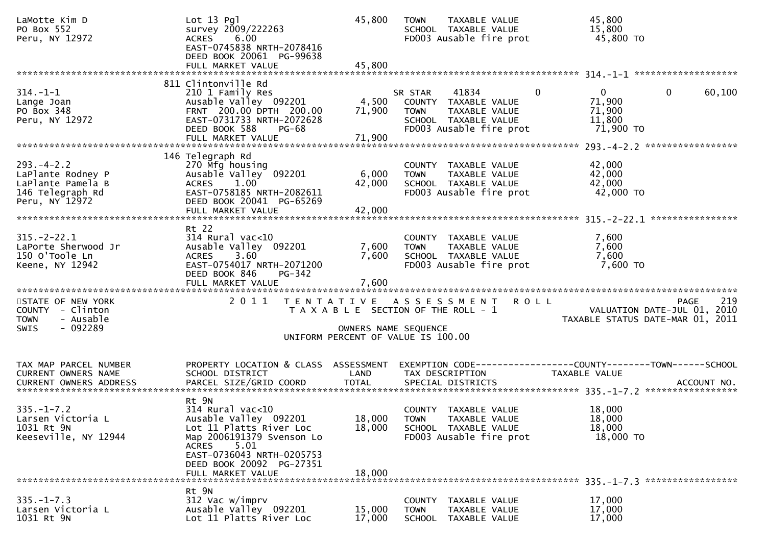| LaMotte Kim D<br>PO Box 552<br>Peru, NY 12972                                                   | $Lot 13$ $Pq$ ]<br>survey 2009/222263<br>ACRES 6.00<br>EAST-0745838 NRTH-2078416<br>DEED BOOK 20061 PG-99638<br>FULL MARKET VALUE                                                                           | 45,800<br>45,800                                                                                    | <b>TOWN</b>            | TAXABLE VALUE<br>SCHOOL TAXABLE VALUE<br>FD003 Ausable fire prot                                  |                | 45,800<br>15,800<br>45,800 TO                                   |                          |     |
|-------------------------------------------------------------------------------------------------|-------------------------------------------------------------------------------------------------------------------------------------------------------------------------------------------------------------|-----------------------------------------------------------------------------------------------------|------------------------|---------------------------------------------------------------------------------------------------|----------------|-----------------------------------------------------------------|--------------------------|-----|
|                                                                                                 |                                                                                                                                                                                                             |                                                                                                     |                        |                                                                                                   |                |                                                                 |                          |     |
| $314. - 1 - 1$<br>Lange Joan<br>PO Box 348<br>Peru, NY 12972                                    | 811 Clintonville Rd<br>210 1 Family Res<br>Ausable Valley 092201<br>FRNT 200.00 DPTH 200.00<br>EAST-0731733 NRTH-2072628<br>DEED BOOK 588<br>PG-68<br>FULL MARKET VALUE                                     | 4,500<br>71,900<br>71,900                                                                           | SR STAR<br><b>TOWN</b> | 41834<br>COUNTY TAXABLE VALUE<br>TAXABLE VALUE<br>SCHOOL TAXABLE VALUE<br>FD003 Ausable fire prot | $\overline{0}$ | $\mathbf{0}$<br>71,900<br>71,900<br>11,800<br>71,900 TO         | $\overline{0}$<br>60,100 |     |
|                                                                                                 |                                                                                                                                                                                                             |                                                                                                     |                        |                                                                                                   |                |                                                                 |                          |     |
| $293. -4 - 2.2$<br>LaPlante Rodney P<br>LaPlante Pamela B<br>146 Telegraph Rd<br>Peru, NY 12972 | 146 Telegraph Rd<br>270 Mfg housing<br>Ausable Valley 092201<br>ACRES 1.00<br>EAST-0758185 NRTH-2082611<br>DEED BOOK 20041 PG-65269<br>FULL MARKET VALUE                                                    | 6,000<br>42,000<br>42,000                                                                           | <b>TOWN</b>            | COUNTY TAXABLE VALUE<br>TAXABLE VALUE<br>SCHOOL TAXABLE VALUE<br>FD003 Ausable fire prot          |                | 42,000<br>42,000<br>42,000<br>42,000 TO                         |                          |     |
|                                                                                                 |                                                                                                                                                                                                             |                                                                                                     |                        |                                                                                                   |                |                                                                 |                          |     |
| $315. - 2 - 22.1$<br>LaPorte Sherwood Jr<br>150 O'Toole Ln<br>Keene, NY 12942                   | Rt 22<br>314 Rural vac<10<br>Ausable Valley 092201<br>3.60<br>ACRES<br>EAST-0754017 NRTH-2071200<br>PG-342<br>DEED BOOK 846                                                                                 | 7,600<br>7,600<br>7,600                                                                             | <b>TOWN</b>            | COUNTY TAXABLE VALUE<br>TAXABLE VALUE<br>SCHOOL TAXABLE VALUE<br>FD003 Ausable fire prot          |                | 7,600<br>7,600<br>7,600<br>7,600 TO                             |                          |     |
|                                                                                                 |                                                                                                                                                                                                             |                                                                                                     |                        |                                                                                                   |                |                                                                 |                          |     |
| STATE OF NEW YORK<br>COUNTY - Clinton<br>- Ausable<br><b>TOWN</b><br>$-092289$<br><b>SWIS</b>   | 2011 TENTATIVE ASSESSMENT                                                                                                                                                                                   | T A X A B L E SECTION OF THE ROLL - 1<br>OWNERS NAME SEQUENCE<br>UNIFORM PERCENT OF VALUE IS 100.00 |                        |                                                                                                   | ROLL           | VALUATION DATE-JUL 01, 2010<br>TAXABLE STATUS DATE-MAR 01, 2011 | PAGE                     | 219 |
|                                                                                                 | PROPERTY LOCATION & CLASS ASSESSMENT                                                                                                                                                                        |                                                                                                     |                        |                                                                                                   |                |                                                                 |                          |     |
| TAX MAP PARCEL NUMBER<br>CURRENT OWNERS NAME                                                    | SCHOOL DISTRICT                                                                                                                                                                                             | LAND                                                                                                |                        | TAX DESCRIPTION                                                                                   |                | TAXABLE VALUE                                                   |                          |     |
| <b>CURRENT OWNERS ADDRESS</b>                                                                   | PARCEL SIZE/GRID COORD                                                                                                                                                                                      | <b>TOTAL</b>                                                                                        |                        | SPECIAL DISTRICTS                                                                                 |                |                                                                 | ACCOUNT NO.              |     |
| $335. - 1 - 7.2$<br>Larsen Victoria L<br>1031 Rt 9N<br>Keeseville, NY 12944                     | Rt 9N<br>$314$ Rural vac<10<br>Ausable Valley 092201<br>Lot 11 Platts River Loc<br>Map 2006191379 Svenson Lo<br>ACRES<br>5.01<br>EAST-0736043 NRTH-0205753<br>DEED BOOK 20092 PG-27351<br>FULL MARKET VALUE | 18,000<br>18,000                                                                                    | 18,000 TOWN            | COUNTY TAXABLE VALUE<br>TAXABLE VALUE<br>SCHOOL TAXABLE VALUE<br>FD003 Ausable fire prot          |                | 18,000<br>18,000<br>18,000<br>18,000 TO                         |                          |     |
|                                                                                                 | Rt 9N                                                                                                                                                                                                       |                                                                                                     |                        |                                                                                                   |                |                                                                 |                          |     |
| $335. - 1 - 7.3$<br>Larsen Victoria L<br>1031 Rt 9N                                             | 312 Vac w/imprv<br>Ausable Valley 092201<br>Lot 11 Platts River Loc                                                                                                                                         | 15,000<br>17,000                                                                                    | <b>TOWN</b>            | COUNTY TAXABLE VALUE<br>TAXABLE VALUE<br>SCHOOL TAXABLE VALUE                                     |                | 17,000<br>17,000<br>17,000                                      |                          |     |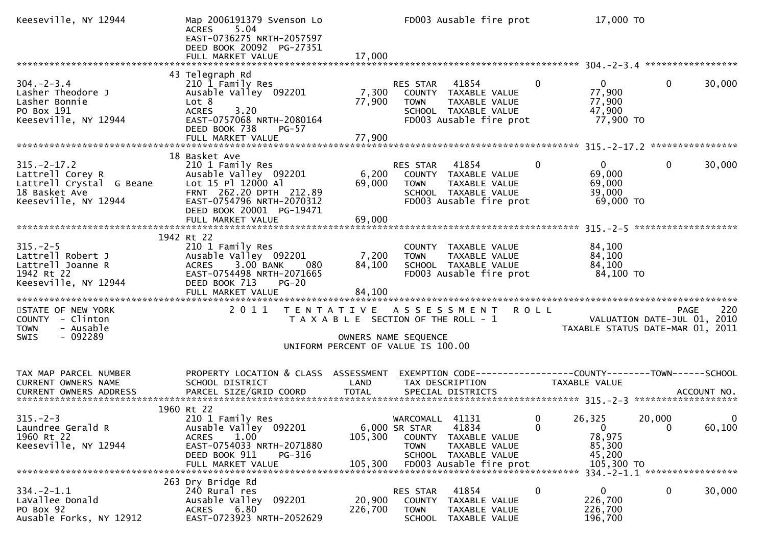| Keeseville, NY 12944                                                                                      | Map 2006191379 Svenson Lo<br><b>ACRES</b><br>5.04<br>EAST-0736275 NRTH-2057597<br>DEED BOOK 20092 PG-27351<br>FULL MARKET VALUE                                      | 17,000                                                                                              |                                                 | FD003 Ausable fire prot                                                                  |                                            | 17,000 TO                                               |                    |        |
|-----------------------------------------------------------------------------------------------------------|----------------------------------------------------------------------------------------------------------------------------------------------------------------------|-----------------------------------------------------------------------------------------------------|-------------------------------------------------|------------------------------------------------------------------------------------------|--------------------------------------------|---------------------------------------------------------|--------------------|--------|
| $304. - 2 - 3.4$<br>Lasher Theodore J<br>Lasher Bonnie<br>PO Box 191<br>Keeseville, NY 12944              | 43 Telegraph Rd<br>210 1 Family Res<br>Ausable Valley 092201<br>Lot 8<br>3.20<br><b>ACRES</b><br>EAST-0757068 NRTH-2080164<br>DEED BOOK 738<br><b>PG-57</b>          | 7,300<br>77,900                                                                                     | RES STAR 41854<br><b>TOWN</b>                   | COUNTY TAXABLE VALUE<br>TAXABLE VALUE<br>SCHOOL TAXABLE VALUE<br>FD003 Ausable fire prot | $\overline{0}$                             | $\mathbf{0}$<br>77,900<br>77,900<br>47,900<br>77,900 TO | $\mathbf{0}$       | 30,000 |
|                                                                                                           |                                                                                                                                                                      |                                                                                                     |                                                 |                                                                                          |                                            |                                                         |                    |        |
| $315. -2 - 17.2$<br>Lattrell Corey R<br>Lattrell Crystal G Beane<br>18 Basket Ave<br>Keeseville, NY 12944 | 18 Basket Ave<br>210 1 Family Res<br>Ausable Valley 092201<br>Lot 15 Pl 12000 Al<br>FRNT 262.20 DPTH 212.89<br>EAST-0754796 NRTH-2070312<br>DEED BOOK 20001 PG-19471 | 6,200<br>69,000                                                                                     | RES STAR 41854<br><b>TOWN</b>                   | COUNTY TAXABLE VALUE<br>TAXABLE VALUE<br>SCHOOL TAXABLE VALUE<br>FD003 Ausable fire prot | 0                                          | $\mathbf{0}$<br>69,000<br>69,000<br>39,000<br>69,000 TO | $\mathbf 0$        | 30,000 |
|                                                                                                           | FULL MARKET VALUE                                                                                                                                                    | 69,000                                                                                              |                                                 |                                                                                          |                                            |                                                         |                    |        |
|                                                                                                           | 1942 Rt 22                                                                                                                                                           |                                                                                                     |                                                 |                                                                                          |                                            |                                                         |                    |        |
| $315. - 2 - 5$<br>Lattrell Robert J<br>Lattrell Joanne R<br>1942 Rt 22<br>Keeseville, NY 12944            | 210 1 Family Res<br>Ausable Valley 092201<br>ACRES 3.00 BANK<br>080<br>EAST-0754498 NRTH-2071665<br>DEED BOOK 713<br><b>PG-20</b>                                    | 7,200<br>84,100                                                                                     | <b>TOWN</b>                                     | COUNTY TAXABLE VALUE<br>TAXABLE VALUE<br>SCHOOL TAXABLE VALUE<br>FD003 Ausable fire prot |                                            | 84,100<br>84,100<br>84,100<br>84,100 TO                 |                    |        |
|                                                                                                           |                                                                                                                                                                      |                                                                                                     |                                                 |                                                                                          |                                            |                                                         |                    |        |
| STATE OF NEW YORK<br>COUNTY - Clinton<br>- Ausable<br><b>TOWN</b><br>$-092289$<br><b>SWIS</b>             | 2011                                                                                                                                                                 | T A X A B L E SECTION OF THE ROLL - 1<br>OWNERS NAME SEQUENCE<br>UNIFORM PERCENT OF VALUE IS 100.00 |                                                 | TENTATIVE ASSESSMENT                                                                     | <b>ROLL</b><br>VALUATION DATE-JUL 01, 2010 | TAXABLE STATUS DATE-MAR 01, 2011                        | <b>PAGE</b>        | 220    |
| TAX MAP PARCEL NUMBER<br>CURRENT OWNERS NAME                                                              | PROPERTY LOCATION & CLASS ASSESSMENT<br>SCHOOL DISTRICT                                                                                                              | LAND                                                                                                |                                                 | TAX DESCRIPTION                                                                          | TAXABLE VALUE                              |                                                         |                    |        |
| $315. -2 - 3$<br>Laundree Gerald R<br>1960 Rt 22<br>Keeseville, NY 12944                                  | 1960 Rt 22<br>210 1 Family Res<br>Ausable Valley 092201<br>1.00<br><b>ACRES</b><br>EAST-0754033 NRTH-2071880<br>DEED BOOK 911<br>PG-316                              | 105,300                                                                                             | WARCOMALL 41131<br>6,000 SR STAR<br><b>TOWN</b> | 41834<br>COUNTY TAXABLE VALUE<br>TAXABLE VALUE<br>SCHOOL TAXABLE VALUE                   | $\overline{\mathbf{0}}$<br>$\Omega$        | 26,325<br>$\overline{0}$<br>78,975<br>85,300<br>45,200  | 20,000<br>$\Omega$ | 60,100 |
| $334. -2 - 1.1$<br>LaVallee Donald<br>PO Box 92<br>Ausable Forks, NY 12912                                | 263 Dry Bridge Rd<br>240 Rural res<br>Ausable Valley<br>092201<br>6.80<br><b>ACRES</b><br>EAST-0723923 NRTH-2052629                                                  | 20,900<br>226,700                                                                                   | RES STAR<br><b>TOWN</b><br><b>SCHOOL</b>        | 41854<br>COUNTY TAXABLE VALUE<br>TAXABLE VALUE<br>TAXABLE VALUE                          | 0                                          | $\overline{0}$<br>226,700<br>226,700<br>196,700         | $\mathbf 0$        | 30,000 |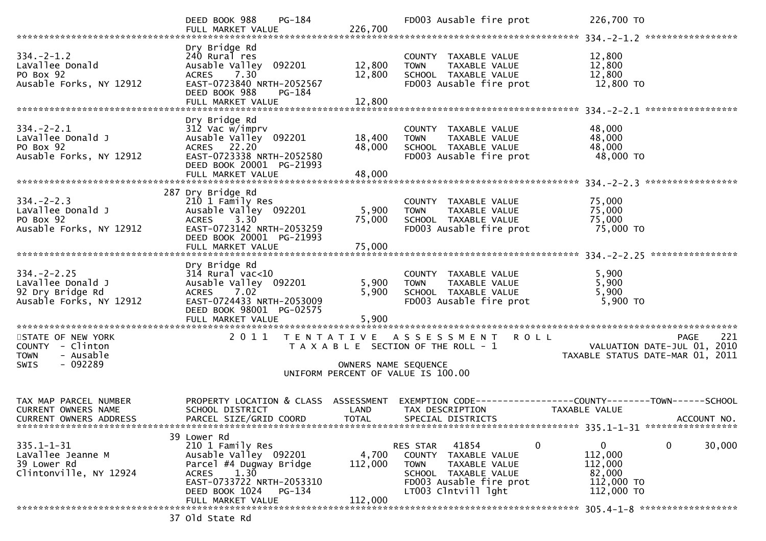|                                                                                              | DEED BOOK 988<br>$PG-184$<br>FULL MARKET VALUE                                                                                                                                  | 226,700                                   | FD003 Ausable fire prot                                                                                                                        | 226,700 TO                                                                                           |
|----------------------------------------------------------------------------------------------|---------------------------------------------------------------------------------------------------------------------------------------------------------------------------------|-------------------------------------------|------------------------------------------------------------------------------------------------------------------------------------------------|------------------------------------------------------------------------------------------------------|
| $334. - 2 - 1.2$<br>LaVallee Donald<br>PO Box 92<br>Ausable Forks, NY 12912                  | Dry Bridge Rd<br>240 Rural res<br>Ausable Valley 092201<br><b>ACRES</b><br>7.30<br>EAST-0723840 NRTH-2052567<br>DEED BOOK 988<br>PG-184<br>FULL MARKET VALUE                    | 12,800<br>12,800<br>12,800                | COUNTY TAXABLE VALUE<br>TAXABLE VALUE<br><b>TOWN</b><br>SCHOOL TAXABLE VALUE<br>FD003 Ausable fire prot                                        | 12,800<br>12,800<br>12,800<br>12,800 TO                                                              |
| $334. - 2 - 2.1$<br>LaVallee Donald J<br>PO Box 92<br>Ausable Forks, NY 12912                | Dry Bridge Rd<br>312 Vac w/imprv<br>Ausable Valley 092201<br>ACRES 22.20<br>EAST-0723338 NRTH-2052580<br>DEED BOOK 20001 PG-21993<br>FULL MARKET VALUE                          | 18,400<br>48,000<br>48,000                | COUNTY TAXABLE VALUE<br><b>TOWN</b><br>TAXABLE VALUE<br>SCHOOL TAXABLE VALUE<br>FD003 Ausable fire prot                                        | 48,000<br>48,000<br>48,000<br>48,000 TO                                                              |
| $334. -2 - 2.3$<br>LaVallee Donald J<br>PO Box 92<br>Ausable Forks, NY 12912                 | 287 Dry Bridge Rd<br>210 1 Family Res<br>Ausable Valley 092201<br>3.30<br><b>ACRES</b><br>EAST-0723142 NRTH-2053259<br>DEED BOOK 20001 PG-21993                                 | 5,900<br>75,000                           | COUNTY TAXABLE VALUE<br>TAXABLE VALUE<br><b>TOWN</b><br>SCHOOL TAXABLE VALUE<br>FD003 Ausable fire prot                                        | 75,000<br>75,000<br>75,000<br>75,000 TO                                                              |
| $334. - 2 - 2.25$<br>LaVallee Donald J<br>92 Dry Bridge Rd<br>Ausable Forks, NY 12912        | Dry Bridge Rd<br>$314$ Rural vac<10<br>Ausable Valley 092201<br><b>ACRES</b><br>7.02<br>EAST-0724433 NRTH-2053009<br>DEED BOOK 98001 PG-02575<br>FULL MARKET VALUE              | 5,900<br>5,900<br>5,900                   | COUNTY TAXABLE VALUE<br>TAXABLE VALUE<br><b>TOWN</b><br>SCHOOL TAXABLE VALUE<br>FD003 Ausable fire prot                                        | 5,900<br>5,900<br>5,900<br>5,900 TO                                                                  |
| STATE OF NEW YORK<br>COUNTY - Clinton<br>- Ausable<br><b>TOWN</b><br>- 092289<br><b>SWIS</b> | 2011                                                                                                                                                                            | T E N T A T I V E<br>OWNERS NAME SEQUENCE | A S S E S S M E N T R O L L<br>T A X A B L E SECTION OF THE ROLL - 1<br>UNIFORM PERCENT OF VALUE IS 100.00                                     | 221<br>PAGE<br>VALUATION DATE-JUL 01, 2010<br>TAXABLE STATUS DATE-MAR 01, 2011                       |
| TAX MAP PARCEL NUMBER<br><b>CURRENT OWNERS NAME</b><br>CURRENT OWNERS ADDRESS                | PROPERTY LOCATION & CLASS<br>SCHOOL DISTRICT<br>PARCEL SIZE/GRID COORD                                                                                                          | ASSESSMENT<br>LAND<br><b>TOTAL</b>        | TAX DESCRIPTION<br>SPECIAL DISTRICTS                                                                                                           | EXEMPTION        CODE------------------COUNTY-------TOWN------SCHOOL<br>TAXABLE VALUE<br>ACCOUNT NO. |
| $335.1 - 1 - 31$<br>LaVallee Jeanne M<br>39 Lower Rd<br>Clintonville, NY 12924               | 39 Lower Rd<br>210 1 Family Res<br>Ausable Valley 092201<br>Parcel #4 Dugway Bridge<br>1.30<br>ACRES<br>EAST-0733722 NRTH-2053310<br>DEED BOOK 1024 PG-134<br>FULL MARKET VALUE | 4,700<br>112,000<br>112,000               | RES STAR 41854<br>0<br>COUNTY TAXABLE VALUE<br>TAXABLE VALUE<br>TOWN<br>SCHOOL TAXABLE VALUE<br>FD003 Ausable fire prot<br>LT003 Clntvill lght | 0<br>0<br>30,000<br>112,000<br>112,000<br>82,000<br>112,000 TO<br>112,000 TO                         |
|                                                                                              | 37 old State Rd                                                                                                                                                                 |                                           |                                                                                                                                                |                                                                                                      |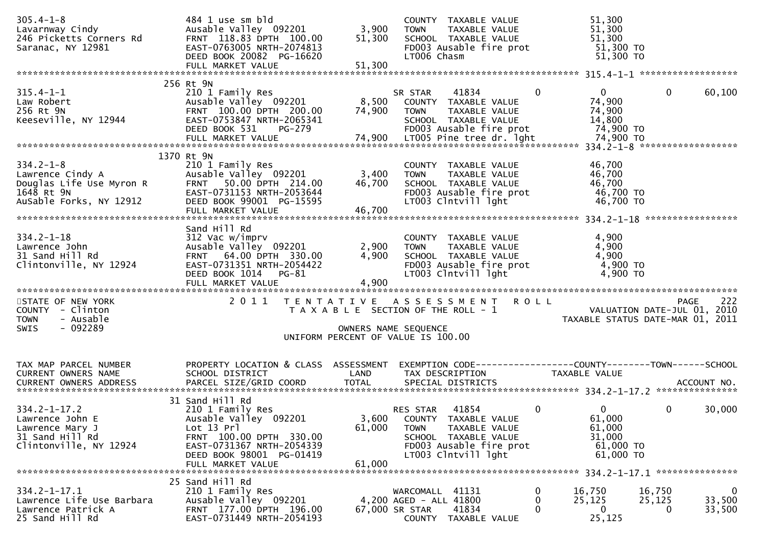| $305.4 - 1 - 8$<br>Lavarnway Cindy<br>246 Picketts Corners Rd<br>Saranac, NY 12981                                    | 484 1 use sm bld<br>Ausable Valley 092201<br>FRNT 118.83 DPTH 100.00<br>EAST-0763005 NRTH-2074813<br>DEED BOOK 20082 PG-16620                                                       | 3,900<br>51,300                                                                                     | <b>TOWN</b><br>LT006 Chasm                                  | COUNTY TAXABLE VALUE<br>TAXABLE VALUE<br>SCHOOL TAXABLE VALUE<br>FD003 Ausable fire prot                        |                | 51,300<br>51,300<br>51,300                                                      | $51,300$ TO<br>51,300 TO |                                                        |
|-----------------------------------------------------------------------------------------------------------------------|-------------------------------------------------------------------------------------------------------------------------------------------------------------------------------------|-----------------------------------------------------------------------------------------------------|-------------------------------------------------------------|-----------------------------------------------------------------------------------------------------------------|----------------|---------------------------------------------------------------------------------|--------------------------|--------------------------------------------------------|
|                                                                                                                       |                                                                                                                                                                                     |                                                                                                     |                                                             |                                                                                                                 |                |                                                                                 |                          |                                                        |
| $315.4 - 1 - 1$<br>Law Robert<br>256 Rt 9N<br>Keeseville, NY 12944                                                    | 256 Rt 9N<br>210 1 Family Res<br>Ausable Valley 092201<br>FRNT 100.00 DPTH 200.00<br>EAST-0753847 NRTH-2065341<br>DEED BOOK 531<br>PG-279                                           | 8,500<br>74,900                                                                                     | SR STAR<br><b>TOWN</b>                                      | 41834<br>COUNTY TAXABLE VALUE<br>TAXABLE VALUE<br>SCHOOL TAXABLE VALUE<br>FD003 Ausable fire prot               | $\overline{0}$ | $\mathbf{0}$<br>74,900<br>74,900<br>14,800                                      | 74,900 TO                | $\mathbf{0}$<br>60,100                                 |
| $334.2 - 1 - 8$<br>334.2-1-o<br>Lawrence Cindy A<br>Douglas Life Use Myron R<br>1648 R† 9N<br>AuSable Forks, NY 12912 | 1370 Rt 9N<br>210 1 Family Res<br>Ausable Valley 092201<br>FRNT 50.00 DPTH 214.00<br>EAST-0731153 NRTH-2053644<br>DEED BOOK 99001 PG-15595<br>FULL MARKET VALUE                     | 3,400<br>46,700<br>46,700                                                                           | <b>TOWN</b>                                                 | COUNTY TAXABLE VALUE<br>TAXABLE VALUE<br>SCHOOL TAXABLE VALUE<br>FD003 Ausable fire prot<br>LT003 Clntvill lght |                | 46,700<br>46,700<br>46,700                                                      | 46,700 TO<br>46,700 TO   |                                                        |
| $334.2 - 1 - 18$<br>Lawrence John<br>31 Sand Hill Rd<br>Clintonville, NY 12924                                        | Sand Hill Rd<br>312 Vac w/imprv<br>Ausable Valley 092201<br>FRNT 64.00 DPTH 330.00<br>EAST-0731351 NRTH-2054422<br>DEED BOOK 1014<br>$PG-81$                                        | 2,900<br>4,900<br>4,900                                                                             | <b>TOWN</b>                                                 | COUNTY TAXABLE VALUE<br>TAXABLE VALUE<br>SCHOOL TAXABLE VALUE<br>FD003 Ausable fire prot<br>LT003 Clntvill lght |                | 4,900<br>4,900<br>4,900                                                         | 4,900 TO<br>4,900 TO     |                                                        |
| STATE OF NEW YORK<br>COUNTY - Clinton<br>- Ausable<br><b>TOWN</b><br>$-092289$<br><b>SWIS</b>                         | 2011 TENTATIVE ASSESSMENT ROLL                                                                                                                                                      | T A X A B L E SECTION OF THE ROLL - 1<br>OWNERS NAME SEQUENCE<br>UNIFORM PERCENT OF VALUE IS 100.00 |                                                             |                                                                                                                 |                | VALUATION DATE-JUL $\overline{01}$ , 2010                                       |                          | 222<br><b>PAGE</b><br>TAXABLE STATUS DATE-MAR 01, 2011 |
|                                                                                                                       |                                                                                                                                                                                     |                                                                                                     |                                                             |                                                                                                                 |                |                                                                                 |                          |                                                        |
| TAX MAP PARCEL NUMBER<br>CURRENT OWNERS NAME                                                                          | PROPERTY LOCATION & CLASS ASSESSMENT<br>SCHOOL DISTRICT                                                                                                                             | LAND                                                                                                |                                                             | TAX DESCRIPTION                                                                                                 |                | EXEMPTION CODE------------------COUNTY--------TOWN------SCHOOL<br>TAXABLE VALUE |                          |                                                        |
| $334.2 - 1 - 17.2$<br>Lawrence John E<br>Lawrence Mary J<br>31 Sand Hill Rd<br>Clintonville, NY 12924                 | 31 Sand Hill Rd<br>210 1 Family Res<br>Ausable Valley 092201<br>Lot 13 Prl<br>FRNT 100.00 DPTH 330.00<br>EAST-0731367 NRTH-2054339<br>DEED BOOK 98001 PG-01419<br>FULL MARKET VALUE | 61,000<br>61,000                                                                                    | RES STAR<br>3,600 COUNTY TAXABLE VALUE<br><b>TOWN</b>       | 41854<br>TAXABLE VALUE<br>SCHOOL TAXABLE VALUE<br>FD003 Ausable fire prot<br>LT003 Clntvill lght                | $\mathbf{0}$   | 0<br>61,000<br>61,000<br>31,000                                                 | 61,000 TO<br>61,000 TO   | $\mathbf{0}$<br>30,000                                 |
|                                                                                                                       |                                                                                                                                                                                     |                                                                                                     |                                                             |                                                                                                                 |                |                                                                                 |                          |                                                        |
| $334.2 - 1 - 17.1$<br>Lawrence Life Use Barbara<br>Lawrence Patrick A<br>25 Sand Hill Rd                              | 25 Sand Hill Rd<br>210 1 Family Res<br>Ausable Valley 092201<br>FRNT 177.00 DPTH 196.00<br>EAST-0731449 NRTH-2054193                                                                |                                                                                                     | WARCOMALL 41131<br>4,200 AGED - ALL 41800<br>67,000 SR STAR | 41834<br>COUNTY TAXABLE VALUE                                                                                   | 0<br>0<br>0    | 16,750<br>25,125<br>$\overline{0}$<br>25,125                                    | 16,750<br>25,125         | $\mathbf 0$<br>33,500<br>33,500<br>0                   |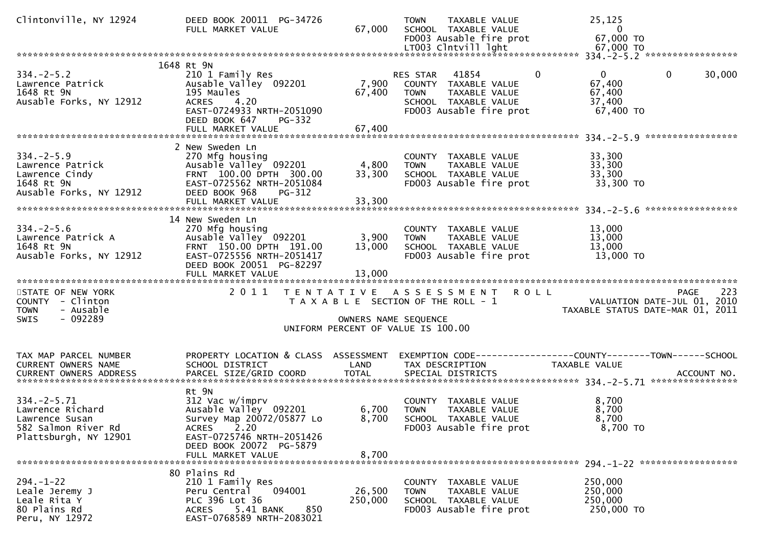| Clintonville, NY 12924                              | DEED BOOK 20011 PG-34726<br>FULL MARKET VALUE          | 67,000               | TAXABLE VALUE<br><b>TOWN</b><br>SCHOOL TAXABLE VALUE<br>FD003 Ausable fire prot<br>LT003 Clntvill lght | 25,125<br>$\overline{0}$<br>67,000 TO<br>67,000 TO           |     |
|-----------------------------------------------------|--------------------------------------------------------|----------------------|--------------------------------------------------------------------------------------------------------|--------------------------------------------------------------|-----|
|                                                     |                                                        |                      |                                                                                                        |                                                              |     |
|                                                     | 1648 Rt 9N                                             |                      |                                                                                                        |                                                              |     |
| $334. -2 - 5.2$                                     | 210 1 Family Res                                       |                      | $\mathbf{0}$<br>RES STAR 41854                                                                         | $\overline{0}$<br>$\mathbf 0$<br>30,000                      |     |
| Lawrence Patrick                                    | Ausable Valley 092201                                  | 7,900                | COUNTY TAXABLE VALUE                                                                                   | 67,400                                                       |     |
| 1648 Rt 9N<br>Ausable Forks, NY 12912               | 195 Maules<br>ACRES 4.20                               | 67,400               | TAXABLE VALUE<br><b>TOWN</b><br>SCHOOL TAXABLE VALUE                                                   | 67,400<br>37,400                                             |     |
|                                                     | EAST-0724933 NRTH-2051090                              |                      | FD003 Ausable fire prot                                                                                | 67,400 TO                                                    |     |
|                                                     | DEED BOOK 647<br><b>PG-332</b>                         |                      |                                                                                                        |                                                              |     |
|                                                     |                                                        |                      |                                                                                                        |                                                              |     |
|                                                     |                                                        |                      |                                                                                                        |                                                              |     |
|                                                     | 2 New Sweden Ln                                        |                      |                                                                                                        |                                                              |     |
| $334. -2 - 5.9$                                     | 270 Mfg housing                                        |                      | COUNTY TAXABLE VALUE                                                                                   | 33,300                                                       |     |
| Lawrence Patrick<br>Lawrence Cindy                  | Ausable Valley 092201<br>FRNT 100.00 DPTH 300.00       | 4,800<br>33,300      | TAXABLE VALUE<br><b>TOWN</b><br>SCHOOL TAXABLE VALUE                                                   | 33,300<br>33,300                                             |     |
| 1648 Rt 9N                                          | EAST-0725562 NRTH-2051084                              |                      | FD003 Ausable fire prot                                                                                | 33,300 TO                                                    |     |
| Ausable Forks, NY 12912                             | DEED BOOK 968<br>PG-312                                |                      |                                                                                                        |                                                              |     |
|                                                     | FULL MARKET VALUE                                      | 33,300               |                                                                                                        |                                                              |     |
|                                                     |                                                        |                      |                                                                                                        |                                                              |     |
|                                                     | 14 New Sweden Ln                                       |                      |                                                                                                        |                                                              |     |
| $334. - 2 - 5.6$                                    | 270 Mfg housing                                        |                      | COUNTY TAXABLE VALUE                                                                                   | 13,000                                                       |     |
| Lawrence Patrick A<br>1648 Rt 9N                    | Ausable Valley 092201<br>FRNT 150.00 DPTH 191.00       | 3,900                | <b>TOWN</b><br>TAXABLE VALUE                                                                           | 13,000<br>13,000                                             |     |
| Ausable Forks, NY 12912                             | EAST-0725556 NRTH-2051417                              | 13,000               | SCHOOL TAXABLE VALUE<br>FD003 Ausable fire prot                                                        | 13,000 TO                                                    |     |
|                                                     | DEED BOOK 20051 PG-82297                               |                      |                                                                                                        |                                                              |     |
|                                                     |                                                        |                      |                                                                                                        |                                                              |     |
|                                                     |                                                        |                      |                                                                                                        |                                                              |     |
| STATE OF NEW YORK                                   |                                                        |                      | 2011 TENTATIVE ASSESSMENT ROLL                                                                         | <b>PAGE</b>                                                  | 223 |
| COUNTY - Clinton                                    |                                                        |                      | T A X A B L E SECTION OF THE ROLL - 1                                                                  | VALUATION DATE-JUL 01, 2010                                  |     |
| - Ausable<br><b>TOWN</b><br>- 092289<br><b>SWIS</b> |                                                        |                      |                                                                                                        | TAXABLE STATUS DATE-MAR 01, 2011                             |     |
|                                                     |                                                        |                      |                                                                                                        |                                                              |     |
|                                                     |                                                        | OWNERS NAME SEQUENCE |                                                                                                        |                                                              |     |
|                                                     |                                                        |                      | UNIFORM PERCENT OF VALUE IS 100.00                                                                     |                                                              |     |
|                                                     |                                                        |                      |                                                                                                        |                                                              |     |
| TAX MAP PARCEL NUMBER                               | PROPERTY LOCATION & CLASS ASSESSMENT                   |                      |                                                                                                        | EXEMPTION CODE-----------------COUNTY-------TOWN------SCHOOL |     |
| CURRENT OWNERS NAME                                 | SCHOOL DISTRICT                                        | LAND                 | TAX DESCRIPTION                                                                                        | <b>TAXABLE VALUE</b>                                         |     |
| CURRENT OWNERS ADDRESS                              |                                                        |                      |                                                                                                        |                                                              |     |
|                                                     |                                                        |                      |                                                                                                        |                                                              |     |
|                                                     | Rt 9N                                                  |                      |                                                                                                        |                                                              |     |
| $334. - 2 - 5.71$                                   | 312 Vac w/imprv                                        |                      | COUNTY TAXABLE VALUE                                                                                   | 8,700                                                        |     |
| Lawrence Richard                                    | Ausable Valley 092201                                  | 6,700<br>8,700       | TAXABLE VALUE<br><b>TOWN</b>                                                                           | 8,700<br>8,700                                               |     |
| Lawrence Susan<br>582 Salmon River Rd               | Survey Map 20072/05877 Lo<br>2.20<br><b>ACRES</b>      |                      | SCHOOL TAXABLE VALUE<br>FD003 Ausable fire prot                                                        | 8,700 TO                                                     |     |
| Plattsburgh, NY 12901                               | EAST-0725746 NRTH-2051426                              |                      |                                                                                                        |                                                              |     |
|                                                     | DEED BOOK 20072 PG-5879                                |                      |                                                                                                        |                                                              |     |
|                                                     | FULL MARKET VALUE                                      | 8,700                |                                                                                                        |                                                              |     |
|                                                     |                                                        |                      |                                                                                                        |                                                              |     |
|                                                     | 80 Plains Rd                                           |                      |                                                                                                        |                                                              |     |
| $294. - 1 - 22$<br>Leale Jeremy J                   | 210 1 Family Res<br>094001                             |                      | COUNTY TAXABLE VALUE<br><b>TAXABLE VALUE</b><br><b>TOWN</b>                                            | 250,000                                                      |     |
| Leale Rita Y                                        | Peru Central<br>PLC 396 Lot 36                         | 26,500<br>250,000    | SCHOOL TAXABLE VALUE                                                                                   | 250,000<br>250,000                                           |     |
| 80 Plains Rd<br>Peru, NY 12972                      | 5.41 BANK<br>850<br>ACRES<br>EAST-0768589 NRTH-2083021 |                      | FD003 Ausable fire prot                                                                                | 250,000 TO                                                   |     |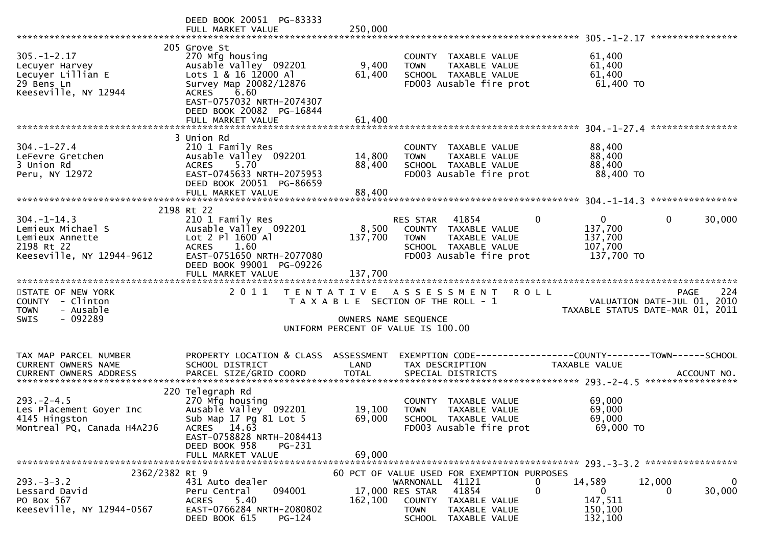|                                                                                                     | DEED BOOK 20051 PG-83333<br>FULL MARKET VALUE                                                                                                                                                                    | 250,000                     |                                                                                                                                                                     |             |                                                             |                                                                                |
|-----------------------------------------------------------------------------------------------------|------------------------------------------------------------------------------------------------------------------------------------------------------------------------------------------------------------------|-----------------------------|---------------------------------------------------------------------------------------------------------------------------------------------------------------------|-------------|-------------------------------------------------------------|--------------------------------------------------------------------------------|
| $305. - 1 - 2.17$<br>Lecuyer Harvey<br>Lecuyer Lillian E<br>29 Bens Ln<br>Keeseville, NY 12944      | 205 Grove St<br>270 Mfg housing<br>Ausable Valley 092201<br>Lots 1 & 16 12000 Al<br>Survey Map 20082/12876<br>6.60<br><b>ACRES</b><br>EAST-0757032 NRTH-2074307<br>DEED BOOK 20082 PG-16844<br>FULL MARKET VALUE | 9,400<br>61,400<br>61,400   | COUNTY TAXABLE VALUE<br>TAXABLE VALUE<br><b>TOWN</b><br>SCHOOL TAXABLE VALUE<br>FD003 Ausable fire prot                                                             |             | 61,400<br>61,400<br>61,400<br>61,400 TO                     |                                                                                |
|                                                                                                     |                                                                                                                                                                                                                  |                             |                                                                                                                                                                     |             |                                                             |                                                                                |
| $304. - 1 - 27.4$<br>LeFevre Gretchen<br>3 Union Rd<br>Peru, NY 12972                               | 3 Union Rd<br>210 1 Family Res<br>Ausable Valley 092201<br>5.70<br><b>ACRES</b><br>EAST-0745633 NRTH-2075953<br>DEED BOOK 20051 PG-86659<br>FULL MARKET VALUE                                                    | 14,800<br>88,400<br>88,400  | COUNTY TAXABLE VALUE<br><b>TOWN</b><br>TAXABLE VALUE<br>SCHOOL TAXABLE VALUE<br>FD003 Ausable fire prot                                                             |             | 88,400<br>88,400<br>88,400<br>88,400 TO                     |                                                                                |
|                                                                                                     |                                                                                                                                                                                                                  |                             |                                                                                                                                                                     |             |                                                             |                                                                                |
| $304. -1 - 14.3$<br>Lemieux Michael S<br>Lemieux Annette<br>2198 Rt 22<br>Keeseville, NY 12944-9612 | 2198 Rt 22<br>210 1 Family Res<br>Ausable Valley 092201<br>Lot 2 Pl 1600 Al<br>1.60<br><b>ACRES</b><br>EAST-0751650 NRTH-2077080<br>DEED BOOK 99001 PG-09226<br>FULL MARKET VALUE                                | 8,500<br>137,700<br>137,700 | 41854<br><b>RES STAR</b><br>COUNTY<br>TAXABLE VALUE<br><b>TOWN</b><br>TAXABLE VALUE<br>SCHOOL TAXABLE VALUE<br>FD003 Ausable fire prot                              | 0           | $\mathbf{0}$<br>137,700<br>137,700<br>107,700<br>137,700 TO | 0<br>30,000                                                                    |
|                                                                                                     |                                                                                                                                                                                                                  |                             |                                                                                                                                                                     |             |                                                             |                                                                                |
| STATE OF NEW YORK<br>COUNTY - Clinton<br>- Ausable<br><b>TOWN</b><br>- 092289<br><b>SWIS</b>        | 2011                                                                                                                                                                                                             | OWNERS NAME SEQUENCE        | TENTATIVE ASSESSMENT<br>T A X A B L E SECTION OF THE ROLL - 1                                                                                                       | <b>ROLL</b> |                                                             | 224<br>PAGE<br>VALUATION DATE-JUL 01, 2010<br>TAXABLE STATUS DATE-MAR 01, 2011 |
|                                                                                                     |                                                                                                                                                                                                                  |                             | UNIFORM PERCENT OF VALUE IS 100.00                                                                                                                                  |             |                                                             |                                                                                |
| TAX MAP PARCEL NUMBER<br>CURRENT OWNERS NAME                                                        | PROPERTY LOCATION & CLASS<br>SCHOOL DISTRICT                                                                                                                                                                     | ASSESSMENT<br>LAND          | TAX DESCRIPTION                                                                                                                                                     |             | TAXABLE VALUE                                               |                                                                                |
| $293. -2 - 4.5$<br>Les Placement Goyer Inc<br>4145 Hingston<br>Montreal PQ, Canada H4A2J6           | 220 Telegraph Rd<br>270 Mfg housing<br>Ausable Valley 092201<br>Sub Map 17 Pg 81 Lot 5<br>ACRES 14.63<br>EAST-0758828 NRTH-2084413<br>DEED BOOK 958<br>PG-231                                                    | 19,100<br>69,000            | COUNTY TAXABLE VALUE<br>TAXABLE VALUE<br><b>TOWN</b><br>SCHOOL TAXABLE VALUE<br>FD003 Ausable fire prot                                                             |             | 69,000<br>69,000<br>69,000<br>69,000 TO                     |                                                                                |
|                                                                                                     | FULL MARKET VALUE                                                                                                                                                                                                | 69,000                      |                                                                                                                                                                     |             |                                                             |                                                                                |
| 2362/2382 Rt 9<br>$293. -3 -3.2$<br>Lessard David<br>PO Box 567<br>Keeseville, NY 12944-0567        | 431 Auto dealer<br>094001<br>Peru Central<br><b>ACRES</b><br>5.40<br>EAST-0766284 NRTH-2080802<br>DEED BOOK 615<br>PG-124                                                                                        | 162,100                     | 60 PCT OF VALUE USED FOR EXEMPTION PURPOSES<br>WARNONALL 41121<br>41854<br>17,000 RES STAR<br>COUNTY TAXABLE VALUE<br>TOWN<br>TAXABLE VALUE<br>SCHOOL TAXABLE VALUE | 0<br>0      | 14,589<br>0<br>147,511<br>150,100<br>132,100                | 12,000<br>$\mathbf{0}$<br>30,000<br>0                                          |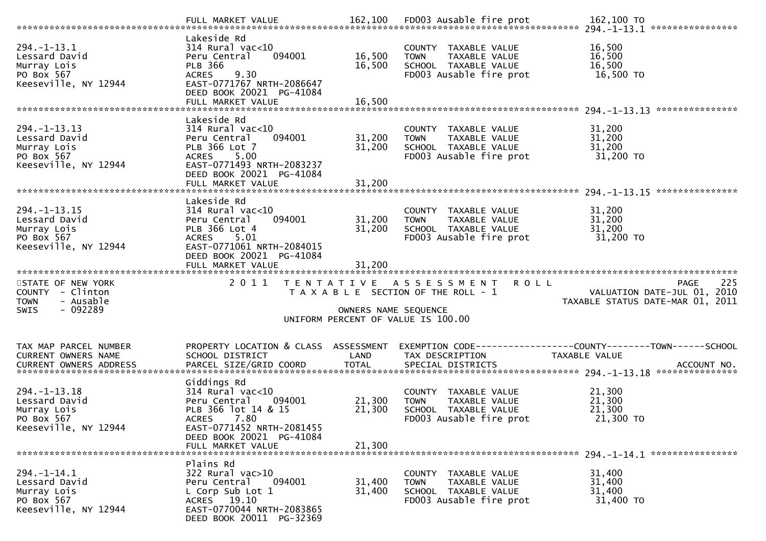| $294. - 1 - 13.1$<br>Lessard David<br>Murray Lois<br>PO Box 567<br>Keeseville, NY 12944       | Lakeside Rd<br>314 Rural vac<10<br>Peru Central<br>094001<br><b>PLB 366</b><br>9.30<br><b>ACRES</b><br>EAST-0771767 NRTH-2086647<br>DEED BOOK 20021 PG-41084<br>FULL MARKET VALUE        | 16,500<br>16,500<br>16,500 | COUNTY TAXABLE VALUE<br>TAXABLE VALUE<br><b>TOWN</b><br>SCHOOL TAXABLE VALUE<br>FD003 Ausable fire prot            | 16,500<br>16,500<br>16,500<br>16,500 TO                                               |
|-----------------------------------------------------------------------------------------------|------------------------------------------------------------------------------------------------------------------------------------------------------------------------------------------|----------------------------|--------------------------------------------------------------------------------------------------------------------|---------------------------------------------------------------------------------------|
| $294. -1 - 13.13$<br>Lessard David<br>Murray Lois<br>PO Box 567<br>Keeseville, NY 12944       | Lakeside Rd<br>$314$ Rural vac<10<br>Peru Central<br>094001<br>PLB 366 Lot 7<br>5.00<br><b>ACRES</b><br>EAST-0771493 NRTH-2083237<br>DEED BOOK 20021 PG-41084<br>FULL MARKET VALUE       | 31,200<br>31,200<br>31,200 | COUNTY TAXABLE VALUE<br>TAXABLE VALUE<br><b>TOWN</b><br>SCHOOL TAXABLE VALUE<br>FD003 Ausable fire prot            | 31,200<br>31,200<br>31,200<br>31,200 TO                                               |
|                                                                                               |                                                                                                                                                                                          |                            |                                                                                                                    | ***************                                                                       |
| $294. -1 - 13.15$<br>Lessard David<br>Murray Lois<br>PO Box 567<br>Keeseville, NY 12944       | Lakeside Rd<br>$314$ Rural vac<10<br>Peru Central<br>094001<br>PLB 366 Lot 4<br>ACRES 5.01<br>EAST-0771061 NRTH-2084015<br>DEED BOOK 20021 PG-41084                                      | 31,200<br>31,200           | COUNTY TAXABLE VALUE<br><b>TOWN</b><br>TAXABLE VALUE<br>SCHOOL TAXABLE VALUE<br>FD003 Ausable fire prot            | 31,200<br>31,200<br>31,200<br>31,200 TO                                               |
|                                                                                               | FULL MARKET VALUE                                                                                                                                                                        | 31,200                     |                                                                                                                    |                                                                                       |
|                                                                                               |                                                                                                                                                                                          |                            |                                                                                                                    |                                                                                       |
| STATE OF NEW YORK<br>COUNTY - Clinton<br>- Ausable<br><b>TOWN</b><br>$-092289$<br><b>SWIS</b> | 2011                                                                                                                                                                                     | OWNERS NAME SEQUENCE       | TENTATIVE ASSESSMENT<br><b>ROLL</b><br>T A X A B L E SECTION OF THE ROLL - 1<br>UNIFORM PERCENT OF VALUE IS 100.00 | 225<br><b>PAGE</b><br>VALUATION DATE-JUL 01, 2010<br>TAXABLE STATUS DATE-MAR 01, 2011 |
| TAX MAP PARCEL NUMBER<br>CURRENT OWNERS NAME                                                  | PROPERTY LOCATION & CLASS<br>SCHOOL DISTRICT                                                                                                                                             | ASSESSMENT<br>LAND         | EXEMPTION CODE-----------------COUNTY-------TOWN------SCHOOL<br>TAX DESCRIPTION                                    | TAXABLE VALUE                                                                         |
| $294. - 1 - 13.18$<br>Lessard David<br>Murray Lois<br>PO Box 567<br>Keeseville, NY 12944      | Giddings Rd<br>$314$ Rural vac<10<br>Peru Central<br>094001<br>PLB 366 lot 14 & 15<br>7.80<br><b>ACRES</b><br>EAST-0771452 NRTH-2081455<br>DEED BOOK 20021 PG-41084<br>FULL MARKET VALUE | 21,300<br>21,300<br>21,300 | COUNTY TAXABLE VALUE<br>TAXABLE VALUE<br><b>TOWN</b><br>SCHOOL TAXABLE VALUE<br>FD003 Ausable fire prot            | 21,300<br>21,300<br>21,300<br>21,300 TO                                               |
|                                                                                               | Plains Rd                                                                                                                                                                                |                            |                                                                                                                    |                                                                                       |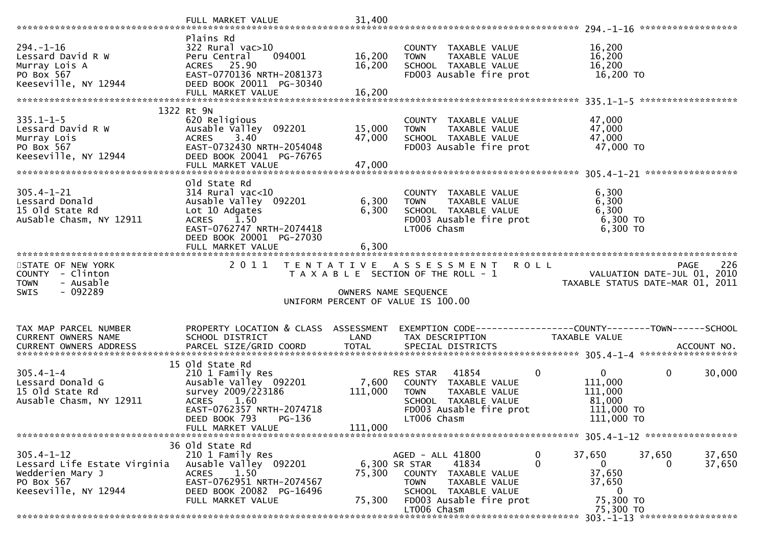|                                                                                                            | FULL MARKET VALUE                                                                                                                                                             | 31,400                                                                                                                                                                                                                                                           |                  |
|------------------------------------------------------------------------------------------------------------|-------------------------------------------------------------------------------------------------------------------------------------------------------------------------------|------------------------------------------------------------------------------------------------------------------------------------------------------------------------------------------------------------------------------------------------------------------|------------------|
|                                                                                                            |                                                                                                                                                                               |                                                                                                                                                                                                                                                                  |                  |
| $294. - 1 - 16$<br>Lessard David R W<br>Murray Lois A<br>PO Box 567<br>Keeseville, NY 12944                | Plains Rd<br>322 Rural vac>10<br>Peru Central<br>094001<br>ACRES 25.90<br>EAST-0770136 NRTH-2081373<br>DEED BOOK 20011 PG-30340                                               | 16,200<br>COUNTY TAXABLE VALUE<br>16,200<br>16,200<br>TAXABLE VALUE<br><b>TOWN</b><br>16,200<br>SCHOOL TAXABLE VALUE<br>16,200<br>16,200 TO<br>FD003 Ausable fire prot                                                                                           |                  |
|                                                                                                            | FULL MARKET VALUE                                                                                                                                                             | 16,200                                                                                                                                                                                                                                                           |                  |
|                                                                                                            |                                                                                                                                                                               |                                                                                                                                                                                                                                                                  |                  |
| $335.1 - 1 - 5$<br>Lessard David R W<br>Murray Lois<br>PO Box 567<br>Keeseville, NY 12944                  | 1322 Rt 9N<br>620 Religious<br>Ausable Valley 092201<br>3.40<br><b>ACRES</b><br>EAST-0732430 NRTH-2054048<br>DEED BOOK 20041 PG-76765<br>FULL MARKET VALUE                    | 47,000<br>COUNTY TAXABLE VALUE<br>15,000<br>47,000<br>TAXABLE VALUE<br><b>TOWN</b><br>47,000<br>47,000<br>SCHOOL TAXABLE VALUE<br>FD003 Ausable fire prot<br>47,000 TO<br>47,000                                                                                 |                  |
|                                                                                                            |                                                                                                                                                                               |                                                                                                                                                                                                                                                                  |                  |
| $305.4 - 1 - 21$<br>Lessard Donald<br>15 old State Rd<br>AuSable Chasm, NY 12911                           | old state Rd<br>$314$ Rural vac<10<br>Ausable Valley 092201<br>Lot 10 Adgates<br><b>ACRES</b><br>1.50<br>EAST-0762747 NRTH-2074418<br>DEED BOOK 20001 PG-27030                | 6,300<br>COUNTY TAXABLE VALUE<br>6,300<br>6,300<br>TAXABLE VALUE<br><b>TOWN</b><br>6,300<br>6,300<br>SCHOOL TAXABLE VALUE<br>FD003 Ausable fire prot<br>6,300 то<br>6,300 ТО<br>LT006 Chasm                                                                      |                  |
|                                                                                                            | FULL MARKET VALUE                                                                                                                                                             | 6,300                                                                                                                                                                                                                                                            |                  |
| STATE OF NEW YORK<br>COUNTY - Clinton<br>- Ausable<br><b>TOWN</b>                                          | 2011                                                                                                                                                                          | TENTATIVE ASSESSMENT ROLL<br><b>PAGE</b><br>T A X A B L E SECTION OF THE ROLL - 1<br>VALUATION DATE-JUL 01, 2010                                                                                                                                                 | 226              |
| $-092289$<br><b>SWIS</b>                                                                                   |                                                                                                                                                                               | TAXABLE STATUS DATE-MAR 01, 2011<br>OWNERS NAME SEQUENCE<br>UNIFORM PERCENT OF VALUE IS 100.00                                                                                                                                                                   |                  |
| TAX MAP PARCEL NUMBER<br>CURRENT OWNERS NAME<br><b>CURRENT OWNERS ADDRESS</b>                              | PROPERTY LOCATION & CLASS ASSESSMENT<br>SCHOOL DISTRICT                                                                                                                       | EXEMPTION CODE-----------------COUNTY--------TOWN------SCHOOL<br>LAND<br>TAX DESCRIPTION<br>TAXABLE VALUE                                                                                                                                                        |                  |
| $305.4 - 1 - 4$<br>Lessard Donald G<br>15 old State Rd<br>Ausable Chasm, NY 12911                          | 15 old state Rd<br>210 1 Family Res<br>Ausable Valley 092201<br>survey 2009/223186<br>ACRES 1.60<br>EAST-0762357 NRTH-2074718<br>DEED BOOK 793<br>PG-136<br>FULL MARKET VALUE | 41854<br>0<br>$\mathbf{0}$<br>0<br>RES STAR<br>7,600<br>111,000<br>COUNTY TAXABLE VALUE<br>111,000<br>TAXABLE VALUE<br>111,000<br><b>TOWN</b><br>SCHOOL TAXABLE VALUE<br>81,000<br>FD003 Ausable fire prot<br>111,000 TO<br>LT006 Chasm<br>111,000 TO<br>111,000 | 30,000           |
|                                                                                                            |                                                                                                                                                                               |                                                                                                                                                                                                                                                                  |                  |
| $305.4 - 1 - 12$<br>Lessard Life Estate Virginia<br>Wedderien Mary J<br>PO Box 567<br>Keeseville, NY 12944 | 36 Old State Rd<br>210 1 Family Res<br>Ausable Valley 092201<br>1.50<br><b>ACRES</b><br>EAST-0762951 NRTH-2074567<br>DEED BOOK 20082 PG-16496                                 | AGED - ALL 41800<br>0<br>37,650<br>37,650<br>0<br>6,300 SR STAR<br>41834<br>$\mathbf{0}$<br>$\Omega$<br>37,650<br>75,300<br>COUNTY TAXABLE VALUE<br>37,650<br><b>TOWN</b><br>TAXABLE VALUE<br>SCHOOL TAXABLE VALUE<br>$\bf{0}$                                   | 37,650<br>37,650 |
|                                                                                                            | FULL MARKET VALUE                                                                                                                                                             | 75,300 TO<br>75,300<br>FD003 Ausable fire prot<br>LT006 Chasm<br>75,300 TO                                                                                                                                                                                       |                  |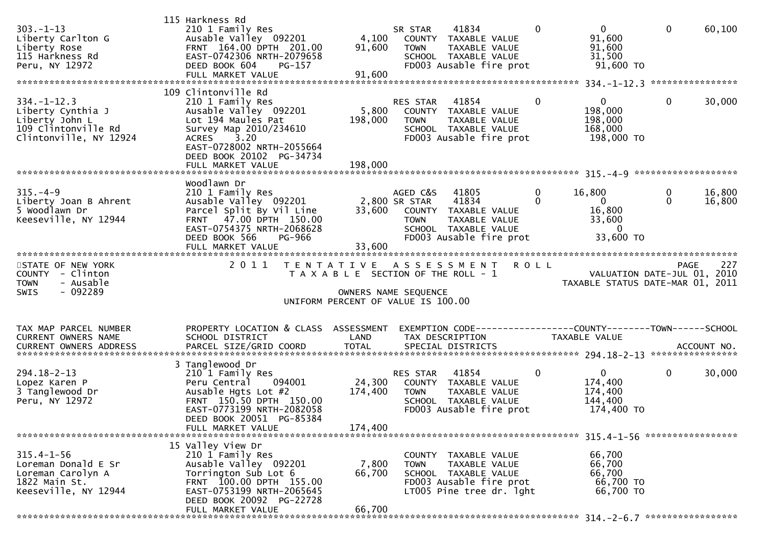| $303. - 1 - 13$<br>Liberty Carlton G<br>Liberty Rose<br>115 Harkness Rd<br>Peru, NY 12972                 | 115 Harkness Rd<br>210 1 Family Res<br>Ausable Valley 092201<br>FRNT 164.00 DPTH 201.00<br>EAST-0742306 NRTH-2079658<br>DEED BOOK 604<br>PG-157<br>FULL MARKET VALUE                            | 4,100<br>91,600<br>91,600                                                                                                   | SR STAR<br><b>TOWN</b>                   | 41834<br>COUNTY TAXABLE VALUE<br>TAXABLE VALUE<br>SCHOOL TAXABLE VALUE<br>FD003 Ausable fire prot                    | $\mathbf 0$             | $\mathbf{0}$<br>91,600<br>91,600<br>31,500<br>91,600 TO                   | $\mathbf 0$   | 60,100           |
|-----------------------------------------------------------------------------------------------------------|-------------------------------------------------------------------------------------------------------------------------------------------------------------------------------------------------|-----------------------------------------------------------------------------------------------------------------------------|------------------------------------------|----------------------------------------------------------------------------------------------------------------------|-------------------------|---------------------------------------------------------------------------|---------------|------------------|
|                                                                                                           | 109 Clintonville Rd                                                                                                                                                                             |                                                                                                                             |                                          |                                                                                                                      |                         |                                                                           |               |                  |
| $334. - 1 - 12.3$<br>Liberty Cynthia J<br>Liberty John L<br>109 Clintonville Rd<br>Clintonville, NY 12924 | 210 1 Family Res<br>Ausable Valley 092201<br>Lot 194 Maules Pat<br>Survey Map 2010/234610<br><b>ACRES</b><br>3.20<br>EAST-0728002 NRTH-2055664<br>DEED BOOK 20102 PG-34734                      | 5,800<br>198,000                                                                                                            | RES STAR<br><b>TOWN</b>                  | 41854<br>COUNTY TAXABLE VALUE<br>TAXABLE VALUE<br>SCHOOL TAXABLE VALUE<br>FD003 Ausable fire prot                    | $\overline{0}$          | $\mathbf{0}$<br>198,000<br>198,000<br>168,000<br>198,000 TO               | 0             | 30,000           |
|                                                                                                           |                                                                                                                                                                                                 |                                                                                                                             |                                          |                                                                                                                      |                         |                                                                           |               |                  |
| $315. - 4 - 9$<br>Liberty Joan B Ahrent<br>5 Woodlawn Dr<br>Keeseville, NY 12944                          | Woodlawn Dr<br>210 1 Family Res<br>Ausable Valley 092201<br>Parcel Split By Vil Line<br>FRNT 47.00 DPTH 150.00<br>EAST-0754375 NRTH-2068628<br>DEED BOOK 566<br><b>PG-966</b>                   |                                                                                                                             | AGED C&S<br>2,800 SR STAR<br><b>TOWN</b> | 41805<br>41834<br>33,600 COUNTY TAXABLE VALUE<br>TAXABLE VALUE<br>SCHOOL TAXABLE VALUE<br>FD003 Ausable fire prot    | $\mathbf 0$<br>$\Omega$ | 16,800<br>$\mathbf{0}$<br>16,800<br>33,600<br>$\overline{0}$<br>33,600 TO | 0<br>$\Omega$ | 16,800<br>16,800 |
|                                                                                                           |                                                                                                                                                                                                 |                                                                                                                             |                                          |                                                                                                                      |                         |                                                                           |               |                  |
| STATE OF NEW YORK<br>COUNTY - Clinton<br><b>TOWN</b><br>- Ausable<br>$-092289$<br><b>SWIS</b>             | 2011                                                                                                                                                                                            | TENTATIVE ASSESSMENT<br>T A X A B L E SECTION OF THE ROLL - 1<br>OWNERS NAME SEQUENCE<br>UNIFORM PERCENT OF VALUE IS 100.00 |                                          |                                                                                                                      | <b>ROLL</b>             | VALUATION DATE-JUL 01, 2010<br>TAXABLE STATUS DATE-MAR 01, 2011           | <b>PAGE</b>   | 227              |
| TAX MAP PARCEL NUMBER                                                                                     | PROPERTY LOCATION & CLASS ASSESSMENT                                                                                                                                                            |                                                                                                                             |                                          | EXEMPTION CODE-----------------COUNTY-------TOWN------SCHOOL                                                         |                         |                                                                           |               |                  |
| CURRENT OWNERS NAME                                                                                       | SCHOOL DISTRICT                                                                                                                                                                                 | LAND                                                                                                                        |                                          | TAX DESCRIPTION                                                                                                      |                         | TAXABLE VALUE                                                             |               |                  |
| $294.18 - 2 - 13$<br>Lopez Karen P<br>3 Tanglewood Dr<br>Peru, NY 12972                                   | 3 Tanglewood Dr<br>210 1 Family Res<br>094001<br>Peru Central<br>Ausable Hgts Lot #2<br>FRNT 150.50 DPTH 150.00<br>EAST-0773199 NRTH-2082058<br>DEED BOOK 20051 PG-85384<br>FULL MARKET VALUE   | 24,300<br>174,400<br>174,400                                                                                                | RES STAR<br><b>TOWN</b>                  | 41854<br>COUNTY TAXABLE VALUE<br>TAXABLE VALUE<br>SCHOOL TAXABLE VALUE<br>FD003 Ausable fire prot                    | $\mathbf{0}$            | $\mathbf{0}$<br>174,400<br>174,400<br>144,400<br>174,400 TO               | $\mathbf{0}$  | 30,000           |
|                                                                                                           |                                                                                                                                                                                                 |                                                                                                                             |                                          |                                                                                                                      |                         |                                                                           |               |                  |
| $315.4 - 1 - 56$<br>Loreman Donald E Sr<br>Loreman Carolyn A<br>1822 Main St.<br>Keeseville, NY 12944     | 15 Valley View Dr<br>210 1 Family Res<br>Ausable Valley 092201<br>Torrington Sub Lot 6<br>FRNT 100.00 DPTH 155.00<br>EAST-0753199 NRTH-2065645<br>DEED BOOK 20092 PG-22728<br>FULL MARKET VALUE | 7,800<br>66,700<br>66,700                                                                                                   | <b>TOWN</b>                              | COUNTY TAXABLE VALUE<br>TAXABLE VALUE<br>SCHOOL TAXABLE VALUE<br>FD003 Ausable fire prot<br>LTOO5 Pine tree dr. 1ght |                         | 66,700<br>66,700<br>66,700<br>66,700 TO<br>66,700 TO                      |               |                  |
|                                                                                                           |                                                                                                                                                                                                 |                                                                                                                             |                                          |                                                                                                                      |                         |                                                                           |               |                  |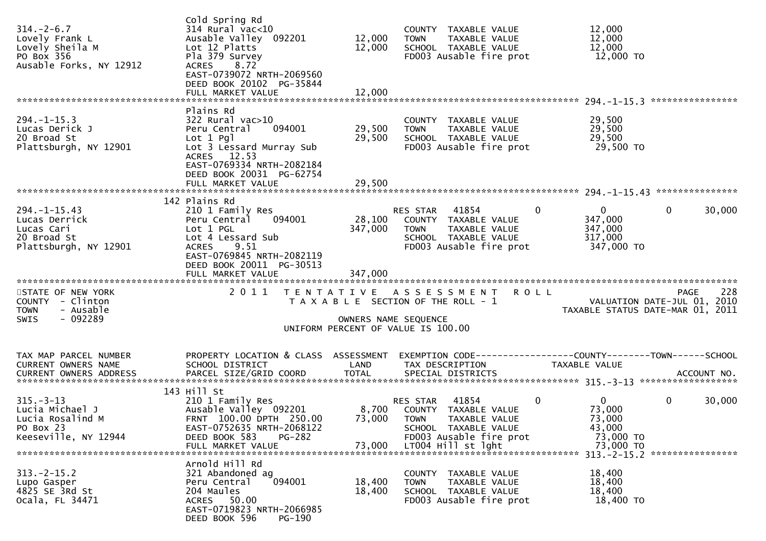| $314. - 2 - 6.7$<br>Lovely Frank L<br>Lovely Sheila M<br>PO Box 356<br>Ausable Forks, NY 12912 | Cold Spring Rd<br>$314$ Rural $vac<10$<br>Ausable Valley 092201<br>Lot 12 Platts<br>Pla 379 Survey<br>8.72<br><b>ACRES</b><br>EAST-0739072 NRTH-2069560<br>DEED BOOK 20102 PG-35844<br>FULL MARKET VALUE | 12,000<br>12,000<br>12,000 | COUNTY TAXABLE VALUE<br>TAXABLE VALUE<br><b>TOWN</b><br>SCHOOL TAXABLE VALUE<br>FD003 Ausable fire prot                                                  | 12,000<br>12,000<br>12,000<br>12,000 TO                                               |
|------------------------------------------------------------------------------------------------|----------------------------------------------------------------------------------------------------------------------------------------------------------------------------------------------------------|----------------------------|----------------------------------------------------------------------------------------------------------------------------------------------------------|---------------------------------------------------------------------------------------|
|                                                                                                | Plains Rd                                                                                                                                                                                                |                            |                                                                                                                                                          |                                                                                       |
| $294. -1 - 15.3$<br>Lucas Derick J<br>20 Broad St<br>Plattsburgh, NY 12901                     | $322$ Rural vac $>10$<br>Peru Central<br>094001<br>Lot $1$ Pgl<br>Lot 3 Lessard Murray Sub<br>ACRES 12.53<br>EAST-0769334 NRTH-2082184<br>DEED BOOK 20031 PG-62754                                       | 29,500<br>29,500           | COUNTY TAXABLE VALUE<br>TAXABLE VALUE<br><b>TOWN</b><br>SCHOOL TAXABLE VALUE<br>FD003 Ausable fire prot                                                  | 29,500<br>29,500<br>29,500<br>29,500 TO                                               |
|                                                                                                | FULL MARKET VALUE                                                                                                                                                                                        | 29,500                     |                                                                                                                                                          |                                                                                       |
|                                                                                                | 142 Plains Rd                                                                                                                                                                                            |                            |                                                                                                                                                          |                                                                                       |
| $294. -1 - 15.43$<br>Lucas Derrick<br>Lucas Cari<br>20 Broad St<br>Plattsburgh, NY 12901       | 210 1 Family Res<br>094001<br>Peru Central<br>Lot 1 PGL<br>Lot 4 Lessard Sub<br><b>ACRES</b><br>9.51<br>EAST-0769845 NRTH-2082119<br>DEED BOOK 20011 PG-30513                                            | 28,100<br>347,000          | 41854<br>$\mathbf{0}$<br>RES STAR<br>COUNTY TAXABLE VALUE<br>TAXABLE VALUE<br>TOWN<br>SCHOOL TAXABLE VALUE<br>FD003 Ausable fire prot                    | $\mathbf{0}$<br>30,000<br>0<br>347,000<br>347,000<br>317,000<br>347,000 TO            |
|                                                                                                | FULL MARKET VALUE                                                                                                                                                                                        | 347,000                    |                                                                                                                                                          |                                                                                       |
| STATE OF NEW YORK<br>COUNTY - Clinton<br>- Ausable<br><b>TOWN</b><br>$-092289$<br><b>SWIS</b>  | 2011                                                                                                                                                                                                     | OWNERS NAME SEQUENCE       | <b>ROLL</b><br>TENTATIVE ASSESSMENT<br>T A X A B L E SECTION OF THE ROLL - 1<br>UNIFORM PERCENT OF VALUE IS 100.00                                       | 228<br><b>PAGE</b><br>VALUATION DATE-JUL 01, 2010<br>TAXABLE STATUS DATE-MAR 01, 2011 |
|                                                                                                |                                                                                                                                                                                                          |                            |                                                                                                                                                          |                                                                                       |
| TAX MAP PARCEL NUMBER<br>CURRENT OWNERS NAME                                                   | PROPERTY LOCATION & CLASS ASSESSMENT<br>SCHOOL DISTRICT                                                                                                                                                  | LAND                       | TAX DESCRIPTION                                                                                                                                          | TAXABLE VALUE                                                                         |
| $315. - 3 - 13$<br>Lucia Michael J<br>Lucia Rosalind M<br>PO Box 23<br>Keeseville, NY 12944    | 143 Hill St<br>210 1 Family Res<br>Ausable Valley 092201<br>FRNT 100.00 DPTH 250.00<br>EAST-0752635 NRTH-2068122<br>DEED BOOK 583<br><b>PG-282</b><br>FULL MARKET VALUE                                  | 73,000 TOWN<br>73,000      | $\mathbf 0$<br>41854<br>RES STAR<br>8,700 COUNTY TAXABLE VALUE<br>TAXABLE VALUE<br>SCHOOL TAXABLE VALUE<br>FD003 Ausable fire prot<br>LT004 Hill st lght | $\mathbf{0}$<br>0<br>30,000<br>73,000<br>73,000<br>43,000<br>73,000 TO<br>73,000 TO   |
| $313 - 2 - 15.2$<br>Lupo Gasper<br>4825 SE 3Rd St<br>Ocala, FL 34471                           | Arnold Hill Rd<br>321 Abandoned ag<br>Peru Central<br>094001<br>204 Maules<br>ACRES 50.00<br>EAST-0719823 NRTH-2066985<br>DEED BOOK 596<br>PG-190                                                        | 18,400<br>18,400           | COUNTY TAXABLE VALUE<br><b>TOWN</b><br>TAXABLE VALUE<br>SCHOOL TAXABLE VALUE<br>FD003 Ausable fire prot                                                  | 18,400<br>18,400<br>18,400<br>18,400 TO                                               |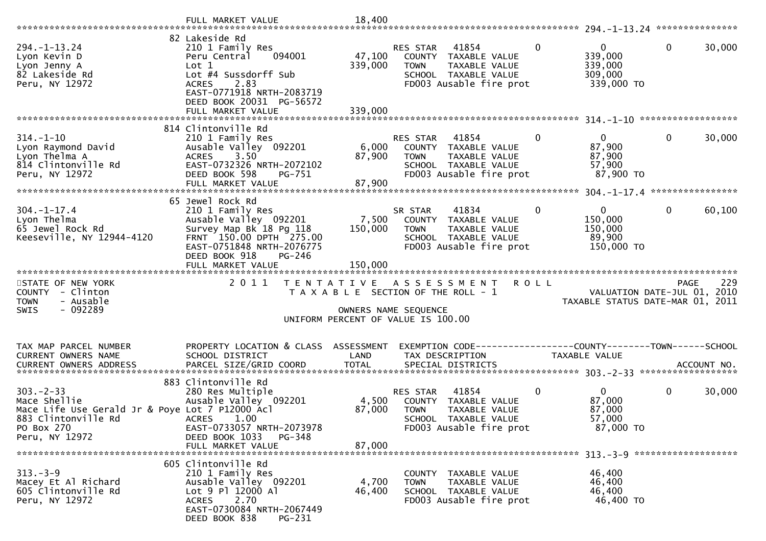|                                                                                                                                          | FULL MARKET VALUE                                                                                                                                                                                   | 18,400                       |                                                                                                                                    |              |                                                                 |              |        |
|------------------------------------------------------------------------------------------------------------------------------------------|-----------------------------------------------------------------------------------------------------------------------------------------------------------------------------------------------------|------------------------------|------------------------------------------------------------------------------------------------------------------------------------|--------------|-----------------------------------------------------------------|--------------|--------|
| $294. - 1 - 13.24$<br>Lyon Kevin D<br>Lyon Jenny A<br>82 Lakeside Rd<br>Peru, NY 12972                                                   | 82 Lakeside Rd<br>210 1 Family Res<br>094001<br>Peru Central<br>Lot 1<br>Lot #4 Sussdorff Sub<br>2.83<br><b>ACRES</b><br>EAST-0771918 NRTH-2083719<br>DEED BOOK 20031 PG-56572<br>FULL MARKET VALUE | 47,100<br>339,000<br>339,000 | RES STAR<br>41854<br>COUNTY TAXABLE VALUE<br><b>TOWN</b><br>TAXABLE VALUE<br>SCHOOL TAXABLE VALUE<br>FD003 Ausable fire prot       | $\mathbf{0}$ | $\overline{0}$<br>339,000<br>339,000<br>309,000<br>339,000 TO   | $\mathbf{0}$ | 30,000 |
|                                                                                                                                          |                                                                                                                                                                                                     |                              |                                                                                                                                    |              |                                                                 |              |        |
| $314. - 1 - 10$<br>Lyon Raymond David<br>Lyon Thelma A<br>814 Clintonville Rd<br>Peru, NY 12972                                          | 814 Clintonville Rd<br>210 1 Family Res<br>Ausable Valley 092201<br>3.50<br><b>ACRES</b><br>EAST-0732326 NRTH-2072102<br>DEED BOOK 598<br>PG-751<br>FULL MARKET VALUE                               | 6,000<br>87,900<br>87,900    | 41854<br>RES STAR<br>COUNTY TAXABLE VALUE<br>TAXABLE VALUE<br><b>TOWN</b><br>SCHOOL TAXABLE VALUE<br>FD003 Ausable fire prot       | 0            | $\overline{0}$<br>87,900<br>87,900<br>57,900<br>87,900 TO       | $\mathbf{0}$ | 30,000 |
|                                                                                                                                          |                                                                                                                                                                                                     |                              |                                                                                                                                    |              |                                                                 |              |        |
| $304. - 1 - 17.4$<br>Lyon Thelma<br>65 Jewel Rock Rd<br>Keeseville, NY 12944-4120                                                        | 65 Jewel Rock Rd<br>210 1 Family Res<br>Ausable Valley 092201<br>Survey Map Bk 18 Pg 118<br>FRNT 150.00 DPTH 275.00<br>EAST-0751848 NRTH-2076775<br>DEED BOOK 918<br>PG-246                         | 7,500<br>150,000             | SR STAR<br>41834<br>COUNTY TAXABLE VALUE<br><b>TOWN</b><br><b>TAXABLE VALUE</b><br>SCHOOL TAXABLE VALUE<br>FD003 Ausable fire prot | 0            | $\mathbf{0}$<br>150,000<br>150,000<br>89,900<br>150,000 TO      | $\mathbf{0}$ | 60,100 |
|                                                                                                                                          | FULL MARKET VALUE                                                                                                                                                                                   | 150,000                      |                                                                                                                                    |              |                                                                 |              |        |
| STATE OF NEW YORK<br>COUNTY - Clinton<br>- Ausable<br><b>TOWN</b><br>$-092289$<br><b>SWIS</b>                                            | 2 0 1 1                                                                                                                                                                                             |                              | TENTATIVE ASSESSMENT<br>T A X A B L E SECTION OF THE ROLL - 1<br>OWNERS NAME SEQUENCE<br>UNIFORM PERCENT OF VALUE IS 100.00        | <b>ROLL</b>  | VALUATION DATE-JUL 01, 2010<br>TAXABLE STATUS DATE-MAR 01, 2011 | <b>PAGE</b>  | 229    |
| TAX MAP PARCEL NUMBER<br>CURRENT OWNERS NAME<br>CURRENT OWNERS ADDRESS                                                                   | PROPERTY LOCATION & CLASS ASSESSMENT<br>SCHOOL DISTRICT                                                                                                                                             | LAND                         | EXEMPTION CODE-----------------COUNTY-------TOWN------SCHOOL<br>TAX DESCRIPTION                                                    |              | <b>TAXABLE VALUE</b>                                            |              |        |
| $303 - 2 - 33$<br>Mace Shellie<br>Mace Life Use Gerald Jr & Poye Lot 7 P12000 Acl<br>883 Clintonville Rd<br>PO Box 270<br>Peru, NY 12972 | 883 Clintonville Rd<br>280 Res Multiple<br>Ausable Valley 092201<br>1.00<br><b>ACRES</b><br>EAST-0733057 NRTH-2073978<br>DEED BOOK 1033<br>PG-348<br>FULL MARKET VALUE                              | 4,500<br>87,000<br>87,000    | 41854<br>RES STAR<br>COUNTY TAXABLE VALUE<br><b>TOWN</b><br>TAXABLE VALUE<br>SCHOOL TAXABLE VALUE<br>FD003 Ausable fire prot       | 0            | $\overline{0}$<br>87,000<br>87,000<br>57,000<br>87,000 TO       | $\mathbf 0$  | 30,000 |
| $313 - 3 - 9$<br>Macey Et Al Richard<br>605 Clintonville Rd<br>Peru, NY 12972                                                            | 605 Clintonville Rd<br>210 1 Family Res<br>Ausable Valley 092201<br>Lot 9 Pl 12000 Al<br>2.70<br><b>ACRES</b><br>EAST-0730084 NRTH-2067449<br>DEED BOOK 838<br>PG-231                               | 4,700<br>46,400              | COUNTY TAXABLE VALUE<br>TAXABLE VALUE<br><b>TOWN</b><br>SCHOOL TAXABLE VALUE<br>FD003 Ausable fire prot                            |              | 46,400<br>46,400<br>46,400<br>46,400 TO                         |              |        |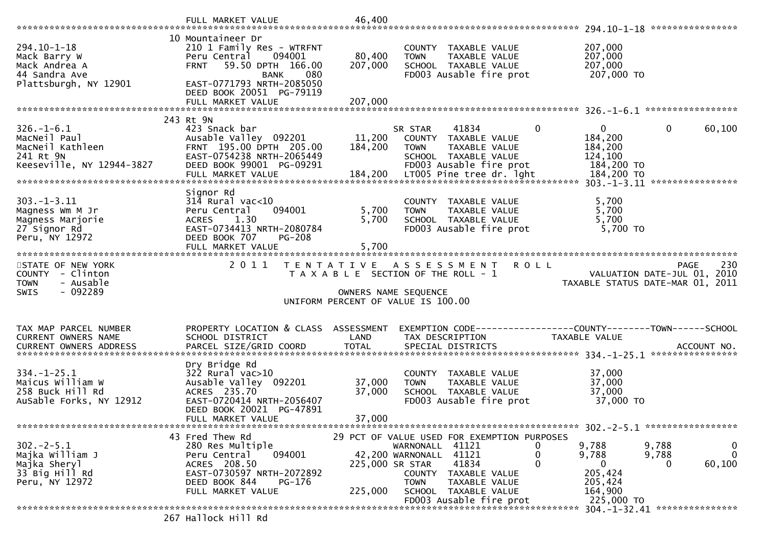| 294.10-1-18<br>Mack Barry W<br>Mack Andrea A<br>44 Sandra Ave<br>Plattsburgh, NY 12901         | 10 Mountaineer Dr<br>210 1 Family Res - WTRFNT<br>094001<br>Peru Central<br><b>FRNT</b><br>59.50 DPTH 166.00<br><b>BANK</b><br>080<br>EAST-0771793 NRTH-2085050       | 80,400<br>207,000          | COUNTY TAXABLE VALUE<br>TAXABLE VALUE<br><b>TOWN</b><br>SCHOOL TAXABLE VALUE<br>FD003 Ausable fire prot                                                       |                                  | 207,000<br>207,000<br>207,000<br>207,000 TO                        |                                                                                       |
|------------------------------------------------------------------------------------------------|-----------------------------------------------------------------------------------------------------------------------------------------------------------------------|----------------------------|---------------------------------------------------------------------------------------------------------------------------------------------------------------|----------------------------------|--------------------------------------------------------------------|---------------------------------------------------------------------------------------|
|                                                                                                | DEED BOOK 20051 PG-79119<br>FULL MARKET VALUE                                                                                                                         | 207,000                    |                                                                                                                                                               |                                  |                                                                    |                                                                                       |
|                                                                                                | 243 Rt 9N                                                                                                                                                             |                            |                                                                                                                                                               |                                  |                                                                    |                                                                                       |
| $326. - 1 - 6.1$<br>MacNeil Paul<br>MacNeil Kathleen<br>241 Rt 9N<br>Keeseville, NY 12944-3827 | 423 Snack bar<br>Ausable Valley 092201<br>FRNT 195.00 DPTH 205.00<br>EAST-0754238 NRTH-2065449<br>DEED BOOK 99001 PG-09291                                            | 11,200<br>184,200          | 41834<br>SR STAR<br>COUNTY TAXABLE VALUE<br>TAXABLE VALUE<br><b>TOWN</b><br>SCHOOL TAXABLE VALUE<br>FD003 Ausable fire prot                                   | $\mathbf 0$                      | $\mathbf{0}$<br>184,200<br>184,200<br>124,100<br>184,200 TO        | $\mathbf 0$<br>60,100                                                                 |
|                                                                                                |                                                                                                                                                                       |                            |                                                                                                                                                               |                                  |                                                                    |                                                                                       |
| $303. -1 - 3.11$<br>Magness Wm M Jr<br>Magness Marjorie<br>27 Signor Rd<br>Peru, NY 12972      | Signor Rd<br>$314$ Rural vac<10<br>Peru Central<br>094001<br><b>ACRES</b><br>1.30<br>EAST-0734413 NRTH-2080784<br>DEED BOOK 707<br><b>PG-208</b><br>FULL MARKET VALUE | 5,700<br>5,700<br>5,700    | COUNTY<br>TAXABLE VALUE<br>TAXABLE VALUE<br><b>TOWN</b><br>SCHOOL TAXABLE VALUE<br>FD003 Ausable fire prot                                                    |                                  | 5,700<br>5,700<br>5,700<br>5,700 TO                                |                                                                                       |
| STATE OF NEW YORK<br>COUNTY - Clinton<br><b>TOWN</b><br>- Ausable<br>- 092289<br><b>SWIS</b>   | 2011                                                                                                                                                                  |                            | TENTATIVE ASSESSMENT<br>T A X A B L E SECTION OF THE ROLL - 1<br>OWNERS NAME SEQUENCE<br>UNIFORM PERCENT OF VALUE IS 100.00                                   | <b>ROLL</b>                      |                                                                    | 230<br><b>PAGE</b><br>VALUATION DATE-JUL 01, 2010<br>TAXABLE STATUS DATE-MAR 01, 2011 |
|                                                                                                |                                                                                                                                                                       |                            |                                                                                                                                                               |                                  |                                                                    |                                                                                       |
| TAX MAP PARCEL NUMBER<br>CURRENT OWNERS NAME                                                   | PROPERTY LOCATION & CLASS ASSESSMENT<br>SCHOOL DISTRICT                                                                                                               | LAND                       | EXEMPTION CODE------------------COUNTY--------TOWN------SCHOOL<br>TAX DESCRIPTION                                                                             |                                  | TAXABLE VALUE                                                      |                                                                                       |
| $334. - 1 - 25.1$<br>Maicus William W<br>258 Buck Hill Rd<br>AuSable Forks, NY 12912           | Dry Bridge Rd<br>$322$ Rural vac $>10$<br>Ausable Valley 092201<br>ACRES 235.70<br>EAST-0720414 NRTH-2056407<br>DEED BOOK 20021 PG-47891<br>FULL MARKET VALUE         | 37,000<br>37,000<br>37,000 | COUNTY TAXABLE VALUE<br>TAXABLE VALUE<br><b>TOWN</b><br>SCHOOL TAXABLE VALUE<br>FD003 Ausable fire prot                                                       |                                  | 37,000<br>37,000<br>37,000<br>37,000 TO                            |                                                                                       |
|                                                                                                | 43 Fred Thew Rd                                                                                                                                                       |                            | 29 PCT OF VALUE USED FOR EXEMPTION PURPOSES                                                                                                                   |                                  |                                                                    |                                                                                       |
|                                                                                                |                                                                                                                                                                       |                            |                                                                                                                                                               |                                  |                                                                    |                                                                                       |
| $302 - 2 - 5.1$<br>Majka William J<br>Majka Sheryl<br>33 Big Hill Rd<br>Peru, NY 12972         | 280 Res Multiple<br>094001<br>Peru Central<br>ACRES 208.50<br>EAST-0730597 NRTH-2072892<br>DEED BOOK 844<br>PG-176<br>FULL MARKET VALUE                               | 225,000 SR STAR<br>225,000 | WARNONALL 41121<br>42,200 WARNONALL 41121<br>41834<br>COUNTY TAXABLE VALUE<br><b>TOWN</b><br>TAXABLE VALUE<br>SCHOOL TAXABLE VALUE<br>FD003 Ausable fire prot | $\mathbf{0}$<br>0<br>$\mathbf 0$ | 9,788<br>9,788<br>0<br>205,424<br>205,424<br>164,900<br>225,000 TO | 9,788<br>0<br>$\mathbf 0$<br>9,788<br>60,100<br>0                                     |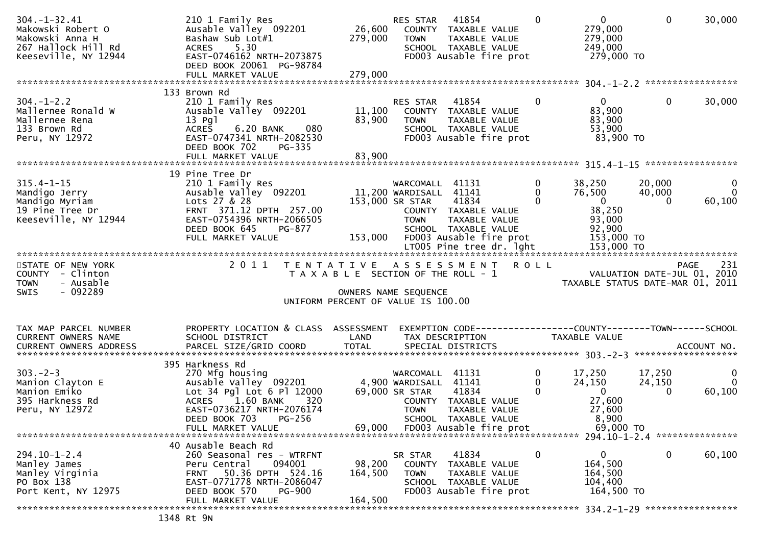| $304. - 1 - 32.41$<br>Makowski Robert O<br>Makowski Anna H<br>267 Hallock Hill Rd<br>Keeseville, NY 12944 | 210 1 Family Res<br>Ausable Valley 092201<br>Bashaw Sub Lot#1<br>5.30<br>ACRES<br>EAST-0746162 NRTH-2073875<br>DEED BOOK 20061 PG-98784<br>FULL MARKET VALUE                  | 279,000<br>279,000                    | RES STAR<br>26,600 COUNTY TAXABLE VALUE<br><b>TOWN</b> | 41854<br>TAXABLE VALUE<br>SCHOOL TAXABLE VALUE<br>FD003 Ausable fire prot                         | $\Omega$                                   | $\overline{0}$<br>279,000<br>279,000<br>249,000<br>279,000 TO | $\mathbf{0}$                                                    | 30,000                                |
|-----------------------------------------------------------------------------------------------------------|-------------------------------------------------------------------------------------------------------------------------------------------------------------------------------|---------------------------------------|--------------------------------------------------------|---------------------------------------------------------------------------------------------------|--------------------------------------------|---------------------------------------------------------------|-----------------------------------------------------------------|---------------------------------------|
|                                                                                                           | 133 Brown Rd                                                                                                                                                                  |                                       |                                                        |                                                                                                   |                                            |                                                               |                                                                 |                                       |
| $304. - 1 - 2.2$<br>Mallernee Ronald W<br>Mallernee Rena<br>133 Brown Rd<br>Peru, NY 12972                | 210 1 Family Res<br>Ausable Valley 092201<br>13 Pg1<br><b>ACRES</b><br>080<br>6.20 BANK<br>EAST-0747341 NRTH-2082530<br>DEED BOOK 702<br>PG-335                               | 11,100<br>83,900                      | RES STAR<br><b>TOWN</b>                                | 41854<br>COUNTY TAXABLE VALUE<br>TAXABLE VALUE<br>SCHOOL TAXABLE VALUE<br>FD003 Ausable fire prot | $\mathbf{0}$                               | $\overline{0}$<br>83,900<br>83,900<br>53,900<br>83,900 TO     | $\mathbf{0}$                                                    | 30,000                                |
|                                                                                                           | FULL MARKET VALUE                                                                                                                                                             | 83,900                                |                                                        |                                                                                                   |                                            |                                                               |                                                                 |                                       |
|                                                                                                           | 19 Pine Tree Dr                                                                                                                                                               |                                       |                                                        |                                                                                                   |                                            |                                                               |                                                                 |                                       |
| $315.4 - 1 - 15$<br>Mandigo Jerry<br>Mandigo Myriam<br>19 Pine Tree Dr                                    | 210 1 Family Res<br>Ausable Valley 092201<br>Lots 27 & 28<br>FRNT 371.12 DPTH 257.00                                                                                          | 11,200 WARDISALL 41141                | WARCOMALL 41131<br>153,000 SR STAR                     | 41834<br>COUNTY TAXABLE VALUE                                                                     | $\mathbf{0}$<br>$\mathbf{0}$<br>$\Omega$   | 38,250<br>76,500<br>$\overline{0}$<br>38,250                  | 20,000<br>40,000<br>$\Omega$                                    | $\mathbf 0$<br>$\mathbf{0}$<br>60,100 |
| Keeseville, NY 12944                                                                                      | EAST-0754396 NRTH-2066505<br>DEED BOOK 645<br>PG-877<br>FULL MARKET VALUE                                                                                                     |                                       | <b>TOWN</b><br>153,000 FD003 Ausable fire prot         | TAXABLE VALUE<br>SCHOOL TAXABLE VALUE<br>LT005 Pine tree dr. 1ght                                 |                                            | 93,000<br>92,900<br>153,000 TO<br>153,000 TO                  |                                                                 |                                       |
| STATE OF NEW YORK                                                                                         | 2011 TENTATIVE ASSESSMENT ROLL                                                                                                                                                |                                       |                                                        |                                                                                                   |                                            |                                                               |                                                                 | 231<br>PAGE                           |
| COUNTY - Clinton<br>- Ausable<br><b>TOWN</b><br>$-092289$<br><b>SWIS</b>                                  |                                                                                                                                                                               | T A X A B L E SECTION OF THE ROLL - 1 | OWNERS NAME SEQUENCE                                   |                                                                                                   |                                            |                                                               | VALUATION DATE-JUL 01, 2010<br>TAXABLE STATUS DATE-MAR 01, 2011 |                                       |
|                                                                                                           |                                                                                                                                                                               | UNIFORM PERCENT OF VALUE IS 100.00    |                                                        |                                                                                                   |                                            |                                                               |                                                                 |                                       |
| TAX MAP PARCEL NUMBER<br>CURRENT OWNERS NAME                                                              | PROPERTY LOCATION & CLASS ASSESSMENT<br>SCHOOL DISTRICT                                                                                                                       | LAND                                  |                                                        | TAX DESCRIPTION                                                                                   |                                            | TAXABLE VALUE                                                 | EXEMPTION CODE------------------COUNTY--------TOWN------SCHOOL  |                                       |
|                                                                                                           | 395 Harkness Rd                                                                                                                                                               |                                       |                                                        |                                                                                                   |                                            |                                                               |                                                                 |                                       |
| $303 - 2 - 3$<br>Manion Clayton E<br>Manion Emiko<br>395 Harkness Rd<br>Peru, NY 12972                    | 270 Mfg housing<br>Ausable Valley 092201 4,900 WARDISALL 41141<br>Lot 34 Pgl Lot 6 Pl 12000 69,000 SR STAR 41834<br>ACRES 1.60 BANK<br>320<br>EAST-0736217 NRTH-2076174       |                                       | WARCOMALL 41131<br><b>TOWN</b>                         | COUNTY TAXABLE VALUE<br>TAXABLE VALUE                                                             | $\mathbf 0$<br>$\mathbf{0}$<br>$\mathbf 0$ | 17,250<br>24,150<br>$\mathbf{0}$<br>27,600<br>27,600          | 17,250<br>24,150<br>$\mathbf{0}$                                | $\mathbf 0$<br>$\mathbf{0}$<br>60,100 |
|                                                                                                           | DEED BOOK 703<br>PG-256<br>FULL MARKET VALUE                                                                                                                                  | 69,000                                |                                                        | SCHOOL TAXABLE VALUE<br>FD003 Ausable fire prot                                                   |                                            | 8,900<br>69,000 TO                                            |                                                                 |                                       |
|                                                                                                           |                                                                                                                                                                               |                                       |                                                        |                                                                                                   |                                            |                                                               |                                                                 |                                       |
| $294.10 - 1 - 2.4$<br>Manley James<br>Manley Virginia<br>PO Box 138<br>Port Kent, NY 12975                | 40 Ausable Beach Rd<br>260 Seasonal res - WTRFNT<br>094001<br>Peru Central<br>50.36 DPTH 524.16<br><b>FRNT</b><br>EAST-0771778 NRTH-2086047<br>DEED BOOK 570<br><b>PG-900</b> | 98,200<br>164,500                     | SR STAR<br><b>COUNTY</b><br><b>TOWN</b>                | 41834<br>TAXABLE VALUE<br>TAXABLE VALUE<br>SCHOOL TAXABLE VALUE<br>FD003 Ausable fire prot        | 0                                          | 0<br>164,500<br>164,500<br>104,400<br>164,500 TO              | 0                                                               | 60,100                                |
|                                                                                                           | FULL MARKET VALUE                                                                                                                                                             | 164,500                               |                                                        |                                                                                                   |                                            |                                                               |                                                                 |                                       |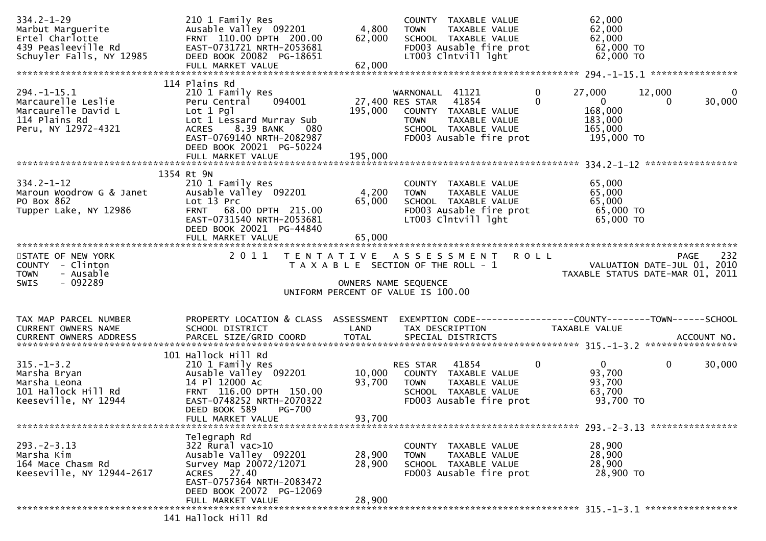| $334.2 - 1 - 29$<br>Marbut Marquerite<br>Ertel Charlotte<br>439 Peasleeville Rd<br>Schuyler Falls, NY 12985     | 210 1 Family Res<br>Ausable Valley 092201<br>FRNT 110.00 DPTH 200.00<br>EAST-0731721 NRTH-2053681<br>DEED BOOK 20082 PG-18651                                                                     | 4,800<br>62,000            | COUNTY TAXABLE VALUE<br>TAXABLE VALUE<br><b>TOWN</b><br>SCHOOL TAXABLE VALUE<br>FD003 Ausable fire prot<br>LT003 Clntvill lght               | 62,000<br>62,000<br>62,000<br>62,000 TO<br>62,000 TO                                                       |                                          |
|-----------------------------------------------------------------------------------------------------------------|---------------------------------------------------------------------------------------------------------------------------------------------------------------------------------------------------|----------------------------|----------------------------------------------------------------------------------------------------------------------------------------------|------------------------------------------------------------------------------------------------------------|------------------------------------------|
|                                                                                                                 |                                                                                                                                                                                                   |                            |                                                                                                                                              |                                                                                                            |                                          |
| $294. -1 - 15.1$<br>Marcaurelle Leslie<br>Marcaurelle David L<br>114 Plains Rd<br>Peru, NY 12972-4321           | 114 Plains Rd<br>210 1 Family Res<br>094001<br>Peru Central<br>$Lot 1$ Pgl<br>Lot 1 Lessard Murray Sub<br>ACRES 8.39 BANK 080<br>EAST-0769140 NRTH-2082987<br>DEED BOOK 20021 PG-50224            | 195,000                    | WARNONALL 41121<br>27,400 RES STAR 41854<br>COUNTY TAXABLE VALUE<br>TAXABLE VALUE<br>TOWN<br>SCHOOL TAXABLE VALUE<br>FD003 Ausable fire prot | 27,000<br>0<br>$\mathbf 0$<br>$\overline{\mathbf{0}}$<br>168,000<br>183,000<br>165,000<br>195,000 TO       | 12,000<br>$\Omega$<br>30,000<br>$\Omega$ |
|                                                                                                                 | FULL MARKET VALUE                                                                                                                                                                                 | 195,000                    |                                                                                                                                              |                                                                                                            |                                          |
|                                                                                                                 | 1354 Rt 9N                                                                                                                                                                                        |                            |                                                                                                                                              |                                                                                                            |                                          |
| $334.2 - 1 - 12$<br>Maroun Woodrow G & Janet<br>PO Box 862<br>Tupper Lake, NY 12986                             | 210 1 Family Res<br>Ausable Valley 092201<br>Lot 13 Prc<br>FRNT 68.00 DPTH 215.00<br>EAST-0731540 NRTH-2053681<br>DEED BOOK 20021 PG-44840                                                        | 4,200<br>65,000            | COUNTY TAXABLE VALUE<br>TAXABLE VALUE<br>TOWN<br>SCHOOL TAXABLE VALUE<br>FD003 Ausable fire prot<br>LT003 Clntvill lght                      | 65,000<br>65,000<br>65,000<br>65,000 TO<br>65,000 TO                                                       |                                          |
|                                                                                                                 | FULL MARKET VALUE                                                                                                                                                                                 | 65,000                     |                                                                                                                                              |                                                                                                            |                                          |
| STATE OF NEW YORK<br>COUNTY - Clinton<br><b>TOWN</b><br>- Ausable<br>$-092289$<br>SWIS                          |                                                                                                                                                                                                   | OWNERS NAME SEQUENCE       | 2011 TENTATIVE ASSESSMENT ROLL<br>T A X A B L E SECTION OF THE ROLL - 1<br>UNIFORM PERCENT OF VALUE IS 100.00                                | 232<br>VALUATION DATE-JUL 01, 2010<br>TAXARLE STATUS DATE MAR 01, 2019<br>TAXABLE STATUS DATE-MAR 01, 2011 | 232<br>PAGE                              |
|                                                                                                                 |                                                                                                                                                                                                   |                            |                                                                                                                                              |                                                                                                            |                                          |
| TAX MAP PARCEL NUMBER<br>CURRENT OWNERS NAME                                                                    | PROPERTY LOCATION & CLASS ASSESSMENT EXEMPTION CODE----------------COUNTY-------TOWN------SCHOOL<br>SCHOOL DISTRICT                                                                               | LAND                       | TAX DESCRIPTION                                                                                                                              | TAXABLE VALUE                                                                                              |                                          |
| $315. - 1 - 3.2$<br>Marsha Bryan<br>Marsha Bryan<br>Marsha Leona<br>101 Hallock Hill Rd<br>Keeseville, NY 12944 | 101 Hallock Hill Rd<br>210 1 Family Res<br>Ausable Valley 092201<br>14 Pl 12000 Ac<br>FRNT 116.00 DPTH 150.00<br>EAST-0748252 NRTH-2070322<br>DEED BOOK 589<br><b>PG-700</b><br>FULL MARKET VALUE | 10,000<br>93,700<br>93,700 | RES STAR<br>41854<br>COUNTY TAXABLE VALUE<br><b>TOWN</b><br>TAXABLE VALUE<br>SCHOOL TAXABLE VALUE<br>FD003 Ausable fire prot                 | $\mathbf 0$<br>$0 \qquad \qquad$<br>93,700<br>93,700<br>63,700<br>93,700 TO                                | $\mathbf{0}$<br>30,000                   |
|                                                                                                                 | Telegraph Rd                                                                                                                                                                                      |                            |                                                                                                                                              |                                                                                                            |                                          |
| $293. -2 - 3.13$<br>Marsha Kim<br>164 Mace Chasm Rd<br>Keeseville, NY 12944-2617                                | 322 Rural vac>10<br>Ausable Valley 092201<br>Survey Map 20072/12071<br>ACRES 27.40<br>EAST-0757364 NRTH-2083472<br>DEED BOOK 20072 PG-12069                                                       | 28,900<br>28,900           | COUNTY TAXABLE VALUE<br>TAXABLE VALUE<br><b>TOWN</b><br>SCHOOL TAXABLE VALUE<br>FD003 Ausable fire prot                                      | 28,900<br>28,900<br>28,900<br>28,900 TO                                                                    |                                          |
|                                                                                                                 | FULL MARKET VALUE                                                                                                                                                                                 | 28,900                     |                                                                                                                                              |                                                                                                            |                                          |
|                                                                                                                 | 141 Hallock Hill Rd                                                                                                                                                                               |                            |                                                                                                                                              |                                                                                                            |                                          |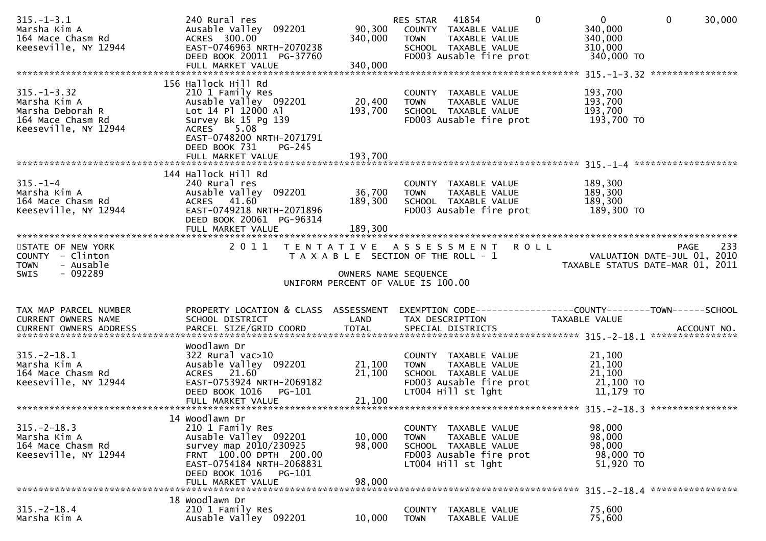| Marsha Kim A<br>164 Mace Chasm Rd<br>Keeseville, NY 12944                                          | 240 Rural res<br>Ausable Valley 092201<br>ACRES 300.00<br>EAST-0746963 NRTH-2070238<br>DEED BOOK 20011 PG-37760                                                                       | 90,300<br>340,000 | RES STAR<br>41854<br>COUNTY TAXABLE VALUE<br>TAXABLE VALUE<br><b>TOWN</b><br>SCHOOL TAXABLE VALUE<br>FD003 Ausable fire prot  | $\mathbf 0$<br>$\Omega$<br>340,000<br>340,000<br>310,000<br>340,000 TO | $\mathbf 0$<br>30,000                                                          |
|----------------------------------------------------------------------------------------------------|---------------------------------------------------------------------------------------------------------------------------------------------------------------------------------------|-------------------|-------------------------------------------------------------------------------------------------------------------------------|------------------------------------------------------------------------|--------------------------------------------------------------------------------|
|                                                                                                    |                                                                                                                                                                                       |                   |                                                                                                                               |                                                                        |                                                                                |
| $315. - 1 - 3.32$<br>Marsha Kim A<br>Marsha Deborah R<br>164 Mace Chasm Rd<br>Keeseville, NY 12944 | 156 Hallock Hill Rd<br>210 1 Family Res<br>Ausable Valley 092201<br>Lot 14 Pl 12000 Al<br>Survey Bk 15 Pg 139<br>ACRES 5.08<br>EAST-0748200 NRTH-2071791<br>DEED BOOK 731<br>$PG-245$ | 20,400<br>193,700 | COUNTY TAXABLE VALUE<br><b>TOWN</b><br>TAXABLE VALUE<br>SCHOOL TAXABLE VALUE<br>FD003 Ausable fire prot                       | 193,700<br>193,700<br>193,700<br>193,700 TO                            |                                                                                |
|                                                                                                    |                                                                                                                                                                                       |                   |                                                                                                                               |                                                                        |                                                                                |
| $315. - 1 - 4$<br>Marsha Kim A<br>164 Mace Chasm Rd<br>Keeseville, NY 12944                        | 144 Hallock Hill Rd<br>240 Rural res<br>Ausable Valley 092201<br>ACRES 41.60<br>EAST-0749218 NRTH-2071896<br>DEED BOOK 20061 PG-96314                                                 | 36,700<br>189,300 | COUNTY TAXABLE VALUE<br>TAXABLE VALUE<br><b>TOWN</b><br>SCHOOL TAXABLE VALUE<br>FD003 Ausable fire prot                       | 189,300<br>189,300<br>189,300<br>189,300 TO                            |                                                                                |
| STATE OF NEW YORK<br>COUNTY - Clinton<br>- Ausable<br><b>TOWN</b><br>SWIS<br>- 092289              |                                                                                                                                                                                       |                   | 2011 TENTATIVE ASSESSMENT<br>T A X A B L E SECTION OF THE ROLL - 1                                                            | <b>ROLL</b>                                                            | 233<br>PAGE<br>VALUATION DATE-JUL 01, 2010<br>TAXABLE STATUS DATE-MAR 01, 2011 |
|                                                                                                    |                                                                                                                                                                                       |                   | OWNERS NAME SEQUENCE<br>UNIFORM PERCENT OF VALUE IS 100.00                                                                    |                                                                        |                                                                                |
|                                                                                                    |                                                                                                                                                                                       |                   |                                                                                                                               |                                                                        |                                                                                |
| TAX MAP PARCEL NUMBER<br>CURRENT OWNERS NAME<br><b>CURRENT OWNERS ADDRESS</b>                      | PROPERTY LOCATION & CLASS ASSESSMENT<br>SCHOOL DISTRICT                                                                                                                               | LAND              | EXEMPTION CODE-----------------COUNTY-------TOWN------SCHOOL<br>TAX DESCRIPTION                                               | TAXABLE VALUE                                                          |                                                                                |
| $315. - 2 - 18.1$<br>Marsha Kim A<br>164 Mace Chasm Rd<br>Keeseville, NY 12944                     | Woodlawn Dr<br>$322$ Rural vac $>10$<br>Ausable Valley 092201<br>ACRES 21.60<br>EAST-0753924 NRTH-2069182<br>DEED BOOK 1016 PG-101                                                    | 21,100<br>21,100  | COUNTY TAXABLE VALUE<br>TAXABLE VALUE<br><b>TOWN</b><br>SCHOOL TAXABLE VALUE<br>FD003 Ausable fire prot<br>LT004 Hill st lght | 21,100<br>21,100<br>21,100<br>21,100 то<br>11,179 TO                   |                                                                                |
|                                                                                                    |                                                                                                                                                                                       |                   |                                                                                                                               |                                                                        |                                                                                |
| $315. -2 - 18.3$<br>Marsha Kim A<br>164 Mace Chasm Rd<br>Keeseville, NY 12944                      | 14 Woodlawn Dr<br>210 1 Family Res<br>Ausable Valley 092201<br>survey map 2010/230925<br>FRNT 100.00 DPTH 200.00<br>EAST-0754184 NRTH-2068831<br>DEED BOOK 1016<br>PG-101             | 10,000<br>98,000  | COUNTY TAXABLE VALUE<br>TAXABLE VALUE<br><b>TOWN</b><br>SCHOOL TAXABLE VALUE<br>FD003 Ausable fire prot<br>LT004 Hill st lght | 98,000<br>98,000<br>98,000<br>98,000 TO<br>51,920 TO                   |                                                                                |
|                                                                                                    | FULL MARKET VALUE                                                                                                                                                                     | 98,000            |                                                                                                                               | $315. - 2 - 18.4$                                                      | ****************                                                               |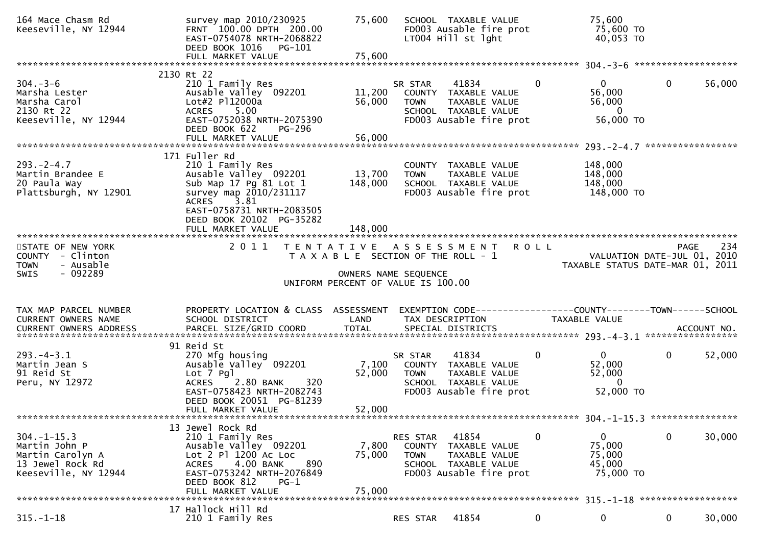| 164 Mace Chasm Rd<br>Keeseville, NY 12944                                                         | survey map 2010/230925<br>FRNT 100.00 DPTH 200.00<br>EAST-0754078 NRTH-2068822<br>DEED BOOK 1016<br>PG-101<br>FULL MARKET VALUE                                                       | 75,600<br>75,600          | SCHOOL TAXABLE VALUE<br>FD003 Ausable fire prot<br>LT004 Hill st lght                                                           |          | 75,600<br>75,600 TO<br>40,053 TO                                |             |        |
|---------------------------------------------------------------------------------------------------|---------------------------------------------------------------------------------------------------------------------------------------------------------------------------------------|---------------------------|---------------------------------------------------------------------------------------------------------------------------------|----------|-----------------------------------------------------------------|-------------|--------|
|                                                                                                   | 2130 Rt 22                                                                                                                                                                            |                           |                                                                                                                                 |          |                                                                 |             |        |
| $304. - 3 - 6$<br>Marsha Lester<br>Marsha Carol<br>2130 Rt 22<br>Keeseville, NY 12944             | 210 1 Family Res<br>Ausable Valley 092201<br>Lot#2 Pl12000a<br><b>ACRES</b><br>5.00<br>EAST-0752038 NRTH-2075390<br>DEED BOOK 622<br>PG-296                                           | 11,200<br>56,000          | 41834<br>SR STAR<br>COUNTY TAXABLE VALUE<br><b>TOWN</b><br>TAXABLE VALUE<br>SCHOOL TAXABLE VALUE<br>FD003 Ausable fire prot     | $\Omega$ | $0 \qquad$<br>56,000<br>56,000<br>$\overline{0}$<br>56,000 TO   | $\mathbf 0$ | 56,000 |
|                                                                                                   |                                                                                                                                                                                       |                           |                                                                                                                                 |          |                                                                 |             |        |
| $293. - 2 - 4.7$<br>Martin Brandee E<br>20 Paula Way<br>Plattsburgh, NY 12901                     | 171 Fuller Rd<br>210 1 Family Res<br>Ausable Valley 092201<br>Sub Map 17 Pg 81 Lot 1<br>survey map 2010/231117<br>ACRES 3.81<br>EAST-0758731 NRTH-2083505<br>DEED BOOK 20102 PG-35282 | 13,700<br>148,000         | COUNTY TAXABLE VALUE<br><b>TOWN</b><br>TAXABLE VALUE<br>SCHOOL TAXABLE VALUE<br>FD003 Ausable fire prot                         |          | 148,000<br>148,000<br>148,000<br>148,000 TO                     |             |        |
|                                                                                                   | FULL MARKET VALUE                                                                                                                                                                     | 148,000                   |                                                                                                                                 |          |                                                                 |             |        |
| STATE OF NEW YORK<br>COUNTY - Clinton<br>- Ausable<br><b>TOWN</b>                                 |                                                                                                                                                                                       |                           | 2011 TENTATIVE ASSESSMENT ROLL<br>T A X A B L E SECTION OF THE ROLL - 1                                                         |          | VALUATION DATE-JUL 01, 2010<br>TAXABLE STATUS DATE-MAR 01, 2011 | PAGE        | 234    |
| $-092289$<br><b>SWIS</b>                                                                          |                                                                                                                                                                                       |                           | OWNERS NAME SEQUENCE                                                                                                            |          |                                                                 |             |        |
|                                                                                                   |                                                                                                                                                                                       |                           | UNIFORM PERCENT OF VALUE IS 100.00                                                                                              |          |                                                                 |             |        |
| TAX MAP PARCEL NUMBER<br>CURRENT OWNERS NAME<br><b>CURRENT OWNERS ADDRESS</b>                     | PROPERTY LOCATION & CLASS ASSESSMENT<br>SCHOOL DISTRICT                                                                                                                               | LAND                      | TAX DESCRIPTION                                                                                                                 |          | <b>TAXABLE VALUE</b>                                            |             |        |
|                                                                                                   | 91 Reid St                                                                                                                                                                            |                           |                                                                                                                                 |          |                                                                 |             |        |
| $293. -4 - 3.1$<br>Martin Jean S<br>91 Reid St<br>Peru, NY 12972                                  | 270 Mfg housing<br>Ausable Valley 092201<br>Lot 7 Pgl<br>$2.80$ BANK<br>320<br><b>ACRES</b><br>EAST-0758423 NRTH-2082743<br>DEED BOOK 20051 PG-81239                                  | 7,100<br>52,000           | 41834<br>SR STAR<br>COUNTY TAXABLE VALUE<br><b>TOWN</b><br>TAXABLE VALUE<br>SCHOOL TAXABLE VALUE<br>FD003 Ausable fire prot     | 0        | $\mathbf{0}$<br>52,000<br>52,000<br>$\Omega$<br>52,000 TO       | $\mathbf 0$ | 52,000 |
|                                                                                                   | FULL MARKET VALUE                                                                                                                                                                     | 52,000                    |                                                                                                                                 |          |                                                                 |             |        |
| $304. -1 - 15.3$<br>Martin John P<br>Martin Carolyn A<br>13 Jewel Rock Rd<br>Keeseville, NY 12944 | 13 Jewel Rock Rd<br>210 1 Family Res<br>Ausable Valley 092201<br>Lot 2 Pl 1200 Ac Loc<br>4.00 BANK<br>890<br><b>ACRES</b><br>EAST-0753242 NRTH-2076849<br>DEED BOOK 812<br>$PG-1$     | 7,800<br>75,000<br>75,000 | 41854<br>RES STAR<br>COUNTY<br>TAXABLE VALUE<br><b>TOWN</b><br>TAXABLE VALUE<br>SCHOOL TAXABLE VALUE<br>FD003 Ausable fire prot |          | $\overline{0}$<br>75,000<br>75,000<br>45,000<br>75,000 TO       | 0           | 30,000 |
|                                                                                                   | FULL MARKET VALUE<br>17 Hallock Hill Rd                                                                                                                                               |                           |                                                                                                                                 |          |                                                                 |             |        |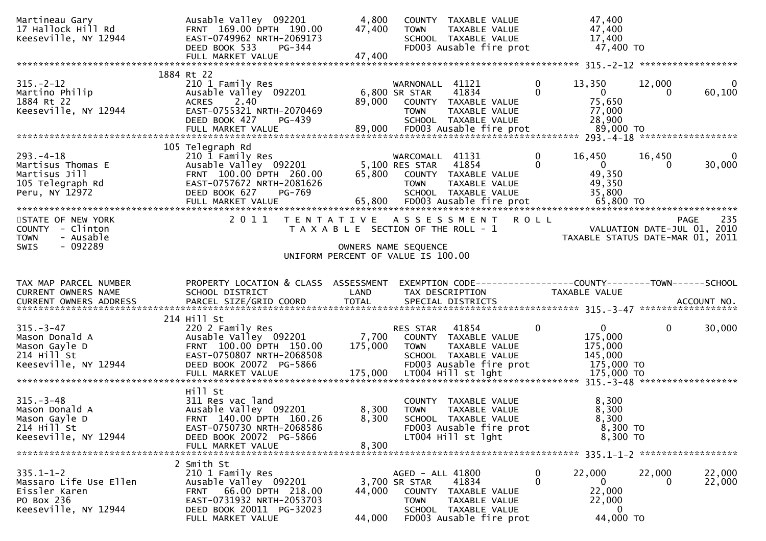| Martineau Gary<br>17 Hallock Hill Rd<br>Keeseville, NY 12944                                     | Ausable Valley 092201<br>FRNT 169.00 DPTH 190.00<br>EAST-0749962 NRTH-2069173<br>DEED BOOK 533<br>PG-344<br>FULL MARKET VALUE                                | 4,800<br>47,400<br>47,400 | COUNTY TAXABLE VALUE<br>TAXABLE VALUE<br>TOWN<br>SCHOOL TAXABLE VALUE<br>FD003 Ausable fire prot                                 |               | 47,400<br>47,400<br>17,400<br>47,400 TO                         |                    |                          |
|--------------------------------------------------------------------------------------------------|--------------------------------------------------------------------------------------------------------------------------------------------------------------|---------------------------|----------------------------------------------------------------------------------------------------------------------------------|---------------|-----------------------------------------------------------------|--------------------|--------------------------|
|                                                                                                  |                                                                                                                                                              |                           |                                                                                                                                  |               |                                                                 |                    |                          |
| $315. - 2 - 12$<br>Martino Philip<br>1884 Rt 22<br>Keeseville, NY 12944                          | 1884 Rt 22<br>210 1 Family Res<br>Ausable Valley 092201<br>2.40<br><b>ACRES</b><br>EAST-0755321 NRTH-2070469<br>DEED BOOK 427<br>PG-439                      |                           | WARNONALL 41121<br>6,800 SR STAR<br>41834<br>89,000 COUNTY TAXABLE VALUE<br>TAXABLE VALUE<br><b>TOWN</b><br>SCHOOL TAXABLE VALUE | 0<br>$\Omega$ | 13,350<br>$\overline{0}$<br>75,650<br>77,000<br>28,900          | 12,000<br>$\Omega$ | $\overline{0}$<br>60,100 |
|                                                                                                  | 105 Telegraph Rd                                                                                                                                             |                           |                                                                                                                                  |               |                                                                 |                    |                          |
| $293. -4 - 18$<br>Martisus Thomas E<br>Martisus Jill<br>105 Telegraph Rd<br>Peru, NY 12972       | 210 1 Family Res<br>Ausable Valley 092201 5,100 RES STAR<br>FRNT 100.00 DPTH 260.00<br>EAST-0757672 NRTH-2081626<br>DEED BOOK 627<br>PG-769                  | 65,800                    | WARCOMALL 41131<br>41854<br>COUNTY TAXABLE VALUE<br><b>TOWN</b><br>TAXABLE VALUE<br>SCHOOL TAXABLE VALUE                         | 0<br>$\Omega$ | 16,450<br>$\overline{0}$<br>49,350<br>49,350<br>35,800          | 16,450<br>0        | $\mathbf 0$<br>30,000    |
| STATE OF NEW YORK<br>COUNTY - Clinton<br><b>TOWN</b><br>- Ausable                                | 2011                                                                                                                                                         |                           | TENTATIVE ASSESSMENT ROLL<br>T A X A B L E SECTION OF THE ROLL - 1                                                               |               | VALUATION DATE-JUL 01, 2010<br>TAXABLE STATUS DATE-MAR 01, 2011 |                    | <b>PAGE</b><br>235       |
| $-092289$<br><b>SWIS</b>                                                                         |                                                                                                                                                              |                           | OWNERS NAME SEQUENCE<br>UNIFORM PERCENT OF VALUE IS 100.00                                                                       |               |                                                                 |                    |                          |
| TAX MAP PARCEL NUMBER<br>CURRENT OWNERS NAME                                                     | PROPERTY LOCATION & CLASS ASSESSMENT<br>SCHOOL DISTRICT                                                                                                      | LAND                      | EXEMPTION CODE------------------COUNTY--------TOWN------SCHOOL<br>TAX DESCRIPTION                                                |               | TAXABLE VALUE                                                   |                    |                          |
|                                                                                                  |                                                                                                                                                              |                           |                                                                                                                                  |               |                                                                 |                    |                          |
| $315. - 3 - 47$<br>Mason Donald A<br>Mason Gayle D<br>214 Hill St<br>Keeseville, NY 12944        | 214 Hill St<br>220 2 Family Res<br>Ausable Valley 092201<br>FRNT 100.00 DPTH 150.00<br>EAST-0750807 NRTH-2068508<br>DEED BOOK 20072 PG-5866                  | 7,700<br>175,000          | 41854<br>RES STAR<br>COUNTY TAXABLE VALUE<br><b>TOWN</b><br>TAXABLE VALUE<br>SCHOOL TAXABLE VALUE<br>FD003 Ausable fire prot     | $\mathbf{0}$  | $\mathbf{0}$<br>175,000<br>175,000<br>145,000<br>175,000 TO     | $\mathbf{0}$       | 30,000                   |
| $315. - 3 - 48$<br>Mason Donald A<br>Mason Gayle D<br>214 Hill St<br>Keeseville, NY 12944        | Hill St<br>311 Res vac land<br>Ausable Valley 092201<br>FRNT 140.00 DPTH 160.26<br>EAST-0750730 NRTH-2068586<br>DEED BOOK 20072 PG-5866<br>FULL MARKET VALUE | 8,300<br>8,300<br>8,300   | COUNTY TAXABLE VALUE<br><b>TOWN</b><br>TAXABLE VALUE<br>SCHOOL TAXABLE VALUE<br>FD003 Ausable fire prot<br>LT004 Hill st lght    |               | 8,300<br>8,300<br>8,300<br>8,300 TO<br>8,300 TO                 |                    |                          |
|                                                                                                  | 2 Smith St                                                                                                                                                   |                           |                                                                                                                                  |               |                                                                 |                    |                          |
| $335.1 - 1 - 2$<br>Massaro Life Use Ellen<br>Eissler Karen<br>PO Box 236<br>Keeseville, NY 12944 | 210 1 Family Res<br>Ausable Valley 092201<br>FRNT<br>66.00 DPTH 218.00<br>EAST-0731932 NRTH-2053703<br>DEED BOOK 20011 PG-32023                              | 44,000                    | AGED - ALL 41800<br>41834<br>3,700 SR STAR<br>COUNTY TAXABLE VALUE<br>TAXABLE VALUE<br><b>TOWN</b><br>SCHOOL TAXABLE VALUE       | 0<br>0        | 22,000<br>$\mathbf{0}$<br>22,000<br>22,000<br>0                 | 22,000<br>0        | 22,000<br>22,000         |
|                                                                                                  | FULL MARKET VALUE                                                                                                                                            | 44,000                    | FD003 Ausable fire prot                                                                                                          |               | 44,000 TO                                                       |                    |                          |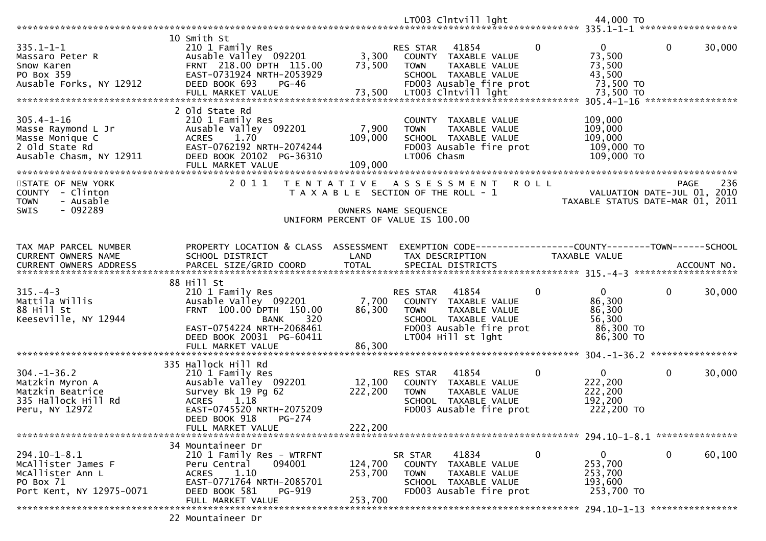| $335.1 - 1 - 1$<br>Massaro Peter R<br>Snow Karen<br>PO Box 359<br>Ausable Forks, NY 12912               | 10 Smith St<br>210 1 Family Res<br>Ausable Valley 092201<br>FRNT 218.00 DPTH 115.00<br>EAST-0731924 NRTH-2053929<br>DEED BOOK 693<br>PG-46<br>FULL MARKET VALUE                   | 3,300<br>73,500<br>73,500                                                                           | <b>RES STAR</b><br><b>TOWN</b>          | 41854<br>COUNTY TAXABLE VALUE<br>TAXABLE VALUE<br>SCHOOL TAXABLE VALUE<br>FD003 Ausable fire prot<br>LT003 Clntvill lght | $\mathbf{0}$ | $\Omega$<br>73,500<br>73,500<br>43,500<br>73,500 TO<br>73,500 TO                  | $\mathbf 0$  | 30,000 |
|---------------------------------------------------------------------------------------------------------|-----------------------------------------------------------------------------------------------------------------------------------------------------------------------------------|-----------------------------------------------------------------------------------------------------|-----------------------------------------|--------------------------------------------------------------------------------------------------------------------------|--------------|-----------------------------------------------------------------------------------|--------------|--------|
| $305.4 - 1 - 16$<br>Masse Raymond L Jr<br>Masse Monique C<br>2 Old State Rd<br>Ausable Chasm, NY 12911  | 2 Old State Rd<br>210 1 Family Res<br>Ausable Valley 092201<br>ACRES 1.70<br>EAST-0762192 NRTH-2074244<br>DEED BOOK 20102 PG-36310<br>FULL MARKET VALUE                           | 7,900<br>109,000<br>109,000                                                                         | <b>TOWN</b><br>LT006 Chasm              | COUNTY TAXABLE VALUE<br>TAXABLE VALUE<br>SCHOOL TAXABLE VALUE<br>FD003 Ausable fire prot                                 |              | 109,000<br>109,000<br>109,000<br>109,000 TO<br>109,000 TO                         |              |        |
| STATE OF NEW YORK<br><b>COUNTY</b><br>- Clinton<br>- Ausable<br><b>TOWN</b><br>$-092289$<br><b>SWIS</b> | 2 0 1 1<br>T E N T A T I V E                                                                                                                                                      | T A X A B L E SECTION OF THE ROLL - 1<br>OWNERS NAME SEQUENCE<br>UNIFORM PERCENT OF VALUE IS 100.00 |                                         | A S S E S S M E N T                                                                                                      | <b>ROLL</b>  | VALUATION DATE-JUL 01, 2010<br>TAXABLE STATUS DATE-MAR 01, 2011                   | PAGE         | 236    |
| TAX MAP PARCEL NUMBER<br>CURRENT OWNERS NAME                                                            | PROPERTY LOCATION & CLASS ASSESSMENT<br>SCHOOL DISTRICT                                                                                                                           | LAND                                                                                                |                                         | TAX DESCRIPTION                                                                                                          |              | EXEMPTION CODE------------------COUNTY--------TOWN------SCHOOL<br>TAXABLE VALUE   |              |        |
| $315. -4 - 3$<br>Mattila Willis<br>88 Hill St<br>Keeseville, NY 12944                                   | 88 Hill St<br>210 1 Family Res<br>Ausable Valley 092201<br>FRNT 100.00 DPTH 150.00<br>320<br>BANK<br>EAST-0754224 NRTH-2068461<br>DEED BOOK 20031 PG-60411<br>FULL MARKET VALUE   | 7,700<br>86,300<br>86,300                                                                           | RES STAR<br><b>TOWN</b>                 | 41854<br>COUNTY TAXABLE VALUE<br>TAXABLE VALUE<br>SCHOOL TAXABLE VALUE<br>FD003 Ausable fire prot<br>LT004 Hill st lght  | $\mathbf 0$  | $\overline{0}$<br>86,300<br>86,300<br>56,300<br>86,300 TO<br>86,300 TO            | $\Omega$     | 30,000 |
| $304. - 1 - 36.2$<br>Matzkin Myron A<br>Matzkin Beatrice<br>335 Hallock Hill Rd<br>Peru, NY 12972       | 335 Hallock Hill Rd<br>210 1 Family Res<br>Ausable Valley 092201<br>Survey Bk 19 Pg 62<br>ACRES 1.18<br>EAST-0745520 NRTH-2075209<br>DEED BOOK 918<br>PG-274<br>FULL MARKET VALUE | 12,100<br>222,200<br>222,200                                                                        | RES STAR<br>COUNTY<br><b>TOWN</b>       | 41854<br>TAXABLE VALUE<br>TAXABLE VALUE<br>SCHOOL TAXABLE VALUE<br>FD003 Ausable fire prot                               | $\mathbf{0}$ | $\overline{0}$<br>222,200<br>222,200<br>192,200<br>222,200 TO                     | $\mathbf{0}$ | 30,000 |
| $294.10 - 1 - 8.1$<br>McAllister James F<br>MCAllister Ann L<br>PO Box 71<br>Port Kent, NY 12975-0071   | 34 Mountaineer Dr<br>210 1 Family Res - WTRFNT<br>094001<br>Peru Central<br>1.10<br><b>ACRES</b><br>EAST-0771764 NRTH-2085701<br>DEED BOOK 581<br>PG-919<br>FULL MARKET VALUE     | 124,700<br>253,700<br>253,700                                                                       | SR STAR<br><b>COUNTY</b><br><b>TOWN</b> | 41834<br>TAXABLE VALUE<br>TAXABLE VALUE<br>SCHOOL TAXABLE VALUE<br>FD003 Ausable fire prot                               | $\mathbf 0$  | 0<br>253,700<br>253,700<br>193,600<br>253,700 TO<br>294.10-1-13 ***************** | 0            | 60,100 |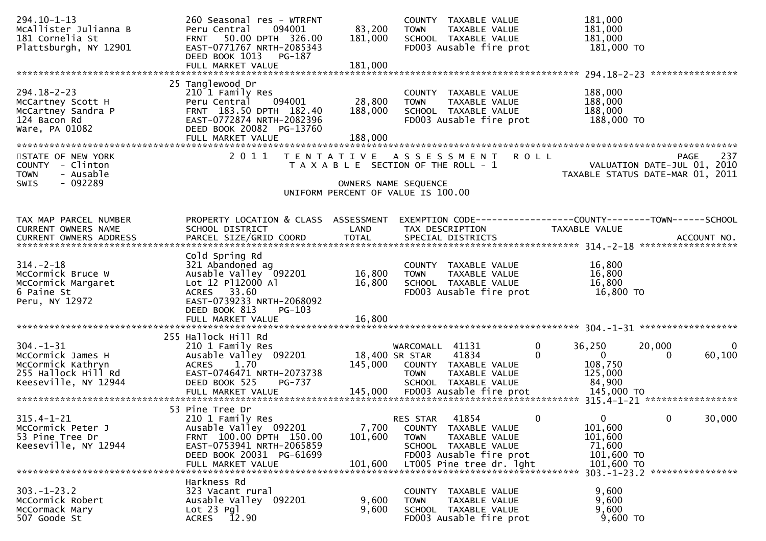| 294.10-1-13<br>McAllister Julianna B<br>181 Cornelia St<br>Plattsburgh, NY 12901                        | 260 Seasonal res - WTRFNT<br>094001<br>Peru Central<br>50.00 DPTH 326.00<br><b>FRNT</b><br>EAST-0771767 NRTH-2085343<br>DEED BOOK 1013 PG-187                           | 83,200<br>181,000            | COUNTY TAXABLE VALUE<br>TAXABLE VALUE<br><b>TOWN</b><br>SCHOOL TAXABLE VALUE<br>FD003 Ausable fire prot                             | 181,000<br>181,000<br>181,000<br>181,000 TO                               |                                                                                       |
|---------------------------------------------------------------------------------------------------------|-------------------------------------------------------------------------------------------------------------------------------------------------------------------------|------------------------------|-------------------------------------------------------------------------------------------------------------------------------------|---------------------------------------------------------------------------|---------------------------------------------------------------------------------------|
|                                                                                                         |                                                                                                                                                                         |                              |                                                                                                                                     |                                                                           |                                                                                       |
| $294.18 - 2 - 23$<br>McCartney Scott H<br>McCartney Sandra P<br>124 Bacon Rd<br>Ware, PA 01082          | 25 Tanglewood Dr<br>210 1 Family Res<br>094001<br>Peru Central<br>FRNT 183.50 DPTH 182.40<br>EAST-0772874 NRTH-2082396<br>DEED BOOK 20082 PG-13760<br>FULL MARKET VALUE | 28,800<br>188,000<br>188,000 | COUNTY TAXABLE VALUE<br><b>TOWN</b><br>TAXABLE VALUE<br>SCHOOL TAXABLE VALUE<br>FD003 Ausable fire prot                             | 188,000<br>188,000<br>188,000<br>188,000 TO                               |                                                                                       |
| STATE OF NEW YORK<br>COUNTY - Clinton<br>- Ausable<br><b>TOWN</b><br>$-092289$<br>SWIS                  | 2011                                                                                                                                                                    |                              | TENTATIVE ASSESSMENT ROLL<br>T A X A B L E SECTION OF THE ROLL - 1<br>OWNERS NAME SEQUENCE<br>UNIFORM PERCENT OF VALUE IS 100.00    |                                                                           | 237<br><b>PAGE</b><br>VALUATION DATE-JUL 01, 2010<br>TAXABLE STATUS DATE-MAR 01, 2011 |
|                                                                                                         |                                                                                                                                                                         |                              |                                                                                                                                     |                                                                           |                                                                                       |
| TAX MAP PARCEL NUMBER<br>CURRENT OWNERS NAME                                                            | PROPERTY LOCATION & CLASS ASSESSMENT<br>SCHOOL DISTRICT                                                                                                                 | LAND                         | EXEMPTION CODE------------------COUNTY--------TOWN------SCHOOL<br>TAX DESCRIPTION                                                   | TAXABLE VALUE                                                             |                                                                                       |
| $314. - 2 - 18$<br>McCormick Bruce W<br>McCormick Margaret<br>6 Paine St<br>Peru, NY 12972              | Cold Spring Rd<br>321 Abandoned ag<br>Ausable Valley 092201<br>Lot 12 P112000 Al<br>ACRES 33.60<br>EAST-0739233 NRTH-2068092<br>DEED BOOK 813<br>$PG-103$               | 16,800<br>16,800             | COUNTY TAXABLE VALUE<br>TAXABLE VALUE<br><b>TOWN</b><br>SCHOOL TAXABLE VALUE<br>FD003 Ausable fire prot                             | 16,800<br>16,800<br>16,800<br>16,800 TO                                   |                                                                                       |
| $304. -1 - 31$<br>McCormick James H<br>McCormick Kathryn<br>255 Hallock Hill Rd<br>Keeseville, NY 12944 | 255 Hallock Hill Rd<br>210 1 Family Res<br>Ausable Valley 092201<br><b>ACRES</b><br>1.70<br>EAST-0746471 NRTH-2073738<br>DEED BOOK 525<br>PG-737                        |                              | WARCOMALL 41131<br>18,400 SR STAR<br>41834<br>145,000 COUNTY TAXABLE VALUE<br>TAXABLE VALUE<br><b>TOWN</b><br>SCHOOL TAXABLE VALUE  | 0<br>36,250<br>$\Omega$<br>$\overline{0}$<br>108,750<br>125,000<br>84,900 | 20,000<br>$\bf{0}$<br>60,100<br>$\Omega$                                              |
| $315.4 - 1 - 21$<br>McCormick Peter J<br>53 Pine Tree Dr<br>Keeseville, NY 12944                        | 53 Pine Tree Dr<br>210 1 Family Res<br>Ausable Valley 092201<br>FRNT 100.00 DPTH 150.00<br>EAST-0753941 NRTH-2065859<br>DEED BOOK 20031 PG-61699                        | 7,700<br>101,600             | 41854<br><b>RES STAR</b><br>COUNTY TAXABLE VALUE<br>TAXABLE VALUE<br><b>TOWN</b><br>SCHOOL TAXABLE VALUE<br>FD003 Ausable fire prot | $\Omega$<br>0<br>101,600<br>101,600<br>71,600<br>101,600 TO<br>101,600 TO | 0<br>30,000<br>303. -1-23. 2 *****************                                        |
| $303. - 1 - 23.2$<br>McCormick Robert<br>McCormack Mary<br>507 Goode St                                 | Harkness Rd<br>323 Vacant rural<br>Ausable Valley 092201<br>$Lot 23$ Pgl<br><b>ACRES</b><br>12.90                                                                       | 9,600<br>9,600               | COUNTY TAXABLE VALUE<br>TAXABLE VALUE<br><b>TOWN</b><br>SCHOOL TAXABLE VALUE<br>FD003 Ausable fire prot                             | 9,600<br>9,600<br>9,600<br>9,600 TO                                       |                                                                                       |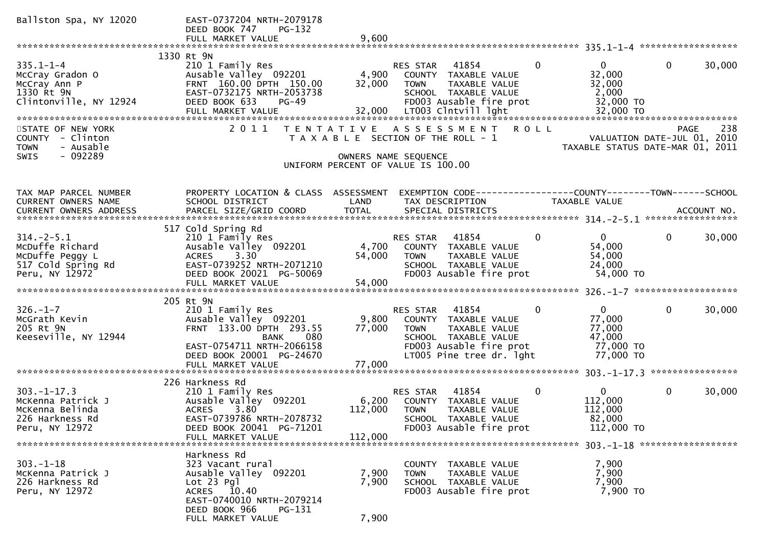| Ballston Spa, NY 12020                               | EAST-0737204 NRTH-2079178<br>DEED BOOK 747<br>PG-132                 |                  |                                                                                 |              |                                  |              |        |
|------------------------------------------------------|----------------------------------------------------------------------|------------------|---------------------------------------------------------------------------------|--------------|----------------------------------|--------------|--------|
|                                                      | FULL MARKET VALUE                                                    | 9,600            |                                                                                 |              |                                  |              |        |
|                                                      | 1330 Rt 9N                                                           |                  |                                                                                 |              |                                  |              |        |
| $335.1 - 1 - 4$<br>McCray Gradon O<br>McCray Ann P   | 210 1 Family Res<br>Ausable Valley 092201<br>FRNT 160.00 DPTH 150.00 | 4,900<br>32,000  | RES STAR<br>41854<br>COUNTY TAXABLE VALUE<br><b>TOWN</b><br>TAXABLE VALUE       | $\mathbf{0}$ | $\mathbf{0}$<br>32,000<br>32,000 | $\mathbf{0}$ | 30,000 |
| 1330 Rt 9N<br>Clintonville, NY 12924                 | EAST-0732175 NRTH-2053738<br>DEED BOOK 633<br>PG-49                  |                  | SCHOOL TAXABLE VALUE<br>FD003 Ausable fire prot                                 |              | 2,000<br>32,000 TO               |              |        |
|                                                      | FULL MARKET VALUE                                                    |                  | 32,000 LT003 Clntvill lght                                                      |              | 32,000 TO                        |              |        |
| STATE OF NEW YORK<br>COUNTY - Clinton                | 2011                                                                 |                  | TENTATIVE ASSESSMENT<br>T A X A B L E SECTION OF THE ROLL - 1                   | <b>ROLL</b>  | VALUATION DATE-JUL 01, 2010      | PAGE         | 238    |
| <b>TOWN</b><br>- Ausable<br>$-092289$<br><b>SWIS</b> |                                                                      |                  | OWNERS NAME SEQUENCE<br>UNIFORM PERCENT OF VALUE IS 100.00                      |              | TAXABLE STATUS DATE-MAR 01, 2011 |              |        |
|                                                      |                                                                      |                  |                                                                                 |              |                                  |              |        |
| TAX MAP PARCEL NUMBER<br>CURRENT OWNERS NAME         | PROPERTY LOCATION & CLASS ASSESSMENT<br>SCHOOL DISTRICT              | LAND             | EXEMPTION CODE-----------------COUNTY-------TOWN------SCHOOL<br>TAX DESCRIPTION |              | TAXABLE VALUE                    |              |        |
|                                                      |                                                                      |                  |                                                                                 |              |                                  |              |        |
|                                                      | 517 Cold Spring Rd                                                   |                  |                                                                                 |              |                                  |              |        |
| $314. - 2 - 5.1$<br>McDuffe Richard                  | 210 1 Family Res<br>Ausable Valley 092201                            | 4,700            | 41854<br>RES STAR<br>COUNTY TAXABLE VALUE                                       | $\mathbf{0}$ | $\mathbf{0}$<br>54,000           | $\mathbf 0$  | 30,000 |
| McDuffe Peggy L                                      | ACRES<br>3.30                                                        | 54,000           | TAXABLE VALUE<br><b>TOWN</b>                                                    |              | 54,000                           |              |        |
| 517 Cold Spring Rd                                   | EAST-0739252 NRTH-2071210                                            |                  | SCHOOL TAXABLE VALUE                                                            |              | 24,000                           |              |        |
| Peru, NY 12972                                       | DEED BOOK 20021 PG-50069<br>FULL MARKET VALUE                        | 54,000           | FD003 Ausable fire prot                                                         |              | 54,000 TO                        |              |        |
|                                                      |                                                                      |                  |                                                                                 |              |                                  |              |        |
|                                                      | 205 Rt 9N                                                            |                  |                                                                                 |              |                                  |              |        |
| $326. - 1 - 7$<br>McGrath Kevin                      | 210 1 Family Res<br>Ausable Valley 092201                            | 9,800            | 41854<br>RES STAR<br>COUNTY TAXABLE VALUE                                       | 0            | 0<br>77,000                      | $\mathbf{0}$ | 30,000 |
| 205 Rt 9N                                            | FRNT 133.00 DPTH 293.55                                              | 77,000           | TAXABLE VALUE<br>TOWN                                                           |              | 77,000                           |              |        |
| Keeseville, NY 12944                                 | 080<br><b>BANK</b>                                                   |                  | SCHOOL TAXABLE VALUE                                                            |              | 47,000                           |              |        |
|                                                      | EAST-0754711 NRTH-2066158                                            |                  | FD003 Ausable fire prot                                                         |              | 77,000 TO                        |              |        |
|                                                      | DEED BOOK 20001 PG-24670<br>FULL MARKET VALUE                        | 77,000           | LT005 Pine tree dr. 1ght                                                        |              | 77,000 TO                        |              |        |
|                                                      |                                                                      |                  |                                                                                 |              |                                  |              |        |
|                                                      | 226 Harkness Rd                                                      |                  |                                                                                 |              |                                  |              |        |
| $303. -1 - 17.3$                                     | 210 1 Family Res                                                     |                  | 41854<br>RES STAR                                                               | 0            | $\mathbf{0}$<br>112,000          | $\mathbf 0$  | 30,000 |
| McKenna Patrick J<br>McKenna Belinda                 | Ausable Valley 092201<br><b>ACRES</b><br>3.80                        | 6,200<br>112,000 | COUNTY TAXABLE VALUE<br><b>TOWN</b><br>TAXABLE VALUE                            |              | 112,000                          |              |        |
| 226 Harkness Rd                                      | EAST-0739786 NRTH-2078732                                            |                  | <b>SCHOOL</b><br>TAXABLE VALUE                                                  |              | 82,000                           |              |        |
| Peru, NY 12972                                       | DEED BOOK 20041 PG-71201                                             |                  | FD003 Ausable fire prot                                                         |              | 112,000 TO                       |              |        |
|                                                      | FULL MARKET VALUE                                                    | 112,000          |                                                                                 |              |                                  |              |        |
|                                                      | Harkness Rd                                                          |                  |                                                                                 |              |                                  |              |        |
| $303 - 1 - 18$                                       | 323 Vacant rural                                                     |                  | COUNTY<br>TAXABLE VALUE                                                         |              | 7,900                            |              |        |
| McKenna Patrick J                                    | Ausable Valley 092201                                                | 7,900            | TAXABLE VALUE<br><b>TOWN</b>                                                    |              | 7,900                            |              |        |
| 226 Harkness Rd                                      | Lot 23 Pgl                                                           | 7,900            | SCHOOL TAXABLE VALUE                                                            |              | 7,900                            |              |        |
| Peru, NY 12972                                       | ACRES 10.40<br>EAST-0740010 NRTH-2079214                             |                  | FD003 Ausable fire prot                                                         |              | 7,900 TO                         |              |        |
|                                                      | DEED BOOK 966<br>PG-131<br>FULL MARKET VALUE                         | 7,900            |                                                                                 |              |                                  |              |        |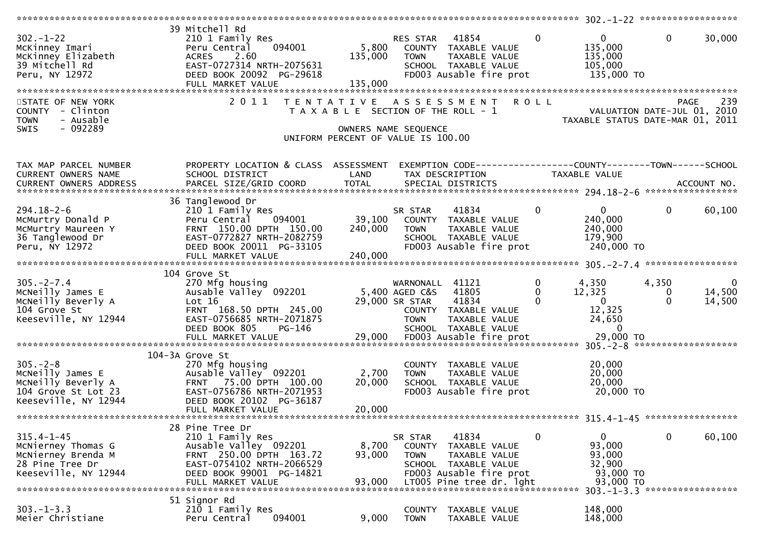|                                                                                                         |                                                                                                                                                                            |                                                                                                     |                                                                    |                                                                                                                        |                                         | ************** 302.-1-22 *******************                                                           |                        |                                                           |
|---------------------------------------------------------------------------------------------------------|----------------------------------------------------------------------------------------------------------------------------------------------------------------------------|-----------------------------------------------------------------------------------------------------|--------------------------------------------------------------------|------------------------------------------------------------------------------------------------------------------------|-----------------------------------------|--------------------------------------------------------------------------------------------------------|------------------------|-----------------------------------------------------------|
| 302.-1-22<br>McKinney Imari<br>McKinney Elizabeth<br>^^ Mitchell Rd<br>STATE OF NEW YORK                | 39 Mitchell Rd<br>210 1 Family Res<br>094001<br>Peru Central<br>2.60<br><b>ACRES</b><br>EAST-0727314 NRTH-2075631<br>DEED BOOK 20092 PG-29618<br>FULL MARKET VALUE<br>2011 | 5,800<br>135,000<br>135,000<br>T E N T A T I V E                                                    | RES STAR 41854<br><b>TOWN</b>                                      | COUNTY TAXABLE VALUE<br>TAXABLE VALUE<br>SCHOOL TAXABLE VALUE<br>FD003 Ausable fire prot<br>ASSESSMENT ROLL            | $\overline{0}$                          | $\overline{0}$<br>135,000<br>135,000<br>105,000<br>135,000 TO                                          | $\overline{0}$         | 30,000<br>239<br><b>PAGE</b>                              |
| COUNTY - Clinton<br>- Ausable<br><b>TOWN</b><br>$-092289$<br>SWIS                                       |                                                                                                                                                                            | T A X A B L E SECTION OF THE ROLL - 1<br>OWNERS NAME SEQUENCE<br>UNIFORM PERCENT OF VALUE IS 100.00 |                                                                    |                                                                                                                        |                                         | VALUATION DATE-JUL 01, 2010<br>TAXABLE STATUS DATE-MAR 01, 2011                                        |                        |                                                           |
| TAX MAP PARCEL NUMBER<br>CURRENT OWNERS NAME                                                            | PROPERTY LOCATION & CLASS ASSESSMENT<br>SCHOOL DISTRICT                                                                                                                    | LAND                                                                                                |                                                                    | TAX DESCRIPTION                                                                                                        |                                         | EXEMPTION CODE-----------------COUNTY--------TOWN------SCHOOL<br>TAXABLE VALUE                         |                        |                                                           |
| $294.18 - 2 - 6$<br>McMurtry Donald P<br>McMurtry Maureen Y<br>36 Tanglewood Dr<br>Peru, NY 12972       | 36 Tanglewood Dr<br>210 1 Family Res<br>094001<br>Peru Central<br>FRNT 150.00 DPTH 150.00<br>EAST-0772827 NRTH-2082759<br>DEED BOOK 20011 PG-33105<br>FULL MARKET VALUE    | 39,100<br>240,000<br>240,000                                                                        | SR STAR<br><b>TOWN</b>                                             | 41834<br>COUNTY TAXABLE VALUE<br>TAXABLE VALUE<br>SCHOOL TAXABLE VALUE<br>FD003 Ausable fire prot                      | $\Omega$                                | $\overline{0}$<br>240,000<br>240,000<br>179,900<br>240,000 TO                                          | $\mathbf{0}$           | 60,100                                                    |
|                                                                                                         |                                                                                                                                                                            |                                                                                                     |                                                                    |                                                                                                                        |                                         |                                                                                                        |                        |                                                           |
| $305. -2 - 7.4$<br>McNeilly James E<br>MCNeilly Beverly A<br>104 Grove St<br>Keeseville, NY 12944       | 104 Grove St<br>270 Mfg housing<br>Ausable Valley <sup>o 092201</sup><br>Lot $16$<br>FRNT 168.50 DPTH 245.00<br>EAST-0756685 NRTH-2071875<br>DEED BOOK 805<br>PG-146       |                                                                                                     | WARNONALL 41121<br>5,400 AGED C&S<br>29,000 SR STAR<br><b>TOWN</b> | 41805<br>41834<br>COUNTY TAXABLE VALUE<br>TAXABLE VALUE<br>SCHOOL TAXABLE VALUE                                        | $\mathbf 0$<br>$\mathbf{0}$<br>$\Omega$ | 4,350<br>12,325<br>$\overline{0}$<br>12,325<br>24,650<br>$\overline{0}$<br>29,000 TO                   | 4,350<br>0<br>$\Omega$ | $\overline{0}$<br>14,500<br>14,500<br>******************* |
|                                                                                                         | 104-3A Grove St                                                                                                                                                            |                                                                                                     |                                                                    |                                                                                                                        |                                         |                                                                                                        |                        |                                                           |
| $305. - 2 - 8$<br>McNeilly James E<br>McNeilly Beverly A<br>104 Grove St Lot 23<br>Keeseville, NY 12944 | 270 Mfg housing<br>Ausable Valley 092201<br>75.00 DPTH 100.00<br><b>FRNT</b><br>EAST-0756786 NRTH-2071953<br>DEED BOOK 20102 PG-36187<br>FULL MARKET VALUE                 | 2,700<br>20,000<br>20,000                                                                           | <b>TOWN</b>                                                        | COUNTY TAXABLE VALUE<br>TAXABLE VALUE<br>SCHOOL TAXABLE VALUE<br>FD003 Ausable fire prot                               |                                         | 20,000<br>20,000<br>20,000<br>20,000 TO                                                                |                        |                                                           |
|                                                                                                         |                                                                                                                                                                            |                                                                                                     |                                                                    |                                                                                                                        |                                         |                                                                                                        |                        |                                                           |
| $315.4 - 1 - 45$<br>McNierney Thomas G<br>McNierney Brenda M<br>28 Pine Tree Dr<br>Keeseville, NY 12944 | 28 Pine Tree Dr<br>210 1 Family Res<br>Ausable Valley 092201<br>FRNT 250.00 DPTH 163.72<br>EAST-0754102 NRTH-2066529<br>DEED BOOK 99001 PG-14821<br>FULL MARKET VALUE      | 8,700<br>93,000<br>93.000                                                                           | SR STAR<br><b>COUNTY</b><br><b>TOWN</b>                            | 41834<br>TAXABLE VALUE<br>TAXABLE VALUE<br>SCHOOL TAXABLE VALUE<br>FD003 Ausable fire prot<br>LT005 Pine tree dr. lght | 0                                       | $\mathbf{0}$<br>93,000<br>93,000<br>32,900<br>93,000 TO<br>93,000 TO<br>303. -1-3.3 ****************** | $\mathbf 0$            | 60,100                                                    |
| $303 - 1 - 3.3$<br>Meier Christiane                                                                     | 51 Signor Rd<br>210 1 Family Res<br>094001<br>Peru Central                                                                                                                 | 9,000                                                                                               | <b>COUNTY</b><br><b>TOWN</b>                                       | TAXABLE VALUE<br>TAXABLE VALUE                                                                                         |                                         | 148,000<br>148,000                                                                                     |                        |                                                           |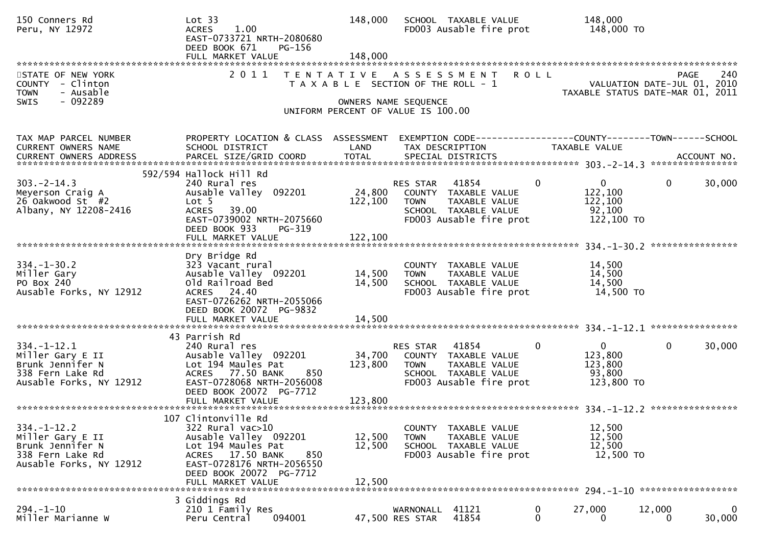| 150 Conners Rd<br>Peru, NY 12972                                                                         | Lot 33<br>1.00<br><b>ACRES</b><br>EAST-0733721 NRTH-2080680<br>DEED BOOK 671<br>PG-156<br>FULL MARKET VALUE                                                                                    | 148,000<br>148,000         | SCHOOL TAXABLE VALUE<br>FD003 Ausable fire prot                                                                                     | 148,000<br>148,000 TO                                                        |                                                                                       |
|----------------------------------------------------------------------------------------------------------|------------------------------------------------------------------------------------------------------------------------------------------------------------------------------------------------|----------------------------|-------------------------------------------------------------------------------------------------------------------------------------|------------------------------------------------------------------------------|---------------------------------------------------------------------------------------|
| STATE OF NEW YORK<br>COUNTY - Clinton<br>- Ausable<br><b>TOWN</b><br>- 092289<br><b>SWIS</b>             | 2011<br>T E N T A T I V E                                                                                                                                                                      | OWNERS NAME SEQUENCE       | A S S E S S M E N T<br>T A X A B L E SECTION OF THE ROLL - 1<br>UNIFORM PERCENT OF VALUE IS 100.00                                  | <b>ROLL</b>                                                                  | 240<br><b>PAGE</b><br>VALUATION DATE-JUL 01, 2010<br>TAXABLE STATUS DATE-MAR 01, 2011 |
| TAX MAP PARCEL NUMBER<br>CURRENT OWNERS NAME                                                             | PROPERTY LOCATION & CLASS ASSESSMENT<br>SCHOOL DISTRICT                                                                                                                                        | LAND                       | EXEMPTION CODE-----------------COUNTY--------TOWN------SCHOOL<br>TAX DESCRIPTION                                                    | TAXABLE VALUE                                                                |                                                                                       |
| $303 - 2 - 14.3$<br>Meyerson Craig A<br>26 Oakwood St #2<br>Albany, NY 12208-2416                        | 592/594 Hallock Hill Rd<br>240 Rural res<br>Ausable Valley 092201<br>Lot <sub>5</sub><br><b>ACRES</b><br>39.00<br>EAST-0739002 NRTH-2075660<br>DEED BOOK 933<br>PG-319<br>FULL MARKET VALUE    | 122,100<br>122,100         | RES STAR<br>41854<br>24,800 COUNTY TAXABLE VALUE<br><b>TOWN</b><br>TAXABLE VALUE<br>SCHOOL TAXABLE VALUE<br>FD003 Ausable fire prot | $\mathbf{0}$<br>$\overline{0}$<br>122,100<br>122,100<br>92,100<br>122,100 TO | 30,000<br>$\mathbf{0}$                                                                |
| $334. - 1 - 30.2$<br>Miller Gary<br>PO Box 240<br>Ausable Forks, NY 12912                                | Dry Bridge Rd<br>323 Vacant rural<br>Ausable Valley 092201<br>Old Railroad Bed<br>ACRES 24.40<br>EAST-0726262 NRTH-2055066<br>DEED BOOK 20072 PG-9832<br>FULL MARKET VALUE                     | 14,500<br>14,500<br>14,500 | COUNTY TAXABLE VALUE<br><b>TOWN</b><br>TAXABLE VALUE<br>SCHOOL TAXABLE VALUE<br>FD003 Ausable fire prot                             | 14,500<br>14,500<br>14,500<br>14,500 TO                                      |                                                                                       |
| $334. - 1 - 12.1$<br>Miller Gary E II<br>Brunk Jennifer N<br>338 Fern Lake Rd<br>Ausable Forks, NY 12912 | 43 Parrish Rd<br>240 Rural res<br>Ausable Valley 092201<br>Lot 194 Maules Pat<br>ACRES 77.50 BANK<br>850<br>EAST-0728068 NRTH-2056008<br>DEED BOOK 20072 PG-7712                               | 123,800                    | 41854<br>RES STAR<br>34,700 COUNTY TAXABLE VALUE<br><b>TOWN</b><br>TAXABLE VALUE<br>SCHOOL TAXABLE VALUE<br>FD003 Ausable fire prot | $\mathbf{0}$<br>$\mathbf 0$<br>123,800<br>123,800<br>93,800<br>123,800 TO    | 30,000<br>$\mathbf{0}$                                                                |
| $334. - 1 - 12.2$<br>Miller Gary E II<br>Brunk Jennifer N<br>338 Fern Lake Rd<br>Ausable Forks, NY 12912 | 107 Clintonville Rd<br>322 Rural vac>10<br>Ausable Valley 092201<br>Lot 194 Maules Pat<br>ACRES 17.50 BANK<br>850<br>EAST-0728176 NRTH-2056550<br>DEED BOOK 20072 PG-7712<br>FULL MARKET VALUE | 12,500<br>12,500<br>12,500 | COUNTY TAXABLE VALUE<br><b>TOWN</b><br>TAXABLE VALUE<br>SCHOOL TAXABLE VALUE<br>FD003 Ausable fire prot                             | 12,500<br>12,500<br>12,500<br>12,500 TO                                      |                                                                                       |
| $294. - 1 - 10$<br>Miller Marianne W                                                                     | 3 Giddings Rd<br>210 1 Family Res<br>094001<br>Peru Central                                                                                                                                    |                            | 41121<br>WARNONALL<br>41854<br>47,500 RES STAR                                                                                      | 0<br>27,000<br>0<br>0                                                        | 12,000<br>0<br>30,000<br>0                                                            |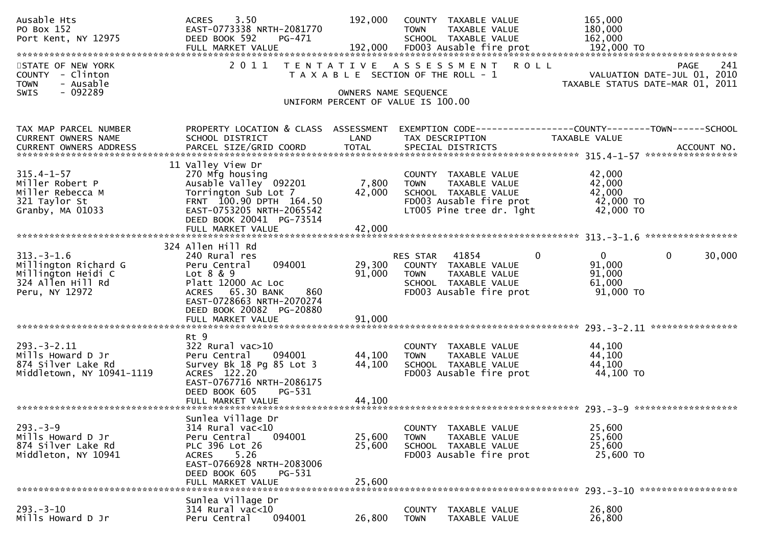| Ausable Hts<br>PO Box 152<br>Port Kent, NY 12975                                                      | 3.50<br><b>ACRES</b><br>EAST-0773338 NRTH-2081770<br>DEED BOOK 592<br>PG-471                                                                                              | 192,000                    | COUNTY TAXABLE VALUE<br><b>TOWN</b><br>SCHOOL TAXABLE VALUE             | TAXABLE VALUE                                                        | 165,000<br>180,000<br>162,000<br>192,000 TO             |                                                                                |
|-------------------------------------------------------------------------------------------------------|---------------------------------------------------------------------------------------------------------------------------------------------------------------------------|----------------------------|-------------------------------------------------------------------------|----------------------------------------------------------------------|---------------------------------------------------------|--------------------------------------------------------------------------------|
| STATE OF NEW YORK<br>COUNTY - Clinton<br>- Ausable<br><b>TOWN</b>                                     | 2011<br>T E N T A T I V E                                                                                                                                                 |                            | A S S E S S M E N T<br>T A X A B L E SECTION OF THE ROLL - 1            | <b>ROLL</b>                                                          |                                                         | 241<br>PAGE<br>VALUATION DATE-JUL 01, 2010<br>TAXABLE STATUS DATE-MAR 01, 2011 |
| $-092289$<br><b>SWIS</b>                                                                              |                                                                                                                                                                           | OWNERS NAME SEQUENCE       | UNIFORM PERCENT OF VALUE IS 100.00                                      |                                                                      |                                                         |                                                                                |
| TAX MAP PARCEL NUMBER<br>CURRENT OWNERS NAME                                                          | PROPERTY LOCATION & CLASS ASSESSMENT<br>SCHOOL DISTRICT                                                                                                                   | LAND                       | TAX DESCRIPTION                                                         |                                                                      | TAXABLE VALUE                                           |                                                                                |
| $315.4 - 1 - 57$<br>Miller Robert P<br>Miller Rebecca M<br>321 Taylor St<br>Granby, MA 01033          | 11 Valley View Dr<br>270 Mfg housing<br>Ausable Valley 092201<br>Torrington Sub Lot 7<br>FRNT 100.90 DPTH 164.50<br>EAST-0753205 NRTH-2065542<br>DEED BOOK 20041 PG-73514 | 7,800<br>42,000            | COUNTY TAXABLE VALUE<br><b>TOWN</b><br>SCHOOL TAXABLE VALUE             | TAXABLE VALUE<br>FD003 Ausable fire prot<br>LT005 Pine tree dr. lght | 42,000<br>42,000<br>42,000<br>42,000 TO<br>42,000 TO    |                                                                                |
|                                                                                                       | 324 Allen Hill Rd                                                                                                                                                         |                            |                                                                         |                                                                      |                                                         |                                                                                |
| $313. - 3 - 1.6$<br>Millington Richard G<br>Millington Heidi C<br>324 Allen Hill Rd<br>Peru, NY 12972 | 240 Rural res<br>094001<br>Peru Central<br>Lot 8 & 9<br>Platt 12000 Ac Loc<br>ACRES 65.30 BANK<br>860<br>EAST-0728663 NRTH-2070274<br>DEED BOOK 20082 PG-20880            | 29,300<br>91,000           | RES STAR<br>COUNTY TAXABLE VALUE<br><b>TOWN</b><br>SCHOOL TAXABLE VALUE | 41854<br>$\mathbf{0}$<br>TAXABLE VALUE<br>FD003 Ausable fire prot    | $\mathbf{0}$<br>91,000<br>91,000<br>61,000<br>91,000 TO | 30,000<br>0                                                                    |
|                                                                                                       | FULL MARKET VALUE                                                                                                                                                         | 91,000                     |                                                                         |                                                                      |                                                         |                                                                                |
| $293. - 3 - 2.11$<br>Mills Howard D Jr<br>874 Silver Lake Rd<br>Middletown, NY 10941-1119             | Rt 9<br>$322$ Rural vac $>10$<br>Peru Central<br>094001<br>Survey Bk 18 Pg 85 Lot 3<br>ACRES 122.20<br>EAST-0767716 NRTH-2086175<br>DEED BOOK 605<br>PG-531               | 44,100<br>44,100           | COUNTY TAXABLE VALUE<br><b>TOWN</b><br>SCHOOL TAXABLE VALUE             | TAXABLE VALUE<br>FD003 Ausable fire prot                             | 44,100<br>44,100<br>44,100<br>44,100 TO                 |                                                                                |
|                                                                                                       | Sunlea Village Dr                                                                                                                                                         |                            |                                                                         |                                                                      |                                                         |                                                                                |
| $293. -3 - 9$<br>Mills Howard D Jr<br>874 Silver Lake Rd<br>Middleton, NY 10941                       | $314$ Rural vac<10<br>Peru Central<br>094001<br>PLC 396 Lot 26<br>5.26<br><b>ACRES</b><br>EAST-0766928 NRTH-2083006<br>DEED BOOK 605<br>PG-531<br>FULL MARKET VALUE       | 25,600<br>25,600<br>25,600 | COUNTY TAXABLE VALUE<br><b>TOWN</b><br>SCHOOL TAXABLE VALUE             | TAXABLE VALUE<br>FD003 Ausable fire prot                             | 25,600<br>25,600<br>25,600<br>25,600 TO                 |                                                                                |
|                                                                                                       | Sunlea Village Dr                                                                                                                                                         |                            |                                                                         |                                                                      | $293 - 3 - 10$                                          | ******************                                                             |
| $293. - 3 - 10$<br>Mills Howard D Jr                                                                  | $314$ Rural vac<10<br>094001<br>Peru Central                                                                                                                              | 26,800                     | <b>COUNTY</b><br><b>TOWN</b>                                            | TAXABLE VALUE<br>TAXABLE VALUE                                       | 26,800<br>26,800                                        |                                                                                |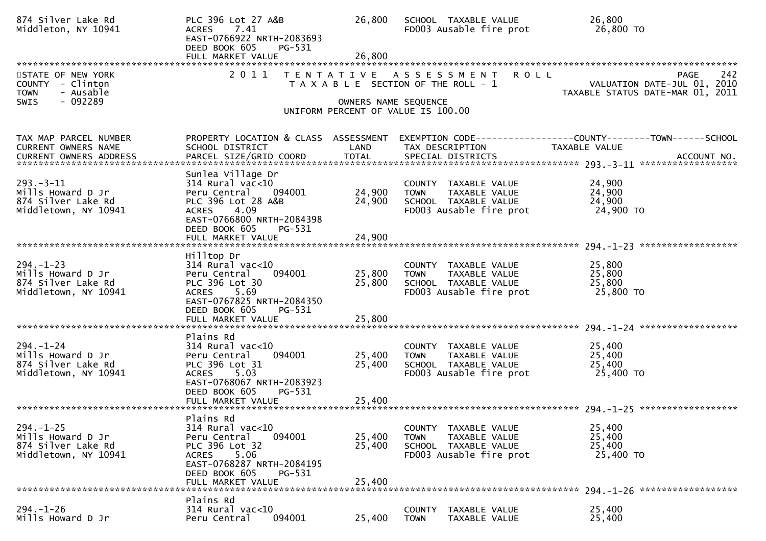| 874 Silver Lake Rd<br>Middleton, NY 10941                                                    | PLC 396 Lot 27 A&B<br><b>ACRES</b><br>7.41<br>EAST-0766922 NRTH-2083693<br>DEED BOOK 605<br>PG-531<br>FULL MARKET VALUE                                                                         | 26,800<br>26,800           | SCHOOL TAXABLE VALUE<br>FD003 Ausable fire prot                                                                   | 26,800<br>26,800 TO                                                                           |
|----------------------------------------------------------------------------------------------|-------------------------------------------------------------------------------------------------------------------------------------------------------------------------------------------------|----------------------------|-------------------------------------------------------------------------------------------------------------------|-----------------------------------------------------------------------------------------------|
| STATE OF NEW YORK<br>COUNTY - Clinton<br>- Ausable<br><b>TOWN</b><br>- 092289<br><b>SWIS</b> | 2011<br>T E N T A T I V E                                                                                                                                                                       | OWNERS NAME SEQUENCE       | <b>ROLL</b><br>A S S E S S M E N T<br>T A X A B L E SECTION OF THE ROLL - 1<br>UNIFORM PERCENT OF VALUE IS 100.00 | 242<br><b>PAGE</b><br>VALUATION DATE-JUL 01, 2010<br>TAXABLE STATUS DATE-MAR 01, 2011         |
| TAX MAP PARCEL NUMBER<br>CURRENT OWNERS NAME<br>CURRENT OWNERS ADDRESS                       | PROPERTY LOCATION & CLASS ASSESSMENT<br>SCHOOL DISTRICT<br>PARCEL SIZE/GRID COORD                                                                                                               | LAND<br><b>TOTAL</b>       | TAX DESCRIPTION<br>SPECIAL DISTRICTS                                                                              | EXEMPTION CODE-----------------COUNTY--------TOWN------SCHOOL<br>TAXABLE VALUE<br>ACCOUNT NO. |
| $293 - 3 - 11$<br>Mills Howard D Jr<br>874 Silver Lake Rd<br>Middletown, NY 10941            | Sunlea Village Dr<br>$314$ Rural vac< $10$<br>Peru Central<br>094001<br>PLC 396 Lot 28 A&B<br><b>ACRES</b><br>4.09<br>EAST-0766800 NRTH-2084398<br>DEED BOOK 605<br>PG-531<br>FULL MARKET VALUE | 24,900<br>24,900<br>24,900 | COUNTY TAXABLE VALUE<br>TAXABLE VALUE<br><b>TOWN</b><br>SCHOOL TAXABLE VALUE<br>FD003 Ausable fire prot           | 24,900<br>24,900<br>24,900<br>24,900 TO                                                       |
| $294. - 1 - 23$<br>Mills Howard D Jr<br>874 Silver Lake Rd<br>Middletown, NY 10941           | Hilltop Dr<br>$314$ Rural vac< $10$<br>094001<br>Peru Central<br>PLC 396 Lot 30<br><b>ACRES</b><br>5.69<br>EAST-0767825 NRTH-2084350<br>DEED BOOK 605<br>PG-531<br>FULL MARKET VALUE            | 25,800<br>25,800<br>25,800 | COUNTY TAXABLE VALUE<br><b>TOWN</b><br>TAXABLE VALUE<br>SCHOOL TAXABLE VALUE<br>FD003 Ausable fire prot           | 25,800<br>25,800<br>25,800<br>25,800 TO                                                       |
| $294. - 1 - 24$<br>Mills Howard D Jr<br>874 Silver Lake Rd<br>Middletown, NY 10941           | Plains Rd<br>$314$ Rural vac< $10$<br>Peru Central<br>094001<br>PLC 396 Lot 31<br>ACRES 5.03<br>EAST-0768067 NRTH-2083923<br>DEED BOOK 605<br>PG-531                                            | 25,400<br>25,400           | COUNTY TAXABLE VALUE<br>TAXABLE VALUE<br><b>TOWN</b><br>SCHOOL TAXABLE VALUE<br>FD003 Ausable fire prot           | 25,400<br>25,400<br>25,400<br>25,400 TO                                                       |
| $294. - 1 - 25$<br>Mills Howard D Jr<br>874 Silver Lake Rd<br>Middletown, NY 10941           | Plains Rd<br>314 Rural vac<10<br>Peru Central<br>094001<br>PLC 396 Lot 32<br>5.06<br>ACRES<br>EAST-0768287 NRTH-2084195<br>DEED BOOK 605<br>PG-531<br>FULL MARKET VALUE                         | 25,400<br>25,400<br>25,400 | COUNTY TAXABLE VALUE<br>TAXABLE VALUE<br><b>TOWN</b><br>SCHOOL TAXABLE VALUE<br>FD003 Ausable fire prot           | 25,400<br>25,400<br>25,400<br>25,400 TO                                                       |
| $294. - 1 - 26$<br>Mills Howard D Jr                                                         | Plains Rd<br>$314$ Rural vac<10<br>094001<br>Peru Central                                                                                                                                       | 25,400                     | COUNTY TAXABLE VALUE<br><b>TOWN</b><br>TAXABLE VALUE                                                              | 25,400<br>25,400                                                                              |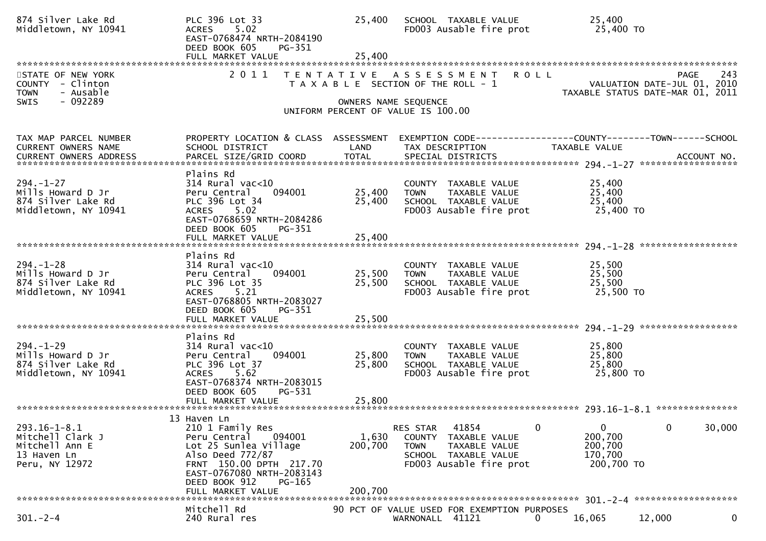| 874 Silver Lake Rd<br>Middletown, NY 10941                                                   | PLC 396 Lot 33<br><b>ACRES</b><br>5.02<br>EAST-0768474 NRTH-2084190<br>DEED BOOK 605<br>PG-351<br>FULL MARKET VALUE                                                                                            | 25,400<br>25,400            | SCHOOL TAXABLE VALUE<br>FD003 Ausable fire prot                                                                                             | 25,400<br>25,400 TO                                                                                                              |
|----------------------------------------------------------------------------------------------|----------------------------------------------------------------------------------------------------------------------------------------------------------------------------------------------------------------|-----------------------------|---------------------------------------------------------------------------------------------------------------------------------------------|----------------------------------------------------------------------------------------------------------------------------------|
| STATE OF NEW YORK<br>COUNTY - Clinton<br>- Ausable<br><b>TOWN</b><br>- 092289<br><b>SWIS</b> | 2011                                                                                                                                                                                                           | T E N T A T I V E           | <b>ROLL</b><br>A S S E S S M E N T<br>T A X A B L E SECTION OF THE ROLL - 1<br>OWNERS NAME SEQUENCE<br>UNIFORM PERCENT OF VALUE IS 100.00   | 243<br>PAGE<br>VALUATION DATE-JUL 01, 2010<br>TAXABLE STATUS DATE-MAR 01, 2011                                                   |
| TAX MAP PARCEL NUMBER<br>CURRENT OWNERS NAME<br><b>CURRENT OWNERS ADDRESS</b>                | SCHOOL DISTRICT<br>PARCEL SIZE/GRID COORD                                                                                                                                                                      | LAND<br><b>TOTAL</b>        | TAX DESCRIPTION<br>SPECIAL DISTRICTS                                                                                                        | PROPERTY LOCATION & CLASS ASSESSMENT EXEMPTION CODE----------------COUNTY-------TOWN------SCHOOL<br>TAXABLE VALUE<br>ACCOUNT NO. |
| $294. - 1 - 27$<br>Mills Howard D Jr<br>874 Silver Lake Rd<br>Middletown, NY 10941           | Plains Rd<br>$314$ Rural vac<10<br>Peru Central<br>094001<br>PLC 396 Lot 34<br>ACRES 5.02<br>EAST-0768659 NRTH-2084286<br>DEED BOOK 605<br>$PG-351$<br>FULL MARKET VALUE                                       | 25,400<br>25,400<br>25,400  | COUNTY TAXABLE VALUE<br>TAXABLE VALUE<br><b>TOWN</b><br>SCHOOL TAXABLE VALUE<br>FD003 Ausable fire prot                                     | 25,400<br>25,400<br>25,400<br>25,400 TO                                                                                          |
| $294. - 1 - 28$<br>Mills Howard D Jr<br>874 Silver Lake Rd<br>Middletown, NY 10941           | Plains Rd<br>$314$ Rural vac<10<br>Peru Central<br>094001<br>PLC 396 Lot 35<br><b>ACRES</b><br>5.21<br>EAST-0768805 NRTH-2083027<br>DEED BOOK 605<br>PG-351<br>FULL MARKET VALUE                               | 25,500<br>25,500<br>25,500  | COUNTY TAXABLE VALUE<br><b>TOWN</b><br>TAXABLE VALUE<br>SCHOOL TAXABLE VALUE<br>FD003 Ausable fire prot                                     | 25,500<br>25,500<br>25,500<br>25,500 TO                                                                                          |
| $294. - 1 - 29$<br>Mills Howard D Jr<br>874 Silver Lake Rd<br>Middletown, NY 10941           | Plains Rd<br>$314$ Rural vac< $10$<br>Peru Central<br>094001<br>PLC 396 Lot 37<br><b>ACRES</b><br>5.62<br>EAST-0768374 NRTH-2083015<br>DEED BOOK 605<br>PG-531                                                 | 25,800<br>25,800            | COUNTY TAXABLE VALUE<br><b>TOWN</b><br>TAXABLE VALUE<br>SCHOOL TAXABLE VALUE<br>FD003 Ausable fire prot                                     | 25,800<br>25,800<br>25,800<br>25,800 TO                                                                                          |
| $293.16 - 1 - 8.1$<br>Mitchell Clark J<br>Mitchell Ann E<br>13 Haven Ln<br>Peru, NY 12972    | 13 Haven Ln<br>210 1 Family Res<br>Peru Central<br>094001<br>Lot 25 Sunlea Village<br>Also Deed 772/87<br>FRNT 150.00 DPTH 217.70<br>EAST-0767080 NRTH-2083143<br>DEED BOOK 912<br>PG-165<br>FULL MARKET VALUE | 1,630<br>200,700<br>200,700 | 41854<br>$\mathbf 0$<br>RES STAR<br>COUNTY TAXABLE VALUE<br><b>TOWN</b><br>TAXABLE VALUE<br>SCHOOL TAXABLE VALUE<br>FD003 Ausable fire prot | $\mathbf 0$<br>30,000<br>$\mathbf{0}$<br>200,700<br>200,700<br>170,700<br>200,700 TO                                             |
| $301 - 2 - 4$                                                                                | Mitchell Rd<br>240 Rural res                                                                                                                                                                                   |                             | 90 PCT OF VALUE USED FOR EXEMPTION PURPOSES<br>WARNONALL 41121<br>0                                                                         | 16,065<br>12,000<br>0                                                                                                            |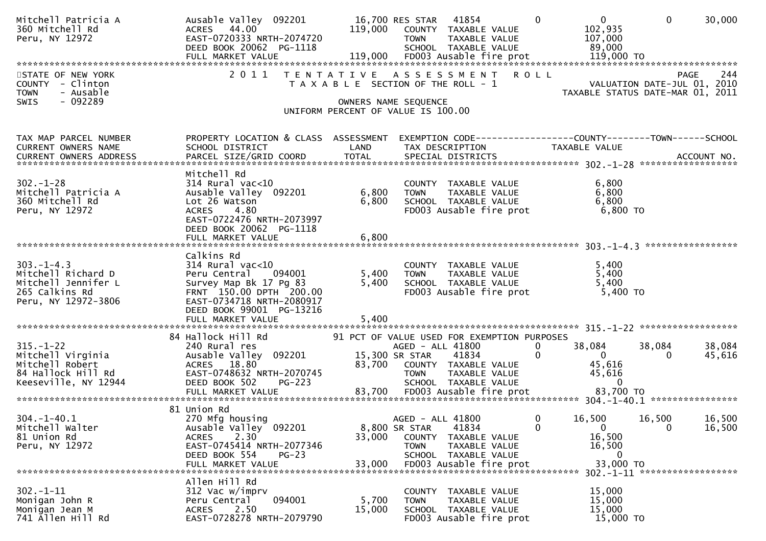| Mitchell Patricia A<br>360 Mitchell Rd<br>Peru, NY 12972                    | Ausable Valley 092201<br>44.00<br><b>ACRES</b><br>EAST-0720333 NRTH-2074720<br>DEED BOOK 20062 PG-1118 | 119,000 | 41854<br>16,700 RES STAR<br>COUNTY TAXABLE VALUE<br><b>TOWN</b><br>TAXABLE VALUE<br>SCHOOL TAXABLE VALUE | $\mathbf{0}$<br>$\Omega$<br>102,935<br>107,000<br>89,000 | $\Omega$<br>30,000                                                             |
|-----------------------------------------------------------------------------|--------------------------------------------------------------------------------------------------------|---------|----------------------------------------------------------------------------------------------------------|----------------------------------------------------------|--------------------------------------------------------------------------------|
| STATE OF NEW YORK<br><b>COUNTY</b><br>- Clinton<br>- Ausable<br><b>TOWN</b> |                                                                                                        |         | 2011 TENTATIVE ASSESSMENT ROLL<br>T A X A B L E SECTION OF THE ROLL - 1                                  |                                                          | 244<br>PAGE<br>VALUATION DATE-JUL 01, 2010<br>TAXABLE STATUS DATE-MAR 01, 2011 |
| $-092289$<br>SWIS                                                           |                                                                                                        |         | OWNERS NAME SEQUENCE<br>UNIFORM PERCENT OF VALUE IS 100.00                                               |                                                          |                                                                                |
| TAX MAP PARCEL NUMBER<br>CURRENT OWNERS NAME                                | PROPERTY LOCATION & CLASS ASSESSMENT<br>SCHOOL DISTRICT                                                | LAND    | TAX DESCRIPTION                                                                                          | <b>TAXABLE VALUE</b>                                     |                                                                                |
|                                                                             | Mitchell Rd                                                                                            |         |                                                                                                          |                                                          |                                                                                |
| $302 - 1 - 28$                                                              | $314$ Rural vac< $10$                                                                                  |         | COUNTY TAXABLE VALUE                                                                                     | 6,800                                                    |                                                                                |
| Mitchell Patricia A                                                         | Ausable Valley 092201                                                                                  | 6,800   | TAXABLE VALUE<br><b>TOWN</b>                                                                             | 6,800                                                    |                                                                                |
| 360 Mitchell Rd<br>Peru, NY 12972                                           | Lot 26 Watson<br>4.80<br><b>ACRES</b>                                                                  | 6,800   | SCHOOL TAXABLE VALUE<br>FD003 Ausable fire prot                                                          | 6,800<br>6,800 TO                                        |                                                                                |
|                                                                             | EAST-0722476 NRTH-2073997                                                                              |         |                                                                                                          |                                                          |                                                                                |
|                                                                             | DEED BOOK 20062 PG-1118<br>FULL MARKET VALUE                                                           | 6,800   |                                                                                                          |                                                          |                                                                                |
|                                                                             |                                                                                                        |         |                                                                                                          |                                                          |                                                                                |
| $303. -1 - 4.3$                                                             | Calkins Rd<br>$314$ Rural vac< $10$                                                                    |         | COUNTY TAXABLE VALUE                                                                                     | 5,400                                                    |                                                                                |
| Mitchell Richard D                                                          | Peru Central<br>094001                                                                                 | 5,400   | <b>TOWN</b><br>TAXABLE VALUE                                                                             | 5,400                                                    |                                                                                |
| Mitchell Jennifer L                                                         | Survey Map Bk 17 Pg 83                                                                                 | 5,400   | SCHOOL TAXABLE VALUE                                                                                     | 5,400                                                    |                                                                                |
| 265 Calkins Rd<br>Peru, NY 12972-3806                                       | FRNT 150.00 DPTH 200.00<br>EAST-0734718 NRTH-2080917                                                   |         | FD003 Ausable fire prot                                                                                  | 5,400 TO                                                 |                                                                                |
|                                                                             | DEED BOOK 99001 PG-13216                                                                               |         |                                                                                                          |                                                          |                                                                                |
|                                                                             | FULL MARKET VALUE                                                                                      | 5,400   |                                                                                                          |                                                          |                                                                                |
|                                                                             | 84 Hallock Hill Rd                                                                                     |         | 91 PCT OF VALUE USED FOR EXEMPTION PURPOSES                                                              |                                                          |                                                                                |
| $315. - 1 - 22$                                                             | 240 Rural res                                                                                          |         | AGED - ALL 41800                                                                                         | 0<br>38,084                                              | 38,084<br>38,084                                                               |
| Mitchell Virginia<br>Mitchell Robert                                        | Ausable Valley 092201<br>ACRES 18.80                                                                   |         | 15,300 SR STAR<br>41834<br>83,700 COUNTY TAXABLE VALUE                                                   | $\Omega$<br>$\mathbf{0}$<br>45,616                       | $\Omega$<br>45,616                                                             |
| 84 Hallock Hill Rd                                                          | EAST-0748632 NRTH-2070745                                                                              |         | <b>TOWN</b><br>TAXABLE VALUE                                                                             | 45,616                                                   |                                                                                |
| Keeseville, NY 12944                                                        | DEED BOOK 502<br><b>PG-223</b>                                                                         |         | SCHOOL TAXABLE VALUE                                                                                     | $\Omega$                                                 |                                                                                |
|                                                                             |                                                                                                        |         |                                                                                                          |                                                          |                                                                                |
|                                                                             | 81 Union Rd                                                                                            |         |                                                                                                          |                                                          |                                                                                |
| $304. - 1 - 40.1$<br>Mitchell Walter                                        | 270 Mfg housing<br>Ausable Valley <sup>O92201</sup>                                                    |         | AGED - ALL 41800<br>8,800 SR STAR<br>41834                                                               | 0<br>16,500<br>$\mathbf{0}$<br>$\mathbf{0}$              | 16,500<br>16,500<br>$\mathbf 0$<br>16,500                                      |
| 81 Union Rd                                                                 | 2.30<br><b>ACRES</b>                                                                                   | 33,000  | COUNTY<br>TAXABLE VALUE                                                                                  | 16,500                                                   |                                                                                |
| Peru, NY 12972                                                              | EAST-0745414 NRTH-2077346<br>DEED BOOK 554                                                             |         | <b>TOWN</b><br>TAXABLE VALUE                                                                             | 16,500<br>$\mathbf{0}$                                   |                                                                                |
|                                                                             | $PG-23$<br>FULL MARKET VALUE                                                                           | 33,000  | SCHOOL TAXABLE VALUE<br>FD003 Ausable fire prot                                                          | 33,000 TO                                                | 302. -1-11 *******************                                                 |
| $302 - 1 - 11$                                                              | Allen Hill Rd<br>312 Vac w/imprv                                                                       |         |                                                                                                          | 15,000                                                   |                                                                                |
| Monigan John R                                                              | 094001<br>Peru Central                                                                                 | 5,700   | COUNTY<br>TAXABLE VALUE<br>TAXABLE VALUE<br><b>TOWN</b>                                                  | 15,000                                                   |                                                                                |
| Monigan Jean M                                                              | 2.50<br><b>ACRES</b>                                                                                   | 15,000  | SCHOOL TAXABLE VALUE                                                                                     | 15,000                                                   |                                                                                |
| 741 Allen Hill Rd                                                           | EAST-0728278 NRTH-2079790                                                                              |         | FD003 Ausable fire prot                                                                                  | 15,000 TO                                                |                                                                                |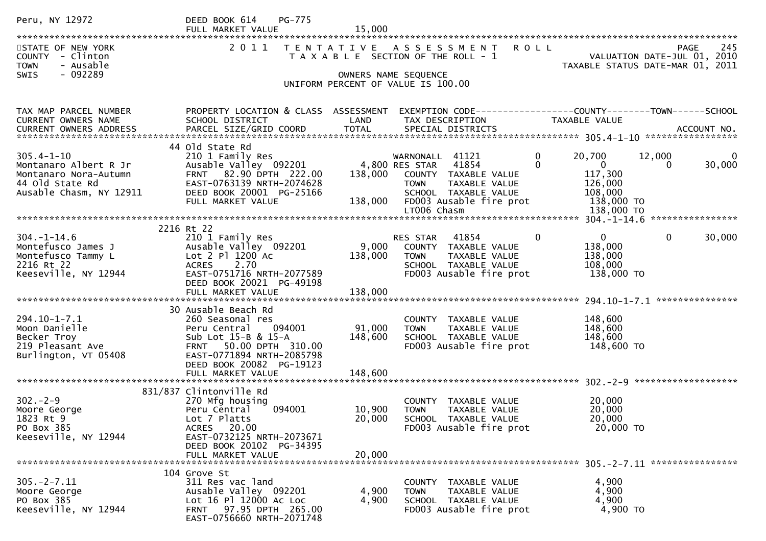| Peru, NY 12972                                                                        | <b>PG-775</b><br>DEED BOOK 614<br>FULL MARKET VALUE                                                                     | 15,000           |                                                                                                                   |                                                                 |                                                                                |
|---------------------------------------------------------------------------------------|-------------------------------------------------------------------------------------------------------------------------|------------------|-------------------------------------------------------------------------------------------------------------------|-----------------------------------------------------------------|--------------------------------------------------------------------------------|
| STATE OF NEW YORK<br>COUNTY - Clinton<br><b>TOWN</b><br>- Ausable                     | 2011                                                                                                                    |                  | TENTATIVE ASSESSMENT<br>T A X A B L E SECTION OF THE ROLL - 1                                                     | <b>ROLL</b>                                                     | 245<br>PAGE<br>VALUATION DATE-JUL 01, 2010<br>TAXABLE STATUS DATE-MAR 01, 2011 |
| - 092289<br><b>SWIS</b>                                                               |                                                                                                                         |                  | OWNERS NAME SEQUENCE<br>UNIFORM PERCENT OF VALUE IS 100.00                                                        |                                                                 |                                                                                |
| TAX MAP PARCEL NUMBER<br>CURRENT OWNERS NAME<br><b>CURRENT OWNERS ADDRESS</b>         | PROPERTY LOCATION & CLASS ASSESSMENT<br>SCHOOL DISTRICT                                                                 | LAND             | EXEMPTION CODE------------------COUNTY--------TOWN------SCHOOL<br>TAX DESCRIPTION                                 | TAXABLE VALUE                                                   |                                                                                |
|                                                                                       | 44 old state Rd                                                                                                         |                  |                                                                                                                   |                                                                 |                                                                                |
| $305.4 - 1 - 10$<br>Montanaro Albert R Jr<br>Montanaro Nora-Autumn<br>44 old State Rd | 210 1 Family Res<br>Ausable Valley 092201<br>FRNT 82.90 DPTH 222.00<br>EAST-0763139 NRTH-2074628                        | 138,000          | WARNONALL 41121<br>4,800 RES STAR<br>41854<br>COUNTY TAXABLE VALUE<br>TAXABLE VALUE<br><b>TOWN</b>                | 20,700<br>0<br>$\Omega$<br>$\overline{0}$<br>117,300<br>126,000 | 12,000<br>0<br>30,000<br>$\Omega$                                              |
| Ausable Chasm, NY 12911                                                               | DEED BOOK 20001 PG-25166<br>FULL MARKET VALUE                                                                           | 138,000          | SCHOOL TAXABLE VALUE<br>FD003 Ausable fire prot<br>LT006 Chasm                                                    | 108,000<br>138,000 TO<br>138,000 TO                             |                                                                                |
|                                                                                       | 2216 Rt 22                                                                                                              |                  |                                                                                                                   |                                                                 |                                                                                |
| $304. - 1 - 14.6$<br>Montefusco James J<br>Montefusco Tammy L<br>2216 Rt 22           | 210 1 Family Res<br>Ausable Valley 092201<br>Lot 2 Pl 1200 Ac<br><b>ACRES</b><br>2.70                                   | 9,000<br>138,000 | RES STAR<br>41854<br>COUNTY TAXABLE VALUE<br><b>TOWN</b><br>TAXABLE VALUE<br>SCHOOL TAXABLE VALUE                 | $\overline{0}$<br>$\mathbf{0}$<br>138,000<br>138,000<br>108,000 | $\mathbf{0}$<br>30,000                                                         |
| Keeseville, NY 12944                                                                  | EAST-0751716 NRTH-2077589<br>DEED BOOK 20021 PG-49198                                                                   |                  | FD003 Ausable fire prot                                                                                           | 138,000 TO                                                      |                                                                                |
|                                                                                       | 30 Ausable Beach Rd                                                                                                     |                  |                                                                                                                   |                                                                 | ***************                                                                |
| $294.10 - 1 - 7.1$<br>Moon Danielle                                                   | 260 Seasonal res<br>094001<br>Peru Central                                                                              | 91,000           | COUNTY TAXABLE VALUE<br><b>TOWN</b><br>TAXABLE VALUE                                                              | 148,600<br>148,600                                              |                                                                                |
| Becker Troy<br>219 Pleasant Ave<br>Burlington, VT 05408                               | Sub Lot 15-B & 15-A<br>50.00 DPTH 310.00<br><b>FRNT</b><br>EAST-0771894 NRTH-2085798<br>DEED BOOK 20082 PG-19123        | 148,600          | SCHOOL TAXABLE VALUE<br>FD003 Ausable fire prot                                                                   | 148,600<br>148,600 TO                                           |                                                                                |
|                                                                                       |                                                                                                                         |                  |                                                                                                                   |                                                                 |                                                                                |
|                                                                                       | 831/837 Clintonville Rd                                                                                                 |                  |                                                                                                                   |                                                                 |                                                                                |
| $302 - 2 - 9$<br>Moore George<br>1823 Rt 9<br>PO Box 385<br>Keeseville, NY 12944      | 270 Mfg housing<br>Peru Central<br>094001<br>Lot 7 Platts<br>20.00<br>ACRES<br>EAST-0732125 NRTH-2073671                | 10,900<br>20,000 | COUNTY TAXABLE VALUE<br><b>TOWN</b><br>TAXABLE VALUE<br><b>SCHOOL</b><br>TAXABLE VALUE<br>FD003 Ausable fire prot | 20,000<br>20,000<br>20,000<br>20,000 TO                         |                                                                                |
|                                                                                       | DEED BOOK 20102 PG-34395                                                                                                | 20,000           |                                                                                                                   |                                                                 |                                                                                |
|                                                                                       | FULL MARKET VALUE                                                                                                       |                  |                                                                                                                   |                                                                 |                                                                                |
| $305. -2 - 7.11$<br>Moore George<br>PO Box 385<br>Keeseville, NY 12944                | 104 Grove St<br>311 Res vac land<br>Ausable Valley 092201<br>Lot 16 Pl 12000 Ac Loc<br>97.95 DPTH 265.00<br><b>FRNT</b> | 4,900<br>4,900   | COUNTY TAXABLE VALUE<br>TAXABLE VALUE<br><b>TOWN</b><br>SCHOOL TAXABLE VALUE<br>FD003 Ausable fire prot           | 4,900<br>4,900<br>4,900<br>4,900 TO                             |                                                                                |
|                                                                                       | EAST-0756660 NRTH-2071748                                                                                               |                  |                                                                                                                   |                                                                 |                                                                                |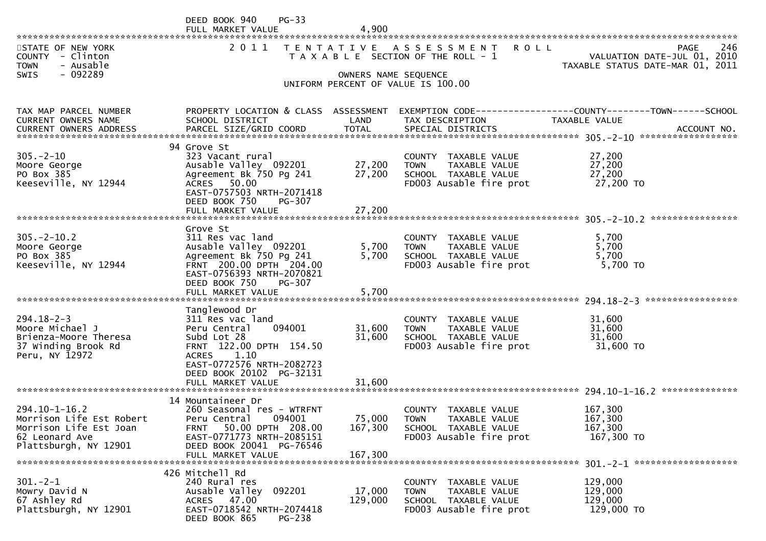|                                                                                                                      | $PG-33$<br>DEED BOOK 940<br>FULL MARKET VALUE                                                                                                                                          | 4.900                      |                                                                                                                          |                                                                 |                   |
|----------------------------------------------------------------------------------------------------------------------|----------------------------------------------------------------------------------------------------------------------------------------------------------------------------------------|----------------------------|--------------------------------------------------------------------------------------------------------------------------|-----------------------------------------------------------------|-------------------|
| STATE OF NEW YORK<br>COUNTY - Clinton<br><b>TOWN</b><br>- Ausable                                                    | 2 0 1 1                                                                                                                                                                                |                            | TENTATIVE ASSESSMENT<br><b>ROLL</b><br>T A X A B L E SECTION OF THE ROLL - 1                                             | VALUATION DATE-JUL 01, 2010<br>TAXABLE STATUS DATE-MAR 01, 2011 | 246<br>PAGE       |
| $-092289$<br>SWIS                                                                                                    |                                                                                                                                                                                        | OWNERS NAME SEQUENCE       | UNIFORM PERCENT OF VALUE IS 100.00                                                                                       |                                                                 |                   |
| TAX MAP PARCEL NUMBER<br>CURRENT OWNERS NAME                                                                         | PROPERTY LOCATION & CLASS ASSESSMENT<br>SCHOOL DISTRICT                                                                                                                                | LAND                       | EXEMPTION CODE-----------------COUNTY--------TOWN------SCHOOL<br>TAX DESCRIPTION                                         | <b>TAXABLE VALUE</b>                                            |                   |
| $305. - 2 - 10$<br>Moore George<br>PO Box 385<br>Keeseville, NY 12944                                                | 94 Grove St<br>323 Vacant rural<br>Ausable Valley 092201<br>Agreement Bk 750 Pg 241<br>ACRES 50.00<br>EAST-0757503 NRTH-2071418<br>DEED BOOK 750<br>PG-307                             | 27,200<br>27,200<br>27,200 | COUNTY TAXABLE VALUE<br><b>TOWN</b><br>TAXABLE VALUE<br>SCHOOL TAXABLE VALUE<br>FD003 Ausable fire prot                  | 27,200<br>27,200<br>27,200<br>27,200 TO                         |                   |
|                                                                                                                      | FULL MARKET VALUE                                                                                                                                                                      |                            |                                                                                                                          |                                                                 |                   |
| $305. -2 - 10.2$<br>Moore George<br>PO Box 385<br>Keeseville, NY 12944                                               | Grove St<br>311 Res vac land<br>Ausable Valley 092201<br>Agreement Bk 750 Pg 241<br>FRNT 200.00 DPTH 204.00<br>EAST-0756393 NRTH-2070821<br>DEED BOOK 750<br>PG-307                    | 5,700<br>5,700             | COUNTY TAXABLE VALUE<br><b>TOWN</b><br>TAXABLE VALUE<br>SCHOOL TAXABLE VALUE<br>FD003 Ausable fire prot                  | 5,700<br>5,700<br>5,700<br>5,700 TO                             |                   |
| ************************                                                                                             | FULL MARKET VALUE                                                                                                                                                                      | 5,700                      |                                                                                                                          |                                                                 | ***************** |
| $294.18 - 2 - 3$<br>Moore Michael J<br>Brienza-Moore Theresa<br>37 Winding Brook Rd<br>Peru, NY 12972                | Tanglewood Dr<br>311 Res vac land<br>094001<br>Peru Central<br>Subd Lot 28<br>FRNT 122.00 DPTH 154.50<br>1.10<br><b>ACRES</b><br>EAST-0772576 NRTH-2082723<br>DEED BOOK 20102 PG-32131 | 31,600<br>31,600           | COUNTY TAXABLE VALUE<br>TAXABLE VALUE<br><b>TOWN</b><br>SCHOOL TAXABLE VALUE<br>FD003 Ausable fire prot                  | 31,600<br>31,600<br>31,600<br>31,600 TO                         |                   |
|                                                                                                                      | FULL MARKET VALUE                                                                                                                                                                      | 31,600                     |                                                                                                                          |                                                                 |                   |
| $294.10 - 1 - 16.2$<br>Morrison Life Est Robert<br>Morrison Life Est Joan<br>62 Leonard Ave<br>Plattsburgh, NY 12901 | 14 Mountaineer Dr<br>260 Seasonal res - WTRFNT<br>Peru Central<br>094001<br>50.00 DPTH 208.00<br>FRNT<br>EAST-0771773 NRTH-2085151<br>DEED BOOK 20041 PG-76546                         | 75,000<br>167,300          | <b>COUNTY</b><br>TAXABLE VALUE<br><b>TOWN</b><br><b>TAXABLE VALUE</b><br>SCHOOL TAXABLE VALUE<br>FD003 Ausable fire prot | 167,300<br>167,300<br>167,300<br>167,300 TO                     |                   |
|                                                                                                                      | FULL MARKET VALUE                                                                                                                                                                      | 167,300                    |                                                                                                                          |                                                                 |                   |
| $301 - 2 - 1$<br>Mowry David N<br>67 Ashley Rd<br>Plattsburgh, NY 12901                                              | 426 Mitchell Rd<br>240 Rural res<br>Ausable Valley<br>092201<br>ACRES 47.00<br>EAST-0718542 NRTH-2074418<br>DEED BOOK 865<br>PG-238                                                    | 17,000<br>129,000          | COUNTY<br>TAXABLE VALUE<br>TAXABLE VALUE<br><b>TOWN</b><br>SCHOOL TAXABLE VALUE<br>FD003 Ausable fire prot               | 129,000<br>129,000<br>129,000<br>129,000 TO                     |                   |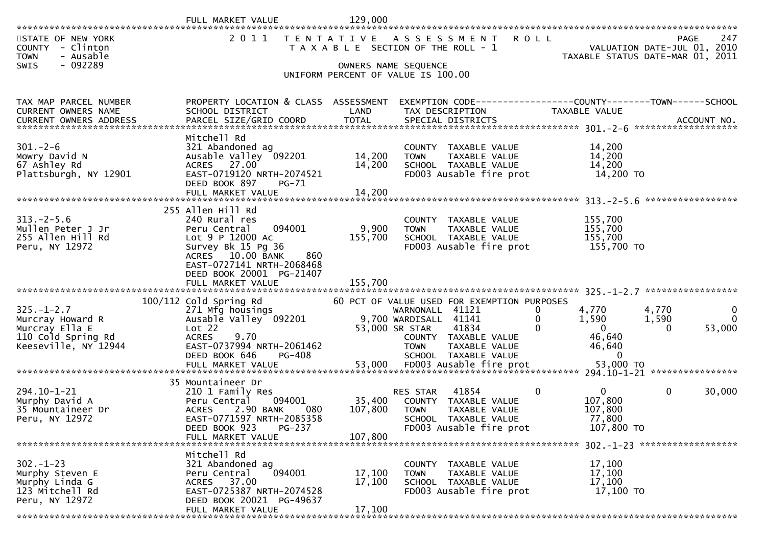|                                                                                                      | FULL MARKET VALUE                                                                                                                                                                                               | 129,000                      |                                                                                                                                                                                                                                                                |                                                                                                             |                                       |
|------------------------------------------------------------------------------------------------------|-----------------------------------------------------------------------------------------------------------------------------------------------------------------------------------------------------------------|------------------------------|----------------------------------------------------------------------------------------------------------------------------------------------------------------------------------------------------------------------------------------------------------------|-------------------------------------------------------------------------------------------------------------|---------------------------------------|
| STATE OF NEW YORK<br>COUNTY - Clinton<br><b>TOWN</b><br>- Ausable<br>- 092289<br><b>SWIS</b>         | 2011                                                                                                                                                                                                            | T E N T A T I V E            | <b>ROLL</b><br>A S S E S S M E N T<br>T A X A B L E SECTION OF THE ROLL - 1<br>OWNERS NAME SEQUENCE                                                                                                                                                            | VALUATION DATE-JUL 01, 2010<br>TAXABLE STATUS DATE-MAR 01, 2011                                             | 247<br>PAGE                           |
|                                                                                                      |                                                                                                                                                                                                                 |                              | UNIFORM PERCENT OF VALUE IS 100.00                                                                                                                                                                                                                             |                                                                                                             |                                       |
|                                                                                                      |                                                                                                                                                                                                                 |                              |                                                                                                                                                                                                                                                                |                                                                                                             |                                       |
| TAX MAP PARCEL NUMBER<br><b>CURRENT OWNERS NAME</b>                                                  | PROPERTY LOCATION & CLASS ASSESSMENT<br>SCHOOL DISTRICT                                                                                                                                                         | LAND                         | EXEMPTION CODE-----------------COUNTY-------TOWN------SCHOOL<br>TAX DESCRIPTION                                                                                                                                                                                | <b>TAXABLE VALUE</b>                                                                                        |                                       |
|                                                                                                      | Mitchell Rd                                                                                                                                                                                                     |                              |                                                                                                                                                                                                                                                                |                                                                                                             |                                       |
| $301 - 2 - 6$<br>Mowry David N<br>67 Ashley Rd<br>Plattsburgh, NY 12901                              | 321 Abandoned ag<br>Ausable Valley 092201<br>ACRES 27.00<br>EAST-0719120 NRTH-2074521<br>DEED BOOK 897<br><b>PG-71</b>                                                                                          | 14,200<br>14,200             | COUNTY TAXABLE VALUE<br>TAXABLE VALUE<br><b>TOWN</b><br>SCHOOL TAXABLE VALUE<br>FD003 Ausable fire prot                                                                                                                                                        | 14,200<br>14,200<br>14,200<br>14,200 TO                                                                     |                                       |
|                                                                                                      | FULL MARKET VALUE                                                                                                                                                                                               | 14,200                       |                                                                                                                                                                                                                                                                |                                                                                                             |                                       |
| $313. -2 - 5.6$<br>Mullen Peter J Jr<br>255 Allen Hill Rd<br>Peru, NY 12972                          | 255 Allen Hill Rd<br>240 Rural res<br>094001<br>Peru Central<br>Lot 9 P 12000 Ac<br>Survey Bk 15 Pg 36<br>ACRES 10.00 BANK<br>860<br>EAST-0727141 NRTH-2068468<br>DEED BOOK 20001 PG-21407<br>FULL MARKET VALUE | 9,900<br>155,700<br>155,700  | COUNTY TAXABLE VALUE<br>TAXABLE VALUE<br><b>TOWN</b><br>SCHOOL TAXABLE VALUE<br>FD003 Ausable fire prot                                                                                                                                                        | 155,700<br>155,700<br>155,700<br>155,700 TO                                                                 |                                       |
|                                                                                                      |                                                                                                                                                                                                                 |                              |                                                                                                                                                                                                                                                                |                                                                                                             | *****************                     |
| $325. - 1 - 2.7$<br>Murcray Howard R<br>Murcray Ella E<br>110 Cold Spring Rd<br>Keeseville, NY 12944 | $100/112$ Cold Spring Rd<br>271 Mfg housings<br>Ausable Valley 092201<br>Lot 22<br>9.70<br><b>ACRES</b><br>EAST-0737994 NRTH-2061462<br>DEED BOOK 646<br><b>PG-408</b><br>FULL MARKET VALUE                     | 53,000                       | 60 PCT OF VALUE USED FOR EXEMPTION PURPOSES<br>WARNONALL 41121<br>0<br>$\mathbf{0}$<br>9,700 WARDISALL 41141<br>53,000 SR STAR<br>41834<br>$\Omega$<br>COUNTY TAXABLE VALUE<br><b>TOWN</b><br>TAXABLE VALUE<br>SCHOOL TAXABLE VALUE<br>FD003 Ausable fire prot | 4,770<br>4,770<br>1,590<br>1,590<br>$\Omega$<br>$\Omega$<br>46,640<br>46,640<br>$\overline{0}$<br>53,000 TO | $\mathbf 0$<br>$\mathbf{0}$<br>53,000 |
|                                                                                                      | 35 Mountaineer Dr                                                                                                                                                                                               |                              |                                                                                                                                                                                                                                                                |                                                                                                             |                                       |
| 294.10-1-21<br>Murphy David A<br>35 Mountaineer Dr<br>Peru, NY 12972                                 | 210 1 Family Res<br>094001<br>Peru Central<br>2.90 BANK<br><b>ACRES</b><br>080<br>EAST-0771597 NRTH-2085358<br>DEED BOOK 923<br><b>PG-237</b><br>FULL MARKET VALUE                                              | 35,400<br>107,800<br>107,800 | 41854<br>0<br>RES STAR<br>COUNTY TAXABLE VALUE<br><b>TOWN</b><br>TAXABLE VALUE<br><b>SCHOOL</b><br>TAXABLE VALUE<br>FD003 Ausable fire prot                                                                                                                    | $\mathbf{0}$<br>$\mathbf{0}$<br>107,800<br>107,800<br>77,800<br>107,800 TO                                  | 30,000                                |
|                                                                                                      |                                                                                                                                                                                                                 |                              |                                                                                                                                                                                                                                                                | 302. -1-23 *******************                                                                              |                                       |
| $302 - 1 - 23$<br>Murphy Steven E<br>Murphy Linda G<br>123 Mitchell Rd<br>Peru, NY 12972             | Mitchell Rd<br>321 Abandoned ag<br>094001<br>Peru Central<br>ACRES 37.00<br>EAST-0725387 NRTH-2074528<br>DEED BOOK 20021 PG-49637<br>FULL MARKET VALUE                                                          | 17,100<br>17,100<br>17,100   | COUNTY TAXABLE VALUE<br>TAXABLE VALUE<br><b>TOWN</b><br>SCHOOL TAXABLE VALUE<br>FD003 Ausable fire prot                                                                                                                                                        | 17,100<br>17,100<br>17,100<br>17,100 TO                                                                     |                                       |
|                                                                                                      |                                                                                                                                                                                                                 |                              |                                                                                                                                                                                                                                                                |                                                                                                             |                                       |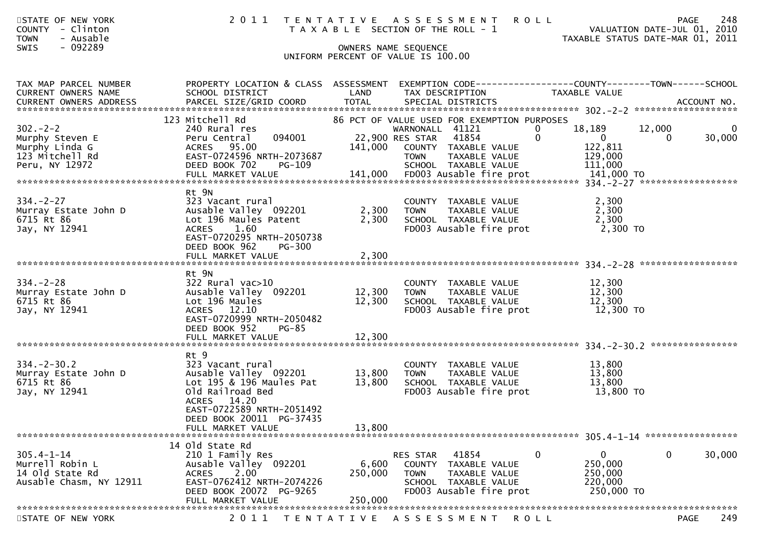| STATE OF NEW YORK<br>- Clinton<br><b>COUNTY</b><br>- Ausable<br><b>TOWN</b>             | 2011                                                                                                                                                                          |                             | TENTATIVE ASSESSMENT<br>T A X A B L E SECTION OF THE ROLL - 1                                                                          | <b>ROLL</b>                                                                | 248<br>PAGE<br>VALUATION DATE-JUL 01, 2010<br>TAXABLE STATUS DATE-MAR 01, 2011 |
|-----------------------------------------------------------------------------------------|-------------------------------------------------------------------------------------------------------------------------------------------------------------------------------|-----------------------------|----------------------------------------------------------------------------------------------------------------------------------------|----------------------------------------------------------------------------|--------------------------------------------------------------------------------|
| $-092289$<br>SWIS                                                                       |                                                                                                                                                                               |                             | OWNERS NAME SEQUENCE<br>UNIFORM PERCENT OF VALUE IS 100.00                                                                             |                                                                            |                                                                                |
|                                                                                         |                                                                                                                                                                               |                             |                                                                                                                                        |                                                                            |                                                                                |
| TAX MAP PARCEL NUMBER<br>CURRENT OWNERS NAME                                            | PROPERTY LOCATION & CLASS ASSESSMENT<br>SCHOOL DISTRICT                                                                                                                       | LAND                        | TAX DESCRIPTION                                                                                                                        | TAXABLE VALUE                                                              | EXEMPTION CODE-----------------COUNTY-------TOWN------SCHOOL                   |
|                                                                                         | 123 Mitchell Rd                                                                                                                                                               |                             | 86 PCT OF VALUE USED FOR EXEMPTION PURPOSES                                                                                            |                                                                            |                                                                                |
| $302 - 2 - 2$<br>Murphy Steven E<br>Murphy Linda G<br>123 Mitchell Rd<br>Peru, NY 12972 | 240 Rural res<br>094001<br>Peru Central<br>ACRES 95.00<br>EAST-0724596 NRTH-2073687<br>DEED BOOK 702<br>PG-109                                                                | 141,000                     | WARNONALL 41121<br>41854<br>22,900 RES STAR<br>COUNTY TAXABLE VALUE<br>TAXABLE VALUE<br><b>TOWN</b><br>SCHOOL TAXABLE VALUE            | 18,189<br>0<br>$\mathbf 0$<br>$\mathbf 0$<br>122,811<br>129,000<br>111,000 | 12,000<br>$\mathbf 0$<br>30,000<br>0                                           |
|                                                                                         | Rt 9N                                                                                                                                                                         |                             |                                                                                                                                        |                                                                            |                                                                                |
| $334. - 2 - 27$<br>Murray Estate John D<br>6715 Rt 86<br>Jay, NY 12941                  | 323 Vacant rural<br>Ausable Valley 092201<br>Lot 196 Maules Patent<br><b>ACRES</b><br>1.60<br>EAST-0720295 NRTH-2050738<br>DEED BOOK 962<br>PG-300                            | 2,300<br>2,300              | COUNTY TAXABLE VALUE<br>TAXABLE VALUE<br><b>TOWN</b><br>SCHOOL TAXABLE VALUE<br>FD003 Ausable fire prot                                | 2,300<br>2,300<br>2,300                                                    | 2,300 TO                                                                       |
|                                                                                         |                                                                                                                                                                               |                             |                                                                                                                                        |                                                                            |                                                                                |
|                                                                                         | Rt 9N                                                                                                                                                                         |                             |                                                                                                                                        |                                                                            |                                                                                |
| $334. - 2 - 28$<br>Murray Estate John D<br>6715 Rt 86<br>Jay, NY 12941                  | 322 Rural vac>10<br>Ausable Valley 092201<br>Lot 196 Maules<br>ACRES 12.10<br>EAST-0720999 NRTH-2050482<br>DEED BOOK 952<br><b>PG-85</b>                                      | 12,300<br>12,300            | COUNTY TAXABLE VALUE<br>TOWN<br>TAXABLE VALUE<br>SCHOOL TAXABLE VALUE<br>FD003 Ausable fire prot                                       | 12,300<br>12,300<br>12,300                                                 | 12,300 TO                                                                      |
|                                                                                         |                                                                                                                                                                               |                             |                                                                                                                                        |                                                                            |                                                                                |
| $334. - 2 - 30.2$<br>Murray Estate John D<br>6715 Rt 86<br>Jay, NY 12941                | Rt 9<br>323 Vacant rural<br>Ausable Valley 092201<br>Lot $195$ & $196$ Maules Pat<br>Old Railroad Bed<br>ACRES 14.20<br>EAST-0722589 NRTH-2051492<br>DEED BOOK 20011 PG-37435 | 13,800<br>13,800            | COUNTY TAXABLE VALUE<br><b>TOWN</b><br>TAXABLE VALUE<br>SCHOOL TAXABLE VALUE<br>FD003 Ausable fire prot                                | 13,800<br>13,800<br>13,800                                                 | 13,800 TO                                                                      |
|                                                                                         | FULL MARKET VALUE                                                                                                                                                             | 13,800                      |                                                                                                                                        |                                                                            |                                                                                |
| $305.4 - 1 - 14$<br>Murrell Robin L<br>14 old State Rd<br>Ausable Chasm, NY 12911       | 14 old State Rd<br>210 1 Family Res<br>Ausable Valley 092201<br>2.00<br><b>ACRES</b><br>EAST-0762412 NRTH-2074226<br>DEED BOOK 20072 PG-9265<br>FULL MARKET VALUE             | 6,600<br>250,000<br>250,000 | RES STAR<br>41854<br><b>COUNTY</b><br>TAXABLE VALUE<br><b>TOWN</b><br>TAXABLE VALUE<br>SCHOOL TAXABLE VALUE<br>FD003 Ausable fire prot | 0<br>$\mathbf{0}$<br>250,000<br>250,000<br>220,000                         | 0<br>30,000<br>250,000 TO                                                      |
| STATE OF NEW YORK                                                                       | 2011                                                                                                                                                                          |                             | TENTATIVE ASSESSMENT                                                                                                                   | <b>ROLL</b>                                                                | 249<br><b>PAGE</b>                                                             |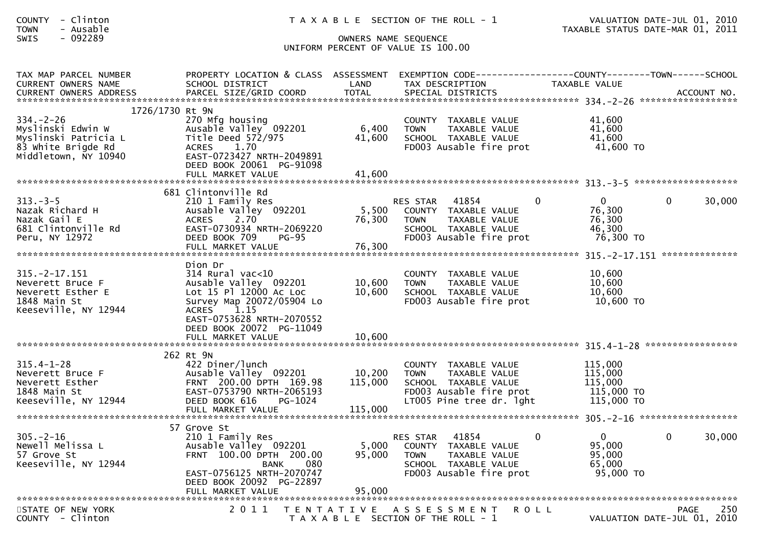| - Clinton<br><b>COUNTY</b><br>- Ausable<br><b>TOWN</b><br>$-092289$<br>SWIS                                                                                                                             |                                                                                                                                                                                      |                              | T A X A B L E SECTION OF THE ROLL - 1<br>OWNERS NAME SEQUENCE<br>UNIFORM PERCENT OF VALUE IS 100.00                                            |                                                                        | VALUATION DATE-JUL 01, 2010<br>TAXABLE STATUS DATE-MAR 01, 2011 |
|---------------------------------------------------------------------------------------------------------------------------------------------------------------------------------------------------------|--------------------------------------------------------------------------------------------------------------------------------------------------------------------------------------|------------------------------|------------------------------------------------------------------------------------------------------------------------------------------------|------------------------------------------------------------------------|-----------------------------------------------------------------|
| TAX MAP PARCEL NUMBER<br>CURRENT OWNERS NAME<br>CURRENT OWNERS ADDRESS FARCEL SIZE/GRID COORD TOTAL SPECIAL DISTRICTS CURRENT OWNERS ADDRESS FARCEL SIZE/GRID COORD TOTAL SPECIAL DISTRICTS ACCOUNT NO. | PROPERTY LOCATION & CLASS ASSESSMENT<br>SCHOOL DISTRICT                                                                                                                              | LAND                         | EXEMPTION CODE-----------------COUNTY--------TOWN------SCHOOL<br>TAX DESCRIPTION                                                               | TAXABLE VALUE                                                          |                                                                 |
| 1726/1730 Rt 9N<br>$334. - 2 - 26$<br>Myslinski Edwin W<br>Myslinski Patricia L<br>83 white Brigde Rd<br>83 White Brigde Rd<br>Middletown, NY 10940                                                     | 270 Mfg housing<br>Ausable Valley 092201<br>Title Deed 572/975<br>ACRES 1.70<br>EAST-0723427 NRTH-2049891<br>DEED BOOK 20061 PG-91098<br>FULL MARKET VALUE                           | 6,400<br>41,600<br>41,600    | COUNTY TAXABLE VALUE<br><b>TOWN</b><br>TAXABLE VALUE<br>SCHOOL TAXABLE VALUE<br>FD003 Ausable fire prot                                        | 41,600<br>41,600<br>41,600<br>41,600 TO                                |                                                                 |
|                                                                                                                                                                                                         | 681 Clintonville Rd                                                                                                                                                                  |                              |                                                                                                                                                |                                                                        |                                                                 |
| $313 - 3 - 5$<br>Nazak Richard H<br>Nazak Gail E<br>681 Clintonville Rd<br>Peru, NY 12972                                                                                                               | 210 1 Family Res<br>Ausable Valley 092201<br>ACRES 2.70<br>EAST-0730934 NRTH-2069220<br>DEED BOOK 709<br><b>PG-95</b>                                                                | 76,300                       | RES STAR 41854<br>5,500 COUNTY TAXABLE VALUE<br>TOWN TAXABLE VALUE<br>SCHOOL TAXABLE VALUE<br>FD003 Ausable fire prot                          | $\mathbf 0$<br>$\mathbf{0}$<br>76,300<br>76,300<br>46,300<br>76,300 TO | 30,000<br>$\overline{0}$                                        |
|                                                                                                                                                                                                         |                                                                                                                                                                                      |                              |                                                                                                                                                |                                                                        |                                                                 |
| $315. -2 - 17.151$<br>Neverett Bruce F<br>Neverett Esther E<br>1848 Main St<br>Keeseville, NY 12944                                                                                                     | Dion Dr<br>$314$ Rural vac<10<br>Ausable Valley 092201<br>Lot 15 Pl 12000 Ac Loc<br>Survey Map 20072/05904 Lo<br>ACRES 1.15<br>EAST-0753628 NRTH-2070552<br>DEED BOOK 20072 PG-11049 | 10,600<br>10,600             | COUNTY TAXABLE VALUE<br>TAXABLE VALUE<br>TOWN<br>SCHOOL TAXABLE VALUE<br>FD003 Ausable fire prot                                               | 10,600<br>10,600<br>10,600<br>$10,000$ TO $10,600$ TO                  |                                                                 |
|                                                                                                                                                                                                         |                                                                                                                                                                                      |                              |                                                                                                                                                |                                                                        |                                                                 |
| $315.4 - 1 - 28$<br>Neverett Bruce F<br>Neverett Esther<br>1848 Main St<br>Keeseville, NY 12944                                                                                                         | 262 Rt 9N<br>422 Diner/lunch<br>Ausable Valley 092201<br>FRNT 200.00 DPTH 169.98<br>EAST-0753790 NRTH-2065193<br>DEED BOOK 616<br>PG-1024<br>FULL MARKET VALUE                       | 10,200<br>115,000<br>115,000 | COUNTY TAXABLE VALUE<br><b>TOWN</b><br>TAXABLE VALUE<br>SCHOOL TAXABLE VALUE<br>FD003 Ausable fire prot 115,000 TO<br>LT005 Pine tree dr. lght | 115,000<br>115,000<br>115,000<br>115,000 TO                            |                                                                 |
|                                                                                                                                                                                                         | 57 Grove St                                                                                                                                                                          |                              |                                                                                                                                                |                                                                        |                                                                 |
| $305. - 2 - 16$<br>Newell Melissa L<br>57 Grove St<br>Keeseville, NY 12944                                                                                                                              | 210 1 Family Res<br>Ausable Valley 092201<br>FRNT 100.00 DPTH 200.00<br>080<br><b>BANK</b><br>EAST-0756125 NRTH-2070747<br>DEED BOOK 20092 PG-22897<br>FULL MARKET VALUE             | 5,000<br>95,000<br>95,000    | 41854<br>RES STAR<br>COUNTY<br>TAXABLE VALUE<br><b>TOWN</b><br>TAXABLE VALUE<br>SCHOOL TAXABLE VALUE<br>FD003 Ausable fire prot                | $\overline{0}$<br>0<br>95,000<br>95,000<br>65,000<br>95,000 TO         | $\mathbf 0$<br>30,000                                           |
|                                                                                                                                                                                                         |                                                                                                                                                                                      |                              |                                                                                                                                                |                                                                        |                                                                 |
| STATE OF NEW YORK<br>COUNTY - Clinton                                                                                                                                                                   | 2 0 1 1                                                                                                                                                                              |                              | TENTATIVE ASSESSMENT<br>T A X A B L E SECTION OF THE ROLL - 1                                                                                  | R O L L                                                                | 250<br>PAGE<br>VALUATION DATE-JUL 01, 2010                      |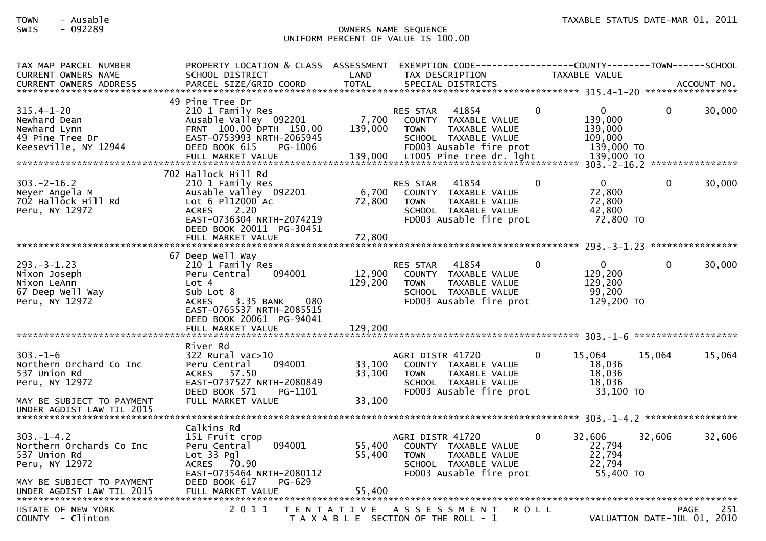| TAX MAP PARCEL NUMBER<br><b>CURRENT OWNERS NAME</b>                                                        | PROPERTY LOCATION & CLASS ASSESSMENT<br>SCHOOL DISTRICT                                                                                                                             | LAND                        | EXEMPTION CODE---<br>TAX DESCRIPTION                                                                                                                            |          | -----COUNTY--------TOWN------SCHOOL<br><b>TAXABLE VALUE</b>               |          |                     |
|------------------------------------------------------------------------------------------------------------|-------------------------------------------------------------------------------------------------------------------------------------------------------------------------------------|-----------------------------|-----------------------------------------------------------------------------------------------------------------------------------------------------------------|----------|---------------------------------------------------------------------------|----------|---------------------|
|                                                                                                            |                                                                                                                                                                                     |                             |                                                                                                                                                                 |          |                                                                           |          |                     |
| $315.4 - 1 - 20$<br>Newhard Dean<br>Newhard Lynn<br>49 Pine Tree Dr<br>Keeseville, NY 12944                | 49 Pine Tree Dr<br>210 1 Family Res<br>Ausable Valley 092201<br>FRNT 100.00 DPTH 150.00<br>EAST-0753993 NRTH-2065945<br>DEED BOOK 615<br>PG-1006<br>FULL MARKET VALUE               | 7,700<br>139,000<br>139,000 | 41854<br><b>RES STAR</b><br>COUNTY TAXABLE VALUE<br>TAXABLE VALUE<br><b>TOWN</b><br>SCHOOL TAXABLE VALUE<br>FD003 Ausable fire prot<br>LT005 Pine tree dr. lght | $\Omega$ | $\mathbf{0}$<br>139,000<br>139,000<br>109,000<br>139,000 TO<br>139,000 TO | $\Omega$ | 30,000              |
|                                                                                                            | 702 Hallock Hill Rd                                                                                                                                                                 |                             |                                                                                                                                                                 |          |                                                                           |          |                     |
| $303 - 2 - 16.2$<br>Neyer Angela M<br>702 Hallock Hill Rd<br>Peru, NY 12972                                | 210 1 Family Res<br>Ausable Valley 092201<br>Lot 6 P112000 Ac<br>2.20<br><b>ACRES</b><br>EAST-0736304 NRTH-2074219<br>DEED BOOK 20011 PG-30451                                      | 6,700<br>72,800             | 41854<br><b>RES STAR</b><br><b>COUNTY</b><br>TAXABLE VALUE<br><b>TOWN</b><br>TAXABLE VALUE<br>SCHOOL TAXABLE VALUE<br>FD003 Ausable fire prot                   | $\Omega$ | $\Omega$<br>72,800<br>72,800<br>42,800<br>72,800 TO                       | $\Omega$ | 30,000              |
|                                                                                                            | FULL MARKET VALUE                                                                                                                                                                   | 72,800                      |                                                                                                                                                                 |          |                                                                           |          |                     |
| $293. -3 - 1.23$<br>Nixon Joseph<br>Nixon LeAnn<br>67 Deep Well Way<br>Peru, NY 12972                      | 67 Deep Well Way<br>210 1 Family Res<br>094001<br>Peru Central<br>Lot $4$<br>Sub Lot 8<br>3.35 BANK<br><b>ACRES</b><br>080<br>EAST-0765537 NRTH-2085515<br>DEED BOOK 20061 PG-94041 | 12,900<br>129,200           | 41854<br><b>RES STAR</b><br><b>COUNTY</b><br>TAXABLE VALUE<br><b>TOWN</b><br>TAXABLE VALUE<br>SCHOOL TAXABLE VALUE<br>FD003 Ausable fire prot                   | $\Omega$ | $\Omega$<br>129,200<br>129,200<br>99,200<br>129,200 TO                    | $\Omega$ | 30,000              |
|                                                                                                            | FULL MARKET VALUE                                                                                                                                                                   | 129,200                     |                                                                                                                                                                 |          |                                                                           |          | ******************* |
| $303. - 1 - 6$<br>Northern Orchard Co Inc<br>537 Union Rd<br>Peru, NY 12972                                | River Rd<br>322 Rural vac>10<br>094001<br>Peru Central<br>ACRES<br>57.50<br>EAST-0737527 NRTH-2080849<br>DEED BOOK 571<br>PG-1101                                                   | 33,100<br>33,100            | AGRI DISTR 41720<br>COUNTY TAXABLE VALUE<br><b>TOWN</b><br>TAXABLE VALUE<br>SCHOOL TAXABLE VALUE<br>FD003 Ausable fire prot                                     | $\Omega$ | 15,064<br>18,036<br>18,036<br>18,036<br>33,100 TO                         | 15,064   | 15,064              |
| MAY BE SUBJECT TO PAYMENT<br>UNDER AGDIST LAW TIL 2015                                                     | FULL MARKET VALUE                                                                                                                                                                   | 33,100                      |                                                                                                                                                                 |          |                                                                           |          |                     |
|                                                                                                            | Calkins Rd                                                                                                                                                                          |                             |                                                                                                                                                                 |          |                                                                           |          |                     |
| $303. -1 - 4.2$<br>Northern Orchards Co Inc<br>537 Union Rd<br>Peru, NY 12972<br>MAY BE SUBJECT TO PAYMENT | 151 Fruit crop<br>094001<br>Peru Central<br>Lot 33 Pgl<br>ACRES 70.90<br>EAST-0735464 NRTH-2080112<br>PG-629<br>DEED BOOK 617                                                       | 55,400<br>55,400            | AGRI DISTR 41720<br>COUNTY TAXABLE VALUE<br>TAXABLE VALUE<br><b>TOWN</b><br>SCHOOL TAXABLE VALUE<br>FD003 Ausable fire prot                                     | $\Omega$ | 32,606<br>22,794<br>22,794<br>22,794<br>55,400 TO                         | 32,606   | 32,606              |
|                                                                                                            |                                                                                                                                                                                     |                             |                                                                                                                                                                 |          |                                                                           |          |                     |
| STATE OF NEW YORK<br>COUNTY - Clinton                                                                      | 2011                                                                                                                                                                                |                             | TENTATIVE ASSESSMENT<br>T A X A B L E SECTION OF THE ROLL - 1                                                                                                   | R O L L  | VALUATION DATE-JUL 01, 2010                                               | PAGE     | 251                 |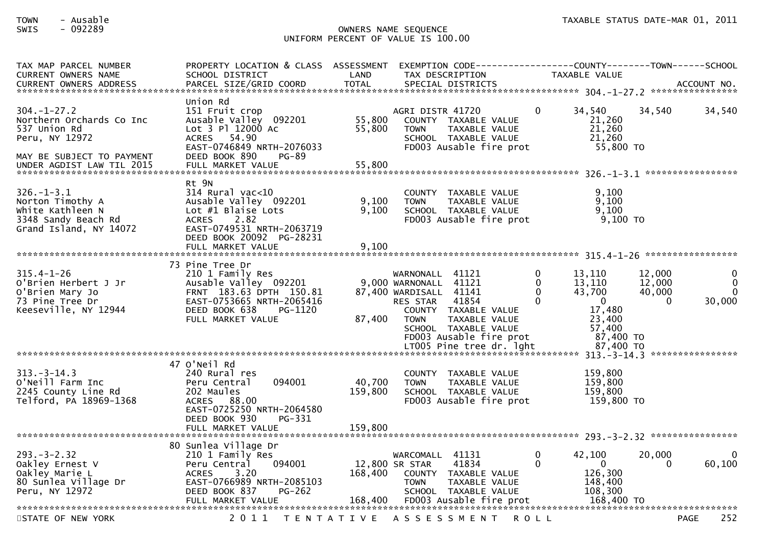### TOWN - Ausable TAXABLE STATUS DATE-MAR 01, 2011SWIS - 092289 OWNERS NAME SEQUENCE UNIFORM PERCENT OF VALUE IS 100.00

| TAX MAP PARCEL NUMBER<br><b>CURRENT OWNERS NAME</b><br><b>CURRENT OWNERS ADDRESS</b>                                                      | PROPERTY LOCATION & CLASS<br>SCHOOL DISTRICT<br>PARCEL SIZE/GRID COORD                                                                                                             | ASSESSMENT<br>LAND<br><b>TOTAL</b> | TAX DESCRIPTION                                                                                      | SPECIAL DISTRICTS                                                                                                             |                                | TAXABLE VALUE                                                                                        |                                        | ACCOUNT NO.<br>****************                                |
|-------------------------------------------------------------------------------------------------------------------------------------------|------------------------------------------------------------------------------------------------------------------------------------------------------------------------------------|------------------------------------|------------------------------------------------------------------------------------------------------|-------------------------------------------------------------------------------------------------------------------------------|--------------------------------|------------------------------------------------------------------------------------------------------|----------------------------------------|----------------------------------------------------------------|
| $304. - 1 - 27.2$<br>Northern Orchards Co Inc<br>537 Union Rd<br>Peru, NY 12972<br>MAY BE SUBJECT TO PAYMENT<br>UNDER AGDIST LAW TIL 2015 | Union Rd<br>151 Fruit crop<br>Ausable Valley 092201<br>Lot 3 Pl 12000 Ac<br>ACRES 54.90<br>EAST-0746849 NRTH-2076033<br>DEED BOOK 890<br>$PG-89$<br>FULL MARKET VALUE              | 55,800<br>55,800<br>55,800         | AGRI DISTR 41720<br><b>TOWN</b>                                                                      | COUNTY TAXABLE VALUE<br>TAXABLE VALUE<br>SCHOOL TAXABLE VALUE<br>FD003 Ausable fire prot                                      | $\mathbf{0}$                   | 34,540<br>21,260<br>21,260<br>21,260<br>55,800 TO                                                    | 34,540                                 | 34,540                                                         |
| $326. - 1 - 3.1$<br>Norton Timothy A<br>White Kathleen N<br>3348 Sandy Beach Rd<br>Grand Island, NY 14072                                 | Rt 9N<br>$314$ Rural vac<10<br>Ausable Valley 092201<br>Lot $#1$ Blaise Lots<br>2.82<br><b>ACRES</b><br>EAST-0749531 NRTH-2063719<br>DEED BOOK 20092 PG-28231<br>FULL MARKET VALUE | 9,100<br>9,100<br>9,100            | <b>COUNTY</b><br><b>TOWN</b>                                                                         | TAXABLE VALUE<br>TAXABLE VALUE<br>SCHOOL TAXABLE VALUE<br>FD003 Ausable fire prot                                             |                                | 9,100<br>9,100<br>9,100<br>$9,100$ TO                                                                |                                        |                                                                |
| $315.4 - 1 - 26$<br>O'Brien Herbert J Jr<br>O'Brien Mary Jo<br>73 Pine Tree Dr<br>Keeseville, NY 12944                                    | 73 Pine Tree Dr<br>210 1 Family Res<br>Ausable Valley 092201<br>FRNT 183.63 DPTH 150.81<br>EAST-0753665 NRTH-2065416<br>DEED BOOK 638<br>PG-1120<br>FULL MARKET VALUE              | 87,400                             | WARNONALL 41121<br>9,000 WARNONALL 41121<br>87,400 WARDISALL 41141<br><b>RES STAR</b><br><b>TOWN</b> | 41854<br>COUNTY TAXABLE VALUE<br>TAXABLE VALUE<br>SCHOOL TAXABLE VALUE<br>FD003 Ausable fire prot<br>LT005 Pine tree dr. 1ght | 0<br>$\Omega$<br>$\Omega$<br>0 | 13,110<br>13,110<br>43,700<br>$\mathbf{0}$<br>17,480<br>23,400<br>57,400<br>87,400 TO<br>87,400 TO   | 12,000<br>12,000<br>40,000<br>$\Omega$ | $\Omega$<br>$\Omega$<br>$\Omega$<br>30,000<br>**************** |
| $313 - 3 - 14.3$<br>O'Neill Farm Inc<br>2245 County Line Rd<br>Telford, PA 18969-1368                                                     | 47 O'Neil Rd<br>240 Rural res<br>094001<br>Peru Central<br>202 Maules<br>ACRES 88.00<br>EAST-0725250 NRTH-2064580<br>DEED BOOK 930<br>PG-331<br>FULL MARKET VALUE                  | 40,700<br>159,800<br>159,800       | <b>TOWN</b>                                                                                          | COUNTY TAXABLE VALUE<br>TAXABLE VALUE<br>SCHOOL TAXABLE VALUE<br>FD003 Ausable fire prot                                      |                                | 159,800<br>159,800<br>159,800<br>159,800 TO                                                          |                                        |                                                                |
| $293. - 3 - 2.32$<br>Oakley Ernest V<br>Oakley Marie L<br>80 Sunlea Village Dr<br>Peru, NY 12972                                          | 80 Sunlea Village Dr<br>210 1 Family Res<br>094001<br>Peru Central<br>3.20<br><b>ACRES</b><br>EAST-0766989 NRTH-2085103<br>DEED BOOK 837<br><b>PG-262</b><br>FULL MARKET VALUE     | 168,400<br>168,400                 | WARCOMALL 41131<br>12,800 SR STAR<br><b>TOWN</b>                                                     | 41834<br>COUNTY TAXABLE VALUE<br>TAXABLE VALUE<br>SCHOOL TAXABLE VALUE<br>FD003 Ausable fire prot                             | 0<br>0                         | 42,100<br>$\Omega$<br>126,300<br>148,400<br>108,300<br>168,400 TO<br>******************************* | 20,000<br>0                            | 60,100                                                         |
| STATE OF NEW YORK                                                                                                                         | 2 0 1 1                                                                                                                                                                            | T E N T A T I V E                  |                                                                                                      | A S S E S S M E N T                                                                                                           | <b>ROLL</b>                    |                                                                                                      | <b>PAGE</b>                            | 252                                                            |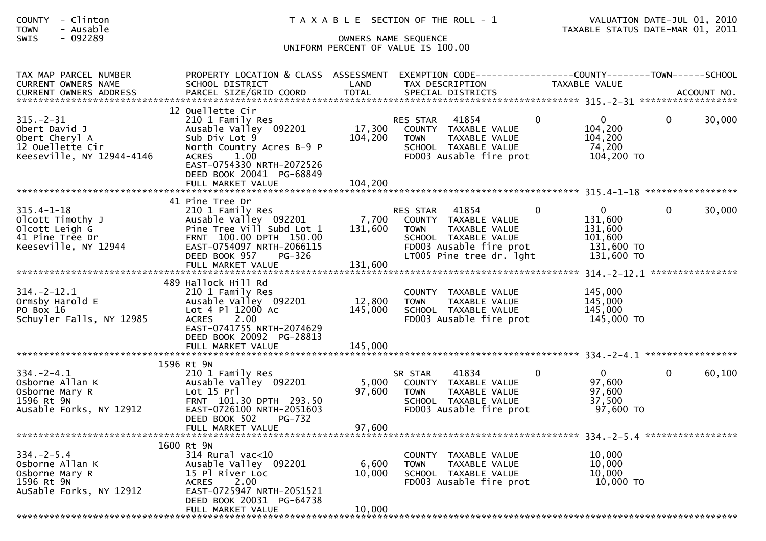| COUNTY | Clinton<br>$\overline{\phantom{0}}$ |  |
|--------|-------------------------------------|--|
| TOWN   | Ausable<br>$\overline{\phantom{0}}$ |  |

| TAX MAP PARCEL NUMBER<br><b>CURRENT OWNERS NAME</b>                                                 | PROPERTY LOCATION & CLASS ASSESSMENT<br>SCHOOL DISTRICT                                                                                                                               | LAND                        | EXEMPTION CODE-----------------COUNTY-------TOWN------SCHOOL<br>TAX DESCRIPTION                                                                          |          | <b>TAXABLE VALUE</b>                                                  |          |        |
|-----------------------------------------------------------------------------------------------------|---------------------------------------------------------------------------------------------------------------------------------------------------------------------------------------|-----------------------------|----------------------------------------------------------------------------------------------------------------------------------------------------------|----------|-----------------------------------------------------------------------|----------|--------|
|                                                                                                     |                                                                                                                                                                                       |                             |                                                                                                                                                          |          |                                                                       |          |        |
| $315. - 2 - 31$<br>Obert David J<br>Obert Cheryl A<br>12 Ouellette Cir<br>Keeseville, NY 12944-4146 | 12 Ouellette Cir<br>210 1 Family Res<br>Ausable Valley 092201<br>Sub Div Lot 9<br>North Country Acres B-9 P<br>1.00<br><b>ACRES</b><br>EAST-0754330 NRTH-2072526                      | 17,300<br>104, 200          | RES STAR<br>41854<br>COUNTY TAXABLE VALUE<br><b>TOWN</b><br>TAXABLE VALUE<br>SCHOOL TAXABLE VALUE<br>FD003 Ausable fire prot                             | $\Omega$ | $\mathbf 0$<br>104,200<br>104,200<br>74,200<br>104,200 TO             | $\Omega$ | 30,000 |
|                                                                                                     | DEED BOOK 20041 PG-68849                                                                                                                                                              |                             |                                                                                                                                                          |          |                                                                       |          |        |
|                                                                                                     | 41 Pine Tree Dr                                                                                                                                                                       |                             |                                                                                                                                                          |          |                                                                       |          |        |
| $315.4 - 1 - 18$<br>Olcott Timothy J<br>Olcott Leigh G<br>41 Pine Tree Dr<br>Keeseville, NY 12944   | 210 1 Family Res<br>Ausable Valley 092201<br>Pine Tree Vill Subd Lot 1<br>FRNT 100.00 DPTH 150.00<br>EAST-0754097 NRTH-2066115<br>DEED BOOK 957<br><b>PG-326</b><br>FULL MARKET VALUE | 7,700<br>131,600<br>131,600 | 41854<br>RES STAR<br>COUNTY TAXABLE VALUE<br>TAXABLE VALUE<br><b>TOWN</b><br>SCHOOL TAXABLE VALUE<br>FD003 Ausable fire prot<br>LT005 Pine tree dr. lght | $\Omega$ | $\Omega$<br>131,600<br>131,600<br>101,600<br>131,600 TO<br>131,600 TO | $\Omega$ | 30,000 |
|                                                                                                     |                                                                                                                                                                                       |                             |                                                                                                                                                          |          |                                                                       |          |        |
| $314. -2 - 12.1$<br>Ormsby Harold E<br>PO Box 16<br>Schuyler Falls, NY 12985                        | 489 Hallock Hill Rd<br>210 1 Family Res<br>Ausable Valley 092201<br>Lot 4 Pl 12000 Ac<br>2.00<br><b>ACRES</b><br>EAST-0741755 NRTH-2074629<br>DEED BOOK 20092 PG-28813                | 12,800<br>145,000           | COUNTY TAXABLE VALUE<br><b>TOWN</b><br>TAXABLE VALUE<br>SCHOOL TAXABLE VALUE<br>FD003 Ausable fire prot                                                  |          | 145,000<br>145,000<br>145,000<br>145,000 TO                           |          |        |
|                                                                                                     | FULL MARKET VALUE                                                                                                                                                                     | 145,000                     |                                                                                                                                                          |          |                                                                       |          |        |
|                                                                                                     |                                                                                                                                                                                       |                             |                                                                                                                                                          |          |                                                                       |          |        |
| $334. - 2 - 4.1$<br>Osborne Allan K<br>Osborne Mary R<br>1596 Rt 9N<br>Ausable Forks, NY 12912      | 1596 Rt 9N<br>210 1 Family Res<br>Ausable Valley 092201<br>Lot 15 Prl<br>FRNT 101.30 DPTH 293.50<br>EAST-0726100 NRTH-2051603<br><b>PG-732</b><br>DEED BOOK 502                       | 5,000<br>97,600             | 41834<br>SR STAR<br>COUNTY TAXABLE VALUE<br><b>TOWN</b><br>TAXABLE VALUE<br>SCHOOL TAXABLE VALUE<br>FD003 Ausable fire prot                              | $\Omega$ | $\Omega$<br>97,600<br>97,600<br>37,500<br>97,600 TO                   | $\Omega$ | 60,100 |
|                                                                                                     | FULL MARKET VALUE                                                                                                                                                                     | 97,600                      |                                                                                                                                                          |          |                                                                       |          |        |
|                                                                                                     |                                                                                                                                                                                       |                             |                                                                                                                                                          |          |                                                                       |          |        |
| $334. -2 - 5.4$<br>Osborne Allan K<br>Osborne Mary R<br>1596 Rt 9N<br>AuSable Forks, NY 12912       | 1600 Rt 9N<br>314 Rural vac<10<br>Ausable Valley 092201<br>15 Pl River Loc<br>2.00<br><b>ACRES</b><br>EAST-0725947 NRTH-2051521<br>DEED BOOK 20031 PG-64738                           | 6,600<br>10,000             | COUNTY TAXABLE VALUE<br><b>TOWN</b><br>TAXABLE VALUE<br>SCHOOL TAXABLE VALUE<br>FD003 Ausable fire prot                                                  |          | 10,000<br>10,000<br>10,000<br>10,000 TO                               |          |        |
|                                                                                                     | FULL MARKET VALUE                                                                                                                                                                     | 10,000                      |                                                                                                                                                          |          |                                                                       |          |        |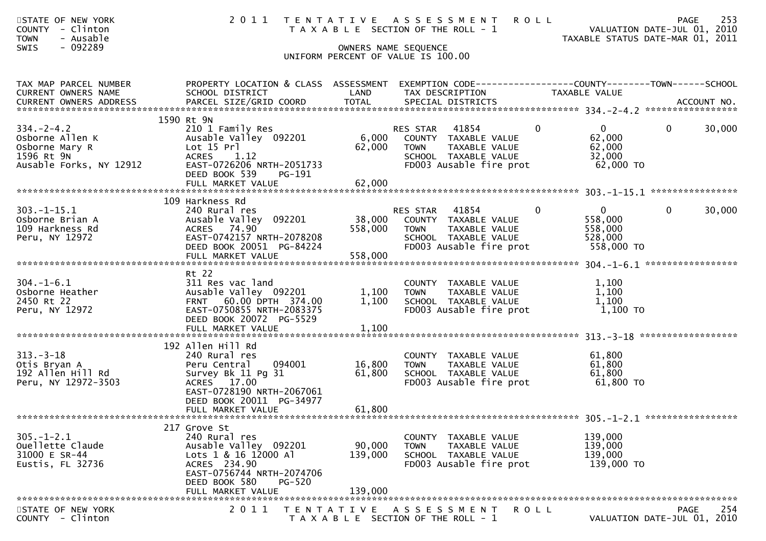| STATE OF NEW YORK<br><b>COUNTY</b><br>- Clinton<br>- Ausable<br><b>TOWN</b><br>$-092289$<br><b>SWIS</b> | 2011                                                                                                                                                                               |                              | TENTATIVE ASSESSMENT<br>T A X A B L E SECTION OF THE ROLL - 1<br>OWNERS NAME SEQUENCE<br>UNIFORM PERCENT OF VALUE IS 100.00  | <b>ROLL</b>                                                               | 253<br><b>PAGE</b><br>VALUATION DATE-JUL 01, 2010<br>TAXABLE STATUS DATE-MAR 01, 2011 |
|---------------------------------------------------------------------------------------------------------|------------------------------------------------------------------------------------------------------------------------------------------------------------------------------------|------------------------------|------------------------------------------------------------------------------------------------------------------------------|---------------------------------------------------------------------------|---------------------------------------------------------------------------------------|
| TAX MAP PARCEL NUMBER<br>CURRENT OWNERS NAME                                                            | PROPERTY LOCATION & CLASS ASSESSMENT<br>SCHOOL DISTRICT                                                                                                                            | LAND                         | EXEMPTION CODE-----------------COUNTY-------TOWN------SCHOOL<br>TAX DESCRIPTION                                              | TAXABLE VALUE                                                             |                                                                                       |
| $334. -2 - 4.2$<br>Osborne Allen K<br>Osborne Mary R<br>1596 Rt 9N<br>Ausable Forks, NY 12912           | 1590 Rt 9N<br>210 1 Family Res<br>Ausable Valley 092201<br>Lot 15 Prl<br><b>ACRES</b><br>1.12<br>EAST-0726206 NRTH-2051733<br>DEED BOOK 539<br>PG-191                              | 6,000<br>62,000              | RES STAR<br>41854<br>COUNTY TAXABLE VALUE<br><b>TOWN</b><br>TAXABLE VALUE<br>SCHOOL TAXABLE VALUE<br>FD003 Ausable fire prot | $\mathbf{0}$<br>$\overline{0}$<br>62,000<br>62,000<br>32,000<br>62,000 TO | $\mathbf{0}$<br>30,000                                                                |
| $303. -1 - 15.1$<br>Osborne Brian A<br>109 Harkness Rd<br>Peru, NY 12972                                | 109 Harkness Rd<br>240 Rural res<br>Ausable Valley 092201<br>ACRES 74.90<br>EAST-0742157 NRTH-2078208<br>DEED BOOK 20051 PG-84224<br>FULL MARKET VALUE                             | 38,000<br>558,000<br>558,000 | RES STAR<br>41854<br>COUNTY TAXABLE VALUE<br><b>TOWN</b><br>TAXABLE VALUE<br>SCHOOL TAXABLE VALUE<br>FD003 Ausable fire prot | $\overline{0}$<br>0<br>558,000<br>558,000<br>528,000<br>558,000 TO        | $\mathbf{0}$<br>30,000                                                                |
| $304. - 1 - 6.1$<br>Osborne Heather<br>2450 Rt 22<br>Peru, NY 12972                                     | Rt 22<br>311 Res vac land<br>Ausable Valley 092201<br>FRNT 60.00 DPTH 374.00<br>EAST-0750855 NRTH-2083375<br>DEED BOOK 20072 PG-5529<br>FULL MARKET VALUE                          | 1,100<br>1,100<br>1,100      | COUNTY<br>TAXABLE VALUE<br>TAXABLE VALUE<br><b>TOWN</b><br>SCHOOL TAXABLE VALUE<br>FD003 Ausable fire prot                   | 1,100<br>1,100<br>1,100<br>1,100 TO                                       |                                                                                       |
| $313 - 3 - 18$<br>Otis Bryan A<br>192 Allen Hill Rd<br>Peru, NY 12972-3503                              | 192 Allen Hill Rd<br>240 Rural res<br>094001<br>Peru Central<br>Survey Bk 11 Pg 31<br>ACRES 17.00<br>EAST-0728190 NRTH-2067061<br>DEED BOOK 20011 PG-34977<br>FULL MARKET VALUE    | 16,800<br>61,800<br>61,800   | COUNTY TAXABLE VALUE<br><b>TOWN</b><br>TAXABLE VALUE<br>SCHOOL TAXABLE VALUE<br>FD003 Ausable fire prot                      | 61,800<br>61,800<br>61,800<br>61,800 TO                                   |                                                                                       |
| $305. - 1 - 2.1$<br>Ouellette Claude<br>31000 E SR-44<br>Eustis, FL 32736                               | 217 Grove St<br>240 Rural res<br>Ausable Valley 092201<br>Lots 1 & 16 12000 Al<br>ACRES 234.90<br>EAST-0756744 NRTH-2074706<br>DEED BOOK 580<br><b>PG-520</b><br>FULL MARKET VALUE | 90,000<br>139,000<br>139,000 | COUNTY<br>TAXABLE VALUE<br>TAXABLE VALUE<br><b>TOWN</b><br>SCHOOL TAXABLE VALUE<br>FD003 Ausable fire prot                   | 139,000<br>139,000<br>139,000<br>139,000 TO                               |                                                                                       |
| STATE OF NEW YORK<br>COUNTY - Clinton                                                                   | 2 0 1 1                                                                                                                                                                            | T E N T A T I V E            | A S S E S S M E N T<br>T A X A B L E SECTION OF THE ROLL - 1                                                                 | R O L L                                                                   | 254<br><b>PAGE</b><br>VALUATION DATE-JUL 01, 2010                                     |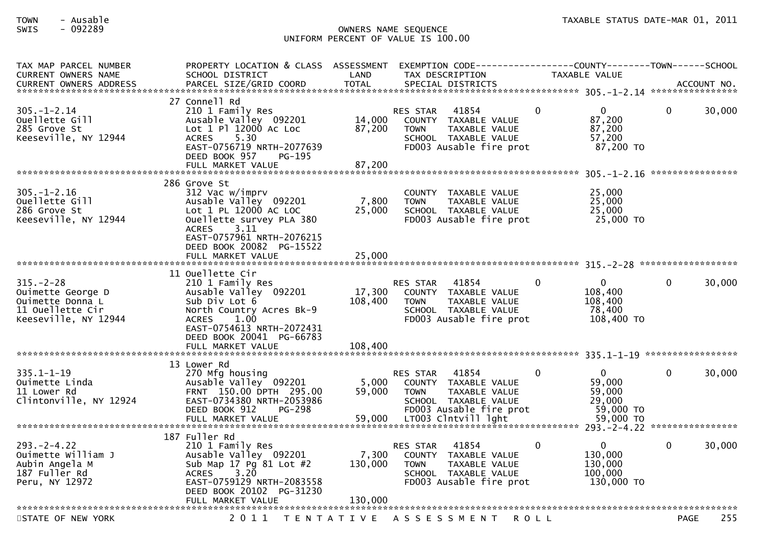### TOWN - Ausable TAXABLE STATUS DATE-MAR 01, 2011SWIS - 092289 OWNERS NAME SEQUENCE UNIFORM PERCENT OF VALUE IS 100.00

| TAX MAP PARCEL NUMBER<br><b>CURRENT OWNERS NAME</b><br><b>CURRENT OWNERS ADDRESS</b>                 | PROPERTY LOCATION & CLASS ASSESSMENT<br>SCHOOL DISTRICT<br>PARCEL SIZE/GRID COORD                                                                                                              | LAND<br><b>TOTAL</b>        | EXEMPTION CODE----------<br>TAX DESCRIPTION<br>SPECIAL DISTRICTS                                                                                                     |          | --------COUNTY--------TOWN------SCHOOL<br>TAXABLE VALUE                |              | ACCOUNT NO.      |
|------------------------------------------------------------------------------------------------------|------------------------------------------------------------------------------------------------------------------------------------------------------------------------------------------------|-----------------------------|----------------------------------------------------------------------------------------------------------------------------------------------------------------------|----------|------------------------------------------------------------------------|--------------|------------------|
| $305. - 1 - 2.14$<br>Ouellette Gill<br>285 Grove St<br>Keeseville, NY 12944                          | 27 Connell Rd<br>210 1 Family Res<br>Ausable Valley 092201<br>Lot 1 Pl 12000 Ac Loc<br><b>ACRES</b><br>5.30<br>EAST-0756719 NRTH-2077639<br>DEED BOOK 957<br>PG-195                            | 14,000<br>87,200            | 41854<br><b>RES STAR</b><br><b>COUNTY</b><br>TAXABLE VALUE<br><b>TAXABLE VALUE</b><br><b>TOWN</b><br>SCHOOL TAXABLE VALUE<br>FD003 Ausable fire prot                 | $\Omega$ | 0<br>87,200<br>87,200<br>57,200<br>87,200 TO                           | 0            | 30,000           |
|                                                                                                      |                                                                                                                                                                                                |                             |                                                                                                                                                                      |          |                                                                        |              | **************** |
| 305. - 1 - 2.16<br>Ouellette Gill<br>286 Grove St<br>Keeseville, NY 12944                            | 286 Grove St<br>312 Vac w/imprv<br>Ausable Valley 092201<br>Lot 1 PL 12000 AC LOC<br>Ouellette survey PLA 380<br>3.11<br><b>ACRES</b><br>EAST-0757961 NRTH-2076215<br>DEED BOOK 20082 PG-15522 | 7,800<br>25,000             | <b>COUNTY</b><br>TAXABLE VALUE<br>TAXABLE VALUE<br><b>TOWN</b><br>SCHOOL TAXABLE VALUE<br>FD003 Ausable fire prot                                                    |          | 25,000<br>25,000<br>25,000<br>25,000 TO                                |              |                  |
|                                                                                                      | FULL MARKET VALUE                                                                                                                                                                              | 25,000                      |                                                                                                                                                                      |          |                                                                        |              |                  |
|                                                                                                      | 11 Ouellette Cir                                                                                                                                                                               |                             |                                                                                                                                                                      |          |                                                                        |              |                  |
| $315. - 2 - 28$<br>Ouimette George D<br>Ouimette Donna L<br>11 Ouellette Cir<br>Keeseville, NY 12944 | 210 1 Family Res<br>Ausable Valley 092201<br>Sub Div Lot 6<br>North Country Acres Bk-9<br>1.00<br><b>ACRES</b><br>EAST-0754613 NRTH-2072431<br>DEED BOOK 20041 PG-66783                        | 17,300<br>108,400           | 41854<br><b>RES STAR</b><br><b>COUNTY</b><br>TAXABLE VALUE<br><b>TOWN</b><br>TAXABLE VALUE<br>SCHOOL TAXABLE VALUE<br>FD003 Ausable fire prot                        | 0        | $\mathbf{0}$<br>108,400<br>108,400<br>78,400<br>108,400 TO             | 0            | 30,000           |
|                                                                                                      | FULL MARKET VALUE                                                                                                                                                                              | 108,400                     |                                                                                                                                                                      |          |                                                                        |              |                  |
|                                                                                                      | 13 Lower Rd                                                                                                                                                                                    |                             |                                                                                                                                                                      |          |                                                                        |              |                  |
| $335.1 - 1 - 19$<br>Ouimette Linda<br>11 Lower Rd<br>Clintonville, NY 12924                          | 270 Mfg housing<br>Ausable Valley 092201<br>FRNT 150.00 DPTH 295.00<br>EAST-0734380 NRTH-2053986<br>DEED BOOK 912<br>PG-298<br>FULL MARKET VALUE                                               | 5,000<br>59,000<br>59,000   | 41854<br><b>RES STAR</b><br><b>COUNTY</b><br>TAXABLE VALUE<br>TAXABLE VALUE<br><b>TOWN</b><br>SCHOOL TAXABLE VALUE<br>FD003 Ausable fire prot<br>LT003 Clntvill lght | 0        | $\overline{0}$<br>59,000<br>59,000<br>29,000<br>59,000 TO<br>59,000 TO | $\Omega$     | 30,000           |
|                                                                                                      |                                                                                                                                                                                                |                             |                                                                                                                                                                      |          |                                                                        |              |                  |
| $293. -2 - 4.22$<br>Ouimette William J<br>Aubin Angela M<br>187 Fuller Rd<br>Peru, NY 12972          | 187 Fuller Rd<br>210 1 Family Res<br>Ausable Valley 092201<br>Sub Map 17 Pg 81 Lot #2<br>3.20<br><b>ACRES</b><br>EAST-0759129 NRTH-2083558<br>DEED BOOK 20102 PG-31230<br>FULL MARKET VALUE    | 7,300<br>130,000<br>130.000 | 41854<br><b>RES STAR</b><br><b>COUNTY</b><br>TAXABLE VALUE<br>TAXABLE VALUE<br><b>TOWN</b><br>SCHOOL TAXABLE VALUE<br>FD003 Ausable fire prot                        | $\Omega$ | $\mathbf{0}$<br>130,000<br>130,000<br>100,000<br>130,000 TO            | $\mathbf{0}$ | 30,000           |
| ************************                                                                             |                                                                                                                                                                                                |                             |                                                                                                                                                                      |          |                                                                        |              |                  |
| STATE OF NEW YORK                                                                                    | 2011<br>T E N T A T I V E                                                                                                                                                                      |                             | A S S E S S M E N T                                                                                                                                                  | R O L L  |                                                                        | PAGE         | 255              |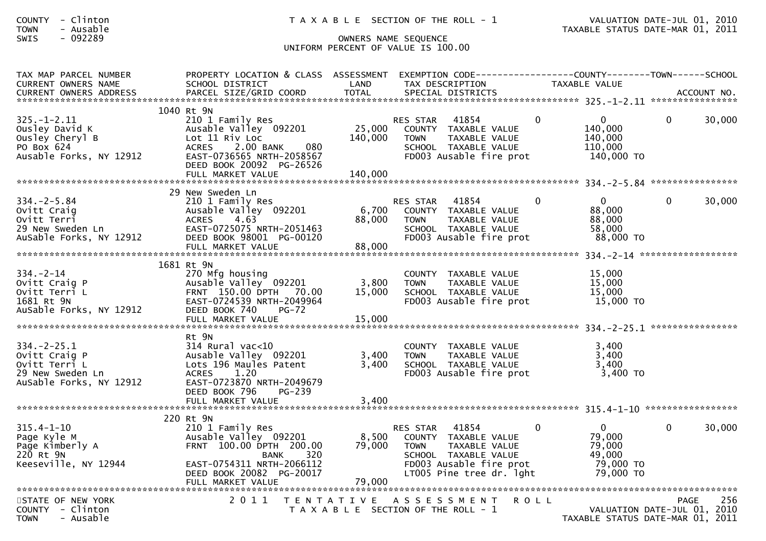| <b>COUNTY</b> | Clinton |  |
|---------------|---------|--|
| <b>TOWN</b>   | Ausable |  |

| TAX MAP PARCEL NUMBER<br><b>CURRENT OWNERS NAME</b>                                               | PROPERTY LOCATION & CLASS ASSESSMENT<br>SCHOOL DISTRICT                                                                                                                    | LAND                      | TAX DESCRIPTION                                                                                                                                          |             | TAXABLE VALUE                                                    |              |             |
|---------------------------------------------------------------------------------------------------|----------------------------------------------------------------------------------------------------------------------------------------------------------------------------|---------------------------|----------------------------------------------------------------------------------------------------------------------------------------------------------|-------------|------------------------------------------------------------------|--------------|-------------|
| $325. - 1 - 2.11$<br>Ousley David K<br>Ousley Cheryl B<br>PO Box 624<br>Ausable Forks, NY 12912   | 1040 Rt 9N<br>210 1 Family Res<br>Ausable Valley 092201<br>Lot 11 Riv Loc<br>ACRES 2.00 BANK<br>080<br>EAST-0736565 NRTH-2058567<br>DEED BOOK 20092 PG-26526               | 25,000<br>140,000         | 41854<br><b>RES STAR</b><br>COUNTY TAXABLE VALUE<br>TAXABLE VALUE<br><b>TOWN</b><br>SCHOOL TAXABLE VALUE<br>FD003 Ausable fire prot                      | $\Omega$    | $\mathbf{0}$<br>140,000<br>140,000<br>110,000<br>140,000 TO      | $\mathbf{0}$ | 30,000      |
|                                                                                                   |                                                                                                                                                                            |                           |                                                                                                                                                          |             |                                                                  |              |             |
| $334 - 2 - 5.84$<br>Ovitt Craig<br>Ovitt Terri<br>29 New Sweden Ln<br>AuSable Forks, NY 12912     | 29 New Sweden Ln<br>210 1 Family Res<br>Ausable Valley 092201<br><b>ACRES</b><br>4.63<br>EAST-0725075 NRTH-2051463<br>DEED BOOK 98001 PG-00120                             | 6,700<br>88,000           | 41854<br>RES STAR<br>COUNTY TAXABLE VALUE<br>TAXABLE VALUE<br><b>TOWN</b><br>SCHOOL TAXABLE VALUE<br>FD003 Ausable fire prot                             | $\Omega$    | $\Omega$<br>88,000<br>88,000<br>58,000<br>88,000 TO              | $\Omega$     | 30,000      |
|                                                                                                   | 1681 Rt 9N                                                                                                                                                                 |                           |                                                                                                                                                          |             |                                                                  |              |             |
| $334. - 2 - 14$<br>Ovitt Craig P<br>Ovitt Terri L<br>1681 Rt 9N<br>AuSable Forks, NY 12912        | 270 Mfg housing<br>Ausable Valley 092201<br>FRNT 150.00 DPTH 70.00<br>EAST-0724539 NRTH-2049964<br>DEED BOOK 740<br>$PG-72$                                                | 3,800<br>15,000           | COUNTY TAXABLE VALUE<br>TAXABLE VALUE<br><b>TOWN</b><br>SCHOOL TAXABLE VALUE<br>FD003 Ausable fire prot                                                  |             | 15,000<br>15,000<br>15,000<br>15,000 TO                          |              |             |
|                                                                                                   | Rt 9N                                                                                                                                                                      |                           |                                                                                                                                                          |             |                                                                  |              |             |
| $334. -2 - 25.1$<br>Ovitt Craig P<br>Ovitt Terri L<br>29 New Sweden Ln<br>AuSable Forks, NY 12912 | 314 Rural vac<10<br>Ausable Valley 092201<br>Lots 196 Maules Patent<br>1.20<br><b>ACRES</b><br>EAST-0723870 NRTH-2049679<br>DEED BOOK 796<br>$PG-239$<br>FULL MARKET VALUE | 3,400<br>3,400<br>3,400   | COUNTY TAXABLE VALUE<br><b>TOWN</b><br>TAXABLE VALUE<br>SCHOOL TAXABLE VALUE<br>FD003 Ausable fire prot                                                  |             | 3,400<br>3,400<br>3,400<br>$3,400$ TO                            |              |             |
|                                                                                                   | 220 Rt 9N                                                                                                                                                                  |                           |                                                                                                                                                          |             |                                                                  |              |             |
| $315.4 - 1 - 10$<br>Page Kyle M<br>Page Kimberly A<br>220 Rt 9N<br>Keeseville, NY 12944           | 210 1 Family Res<br>Ausable Valley 092201<br>FRNT 100.00 DPTH 200.00<br>320<br><b>BANK</b><br>EAST-0754311 NRTH-2066112<br>DEED BOOK 20082 PG-20017<br>FULL MARKET VALUE   | 8,500<br>79,000<br>79,000 | 41854<br>RES STAR<br>COUNTY TAXABLE VALUE<br>TAXABLE VALUE<br><b>TOWN</b><br>SCHOOL TAXABLE VALUE<br>FD003 Ausable fire prot<br>LT005 Pine tree dr. lght |             | $\Omega$<br>79,000<br>79,000<br>49,000<br>79,000 TO<br>79,000 TO | $\Omega$     | 30,000      |
|                                                                                                   |                                                                                                                                                                            |                           |                                                                                                                                                          |             |                                                                  |              |             |
| STATE OF NEW YORK<br>COUNTY - Clinton<br>- Ausable<br><b>TOWN</b>                                 | 2011                                                                                                                                                                       |                           | TENTATIVE ASSESSMENT<br>T A X A B L E SECTION OF THE ROLL - 1                                                                                            | <b>ROLL</b> | VALUATION DATE-JUL 01,<br>TAXABLE STATUS DATE-MAR 01, 2011       | PAGE         | 256<br>2010 |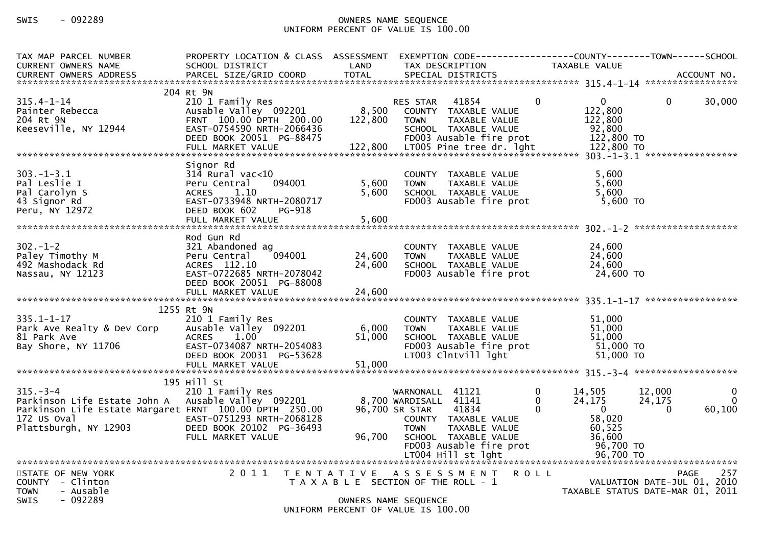| TAX MAP PARCEL NUMBER<br><b>CURRENT OWNERS NAME</b>                                                                                             | PROPERTY LOCATION & CLASS ASSESSMENT<br>SCHOOL DISTRICT                                                                                                                   | LAND                      | EXEMPTION CODE-----------------COUNTY--------TOWN------SCHOOL<br>TAX DESCRIPTION                                                                                                                        |                    | <b>TAXABLE VALUE</b>                                                                     |                                                                                       |
|-------------------------------------------------------------------------------------------------------------------------------------------------|---------------------------------------------------------------------------------------------------------------------------------------------------------------------------|---------------------------|---------------------------------------------------------------------------------------------------------------------------------------------------------------------------------------------------------|--------------------|------------------------------------------------------------------------------------------|---------------------------------------------------------------------------------------|
| $315.4 - 1 - 14$<br>Painter Rebecca<br>204 Rt 9N<br>Keeseville, NY 12944                                                                        | 204 Rt 9N<br>210 1 Family Res<br>Ausable Valley 092201<br>FRNT 100.00 DPTH 200.00<br>EAST-0754590 NRTH-2066436<br>DEED BOOK 20051 PG-88475                                | 8,500<br>122,800          | 41854<br><b>RES STAR</b><br>COUNTY TAXABLE VALUE<br>TAXABLE VALUE<br><b>TOWN</b><br>SCHOOL TAXABLE VALUE<br>FD003 Ausable fire prot                                                                     | $\Omega$           | 0<br>122,800<br>122,800<br>92,800<br>122,800 TO                                          | 30,000<br>0                                                                           |
| $303 - 1 - 3.1$<br>Pal Leslie I<br>Pal Carolyn S<br>43 Signor Rd<br>Peru, NY 12972                                                              | Signor Rd<br>$31\overline{4}$ Rural vac<10<br>Peru Central<br>094001<br><b>ACRES</b><br>1.10<br>EAST-0733948 NRTH-2080717<br>DEED BOOK 602<br>PG-918<br>FULL MARKET VALUE | 5,600<br>5,600<br>5,600   | COUNTY TAXABLE VALUE<br><b>TOWN</b><br>TAXABLE VALUE<br>SCHOOL TAXABLE VALUE<br>FD003 Ausable fire prot                                                                                                 |                    | 5,600<br>5,600<br>5,600<br>$5,600$ TO                                                    |                                                                                       |
| $302 - 1 - 2$<br>Paley Timothy M<br>492 Mashodack Rd<br>Nassau, NY 12123                                                                        | Rod Gun Rd<br>321 Abandoned ag<br>Peru Central<br>094001<br>ACRES 112.10<br>EAST-0722685 NRTH-2078042<br>DEED BOOK 20051 PG-88008                                         | 24,600<br>24,600          | COUNTY TAXABLE VALUE<br>TAXABLE VALUE<br><b>TOWN</b><br>SCHOOL TAXABLE VALUE<br>FD003 Ausable fire prot                                                                                                 |                    | 24,600<br>24,600<br>24,600<br>24,600 TO                                                  |                                                                                       |
| $335.1 - 1 - 17$<br>Park Ave Realty & Dev Corp<br>81 Park Ave<br>Bay Shore, NY 11706                                                            | 1255 Rt 9N<br>210 1 Family Res<br>Ausable Valley 092201<br><b>ACRES</b><br>1.00<br>EAST-0734087 NRTH-2054083<br>DEED BOOK 20031 PG-53628<br>FULL MARKET VALUE             | 6,000<br>51,000<br>51,000 | COUNTY TAXABLE VALUE<br>TAXABLE VALUE<br><b>TOWN</b><br>SCHOOL TAXABLE VALUE<br>FD003 Ausable fire prot<br>LT003 Clntvill lght                                                                          |                    | 51,000<br>51,000<br>51,000<br>$51,000$ TO<br>51,000 TO                                   |                                                                                       |
| $315 - 3 - 4$<br>Parkinson Life Estate John A<br>Parkinson Life Estate Margaret FRNT 100.00 DPTH 250.00<br>172 US Oval<br>Plattsburgh, NY 12903 | 195 Hill St<br>210 1 Family Res<br>Ausable Valley 092201<br>EAST-0751293 NRTH-2068128<br>DEED BOOK 20102 PG-36493<br>FULL MARKET VALUE                                    | 96,700                    | 41121<br>WARNONALL<br>8,700 WARDISALL 41141<br>96,700 SR STAR<br>41834<br>COUNTY TAXABLE VALUE<br><b>TOWN</b><br>TAXABLE VALUE<br>SCHOOL TAXABLE VALUE<br>FD003 Ausable fire prot<br>LT004 Hill st lght | $\Omega$<br>0<br>0 | 14,505<br>24,175<br>$\mathbf{0}$<br>58,020<br>60,525<br>36,600<br>96,700 TO<br>96,700 TO | 12,000<br>0<br>$\Omega$<br>24,175<br>60,100<br>$\Omega$                               |
| STATE OF NEW YORK<br>COUNTY - Clinton<br>- Ausable<br><b>TOWN</b><br>$-092289$<br><b>SWIS</b>                                                   | 2011                                                                                                                                                                      |                           | TENTATIVE ASSESSMENT<br>T A X A B L E SECTION OF THE ROLL - 1<br>OWNERS NAME SEQUENCE<br>UNIFORM PERCENT OF VALUE IS 100.00                                                                             | <b>ROLL</b>        |                                                                                          | 257<br><b>PAGE</b><br>VALUATION DATE-JUL 01, 2010<br>TAXABLE STATUS DATE-MAR 01, 2011 |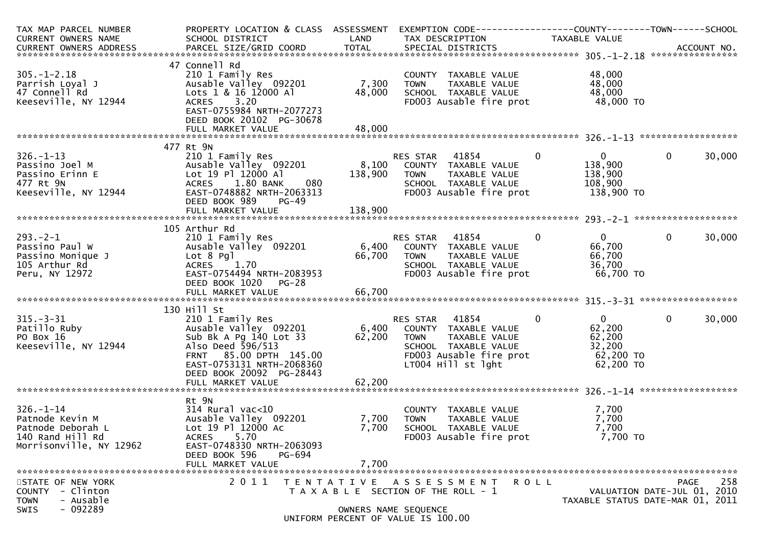| TAX MAP PARCEL NUMBER      | PROPERTY LOCATION & CLASS ASSESSMENT |                                                               |                | EXEMPTION CODE-----------------COUNTY-------TOWN------SCHOOL |              |                                  |             |        |
|----------------------------|--------------------------------------|---------------------------------------------------------------|----------------|--------------------------------------------------------------|--------------|----------------------------------|-------------|--------|
| CURRENT OWNERS NAME        | SCHOOL DISTRICT                      | LAND                                                          |                | TAX DESCRIPTION                                              |              | TAXABLE VALUE                    |             |        |
|                            |                                      |                                                               |                |                                                              |              |                                  |             |        |
|                            |                                      |                                                               |                |                                                              |              |                                  |             |        |
|                            | 47 Connell Rd                        |                                                               |                |                                                              |              |                                  |             |        |
| $305. - 1 - 2.18$          | 210 1 Family Res                     |                                                               |                | COUNTY TAXABLE VALUE                                         |              | 48,000                           |             |        |
| Parrish Loyal J            | Ausable Valley 092201                | 7,300                                                         | <b>TOWN</b>    | TAXABLE VALUE                                                |              | 48,000                           |             |        |
| 47 Connell Rd              | Lots 1 & 16 12000 Al                 | 48,000                                                        |                | SCHOOL TAXABLE VALUE                                         |              | 48,000                           |             |        |
| Keeseville, NY 12944       | ACRES 3.20                           |                                                               |                | FD003 Ausable fire prot                                      |              | 48,000 TO                        |             |        |
|                            | EAST-0755984 NRTH-2077273            |                                                               |                |                                                              |              |                                  |             |        |
|                            | DEED BOOK 20102 PG-30678             |                                                               |                |                                                              |              |                                  |             |        |
|                            |                                      |                                                               |                |                                                              |              |                                  |             |        |
|                            |                                      |                                                               |                |                                                              |              |                                  |             |        |
|                            | 477 Rt 9N                            |                                                               |                |                                                              |              |                                  |             |        |
| $326. - 1 - 13$            | 210 1 Family Res                     |                                                               | RES STAR 41854 |                                                              | $\mathbf{0}$ | $\mathbf{0}$                     | $\mathbf 0$ | 30,000 |
| Passino Joel M             | Ausable Valley 092201                |                                                               |                | 8,100 COUNTY TAXABLE VALUE                                   |              | 138,900                          |             |        |
| Passino Erinn E            | Lot 19 Pl 12000 Al                   | 138,900                                                       | <b>TOWN</b>    | TAXABLE VALUE                                                |              | 138,900                          |             |        |
| 477 Rt 9N                  | 1.80 BANK<br>080<br><b>ACRES</b>     |                                                               |                | SCHOOL TAXABLE VALUE                                         |              | 108,900                          |             |        |
| Keeseville, NY 12944       | EAST-0748882 NRTH-2063313            |                                                               |                | FD003 Ausable fire prot                                      |              | 138,900 TO                       |             |        |
|                            | DEED BOOK 989<br><b>PG-49</b>        |                                                               |                |                                                              |              |                                  |             |        |
|                            |                                      |                                                               |                |                                                              |              |                                  |             |        |
|                            |                                      |                                                               |                |                                                              |              |                                  |             |        |
|                            | 105 Arthur Rd                        |                                                               |                |                                                              |              |                                  |             |        |
| $293. - 2 - 1$             | 210 1 Family Res                     |                                                               | RES STAR 41854 |                                                              | $\Omega$     | $0 \qquad$                       | $\mathbf 0$ | 30,000 |
| Passino Paul W             | Ausable Valley 092201                |                                                               |                | 6,400 COUNTY TAXABLE VALUE                                   |              | 66,700                           |             |        |
| Passino Monique J          | Lot 8 Pgl                            | 66,700                                                        | <b>TOWN</b>    | TAXABLE VALUE                                                |              | 66,700                           |             |        |
| 105 Arthur Rd              | ACRES 1.70                           |                                                               |                | SCHOOL TAXABLE VALUE                                         |              | 36,700                           |             |        |
| Peru, NY 12972             | EAST-0754494 NRTH-2083953            |                                                               |                | FD003 Ausable fire prot                                      |              | 66,700 TO                        |             |        |
|                            | DEED BOOK 1020<br><b>PG-28</b>       |                                                               |                |                                                              |              |                                  |             |        |
|                            |                                      |                                                               |                |                                                              |              |                                  |             |        |
|                            |                                      |                                                               |                |                                                              |              |                                  |             |        |
|                            | 130 Hill St                          |                                                               |                |                                                              |              |                                  |             |        |
| $315 - 3 - 31$             | 210 1 Family Res                     |                                                               | RES STAR 41854 |                                                              | $\mathbf 0$  | $\mathbf{0}$                     | $\mathbf 0$ | 30,000 |
| Patillo Ruby               | Ausable Valley 092201                | 6,400                                                         |                | COUNTY TAXABLE VALUE                                         |              | 62,200                           |             |        |
| PO Box 16                  | Sub Bk A Pg 140 Lot 33               | 62,200                                                        | <b>TOWN</b>    | TAXABLE VALUE                                                |              | 62,200                           |             |        |
| Keeseville, NY 12944       | Also Deed 596/513                    |                                                               |                | SCHOOL TAXABLE VALUE                                         |              | 32,200                           |             |        |
|                            | FRNT 85.00 DPTH 145.00               |                                                               |                | FD003 Ausable fire prot                                      |              | 62,200 TO                        |             |        |
|                            | EAST-0753131 NRTH-2068360            |                                                               |                | LT004 Hill st lght                                           |              | 62,200 TO                        |             |        |
|                            | DEED BOOK 20092 PG-28443             |                                                               |                |                                                              |              |                                  |             |        |
|                            | FULL MARKET VALUE                    | 62,200                                                        |                |                                                              |              |                                  |             |        |
|                            |                                      |                                                               |                |                                                              |              |                                  |             |        |
|                            | Rt 9N                                |                                                               |                |                                                              |              |                                  |             |        |
| $326. - 1 - 14$            | $314$ Rural vac< $10$                |                                                               |                | COUNTY TAXABLE VALUE                                         |              | 7,700                            |             |        |
| Patnode Kevin M            | Ausable Valley 092201                | 7,700                                                         | <b>TOWN</b>    | TAXABLE VALUE                                                |              | 7,700                            |             |        |
| Patnode Deborah L          | Lot 19 Pl 12000 Ac                   | 7,700                                                         |                | SCHOOL TAXABLE VALUE                                         |              | 7,700                            |             |        |
| 140 Rand Hill Rd           | ACRES 5.70                           |                                                               |                | FD003 Ausable fire prot                                      |              | 7,700 TO                         |             |        |
| Morrisonville, NY 12962    | EAST-0748330 NRTH-2063093            |                                                               |                |                                                              |              |                                  |             |        |
|                            | DEED BOOK 596<br>PG-694              |                                                               |                |                                                              |              |                                  |             |        |
|                            |                                      |                                                               |                |                                                              |              |                                  |             |        |
|                            | FULL MARKET VALUE                    | 7,700                                                         |                |                                                              |              |                                  |             |        |
| STATE OF NEW YORK          | 2 0 1 1                              |                                                               |                |                                                              |              |                                  | <b>PAGE</b> | 258    |
| <b>COUNTY</b><br>- Clinton |                                      | TENTATIVE ASSESSMENT<br>T A X A B L E SECTION OF THE ROLL - 1 |                |                                                              | ROLL         | VALUATION DATE-JUL 01, 2010      |             |        |
| - Ausable<br><b>TOWN</b>   |                                      |                                                               |                |                                                              |              | TAXABLE STATUS DATE-MAR 01, 2011 |             |        |
| $-092289$<br>SWIS          |                                      | OWNERS NAME SEQUENCE                                          |                |                                                              |              |                                  |             |        |
|                            |                                      | UNIFORM PERCENT OF VALUE IS 100.00                            |                |                                                              |              |                                  |             |        |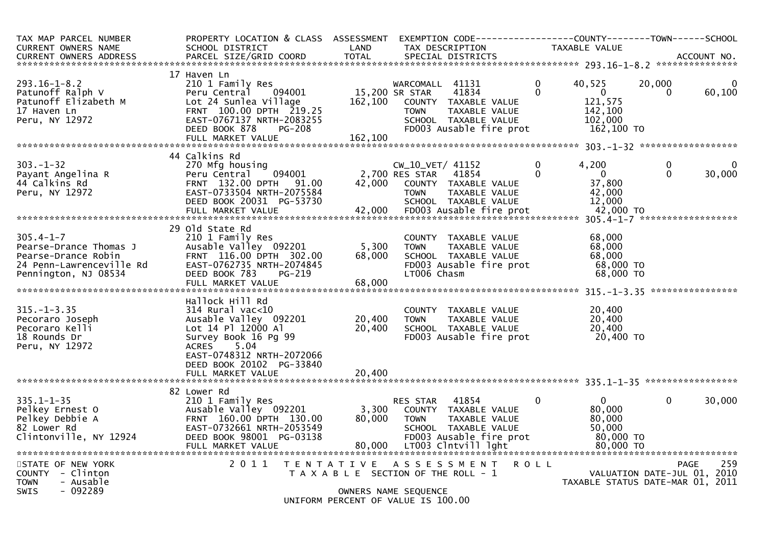| TAX MAP PARCEL NUMBER<br><b>CURRENT OWNERS NAME</b><br><b>CURRENT OWNERS ADDRESS</b>                                 | PROPERTY LOCATION & CLASS ASSESSMENT<br>SCHOOL DISTRICT<br>PARCEL SIZE/GRID COORD                                                                                                                           | LAND<br><b>TOTAL</b>       | TAX DESCRIPTION<br>SPECIAL DISTRICTS                                                                     |                                                                               | EXEMPTION CODE-----------------COUNTY-------TOWN------SCHOOL<br>TAXABLE VALUE |               | ACCOUNT NO.            |
|----------------------------------------------------------------------------------------------------------------------|-------------------------------------------------------------------------------------------------------------------------------------------------------------------------------------------------------------|----------------------------|----------------------------------------------------------------------------------------------------------|-------------------------------------------------------------------------------|-------------------------------------------------------------------------------|---------------|------------------------|
|                                                                                                                      |                                                                                                                                                                                                             |                            |                                                                                                          |                                                                               |                                                                               |               |                        |
| $293.16 - 1 - 8.2$<br>Patunoff Ralph V<br>Patunoff Elizabeth M<br>17 Haven Ln<br>Peru, NY 12972                      | 17 Haven Ln<br>210 1 Family Res<br>094001<br>Peru Central<br>Lot 24 Sunlea Village<br>FRNT 100.00 DPTH 219.25<br>EAST-0767137 NRTH-2083255<br>DEED BOOK 878<br><b>PG-208</b><br>FULL MARKET VALUE           | 162,100<br>162,100         | WARCOMALL 41131<br>15,200 SR STAR<br>COUNTY TAXABLE VALUE<br><b>TOWN</b><br>SCHOOL TAXABLE VALUE         | $\mathbf{0}$<br>41834<br>$\Omega$<br>TAXABLE VALUE<br>FD003 Ausable fire prot | 40.525<br>$\Omega$<br>121,575<br>142,100<br>102,000<br>162,100 TO             | 20,000<br>0   | $\mathbf{0}$<br>60,100 |
|                                                                                                                      | 44 Calkins Rd                                                                                                                                                                                               |                            |                                                                                                          |                                                                               |                                                                               |               |                        |
| $303 - 1 - 32$<br>Payant Angelina R<br>44 Calkins Rd<br>Peru, NY 12972                                               | 270 Mfg housing<br>Peru Central<br>094001<br>FRNT 132.00 DPTH 91.00<br>EAST-0733504 NRTH-2075584<br>DEED BOOK 20031 PG-53730                                                                                |                            | CW_10_VET/ 41152<br>2,700 RES STAR<br>42,000 COUNTY TAXABLE VALUE<br><b>TOWN</b><br>SCHOOL TAXABLE VALUE | $\mathbf{0}$<br>41854<br>$\Omega$<br>TAXABLE VALUE                            | 4.200<br>$\overline{0}$<br>37,800<br>42,000<br>12,000                         | 0<br>$\Omega$ | $\Omega$<br>30,000     |
|                                                                                                                      |                                                                                                                                                                                                             |                            |                                                                                                          |                                                                               |                                                                               |               |                        |
| $305.4 - 1 - 7$<br>Pearse-Drance Thomas J<br>Pearse-Drance Robin<br>24 Penn-Lawrenceville Rd<br>Pennington, NJ 08534 | 29 Old State Rd<br>210 1 Family Res<br>Ausable Valley 092201<br>FRNT 116.00 DPTH 302.00<br>EAST-0762735 NRTH-2074845<br>DEED BOOK 783<br>PG-219<br>FULL MARKET VALUE                                        | 5,300<br>68,000<br>68,000  | COUNTY TAXABLE VALUE<br><b>TOWN</b><br>SCHOOL TAXABLE VALUE<br>LT006 Chasm                               | TAXABLE VALUE<br>FD003 Ausable fire prot                                      | 68,000<br>68,000<br>68,000<br>68,000 TO<br>68,000 TO                          |               |                        |
|                                                                                                                      |                                                                                                                                                                                                             |                            |                                                                                                          |                                                                               |                                                                               |               |                        |
| $315. - 1 - 3.35$<br>Pecoraro Joseph<br>Pecoraro Kelli<br>18 Rounds Dr<br>Peru, NY 12972                             | Hallock Hill Rd<br>$314$ Rural vac<10<br>Ausable Valley 092201<br>Lot 14 Pl 12000 Al<br>Survey Book 16 Pg 99<br>5.04<br>ACRES<br>EAST-0748312 NRTH-2072066<br>DEED BOOK 20102 PG-33840<br>FULL MARKET VALUE | 20,400<br>20,400<br>20,400 | COUNTY TAXABLE VALUE<br><b>TOWN</b><br>SCHOOL TAXABLE VALUE                                              | TAXABLE VALUE<br>FD003 Ausable fire prot                                      | 20,400<br>20,400<br>20,400<br>20,400 TO                                       |               |                        |
|                                                                                                                      |                                                                                                                                                                                                             |                            |                                                                                                          |                                                                               |                                                                               |               |                        |
| $335.1 - 1 - 35$<br>Pelkey Ernest O<br>Pelkey Debbie A<br>82 Lower Rd<br>Clintonville, NY 12924                      | 82 Lower Rd<br>210 1 Family Res<br>Ausable Valley 092201<br>FRNT 160.00 DPTH 130.00<br>EAST-0732661 NRTH-2053549<br>DEED BOOK 98001 PG-03138<br>FULL MARKET VALUE                                           | 3,300<br>80,000<br>80,000  | RES STAR 41854<br>COUNTY TAXABLE VALUE<br><b>TOWN</b><br>SCHOOL TAXABLE VALUE<br>LT003 Clntvill lght     | $\Omega$<br>TAXABLE VALUE<br>FD003 Ausable fire prot                          | $\Omega$<br>80,000<br>80,000<br>50.000<br>80,000 TO<br>80,000 TO              | $\Omega$      | 30,000                 |
| STATE OF NEW YORK<br>COUNTY - Clinton<br>- Ausable<br><b>TOWN</b><br><b>SWIS</b><br>- 092289                         | 2 0 1 1                                                                                                                                                                                                     |                            | TENTATIVE ASSESSMENT<br>T A X A B L E SECTION OF THE ROLL - 1                                            | <b>ROLL</b>                                                                   | VALUATION DATE-JUL 01, 2010<br>TAXABLE STATUS DATE-MAR 01, 2011               |               | 259<br>PAGE            |
|                                                                                                                      |                                                                                                                                                                                                             |                            | OWNERS NAME SEQUENCE<br>$UNITION$ $DDCENT$ $OF$ $VALUET$ $TC$ 100 00                                     |                                                                               |                                                                               |               |                        |

UNIFORM PERCENT OF VALUE IS 100.00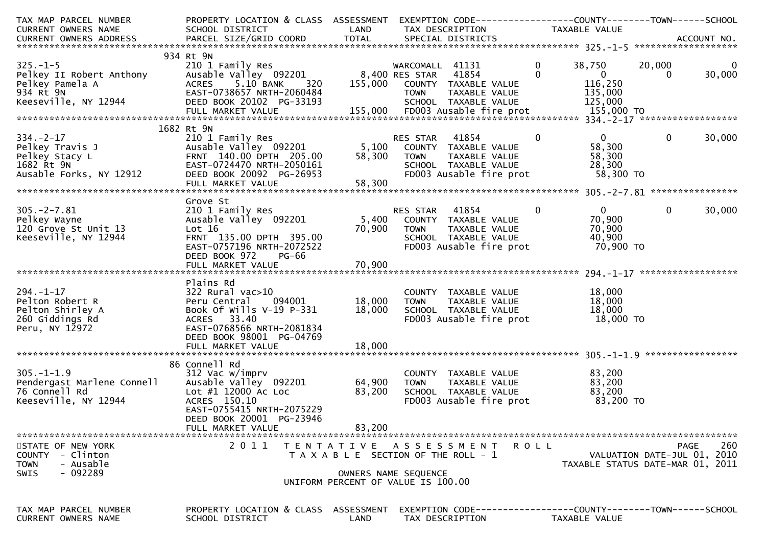| TAX MAP PARCEL NUMBER<br><b>CURRENT OWNERS NAME</b><br>CURRENT OWNERS ADDRESS                      | PROPERTY LOCATION & CLASS ASSESSMENT EXEMPTION CODE----------------COUNTY-------TOWN------SCHOOL<br>SCHOOL DISTRICT<br>PARCEL SIZE/GRID COORD                                         | LAND<br><b>TOTAL</b>       | TAX DESCRIPTION<br>SPECIAL DISTRICTS                                                                                         | TAXABLE VALUE                                                                             |                                     | ACCOUNT NO. |  |  |  |
|----------------------------------------------------------------------------------------------------|---------------------------------------------------------------------------------------------------------------------------------------------------------------------------------------|----------------------------|------------------------------------------------------------------------------------------------------------------------------|-------------------------------------------------------------------------------------------|-------------------------------------|-------------|--|--|--|
|                                                                                                    |                                                                                                                                                                                       |                            |                                                                                                                              |                                                                                           |                                     |             |  |  |  |
| $325. - 1 - 5$<br>Pelkey II Robert Anthony<br>Pelkey Pamela A<br>934 Rt 9N<br>Keeseville, NY 12944 | 934 Rt 9N<br>210 1 Family Res<br>Ausable Valley 092201<br>ACRES 5.10 BANK<br>320<br>EAST-0738657 NRTH-2060484<br>DEED BOOK 20102 PG-33193                                             | 155,000                    | WARCOMALL 41131<br>8,400 RES STAR 41854<br>COUNTY TAXABLE VALUE<br><b>TOWN</b><br>TAXABLE VALUE<br>SCHOOL TAXABLE VALUE      | $\mathbf{0}$<br>38,750<br>$\mathbf{0}$<br>$\overline{0}$<br>116,250<br>135,000<br>125,000 | 20,000<br>$\bf{0}$                  | 30,000      |  |  |  |
| 1682 Rt 9N                                                                                         |                                                                                                                                                                                       |                            |                                                                                                                              |                                                                                           |                                     |             |  |  |  |
| $334. -2 - 17$<br>Pelkey Travis J<br>Pelkey Stacy L<br>1682 Rt 9N<br>Ausable Forks, NY 12912       | 210 1 Family Res<br>Ausable Valley 092201<br>FRNT 140.00 DPTH 205.00<br>EAST-0724470 NRTH-2050161<br>DEED BOOK 20092 PG-26953<br>FULL MARKET VALUE                                    | 5,100<br>58,300<br>58,300  | 41854<br>RES STAR<br>COUNTY TAXABLE VALUE<br><b>TOWN</b><br>TAXABLE VALUE<br>SCHOOL TAXABLE VALUE<br>FD003 Ausable fire prot | $\Omega$<br>0<br>58,300<br>58,300<br>28,300<br>58,300 TO                                  | $\mathbf{0}$                        | 30,000      |  |  |  |
|                                                                                                    |                                                                                                                                                                                       |                            |                                                                                                                              |                                                                                           |                                     |             |  |  |  |
| $305. -2 - 7.81$<br>Pelkey Wayne<br>120 Grove St Unit 13<br>Keeseville, NY 12944                   | Grove St<br>210 1 Family Res<br>Ausable Valley 092201<br>Lot 16<br>FRNT 135.00 DPTH 395.00<br>EAST-0757196 NRTH-2072522<br>DEED BOOK 972<br>PG-66<br>FULL MARKET VALUE                | 5,400<br>70,900<br>70,900  | RES STAR 41854<br>COUNTY TAXABLE VALUE<br>TAXABLE VALUE<br><b>TOWN</b><br>SCHOOL TAXABLE VALUE<br>FD003 Ausable fire prot    | $\mathbf{0}$<br>$\overline{0}$<br>70,900<br>70,900<br>40,900<br>70,900 то                 | $\mathbf 0$                         | 30,000      |  |  |  |
|                                                                                                    |                                                                                                                                                                                       |                            |                                                                                                                              |                                                                                           |                                     |             |  |  |  |
| $294. - 1 - 17$<br>Pelton Robert R<br>Pelton Shirley A<br>260 Giddings Rd<br>Peru, NY 12972        | Plains Rd<br>$322$ Rural vac $>10$<br>094001<br>Peru Central<br>Book Of Wills V-19 P-331<br>ACRES 33.40<br>EAST-0768566 NRTH-2081834<br>DEED BOOK 98001 PG-04769<br>FULL MARKET VALUE | 18,000<br>18,000<br>18,000 | COUNTY TAXABLE VALUE<br>TAXABLE VALUE<br><b>TOWN</b><br>SCHOOL TAXABLE VALUE<br>FD003 Ausable fire prot                      | 18,000<br>18,000<br>18,000<br>18,000 TO                                                   |                                     |             |  |  |  |
|                                                                                                    | 86 Connell Rd                                                                                                                                                                         |                            |                                                                                                                              |                                                                                           |                                     |             |  |  |  |
| $305. - 1 - 1.9$<br>Pendergast Marlene Connell<br>76 Connell Rd<br>Keeseville, NY 12944            | 312 Vac w/imprv<br>Ausable Valley 092201<br>Lot #1 12000 Ac Loc<br>ACRES 150.10<br>EAST-0755415 NRTH-2075229<br>DEED BOOK 20001 PG-23946<br>FULL MARKET VALUE                         | 64,900<br>83,200<br>83,200 | COUNTY TAXABLE VALUE<br>TAXABLE VALUE<br><b>TOWN</b><br>SCHOOL TAXABLE VALUE<br>FD003 Ausable fire prot                      | 83,200<br>83,200<br>83,200<br>83,200 TO                                                   |                                     |             |  |  |  |
|                                                                                                    |                                                                                                                                                                                       |                            |                                                                                                                              |                                                                                           |                                     |             |  |  |  |
| STATE OF NEW YORK<br>COUNTY - Clinton<br>- Ausable<br><b>TOWN</b><br>- 092289<br><b>SWIS</b>       | 2011                                                                                                                                                                                  |                            | TENTATIVE ASSESSMENT<br>T A X A B L E SECTION OF THE ROLL - 1<br>OWNERS NAME SEQUENCE<br>UNIFORM PERCENT OF VALUE IS 100.00  | R O L L<br>TAXABLE STATUS DATE-MAR 01, 2011                                               | PAGE<br>VALUATION DATE-JUL 01, 2010 | 260         |  |  |  |
| TAX MAP PARCEL NUMBER<br>CURRENT OWNERS NAME                                                       | PROPERTY LOCATION & CLASS ASSESSMENT<br>SCHOOL DISTRICT                                                                                                                               | LAND                       | EXEMPTION CODE------------------COUNTY--------TOWN------SCHOOL<br>TAX DESCRIPTION                                            | TAXABLE VALUE                                                                             |                                     |             |  |  |  |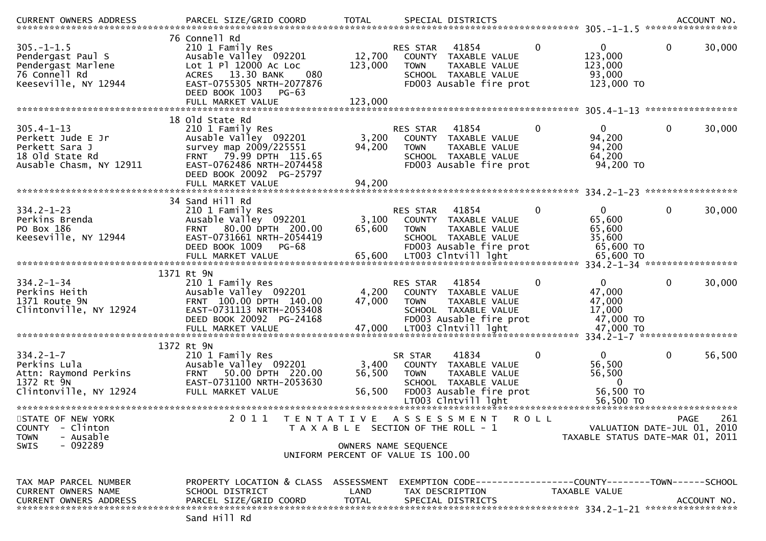|                                                                                                       |                                                                                                                                                                                               |                              |                                                                                                                                                                    |                                                                        | ACCOUNT NO.<br>*****************                                |  |  |  |
|-------------------------------------------------------------------------------------------------------|-----------------------------------------------------------------------------------------------------------------------------------------------------------------------------------------------|------------------------------|--------------------------------------------------------------------------------------------------------------------------------------------------------------------|------------------------------------------------------------------------|-----------------------------------------------------------------|--|--|--|
| $305. -1 - 1.5$<br>Pendergast Paul S<br>Pendergast Marlene<br>76 Connell Rd<br>Keeseville, NY 12944   | 76 Connell Rd<br>210 1 Family Res<br>Ausable Valley 092201<br>Lot 1 Pl 12000 Ac Loc<br>ACRES 13.30 BANK<br>080<br>EAST-0755305 NRTH-2077876<br>DEED BOOK 1003<br>$PG-63$<br>FULL MARKET VALUE | 12,700<br>123,000<br>123,000 | 0<br>41854<br><b>RES STAR</b><br>COUNTY TAXABLE VALUE<br>TAXABLE VALUE<br><b>TOWN</b><br>SCHOOL TAXABLE VALUE<br>FD003 Ausable fire prot                           | 0<br>123,000<br>123,000<br>93,000<br>123,000 TO                        | 0<br>30,000                                                     |  |  |  |
|                                                                                                       | 18 old State Rd                                                                                                                                                                               |                              |                                                                                                                                                                    |                                                                        | *****************                                               |  |  |  |
| $305.4 - 1 - 13$<br>Perkett Jude E Jr<br>Perkett Sara J<br>18 old State Rd<br>Ausable Chasm, NY 12911 | 210 1 Family Res<br>Ausable Valley 092201<br>survey map 2009/225551<br>FRNT 79.99 DPTH 115.65<br>EAST-0762486 NRTH-2074458<br>DEED BOOK 20092 PG-25797<br>FULL MARKET VALUE                   | 3,200<br>94,200<br>94,200    | RES STAR<br>41854<br>0<br>COUNTY TAXABLE VALUE<br>TAXABLE VALUE<br><b>TOWN</b><br>SCHOOL TAXABLE VALUE<br>FD003 Ausable fire prot                                  | 0<br>94,200<br>94,200<br>64,200<br>94,200 TO                           | $\mathbf 0$<br>30,000                                           |  |  |  |
| **********************                                                                                |                                                                                                                                                                                               |                              |                                                                                                                                                                    |                                                                        | *****************                                               |  |  |  |
| $334.2 - 1 - 23$<br>Perkins Brenda<br>PO Box 186<br>Keeseville, NY 12944                              | 34 Sand Hill Rd<br>210 1 Family Res<br>Ausable Valley 092201<br>80.00 DPTH 200.00<br><b>FRNT</b><br>EAST-0731661 NRTH-2054419<br>DEED BOOK 1009<br>$PG-68$<br>FULL MARKET VALUE               | 3,100<br>65,600<br>65,600    | 41854<br>0<br><b>RES STAR</b><br>COUNTY<br>TAXABLE VALUE<br><b>TOWN</b><br>TAXABLE VALUE<br>SCHOOL TAXABLE VALUE<br>FD003 Ausable fire prot<br>LT003 Clntvill lght | 0<br>65,600<br>65,600<br>35,600<br>65,600 TO<br>65,600 TO              | $\mathbf 0$<br>30,000                                           |  |  |  |
| 334.2-1-34 *******************<br>1371 Rt 9N                                                          |                                                                                                                                                                                               |                              |                                                                                                                                                                    |                                                                        |                                                                 |  |  |  |
| $334.2 - 1 - 34$<br>Perkins Heith<br>1371 Route 9N<br>Clintonville, NY 12924                          | 210 1 Family Res<br>Ausable Valley 092201<br>FRNT 100.00 DPTH 140.00<br>EAST-0731113 NRTH-2053408<br>DEED BOOK 20092 PG-24168<br>FULL MARKET VALUE                                            | 4,200<br>47,000<br>47,000    | 0<br>RES STAR<br>41854<br>COUNTY TAXABLE VALUE<br>TAXABLE VALUE<br><b>TOWN</b><br>SCHOOL TAXABLE VALUE<br>FD003 Ausable fire prot<br>LT003 Clntvill lght           | $\mathbf{0}$<br>47,000<br>47,000<br>17,000<br>47,000 TO<br>47,000 TO   | $\mathbf 0$<br>30,000                                           |  |  |  |
|                                                                                                       | 1372 Rt 9N                                                                                                                                                                                    |                              |                                                                                                                                                                    |                                                                        |                                                                 |  |  |  |
| $334.2 - 1 - 7$<br>Perkins Lula<br>Attn: Raymond Perkins<br>1372 Rt 9N<br>Clintonville, NY 12924      | 210 1 Family Res<br>Ausable Valley 092201<br>50.00 DPTH 220.00<br><b>FRNT</b><br>EAST-0731100 NRTH-2053630<br>FULL MARKET VALUE<br>*****************************                              | 3,400<br>56,500<br>56,500    | 41834<br>0<br>SR STAR<br>COUNTY TAXABLE VALUE<br>TAXABLE VALUE<br><b>TOWN</b><br>SCHOOL TAXABLE VALUE<br>FD003 Ausable fire prot<br>LT003 Clntvill lght            | $\mathbf{0}$<br>56,500<br>56,500<br>$\Omega$<br>56,500 TO<br>56,500 TO | $\mathbf 0$<br>56,500                                           |  |  |  |
| STATE OF NEW YORK                                                                                     | 2011<br>T E N T A T I V E                                                                                                                                                                     |                              | ASSESSMENT<br>R O L L                                                                                                                                              |                                                                        | 261<br>PAGE                                                     |  |  |  |
| <b>COUNTY</b><br>- Clinton<br><b>TOWN</b><br>- Ausable<br>$-092289$<br><b>SWIS</b>                    |                                                                                                                                                                                               |                              | T A X A B L E SECTION OF THE ROLL - 1<br>OWNERS NAME SEQUENCE<br>UNIFORM PERCENT OF VALUE IS 100.00                                                                |                                                                        | VALUATION DATE-JUL 01, 2010<br>TAXABLE STATUS DATE-MAR 01, 2011 |  |  |  |
| TAX MAP PARCEL NUMBER<br>CURRENT OWNERS NAME                                                          | PROPERTY LOCATION & CLASS ASSESSMENT<br>SCHOOL DISTRICT<br>.CURRENT OWNERS ADDRESS PARCEL SIZE/GRID COORD TOTAL SPECIAL DISTRICTS ACCOUNT NO ACCOUNT NO ACCOUNT NO ACCOUNT NO                 | LAND                         | EXEMPTION CODE-----------------COUNTY-------TOWN------SCHOOL<br>TAX DESCRIPTION                                                                                    | TAXABLE VALUE                                                          |                                                                 |  |  |  |
|                                                                                                       | Sand Hill Rd                                                                                                                                                                                  |                              |                                                                                                                                                                    |                                                                        |                                                                 |  |  |  |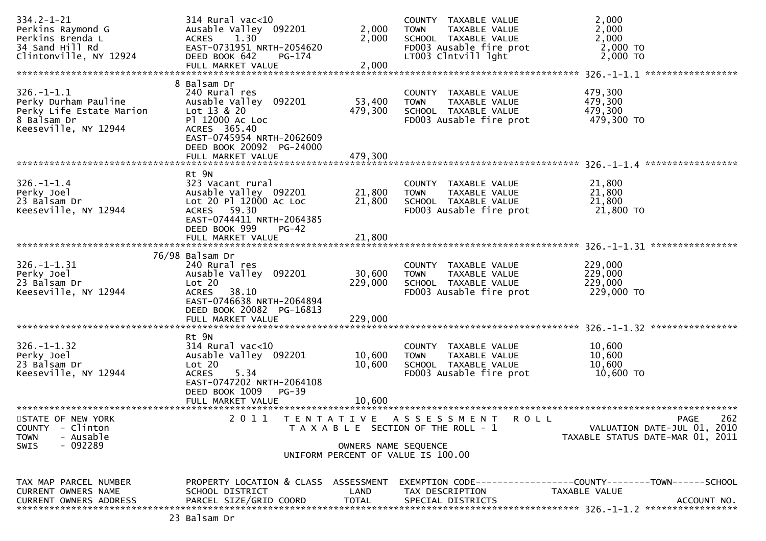| $334.2 - 1 - 21$<br>Perkins Raymond G                  | 314 Rural vac<10<br>Ausable Valley 092201     | 2,000                | COUNTY TAXABLE VALUE<br>TAXABLE VALUE<br>TOWN                               | 2,000<br>2,000                             |                  |
|--------------------------------------------------------|-----------------------------------------------|----------------------|-----------------------------------------------------------------------------|--------------------------------------------|------------------|
| Perkins Brenda L                                       | <b>ACRES</b><br>1.30                          | 2,000                | SCHOOL TAXABLE VALUE                                                        | 2,000                                      |                  |
| 34 Sand Hill Rd                                        | EAST-0731951 NRTH-2054620                     |                      | FD003 Ausable fire prot                                                     | 2,000 TO                                   |                  |
| Clintonville, NY 12924                                 | DEED BOOK 642<br>$PG-174$                     | 2,000                | LT003 Clntvill lght                                                         | 2,000 TO                                   |                  |
|                                                        | FULL MARKET VALUE                             |                      |                                                                             | *****************<br>$326. - 1 - 1.1$      |                  |
|                                                        | 8 Balsam Dr                                   |                      |                                                                             |                                            |                  |
| $326. - 1 - 1.1$                                       | 240 Rural res                                 |                      | COUNTY TAXABLE VALUE                                                        | 479,300                                    |                  |
| Perky Durham Pauline                                   | Ausable Valley 092201                         | 53,400               | TAXABLE VALUE<br><b>TOWN</b>                                                | 479,300                                    |                  |
| Perky Life Estate Marion                               | Lot 13 & 20                                   | 479,300              | SCHOOL TAXABLE VALUE                                                        | 479,300                                    |                  |
| 8 Balsam Dr                                            | P1 12000 AC LOC                               |                      | FD003 Ausable fire prot                                                     | 479,300 TO                                 |                  |
| Keeseville, NY 12944                                   | ACRES 365.40                                  |                      |                                                                             |                                            |                  |
|                                                        | EAST-0745954 NRTH-2062609                     |                      |                                                                             |                                            |                  |
|                                                        | DEED BOOK 20092 PG-24000                      |                      |                                                                             |                                            |                  |
|                                                        | FULL MARKET VALUE                             | 479,300              |                                                                             |                                            |                  |
|                                                        |                                               |                      |                                                                             |                                            |                  |
|                                                        | Rt 9N                                         |                      |                                                                             |                                            |                  |
| $326. - 1 - 1.4$<br>Perky Joel                         | 323 Vacant rural<br>Ausable Valley 092201     | 21,800               | COUNTY TAXABLE VALUE<br>TAXABLE VALUE<br><b>TOWN</b>                        | 21,800<br>21,800                           |                  |
| 23 Balsam Dr                                           | Lot 20 Pl 12000 Ac Loc                        | 21,800               | SCHOOL TAXABLE VALUE                                                        | 21,800                                     |                  |
| Keeseville, NY 12944                                   | ACRES 59.30                                   |                      | FD003 Ausable fire prot                                                     | 21,800 TO                                  |                  |
|                                                        | EAST-0744411 NRTH-2064385                     |                      |                                                                             |                                            |                  |
|                                                        | DEED BOOK 999<br>$PG-42$                      |                      |                                                                             |                                            |                  |
|                                                        | FULL MARKET VALUE                             | 21,800               |                                                                             |                                            |                  |
|                                                        |                                               |                      |                                                                             | $326. - 1 - 1.31$                          | **************** |
|                                                        | 76/98 Balsam Dr                               |                      |                                                                             |                                            |                  |
| $326. - 1 - 1.31$                                      | 240 Rural res                                 |                      | COUNTY TAXABLE VALUE                                                        | 229,000                                    |                  |
| Perky Joel                                             | Ausable Valley 092201                         | 30,600               | TAXABLE VALUE<br><b>TOWN</b>                                                | 229,000                                    |                  |
| 23 Balsam Dr                                           | Lot 20                                        | 229,000              | SCHOOL TAXABLE VALUE                                                        | 229,000                                    |                  |
| Keeseville, NY 12944                                   | 38.10<br><b>ACRES</b>                         |                      | FD003 Ausable fire prot                                                     | 229,000 TO                                 |                  |
|                                                        | EAST-0746638 NRTH-2064894                     |                      |                                                                             |                                            |                  |
|                                                        | DEED BOOK 20082 PG-16813<br>FULL MARKET VALUE | 229,000              |                                                                             |                                            |                  |
|                                                        |                                               |                      |                                                                             |                                            |                  |
|                                                        | Rt 9N                                         |                      |                                                                             |                                            |                  |
| $326. - 1 - 1.32$                                      | $314$ Rural vac<10                            |                      | COUNTY TAXABLE VALUE                                                        | 10,600                                     |                  |
| Perky Joel                                             | Ausable Valley 092201                         | 10,600               | TAXABLE VALUE<br><b>TOWN</b>                                                | 10,600                                     |                  |
| 23 Balsam Dr                                           | Lot 20                                        | 10,600               | SCHOOL TAXABLE VALUE                                                        | 10,600                                     |                  |
| Keeseville, NY 12944                                   | <b>ACRES</b><br>5.34                          |                      | FD003 Ausable fire prot                                                     | 10,600 TO                                  |                  |
|                                                        | EAST-0747202 NRTH-2064108                     |                      |                                                                             |                                            |                  |
|                                                        | DEED BOOK 1009<br>$PG-39$                     |                      |                                                                             |                                            |                  |
|                                                        | FULL MARKET VALUE                             | 10,600               |                                                                             |                                            |                  |
|                                                        |                                               |                      |                                                                             |                                            |                  |
| STATE OF NEW YORK                                      | 2 0 1 1<br><b>TENTATIVE</b>                   |                      | A S S E S S M E N T<br><b>ROLL</b><br>T A X A B L E SECTION OF THE ROLL - 1 | <b>PAGE</b><br>VALUATION DATE-JUL 01, 2010 | 262              |
| <b>COUNTY</b><br>- Clinton<br>- Ausable<br><b>TOWN</b> |                                               |                      |                                                                             | TAXABLE STATUS DATE-MAR 01, 2011           |                  |
| $-092289$<br>SWIS                                      |                                               | OWNERS NAME SEQUENCE |                                                                             |                                            |                  |
|                                                        |                                               |                      | UNIFORM PERCENT OF VALUE IS 100.00                                          |                                            |                  |
|                                                        |                                               |                      |                                                                             |                                            |                  |
|                                                        |                                               |                      |                                                                             |                                            |                  |
| TAX MAP PARCEL NUMBER                                  | PROPERTY LOCATION & CLASS ASSESSMENT          |                      | EXEMPTION        CODE-----------------COUNTY-------TOWN------SCHOOL         |                                            |                  |
| CURRENT OWNERS NAME                                    | SCHOOL DISTRICT                               | LAND                 | TAX DESCRIPTION                                                             | TAXABLE VALUE                              |                  |
|                                                        |                                               |                      |                                                                             |                                            |                  |
|                                                        | 23 Balsam Dr                                  |                      |                                                                             |                                            |                  |
|                                                        |                                               |                      |                                                                             |                                            |                  |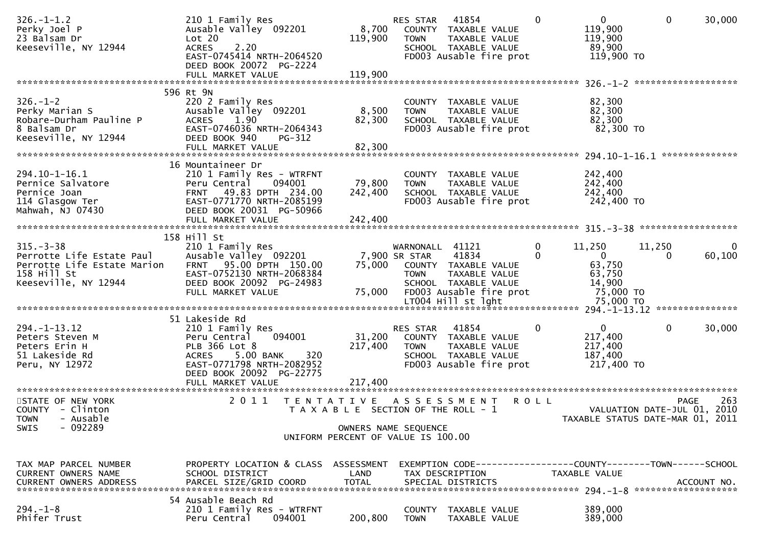| $326. - 1 - 1.2$<br>Perky Joel P<br>23 Balsam Dr<br>Keeseville, NY 12944                                          | 210 1 Family Res<br>Ausable Valley 092201<br>Lot 20<br>2.20<br><b>ACRES</b><br>EAST-0745414 NRTH-2064520<br>DEED BOOK 20072 PG-2224<br>FULL MARKET VALUE                   | 8,700<br>119,900<br>119,900                                   | RES STAR<br><b>TOWN</b>                         | 41854<br>COUNTY TAXABLE VALUE<br>TAXABLE VALUE<br>SCHOOL TAXABLE VALUE<br>FD003 Ausable fire prot                              | $\mathbf{0}$         | $\mathbf{0}$<br>119,900<br>119,900<br>89,900<br>119,900 TO                 | $\mathbf 0$                                                     | 30,000      |
|-------------------------------------------------------------------------------------------------------------------|----------------------------------------------------------------------------------------------------------------------------------------------------------------------------|---------------------------------------------------------------|-------------------------------------------------|--------------------------------------------------------------------------------------------------------------------------------|----------------------|----------------------------------------------------------------------------|-----------------------------------------------------------------|-------------|
|                                                                                                                   | 596 Rt 9N                                                                                                                                                                  |                                                               |                                                 |                                                                                                                                |                      |                                                                            | *******************                                             |             |
| $326. - 1 - 2$<br>Perky Marian S<br>Robare-Durham Pauline P<br>8 Balsam Dr<br>Keeseville, NY 12944                | 220 2 Family Res<br>Ausable Valley 092201<br>1.90<br><b>ACRES</b><br>EAST-0746036 NRTH-2064343<br>DEED BOOK 940<br>PG-312                                                  | 8,500<br>82,300                                               | <b>TOWN</b>                                     | COUNTY TAXABLE VALUE<br>TAXABLE VALUE<br>SCHOOL TAXABLE VALUE<br>FD003 Ausable fire prot                                       |                      | 82,300<br>82,300<br>82,300<br>82,300 TO                                    |                                                                 |             |
|                                                                                                                   | 16 Mountaineer Dr                                                                                                                                                          |                                                               |                                                 |                                                                                                                                |                      |                                                                            |                                                                 |             |
| 294.10-1-16.1<br>Pernice Salvatore<br>Pernice Joan<br>114 Glasgow Ter<br>Mahwah, NJ 07430                         | 210 1 Family Res - WTRFNT<br>094001<br>Peru Central<br>FRNT 49.83 DPTH 234.00<br>EAST-0771770 NRTH-2085199<br>DEED BOOK 20031 PG-50966                                     | 79,800<br>242,400                                             | <b>TOWN</b>                                     | COUNTY TAXABLE VALUE<br>TAXABLE VALUE<br>SCHOOL TAXABLE VALUE<br>FD003 Ausable fire prot                                       |                      | 242,400<br>242,400<br>242,400<br>242,400 TO                                |                                                                 |             |
|                                                                                                                   | FULL MARKET VALUE                                                                                                                                                          | 242,400                                                       |                                                 |                                                                                                                                |                      |                                                                            |                                                                 |             |
|                                                                                                                   | 158 Hill St                                                                                                                                                                |                                                               |                                                 |                                                                                                                                |                      |                                                                            |                                                                 |             |
| $315 - 3 - 38$<br>Perrotte Life Estate Paul<br>Perrotte Life Estate Marion<br>158 Hill St<br>Keeseville, NY 12944 | 210 1 Family Res<br>Ausable Valley 092201<br>FRNT 95.00 DPTH 150.00<br>EAST-0752130 NRTH-2068384<br>DEED BOOK 20092 PG-24983<br>FULL MARKET VALUE                          | 75,000                                                        | WARNONALL 41121<br>7,900 SR STAR<br><b>TOWN</b> | 41834<br>75,000 COUNTY TAXABLE VALUE<br>TAXABLE VALUE<br>SCHOOL TAXABLE VALUE<br>FD003 Ausable fire prot<br>LT004 Hill st lght | $\Omega$<br>$\Omega$ | 11,250<br>$\Omega$<br>63,750<br>63,750<br>14,900<br>75,000 TO<br>75,000 TO | 11,250<br>0                                                     | 0<br>60,100 |
|                                                                                                                   |                                                                                                                                                                            |                                                               |                                                 |                                                                                                                                |                      |                                                                            |                                                                 |             |
| $294. - 1 - 13.12$<br>Peters Steven M<br>Peters Erin H<br>51 Lakeside Rd<br>Peru, NY 12972                        | 51 Lakeside Rd<br>210 1 Family Res<br>094001<br>Peru Central<br>PLB 366 Lot 8<br>5.00 BANK<br><b>ACRES</b><br>320<br>EAST-0771798 NRTH-2082952<br>DEED BOOK 20092 PG-22775 | 31,200<br>217,400                                             | RES STAR<br><b>TOWN</b>                         | 41854<br>COUNTY TAXABLE VALUE<br>TAXABLE VALUE<br>SCHOOL TAXABLE VALUE<br>FD003 Ausable fire prot                              | $\mathbf{0}$         | $\mathbf 0$<br>217,400<br>217,400<br>187,400<br>217,400 TO                 | $\Omega$                                                        | 30,000      |
| STATE OF NEW YORK                                                                                                 | 2011<br>T E N T A T I V E                                                                                                                                                  |                                                               |                                                 | A S S E S S M E N T                                                                                                            | <b>ROLL</b>          |                                                                            | <b>PAGE</b>                                                     | 263         |
| COUNTY - Clinton<br><b>TOWN</b><br>- Ausable<br>$-092289$<br><b>SWIS</b>                                          |                                                                                                                                                                            | T A X A B L E SECTION OF THE ROLL - 1<br>OWNERS NAME SEQUENCE |                                                 |                                                                                                                                |                      |                                                                            | VALUATION DATE-JUL 01, 2010<br>TAXABLE STATUS DATE-MAR 01, 2011 |             |
|                                                                                                                   |                                                                                                                                                                            | UNIFORM PERCENT OF VALUE IS 100.00                            |                                                 |                                                                                                                                |                      |                                                                            |                                                                 |             |
| TAX MAP PARCEL NUMBER<br>CURRENT OWNERS NAME<br>CURRENT OWNERS ADDRESS                                            | PROPERTY LOCATION & CLASS ASSESSMENT<br>SCHOOL DISTRICT<br>PARCEL SIZE/GRID COORD                                                                                          | LAND<br><b>TOTAL</b>                                          |                                                 | EXEMPTION        CODE------------------COUNTY-------TOWN------SCHOOL<br>TAX DESCRIPTION<br>SPECIAL DISTRICTS                   |                      | TAXABLE VALUE                                                              |                                                                 | ACCOUNT NO. |
| $294. - 1 - 8$<br>Phifer Trust                                                                                    | 54 Ausable Beach Rd<br>210 1 Family Res - WTRFNT<br>Peru Central<br>094001                                                                                                 | 200,800                                                       | <b>COUNTY</b><br><b>TOWN</b>                    | TAXABLE VALUE<br>TAXABLE VALUE                                                                                                 |                      | 389,000<br>389,000                                                         |                                                                 |             |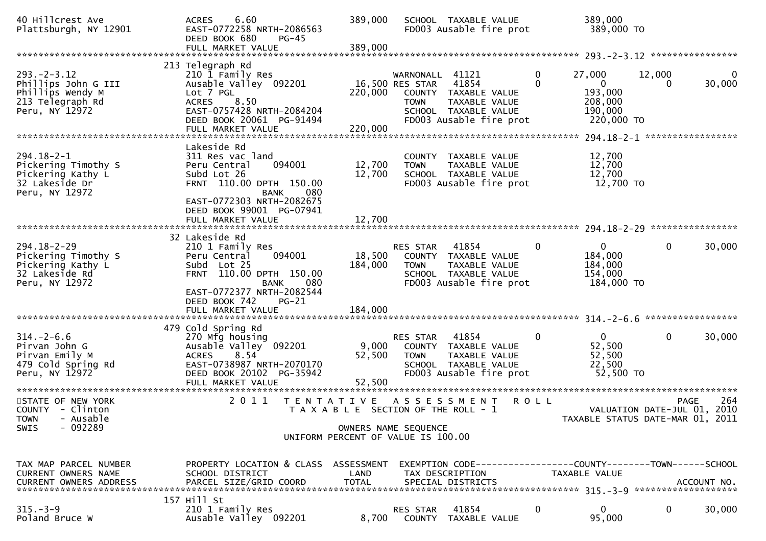| 40 Hillcrest Ave<br>Plattsburgh, NY 12901                                                          | 6.60<br><b>ACRES</b><br>EAST-0772258 NRTH-2086563<br>DEED BOOK 680<br><b>PG-45</b><br>FULL MARKET VALUE                                                                          | 389,000<br>389,000        | SCHOOL TAXABLE VALUE<br>FD003 Ausable fire prot                                                                                                                  | 389,000<br>389,000 TO                                                                  |                                                                 |
|----------------------------------------------------------------------------------------------------|----------------------------------------------------------------------------------------------------------------------------------------------------------------------------------|---------------------------|------------------------------------------------------------------------------------------------------------------------------------------------------------------|----------------------------------------------------------------------------------------|-----------------------------------------------------------------|
|                                                                                                    |                                                                                                                                                                                  |                           |                                                                                                                                                                  |                                                                                        |                                                                 |
| $293. - 2 - 3.12$<br>Phillips John G III<br>Phillips Wendy M<br>213 Telegraph Rd<br>Peru, NY 12972 | 213 Telegraph Rd<br>210 1 Family Res<br>Ausable Valley 092201<br>Lot 7 PGL<br><b>ACRES</b><br>8.50<br>EAST-0757428 NRTH-2084204<br>DEED BOOK 20061 PG-91494<br>FULL MARKET VALUE | 220,000<br>220,000        | 41121<br>WARNONALL<br>41854<br>16,500 RES STAR<br>COUNTY TAXABLE VALUE<br><b>TAXABLE VALUE</b><br><b>TOWN</b><br>SCHOOL TAXABLE VALUE<br>FD003 Ausable fire prot | 0<br>27,000<br>$\Omega$<br>$\mathbf{0}$<br>193,000<br>208,000<br>190,000<br>220,000 TO | 12,000<br>$\Omega$<br>30,000<br>$\Omega$                        |
|                                                                                                    | Lakeside Rd                                                                                                                                                                      |                           |                                                                                                                                                                  |                                                                                        | *************************** 294.18-2-1 *******************      |
| $294.18 - 2 - 1$<br>Pickering Timothy S<br>Pickering Kathy L<br>32 Lakeside Dr<br>Peru, NY 12972   | 311 Res vac land<br>Peru Central<br>094001<br>Subd Lot 26<br>FRNT 110.00 DPTH 150.00<br><b>BANK</b><br>080                                                                       | 12,700<br>12,700          | COUNTY TAXABLE VALUE<br><b>TOWN</b><br>TAXABLE VALUE<br>SCHOOL TAXABLE VALUE<br>FD003 Ausable fire prot                                                          | 12,700<br>12,700<br>12,700<br>12,700 TO                                                |                                                                 |
|                                                                                                    | EAST-0772303 NRTH-2082675<br>DEED BOOK 99001 PG-07941<br>FULL MARKET VALUE                                                                                                       | 12,700                    |                                                                                                                                                                  |                                                                                        |                                                                 |
|                                                                                                    | 32 Lakeside Rd                                                                                                                                                                   |                           |                                                                                                                                                                  |                                                                                        |                                                                 |
| $294.18 - 2 - 29$<br>Pickering Timothy S<br>Pickering Kathy L<br>32 Lakeside Rd<br>Peru, NY 12972  | 210 1 Family Res<br>094001<br>Peru Central<br>Subd Lot 25<br>FRNT 110.00 DPTH 150.00<br>080<br><b>BANK</b><br>EAST-0772377 NRTH-2082544                                          | 18,500<br>184,000         | RES STAR<br>41854<br>COUNTY TAXABLE VALUE<br><b>TOWN</b><br>TAXABLE VALUE<br>SCHOOL TAXABLE VALUE<br>FD003 Ausable fire prot                                     | $\overline{0}$<br>$\mathbf 0$<br>184,000<br>184,000<br>154,000<br>184,000 TO           | 0<br>30,000                                                     |
|                                                                                                    | DEED BOOK 742<br>$PG-21$<br>FULL MARKET VALUE                                                                                                                                    | 184,000                   |                                                                                                                                                                  |                                                                                        |                                                                 |
|                                                                                                    |                                                                                                                                                                                  |                           |                                                                                                                                                                  |                                                                                        | *****************                                               |
| $314. - 2 - 6.6$<br>Pirvan John G<br>Pirvan Emily M<br>479 Cold Spring Rd<br>Peru, NY 12972        | 479 Cold Spring Rd<br>270 Mfg housing<br>Ausable Valley 092201<br>8.54<br><b>ACRES</b><br>EAST-0738987 NRTH-2070170<br>DEED BOOK 20102 PG-35942<br>FULL MARKET VALUE             | 9,000<br>52,500<br>52,500 | <b>RES STAR</b><br>41854<br>COUNTY TAXABLE VALUE<br><b>TOWN</b><br>TAXABLE VALUE<br>SCHOOL TAXABLE VALUE<br>FD003 Ausable fire prot                              | $\overline{0}$<br>0<br>52,500<br>52,500<br>22,500<br>52,500 TO                         | $\mathbf{0}$<br>30,000                                          |
| STATE OF NEW YORK                                                                                  | 2 0 1 1<br>T E N T A T I V E                                                                                                                                                     |                           | A S S E S S M E N T                                                                                                                                              | <b>ROLL</b>                                                                            | 264<br><b>PAGE</b>                                              |
| COUNTY - Clinton<br>TOWN - Ausable                                                                 |                                                                                                                                                                                  |                           | T A X A B L E SECTION OF THE ROLL - 1                                                                                                                            |                                                                                        | VALUATION DATE-JUL 01, 2010<br>TAXABLE STATUS DATE-MAR 01, 2011 |
| $-092289$<br><b>SWIS</b>                                                                           |                                                                                                                                                                                  |                           | OWNERS NAME SEQUENCE<br>UNIFORM PERCENT OF VALUE IS 100.00                                                                                                       |                                                                                        |                                                                 |
| TAX MAP PARCEL NUMBER<br>CURRENT OWNERS NAME<br><b>CURRENT OWNERS ADDRESS</b>                      | PROPERTY LOCATION & CLASS ASSESSMENT<br>SCHOOL DISTRICT<br>PARCEL SIZE/GRID COORD                                                                                                | LAND<br><b>TOTAL</b>      | TAX DESCRIPTION<br>SPECIAL DISTRICTS                                                                                                                             | TAXABLE VALUE                                                                          | ACCOUNT NO.                                                     |
| $315. - 3 - 9$                                                                                     | 157 Hill St<br>210 1 Family Res                                                                                                                                                  |                           | 41854<br><b>RES STAR</b>                                                                                                                                         | 0<br>$\mathbf{0}$                                                                      | 0<br>30,000                                                     |
| Poland Bruce W                                                                                     | Ausable Valley 092201                                                                                                                                                            | 8,700                     | COUNTY TAXABLE VALUE                                                                                                                                             | 95,000                                                                                 |                                                                 |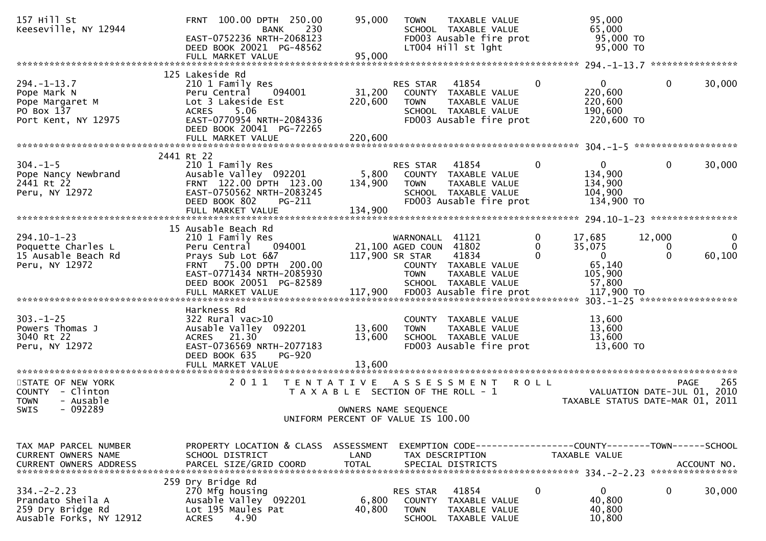| 157 Hill St<br>Keeseville, NY 12944                                                          | FRNT 100.00 DPTH 250.00<br>230<br>BANK<br>EAST-0752236 NRTH-2068123<br>DEED BOOK 20021 PG-48562<br>FULL MARKET VALUE                                                                      | 95,000<br>95,000                          | TAXABLE VALUE<br><b>TOWN</b><br>SCHOOL TAXABLE VALUE<br>FD003 Ausable fire prot<br>LT004 Hill st lght                                    | 95,000<br>65,000<br>95,000 TO<br>95,000 TO                                                   |                                                                                       |
|----------------------------------------------------------------------------------------------|-------------------------------------------------------------------------------------------------------------------------------------------------------------------------------------------|-------------------------------------------|------------------------------------------------------------------------------------------------------------------------------------------|----------------------------------------------------------------------------------------------|---------------------------------------------------------------------------------------|
|                                                                                              |                                                                                                                                                                                           |                                           |                                                                                                                                          |                                                                                              |                                                                                       |
| $294. -1 - 13.7$<br>Pope Mark N<br>Pope Margaret M<br>PO Box 137<br>Port Kent, NY 12975      | 125 Lakeside Rd<br>210 1 Family Res<br>Peru Central<br>094001<br>Lot 3 Lakeside Est<br>5.06<br><b>ACRES</b><br>EAST-0770954 NRTH-2084336<br>DEED BOOK 20041 PG-72265<br>FULL MARKET VALUE | 31,200<br>220,600<br>220,600              | 41854<br>RES STAR<br>COUNTY TAXABLE VALUE<br><b>TOWN</b><br>TAXABLE VALUE<br>SCHOOL TAXABLE VALUE<br>FD003 Ausable fire prot             | $\mathbf{0}$<br>$\mathbf{0}$<br>220,600<br>220,600<br>190,600<br>220,600 TO                  | 30,000<br>$\mathbf{0}$                                                                |
|                                                                                              |                                                                                                                                                                                           |                                           |                                                                                                                                          |                                                                                              |                                                                                       |
| $304. -1 - 5$<br>Pope Nancy Newbrand<br>2441 Rt 22<br>Peru, NY 12972                         | 2441 Rt 22<br>210 1 Family Res<br>Ausable Valley 092201<br>FRNT 122.00 DPTH 123.00<br>EAST-0750562 NRTH-2083245<br>DEED BOOK 802<br>PG-211<br>FULL MARKET VALUE                           | 5,800<br>134,900<br>134,900               | RES STAR<br>41854<br>COUNTY TAXABLE VALUE<br>TAXABLE VALUE<br><b>TOWN</b><br>SCHOOL TAXABLE VALUE<br>FD003 Ausable fire prot             | $\Omega$<br>0<br>134,900<br>134,900<br>104,900<br>134,900 TO                                 | 0<br>30,000                                                                           |
|                                                                                              |                                                                                                                                                                                           |                                           |                                                                                                                                          |                                                                                              |                                                                                       |
| $294.10 - 1 - 23$<br>Poquette Charles L<br>15 Ausable Beach Rd<br>Peru, NY 12972             | 15 Ausable Beach Rd<br>210 1 Family Res<br>Peru Central<br>094001<br>Prays Sub Lot 6&7<br>FRNT 75.00 DPTH 200.00<br>EAST-0771434 NRTH-2085930<br>DEED BOOK 20051 PG-82589                 | 117,900 SR STAR                           | 41121<br>WARNONALL<br>21,100 AGED COUN<br>41802<br>41834<br>COUNTY TAXABLE VALUE<br><b>TOWN</b><br>TAXABLE VALUE<br>SCHOOL TAXABLE VALUE | 0<br>17,685<br>$\Omega$<br>35,075<br>$\Omega$<br>$\mathbf{0}$<br>65,140<br>105,900<br>57,800 | 12,000<br>0<br>$\Omega$<br>$\bf{0}$<br>$\Omega$<br>60,100                             |
|                                                                                              |                                                                                                                                                                                           |                                           |                                                                                                                                          |                                                                                              |                                                                                       |
| $303. -1 - 25$<br>Powers Thomas J<br>3040 Rt 22<br>Peru, NY 12972                            | Harkness Rd<br>$322$ Rural vac $>10$<br>Ausable Valley 092201<br>ACRES 21.30<br>EAST-0736569 NRTH-2077183<br>DEED BOOK 635<br><b>PG-920</b>                                               | 13,600<br>13,600                          | COUNTY TAXABLE VALUE<br>TAXABLE VALUE<br><b>TOWN</b><br>SCHOOL TAXABLE VALUE<br>FD003 Ausable fire prot                                  | 13,600<br>13,600<br>13,600<br>13,600 TO                                                      |                                                                                       |
|                                                                                              | FULL MARKET VALUE                                                                                                                                                                         | 13,600                                    |                                                                                                                                          |                                                                                              |                                                                                       |
| STATE OF NEW YORK<br>COUNTY - Clinton<br>- Ausable<br><b>TOWN</b><br>- 092289<br><b>SWIS</b> | 2011                                                                                                                                                                                      | T E N T A T I V E<br>OWNERS NAME SEQUENCE | A S S E S S M E N T<br>T A X A B L E SECTION OF THE ROLL - 1                                                                             | <b>ROLL</b>                                                                                  | 265<br><b>PAGE</b><br>VALUATION DATE-JUL 01, 2010<br>TAXABLE STATUS DATE-MAR 01, 2011 |
|                                                                                              |                                                                                                                                                                                           |                                           | UNIFORM PERCENT OF VALUE IS 100.00                                                                                                       |                                                                                              |                                                                                       |
|                                                                                              |                                                                                                                                                                                           |                                           |                                                                                                                                          |                                                                                              |                                                                                       |
| TAX MAP PARCEL NUMBER<br>CURRENT OWNERS NAME<br><b>CURRENT OWNERS ADDRESS</b>                | PROPERTY LOCATION & CLASS ASSESSMENT<br>SCHOOL DISTRICT<br>PARCEL SIZE/GRID COORD                                                                                                         | LAND<br><b>TOTAL</b>                      | EXEMPTION CODE-----------------COUNTY-------TOWN------SCHOOL<br>TAX DESCRIPTION<br>SPECIAL DISTRICTS                                     | TAXABLE VALUE                                                                                | ACCOUNT NO.                                                                           |
| $334. -2 - 2.23$<br>Prandato Sheila A<br>259 Dry Bridge Rd<br>Ausable Forks, NY 12912        | 259 Dry Bridge Rd<br>270 Mfg housing<br>Ausable Valley 092201<br>Lot 195 Maules Pat<br><b>ACRES</b><br>4.90                                                                               | 6,800<br>40,800                           | 41854<br>RES STAR<br><b>COUNTY</b><br>TAXABLE VALUE<br><b>TOWN</b><br>TAXABLE VALUE<br><b>SCHOOL</b><br>TAXABLE VALUE                    | 0<br>0<br>40,800<br>40,800<br>10,800                                                         | 0<br>30,000                                                                           |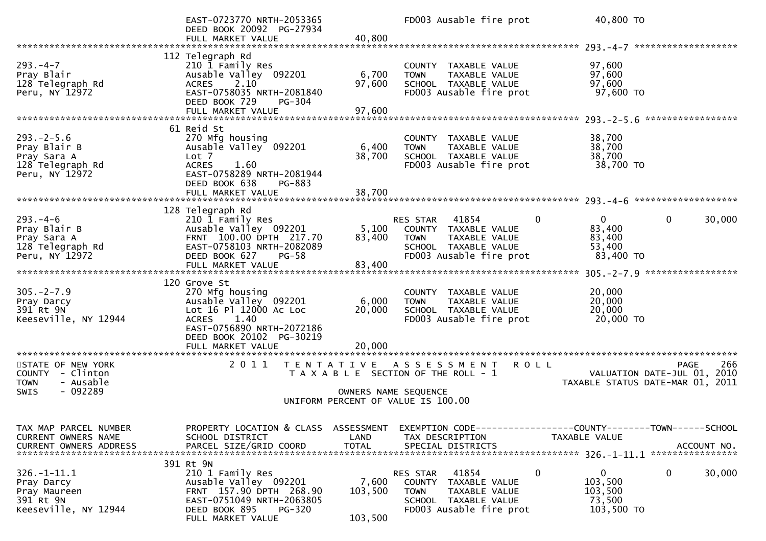|                                                                                               | EAST-0723770 NRTH-2053365<br>DEED BOOK 20092 PG-27934<br>FULL MARKET VALUE                                                                                           | 40,800                                                        |                                      | FD003 Ausable fire prot                                                                           |             | 40,800 TO                                                  |                        |                            |
|-----------------------------------------------------------------------------------------------|----------------------------------------------------------------------------------------------------------------------------------------------------------------------|---------------------------------------------------------------|--------------------------------------|---------------------------------------------------------------------------------------------------|-------------|------------------------------------------------------------|------------------------|----------------------------|
|                                                                                               |                                                                                                                                                                      |                                                               |                                      |                                                                                                   |             |                                                            |                        |                            |
| $293. -4 - 7$<br>Pray Blair<br>128 Telegraph Rd<br>Peru, NY 12972                             | 112 Telegraph Rd<br>210 1 Family Res<br>Ausable Valley 092201<br>2.10<br><b>ACRES</b><br>EAST-0758035 NRTH-2081840<br>DEED BOOK 729<br>$PG-304$<br>FULL MARKET VALUE | 6,700<br>97,600<br>97,600                                     | <b>TOWN</b>                          | COUNTY TAXABLE VALUE<br>TAXABLE VALUE<br>SCHOOL TAXABLE VALUE<br>FD003 Ausable fire prot          |             | 97,600<br>97,600<br>97,600<br>97,600 TO                    |                        | *****************          |
|                                                                                               |                                                                                                                                                                      |                                                               |                                      |                                                                                                   |             |                                                            |                        |                            |
| $293. -2 - 5.6$<br>Pray Blair B<br>Pray Sara A<br>128 Telegraph Rd<br>Peru, NY 12972          | 61 Reid St<br>270 Mfg housing<br>Ausable Valley 092201<br>Lot 7<br><b>ACRES</b><br>1.60<br>EAST-0758289 NRTH-2081944<br>DEED BOOK 638<br>PG-883<br>FULL MARKET VALUE | 6,400<br>38,700<br>38,700                                     | <b>TOWN</b>                          | COUNTY TAXABLE VALUE<br>TAXABLE VALUE<br>SCHOOL TAXABLE VALUE<br>FD003 Ausable fire prot          |             | 38,700<br>38,700<br>38,700<br>38,700 TO                    |                        |                            |
|                                                                                               |                                                                                                                                                                      |                                                               |                                      |                                                                                                   |             |                                                            |                        |                            |
| $293. -4 - 6$<br>Pray Blair B                                                                 | 128 Telegraph Rd<br>210 1 Family Res<br>Ausable Valley 092201                                                                                                        | 5,100                                                         | <b>RES STAR</b>                      | 41854<br>COUNTY TAXABLE VALUE                                                                     | $\Omega$    | $\mathbf{0}$<br>83,400                                     | 0                      | 30,000                     |
| Pray Sara A<br>128 Telegraph Rd<br>Peru, NY 12972                                             | FRNT 100.00 DPTH 217.70<br>EAST-0758103 NRTH-2082089<br>DEED BOOK 627<br>$PG-58$<br>FULL MARKET VALUE                                                                | 83,400<br>83,400                                              | <b>TOWN</b>                          | TAXABLE VALUE<br>SCHOOL TAXABLE VALUE<br>FD003 Ausable fire prot                                  |             | 83,400<br>53,400<br>83,400 TO                              |                        |                            |
|                                                                                               |                                                                                                                                                                      |                                                               |                                      |                                                                                                   |             |                                                            |                        |                            |
| $305. -2 - 7.9$<br>Pray Darcy<br>391 Rt 9N<br>Keeseville, NY 12944                            | 120 Grove St<br>270 Mfg housing<br>Ausable Valley 092201<br>Lot 16 Pl 12000 Ac Loc<br><b>ACRES</b><br>1.40<br>EAST-0756890 NRTH-2072186<br>DEED BOOK 20102 PG-30219  | 6,000<br>20,000                                               | <b>TOWN</b>                          | COUNTY TAXABLE VALUE<br>TAXABLE VALUE<br>SCHOOL TAXABLE VALUE<br>FD003 Ausable fire prot          |             | 20,000<br>20,000<br>20,000<br>20,000 TO                    |                        |                            |
|                                                                                               | FULL MARKET VALUE                                                                                                                                                    | 20,000                                                        |                                      |                                                                                                   |             |                                                            |                        |                            |
| STATE OF NEW YORK<br>COUNTY - Clinton<br>- Ausable<br><b>TOWN</b><br>$-092289$<br><b>SWIS</b> | 2011<br>T E N T A T I V E                                                                                                                                            | T A X A B L E SECTION OF THE ROLL - 1<br>OWNERS NAME SEQUENCE | A S S E S S M E N T                  |                                                                                                   | <b>ROLL</b> | TAXABLE STATUS DATE-MAR 01, 2011                           | VALUATION DATE-JUL 01, | 266<br><b>PAGE</b><br>2010 |
|                                                                                               |                                                                                                                                                                      | UNIFORM PERCENT OF VALUE IS 100.00                            |                                      |                                                                                                   |             |                                                            |                        |                            |
|                                                                                               |                                                                                                                                                                      |                                                               |                                      |                                                                                                   |             |                                                            |                        |                            |
| TAX MAP PARCEL NUMBER<br>CURRENT OWNERS NAME<br><b>CURRENT OWNERS ADDRESS</b>                 | PROPERTY LOCATION & CLASS ASSESSMENT<br>SCHOOL DISTRICT<br>PARCEL SIZE/GRID COORD                                                                                    | LAND<br><b>TOTAL</b>                                          | TAX DESCRIPTION<br>SPECIAL DISTRICTS | EXEMPTION CODE-----------------COUNTY-------TOWN------SCHOOL                                      |             | <b>TAXABLE VALUE</b>                                       |                        | ACCOUNT NO.                |
|                                                                                               | 391 Rt 9N                                                                                                                                                            |                                                               |                                      |                                                                                                   |             |                                                            |                        |                            |
| $326. - 1 - 11.1$<br>Pray Darcy<br>Pray Maureen<br>391 Rt 9N<br>Keeseville, NY 12944          | 210 1 Family Res<br>Ausable Valley 092201<br>FRNT 157.90 DPTH 268.90<br>EAST-0751049 NRTH-2063805<br>DEED BOOK 895<br>PG-320<br>FULL MARKET VALUE                    | 7,600<br>103,500<br>103,500                                   | RES STAR<br>TOWN                     | 41854<br>COUNTY TAXABLE VALUE<br>TAXABLE VALUE<br>SCHOOL TAXABLE VALUE<br>FD003 Ausable fire prot | 0           | $\mathbf{0}$<br>103,500<br>103,500<br>73,500<br>103,500 TO | 0                      | 30,000                     |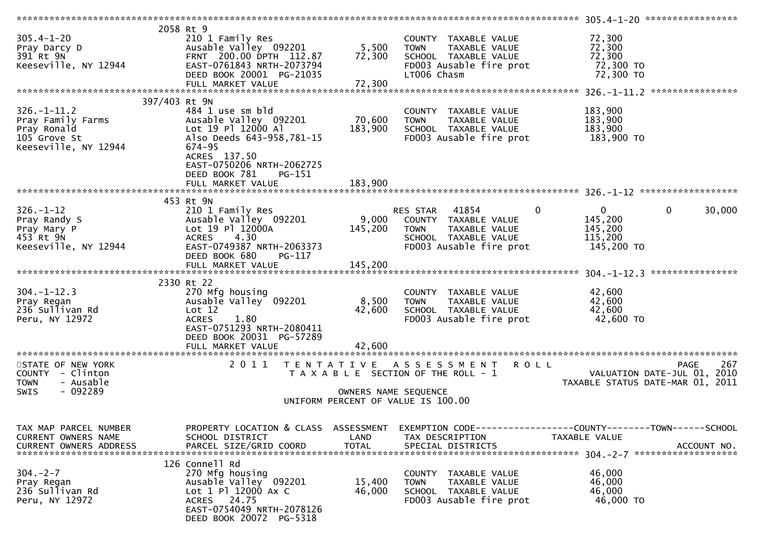|                               |                                                      |                      | ****************                                             | 305.4-1-20 ******************         |
|-------------------------------|------------------------------------------------------|----------------------|--------------------------------------------------------------|---------------------------------------|
|                               | 2058 Rt 9                                            |                      |                                                              |                                       |
| $305.4 - 1 - 20$              | 210 1 Family Res                                     |                      | COUNTY TAXABLE VALUE                                         | 72,300                                |
| Pray Darcy D                  | Ausable Valley 092201                                | 5,500                | <b>TOWN</b><br>TAXABLE VALUE                                 | 72,300                                |
|                               |                                                      |                      |                                                              | 72,300                                |
| 391 Rt 9N                     | FRNT 200.00 DPTH 112.87                              | 72,300               | SCHOOL TAXABLE VALUE                                         |                                       |
| Keeseville, NY 12944          | EAST-0761843 NRTH-2073794                            |                      | FD003 Ausable fire prot                                      | 72,300 TO                             |
|                               | DEED BOOK 20001 PG-21035                             |                      | LT006 Chasm                                                  | 72,300 TO                             |
|                               | FULL MARKET VALUE                                    | 72,300               |                                                              |                                       |
|                               |                                                      |                      |                                                              |                                       |
| 397/403 Rt 9N                 |                                                      |                      |                                                              |                                       |
| $326. - 1 - 11.2$             | 484 1 use sm bld                                     |                      | COUNTY TAXABLE VALUE                                         | 183,900                               |
|                               |                                                      |                      |                                                              |                                       |
| Pray Family Farms             | Ausable Valley 092201                                | 70,600               | TAXABLE VALUE<br><b>TOWN</b>                                 | 183,900                               |
| Pray Ronald                   | Lot 19 Pl 12000 Al                                   | 183,900              | SCHOOL TAXABLE VALUE                                         | 183,900                               |
| 105 Grove St                  | Also Deeds 643-958,781-15                            |                      | FD003 Ausable fire prot                                      | 183,900 TO                            |
| Keeseville, NY 12944          | 674-95                                               |                      |                                                              |                                       |
|                               | ACRES 137.50                                         |                      |                                                              |                                       |
|                               | EAST-0750206 NRTH-2062725                            |                      |                                                              |                                       |
|                               | DEED BOOK 781<br>$PG-151$                            |                      |                                                              |                                       |
|                               |                                                      |                      |                                                              |                                       |
|                               | FULL MARKET VALUE                                    | 183,900              |                                                              |                                       |
|                               |                                                      |                      |                                                              |                                       |
|                               | 453 Rt 9N                                            |                      |                                                              |                                       |
| $326. - 1 - 12$               | 210 1 Family Res                                     |                      | $\mathbf 0$<br>RES STAR 41854                                | $\mathbf 0$<br>$\mathbf{0}$<br>30,000 |
| Pray Randy S                  | Ausable Valley 092201                                | 9,000                | COUNTY TAXABLE VALUE                                         | 145,200                               |
| Pray Mary P                   | Lot 19 Pl 12000A                                     | 145,200              | <b>TOWN</b><br>TAXABLE VALUE                                 | 145,200                               |
| 453 Rt 9N                     | 4.30<br><b>ACRES</b>                                 |                      | SCHOOL TAXABLE VALUE                                         | 115,200                               |
|                               |                                                      |                      |                                                              |                                       |
| Keeseville, NY 12944          | EAST-0749387 NRTH-2063373                            |                      | FD003 Ausable fire prot                                      | 145,200 TO                            |
|                               | DEED BOOK 680<br>PG-117                              |                      |                                                              |                                       |
|                               | FULL MARKET VALUE                                    | 145,200              |                                                              |                                       |
|                               |                                                      |                      |                                                              |                                       |
|                               | 2330 Rt 22                                           |                      |                                                              |                                       |
|                               |                                                      |                      |                                                              |                                       |
|                               |                                                      |                      |                                                              |                                       |
| $304. -1 - 12.3$              | 270 Mfg housing                                      |                      | COUNTY TAXABLE VALUE                                         | 42,600                                |
| Pray Regan                    | Ausable Valley 092201                                | 8,500                | <b>TOWN</b><br>TAXABLE VALUE                                 | 42,600                                |
| 236 Sullivan Rd               | Lot 12                                               | 42,600               | SCHOOL TAXABLE VALUE                                         | 42,600                                |
| Peru, NY 12972                | 1.80<br><b>ACRES</b>                                 |                      | FD003 Ausable fire prot                                      | 42,600 TO                             |
|                               | EAST-0751293 NRTH-2080411                            |                      |                                                              |                                       |
|                               | DEED BOOK 20031 PG-57289                             |                      |                                                              |                                       |
|                               | FULL MARKET VALUE                                    | 42.600               |                                                              |                                       |
| *********************         | ****************************                         |                      |                                                              |                                       |
|                               |                                                      |                      |                                                              |                                       |
| STATE OF NEW YORK             | 2011<br>T E N T A T I V E                            |                      | A S S E S S M E N T R O L L                                  | 267<br><b>PAGE</b>                    |
| COUNTY - Clinton              |                                                      |                      | T A X A B L E SECTION OF THE ROLL - 1                        | VALUATION DATE-JUL 01, 2010           |
| - Ausable<br><b>TOWN</b>      |                                                      |                      |                                                              | TAXABLE STATUS DATE-MAR 01, 2011      |
| $-092289$<br><b>SWIS</b>      |                                                      | OWNERS NAME SEQUENCE |                                                              |                                       |
|                               |                                                      |                      | UNIFORM PERCENT OF VALUE IS 100.00                           |                                       |
|                               |                                                      |                      |                                                              |                                       |
|                               |                                                      |                      |                                                              |                                       |
|                               |                                                      |                      |                                                              |                                       |
| TAX MAP PARCEL NUMBER         | PROPERTY LOCATION & CLASS ASSESSMENT                 |                      | EXEMPTION CODE-----------------COUNTY-------TOWN------SCHOOL |                                       |
| CURRENT OWNERS NAME           | SCHOOL DISTRICT                                      | LAND                 | TAX DESCRIPTION                                              | <b>TAXABLE VALUE</b>                  |
| <b>CURRENT OWNERS ADDRESS</b> | PARCEL SIZE/GRID COORD                               | TOTAL                | SPECIAL DISTRICTS                                            | ACCOUNT NO.                           |
|                               |                                                      |                      |                                                              |                                       |
|                               | 126 Connell Rd                                       |                      |                                                              |                                       |
| $304. -2 - 7$                 | 270 Mfg housing                                      |                      | COUNTY TAXABLE VALUE                                         | 46,000                                |
| Pray Regan                    | Ausable Valley 092201                                | 15,400               | TAXABLE VALUE<br><b>TOWN</b>                                 | 46,000                                |
|                               |                                                      |                      |                                                              |                                       |
| 236 Sullivan Rd               | Lot 1 Pl 12000 Ax C                                  | 46,000               | SCHOOL TAXABLE VALUE                                         | 46,000                                |
| Peru, NY 12972                | ACRES 24.75                                          |                      | FD003 Ausable fire prot                                      | 46,000 TO                             |
|                               | EAST-0754049 NRTH-2078126<br>DEED BOOK 20072 PG-5318 |                      |                                                              |                                       |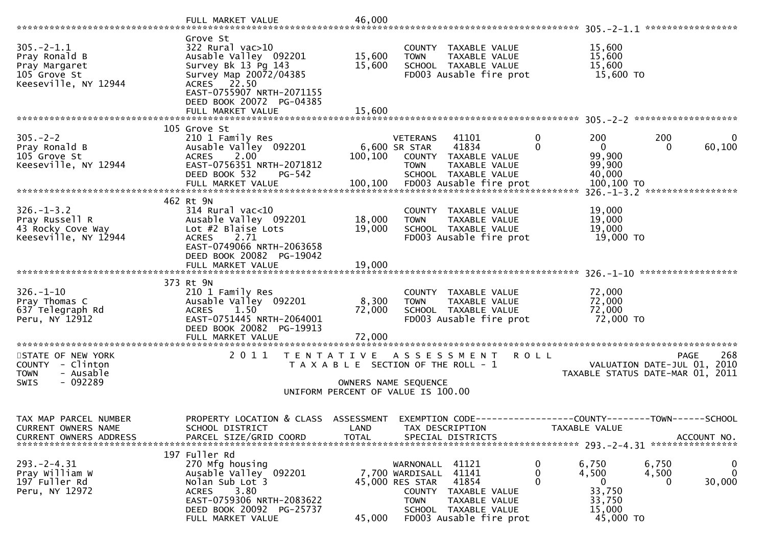|                                                                                           | FULL MARKET VALUE                                                                                                                                                                                        | 46,000                     |                                                                                                                                                                                          |               |                                                                 | *****************                                               |
|-------------------------------------------------------------------------------------------|----------------------------------------------------------------------------------------------------------------------------------------------------------------------------------------------------------|----------------------------|------------------------------------------------------------------------------------------------------------------------------------------------------------------------------------------|---------------|-----------------------------------------------------------------|-----------------------------------------------------------------|
| $305. -2 - 1.1$<br>Pray Ronald B<br>Pray Margaret<br>105 Grove St<br>Keeseville, NY 12944 | Grove St<br>$322$ Rural vac $>10$<br>Ausable Valley 092201<br>Survey Bk 13 Pg 143<br>Survey Map 20072/04385<br>ACRES 22.50<br>EAST-0755907 NRTH-2071155<br>DEED BOOK 20072 PG-04385<br>FULL MARKET VALUE | 15,600<br>15,600<br>15,600 | COUNTY TAXABLE VALUE<br><b>TOWN</b><br>TAXABLE VALUE<br>SCHOOL TAXABLE VALUE<br>FD003 Ausable fire prot                                                                                  |               | 15,600<br>15,600<br>15,600<br>15,600 TO                         |                                                                 |
|                                                                                           | 105 Grove St                                                                                                                                                                                             |                            |                                                                                                                                                                                          |               |                                                                 |                                                                 |
| $305. -2 - 2$<br>Pray Ronald B<br>105 Grove St<br>Keeseville, NY 12944                    | 210 1 Family Res<br>Ausable Valley 092201<br>2.00<br><b>ACRES</b><br>EAST-0756351 NRTH-2071812<br>DEED BOOK 532<br>PG-542                                                                                | 100,100                    | 41101<br><b>VETERANS</b><br>41834<br>6,600 SR STAR<br>COUNTY TAXABLE VALUE<br>TAXABLE VALUE<br><b>TOWN</b><br>SCHOOL TAXABLE VALUE                                                       | 0<br>$\Omega$ | 200<br>$\mathbf{0}$<br>99,900<br>99,900<br>40,000<br>100,100 TO | 200<br>0<br>60,100<br>0<br>$326. - 1 - 3.2$ ******************  |
|                                                                                           | 462 Rt 9N                                                                                                                                                                                                |                            |                                                                                                                                                                                          |               |                                                                 |                                                                 |
| $326. - 1 - 3.2$<br>Pray Russell R<br>43 Rocky Cove Way<br>Keeseville, NY 12944           | 314 Rural vac<10<br>Ausable Valley 092201<br>Lot #2 Blaise Lots<br>2.71<br><b>ACRES</b><br>EAST-0749066 NRTH-2063658                                                                                     | 18,000<br>19,000           | COUNTY TAXABLE VALUE<br>TAXABLE VALUE<br><b>TOWN</b><br>SCHOOL TAXABLE VALUE<br>FD003 Ausable fire prot                                                                                  |               | 19,000<br>19,000<br>19,000<br>19,000 TO                         |                                                                 |
|                                                                                           | DEED BOOK 20082 PG-19042<br>FULL MARKET VALUE                                                                                                                                                            | 19,000                     |                                                                                                                                                                                          |               |                                                                 |                                                                 |
|                                                                                           |                                                                                                                                                                                                          |                            |                                                                                                                                                                                          |               |                                                                 |                                                                 |
| $326. - 1 - 10$<br>Pray Thomas C<br>637 Telegraph Rd<br>Peru, NY 12912                    | 373 Rt 9N<br>210 1 Family Res<br>Ausable Valley 092201<br><b>ACRES</b><br>1.50<br>EAST-0751445 NRTH-2064001<br>DEED BOOK 20082 PG-19913                                                                  | 8,300<br>72,000            | COUNTY TAXABLE VALUE<br>TAXABLE VALUE<br><b>TOWN</b><br>SCHOOL TAXABLE VALUE<br>FD003 Ausable fire prot                                                                                  |               | 72,000<br>72,000<br>72,000<br>72,000 TO                         |                                                                 |
| STATE OF NEW YORK                                                                         | 2011                                                                                                                                                                                                     |                            | TENTATIVE ASSESSMENT                                                                                                                                                                     | R O L L       |                                                                 | 268<br><b>PAGE</b>                                              |
| COUNTY - Clinton<br>- Ausable<br><b>TOWN</b><br>$-092289$<br><b>SWIS</b>                  |                                                                                                                                                                                                          |                            | T A X A B L E SECTION OF THE ROLL - 1<br>OWNERS NAME SEQUENCE<br>UNIFORM PERCENT OF VALUE IS 100.00                                                                                      |               |                                                                 | VALUATION DATE-JUL 01, 2010<br>TAXABLE STATUS DATE-MAR 01, 2011 |
|                                                                                           |                                                                                                                                                                                                          |                            |                                                                                                                                                                                          |               |                                                                 |                                                                 |
| TAX MAP PARCEL NUMBER<br>CURRENT OWNERS NAME<br><b>CURRENT OWNERS ADDRESS</b>             | PROPERTY LOCATION & CLASS ASSESSMENT<br>SCHOOL DISTRICT<br>PARCEL SIZE/GRID COORD                                                                                                                        | LAND<br><b>TOTAL</b>       | EXEMPTION CODE------------------COUNTY--------TOWN------SCHOOL<br>TAX DESCRIPTION<br>SPECIAL DISTRICTS                                                                                   |               | TAXABLE VALUE                                                   | ACCOUNT NO.                                                     |
| $293. -2 - 4.31$<br>Pray William W<br>197 Fuller Rd<br>Peru, NY 12972                     | 197 Fuller Rd<br>270 Mfg housing<br>Ausable Valley 092201<br>Nolan Sub Lot 3<br>3.80<br><b>ACRES</b><br>EAST-0759306 NRTH-2083622<br>DEED BOOK 20092 PG-25737<br>FULL MARKET VALUE                       | 45,000                     | 41121<br>WARNONALL<br>41141<br>7,700 WARDISALL<br>41854<br>45,000 RES STAR<br>COUNTY<br>TAXABLE VALUE<br><b>TOWN</b><br>TAXABLE VALUE<br>SCHOOL TAXABLE VALUE<br>FD003 Ausable fire prot | 0<br>0        | 6,750<br>4,500<br>0<br>33,750<br>33,750<br>15,000<br>45,000 TO  | 6,750<br>0<br>$\mathbf{0}$<br>4,500<br>30,000<br>0              |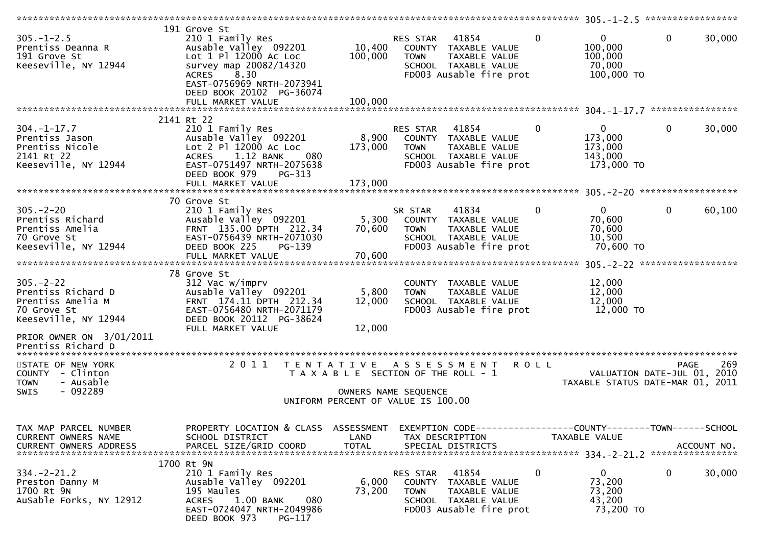|                                                                                                                     |                                                                                                                                                                                        |                           |                                                                                                                              |              | 305.-1-2.5 ******************                                   |              |             |
|---------------------------------------------------------------------------------------------------------------------|----------------------------------------------------------------------------------------------------------------------------------------------------------------------------------------|---------------------------|------------------------------------------------------------------------------------------------------------------------------|--------------|-----------------------------------------------------------------|--------------|-------------|
| $305. - 1 - 2.5$<br>Prentiss Deanna R<br>191 Grove St<br>Keeseville, NY 12944                                       | 191 Grove St<br>210 1 Family Res<br>Ausable Valley 092201<br>Lot 1 Pl 12000 Ac Loc<br>survey map 20082/14320<br>8.30<br>ACRES<br>EAST-0756969 NRTH-2073941<br>DEED BOOK 20102 PG-36074 | 10,400<br>100,000         | RES STAR 41854<br>COUNTY TAXABLE VALUE<br>TAXABLE VALUE<br><b>TOWN</b><br>SCHOOL TAXABLE VALUE<br>FD003 Ausable fire prot    | $\mathbf{0}$ | $\mathbf{0}$<br>100,000<br>100,000<br>70,000<br>100,000 TO      | $\mathbf 0$  | 30,000      |
|                                                                                                                     | FULL MARKET VALUE                                                                                                                                                                      | 100,000                   |                                                                                                                              |              |                                                                 |              |             |
| $304. - 1 - 17.7$<br>Prentiss Jason<br>Prentiss Nicole<br>2141 Rt 22<br>Keeseville, NY 12944                        | 2141 Rt 22<br>210 1 Family Res<br>Ausable Valley 092201<br>Lot 2 Pl 12000 Ac Loc<br>1.12 BANK<br>080<br><b>ACRES</b><br>EAST-0751497 NRTH-2075638<br>DEED BOOK 979<br>PG-313           | 8,900<br>173,000          | RES STAR 41854<br>COUNTY TAXABLE VALUE<br>TAXABLE VALUE<br><b>TOWN</b><br>SCHOOL TAXABLE VALUE<br>FD003 Ausable fire prot    | 0            | $\mathbf{0}$<br>173,000<br>173,000<br>143,000<br>173,000 TO     | $\mathbf{0}$ | 30,000      |
|                                                                                                                     | FULL MARKET VALUE                                                                                                                                                                      | 173,000                   |                                                                                                                              |              |                                                                 |              |             |
| $305 - 2 - 20$<br>Prentiss Richard<br>Prentiss Amelia<br>70 Grove St<br>Keeseville, NY 12944                        | 70 Grove St<br>210 1 Family Res<br>Ausable Valley 092201<br>FRNT 135.00 DPTH 212.34<br>EAST-0756439 NRTH-2071030<br>DEED BOOK 225<br>PG-139<br>FULL MARKET VALUE                       | 5,300<br>70,600<br>70,600 | 41834<br>SR STAR<br>COUNTY TAXABLE VALUE<br><b>TOWN</b><br>TAXABLE VALUE<br>SCHOOL TAXABLE VALUE<br>FD003 Ausable fire prot  | $\Omega$     | $\mathbf{0}$<br>70,600<br>70,600<br>10,500<br>70,600 то         | $\mathbf{0}$ | 60,100      |
|                                                                                                                     |                                                                                                                                                                                        |                           |                                                                                                                              |              |                                                                 |              |             |
| $305. - 2 - 22$<br>Prentiss Richard D<br>Prentiss Amelia M<br>70 Grove St<br>Keeseville, NY 12944                   | 78 Grove St<br>312 Vac w/imprv<br>Ausable Valley 092201<br>FRNT 174.11 DPTH 212.34<br>EAST-0756480 NRTH-2071179<br>DEED BOOK 20112 PG-38624                                            | 5,800<br>12,000           | COUNTY TAXABLE VALUE<br><b>TOWN</b><br>TAXABLE VALUE<br>SCHOOL TAXABLE VALUE<br>FD003 Ausable fire prot                      |              | 12,000<br>12,000<br>12,000<br>12,000 TO                         |              |             |
| PRIOR OWNER ON 3/01/2011<br>Prentiss Richard D                                                                      | FULL MARKET VALUE                                                                                                                                                                      | 12,000                    |                                                                                                                              |              |                                                                 |              |             |
| *************************<br>STATE OF NEW YORK<br>COUNTY - Clinton<br>- Ausable<br><b>TOWN</b><br>$-092289$<br>SWIS | 2011<br>T E N T A T I V E                                                                                                                                                              |                           | ASSESSMENT ROLL<br>T A X A B L E SECTION OF THE ROLL - 1<br>OWNERS NAME SEQUENCE<br>UNIFORM PERCENT OF VALUE IS 100.00       |              | VALUATION DATE-JUL 01, 2010<br>TAXABLE STATUS DATE-MAR 01, 2011 | <b>PAGE</b>  | 269         |
| TAX MAP PARCEL NUMBER<br>CURRENT OWNERS NAME<br><b>CURRENT OWNERS ADDRESS</b>                                       | PROPERTY LOCATION & CLASS ASSESSMENT<br>SCHOOL DISTRICT<br>PARCEL SIZE/GRID COORD                                                                                                      | LAND<br><b>TOTAL</b>      | EXEMPTION CODE-----------------COUNTY-------TOWN------SCHOOL<br>TAX DESCRIPTION<br>SPECIAL DISTRICTS                         |              | TAXABLE VALUE                                                   |              | ACCOUNT NO. |
| $334. - 2 - 21.2$<br>Preston Danny M<br>1700 Rt 9N<br>AuSable Forks, NY 12912                                       | 1700 Rt 9N<br>210 1 Family Res<br>Ausable Valley 092201<br>195 Maules<br><b>ACRES</b><br>1.00 BANK<br>080<br>EAST-0724047 NRTH-2049986<br>DEED BOOK 973<br>PG-117                      | 6,000<br>73,200           | 41854<br>RES STAR<br>COUNTY TAXABLE VALUE<br><b>TOWN</b><br>TAXABLE VALUE<br>SCHOOL TAXABLE VALUE<br>FD003 Ausable fire prot | 0            | $\overline{0}$<br>73,200<br>73,200<br>43,200<br>73,200 TO       | $\mathbf{0}$ | 30,000      |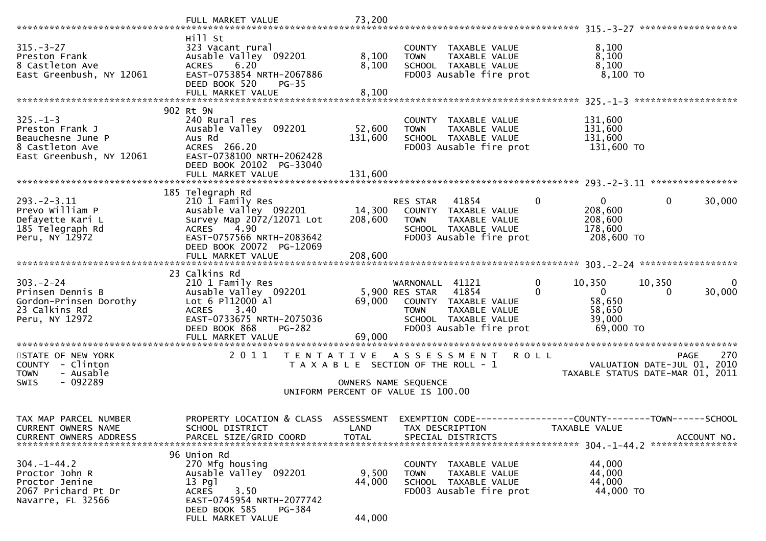|                                              | FULL MARKET VALUE                                       | 73,200       |                                                                                   |                                                                    |
|----------------------------------------------|---------------------------------------------------------|--------------|-----------------------------------------------------------------------------------|--------------------------------------------------------------------|
| $315. - 3 - 27$                              | Hill St<br>323 Vacant rural                             |              | COUNTY TAXABLE VALUE                                                              | 8,100                                                              |
| Preston Frank                                | Ausable Valley 092201                                   | 8,100        | TAXABLE VALUE<br><b>TOWN</b>                                                      | 8,100                                                              |
| 8 Castleton Ave                              | <b>ACRES</b><br>6.20                                    | 8,100        | SCHOOL TAXABLE VALUE                                                              | 8,100                                                              |
| East Greenbush, NY 12061                     | EAST-0753854 NRTH-2067886<br>DEED BOOK 520<br>$PG-35$   |              | FD003 Ausable fire prot                                                           | $8,100$ TO                                                         |
|                                              | FULL MARKET VALUE                                       | 8,100        |                                                                                   |                                                                    |
|                                              | 902 Rt 9N                                               |              |                                                                                   |                                                                    |
| $325. - 1 - 3$                               | 240 Rural res                                           |              | COUNTY TAXABLE VALUE                                                              | 131,600                                                            |
| Preston Frank J                              | Ausable Valley 092201                                   | 52,600       | TAXABLE VALUE<br><b>TOWN</b>                                                      | 131,600                                                            |
| Beauchesne June P<br>8 Castleton Ave         | Aus Rd<br>ACRES 266.20                                  | 131,600      | SCHOOL TAXABLE VALUE<br>FD003 Ausable fire prot                                   | 131,600<br>131,600 TO                                              |
| East Greenbush, NY 12061                     | EAST-0738100 NRTH-2062428                               |              |                                                                                   |                                                                    |
|                                              | DEED BOOK 20102 PG-33040                                |              |                                                                                   |                                                                    |
|                                              | FULL MARKET VALUE                                       | 131,600      |                                                                                   |                                                                    |
|                                              | 185 Telegraph Rd                                        |              |                                                                                   |                                                                    |
| $293. - 2 - 3.11$<br>Prevo William P         | 210 1 Family Res<br>Ausable Valley 092201               | 14,300       | $\mathbf{0}$<br>41854<br>RES STAR<br>COUNTY TAXABLE VALUE                         | $\Omega$<br>0<br>30,000<br>208,600                                 |
| Defayette Kari L                             | Survey Map 2072/12071 Lot                               | 208,600      | TAXABLE VALUE<br><b>TOWN</b>                                                      | 208,600                                                            |
| 185 Telegraph Rd                             | 4.90<br><b>ACRES</b>                                    |              | SCHOOL TAXABLE VALUE                                                              | 178,600                                                            |
| Peru, NY 12972                               | EAST-0757566 NRTH-2083642<br>DEED BOOK 20072 PG-12069   |              | FD003 Ausable fire prot                                                           | 208,600 TO                                                         |
|                                              | FULL MARKET VALUE                                       | 208,600      |                                                                                   |                                                                    |
|                                              |                                                         |              |                                                                                   |                                                                    |
| $303 - 2 - 24$                               | 23 Calkins Rd<br>210 1 Family Res                       |              | $\mathbf 0$<br>WARNONALL 41121                                                    | 10,350<br>10,350<br>$\bf{0}$                                       |
| Prinsen Dennis B                             | Ausable Valley 092201                                   |              | 5,900 RES STAR<br>41854<br>0                                                      | $\overline{0}$<br>30,000<br>$\Omega$                               |
| Gordon-Prinsen Dorothy<br>23 Calkins Rd      | Lot 6 P112000 A1<br>3.40<br><b>ACRES</b>                | 69,000       | COUNTY TAXABLE VALUE<br><b>TOWN</b><br>TAXABLE VALUE                              | 58,650<br>58,650                                                   |
| Peru, NY 12972                               | EAST-0733675 NRTH-2075036                               |              | SCHOOL TAXABLE VALUE                                                              | 39,000                                                             |
|                                              | DEED BOOK 868<br>PG-282                                 |              | FD003 Ausable fire prot                                                           | 69,000 TO                                                          |
|                                              |                                                         |              |                                                                                   |                                                                    |
| STATE OF NEW YORK                            | 2011<br>T E N T A T I V E                               |              | A S S E S S M E N T<br><b>ROLL</b>                                                | 270<br><b>PAGE</b>                                                 |
| COUNTY - Clinton<br>- Ausable<br><b>TOWN</b> |                                                         |              | T A X A B L E SECTION OF THE ROLL - 1                                             | VALUATION DATE-JUL 01,<br>2010<br>TAXABLE STATUS DATE-MAR 01, 2011 |
| $-092289$<br><b>SWIS</b>                     |                                                         |              | OWNERS NAME SEQUENCE                                                              |                                                                    |
|                                              |                                                         |              | UNIFORM PERCENT OF VALUE IS 100.00                                                |                                                                    |
|                                              |                                                         |              |                                                                                   |                                                                    |
| TAX MAP PARCEL NUMBER<br>CURRENT OWNERS NAME | PROPERTY LOCATION & CLASS ASSESSMENT<br>SCHOOL DISTRICT | LAND         | EXEMPTION CODE------------------COUNTY--------TOWN------SCHOOL<br>TAX DESCRIPTION | TAXABLE VALUE                                                      |
| <b>CURRENT OWNERS ADDRESS</b>                | PARCEL SIZE/GRID COORD                                  | <b>TOTAL</b> | SPECIAL DISTRICTS                                                                 | ACCOUNT NO.                                                        |
|                                              | 96 Union Rd                                             |              |                                                                                   |                                                                    |
| $304. - 1 - 44.2$                            | 270 Mfg housing                                         |              | TAXABLE VALUE<br>COUNTY                                                           | 44,000                                                             |
| Proctor John R                               | Ausable Valley 092201                                   | 9,500        | <b>TOWN</b><br>TAXABLE VALUE                                                      | 44,000                                                             |
| Proctor Jenine<br>2067 Prichard Pt Dr        | $13$ Pql<br>3.50<br><b>ACRES</b>                        | 44,000       | SCHOOL TAXABLE VALUE<br>FD003 Ausable fire prot                                   | 44,000<br>44,000 TO                                                |
| Navarre, FL 32566                            | EAST-0745954 NRTH-2077742                               |              |                                                                                   |                                                                    |
|                                              | PG-384<br>DEED BOOK 585                                 |              |                                                                                   |                                                                    |
|                                              | FULL MARKET VALUE                                       | 44,000       |                                                                                   |                                                                    |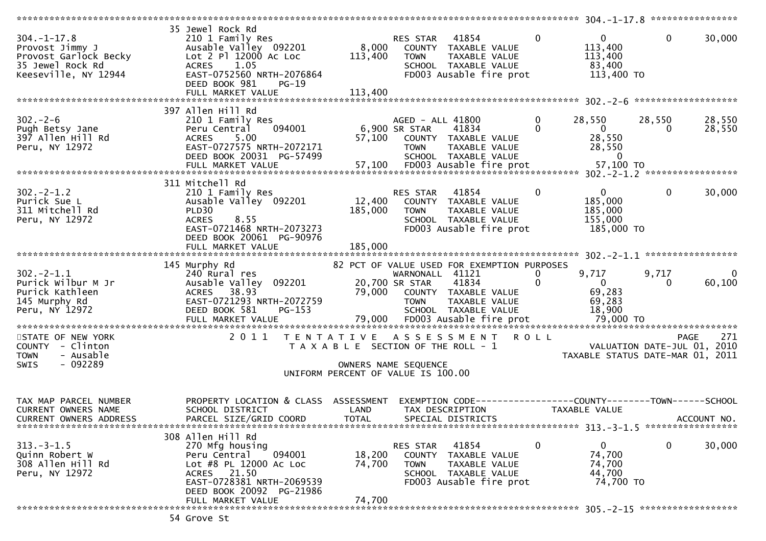| $304. - 1 - 17.8$<br>Provost Jimmy J<br>Provost Garlock Becky<br>35 Jewel Rock Rd<br>Keeseville, NY 12944 | 35 Jewel Rock Rd<br>210 1 Family Res<br>Ausable Valley 092201<br>Lot 2 Pl 12000 Ac Loc<br><b>ACRES</b><br>1.05<br>EAST-0752560 NRTH-2076864<br>DEED BOOK 981<br>$PG-19$<br>FULL MARKET VALUE | 8,000<br>113,400<br>113,400                                                                         | RES STAR<br><b>TOWN</b>                          | 41854<br>COUNTY TAXABLE VALUE<br>TAXABLE VALUE<br>SCHOOL TAXABLE VALUE<br>FD003 Ausable fire prot                            | $\mathbf{0}$             | $\mathbf 0$<br>113,400<br>113,400<br>83,400<br>113,400 TO   | $\mathbf 0$                 | 30,000           |
|-----------------------------------------------------------------------------------------------------------|----------------------------------------------------------------------------------------------------------------------------------------------------------------------------------------------|-----------------------------------------------------------------------------------------------------|--------------------------------------------------|------------------------------------------------------------------------------------------------------------------------------|--------------------------|-------------------------------------------------------------|-----------------------------|------------------|
|                                                                                                           |                                                                                                                                                                                              |                                                                                                     |                                                  |                                                                                                                              |                          |                                                             |                             |                  |
| $302 - 2 - 6$<br>Pugh Betsy Jane<br>397 Allen Hill Rd<br>Peru, NY 12972                                   | 397 Allen Hill Rd<br>210 1 Family Res<br>Peru Central<br>094001<br>5.00<br><b>ACRES</b><br>EAST-0727575 NRTH-2072171<br>DEED BOOK 20031 PG-57499                                             | 57,100                                                                                              | AGED - ALL 41800<br>6,900 SR STAR<br><b>TOWN</b> | 41834<br>COUNTY TAXABLE VALUE<br>TAXABLE VALUE<br>SCHOOL TAXABLE VALUE                                                       | $\mathbf{0}$<br>$\Omega$ | 28,550<br>$\overline{0}$<br>28,550<br>28,550<br>$\Omega$    | 28,550<br>0                 | 28,550<br>28,550 |
|                                                                                                           |                                                                                                                                                                                              |                                                                                                     |                                                  |                                                                                                                              |                          |                                                             |                             |                  |
| $302 - 2 - 1.2$<br>Purick Sue L<br>311 Mitchell Rd<br>Peru, NY 12972                                      | 311 Mitchell Rd<br>210 1 Family Res<br>Ausable Valley 092201<br>PLD30<br>8.55<br><b>ACRES</b><br>EAST-0721468 NRTH-2073273<br>DEED BOOK 20061 PG-90976                                       | 12,400<br>185,000                                                                                   | RES STAR<br><b>TOWN</b>                          | 41854<br>COUNTY TAXABLE VALUE<br>TAXABLE VALUE<br>SCHOOL TAXABLE VALUE<br>FD003 Ausable fire prot                            | $\mathbf 0$              | $\mathbf{0}$<br>185,000<br>185,000<br>155,000<br>185,000 TO | $\mathbf{0}$                | 30,000           |
|                                                                                                           | FULL MARKET VALUE                                                                                                                                                                            | 185,000                                                                                             |                                                  |                                                                                                                              |                          |                                                             |                             |                  |
|                                                                                                           |                                                                                                                                                                                              |                                                                                                     |                                                  |                                                                                                                              |                          |                                                             |                             |                  |
| $302 - 2 - 1.1$<br>Purick Wilbur M Jr<br>Purick Kathleen<br>145 Murphy Rd<br>Peru, NY 12972               | 145 Murphy Rd<br>240 Rural res<br>Ausable Valley 092201<br>ACRES 38.93<br>EAST-0721293 NRTH-2072759<br>DEED BOOK 581<br>$PG-153$                                                             |                                                                                                     | WARNONALL 41121<br>20,700 SR STAR<br><b>TOWN</b> | 82 PCT OF VALUE USED FOR EXEMPTION PURPOSES<br>41834<br>79,000 COUNTY TAXABLE VALUE<br>TAXABLE VALUE<br>SCHOOL TAXABLE VALUE | 0                        | 9,717<br>$\mathbf{0}$<br>69,283<br>69,283<br>18,900         | 9,717<br>0                  | 0<br>60,100      |
| STATE OF NEW YORK                                                                                         | 2011                                                                                                                                                                                         |                                                                                                     |                                                  | TENTATIVE ASSESSMENT                                                                                                         | <b>ROLL</b>              |                                                             | <b>PAGE</b>                 | 271              |
| COUNTY - Clinton<br><b>TOWN</b><br>- Ausable<br>- 092289<br><b>SWIS</b>                                   |                                                                                                                                                                                              | T A X A B L E SECTION OF THE ROLL - 1<br>OWNERS NAME SEQUENCE<br>UNIFORM PERCENT OF VALUE IS 100.00 |                                                  |                                                                                                                              |                          | TAXABLE STATUS DATE-MAR 01, 2011                            | VALUATION DATE-JUL 01, 2010 |                  |
|                                                                                                           |                                                                                                                                                                                              |                                                                                                     |                                                  |                                                                                                                              |                          |                                                             |                             |                  |
| TAX MAP PARCEL NUMBER<br>CURRENT OWNERS NAME<br><b>CURRENT OWNERS ADDRESS</b>                             | PROPERTY LOCATION & CLASS<br>SCHOOL DISTRICT<br>PARCEL SIZE/GRID COORD                                                                                                                       | ASSESSMENT<br>LAND<br><b>TOTAL</b>                                                                  |                                                  | EXEMPTION CODE------------------COUNTY--------TOWN------SCHOOL<br>TAX DESCRIPTION<br>SPECIAL DISTRICTS                       |                          | TAXABLE VALUE                                               |                             | ACCOUNT NO.      |
|                                                                                                           | 308 Allen Hill Rd                                                                                                                                                                            |                                                                                                     |                                                  |                                                                                                                              |                          |                                                             |                             |                  |
| $313. - 3 - 1.5$<br>Quinn Robert W<br>308 Allen Hill Rd<br>Peru, NY 12972                                 | 270 Mfg housing<br>Peru Central<br>094001<br>Lot #8 PL 12000 Ac Loc<br>ACRES 21.50<br>EAST-0728381 NRTH-2069539<br>DEED BOOK 20092 PG-21986                                                  | 18,200<br>74,700                                                                                    | RES STAR<br><b>TOWN</b>                          | 41854<br>COUNTY TAXABLE VALUE<br>TAXABLE VALUE<br>SCHOOL TAXABLE VALUE<br>FD003 Ausable fire prot                            | $\mathbf 0$              | $\mathbf{0}$<br>74,700<br>74,700<br>44,700<br>74,700 TO     | 0                           | 30,000           |
|                                                                                                           | FULL MARKET VALUE                                                                                                                                                                            | 74,700                                                                                              |                                                  |                                                                                                                              |                          |                                                             |                             |                  |
|                                                                                                           | 54 Grove St                                                                                                                                                                                  |                                                                                                     |                                                  |                                                                                                                              |                          |                                                             |                             |                  |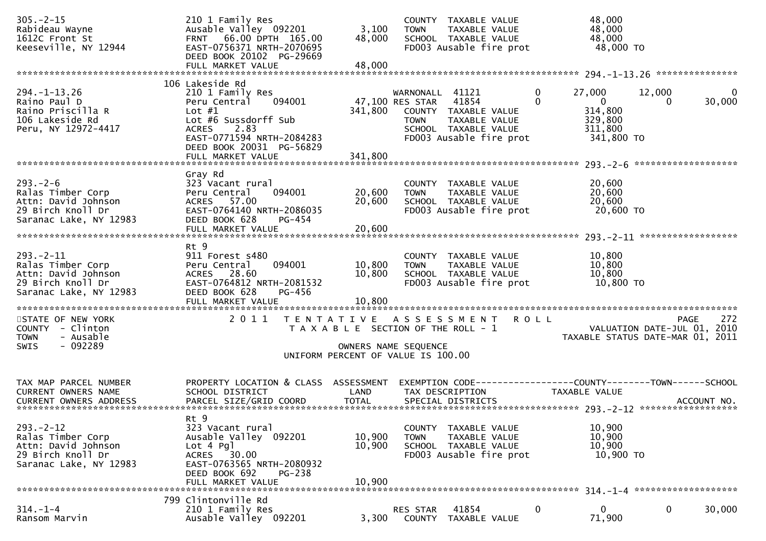| $305. -2 - 15$<br>Rabideau Wayne<br>1612C Front St<br>Keeseville, NY 12944                                                                    | 210 1 Family Res<br>Ausable Valley 092201<br>FRNT 66.00 DPTH 165.00<br>EAST-0756371 NRTH-2070695<br>DEED BOOK 20102 PG-29669                                                                            | 3,100<br>48,000                                                                                     | <b>TOWN</b>                                             | COUNTY TAXABLE VALUE<br>TAXABLE VALUE<br>SCHOOL TAXABLE VALUE<br>FD003 Ausable fire prot |                  | 48,000<br>48,000<br>48,000<br>48,000 TO                               |                                                                                       |
|-----------------------------------------------------------------------------------------------------------------------------------------------|---------------------------------------------------------------------------------------------------------------------------------------------------------------------------------------------------------|-----------------------------------------------------------------------------------------------------|---------------------------------------------------------|------------------------------------------------------------------------------------------|------------------|-----------------------------------------------------------------------|---------------------------------------------------------------------------------------|
|                                                                                                                                               |                                                                                                                                                                                                         |                                                                                                     |                                                         |                                                                                          |                  |                                                                       |                                                                                       |
| $294. - 1 - 13.26$<br>Raino Paul D<br>Raino Priscilla R<br>106 Lakeside Rd<br>Peru, NY 12972-4417                                             | 106 Lakeside Rd<br>210 1 Family Res<br>Peru Central<br>094001<br>Lot $#1$<br>Lot #6 Sussdorff Sub<br><b>ACRES</b><br>2.83<br>EAST-0771594 NRTH-2084283<br>DEED BOOK 20031 PG-56829<br>FULL MARKET VALUE | 341,800<br>341,800                                                                                  | WARNONALL 41121<br>47,100 RES STAR 41854<br><b>TOWN</b> | COUNTY TAXABLE VALUE<br>TAXABLE VALUE<br>SCHOOL TAXABLE VALUE<br>FD003 Ausable fire prot | 0<br>$\mathbf 0$ | 27,000<br>$\mathbf{0}$<br>314,800<br>329,800<br>311,800<br>341,800 TO | 12,000<br>0<br>30,000<br>$\mathbf{0}$                                                 |
| $293. - 2 - 6$<br>Ralas Timber Corp<br>Attn: David Johnson<br>29 Birch Knoll Dr<br>Saranac Lake, NY 12983                                     | Gray Rd<br>323 Vacant rural<br>Peru Central<br>094001<br>ACRES 57.00<br>EAST-0764140 NRTH-2086035<br>DEED BOOK 628<br>$PG-454$                                                                          | 20,600<br>20,600                                                                                    | <b>TOWN</b>                                             | COUNTY TAXABLE VALUE<br>TAXABLE VALUE<br>SCHOOL TAXABLE VALUE<br>FD003 Ausable fire prot |                  | 20,600<br>20,600<br>20,600<br>20,600 TO                               |                                                                                       |
| $293. - 2 - 11$<br>Ralas Timber Corp<br>Attn: David Johnson<br>29 Birch Knoll Dr<br>Saranac Lake, NY 12983                                    | Rt 9<br>911 Forest s480<br>094001<br>Peru Central<br>ACRES 28.60<br>EAST-0764812 NRTH-2081532<br>DEED BOOK 628<br>PG-456<br>FULL MARKET VALUE                                                           | 10,800<br>10,800<br>10,800                                                                          | <b>TOWN</b>                                             | COUNTY TAXABLE VALUE<br>TAXABLE VALUE<br>SCHOOL TAXABLE VALUE<br>FD003 Ausable fire prot |                  | 10,800<br>10,800<br>10,800<br>10,800 TO                               |                                                                                       |
| STATE OF NEW YORK<br>COUNTY - Clinton<br>- Ausable<br><b>TOWN</b><br>$-092289$<br>SWIS                                                        | 2011                                                                                                                                                                                                    | T A X A B L E SECTION OF THE ROLL - 1<br>OWNERS NAME SEQUENCE<br>UNIFORM PERCENT OF VALUE IS 100.00 |                                                         | TENTATIVE ASSESSMENT                                                                     | <b>ROLL</b>      |                                                                       | 272<br><b>PAGE</b><br>VALUATION DATE-JUL 01, 2010<br>TAXABLE STATUS DATE-MAR 01, 2011 |
| TAX MAP PARCEL NUMBER<br>CURRENT OWNERS NAME<br>CURRENT OWNERS ADDRESS PARCEL SIZE/GRID COORD TOTAL SPECIAL DISTRICTS 701-001-001 ACCOUNT NO. | PROPERTY LOCATION & CLASS ASSESSMENT<br>SCHOOL DISTRICT                                                                                                                                                 | LAND                                                                                                |                                                         | TAX DESCRIPTION                                                                          |                  | TAXABLE VALUE                                                         | EXEMPTION CODE-----------------COUNTY--------TOWN------SCHOOL                         |
| $293 - 2 - 12$<br>Ralas Timber Corp<br>Attn: David Johnson<br>29 Birch Knoll Dr<br>Saranac Lake, NY 12983                                     | Rt 9<br>323 Vacant rural<br>Ausable Valley 092201<br>Lot 4 Pgl<br>ACRES 30.00<br>EAST-0763565 NRTH-2080932<br>DEED BOOK 692<br>$PG-238$<br>FULL MARKET VALUE                                            | 10,900<br>10,900<br>10,900                                                                          | <b>TOWN</b>                                             | COUNTY TAXABLE VALUE<br>TAXABLE VALUE<br>SCHOOL TAXABLE VALUE<br>FD003 Ausable fire prot |                  | 10,900<br>10,900<br>10,900<br>10,900 TO                               |                                                                                       |
|                                                                                                                                               | 799 Clintonville Rd                                                                                                                                                                                     |                                                                                                     |                                                         |                                                                                          |                  |                                                                       |                                                                                       |
| $314. - 1 - 4$<br>Ransom Marvin                                                                                                               | 210 1 Family Res<br>Ausable Valley 092201                                                                                                                                                               | 3,300                                                                                               | <b>RES STAR</b><br>COUNTY                               | 41854<br>TAXABLE VALUE                                                                   | 0                | 0<br>71,900                                                           | $\mathbf 0$<br>30,000                                                                 |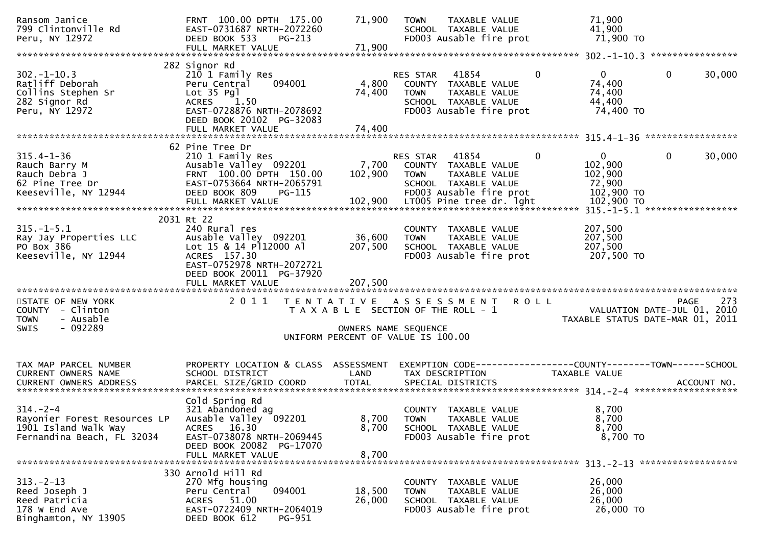| Ransom Janice<br>799 Clintonville Rd<br>Peru, NY 12972                                               | FRNT 100.00 DPTH 175.00<br>EAST-0731687 NRTH-2072260<br>DEED BOOK 533<br>$PG-213$<br>FULL MARKET VALUE                                                               | 71,900<br>71,900            | <b>TOWN</b><br>TAXABLE VALUE<br>SCHOOL TAXABLE VALUE<br>FD003 Ausable fire prot                                                                          | 71,900<br>41,900<br>71,900 TO                                                            |                                                 |
|------------------------------------------------------------------------------------------------------|----------------------------------------------------------------------------------------------------------------------------------------------------------------------|-----------------------------|----------------------------------------------------------------------------------------------------------------------------------------------------------|------------------------------------------------------------------------------------------|-------------------------------------------------|
|                                                                                                      |                                                                                                                                                                      |                             |                                                                                                                                                          |                                                                                          |                                                 |
| $302 - 1 - 10.3$<br>Ratliff Deborah<br>Collins Stephen Sr<br>282 Signor Rd<br>Peru, NY 12972         | 282 Signor Rd<br>210 1 Family Res<br>094001<br>Peru Central<br>Lot 35 Pgl<br>ACRES 1.50<br>EAST-0728876 NRTH-2078692<br>DEED BOOK 20102 PG-32083                     | 4,800<br>74,400             | RES STAR 41854<br>COUNTY TAXABLE VALUE<br>TAXABLE VALUE<br><b>TOWN</b><br>SCHOOL TAXABLE VALUE<br>FD003 Ausable fire prot                                | $\mathbf{0}$<br>$\mathbf 0$<br>74,400<br>74,400<br>44,400<br>74,400 TO                   | $\mathbf 0$<br>30,000                           |
|                                                                                                      |                                                                                                                                                                      |                             |                                                                                                                                                          |                                                                                          |                                                 |
| $315.4 - 1 - 36$<br>Rauch Barry M<br>Rauch Debra J<br>62 Pine Tree Dr<br>Keeseville, NY 12944        | 62 Pine Tree Dr<br>210 1 Family Res<br>Ausable Valley 092201<br>FRNT 100.00 DPTH 150.00<br>EAST-0753664 NRTH-2065791<br>DEED BOOK 809<br>PG-115<br>FULL MARKET VALUE | 7,700<br>102,900<br>102,900 | RES STAR<br>41854<br>COUNTY TAXABLE VALUE<br>TAXABLE VALUE<br><b>TOWN</b><br>SCHOOL TAXABLE VALUE<br>FD003 Ausable fire prot<br>LT005 Pine tree dr. lght | $\mathbf{0}$<br>$\mathbf{0}$<br>102,900<br>102,900<br>72,900<br>102,900 TO<br>102,900 TO | $\mathbf 0$<br>30,000                           |
|                                                                                                      | 2031 Rt 22                                                                                                                                                           |                             |                                                                                                                                                          |                                                                                          |                                                 |
| $315. - 1 - 5.1$<br>Ray Jay Properties LLC<br>PO Box 386<br>Keeseville, NY 12944                     | 240 Rural res<br>Ausable Valley 092201<br>Lot 15 & 14 Pl12000 Al<br>ACRES 157.30<br>EAST-0752978 NRTH-2072721<br>DEED BOOK 20011 PG-37920                            | 36,600<br>207,500           | COUNTY TAXABLE VALUE<br>TAXABLE VALUE<br><b>TOWN</b><br>SCHOOL TAXABLE VALUE<br>FD003 Ausable fire prot                                                  | 207,500<br>207,500<br>207,500<br>207,500 TO                                              |                                                 |
|                                                                                                      |                                                                                                                                                                      |                             |                                                                                                                                                          |                                                                                          |                                                 |
| STATE OF NEW YORK<br>COUNTY - Clinton<br><b>TOWN</b><br>- Ausable<br>- 092289<br><b>SWIS</b>         | 2011                                                                                                                                                                 | OWNERS NAME SEQUENCE        | TENTATIVE ASSESSMENT<br>T A X A B L E SECTION OF THE ROLL - 1<br>UNIFORM PERCENT OF VALUE IS 100.00                                                      | <b>ROLL</b><br>VALUATION DATE-JUL 01, 2010                                               | 273<br>PAGE<br>TAXABLE STATUS DATE-MAR 01, 2011 |
| TAX MAP PARCEL NUMBER<br>CURRENT OWNERS NAME                                                         | PROPERTY LOCATION & CLASS ASSESSMENT<br>SCHOOL DISTRICT                                                                                                              | LAND                        | TAX DESCRIPTION                                                                                                                                          | EXEMPTION CODE------------------COUNTY--------TOWN------SCHOOL<br>TAXABLE VALUE          |                                                 |
| $314. - 2 - 4$<br>Rayonier Forest Resources LP<br>1901 Island Walk Way<br>Fernandina Beach, FL 32034 | Cold Spring Rd<br>321 Abandoned ag<br>Ausable Valley 092201<br>ACRES 16.30<br>EAST-0738078 NRTH-2069445<br>DEED BOOK 20082 PG-17070<br>FULL MARKET VALUE             | 8,700<br>8,700<br>8,700     | COUNTY TAXABLE VALUE<br><b>TOWN</b><br>TAXABLE VALUE<br>SCHOOL TAXABLE VALUE<br>FD003 Ausable fire prot                                                  | 8,700<br>8,700<br>8,700<br>8,700 TO                                                      |                                                 |
|                                                                                                      |                                                                                                                                                                      |                             |                                                                                                                                                          |                                                                                          |                                                 |
| $313. -2 - 13$<br>Reed Joseph J<br>Reed Patricia<br>178 W End Ave<br>Binghamton, NY 13905            | 330 Arnold Hill Rd<br>270 Mfg housing<br>Peru Central<br>094001<br>ACRES 51.00<br>EAST-0722409 NRTH-2064019<br>DEED BOOK 612<br>PG-951                               | 18,500<br>26,000            | COUNTY TAXABLE VALUE<br>TAXABLE VALUE<br><b>TOWN</b><br>SCHOOL TAXABLE VALUE<br>FD003 Ausable fire prot                                                  | 26,000<br>26,000<br>26,000<br>26,000 TO                                                  |                                                 |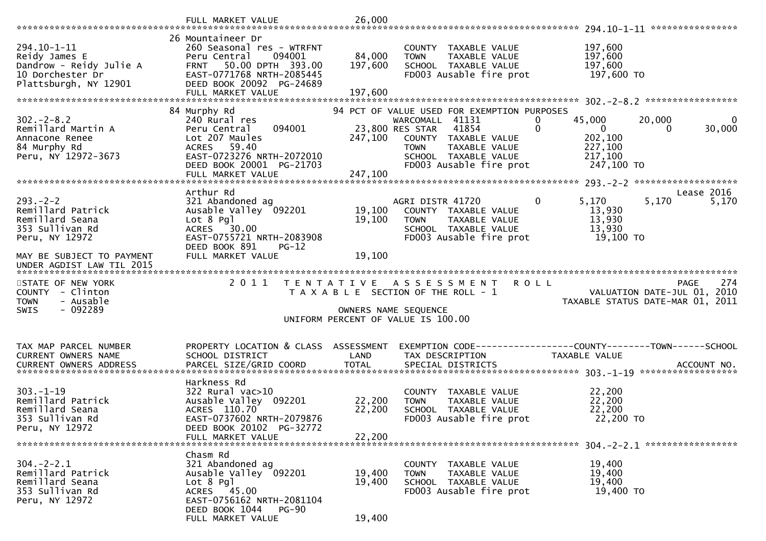|                                                                                                      | FULL MARKET VALUE                                                                                                                                    | 26,000               |                                                                                                                                                                                                       |                                                                                                              |
|------------------------------------------------------------------------------------------------------|------------------------------------------------------------------------------------------------------------------------------------------------------|----------------------|-------------------------------------------------------------------------------------------------------------------------------------------------------------------------------------------------------|--------------------------------------------------------------------------------------------------------------|
|                                                                                                      | 26 Mountaineer Dr                                                                                                                                    |                      |                                                                                                                                                                                                       |                                                                                                              |
| 294.10-1-11<br>Reidy James E<br>Dandrow - Reidy Julie A<br>10 Dorchester Dr<br>Plattsburgh, NY 12901 | 260 Seasonal res - WTRFNT<br>094001<br>Peru Central<br>50.00 DPTH 393.00<br><b>FRNT</b><br>EAST-0771768 NRTH-2085445<br>DEED BOOK 20092 PG-24689     | 84,000<br>197,600    | COUNTY TAXABLE VALUE<br>TAXABLE VALUE<br><b>TOWN</b><br>SCHOOL TAXABLE VALUE<br>FD003 Ausable fire prot                                                                                               | 197,600<br>197,600<br>197,600<br>197,600 TO                                                                  |
|                                                                                                      | FULL MARKET VALUE                                                                                                                                    | 197,600              |                                                                                                                                                                                                       |                                                                                                              |
| $302 - 2 - 8.2$<br>Remillard Martin A<br>Annacone Renee<br>84 Murphy Rd<br>Peru, NY 12972-3673       | 84 Murphy Rd<br>240 Rural res<br>Peru Central<br>094001<br>Lot 207 Maules<br>59.40<br>ACRES<br>EAST-0723276 NRTH-2072010<br>DEED BOOK 20001 PG-21703 | 247,100              | 94 PCT OF VALUE USED FOR EXEMPTION PURPOSES<br>WARCOMALL 41131<br>23,800 RES STAR<br>41854<br>COUNTY TAXABLE VALUE<br><b>TOWN</b><br>TAXABLE VALUE<br>SCHOOL TAXABLE VALUE<br>FD003 Ausable fire prot | 20,000<br>45,000<br>0<br>0<br>0<br>$\mathbf 0$<br>30,000<br>0<br>202,100<br>227,100<br>217,100<br>247,100 TO |
|                                                                                                      |                                                                                                                                                      |                      |                                                                                                                                                                                                       |                                                                                                              |
| $293. - 2 - 2$<br>Remillard Patrick<br>Remillard Seana<br>353 Sullivan Rd<br>Peru, NY 12972          | Arthur Rd<br>321 Abandoned ag<br>Ausable Valley 092201<br>Lot 8 Pgl<br><b>ACRES</b><br>30.00<br>EAST-0755721 NRTH-2083908                            | 19,100<br>19,100     | AGRI DISTR 41720<br>COUNTY TAXABLE VALUE<br>TAXABLE VALUE<br><b>TOWN</b><br>SCHOOL TAXABLE VALUE<br>FD003 Ausable fire prot                                                                           | Lease 2016<br>$\mathbf{0}$<br>5,170<br>5,170<br>5,170<br>13,930<br>13,930<br>13,930<br>19,100 TO             |
| MAY BE SUBJECT TO PAYMENT<br>UNDER AGDIST LAW TIL 2015                                               | DEED BOOK 891<br>$PG-12$<br>FULL MARKET VALUE                                                                                                        | 19,100               |                                                                                                                                                                                                       |                                                                                                              |
| STATE OF NEW YORK<br>COUNTY - Clinton<br><b>TOWN</b><br>- Ausable<br>$-092289$<br><b>SWIS</b>        | 2011                                                                                                                                                 | OWNERS NAME SEQUENCE | TENTATIVE ASSESSMENT<br>T A X A B L E SECTION OF THE ROLL - 1<br>UNIFORM PERCENT OF VALUE IS 100.00                                                                                                   | 274<br><b>ROLL</b><br><b>PAGE</b><br>VALUATION DATE-JUL 01, 2010<br>TAXABLE STATUS DATE-MAR 01, 2011         |
|                                                                                                      |                                                                                                                                                      |                      |                                                                                                                                                                                                       |                                                                                                              |
| TAX MAP PARCEL NUMBER<br>CURRENT OWNERS NAME<br><b>CURRENT OWNERS ADDRESS</b>                        | PROPERTY LOCATION & CLASS ASSESSMENT<br>SCHOOL DISTRICT<br>PARCEL SIZE/GRID COORD                                                                    | LAND<br><b>TOTAL</b> | TAX DESCRIPTION<br>SPECIAL DISTRICTS                                                                                                                                                                  | EXEMPTION CODE-----------------COUNTY-------TOWN------SCHOOL<br>TAXABLE VALUE<br>ACCOUNT NO.                 |
|                                                                                                      | Harkness Rd                                                                                                                                          |                      |                                                                                                                                                                                                       |                                                                                                              |
| $303. - 1 - 19$<br>Remillard Patrick<br>Remillard Seana<br>353 Sullivan Rd<br>Peru, NY 12972         | 322 Rural vac>10<br>Ausable Valley 092201<br>ACRES 110.70<br>EAST-0737602 NRTH-2079876<br>DEED BOOK 20102 PG-32772                                   | 22,200<br>22,200     | COUNTY TAXABLE VALUE<br>TAXABLE VALUE<br><b>TOWN</b><br>SCHOOL TAXABLE VALUE<br>FD003 Ausable fire prot                                                                                               | 22,200<br>22,200<br>22,200<br>22,200 TO                                                                      |
|                                                                                                      | FULL MARKET VALUE                                                                                                                                    | 22,200               |                                                                                                                                                                                                       |                                                                                                              |
|                                                                                                      | Chasm Rd                                                                                                                                             |                      |                                                                                                                                                                                                       |                                                                                                              |
| $304. -2 - 2.1$<br>Remillard Patrick<br>Remillard Seana<br>353 Sullivan Rd<br>Peru, NY 12972         | 321 Abandoned ag<br>Ausable Valley 092201<br>$Lot 8$ Pgl<br>ACRES 45.00                                                                              | 19,400<br>19,400     | COUNTY TAXABLE VALUE<br><b>TOWN</b><br>TAXABLE VALUE<br>SCHOOL TAXABLE VALUE<br>FD003 Ausable fire prot                                                                                               | 19,400<br>19,400<br>19,400<br>19,400 TO                                                                      |
|                                                                                                      | EAST-0756162 NRTH-2081104<br>DEED BOOK 1044<br>$PG-90$                                                                                               |                      |                                                                                                                                                                                                       |                                                                                                              |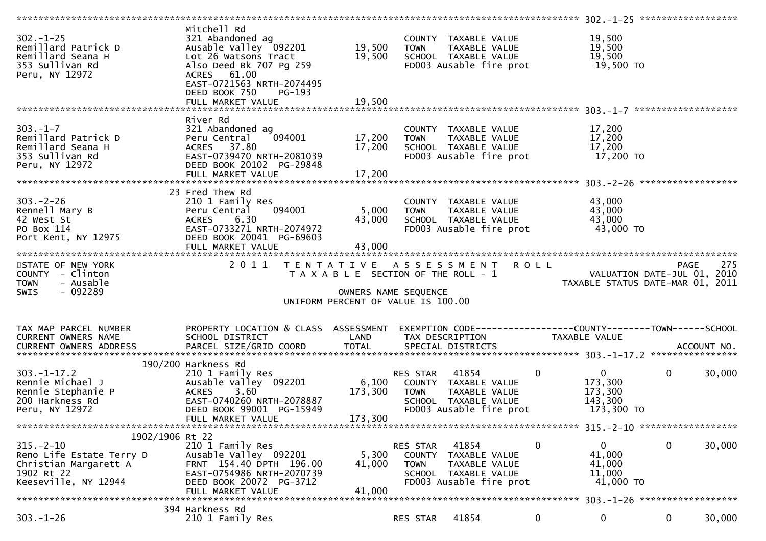| $302 - 1 - 25$<br>Remillard Patrick D<br>Remillard Seana H<br>353 Sullivan Rd<br>Peru, NY 12972            | Mitchell Rd<br>321 Abandoned ag<br>Ausable Valley 092201<br>Lot 26 Watsons Tract<br>Also Deed Bk 707 Pg 259<br>ACRES 61.00<br>EAST-0721563 NRTH-2074495<br>DEED BOOK 750<br>PG-193 | 19,500<br>19,500           | COUNTY TAXABLE VALUE<br><b>TOWN</b><br>SCHOOL TAXABLE VALUE<br>FD003 Ausable fire prot                      | TAXABLE VALUE                            | 19,500<br>19,500<br>19,500<br>19,500 TO                                       |                        |
|------------------------------------------------------------------------------------------------------------|------------------------------------------------------------------------------------------------------------------------------------------------------------------------------------|----------------------------|-------------------------------------------------------------------------------------------------------------|------------------------------------------|-------------------------------------------------------------------------------|------------------------|
|                                                                                                            |                                                                                                                                                                                    |                            |                                                                                                             |                                          |                                                                               |                        |
|                                                                                                            | River Rd                                                                                                                                                                           |                            |                                                                                                             |                                          |                                                                               |                        |
| $303. - 1 - 7$<br>Remillard Patrick D<br>Remillard Seana H<br>353 Sullivan Rd<br>Peru, NY 12972            | 321 Abandoned ag<br>094001<br>Peru Central<br>ACRES 37.80<br>EAST-0739470 NRTH-2081039<br>DEED BOOK 20102 PG-29848<br>FULL MARKET VALUE                                            | 17,200<br>17,200<br>17,200 | COUNTY TAXABLE VALUE<br><b>TOWN</b><br>SCHOOL TAXABLE VALUE                                                 | TAXABLE VALUE<br>FD003 Ausable fire prot | 17,200<br>17,200<br>17,200<br>17,200 TO                                       |                        |
|                                                                                                            | 23 Fred Thew Rd                                                                                                                                                                    |                            |                                                                                                             |                                          |                                                                               |                        |
| $303 - 2 - 26$<br>Rennell Mary B<br>42 West St<br>PO Box 114<br>Port Kent, NY 12975                        | 210 1 Family Res<br>094001<br>Peru Central<br>6.30<br><b>ACRES</b><br>EAST-0733271 NRTH-2074972<br>DEED BOOK 20041 PG-69603                                                        | 5,000<br>43,000            | COUNTY TAXABLE VALUE<br><b>TOWN</b><br>SCHOOL TAXABLE VALUE<br>FD003 Ausable fire prot                      | TAXABLE VALUE                            | 43,000<br>43,000<br>43,000<br>43,000 TO                                       |                        |
|                                                                                                            | FULL MARKET VALUE                                                                                                                                                                  | 43,000                     |                                                                                                             |                                          |                                                                               |                        |
| STATE OF NEW YORK                                                                                          | 2011                                                                                                                                                                               |                            |                                                                                                             |                                          |                                                                               | 275                    |
| COUNTY - Clinton<br><b>TOWN</b><br>- Ausable<br>- 092289<br>SWIS                                           |                                                                                                                                                                                    | OWNERS NAME SEQUENCE       | T A X A B L E SECTION OF THE ROLL - 1<br>UNIFORM PERCENT OF VALUE IS 100.00                                 | TENTATIVE ASSESSMENT ROLL                | PAGE 275<br>VALUATION DATE-JUL 01, 2010<br>TAXARLE STATUS DATE WALL 01, 2010  |                        |
| TAX MAP PARCEL NUMBER<br>CURRENT OWNERS NAME                                                               | PROPERTY LOCATION & CLASS ASSESSMENT<br>SCHOOL DISTRICT                                                                                                                            | LAND                       | TAX DESCRIPTION                                                                                             |                                          | EXEMPTION CODE-----------------COUNTY-------TOWN------SCHOOL<br>TAXABLE VALUE |                        |
| $303. -1 - 17.2$<br>Rennie Michael J<br>Rennie Stephanie P                                                 | 190/200 Harkness Rd<br>210 1 Family Res<br>Ausable Valley 092201<br>3.60<br><b>ACRES</b>                                                                                           | 6,100<br>173,300           | 41854<br>RES STAR<br>COUNTY TAXABLE VALUE<br><b>TOWN</b>                                                    | $\mathbf 0$<br>TAXABLE VALUE             | 0<br>173,300<br>173,300                                                       | $\mathbf{0}$<br>30,000 |
| 200 Harkness Rd<br>Peru, NY 12972                                                                          | EAST-0740260 NRTH-2078887<br>DEED BOOK 99001 PG-15949                                                                                                                              |                            | SCHOOL TAXABLE VALUE<br>FD003 Ausable fire prot                                                             |                                          | 143,300<br>173,300 TO                                                         |                        |
|                                                                                                            | FULL MARKET VALUE                                                                                                                                                                  | 173,300                    |                                                                                                             |                                          |                                                                               |                        |
| 1902/1906 Rt 22                                                                                            |                                                                                                                                                                                    |                            |                                                                                                             |                                          |                                                                               |                        |
| $315. - 2 - 10$<br>Reno Life Estate Terry D<br>Christian Margarett A<br>1902 Rt 22<br>Keeseville, NY 12944 | 210 1 Family Res<br>Ausable Valley 092201<br>FRNT 154.40 DPTH 196.00<br>EAST-0754986 NRTH-2070739<br>DEED BOOK 20072 PG-3712<br>FULL MARKET VALUE                                  | 5,300<br>41,000<br>41,000  | 41854<br>RES STAR<br>COUNTY TAXABLE VALUE<br><b>TOWN</b><br>SCHOOL TAXABLE VALUE<br>FD003 Ausable fire prot | $\bf{0}$<br>TAXABLE VALUE                | $\mathbf{0}$<br>41,000<br>41,000<br>11,000<br>41,000 TO                       | 30,000<br>0            |
|                                                                                                            | 394 Harkness Rd                                                                                                                                                                    |                            |                                                                                                             |                                          |                                                                               |                        |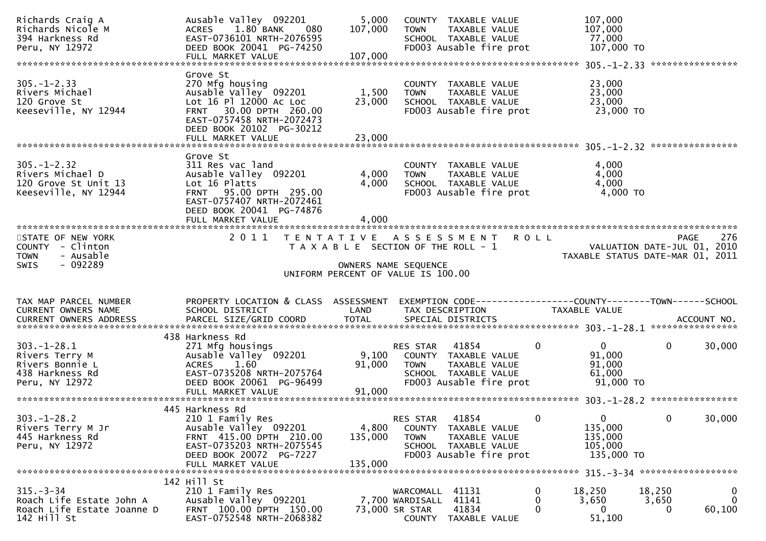| Richards Craig A<br>Richards Nicole M<br>394 Harkness Rd<br>Peru, NY 12972                                                                    | Ausable Valley 092201<br>1.80 BANK<br>080<br><b>ACRES</b><br>EAST-0736101 NRTH-2076595<br>DEED BOOK 20041 PG-74250<br>FULL MARKET VALUE                                                             | 5,000<br>107,000<br>107,000 | COUNTY TAXABLE VALUE<br>TAXABLE VALUE<br><b>TOWN</b><br>SCHOOL TAXABLE VALUE<br>FD003 Ausable fire prot                             | 107,000<br>107,000<br>77,000<br>107,000 TO                      |                                                                      |
|-----------------------------------------------------------------------------------------------------------------------------------------------|-----------------------------------------------------------------------------------------------------------------------------------------------------------------------------------------------------|-----------------------------|-------------------------------------------------------------------------------------------------------------------------------------|-----------------------------------------------------------------|----------------------------------------------------------------------|
| $305. - 1 - 2.33$<br>Rivers Michael<br>120 Grove St<br>Keeseville, NY 12944                                                                   | Grove St<br>270 Mfg housing<br>Ausable Valley <sup>-</sup> 092201<br>Lot 16 Pl 12000 Ac Loc<br>FRNT 30.00 DPTH 260.00<br>EAST-0757458 NRTH-2072473<br>DEED BOOK 20102 PG-30212<br>FULL MARKET VALUE | 1,500<br>23,000<br>23,000   | COUNTY TAXABLE VALUE<br>TAXABLE VALUE<br><b>TOWN</b><br>SCHOOL TAXABLE VALUE<br>FD003 Ausable fire prot                             | 23,000<br>23,000<br>23,000<br>23,000 TO                         |                                                                      |
| $305. - 1 - 2.32$<br>Rivers Michael D<br>120 Grove St Unit 13<br>Keeseville, NY 12944                                                         | Grove St<br>311 Res vac land<br>Ausable Valley 092201<br>Lot 16 Platts<br>FRNT 95.00 DPTH 295.00<br>EAST-0757407 NRTH-2072461<br>DEED BOOK 20041 PG-74876                                           | 4,000<br>4,000              | COUNTY TAXABLE VALUE<br>TAXABLE VALUE<br><b>TOWN</b><br>SCHOOL TAXABLE VALUE<br>FD003 Ausable fire prot                             | 4,000<br>4,000<br>4,000<br>4,000 TO                             |                                                                      |
| STATE OF NEW YORK<br>COUNTY - Clinton<br>- Ausable<br><b>TOWN</b><br>- 092289<br><b>SWIS</b>                                                  |                                                                                                                                                                                                     |                             | 2011 TENTATIVE ASSESSMENT<br>T A X A B L E SECTION OF THE ROLL - 1<br>OWNERS NAME SEQUENCE<br>UNIFORM PERCENT OF VALUE IS 100.00    | <b>ROLL</b><br>VALUATION DATE-JUL 01, 2010                      | 276<br>PAGE<br>TAXABLE STATUS DATE-MAR 01, 2011                      |
| TAX MAP PARCEL NUMBER<br>CURRENT OWNERS NAME<br>CURRENT OWNERS ADDRESS PARCEL SIZE/GRID COORD TOTAL SPECIAL DISTRICTS (2011) 1997 ACCOUNT NO. | PROPERTY LOCATION & CLASS ASSESSMENT<br>SCHOOL DISTRICT                                                                                                                                             | LAND                        | EXEMPTION CODE------------------COUNTY-------TOWN------SCHOOL<br>TAX DESCRIPTION                                                    | TAXABLE VALUE                                                   |                                                                      |
| $303.-1-28.1$<br>Rivers Terry M<br>Rivers Bonnie L<br>438 Harkness Rd<br>Peru, NY 12972                                                       | 438 Harkness Rd<br>271 Mfg housings<br>Ausable Valley 092201<br>1.60<br><b>ACRES</b><br>EAST-0735208 NRTH-2075764<br>DEED BOOK 20061 PG-96499                                                       | 9,100<br>91,000             | 41854<br>RES STAR<br>COUNTY TAXABLE VALUE<br>TAXABLE VALUE<br>TOWN<br>SCHOOL TAXABLE VALUE<br>FD003 Ausable fire prot               | 0<br>0<br>91,000<br>91,000<br>61,000<br>$91,000$ TO             | $\overline{0}$<br>30,000                                             |
| $303. - 1 - 28.2$<br>Rivers Terry M Jr<br>445 Harkness Rd<br>Peru, NY 12972                                                                   | 445 Harkness Rd<br>210 1 Family Res<br>Ausable Valley 092201<br>FRNT 415.00 DPTH 210.00<br>EAST-0735203 NRTH-2075545<br>DEED BOOK 20072 PG-7227<br>FULL MARKET VALUE                                | 4,800<br>135,000<br>135,000 | 41854<br><b>RES STAR</b><br>COUNTY TAXABLE VALUE<br>TAXABLE VALUE<br><b>TOWN</b><br>SCHOOL TAXABLE VALUE<br>FD003 Ausable fire prot | 0<br>$\Omega$<br>135,000<br>135,000<br>105,000<br>135,000 TO    | 30,000<br>$\mathbf{0}$                                               |
| $315. - 3 - 34$<br>Roach Life Estate John A<br>Roach Life Estate Joanne D<br>142 Hill St                                                      | 142 Hill St<br>210 1 Family Res<br>Ausable Valley 092201<br>FRNT 100.00 DPTH 150.00<br>EAST-0752548 NRTH-2068382                                                                                    |                             | WARCOMALL 41131<br>7,700 WARDISALL 41141<br>73,000 SR STAR<br>41834<br>COUNTY TAXABLE VALUE                                         | 0<br>18,250<br>0<br>3,650<br>$\Omega$<br>$\mathbf{0}$<br>51,100 | $\mathbf 0$<br>18,250<br>$\mathbf{0}$<br>3,650<br>60,100<br>$\Omega$ |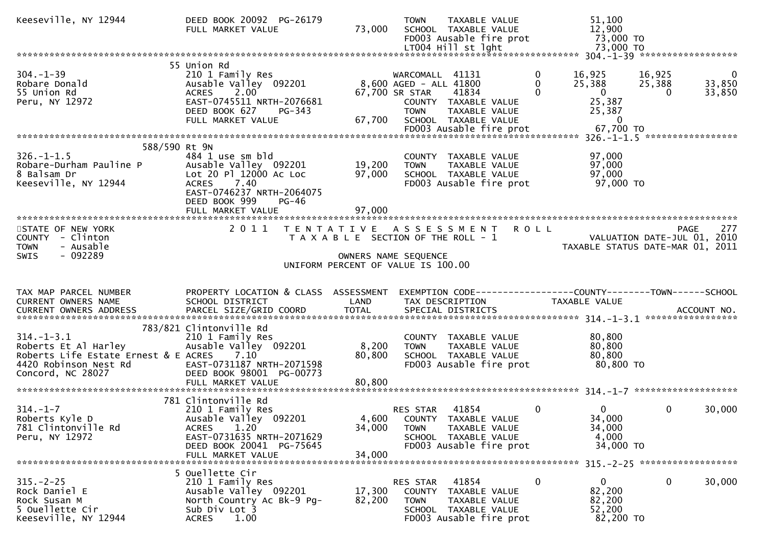|                                                                                                                                     | DEED BOOK 20092 PG-26179<br>FULL MARKET VALUE                                                                                                                   | 73,000                                                                      | <b>TOWN</b>                                                                | TAXABLE VALUE<br>SCHOOL TAXABLE VALUE<br>FD003 Ausable fire prot<br>LT004 Hill st lght                  |                           | 51,100<br>12,900<br>73,000 TO<br>73,000 TO                         |                       |                                    |
|-------------------------------------------------------------------------------------------------------------------------------------|-----------------------------------------------------------------------------------------------------------------------------------------------------------------|-----------------------------------------------------------------------------|----------------------------------------------------------------------------|---------------------------------------------------------------------------------------------------------|---------------------------|--------------------------------------------------------------------|-----------------------|------------------------------------|
|                                                                                                                                     |                                                                                                                                                                 |                                                                             |                                                                            |                                                                                                         |                           |                                                                    |                       |                                    |
| $304. - 1 - 39$<br>Robare Donald<br>55 Union Rd<br>Peru, NY 12972                                                                   | 55 Union Rd<br>210 1 Family Res<br>Ausable Valley 092201<br>ACRES 2.00<br>EAST-0745511 NRTH-2076681<br>DEED BOOK 627<br>PG-343<br>FULL MARKET VALUE             | 67,700                                                                      | WARCOMALL 41131<br>8,600 AGED - ALL 41800<br>67,700 SR STAR<br><b>TOWN</b> | 41834<br>COUNTY TAXABLE VALUE<br>TAXABLE VALUE<br>SCHOOL TAXABLE VALUE                                  | 0<br>$\Omega$<br>$\Omega$ | 16,925<br>25,388<br>$\overline{0}$<br>25,387<br>25,387<br>$\Omega$ | 16,925<br>25,388<br>0 | $\overline{0}$<br>33,850<br>33,850 |
|                                                                                                                                     |                                                                                                                                                                 |                                                                             |                                                                            |                                                                                                         |                           |                                                                    |                       |                                    |
| 588/590 Rt 9N<br>$326. - 1 - 1.5$<br>Robare-Durham Pauline P<br>8 Balsam Dr<br>Keeseville, NY 12944                                 | 484 1 use sm bld<br>Ausable Valley 092201<br>Lot 20 Pl 12000 Ac Loc<br>ACRES 7.40<br>EAST-0746237 NRTH-2064075<br>DEED BOOK 999<br>$PG-46$<br>FULL MARKET VALUE | 19,200<br>97,000<br>97,000                                                  | <b>TOWN</b>                                                                | COUNTY TAXABLE VALUE<br>TAXABLE VALUE<br>SCHOOL TAXABLE VALUE<br>FD003 Ausable fire prot                |                           | 97,000<br>97,000<br>97,000<br>97,000 TO                            |                       |                                    |
| STATE OF NEW YORK                                                                                                                   | 2 0 1 1                                                                                                                                                         |                                                                             |                                                                            | TENTATIVE ASSESSMENT                                                                                    | <b>ROLL</b>               |                                                                    | <b>PAGE</b>           | 277                                |
| COUNTY - Clinton<br>- Ausable<br><b>TOWN</b><br>SWIS<br>- 092289                                                                    |                                                                                                                                                                 | T A X A B L E SECTION OF THE ROLL - 1<br>UNIFORM PERCENT OF VALUE IS 100.00 | OWNERS NAME SEQUENCE                                                       |                                                                                                         |                           | VALUATION DATE-JUL 01, 2010<br>TAXABLE STATUS DATE-MAR 01, 2011    |                       |                                    |
|                                                                                                                                     |                                                                                                                                                                 |                                                                             |                                                                            |                                                                                                         |                           |                                                                    |                       |                                    |
| TAX MAP PARCEL NUMBER<br>CURRENT OWNERS NAME                                                                                        | PROPERTY LOCATION & CLASS ASSESSMENT<br>SCHOOL DISTRICT                                                                                                         | LAND                                                                        | TAX DESCRIPTION                                                            | EXEMPTION CODE------------------COUNTY--------TOWN------SCHOOL                                          |                           | TAXABLE VALUE                                                      |                       |                                    |
| CURRENT OWNERS ADDRESS                                                                                                              |                                                                                                                                                                 |                                                                             |                                                                            |                                                                                                         |                           |                                                                    |                       |                                    |
|                                                                                                                                     |                                                                                                                                                                 |                                                                             |                                                                            |                                                                                                         |                           |                                                                    |                       |                                    |
| $314. - 1 - 3.1$<br>Roberts Et Al Harley<br>Roberts Life Estate Ernest & E ACRES 7.10<br>4420 Robinson Nest Rd<br>Concord, NC 28027 | 783/821 Clintonville Rd<br>210 1 Family Res<br>Ausable Valley 092201<br>EAST-0731187 NRTH-2071598<br>DEED BOOK 98001 PG-00773<br>FULL MARKET VALUE              | 8,200<br>80,800<br>80,800                                                   | <b>TOWN</b>                                                                | COUNTY TAXABLE VALUE<br>TAXABLE VALUE<br>SCHOOL TAXABLE VALUE<br>FD003 Ausable fire prot                |                           | 80,800<br>80,800<br>80,800<br>80,800 TO                            |                       |                                    |
|                                                                                                                                     |                                                                                                                                                                 |                                                                             |                                                                            |                                                                                                         |                           |                                                                    |                       |                                    |
| $314. - 1 - 7$<br>Roberts Kyle D<br>781 Clintonville Rd<br>Peru, NY 12972                                                           | 781 Clintonville Rd<br>210 1 Family Res<br>Ausable Valley 092201<br>$1.20^{7}$<br><b>ACRES</b><br>EAST-0731635 NRTH-2071629<br>DEED BOOK 20041 PG-75645         | 34,000                                                                      | RES STAR<br><b>TOWN</b>                                                    | 41854<br>4,600 COUNTY TAXABLE VALUE<br>TAXABLE VALUE<br>SCHOOL TAXABLE VALUE<br>FD003 Ausable fire prot | $\mathbf{0}$              | $\Omega$<br>34,000<br>34,000<br>4,000<br>34,000 TO                 | $\mathbf{0}$          | 30,000                             |
|                                                                                                                                     | FULL MARKET VALUE<br>5 Ouellette Cir                                                                                                                            | 34,000                                                                      |                                                                            |                                                                                                         |                           |                                                                    |                       |                                    |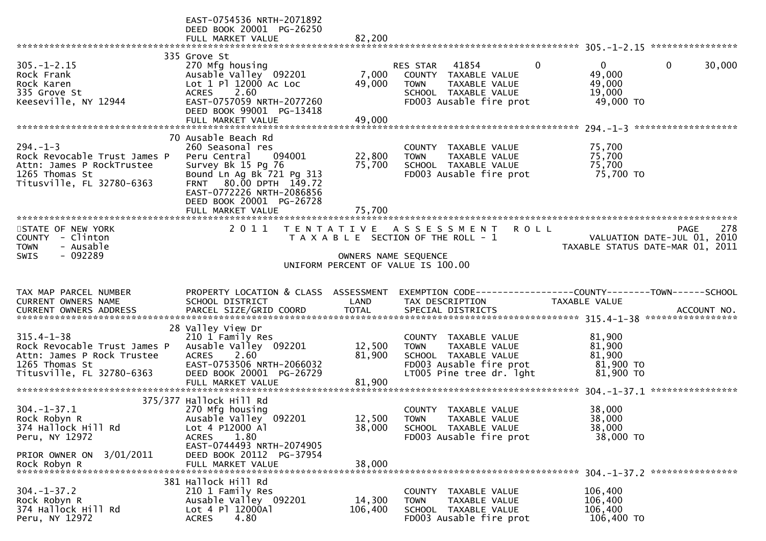|                                                                                                                               | EAST-0754536 NRTH-2071892<br>DEED BOOK 20001 PG-26250<br>FULL MARKET VALUE                                                                                                                                        | 82,200           |                                                                                                                                              |                                                                                 |
|-------------------------------------------------------------------------------------------------------------------------------|-------------------------------------------------------------------------------------------------------------------------------------------------------------------------------------------------------------------|------------------|----------------------------------------------------------------------------------------------------------------------------------------------|---------------------------------------------------------------------------------|
|                                                                                                                               |                                                                                                                                                                                                                   |                  |                                                                                                                                              |                                                                                 |
| $305. - 1 - 2.15$<br>Rock Frank<br>Rock Karen<br>335 Grove St<br>Keeseville, NY 12944                                         | 335 Grove St<br>270 Mfg housing<br>Ausable Valley 092201<br>Lot 1 Pl 12000 Ac Loc<br>2.60<br><b>ACRES</b><br>EAST-0757059 NRTH-2077260<br>DEED BOOK 99001 PG-13418                                                | 7,000<br>49,000  | $\mathbf{0}$<br>41854<br>RES STAR<br>COUNTY TAXABLE VALUE<br><b>TOWN</b><br>TAXABLE VALUE<br>SCHOOL TAXABLE VALUE<br>FD003 Ausable fire prot | 30,000<br>0 <sup>1</sup><br>0<br>49,000<br>49,000<br>19,000<br>49,000 TO        |
|                                                                                                                               | FULL MARKET VALUE                                                                                                                                                                                                 | 49,000           |                                                                                                                                              |                                                                                 |
| $294. - 1 - 3$<br>Rock Revocable Trust James P<br>Attn: James P RockTrustee<br>1265 Thomas St<br>Titusville, FL 32780-6363    | 70 Ausable Beach Rd<br>260 Seasonal res<br>Peru Central<br>094001<br>Survey Bk 15 Pg 76<br>Bound Ln Ag Bk 721 Pg 313<br>80.00 DPTH 149.72<br><b>FRNT</b><br>EAST-0772226 NRTH-2086856<br>DEED BOOK 20001 PG-26728 | 22,800<br>75,700 | COUNTY TAXABLE VALUE<br><b>TOWN</b><br>TAXABLE VALUE<br>SCHOOL TAXABLE VALUE<br>FD003 Ausable fire prot                                      | 75,700<br>75,700<br>75,700<br>75,700 TO                                         |
|                                                                                                                               | FULL MARKET VALUE                                                                                                                                                                                                 | 75,700           |                                                                                                                                              |                                                                                 |
| STATE OF NEW YORK<br>- Clinton<br>COUNTY<br>- Ausable<br><b>TOWN</b>                                                          | 2011<br>T E N T A T I V E                                                                                                                                                                                         |                  | A S S E S S M E N T<br><b>ROLL</b><br>T A X A B L E SECTION OF THE ROLL - 1                                                                  | 278<br>PAGE<br>VALUATION DATE-JUL 01, 2010<br>TAXABLE STATUS DATE-MAR 01, 2011  |
| $-092289$<br><b>SWIS</b>                                                                                                      |                                                                                                                                                                                                                   |                  | OWNERS NAME SEQUENCE                                                                                                                         |                                                                                 |
|                                                                                                                               |                                                                                                                                                                                                                   |                  | UNIFORM PERCENT OF VALUE IS 100.00                                                                                                           |                                                                                 |
| TAX MAP PARCEL NUMBER                                                                                                         |                                                                                                                                                                                                                   |                  |                                                                                                                                              |                                                                                 |
| CURRENT OWNERS NAME                                                                                                           | PROPERTY LOCATION & CLASS ASSESSMENT<br>SCHOOL DISTRICT                                                                                                                                                           | LAND             | TAX DESCRIPTION                                                                                                                              | EXEMPTION CODE------------------COUNTY--------TOWN------SCHOOL<br>TAXABLE VALUE |
| <b>CURRENT OWNERS ADDRESS</b>                                                                                                 | PARCEL SIZE/GRID COORD                                                                                                                                                                                            | <b>TOTAL</b>     | SPECIAL DISTRICTS                                                                                                                            | ACCOUNT NO.                                                                     |
| $315.4 - 1 - 38$<br>Rock Revocable Trust James P<br>Attn: James P Rock Trustee<br>1265 Thomas St<br>Titusville, FL 32780-6363 | 28 Valley View Dr<br>210 1 Family Res<br>Ausable Valley 092201<br>2.60<br><b>ACRES</b><br>EAST-0753506 NRTH-2066032<br>DEED BOOK 20001 PG-26729                                                                   | 12,500<br>81,900 | COUNTY TAXABLE VALUE<br>TAXABLE VALUE<br><b>TOWN</b><br>SCHOOL TAXABLE VALUE<br>FD003 Ausable fire prot<br>LT005 Pine tree dr. 1ght          | 81,900<br>81,900<br>81,900<br>81,900 то<br>81,900 TO                            |
|                                                                                                                               | FULL MARKET VALUE                                                                                                                                                                                                 | 81,900           |                                                                                                                                              |                                                                                 |
| $304. - 1 - 37.1$<br>Rock Robyn R<br>374 Hallock Hill Rd<br>Peru, NY 12972                                                    | 375/377 Hallock Hill Rd<br>270 Mfg housing<br>Ausable Valley 092201<br>Lot 4 P12000 Al<br>1.80<br><b>ACRES</b><br>EAST-0744493 NRTH-2074905                                                                       | 38,000           | COUNTY TAXABLE VALUE<br>12,500 TOWN<br>TAXABLE VALUE<br>SCHOOL TAXABLE VALUE<br>FD003 Ausable fire prot                                      | 38,000<br>38,000<br>38,000<br>38,000 TO                                         |
| PRIOR OWNER ON 3/01/2011<br>Rock Robyn R                                                                                      | DEED BOOK 20112 PG-37954<br>FULL MARKET VALUE<br>381 Hallock Hill Rd                                                                                                                                              | 38,000           |                                                                                                                                              |                                                                                 |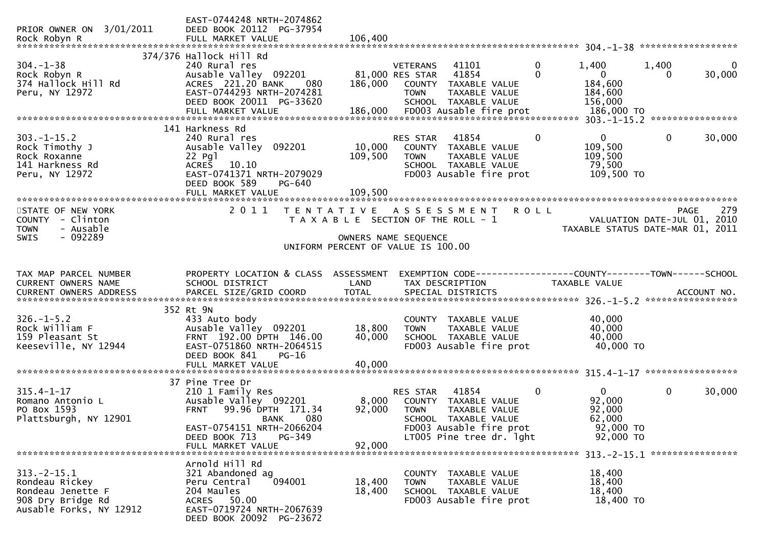| PRIOR OWNER ON 3/01/2011<br>Rock Robyn R                                                                | EAST-0744248 NRTH-2074862<br>DEED BOOK 20112 PG-37954<br>FULL MARKET VALUE                                                                                   | 106,400                    |                                                                                                                                                         |                  |                                                            | ******************                         |                       |
|---------------------------------------------------------------------------------------------------------|--------------------------------------------------------------------------------------------------------------------------------------------------------------|----------------------------|---------------------------------------------------------------------------------------------------------------------------------------------------------|------------------|------------------------------------------------------------|--------------------------------------------|-----------------------|
|                                                                                                         | 374/376 Hallock Hill Rd                                                                                                                                      |                            |                                                                                                                                                         |                  |                                                            |                                            |                       |
| $304. - 1 - 38$<br>Rock Robyn R<br>374 Hallock Hill Rd<br>Peru, NY 12972                                | 240 Rural res<br>Ausable Valley 092201<br>ACRES 221.20 BANK<br>080<br>EAST-0744293 NRTH-2074281<br>DEED BOOK 20011 PG-33620                                  | 186,000                    | <b>VETERANS</b><br>41101<br>41854<br>81,000 RES STAR<br>COUNTY<br>TAXABLE VALUE<br><b>TOWN</b><br>TAXABLE VALUE<br>SCHOOL TAXABLE VALUE                 | $\mathbf 0$<br>0 | 1,400<br>$\overline{0}$<br>184,600<br>184,600<br>156,000   | 1,400<br>$\Omega$                          | $\mathbf 0$<br>30,000 |
|                                                                                                         |                                                                                                                                                              |                            |                                                                                                                                                         |                  |                                                            |                                            |                       |
| $303. -1 - 15.2$<br>Rock Timothy J<br>Rock Roxanne<br>141 Harkness Rd<br>Peru, NY 12972                 | 141 Harkness Rd<br>240 Rural res<br>Ausable Valley 092201<br>22 Pg1<br><b>ACRES</b><br>10.10<br>EAST-0741371 NRTH-2079029<br>DEED BOOK 589<br>PG-640         | 10,000<br>109,500          | RES STAR<br>41854<br>COUNTY TAXABLE VALUE<br><b>TOWN</b><br>TAXABLE VALUE<br>SCHOOL TAXABLE VALUE<br>FD003 Ausable fire prot                            | 0                | $\mathbf{0}$<br>109,500<br>109,500<br>79,500<br>109,500 TO | $\mathbf 0$                                | 30,000                |
|                                                                                                         | FULL MARKET VALUE                                                                                                                                            | 109,500                    |                                                                                                                                                         |                  |                                                            |                                            |                       |
| STATE OF NEW YORK<br>COUNTY - Clinton<br>- Ausable<br><b>TOWN</b><br>$-092289$<br><b>SWIS</b>           | 2011                                                                                                                                                         | T E N T A T I V E          | A S S E S S M E N T<br>T A X A B L E SECTION OF THE ROLL - 1<br>OWNERS NAME SEQUENCE                                                                    | <b>ROLL</b>      | TAXABLE STATUS DATE-MAR 01, 2011                           | <b>PAGE</b><br>VALUATION DATE-JUL 01, 2010 | 279                   |
|                                                                                                         |                                                                                                                                                              |                            | UNIFORM PERCENT OF VALUE IS 100.00                                                                                                                      |                  |                                                            |                                            |                       |
| TAX MAP PARCEL NUMBER<br>CURRENT OWNERS NAME<br>CURRENT OWNERS ADDRESS                                  | PROPERTY LOCATION & CLASS ASSESSMENT<br>SCHOOL DISTRICT<br>PARCEL SIZE/GRID COORD                                                                            | LAND<br><b>TOTAL</b>       | TAX DESCRIPTION<br>SPECIAL DISTRICTS                                                                                                                    |                  | TAXABLE VALUE                                              | ACCOUNT NO.                                |                       |
| $326. - 1 - 5.2$<br>Rock William F<br>159 Pleasant St<br>Keeseville, NY 12944                           | 352 Rt 9N<br>433 Auto body<br>Ausable Valley 092201<br>FRNT 192.00 DPTH 146.00<br>EAST-0751860 NRTH-2064515<br>DEED BOOK 841<br>PG-16<br>FULL MARKET VALUE   | 18,800<br>40,000<br>40,000 | COUNTY TAXABLE VALUE<br>TAXABLE VALUE<br><b>TOWN</b><br>SCHOOL TAXABLE VALUE<br>FD003 Ausable fire prot                                                 |                  | 40,000<br>40,000<br>40,000<br>40,000 TO                    |                                            |                       |
|                                                                                                         |                                                                                                                                                              |                            |                                                                                                                                                         |                  |                                                            |                                            |                       |
| $315.4 - 1 - 17$<br>Romano Antonio L<br>PO Box 1593<br>Plattsburgh, NY 12901                            | 37 Pine Tree Dr<br>210 1 Family Res<br>Ausable Valley 092201<br>99.96 DPTH 171.34<br><b>FRNT</b><br>080<br><b>BANK</b><br>EAST-0754151 NRTH-2066204          | 8,000<br>92,000            | RES STAR<br>41854<br>COUNTY<br><b>TAXABLE VALUE</b><br><b>TOWN</b><br><b>TAXABLE VALUE</b><br><b>SCHOOL</b><br>TAXABLE VALUE<br>FD003 Ausable fire prot | 0                | 0<br>92,000<br>92,000<br>62,000<br>92,000 TO               | $\mathbf 0$                                | 30,000                |
|                                                                                                         | DEED BOOK 713<br>PG-349<br>FULL MARKET VALUE                                                                                                                 | 92,000                     | LT005 Pine tree dr. 1ght                                                                                                                                |                  | 92,000 TO<br>313. - 2 - 15. 1 *****************            |                                            |                       |
| $313 - 2 - 15.1$<br>Rondeau Rickey<br>Rondeau Jenette F<br>908 Dry Bridge Rd<br>Ausable Forks, NY 12912 | Arnold Hill Rd<br>321 Abandoned ag<br>094001<br>Peru Central<br>204 Maules<br>50.00<br><b>ACRES</b><br>EAST-0719724 NRTH-2067639<br>DEED BOOK 20092 PG-23672 | 18,400<br>18,400           | COUNTY TAXABLE VALUE<br>TAXABLE VALUE<br><b>TOWN</b><br>SCHOOL TAXABLE VALUE<br>FD003 Ausable fire prot                                                 |                  | 18,400<br>18,400<br>18,400<br>18,400 TO                    |                                            |                       |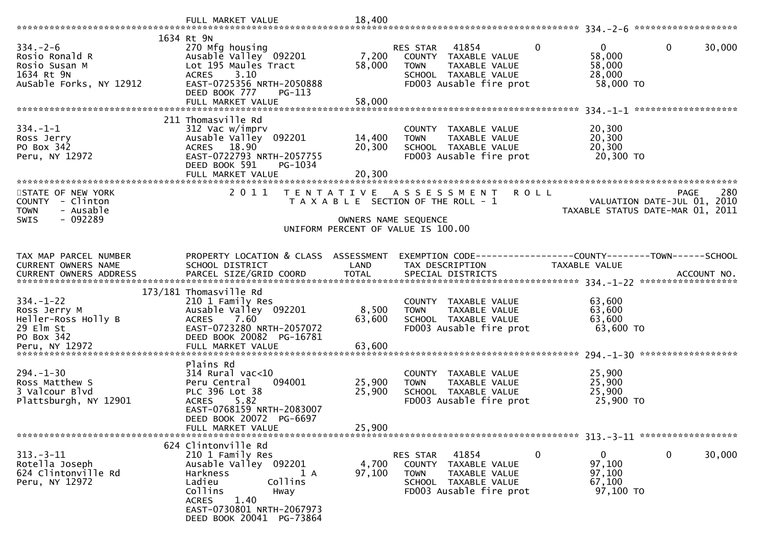|                                                                                                     | FULL MARKET VALUE                                                                                                                                                                                            | 18,400                     |                                                                                                                                             |                                                                                |        |
|-----------------------------------------------------------------------------------------------------|--------------------------------------------------------------------------------------------------------------------------------------------------------------------------------------------------------------|----------------------------|---------------------------------------------------------------------------------------------------------------------------------------------|--------------------------------------------------------------------------------|--------|
| $334. - 2 - 6$<br>Rosio Ronald R<br>Rosio Susan M<br>1634 Rt 9N<br>AuSable Forks, NY 12912          | 1634 Rt 9N<br>270 Mfg housing<br>Ausable Valley 092201<br>Lot 195 Maules Tract<br>ACRES 3.10<br>EAST-0725356 NRTH-2050888<br>DEED BOOK 777<br>PG-113<br>FULL MARKET VALUE                                    | 7,200<br>58,000<br>58,000  | $\Omega$<br>RES STAR<br>41854<br>COUNTY TAXABLE VALUE<br><b>TOWN</b><br>TAXABLE VALUE<br>SCHOOL TAXABLE VALUE<br>FD003 Ausable fire prot    | $\mathbf{0}$<br>$\mathbf{0}$<br>58,000<br>58,000<br>28,000<br>58,000 TO        | 30,000 |
| $334. - 1 - 1$<br>Ross Jerry<br>PO Box 342<br>Peru, NY 12972                                        | 211 Thomasville Rd<br>312 Vac w/imprv<br>Ausable Valley 092201<br>ACRES 18.90<br>EAST-0722793 NRTH-2057755<br>DEED BOOK 591<br>PG-1034<br>FULL MARKET VALUE<br>***************************                   | 14,400<br>20,300<br>20,300 | COUNTY TAXABLE VALUE<br><b>TOWN</b><br>TAXABLE VALUE<br>SCHOOL TAXABLE VALUE<br>FD003 Ausable fire prot                                     | 20,300<br>20,300<br>20,300<br>20,300 TO                                        |        |
| STATE OF NEW YORK<br>COUNTY - Clinton<br>- Ausable<br><b>TOWN</b><br>$-092289$<br>SWIS              | 2011                                                                                                                                                                                                         | OWNERS NAME SEQUENCE       | TENTATIVE ASSESSMENT<br><b>ROLL</b><br>T A X A B L E SECTION OF THE ROLL - 1<br>UNIFORM PERCENT OF VALUE IS 100.00                          | <b>PAGE</b><br>VALUATION DATE-JUL 01, 2010<br>TAXABLE STATUS DATE-MAR 01, 2011 | 280    |
| TAX MAP PARCEL NUMBER<br>CURRENT OWNERS NAME<br>CURRENT OWNERS ADDRESS                              | PROPERTY LOCATION & CLASS ASSESSMENT<br>SCHOOL DISTRICT                                                                                                                                                      | LAND                       | TAX DESCRIPTION                                                                                                                             | EXEMPTION CODE-----------------COUNTY-------TOWN-----SCHOOL<br>TAXABLE VALUE   |        |
| $334. - 1 - 22$<br>Ross Jerry M<br>Heller-Ross Holly B<br>29 Elm St<br>PO Box 342<br>Peru, NY 12972 | 173/181 Thomasville Rd<br>210 1 Family Res<br>Ausable Valley 092201<br>7.60<br><b>ACRES</b><br>EAST-0723280 NRTH-2057072<br>DEED BOOK 20082 PG-16781<br>FULL MARKET VALUE                                    | 8,500<br>63,600<br>63,600  | COUNTY TAXABLE VALUE<br>TAXABLE VALUE<br><b>TOWN</b><br>SCHOOL TAXABLE VALUE<br>FD003 Ausable fire prot                                     | 63,600<br>63,600<br>63,600<br>63,600 TO                                        |        |
| $294. - 1 - 30$<br>Ross Matthew S<br>3 Valcour Blvd<br>Plattsburgh, NY 12901                        | Plains Rd<br>$314$ Rural vac<10<br>Peru Central<br>094001<br>PLC 396 Lot 38<br>5.82<br><b>ACRES</b><br>EAST-0768159 NRTH-2083007<br>DEED BOOK 20072 PG-6697<br>FULL MARKET VALUE                             | 25,900<br>25,900<br>25,900 | COUNTY TAXABLE VALUE<br>TAXABLE VALUE<br><b>TOWN</b><br>SCHOOL TAXABLE VALUE<br>FD003 Ausable fire prot                                     | 25,900<br>25,900<br>25,900<br>25,900 TO                                        |        |
| $313 - 3 - 11$<br>Rotella Joseph<br>624 Clintonville Rd<br>Peru, NY 12972                           | 624 Clintonville Rd<br>210 1 Family Res<br>Ausable Valley 092201<br>Harkness<br>1 A<br>Collins<br>Ladieu<br>Collins<br>Hway<br><b>ACRES</b><br>1.40<br>EAST-0730801 NRTH-2067973<br>DEED BOOK 20041 PG-73864 | 4,700<br>97,100            | 41854<br>$\mathbf 0$<br>RES STAR<br>COUNTY TAXABLE VALUE<br>TAXABLE VALUE<br><b>TOWN</b><br>SCHOOL TAXABLE VALUE<br>FD003 Ausable fire prot | $\mathbf 0$<br>$\overline{0}$<br>97,100<br>97,100<br>67,100<br>97,100 TO       | 30,000 |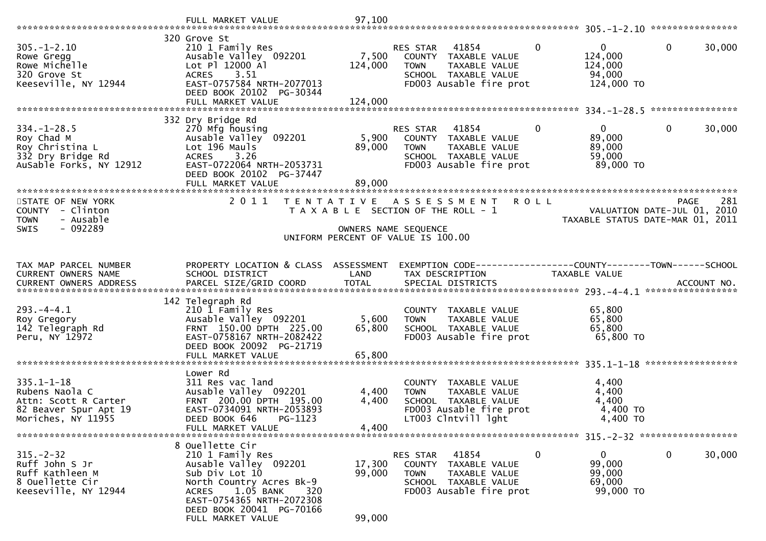| $305. - 1 - 2.10$<br>Rowe Gregg<br>Rowe Michelle<br>320 Grove St<br>Keeseville, NY 12944                  | 320 Grove St<br>210 1 Family Res<br>Ausable Valley 092201<br>Lot Pl 12000 Al<br>ACRES 3.51<br>EAST-0757584 NRTH-2077013<br>DEED BOOK 20102 PG-30344                    | 7,500<br>124,000          | 41854<br>RES STAR<br>COUNTY TAXABLE VALUE<br><b>TOWN</b><br>TAXABLE VALUE<br>SCHOOL TAXABLE VALUE<br>FD003 Ausable fire prot             | $\mathbf{0}$<br>$\mathbf{0}$<br>124,000<br>124,000<br>94,000<br>124,000 TO | $\mathbf{0}$<br>30,000                                                                |
|-----------------------------------------------------------------------------------------------------------|------------------------------------------------------------------------------------------------------------------------------------------------------------------------|---------------------------|------------------------------------------------------------------------------------------------------------------------------------------|----------------------------------------------------------------------------|---------------------------------------------------------------------------------------|
|                                                                                                           | FULL MARKET VALUE                                                                                                                                                      | 124,000                   |                                                                                                                                          |                                                                            | ****************                                                                      |
| $334. - 1 - 28.5$<br>Roy Chad M<br>Roy Christina L<br>332 Dry Bridge Rd<br>AuSable Forks, NY 12912        | 332 Dry Bridge Rd<br>270 Mfg housing<br>Ausable Valley 092201<br>Lot 196 Mauls<br>3.26<br><b>ACRES</b><br>EAST-0722064 NRTH-2053731<br>DEED BOOK 20102 PG-37447        | 5,900<br>89,000           | RES STAR 41854<br>COUNTY TAXABLE VALUE<br><b>TOWN</b><br>TAXABLE VALUE<br>SCHOOL TAXABLE VALUE<br>FD003 Ausable fire prot                | $\overline{0}$<br>$\mathbf{0}$<br>89,000<br>89,000<br>59,000<br>89,000 TO  | $\mathbf{0}$<br>30,000                                                                |
|                                                                                                           | FULL MARKET VALUE                                                                                                                                                      | 89,000                    |                                                                                                                                          |                                                                            |                                                                                       |
| STATE OF NEW YORK<br>COUNTY - Clinton<br><b>TOWN</b><br>- Ausable<br>$-092289$<br><b>SWIS</b>             | 2 0 1 1                                                                                                                                                                |                           | TENTATIVE ASSESSMENT ROLL<br>T A X A B L E SECTION OF THE ROLL - 1                                                                       |                                                                            | 281<br><b>PAGE</b><br>VALUATION DATE-JUL 01, 2010<br>TAXABLE STATUS DATE-MAR 01, 2011 |
|                                                                                                           |                                                                                                                                                                        |                           | OWNERS NAME SEQUENCE<br>UNIFORM PERCENT OF VALUE IS 100.00                                                                               |                                                                            |                                                                                       |
|                                                                                                           |                                                                                                                                                                        |                           |                                                                                                                                          |                                                                            |                                                                                       |
| TAX MAP PARCEL NUMBER<br>CURRENT OWNERS NAME                                                              | PROPERTY LOCATION & CLASS ASSESSMENT<br>SCHOOL DISTRICT                                                                                                                | LAND                      | EXEMPTION CODE-----------------COUNTY-------TOWN------SCHOOL<br>TAX DESCRIPTION                                                          | TAXABLE VALUE                                                              |                                                                                       |
| $293. -4 - 4.1$<br>Roy Gregory<br>142 Telegraph Rd<br>Peru, NY 12972                                      | 142 Telegraph Rd<br>210 1 Family Res<br>Ausable Valley 092201<br>FRNT 150.00 DPTH 225.00<br>EAST-0758167 NRTH-2082422<br>DEED BOOK 20092 PG-21719<br>FULL MARKET VALUE | 5,600<br>65,800<br>65,800 | COUNTY TAXABLE VALUE<br>TAXABLE VALUE<br><b>TOWN</b><br>SCHOOL TAXABLE VALUE<br>FD003 Ausable fire prot                                  | 65,800<br>65,800<br>65,800<br>65,800 TO                                    |                                                                                       |
|                                                                                                           | Lower Rd                                                                                                                                                               |                           |                                                                                                                                          |                                                                            |                                                                                       |
| $335.1 - 1 - 18$<br>Rubens Naola C<br>Attn: Scott R Carter<br>82 Beaver Spur Apt 19<br>Moriches, NY 11955 | 311 Res vac land<br>Ausable Valley 092201<br>FRNT 200.00 DPTH 195.00<br>EAST-0734091 NRTH-2053893<br>DEED BOOK 646<br>PG-1123<br>FULL MARKET VALUE                     | 4,400<br>4,400<br>4,400   | <b>COUNTY</b><br>TAXABLE VALUE<br>TAXABLE VALUE<br><b>TOWN</b><br>SCHOOL TAXABLE VALUE<br>FD003 Ausable fire prot<br>LT003 Clntvill lght | 4,400<br>4,400<br>4,400<br>4,400 TO<br>4,400 TO                            |                                                                                       |
|                                                                                                           |                                                                                                                                                                        |                           |                                                                                                                                          |                                                                            |                                                                                       |
| $315. - 2 - 32$<br>Ruff John S Jr<br>Ruff Kathleen M<br>8 Ouellette Cir<br>Keeseville, NY 12944           | 8 Ouellette Cir<br>210 1 Family Res<br>Ausable Valley 092201<br>Sub Div Lot 10<br>North Country Acres Bk-9<br>1.05 BANK<br>320<br>ACRES<br>EAST-0754365 NRTH-2072308   | 17,300<br>99,000          | RES STAR<br>41854<br>TAXABLE VALUE<br><b>COUNTY</b><br><b>TOWN</b><br>TAXABLE VALUE<br>SCHOOL TAXABLE VALUE<br>FD003 Ausable fire prot   | $\mathbf 0$<br>$\mathbf{0}$<br>99,000<br>99,000<br>69,000<br>99,000 TO     | $\mathbf 0$<br>30,000                                                                 |
|                                                                                                           | DEED BOOK 20041 PG-70166<br>FULL MARKET VALUE                                                                                                                          | 99,000                    |                                                                                                                                          |                                                                            |                                                                                       |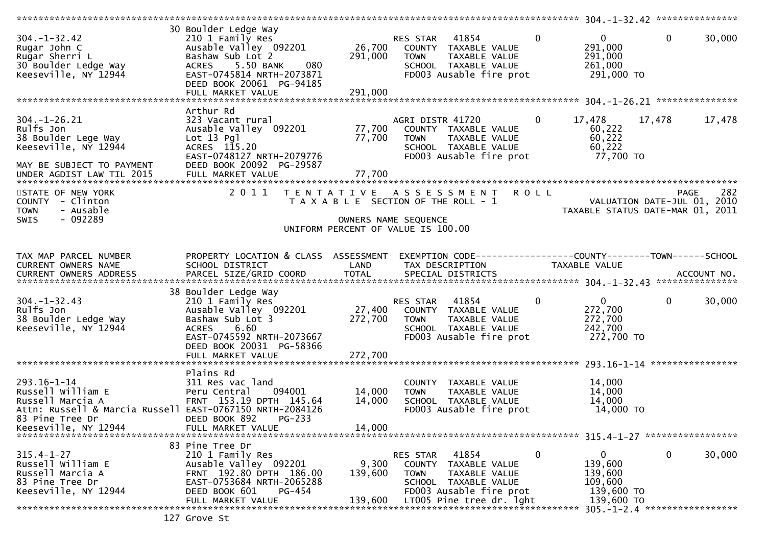| $304. - 1 - 32.42$<br>Rugar John C<br>Rugar Sherri L<br>30 Boulder Ledge Way<br>Keeseville, NY 12944                                     | 30 Boulder Ledge Way<br>210 1 Family Res<br>Ausable Valley 092201<br>Bashaw Sub Lot 2<br>ACRES 5.50 BANK<br>080<br>EAST-0745814 NRTH-2073871<br>DEED BOOK 20061 PG-94185<br>FULL MARKET VALUE | 26,700<br>291,000<br>291,000 | RES STAR 41854<br>COUNTY TAXABLE VALUE<br><b>TOWN</b><br>TAXABLE VALUE<br>SCHOOL TAXABLE VALUE<br>FD003 Ausable fire prot                                   | $\overline{0}$<br>$\Omega$<br>291,000<br>291,000<br>261,000<br>291,000 TO      | $\mathbf{0}$<br>30,000                                                                |
|------------------------------------------------------------------------------------------------------------------------------------------|-----------------------------------------------------------------------------------------------------------------------------------------------------------------------------------------------|------------------------------|-------------------------------------------------------------------------------------------------------------------------------------------------------------|--------------------------------------------------------------------------------|---------------------------------------------------------------------------------------|
|                                                                                                                                          |                                                                                                                                                                                               |                              |                                                                                                                                                             |                                                                                |                                                                                       |
| $304. - 1 - 26.21$<br>Rulfs Jon<br>38 Boulder Lege Way<br>Keeseville, NY 12944<br>MAY BE SUBJECT TO PAYMENT<br>UNDER AGDIST LAW TIL 2015 | Arthur Rd<br>323 Vacant rural<br>Ausable Valley 092201<br>Lot 13 Pgl<br>ACRES 115.20<br>EAST-0748127 NRTH-2079776<br>DEED BOOK 20092 PG-29587                                                 | 77,700<br>77,700<br>77,700   | AGRI DISTR 41720<br>COUNTY TAXABLE VALUE<br><b>TOWN</b><br>TAXABLE VALUE<br>SCHOOL TAXABLE VALUE<br>FD003 Ausable fire prot                                 | $\overline{0}$<br>17,478<br>60,222<br>60,222<br>60,222<br>77,700 TO            | 17,478<br>17,478                                                                      |
| STATE OF NEW YORK<br>COUNTY - Clinton<br><b>TOWN</b><br>- Ausable<br>- 092289<br>SWIS                                                    | 2011                                                                                                                                                                                          |                              | TENTATIVE ASSESSMENT ROLL<br>T A X A B L E SECTION OF THE ROLL - 1<br>OWNERS NAME SEQUENCE                                                                  |                                                                                | 282<br><b>PAGE</b><br>VALUATION DATE-JUL 01, 2010<br>TAXABLE STATUS DATE-MAR 01, 2011 |
|                                                                                                                                          |                                                                                                                                                                                               |                              | UNIFORM PERCENT OF VALUE IS 100.00                                                                                                                          |                                                                                |                                                                                       |
|                                                                                                                                          |                                                                                                                                                                                               |                              |                                                                                                                                                             |                                                                                |                                                                                       |
| TAX MAP PARCEL NUMBER<br>CURRENT OWNERS NAME                                                                                             | PROPERTY LOCATION & CLASS ASSESSMENT<br>SCHOOL DISTRICT                                                                                                                                       | LAND                         | EXEMPTION CODE-----------------COUNTY-------TOWN------SCHOOL<br>TAX DESCRIPTION                                                                             | TAXABLE VALUE                                                                  |                                                                                       |
|                                                                                                                                          | 38 Boulder Ledge Way                                                                                                                                                                          |                              |                                                                                                                                                             |                                                                                |                                                                                       |
| $304. - 1 - 32.43$<br>Rulfs Jon<br>38 Boulder Ledge Way<br>Keeseville, NY 12944                                                          | 210 1 Family Res<br>Ausable Valley 092201<br>Bashaw Sub Lot 3<br>6.60<br><b>ACRES</b><br>EAST-0745592 NRTH-2073667<br>DEED BOOK 20031 PG-58366                                                | 272,700                      | <b>RES STAR 41854</b><br>27,400 COUNTY TAXABLE VALUE<br>TAXABLE VALUE<br><b>TOWN</b><br>SCHOOL TAXABLE VALUE<br>FD003 Ausable fire prot                     | $\overline{0}$<br>$\mathbf{0}$<br>272,700<br>272,700<br>242,700<br>272,700 TO  | $\mathbf 0$<br>30,000                                                                 |
|                                                                                                                                          |                                                                                                                                                                                               |                              |                                                                                                                                                             |                                                                                |                                                                                       |
| 293.16-1-14<br>Russell William E<br>Russell Marcia A<br>Attn: Russell & Marcia Russell EAST-0767150 NRTH-2084126<br>83 Pine Tree Dr      | Plains Rd<br>311 Res vac land<br>094001<br>Peru Central<br>FRNT 153.19 DPTH 145.64<br>DEED BOOK 892<br>$PG-233$                                                                               | 14,000<br>14,000             | COUNTY TAXABLE VALUE<br><b>TOWN</b><br>TAXABLE VALUE<br>SCHOOL TAXABLE VALUE<br>FD003 Ausable fire prot                                                     | 14,000<br>14,000<br>14,000<br>14,000 TO                                        |                                                                                       |
| Keeseville, NY 12944                                                                                                                     | FULL MARKET VALUE                                                                                                                                                                             | 14,000                       |                                                                                                                                                             |                                                                                |                                                                                       |
|                                                                                                                                          |                                                                                                                                                                                               |                              |                                                                                                                                                             |                                                                                |                                                                                       |
| $315.4 - 1 - 27$<br>Russell William E<br>Russell Marcia A<br>83 Pine Tree Dr<br>Keeseville, NY 12944                                     | 83 Pine Tree Dr<br>210 1 Family Res<br>Ausable Valley 092201<br>FRNT 192.80 DPTH 186.00<br>EAST-0753684 NRTH-2065288<br>PG-454<br>DEED BOOK 601<br>FULL MARKET VALUE                          | 9,300<br>139,600<br>139,600  | 41854<br>RES STAR<br>COUNTY<br>TAXABLE VALUE<br><b>TOWN</b><br>TAXABLE VALUE<br>SCHOOL TAXABLE VALUE<br>FD003 Ausable fire prot<br>LT005 Pine tree dr. 1ght | 0<br>$\mathbf{0}$<br>139,600<br>139,600<br>109,600<br>139,600 TO<br>139,600 TO | 0<br>30,000                                                                           |
|                                                                                                                                          |                                                                                                                                                                                               |                              |                                                                                                                                                             |                                                                                | 305. -1-2.4 *******************                                                       |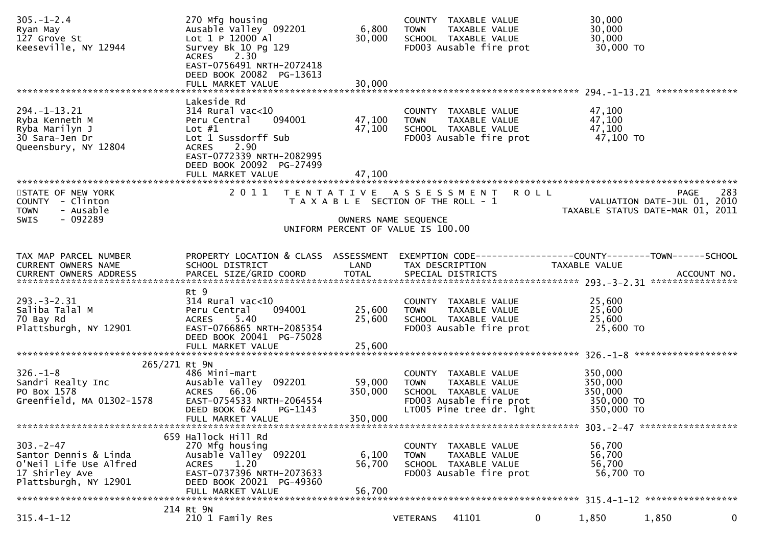| $305. - 1 - 2.4$<br>Ryan May<br>127 Grove St<br>Keeseville, NY 12944                                         | 270 Mfg housing<br>Ausable Valley 092201<br>Lot 1 P 12000 Al<br>Survey Bk 10 Pg 129<br>2.30<br><b>ACRES</b><br>EAST-0756491 NRTH-2072418<br>DEED BOOK 20082 PG-13613<br>FULL MARKET VALUE            | 6,800<br>30,000<br>30,000    | COUNTY TAXABLE VALUE<br><b>TOWN</b><br>TAXABLE VALUE<br>SCHOOL TAXABLE VALUE<br>FD003 Ausable fire prot                             |              | 30,000<br>30,000<br>30,000<br>30,000 TO                   |                                            |
|--------------------------------------------------------------------------------------------------------------|------------------------------------------------------------------------------------------------------------------------------------------------------------------------------------------------------|------------------------------|-------------------------------------------------------------------------------------------------------------------------------------|--------------|-----------------------------------------------------------|--------------------------------------------|
|                                                                                                              |                                                                                                                                                                                                      |                              |                                                                                                                                     |              |                                                           |                                            |
| 294. -1-13. 21<br>Ryba Kenneth M<br>Ryba Marilyn J<br>30 Sara-Jen Dr<br>Queensbury, NY 12804                 | Lakeside Rd<br>$314$ Rural vac<10<br>Peru Central<br>094001<br>Lot $#1$<br>Lot 1 Sussdorff Sub<br>2.90<br><b>ACRES</b><br>EAST-0772339 NRTH-2082995<br>DEED BOOK 20092 PG-27499<br>FULL MARKET VALUE | 47,100<br>47,100<br>47,100   | COUNTY TAXABLE VALUE<br>TAXABLE VALUE<br><b>TOWN</b><br>SCHOOL TAXABLE VALUE<br>FD003 Ausable fire prot                             |              | 47,100<br>47,100<br>47,100<br>47,100 TO                   |                                            |
|                                                                                                              | 2 0 1 1                                                                                                                                                                                              |                              |                                                                                                                                     |              |                                                           |                                            |
| STATE OF NEW YORK<br>COUNTY - Clinton<br>- Ausable<br><b>TOWN</b><br>$-092289$<br>SWIS                       |                                                                                                                                                                                                      | OWNERS NAME SEQUENCE         | TENTATIVE ASSESSMENT<br>T A X A B L E SECTION OF THE ROLL - 1                                                                       | <b>ROLL</b>  | TAXABLE STATUS DATE-MAR 01, 2011                          | 283<br>PAGE<br>VALUATION DATE-JUL 01, 2010 |
|                                                                                                              |                                                                                                                                                                                                      |                              | UNIFORM PERCENT OF VALUE IS 100.00                                                                                                  |              |                                                           |                                            |
|                                                                                                              |                                                                                                                                                                                                      |                              |                                                                                                                                     |              |                                                           |                                            |
| TAX MAP PARCEL NUMBER<br><b>CURRENT OWNERS NAME</b>                                                          | PROPERTY LOCATION & CLASS ASSESSMENT<br>SCHOOL DISTRICT                                                                                                                                              | LAND                         | EXEMPTION        CODE-----------------COUNTY-------TOWN------SCHOOL<br>TAX DESCRIPTION                                              |              | TAXABLE VALUE                                             |                                            |
|                                                                                                              |                                                                                                                                                                                                      |                              |                                                                                                                                     |              |                                                           |                                            |
| $293 - 3 - 2.31$<br>Saliba Talal M<br>70 Bay Rd<br>Plattsburgh, NY 12901                                     | Rt 9<br>$314$ Rural vac<10<br>Peru Central<br>094001<br>5.40<br><b>ACRES</b><br>EAST-0766865 NRTH-2085354<br>DEED BOOK 20041 PG-75028<br>FULL MARKET VALUE                                           | 25,600<br>25,600<br>25,600   | COUNTY TAXABLE VALUE<br>TAXABLE VALUE<br><b>TOWN</b><br>SCHOOL TAXABLE VALUE<br>FD003 Ausable fire prot                             |              | 25,600<br>25,600<br>25,600<br>25,600 TO                   |                                            |
|                                                                                                              |                                                                                                                                                                                                      |                              |                                                                                                                                     |              |                                                           | *******************                        |
| 265/271 Rt 9N<br>$326. - 1 - 8$<br>Sandri Realty Inc<br>PO Box 1578<br>Greenfield, MA 01302-1578             | 486 Mini-mart<br>Ausable Valley 092201<br>66.06<br><b>ACRES</b><br>EAST-0754533 NRTH-2064554<br>DEED BOOK 624<br>PG-1143<br>FULL MARKET VALUE                                                        | 59,000<br>350,000<br>350,000 | COUNTY TAXABLE VALUE<br><b>TOWN</b><br>TAXABLE VALUE<br>SCHOOL TAXABLE VALUE<br>FD003 Ausable fire prot<br>LT005 Pine tree dr. 1ght |              | 350,000<br>350,000<br>350,000<br>350,000 TO<br>350,000 TO |                                            |
|                                                                                                              |                                                                                                                                                                                                      |                              |                                                                                                                                     |              |                                                           |                                            |
| $303. -2 - 47$<br>Santor Dennis & Linda<br>O'Neil Life Use Alfred<br>17 Shirley Ave<br>Plattsburgh, NY 12901 | 659 Hallock Hill Rd<br>270 Mfg housing<br>Ausable Valley 092201<br>1.20<br><b>ACRES</b><br>EAST-0737396 NRTH-2073633<br>DEED BOOK 20021 PG-49360<br>FULL MARKET VALUE                                | 6,100<br>56,700<br>56,700    | COUNTY TAXABLE VALUE<br>TAXABLE VALUE<br><b>TOWN</b><br>SCHOOL TAXABLE VALUE<br>FD003 Ausable fire prot                             |              | 56,700<br>56,700<br>56,700<br>56,700 TO                   |                                            |
|                                                                                                              | 214 Rt 9N                                                                                                                                                                                            |                              |                                                                                                                                     |              |                                                           |                                            |
| $315.4 - 1 - 12$                                                                                             | 210 1 Family Res                                                                                                                                                                                     |                              | 41101<br><b>VETERANS</b>                                                                                                            | $\mathbf{0}$ | 1,850                                                     | 1,850<br>0                                 |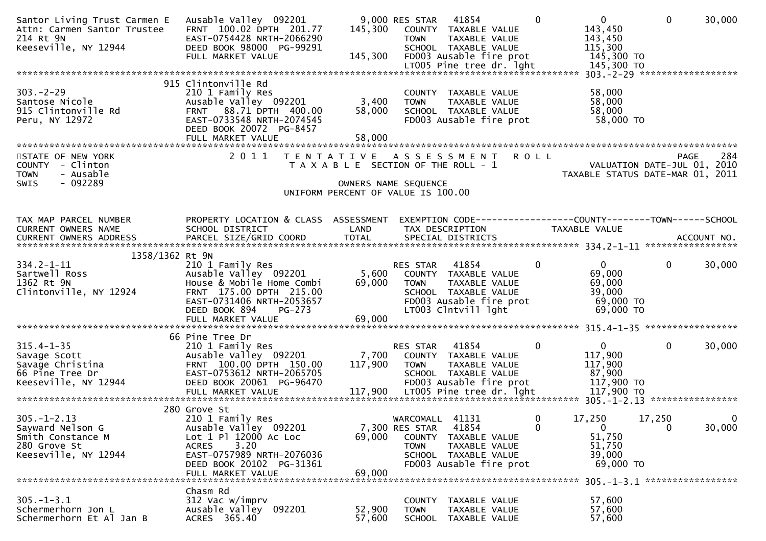| Santor Living Trust Carmen E<br>Attn: Carmen Santor Trustee<br>214 Rt 9N<br>214 Rt 9N<br>Keeseville, NY 12944                                             | Ausable Valley 092201<br>FRNT 100.02 DPTH 201.77<br>EAST-0754428 NRTH-2066290<br>DEED BOOK 98000 PG-99291<br>FULL MARKET VALUE                                                           | 145,300<br>145,300                                                                                                       | 9,000 RES STAR 41854<br><b>TOWN</b>                        | COUNTY TAXABLE VALUE<br>TAXABLE VALUE<br>SCHOOL TAXABLE VALUE<br>FD003 Ausable fire prot   | $\Omega$     | $\mathbf{0}$<br>143,450<br>143,450<br>115,300<br>145,300 TO                               | $\Omega$               | 30,000             |
|-----------------------------------------------------------------------------------------------------------------------------------------------------------|------------------------------------------------------------------------------------------------------------------------------------------------------------------------------------------|--------------------------------------------------------------------------------------------------------------------------|------------------------------------------------------------|--------------------------------------------------------------------------------------------|--------------|-------------------------------------------------------------------------------------------|------------------------|--------------------|
|                                                                                                                                                           |                                                                                                                                                                                          |                                                                                                                          |                                                            |                                                                                            |              |                                                                                           |                        |                    |
| $303 - 2 - 29$<br>303.-2-29<br>Santose Nicole<br>915 Clintonville Rd<br>Peru, NY 12972                                                                    | 915 Clintonville Rd<br>210 1 Family Res<br>Ausable valley 092201<br>FRNT 88.71 DPTH 400.00<br>EAST-0733548 NRTH-2074545<br>DEED BOOK 20072 PG-8457<br>FULL MARKET VALUE                  | 3,400<br>58,000<br>58,000                                                                                                | <b>TOWN</b>                                                | COUNTY TAXABLE VALUE<br>TAXABLE VALUE<br>SCHOOL TAXABLE VALUE<br>FD003 Ausable fire prot   |              | 58,000<br>58,000<br>58,000<br>58,000 TO                                                   |                        |                    |
|                                                                                                                                                           |                                                                                                                                                                                          |                                                                                                                          |                                                            |                                                                                            |              |                                                                                           |                        |                    |
| STATE OF NEW YORK<br>COUNTY - Clinton<br><b>TOWN</b><br>- Ausable<br>$-092289$<br><b>SWIS</b>                                                             | 2011 TENTATIVE ASSESSMENT ROLL                                                                                                                                                           | T A X A B L E SECTION OF THE ROLL - 1<br>OWNERS NAME SEQUENCE                                                            |                                                            |                                                                                            |              | 264 - YALUATION DATE-JUL<br>2010 - VALUATION DATE-JUL<br>TAXABLE STATUS DATE-MAR 01, 2011 |                        | 284<br>PAGE        |
|                                                                                                                                                           |                                                                                                                                                                                          | UNIFORM PERCENT OF VALUE IS 100.00                                                                                       |                                                            |                                                                                            |              |                                                                                           |                        |                    |
|                                                                                                                                                           |                                                                                                                                                                                          |                                                                                                                          |                                                            |                                                                                            |              |                                                                                           |                        |                    |
| TAX MAP PARCEL NUMBER<br>CURRENT OWNERS NAME<br>CURRENT OWNERS ADDRESS                                                                                    | PROPERTY LOCATION & CLASS ASSESSMENT<br>SCHOOL DISTRICT                                                                                                                                  | LAND                                                                                                                     |                                                            | TAX DESCRIPTION                                                                            |              | EXEMPTION CODE-----------------COUNTY-------TOWN------SCHOOL<br>TAXABLE VALUE             |                        |                    |
| 1358/1362 Rt 9N                                                                                                                                           |                                                                                                                                                                                          |                                                                                                                          |                                                            |                                                                                            |              |                                                                                           |                        |                    |
|                                                                                                                                                           | Ausable Valley 092201<br>EAST-0731406 NRTH-2053657<br>DEED BOOK 894<br>PG-273<br>FULL MARKET VALUE                                                                                       | 5,600 COUNTY TAXABLE VALUE<br>69,000 TOWN TAXABLE VALUE<br>69,000 TOWN TAXABLE VALUE<br>FD003 Ausable fire pro<br>69,000 | <b>RES STAR 41854</b>                                      | FD003 Ausable fire prot<br>LT003 Clntvill lght                                             | $\Omega$     | $\mathbf{0}$<br>69,000<br>69,000<br>39,000<br>69,000 TO<br>69,000 TO                      | $\mathbf{0}$           | 30,000             |
|                                                                                                                                                           | 66 Pine Tree Dr                                                                                                                                                                          |                                                                                                                          |                                                            |                                                                                            |              |                                                                                           |                        |                    |
| 315.4-1-35<br>Savage Scott<br>Savage Christina<br>66 Pine Tree Dr. 2011<br>CAST-0753612 NRTH-2065705<br>EAST-0753612 NRTH-2065705<br>Keeseville, NY 12944 | Ausable Valley 092201 7,700 COUNTY TAXABLE VALUE<br>FRNT 100.00 DPTH 150.00 117,900 TOWN TAXABLE VALUE<br>DEED BOOK 20061 PG-96470                                                       |                                                                                                                          | RES STAR                                                   | 41854<br>SCHOOL TAXABLE VALUE<br>FD003 Ausable fire prot                                   | $\mathbf{0}$ | 0<br>117,900<br>117,900<br>87,900<br>117,900 то<br>$117,900$ TO                           | $\mathbf{0}$           | 30,000             |
|                                                                                                                                                           |                                                                                                                                                                                          |                                                                                                                          |                                                            |                                                                                            |              |                                                                                           |                        |                    |
| $305. - 1 - 2.13$<br>Sayward Nelson G<br>Smith Constance M<br>280 Grove St<br>Keeseville, NY 12944                                                        | 280 Grove St<br>210 1 Family Res<br>Ausable Valley 092201<br>Lot 1 Pl 12000 Ac Loc<br>3.20<br><b>ACRES</b><br>EAST-0757989 NRTH-2076036<br>DEED BOOK 20102 PG-31361<br>FULL MARKET VALUE | 69,000<br>69,000                                                                                                         | WARCOMALL 41131<br>7,300 RES STAR<br>COUNTY<br><b>TOWN</b> | 41854<br>TAXABLE VALUE<br>TAXABLE VALUE<br>SCHOOL TAXABLE VALUE<br>FD003 Ausable fire prot | 0<br>0       | 17,250<br>$\mathbf{0}$<br>51,750<br>51,750<br>39,000<br>69,000 TO                         | 17,250<br>$\mathbf{0}$ | $\bf{0}$<br>30,000 |
|                                                                                                                                                           | Chasm Rd                                                                                                                                                                                 |                                                                                                                          |                                                            |                                                                                            |              | 305. -1-3.1 *******************                                                           |                        |                    |
| $305. - 1 - 3.1$<br>Schermerhorn Jon L<br>Schermerhorn Et Al Jan B                                                                                        | 312 Vac w/imprv<br>Ausable Valley 092201<br>ACRES 365.40                                                                                                                                 | 52,900<br>57,600                                                                                                         | <b>COUNTY</b><br><b>TOWN</b><br><b>SCHOOL</b>              | TAXABLE VALUE<br>TAXABLE VALUE<br>TAXABLE VALUE                                            |              | 57,600<br>57,600<br>57,600                                                                |                        |                    |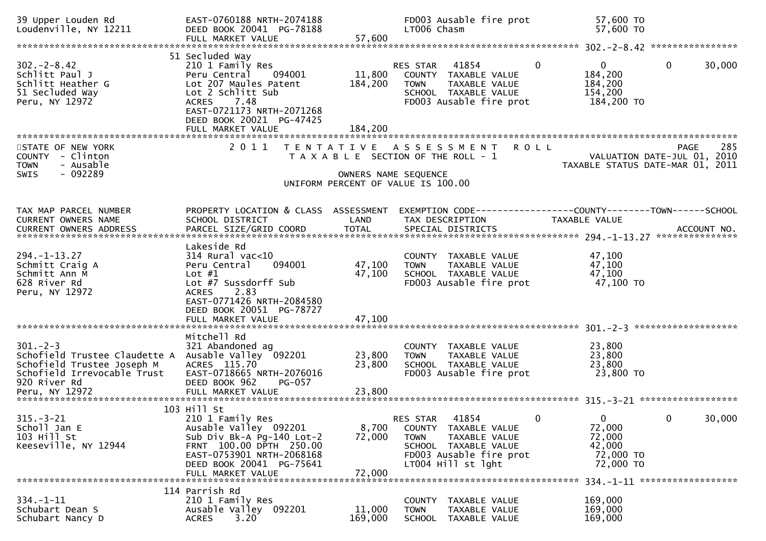| 39 Upper Louden Rd<br>Loudenville, NY 12211                                                                                                   | EAST-0760188 NRTH-2074188<br>DEED BOOK 20041 PG-78188<br>FULL MARKET VALUE                                                                                                                            | 57,600                     | FD003 Ausable fire prot<br>LT006 Chasm                                                                                                                               | 57,600 TO<br>57,600 TO                                                                |
|-----------------------------------------------------------------------------------------------------------------------------------------------|-------------------------------------------------------------------------------------------------------------------------------------------------------------------------------------------------------|----------------------------|----------------------------------------------------------------------------------------------------------------------------------------------------------------------|---------------------------------------------------------------------------------------|
|                                                                                                                                               |                                                                                                                                                                                                       |                            |                                                                                                                                                                      |                                                                                       |
| $302 - 2 - 8.42$<br>Schlitt Paul J<br>Schlitt Heather G<br>51 Secluded Way<br>Peru, NY 12972                                                  | 51 Secluded Way<br>210 1 Family Res<br>Peru Central<br>094001<br>Lot 207 Maules Patent<br>Lot 2 Schlitt Sub<br><b>ACRES</b><br>7.48<br>EAST-0721173 NRTH-2071268<br>DEED BOOK 20021 PG-47425          | 11,800<br>184,200          | $\mathbf{0}$<br>41854<br><b>RES STAR</b><br>COUNTY TAXABLE VALUE<br><b>TOWN</b><br>TAXABLE VALUE<br>SCHOOL TAXABLE VALUE<br>FD003 Ausable fire prot                  | $\mathbf{0}$<br>$\mathbf{0}$<br>30,000<br>184,200<br>184,200<br>154,200<br>184,200 TO |
| STATE OF NEW YORK<br>COUNTY - Clinton<br>- Ausable<br><b>TOWN</b><br>$-092289$<br><b>SWIS</b>                                                 | 2011                                                                                                                                                                                                  | OWNERS NAME SEQUENCE       | TENTATIVE ASSESSMENT<br><b>ROLL</b><br>T A X A B L E SECTION OF THE ROLL - 1<br>UNIFORM PERCENT OF VALUE IS 100.00                                                   | 285<br>PAGE<br>VALUATION DATE-JUL 01, 2010<br>TAXABLE STATUS DATE-MAR 01, 2011        |
| TAX MAP PARCEL NUMBER<br><b>CURRENT OWNERS NAME</b>                                                                                           | PROPERTY LOCATION & CLASS ASSESSMENT<br>SCHOOL DISTRICT                                                                                                                                               | LAND                       | TAX DESCRIPTION                                                                                                                                                      | TAXABLE VALUE                                                                         |
| $294. -1 - 13.27$<br>Schmitt Craig A<br>Schmitt Ann M<br>628 River Rd<br>Peru, NY 12972                                                       | Lakeside Rd<br>$314$ Rural vac<10<br>094001<br>Peru Central<br>Lot $#1$<br>Lot #7 Sussdorff Sub<br>2.83<br><b>ACRES</b><br>EAST-0771426 NRTH-2084580<br>DEED BOOK 20051 PG-78727<br>FULL MARKET VALUE | 47,100<br>47,100<br>47,100 | COUNTY TAXABLE VALUE<br><b>TOWN</b><br>TAXABLE VALUE<br>SCHOOL TAXABLE VALUE<br>FD003 Ausable fire prot                                                              | 47,100<br>47,100<br>47,100<br>47,100 TO                                               |
| $301 - 2 - 3$<br>Schofield Trustee Claudette A<br>Schofield Trustee Joseph M<br>Schofield Irrevocable Trust<br>920 River Rd<br>Peru, NY 12972 | Mitchell Rd<br>321 Abandoned ag<br>Ausable Valley 092201<br>ACRES 115.70<br>EAST-0718665 NRTH-2076016<br>DEED BOOK 962<br><b>PG-057</b><br>FULL MARKET VALUE                                          | 23,800<br>23,800<br>23,800 | COUNTY TAXABLE VALUE<br>TAXABLE VALUE<br><b>TOWN</b><br>SCHOOL TAXABLE VALUE<br>FD003 Ausable fire prot                                                              | 23,800<br>23,800<br>23,800<br>23,800 TO                                               |
| $315. - 3 - 21$<br>Scholl Jan E<br>103 Hill St<br>Keeseville, NY 12944                                                                        | 103 Hill St<br>210 1 Family Res<br>Ausable Valley 092201<br>Sub Div Bk-A Pg-140 Lot-2<br>FRNT 100.00 DPTH 250.00<br>EAST-0753901 NRTH-2068168<br>DEED BOOK 20041 PG-75641<br>FULL MARKET VALUE        | 8,700<br>72,000<br>72,000  | 41854<br>RES STAR<br>$\mathbf{0}$<br>COUNTY TAXABLE VALUE<br><b>TOWN</b><br>TAXABLE VALUE<br>SCHOOL TAXABLE VALUE<br>FD003 Ausable fire prot<br>$LT004$ Hill st lght | 30,000<br>$\overline{0}$<br>0<br>72,000<br>72,000<br>42,000<br>72,000 TO<br>72,000 TO |
| $334. - 1 - 11$<br>Schubart Dean S<br>Schubart Nancy D                                                                                        | 114 Parrish Rd<br>210 1 Family Res<br>Ausable Valley 092201<br>3.20<br><b>ACRES</b>                                                                                                                   | 11,000<br>169,000          | COUNTY TAXABLE VALUE<br><b>TOWN</b><br>TAXABLE VALUE<br>SCHOOL TAXABLE VALUE                                                                                         | 169,000<br>169,000<br>169,000                                                         |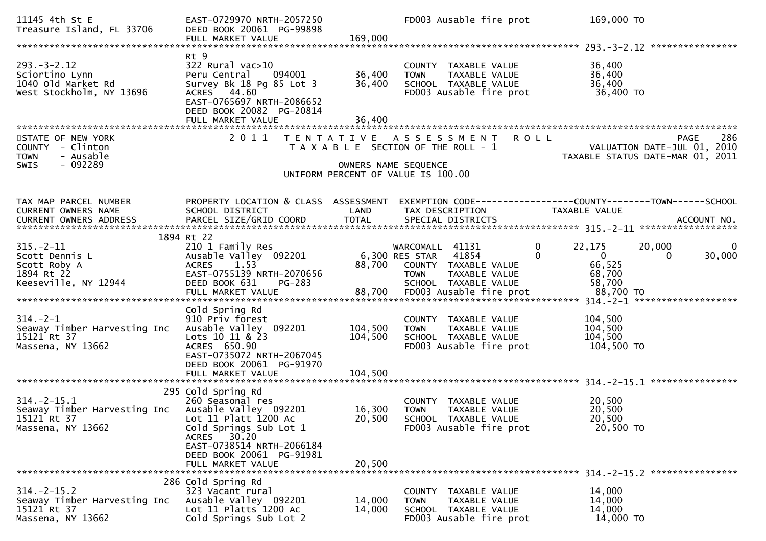| 11145 4th St E<br>Treasure Island, FL 33706                                                   | EAST-0729970 NRTH-2057250<br>DEED BOOK 20061 PG-99898<br>FULL MARKET VALUE                                                                                                                                     | 169,000                    | FD003 Ausable fire prot                                                                                                    | 169,000 TO                                                                        |                                                                                |
|-----------------------------------------------------------------------------------------------|----------------------------------------------------------------------------------------------------------------------------------------------------------------------------------------------------------------|----------------------------|----------------------------------------------------------------------------------------------------------------------------|-----------------------------------------------------------------------------------|--------------------------------------------------------------------------------|
|                                                                                               |                                                                                                                                                                                                                |                            |                                                                                                                            |                                                                                   | ****************                                                               |
| $293. - 3 - 2.12$<br>Sciortino Lynn<br>1040 old Market Rd<br>West Stockholm, NY 13696         | Rt 9<br>322 Rural vac>10<br>Peru Central<br>094001<br>Survey Bk 18 Pg 85 Lot 3<br>ACRES 44.60<br>EAST-0765697 NRTH-2086652<br>DEED BOOK 20082 PG-20814                                                         | 36,400<br>36,400           | COUNTY TAXABLE VALUE<br>TAXABLE VALUE<br><b>TOWN</b><br>SCHOOL TAXABLE VALUE<br>FD003 Ausable fire prot                    | 36,400<br>36,400<br>36,400<br>36,400 TO                                           |                                                                                |
|                                                                                               | FULL MARKET VALUE                                                                                                                                                                                              | 36,400                     |                                                                                                                            |                                                                                   |                                                                                |
| STATE OF NEW YORK<br>COUNTY - Clinton<br>- Ausable<br><b>TOWN</b><br>$-092289$<br><b>SWIS</b> | 2011                                                                                                                                                                                                           | OWNERS NAME SEQUENCE       | <b>ROLL</b><br>TENTATIVE ASSESSMENT<br>T A X A B L E SECTION OF THE ROLL - 1<br>UNIFORM PERCENT OF VALUE IS 100.00         |                                                                                   | 286<br>PAGE<br>VALUATION DATE-JUL 01, 2010<br>TAXABLE STATUS DATE-MAR 01, 2011 |
|                                                                                               |                                                                                                                                                                                                                |                            |                                                                                                                            |                                                                                   |                                                                                |
| TAX MAP PARCEL NUMBER<br>CURRENT OWNERS NAME                                                  | PROPERTY LOCATION & CLASS ASSESSMENT<br>SCHOOL DISTRICT                                                                                                                                                        | LAND                       | EXEMPTION CODE-----------------COUNTY-------TOWN------SCHOOL<br>TAX DESCRIPTION                                            | TAXABLE VALUE                                                                     | ACCOUNT NO.<br>*******************                                             |
|                                                                                               | 1894 Rt 22                                                                                                                                                                                                     |                            |                                                                                                                            |                                                                                   |                                                                                |
| $315. - 2 - 11$<br>Scott Dennis L<br>Scott Roby A<br>1894 Rt 22<br>Keeseville, NY 12944       | 210 1 Family Res<br>Ausable Valley 092201<br>1.53<br><b>ACRES</b><br>EAST-0755139 NRTH-2070656<br>DEED BOOK 631<br>PG-283                                                                                      | 88,700                     | WARCOMALL 41131<br>6,300 RES STAR<br>41854<br>COUNTY TAXABLE VALUE<br><b>TOWN</b><br>TAXABLE VALUE<br>SCHOOL TAXABLE VALUE | $\mathbf 0$<br>22,175<br>$\overline{0}$<br>$\Omega$<br>66,525<br>68,700<br>58,700 | $\mathbf 0$<br>20,000<br>30,000<br>0                                           |
|                                                                                               |                                                                                                                                                                                                                |                            |                                                                                                                            |                                                                                   |                                                                                |
| $314. - 2 - 1$<br>Seaway Timber Harvesting Inc<br>15121 Rt 37<br>Massena, NY 13662            | Cold Spring Rd<br>910 Priv forest<br>Ausable Valley 092201<br>Lots 10 11 & 23<br>ACRES 650.90<br>EAST-0735072 NRTH-2067045<br>DEED BOOK 20061 PG-91970                                                         | 104,500<br>104,500         | COUNTY TAXABLE VALUE<br>TAXABLE VALUE<br><b>TOWN</b><br>SCHOOL TAXABLE VALUE<br>FD003 Ausable fire prot                    | 104,500<br>104,500<br>104,500<br>104,500 TO                                       |                                                                                |
|                                                                                               | FULL MARKET VALUE                                                                                                                                                                                              | 104,500                    |                                                                                                                            |                                                                                   |                                                                                |
| $314. - 2 - 15.1$<br>Seaway Timber Harvesting Inc<br>15121 Rt 37<br>Massena, NY 13662         | 295 Cold Spring Rd<br>260 Seasonal res<br>Ausable Valley 092201<br>Lot 11 Platt 1200 Ac<br>Cold Springs Sub Lot 1<br>ACRES 30.20<br>EAST-0738514 NRTH-2066184<br>DEED BOOK 20061 PG-91981<br>FULL MARKET VALUE | 16,300<br>20,500<br>20,500 | COUNTY TAXABLE VALUE<br><b>TOWN</b><br><b>TAXABLE VALUE</b><br>SCHOOL TAXABLE VALUE<br>FD003 Ausable fire prot             | 20,500<br>20,500<br>20,500<br>20,500 TO                                           |                                                                                |
|                                                                                               | 286 Cold Spring Rd                                                                                                                                                                                             |                            |                                                                                                                            |                                                                                   |                                                                                |
| $314. -2 - 15.2$<br>Seaway Timber Harvesting Inc<br>15121 Rt 37<br>Massena, NY 13662          | 323 Vacant rural<br>Ausable Valley 092201<br>Lot 11 Platts 1200 Ac<br>Cold Springs Sub Lot 2                                                                                                                   | 14,000<br>14,000           | COUNTY TAXABLE VALUE<br>TAXABLE VALUE<br><b>TOWN</b><br>SCHOOL TAXABLE VALUE<br>FD003 Ausable fire prot                    | 14,000<br>14,000<br>14,000<br>14,000 TO                                           |                                                                                |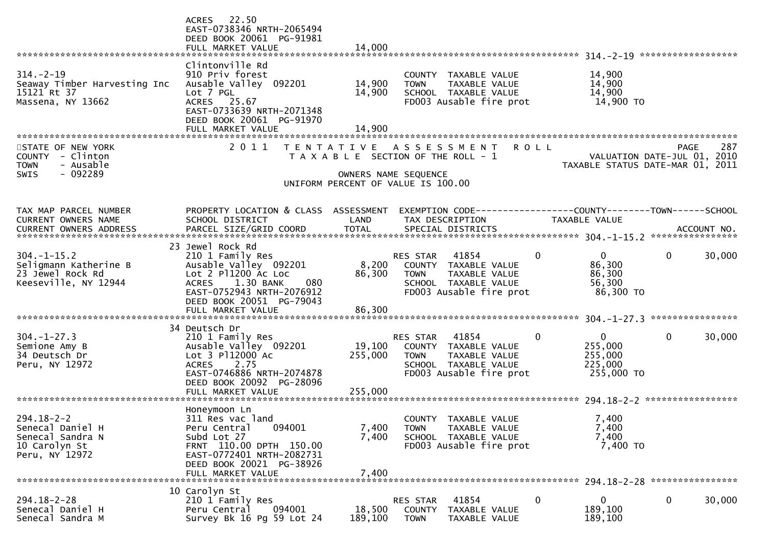|                                                                                                                                               | ACRES 22.50<br>EAST-0738346 NRTH-2065494<br>DEED BOOK 20061 PG-91981<br>FULL MARKET VALUE                                                                                                              | 14,000                       |                                                                                                                             |                                                   |   |                                                                 |      |        |
|-----------------------------------------------------------------------------------------------------------------------------------------------|--------------------------------------------------------------------------------------------------------------------------------------------------------------------------------------------------------|------------------------------|-----------------------------------------------------------------------------------------------------------------------------|---------------------------------------------------|---|-----------------------------------------------------------------|------|--------|
| $314. - 2 - 19$<br>Seaway Timber Harvesting Inc<br>15121 Rt 37<br>Massena, NY 13662                                                           | Clintonville Rd<br>910 Priv forest<br>Ausable Valley 092201<br>Lot 7 PGL<br>ACRES 25.67<br>EAST-0733639 NRTH-2071348<br>DEED BOOK 20061 PG-91970                                                       | 14,900<br>14,900             | COUNTY TAXABLE VALUE<br><b>TOWN</b><br>SCHOOL TAXABLE VALUE                                                                 | TAXABLE VALUE<br>FD003 Ausable fire prot          |   | 14,900<br>14,900<br>14,900<br>14,900 TO                         |      |        |
| STATE OF NEW YORK<br>COUNTY - Clinton<br>- Ausable<br><b>TOWN</b><br>- 092289<br><b>SWIS</b>                                                  | 2011                                                                                                                                                                                                   |                              | TENTATIVE ASSESSMENT<br>T A X A B L E SECTION OF THE ROLL - 1<br>OWNERS NAME SEQUENCE<br>UNIFORM PERCENT OF VALUE IS 100.00 | <b>ROLL</b>                                       |   | VALUATION DATE-JUL 01, 2010<br>TAXABLE STATUS DATE-MAR 01, 2011 | PAGE | 287    |
| TAX MAP PARCEL NUMBER<br>CURRENT OWNERS NAME<br>CURRENT OWNERS ADDRESS PARCEL SIZE/GRID COORD TOTAL SPECIAL DISTRICTS (2004-1-15) ACCOUNT NO. | PROPERTY LOCATION & CLASS ASSESSMENT<br>SCHOOL DISTRICT                                                                                                                                                | LAND                         | TAX DESCRIPTION                                                                                                             |                                                   |   | <b>TAXABLE VALUE</b>                                            |      |        |
| $304. -1 - 15.2$<br>Seligmann Katherine B<br>23 Jewel Rock Rd<br>Keeseville, NY 12944                                                         | 23 Jewel Rock Rd<br>210 1 Family Res<br>Ausable Valley 092201<br>Lot 2 P11200 Ac Loc<br>1.30 BANK<br>080<br><b>ACRES</b><br>EAST-0752943 NRTH-2076912<br>DEED BOOK 20051 PG-79043<br>FULL MARKET VALUE | 8,200<br>86,300<br>86,300    | RES STAR<br>COUNTY TAXABLE VALUE<br><b>TOWN</b><br>SCHOOL TAXABLE VALUE                                                     | 41854<br>TAXABLE VALUE<br>FD003 Ausable fire prot |   | $\Omega$<br>86,300<br>86,300<br>56,300<br>86,300 TO             | 0    | 30,000 |
| $304. - 1 - 27.3$<br>Semione Amy B<br>34 Deutsch Dr<br>Peru, NY 12972                                                                         | 34 Deutsch Dr<br>210 1 Family Res<br>Ausable Valley 092201<br>Lot 3 P112000 Ac<br>2.75<br><b>ACRES</b><br>EAST-0746886 NRTH-2074878<br>DEED BOOK 20092 PG-28096<br>FULL MARKET VALUE                   | 19,100<br>255,000<br>255,000 | <b>RES STAR</b><br>COUNTY TAXABLE VALUE<br><b>TOWN</b><br>SCHOOL TAXABLE VALUE                                              | 41854<br>TAXABLE VALUE<br>FD003 Ausable fire prot | 0 | $\mathbf{0}$<br>255,000<br>255,000<br>225,000<br>255,000 TO     | 0    | 30,000 |
| $294.18 - 2 - 2$<br>Senecal Daniel H<br>Senecal Sandra N<br>10 Carolyn St<br>Peru, NY 12972                                                   | Honeymoon Ln<br>311 Res vac land<br>094001<br>Peru Central<br>Subd Lot 27<br>FRNT 110.00 DPTH 150.00<br>EAST-0772401 NRTH-2082731<br>DEED BOOK 20021 PG-38926<br>FULL MARKET VALUE                     | 7,400<br>7,400<br>7,400      | COUNTY TAXABLE VALUE<br><b>TOWN</b><br>SCHOOL TAXABLE VALUE                                                                 | TAXABLE VALUE<br>FD003 Ausable fire prot          |   | 7,400<br>7,400<br>7,400<br>7,400 TO                             |      |        |
| $294.18 - 2 - 28$<br>Senecal Daniel H<br>Senecal Sandra M                                                                                     | 10 Carolyn St<br>210 1 Family Res<br>094001<br>Peru Central<br>Survey Bk 16 Pg 59 Lot 24                                                                                                               | 18,500<br>189,100            | RES STAR<br>COUNTY<br><b>TOWN</b>                                                                                           | 41854<br>TAXABLE VALUE<br>TAXABLE VALUE           | 0 | 0<br>189,100<br>189,100                                         | 0    | 30,000 |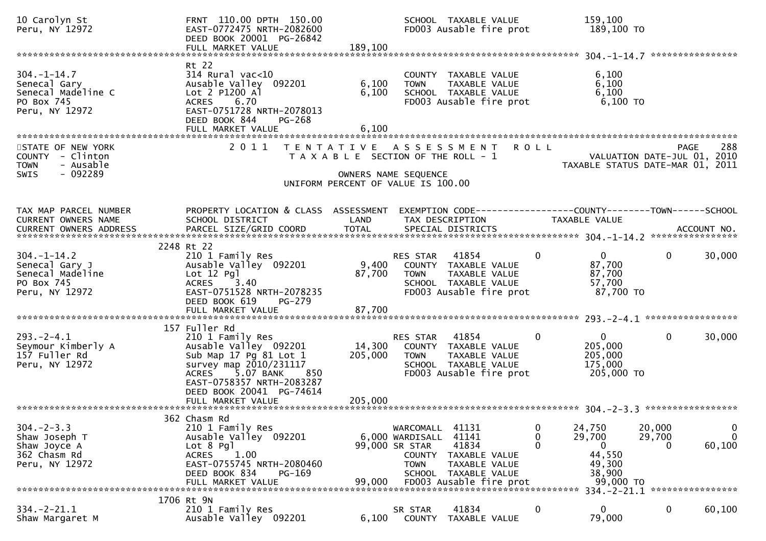| 10 Carolyn St<br>Peru, NY 12972                                                               | FRNT 110.00 DPTH 150.00<br>EAST-0772475 NRTH-2082600<br>DEED BOOK 20001 PG-26842<br>FULL MARKET VALUE                                                                                                | 189,100                 | SCHOOL TAXABLE VALUE<br>FD003 Ausable fire prot                                                                                                                                  | 159,100<br>189,100 TO                                                                  |                                                                                                     |
|-----------------------------------------------------------------------------------------------|------------------------------------------------------------------------------------------------------------------------------------------------------------------------------------------------------|-------------------------|----------------------------------------------------------------------------------------------------------------------------------------------------------------------------------|----------------------------------------------------------------------------------------|-----------------------------------------------------------------------------------------------------|
|                                                                                               |                                                                                                                                                                                                      |                         |                                                                                                                                                                                  |                                                                                        |                                                                                                     |
| $304. - 1 - 14.7$<br>Senecal Gary<br>Senecal Madeline C<br>PO Box 745<br>Peru, NY 12972       | Rt 22<br>$314$ Rural vac<10<br>Ausable Valley 092201<br>Lot $2$ P1200 Al<br>6.70<br><b>ACRES</b><br>EAST-0751728 NRTH-2078013<br>DEED BOOK 844<br>PG-268                                             | 6,100<br>6,100<br>6,100 | COUNTY TAXABLE VALUE<br>TAXABLE VALUE<br><b>TOWN</b><br>SCHOOL TAXABLE VALUE<br>FD003 Ausable fire prot                                                                          | 6,100<br>6,100<br>6,100<br>$6,100$ TO                                                  |                                                                                                     |
| STATE OF NEW YORK<br>COUNTY - Clinton<br>- Ausable<br><b>TOWN</b><br>$-092289$<br><b>SWIS</b> |                                                                                                                                                                                                      |                         | 2011 TENTATIVE ASSESSMENT<br><b>ROLL</b><br>T A X A B L E SECTION OF THE ROLL - 1<br>OWNERS NAME SEQUENCE<br>UNIFORM PERCENT OF VALUE IS 100.00                                  |                                                                                        | 288<br><b>PAGE</b><br>VALUATION DATE-JUL 01, 2010<br>TAXABLE STATUS DATE-MAR 01, 2011               |
| TAX MAP PARCEL NUMBER<br><b>CURRENT OWNERS NAME</b>                                           | PROPERTY LOCATION & CLASS ASSESSMENT<br>SCHOOL DISTRICT                                                                                                                                              | LAND                    | EXEMPTION CODE-----------------COUNTY-------TOWN------SCHOOL<br>TAX DESCRIPTION                                                                                                  | TAXABLE VALUE                                                                          |                                                                                                     |
|                                                                                               | 2248 Rt 22                                                                                                                                                                                           |                         |                                                                                                                                                                                  |                                                                                        |                                                                                                     |
| $304. - 1 - 14.2$<br>Senecal Gary J<br>Senecal Madeline<br>PO Box 745<br>Peru, NY 12972       | 210 1 Family Res<br>Ausable Valley 092201<br>Lot 12 Pql<br>3.40<br><b>ACRES</b><br>EAST-0751528 NRTH-2078235<br>DEED BOOK 619<br>PG-279                                                              | 9,400<br>87,700         | 41854<br>RES STAR<br>COUNTY TAXABLE VALUE<br>TAXABLE VALUE<br><b>TOWN</b><br>SCHOOL TAXABLE VALUE<br>FD003 Ausable fire prot                                                     | $\overline{0}$<br>0<br>87,700<br>87,700<br>57,700<br>87,700 TO                         | $\mathbf{0}$<br>30,000                                                                              |
|                                                                                               | FULL MARKET VALUE                                                                                                                                                                                    | 87,700                  |                                                                                                                                                                                  |                                                                                        |                                                                                                     |
| $293. -2 - 4.1$<br>Seymour Kimberly A<br>157 Fuller Rd<br>Peru, NY 12972                      | 157 Fuller Rd<br>210 1 Family Res<br>Ausable Valley 092201<br>Sub Map 17 Pg 81 Lot 1<br>survey map 2010/231117<br>5.07 BANK<br>ACRES<br>850<br>EAST-0758357 NRTH-2083287<br>DEED BOOK 20041 PG-74614 | 14,300<br>205,000       | 41854<br>RES STAR<br>COUNTY TAXABLE VALUE<br>TAXABLE VALUE<br><b>TOWN</b><br>SCHOOL TAXABLE VALUE<br>FD003 Ausable fire prot                                                     | $\mathbf{0}$<br>0<br>205,000<br>205,000<br>175,000<br>205,000 TO                       | $\mathbf{0}$<br>30,000                                                                              |
|                                                                                               |                                                                                                                                                                                                      |                         |                                                                                                                                                                                  |                                                                                        |                                                                                                     |
| $304 - 2 - 3.3$<br>Shaw Joseph T<br>Shaw Joyce A<br>362 Chasm Rd<br>Peru, NY 12972            | 362 Chasm Rd<br>210 1 Family Res<br>Ausable Valley 092201<br>Lot 8 Pgl<br><b>ACRES</b><br>1.00<br>EAST-0755745 NRTH-2080460<br>DEED BOOK 834<br>PG-169<br>FULL MARKET VALUE                          | 99,000                  | 41131<br>WARCOMALL<br>41141<br>6,000 WARDISALL<br>99,000 SR STAR<br>41834<br>COUNTY<br>TAXABLE VALUE<br>TAXABLE VALUE<br>TOWN<br>SCHOOL TAXABLE VALUE<br>FD003 Ausable fire prot | 0<br>24,750<br>0<br>29,700<br>$\Omega$<br>0<br>44,550<br>49,300<br>38,900<br>99,000 TO | $\mathbf 0$<br>20,000<br>$\mathbf{0}$<br>29,700<br>60,100<br>0<br>334. - 2 - 21.1 ***************** |
|                                                                                               | 1706 Rt 9N                                                                                                                                                                                           |                         |                                                                                                                                                                                  |                                                                                        |                                                                                                     |
| $334. - 2 - 21.1$<br>Shaw Margaret M                                                          | 210 1 Family Res<br>Ausable Valley 092201                                                                                                                                                            | 6,100                   | 41834<br>SR STAR<br>COUNTY<br>TAXABLE VALUE                                                                                                                                      | 0<br>0<br>79,000                                                                       | $\bf{0}$<br>60,100                                                                                  |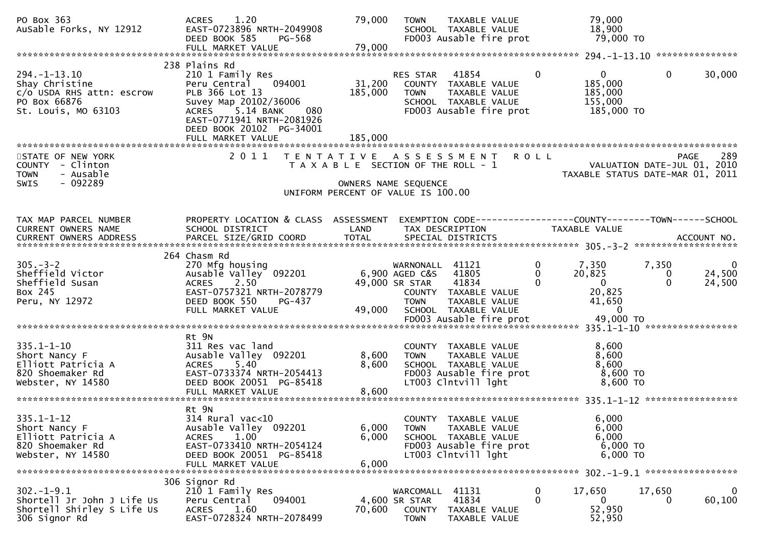| PO Box 363<br>AuSable Forks, NY 12912                                                                   | 1.20<br><b>ACRES</b><br>EAST-0723896 NRTH-2049908<br>DEED BOOK 585<br>PG-568<br>FULL MARKET VALUE                                                                                                                        | 79,000<br>79,000                                                                                    | <b>TOWN</b>                                                              | TAXABLE VALUE<br>SCHOOL TAXABLE VALUE<br>FD003 Ausable fire prot                                                |                                         | 79,000<br>18,900<br>79,000 TO                                                        |                        |                                             |
|---------------------------------------------------------------------------------------------------------|--------------------------------------------------------------------------------------------------------------------------------------------------------------------------------------------------------------------------|-----------------------------------------------------------------------------------------------------|--------------------------------------------------------------------------|-----------------------------------------------------------------------------------------------------------------|-----------------------------------------|--------------------------------------------------------------------------------------|------------------------|---------------------------------------------|
|                                                                                                         |                                                                                                                                                                                                                          |                                                                                                     |                                                                          |                                                                                                                 |                                         |                                                                                      |                        |                                             |
| $294. -1 - 13.10$<br>Shay Christine<br>c/o USDA RHS attn: escrow<br>PO Box 66876<br>St. Louis, MO 63103 | 238 Plains Rd<br>210 1 Family Res<br>Peru Central<br>094001<br>PLB 366 Lot 13<br>Suvey Map 20102/36006<br>5.14 BANK<br><b>ACRES</b><br>080<br>EAST-0771941 NRTH-2081926<br>DEED BOOK 20102 PG-34001<br>FULL MARKET VALUE | 31,200<br>185,000<br>185,000                                                                        | RES STAR<br><b>TOWN</b>                                                  | 41854<br>COUNTY TAXABLE VALUE<br>TAXABLE VALUE<br>SCHOOL TAXABLE VALUE<br>FD003 Ausable fire prot               | $\overline{0}$                          | $\overline{0}$<br>185,000<br>185,000<br>155,000<br>185,000 TO                        | $\mathbf{0}$           | 30,000                                      |
|                                                                                                         |                                                                                                                                                                                                                          |                                                                                                     |                                                                          |                                                                                                                 |                                         |                                                                                      |                        |                                             |
| STATE OF NEW YORK<br>COUNTY - Clinton<br><b>TOWN</b><br>- Ausable<br>- 092289<br>SWIS                   | 2011                                                                                                                                                                                                                     | T A X A B L E SECTION OF THE ROLL - 1<br>OWNERS NAME SEQUENCE<br>UNIFORM PERCENT OF VALUE IS 100.00 |                                                                          | TENTATIVE ASSESSMENT                                                                                            | <b>ROLL</b>                             | VALUATION DATE-JUL 01, 2010<br>TAXABLE STATUS DATE-MAR 01, 2011                      | <b>PAGE</b>            | 289                                         |
|                                                                                                         |                                                                                                                                                                                                                          |                                                                                                     |                                                                          |                                                                                                                 |                                         |                                                                                      |                        |                                             |
| TAX MAP PARCEL NUMBER<br>CURRENT OWNERS NAME<br>CURRENT OWNERS ADDRESS                                  | PROPERTY LOCATION & CLASS ASSESSMENT<br>SCHOOL DISTRICT                                                                                                                                                                  | LAND                                                                                                |                                                                          | EXEMPTION CODE-----------------COUNTY--------TOWN------SCHOOL<br>TAX DESCRIPTION                                |                                         | TAXABLE VALUE                                                                        |                        |                                             |
|                                                                                                         | 264 Chasm Rd                                                                                                                                                                                                             |                                                                                                     |                                                                          |                                                                                                                 |                                         |                                                                                      |                        |                                             |
| $305 - 3 - 2$<br>Sheffield Victor<br>Sheffield Susan<br>Box 245<br>Peru, NY 12972                       | 270 Mfg housing<br>Ausable Valley 092201<br>2.50<br><b>ACRES</b><br>EAST-0757321 NRTH-2078779<br>DEED BOOK 550<br>PG-437<br>FULL MARKET VALUE                                                                            | 49,000                                                                                              | WARNONALL 41121<br>6,900 AGED C&S 41805<br>49,000 SR STAR<br><b>TOWN</b> | 41834<br>COUNTY TAXABLE VALUE<br>TAXABLE VALUE<br>SCHOOL TAXABLE VALUE<br>FD003 Ausable fire prot               | $\mathbf 0$<br>$\mathbf{0}$<br>$\Omega$ | 7,350<br>20,825<br>$\overline{0}$<br>20,825<br>41,650<br>$\overline{0}$<br>49,000 TO | 7,350<br>0<br>$\Omega$ | $\overline{\mathbf{0}}$<br>24,500<br>24,500 |
|                                                                                                         |                                                                                                                                                                                                                          |                                                                                                     |                                                                          |                                                                                                                 |                                         |                                                                                      |                        |                                             |
| $335.1 - 1 - 10$<br>Short Nancy F<br>Elliott Patricia A<br>820 Shoemaker Rd<br>Webster, NY 14580        | Rt 9N<br>311 Res vac land<br>Ausable Valley 092201<br><b>ACRES</b><br>5.40<br>EAST-0733374 NRTH-2054413<br>DEED BOOK 20051 PG-85418<br>FULL MARKET VALUE                                                                 | 8,600<br>8,600<br>8,600                                                                             | <b>TOWN</b>                                                              | COUNTY TAXABLE VALUE<br>TAXABLE VALUE<br>SCHOOL TAXABLE VALUE<br>FD003 Ausable fire prot<br>LT003 Clntvill lght |                                         | 8,600<br>8,600<br>8,600<br>8,600 TO<br>8,600 TO                                      |                        |                                             |
|                                                                                                         | Rt 9N                                                                                                                                                                                                                    |                                                                                                     |                                                                          |                                                                                                                 |                                         |                                                                                      |                        |                                             |
| $335.1 - 1 - 12$<br>Short Nancy F<br>Elliott Patricia A<br>820 Shoemaker Rd<br>Webster, NY 14580        | 314 Rural vac<10<br>Ausable Valley 092201<br>1.00<br><b>ACRES</b><br>EAST-0733410 NRTH-2054124<br>DEED BOOK 20051 PG-85418<br>FULL MARKET VALUE                                                                          | 6,000<br>6,000<br>6,000                                                                             | <b>TOWN</b>                                                              | COUNTY TAXABLE VALUE<br>TAXABLE VALUE<br>SCHOOL TAXABLE VALUE<br>FD003 Ausable fire prot<br>LT003 Clntvill lght |                                         | 6,000<br>6,000<br>6,000<br>$6,000$ TO<br>6,000 TO                                    |                        |                                             |
|                                                                                                         | 306 Signor Rd                                                                                                                                                                                                            |                                                                                                     |                                                                          |                                                                                                                 |                                         |                                                                                      |                        |                                             |
| $302 - 1 - 9.1$<br>Shortell Jr John J Life Us<br>Shortell Shirley S Life Us<br>306 Signor Rd            | 210 1 Family Res<br>094001<br>Peru Central<br>1.60<br><b>ACRES</b><br>EAST-0728324 NRTH-2078499                                                                                                                          | 70,600                                                                                              | WARCOMALL<br>4,600 SR STAR<br>COUNTY<br><b>TOWN</b>                      | 41131<br>41834<br>TAXABLE VALUE<br>TAXABLE VALUE                                                                | $\bf{0}$<br>$\mathbf{0}$                | 17,650<br>$\mathbf{0}$<br>52,950<br>52,950                                           | 17,650<br>0            | $\mathbf{0}$<br>60,100                      |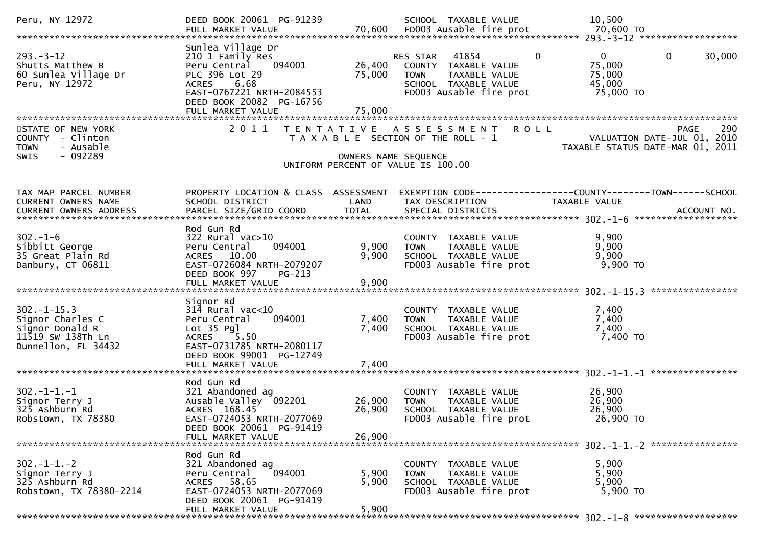| Peru, NY 12972                                                                                      | DEED BOOK 20061 PG-91239                                                                                                                                                              |                            | SCHOOL TAXABLE VALUE                                                                                                                        | 10.500                                                                           |
|-----------------------------------------------------------------------------------------------------|---------------------------------------------------------------------------------------------------------------------------------------------------------------------------------------|----------------------------|---------------------------------------------------------------------------------------------------------------------------------------------|----------------------------------------------------------------------------------|
| $293 - 3 - 12$<br>Shutts Matthew B<br>60 Sunlea Village Dr<br>Peru, NY 12972                        | Sunlea Village Dr<br>210 1 Family Res<br>Peru Central 094001<br>PLC 396 Lot 29<br>ACRES 6.68<br>EAST-0767221 NRTH-2084553<br>DEED BOOK 20082 PG-16756<br>FULL MARKET VALUE            | 26,400<br>75,000<br>75,000 | $\overline{0}$<br>RES STAR 41854<br>COUNTY TAXABLE VALUE<br><b>TOWN</b><br>TAXABLE VALUE<br>SCHOOL TAXABLE VALUE<br>FD003 Ausable fire prot | $\mathbf 0$<br>$\mathbf{0}$<br>30,000<br>75,000<br>75,000<br>45,000<br>75,000 TO |
| STATE OF NEW YORK<br>COUNTY - Clinton<br><b>TOWN</b><br>- Ausable<br>- 092289<br><b>SWIS</b>        | 2011                                                                                                                                                                                  | OWNERS NAME SEQUENCE       | TENTATIVE ASSESSMENT ROLL<br>T A X A B L E SECTION OF THE ROLL - 1<br>UNIFORM PERCENT OF VALUE IS 100.00                                    | 290<br>PAGE<br>VALUATION DATE-JUL 01, 2010<br>TAXABLE STATUS DATE-MAR 01, 2011   |
| TAX MAP PARCEL NUMBER<br>CURRENT OWNERS NAME                                                        | PROPERTY LOCATION & CLASS ASSESSMENT<br>SCHOOL DISTRICT                                                                                                                               | LAND                       | TAX DESCRIPTION                                                                                                                             | EXEMPTION CODE-----------------COUNTY-------TOWN------SCHOOL<br>TAXABLE VALUE    |
| $302 - 1 - 6$<br>Sibbitt George<br>35 Great Plain Rd<br>Danbury, CT 06811                           | Rod Gun Rd<br>322 Rural vac>10<br>094001<br>Peru Central<br>ACRES 10.00<br>EAST-0726084 NRTH-2079207<br>DEED BOOK 997<br>$PG-213$<br>FULL MARKET VALUE                                | 9,900<br>9,900<br>9,900    | COUNTY TAXABLE VALUE<br>TAXABLE VALUE<br><b>TOWN</b><br>SCHOOL TAXABLE VALUE<br>FD003 Ausable fire prot                                     | 9,900<br>9,900<br>9,900<br>9,900 TO                                              |
| $302 - 1 - 15.3$<br>Signor Charles C<br>Signor Donald R<br>11519 SW 138Th Ln<br>Dunnellon, FL 34432 | Signor Rd<br>$314$ Rural vac< $10$<br>094001<br>Peru Central<br>$Lot 35$ $Pq$ ]<br>5.50<br><b>ACRES</b><br>EAST-0731785 NRTH-2080117<br>DEED BOOK 99001 PG-12749<br>FULL MARKET VALUE | 7,400<br>7,400<br>7,400    | COUNTY TAXABLE VALUE<br>TAXABLE VALUE<br><b>TOWN</b><br>SCHOOL TAXABLE VALUE<br>FD003 Ausable fire prot                                     | 7,400<br>7,400<br>7,400<br>7,400 TO                                              |
| $302 - 1 - 1 - 1$<br>Signor Terry J<br>325 Ashburn Rd<br>Robstown, TX 78380                         | Rod Gun Rd<br>321 Abandoned ag<br>Ausable Valley 092201<br>ACRES 168.45<br>EAST-0724053 NRTH-2077069<br>DEED BOOK 20061 PG-91419<br>FULL MARKET VALUE                                 | 26,900<br>26,900<br>26,900 | COUNTY TAXABLE VALUE<br><b>TOWN</b><br>TAXABLE VALUE<br>SCHOOL TAXABLE VALUE<br>FD003 Ausable fire prot                                     | 26,900<br>26,900<br>26,900<br>26,900 TO                                          |
| $302 - 1 - 1 - 2$<br>Signor Terry J<br>325 Ashburn Rd<br>Robstown, TX 78380-2214                    | Rod Gun Rd<br>321 Abandoned ag<br>094001<br>Peru Central<br>ACRES 58.65<br>EAST-0724053 NRTH-2077069<br>DEED BOOK 20061 PG-91419<br>FULL MARKET VALUE                                 | 5,900<br>5,900<br>5,900    | COUNTY TAXABLE VALUE<br>TAXABLE VALUE<br><b>TOWN</b><br>SCHOOL TAXABLE VALUE<br>FD003 Ausable fire prot                                     | 5,900<br>5,900<br>5,900<br>5,900 TO                                              |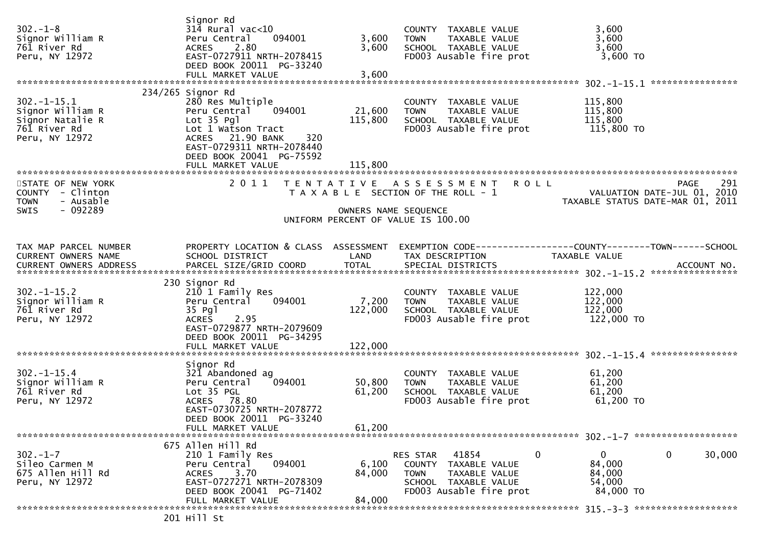| $302 - 1 - 8$<br>Signor William R<br>761 River Rd<br>Peru, NY 12972                           | Signor Rd<br>$314$ Rural vac<10<br>Peru Central<br>094001<br>2.80<br><b>ACRES</b><br>EAST-0727911 NRTH-2078415<br>DEED BOOK 20011 PG-33240<br>FULL MARKET VALUE                                                | 3,600<br>3,600<br>3,600                   | COUNTY TAXABLE VALUE<br>TAXABLE VALUE<br><b>TOWN</b><br>SCHOOL TAXABLE VALUE<br>FD003 Ausable fire prot                           | 3,600<br>3,600<br>3,600<br>$3,600$ TO                                                               |
|-----------------------------------------------------------------------------------------------|----------------------------------------------------------------------------------------------------------------------------------------------------------------------------------------------------------------|-------------------------------------------|-----------------------------------------------------------------------------------------------------------------------------------|-----------------------------------------------------------------------------------------------------|
| $302 - 1 - 15.1$<br>Signor William R<br>Signor Natalie R<br>761 River Rd<br>Peru, NY 12972    | $234/265$ Signor Rd<br>280 Res Multiple<br>094001<br>Peru Central<br>Lot 35 Pgl<br>Lot 1 Watson Tract<br>ACRES 21.90 BANK<br>320<br>EAST-0729311 NRTH-2078440<br>DEED BOOK 20041 PG-75592<br>FULL MARKET VALUE | 21,600<br>115,800<br>115,800              | COUNTY TAXABLE VALUE<br>TAXABLE VALUE<br><b>TOWN</b><br>SCHOOL TAXABLE VALUE<br>FD003 Ausable fire prot                           | 115,800<br>115,800<br>115,800<br>115,800 TO                                                         |
| STATE OF NEW YORK<br>COUNTY - Clinton<br><b>TOWN</b><br>- Ausable<br>$-092289$<br><b>SWIS</b> | 2011                                                                                                                                                                                                           | T E N T A T I V E<br>OWNERS NAME SEQUENCE | A S S E S S M E N T<br><b>ROLL</b><br>T A X A B L E SECTION OF THE ROLL - 1<br>UNIFORM PERCENT OF VALUE IS 100.00                 | 291<br>PAGE<br>VALUATION DATE-JUL 01, 2010<br>TAXABLE STATUS DATE-MAR 01, 2011                      |
| TAX MAP PARCEL NUMBER<br>CURRENT OWNERS NAME<br>CURRENT OWNERS ADDRESS                        | PROPERTY LOCATION & CLASS ASSESSMENT<br>SCHOOL DISTRICT<br>PARCEL SIZE/GRID COORD                                                                                                                              | LAND<br><b>TOTAL</b>                      | TAX DESCRIPTION<br>SPECIAL DISTRICTS                                                                                              | EXEMPTION        CODE-----------------COUNTY-------TOWN------SCHOOL<br>TAXABLE VALUE<br>ACCOUNT NO. |
| $302 - 1 - 15.2$<br>Signor William R<br>761 River Rd<br>Peru, NY 12972                        | 230 Signor Rd<br>210 1 Family Res<br>Peru Central<br>094001<br>35 Pg1<br><b>ACRES</b><br>2.95<br>EAST-0729877 NRTH-2079609<br>DEED BOOK 20011 PG-34295<br>FULL MARKET VALUE                                    | 7,200<br>122,000<br>122,000               | COUNTY TAXABLE VALUE<br>TAXABLE VALUE<br><b>TOWN</b><br>SCHOOL TAXABLE VALUE<br>FD003 Ausable fire prot                           | 122,000<br>122,000<br>122,000<br>122,000 TO                                                         |
| $302 - 1 - 15.4$<br>Signor William R<br>761 River Rd<br>Peru, NY 12972                        | Signor Rd<br>321 Abandoned ag<br>Peru Central<br>094001<br>Lot 35 PGL<br>ACRES 78.80<br>EAST-0730725 NRTH-2078772<br>DEED BOOK 20011 PG-33240<br>FULL MARKET VALUE                                             | 50,800<br>61,200<br>61,200                | COUNTY TAXABLE VALUE<br>TAXABLE VALUE<br><b>TOWN</b><br>SCHOOL TAXABLE VALUE<br>FD003 Ausable fire prot                           | 61,200<br>61,200<br>61,200<br>61,200 TO                                                             |
| $302 - 1 - 7$<br>Sileo Carmen M<br>675 Allen Hill Rd<br>Peru, NY 12972                        | 675 Allen Hill Rd<br>210 1 Family Res<br>094001<br>Peru Central<br>3.70<br><b>ACRES</b><br>EAST-0727271 NRTH-2078309<br>DEED BOOK 20041 PG-71402<br>FULL MARKET VALUE                                          | 6,100<br>84,000<br>84,000                 | 41854<br>0<br>RES STAR<br>COUNTY TAXABLE VALUE<br><b>TOWN</b><br>TAXABLE VALUE<br>SCHOOL TAXABLE VALUE<br>FD003 Ausable fire prot | 0<br>$\mathbf 0$<br>30,000<br>84,000<br>84,000<br>54,000<br>84,000 TO                               |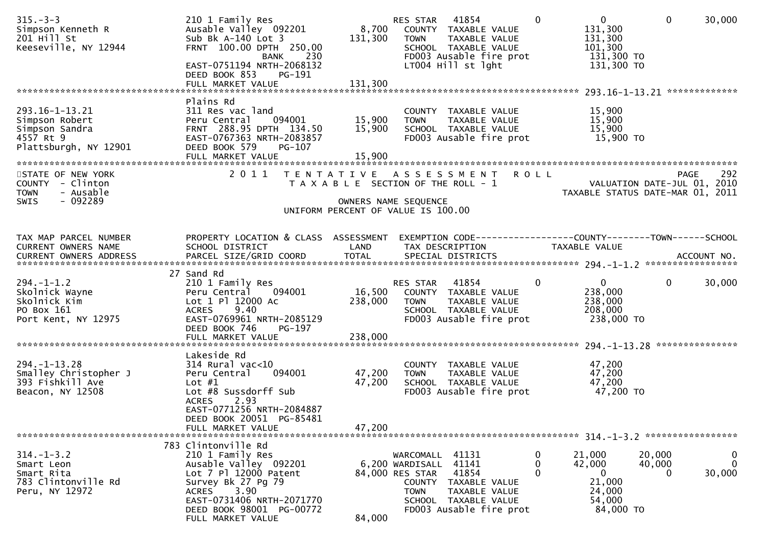| 210 1 Family Res<br>Ausable Valley 092201<br>Sub Bk $A-140$ Lot 3<br>FRNT 100.00 DPTH 250.00<br>230<br>BANK<br>EAST-0751194 NRTH-2068132                           | 8,700<br>131,300                                                                                 | 41854<br>COUNTY TAXABLE VALUE<br><b>TOWN</b><br>TAXABLE VALUE<br>SCHOOL TAXABLE VALUE<br>FD003 Ausable fire prot<br>LT004 Hill st lght | $\overline{0}$<br>131,300<br>131,300<br>101,300                                                                                                                                                                                    | $\mathbf{0}$<br>30,000                                                                                                                                                                                                |
|--------------------------------------------------------------------------------------------------------------------------------------------------------------------|--------------------------------------------------------------------------------------------------|----------------------------------------------------------------------------------------------------------------------------------------|------------------------------------------------------------------------------------------------------------------------------------------------------------------------------------------------------------------------------------|-----------------------------------------------------------------------------------------------------------------------------------------------------------------------------------------------------------------------|
| FULL MARKET VALUE                                                                                                                                                  | 131,300                                                                                          |                                                                                                                                        |                                                                                                                                                                                                                                    |                                                                                                                                                                                                                       |
| Plains Rd<br>311 Res vac land<br>Peru Central<br>094001<br>FRNT 288.95 DPTH 134.50<br>EAST-0767363 NRTH-2083857<br>DEED BOOK 579<br>PG-107<br>FULL MARKET VALUE    | 15,900<br>15,900<br>15,900                                                                       | COUNTY TAXABLE VALUE<br><b>TOWN</b><br>TAXABLE VALUE<br>SCHOOL TAXABLE VALUE<br>FD003 Ausable fire prot                                | 15,900<br>15,900<br>15,900                                                                                                                                                                                                         |                                                                                                                                                                                                                       |
| 2011                                                                                                                                                               |                                                                                                  |                                                                                                                                        |                                                                                                                                                                                                                                    | 292<br>PAGE<br>VALUATION DATE-JUL 01, 2010<br>TAXABLE STATUS DATE-MAR 01, 2011                                                                                                                                        |
| SCHOOL DISTRICT                                                                                                                                                    | LAND                                                                                             | TAX DESCRIPTION                                                                                                                        | <b>TAXABLE VALUE</b>                                                                                                                                                                                                               |                                                                                                                                                                                                                       |
| 210 1 Family Res<br>Peru Central<br>094001<br>Lot 1 Pl 12000 Ac<br>9.40<br><b>ACRES</b><br>EAST-0769961 NRTH-2085129<br>DEED BOOK 746<br>PG-197                    | 16,500<br>238,000                                                                                | COUNTY TAXABLE VALUE<br>TAXABLE VALUE<br><b>TOWN</b><br>SCHOOL TAXABLE VALUE<br>FD003 Ausable fire prot                                | $\overline{0}$<br>238,000<br>238,000<br>208,000                                                                                                                                                                                    | $\mathbf 0$<br>30,000                                                                                                                                                                                                 |
|                                                                                                                                                                    |                                                                                                  |                                                                                                                                        |                                                                                                                                                                                                                                    |                                                                                                                                                                                                                       |
| $314$ Rural vac< $10$<br>Peru Central<br>094001<br>Lot $#1$<br>Lot #8 Sussdorff Sub<br><b>ACRES</b><br>2.93<br>EAST-0771256 NRTH-2084887                           | 47,200<br>47,200                                                                                 | COUNTY TAXABLE VALUE<br>TAXABLE VALUE<br><b>TOWN</b><br>SCHOOL TAXABLE VALUE<br>FD003 Ausable fire prot                                | 47,200<br>47,200<br>47,200                                                                                                                                                                                                         |                                                                                                                                                                                                                       |
| DEED BOOK 20051 PG-85481<br>FULL MARKET VALUE                                                                                                                      | 47,200                                                                                           |                                                                                                                                        |                                                                                                                                                                                                                                    |                                                                                                                                                                                                                       |
| 210 1 Family Res<br>Ausable Valley 092201<br>Lot 7 Pl 12000 Patent<br>Survey Bk 27 Pg 79<br>3.90<br>ACRES<br>EAST-0731406 NRTH-2071770<br>DEED BOOK 98001 PG-00772 |                                                                                                  | 41141<br>41854<br>COUNTY TAXABLE VALUE<br><b>TOWN</b><br>TAXABLE VALUE<br>SCHOOL TAXABLE VALUE<br>FD003 Ausable fire prot              | 21,000<br>42,000<br>0<br>21,000<br>24,000<br>54,000                                                                                                                                                                                | 20,000<br>$\bf{0}$<br>$\mathbf{0}$<br>40,000<br>30,000<br>0                                                                                                                                                           |
|                                                                                                                                                                    | DEED BOOK 853<br>PG-191<br>27 Sand Rd<br>Lakeside Rd<br>783 Clintonville Rd<br>FULL MARKET VALUE | 84,000                                                                                                                                 | RES STAR<br>T A X A B L E SECTION OF THE ROLL - 1<br>OWNERS NAME SEQUENCE<br>UNIFORM PERCENT OF VALUE IS 100.00<br>PROPERTY LOCATION & CLASS ASSESSMENT<br>RES STAR 41854<br>WARCOMALL 41131<br>6,200 WARDISALL<br>84,000 RES STAR | $\Omega$<br>131,300 TO<br>131,300 TO<br>15,900 TO<br>TENTATIVE ASSESSMENT ROLL<br>EXEMPTION CODE-----------------COUNTY-------TOWN------SCHOOL<br>$\mathbf{0}$<br>238,000 TO<br>47,200 TO<br>0<br>0<br>O<br>84,000 TO |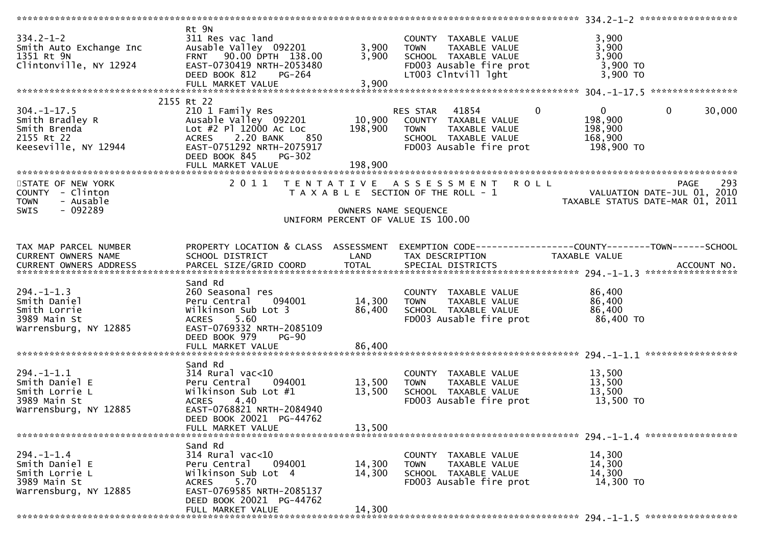| $334.2 - 1 - 2$                                                              | Rt 9N<br>311 Res vac land                             |                           | COUNTY TAXABLE VALUE                                                                             | 3,900                                                             |        |
|------------------------------------------------------------------------------|-------------------------------------------------------|---------------------------|--------------------------------------------------------------------------------------------------|-------------------------------------------------------------------|--------|
|                                                                              | Ausable Valley 092201                                 | 3,900                     | TOWN TAXABLE VALUE                                                                               | 3,900                                                             |        |
| 334.2-1-2<br>Smith Auto Exchange Inc<br>1351 Rt 9N<br>Clintonville, NY 12924 | FRNT 90.00 DPTH 138.00                                | 3,900                     | SCHOOL TAXABLE VALUE                                                                             | 3,900                                                             |        |
|                                                                              | EAST-0730419 NRTH-2053480                             |                           | FD003 Ausable fire prot                                                                          | 3,900 TO                                                          |        |
|                                                                              | DEED BOOK 812<br>PG-264                               |                           | LT003 Clntvill lght                                                                              | $3,900$ TO                                                        |        |
|                                                                              | FULL MARKET VALUE                                     | 3,900                     |                                                                                                  |                                                                   |        |
|                                                                              | 2155 Rt 22                                            |                           |                                                                                                  |                                                                   |        |
| $304. -1 - 17.5$                                                             |                                                       |                           | $\mathbf{0}$<br>RES STAR 41854                                                                   | $0 \qquad \qquad$<br>$\mathbf{0}$                                 | 30,000 |
| Smith Bradley R<br>smith Brenda                                              |                                                       |                           |                                                                                                  | 198,900                                                           |        |
| Smith Brenda<br>2155 Rt 22                                                   | 2.20 BANK<br>850<br><b>ACRES</b>                      |                           | SCHOOL TAXABLE VALUE                                                                             | 198,900<br>168,900                                                |        |
| Keeseville, NY 12944                                                         | EAST-0751292 NRTH-2075917                             |                           | FD003 Ausable fire prot                                                                          | 198,900 то                                                        |        |
|                                                                              | DEED BOOK 845<br><b>PG-302</b>                        |                           |                                                                                                  |                                                                   |        |
|                                                                              |                                                       |                           |                                                                                                  |                                                                   |        |
|                                                                              |                                                       |                           |                                                                                                  |                                                                   |        |
| STATE OF NEW YORK                                                            |                                                       |                           | 2011 TENTATIVE ASSESSMENT<br><b>ROLL</b><br>T A X A B L E SECTION OF THE ROLL - 1                | PAGE<br>$\frac{1}{2}$ - $\frac{1}{2}$ VALUATION DATE-JUL 01, 2010 | 293    |
| COUNTY - Clinton<br>- Ausable<br><b>TOWN</b>                                 |                                                       |                           |                                                                                                  | TAXABLE STATUS DATE-MAR 01, 2011                                  |        |
| - 092289<br><b>SWIS</b>                                                      |                                                       |                           | OWNERS NAME SEQUENCE                                                                             |                                                                   |        |
|                                                                              |                                                       |                           | UNIFORM PERCENT OF VALUE IS 100.00                                                               |                                                                   |        |
|                                                                              |                                                       |                           |                                                                                                  |                                                                   |        |
| TAX MAP PARCEL NUMBER                                                        |                                                       |                           | PROPERTY LOCATION & CLASS ASSESSMENT EXEMPTION CODE----------------COUNTY-------TOWN------SCHOOL |                                                                   |        |
| CURRENT OWNERS NAME                                                          | SCHOOL DISTRICT                                       | <b>Example 12 DE LAND</b> | TAX DESCRIPTION                                                                                  | TAXABLE VALUE                                                     |        |
|                                                                              |                                                       |                           |                                                                                                  |                                                                   |        |
|                                                                              |                                                       |                           |                                                                                                  |                                                                   |        |
| $294. - 1 - 1.3$                                                             | Sand Rd<br>260 Seasonal res                           |                           | COUNTY TAXABLE VALUE                                                                             | 86,400                                                            |        |
| Smith Daniel                                                                 | Peru Central 094001                                   | 14,300                    | <b>TOWN</b><br>TAXABLE VALUE                                                                     | 86,400                                                            |        |
| Smith Lorrie                                                                 | Wilkinson Sub Lot 3                                   | 86,400                    | SCHOOL TAXABLE VALUE                                                                             | 86,400                                                            |        |
| 3989 Main St                                                                 | 5.60<br><b>ACRES</b>                                  |                           | FD003 Ausable fire prot                                                                          | 86,400 TO                                                         |        |
| Warrensburg, NY 12885                                                        | EAST-0769332 NRTH-2085109                             |                           |                                                                                                  |                                                                   |        |
|                                                                              | DEED BOOK 979<br>$PG-90$                              |                           |                                                                                                  |                                                                   |        |
|                                                                              | FULL MARKET VALUE                                     | 86,400                    |                                                                                                  |                                                                   |        |
|                                                                              | Sand Rd                                               |                           |                                                                                                  |                                                                   |        |
| $294. - 1 - 1.1$                                                             | $314$ Rural vac<10                                    |                           | COUNTY TAXABLE VALUE                                                                             | 13,500                                                            |        |
| Smith Daniel E                                                               | Peru Central<br>094001                                | 13,500                    | TAXABLE VALUE<br><b>TOWN</b>                                                                     | 13,500                                                            |        |
| Smith Lorrie L                                                               | Wilkinson Sub Lot #1                                  | 13,500                    | SCHOOL TAXABLE VALUE                                                                             | 13,500                                                            |        |
| 3989 Main St                                                                 | 4.40<br><b>ACRES</b>                                  |                           | FD003 Ausable fire prot                                                                          | 13,500 TO                                                         |        |
| Warrensburg, NY 12885                                                        | EAST-0768821 NRTH-2084940<br>DEED BOOK 20021 PG-44762 |                           |                                                                                                  |                                                                   |        |
|                                                                              | FULL MARKET VALUE                                     | 13,500                    |                                                                                                  |                                                                   |        |
|                                                                              |                                                       |                           |                                                                                                  |                                                                   |        |
|                                                                              | Sand Rd                                               |                           |                                                                                                  |                                                                   |        |
| $294. - 1 - 1.4$<br>Smith Daniel E                                           | $314$ Rural vac<10<br>094001                          |                           | COUNTY TAXABLE VALUE                                                                             | 14,300                                                            |        |
| Smith Lorrie L                                                               | Peru Central<br>Wilkinson Sub Lot 4                   | 14,300<br>14,300          | <b>TOWN</b><br>TAXABLE VALUE<br>SCHOOL TAXABLE VALUE                                             | 14,300<br>14,300                                                  |        |
| 3989 Main St                                                                 | 5.70<br><b>ACRES</b>                                  |                           | FD003 Ausable fire prot                                                                          | 14,300 TO                                                         |        |
| Warrensburg, NY 12885                                                        | EAST-0769585 NRTH-2085137                             |                           |                                                                                                  |                                                                   |        |
|                                                                              | DEED BOOK 20021 PG-44762                              |                           |                                                                                                  |                                                                   |        |
|                                                                              | FULL MARKET VALUE                                     | 14,300                    |                                                                                                  |                                                                   |        |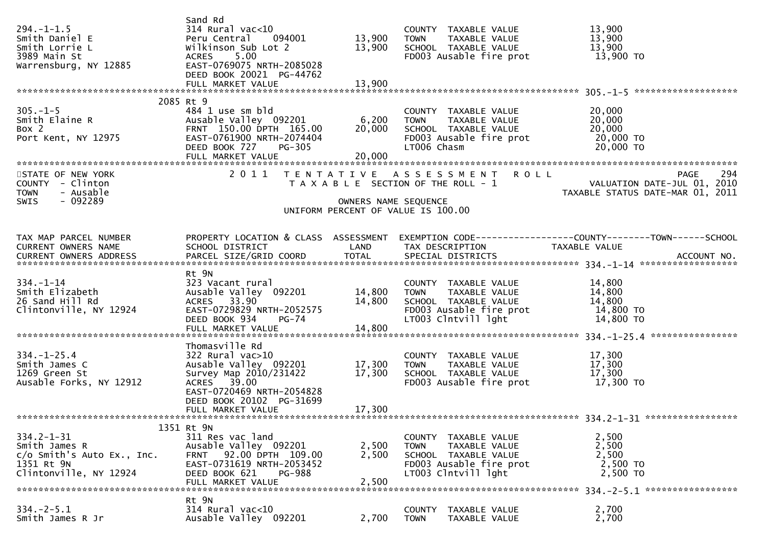| $294. -1 - 1.5$<br>Smith Daniel E<br>Smith Lorrie L<br>3989 Main St<br>Warrensburg, NY 12885              | Sand Rd<br>314 Rural vac<10<br>Peru Central 094001<br>Wilkinson Sub Lot 2<br>5.00<br>ACRES<br>EAST-0769075 NRTH-2085028<br>DEED BOOK 20021 PG-44762                     | 13,900<br>13,900           | COUNTY TAXABLE VALUE<br><b>TOWN</b><br>TAXABLE VALUE<br>SCHOOL TAXABLE VALUE<br>FD003 Ausable fire prot                        | 13,900<br>13,900<br>13,900<br>13,900 TO                                                                                                                                                                          |
|-----------------------------------------------------------------------------------------------------------|-------------------------------------------------------------------------------------------------------------------------------------------------------------------------|----------------------------|--------------------------------------------------------------------------------------------------------------------------------|------------------------------------------------------------------------------------------------------------------------------------------------------------------------------------------------------------------|
|                                                                                                           | 2085 Rt 9                                                                                                                                                               |                            |                                                                                                                                |                                                                                                                                                                                                                  |
| $305. - 1 - 5$<br>Smith Elaine R<br>Box 2<br>Port Kent, NY 12975                                          | 484 1 use sm bld<br>Ausable Valley 092201 6,200<br>FRNT 150.00 DPTH 165.00<br>EAST-0761900 NRTH-2074404<br>DEED BOOK 727<br>PG-305<br>FULL MARKET VALUE                 | 20,000<br>20,000           | COUNTY TAXABLE VALUE<br>TOWN TAXABLE VALUE<br>SCHOOL TAXABLE VALUE<br>FD003 Ausable fire prot<br>LT006 Chasm                   | 20,000<br>20,000<br>20,000<br>20,000 TO<br>20,000 TO                                                                                                                                                             |
| STATE OF NEW YORK<br>COUNTY - Clinton<br>- Ausable<br><b>TOWN</b><br>$-092289$<br><b>SWIS</b>             |                                                                                                                                                                         | OWNERS NAME SEQUENCE       | 2011 TENTATIVE ASSESSMENT ROLL<br>UNIFORM PERCENT OF VALUE IS 100.00                                                           | 294<br>PAGE<br>T A X A B L E SECTION OF THE ROLL - 1<br>VALUATION DATE-JUL 01, 2010<br>TAXABLE STATUS DATE-MAR 01, 2011                                                                                          |
|                                                                                                           |                                                                                                                                                                         |                            |                                                                                                                                |                                                                                                                                                                                                                  |
| TAX MAP PARCEL NUMBER<br>CURRENT OWNERS NAME<br>CURRENT OWNERS ADDRESS                                    | SCHOOL DISTRICT                                                                                                                                                         | LAND                       | TAX DESCRIPTION                                                                                                                | PROPERTY LOCATION & CLASS ASSESSMENT EXEMPTION CODE----------------COUNTY-------TOWN------SCHOOL<br>TAXABLE VALUE<br>CURRENT OWNERS ADDRESS FARCEL SIZE/GRID COORD TOTAL SPECIAL DISTRICTS (2011-19) ACCOUNT NO. |
| 334.-1-14<br>Smith Elizabeth<br>26 Sand Hill Rd<br>Clintonville, NY 12924                                 | Rt 9N<br>323 Vacant rural<br>Ausable Valley 092201<br>ACRES 33.90<br>EAST-0729829 NRTH-2052575<br>DEED BOOK 934<br>PG-74<br>FULL MARKET VALUE                           | 14,800<br>14,800<br>14,800 | COUNTY TAXABLE VALUE<br><b>TOWN</b><br>TAXABLE VALUE<br>SCHOOL TAXABLE VALUE<br>FD003 Ausable fire prot<br>LT003 Clntvill lght | 14,800<br>14,800<br>14,800<br>14,800 TO<br>14,800 TO                                                                                                                                                             |
|                                                                                                           | Thomasville Rd                                                                                                                                                          |                            |                                                                                                                                |                                                                                                                                                                                                                  |
| $334. - 1 - 25.4$<br>Smith James C<br>1269 Green St<br>Ausable Forks, NY 12912                            | 322 Rural vac>10<br>Ausable Valley 092201 17,300<br>Survey Map 2010/231422<br>ACRES 39.00<br>EAST-0720469 NRTH-2054828<br>DEED BOOK 20102 PG-31699<br>FULL MARKET VALUE | 17,300<br>17,300           | COUNTY TAXABLE VALUE<br>TAXABLE VALUE<br>TOWN<br>SCHOOL TAXABLE VALUE<br>FD003 Ausable fire prot                               | 17,300<br>17,300<br>17,300<br>17,300 TO                                                                                                                                                                          |
|                                                                                                           |                                                                                                                                                                         |                            |                                                                                                                                |                                                                                                                                                                                                                  |
| $334.2 - 1 - 31$<br>Smith James R<br>$c/O$ Smith's Auto Ex., Inc.<br>1351 Rt 9N<br>Clintonville, NY 12924 | 1351 Rt 9N<br>311 Res vac land<br>Ausable Valley 092201<br>FRNT 92.00 DPTH 109.00<br>EAST-0731619 NRTH-2053452<br>DEED BOOK 621<br><b>PG-988</b><br>FULL MARKET VALUE   | 2,500<br>2,500<br>2,500    | COUNTY TAXABLE VALUE<br>TAXABLE VALUE<br><b>TOWN</b><br>SCHOOL TAXABLE VALUE<br>FD003 Ausable fire prot<br>LT003 Clntvill lght | 2,500<br>2,500<br>2,500<br>2,500 TO<br>2,500 TO                                                                                                                                                                  |
| $334. -2 - 5.1$<br>Smith James R Jr                                                                       | Rt 9N<br>$314$ Rural vac<10<br>Ausable Valley 092201                                                                                                                    | 2,700                      | COUNTY TAXABLE VALUE<br><b>TOWN</b><br>TAXABLE VALUE                                                                           | 2,700<br>2,700                                                                                                                                                                                                   |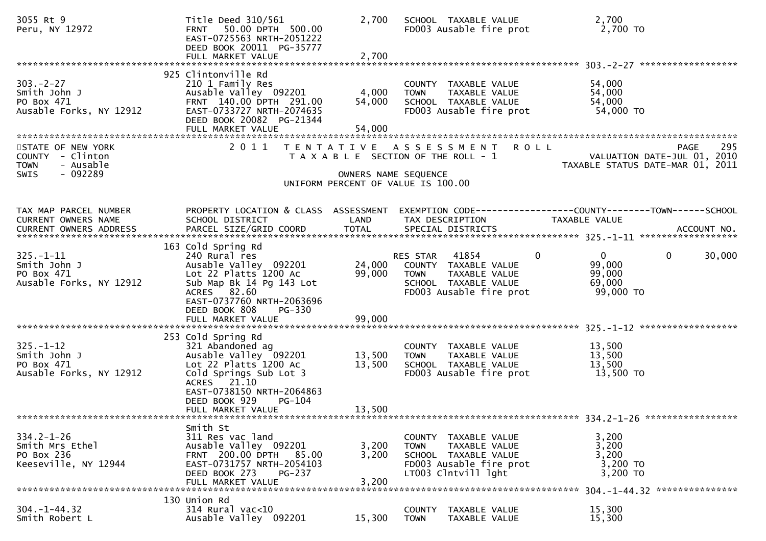| 3055 Rt 9<br>Peru, NY 12972                                                                  | Title Deed 310/561<br>FRNT 50.00 DPTH 500.00<br>EAST-0725563 NRTH-2051222<br>DEED BOOK 20011 PG-35777<br>FULL MARKET VALUE                                                                                       | 2,700<br>2,700             | SCHOOL TAXABLE VALUE<br>FD003 Ausable fire prot                                                                                            | 2,700<br>2,700 TO                                                                                                                                                              |
|----------------------------------------------------------------------------------------------|------------------------------------------------------------------------------------------------------------------------------------------------------------------------------------------------------------------|----------------------------|--------------------------------------------------------------------------------------------------------------------------------------------|--------------------------------------------------------------------------------------------------------------------------------------------------------------------------------|
| $303 - 2 - 27$<br>Smith John J<br>PO Box 471<br>Ausable Forks, NY 12912                      | 925 Clintonville Rd<br>210 1 Family Res<br>Ausable Valley 092201<br>FRNT 140.00 DPTH 291.00<br>EAST-0733727 NRTH-2074635<br>DEED BOOK 20082 PG-21344                                                             | 4,000<br>54,000            | COUNTY TAXABLE VALUE<br><b>TOWN</b><br>TAXABLE VALUE<br>SCHOOL TAXABLE VALUE<br>FD003 Ausable fire prot                                    | 54,000<br>54,000<br>54,000<br>54,000 TO                                                                                                                                        |
| STATE OF NEW YORK<br>COUNTY - Clinton<br>- Ausable<br><b>TOWN</b><br>- 092289<br><b>SWIS</b> | 2011                                                                                                                                                                                                             |                            | TENTATIVE ASSESSMENT<br><b>ROLL</b><br>T A X A B L E SECTION OF THE ROLL - 1<br>OWNERS NAME SEQUENCE<br>UNIFORM PERCENT OF VALUE IS 100.00 | 295<br>PAGE<br>VALUATION DATE-JUL 01, 2010<br>TAXABLE STATUS DATE-MAR 01, 2011                                                                                                 |
| TAX MAP PARCEL NUMBER<br>CURRENT OWNERS NAME                                                 | PROPERTY LOCATION & CLASS ASSESSMENT<br>SCHOOL DISTRICT                                                                                                                                                          | LAND                       | TAX DESCRIPTION                                                                                                                            | EXEMPTION CODE-----------------COUNTY-------TOWN------SCHOOL<br><b>TAXABLE VALUE</b><br>CURRENT OWNERS ADDRESS PARCEL SIZE/GRID COORD TOTAL SPECIAL DISTRICTS 700. ACCOUNT NO. |
| $325. - 1 - 11$<br>Smith John J<br>PO Box 471<br>Ausable Forks, NY 12912                     | 163 Cold Spring Rd<br>240 Rural res<br>Ausable Valley 092201<br>Lot 22 Platts 1200 Ac<br>Sub Map Bk 14 Pg 143 Lot<br>ACRES 82.60<br>EAST-0737760 NRTH-2063696<br>DEED BOOK 808<br>PG-330<br>FULL MARKET VALUE    | 24,000<br>99,000<br>99,000 | RES STAR 41854<br>COUNTY TAXABLE VALUE<br>TAXABLE VALUE<br><b>TOWN</b><br>SCHOOL TAXABLE VALUE<br>FD003 Ausable fire prot                  | $\Omega$<br>$\mathbf{0}$<br>$\mathbf{0}$<br>30,000<br>99,000<br>99,000<br>69,000<br>99,000 TO                                                                                  |
| $325. - 1 - 12$<br>Smith John J<br>PO Box 471<br>Ausable Forks, NY 12912                     | 253 Cold Spring Rd<br>321 Abandoned ag<br>Ausable Valley 092201<br>Lot 22 Platts 1200 Ac<br>Cold Springs Sub Lot 3<br>ACRES 21.10<br>EAST-0738150 NRTH-2064863<br>DEED BOOK 929<br>$PG-104$<br>FULL MARKET VALUE | 13,500<br>13,500<br>13,500 | COUNTY TAXABLE VALUE<br>TAXABLE VALUE<br><b>TOWN</b><br>SCHOOL TAXABLE VALUE<br>FD003 Ausable fire prot                                    | 13,500<br>13,500<br>13,500<br>13,500 TO                                                                                                                                        |
| $334.2 - 1 - 26$<br>Smith Mrs Ethel<br>PO Box 236<br>Keeseville, NY 12944                    | Smith St<br>311 Res vac land<br>Ausable Valley 092201<br>FRNT 200.00 DPTH 85.00<br>EAST-0731757 NRTH-2054103<br>DEED BOOK 273<br><b>PG-237</b>                                                                   | 3,200<br>3,200             | COUNTY TAXABLE VALUE<br><b>TOWN</b><br>TAXABLE VALUE<br>SCHOOL TAXABLE VALUE<br>FD003 Ausable fire prot<br>LT003 Clntvill lght             | 3,200<br>3,200<br>3,200<br>3,200 TO<br>3,200 TO<br>304. -1-44.32 ****************                                                                                              |
| $304. - 1 - 44.32$<br>Smith Robert L                                                         | 130 Union Rd<br>314 Rural vac<10<br>Ausable Valley 092201                                                                                                                                                        | 15,300                     | COUNTY TAXABLE VALUE<br><b>TOWN</b><br>TAXABLE VALUE                                                                                       | 15,300<br>15,300                                                                                                                                                               |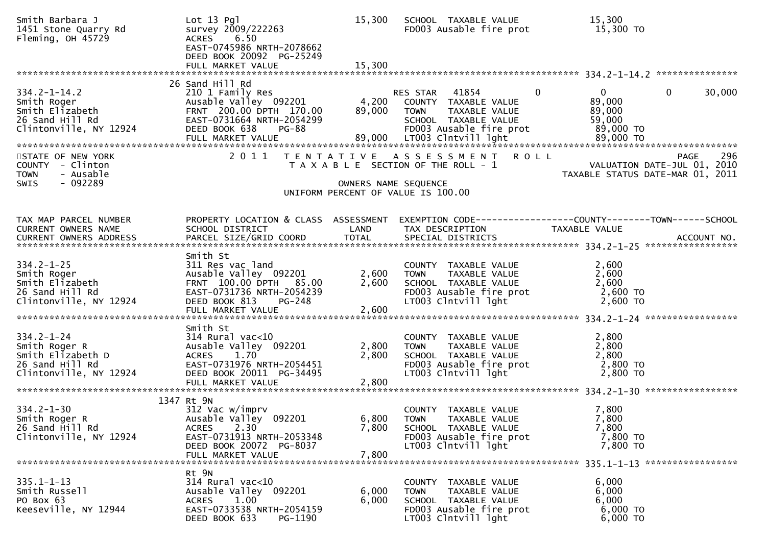| Smith Barbara J<br>1451 Stone Quarry Rd<br>Fleming, OH 45729                                        | $Lot 13$ $Pq1$<br>survey 2009/222263<br>ACRES 6.50<br>EAST-0745986 NRTH-2078662<br>DEED BOOK 20092 PG-25249                                           | 15,300                  | SCHOOL TAXABLE VALUE<br>FD003 Ausable fire prot                                                                                                                  | 15,300<br>15,300 TO                                                                                               |
|-----------------------------------------------------------------------------------------------------|-------------------------------------------------------------------------------------------------------------------------------------------------------|-------------------------|------------------------------------------------------------------------------------------------------------------------------------------------------------------|-------------------------------------------------------------------------------------------------------------------|
|                                                                                                     |                                                                                                                                                       |                         |                                                                                                                                                                  |                                                                                                                   |
| $334.2 - 1 - 14.2$<br>Smith Roger<br>Smith Elizabeth<br>26 Sand Hill Rd<br>Clintonville, NY 12924   | 26 Sand Hill Rd<br>210 1 Family Res<br>Ausable Valley 092201<br>FRNT 200.00 DPTH 170.00<br>EAST-0731664 NRTH-2054299<br>DEED BOOK 638<br><b>PG-88</b> | 4,200<br>89,000         | RES STAR 41854<br>$\Omega$<br>COUNTY TAXABLE VALUE<br>TAXABLE VALUE<br><b>TOWN</b><br>SCHOOL TAXABLE VALUE<br>FD003 Ausable fire prot                            | 30,000<br>$\mathbf{0}$<br>$\mathbf{0}$<br>89,000<br>89,000<br>59,000<br>89,000 TO                                 |
| STATE OF NEW YORK                                                                                   |                                                                                                                                                       |                         | 2011 TENTATIVE ASSESSMENT ROLL                                                                                                                                   | 296<br><b>PAGE</b>                                                                                                |
| COUNTY - Clinton<br><b>TOWN</b><br>- Ausable                                                        |                                                                                                                                                       |                         | T A X A B L E SECTION OF THE ROLL - 1                                                                                                                            | VALUATION DATE-JUL 01, 2010<br>TAXABLE STATUS DATE-MAR 01, 2011                                                   |
| - 092289<br><b>SWIS</b>                                                                             |                                                                                                                                                       | OWNERS NAME SEQUENCE    | UNIFORM PERCENT OF VALUE IS 100.00                                                                                                                               |                                                                                                                   |
|                                                                                                     |                                                                                                                                                       |                         |                                                                                                                                                                  |                                                                                                                   |
| TAX MAP PARCEL NUMBER<br>CURRENT OWNERS NAME                                                        | SCHOOL DISTRICT                                                                                                                                       | LAND                    | TAX DESCRIPTION                                                                                                                                                  | PROPERTY LOCATION & CLASS ASSESSMENT EXEMPTION CODE----------------COUNTY-------TOWN------SCHOOL<br>TAXABLE VALUE |
|                                                                                                     |                                                                                                                                                       |                         |                                                                                                                                                                  |                                                                                                                   |
| $334.2 - 1 - 25$<br>Smith Roger<br>Smith Elizabeth<br>26 Sand Hill Rd<br>Clintonville, NY 12924     | Smith St<br>311 Res vac land<br>Ausable Valley 092201<br>FRNT 100.00 DPTH 85.00<br>EAST-0731736 NRTH-2054239<br>DEED BOOK 813 PG-248                  | 2,600<br>2,600          | COUNTY TAXABLE VALUE<br>TAXABLE VALUE<br>TAXABLE VALUE<br>- TAXABLE VII<br><b>TOWN</b><br>SCHOOL TAXABLE VALUE<br>FD003 Ausable fire prot<br>LT003 Clntvill lght | 2,600<br>2,600<br>2,600<br>2,600 TO<br>$2,600$ TO                                                                 |
|                                                                                                     | Smith St                                                                                                                                              |                         |                                                                                                                                                                  |                                                                                                                   |
| $334.2 - 1 - 24$<br>Smith Roger R<br>Smith Elizabeth D<br>26 Sand Hill Rd<br>Clintonville, NY 12924 | $314$ Rural vac<10<br>Ausable Valley 092201<br>ACRES 1.70<br>EAST-0731976 NRTH-2054451<br>DEED BOOK 20011 PG-34495<br>FULL MARKET VALUE               | 2,800<br>2,800<br>2,800 | COUNTY TAXABLE VALUE<br>TAXABLE VALUE<br>TOWN<br>SCHOOL TAXABLE VALUE<br>FD003 Ausable fire prot<br>LT003 Clntvill lght                                          | 2,800<br>2,800<br>2,800<br>2,800 TO<br>2,800 TO                                                                   |
|                                                                                                     | 1347 Rt 9N                                                                                                                                            |                         |                                                                                                                                                                  |                                                                                                                   |
| $334.2 - 1 - 30$<br>Smith Roger R<br>26 Sand Hill Rd<br>Clintonville, NY 12924                      | 312 Vac w/imprv<br>Ausable Valley 092201<br>$2.30^{7}$<br><b>ACRES</b><br>EAST-0731913 NRTH-2053348<br>DEED BOOK 20072 PG-8037<br>FULL MARKET VALUE   | 6,800<br>7,800<br>7,800 | COUNTY TAXABLE VALUE<br><b>TOWN</b><br>TAXABLE VALUE<br>SCHOOL TAXABLE VALUE<br>FD003 Ausable fire prot<br>LT003 Clntvill lght                                   | 7,800<br>7,800<br>7,800<br>7,800 TO<br>7,800 TO                                                                   |
|                                                                                                     |                                                                                                                                                       |                         |                                                                                                                                                                  |                                                                                                                   |
| $335.1 - 1 - 13$<br>Smith Russell<br>PO Box 63<br>Keeseville, NY 12944                              | Rt 9N<br>314 Rural vac<10<br>Ausable Valley 092201<br><b>ACRES</b><br>1.00<br>EAST-0733538 NRTH-2054159<br>DEED BOOK 633<br>PG-1190                   | 6,000<br>6,000          | COUNTY TAXABLE VALUE<br>TAXABLE VALUE<br><b>TOWN</b><br>SCHOOL TAXABLE VALUE<br>FD003 Ausable fire prot<br>LT003 Clntvill lght                                   | 6,000<br>6,000<br>6,000<br>6,000 TO<br>6,000 TO                                                                   |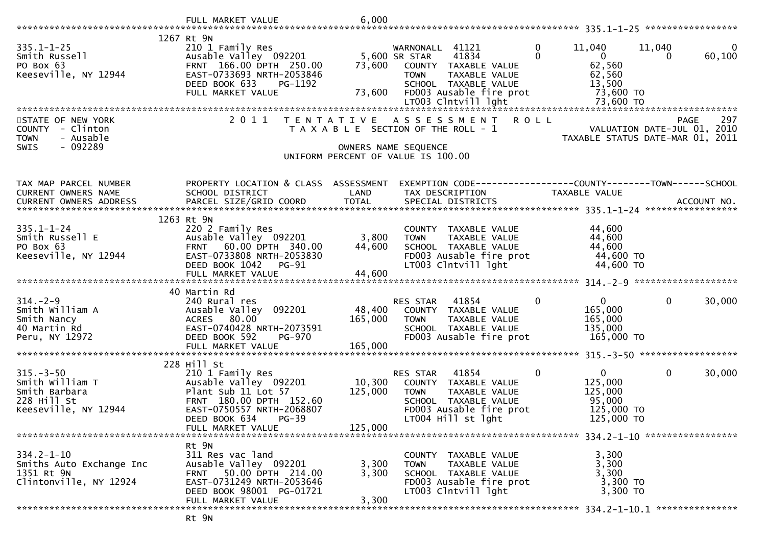| $335.1 - 1 - 25$<br>Smith Russell<br>PO Box 63<br>Keeseville, NY 12944                        | 1267 Rt 9N<br>210 1 Family Res<br>Ausable Valley 092201<br>FRNT 166.00 DPTH 250.00<br>EAST-0733693 NRTH-2053846<br>DEED BOOK 633<br>PG-1192<br>FULL MARKET VALUE    | 73,600<br>73,600             | WARNONALL 41121<br>5,600 SR STAR<br>41834<br>COUNTY TAXABLE VALUE<br><b>TOWN</b><br>TAXABLE VALUE<br>SCHOOL TAXABLE VALUE<br>FD003 Ausable fire prot  | $\mathbf 0$<br>11,040<br>$\Omega$<br>$\mathbf{0}$<br>62,560<br>62,560<br>13,500 | $\mathbf{0}$<br>11,040<br>60,100<br>$\Omega$<br>73,600 TO                             |
|-----------------------------------------------------------------------------------------------|---------------------------------------------------------------------------------------------------------------------------------------------------------------------|------------------------------|-------------------------------------------------------------------------------------------------------------------------------------------------------|---------------------------------------------------------------------------------|---------------------------------------------------------------------------------------|
|                                                                                               |                                                                                                                                                                     |                              |                                                                                                                                                       |                                                                                 |                                                                                       |
| STATE OF NEW YORK<br>COUNTY - Clinton<br><b>TOWN</b><br>- Ausable<br>$-092289$<br><b>SWIS</b> | 2011<br>T E N T A T I V E                                                                                                                                           |                              | A S S E S S M E N T<br>T A X A B L E SECTION OF THE ROLL - 1<br>OWNERS NAME SEQUENCE<br>UNIFORM PERCENT OF VALUE IS 100.00                            | <b>ROLL</b>                                                                     | 297<br><b>PAGE</b><br>VALUATION DATE-JUL 01, 2010<br>TAXABLE STATUS DATE-MAR 01, 2011 |
| TAX MAP PARCEL NUMBER<br>CURRENT OWNERS NAME                                                  | PROPERTY LOCATION & CLASS ASSESSMENT<br>SCHOOL DISTRICT                                                                                                             | LAND                         | TAX DESCRIPTION                                                                                                                                       | TAXABLE VALUE                                                                   |                                                                                       |
| $335.1 - 1 - 24$<br>Smith Russell E<br>PO Box 63<br>Keeseville, NY 12944                      | 1263 Rt 9N<br>220 2 Family Res<br>Ausable Valley 092201<br>FRNT 60.00 DPTH 340.00<br>EAST-0733808 NRTH-2053830<br>DEED BOOK 1042<br>$PG-91$                         | 3,800<br>44,600              | COUNTY TAXABLE VALUE<br>TAXABLE VALUE<br><b>TOWN</b><br>SCHOOL TAXABLE VALUE<br>FD003 Ausable fire prot<br>LT003 Clntvill lght                        | 44,600<br>44,600<br>44,600<br>44,600 TO                                         | 44,600 TO                                                                             |
|                                                                                               | 40 Martin Rd                                                                                                                                                        |                              |                                                                                                                                                       |                                                                                 |                                                                                       |
| $314. - 2 - 9$<br>Smith William A<br>Smith Nancy<br>40 Martin Rd<br>Peru, NY 12972            | 240 Rural res<br>Ausable Valley 092201<br>ACRES 80.00<br>EAST-0740428 NRTH-2073591<br>DEED BOOK 592<br>PG-970<br>FULL MARKET VALUE                                  | 48,400<br>165,000<br>165,000 | 41854<br>RES STAR<br>COUNTY TAXABLE VALUE<br>TAXABLE VALUE<br><b>TOWN</b><br>SCHOOL TAXABLE VALUE<br>FD003 Ausable fire prot                          | $\mathbf 0$<br>$\mathbf{0}$<br>165,000<br>165,000<br>135,000<br>165,000 TO      | $\mathbf{0}$<br>30,000                                                                |
|                                                                                               |                                                                                                                                                                     |                              |                                                                                                                                                       |                                                                                 |                                                                                       |
| $315. - 3 - 50$<br>Smith William T<br>Smith Barbara<br>228 Hill St<br>Keeseville, NY 12944    | 228 Hill St<br>210 1 Family Res<br>Ausable Valley 092201<br>Plant Sub 11 Lot 57<br>FRNT 180.00 DPTH 152.60<br>EAST-0750557 NRTH-2068807<br>DEED BOOK 634<br>$PG-39$ | 10,300<br>125,000            | RES STAR<br>41854<br>COUNTY<br>TAXABLE VALUE<br><b>TOWN</b><br>TAXABLE VALUE<br>SCHOOL TAXABLE VALUE<br>FD003 Ausable fire prot<br>LT004 Hill st lght | $\mathbf{0}$<br>$\mathbf{0}$<br>125,000<br>125,000<br>95,000<br>125,000 TO      | $\mathbf 0$<br>30,000<br>125,000 TO                                                   |
|                                                                                               | FULL MARKET VALUE                                                                                                                                                   | 125,000                      |                                                                                                                                                       |                                                                                 |                                                                                       |
| $334.2 - 1 - 10$<br>Smiths Auto Exchange Inc<br>1351 Rt 9N<br>Clintonville, NY 12924          | Rt 9N<br>311 Res vac land<br>Ausable Valley 092201<br>50.00 DPTH 214.00<br>FRNT<br>EAST-0731249 NRTH-2053646<br>DEED BOOK 98001 PG-01721<br>FULL MARKET VALUE       | 3,300<br>3,300<br>3,300      | COUNTY<br>TAXABLE VALUE<br>TAXABLE VALUE<br><b>TOWN</b><br>SCHOOL TAXABLE VALUE<br>FD003 Ausable fire prot<br>LT003 Clntvill lght                     | 3,300<br>3,300<br>3,300                                                         | 3,300 TO<br>3,300 TO                                                                  |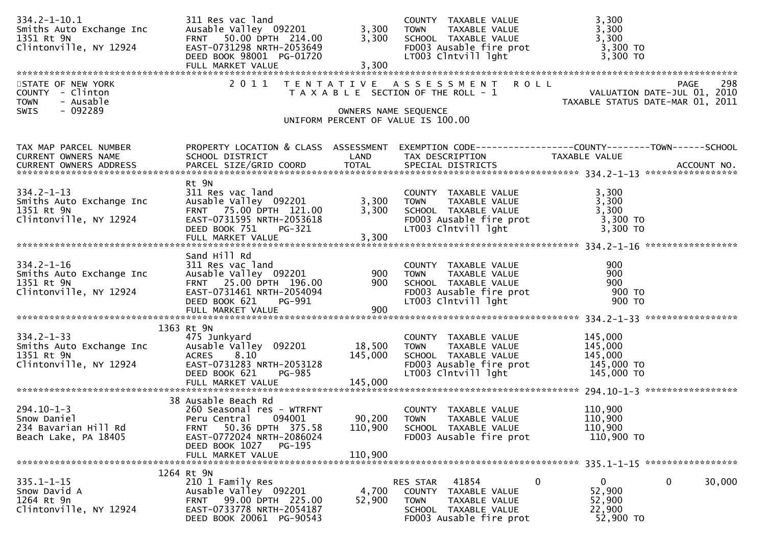| $334.2 - 1 - 10.1$<br>Smiths Auto Exchange Inc<br>1351 Rt 9N<br>Clintonville, NY 12924                 | 311 Res vac land<br>Ausable Valley 092201<br>FRNT 50.00 DPTH 214.00<br>EAST-0731298 NRTH-2053649<br>DEED BOOK 98001 PG-01720                                                          | 3,300<br>3,300               | COUNTY TAXABLE VALUE<br>TAXABLE VALUE<br><b>TOWN</b><br>SCHOOL TAXABLE VALUE<br>$FD003$ Ausable fire prot<br>LT003 Clntvill lght | 3,300<br>3,300<br>3,300<br>3,300 TO<br>3,300 TO                                        |
|--------------------------------------------------------------------------------------------------------|---------------------------------------------------------------------------------------------------------------------------------------------------------------------------------------|------------------------------|----------------------------------------------------------------------------------------------------------------------------------|----------------------------------------------------------------------------------------|
| STATE OF NEW YORK<br>COUNTY - Clinton<br>- Ausable<br><b>TOWN</b><br>$-092289$<br>SWIS                 |                                                                                                                                                                                       | OWNERS NAME SEQUENCE         | 2011 TENTATIVE ASSESSMENT ROLL<br>T A X A B L E SECTION OF THE ROLL - 1<br>UNIFORM PERCENT OF VALUE IS 100.00                    | 298<br>PAGE<br>TAXABLE STATUS DATE-MAR 01, 2011                                        |
|                                                                                                        |                                                                                                                                                                                       |                              |                                                                                                                                  |                                                                                        |
| TAX MAP PARCEL NUMBER<br>CURRENT OWNERS NAME                                                           | PROPERTY LOCATION & CLASS ASSESSMENT<br>SCHOOL DISTRICT                                                                                                                               | LAND                         | TAX DESCRIPTION                                                                                                                  | EXEMPTION CODE------------------COUNTY--------TOWN------SCHOOL<br>TAXABLE VALUE        |
| $334.2 - 1 - 13$<br>Smiths Auto Exchange Inc<br>1351 Rt 9N<br>Clintonville, NY 12924                   | Rt 9N<br>311 Res vac land<br>Ausable Valley 092201<br>FRNT 75.00 DPTH 121.00<br>EAST-0731595 NRTH-2053618<br>DEED BOOK 751<br>PG-321<br>FULL MARKET VALUE                             | 3,300<br>3,300<br>3,300      | COUNTY TAXABLE VALUE<br>TAXABLE VALUE<br><b>TOWN</b><br>SCHOOL TAXABLE VALUE<br>FDOO3 Ausable fire prot<br>LTOO3 Clntvill lght   | 3,300<br>3,300<br>3,300<br>3,300 TO<br>3,300 TO                                        |
| $334.2 - 1 - 16$<br>Smiths Auto Exchange Inc<br>1351 Rt 9N<br>Clintonville, NY 12924                   | Sand Hill Rd<br>311 Res vac land<br>Ausable Valley 092201<br>FRNT 25.00 DPTH 196.00<br>EAST-0731461 NRTH-2054094<br>DEED BOOK 621<br>PG-991<br>FULL MARKET VALUE                      | 900<br>900<br>900            | COUNTY TAXABLE VALUE<br><b>TOWN</b><br>TAXABLE VALUE<br>SCHOOL TAXABLE VALUE<br>FD003 Ausable fire prot<br>LT003 Clntvill lght   | 900<br>900<br>900<br>900 то<br>900 TO                                                  |
| $334.2 - 1 - 33$<br>$\overline{a}$<br>Smiths Auto Exchange Inc<br>1351 Rt 9N<br>Clintonville, NY 12924 | 1363 Rt 9N<br>475 Junkyard<br>Ausable Valley 092201<br>ACRES 8.10<br>EAST-0731283 NRTH-2053128<br>DEED BOOK 621<br><b>PG-985</b>                                                      | 18,500<br>145,000            | COUNTY TAXABLE VALUE<br>TAXABLE VALUE<br><b>TOWN</b><br>SCHOOL TAXABLE VALUE<br>FD003 Ausable fire prot<br>LT003 Clntvill lght   | 145,000<br>145,000<br>145,000<br>145,000 TO<br>145,000 TO                              |
| $294.10 - 1 - 3$<br>Snow Daniel<br>234 Bavarian Hill Rd<br>Beach Lake, PA 18405                        | 38 Ausable Beach Rd<br>260 Seasonal res - WTRFNT<br>Peru Central<br>094001<br>50.36 DPTH 375.58<br>FRNT<br>EAST-0772024 NRTH-2086024<br>DEED BOOK 1027<br>PG-195<br>FULL MARKET VALUE | 90,200<br>110,900<br>110,900 | COUNTY TAXABLE VALUE<br><b>TOWN</b><br>TAXABLE VALUE<br>SCHOOL TAXABLE VALUE<br>FD003 Ausable fire prot                          | 110,900<br>110,900<br>110,900<br>110,900 TO                                            |
|                                                                                                        | 1264 Rt 9N                                                                                                                                                                            |                              |                                                                                                                                  |                                                                                        |
| $335.1 - 1 - 15$<br>Snow David A<br>1264 Rt 9n<br>Clintonville, NY 12924                               | 210 1 Family Res<br>Ausable Valley 092201<br>99.00 DPTH 225.00<br>FRNT<br>EAST-0733778 NRTH-2054187<br>DEED BOOK 20061 PG-90543                                                       | 4,700<br>52,900              | RES STAR<br>41854<br>COUNTY<br>TAXABLE VALUE<br><b>TOWN</b><br>TAXABLE VALUE<br>SCHOOL TAXABLE VALUE<br>FD003 Ausable fire prot  | $\mathbf{0}$<br>0<br>$\mathbf{0}$<br>30,000<br>52,900<br>52,900<br>22,900<br>52,900 TO |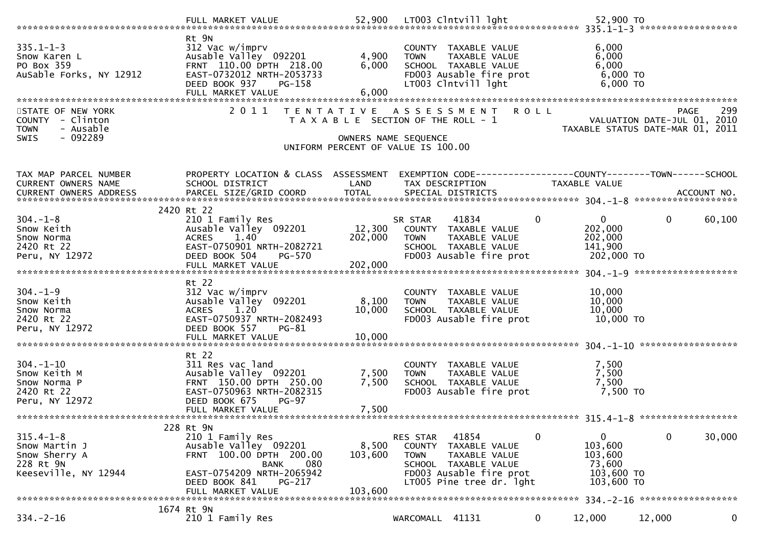| Rt 9N<br>$335.1 - 1 - 3$<br>312 Vac w/imprv<br>6,000<br>COUNTY TAXABLE VALUE<br>4,900<br>6,000<br>Ausable Valley 092201<br>TAXABLE VALUE<br>Snow Karen L<br><b>TOWN</b><br>PO Box 359<br>FRNT 110.00 DPTH 218.00<br>6,000<br>6,000<br>SCHOOL TAXABLE VALUE<br>EAST-0732012 NRTH-2053733<br>$6,000$ TO<br>AuSable Forks, NY 12912<br>FD003 Ausable fire prot<br>$6,000$ TO<br>DEED BOOK 937<br>LT003 Clntvill lght<br>PG-158<br>6,000<br>FULL MARKET VALUE<br>2011<br>STATE OF NEW YORK<br><b>ROLL</b><br>TENTATIVE ASSESSMENT |                        |
|-------------------------------------------------------------------------------------------------------------------------------------------------------------------------------------------------------------------------------------------------------------------------------------------------------------------------------------------------------------------------------------------------------------------------------------------------------------------------------------------------------------------------------|------------------------|
|                                                                                                                                                                                                                                                                                                                                                                                                                                                                                                                               |                        |
|                                                                                                                                                                                                                                                                                                                                                                                                                                                                                                                               |                        |
|                                                                                                                                                                                                                                                                                                                                                                                                                                                                                                                               | 299<br><b>PAGE</b>     |
| COUNTY - Clinton<br>T A X A B L E SECTION OF THE ROLL - 1<br>VALUATION DATE-JUL 01, 2010<br>- Ausable<br><b>TOWN</b><br>TAXABLE STATUS DATE-MAR 01, 2011<br>$-092289$<br>SWIS<br>OWNERS NAME SEQUENCE                                                                                                                                                                                                                                                                                                                         |                        |
| UNIFORM PERCENT OF VALUE IS 100.00                                                                                                                                                                                                                                                                                                                                                                                                                                                                                            |                        |
| PROPERTY LOCATION & CLASS ASSESSMENT<br>EXEMPTION CODE------------------COUNTY--------TOWN------SCHOOL<br>TAX MAP PARCEL NUMBER                                                                                                                                                                                                                                                                                                                                                                                               |                        |
| SCHOOL DISTRICT<br>LAND<br>CURRENT OWNERS NAME<br>TAX DESCRIPTION<br>TAXABLE VALUE                                                                                                                                                                                                                                                                                                                                                                                                                                            |                        |
|                                                                                                                                                                                                                                                                                                                                                                                                                                                                                                                               |                        |
| 2420 Rt 22                                                                                                                                                                                                                                                                                                                                                                                                                                                                                                                    |                        |
| $\mathbf 0$<br>$304. - 1 - 8$<br>41834<br>$\mathbf{0}$<br>210 1 Family Res<br>SR STAR                                                                                                                                                                                                                                                                                                                                                                                                                                         | $\mathbf{0}$<br>60,100 |
| 12,300<br>Ausable Valley 092201<br>202,000<br>Snow Keith<br>COUNTY TAXABLE VALUE                                                                                                                                                                                                                                                                                                                                                                                                                                              |                        |
| 1.40<br>202,000<br>202,000<br>Snow Norma<br><b>ACRES</b><br><b>TOWN</b><br>TAXABLE VALUE                                                                                                                                                                                                                                                                                                                                                                                                                                      |                        |
| EAST-0750901 NRTH-2082721<br>2420 Rt 22<br>141,900<br>SCHOOL TAXABLE VALUE                                                                                                                                                                                                                                                                                                                                                                                                                                                    |                        |
| FD003 Ausable fire prot<br>Peru, NY 12972<br>DEED BOOK 504<br>202,000 TO<br>PG-570                                                                                                                                                                                                                                                                                                                                                                                                                                            |                        |
| 202,000<br>FULL MARKET VALUE                                                                                                                                                                                                                                                                                                                                                                                                                                                                                                  |                        |
|                                                                                                                                                                                                                                                                                                                                                                                                                                                                                                                               |                        |
| Rt 22                                                                                                                                                                                                                                                                                                                                                                                                                                                                                                                         |                        |
| $304. - 1 - 9$<br>312 Vac w/imprv<br>10,000<br>COUNTY TAXABLE VALUE<br>10,000<br>Snow Keith<br>Ausable Valley 092201<br>8,100<br>TAXABLE VALUE<br><b>TOWN</b>                                                                                                                                                                                                                                                                                                                                                                 |                        |
| 10,000<br>10,000<br>1.20<br>SCHOOL TAXABLE VALUE<br>Snow Norma<br>ACRES                                                                                                                                                                                                                                                                                                                                                                                                                                                       |                        |
| EAST-0750937 NRTH-2082493<br>FD003 Ausable fire prot<br>10,000 TO<br>2420 Rt 22                                                                                                                                                                                                                                                                                                                                                                                                                                               |                        |
| Peru, NY 12972<br>DEED BOOK 557<br>$PG-81$                                                                                                                                                                                                                                                                                                                                                                                                                                                                                    |                        |
|                                                                                                                                                                                                                                                                                                                                                                                                                                                                                                                               |                        |
|                                                                                                                                                                                                                                                                                                                                                                                                                                                                                                                               |                        |
|                                                                                                                                                                                                                                                                                                                                                                                                                                                                                                                               |                        |
| Rt 22                                                                                                                                                                                                                                                                                                                                                                                                                                                                                                                         |                        |
| $304. - 1 - 10$<br>7,500<br>311 Res vac land<br>COUNTY TAXABLE VALUE                                                                                                                                                                                                                                                                                                                                                                                                                                                          |                        |
| 7,500<br>7,500<br>Ausable Valley 092201<br>Snow Keith M<br><b>TOWN</b><br>TAXABLE VALUE                                                                                                                                                                                                                                                                                                                                                                                                                                       |                        |
| FRNT 150.00 DPTH 250.00<br>7,500<br>7,500<br>SCHOOL TAXABLE VALUE<br>Snow Norma P                                                                                                                                                                                                                                                                                                                                                                                                                                             |                        |
| FD003 Ausable fire prot<br>2420 Rt 22<br>EAST-0750963 NRTH-2082315<br>7,500 TO                                                                                                                                                                                                                                                                                                                                                                                                                                                |                        |
| Peru, NY 12972<br>DEED BOOK 675<br><b>PG-97</b>                                                                                                                                                                                                                                                                                                                                                                                                                                                                               |                        |
| 7,500<br>FULL MARKET VALUE                                                                                                                                                                                                                                                                                                                                                                                                                                                                                                    |                        |
| 228 Rt 9N                                                                                                                                                                                                                                                                                                                                                                                                                                                                                                                     |                        |
| 0<br>$315.4 - 1 - 8$<br>41854<br>0<br>210 1 Family Res<br>RES STAR                                                                                                                                                                                                                                                                                                                                                                                                                                                            | 0<br>30,000            |
| 8,500<br>103,600<br>Snow Martin J<br>Ausable Valley 092201<br><b>COUNTY</b><br>TAXABLE VALUE                                                                                                                                                                                                                                                                                                                                                                                                                                  |                        |
| FRNT 100.00 DPTH 200.00<br>103,600<br>Snow Sherry A<br>TAXABLE VALUE<br>103,600<br><b>TOWN</b>                                                                                                                                                                                                                                                                                                                                                                                                                                |                        |
| 228 Rt 9N<br>080<br>73,600<br><b>BANK</b><br>SCHOOL TAXABLE VALUE                                                                                                                                                                                                                                                                                                                                                                                                                                                             |                        |
| Keeseville, NY 12944<br>EAST-0754209 NRTH-2065942<br>FD003 Ausable fire prot<br>103,600 TO                                                                                                                                                                                                                                                                                                                                                                                                                                    |                        |
| DEED BOOK 841<br>PG-217<br>LT005 Pine tree dr. 1ght<br>103,600 TO                                                                                                                                                                                                                                                                                                                                                                                                                                                             |                        |
| 103,600<br>FULL MARKET VALUE<br>334. - 2 - 16 *******************                                                                                                                                                                                                                                                                                                                                                                                                                                                             |                        |
| 1674 Rt 9N<br>$334. - 2 - 16$<br>12,000<br>210 1 Family Res<br>WARCOMALL 41131<br>12,000                                                                                                                                                                                                                                                                                                                                                                                                                                      | 0                      |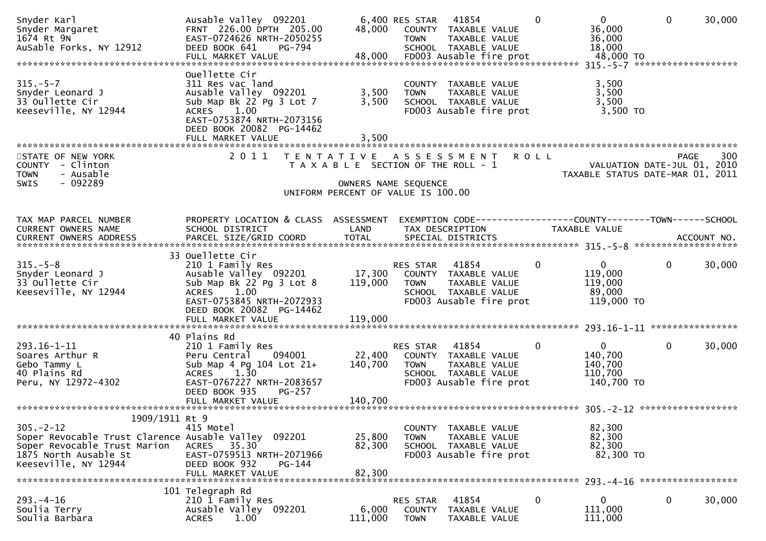| Snyder Karl<br>Snyder Margaret<br>1674 Rt 9N<br>AuSable Forks, NY 12912                                                                                                   | Ausable Valley 092201<br>FRNT 226.00 DPTH 205.00<br>EAST-0724626 NRTH-2050255<br>DEED BOOK 641<br>PG-794                                                                                     | 48,000                                                                                                                               | 6,400 RES STAR<br><b>TOWN</b>            | 41854<br>COUNTY TAXABLE VALUE<br>TAXABLE VALUE<br>SCHOOL TAXABLE VALUE                            | 0            | $\mathbf{0}$<br>36,000<br>36,000<br>18,000<br>48,000 TO         | $\mathbf{0}$        | 30,000 |
|---------------------------------------------------------------------------------------------------------------------------------------------------------------------------|----------------------------------------------------------------------------------------------------------------------------------------------------------------------------------------------|--------------------------------------------------------------------------------------------------------------------------------------|------------------------------------------|---------------------------------------------------------------------------------------------------|--------------|-----------------------------------------------------------------|---------------------|--------|
| $315. - 5 - 7$<br>Snyder Leonard J<br>33 Oullette Cir<br>Keeseville, NY 12944                                                                                             | Ouellette Cir<br>311 Res vac land<br>Ausable Valley 092201<br>Sub Map Bk 22 Pg 3 Lot 7<br>1.00<br><b>ACRES</b><br>EAST-0753874 NRTH-2073156<br>DEED BOOK 20082 PG-14462                      | 3,500<br>3,500                                                                                                                       | COUNTY<br><b>TOWN</b>                    | TAXABLE VALUE<br>TAXABLE VALUE<br>SCHOOL TAXABLE VALUE<br>FD003 Ausable fire prot                 |              | 3,500<br>3,500<br>3,500<br>$3,500$ TO                           | ******************* |        |
| STATE OF NEW YORK<br>COUNTY<br>- Clinton<br>- Ausable<br><b>TOWN</b><br>$-092289$<br>SWIS                                                                                 | FULL MARKET VALUE<br>2011                                                                                                                                                                    | 3,500<br>TENTATIVE ASSESSMENT<br>T A X A B L E SECTION OF THE ROLL - 1<br>OWNERS NAME SEQUENCE<br>UNIFORM PERCENT OF VALUE IS 100.00 |                                          |                                                                                                   | R O L L      | VALUATION DATE-JUL 01, 2010<br>TAXABLE STATUS DATE-MAR 01, 2011 | <b>PAGE</b>         | 300    |
| TAX MAP PARCEL NUMBER<br>CURRENT OWNERS NAME                                                                                                                              | PROPERTY LOCATION & CLASS ASSESSMENT<br>SCHOOL DISTRICT                                                                                                                                      | LAND                                                                                                                                 |                                          | TAX DESCRIPTION                                                                                   |              | <b>TAXABLE VALUE</b>                                            |                     |        |
| $315. - 5 - 8$<br>Snyder Leonard J<br>33 Oullette Cir<br>Keeseville, NY 12944                                                                                             | 33 Ouellette Cir<br>210 1 Family Res<br>Ausable Valley 092201 17,300<br>Sub Map Bk 22 Pg 3 Lot 8<br>ACRES 1.00<br>EAST-0753845 NRTH-2072933<br>DEED BOOK 20082 PG-14462<br>FULL MARKET VALUE | 119,000<br>119,000                                                                                                                   | RES STAR 41854<br><b>TOWN</b>            | COUNTY TAXABLE VALUE<br>TAXABLE VALUE<br>SCHOOL TAXABLE VALUE<br>FD003 Ausable fire prot          | $\mathbf{0}$ | $\mathbf{0}$<br>119,000<br>119,000<br>89,000<br>119,000 TO      | $\Omega$            | 30,000 |
| 293.16-1-11<br>Soares Arthur R<br>Gebo Tammy L<br>40 Plains Rd<br>Peru, NY 12972-4302                                                                                     | 40 Plains Rd<br>210 1 Family Res<br>Peru Central<br>094001<br>Sub Map 4 Pg 104 Lot 21+<br>ACRES 1.30<br>EAST-0767227 NRTH-2083657<br>DEED BOOK 935<br>$PG-257$                               | 22,400<br>140,700                                                                                                                    | RES STAR<br><b>TOWN</b>                  | 41854<br>COUNTY TAXABLE VALUE<br>TAXABLE VALUE<br>SCHOOL TAXABLE VALUE<br>FD003 Ausable fire prot | 0            | $\overline{0}$<br>140,700<br>140,700<br>110,700<br>140,700 TO   | $\mathbf{0}$        | 30,000 |
| 1909/1911 Rt 9<br>$305. -2 - 12$<br>Soper Revocable Trust Clarence Ausable Valley 092201<br>Soper Revocable Trust Marion<br>1875 North Ausable St<br>Keeseville, NY 12944 | 415 Motel<br>ACRES 35.30<br>EAST-0759513 NRTH-2071966<br>DEED BOOK 932<br>PG-144<br>FULL MARKET VALUE                                                                                        | 25,800<br>82,300<br>82,300                                                                                                           | <b>COUNTY</b><br><b>TOWN</b>             | TAXABLE VALUE<br>TAXABLE VALUE<br>SCHOOL TAXABLE VALUE<br>FD003 Ausable fire prot                 |              | 82,300<br>82,300<br>82,300<br>82,300 TO                         |                     |        |
| $293. -4 - 16$<br>Soulia Terry<br>Soulia Barbara                                                                                                                          | 101 Telegraph Rd<br>210 1 Family Res<br>Ausable Valley 092201<br><b>ACRES</b><br>1.00                                                                                                        | 6,000<br>111,000                                                                                                                     | RES STAR<br><b>COUNTY</b><br><b>TOWN</b> | 41854<br>TAXABLE VALUE<br>TAXABLE VALUE                                                           | $\mathbf 0$  | $\mathbf{0}$<br>111,000<br>111,000                              | 0                   | 30,000 |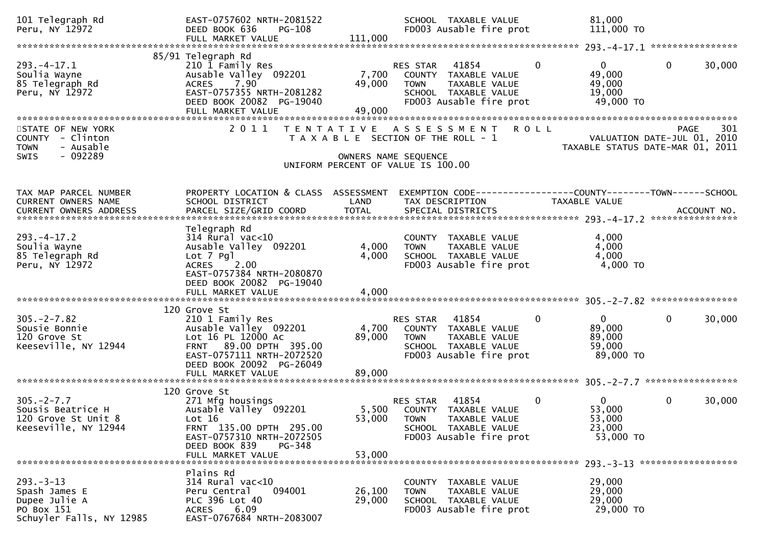| 101 Telegraph Rd<br>Peru, NY 12972                                                           | EAST-0757602 NRTH-2081522<br>DEED BOOK 636<br>PG-108<br>FULL MARKET VALUE                                                                                             | 111,000                   | SCHOOL TAXABLE VALUE<br>FD003 Ausable fire prot                                                                                     | 81,000<br>111,000 TO                                                      |                                                                                       |
|----------------------------------------------------------------------------------------------|-----------------------------------------------------------------------------------------------------------------------------------------------------------------------|---------------------------|-------------------------------------------------------------------------------------------------------------------------------------|---------------------------------------------------------------------------|---------------------------------------------------------------------------------------|
|                                                                                              |                                                                                                                                                                       |                           |                                                                                                                                     |                                                                           |                                                                                       |
| $293. -4 - 17.1$<br>Soulia Wayne<br>85 Telegraph Rd<br>Peru, NY 12972                        | 85/91 Telegraph Rd<br>210 1 Family Res<br>Ausable Valley 092201<br>7.90<br><b>ACRES</b><br>EAST-0757355 NRTH-2081282<br>DEED BOOK 20082 PG-19040<br>FULL MARKET VALUE | 7,700<br>49,000<br>49,000 | 41854<br><b>RES STAR</b><br>COUNTY TAXABLE VALUE<br>TAXABLE VALUE<br><b>TOWN</b><br>SCHOOL TAXABLE VALUE<br>FD003 Ausable fire prot | $\Omega$<br>$\overline{0}$<br>49,000<br>49,000<br>19,000<br>49,000 TO     | 30,000<br>$\mathbf{0}$                                                                |
| STATE OF NEW YORK<br>COUNTY - Clinton<br>- Ausable<br><b>TOWN</b><br>- 092289<br><b>SWIS</b> | 2 0 1 1<br>T E N T A T I V E                                                                                                                                          |                           | A S S E S S M E N T<br>T A X A B L E SECTION OF THE ROLL - 1<br>OWNERS NAME SEQUENCE<br>UNIFORM PERCENT OF VALUE IS 100.00          | <b>ROLL</b>                                                               | 301<br><b>PAGE</b><br>VALUATION DATE-JUL 01, 2010<br>TAXABLE STATUS DATE-MAR 01, 2011 |
| TAX MAP PARCEL NUMBER<br>CURRENT OWNERS NAME                                                 | PROPERTY LOCATION & CLASS ASSESSMENT<br>SCHOOL DISTRICT                                                                                                               | LAND                      | EXEMPTION CODE------------------COUNTY--------TOWN------SCHOOL<br>TAX DESCRIPTION                                                   | TAXABLE VALUE                                                             |                                                                                       |
| $293. -4 - 17.2$<br>Soulia Wayne<br>85 Telegraph Rd<br>Peru, NY 12972                        | Telegraph Rd<br>$314$ Rural vac<10<br>Ausable Valley 092201<br>Lot 7 Pgl<br>2.00<br><b>ACRES</b><br>EAST-0757384 NRTH-2080870<br>DEED BOOK 20082 PG-19040             | 4,000<br>4,000            | COUNTY TAXABLE VALUE<br>TAXABLE VALUE<br><b>TOWN</b><br>SCHOOL TAXABLE VALUE<br>FD003 Ausable fire prot                             | 4,000<br>4,000<br>4,000<br>4,000 TO                                       |                                                                                       |
|                                                                                              |                                                                                                                                                                       |                           |                                                                                                                                     |                                                                           |                                                                                       |
| $305. -2 - 7.82$<br>Sousie Bonnie<br>120 Grove St<br>Keeseville, NY 12944                    | 120 Grove St<br>210 1 Family Res<br>Ausable Valley 092201<br>Lot 16 PL 12000 Ac<br>FRNT 89.00 DPTH 395.00<br>EAST-0757111 NRTH-2072520<br>DEED BOOK 20092 PG-26049    | 4,700<br>89,000<br>89,000 | 41854<br>RES STAR<br>COUNTY TAXABLE VALUE<br>TAXABLE VALUE<br><b>TOWN</b><br>SCHOOL TAXABLE VALUE<br>FD003 Ausable fire prot        | $\mathbf{0}$<br>0<br>89,000<br>89,000<br>59,000<br>89,000 TO              | $\mathbf 0$<br>30,000                                                                 |
|                                                                                              | FULL MARKET VALUE                                                                                                                                                     |                           |                                                                                                                                     |                                                                           |                                                                                       |
| $305. -2 - 7.7$<br>Sousis Beatrice H<br>120 Grove St Unit 8<br>Keeseville, NY 12944          | 120 Grove St<br>271 Mfg housings<br>Ausable Valley 092201<br>Lot $16$<br>FRNT 135.00 DPTH 295.00<br>EAST-0757310 NRTH-2072505<br>DEED BOOK 839<br>PG-348              | 53,000 TOWN               | 41854<br>RES STAR<br>5,500 COUNTY TAXABLE VALUE<br>TAXABLE VALUE<br>SCHOOL TAXABLE VALUE<br>FD003 Ausable fire prot                 | $\mathbf{0}$<br>$\overline{0}$<br>53,000<br>53,000<br>23,000<br>53,000 TO | $\mathbf 0$<br>30,000                                                                 |
|                                                                                              | FULL MARKET VALUE                                                                                                                                                     | 53,000                    |                                                                                                                                     |                                                                           |                                                                                       |
| $293 - 3 - 13$<br>Spash James E<br>Dupee Julie A<br>PO Box 151<br>Schuyler Falls, NY 12985   | Plains Rd<br>$314$ Rural vac<10<br>094001<br>Peru Central<br>PLC 396 Lot 40<br>6.09<br><b>ACRES</b><br>EAST-0767684 NRTH-2083007                                      | 26,100<br>29,000          | COUNTY TAXABLE VALUE<br>TAXABLE VALUE<br><b>TOWN</b><br>SCHOOL TAXABLE VALUE<br>FD003 Ausable fire prot                             | 29,000<br>29,000<br>29,000<br>29,000 TO                                   |                                                                                       |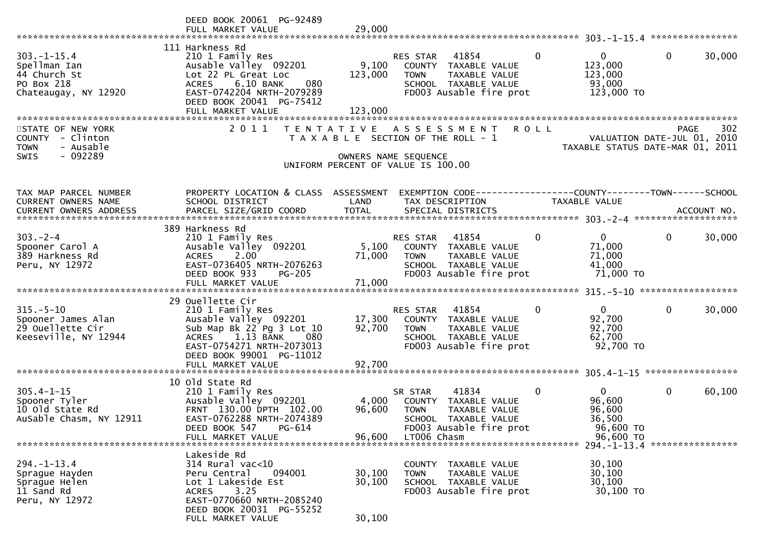|                                                                                         | DEED BOOK 20061 PG-92489<br>FULL MARKET VALUE                                                                                                                                                                | 29,000                      |                                                                                                                                            |              |                                                                                                         |              |        |
|-----------------------------------------------------------------------------------------|--------------------------------------------------------------------------------------------------------------------------------------------------------------------------------------------------------------|-----------------------------|--------------------------------------------------------------------------------------------------------------------------------------------|--------------|---------------------------------------------------------------------------------------------------------|--------------|--------|
| $303. - 1 - 15.4$<br>Spellman Ian<br>44 Church St<br>PO Box 218<br>Chateaugay, NY 12920 | 111 Harkness Rd<br>210 1 Family Res<br>Ausable Valley 092201<br>Lot 22 PL Great Loc<br>6.10 BANK<br>080<br><b>ACRES</b><br>EAST-0742204 NRTH-2079289<br>DEED BOOK 20041 PG-75412<br>FULL MARKET VALUE        | 9,100<br>123,000<br>123,000 | RES STAR<br>41854<br>COUNTY TAXABLE VALUE<br><b>TOWN</b><br>TAXABLE VALUE<br>SCHOOL TAXABLE VALUE<br>FD003 Ausable fire prot               | $\mathbf{0}$ | $\overline{0}$<br>123,000<br>123,000<br>93,000<br>123,000 TO                                            | $\mathbf{0}$ | 30,000 |
| STATE OF NEW YORK<br>COUNTY - Clinton<br><b>TOWN</b><br>- Ausable<br>- 092289<br>SWIS   | 2 0 1 1                                                                                                                                                                                                      |                             | TENTATIVE ASSESSMENT<br>T A X A B L E SECTION OF THE ROLL - 1<br>OWNERS NAME SEQUENCE<br>UNIFORM PERCENT OF VALUE IS 100.00                | <b>ROLL</b>  | VALUATION DATE-JUL 01, 2010<br>TAXABLE STATUS DATE-MAR 01, 2011                                         | PAGE         | 302    |
| TAX MAP PARCEL NUMBER<br>CURRENT OWNERS NAME                                            | PROPERTY LOCATION & CLASS ASSESSMENT<br>SCHOOL DISTRICT                                                                                                                                                      | LAND                        | EXEMPTION CODE------------------COUNTY--------TOWN------SCHOOL<br>TAX DESCRIPTION                                                          |              | <b>TAXABLE VALUE</b>                                                                                    |              |        |
| $303 - 2 - 4$<br>Spooner Carol A<br>389 Harkness Rd<br>Peru, NY 12972                   | 389 Harkness Rd<br>210 1 Family Res<br>Ausable Valley 092201<br>2.00<br><b>ACRES</b><br>EAST-0736405 NRTH-2076263<br>DEED BOOK 933<br><b>PG-205</b>                                                          | 5,100<br>71,000             | 41854<br>RES STAR<br>COUNTY TAXABLE VALUE<br>TAXABLE VALUE<br><b>TOWN</b><br>SCHOOL TAXABLE VALUE<br>FD003 Ausable fire prot               | $\Omega$     | $\overline{0}$<br>71,000<br>71,000<br>41,000<br>71,000 TO                                               | $\mathbf{0}$ | 30,000 |
| $315. - 5 - 10$<br>Spooner James Alan<br>29 Ouellette Cir<br>Keeseville, NY 12944       | 29 Ouellette Cir<br>210 1 Family Res<br>Ausable Valley 092201<br>Sub Map Bk 22 Pg 3 Lot 10<br>1.13 BANK<br><b>ACRES</b><br>080<br>EAST-0754271 NRTH-2073013<br>DEED BOOK 99001 PG-11012<br>FULL MARKET VALUE | 17,300<br>92,700<br>92,700  | RES STAR<br>41854<br>COUNTY TAXABLE VALUE<br><b>TOWN</b><br>TAXABLE VALUE<br>SCHOOL TAXABLE VALUE<br>FD003 Ausable fire prot               | 0            | $\mathbf{0}$<br>92,700<br>92,700<br>62,700<br>92,700 TO                                                 | $\mathbf 0$  | 30,000 |
| $305.4 - 1 - 15$<br>Spooner Tyler<br>10 old State Rd<br>AuSable Chasm, NY 12911         | 10 old State Rd<br>210 1 Family Res<br>Ausable Valley 092201<br>FRNT 130.00 DPTH 102.00<br>EAST-0762288 NRTH-2074389<br>DEED BOOK 547<br>PG-614<br>FULL MARKET VALUE                                         | 4,000<br>96,600<br>96,600   | 41834<br>SR STAR<br>COUNTY TAXABLE VALUE<br><b>TOWN</b><br>TAXABLE VALUE<br>SCHOOL TAXABLE VALUE<br>FD003 Ausable fire prot<br>LT006 Chasm | 0            | $\mathbf{0}$<br>96,600<br>96,600<br>36,500<br>96,600 TO<br>96,600 TO<br>294. -1-13. 4 ***************** | $\mathbf 0$  | 60,100 |
| $294. - 1 - 13.4$<br>Sprague Hayden<br>Sprague Helen<br>11 Sand Rd<br>Peru, NY 12972    | Lakeside Rd<br>$314$ Rural vac<10<br>Peru Central<br>094001<br>Lot 1 Lakeside Est<br><b>ACRES</b><br>3.25<br>EAST-0770660 NRTH-2085240<br>DEED BOOK 20031 PG-55252<br>FULL MARKET VALUE                      | 30,100<br>30,100<br>30,100  | COUNTY<br>TAXABLE VALUE<br><b>TOWN</b><br>TAXABLE VALUE<br>SCHOOL TAXABLE VALUE<br>FD003 Ausable fire prot                                 |              | 30,100<br>30,100<br>30,100<br>30,100 TO                                                                 |              |        |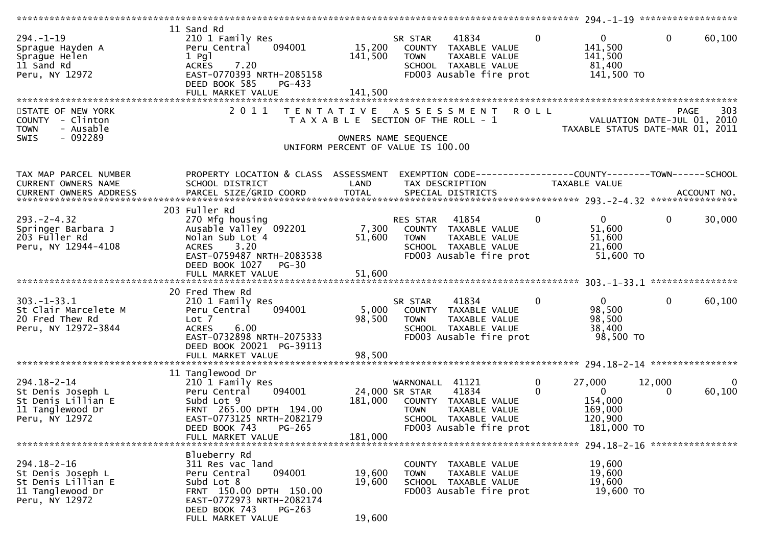| $294. - 1 - 19$<br>Sprague Hayden A<br>Sprague Helen<br>11 Sand Rd<br>Peru, NY 12972               | 11 Sand Rd<br>210 1 Family Res<br>094001<br>Peru Central<br>$1$ Pgl<br><b>ACRES</b><br>7.20<br>EAST-0770393 NRTH-2085158<br>DEED BOOK 585<br>PG-433<br>FULL MARKET VALUE                | 15,200<br>141,500<br>141,500 | 41834<br>SR STAR<br>COUNTY TAXABLE VALUE<br>TAXABLE VALUE<br><b>TOWN</b><br>SCHOOL TAXABLE VALUE<br>FD003 Ausable fire prot                              | $\overline{0}$ | $\mathbf{0}$<br>141,500<br>141,500<br>81,400<br>141,500 TO              | $\mathbf{0}$ | 60,100                 |
|----------------------------------------------------------------------------------------------------|-----------------------------------------------------------------------------------------------------------------------------------------------------------------------------------------|------------------------------|----------------------------------------------------------------------------------------------------------------------------------------------------------|----------------|-------------------------------------------------------------------------|--------------|------------------------|
| STATE OF NEW YORK<br>COUNTY - Clinton<br>- Ausable<br><b>TOWN</b><br>- 092289<br><b>SWIS</b>       | 2011                                                                                                                                                                                    | T E N T A T I V E            | A S S E S S M E N T<br>T A X A B L E SECTION OF THE ROLL - 1<br>OWNERS NAME SEQUENCE<br>UNIFORM PERCENT OF VALUE IS 100.00                               | <b>ROLL</b>    | VALUATION DATE-JUL 01, 2010<br>TAXABLE STATUS DATE-MAR 01, 2011         | <b>PAGE</b>  | 303                    |
| TAX MAP PARCEL NUMBER<br>CURRENT OWNERS NAME<br>CURRENT OWNERS ADDRESS                             | PROPERTY LOCATION & CLASS ASSESSMENT<br>SCHOOL DISTRICT                                                                                                                                 | LAND                         | EXEMPTION CODE-----------------COUNTY-------TOWN------SCHOOL<br>TAX DESCRIPTION                                                                          |                | TAXABLE VALUE                                                           |              |                        |
| $293. -2 - 4.32$<br>Springer Barbara J<br>203 Fuller Rd<br>Peru, NY 12944-4108                     | 203 Fuller Rd<br>270 Mfg housing<br>Ausable Valley 092201<br>Nolan Sub Lot 4<br>3.20<br><b>ACRES</b><br>EAST-0759487 NRTH-2083538<br>DEED BOOK 1027<br>$PG-30$<br>FULL MARKET VALUE     | 7,300<br>51,600<br>51,600    | 41854<br>RES STAR<br>COUNTY TAXABLE VALUE<br><b>TOWN</b><br>TAXABLE VALUE<br>SCHOOL TAXABLE VALUE<br>FD003 Ausable fire prot                             | $\Omega$       | $\overline{0}$<br>51,600<br>51,600<br>21,600<br>51,600 TO               | $\mathbf{0}$ | 30,000                 |
| $303. - 1 - 33.1$<br>St Clair Marcelete M<br>20 Fred Thew Rd<br>Peru, NY 12972-3844                | 20 Fred Thew Rd<br>210 1 Family Res<br>094001<br>Peru Central<br>Lot <sub>7</sub><br>6.00<br><b>ACRES</b><br>EAST-0732898 NRTH-2075333<br>DEED BOOK 20021 PG-39113<br>FULL MARKET VALUE | 5,000<br>98,500<br>98,500    | 41834<br>SR STAR<br>COUNTY TAXABLE VALUE<br>TAXABLE VALUE<br><b>TOWN</b><br>SCHOOL TAXABLE VALUE<br>FD003 Ausable fire prot                              | $\mathbf 0$    | $\Omega$<br>98,500<br>98,500<br>38,400<br>98,500 TO                     | $\mathbf{0}$ | 60,100                 |
| $294.18 - 2 - 14$<br>St Denis Joseph L<br>St Denis Lillian E<br>11 Tanglewood Dr<br>Peru, NY 12972 | 11 Tanglewood Dr<br>210 1 Family Res<br>094001<br>Peru Central<br>Subd Lot 9<br>FRNT 265.00 DPTH 194.00<br>EAST-0773125 NRTH-2082179<br>DEED BOOK 743<br>PG-265<br>FULL MARKET VALUE    | 181,000<br>181,000           | 41121<br>WARNONALL<br>41834<br>24,000 SR STAR<br>COUNTY TAXABLE VALUE<br><b>TOWN</b><br>TAXABLE VALUE<br>SCHOOL TAXABLE VALUE<br>FD003 Ausable fire prot | 0<br>$\Omega$  | 27,000<br>$\overline{0}$<br>154,000<br>169,000<br>120,900<br>181,000 TO | 12,000<br>0  | $\mathbf{0}$<br>60,100 |
| $294.18 - 2 - 16$<br>St Denis Joseph L<br>St Denis Lillian E<br>11 Tanglewood Dr<br>Peru, NY 12972 | Blueberry Rd<br>311 Res vac land<br>094001<br>Peru Central<br>Subd Lot 8<br>FRNT 150.00 DPTH 150.00<br>EAST-0772973 NRTH-2082174<br>DEED BOOK 743<br>$PG-263$<br>FULL MARKET VALUE      | 19,600<br>19,600<br>19,600   | COUNTY TAXABLE VALUE<br><b>TOWN</b><br>TAXABLE VALUE<br>SCHOOL TAXABLE VALUE<br>FD003 Ausable fire prot                                                  |                | 19,600<br>19,600<br>19,600<br>19,600 TO                                 |              |                        |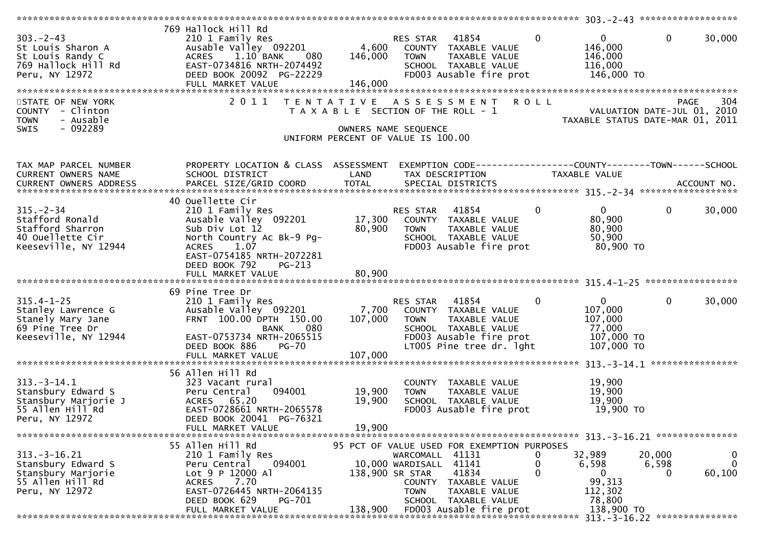| $303 - 2 - 43$<br>St Louis Sharon A<br>St Louis Randy C<br>769 Hallock Hill Rd<br>Peru, NY 12972       | 769 Hallock Hill Rd<br>210 1 Family Res<br>Ausable Valley 092201<br>ACRES 1.10 BANK<br>080<br>EAST-0734816 NRTH-2074492<br>DEED BOOK 20092 PG-22229<br>FULL MARKET VALUE                       | 146,000                    | RES STAR THUS .<br>4,600 COUNTY TAXABLE VALUE<br>TAXABLE VALUE TAXABLE VALUE<br>SCHOOL TAXABLE VALUE<br>FD003 Ausable fire prot                                                                              | $\overline{0}$<br>$\overline{0}$<br>146,000<br>146,000<br>116,000<br>146,000 TO             | $\mathbf 0$<br>30,000                           |
|--------------------------------------------------------------------------------------------------------|------------------------------------------------------------------------------------------------------------------------------------------------------------------------------------------------|----------------------------|--------------------------------------------------------------------------------------------------------------------------------------------------------------------------------------------------------------|---------------------------------------------------------------------------------------------|-------------------------------------------------|
| STATE OF NEW YORK<br>COUNTY - Clinton<br>- Ausable<br><b>TOWN</b><br>$-092289$<br>SWIS                 | 2011                                                                                                                                                                                           |                            | TENTATIVE ASSESSMENT ROLL<br>T A X A B L E SECTION OF THE ROLL - 1<br>OWNERS NAME SEQUENCE<br>UNIFORM PERCENT OF VALUE IS 100.00                                                                             | rage<br>1, 2010–VALUATION DATE-JUL<br>1, 2010–TAXABLE STATUS DATE-MAR 01, 2011              | 304<br><b>PAGE</b>                              |
| TAX MAP PARCEL NUMBER<br>CURRENT OWNERS NAME<br>CURRENT OWNERS ADDRESS                                 | PROPERTY LOCATION & CLASS ASSESSMENT<br>SCHOOL DISTRICT                                                                                                                                        | LAND                       | EXEMPTION CODE------------------COUNTY--------TOWN------SCHOOL<br>TAX DESCRIPTION                                                                                                                            | TAXABLE VALUE                                                                               |                                                 |
| $315. - 2 - 34$<br>Stafford Ronald<br>Stafford Sharron<br>40 Ouellette Cir<br>Keeseville, NY 12944     | 40 Ouellette Cir<br>210 1 Family Res<br>Ausable Valley 092201<br>Sub Div Lot 12<br>North Country Ac Bk-9 Pg-<br>ACRES 1.07<br>EAST-0754185 NRTH-2072281<br>DEED BOOK 792<br><b>PG-213</b>      | 80,900                     | RES STAR 41854<br>17,300 COUNTY TAXABLE VALUE<br><b>TOWN</b><br>TAXABLE VALUE<br>SCHOOL TAXABLE VALUE<br>FD003 Ausable fire prot                                                                             | $\mathbf{0}$<br>$\mathbf 0$<br>80,900<br>80,900<br>50,900<br>80,900 TO                      | $\mathbf{0}$<br>30,000                          |
| $315.4 - 1 - 25$<br>Stanley Lawrence G<br>Stanely Mary Jane<br>69 Pine Tree Dr<br>Keeseville, NY 12944 | 69 Pine Tree Dr<br>210 1 Family Res<br>Ausable valley $092201$<br>FRNT 100.00 DPTH 150.00<br><b>BANK</b><br>080<br>EAST-0753734 NRTH-2065515<br>DEED BOOK 886<br>PG-70<br>FULL MARKET VALUE    | 107,000<br>107,000         | <b>RES STAR 41854</b><br>7,700 COUNTY TAXABLE VALUE<br><b>TOWN</b><br>TAXABLE VALUE<br>SCHOOL TAXABLE VALUE<br>FD003 Ausable fire prot<br>LT005 Pine tree dr. 1ght                                           | $\mathbf{0}$<br>$\overline{0}$<br>107,000<br>107,000<br>77,000<br>107,000 TO<br>107,000 TO  | $\mathbf{0}$<br>30,000                          |
| $313.-3-14.1$<br>Stansbury Edward S<br>Stansbury Marjorie J<br>55 Allen Hill Rd<br>Peru, NY 12972      | 56 Allen Hill Rd<br>323 Vacant rural<br>094001<br>Peru Central<br>ACRES 65.20<br>EAST-0728661 NRTH-2065578<br>DEED BOOK 20041 PG-76321<br>FULL MARKET VALUE                                    | 19,900<br>19,900<br>19,900 | COUNTY TAXABLE VALUE<br>TAXABLE VALUE<br><b>TOWN</b><br>SCHOOL TAXABLE VALUE<br>FD003 Ausable fire prot                                                                                                      | 19,900<br>19,900<br>19,900<br>19,900 TO                                                     |                                                 |
| $313.-3-16.21$<br>Stansbury Edward S<br>Stansbury Marjorie<br>55 Allen Hill Rd<br>Peru, NY 12972       | 55 Allen Hill Rd<br>210 1 Family Res<br>094001<br>Peru Central<br>Lot 9 P 12000 Al<br>7.70<br><b>ACRES</b><br>EAST-0726445 NRTH-2064135<br>DEED BOOK 629<br><b>PG-701</b><br>FULL MARKET VALUE | 138,900 SR STAR<br>138,900 | 95 PCT OF VALUE USED FOR EXEMPTION PURPOSES<br>WARCOMALL 41131<br>10,000 WARDISALL 41141<br>41834<br>COUNTY TAXABLE VALUE<br><b>TOWN</b><br>TAXABLE VALUE<br>SCHOOL TAXABLE VALUE<br>FD003 Ausable fire prot | 32,989<br>U<br>0<br>6,598<br>$\mathbf{0}$<br>0<br>99,313<br>112,302<br>78,800<br>138,900 TO | 20,000<br>0<br>$\Omega$<br>6,598<br>60,100<br>0 |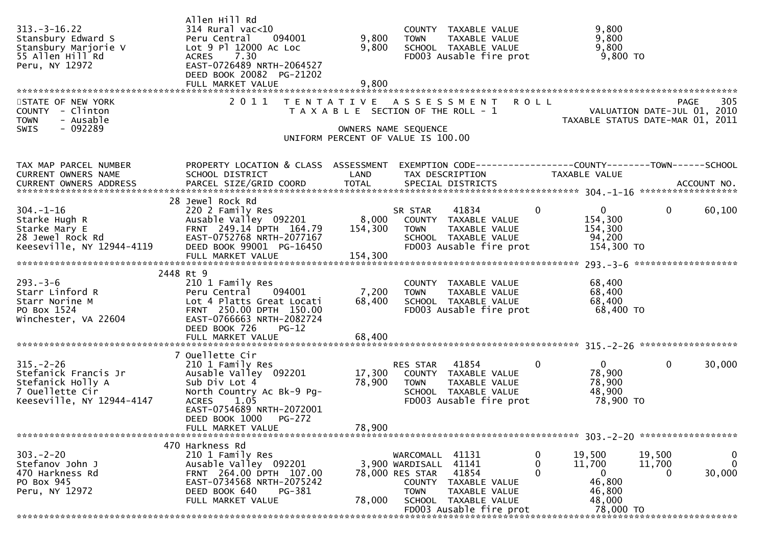| $313. - 3 - 16.22$<br>Stansbury Edward S<br>Stansbury Marjorie V<br>55 Allen Hill Rd<br>Peru, NY 12972                       | Allen Hill Rd<br>$314$ Rural vac<10<br>Peru Central<br>094001<br>Lot 9 Pl 12000 Ac Loc<br>7.30<br><b>ACRES</b><br>EAST-0726489 NRTH-2064527<br>DEED BOOK 20082 PG-21202                  | 9,800<br>9,800              | COUNTY TAXABLE VALUE<br><b>TOWN</b><br>TAXABLE VALUE<br>SCHOOL TAXABLE VALUE<br>FD003 Ausable fire prot                                                                            | 9,800<br>9,800<br>9,800<br>$9,800$ TO                                      |                                                                                      |
|------------------------------------------------------------------------------------------------------------------------------|------------------------------------------------------------------------------------------------------------------------------------------------------------------------------------------|-----------------------------|------------------------------------------------------------------------------------------------------------------------------------------------------------------------------------|----------------------------------------------------------------------------|--------------------------------------------------------------------------------------|
| STATE OF NEW YORK<br>COUNTY - Clinton<br><b>TOWN</b><br>- Ausable<br>$-092289$<br>SWIS                                       | 2011                                                                                                                                                                                     |                             | TENTATIVE ASSESSMENT ROLL<br>T A X A B L E SECTION OF THE ROLL - 1<br>OWNERS NAME SEQUENCE<br>UNIFORM PERCENT OF VALUE IS 100.00                                                   |                                                                            | 305<br>PAGE<br>VALUATION DATE-JUL 01, 2010<br>TAXABLE STATUS DATE-MAR 01, 2011       |
| TAX MAP PARCEL NUMBER<br>CURRENT OWNERS NAME                                                                                 | PROPERTY LOCATION & CLASS ASSESSMENT<br>SCHOOL DISTRICT                                                                                                                                  | LAND                        | EXEMPTION CODE------------------COUNTY--------TOWN------SCHOOL<br>TAX DESCRIPTION                                                                                                  | TAXABLE VALUE                                                              |                                                                                      |
| $304. - 1 - 16$<br>שביב-.<br>Starke Hugh R<br>מימיני יירים<br>Starke Mary E<br>28 Jewel Rock Rd<br>Keeseville, NY 12944-4119 | 28 Jewel Rock Rd<br>220 2 Family Res<br>Ausable Valley 092201<br>FRNT 249.14 DPTH 164.79<br>EAST-0752768 NRTH-2077167<br>DEED BOOK 99001 PG-16450<br>FULL MARKET VALUE                   | 8,000<br>154,300<br>154,300 | 41834<br>SR STAR<br>COUNTY TAXABLE VALUE<br>TAXABLE VALUE<br><b>TOWN</b><br>SCHOOL TAXABLE VALUE<br>FD003 Ausable fire prot                                                        | $\mathbf{0}$<br>$\mathbf{0}$<br>154,300<br>154,300<br>94,200<br>154,300 TO | 60,100<br>0                                                                          |
| $293. - 3 - 6$<br>Starr Linford R<br>Starr Norine M<br>PO Box 1524<br>Winchester, VA 22604                                   | 2448 Rt 9<br>210 1 Family Res<br>094001<br>Peru Central<br>Lot 4 Platts Great Locati<br>FRNT 250.00 DPTH 150.00<br>EAST-0766663 NRTH-2082724<br>DEED BOOK 726<br>$PG-12$                 | 7,200<br>68,400             | COUNTY TAXABLE VALUE<br><b>TOWN</b><br>TAXABLE VALUE<br>SCHOOL TAXABLE VALUE<br>FD003 Ausable fire prot                                                                            | 68,400<br>68,400<br>68,400<br>68,400 TO                                    |                                                                                      |
| $315. - 2 - 26$<br>Stefanick Francis Jr<br>Stefanick Holly A<br>7 Ouellette Cir<br>Keeseville, NY 12944-4147                 | 7 Ouellette Cir<br>210 1 Family Res<br>Ausable Valley 092201<br>Sub Div Lot 4<br>North Country Ac Bk-9 Pg-<br>1.05<br><b>ACRES</b><br>EAST-0754689 NRTH-2072001<br>DEED BOOK 1000 PG-272 | 17,300<br>78,900            | 41854<br>RES STAR<br>COUNTY TAXABLE VALUE<br>TAXABLE VALUE<br><b>TOWN</b><br>SCHOOL TAXABLE VALUE<br>FD003 Ausable fire prot                                                       | $\mathbf{0}$<br>$\mathbf{0}$<br>78,900<br>78,900<br>48,900<br>78,900 то    | $\mathbf{0}$<br>30,000                                                               |
|                                                                                                                              | FULL MARKET VALUE                                                                                                                                                                        | 78,900                      |                                                                                                                                                                                    |                                                                            |                                                                                      |
| $303 - 2 - 20$<br>Stefanov John J<br>470 Harkness Rd<br>PO Box 945<br>Peru, NY 12972                                         | 470 Harkness Rd<br>210 1 Family Res<br>Ausable Valley 092201<br>FRNT 264.00 DPTH 107.00<br>EAST-0734568 NRTH-2075242<br>DEED BOOK 640<br>PG-381<br>FULL MARKET VALUE                     | 78,000                      | 41131<br>WARCOMALL<br>3,900 WARDISALL 41141<br>41854<br>78,000 RES STAR<br>COUNTY TAXABLE VALUE<br><b>TOWN</b><br>TAXABLE VALUE<br>SCHOOL TAXABLE VALUE<br>FD003 Ausable fire prot | 19,500<br>0<br>0<br>11,700<br>0<br>46,800<br>46,800<br>48,000<br>78,000 TO | 19,500<br>0<br>$\mathbf 0$<br>11,700<br>30,000<br>********************************** |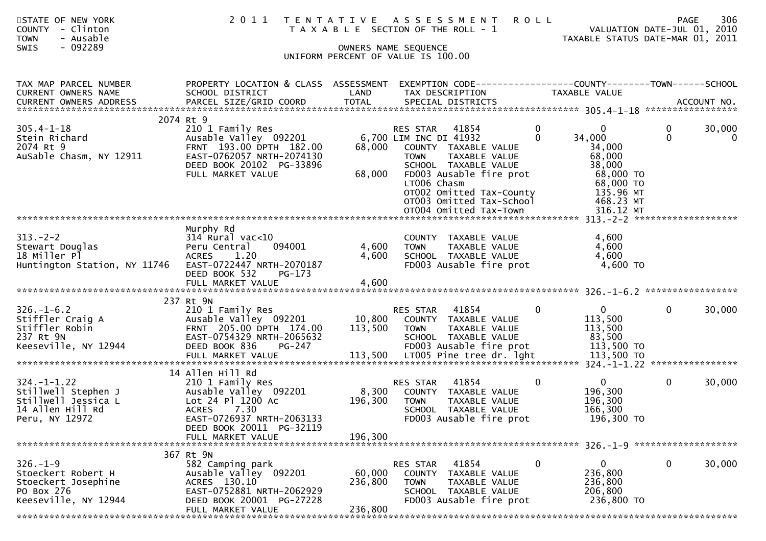| STATE OF NEW YORK<br><b>COUNTY</b><br>- Clinton<br><b>TOWN</b><br>- Ausable<br>- 092289<br><b>SWIS</b> | 2 0 1 1                                                                                                                                                                                  |                              | TENTATIVE ASSESSMENT<br><b>ROLL</b><br>T A X A B L E SECTION OF THE ROLL - 1<br>OWNERS NAME SEQUENCE<br>UNIFORM PERCENT OF VALUE IS 100.00                                                                                                                                      |                                                                                                            | 306<br>PAGE<br>VALUATION DATE-JUL 01, 2010<br>TAXABLE STATUS DATE-MAR 01, 2011 |
|--------------------------------------------------------------------------------------------------------|------------------------------------------------------------------------------------------------------------------------------------------------------------------------------------------|------------------------------|---------------------------------------------------------------------------------------------------------------------------------------------------------------------------------------------------------------------------------------------------------------------------------|------------------------------------------------------------------------------------------------------------|--------------------------------------------------------------------------------|
| TAX MAP PARCEL NUMBER<br><b>CURRENT OWNERS NAME</b>                                                    | PROPERTY LOCATION & CLASS ASSESSMENT<br>SCHOOL DISTRICT                                                                                                                                  | LAND                         | EXEMPTION CODE------------------COUNTY--------TOWN------SCHOOL<br>TAX DESCRIPTION                                                                                                                                                                                               | TAXABLE VALUE                                                                                              |                                                                                |
| $305.4 - 1 - 18$<br>Stein Richard<br>2074 Rt 9<br>AuSable Chasm, NY 12911                              | 2074 Rt 9<br>210 1 Family Res<br>Ausable Valley 092201<br>FRNT 193.00 DPTH 182.00<br>EAST-0762057 NRTH-2074130<br>DEED BOOK 20102 PG-33896<br>FULL MARKET VALUE                          | 68,000<br>68,000             | 0<br><b>RES STAR</b><br>41854<br>6,700 LIM INC DI 41932<br>$\Omega$<br>COUNTY TAXABLE VALUE<br><b>TOWN</b><br>TAXABLE VALUE<br>SCHOOL TAXABLE VALUE<br>FD003 Ausable fire prot<br>LT006 Chasm<br>OT002 Omitted Tax-County<br>OT003 Omitted Tax-School<br>OT004 Omitted Tax-Town | 0<br>34,000<br>34,000<br>68,000<br>38,000<br>68,000 TO<br>68,000 TO<br>135.96 MT<br>468.23 MT<br>316.12 MT | 30,000<br>0<br>$\mathbf{0}$<br>0                                               |
| $313. -2 - 2$<br>Stewart Douglas<br>18 Miller Pl<br>Huntington Station, NY 11746                       | Murphy Rd<br>$314$ Rural vac< $10$<br>Peru Central<br>094001<br>1.20<br><b>ACRES</b><br>EAST-0722447 NRTH-2070187<br>DEED BOOK 532<br>PG-173<br>FULL MARKET VALUE                        | 4,600<br>4,600<br>4,600      | COUNTY TAXABLE VALUE<br><b>TOWN</b><br>TAXABLE VALUE<br>SCHOOL TAXABLE VALUE<br>FD003 Ausable fire prot                                                                                                                                                                         | 4,600<br>4,600<br>4,600<br>4,600 TO                                                                        |                                                                                |
| $326. - 1 - 6.2$<br>Stiffler Craig A<br>Stiffler Robin<br>237 Rt 9N<br>Keeseville, NY 12944            | 237 Rt 9N<br>210 1 Family Res<br>Ausable Valley 092201<br>FRNT 205.00 DPTH 174.00<br>EAST-0754329 NRTH-2065632<br>DEED BOOK 836<br>PG-247                                                | 10,800<br>113,500            | 41854<br>0<br><b>RES STAR</b><br>COUNTY TAXABLE VALUE<br><b>TOWN</b><br>TAXABLE VALUE<br>SCHOOL TAXABLE VALUE<br>FD003 Ausable fire prot                                                                                                                                        | $\mathbf{0}$<br>113,500<br>113,500<br>83,500<br>113,500 TO                                                 | 30,000<br>0                                                                    |
| $324. - 1 - 1.22$<br>Stillwell Stephen J<br>Stillwell Jessica L<br>14 Allen Hill Rd<br>Peru, NY 12972  | 14 Allen Hill Rd<br>210 1 Family Res<br>Ausable Valley 092201<br>Lot 24 Pl 1200 Ac<br><b>ACRES</b><br>7.30<br>EAST-0726937 NRTH-2063133<br>DEED BOOK 20011 PG-32119<br>FULL MARKET VALUE | 8,300<br>196,300<br>196,300  | 41854<br>$\mathbf{0}$<br>RES STAR<br>COUNTY TAXABLE VALUE<br><b>TOWN</b><br>TAXABLE VALUE<br>SCHOOL TAXABLE VALUE<br>FD003 Ausable fire prot                                                                                                                                    | $\overline{0}$<br>196,300<br>196,300<br>166,300<br>196,300 TO                                              | 30,000<br>0                                                                    |
| $326. - 1 - 9$<br>Stoeckert Robert H<br>Stoeckert Josephine<br>PO Box 276<br>Keeseville, NY 12944      | 367 Rt 9N<br>582 Camping park<br>Ausable Valley 092201<br>ACRES 130.10<br>EAST-0752881 NRTH-2062929<br>DEED BOOK 20001 PG-27228<br>FULL MARKET VALUE                                     | 60,000<br>236,800<br>236,800 | 0<br>41854<br>RES STAR<br><b>COUNTY</b><br>TAXABLE VALUE<br>TAXABLE VALUE<br>TOWN<br>SCHOOL TAXABLE VALUE<br>FD003 Ausable fire prot                                                                                                                                            | 0<br>236,800<br>236,800<br>206,800<br>236,800 TO                                                           | 0<br>30,000                                                                    |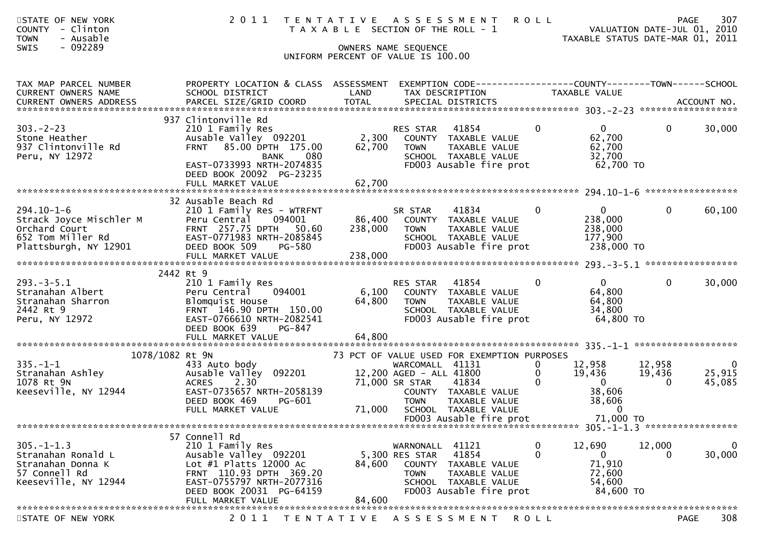| STATE OF NEW YORK<br><b>COUNTY</b><br>- Clinton<br><b>TOWN</b><br>- Ausable<br>- 092289<br>SWIS            |                                                                                                                                                                                                 |         | 2011 TENTATIVE ASSESSMENT<br>T A X A B L E SECTION OF THE ROLL - 1<br>OWNERS NAME SEQUENCE<br>UNIFORM PERCENT OF VALUE IS 100.00                                                 | <b>ROLL</b>                                    | VALUATION DATE-JUL 01, 2010<br>2010 TAXABLE STATUS DATE-MAR 01, 2011                     | PAGE                               | 307                                          |
|------------------------------------------------------------------------------------------------------------|-------------------------------------------------------------------------------------------------------------------------------------------------------------------------------------------------|---------|----------------------------------------------------------------------------------------------------------------------------------------------------------------------------------|------------------------------------------------|------------------------------------------------------------------------------------------|------------------------------------|----------------------------------------------|
| TAX MAP PARCEL NUMBER<br>CURRENT OWNERS NAME<br>CURRENT OWNERS ADDRESS                                     | PROPERTY LOCATION & CLASS ASSESSMENT<br>SCHOOL DISTRICT                                                                                                                                         | LAND    | EXEMPTION CODE------------------COUNTY--------TOWN------SCHOOL<br>TAX DESCRIPTION                                                                                                |                                                | TAXABLE VALUE                                                                            |                                    |                                              |
| $303 - 2 - 23$<br>Stone Heather<br>937 Clintonville Rd<br>Peru, NY 12972                                   | 937 Clintonville Rd<br>Clintonville Ra<br>210 1 Family Res<br>Ausable Valley 092201 2,300<br>FRNT 85.00 DPTH 175.00 62,700<br>RANK 080<br>EAST-0733993 NRTH-2074835<br>DEED BOOK 20092 PG-23235 |         | RES STAR<br>41854<br>COUNTY TAXABLE VALUE<br><b>TOWN</b><br>TAXABLE VALUE<br>SCHOOL TAXABLE VALUE<br>FD003 Ausable fire prot $62,700$ TO                                         | $\mathbf{0}$                                   | $\overline{0}$<br>62,700<br>62,700<br>32,700                                             | $\mathbf{0}$                       | 30,000                                       |
|                                                                                                            | FULL MARKET VALUE                                                                                                                                                                               | 62,700  |                                                                                                                                                                                  |                                                |                                                                                          |                                    |                                              |
| $294.10 - 1 - 6$<br>strack Joyce Mischler M<br>Orchard Court<br>652 Tom Miller Rd<br>Plattsburgh, NY 12901 | 32 Ausable Beach Rd<br>210 1 Family Res - WTRFNT<br>094001<br>Peru Central<br>FRNT 257.75 DPTH 50.60<br>EAST-0771983 NRTH-2085845<br>DEED BOOK 509<br><b>PG-580</b>                             | 238,000 | 41834<br>SR STAR<br>86,400 COUNTY TAXABLE VALUE<br><b>TOWN</b><br>TAXABLE VALUE<br>SCHOOL TAXABLE VALUE<br>FD003 Ausable fire prot                                               | $\mathbf{0}$                                   | $\overline{\mathbf{0}}$<br>238,000<br>238,000<br>177,900<br>238,000 TO                   | $\mathbf{0}$                       | 60,100                                       |
|                                                                                                            | 2442 Rt 9                                                                                                                                                                                       |         |                                                                                                                                                                                  |                                                |                                                                                          |                                    |                                              |
| 293.-3-5.1<br>Stranahan Albert<br>Strandhan Sharron<br>2442 Rt 9<br>Peru, NY 12972                         | 210 1 Family Res<br>Peru Central<br>094001<br>Blomquist House<br>FRNT 146.90 DPTH 150.00<br>EAST-0766610 NRTH-2082541<br>DEED BOOK 639<br>PG-847<br>FULL MARKET VALUE                           | 64,800  | RES STAR<br>41854<br>6,100 COUNTY TAXABLE VALUE<br>64,800 TOWN<br>TAXABLE VALUE<br>SCHOOL TAXABLE VALUE<br>FD003 Ausable fire prot                                               | $\mathbf{0}$                                   | $\overline{0}$<br>64,800<br>64,800<br>34,800<br>64,800 TO                                | $\mathbf{0}$                       | 30,000                                       |
| 1078/1082 Rt 9N                                                                                            |                                                                                                                                                                                                 |         | 73 PCT OF VALUE USED FOR EXEMPTION PURPOSES                                                                                                                                      |                                                |                                                                                          |                                    |                                              |
| Stranahan Ashley<br>1078 Rt 9N<br>Keeseville, NY 12944                                                     | 433 Auto body<br>Ausable Valley 092201<br><b>ACRES</b><br>2.30<br>EAST-0735657 NRTH-2058139<br>DEED BOOK 469<br>$PG-601$<br>FULL MARKET VALUE                                                   | 71,000  | WARCOMALL 41131<br>12,200 AGED - ALL 41800<br>71,000 SR STAR<br>41834<br>COUNTY TAXABLE VALUE<br><b>TOWN</b><br>TAXABLE VALUE<br>SCHOOL TAXABLE VALUE<br>FD003 Ausable fire prot | $\overline{0}$<br>$\mathbf{0}$<br>$\mathbf{0}$ | 12,958<br>19,436<br>$\overline{\mathbf{0}}$<br>38,606<br>38,606<br>$\Omega$<br>71,000 TO | 12,958<br>19,436<br>$\overline{0}$ | $\overline{\phantom{0}}$<br>25,915<br>45,085 |
|                                                                                                            |                                                                                                                                                                                                 |         |                                                                                                                                                                                  |                                                |                                                                                          |                                    |                                              |
| $305. -1 - 1.3$<br>Stranahan Ronald L<br>Stranahan Donna K<br>57 Connell Rd<br>Keeseville, NY 12944        | 57 Connell Rd<br>210 1 Family Res<br>Ausable Valley 092201<br>Lot $#1$ Platts 12000 Ac<br>FRNT 110.93 DPTH 369.20<br>EAST-0755797 NRTH-2077316<br>DEED BOOK 20031 PG-64159                      | 84,600  | 41121<br>WARNONALL<br>5,300 RES STAR<br>41854<br>COUNTY TAXABLE VALUE<br><b>TOWN</b><br>TAXABLE VALUE<br>SCHOOL TAXABLE VALUE<br>FD003 Ausable fire prot                         | 0<br>0                                         | 12,690<br>$\bf{0}$<br>71,910<br>72,600<br>54,600<br>84,600 TO                            | 12,000<br>0                        | 0<br>30,000                                  |
|                                                                                                            | FULL MARKET VALUE                                                                                                                                                                               | 84,600  |                                                                                                                                                                                  |                                                |                                                                                          |                                    |                                              |
| STATE OF NEW YORK                                                                                          |                                                                                                                                                                                                 |         | 2011 TENTATIVE ASSESSMENT                                                                                                                                                        | R O L L                                        |                                                                                          | PAGE                               | 308                                          |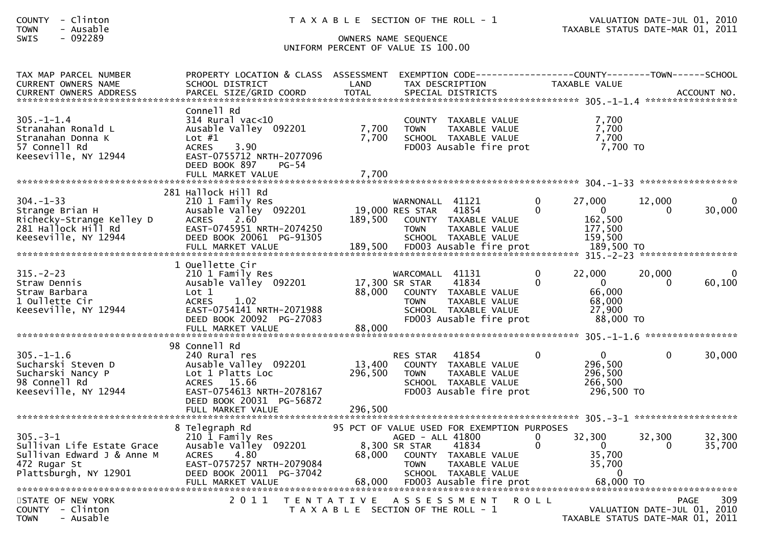COUNTY - Clinton T A X A B L E SECTION OF THE ROLL - 1 VALUATION DATE-JUL 01, 2010 TOWN - Ausable TAXABLE STATUS DATE-MAR 01, 2011

| Connell Rd<br>$305. - 1 - 1.4$<br>314 Rural vac<10<br>7,700<br>COUNTY TAXABLE VALUE<br>7,700<br>7,700<br>Stranahan Ronald L<br>Ausable Valley 092201<br>TAXABLE VALUE<br><b>TOWN</b><br>7,700<br>Stranahan Donna K<br>7,700<br>SCHOOL TAXABLE VALUE<br>Lot $#1$<br>7,700 TO<br>57 Connell Rd<br>3.90<br>FD003 Ausable fire prot<br>ACRES<br>Keeseville, NY 12944<br>EAST-0755712 NRTH-2077096<br>DEED BOOK 897<br>PG-54<br>281 Hallock Hill Rd<br>$304. -1 - 33$<br>210 1 Family Res<br>$\Omega$<br>27,000<br>12,000<br>WARNONALL 41121<br>Ausable Valley 092201<br>19,000 RES STAR<br>41854<br>$\Omega$<br>$\Omega$<br>Strange Brian H<br>$\Omega$<br>Richecky-Strange Kelley D<br>2.60<br>189,500<br>COUNTY TAXABLE VALUE<br>162,500<br><b>ACRES</b><br>281 Hallock Hill Rd<br>EAST-0745951 NRTH-2074250<br>177,500<br>TAXABLE VALUE<br><b>TOWN</b><br>Keeseville, NY 12944<br>DEED BOOK 20061 PG-91305<br>159,500<br>SCHOOL TAXABLE VALUE<br>1 Ouellette Cir<br>$315. -2 - 23$<br>22,000<br>210 1 Family Res<br>WARCOMALL 41131<br>20,000<br>Ausable Valley 092201<br>17,300 SR STAR<br>41834<br>$\Omega$<br>$\mathbf{0}$<br>Straw Dennis<br>$\Omega$<br>66,000<br>88,000<br>Straw Barbara<br>Lot 1<br>COUNTY TAXABLE VALUE<br>68,000<br>1 Oullette Cir<br><b>ACRES</b><br>1.02<br><b>TOWN</b><br>TAXABLE VALUE<br>Keeseville, NY 12944<br>EAST-0754141 NRTH-2071988<br>27,900<br>SCHOOL TAXABLE VALUE<br>DEED BOOK 20092 PG-27083<br>FD003 Ausable fire prot<br>88,000 TO<br>88,000<br>FULL MARKET VALUE<br>98 Connell Rd<br>$\Omega$<br>$305. - 1 - 1.6$<br>41854<br>$\Omega$<br>$\Omega$<br>240 Rural res<br><b>RES STAR</b><br>13,400<br>296,500<br>Sucharski Steven D<br>Ausable Valley 092201<br>COUNTY TAXABLE VALUE<br>296,500<br>296,500<br>Sucharski Nancy P<br>Lot 1 Platts Loc<br>TAXABLE VALUE<br><b>TOWN</b><br>266,500<br>SCHOOL TAXABLE VALUE | TAX MAP PARCEL NUMBER<br>CURRENT OWNERS NAME | PROPERTY LOCATION & CLASS ASSESSMENT<br>SCHOOL DISTRICT | LAND | TAX DESCRIPTION | EXEMPTION CODE-----------------COUNTY--------TOWN------SCHOOL | TAXABLE VALUE |                                 |
|------------------------------------------------------------------------------------------------------------------------------------------------------------------------------------------------------------------------------------------------------------------------------------------------------------------------------------------------------------------------------------------------------------------------------------------------------------------------------------------------------------------------------------------------------------------------------------------------------------------------------------------------------------------------------------------------------------------------------------------------------------------------------------------------------------------------------------------------------------------------------------------------------------------------------------------------------------------------------------------------------------------------------------------------------------------------------------------------------------------------------------------------------------------------------------------------------------------------------------------------------------------------------------------------------------------------------------------------------------------------------------------------------------------------------------------------------------------------------------------------------------------------------------------------------------------------------------------------------------------------------------------------------------------------------------------------------------------------------------------------------------------------------------------------------------------------------------------------------------------|----------------------------------------------|---------------------------------------------------------|------|-----------------|---------------------------------------------------------------|---------------|---------------------------------|
|                                                                                                                                                                                                                                                                                                                                                                                                                                                                                                                                                                                                                                                                                                                                                                                                                                                                                                                                                                                                                                                                                                                                                                                                                                                                                                                                                                                                                                                                                                                                                                                                                                                                                                                                                                                                                                                                  |                                              |                                                         |      |                 |                                                               |               |                                 |
|                                                                                                                                                                                                                                                                                                                                                                                                                                                                                                                                                                                                                                                                                                                                                                                                                                                                                                                                                                                                                                                                                                                                                                                                                                                                                                                                                                                                                                                                                                                                                                                                                                                                                                                                                                                                                                                                  |                                              |                                                         |      |                 |                                                               |               | $\Omega$<br>30,000              |
|                                                                                                                                                                                                                                                                                                                                                                                                                                                                                                                                                                                                                                                                                                                                                                                                                                                                                                                                                                                                                                                                                                                                                                                                                                                                                                                                                                                                                                                                                                                                                                                                                                                                                                                                                                                                                                                                  |                                              |                                                         |      |                 |                                                               |               | $\Omega$<br>60,100              |
| Keeseville, NY 12944<br>EAST-0754613 NRTH-2078167<br>FD003 Ausable fire prot<br>296,500 TO<br>DEED BOOK 20031 PG-56872<br>296,500<br>FULL MARKET VALUE                                                                                                                                                                                                                                                                                                                                                                                                                                                                                                                                                                                                                                                                                                                                                                                                                                                                                                                                                                                                                                                                                                                                                                                                                                                                                                                                                                                                                                                                                                                                                                                                                                                                                                           | 98 Connell Rd                                | ACRES 15.66                                             |      |                 |                                                               |               | 30,000                          |
| 8 Telegraph Rd<br>95 PCT OF VALUE USED FOR EXEMPTION PURPOSES<br>$305. - 3 - 1$<br>32,300<br>32,300<br>210 1 Family Res<br>AGED - ALL 41800<br>$\Omega$<br>8,300 SR STAR<br>$\Omega$<br>Sullivan Life Estate Grace<br>Ausable Valley 092201<br>41834<br>$\Omega$<br>0<br>4.80<br>68,000<br>35,700<br>Sullivan Edward J & Anne M<br><b>ACRES</b><br>COUNTY TAXABLE VALUE<br>472 Rugar St<br>EAST-0757257 NRTH-2079084<br>TAXABLE VALUE<br>35,700<br><b>TOWN</b><br>Plattsburgh, NY 12901<br>DEED BOOK 20011 PG-37042<br>SCHOOL TAXABLE VALUE<br>$\overline{0}$<br>STATE OF NEW YORK<br>2011<br>TENTATIVE ASSESSMENT ROLL<br><b>PAGE</b><br>COUNTY - Clinton<br>T A X A B L E SECTION OF THE ROLL - 1<br>VALUATION DATE-JUL 01,                                                                                                                                                                                                                                                                                                                                                                                                                                                                                                                                                                                                                                                                                                                                                                                                                                                                                                                                                                                                                                                                                                                                    |                                              |                                                         |      |                 |                                                               |               | 32,300<br>35,700<br>309<br>2010 |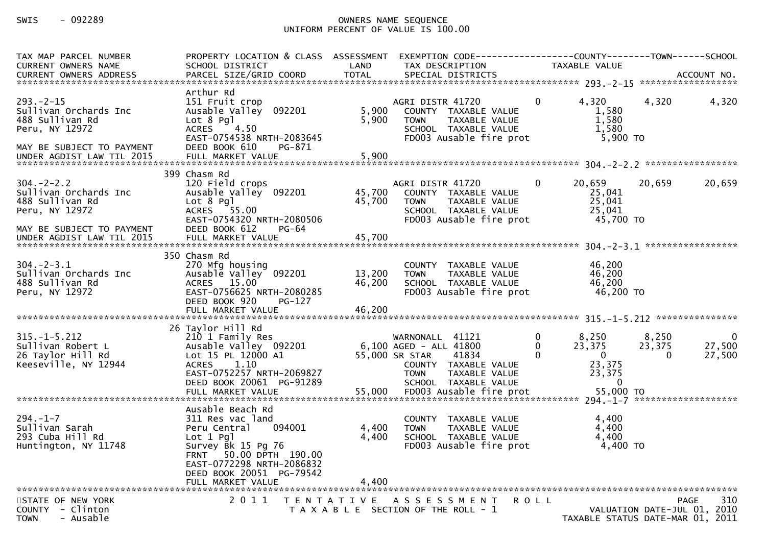| TAX MAP PARCEL NUMBER<br>CURRENT OWNERS NAME                                                                                           | PROPERTY LOCATION & CLASS ASSESSMENT EXEMPTION CODE----------------COUNTY-------TOWN------SCHOOL<br>SCHOOL DISTRICT                                               | LAND                    | TAX DESCRIPTION                                                                                                                                      |                                         | TAXABLE VALUE                                                     |                                   |                                             |
|----------------------------------------------------------------------------------------------------------------------------------------|-------------------------------------------------------------------------------------------------------------------------------------------------------------------|-------------------------|------------------------------------------------------------------------------------------------------------------------------------------------------|-----------------------------------------|-------------------------------------------------------------------|-----------------------------------|---------------------------------------------|
| $293 - 2 - 15$<br>Sullivan Orchards Inc<br>488 Sullivan Rd<br>Peru, NY 12972<br>MAY BE SUBJECT TO PAYMENT<br>UNDER AGDIST LAW TIL 2015 | Arthur Rd<br>151 Fruit crop<br>Ausable Valley 092201<br>Lot 8 Pgl<br>ACRES 4.50<br>EAST-0754538 NRTH-2083645<br>DEED BOOK 610<br>PG-871<br>FULL MARKET VALUE      | 5,900<br>5,900<br>5,900 | AGRI DISTR 41720<br>COUNTY TAXABLE VALUE<br>TAXABLE VALUE<br><b>TOWN</b><br>SCHOOL TAXABLE VALUE<br>FD003 Ausable fire prot                          | $\Omega$                                | 4,320<br>1,580<br>1,580<br>1,580<br>5,900 TO                      | 4,320                             | 4,320                                       |
|                                                                                                                                        | 399 Chasm Rd                                                                                                                                                      |                         |                                                                                                                                                      |                                         |                                                                   |                                   |                                             |
| $304. -2 - 2.2$<br>Sullivan Orchards Inc<br>488 Sullivan Rd<br>Peru, NY 12972<br>MAY BE SUBJECT TO PAYMENT                             | 120 Field crops<br>Ausable Valley 092201 45,700<br>Lot 8 Pgl<br>ACRES 55.00<br>EAST-0754320 NRTH-2080506<br>DEED BOOK 612<br><b>PG-64</b>                         | 45,700                  | AGRI DISTR 41720<br>COUNTY TAXABLE VALUE<br><b>TOWN</b><br>TAXABLE VALUE<br>SCHOOL TAXABLE VALUE<br>FD003 Ausable fire prot                          | $\overline{0}$                          | 20,659<br>25,041<br>25,041<br>25,041<br>45,700 TO                 | 20,659                            | 20,659                                      |
| UNDER AGDIST LAW TIL 2015                                                                                                              | FULL MARKET VALUE                                                                                                                                                 | 45,700                  |                                                                                                                                                      |                                         |                                                                   |                                   |                                             |
| $304 - 2 - 3.1$<br>Sullivan Orchards Inc<br>488 Sullivan Rd<br>Peru, NY 12972                                                          | 350 Chasm Rd<br>270 Mfg housing<br>Ausable Valley 092201<br>ACRES 15.00<br>EAST-0756625 NRTH-2080285<br>DEED BOOK 920<br><b>PG-127</b>                            | 13,200<br>46,200        | COUNTY TAXABLE VALUE<br><b>TOWN</b><br>TAXABLE VALUE<br>SCHOOL TAXABLE VALUE<br>FD003 Ausable fire prot                                              |                                         | 46,200<br>46,200<br>46,200<br>46,200 TO                           |                                   |                                             |
|                                                                                                                                        | 26 Taylor Hill Rd                                                                                                                                                 |                         |                                                                                                                                                      |                                         |                                                                   |                                   |                                             |
| $315. - 1 - 5.212$<br>Sullivan Robert L<br>26 Taylor Hill Rd<br>Keeseville, NY 12944                                                   | 210 1 Family Res<br>Ausable Valley 092201<br>Lot 15 PL 12000 A1<br>ACRES 1.10<br>EAST-0752257 NRTH-2069827<br>DEED BOOK 20061 PG-91289                            |                         | WARNONALL 41121<br>6,100 AGED - ALL 41800<br>55,000 SR STAR<br>41834<br>COUNTY TAXABLE VALUE<br><b>TOWN</b><br>TAXABLE VALUE<br>SCHOOL TAXABLE VALUE | $\mathbf 0$<br>$\mathbf{0}$<br>$\Omega$ | 8,250<br>23,375<br>$\overline{0}$<br>23,375<br>23,375<br>$\Omega$ | 8,250<br>23,375<br>$\overline{0}$ | $\overline{\mathbf{0}}$<br>27,500<br>27,500 |
|                                                                                                                                        | Ausable Beach Rd                                                                                                                                                  |                         |                                                                                                                                                      |                                         |                                                                   |                                   |                                             |
| $294. - 1 - 7$<br>Sullivan Sarah<br>293 Cuba Hill Rd<br>Huntington, NY 11748                                                           | 311 Res vac land<br>094001<br>Peru Central<br>$Lot 1$ Pg<br>Survey Bk 15 Pg 76<br>FRNT 50.00 DPTH 190.00<br>EAST-0772298 NRTH-2086832<br>DEED BOOK 20051 PG-79542 | 4,400<br>4,400          | COUNTY TAXABLE VALUE<br>TAXABLE VALUE<br><b>TOWN</b><br>SCHOOL TAXABLE VALUE<br>FD003 Ausable fire prot                                              |                                         | 4,400<br>4,400<br>4,400<br>4,400 TO                               |                                   |                                             |
|                                                                                                                                        | FULL MARKET VALUE                                                                                                                                                 | 4,400                   |                                                                                                                                                      |                                         |                                                                   |                                   |                                             |
| STATE OF NEW YORK<br>COUNTY - Clinton<br>- Ausable<br><b>TOWN</b>                                                                      | 2011<br>T E N T A T I V E                                                                                                                                         |                         | A S S E S S M E N T<br>T A X A B L E SECTION OF THE ROLL - 1                                                                                         | ROLL                                    | TAXABLE STATUS DATE-MAR 01, 2011                                  | VALUATION DATE-JUL 01, 2010       | <b>PAGE</b><br>310                          |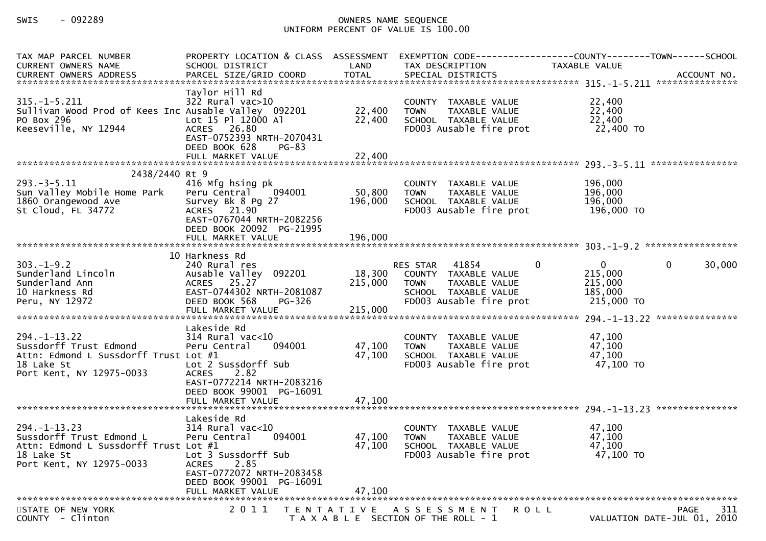| TAX MAP PARCEL NUMBER<br>CURRENT OWNERS NAME                                                                                     | SCHOOL DISTRICT                                                                                                                                                                        | LAND<br><b>TOTAL</b>         | TAX DESCRIPTION                                                                                                           | PROPERTY LOCATION & CLASS ASSESSMENT EXEMPTION CODE----------------COUNTY-------TOWN------SCHOOL<br>TAXABLE VALUE |
|----------------------------------------------------------------------------------------------------------------------------------|----------------------------------------------------------------------------------------------------------------------------------------------------------------------------------------|------------------------------|---------------------------------------------------------------------------------------------------------------------------|-------------------------------------------------------------------------------------------------------------------|
| $315. - 1 - 5.211$<br>Sullivan Wood Prod of Kees Inc Ausable Valley 092201<br>PO Box 296<br>Keeseville, NY 12944                 | Taylor Hill Rd<br>$322$ Rural vac $>10$<br>Lot 15 Pl 12000 Al<br>ACRES 26.80<br>EAST-0752393 NRTH-2070431<br>DEED BOOK 628<br>PG-83<br>FULL MARKET VALUE                               | 22,400<br>22,400<br>22,400   | COUNTY TAXABLE VALUE<br>TAXABLE VALUE<br><b>TOWN</b><br>SCHOOL TAXABLE VALUE<br>FD003 Ausable fire prot                   | 22,400<br>22,400<br>22,400<br>22,400 TO                                                                           |
|                                                                                                                                  |                                                                                                                                                                                        |                              |                                                                                                                           |                                                                                                                   |
| 2438/2440 Rt 9<br>$293. -3 - 5.11$<br>Sun Valley Mobile Home Park<br>1860 Orangewood Ave<br>St Cloud, FL 34772                   | 416 Mfg hsing pk<br>Peru Central 094001<br>Survey Bk 8 Pg 27<br>ACRES 21.90<br>EAST-0767044 NRTH-2082256<br>DEED BOOK 20092 PG-21995<br>FULL MARKET VALUE                              | 50,800<br>196,000<br>196,000 | COUNTY TAXABLE VALUE<br><b>TOWN</b><br>TAXABLE VALUE<br>SCHOOL TAXABLE VALUE<br>FD003 Ausable fire prot                   | 196,000<br>196,000<br>196,000<br>196,000 TO                                                                       |
|                                                                                                                                  |                                                                                                                                                                                        |                              |                                                                                                                           |                                                                                                                   |
| $303. -1 - 9.2$<br>Sunderland Lincoln<br>Sunderland Ann<br>10 Harkness Rd<br>Peru, NY 12972                                      | 10 Harkness Rd<br>240 Rural res<br>Ausable Valley 092201<br>ACRES 25.27<br>EAST-0744302 NRTH-2081087<br>DEED BOOK 568<br>PG-326<br>FULL MARKET VALUE                                   | 18,300<br>215,000<br>215,000 | RES STAR 41854<br>COUNTY TAXABLE VALUE<br><b>TOWN</b><br>TAXABLE VALUE<br>SCHOOL TAXABLE VALUE<br>FD003 Ausable fire prot | $\overline{0}$<br>$\mathbf{0}$<br>30,000<br>$\mathbf{0}$<br>215,000<br>215,000<br>185,000<br>215,000 TO           |
| $294. - 1 - 13.22$<br>Sussdorff Trust Edmond<br>Attn: Edmond L Sussdorff Trust Lot #1<br>18 Lake St<br>Port Kent, NY 12975-0033  | Lakeside Rd<br>314 Rural vac<10<br>094001<br>Peru Central<br>Lot 2 Sussdorff Sub<br>2.82<br><b>ACRES</b><br>EAST-0772214 NRTH-2083216<br>DEED BOOK 99001 PG-16091<br>FULL MARKET VALUE | 47,100<br>47,100<br>47,100   | COUNTY TAXABLE VALUE<br>TAXABLE VALUE<br>TOWN<br>SCHOOL TAXABLE VALUE<br>FD003 Ausable fire prot                          | 47,100<br>47,100<br>47,100<br>47,100 TO                                                                           |
|                                                                                                                                  |                                                                                                                                                                                        |                              |                                                                                                                           |                                                                                                                   |
| $294. -1 - 13.23$<br>Sussdorff Trust Edmond L<br>Attn: Edmond L Sussdorff Trust Lot #1<br>18 Lake St<br>Port Kent, NY 12975-0033 | Lakeside Rd<br>314 Rural vac<10<br>094001<br>Peru Central<br>Lot 3 Sussdorff Sub<br>ACRES 2.85<br>EAST-0772072 NRTH-2083458<br>DEED BOOK 99001 PG-16091<br>FULL MARKET VALUE           | 47,100<br>47,100<br>47,100   | COUNTY TAXABLE VALUE<br>TAXABLE VALUE<br><b>TOWN</b><br>SCHOOL TAXABLE VALUE<br>FD003 Ausable fire prot                   | 47,100<br>47,100<br>47,100<br>47,100 TO                                                                           |
|                                                                                                                                  |                                                                                                                                                                                        |                              |                                                                                                                           |                                                                                                                   |
| STATE OF NEW YORK<br>COUNTY - Clinton                                                                                            | 2 0 1 1                                                                                                                                                                                | T E N T A T I V E            | A S S E S S M E N T<br>T A X A B L E SECTION OF THE ROLL - 1                                                              | 311<br>PAGE<br>R O L L<br>VALUATION DATE-JUL 01, 2010                                                             |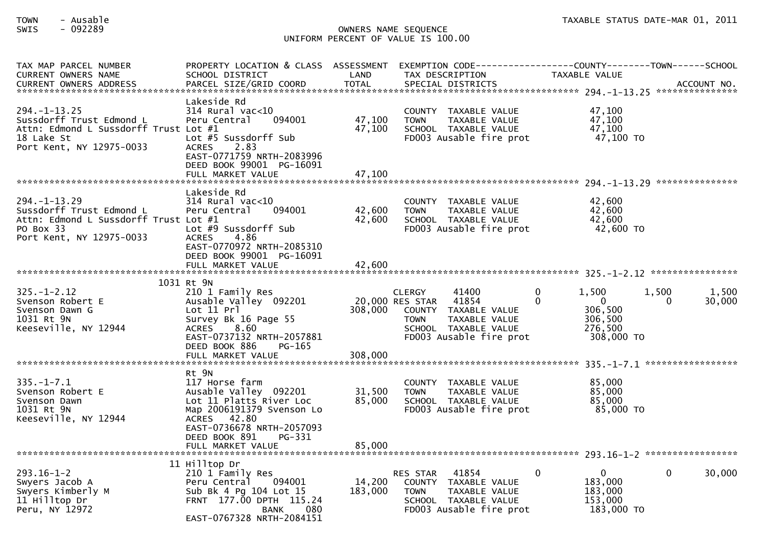| TAX MAP PARCEL NUMBER<br><b>CURRENT OWNERS NAME</b>                                                                              | PROPERTY LOCATION & CLASS ASSESSMENT<br>SCHOOL DISTRICT                                                                                                                                 | LAND                       | EXEMPTION CODE-----------------COUNTY--------TOWN------SCHOOL<br>TAX DESCRIPTION                                                                              | TAXABLE VALUE                                                                         | ACCOUNT NO.<br>*************** |
|----------------------------------------------------------------------------------------------------------------------------------|-----------------------------------------------------------------------------------------------------------------------------------------------------------------------------------------|----------------------------|---------------------------------------------------------------------------------------------------------------------------------------------------------------|---------------------------------------------------------------------------------------|--------------------------------|
| $294. -1 - 13.25$<br>Sussdorff Trust Edmond L<br>Attn: Edmond L Sussdorff Trust Lot #1<br>18 Lake St<br>Port Kent, NY 12975-0033 | Lakeside Rd<br>314 Rural vac<10<br>Peru Central<br>094001<br>Lot #5 Sussdorff Sub<br>2.83<br><b>ACRES</b><br>EAST-0771759 NRTH-2083996<br>DEED BOOK 99001 PG-16091<br>FULL MARKET VALUE | 47,100<br>47,100<br>47,100 | COUNTY TAXABLE VALUE<br><b>TOWN</b><br>TAXABLE VALUE<br>SCHOOL TAXABLE VALUE<br>FD003 Ausable fire prot                                                       | 47,100<br>47,100<br>47,100<br>47,100 TO                                               |                                |
|                                                                                                                                  |                                                                                                                                                                                         |                            |                                                                                                                                                               |                                                                                       |                                |
| $294. -1 - 13.29$<br>Sussdorff Trust Edmond L<br>Attn: Edmond L Sussdorff Trust Lot #1<br>PO Box 33<br>Port Kent, NY 12975-0033  | Lakeside Rd<br>314 Rural vac<10<br>Peru Central<br>094001<br>Lot #9 Sussdorff Sub<br>4.86<br><b>ACRES</b><br>EAST-0770972 NRTH-2085310                                                  | 42,600<br>42,600           | COUNTY TAXABLE VALUE<br>TAXABLE VALUE<br><b>TOWN</b><br>SCHOOL TAXABLE VALUE<br>FD003 Ausable fire prot                                                       | 42.600<br>42,600<br>42,600<br>42,600 TO                                               |                                |
|                                                                                                                                  | DEED BOOK 99001 PG-16091<br>FULL MARKET VALUE                                                                                                                                           | 42,600                     |                                                                                                                                                               |                                                                                       |                                |
|                                                                                                                                  |                                                                                                                                                                                         |                            |                                                                                                                                                               |                                                                                       |                                |
| $325. - 1 - 2.12$<br>Svenson Robert E<br>Svenson Dawn G<br>1031 Rt 9N<br>Keeseville, NY 12944                                    | 1031 Rt 9N<br>210 1 Family Res<br>Ausable Valley 092201<br>Lot 11 Prl<br>Survey Bk 16 Page 55<br>8.60<br><b>ACRES</b><br>EAST-0737132 NRTH-2057881<br>DEED BOOK 886<br>PG-165           | 308,000                    | <b>CLERGY</b><br>41400<br>41854<br>20,000 RES STAR<br>COUNTY TAXABLE VALUE<br>TAXABLE VALUE<br><b>TOWN</b><br>SCHOOL TAXABLE VALUE<br>FD003 Ausable fire prot | 1,500<br>0<br>$\Omega$<br>$\mathbf{0}$<br>306,500<br>306,500<br>276.500<br>308,000 TO | 1,500<br>1,500<br>30,000<br>0  |
|                                                                                                                                  | FULL MARKET VALUE                                                                                                                                                                       | 308,000                    |                                                                                                                                                               |                                                                                       |                                |
| $335. - 1 - 7.1$<br>Svenson Robert E<br>Svenson Dawn<br>1031 Rt 9N<br>Keeseville, NY 12944                                       | Rt 9N<br>117 Horse farm<br>Ausable Valley 092201<br>Lot 11 Platts River Loc<br>Map 2006191379 Svenson Lo<br>ACRES 42.80<br>EAST-0736678 NRTH-2057093                                    | 31,500<br>85,000           | COUNTY TAXABLE VALUE<br>TAXABLE VALUE<br><b>TOWN</b><br>SCHOOL TAXABLE VALUE<br>FD003 Ausable fire prot                                                       | 85,000<br>85,000<br>85,000<br>85,000 TO                                               |                                |
|                                                                                                                                  | DEED BOOK 891<br>PG-331<br>FULL MARKET VALUE                                                                                                                                            | 85,000                     |                                                                                                                                                               |                                                                                       |                                |
|                                                                                                                                  |                                                                                                                                                                                         |                            |                                                                                                                                                               |                                                                                       |                                |
| $293.16 - 1 - 2$<br>Swyers Jacob A<br>Swyers Kimberly M<br>11 Hilltop Dr<br>Peru, NY 12972                                       | 11 Hilltop Dr<br>210 1 Family Res<br>Peru Central<br>094001<br>Sub Bk 4 Pg 104 Lot 15<br>FRNT 177.00 DPTH 115.24<br><b>BANK</b><br>080<br>EAST-0767328 NRTH-2084151                     | 14,200<br>183,000          | 41854<br><b>RES STAR</b><br>COUNTY TAXABLE VALUE<br>TAXABLE VALUE<br><b>TOWN</b><br>SCHOOL TAXABLE VALUE<br>FD003 Ausable fire prot                           | $\mathbf{0}$<br>$\Omega$<br>183,000<br>183,000<br>153,000<br>183,000 TO               | $\Omega$<br>30,000             |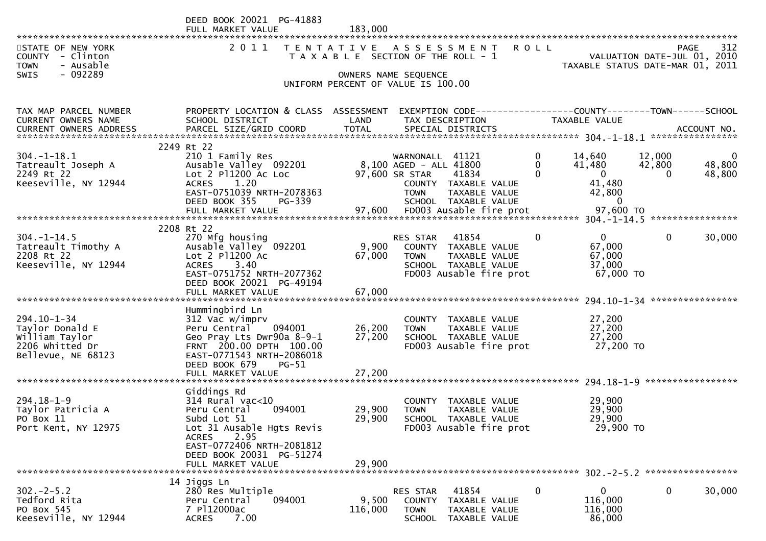|                                                                                | DEED BOOK 20021 PG-41883<br>FULL MARKET VALUE                                                                             | 183,000           |                                                                                                                                 |                           |                                                        |                       |                                            |
|--------------------------------------------------------------------------------|---------------------------------------------------------------------------------------------------------------------------|-------------------|---------------------------------------------------------------------------------------------------------------------------------|---------------------------|--------------------------------------------------------|-----------------------|--------------------------------------------|
| STATE OF NEW YORK<br>COUNTY - Clinton<br><b>TOWN</b><br>- Ausable              | 2011                                                                                                                      | T E N T A T I V E | A S S E S S M E N T<br>T A X A B L E SECTION OF THE ROLL - 1                                                                    | <b>ROLL</b>               | TAXABLE STATUS DATE-MAR 01, 2011                       |                       | 312<br>PAGE<br>VALUATION DATE-JUL 01, 2010 |
| $-092289$<br><b>SWIS</b>                                                       |                                                                                                                           |                   | OWNERS NAME SEQUENCE<br>UNIFORM PERCENT OF VALUE IS 100.00                                                                      |                           |                                                        |                       |                                            |
| TAX MAP PARCEL NUMBER<br>CURRENT OWNERS NAME                                   | PROPERTY LOCATION & CLASS ASSESSMENT<br>SCHOOL DISTRICT                                                                   | LAND              | EXEMPTION CODE-----------------COUNTY-------TOWN------SCHOOL<br>TAX DESCRIPTION                                                 |                           | TAXABLE VALUE                                          |                       |                                            |
|                                                                                | 2249 Rt 22                                                                                                                |                   |                                                                                                                                 |                           |                                                        |                       |                                            |
| $304. - 1 - 18.1$<br>Tatreault Joseph A<br>2249 Rt 22<br>Keeseville, NY 12944  | 210 1 Family Res<br>Ausable Valley 092201<br>Lot $2$ P $1200$ Ac Loc<br>1.20<br><b>ACRES</b><br>EAST-0751039 NRTH-2078363 |                   | 41121<br>WARNONALL<br>8,100 AGED - ALL 41800<br>97,600 SR STAR<br>41834<br>COUNTY TAXABLE VALUE<br><b>TOWN</b><br>TAXABLE VALUE | 0<br>$\Omega$<br>$\Omega$ | 14,640<br>41,480<br>$\overline{0}$<br>41,480<br>42,800 | 12,000<br>42,800<br>0 | $\mathbf 0$<br>48,800<br>48,800            |
|                                                                                | DEED BOOK 355<br>PG-339<br>FULL MARKET VALUE                                                                              | 97,600            | SCHOOL TAXABLE VALUE<br>FD003 Ausable fire prot                                                                                 |                           | $\mathbf{0}$<br>97,600 TO                              |                       |                                            |
|                                                                                | 2208 Rt 22                                                                                                                |                   |                                                                                                                                 | $\mathbf{0}$              | $\mathbf{0}$                                           | $\mathbf{0}$          |                                            |
| $304. - 1 - 14.5$<br>Tatreault Timothy A<br>2208 Rt 22<br>Keeseville, NY 12944 | 270 Mfg housing<br>Ausable Valley 092201<br>Lot 2 P11200 Ac<br>3.40<br><b>ACRES</b>                                       | 9,900<br>67,000   | 41854<br>RES STAR<br>COUNTY TAXABLE VALUE<br>TAXABLE VALUE<br><b>TOWN</b><br>SCHOOL TAXABLE VALUE                               |                           | 67,000<br>67,000<br>37,000                             |                       | 30,000                                     |
|                                                                                | EAST-0751752 NRTH-2077362<br>DEED BOOK 20021 PG-49194<br>FULL MARKET VALUE                                                | 67,000            | FD003 Ausable fire prot                                                                                                         |                           | 67,000 TO                                              |                       |                                            |
| *****************************                                                  | Hummingbird Ln                                                                                                            |                   |                                                                                                                                 |                           |                                                        |                       | ****************                           |
| $294.10 - 1 - 34$                                                              | 312 Vac w/imprv                                                                                                           |                   | COUNTY TAXABLE VALUE                                                                                                            |                           | 27,200                                                 |                       |                                            |
| Taylor Donald E<br>William Taylor                                              | 094001<br>Peru Central<br>Geo Pray Lts Dwr90a 8-9-1                                                                       | 26,200<br>27,200  | <b>TOWN</b><br>TAXABLE VALUE<br>SCHOOL TAXABLE VALUE                                                                            |                           | 27,200<br>27,200                                       |                       |                                            |
| 2206 Whitted Dr<br>Bellevue, NE 68123                                          | FRNT 200.00 DPTH 100.00<br>EAST-0771543 NRTH-2086018<br>DEED BOOK 679<br>$PG-51$                                          |                   | FD003 Ausable fire prot                                                                                                         |                           | 27,200 TO                                              |                       |                                            |
|                                                                                | FULL MARKET VALUE                                                                                                         | 27,200            |                                                                                                                                 |                           |                                                        |                       |                                            |
|                                                                                | Giddings Rd                                                                                                               |                   |                                                                                                                                 |                           |                                                        |                       |                                            |
| $294.18 - 1 - 9$<br>Taylor Patricia A                                          | $314$ Rural vac<10<br>094001<br>Peru Central                                                                              | 29,900            | COUNTY<br>TAXABLE VALUE<br>TAXABLE VALUE<br><b>TOWN</b>                                                                         |                           | 29,900<br>29,900                                       |                       |                                            |
| PO Box 11                                                                      | Subd Lot 51                                                                                                               | 29,900            | SCHOOL TAXABLE VALUE                                                                                                            |                           | 29,900                                                 |                       |                                            |
| Port Kent, NY 12975                                                            | Lot 31 Ausable Hgts Revis<br>2.95<br><b>ACRES</b><br>EAST-0772406 NRTH-2081812<br>DEED BOOK 20031 PG-51274                |                   | FD003 Ausable fire prot                                                                                                         |                           | 29,900 TO                                              |                       |                                            |
|                                                                                | FULL MARKET VALUE                                                                                                         | 29,900            |                                                                                                                                 |                           |                                                        |                       |                                            |
| $302 - 2 - 5.2$                                                                | 14 Jiggs Ln<br>280 Res Multiple                                                                                           |                   | 41854<br>RES STAR                                                                                                               | 0                         | 0                                                      | 0                     | 30,000                                     |
| Tedford Rita<br>PO Box 545<br>Keeseville, NY 12944                             | Peru Central<br>094001<br>7 P112000ac<br>7.00<br><b>ACRES</b>                                                             | 9,500<br>116,000  | <b>COUNTY</b><br>TAXABLE VALUE<br>TAXABLE VALUE<br><b>TOWN</b><br><b>SCHOOL</b><br>TAXABLE VALUE                                |                           | 116,000<br>116,000<br>86,000                           |                       |                                            |
|                                                                                |                                                                                                                           |                   |                                                                                                                                 |                           |                                                        |                       |                                            |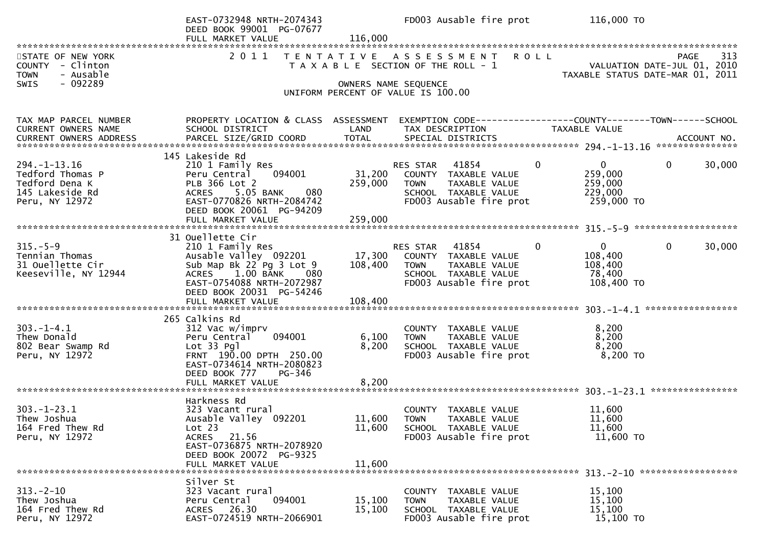|                                                                                              | EAST-0732948 NRTH-2074343<br>DEED BOOK 99001 PG-07677<br>FULL MARKET VALUE                                                                                                             | 116,000                      | FD003 Ausable fire prot                                                                                                                      | 116,000 TO                                                                             |
|----------------------------------------------------------------------------------------------|----------------------------------------------------------------------------------------------------------------------------------------------------------------------------------------|------------------------------|----------------------------------------------------------------------------------------------------------------------------------------------|----------------------------------------------------------------------------------------|
| STATE OF NEW YORK<br>COUNTY - Clinton<br><b>TOWN</b><br>- Ausable                            | 2011                                                                                                                                                                                   |                              | TENTATIVE ASSESSMENT ROLL<br>T A X A B L E SECTION OF THE ROLL - 1                                                                           | 313<br>PAGE<br>VALUATION DATE-JUL 01, 2010<br>TAXABLE STATUS DATE-MAR 01, 2011         |
| - 092289<br>SWIS                                                                             |                                                                                                                                                                                        |                              | OWNERS NAME SEQUENCE<br>UNIFORM PERCENT OF VALUE IS 100.00                                                                                   |                                                                                        |
| TAX MAP PARCEL NUMBER<br>CURRENT OWNERS NAME                                                 | PROPERTY LOCATION & CLASS ASSESSMENT<br>SCHOOL DISTRICT                                                                                                                                | LAND                         | TAX DESCRIPTION                                                                                                                              | EXEMPTION CODE------------------COUNTY--------TOWN------SCHOOL<br>TAXABLE VALUE        |
| $294. -1 - 13.16$<br>Tedford Thomas P<br>Tedford Dena K<br>145 Lakeside Rd<br>Peru, NY 12972 | 145 Lakeside Rd<br>210 1 Family Res<br>094001<br>Peru Central<br>PLB 366 Lot 2<br>ACRES 5.05 BANK<br>080<br>EAST-0770826 NRTH-2084742<br>DEED BOOK 20061 PG-94209<br>FULL MARKET VALUE | 31,200<br>259,000<br>259,000 | $\Omega$<br>RES STAR 41854<br>COUNTY TAXABLE VALUE<br>TAXABLE VALUE<br><b>TOWN</b><br>SCHOOL TAXABLE VALUE<br>FD003 Ausable fire prot        | $\overline{0}$<br>$\Omega$<br>30,000<br>259,000<br>259,000<br>229,000<br>259,000 TO    |
| $315. - 5 - 9$<br>Tennian Thomas<br>31 Ouellette Cir<br>Keeseville, NY 12944                 | 31 Ouellette Cir<br>210 1 Family Res<br>Ausable Valley 092201<br>Sub Map Bk 22 Pg 3 Lot 9<br>ACRES 1.00 BANK<br>080<br>EAST-0754088 NRTH-2072987<br>DEED BOOK 20031 PG-54246           | 17,300<br>108,400            | <b>RES STAR 41854</b><br>$\Omega$<br>COUNTY TAXABLE VALUE<br><b>TOWN</b><br>TAXABLE VALUE<br>SCHOOL TAXABLE VALUE<br>FD003 Ausable fire prot | 30,000<br>$\overline{0}$<br>$\mathbf{0}$<br>108,400<br>108,400<br>78,400<br>108,400 TO |
| $303. -1 - 4.1$<br>Thew Donald<br>802 Bear Swamp Rd<br>Peru, NY 12972                        | 265 Calkins Rd<br>312 Vac w/imprv<br>094001<br>Peru Central<br>Lot 33 Pgl<br>FRNT 190.00 DPTH 250.00<br>EAST-0734614 NRTH-2080823<br>DEED BOOK 777<br>PG-346<br>FULL MARKET VALUE      | 6,100<br>8,200<br>8,200      | COUNTY TAXABLE VALUE<br><b>TOWN</b><br>TAXABLE VALUE<br>SCHOOL TAXABLE VALUE<br>FD003 Ausable fire prot                                      | 8,200<br>8,200<br>8,200<br>8,200 TO                                                    |
| $303. - 1 - 23.1$<br>Thew Joshua<br>164 Fred Thew Rd<br>Peru, NY 12972                       | Harkness Rd<br>323 Vacant rural<br>Ausable Valley 092201<br>Lot 23<br>21.56<br><b>ACRES</b><br>EAST-0736875 NRTH-2078920<br>DEED BOOK 20072 PG-9325<br>FULL MARKET VALUE               | 11,600<br>11,600<br>11,600   | COUNTY TAXABLE VALUE<br><b>TOWN</b><br>TAXABLE VALUE<br>SCHOOL TAXABLE VALUE<br>FD003 Ausable fire prot                                      | 11,600<br>11,600<br>11,600<br>11,600 TO                                                |
| $313 - 2 - 10$<br>Thew Joshua<br>164 Fred Thew Rd<br>Peru, NY 12972                          | Silver St<br>323 Vacant rural<br>094001<br>Peru Central<br>ACRES 26.30<br>EAST-0724519 NRTH-2066901                                                                                    | 15,100<br>15,100             | COUNTY TAXABLE VALUE<br>TAXABLE VALUE<br><b>TOWN</b><br>SCHOOL TAXABLE VALUE<br>FD003 Ausable fire prot                                      | 15,100<br>15,100<br>15,100<br>15,100 TO                                                |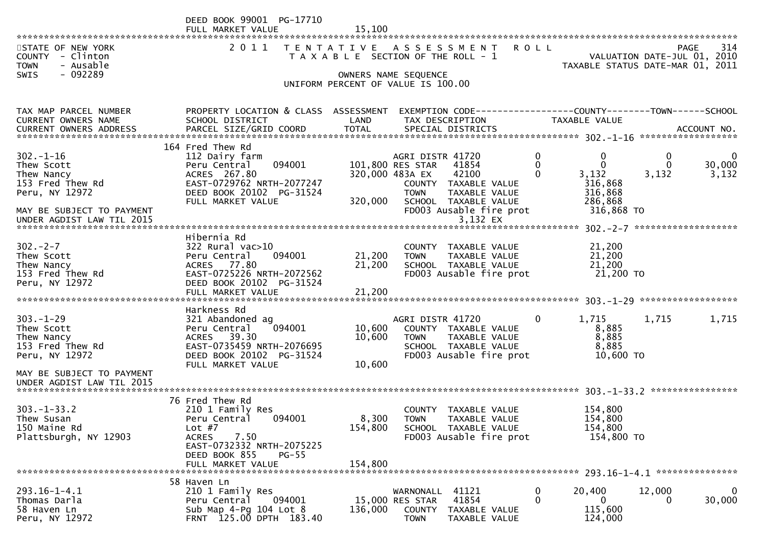|                                                                                  | DEED BOOK 99001 PG-17710<br>FULL MARKET VALUE                                                                                           | 15,100                     |                                                                        |                                                                                          |                    |                                                  |                                      |                                                   |
|----------------------------------------------------------------------------------|-----------------------------------------------------------------------------------------------------------------------------------------|----------------------------|------------------------------------------------------------------------|------------------------------------------------------------------------------------------|--------------------|--------------------------------------------------|--------------------------------------|---------------------------------------------------|
| STATE OF NEW YORK<br>COUNTY - Clinton<br><b>TOWN</b><br>- Ausable                | 2011                                                                                                                                    |                            | TENTATIVE ASSESSMENT<br>T A X A B L E SECTION OF THE ROLL - 1          |                                                                                          | <b>ROLL</b>        | TAXABLE STATUS DATE-MAR 01, 2011                 |                                      | 314<br><b>PAGE</b><br>VALUATION DATE-JUL 01, 2010 |
| - 092289<br><b>SWIS</b>                                                          |                                                                                                                                         |                            | OWNERS NAME SEQUENCE<br>UNIFORM PERCENT OF VALUE IS 100.00             |                                                                                          |                    |                                                  |                                      |                                                   |
| TAX MAP PARCEL NUMBER<br>CURRENT OWNERS NAME                                     | PROPERTY LOCATION & CLASS ASSESSMENT<br>SCHOOL DISTRICT                                                                                 | LAND                       | TAX DESCRIPTION                                                        | EXEMPTION CODE-----------------COUNTY-------TOWN------SCHOOL                             |                    | TAXABLE VALUE                                    |                                      |                                                   |
|                                                                                  | 164 Fred Thew Rd                                                                                                                        |                            |                                                                        |                                                                                          |                    |                                                  |                                      |                                                   |
| $302 - 1 - 16$<br>Thew Scott<br>Thew Nancy<br>153 Fred Thew Rd<br>Peru, NY 12972 | 112 Dairy farm<br>094001<br>Peru Central<br>ACRES 267.80<br>EAST-0729762 NRTH-2077247<br>DEED BOOK 20102 PG-31524                       |                            | AGRI DISTR 41720<br>101,800 RES STAR<br>320,000 483A EX<br><b>TOWN</b> | 41854<br>42100<br>COUNTY TAXABLE VALUE<br>TAXABLE VALUE                                  | 0<br>0<br>$\Omega$ | 0<br>$\mathbf{0}$<br>3,132<br>316,868<br>316,868 | $\mathbf 0$<br>$\mathbf{0}$<br>3,132 | $\mathbf 0$<br>30,000<br>3,132                    |
| MAY BE SUBJECT TO PAYMENT<br>UNDER AGDIST LAW TIL 2015                           | FULL MARKET VALUE                                                                                                                       | 320,000                    |                                                                        | SCHOOL TAXABLE VALUE<br>FD003 Ausable fire prot<br>3,132 EX                              |                    | 286,868<br>316,868 TO                            |                                      |                                                   |
|                                                                                  | Hibernia Rd                                                                                                                             |                            |                                                                        |                                                                                          |                    |                                                  |                                      |                                                   |
| $302 - 2 - 7$<br>Thew Scott<br>Thew Nancy<br>153 Fred Thew Rd<br>Peru, NY 12972  | $322$ Rural vac $>10$<br>094001<br>Peru Central<br>ACRES 77.80<br>EAST-0725226 NRTH-2072562<br>DEED BOOK 20102 PG-31524                 | 21,200<br>21,200           | <b>TOWN</b>                                                            | COUNTY TAXABLE VALUE<br>TAXABLE VALUE<br>SCHOOL TAXABLE VALUE<br>FD003 Ausable fire prot |                    | 21,200<br>21,200<br>21,200<br>21,200 TO          |                                      |                                                   |
|                                                                                  |                                                                                                                                         |                            |                                                                        |                                                                                          |                    |                                                  |                                      |                                                   |
|                                                                                  | Harkness Rd                                                                                                                             |                            |                                                                        |                                                                                          |                    |                                                  |                                      |                                                   |
| $303 - 1 - 29$<br>Thew Scott<br>Thew Nancy<br>153 Fred Thew Rd<br>Peru, NY 12972 | 321 Abandoned ag<br>094001<br>Peru Central<br>ACRES 39.30<br>EAST-0735459 NRTH-2076695<br>DEED BOOK 20102 PG-31524<br>FULL MARKET VALUE | 10,600<br>10,600<br>10,600 | AGRI DISTR 41720<br><b>TOWN</b>                                        | COUNTY TAXABLE VALUE<br>TAXABLE VALUE<br>SCHOOL TAXABLE VALUE<br>FD003 Ausable fire prot | $\Omega$           | 1,715<br>8,885<br>8,885<br>8,885<br>10,600 TO    | 1,715                                | 1,715                                             |
| MAY BE SUBJECT TO PAYMENT<br>UNDER AGDIST LAW TIL 2015                           |                                                                                                                                         |                            |                                                                        |                                                                                          |                    |                                                  |                                      |                                                   |
| $303 - 1 - 33.2$<br>Thew Susan<br>150 Maine Rd                                   | 76 Fred Thew Rd<br>210 1 Family Res<br>094001<br>Peru Central<br>Lot $#7$                                                               | 8,300<br>154,800           | <b>COUNTY</b><br><b>TOWN</b>                                           | TAXABLE VALUE<br>TAXABLE VALUE<br>SCHOOL TAXABLE VALUE                                   |                    | 154,800<br>154,800<br>154,800                    |                                      |                                                   |
| Plattsburgh, NY 12903                                                            | 7.50<br><b>ACRES</b><br>EAST-0732332 NRTH-2075225<br>DEED BOOK 855<br>$PG-55$<br>FULL MARKET VALUE                                      | 154,800                    |                                                                        | FD003 Ausable fire prot                                                                  |                    | 154,800 TO                                       |                                      |                                                   |
|                                                                                  | 58 Haven Ln                                                                                                                             |                            |                                                                        |                                                                                          |                    |                                                  |                                      |                                                   |
| $293.16 - 1 - 4.1$<br>Thomas Darla<br>58 Haven Ln<br>Peru, NY 12972              | 210 1 Family Res<br>Peru Central<br>094001<br>Sub Map $4-Pg$ 104 Lot $8$<br>FRNT 125.00 DPTH 183.40                                     | 136,000                    | WARNONALL<br>15,000 RES STAR<br><b>COUNTY</b><br><b>TOWN</b>           | 41121<br>41854<br>TAXABLE VALUE<br>TAXABLE VALUE                                         | 0<br>$\mathbf{0}$  | 20,400<br>$\overline{0}$<br>115,600<br>124,000   | 12,000<br>0                          | 0<br>30,000                                       |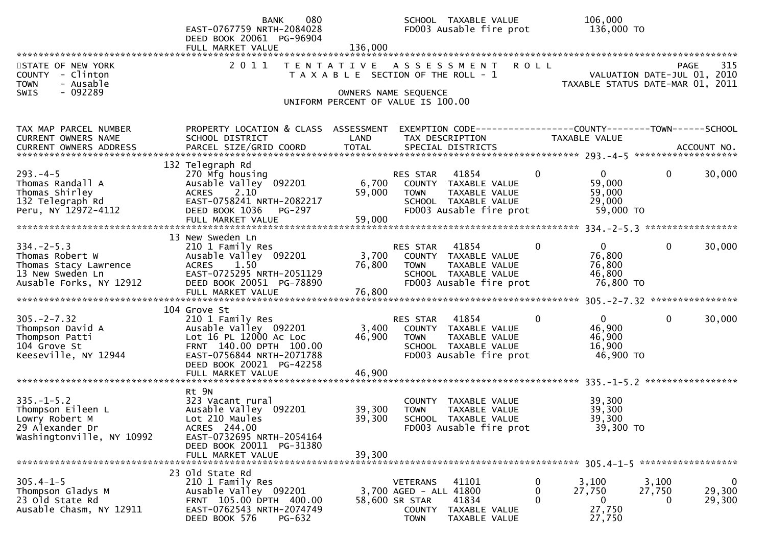|                                                                                                                                | 080<br><b>BANK</b><br>EAST-0767759 NRTH-2084028<br>DEED BOOK 20061 PG-96904                                                                                             |                                       |                                                                                             | SCHOOL TAXABLE VALUE<br>FD003 Ausable fire prot                                                        | 106,000<br>136,000 TO                                                     |                           |                                      |
|--------------------------------------------------------------------------------------------------------------------------------|-------------------------------------------------------------------------------------------------------------------------------------------------------------------------|---------------------------------------|---------------------------------------------------------------------------------------------|--------------------------------------------------------------------------------------------------------|---------------------------------------------------------------------------|---------------------------|--------------------------------------|
|                                                                                                                                | FULL MARKET VALUE                                                                                                                                                       | 136,000                               |                                                                                             |                                                                                                        |                                                                           |                           |                                      |
| STATE OF NEW YORK<br>COUNTY - Clinton<br>- Ausable<br><b>TOWN</b>                                                              | 2011                                                                                                                                                                    | T A X A B L E SECTION OF THE ROLL - 1 |                                                                                             | TENTATIVE ASSESSMENT ROLL                                                                              | VALUATION DATE-JUL 01, 2010<br>TAXABLE STATUS DATE-MAR 01, 2011           |                           | PAGE<br>315                          |
| - 092289<br><b>SWIS</b>                                                                                                        |                                                                                                                                                                         | OWNERS NAME SEQUENCE                  |                                                                                             |                                                                                                        |                                                                           |                           |                                      |
|                                                                                                                                |                                                                                                                                                                         | UNIFORM PERCENT OF VALUE IS 100.00    |                                                                                             |                                                                                                        |                                                                           |                           |                                      |
|                                                                                                                                |                                                                                                                                                                         |                                       |                                                                                             |                                                                                                        |                                                                           |                           |                                      |
| TAX MAP PARCEL NUMBER<br>CURRENT OWNERS NAME<br><b>CURRENT OWNERS ADDRESS</b>                                                  | PROPERTY LOCATION & CLASS ASSESSMENT<br>SCHOOL DISTRICT<br>PARCEL SIZE/GRID COORD                                                                                       | LAND<br><b>TOTAL</b>                  |                                                                                             | EXEMPTION CODE------------------COUNTY--------TOWN------SCHOOL<br>TAX DESCRIPTION<br>SPECIAL DISTRICTS | TAXABLE VALUE                                                             |                           | ACCOUNT NO.                          |
|                                                                                                                                |                                                                                                                                                                         |                                       |                                                                                             |                                                                                                        |                                                                           |                           |                                      |
| $293. -4 - 5$<br>Thomas Randall A<br>Thomas Shirley<br>132 Telegraph Rd<br>Peru, NY 12972-4112                                 | 132 Telegraph Rd<br>270 Mfg housing<br>Ausable Valley 092201<br>ACRES 2.10<br>EAST-0758241 NRTH-2082217<br>DEED BOOK 1036<br>PG-297<br>FULL MARKET VALUE                | 6,700<br>59,000<br>59,000             | RES STAR<br><b>TOWN</b>                                                                     | 41854<br>COUNTY TAXABLE VALUE<br>TAXABLE VALUE<br>SCHOOL TAXABLE VALUE<br>FD003 Ausable fire prot      | $\mathbf{0}$<br>$\overline{0}$<br>59,000<br>59,000<br>29,000              | $\mathbf{0}$<br>59,000 TO | 30,000                               |
|                                                                                                                                |                                                                                                                                                                         |                                       |                                                                                             |                                                                                                        |                                                                           |                           |                                      |
| $334. -2 - 5.3$<br>Thomas Robert W<br>Thomas Stacy Lawrence<br>13 New Sweden Ln<br>13 New Sweden Ln<br>Ausable Forks, NY 12912 | 13 New Sweden Ln<br>210 1 Family Res<br>Ausable Valley 092201<br><b>ACRES</b><br>1.50<br>EAST-0725295 NRTH-2051129<br>DEED BOOK 20051 PG-78890                          | 3,700<br>76,800                       | RES STAR<br><b>TOWN</b>                                                                     | 41854<br>COUNTY TAXABLE VALUE<br>TAXABLE VALUE<br>SCHOOL TAXABLE VALUE<br>FD003 Ausable fire prot      | $\overline{0}$<br>$\bf{0}$<br>76,800<br>76,800<br>46,800                  | $\mathbf{0}$<br>76,800 TO | 30,000                               |
|                                                                                                                                |                                                                                                                                                                         |                                       |                                                                                             |                                                                                                        |                                                                           |                           |                                      |
| $305. -2 - 7.32$<br>Thompson David A<br>Thompson Patti<br>104 Grove St<br>Keeseville, NY 12944                                 | 104 Grove St<br>210 1 Family Res<br>Ausable Valley 092201<br>Lot 16 PL 12000 Ac Loc<br>FRNT 140.00 DPTH 100.00<br>EAST-0756844 NRTH-2071788<br>DEED BOOK 20021 PG-42258 | 3,400<br>46,900                       | RES STAR<br><b>TOWN</b>                                                                     | 41854<br>COUNTY TAXABLE VALUE<br>TAXABLE VALUE<br>SCHOOL TAXABLE VALUE<br>FD003 Ausable fire prot      | $\overline{0}$<br>$\mathbf 0$<br>46,900<br>46,900<br>16,900               | 0<br>46,900 TO            | 30,000                               |
|                                                                                                                                |                                                                                                                                                                         |                                       |                                                                                             |                                                                                                        |                                                                           |                           |                                      |
| $335. - 1 - 5.2$<br>Thompson Eileen L<br>Lowry Robert M<br>29 Alexander Dr<br>Washingtonville, NY 10992                        | Rt 9N<br>323 Vacant rural<br>Ausable Valley 092201<br>Lot 210 Maules<br>ACRES 244.00<br>EAST-0732695 NRTH-2054164<br>DEED BOOK 20011 PG-31380                           | 39,300<br>39,300                      | <b>TOWN</b>                                                                                 | COUNTY TAXABLE VALUE<br>TAXABLE VALUE<br>SCHOOL TAXABLE VALUE<br>FD003 Ausable fire prot               | 39,300<br>39,300<br>39,300                                                | 39,300 TO                 |                                      |
|                                                                                                                                | FULL MARKET VALUE                                                                                                                                                       | 39,300                                |                                                                                             |                                                                                                        |                                                                           |                           |                                      |
| $305.4 - 1 - 5$<br>Thompson Gladys M<br>23 Old State Rd<br>Ausable Chasm, NY 12911                                             | 23 Old State Rd<br>210 1 Family Res<br>Ausable Valley 092201<br>FRNT 105.00 DPTH 400.00<br>EAST-0762543 NRTH-2074749<br>DEED BOOK 576<br>PG-632                         |                                       | <b>VETERANS</b><br>3,700 AGED - ALL 41800<br>58,600 SR STAR<br><b>COUNTY</b><br><b>TOWN</b> | 41101<br>41834<br>TAXABLE VALUE<br>TAXABLE VALUE                                                       | 0<br>3,100<br>0<br>27,750<br>$\Omega$<br>$\mathbf{0}$<br>27,750<br>27,750 | 3,100<br>27,750<br>0      | $\boldsymbol{0}$<br>29,300<br>29,300 |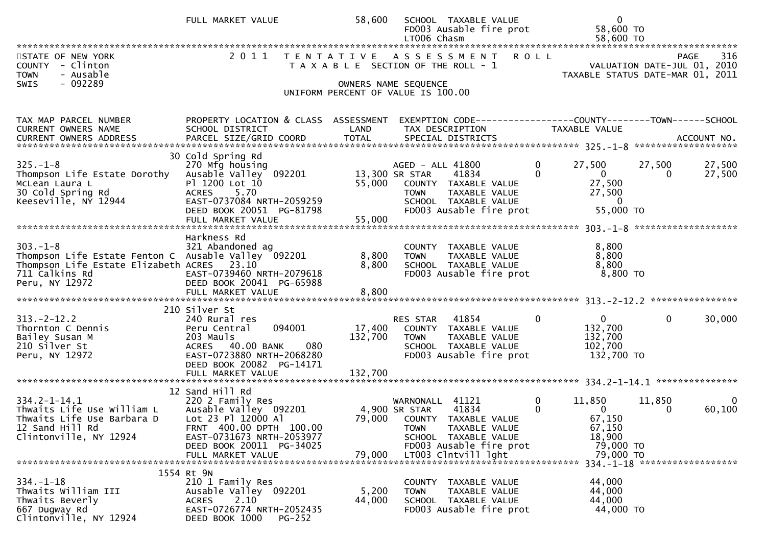|                                                                                                                                                                          | FULL MARKET VALUE                                                                                                                                                                          | 58,600           | SCHOOL TAXABLE VALUE<br>FD003 Ausable fire prot<br>LT006 Chasm                                                                                         | $\mathbf{0}$<br>58,600 TO<br>58,600 TO                                                             |                                                                                |
|--------------------------------------------------------------------------------------------------------------------------------------------------------------------------|--------------------------------------------------------------------------------------------------------------------------------------------------------------------------------------------|------------------|--------------------------------------------------------------------------------------------------------------------------------------------------------|----------------------------------------------------------------------------------------------------|--------------------------------------------------------------------------------|
| STATE OF NEW YORK<br>COUNTY - Clinton<br><b>TOWN</b><br>- Ausable<br>- 092289<br><b>SWIS</b>                                                                             |                                                                                                                                                                                            |                  | 2011 TENTATIVE ASSESSMENT ROLL<br>T A X A B L E SECTION OF THE ROLL - 1<br>OWNERS NAME SEQUENCE                                                        |                                                                                                    | 316<br>PAGE<br>VALUATION DATE-JUL 01, 2010<br>TAXABLE STATUS DATE-MAR 01, 2011 |
|                                                                                                                                                                          |                                                                                                                                                                                            |                  | UNIFORM PERCENT OF VALUE IS 100.00                                                                                                                     |                                                                                                    |                                                                                |
| TAX MAP PARCEL NUMBER<br>CURRENT OWNERS NAME                                                                                                                             | PROPERTY LOCATION & CLASS ASSESSMENT<br>SCHOOL DISTRICT                                                                                                                                    | LAND             | EXEMPTION CODE-----------------COUNTY--------TOWN-----SCHOOL<br>TAX DESCRIPTION                                                                        | <b>TAXABLE VALUE</b>                                                                               |                                                                                |
| $325. - 1 - 8$<br>ZZU MIY NOUSING<br>Thompson Life Estate Dorothy Ausable Valley 092201<br>McLean Laura L<br>McLean Laura L<br>30 Cold Spring Rd<br>Keeseville, NY 12944 | 30 Cold Spring Rd<br>270 Mfg housing<br>P1 1200 Lot 10<br>ACRES 5.70<br>EAST-0737084 NRTH-2059259<br>DEED BOOK 20051 PG-81798<br>FULL MARKET VALUE                                         | 55,000<br>55,000 | AGED - ALL 41800<br>13,300 SR STAR<br>41834<br>COUNTY TAXABLE VALUE<br>TAXABLE VALUE<br><b>TOWN</b><br>SCHOOL TAXABLE VALUE<br>FD003 Ausable fire prot | $\mathbf{0}$<br>27,500<br>$\overline{0}$<br>27,500<br>27,500<br>$\overline{0}$<br>55,000 TO        | 27,500<br>27,500<br>27,500                                                     |
| $303. -1 - 8$<br>Thompson Life Estate Fenton C Ausable Valley 092201<br>Thompson Life Estate Elizabeth ACRES 23.10<br>711 Calkins Rd<br>Peru, NY 12972                   | Harkness Rd<br>321 Abandoned ag<br>EAST-0739460 NRTH-2079618<br>DEED BOOK 20041 PG-65988                                                                                                   | 8,800<br>8,800   | COUNTY TAXABLE VALUE<br>TAXABLE VALUE<br><b>TOWN</b><br>SCHOOL TAXABLE VALUE<br>FD003 Ausable fire prot                                                | 8,800<br>8,800<br>8,800<br>8,800 TO                                                                |                                                                                |
| $313 - 2 - 12.2$<br>Thornton C Dennis<br>Bailey Susan M<br>210 Silver St<br>Peru, NY 12972                                                                               | 210 Silver St<br>240 Rural res<br>094001<br>Peru Central<br>203 Mauls<br>080<br>ACRES 40.00 BANK<br>EAST-0723880 NRTH-2068280<br>DEED BOOK 20082 PG-14171                                  | 132,700          | RES STAR<br>41854<br>17,400 COUNTY TAXABLE VALUE<br><b>TOWN</b><br>TAXABLE VALUE<br>SCHOOL TAXABLE VALUE<br>FD003 Ausable fire prot                    | $\mathbf{0}$<br>0<br>132,700<br>132,700<br>102,700<br>132,700 TO                                   | $\mathbf 0$<br>30,000                                                          |
|                                                                                                                                                                          |                                                                                                                                                                                            |                  |                                                                                                                                                        |                                                                                                    |                                                                                |
| $334.2 - 1 - 14.1$<br>Thwaits Life Use William L<br>Thwaits Life Use Barbara D<br>12 Sand Hill Rd<br>Clintonville, NY 12924                                              | 12 Sand Hill Rd<br>220 2 Family Res<br>220 2 Family Res<br>Ausable Valley 092201<br>Lot 23 Pl 12000 Al<br>FRNT 400.00 DPTH 100.00<br>EAST-0731673 NRTH-2053977<br>DEED BOOK 20011 PG-34025 | 4,900 SR STAR    | WARNONALL 41121<br>41834<br>79,000 COUNTY TAXABLE VALUE<br>TAXABLE VALUE<br><b>TOWN</b><br>SCHOOL TAXABLE VALUE<br>FD003 Ausable fire prot             | $\mathbf 0$<br>11,850<br>$\mathbf{0}$<br>$\overline{0}$<br>67,150<br>67,150<br>18,900<br>79,000 TO | 11,850<br>$\Omega$<br>60,100<br>0                                              |
|                                                                                                                                                                          | FULL MARKET VALUE                                                                                                                                                                          | 79,000           | LT003 Clntvill lght                                                                                                                                    | 79,000 TO                                                                                          | 334. -1-18 ********************                                                |
| $334. - 1 - 18$<br>Thwaits William III<br>Thwaits Beverly<br>667 Dugway Rd<br>Clintonville, NY 12924                                                                     | 1554 Rt 9N<br>210 1 Family Res<br>Ausable Valley 092201<br>2.10<br>ACRES<br>EAST-0726774 NRTH-2052435<br>DEED BOOK 1000<br>$PG-252$                                                        | 5,200<br>44,000  | COUNTY TAXABLE VALUE<br>TAXABLE VALUE<br><b>TOWN</b><br>SCHOOL TAXABLE VALUE<br>FD003 Ausable fire prot                                                | 44,000<br>44,000<br>44,000<br>44,000 TO                                                            |                                                                                |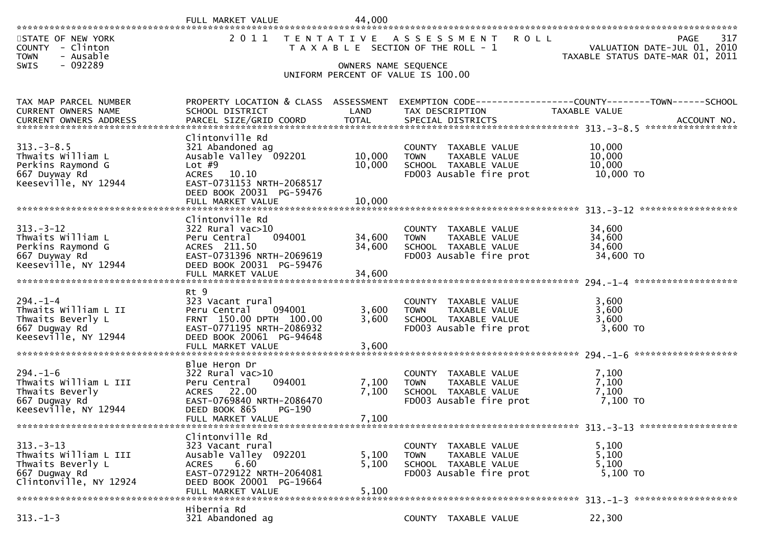|                                                                                                                    | FULL MARKET VALUE                                           | 44,000               |                                                                              |                                                                               |     |
|--------------------------------------------------------------------------------------------------------------------|-------------------------------------------------------------|----------------------|------------------------------------------------------------------------------|-------------------------------------------------------------------------------|-----|
| STATE OF NEW YORK<br>COUNTY - Clinton<br>- Ausable<br><b>TOWN</b><br>$-092289$<br>SWIS                             | 2 0 1 1                                                     | OWNERS NAME SEQUENCE | TENTATIVE ASSESSMENT<br><b>ROLL</b><br>T A X A B L E SECTION OF THE ROLL - 1 | PAGE<br>VALUATION DATE-JUL 01, 2010<br>TAXABLE STATUS DATE-MAR 01, 2011       | 317 |
|                                                                                                                    |                                                             |                      | UNIFORM PERCENT OF VALUE IS 100.00                                           |                                                                               |     |
|                                                                                                                    |                                                             |                      |                                                                              |                                                                               |     |
| TAX MAP PARCEL NUMBER<br>CURRENT OWNERS NAME                                                                       | PROPERTY LOCATION & CLASS ASSESSMENT<br>SCHOOL DISTRICT     | LAND                 | TAX DESCRIPTION                                                              | EXEMPTION CODE-----------------COUNTY-------TOWN------SCHOOL<br>TAXABLE VALUE |     |
| .CURRENT OWNERS ADDRESS PARCEL SIZE/GRID COORD TOTAL SPECIAL DISTRICTS ACCOUNT NO ACCOUNT NO ACCOUNT NO ACCOUNT NO |                                                             |                      |                                                                              |                                                                               |     |
|                                                                                                                    | Clintonville Rd                                             |                      |                                                                              |                                                                               |     |
| $313. - 3 - 8.5$                                                                                                   | 321 Abandoned ag                                            |                      | COUNTY TAXABLE VALUE                                                         | 10,000                                                                        |     |
| Thwaits William L                                                                                                  | Ausable Valley 092201                                       | 10,000               | TAXABLE VALUE<br><b>TOWN</b>                                                 | 10,000                                                                        |     |
| Perkins Raymond G<br>667 Duyway Rd                                                                                 | Lot $#9$<br>ACRES 10.10                                     | 10,000               | SCHOOL TAXABLE VALUE<br>FD003 Ausable fire prot                              | 10,000<br>10,000 TO                                                           |     |
| Keeseville, NY 12944                                                                                               | EAST-0731153 NRTH-2068517                                   |                      |                                                                              |                                                                               |     |
|                                                                                                                    | DEED BOOK 20031 PG-59476                                    |                      |                                                                              |                                                                               |     |
|                                                                                                                    | FULL MARKET VALUE                                           | 10,000               |                                                                              |                                                                               |     |
|                                                                                                                    | Clintonville Rd                                             |                      |                                                                              |                                                                               |     |
| $313 - 3 - 12$                                                                                                     | $322$ Rural vac $>10$                                       |                      | COUNTY TAXABLE VALUE                                                         | 34,600                                                                        |     |
| Thwaits William L                                                                                                  | 094001<br>Peru Central                                      | 34,600               | <b>TOWN</b><br>TAXABLE VALUE                                                 | 34,600                                                                        |     |
| Perkins Raymond G<br>667 Duyway Rd                                                                                 | ACRES 211.50<br>EAST-0731396 NRTH-2069619                   | 34,600               | SCHOOL TAXABLE VALUE<br>FD003 Ausable fire prot                              | 34,600<br>34,600 TO                                                           |     |
| Keeseville, NY 12944                                                                                               | DEED BOOK 20031 PG-59476                                    |                      |                                                                              |                                                                               |     |
|                                                                                                                    |                                                             |                      |                                                                              |                                                                               |     |
|                                                                                                                    | Rt 9                                                        |                      |                                                                              |                                                                               |     |
| $294. - 1 - 4$                                                                                                     | 323 Vacant rural                                            |                      | COUNTY TAXABLE VALUE                                                         | 3,600                                                                         |     |
| Thwaits William L II                                                                                               | 094001<br>Peru Central                                      | 3,600                | <b>TOWN</b><br>TAXABLE VALUE                                                 | 3,600                                                                         |     |
| Thwaits Beverly L<br>667 Dugway Rd                                                                                 | FRNT 150.00 DPTH 100.00<br>EAST-0771195 NRTH-2086932        | 3,600                | SCHOOL TAXABLE VALUE<br>FD003 Ausable fire prot                              | 3,600<br>3,600 TO                                                             |     |
| Keeseville, NY 12944                                                                                               | DEED BOOK 20061 PG-94648                                    |                      |                                                                              |                                                                               |     |
|                                                                                                                    | FULL MARKET VALUE                                           | 3,600                |                                                                              |                                                                               |     |
|                                                                                                                    | Blue Heron Dr                                               |                      |                                                                              |                                                                               |     |
| $294. - 1 - 6$                                                                                                     | $322$ Rural vac $>10$                                       |                      | COUNTY TAXABLE VALUE                                                         | 7,100                                                                         |     |
| Thwaits William L III                                                                                              | 094001<br>Peru Central                                      | 7,100                | TAXABLE VALUE<br><b>TOWN</b>                                                 | 7,100                                                                         |     |
| Thwaits Beverly                                                                                                    | ACRES 22.00                                                 | 7,100                | SCHOOL TAXABLE VALUE                                                         | 7,100                                                                         |     |
| 667 Dugway Rd<br>Keeseville, NY 12944                                                                              | EAST-0769840 NRTH-2086470<br>DEED BOOK 865<br><b>PG-190</b> |                      | FD003 Ausable fire prot                                                      | 7,100 TO                                                                      |     |
|                                                                                                                    | FULL MARKET VALUE                                           | 7,100                |                                                                              |                                                                               |     |
| ********************************                                                                                   |                                                             |                      |                                                                              |                                                                               |     |
| $313 - 3 - 13$                                                                                                     | Clintonville Rd<br>323 Vacant rural                         |                      | COUNTY TAXABLE VALUE                                                         | 5,100                                                                         |     |
| Thwaits William L III                                                                                              | Ausable Valley 092201                                       | 5,100                | <b>TOWN</b><br>TAXABLE VALUE                                                 | 5,100                                                                         |     |
| Thwaits Beverly L                                                                                                  | 6.60<br><b>ACRES</b>                                        | 5,100                | SCHOOL TAXABLE VALUE                                                         | 5,100                                                                         |     |
| 667 Dugway Rd<br>Clintonville, NY 12924                                                                            | EAST-0729122 NRTH-2064081<br>DEED BOOK 20001 PG-19664       |                      | FD003 Ausable fire prot                                                      | $5,100$ TO                                                                    |     |
|                                                                                                                    | FULL MARKET VALUE                                           | 5,100                |                                                                              |                                                                               |     |
|                                                                                                                    |                                                             |                      |                                                                              |                                                                               |     |
| $313. - 1 - 3$                                                                                                     | Hibernia Rd<br>321 Abandoned ag                             |                      | COUNTY TAXABLE VALUE                                                         | 22,300                                                                        |     |
|                                                                                                                    |                                                             |                      |                                                                              |                                                                               |     |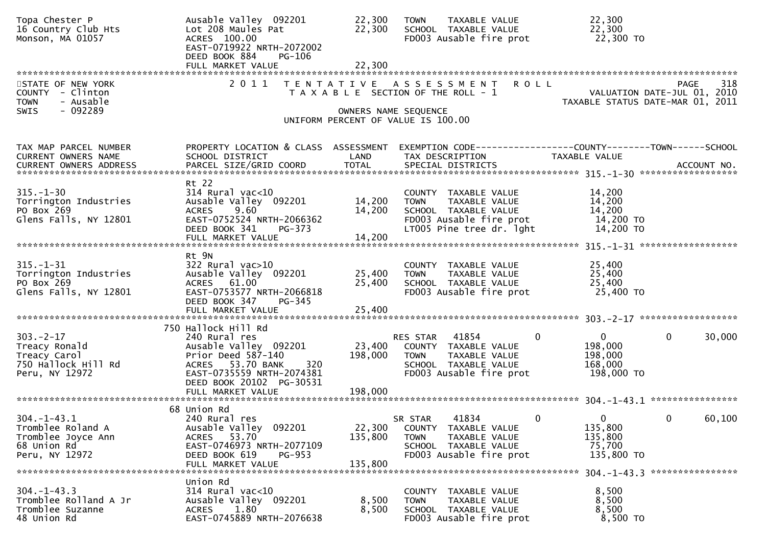| Topa Chester P<br>16 Country Club Hts<br>Monson, MA 01057                                    | Ausable Valley 092201<br>Lot 208 Maules Pat<br>ACRES 100.00<br>EAST-0719922 NRTH-2072002<br>DEED BOOK 884<br>PG-106                                                     | 22,300<br>22,300             | <b>TAXABLE VALUE</b><br><b>TOWN</b><br>SCHOOL TAXABLE VALUE<br>FD003 Ausable fire prot                                                        | 22,300<br>22,300<br>22,300 TO                                                          |
|----------------------------------------------------------------------------------------------|-------------------------------------------------------------------------------------------------------------------------------------------------------------------------|------------------------------|-----------------------------------------------------------------------------------------------------------------------------------------------|----------------------------------------------------------------------------------------|
|                                                                                              |                                                                                                                                                                         |                              |                                                                                                                                               |                                                                                        |
| STATE OF NEW YORK<br>COUNTY - Clinton<br>- Ausable<br><b>TOWN</b><br>- 092289<br>SWIS        |                                                                                                                                                                         | OWNERS NAME SEQUENCE         | 2011 TENTATIVE ASSESSMENT ROLL<br>T A X A B L E SECTION OF THE ROLL - 1<br>UNIFORM PERCENT OF VALUE IS 100.00                                 | 318<br>PAGE<br>VALUATION DATE-JUL 01, 2010<br>TAXABLE STATUS DATE-MAR 01, 2011         |
| TAX MAP PARCEL NUMBER<br><b>CURRENT OWNERS NAME</b>                                          | PROPERTY LOCATION & CLASS ASSESSMENT<br>SCHOOL DISTRICT                                                                                                                 | LAND                         | TAX DESCRIPTION                                                                                                                               | EXEMPTION CODE-----------------COUNTY-------TOWN------SCHOOL<br>TAXABLE VALUE          |
| $315. - 1 - 30$<br>Torrington Industries<br>PO Box 269<br>Glens Falls, NY 12801              | Rt 22<br>$314$ Rural vac<10<br>Ausable Valley 092201<br>9.60<br><b>ACRES</b><br>EAST-0752524 NRTH-2066362<br>DEED BOOK 341<br>PG-373<br>FULL MARKET VALUE               | 14,200<br>14,200<br>14,200   | COUNTY TAXABLE VALUE<br><b>TOWN</b><br>TAXABLE VALUE<br>SCHOOL TAXABLE VALUE<br>FD003 Ausable fire prot<br>LT005 Pine tree dr. 1ght           | 14,200<br>14,200<br>14,200<br>14,200 TO<br>14,200 TO                                   |
| $315. - 1 - 31$<br>Torrington Industries<br>PO Box 269<br>Glens Falls, NY 12801              | Rt 9N<br>$322$ Rural vac $>10$<br>Ausable Valley 092201<br>ACRES 61.00<br>EAST-0753577 NRTH-2066818<br>DEED BOOK 347<br>PG-345                                          | 25,400<br>25,400             | COUNTY TAXABLE VALUE<br>TAXABLE VALUE<br><b>TOWN</b><br>SCHOOL TAXABLE VALUE<br>FD003 Ausable fire prot                                       | 25,400<br>25,400<br>25,400<br>25,400 TO                                                |
|                                                                                              | FULL MARKET VALUE                                                                                                                                                       | 25,400                       |                                                                                                                                               |                                                                                        |
|                                                                                              |                                                                                                                                                                         |                              |                                                                                                                                               |                                                                                        |
| $303 - 2 - 17$<br>Treacy Ronald<br>Treacy Carol<br>750 Hallock Hill Rd<br>Peru, NY 12972     | 750 Hallock Hill Rd<br>240 Rural res<br>Ausable Valley 092201<br>Prior Deed 587-140<br>ACRES 53.70 BANK<br>320<br>EAST-0735559 NRTH-2074381<br>DEED BOOK 20102 PG-30531 | 23,400<br>198,000            | 41854<br>$\mathbf 0$<br>RES STAR<br>COUNTY TAXABLE VALUE<br><b>TOWN</b><br>TAXABLE VALUE<br>SCHOOL TAXABLE VALUE<br>FD003 Ausable fire prot   | $\mathbf 0$<br>$\overline{0}$<br>30,000<br>198,000<br>198,000<br>168,000<br>198,000 TO |
|                                                                                              |                                                                                                                                                                         |                              |                                                                                                                                               |                                                                                        |
|                                                                                              | 68 Union Rd                                                                                                                                                             |                              |                                                                                                                                               |                                                                                        |
| $304. -1 - 43.1$<br>Tromblee Roland A<br>Tromblee Joyce Ann<br>68 Union Rd<br>Peru, NY 12972 | 240 Rural res<br>Ausable Valley 092201<br>ACRES 53.70<br>EAST-0746973 NRTH-2077109<br>DEED BOOK 619<br><b>PG-953</b><br>FULL MARKET VALUE                               | 22,300<br>135,800<br>135,800 | $\overline{0}$<br>41834<br>SR STAR<br>COUNTY TAXABLE VALUE<br>TAXABLE VALUE<br><b>TOWN</b><br>SCHOOL TAXABLE VALUE<br>FD003 Ausable fire prot | $\Omega$<br>$\mathbf{0}$<br>60,100<br>135,800<br>135,800<br>75,700<br>135,800 TO       |
|                                                                                              | Union Rd                                                                                                                                                                |                              |                                                                                                                                               |                                                                                        |
| $304. -1 - 43.3$<br>Tromblee Rolland A Jr<br>Tromblee Suzanne<br>48 Union Rd                 | $314$ Rural vac<10<br>Ausable Valley 092201<br>1.80<br>ACRES<br>EAST-0745889 NRTH-2076638                                                                               | 8,500<br>8,500               | COUNTY TAXABLE VALUE<br>TAXABLE VALUE<br><b>TOWN</b><br>SCHOOL TAXABLE VALUE<br>FD003 Ausable fire prot                                       | 8,500<br>8,500<br>8,500<br>8,500 TO                                                    |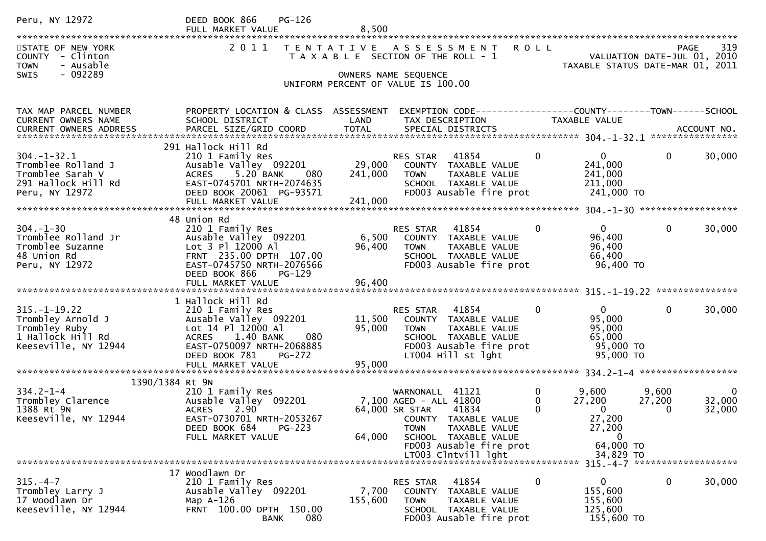| Peru, NY 12972                                                                                        | $PG-126$<br>DEED BOOK 866<br>FULL MARKET VALUE                                                                                                                                                               | 8,500                        |                                                                                                                                                                                                           |                                                                                                                     |                                                                                |
|-------------------------------------------------------------------------------------------------------|--------------------------------------------------------------------------------------------------------------------------------------------------------------------------------------------------------------|------------------------------|-----------------------------------------------------------------------------------------------------------------------------------------------------------------------------------------------------------|---------------------------------------------------------------------------------------------------------------------|--------------------------------------------------------------------------------|
| STATE OF NEW YORK<br>COUNTY - Clinton<br><b>TOWN</b><br>- Ausable                                     | 2011                                                                                                                                                                                                         |                              | TENTATIVE ASSESSMENT<br>T A X A B L E SECTION OF THE ROLL - 1                                                                                                                                             | <b>ROLL</b>                                                                                                         | 319<br>PAGE<br>VALUATION DATE-JUL 01, 2010<br>TAXABLE STATUS DATE-MAR 01, 2011 |
| <b>SWIS</b><br>- 092289                                                                               |                                                                                                                                                                                                              |                              | OWNERS NAME SEQUENCE<br>UNIFORM PERCENT OF VALUE IS 100.00                                                                                                                                                |                                                                                                                     |                                                                                |
| TAX MAP PARCEL NUMBER<br>CURRENT OWNERS NAME                                                          | PROPERTY LOCATION & CLASS ASSESSMENT<br>SCHOOL DISTRICT                                                                                                                                                      | LAND                         | EXEMPTION CODE------------------COUNTY--------TOWN------SCHOOL<br>TAX DESCRIPTION                                                                                                                         | TAXABLE VALUE                                                                                                       |                                                                                |
| $304. - 1 - 32.1$<br>Tromblee Rolland J<br>Tromblee Sarah V<br>291 Hallock Hill Rd<br>Peru, NY 12972  | 291 Hallock Hill Rd<br>210 1 Family Res<br>Ausable Valley 092201<br>5.20 BANK<br>080<br><b>ACRES</b><br>EAST-0745701 NRTH-2074635<br>DEED BOOK 20061 PG-93571<br>FULL MARKET VALUE                           | 29,000<br>241,000<br>241,000 | RES STAR<br>41854<br>COUNTY TAXABLE VALUE<br>TAXABLE VALUE<br><b>TOWN</b><br>SCHOOL TAXABLE VALUE<br>FD003 Ausable fire prot                                                                              | $\mathbf{0}$<br>0<br>241,000<br>241,000<br>211,000<br>241,000 TO                                                    | 0<br>30,000                                                                    |
| $304. - 1 - 30$<br>Tromblee Rolland Jr<br>Tromblee Suzanne<br>48 Union Rd<br>Peru, NY 12972           | 48 Union Rd<br>210 1 Family Res<br>Ausable Valley 092201<br>Lot 3 Pl 12000 Al<br>FRNT 235.00 DPTH 107.00<br>EAST-0745750 NRTH-2076566<br>DEED BOOK 866<br>PG-129<br>FULL MARKET VALUE                        | 6,500<br>96,400<br>96,400    | 41854<br><b>RES STAR</b><br>COUNTY TAXABLE VALUE<br><b>TOWN</b><br>TAXABLE VALUE<br>SCHOOL TAXABLE VALUE<br>FD003 Ausable fire prot                                                                       | $\Omega$<br>0<br>96,400<br>96,400<br>66,400<br>96,400 TO                                                            | $\mathbf{0}$<br>30,000                                                         |
| $315. - 1 - 19.22$<br>Trombley Arnold J<br>Trombley Ruby<br>1 Hallock Hill Rd<br>Keeseville, NY 12944 | 1 Hallock Hill Rd<br>210 1 Family Res<br>Ausable Valley 092201<br>Lot 14 Pl 12000 Al<br>1.40 BANK<br>080<br><b>ACRES</b><br>EAST-0750097 NRTH-2068885<br>DEED BOOK 781<br><b>PG-272</b><br>FULL MARKET VALUE | 11,500<br>95,000<br>95,000   | 41854<br>RES STAR<br>COUNTY TAXABLE VALUE<br>TAXABLE VALUE<br>TOWN<br>SCHOOL TAXABLE VALUE<br>FD003 Ausable fire prot<br>LT004 Hill st lght                                                               | $\overline{0}$<br>0<br>95,000<br>95,000<br>65,000<br>95,000 TO<br>95,000 TO                                         | $\mathbf{0}$<br>30,000                                                         |
| 1390/1384 Rt 9N<br>$334.2 - 1 - 4$<br>Trombley Clarence<br>1388 Rt 9N<br>Keeseville, NY 12944         | 210 1 Family Res<br>Ausable Valley 092201<br>2.90<br><b>ACRES</b><br>EAST-0730701 NRTH-2053267<br>DEED BOOK 684<br>PG-223<br>FULL MARKET VALUE                                                               | 64,000                       | 41121<br>WARNONALL<br>7,100 AGED - ALL 41800<br>64,000 SR STAR<br>41834<br>COUNTY TAXABLE VALUE<br><b>TOWN</b><br>TAXABLE VALUE<br>SCHOOL TAXABLE VALUE<br>FD003 Ausable fire prot<br>LT003 Clntvill lght | 9,600<br>0<br>27,200<br>0<br>$\Omega$<br>$\mathbf{0}$<br>27,200<br>27,200<br>$\mathbf{0}$<br>64,000 TO<br>34,829 TO | 9,600<br>0<br>32,000<br>27,200<br>32,000<br>0                                  |
| $315. - 4 - 7$<br>Trombley Larry J<br>17 Woodlawn Dr<br>Keeseville, NY 12944                          | 17 Woodlawn Dr<br>210 1 Family Res<br>Ausable Valley 092201<br>Map $A-126$<br>FRNT 100.00 DPTH 150.00<br>080<br><b>BANK</b>                                                                                  | 7,700<br>155,600             | 41854<br>RES STAR<br>COUNTY TAXABLE VALUE<br><b>TOWN</b><br>TAXABLE VALUE<br>SCHOOL TAXABLE VALUE<br>FD003 Ausable fire prot                                                                              | $\mathbf 0$<br>$\overline{0}$<br>155,600<br>155,600<br>125,600<br>155,600 TO                                        | $315. -4 - 7$ *********************<br>0<br>30,000                             |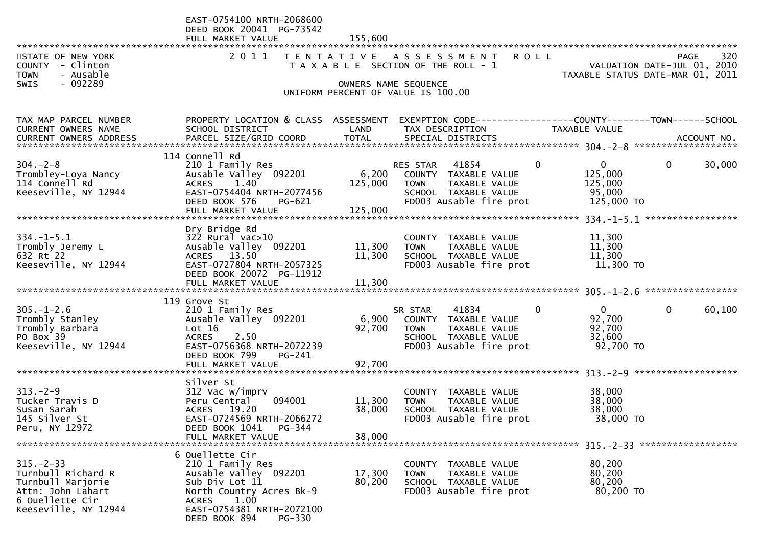|                                     | EAST-0754100 NRTH-2068600                 |                   |                                                      |                                                              |
|-------------------------------------|-------------------------------------------|-------------------|------------------------------------------------------|--------------------------------------------------------------|
|                                     | DEED BOOK 20041 PG-73542                  |                   |                                                      |                                                              |
|                                     | FULL MARKET VALUE                         | 155,600           |                                                      |                                                              |
| STATE OF NEW YORK                   | 2011                                      | T E N T A T I V E | A S S E S S M E N T<br><b>ROLL</b>                   | 320<br>PAGE                                                  |
| COUNTY - Clinton                    |                                           |                   | T A X A B L E SECTION OF THE ROLL - 1                | VALUATION DATE-JUL 01, 2010                                  |
| - Ausable<br>TOWN                   |                                           |                   |                                                      | TAXABLE STATUS DATE-MAR 01, 2011                             |
| - 092289<br><b>SWIS</b>             |                                           |                   | OWNERS NAME SEQUENCE                                 |                                                              |
|                                     |                                           |                   | UNIFORM PERCENT OF VALUE IS 100.00                   |                                                              |
|                                     |                                           |                   |                                                      |                                                              |
| TAX MAP PARCEL NUMBER               | PROPERTY LOCATION & CLASS ASSESSMENT      |                   |                                                      | EXEMPTION CODE-----------------COUNTY-------TOWN------SCHOOL |
| CURRENT OWNERS NAME                 | SCHOOL DISTRICT                           | LAND              | TAX DESCRIPTION                                      | TAXABLE VALUE                                                |
| CURRENT OWNERS ADDRESS              | PARCEL SIZE/GRID COORD                    | <b>TOTAL</b>      | SPECIAL DISTRICTS                                    | ACCOUNT NO.                                                  |
|                                     | 114 Connell Rd                            |                   |                                                      |                                                              |
| $304. -2 - 8$                       | 210 1 Family Res                          |                   | $\mathbf{0}$<br>41854<br>RES STAR                    | $\mathbf 0$<br>30,000<br>$\Omega$                            |
| Trombley-Loya Nancy                 | Ausable Valley 092201                     | 6,200             | COUNTY TAXABLE VALUE                                 | 125,000                                                      |
| 114 Connell Rd                      | ACRES 1.40                                | 125,000           | <b>TOWN</b><br>TAXABLE VALUE                         | 125,000                                                      |
| Keeseville, NY 12944                | EAST-0754404 NRTH-2077456                 |                   | SCHOOL TAXABLE VALUE                                 | 95,000                                                       |
|                                     | DEED BOOK 576<br>PG-621                   |                   | FD003 Ausable fire prot                              | 125,000 TO                                                   |
|                                     | FULL MARKET VALUE                         | 125,000           |                                                      |                                                              |
|                                     |                                           |                   |                                                      |                                                              |
| $334. - 1 - 5.1$                    | Dry Bridge Rd<br>$322$ Rural vac $>10$    |                   | COUNTY TAXABLE VALUE                                 |                                                              |
| Trombly Jeremy L                    | Ausable Valley 092201                     | 11,300            | TAXABLE VALUE<br><b>TOWN</b>                         | 11,300<br>11,300                                             |
| 632 Rt 22                           | ACRES 13.50                               | 11,300            | SCHOOL TAXABLE VALUE                                 | 11,300                                                       |
| Keeseville, NY 12944                | EAST-0727804 NRTH-2057325                 |                   | FD003 Ausable fire prot                              | 11,300 TO                                                    |
|                                     | DEED BOOK 20072 PG-11912                  |                   |                                                      |                                                              |
|                                     |                                           |                   |                                                      |                                                              |
|                                     |                                           |                   |                                                      |                                                              |
|                                     | 119 Grove St                              |                   | $\mathbf{0}$                                         | $\mathbf{0}$                                                 |
| $305. - 1 - 2.6$<br>Trombly Stanley | 210 1 Family Res<br>Ausable Valley 092201 | 6,900             | 41834<br>SR STAR<br>COUNTY TAXABLE VALUE             | $\mathbf 0$<br>60,100<br>92,700                              |
| Trombly Barbara                     | Lot 16                                    | 92,700            | TAXABLE VALUE<br><b>TOWN</b>                         | 92,700                                                       |
| PO Box 39                           | <b>ACRES</b><br>2.50                      |                   | SCHOOL TAXABLE VALUE                                 | 32,600                                                       |
| Keeseville, NY 12944                | EAST-0756368 NRTH-2072239                 |                   | FD003 Ausable fire prot                              | 92,700 TO                                                    |
|                                     | DEED BOOK 799<br>$PG-241$                 |                   |                                                      |                                                              |
|                                     | FULL MARKET VALUE                         | 92,700            |                                                      |                                                              |
|                                     |                                           |                   |                                                      |                                                              |
| $313. - 2 - 9$                      | Silver St<br>312 Vac w/imprv              |                   | COUNTY TAXABLE VALUE                                 | 38,000                                                       |
| Tucker Travis D                     | 094001<br>Peru Central                    | 11,300            | TAXABLE VALUE<br><b>TOWN</b>                         | 38,000                                                       |
| Susan Sarah                         | ACRES 19.20                               | 38,000            | SCHOOL TAXABLE VALUE                                 | 38,000                                                       |
| 145 Silver St                       | EAST-0724569 NRTH-2066272                 |                   | FD003 Ausable fire prot                              | 38,000 TO                                                    |
| Peru, NY 12972                      | DEED BOOK 1041<br>PG-344                  |                   |                                                      |                                                              |
|                                     | FULL MARKET VALUE                         | 38,000            |                                                      |                                                              |
|                                     |                                           |                   |                                                      |                                                              |
| $315. - 2 - 33$                     | 6 Ouellette Cir                           |                   |                                                      |                                                              |
| Turnbull Richard R                  | 210 1 Family Res<br>Ausable Valley 092201 | 17,300            | COUNTY TAXABLE VALUE<br><b>TOWN</b><br>TAXABLE VALUE | 80,200<br>80,200                                             |
| Turnbull Marjorie                   | Sub Div Lot 11                            | 80,200            | SCHOOL TAXABLE VALUE                                 | 80,200                                                       |
| Attn: John Lahart                   | North Country Acres Bk-9                  |                   | FD003 Ausable fire prot                              | 80,200 TO                                                    |
| 6 Ouellette Cir                     | 1.00<br><b>ACRES</b>                      |                   |                                                      |                                                              |
| Keeseville, NY 12944                | EAST-0754381 NRTH-2072100                 |                   |                                                      |                                                              |
|                                     | DEED BOOK 894<br>PG-330                   |                   |                                                      |                                                              |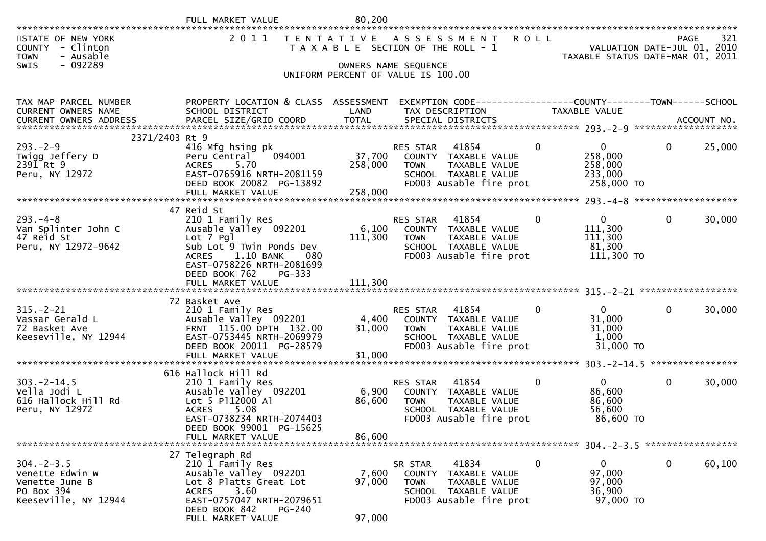| 2011<br>321<br>STATE OF NEW YORK<br>T E N T A T I V E<br><b>ROLL</b><br>PAGE<br>A S S E S S M E N T<br>VALUATION DATE-JUL 01, 2010<br>COUNTY - Clinton<br>T A X A B L E SECTION OF THE ROLL - 1<br>- Ausable<br>TAXABLE STATUS DATE-MAR 01, 2011<br><b>TOWN</b><br>- 092289<br>SWIS<br>OWNERS NAME SEQUENCE<br>UNIFORM PERCENT OF VALUE IS 100.00<br>PROPERTY LOCATION & CLASS ASSESSMENT<br>EXEMPTION CODE-----------------COUNTY-------TOWN------SCHOOL<br>TAX MAP PARCEL NUMBER<br>CURRENT OWNERS NAME<br>SCHOOL DISTRICT<br>LAND<br>TAX DESCRIPTION<br>TAXABLE VALUE<br>PARCEL SIZE/GRID COORD<br><b>TOTAL</b><br>SPECIAL DISTRICTS<br><b>CURRENT OWNERS ADDRESS</b><br>ACCOUNT NO.<br>2371/2403 Rt 9<br>$293. - 2 - 9$<br>416 Mfg hsing pk<br>0<br>$\mathbf{0}$<br>$\mathbf 0$<br>25,000<br>41854<br><b>RES STAR</b><br>37,700<br>Twigg Jeffery D<br>258,000<br>Peru Central<br>094001<br>COUNTY TAXABLE VALUE<br>2391 Rt 9<br>5.70<br>258,000<br><b>TOWN</b><br>TAXABLE VALUE<br>258,000<br><b>ACRES</b><br>EAST-0765916 NRTH-2081159<br>Peru, NY 12972<br>233,000<br>SCHOOL TAXABLE VALUE<br>FD003 Ausable fire prot<br>DEED BOOK 20082 PG-13892<br>258,000 TO<br>258,000<br>FULL MARKET VALUE<br>47 Reid St<br>$\overline{0}$<br>$293. -4 - 8$<br>$\mathbf 0$<br>$\mathbf{0}$<br>30,000<br>210 1 Family Res<br>RES STAR<br>41854<br>111,300<br>Van Splinter John C<br>Ausable Valley 092201<br>6,100<br>COUNTY TAXABLE VALUE<br>47 Reid St<br>111,300<br>111,300<br>Lot 7 Pgl<br>TAXABLE VALUE<br><b>TOWN</b><br>Sub Lot <sup>5</sup> Twin Ponds Dev<br>Peru, NY 12972-9642<br>81,300<br>SCHOOL TAXABLE VALUE<br>1.10 BANK<br>FD003 Ausable fire prot<br>111,300 TO<br><b>ACRES</b><br>080<br>EAST-0758226 NRTH-2081699<br>DEED BOOK 762<br>PG-333<br>FULL MARKET VALUE<br>111,300<br>72 Basket Ave<br>30,000<br>$315. - 2 - 21$<br>$\overline{0}$<br>$\mathbf{0}$<br>210 1 Family Res<br>41854<br>$\Omega$<br><b>RES STAR</b><br>Ausable Valley 092201<br>4,400<br>31,000<br>Vassar Gerald L<br>COUNTY TAXABLE VALUE<br>FRNT 115.00 DPTH 132.00<br>31,000<br>31,000<br>72 Basket Ave<br>TAXABLE VALUE<br>TOWN<br>EAST-0753445 NRTH-2069979<br>Keeseville, NY 12944<br>1,000<br>SCHOOL TAXABLE VALUE<br>FD003 Ausable fire prot<br>31,000 TO<br>DEED BOOK 20011 PG-28579<br>31,000<br>FULL MARKET VALUE<br>616 Hallock Hill Rd<br>$\overline{0}$<br>30,000<br>$303. -2 - 14.5$<br>0<br>$\mathbf{0}$<br>210 1 Family Res<br>RES STAR<br>41854<br>Vella Jodi L<br>Ausable Valley 092201<br>86,600<br>6,900<br>COUNTY TAXABLE VALUE<br>Lot 5 P112000 Al<br>86,600<br>86,600<br>616 Hallock Hill Rd<br>TAXABLE VALUE<br><b>TOWN</b><br>5.08<br>56,600<br><b>ACRES</b><br>SCHOOL TAXABLE VALUE<br>Peru, NY 12972<br>EAST-0738234 NRTH-2074403<br>FD003 Ausable fire prot<br>86,600 TO<br>DEED BOOK 99001 PG-15625<br>86,600<br>FULL MARKET VALUE<br>27 Telegraph Rd<br>$304. -2 - 3.5$<br>210 1 Family Res<br>$\mathbf 0$<br>$\mathbf{0}$<br>$\mathbf 0$<br>60,100<br>SR STAR<br>41834<br>97,000<br>Ausable Valley 092201<br>7,600<br>Venette Edwin W<br>COUNTY TAXABLE VALUE<br>Lot 8 Platts Great Lot<br>97,000<br>97,000<br>Venette June B<br><b>TOWN</b><br>TAXABLE VALUE<br>PO Box 394<br>3.60<br>SCHOOL TAXABLE VALUE<br>36,900<br><b>ACRES</b><br>EAST-0757047 NRTH-2079651<br>FD003 Ausable fire prot<br>97,000 TO<br>Keeseville, NY 12944<br>DEED BOOK 842<br><b>PG-240</b><br>FULL MARKET VALUE<br>97,000 | FULL MARKET VALUE | 80,200 |  |  |  |
|------------------------------------------------------------------------------------------------------------------------------------------------------------------------------------------------------------------------------------------------------------------------------------------------------------------------------------------------------------------------------------------------------------------------------------------------------------------------------------------------------------------------------------------------------------------------------------------------------------------------------------------------------------------------------------------------------------------------------------------------------------------------------------------------------------------------------------------------------------------------------------------------------------------------------------------------------------------------------------------------------------------------------------------------------------------------------------------------------------------------------------------------------------------------------------------------------------------------------------------------------------------------------------------------------------------------------------------------------------------------------------------------------------------------------------------------------------------------------------------------------------------------------------------------------------------------------------------------------------------------------------------------------------------------------------------------------------------------------------------------------------------------------------------------------------------------------------------------------------------------------------------------------------------------------------------------------------------------------------------------------------------------------------------------------------------------------------------------------------------------------------------------------------------------------------------------------------------------------------------------------------------------------------------------------------------------------------------------------------------------------------------------------------------------------------------------------------------------------------------------------------------------------------------------------------------------------------------------------------------------------------------------------------------------------------------------------------------------------------------------------------------------------------------------------------------------------------------------------------------------------------------------------------------------------------------------------------------------------------------------------------------------------------------------------------------------------------------------------------------------------------------------------------------------------------------------------------------------------------------------------------------------------------------------------------------------------------------------------------------------------------------------------------------------|-------------------|--------|--|--|--|
|                                                                                                                                                                                                                                                                                                                                                                                                                                                                                                                                                                                                                                                                                                                                                                                                                                                                                                                                                                                                                                                                                                                                                                                                                                                                                                                                                                                                                                                                                                                                                                                                                                                                                                                                                                                                                                                                                                                                                                                                                                                                                                                                                                                                                                                                                                                                                                                                                                                                                                                                                                                                                                                                                                                                                                                                                                                                                                                                                                                                                                                                                                                                                                                                                                                                                                                                                                                                                        |                   |        |  |  |  |
|                                                                                                                                                                                                                                                                                                                                                                                                                                                                                                                                                                                                                                                                                                                                                                                                                                                                                                                                                                                                                                                                                                                                                                                                                                                                                                                                                                                                                                                                                                                                                                                                                                                                                                                                                                                                                                                                                                                                                                                                                                                                                                                                                                                                                                                                                                                                                                                                                                                                                                                                                                                                                                                                                                                                                                                                                                                                                                                                                                                                                                                                                                                                                                                                                                                                                                                                                                                                                        |                   |        |  |  |  |
|                                                                                                                                                                                                                                                                                                                                                                                                                                                                                                                                                                                                                                                                                                                                                                                                                                                                                                                                                                                                                                                                                                                                                                                                                                                                                                                                                                                                                                                                                                                                                                                                                                                                                                                                                                                                                                                                                                                                                                                                                                                                                                                                                                                                                                                                                                                                                                                                                                                                                                                                                                                                                                                                                                                                                                                                                                                                                                                                                                                                                                                                                                                                                                                                                                                                                                                                                                                                                        |                   |        |  |  |  |
|                                                                                                                                                                                                                                                                                                                                                                                                                                                                                                                                                                                                                                                                                                                                                                                                                                                                                                                                                                                                                                                                                                                                                                                                                                                                                                                                                                                                                                                                                                                                                                                                                                                                                                                                                                                                                                                                                                                                                                                                                                                                                                                                                                                                                                                                                                                                                                                                                                                                                                                                                                                                                                                                                                                                                                                                                                                                                                                                                                                                                                                                                                                                                                                                                                                                                                                                                                                                                        |                   |        |  |  |  |
|                                                                                                                                                                                                                                                                                                                                                                                                                                                                                                                                                                                                                                                                                                                                                                                                                                                                                                                                                                                                                                                                                                                                                                                                                                                                                                                                                                                                                                                                                                                                                                                                                                                                                                                                                                                                                                                                                                                                                                                                                                                                                                                                                                                                                                                                                                                                                                                                                                                                                                                                                                                                                                                                                                                                                                                                                                                                                                                                                                                                                                                                                                                                                                                                                                                                                                                                                                                                                        |                   |        |  |  |  |
|                                                                                                                                                                                                                                                                                                                                                                                                                                                                                                                                                                                                                                                                                                                                                                                                                                                                                                                                                                                                                                                                                                                                                                                                                                                                                                                                                                                                                                                                                                                                                                                                                                                                                                                                                                                                                                                                                                                                                                                                                                                                                                                                                                                                                                                                                                                                                                                                                                                                                                                                                                                                                                                                                                                                                                                                                                                                                                                                                                                                                                                                                                                                                                                                                                                                                                                                                                                                                        |                   |        |  |  |  |
|                                                                                                                                                                                                                                                                                                                                                                                                                                                                                                                                                                                                                                                                                                                                                                                                                                                                                                                                                                                                                                                                                                                                                                                                                                                                                                                                                                                                                                                                                                                                                                                                                                                                                                                                                                                                                                                                                                                                                                                                                                                                                                                                                                                                                                                                                                                                                                                                                                                                                                                                                                                                                                                                                                                                                                                                                                                                                                                                                                                                                                                                                                                                                                                                                                                                                                                                                                                                                        |                   |        |  |  |  |
|                                                                                                                                                                                                                                                                                                                                                                                                                                                                                                                                                                                                                                                                                                                                                                                                                                                                                                                                                                                                                                                                                                                                                                                                                                                                                                                                                                                                                                                                                                                                                                                                                                                                                                                                                                                                                                                                                                                                                                                                                                                                                                                                                                                                                                                                                                                                                                                                                                                                                                                                                                                                                                                                                                                                                                                                                                                                                                                                                                                                                                                                                                                                                                                                                                                                                                                                                                                                                        |                   |        |  |  |  |
|                                                                                                                                                                                                                                                                                                                                                                                                                                                                                                                                                                                                                                                                                                                                                                                                                                                                                                                                                                                                                                                                                                                                                                                                                                                                                                                                                                                                                                                                                                                                                                                                                                                                                                                                                                                                                                                                                                                                                                                                                                                                                                                                                                                                                                                                                                                                                                                                                                                                                                                                                                                                                                                                                                                                                                                                                                                                                                                                                                                                                                                                                                                                                                                                                                                                                                                                                                                                                        |                   |        |  |  |  |
|                                                                                                                                                                                                                                                                                                                                                                                                                                                                                                                                                                                                                                                                                                                                                                                                                                                                                                                                                                                                                                                                                                                                                                                                                                                                                                                                                                                                                                                                                                                                                                                                                                                                                                                                                                                                                                                                                                                                                                                                                                                                                                                                                                                                                                                                                                                                                                                                                                                                                                                                                                                                                                                                                                                                                                                                                                                                                                                                                                                                                                                                                                                                                                                                                                                                                                                                                                                                                        |                   |        |  |  |  |
|                                                                                                                                                                                                                                                                                                                                                                                                                                                                                                                                                                                                                                                                                                                                                                                                                                                                                                                                                                                                                                                                                                                                                                                                                                                                                                                                                                                                                                                                                                                                                                                                                                                                                                                                                                                                                                                                                                                                                                                                                                                                                                                                                                                                                                                                                                                                                                                                                                                                                                                                                                                                                                                                                                                                                                                                                                                                                                                                                                                                                                                                                                                                                                                                                                                                                                                                                                                                                        |                   |        |  |  |  |
|                                                                                                                                                                                                                                                                                                                                                                                                                                                                                                                                                                                                                                                                                                                                                                                                                                                                                                                                                                                                                                                                                                                                                                                                                                                                                                                                                                                                                                                                                                                                                                                                                                                                                                                                                                                                                                                                                                                                                                                                                                                                                                                                                                                                                                                                                                                                                                                                                                                                                                                                                                                                                                                                                                                                                                                                                                                                                                                                                                                                                                                                                                                                                                                                                                                                                                                                                                                                                        |                   |        |  |  |  |
|                                                                                                                                                                                                                                                                                                                                                                                                                                                                                                                                                                                                                                                                                                                                                                                                                                                                                                                                                                                                                                                                                                                                                                                                                                                                                                                                                                                                                                                                                                                                                                                                                                                                                                                                                                                                                                                                                                                                                                                                                                                                                                                                                                                                                                                                                                                                                                                                                                                                                                                                                                                                                                                                                                                                                                                                                                                                                                                                                                                                                                                                                                                                                                                                                                                                                                                                                                                                                        |                   |        |  |  |  |
|                                                                                                                                                                                                                                                                                                                                                                                                                                                                                                                                                                                                                                                                                                                                                                                                                                                                                                                                                                                                                                                                                                                                                                                                                                                                                                                                                                                                                                                                                                                                                                                                                                                                                                                                                                                                                                                                                                                                                                                                                                                                                                                                                                                                                                                                                                                                                                                                                                                                                                                                                                                                                                                                                                                                                                                                                                                                                                                                                                                                                                                                                                                                                                                                                                                                                                                                                                                                                        |                   |        |  |  |  |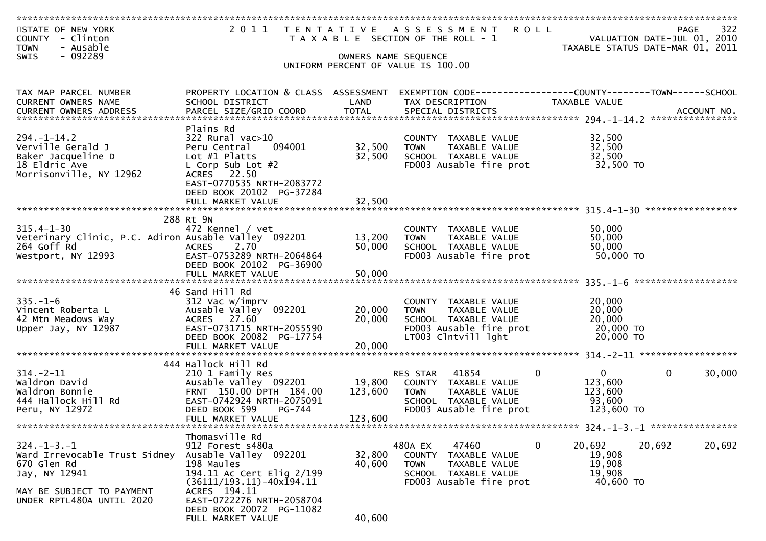| STATE OF NEW YORK<br>COUNTY - Clinton<br>- Ausable<br><b>TOWN</b>        |                                                                 |                  | 2011 TENTATIVE ASSESSMENT ROLL<br>T A X A B L E SECTION OF THE ROLL - 1          |                                  | 322<br>PAGE<br>VALUATION DATE-JUL 01, 2010<br>TAXABLE STATUS DATE-MAR 01, 2011 |
|--------------------------------------------------------------------------|-----------------------------------------------------------------|------------------|----------------------------------------------------------------------------------|----------------------------------|--------------------------------------------------------------------------------|
| - 092289<br><b>SWIS</b>                                                  |                                                                 |                  | OWNERS NAME SEQUENCE<br>UNIFORM PERCENT OF VALUE IS 100.00                       |                                  |                                                                                |
| TAX MAP PARCEL NUMBER<br>CURRENT OWNERS NAME                             | PROPERTY LOCATION & CLASS ASSESSMENT<br>SCHOOL DISTRICT         | LAND             | EXEMPTION CODE------------------COUNTY-------TOWN------SCHOOL<br>TAX DESCRIPTION | TAXABLE VALUE                    |                                                                                |
|                                                                          |                                                                 |                  |                                                                                  |                                  |                                                                                |
| $294. - 1 - 14.2$                                                        | Plains Rd<br>322 Rural vac>10                                   |                  | COUNTY TAXABLE VALUE                                                             | 32,500                           |                                                                                |
| Verville Gerald J<br>Baker Jacqueline D                                  | 094001<br>Peru Central<br>Lot $#1$ Platts                       | 32,500<br>32,500 | <b>TOWN</b><br>TAXABLE VALUE<br>SCHOOL TAXABLE VALUE                             | 32,500<br>32,500                 |                                                                                |
| 18 Eldric Ave<br>Morrisonville, NY 12962                                 | L Corp Sub Lot $#2$<br>ACRES 22.50<br>EAST-0770535 NRTH-2083772 |                  | FD003 Ausable fire prot                                                          | 32,500 TO                        |                                                                                |
|                                                                          | DEED BOOK 20102 PG-37284<br>FULL MARKET VALUE                   | 32,500           |                                                                                  |                                  |                                                                                |
|                                                                          | 288 Rt 9N                                                       |                  |                                                                                  |                                  |                                                                                |
| $315.4 - 1 - 30$<br>Veterinary Clinic, P.C. Adiron Ausable Valley 092201 | 472 Kennel / vet                                                | 13,200           | COUNTY TAXABLE VALUE<br>TAXABLE VALUE<br><b>TOWN</b>                             | 50,000<br>50,000                 |                                                                                |
| 264 Goff Rd<br>Westport, NY 12993                                        | 2.70<br><b>ACRES</b><br>EAST-0753289 NRTH-2064864               | 50,000           | SCHOOL TAXABLE VALUE<br>FD003 Ausable fire prot                                  | 50,000<br>50,000 TO              |                                                                                |
|                                                                          | DEED BOOK 20102 PG-36900                                        |                  |                                                                                  |                                  |                                                                                |
|                                                                          |                                                                 |                  |                                                                                  |                                  |                                                                                |
| $335. - 1 - 6$                                                           | 46 Sand Hill Rd<br>312 Vac w/imprv                              |                  | COUNTY TAXABLE VALUE                                                             | 20,000                           |                                                                                |
| Vincent Roberta L<br>42 Mtn Meadows Way                                  | Ausable Valley 092201<br>ACRES 27.60                            | 20,000<br>20,000 | <b>TOWN</b><br>TAXABLE VALUE<br>SCHOOL TAXABLE VALUE                             | 20,000<br>20,000                 |                                                                                |
| Upper Jay, NY 12987                                                      | EAST-0731715 NRTH-2055590<br>DEED BOOK 20082 PG-17754           |                  | FD003 Ausable fire prot<br>LT003 Clntvill lght                                   | 20,000 TO<br>20,000 TO           |                                                                                |
|                                                                          | FULL MARKET VALUE                                               | 20,000           |                                                                                  |                                  |                                                                                |
| $314. - 2 - 11$                                                          | 444 Hallock Hill Rd<br>210 1 Family Res                         |                  | RES STAR<br>41854                                                                | $\mathbf{0}$<br>0                | $\mathbf{0}$<br>30,000                                                         |
| Waldron David                                                            | Ausable Valley 092201<br>FRNT 150.00 DPTH 184.00                | 19,800           | COUNTY TAXABLE VALUE                                                             | 123,600                          |                                                                                |
| Waldron Bonnie<br>444 Hallock Hill Rd                                    | EAST-0742924 NRTH-2075091                                       | 123,600          | TAXABLE VALUE<br><b>TOWN</b><br>SCHOOL TAXABLE VALUE                             | 123,600<br>93,600                |                                                                                |
| Peru, NY 12972                                                           | DEED BOOK 599<br>PG-744<br>FULL MARKET VALUE                    | 123,600          | FD003 Ausable fire prot                                                          | 123,600 TO                       |                                                                                |
|                                                                          | Thomasville Rd                                                  |                  |                                                                                  |                                  |                                                                                |
| $324. - 1 - 3. - 1$<br>Ward Irrevocable Trust Sidney                     | 912 Forest s480a<br>Ausable Valley 092201                       | 32,800           | 480A EX<br>47460<br>COUNTY TAXABLE VALUE                                         | $\mathbf{0}$<br>20,692<br>19,908 | 20,692<br>20,692                                                               |
| 670 Glen Rd<br>Jay, NY 12941                                             | 198 Maules<br>194.11 Ac Cert Elig 2/199                         | 40,600           | TAXABLE VALUE<br><b>TOWN</b><br>SCHOOL TAXABLE VALUE                             | 19,908<br>19,908                 |                                                                                |
| MAY BE SUBJECT TO PAYMENT                                                | $(36111/193.11) - 40x194.11$<br>ACRES 194.11                    |                  | FD003 Ausable fire prot                                                          | 40,600 TO                        |                                                                                |
| UNDER RPTL480A UNTIL 2020                                                | EAST-0722276 NRTH-2058704<br>DEED BOOK 20072 PG-11082           |                  |                                                                                  |                                  |                                                                                |
|                                                                          | FULL MARKET VALUE                                               | 40,600           |                                                                                  |                                  |                                                                                |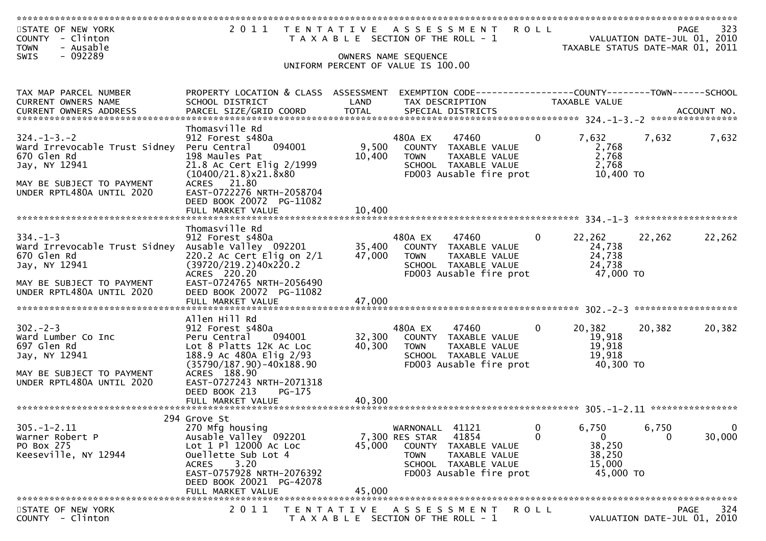| STATE OF NEW YORK<br>COUNTY - Clinton<br>- Ausable<br><b>TOWN</b>                    | 2011 TENTATIVE ASSESSMENT ROLL                                                                                                                         | T A X A B L E SECTION OF THE ROLL - 1                      |                                         |                                                                                                   |              | VALUATION DATE-JUL 01, 2010<br>TAXABLE STATUS DATE-MAR 01, 2011 |        | 323<br><b>PAGE</b>                                |
|--------------------------------------------------------------------------------------|--------------------------------------------------------------------------------------------------------------------------------------------------------|------------------------------------------------------------|-----------------------------------------|---------------------------------------------------------------------------------------------------|--------------|-----------------------------------------------------------------|--------|---------------------------------------------------|
| - 092289<br><b>SWIS</b>                                                              |                                                                                                                                                        | UNIFORM PERCENT OF VALUE IS 100.00                         | OWNERS NAME SEQUENCE                    |                                                                                                   |              |                                                                 |        |                                                   |
| TAX MAP PARCEL NUMBER<br>CURRENT OWNERS NAME                                         | PROPERTY LOCATION & CLASS ASSESSMENT<br>SCHOOL DISTRICT                                                                                                | LAND                                                       |                                         | TAX DESCRIPTION                                                                                   |              | TAXABLE VALUE                                                   |        |                                                   |
|                                                                                      |                                                                                                                                                        |                                                            |                                         |                                                                                                   |              |                                                                 |        |                                                   |
| $324. - 1 - 3. - 2$<br>Ward Irrevocable Trust Sidney<br>670 Glen Rd<br>Jay, NY 12941 | Thomasville Rd<br>912 Forest s480a<br>094001<br>Peru Central<br>198 Maules Pat<br>21.8 Ac Cert Elig 2/1999<br>$(10400/21.8)$ x 21.8 x 80               | 9,500<br>10,400                                            | 480A EX<br><b>TOWN</b>                  | 47460<br>COUNTY TAXABLE VALUE<br>TAXABLE VALUE<br>SCHOOL TAXABLE VALUE<br>FD003 Ausable fire prot | 0            | 7,632<br>2,768<br>2,768<br>2,768<br>10,400 TO                   | 7,632  | 7,632                                             |
| MAY BE SUBJECT TO PAYMENT<br>UNDER RPTL480A UNTIL 2020                               | ACRES 21.80<br>EAST-0722276 NRTH-2058704<br>DEED BOOK 20072 PG-11082<br>FULL MARKET VALUE                                                              | 10,400                                                     |                                         |                                                                                                   |              |                                                                 |        |                                                   |
|                                                                                      |                                                                                                                                                        |                                                            |                                         |                                                                                                   |              |                                                                 |        |                                                   |
| $334. - 1 - 3$<br>Ward Irrevocable Trust Sidney<br>670 Glen Rd<br>Jay, NY 12941      | Thomasville Rd<br>912 Forest s480a<br>Ausable Valley 092201<br>220.2 Ac Cert Elig on $2/1$<br>(39720/219.2)40x220.2<br>ACRES 220.20                    | 35,400<br>47,000                                           | 480A EX<br><b>TOWN</b>                  | 47460<br>COUNTY TAXABLE VALUE<br>TAXABLE VALUE<br>SCHOOL TAXABLE VALUE<br>FD003 Ausable fire prot | 0            | 22,262<br>24,738<br>24,738<br>24,738<br>47,000 TO               | 22,262 | 22,262                                            |
| MAY BE SUBJECT TO PAYMENT<br>UNDER RPTL480A UNTIL 2020                               | EAST-0724765 NRTH-2056490<br>DEED BOOK 20072 PG-11082<br>FULL MARKET VALUE                                                                             | 47,000                                                     |                                         |                                                                                                   |              |                                                                 |        |                                                   |
|                                                                                      | Allen Hill Rd                                                                                                                                          |                                                            |                                         |                                                                                                   |              |                                                                 |        |                                                   |
| $302 - 2 - 3$<br>Ward Lumber Co Inc<br>697 Glen Rd<br>Jay, NY 12941                  | 912 Forest s480a<br>Peru Central<br>094001<br>Lot 8 Platts 12K Ac Loc<br>188.9 Ac 480A Elig 2/93<br>$(35790/187.90) - 40x188.90$                       | 32,300<br>40,300                                           | 480A EX<br><b>TOWN</b>                  | 47460<br>COUNTY TAXABLE VALUE<br>TAXABLE VALUE<br>SCHOOL TAXABLE VALUE<br>FD003 Ausable fire prot | $\mathbf{0}$ | 20,382<br>19,918<br>19,918<br>19,918<br>40,300 TO               | 20,382 | 20,382                                            |
| MAY BE SUBJECT TO PAYMENT<br>UNDER RPTL480A UNTIL 2020                               | ACRES 188.90<br>EAST-0727243 NRTH-2071318<br>DEED BOOK 213<br>PG-175                                                                                   |                                                            |                                         |                                                                                                   |              |                                                                 |        |                                                   |
|                                                                                      | FULL MARKET VALUE                                                                                                                                      | 40.300                                                     |                                         |                                                                                                   |              |                                                                 |        |                                                   |
| $305. - 1 - 2.11$                                                                    | 294 Grove St<br>270 Mfg housing                                                                                                                        |                                                            | WARNONALL 41121                         |                                                                                                   | 0            | 6,750                                                           | 6,750  | $\mathbf 0$                                       |
| Warner Robert P<br>PO Box 275<br>Keeseville, NY 12944                                | Ausable Valley 092201<br>Lot 1 Pl 12000 Ac Loc<br>Ouellette Sub Lot 4<br>3.20<br><b>ACRES</b><br>EAST-0757928 NRTH-2076392<br>DEED BOOK 20021 PG-42078 | 45,000                                                     | 7,300 RES STAR<br>COUNTY<br><b>TOWN</b> | 41854<br>TAXABLE VALUE<br>TAXABLE VALUE<br>SCHOOL TAXABLE VALUE<br>FD003 Ausable fire prot        | 0            | $\mathbf{0}$<br>38,250<br>38,250<br>15,000<br>45,000 TO         | 0      | 30,000                                            |
|                                                                                      | FULL MARKET VALUE                                                                                                                                      | 45,000                                                     |                                         |                                                                                                   |              |                                                                 |        |                                                   |
| STATE OF NEW YORK<br>COUNTY - Clinton                                                | 2011                                                                                                                                                   | T E N T A T I V E<br>T A X A B L E SECTION OF THE ROLL - 1 |                                         | ASSESSMENT                                                                                        | R O L L      |                                                                 |        | <b>PAGE</b><br>324<br>VALUATION DATE-JUL 01, 2010 |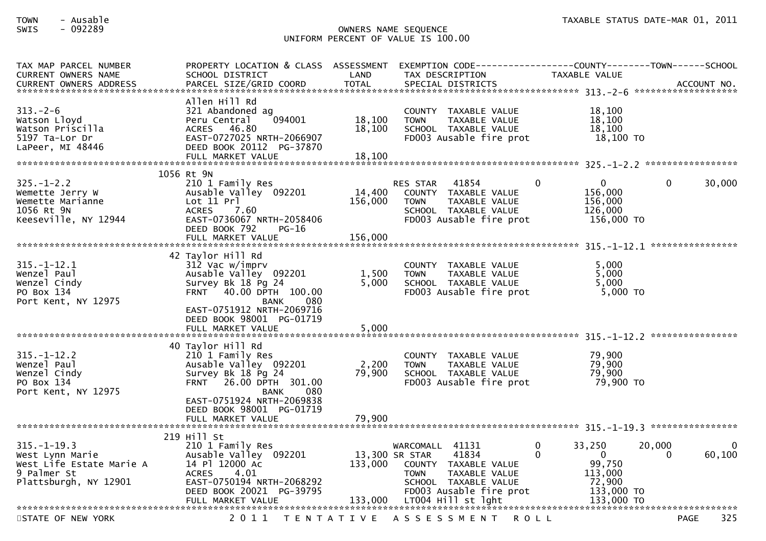### TOWN - Ausable TAXABLE STATUS DATE-MAR 01, 2011SWIS - 092289 OWNERS NAME SEQUENCE UNIFORM PERCENT OF VALUE IS 100.00

| TAX MAP PARCEL NUMBER<br><b>CURRENT OWNERS NAME</b><br><b>CURRENT OWNERS ADDRESS</b>                     | PROPERTY LOCATION & CLASS ASSESSMENT<br>SCHOOL DISTRICT<br>PARCEL SIZE/GRID COORD                                                                                                                                           | LAND<br><b>TOTAL</b>                 | EXEMPTION CODE-----------------COUNTY-------TOWN------SCHOOL<br>TAX DESCRIPTION<br>SPECIAL DISTRICTS                                                      | <b>TAXABLE VALUE</b>                                                                           | ACCOUNT NO.                       |
|----------------------------------------------------------------------------------------------------------|-----------------------------------------------------------------------------------------------------------------------------------------------------------------------------------------------------------------------------|--------------------------------------|-----------------------------------------------------------------------------------------------------------------------------------------------------------|------------------------------------------------------------------------------------------------|-----------------------------------|
| $313. - 2 - 6$<br>Watson Lloyd<br>Watson Priscilla<br>5197 Ta-Lor Dr<br>LaPeer, MI 48446                 | Allen Hill Rd<br>321 Abandoned ag<br>094001<br>Peru Central<br><b>ACRES</b><br>46.80<br>EAST-0727025 NRTH-2066907<br>DEED BOOK 20112 PG-37870<br>FULL MARKET VALUE                                                          | 18,100<br>18,100<br>18,100           | COUNTY TAXABLE VALUE<br><b>TOWN</b><br>TAXABLE VALUE<br>SCHOOL TAXABLE VALUE<br>FD003 Ausable fire prot                                                   | 18,100<br>18,100<br>18,100<br>$18,100$ TO                                                      |                                   |
|                                                                                                          | 1056 Rt 9N                                                                                                                                                                                                                  |                                      |                                                                                                                                                           |                                                                                                |                                   |
| $325. - 1 - 2.2$<br>Wemette Jerry W<br>Wemette Marianne<br>1056 Rt 9N<br>Keeseville, NY 12944            | 210 1 Family Res<br>Ausable Valley 092201<br>Lot 11 Pr<br>7.60<br><b>ACRES</b><br>EAST-0736067 NRTH-2058406<br>DEED BOOK 792<br>$PG-16$                                                                                     | 14,400<br>156,000                    | 41854<br><b>RES STAR</b><br>COUNTY TAXABLE VALUE<br><b>TOWN</b><br>TAXABLE VALUE<br>SCHOOL TAXABLE VALUE<br>FD003 Ausable fire prot                       | $\mathbf{0}$<br>0<br>156,000<br>156,000<br>126,000<br>156,000 TO                               | 0<br>30,000                       |
|                                                                                                          | FULL MARKET VALUE                                                                                                                                                                                                           | 156,000                              |                                                                                                                                                           |                                                                                                |                                   |
| $315. - 1 - 12.1$<br>Wenzel Paul<br>Wenzel Cindy<br>PO Box 134<br>Port Kent, NY 12975                    | 42 Taylor Hill Rd<br>312 Vac w/imprv<br>Ausable Valley 092201<br>Survey Bk 18 Pg 24<br>40.00 DPTH 100.00<br><b>FRNT</b><br><b>BANK</b><br>080<br>EAST-0751912 NRTH-2069716<br>DEED BOOK 98001 PG-01719<br>FULL MARKET VALUE | 1,500<br>5,000<br>5,000              | COUNTY<br>TAXABLE VALUE<br>TAXABLE VALUE<br><b>TOWN</b><br>SCHOOL TAXABLE VALUE<br>FD003 Ausable fire prot                                                | 5.000<br>5,000<br>5,000<br>5,000 TO                                                            |                                   |
|                                                                                                          |                                                                                                                                                                                                                             |                                      |                                                                                                                                                           |                                                                                                |                                   |
| $315. - 1 - 12.2$<br>Wenzel Paul<br>Wenzel Cindy<br>PO Box 134<br>Port Kent, NY 12975                    | 40 Taylor Hill Rd<br>210 1 Family Res<br>Ausable Valley 092201<br>Survey Bk 18 Pg 24<br>FRNT 26.00 DPTH 301.00<br><b>BANK</b><br>080                                                                                        | 2,200<br>79,900                      | <b>COUNTY</b><br>TAXABLE VALUE<br><b>TOWN</b><br>TAXABLE VALUE<br>SCHOOL TAXABLE VALUE<br>FD003 Ausable fire prot                                         | 79,900<br>79,900<br>79,900<br>79,900 TO                                                        |                                   |
|                                                                                                          | EAST-0751924 NRTH-2069838<br>DEED BOOK 98001 PG-01719<br>FULL MARKET VALUE                                                                                                                                                  | 79,900                               |                                                                                                                                                           |                                                                                                |                                   |
|                                                                                                          | 219 Hill St                                                                                                                                                                                                                 |                                      |                                                                                                                                                           |                                                                                                |                                   |
| $315. - 1 - 19.3$<br>West Lynn Marie<br>West Life Estate Marie A<br>9 Palmer St<br>Plattsburgh, NY 12901 | 210 1 Family Res<br>Ausable Valley 092201<br>14 Pl 12000 Ac<br>4.01<br><b>ACRES</b><br>EAST-0750194 NRTH-2068292<br>DEED BOOK 20021 PG-39795<br>FULL MARKET VALUE                                                           | 13,300 SR STAR<br>133,000<br>133,000 | WARCOMALL 41131<br>41834<br>COUNTY TAXABLE VALUE<br>TAXABLE VALUE<br><b>TOWN</b><br>SCHOOL TAXABLE VALUE<br>FD003 Ausable fire prot<br>LT004 Hill st lght | 33,250<br>0<br>$\Omega$<br>$\Omega$<br>99,750<br>113,000<br>72,900<br>133,000 TO<br>133,000 TO | 20,000<br>$\Omega$<br>60,100<br>0 |
|                                                                                                          |                                                                                                                                                                                                                             |                                      |                                                                                                                                                           |                                                                                                |                                   |
| STATE OF NEW YORK                                                                                        | 2 0 1 1                                                                                                                                                                                                                     | T E N T A T I V E                    | A S S E S S M E N T                                                                                                                                       | <b>ROLL</b>                                                                                    | 325<br><b>PAGE</b>                |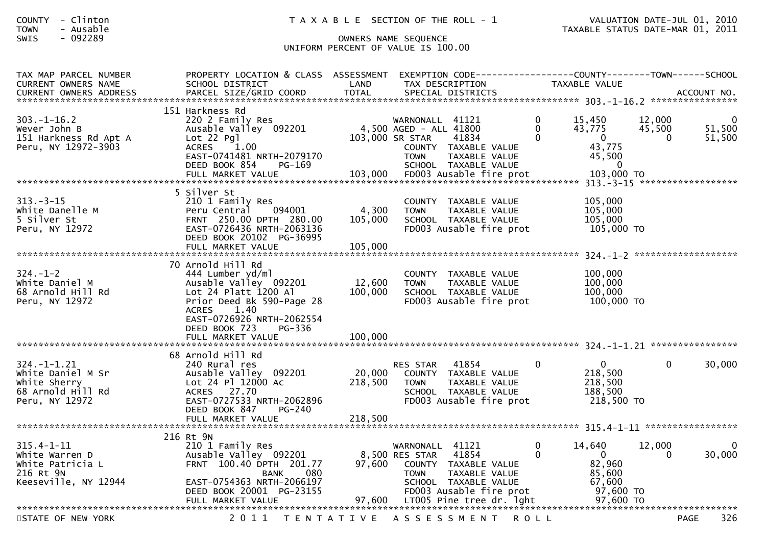| COUNTY | Clinton<br>$\overline{\phantom{0}}$ |  |
|--------|-------------------------------------|--|
| TOWN   | Ausable<br>$\overline{\phantom{0}}$ |  |
|        | .                                   |  |

| TAX MAP PARCEL NUMBER<br><b>CURRENT OWNERS NAME</b>                                           | PROPERTY LOCATION & CLASS ASSESSMENT<br>SCHOOL DISTRICT                                                                                                                                             | LAND              | EXEMPTION CODE------------------COUNTY--------TOWN------SCHOOL<br>TAX DESCRIPTION                                                   |                                  | TAXABLE VALUE                                               |                       |                       |
|-----------------------------------------------------------------------------------------------|-----------------------------------------------------------------------------------------------------------------------------------------------------------------------------------------------------|-------------------|-------------------------------------------------------------------------------------------------------------------------------------|----------------------------------|-------------------------------------------------------------|-----------------------|-----------------------|
|                                                                                               | 151 Harkness Rd                                                                                                                                                                                     |                   |                                                                                                                                     |                                  |                                                             |                       |                       |
| $303. - 1 - 16.2$<br>Wever John B<br>151 Harkness Rd Apt A<br>Peru, NY 12972-3903             | 220 2 Family Res<br>Ausable Valley 092201<br>Lot 22 Pgl<br>ACRES 1.00<br>EAST-0741481 NRTH-2079170                                                                                                  |                   | WARNONALL 41121<br>4,500 AGED - ALL 41800<br>103,000 SR STAR<br>41834<br>COUNTY TAXABLE VALUE<br><b>TOWN</b><br>TAXABLE VALUE       | $\Omega$<br>$\Omega$<br>$\Omega$ | 15,450<br>43,775<br>$\Omega$<br>43,775<br>45,500            | 12,000<br>45,500<br>0 | 0<br>51,500<br>51,500 |
|                                                                                               | DEED BOOK 854<br>PG-169<br>FULL MARKET VALUE                                                                                                                                                        | 103,000           | SCHOOL TAXABLE VALUE<br>FD003 Ausable fire prot                                                                                     |                                  | 0<br>103,000 TO                                             |                       |                       |
| $313 - 3 - 15$<br>White Danelle M<br>5 Silver St<br>Peru, NY 12972                            | 5 Silver St<br>210 1 Family Res<br>094001<br>Peru Central<br>FRNT 250.00 DPTH 280.00<br>EAST-0726436 NRTH-2063136<br>DEED BOOK 20102 PG-36995                                                       | 4,300<br>105,000  | COUNTY TAXABLE VALUE<br>TAXABLE VALUE<br><b>TOWN</b><br>SCHOOL TAXABLE VALUE<br>FD003 Ausable fire prot                             |                                  | 105,000<br>105,000<br>105,000<br>105,000 TO                 |                       |                       |
|                                                                                               | FULL MARKET VALUE                                                                                                                                                                                   | 105,000           |                                                                                                                                     |                                  |                                                             | *******************   |                       |
| $324. - 1 - 2$<br>White Daniel M<br>68 Arnold Hill Rd<br>Peru, NY 12972                       | 70 Arnold Hill Rd<br>444 Lumber yd/ml<br>Ausable Valley 092201<br>Lot 24 Platt 1200 Al<br>Prior Deed Bk 590-Page 28<br>1.40<br><b>ACRES</b><br>EAST-0726926 NRTH-2062554<br>DEED BOOK 723<br>PG-336 | 12,600<br>100,000 | COUNTY TAXABLE VALUE<br><b>TOWN</b><br>TAXABLE VALUE<br>SCHOOL TAXABLE VALUE<br>FD003 Ausable fire prot                             |                                  | 100,000<br>100,000<br>100,000<br>100,000 TO                 |                       |                       |
|                                                                                               |                                                                                                                                                                                                     |                   |                                                                                                                                     |                                  |                                                             |                       |                       |
| $324. - 1 - 1.21$<br>White Daniel M Sr<br>White Sherry<br>68 Arnold Hill Rd<br>Peru, NY 12972 | 68 Arnold Hill Rd<br>240 Rural res<br>Ausable Valley 092201<br>Lot 24 Pl 12000 Ac<br>ACRES 27.70<br>EAST-0727533 NRTH-2062896<br>DEED BOOK 847<br>PG-240                                            | 20,000<br>218,500 | 41854<br><b>RES STAR</b><br>COUNTY TAXABLE VALUE<br>TAXABLE VALUE<br><b>TOWN</b><br>SCHOOL TAXABLE VALUE<br>FD003 Ausable fire prot | $\Omega$                         | $\mathbf{0}$<br>218,500<br>218,500<br>188,500<br>218,500 TO | $\Omega$              | 30,000                |
|                                                                                               |                                                                                                                                                                                                     |                   |                                                                                                                                     |                                  |                                                             |                       |                       |
| $315.4 - 1 - 11$<br>White Warren D<br>White Patricia L<br>216 Rt 9N<br>Keeseville, NY 12944   | 216 Rt 9N<br>210 1 Family Res<br>Ausable Valley 092201<br>FRNT 100.40 DPTH 201.77<br>080<br>BANK<br>EAST-0754363 NRTH-2066197                                                                       | 97,600            | WARNONALL 41121<br>8,500 RES STAR<br>41854<br>COUNTY TAXABLE VALUE<br><b>TOWN</b><br>TAXABLE VALUE<br>SCHOOL TAXABLE VALUE          | $\Omega$<br>$\Omega$             | 14,640<br>$\Omega$<br>82,960<br>85,600<br>67,600            | 12,000<br>$\Omega$    | 0<br>30,000           |
|                                                                                               | DEED BOOK 20001 PG-23155<br>FULL MARKET VALUE                                                                                                                                                       |                   | FD003 Ausable fire prot<br>97,600 LT005 Pine tree dr. lght                                                                          |                                  | 97,600 TO<br>97,600 TO                                      |                       |                       |
| STATE OF NEW YORK                                                                             | 2011                                                                                                                                                                                                |                   | TENTATIVE ASSESSMENT                                                                                                                | R O L L                          |                                                             | PAGE                  | 326                   |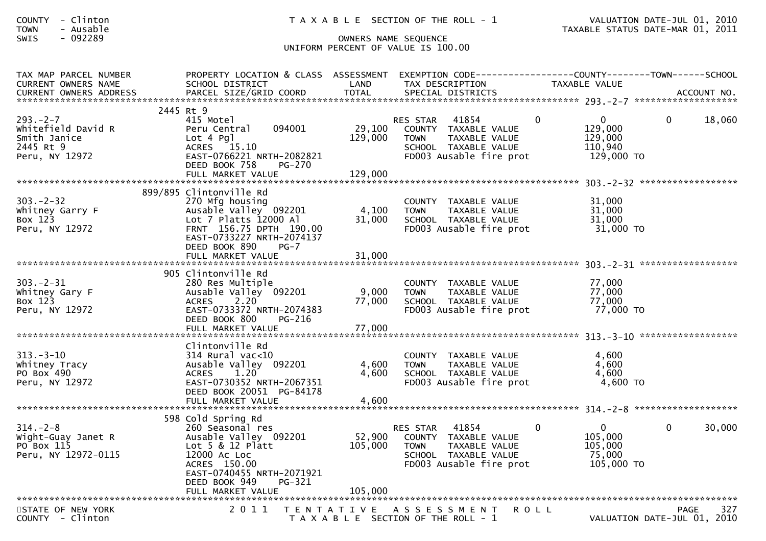| <b>COUNTY</b> | $-$    | Clinton |
|---------------|--------|---------|
| <b>TOWN</b>   | $\sim$ | Ausable |
|               |        | 000000  |

| TAX MAP PARCEL NUMBER<br><b>CURRENT OWNERS NAME</b>                                | PROPERTY LOCATION & CLASS ASSESSMENT<br>SCHOOL DISTRICT                                                                                                 | LAND                      | EXEMPTION CODE-----------------COUNTY--------TOWN-----SCHOOL<br>TAX DESCRIPTION                                                  | TAXABLE VALUE  |                                                                              |        |
|------------------------------------------------------------------------------------|---------------------------------------------------------------------------------------------------------------------------------------------------------|---------------------------|----------------------------------------------------------------------------------------------------------------------------------|----------------|------------------------------------------------------------------------------|--------|
|                                                                                    |                                                                                                                                                         |                           |                                                                                                                                  |                |                                                                              |        |
| $293. -2 - 7$<br>Whitefield David R<br>Smith Janice<br>2445 Rt 9<br>Peru, NY 12972 | 2445 Rt 9<br>415 Motel<br>094001<br>Peru Central<br>Lot 4 Pgl<br>ACRES 15.10<br>EAST-0766221 NRTH-2082821<br>DEED BOOK 758<br>PG-270                    | 29,100<br>129,000         | RES STAR 41854<br>COUNTY TAXABLE VALUE<br><b>TOWN</b><br>TAXABLE VALUE<br>SCHOOL TAXABLE VALUE<br>FD003 Ausable fire prot        | $\Omega$       | $\mathbf{0}$<br>$\Omega$<br>129,000<br>129,000<br>110,940<br>129,000 TO      | 18,060 |
|                                                                                    | 899/895 Clintonville Rd                                                                                                                                 |                           |                                                                                                                                  |                |                                                                              |        |
| $303 - 2 - 32$<br>Whitney Garry F<br>Box 123<br>Peru, NY 12972                     | 270 Mfg housing<br>Ausable Valley 092201<br>Lot 7 Platts 12000 Al<br>FRNT 156.75 DPTH 190.00<br>EAST-0733227 NRTH-2074137<br>DEED BOOK 890<br>$PG-7$    | 4,100<br>31,000           | COUNTY TAXABLE VALUE<br><b>TOWN</b><br>TAXABLE VALUE<br>SCHOOL TAXABLE VALUE<br>FD003 Ausable fire prot                          |                | 31,000<br>31,000<br>31,000<br>31,000 TO                                      |        |
|                                                                                    | FULL MARKET VALUE                                                                                                                                       | 31,000                    |                                                                                                                                  |                |                                                                              |        |
|                                                                                    | 905 Clintonville Rd                                                                                                                                     |                           |                                                                                                                                  |                |                                                                              |        |
| $303 - 2 - 31$<br>Whitney Gary F<br>Box 123<br>Peru, NY 12972                      | 280 Res Multiple<br>Ausable Valley 092201<br>2.20<br><b>ACRES</b><br>EAST-0733372 NRTH-2074383<br>DEED BOOK 800<br>PG-216<br>FULL MARKET VALUE          | 9,000<br>77,000<br>77,000 | COUNTY TAXABLE VALUE<br><b>TOWN</b><br>TAXABLE VALUE<br>SCHOOL TAXABLE VALUE<br>FD003 Ausable fire prot                          |                | 77,000<br>77,000<br>77,000<br>77,000 TO                                      |        |
|                                                                                    |                                                                                                                                                         |                           |                                                                                                                                  |                |                                                                              |        |
| $313. - 3 - 10$<br>Whitney Tracy<br>PO Box 490<br>Peru, NY 12972                   | Clintonville Rd<br>$314$ Rural vac<10<br>Ausable Valley 092201<br>1.20<br><b>ACRES</b><br>EAST-0730352 NRTH-2067351<br>DEED BOOK 20051 PG-84178         | 4,600<br>4,600            | COUNTY TAXABLE VALUE<br><b>TOWN</b><br>TAXABLE VALUE<br>SCHOOL TAXABLE VALUE<br>FD003 Ausable fire prot                          |                | 4.600<br>4,600<br>4,600<br>4,600 TO                                          |        |
|                                                                                    |                                                                                                                                                         |                           |                                                                                                                                  |                |                                                                              |        |
|                                                                                    | 598 Cold Spring Rd                                                                                                                                      |                           |                                                                                                                                  |                |                                                                              |        |
| $314. - 2 - 8$<br>Wight-Guay Janet R<br>PO Box 115<br>Peru, NY 12972-0115          | 260 Seasonal res<br>Ausable Valley 092201<br>Lot $5 & 12$ Platt<br>12000 AC LOC<br>ACRES 150.00<br>EAST-0740455 NRTH-2071921<br>DEED BOOK 949<br>PG-321 | 105,000                   | RES STAR 41854<br>52,900 COUNTY TAXABLE VALUE<br>TAXABLE VALUE<br><b>TOWN</b><br>SCHOOL TAXABLE VALUE<br>FD003 Ausable fire prot | $\overline{0}$ | $\overline{0}$<br>$\mathbf{0}$<br>105,000<br>105,000<br>75,000<br>105,000 TO | 30,000 |
|                                                                                    |                                                                                                                                                         |                           |                                                                                                                                  |                |                                                                              |        |
| STATE OF NEW YORK<br>COUNTY - Clinton                                              | 2011<br>T E N T A T I V E                                                                                                                               |                           | A S S E S S M E N T R O L L<br>T A X A B L E SECTION OF THE ROLL - 1                                                             |                | <b>PAGE</b><br>VALUATION DATE-JUL 01, 2010                                   | 327    |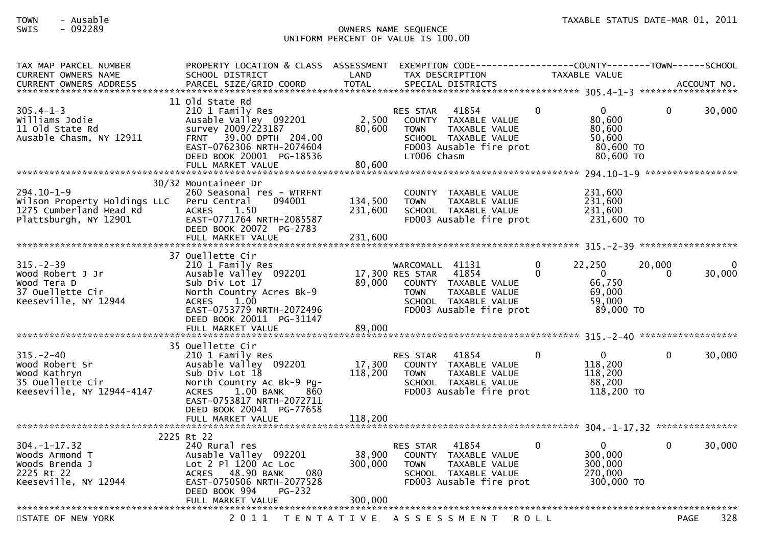| TAX MAP PARCEL NUMBER<br><b>CURRENT OWNERS NAME</b>                                                  | PROPERTY LOCATION & CLASS ASSESSMENT<br>SCHOOL DISTRICT                                                                                                                                                    | LAND                          | TAX DESCRIPTION                                                                                                                                        | <b>TAXABLE VALUE</b>    |                                                                               |                   |
|------------------------------------------------------------------------------------------------------|------------------------------------------------------------------------------------------------------------------------------------------------------------------------------------------------------------|-------------------------------|--------------------------------------------------------------------------------------------------------------------------------------------------------|-------------------------|-------------------------------------------------------------------------------|-------------------|
| $305.4 - 1 - 3$<br>Williams Jodie<br>11 old State Rd<br>Ausable Chasm, NY 12911                      | 11 old State Rd<br>210 1 Family Res<br>Ausable Valley 092201<br>survey 2009/223187<br>39.00 DPTH 204.00<br><b>FRNT</b><br>EAST-0762306 NRTH-2074604<br>DEED BOOK 20001 PG-18536<br>FULL MARKET VALUE       | 2,500<br>80,600<br>80,600     | 41854<br><b>RES STAR</b><br>COUNTY TAXABLE VALUE<br>TAXABLE VALUE<br><b>TOWN</b><br>SCHOOL TAXABLE VALUE<br>FD003 Ausable fire prot<br>LT006 Chasm     | $\Omega$                | $\Omega$<br>$\Omega$<br>80,600<br>80,600<br>50,600<br>80,600 TO<br>80,600 TO  | 30,000            |
|                                                                                                      | 30/32 Mountaineer Dr                                                                                                                                                                                       |                               |                                                                                                                                                        |                         |                                                                               | ***************** |
| $294.10 - 1 - 9$<br>Wilson Property Holdings LLC<br>1275 Cumberland Head Rd<br>Plattsburgh, NY 12901 | 260 Seasonal res - WTRFNT<br>094001<br>Peru Central<br>1.50<br><b>ACRES</b><br>EAST-0771764 NRTH-2085587<br>DEED BOOK 20072 PG-2783<br>FULL MARKET VALUE                                                   | 134,500<br>231,600<br>231,600 | <b>COUNTY</b><br>TAXABLE VALUE<br><b>TOWN</b><br>TAXABLE VALUE<br>SCHOOL TAXABLE VALUE<br>FD003 Ausable fire prot                                      |                         | 231,600<br>231,600<br>231,600<br>231,600 TO                                   |                   |
|                                                                                                      |                                                                                                                                                                                                            |                               |                                                                                                                                                        |                         |                                                                               |                   |
| $315. - 2 - 39$<br>Wood Robert J Jr<br>Wood Tera D<br>37 Ouellette Cir<br>Keeseville, NY 12944       | 37 Ouellette Cir<br>210 1 Family Res<br>Ausable Valley 092201<br>Sub Div Lot 17<br>North Country Acres Bk-9<br><b>ACRES</b><br>1.00<br>EAST-0753779 NRTH-2072496<br>DEED BOOK 20011 PG-31147               | 89,000                        | WARCOMALL 41131<br>17,300 RES STAR<br>41854<br>COUNTY TAXABLE VALUE<br>TAXABLE VALUE<br><b>TOWN</b><br>SCHOOL TAXABLE VALUE<br>FD003 Ausable fire prot | 22,250<br>0<br>$\Omega$ | 20,000<br>$\mathbf{0}$<br>$\Omega$<br>66,750<br>69,000<br>59,000<br>89,000 TO | 30,000            |
|                                                                                                      | FULL MARKET VALUE                                                                                                                                                                                          | 89,000                        |                                                                                                                                                        |                         |                                                                               |                   |
|                                                                                                      | 35 Ouellette Cir                                                                                                                                                                                           |                               |                                                                                                                                                        |                         |                                                                               |                   |
| $315. - 2 - 40$<br>Wood Robert Sr<br>Wood Kathryn<br>35 Ouellette Cir<br>Keeseville, NY 12944-4147   | 210 1 Family Res<br>Ausable Valley 092201<br>Sub Div Lot 18<br>North Country Ac Bk-9 Pg-<br>1.00 BANK<br><b>ACRES</b><br>860<br>EAST-0753817 NRTH-2072711<br>DEED BOOK 20041 PG-77658<br>FULL MARKET VALUE | 17,300<br>118,200<br>118,200  | 41854<br><b>RES STAR</b><br>COUNTY TAXABLE VALUE<br>TAXABLE VALUE<br><b>TOWN</b><br>SCHOOL TAXABLE VALUE<br>FD003 Ausable fire prot                    | $\Omega$                | 0<br>0<br>118,200<br>118,200<br>88,200<br>118,200 TO                          | 30,000            |
|                                                                                                      |                                                                                                                                                                                                            |                               |                                                                                                                                                        |                         |                                                                               |                   |
| $304. -1 - 17.32$<br>Woods Armond T<br>Woods Brenda J<br>2225 Rt 22<br>Keeseville, NY 12944          | 2225 Rt 22<br>240 Rural res<br>Ausable Valley 092201<br>Lot 2 Pl 1200 Ac Loc<br>080<br><b>ACRES</b><br>48.90 BANK<br>EAST-0750506 NRTH-2077528<br>DEED BOOK 994<br>$PG-232$<br>FULL MARKET VALUE           | 38,900<br>300,000<br>300,000  | 41854<br><b>RES STAR</b><br><b>COUNTY</b><br>TAXABLE VALUE<br><b>TOWN</b><br>TAXABLE VALUE<br>SCHOOL TAXABLE VALUE<br>FD003 Ausable fire prot          | 0                       | $\mathbf{0}$<br>0<br>300,000<br>300,000<br>270,000<br>300,000 TO              | 30,000            |
| STATE OF NEW YORK                                                                                    | 2011<br>T E N T A T I V E                                                                                                                                                                                  |                               | A S S E S S M E N T                                                                                                                                    | <b>ROLL</b>             |                                                                               | 328<br>PAGE       |
|                                                                                                      |                                                                                                                                                                                                            |                               |                                                                                                                                                        |                         |                                                                               |                   |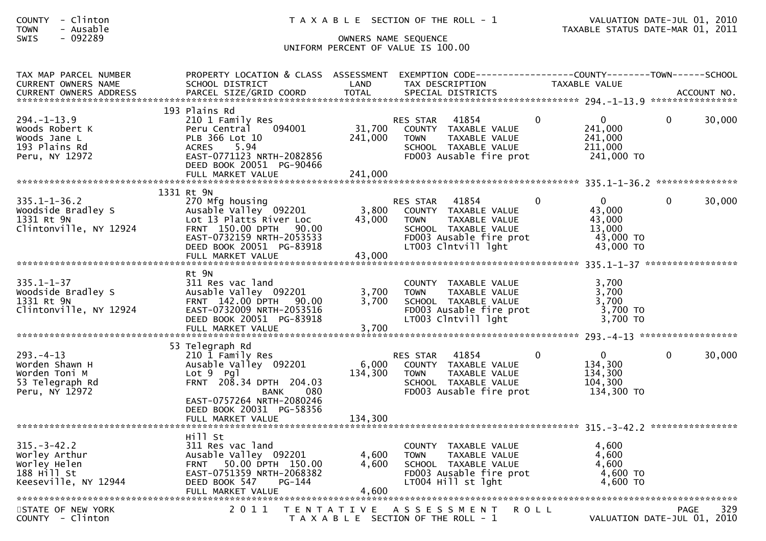| - Clinton<br><b>COUNTY</b><br>- Ausable<br><b>TOWN</b><br>$-092289$<br>SWIS               | T A X A B L E SECTION OF THE ROLL - 1<br>OWNERS NAME SEQUENCE                                                                                                               |                           |                                                                                                                                                     | VALUATION DATE-MAR 01, 2011                                                     | VALUATION DATE-JUL 01, 2010                       |  |
|-------------------------------------------------------------------------------------------|-----------------------------------------------------------------------------------------------------------------------------------------------------------------------------|---------------------------|-----------------------------------------------------------------------------------------------------------------------------------------------------|---------------------------------------------------------------------------------|---------------------------------------------------|--|
|                                                                                           |                                                                                                                                                                             |                           | UNIFORM PERCENT OF VALUE IS 100.00                                                                                                                  |                                                                                 |                                                   |  |
| TAX MAP PARCEL NUMBER<br>CURRENT OWNERS NAME                                              | PROPERTY LOCATION & CLASS ASSESSMENT EXEMPTION CODE----------------COUNTY-------TOWN------SCHOOL<br>SCHOOL DISTRICT                                                         | LAND                      | TAX DESCRIPTION                                                                                                                                     | TAXABLE VALUE                                                                   |                                                   |  |
| $294. - 1 - 13.9$<br>Woods Robert K<br>Woods Jane L<br>193 Plains Rd<br>Peru, NY 12972    | 193 Plains Rd<br>210 1 Family Res<br>094001<br>Peru Central<br>PLB 366 Lot 10<br>ACRES 5.94<br>ACRES       5.94<br>EAST-0771123  NRTH-2082856<br>DEED BOOK 20051 PG-90466   | 31,700<br>241,000         | RES STAR<br>41854<br>COUNTY TAXABLE VALUE<br><b>TOWN</b><br>TAXABLE VALUE<br>SCHOOL TAXABLE VALUE<br>FD003 Ausable fire prot                        | $\overline{0}$<br>$\overline{0}$<br>241,000<br>241,000<br>211,000<br>241,000 TO | 30,000<br>$\mathbf{0}$                            |  |
|                                                                                           | 1331 Rt 9N                                                                                                                                                                  |                           |                                                                                                                                                     |                                                                                 |                                                   |  |
| $335.1 - 1 - 36.2$<br>Woodside Bradley S<br>1331 Rt 9N<br>Clintonville, NY 12924          | 270 Mfg housing<br>Ausable valley 092201<br>Lot 13 Platts River Loc<br>FRNT 150.00 DPTH 90.00<br>EAST-0732159 NRTH-2053533<br>DEED BOOK 20051 PG-83918<br>FULL MARKET VALUE | 3,800<br>43,000<br>43,000 | 41854<br>RES STAR<br>COUNTY TAXABLE VALUE<br>TAXABLE VALUE<br><b>TOWN</b><br>SCHOOL TAXABLE VALUE<br>FD003 Ausable fire prot<br>LT003 Clntvill lght | $\overline{0}$<br>0<br>43,000<br>43,000<br>13,000<br>43,000 TO<br>43,000 TO     | 30,000<br>$\mathbf{0}$                            |  |
|                                                                                           |                                                                                                                                                                             |                           |                                                                                                                                                     |                                                                                 |                                                   |  |
| $335.1 - 1 - 37$<br>Woodside Bradley S<br>1331 Rt 9N<br>Clintonville, NY 12924            | Rt 9N<br>311 Res vac land<br>Ausable Valley 092201<br>FRNT 142.00 DPTH 90.00<br>EAST-0732009 NRTH-2053516<br>DEED BOOK 20051 PG-83918<br>FULL MARKET VALUE                  | 3,700<br>3,700<br>3,700   | COUNTY TAXABLE VALUE<br><b>TOWN</b><br>TAXABLE VALUE<br>SCHOOL TAXABLE VALUE<br>FD003 Ausable fire prot<br>LT003 Clntvill lght                      | 3,700<br>3,700<br>3,700<br>3,700 TO<br>3,700 TO                                 |                                                   |  |
|                                                                                           | 53 Telegraph Rd                                                                                                                                                             |                           |                                                                                                                                                     |                                                                                 |                                                   |  |
| $293. -4 - 13$<br>Worden Shawn H<br>Worden Toni M<br>53 Telegraph Rd<br>Peru, NY 12972    | 210 1 Family Res<br>Ausable Valley 092201<br>Lot 9 Pgl<br>FRNT 208.34 DPTH 204.03<br>080<br><b>BANK</b><br>EAST-0757264 NRTH-2080246<br>DEED BOOK 20031 PG-58356            | 6,000<br>134,300          | 41854<br>RES STAR<br>COUNTY TAXABLE VALUE<br>TAXABLE VALUE<br><b>TOWN</b><br>SCHOOL TAXABLE VALUE<br>FD003 Ausable fire prot                        | $\overline{0}$<br>$\mathbf{0}$<br>134,300<br>134,300<br>104,300<br>134,300 TO   | 30,000<br>$\overline{0}$                          |  |
|                                                                                           | FULL MARKET VALUE                                                                                                                                                           | 134,300                   |                                                                                                                                                     |                                                                                 |                                                   |  |
| $315. - 3 - 42.2$<br>Worley Arthur<br>Worley Helen<br>188 Hill St<br>Keeseville, NY 12944 | Hill St<br>311 Res vac land<br>Ausable Valley 092201<br>FRNT 50.00 DPTH 150.00<br>EAST-0751359 NRTH-2068382<br>DEED BOOK 547<br>PG-144<br>FULL MARKET VALUE                 | 4,600<br>4,600<br>4,600   | COUNTY TAXABLE VALUE<br>TAXABLE VALUE<br>TOWN<br>SCHOOL TAXABLE VALUE<br>FD003 Ausable fire prot<br>LT004 Hill st lght                              | 4,600<br>4,600<br>4,600<br>4,600 TO<br>4,600 TO                                 |                                                   |  |
| STATE OF NEW YORK<br>COUNTY - Clinton                                                     |                                                                                                                                                                             |                           | 2011 TENTATIVE ASSESSMENT<br>T A X A B L E SECTION OF THE ROLL - 1                                                                                  | R O L L                                                                         | 329<br><b>PAGE</b><br>VALUATION DATE-JUL 01, 2010 |  |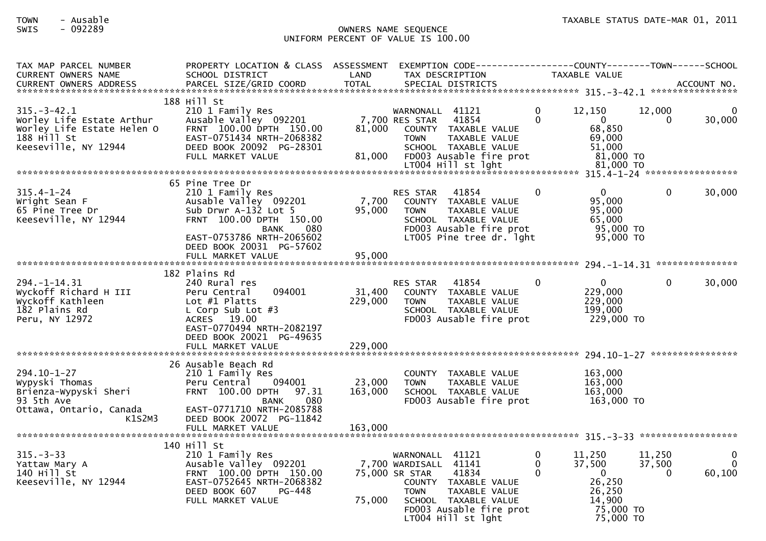| TAX MAP PARCEL NUMBER<br><b>CURRENT OWNERS NAME</b>                                                                 | PROPERTY LOCATION & CLASS ASSESSMENT<br>SCHOOL DISTRICT                                                                                                                    | LAND              | EXEMPTION        CODE------------------COUNTY-------TOWN------SCHOOL<br>TAX DESCRIPTION                                                                                                              |                    | <b>TAXABLE VALUE</b>                                                                    |                              |                                    |
|---------------------------------------------------------------------------------------------------------------------|----------------------------------------------------------------------------------------------------------------------------------------------------------------------------|-------------------|------------------------------------------------------------------------------------------------------------------------------------------------------------------------------------------------------|--------------------|-----------------------------------------------------------------------------------------|------------------------------|------------------------------------|
|                                                                                                                     |                                                                                                                                                                            |                   |                                                                                                                                                                                                      |                    |                                                                                         |                              |                                    |
| $315. - 3 - 42.1$<br>Worley Life Estate Arthur<br>Worley Life Estate Helen O<br>188 Hill St<br>Keeseville, NY 12944 | 188 Hill St<br>210 1 Family Res<br>Ausable Valley 092201<br>FRNT 100.00 DPTH 150.00<br>EAST-0751434 NRTH-2068382<br>DEED BOOK 20092 PG-28301<br>FULL MARKET VALUE          | 81,000<br>81,000  | WARNONALL 41121<br>7,700 RES STAR<br>41854<br>COUNTY TAXABLE VALUE<br><b>TOWN</b><br>TAXABLE VALUE<br>SCHOOL TAXABLE VALUE<br>FD003 Ausable fire prot                                                | 0<br>$\Omega$      | 12,150<br>$\overline{0}$<br>68,850<br>69,000<br>51,000<br>81,000 TO                     | 12,000<br>$\Omega$           | 0<br>30,000                        |
|                                                                                                                     |                                                                                                                                                                            |                   |                                                                                                                                                                                                      |                    |                                                                                         |                              |                                    |
| $315.4 - 1 - 24$<br>Wright Sean F<br>65 Pine Tree Dr<br>Keeseville, NY 12944                                        | 65 Pine Tree Dr<br>210 1 Family Res<br>Ausable Valley 092201<br>Sub Drwn $A-132$ Lot 5<br>FRNT 100.00 DPTH 150.00<br>080<br>BANK<br>EAST-0753786 NRTH-2065602              | 7,700<br>95,000   | 41854<br>RES STAR<br>COUNTY TAXABLE VALUE<br><b>TOWN</b><br>TAXABLE VALUE<br>SCHOOL TAXABLE VALUE<br>FD003 Ausable fire prot<br>LT005 Pine tree dr. lght                                             | $\Omega$           | $\Omega$<br>95,000<br>95,000<br>65,000<br>95,000 TO<br>95,000 TO                        | $\Omega$                     | 30,000                             |
|                                                                                                                     | DEED BOOK 20031 PG-57602<br>FULL MARKET VALUE                                                                                                                              | 95,000            |                                                                                                                                                                                                      |                    |                                                                                         |                              |                                    |
|                                                                                                                     |                                                                                                                                                                            |                   |                                                                                                                                                                                                      |                    |                                                                                         |                              |                                    |
| $294. - 1 - 14.31$<br>Wyckoff Richard H III<br>Wyckoff Kathleen<br>182 Plains Rd<br>Peru, NY 12972                  | 182 Plains Rd<br>240 Rural res<br>094001<br>Peru Central<br>Lot $#1$ Platts<br>L Corp Sub Lot $#3$<br>ACRES 19.00<br>EAST-0770494 NRTH-2082197<br>DEED BOOK 20021 PG-49635 | 31,400<br>229,000 | 41854<br>RES STAR<br>COUNTY TAXABLE VALUE<br><b>TOWN</b><br>TAXABLE VALUE<br>SCHOOL TAXABLE VALUE<br>FD003 Ausable fire prot                                                                         | 0                  | $\Omega$<br>229,000<br>229,000<br>199,000<br>229,000 TO                                 | $\mathbf{0}$                 | 30,000                             |
|                                                                                                                     | FULL MARKET VALUE                                                                                                                                                          | 229,000           |                                                                                                                                                                                                      |                    |                                                                                         |                              |                                    |
| $294.10 - 1 - 27$<br>Wypyski Thomas<br>Brienza-Wypyski Sheri<br>93 5th Ave<br>Ottawa, Ontario, Canada<br>K1S2M3     | 26 Ausable Beach Rd<br>210 1 Family Res<br>094001<br>Peru Central<br>FRNT 100.00 DPTH<br>97.31<br>080<br>BANK<br>EAST-0771710 NRTH-2085788<br>DEED BOOK 20072 PG-11842     | 23,000<br>163,000 | COUNTY TAXABLE VALUE<br><b>TOWN</b><br>TAXABLE VALUE<br>SCHOOL TAXABLE VALUE<br>FD003 Ausable fire prot                                                                                              |                    | 163,000<br>163,000<br>163,000<br>163,000 TO                                             |                              |                                    |
|                                                                                                                     |                                                                                                                                                                            |                   |                                                                                                                                                                                                      |                    |                                                                                         |                              |                                    |
| $315 - 3 - 33$<br>Yattaw Mary A<br>140 Hill St<br>Keeseville, NY 12944                                              | 140 Hill St<br>210 1 Family Res<br>Ausable Valley 092201<br>FRNT 100.00 DPTH 150.00<br>EAST-0752645 NRTH-2068382<br>DEED BOOK 607<br>PG-448<br>FULL MARKET VALUE           | 75,000            | WARNONALL 41121<br>7,700 WARDISALL 41141<br>75,000 SR STAR<br>41834<br>COUNTY TAXABLE VALUE<br><b>TOWN</b><br>TAXABLE VALUE<br>SCHOOL TAXABLE VALUE<br>FD003 Ausable fire prot<br>LT004 Hill st lght | 0<br>$\Omega$<br>0 | 11,250<br>37,500<br>$\mathbf 0$<br>26,250<br>26,250<br>14,900<br>75,000 TO<br>75,000 TO | 11,250<br>37,500<br>$\Omega$ | $\mathbf{0}$<br>$\Omega$<br>60,100 |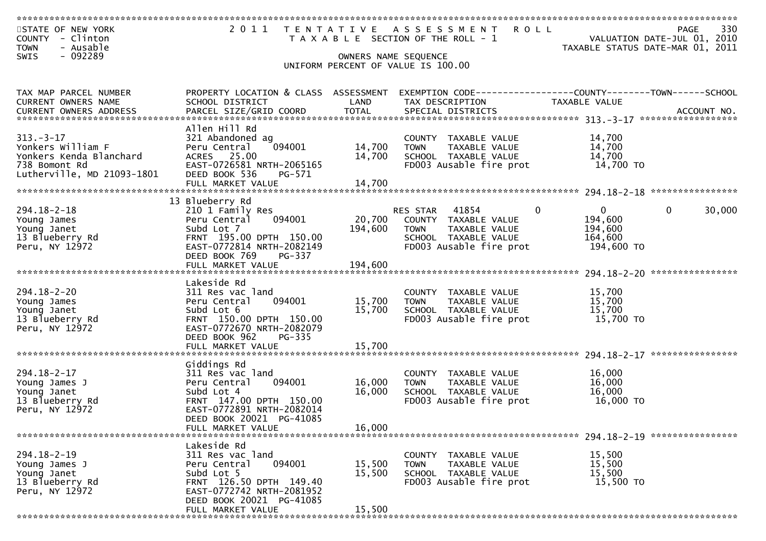| STATE OF NEW YORK<br>COUNTY - Clinton<br>- Ausable<br><b>TOWN</b> | 2011                                                  |             | <b>ROLL</b><br>TENTATIVE ASSESSMENT<br>T A X A B L E SECTION OF THE ROLL - 1 | 330<br>PAGE<br>VALUATION DATE-JUL 01, 2010<br>TAXABLE STATUS DATE-MAR 01, 2011 |
|-------------------------------------------------------------------|-------------------------------------------------------|-------------|------------------------------------------------------------------------------|--------------------------------------------------------------------------------|
| - 092289<br>SWIS                                                  |                                                       |             | OWNERS NAME SEQUENCE                                                         |                                                                                |
|                                                                   |                                                       |             | UNIFORM PERCENT OF VALUE IS 100.00                                           |                                                                                |
|                                                                   |                                                       |             |                                                                              |                                                                                |
|                                                                   |                                                       |             |                                                                              |                                                                                |
| TAX MAP PARCEL NUMBER                                             | PROPERTY LOCATION & CLASS ASSESSMENT                  |             |                                                                              | EXEMPTION CODE------------------COUNTY--------TOWN------SCHOOL                 |
| CURRENT OWNERS NAME                                               | SCHOOL DISTRICT                                       | LAND        | TAX DESCRIPTION                                                              | TAXABLE VALUE                                                                  |
|                                                                   |                                                       |             |                                                                              |                                                                                |
|                                                                   | Allen Hill Rd                                         |             |                                                                              |                                                                                |
| $313 - 3 - 17$                                                    | 321 Abandoned ag                                      |             | COUNTY TAXABLE VALUE                                                         | 14,700                                                                         |
| Yonkers William F                                                 | 094001<br>Peru Central                                | 14,700      | TAXABLE VALUE<br><b>TOWN</b>                                                 | 14,700                                                                         |
| Yonkers Kenda Blanchard                                           | ACRES 25.00                                           | 14,700      | SCHOOL TAXABLE VALUE                                                         | 14,700                                                                         |
| 738 Bomont Rd                                                     | EAST-0726581 NRTH-2065165                             |             | FD003 Ausable fire prot                                                      | 14,700 TO                                                                      |
| Lutherville, MD 21093-1801                                        | DEED BOOK 536<br>PG-571                               |             |                                                                              |                                                                                |
|                                                                   |                                                       |             |                                                                              |                                                                                |
|                                                                   |                                                       |             |                                                                              |                                                                                |
|                                                                   | 13 Blueberry Rd                                       |             |                                                                              |                                                                                |
| $294.18 - 2 - 18$                                                 | 210 1 Family Res                                      |             | $\mathbf{0}$<br>RES STAR 41854                                               | $\overline{0}$<br>$\mathbf{0}$<br>30,000                                       |
| Young James                                                       | Peru Central<br>094001                                | 20,700      | COUNTY TAXABLE VALUE                                                         | 194,600                                                                        |
| Young Janet                                                       | Subd Lot 7                                            | 194,600     | <b>TOWN</b><br>TAXABLE VALUE                                                 | 194,600                                                                        |
| 13 Blueberry Rd                                                   | FRNT 195.00 DPTH 150.00                               |             | SCHOOL TAXABLE VALUE                                                         | 164,600                                                                        |
| Peru, NY 12972                                                    | EAST-0772814 NRTH-2082149                             |             | FD003 Ausable fire prot                                                      | 194,600 TO                                                                     |
|                                                                   | DEED BOOK 769<br>PG-337                               |             |                                                                              |                                                                                |
|                                                                   |                                                       |             |                                                                              |                                                                                |
|                                                                   | Lakeside Rd                                           |             |                                                                              |                                                                                |
| $294.18 - 2 - 20$                                                 | 311 Res vac land                                      |             | COUNTY TAXABLE VALUE                                                         | 15,700                                                                         |
| Young James                                                       | 094001<br>Peru Central                                | 15,700      | TAXABLE VALUE<br><b>TOWN</b>                                                 | 15,700                                                                         |
| Young Janet                                                       | Subd Lot 6                                            | 15,700      | SCHOOL TAXABLE VALUE                                                         | 15,700                                                                         |
| 13 Blueberry Rd                                                   | FRNT 150.00 DPTH 150.00                               |             | FD003 Ausable fire prot                                                      | 15,700 TO                                                                      |
| Peru, NY 12972                                                    | EAST-0772670 NRTH-2082079                             |             |                                                                              |                                                                                |
|                                                                   | DEED BOOK 962<br>PG-335                               |             |                                                                              |                                                                                |
|                                                                   | FULL MARKET VALUE                                     | 15,700      |                                                                              |                                                                                |
|                                                                   |                                                       |             |                                                                              | ****************                                                               |
|                                                                   | Giddings Rd                                           |             |                                                                              |                                                                                |
| $294.18 - 2 - 17$                                                 | 311 Res vac land                                      |             | COUNTY TAXABLE VALUE                                                         | 16,000                                                                         |
| Young James J                                                     | 094001<br>Peru Central                                | 16,000      | TAXABLE VALUE<br><b>TOWN</b>                                                 | 16,000                                                                         |
| Young Janet                                                       | Subd Lot 4                                            | 16,000      | SCHOOL TAXABLE VALUE                                                         | 16,000                                                                         |
| 13 Blueberry Rd                                                   | FRNT 147.00 DPTH 150.00                               |             | FD003 Ausable fire prot                                                      | 16,000 TO                                                                      |
| Peru, NY 12972                                                    | EAST-0772891 NRTH-2082014<br>DEED BOOK 20021 PG-41085 |             |                                                                              |                                                                                |
|                                                                   | FULL MARKET VALUE                                     | 16,000      |                                                                              |                                                                                |
|                                                                   |                                                       |             |                                                                              |                                                                                |
|                                                                   | Lakeside Rd                                           |             |                                                                              |                                                                                |
| $294.18 - 2 - 19$                                                 | 311 Res vac land                                      |             | <b>COUNTY</b><br>TAXABLE VALUE                                               | 15,500                                                                         |
| Young James J                                                     | 094001<br>Peru Central                                | 15,500      | TAXABLE VALUE<br>TOWN                                                        | 15,500                                                                         |
| Young Janet                                                       | Subd Lot 5                                            | 15,500      | SCHOOL TAXABLE VALUE                                                         | 15,500                                                                         |
| 13 Blueberry Rd                                                   | FRNT 126.50 DPTH 149.40                               |             | FD003 Ausable fire prot                                                      | 15,500 TO                                                                      |
| Peru, NY 12972                                                    | EAST-0772742 NRTH-2081952                             |             |                                                                              |                                                                                |
|                                                                   | DEED BOOK 20021 PG-41085                              |             |                                                                              |                                                                                |
|                                                                   | FULL MARKET VALUE                                     | 15,500      |                                                                              |                                                                                |
|                                                                   |                                                       | *********** |                                                                              |                                                                                |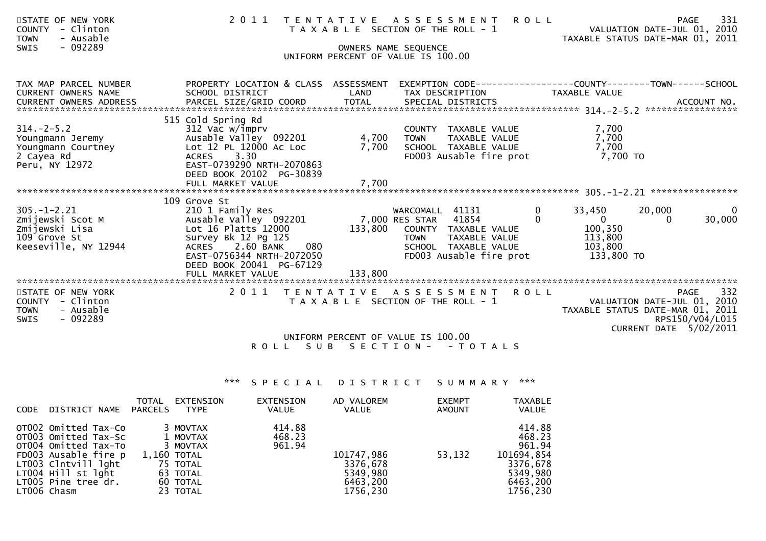| STATE OF NEW YORK<br>- Clinton<br><b>COUNTY</b><br>- Ausable<br><b>TOWN</b>                            | 2 0 1 1                                                                                                                                                                                              |                   | TENTATIVE ASSESSMENT<br>T A X A B L E SECTION OF THE ROLL - 1 | <b>ROLL</b>                                                                              |                         | VALUATION DATE-JUL 01, 2010<br>TAXABLE STATUS DATE-MAR 01, 2011                           | 331<br><b>PAGE</b>             |
|--------------------------------------------------------------------------------------------------------|------------------------------------------------------------------------------------------------------------------------------------------------------------------------------------------------------|-------------------|---------------------------------------------------------------|------------------------------------------------------------------------------------------|-------------------------|-------------------------------------------------------------------------------------------|--------------------------------|
| $-092289$<br><b>SWIS</b>                                                                               |                                                                                                                                                                                                      |                   | OWNERS NAME SEQUENCE<br>UNIFORM PERCENT OF VALUE IS 100.00    |                                                                                          |                         |                                                                                           |                                |
| TAX MAP PARCEL NUMBER<br><b>CURRENT OWNERS NAME</b><br>CURRENT OWNERS ADDRESS                          | PROPERTY LOCATION & CLASS ASSESSMENT<br>SCHOOL DISTRICT                                                                                                                                              | LAND              | TAX DESCRIPTION                                               | EXEMPTION CODE-----------------COUNTY-------TOWN------SCHOOL                             | <b>TAXABLE VALUE</b>    |                                                                                           |                                |
| $314. -2 - 5.2$<br>Youngmann Jeremy<br>Youngmann Courtney<br>2 Cayea Rd<br>Peru, NY 12972              | 515 Cold Spring Rd<br>312 Vac w/imprv<br>Ausable Valley 092201<br>Lot 12 PL 12000 Ac Loc<br>3.30<br>ACRES<br>EAST-0739290 NRTH-2070863<br>DEED BOOK 20102 PG-30839                                   | 4,700<br>7,700    | <b>TOWN</b>                                                   | COUNTY TAXABLE VALUE<br>TAXABLE VALUE<br>SCHOOL TAXABLE VALUE<br>FD003 Ausable fire prot |                         | 7,700<br>7,700<br>7,700<br>7,700 TO                                                       |                                |
|                                                                                                        | FULL MARKET VALUE                                                                                                                                                                                    | 7,700             |                                                               |                                                                                          |                         |                                                                                           |                                |
| $305. - 1 - 2.21$<br>Zmijewski Scot M<br>Zmijewski Lisa<br>109 Grove St<br>Keeseville, NY 12944        | 109 Grove St<br>210 1 Family Res<br>Ausable Valley 092201<br>Lot 16 Platts 12000<br>Survey Bk 12 Pg 125<br>2.60 BANK<br>080<br><b>ACRES</b><br>EAST-0756344 NRTH-2072050<br>DEED BOOK 20041 PG-67129 | 133,800           | WARCOMALL 41131<br>7,000 RES STAR 41854<br><b>TOWN</b>        | COUNTY TAXABLE VALUE<br>TAXABLE VALUE<br>SCHOOL TAXABLE VALUE<br>FD003 Ausable fire prot | 33,450<br>0<br>$\Omega$ | 20,000<br>$\Omega$<br>$\Omega$<br>100,350<br>113,800<br>103,800<br>133,800 TO             | $\overline{0}$<br>30,000       |
|                                                                                                        |                                                                                                                                                                                                      |                   |                                                               |                                                                                          |                         |                                                                                           |                                |
| STATE OF NEW YORK<br>- Clinton<br><b>COUNTY</b><br>- Ausable<br><b>TOWN</b><br>- 092289<br><b>SWIS</b> | 2011                                                                                                                                                                                                 | T E N T A T I V E | A S S E S S M E N T<br>T A X A B L E SECTION OF THE ROLL - 1  | <b>ROLL</b>                                                                              |                         | VALUATION DATE-JUL 01, 2010<br>TAXABLE STATUS DATE-MAR 01, 2011<br>CURRENT DATE 5/02/2011 | 332<br>PAGE<br>RPS150/V04/L015 |
|                                                                                                        |                                                                                                                                                                                                      |                   | UNIFORM PERCENT OF VALUE IS 100.00                            |                                                                                          |                         |                                                                                           |                                |

\*\*\* S P E C I A L D I S T R I C T S U M M A R Y \*\*\*

R O L L S U B S E C T I O N - - T O T A L S

| <b>CODE</b> | DISTRICT NAME                                                                                                                                                                   | <b>TOTAL</b><br>PARCELS | EXTENSION<br>TYPE                                                                               | EXTENSION<br><b>VALUE</b>  | AD VALOREM<br><b>VALUE</b>                                 | <b>EXEMPT</b><br>AMOUNT | <b>TAXABLE</b><br>VALUE                                                                  |
|-------------|---------------------------------------------------------------------------------------------------------------------------------------------------------------------------------|-------------------------|-------------------------------------------------------------------------------------------------|----------------------------|------------------------------------------------------------|-------------------------|------------------------------------------------------------------------------------------|
|             | OT002 Omitted Tax-Co<br>OT003 Omitted Tax-Sc<br>OT004 Omitted Tax-To<br>FD003 Ausable fire p<br>LT003 Clntvill lght<br>LT004 Hill st lght<br>LT005 Pine tree dr.<br>LTOO6 Chasm |                         | 3 MOVTAX<br>1 MOVTAX<br>3 MOVTAX<br>1,160 TOTAL<br>75 TOTAL<br>63 TOTAL<br>60 TOTAL<br>23 TOTAL | 414.88<br>468.23<br>961.94 | 101747,986<br>3376,678<br>5349,980<br>6463,200<br>1756,230 | 53,132                  | 414.88<br>468.23<br>961.94<br>101694,854<br>3376,678<br>5349,980<br>6463,200<br>1756,230 |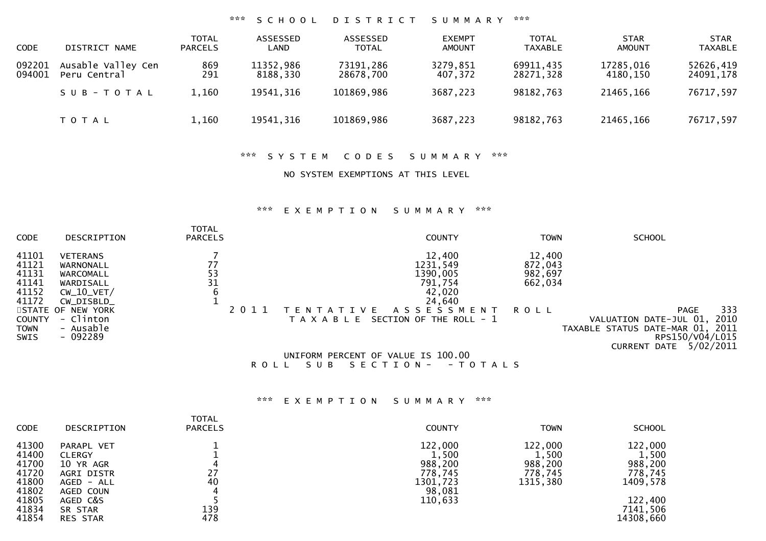### \*\*\* S C H O O L D I S T R I C T S U M M A R Y \*\*\*

| <b>CODE</b>      | DISTRICT NAME                      | <b>TOTAL</b><br><b>PARCELS</b> | ASSESSED<br>LAND      | ASSESSED<br><b>TOTAL</b> | <b>EXEMPT</b><br><b>AMOUNT</b> | <b>TOTAL</b><br><b>TAXABLE</b> | <b>STAR</b><br><b>AMOUNT</b> | <b>STAR</b><br><b>TAXABLE</b> |
|------------------|------------------------------------|--------------------------------|-----------------------|--------------------------|--------------------------------|--------------------------------|------------------------------|-------------------------------|
| 092201<br>094001 | Ausable Valley Cen<br>Peru Central | 869<br>291                     | 11352,986<br>8188,330 | 73191,286<br>28678.700   | 3279,851<br>407,372            | 69911,435<br>28271,328         | 17285,016<br>4180.150        | 52626,419<br>24091,178        |
|                  | SUB-TOTAL                          | 1,160                          | 19541,316             | 101869,986               | 3687,223                       | 98182,763                      | 21465,166                    | 76717,597                     |
|                  | <b>TOTAL</b>                       | 1,160                          | 19541, 316            | 101869,986               | 3687,223                       | 98182,763                      | 21465,166                    | 76717,597                     |

#### \*\*\* S Y S T E M C O D E S S U M M A R Y \*\*\*

#### NO SYSTEM EXEMPTIONS AT THIS LEVEL

#### \*\*\* E X E M P T I O N S U M M A R Y \*\*\*

| <b>CODE</b>                                        | DESCRIPTION                                                                         | <b>TOTAL</b><br><b>PARCELS</b>                     | <b>COUNTY</b>                                                                                                | <b>TOWN</b>                             | <b>SCHOOL</b>                                                                                                                            |
|----------------------------------------------------|-------------------------------------------------------------------------------------|----------------------------------------------------|--------------------------------------------------------------------------------------------------------------|-----------------------------------------|------------------------------------------------------------------------------------------------------------------------------------------|
| 41101<br>41121<br>41131<br>41141<br>41152<br>41172 | <b>VETERANS</b><br>WARNONALL<br>WARCOMALL<br>WARDISALL<br>$CW_10_VET/$<br>CW DISBLD | 77<br>$\begin{array}{c} 53 \\ 31 \end{array}$<br>6 | 12,400<br>1231,549<br>1390,005<br>791,754<br>42,020<br>24,640                                                | 12,400<br>872,043<br>982,697<br>662,034 |                                                                                                                                          |
| <b>COUNTY</b><br>TOWN<br><b>SWIS</b>               | STATE OF NEW YORK<br>- Clinton<br>- Ausable<br>- 092289                             | 2 0 1 1                                            | A S S E S S M E N T<br>VE.<br>SECTION OF THE ROLL - 1<br>T A X A B L E<br>UNIFORM PERCENT OF VALUE IS 100.00 | <b>ROLL</b>                             | 333<br>PAGE<br>2010<br>VALUATION DATE-JUL 01,<br>TAXABLE STATUS DATE-MAR 01, 2011<br>RPS150/V04/L015<br>5/02/2011<br><b>CURRENT DATE</b> |

R O L L S U B S E C T I O N - - T O T A L S

### \*\*\* E X E M P T I O N S U M M A R Y \*\*\*

| <b>CODE</b> | DESCRIPTION     | <b>TOTAL</b><br><b>PARCELS</b> | <b>COUNTY</b> | <b>TOWN</b> | <b>SCHOOL</b> |
|-------------|-----------------|--------------------------------|---------------|-------------|---------------|
| 41300       | PARAPL VET      |                                | 122,000       | 122,000     | 122,000       |
| 41400       | <b>CLERGY</b>   |                                | 1,500         | 1,500       | 1,500         |
| 41700       | 10 YR AGR       |                                | 988,200       | 988,200     | 988,200       |
| 41720       | AGRI DISTR      | 27                             | 778,745       | 778,745     | 778,745       |
| 41800       | AGED - ALL      | 40                             | 1301,723      | 1315,380    | 1409,578      |
| 41802       | AGED COUN       |                                | 98,081        |             |               |
| 41805       | AGED C&S        |                                | 110,633       |             | 122,400       |
| 41834       | SR STAR         | 139                            |               |             | 7141,506      |
| 41854       | <b>RES STAR</b> | 478                            |               |             | 14308,660     |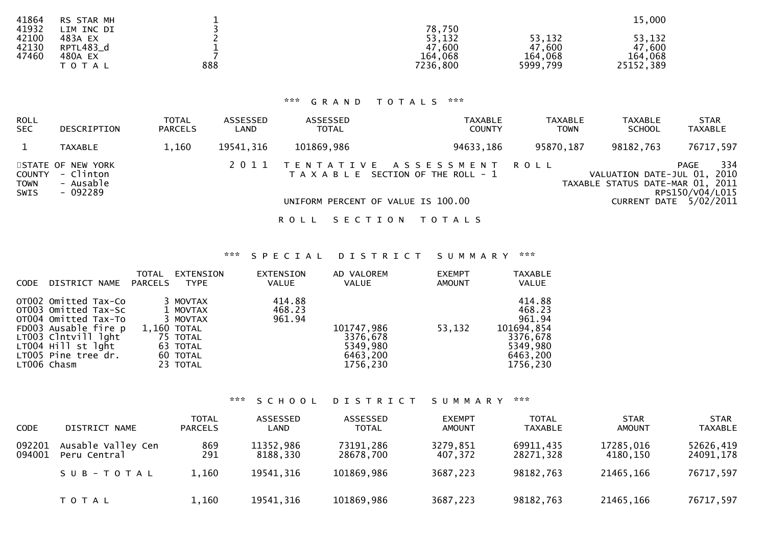|               |            |                                       | 15,000              |
|---------------|------------|---------------------------------------|---------------------|
| ∟IM<br>INC DI | 78,750     |                                       |                     |
| 483A EX       | 53,132     | 53,132                                | 53,132              |
| RPTL483_d     | ,600<br>47 | 47,600                                | 47,600              |
| 480A EX       |            |                                       | 164,068             |
| T O T A L     |            |                                       | 25152,389           |
|               | 888        | RS STAR MH<br>164<br>,068<br>7236,800 | 164,068<br>5999,799 |

### \*\*\* G R A N D T O T A L S \*\*\*

| ROLL<br><b>SEC</b>            | DESCRIPTION                                             | <b>TOTAL</b><br><b>PARCELS</b> | ASSESSED<br>LAND | ASSESSED<br><b>TOTAL</b> | TAXABLE<br><b>COUNTY</b>                                           | <b>TAXABLE</b><br><b>TOWN</b> | <b>TAXABLE</b><br><b>SCHOOL</b>                                 | <b>STAR</b><br><b>TAXABLE</b>  |
|-------------------------------|---------------------------------------------------------|--------------------------------|------------------|--------------------------|--------------------------------------------------------------------|-------------------------------|-----------------------------------------------------------------|--------------------------------|
|                               | <b>TAXABLE</b>                                          | 1,160                          | 19541,316        | 101869,986               | 94633,186                                                          | 95870,187                     | 98182,763                                                       | 76717,597                      |
| COUNTY<br><b>TOWN</b><br>SWIS | STATE OF NEW YORK<br>- Clinton<br>- Ausable<br>- 092289 |                                | 2011             |                          | TENTATIVE ASSESSMENT ROLL<br>T A X A B L E SECTION OF THE ROLL - 1 |                               | VALUATION DATE-JUL 01, 2010<br>TAXABLE STATUS DATE-MAR 01, 2011 | 334<br>PAGE<br>RPS150/V04/L015 |
|                               |                                                         |                                |                  |                          | UNIFORM PERCENT OF VALUE IS 100.00                                 |                               |                                                                 | CURRENT DATE $5/02/2011$       |

ROLL SECTION TOTALS

### \*\*\* S P E C I A L D I S T R I C T S U M M A R Y \*\*\*

| <b>CODE</b> | DISTRICT NAME                                                                                                                                                                   | <b>TOTAL</b><br>PARCELS | EXTENSION<br><b>TYPE</b>                                                                        | EXTENSION<br><b>VALUE</b>  | AD VALOREM<br>VALUE                                        | <b>EXEMPT</b><br><b>AMOUNT</b> | <b>TAXABLE</b><br><b>VALUE</b>                                                           |
|-------------|---------------------------------------------------------------------------------------------------------------------------------------------------------------------------------|-------------------------|-------------------------------------------------------------------------------------------------|----------------------------|------------------------------------------------------------|--------------------------------|------------------------------------------------------------------------------------------|
|             | OT002 Omitted Tax-Co<br>OTOO3 Omitted Tax-Sc<br>OT004 Omitted Tax-To<br>FD003 Ausable fire p<br>LT003 Clntvill lght<br>LT004 Hill st lght<br>LT005 Pine tree dr.<br>LT006 Chasm |                         | 3 MOVTAX<br>1 MOVTAX<br>3 MOVTAX<br>1,160 TOTAL<br>75 TOTAL<br>63 TOTAL<br>60 TOTAL<br>23 TOTAL | 414.88<br>468.23<br>961.94 | 101747,986<br>3376,678<br>5349,980<br>6463,200<br>1756,230 | 53,132                         | 414.88<br>468.23<br>961.94<br>101694,854<br>3376,678<br>5349,980<br>6463,200<br>1756,230 |

\*\*\* S C H O O L D I S T R I C T S U M M A R Y \*\*\*

| <b>CODE</b>      | DISTRICT NAME                      | <b>TOTAL</b><br><b>PARCELS</b> | ASSESSED<br>LAND      | ASSESSED<br><b>TOTAL</b> | <b>EXEMPT</b><br><b>AMOUNT</b> | <b>TOTAL</b><br>TAXABLE | <b>STAR</b><br><b>AMOUNT</b> | <b>STAR</b><br><b>TAXABLE</b> |
|------------------|------------------------------------|--------------------------------|-----------------------|--------------------------|--------------------------------|-------------------------|------------------------------|-------------------------------|
| 092201<br>094001 | Ausable Valley Cen<br>Peru Central | 869<br>291                     | 11352,986<br>8188,330 | 73191,286<br>28678,700   | 3279,851<br>407,372            | 69911,435<br>28271,328  | 17285,016<br>4180.150        | 52626,419<br>24091,178        |
|                  | SUB-TOTAL                          | 1,160                          | 19541,316             | 101869,986               | 3687,223                       | 98182,763               | 21465,166                    | 76717,597                     |
|                  | <b>TOTAL</b>                       | 1,160                          | 19541,316             | 101869,986               | 3687,223                       | 98182,763               | 21465,166                    | 76717,597                     |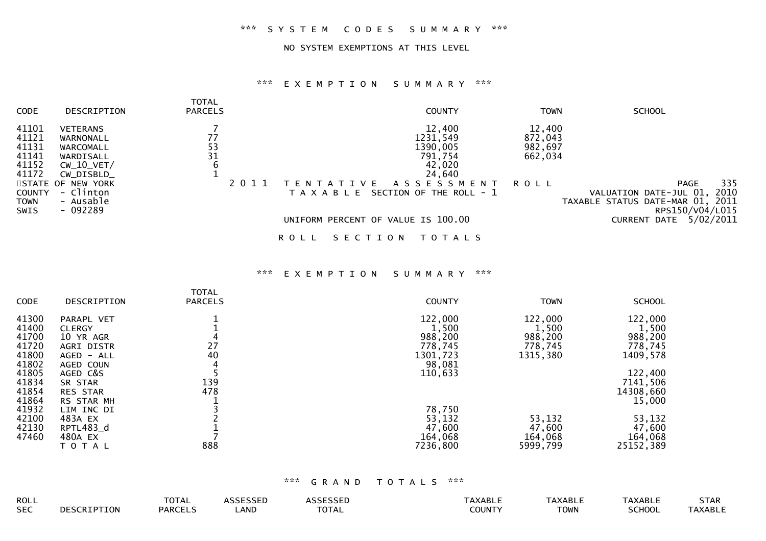### NO SYSTEM EXEMPTIONS AT THIS LEVEL

#### \*\*\* E X E M P T I O N S U M M A R Y \*\*\*

| <b>CODE</b><br>DESCRIPTION                                                                                                                                                                                                | <b>TOTAL</b><br><b>PARCELS</b> | <b>COUNTY</b>                                                                                                                                            | <b>TOWN</b>                                            | <b>SCHOOL</b>                                                                     |
|---------------------------------------------------------------------------------------------------------------------------------------------------------------------------------------------------------------------------|--------------------------------|----------------------------------------------------------------------------------------------------------------------------------------------------------|--------------------------------------------------------|-----------------------------------------------------------------------------------|
| 41101<br><b>VETERANS</b><br>41121<br>WARNONALL<br>41131<br>WARCOMALL<br>41141<br>WARDISALL<br>41152<br>$CW_10_VET/$<br>41172<br>CW_DISBLD_<br>STATE OF NEW YORK<br>- Clinton<br><b>COUNTY</b><br>- Ausable<br><b>TOWN</b> | 77<br>53<br>31<br>6<br>2011    | 12,400<br>1231,549<br>1390,005<br>791,754<br>42,020<br>24,640<br>A S S E S S M E N T<br>T V F<br><b>TFNT</b><br>SECTION OF THE ROLL - 1<br>T A X A B L E | 12,400<br>872,043<br>982,697<br>662,034<br><b>ROLL</b> | 335<br>PAGE<br>2010<br>VALUATION DATE-JUL 01,<br>TAXABLE STATUS DATE-MAR 01, 2011 |
| - 092289<br><b>SWIS</b>                                                                                                                                                                                                   |                                | UNIFORM PERCENT OF VALUE IS 100.00<br>SECTION<br>T O T A L S<br>R O L L                                                                                  |                                                        | RPS150/V04/L015<br>5/02/2011<br>CURRENT DATE                                      |

#### \*\*\* E X E M P T I O N S U M M A R Y \*\*\*

| CODE  | DESCRIPTION     | <b>TOTAL</b><br><b>PARCELS</b> | <b>COUNTY</b> | <b>TOWN</b> | <b>SCHOOL</b> |
|-------|-----------------|--------------------------------|---------------|-------------|---------------|
|       |                 |                                |               |             |               |
| 41300 | PARAPL VET      |                                | 122,000       | 122,000     | 122,000       |
| 41400 | <b>CLERGY</b>   |                                | 1,500         | 1,500       | 1,500         |
| 41700 | 10 YR AGR       |                                | 988,200       | 988,200     | 988,200       |
| 41720 | AGRI DISTR      | 27                             | 778,745       | 778,745     | 778,745       |
| 41800 | AGED - ALL      | 40                             | 1301,723      | 1315,380    | 1409,578      |
| 41802 | AGED COUN       |                                | 98,081        |             |               |
| 41805 | AGED C&S        |                                | 110,633       |             | 122,400       |
| 41834 | SR STAR         | 139                            |               |             | 7141,506      |
| 41854 | <b>RES STAR</b> | 478                            |               |             | 14308,660     |
| 41864 | RS STAR MH      |                                |               |             | 15,000        |
| 41932 | LIM INC DI      |                                | 78,750        |             |               |
| 42100 | 483A EX         |                                | 53,132        | 53,132      | 53,132        |
| 42130 | RPTL483_d       |                                | 47,600        | 47,600      | 47,600        |
| 47460 | 480A EX         |                                | 164,068       | 164,068     | 164,068       |
|       | T O T A L       | 888                            | 7236,800      | 5999,799    | 25152,389     |

| ROLL       |                    | TOTAL   | cercerr<br>SSEL | $\begin{array}{c} \n \bullet \end{array}$ | `AXABLI | <b>TAXABLL</b> | <b>TAXABLL</b> | <b>STAR</b>    |
|------------|--------------------|---------|-----------------|-------------------------------------------|---------|----------------|----------------|----------------|
| <b>SEC</b> | <b>DESCRIPTION</b> | PARCEL. | . m<br>. IND.   | <b>TOTAL</b>                              | COUNTY  | <b>TOWN</b>    | SCHOOL         | <b>TAXABLE</b> |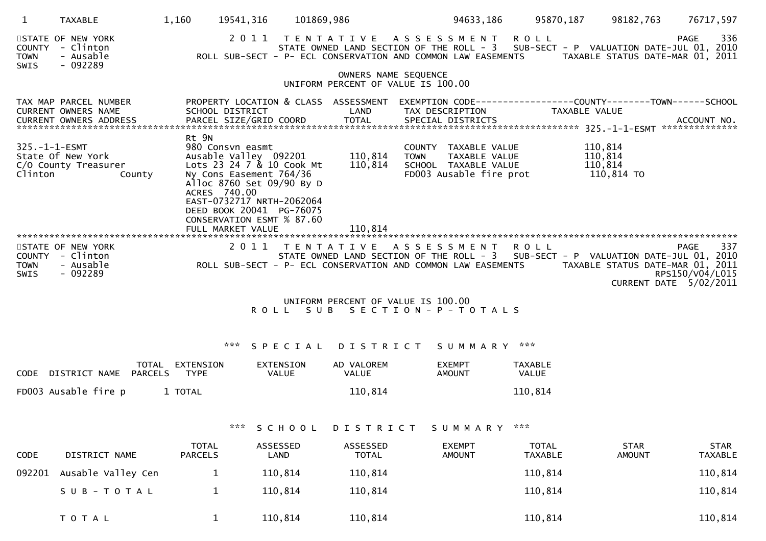|                                             | <b>TAXABLE</b>                                                                  | 1,160                 | 19541,316                                                                                                                                                                                                                    | 101869,986                         |                                    |      | 94633,186                                                                                | 95870,187                      | 98182,763                                   | 76717,597                                                                                                                                                                                                                                      |
|---------------------------------------------|---------------------------------------------------------------------------------|-----------------------|------------------------------------------------------------------------------------------------------------------------------------------------------------------------------------------------------------------------------|------------------------------------|------------------------------------|------|------------------------------------------------------------------------------------------|--------------------------------|---------------------------------------------|------------------------------------------------------------------------------------------------------------------------------------------------------------------------------------------------------------------------------------------------|
| <b>COUNTY</b><br><b>TOWN</b><br>SWIS        | STATE OF NEW YORK<br>- Clinton<br>- Ausable<br>- 092289                         |                       |                                                                                                                                                                                                                              |                                    |                                    |      |                                                                                          | 2011 TENTATIVE ASSESSMENT ROLL |                                             | 336<br>PAGE<br>STATE OWNED LAND SECTION OF THE ROLL - 3 SUB-SECT - P VALUATION DATE-JUL 01, 2010<br>ROLL SUB-SECT - P- ECL CONSERVATION AND COMMON LAW EASEMENTS TAXABLE STATUS DATE-MAR 01, 2011                                              |
|                                             |                                                                                 |                       |                                                                                                                                                                                                                              | UNIFORM PERCENT OF VALUE IS 100.00 | OWNERS NAME SEQUENCE               |      |                                                                                          |                                |                                             |                                                                                                                                                                                                                                                |
|                                             | TAX MAP PARCEL NUMBER<br><b>CURRENT OWNERS NAME</b>                             |                       | PROPERTY LOCATION & CLASS ASSESSMENT<br>SCHOOL DISTRICT                                                                                                                                                                      |                                    | LAND                               |      |                                                                                          | TAX DESCRIPTION TAXABLE VALUE  |                                             |                                                                                                                                                                                                                                                |
|                                             | 325.-1-1-ESMT<br>State Of New York<br>C/O County Treasurer<br>Clinton<br>County | Rt 9N<br>ACRES 740.00 | 980 Consvn easmt<br>Ausable Valley 092201 110,814<br>Lots 23 24 7 & 10 Cook Mt<br>Ny Cons Easement 764/36<br>Alloc 8760 Set 09/90 By D<br>EAST-0732717 NRTH-2062064<br>DEED BOOK 20041 PG-76075<br>CONSERVATION ESMT % 87.60 |                                    | 110,814                            | TOWN | COUNTY TAXABLE VALUE<br>TAXABLE VALUE<br>SCHOOL TAXABLE VALUE<br>FD003 Ausable fire prot |                                | 110,814<br>110,814<br>110,814<br>110,814 TO |                                                                                                                                                                                                                                                |
| <b>COUNTY</b><br><b>TOWN</b><br><b>SWIS</b> | STATE OF NEW YORK<br>- Clinton<br>- Ausable<br>- 092289                         |                       |                                                                                                                                                                                                                              |                                    |                                    |      | 2011 TENTATIVE ASSESSMENT ROLL                                                           |                                |                                             | 337<br>PAGE<br>STATE OWNED LAND SECTION OF THE ROLL - 3 SUB-SECT - P VALUATION DATE-JUL 01, 2010<br>ROLL SUB-SECT - P- ECL CONSERVATION AND COMMON LAW EASEMENTS TAXABLE STATUS DATE-MAR 01, 2011<br>RPS150/V04/L015<br>CURRENT DATE 5/02/2011 |
|                                             |                                                                                 |                       |                                                                                                                                                                                                                              |                                    | UNIFORM PERCENT OF VALUE IS 100.00 |      |                                                                                          |                                |                                             |                                                                                                                                                                                                                                                |

# R O L L S U B S E C T I O N - P - T O T A L S

### \*\*\* S P E C I A L D I S T R I C T S U M M A R Y \*\*\*

| CODE DISTRICT NAME   | <b>TOTAL</b><br>PARCELS | EXTENSION<br>TYPE | EXTENSION<br>VALUE | AD VALOREM<br>VALUE | <b>FXEMPT</b><br>AMOUNT | <b>TAXABLE</b><br>VALUE |
|----------------------|-------------------------|-------------------|--------------------|---------------------|-------------------------|-------------------------|
| FD003 Ausable fire p |                         | 1 TOTAL           |                    | 110.814             |                         | 110,814                 |

### \*\*\* S C H O O L D I S T R I C T S U M M A R Y \*\*\*

| <b>CODE</b> | DISTRICT NAME      | <b>TOTAL</b><br><b>PARCELS</b> | ASSESSED<br>∟AND | ASSESSED<br><b>TOTAL</b> | <b>EXEMPT</b><br><b>AMOUNT</b> | TOTAL<br><b>TAXABLE</b> | <b>STAR</b><br><b>AMOUNT</b> | <b>STAR</b><br><b>TAXABLE</b> |
|-------------|--------------------|--------------------------------|------------------|--------------------------|--------------------------------|-------------------------|------------------------------|-------------------------------|
| 092201      | Ausable Valley Cen |                                | 110,814          | 110,814                  |                                | 110,814                 |                              | 110,814                       |
|             | SUB-TOTAL          |                                | 110,814          | 110,814                  |                                | 110,814                 |                              | 110,814                       |
|             | <b>TOTAL</b>       |                                | 110,814          | 110,814                  |                                | 110,814                 |                              | 110,814                       |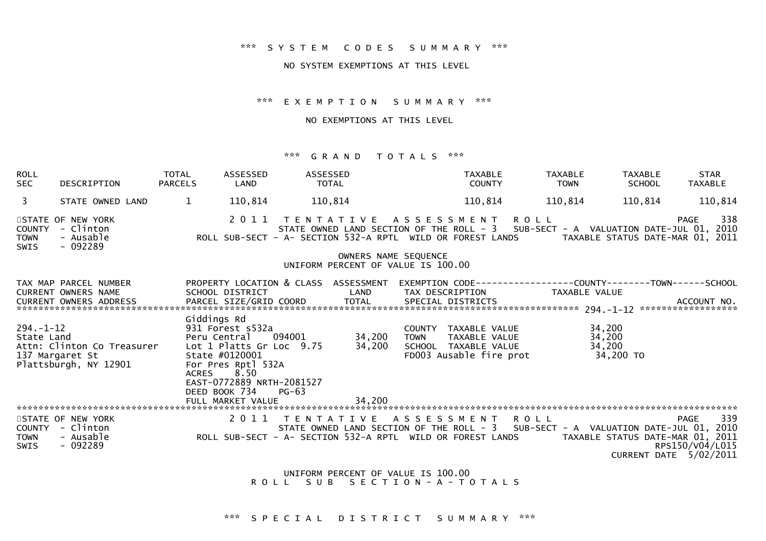#### \*\*\* S Y S T E M C O D E S S U M M A R Y \*\*\*

#### NO SYSTEM EXEMPTIONS AT THIS LEVEL

\*\*\* E X E M P T I O N S U M M A R Y \*\*\*

NO EXEMPTIONS AT THIS LEVEL

#### \*\*\* G R A N D T O T A L S \*\*\*

| <b>ROLL</b><br><b>SEC</b>                   | DESCRIPTION                                                                          | TOTAL<br><b>PARCELS</b> | ASSESSED<br>LAND                                                         | ASSESSED<br><b>TOTAL</b> |                                                                                                                                                       |             | <b>TAXABLE</b><br><b>COUNTY</b>                 | <b>TAXABLE</b> | <b>TOWN</b>         | <b>STAR</b><br><b>TAXABLE</b><br><b>SCHOOL</b><br><b>TAXABLE</b>                                                                                                                         |
|---------------------------------------------|--------------------------------------------------------------------------------------|-------------------------|--------------------------------------------------------------------------|--------------------------|-------------------------------------------------------------------------------------------------------------------------------------------------------|-------------|-------------------------------------------------|----------------|---------------------|------------------------------------------------------------------------------------------------------------------------------------------------------------------------------------------|
| 3                                           | STATE OWNED LAND                                                                     | $\mathbf{1}$            | 110,814                                                                  | 110,814                  |                                                                                                                                                       |             | 110,814                                         |                | 110,814             | 110,814<br>110,814                                                                                                                                                                       |
| <b>COUNTY</b><br><b>TOWN</b><br><b>SWIS</b> | STATE OF NEW YORK<br>- Clinton<br>- Ausable<br>$-092289$                             |                         | 2011                                                                     |                          | TENTATIVE ASSESSMENT ROLL<br>ROLL SUB-SECT - A- SECTION 532-A RPTL WILD OR FOREST LANDS<br>OWNERS NAME SEQUENCE<br>UNIFORM PERCENT OF VALUE IS 100.00 |             |                                                 |                |                     | 338<br><b>PAGE</b><br>STATE OWNED LAND SECTION OF THE ROLL - 3 SUB-SECT - A VALUATION DATE-JUL 01, 2010<br>TAXABLE STATUS DATE-MAR 01, 2011                                              |
|                                             |                                                                                      |                         |                                                                          |                          |                                                                                                                                                       |             |                                                 |                |                     |                                                                                                                                                                                          |
|                                             | TAX MAP PARCEL NUMBER<br><b>CURRENT OWNERS NAME</b><br><b>CURRENT OWNERS ADDRESS</b> |                         | SCHOOL DISTRICT<br>PARCEL SIZE/GRID COORD                                |                          | PROPERTY LOCATION & CLASS ASSESSMENT<br>LAND<br>TOTAL                                                                                                 |             | TAX DESCRIPTION<br>SPECIAL DISTRICTS            |                | TAXABLE VALUE       | EXEMPTION        CODE-----------------COUNTY-------TOWN------SCHOOL<br>ACCOUNT NO.                                                                                                       |
| $294. - 1 - 12$<br>State Land               |                                                                                      | Giddings Rd             | 931 Forest s532a<br>Peru Central                                         | 094001                   | 34,200                                                                                                                                                | <b>TOWN</b> | COUNTY TAXABLE VALUE<br>TAXABLE VALUE           |                | 34,200<br>34,200    |                                                                                                                                                                                          |
|                                             | Attn: Clinton Co Treasurer<br>137 Margaret St<br>Plattsburgh, NY 12901               | <b>ACRES</b>            | Lot 1 Platts Gr Loc 9.75<br>State #0120001<br>For Pres Rptl 532A<br>8.50 |                          | 34,200                                                                                                                                                |             | SCHOOL TAXABLE VALUE<br>FD003 Ausable fire prot |                | 34,200<br>34,200 TO |                                                                                                                                                                                          |
|                                             |                                                                                      |                         | EAST-0772889 NRTH-2081527<br>DEED BOOK 734                               | $PG-63$                  |                                                                                                                                                       |             |                                                 |                |                     |                                                                                                                                                                                          |
|                                             |                                                                                      |                         |                                                                          |                          |                                                                                                                                                       |             |                                                 |                |                     |                                                                                                                                                                                          |
| COUNTY<br><b>TOWN</b><br><b>SWIS</b>        | STATE OF NEW YORK<br>- Clinton<br>- Ausable<br>$-092289$                             |                         | 2011                                                                     | T E N T A T I V E        | ROLL SUB-SECT - A- SECTION 532-A RPTL WILD OR FOREST LANDS                                                                                            |             | A S S E S S M E N T                             | <b>ROLL</b>    |                     | 339<br><b>PAGE</b><br>STATE OWNED LAND SECTION OF THE ROLL - 3 SUB-SECT - A VALUATION DATE-JUL 01, 2010<br>TAXABLE STATUS DATE-MAR 01, 2011<br>RPS150/V04/L015<br>CURRENT DATE 5/02/2011 |

 UNIFORM PERCENT OF VALUE IS 100.00R O L L S U B S E C T I O N - A - T O T A L S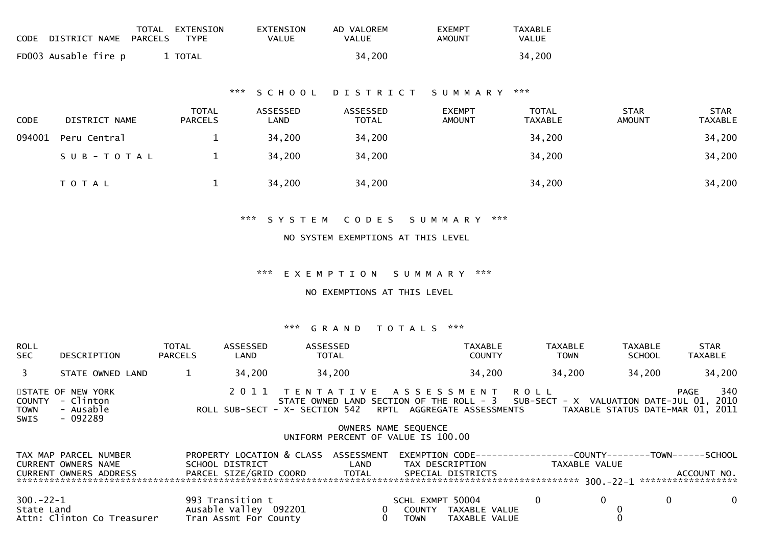|        | CODE DISTRICT NAME   | TOTAL<br><b>PARCELS</b> | EXTENSION<br>TYPE              | EXTENSION<br><b>VALUE</b> | AD VALOREM<br>VALUE | <b>EXEMPT</b><br><b>AMOUNT</b> | TAXABLE<br>VALUE        |                              |                               |
|--------|----------------------|-------------------------|--------------------------------|---------------------------|---------------------|--------------------------------|-------------------------|------------------------------|-------------------------------|
|        | FD003 Ausable fire p |                         | 1 TOTAL                        |                           | 34,200              |                                | 34,200                  |                              |                               |
|        |                      |                         |                                | *** SCHOOL                | DISTRICT SUMMARY    |                                | ***                     |                              |                               |
| CODE   | DISTRICT NAME        |                         | <b>TOTAL</b><br><b>PARCELS</b> | ASSESSED<br>LAND          | ASSESSED<br>TOTAL   | <b>EXEMPT</b><br><b>AMOUNT</b> | TOTAL<br><b>TAXABLE</b> | <b>STAR</b><br><b>AMOUNT</b> | <b>STAR</b><br><b>TAXABLE</b> |
| 094001 | Peru Central         |                         | 1                              | 34,200                    | 34,200              |                                | 34,200                  |                              | 34,200                        |
|        | SUB-TOTAL            |                         | $\mathbf{1}$                   | 34,200                    | 34,200              |                                | 34,200                  |                              | 34,200                        |
|        | T O T A L            |                         | $\mathbf{1}$                   | 34,200                    | 34,200              |                                | 34,200                  |                              | 34,200                        |
|        |                      |                         |                                |                           |                     |                                |                         |                              |                               |

\*\*\* S Y S T E M C O D E S S U M M A R Y \*\*\*

#### NO SYSTEM EXEMPTIONS AT THIS LEVEL

\*\*\* E X E M P T I O N S U M M A R Y \*\*\*

NO EXEMPTIONS AT THIS LEVEL

| ROLL<br><b>SEC</b>            | DESCRIPTION                                                                                                                                 | TOTAL<br>PARCELS | ASSESSED<br>LAND      | ASSESSED<br>TOTAL                                                                                                                                                                                                 |              |                      | TAXABLE<br><b>COUNTY</b>                                                                  | TAXABLE<br><b>TOWN</b> | TAXABLE<br><b>SCHOOL</b> |      | STAR<br><b>TAXABLE</b> |
|-------------------------------|---------------------------------------------------------------------------------------------------------------------------------------------|------------------|-----------------------|-------------------------------------------------------------------------------------------------------------------------------------------------------------------------------------------------------------------|--------------|----------------------|-------------------------------------------------------------------------------------------|------------------------|--------------------------|------|------------------------|
| $\overline{3}$                | STATE OWNED LAND                                                                                                                            | $\mathbf{1}$     | 34,200                | 34,200                                                                                                                                                                                                            |              |                      | 34,200                                                                                    | 34,200                 | 34,200                   |      | 34,200                 |
| COUNTY<br><b>TOWN</b><br>SWIS | STATE OF NEW YORK<br>- Clinton<br>- Ausable<br>- 092289                                                                                     |                  |                       | 2011 TENTATIVE ASSESSMENT ROLL<br>STATE OWNED LAND SECTION OF THE ROLL - 3 SUB-SECT - X VALUATION DATE-JUL 01, 2010<br>ROLL SUB-SECT - X- SECTION 542 RPTL AGGREGATE ASSESSMENTS TAXABLE STATUS DATE-MAR 01, 2011 |              | OWNERS NAME SEQUENCE |                                                                                           |                        |                          | PAGE | 340                    |
|                               |                                                                                                                                             |                  |                       | UNIFORM PERCENT OF VALUE IS 100.00                                                                                                                                                                                |              |                      |                                                                                           |                        |                          |      |                        |
|                               | TAX MAP PARCEL NUMBER<br>CURRENT OWNERS NAME<br>CURRENT OWNERS ADDRESS FARCEL SIZE/GRID COORD TOTAL                                         |                  |                       | PROPERTY LOCATION & CLASS ASSESSMENT<br>SCHOOL DISTRICT LAND                                                                                                                                                      |              |                      | EXEMPTION        CODE-----------------COUNTY--------TOWN------SCHOOL<br>SPECIAL DISTRICTS |                        |                          |      | ACCOUNT NO.            |
| $300 - 22 - 1$                | State Land and the state of the state of the state of the state of the state of the state of the state of the<br>Attn: Clinton Co Treasurer |                  | Tran Assmt For County | 993 Transition t<br>Ausable Valley 092201                                                                                                                                                                         | $\mathbf{0}$ | <b>TOWN</b>          | SCHL EXMPT 50004 0<br>0 COUNTY TAXABLE VALUE<br>TAXABLE VALUE                             |                        | $\overline{0}$           | 0    | $\mathbf 0$            |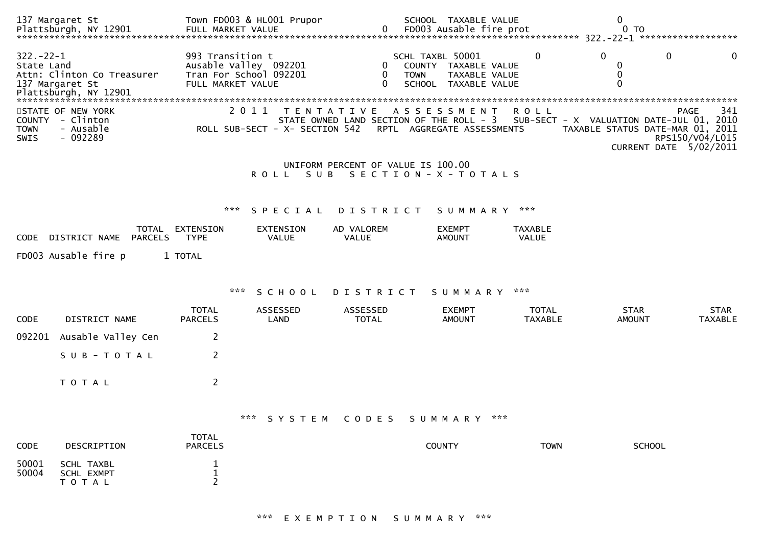|                                      | 137 Margaret St                                          |                                                                                          | Town FD003 & HL001 Prupor      |                                    | SCHOOL TAXABLE VALUE                                                                                       |                                | 0                                                                                                      |                                       |
|--------------------------------------|----------------------------------------------------------|------------------------------------------------------------------------------------------|--------------------------------|------------------------------------|------------------------------------------------------------------------------------------------------------|--------------------------------|--------------------------------------------------------------------------------------------------------|---------------------------------------|
| $322 - 22 - 1$<br>State Land         | Attn: Clinton Co Treasurer<br>137 Margaret St            | 993 Transition t<br>Ausable Valley 092201<br>Tran For School 092201<br>FULL MARKET VALUE |                                | 0<br>$\Omega$                      | SCHL TAXBL 50001<br>COUNTY TAXABLE VALUE<br>TAXABLE VALUE<br><b>TOWN</b><br><b>SCHOOL</b><br>TAXABLE VALUE | 0                              | $\Omega$<br>0<br>0<br>0<br>$\Omega$                                                                    | $\mathbf{\Omega}$                     |
| <b>COUNTY</b><br><b>TOWN</b><br>SWIS | STATE OF NEW YORK<br>- Clinton<br>- Ausable<br>$-092289$ |                                                                                          | ROLL SUB-SECT - X- SECTION 542 |                                    | 2011 TENTATIVE ASSESSMENT<br>STATE OWNED LAND SECTION OF THE ROLL - 3<br>RPTL AGGREGATE ASSESSMENTS        | R O L L                        | SUB-SECT - X VALUATION DATE-JUL 01, 2010<br>TAXABLE STATUS DATE-MAR 01, 2011<br>CURRENT DATE 5/02/2011 | <b>PAGE</b><br>341<br>RPS150/V04/L015 |
|                                      |                                                          |                                                                                          | ROLL SUB                       | UNIFORM PERCENT OF VALUE IS 100.00 | SECTION - X - TOTALS                                                                                       |                                |                                                                                                        |                                       |
|                                      |                                                          | ***                                                                                      | SPECIAL                        | <b>DISTRICT</b>                    | SUMMARY                                                                                                    | ***                            |                                                                                                        |                                       |
| <b>CODE</b>                          | TOTAL<br><b>PARCELS</b><br>DISTRICT NAME                 | EXTENSION<br><b>TYPE</b>                                                                 | <b>EXTENSION</b><br>VALUE      | AD VALOREM<br>VALUE                | <b>EXEMPT</b><br><b>AMOUNT</b>                                                                             | <b>TAXABLE</b><br>VALUE        |                                                                                                        |                                       |
|                                      | FD003 Ausable fire p                                     | 1 TOTAL                                                                                  |                                |                                    |                                                                                                            |                                |                                                                                                        |                                       |
|                                      |                                                          | ***                                                                                      | SCHOOL                         | D I S T R I C T                    | S U M M A R Y                                                                                              | ***                            |                                                                                                        |                                       |
| CODE                                 | DISTRICT NAME                                            | <b>TOTAL</b><br><b>PARCELS</b>                                                           | ASSESSED<br>LAND               | ASSESSED<br><b>TOTAL</b>           | <b>EXEMPT</b><br><b>AMOUNT</b>                                                                             | <b>TOTAL</b><br><b>TAXABLE</b> | <b>STAR</b><br><b>AMOUNT</b>                                                                           | <b>STAR</b><br><b>TAXABLE</b>         |
| 092201                               | Ausable Valley Cen                                       | 2                                                                                        |                                |                                    |                                                                                                            |                                |                                                                                                        |                                       |
|                                      | SUB-TOTAL                                                | 2                                                                                        |                                |                                    |                                                                                                            |                                |                                                                                                        |                                       |
|                                      | TOTAL                                                    | 2                                                                                        |                                |                                    |                                                                                                            |                                |                                                                                                        |                                       |
|                                      |                                                          |                                                                                          |                                |                                    | *** SYSTEM CODES SUMMARY ***                                                                               |                                |                                                                                                        |                                       |
| CODE                                 | DESCRIPTION                                              | <b>TOTAL</b><br><b>PARCELS</b>                                                           |                                |                                    | COUNTY                                                                                                     | <b>TOWN</b>                    | <b>SCHOOL</b>                                                                                          |                                       |
| 50001<br>50004                       | SCHL TAXBL<br>SCHL EXMPT<br>T O T A L                    | 1<br>1<br>2                                                                              |                                |                                    |                                                                                                            |                                |                                                                                                        |                                       |

# \*\*\* E X E M P T I O N S U M M A R Y \*\*\*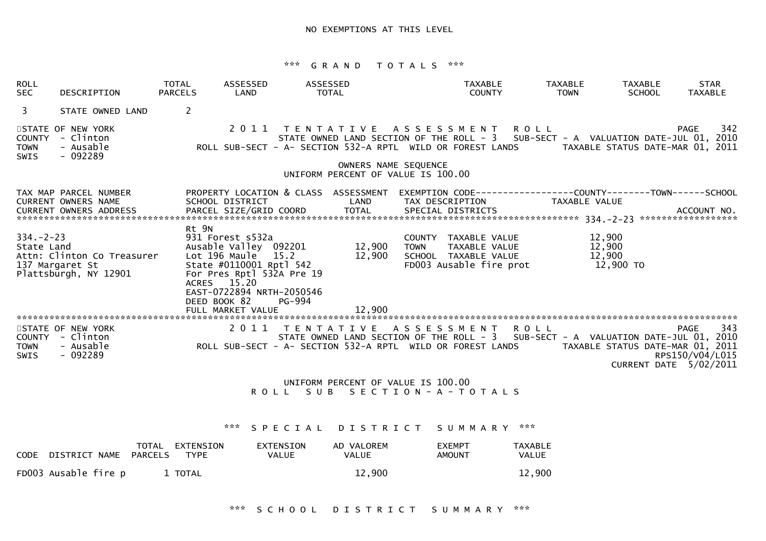| <b>ROLL</b><br><b>SEC</b>                   | DESCRIPTION                                                                          | TOTAL<br><b>PARCELS</b> | ASSESSED<br>LAND                                                                                                                                                                                    | ASSESSED<br>TOTAL                                                                            |                                                            |                     | <b>TAXABLE</b><br><b>COUNTY</b>                                                          |         | <b>TAXABLE</b><br><b>TOWN</b> | <b>TAXABLE</b><br><b>SCHOOL</b>         | <b>STAR</b><br><b>TAXABLE</b>                                                                                                                                                                                                                                                                                                                              |
|---------------------------------------------|--------------------------------------------------------------------------------------|-------------------------|-----------------------------------------------------------------------------------------------------------------------------------------------------------------------------------------------------|----------------------------------------------------------------------------------------------|------------------------------------------------------------|---------------------|------------------------------------------------------------------------------------------|---------|-------------------------------|-----------------------------------------|------------------------------------------------------------------------------------------------------------------------------------------------------------------------------------------------------------------------------------------------------------------------------------------------------------------------------------------------------------|
| $\mathbf{3}$                                | STATE OWNED LAND                                                                     | $\overline{2}$          |                                                                                                                                                                                                     |                                                                                              |                                                            |                     |                                                                                          |         |                               |                                         |                                                                                                                                                                                                                                                                                                                                                            |
| <b>COUNTY</b><br><b>TOWN</b><br><b>SWIS</b> | STATE OF NEW YORK<br>- Clinton<br>- Ausable<br>- 092289                              |                         |                                                                                                                                                                                                     | 2011 TENTATIVE ASSESSMENT ROLL<br>ROLL SUB-SECT - A- SECTION 532-A RPTL WILD OR FOREST LANDS |                                                            |                     |                                                                                          |         |                               |                                         | 342<br><b>PAGE</b><br>STATE OWNED LAND SECTION OF THE ROLL - 3 SUB-SECT - A VALUATION DATE-JUL 01, 2010<br>TAXABLE STATUS DATE-MAR 01, 2011                                                                                                                                                                                                                |
|                                             |                                                                                      |                         |                                                                                                                                                                                                     |                                                                                              | OWNERS NAME SEQUENCE<br>UNIFORM PERCENT OF VALUE IS 100.00 |                     |                                                                                          |         |                               |                                         |                                                                                                                                                                                                                                                                                                                                                            |
|                                             | TAX MAP PARCEL NUMBER<br><b>CURRENT OWNERS NAME</b><br><b>CURRENT OWNERS ADDRESS</b> |                         | SCHOOL DISTRICT<br>PARCEL SIZE/GRID COORD                                                                                                                                                           | PROPERTY LOCATION & CLASS ASSESSMENT                                                         | LAND<br><b>TOTAL</b>                                       |                     | TAX DESCRIPTION<br>SPECIAL DISTRICTS                                                     |         | TAXABLE VALUE                 |                                         | EXEMPTION        CODE-----------------COUNTY--------TOWN------SCHOOL<br>ACCOUNT NO.                                                                                                                                                                                                                                                                        |
| $334. - 2 - 23$<br>State Land               | Attn: Clinton Co Treasurer<br>137 Margaret St<br>Plattsburgh, NY 12901               | Rt 9N                   | 931 Forest s532a<br>Ausable Valley 092201<br>Lot 196 Maule<br>State #0110001 Rptl 542<br>For Pres Rptl 532A Pre 19<br>ACRES 15.20<br>EAST-0722894 NRTH-2050546<br>DEED BOOK 82<br>FULL MARKET VALUE | 15.2<br>PG-994                                                                               | 12,900<br>12,900<br>12,900                                 | <b>TOWN</b>         | COUNTY TAXABLE VALUE<br>TAXABLE VALUE<br>SCHOOL TAXABLE VALUE<br>FD003 Ausable fire prot |         |                               | 12,900<br>12,900<br>12,900<br>12,900 TO |                                                                                                                                                                                                                                                                                                                                                            |
| <b>TOWN</b><br><b>SWIS</b>                  | STATE OF NEW YORK<br>COUNTY - Clinton<br>- Ausable<br>$-092289$                      |                         | 2 0 1 1                                                                                                                                                                                             | T E N T A T I V E                                                                            |                                                            | A S S E S S M E N T |                                                                                          | R O L L |                               |                                         | 343<br><b>PAGE</b><br>STATE OWNED LAND SECTION OF THE ROLL - 3 SUB-SECT - A VALUATION DATE-JUL 01, 2010<br>STATE OWNED LAND SECTION OF THE ROLL - 3   SUB-SECT - A VALUATION DATE-JUL 01, 2010<br>ROLL SUB-SECT - A- SECTION 532-A RPTL  WILD OR FOREST LANDS                TAXABLE STATUS DATE-MAR 01, 2011<br>RPS150/V04/L015<br>CURRENT DATE 5/02/2011 |

 UNIFORM PERCENT OF VALUE IS 100.00R O L L S U B S E C T I O N - A - T O T A L S

\*\*\* S P E C I A L D I S T R I C T S U M M A R Y \*\*\*

| CODE DISTRICT NAME   | PARCELS | TOTAL EXTENSION<br>TYPE | EXTENSION<br>VALUE | AD VALOREM<br>VALUE | <b>FXFMPT</b><br>AMOUNT | <b>TAXABLE</b><br>VALUE |
|----------------------|---------|-------------------------|--------------------|---------------------|-------------------------|-------------------------|
| FD003 Ausable fire p |         | 1 TOTAL                 |                    | 12,900              |                         | 12,900                  |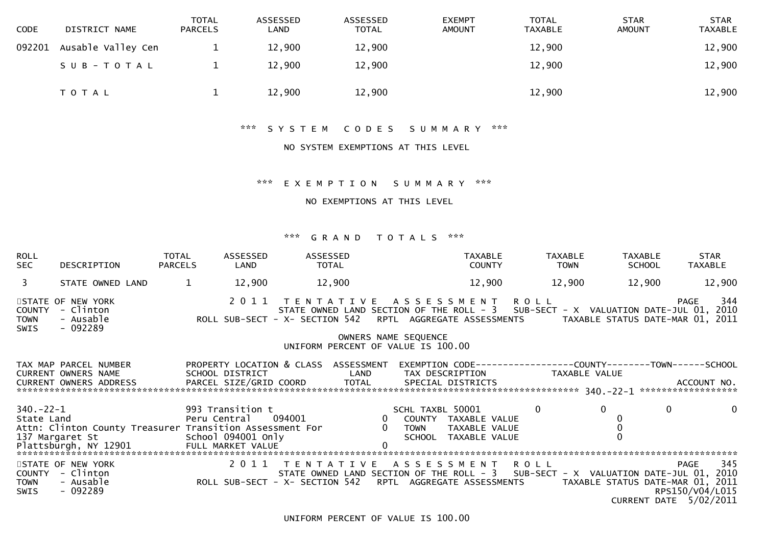| <b>CODE</b> | DISTRICT NAME      | <b>TOTAL</b><br><b>PARCELS</b> | ASSESSED<br>LAND | ASSESSED<br><b>TOTAL</b> | <b>EXEMPT</b><br><b>AMOUNT</b> | TOTAL<br><b>TAXABLE</b> | <b>STAR</b><br><b>AMOUNT</b> | <b>STAR</b><br><b>TAXABLE</b> |
|-------------|--------------------|--------------------------------|------------------|--------------------------|--------------------------------|-------------------------|------------------------------|-------------------------------|
| 092201      | Ausable Valley Cen |                                | 12,900           | 12,900                   |                                | 12,900                  |                              | 12,900                        |
|             | SUB-TOTAL          |                                | 12,900           | 12,900                   |                                | 12,900                  |                              | 12,900                        |
|             | T O T A L          |                                | 12,900           | 12,900                   |                                | 12,900                  |                              | 12,900                        |

# \*\*\* S Y S T E M C O D E S S U M M A R Y \*\*\*

### NO SYSTEM EXEMPTIONS AT THIS LEVEL

# \*\*\* E X E M P T I O N S U M M A R Y \*\*\*

#### NO EXEMPTIONS AT THIS LEVEL

| <b>ROLL</b><br>SEC            | DESCRIPTION                                                    | TOTAL<br><b>PARCELS</b> | ASSESSED<br>LAND | ASSESSED<br>TOTAL                                                                                                                                                                                                                                                                                       |                      | <b>TAXABLE</b><br><b>COUNTY</b>          |                | TAXABLE<br><b>TOWN</b> | TAXABLE<br>SCHOOL | STAR<br>TAXABLE                                                                                     |
|-------------------------------|----------------------------------------------------------------|-------------------------|------------------|---------------------------------------------------------------------------------------------------------------------------------------------------------------------------------------------------------------------------------------------------------------------------------------------------------|----------------------|------------------------------------------|----------------|------------------------|-------------------|-----------------------------------------------------------------------------------------------------|
| $\overline{3}$                | STATE OWNED LAND                                               | $\mathbf{1}$            | 12,900           | 12,900                                                                                                                                                                                                                                                                                                  |                      | 12,900                                   |                | 12,900                 | 12,900            | 12,900                                                                                              |
| <b>COUNTY</b><br>TOWN<br>SWIS | STATE OF NEW YORK<br>- Clinton<br>- Ausable<br>- 092289        |                         |                  | 2011 TENTATIVE ASSESSMENT ROLL<br>STATE OWNED LAND SECTION OF THE ROLL - 3 SUB-SECT - X VALUATION DATE-JUL 01, 2010<br>ROLL SUB-SECT - X- SECTION 542 RPTL AGGREGATE ASSESSMENTS TAXABLE STATUS DATE-MAR 01, 2011                                                                                       |                      |                                          |                |                        |                   | 344<br>PAGE                                                                                         |
|                               |                                                                |                         |                  | UNIFORM PERCENT OF VALUE IS 100.00                                                                                                                                                                                                                                                                      | OWNERS NAME SEQUENCE |                                          |                |                        |                   |                                                                                                     |
|                               | TAX MAP PARCEL NUMBER<br>CURRENT OWNERS NAME SCHOOL DISTRICT   |                         |                  | PROPERTY LOCATION & CLASS ASSESSMENT<br><b>Example 12</b>                                                                                                                                                                                                                                               |                      | TAX DESCRIPTION TAXABLE VALUE            |                |                        |                   | EXEMPTION CODE-----------------COUNTY-------TOWN------SCHOOL                                        |
|                               | School 094001 Only<br>137 Margaret St                          |                         |                  |                                                                                                                                                                                                                                                                                                         |                      | SCHL TAXBL 50001<br>SCHOOL TAXABLE VALUE | $\overline{0}$ |                        | $\mathbf 0$       | $\mathbf{0}$<br>$\overline{0}$                                                                      |
| TOWN<br>SWIS                  | STATE OF NEW YORK<br>COUNTY - Clinton<br>- Ausable<br>- 092289 |                         |                  | 2011 TENTATIVE ASSESSMENT ROLL<br>2 0 1 1   T E N T A T I V E   A S S E S S M E N T   R O L L<br>STATE OWNED LAND SECTION OF THE ROLL - 3   SUB-SEC<br>ROLL SUB-SECT - X- SECTION 542   RPTL AGGREGATE ASSESSMENTS<br>STATE OWNED LAND SECTION OF THE ROLL - 3 SUB-SECT - X VALUATION DATE-JUL 01, 2010 |                      |                                          |                |                        |                   | 345<br><b>PAGE</b><br>TAXABLE STATUS DATE-MAR 01, 2011<br>RPS150/V04/L015<br>CURRENT DATE 5/02/2011 |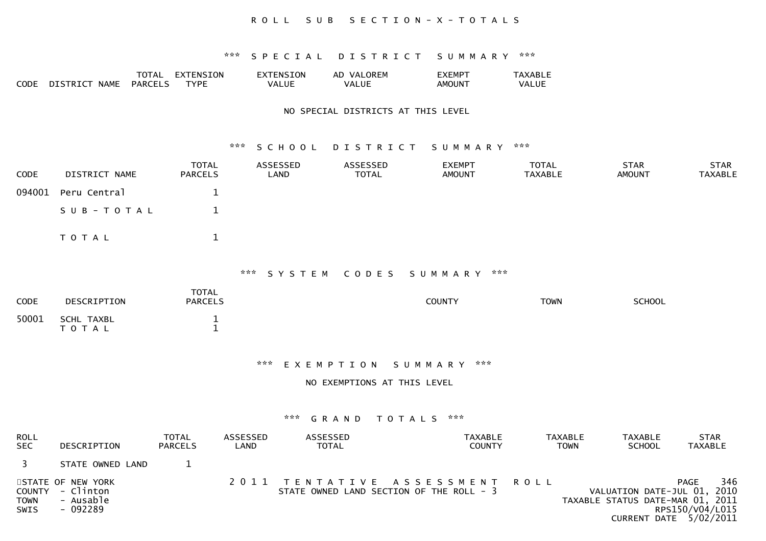### R O L L S U B S E C T I O N - X - T O T A L S

#### \*\*\* S P E C I A L D I S T R I C T S U M M A R Y \*\*\*

|      |                 | TOTAL          | <b>ENSION</b><br>$FX^T$ | <b>ENSION</b> | OREM<br>VAL<br>AD | EXEMPT             | TAXABLE |
|------|-----------------|----------------|-------------------------|---------------|-------------------|--------------------|---------|
| CODE | $\Gamma$ דראדרט | <b>PARCELS</b> | TVPF                    | VALUE         | <b>VALUE</b>      | AMOUN <sup>-</sup> | VALUE   |
|      | <b>NAME</b>     |                |                         |               |                   |                    |         |

#### NO SPECIAL DISTRICTS AT THIS LEVEL

#### \*\*\* S C H O O L D I S T R I C T S U M M A R Y \*\*\*

| <b>CODE</b> | DISTRICT NAME       | <b>TOTAL</b><br><b>PARCELS</b> | ASSESSED<br>LAND | ASSESSED<br>TOTAL | <b>EXEMPT</b><br><b>AMOUNT</b> | TOTAL<br>TAXABLE | <b>STAR</b><br>AMOUNT | <b>STAR</b><br>TAXABLE |
|-------------|---------------------|--------------------------------|------------------|-------------------|--------------------------------|------------------|-----------------------|------------------------|
|             | 094001 Peru Central |                                |                  |                   |                                |                  |                       |                        |
|             | SUB-TOTAL           |                                |                  |                   |                                |                  |                       |                        |
|             | T O T A L           |                                |                  |                   |                                |                  |                       |                        |

### \*\*\* S Y S T E M C O D E S S U M M A R Y \*\*\*

| <b>CODE</b> | DESCRIPTION                | TOTAL<br><b>PARCELS</b> | <b>COUNTY</b> | <b>TOWN</b> | <b>SCHOOL</b> |
|-------------|----------------------------|-------------------------|---------------|-------------|---------------|
| 50001       | SCHL TAXBL<br><b>TOTAL</b> |                         |               |             |               |

\*\*\* E X E M P T I O N S U M M A R Y \*\*\*

#### NO EXEMPTIONS AT THIS LEVEL

| <b>ROLL</b><br><b>SEC</b>  | DESCRIPTION                                                    | TOTAL<br><b>PARCELS</b> | ASSESSED<br>LAND | <b>ASSESSED</b><br><b>TOTAL</b> | TAXABLE<br><b>COUNTY</b>                                                   | <b>TAXABLE</b><br><b>TOWN</b> | <b>TAXABLE</b><br><b>SCHOOL</b>                                 | <b>STAR</b><br><b>TAXABLE</b>                                   |
|----------------------------|----------------------------------------------------------------|-------------------------|------------------|---------------------------------|----------------------------------------------------------------------------|-------------------------------|-----------------------------------------------------------------|-----------------------------------------------------------------|
|                            | STATE OWNED LAND                                               |                         |                  |                                 |                                                                            |                               |                                                                 |                                                                 |
| <b>TOWN</b><br><b>SWIS</b> | STATE OF NEW YORK<br>COUNTY - Clinton<br>- Ausable<br>- 092289 |                         |                  |                                 | 2011 TENTATIVE ASSESSMENT ROLL<br>STATE OWNED LAND SECTION OF THE ROLL - 3 |                               | VALUATION DATE-JUL 01, 2010<br>TAXABLE STATUS DATE-MAR 01, 2011 | 346<br><b>PAGE</b><br>RPS150/V04/L015<br>CURRENT DATE 5/02/2011 |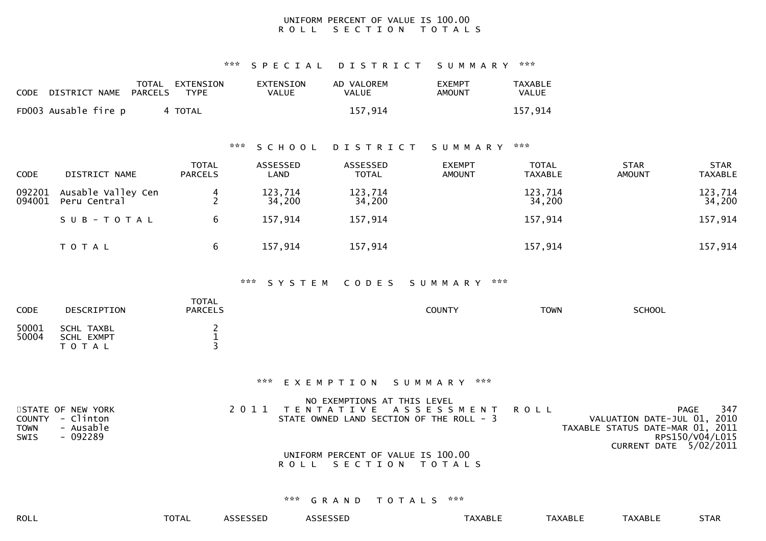#### UNIFORM PERCENT OF VALUE IS 100.00R O L L S E C T I O N T O T A L S

\*\*\* S P E C I A L D I S T R I C T S U M M A R Y \*\*\*

| CODE DISTRICT NAME   | TOTAL<br>PARCELS | EXTENSION<br>TYPE | EXTENSION<br>VALUE | AD VALOREM<br><b>VALUE</b> | EXEMPT<br>AMOUNT | <b>TAXABLE</b><br>VALUE |
|----------------------|------------------|-------------------|--------------------|----------------------------|------------------|-------------------------|
| FD003 Ausable fire p |                  | 4 TOTAL           |                    | 157.914                    |                  | 157,914                 |

#### \*\*\* S C H O O L D I S T R I C T S U M M A R Y \*\*\*

| <b>CODE</b>      | DISTRICT NAME                      | <b>TOTAL</b><br><b>PARCELS</b> | ASSESSED<br>LAND  | ASSESSED<br><b>TOTAL</b> | <b>EXEMPT</b><br><b>AMOUNT</b> | <b>TOTAL</b><br>TAXABLE | <b>STAR</b><br><b>AMOUNT</b> | <b>STAR</b><br><b>TAXABLE</b> |
|------------------|------------------------------------|--------------------------------|-------------------|--------------------------|--------------------------------|-------------------------|------------------------------|-------------------------------|
| 092201<br>094001 | Ausable Valley Cen<br>Peru Central |                                | 123,714<br>34,200 | 123,714<br>34,200        |                                | 123,714<br>34,200       |                              | 123,714<br>34,200             |
|                  | SUB-TOTAL                          | 6                              | 157,914           | 157,914                  |                                | 157,914                 |                              | 157,914                       |
|                  | T O T A L                          | 6                              | 157,914           | 157,914                  |                                | 157,914                 |                              | 157,914                       |

#### \*\*\* S Y S T E M C O D E S S U M M A R Y \*\*\*

| <b>CODE</b>    | DESCRIPTION                                  | <b>TOTAL</b><br><b>PARCELS</b> | <b>COUNTY</b> | <b>TOWN</b> | <b>SCHOOL</b> |  |
|----------------|----------------------------------------------|--------------------------------|---------------|-------------|---------------|--|
| 50001<br>50004 | SCHL TAXBL<br><b>SCHL EXMPT</b><br>T O T A L |                                |               |             |               |  |

#### \*\*\* E X E M P T I O N S U M M A R Y \*\*\*

|                          | NO EXEMPTIONS AT THIS LEVEL              |                                  |                        |     |
|--------------------------|------------------------------------------|----------------------------------|------------------------|-----|
| STATE OF NEW YORK        | 2011 TENTATIVE ASSESSMENT ROLL           |                                  | PAGE                   | 347 |
| COUNTY - Clinton         | STATE OWNED LAND SECTION OF THE ROLL - 3 | VALUATION DATE-JUL 01, 2010      |                        |     |
| <b>TOWN</b><br>- Ausable |                                          | TAXABLE STATUS DATE-MAR 01, 2011 |                        |     |
| SWIS<br>- 092289         |                                          |                                  | RPS150/V04/L015        |     |
|                          |                                          |                                  | CURRENT DATE 5/02/2011 |     |
|                          | UNIFORM PERCENT OF VALUE IS 100.00       |                                  |                        |     |

# R O L L S E C T I O N T O T A L S

| ROLL | -^-<br><b>OIAL</b> | ccccccc<br>.LSSED | $\sim$ $\sim$ $\sim$ $\sim$ $\sim$<br>SSED<br>.JJF - | XABLI | TAXABLE | <b>AXABLE</b> | $T_{\rm TAD}$<br><b>JIAN</b> |
|------|--------------------|-------------------|------------------------------------------------------|-------|---------|---------------|------------------------------|
|      |                    |                   |                                                      |       |         |               |                              |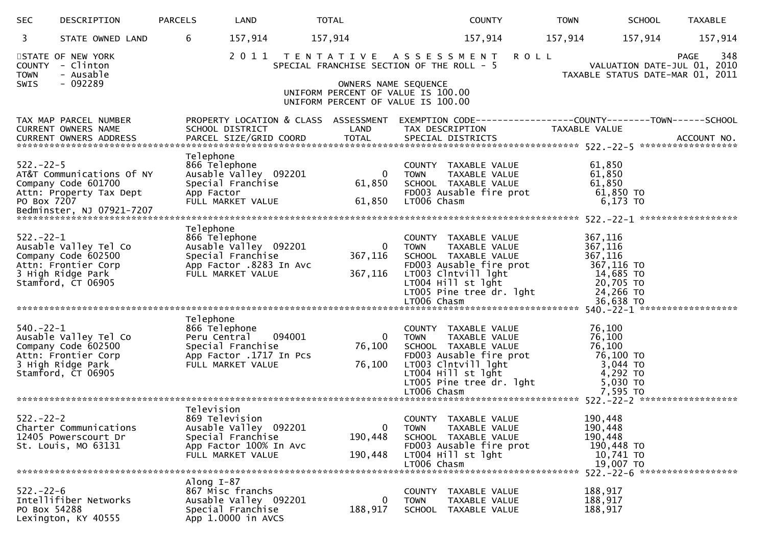| <b>SEC</b>                     | DESCRIPTION                                                                                                    | <b>PARCELS</b>          | LAND                                                                                                         | <b>TOTAL</b>                                                                                                                                  |                            | <b>COUNTY</b>                                                                                                                                                                    | <b>TOWN</b> | <b>SCHOOL</b>                                                                                   | <b>TAXABLE</b>                                                                        |
|--------------------------------|----------------------------------------------------------------------------------------------------------------|-------------------------|--------------------------------------------------------------------------------------------------------------|-----------------------------------------------------------------------------------------------------------------------------------------------|----------------------------|----------------------------------------------------------------------------------------------------------------------------------------------------------------------------------|-------------|-------------------------------------------------------------------------------------------------|---------------------------------------------------------------------------------------|
| 3                              | STATE OWNED LAND                                                                                               | 6                       | 157,914                                                                                                      | 157,914                                                                                                                                       |                            | 157,914                                                                                                                                                                          |             | 157,914<br>157,914                                                                              | 157,914                                                                               |
| <b>TOWN</b><br><b>SWIS</b>     | STATE OF NEW YORK<br>COUNTY - Clinton<br>- Ausable<br>$-092289$                                                |                         | 2011 TENTATIVE ASSESSMENT                                                                                    | SPECIAL FRANCHISE SECTION OF THE ROLL - 5<br>OWNERS NAME SEQUENCE<br>UNIFORM PERCENT OF VALUE IS 100.00<br>UNIFORM PERCENT OF VALUE IS 100.00 |                            |                                                                                                                                                                                  | <b>ROLL</b> |                                                                                                 | 348<br><b>PAGE</b><br>VALUATION DATE-JUL 01, 2010<br>TAXABLE STATUS DATE-MAR 01, 2011 |
|                                | TAX MAP PARCEL NUMBER<br>CURRENT OWNERS NAME<br>CURRENT OWNERS ADDRESS                                         |                         | PROPERTY LOCATION & CLASS ASSESSMENT<br>SCHOOL DISTRICT<br>PARCEL SIZE/GRID COORD                            | LAND<br><b>TOTAL</b>                                                                                                                          |                            | TAX DESCRIPTION<br>SPECIAL DISTRICTS                                                                                                                                             |             | TAXABLE VALUE                                                                                   | ACCOUNT NO.                                                                           |
| $522 - 22 - 5$<br>PO Box 7207  | AT&T Communications Of NY<br>Company Code 601700<br>Attn: Property Tax Dept                                    | Telephone<br>App Factor | 866 Telephone<br>Ausable Valley 092201<br>Special Franchise<br>FULL MARKET VALUE                             | $\overline{0}$<br>61,850<br>61,850                                                                                                            | <b>TOWN</b><br>LT006 Chasm | COUNTY TAXABLE VALUE<br>TAXABLE VALUE<br>SCHOOL TAXABLE VALUE<br>FD003 Ausable fire prot                                                                                         |             | 61,850<br>61,850<br>61,850<br>61,850 TO<br>6,173 TO                                             |                                                                                       |
| $522 - 22 - 1$                 | Ausable Valley Tel Co<br>Company Code 602500<br>Attn: Frontier Corp<br>3 High Ridge Park<br>Stamford, CT 06905 | Telephone               | 866 Telephone<br>Ausable Valley 092201<br>Special Franchise<br>App Factor .8283 In Avc<br>FULL MARKET VALUE  | $\overline{0}$<br>367,116<br>367,116                                                                                                          | <b>TOWN</b><br>LT006 Chasm | COUNTY TAXABLE VALUE<br>TAXABLE VALUE<br>SCHOOL TAXABLE VALUE<br>FD003 Ausable fire prot<br>LT003 Clntvill lght<br>LT004 Hill st lght<br>LT005 Pine tree dr. lght                |             | 367,116<br>367,116<br>367,116<br>367,116 TO<br>14,685 TO<br>20,705 TO<br>24,266 TO<br>36,638 TO |                                                                                       |
| $540. -22 - 1$                 | Ausable Valley Tel Co<br>Company Code 602500<br>Attn: Frontier Corp<br>3 High Ridge Park<br>Stamford, CT 06905 | Telephone               | 866 Telephone<br>Peru Central<br>094001<br>Special Franchise<br>App Factor .1717 In Pcs<br>FULL MARKET VALUE | $\bf{0}$<br>76,100<br>76,100                                                                                                                  | <b>TOWN</b><br>LT006 Chasm | COUNTY TAXABLE VALUE<br>TAXABLE VALUE<br>SCHOOL TAXABLE VALUE<br>FD003 Ausable fire prot<br>LT003 Clntvill lght<br>LT004 Hill st lght<br>LTOO5 Pine tree dr. lght<br>∟⊤OO6 Chasm |             | 76,100<br>76,100<br>76,100<br>76,100 TO<br>3,044 TO<br>4,292 TO<br>$5,030$ TO<br>7,595 TO       |                                                                                       |
| $522 - 22 - 2$                 | Charter Communications<br>12405 Powerscourt Dr<br>St. Louis, MO 63131                                          | Television              | 869 Television<br>Ausable Valley 092201<br>Special Franchise<br>App Factor 100% In Avc<br>FULL MARKET VALUE  | $\mathbf 0$<br>190,448<br>190,448                                                                                                             | TOWN<br>LT006 Chasm        | COUNTY TAXABLE VALUE<br>TAXABLE VALUE<br>SCHOOL TAXABLE VALUE<br>FD003 Ausable fire prot<br>LT004 Hill st lght                                                                   |             | 190,448<br>190,448<br>190,448<br>190,448 TO<br>10,741 TO<br>19,007 TO                           |                                                                                       |
| $522 - 22 - 6$<br>PO Box 54288 | Intellifiber Networks<br>Lexington, KY 40555                                                                   | Along $I-87$            | 867 Misc franchs<br>Ausable Valley 092201<br>Special Franchise<br>App 1.0000 in AVCS                         | 0<br>188,917                                                                                                                                  | <b>TOWN</b>                | COUNTY TAXABLE VALUE<br>TAXABLE VALUE<br>SCHOOL TAXABLE VALUE                                                                                                                    |             | 188,917<br>188,917<br>188,917                                                                   |                                                                                       |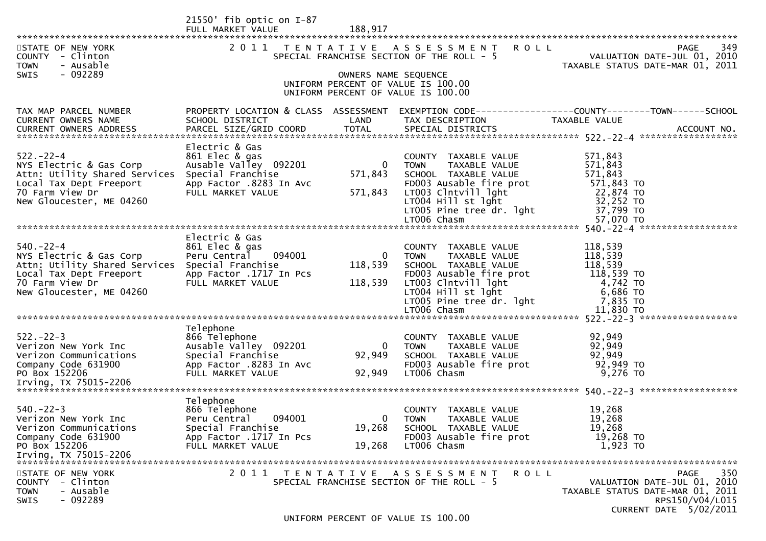|                                                                   | $21550'$ fib optic on I-87<br>FULL MARKET VALUE | 188,917              |                                                                             |                                                                                       |
|-------------------------------------------------------------------|-------------------------------------------------|----------------------|-----------------------------------------------------------------------------|---------------------------------------------------------------------------------------|
| STATE OF NEW YORK<br>COUNTY - Clinton<br><b>TOWN</b><br>- Ausable |                                                 |                      | 2011 TENTATIVE ASSESSMENT ROLL<br>SPECIAL FRANCHISE SECTION OF THE ROLL - 5 | 349<br><b>PAGE</b><br>VALUATION DATE-JUL 01, 2010<br>TAXABLE STATUS DATE-MAR 01, 2011 |
| - 092289<br><b>SWIS</b>                                           |                                                 | OWNERS NAME SEQUENCE | UNIFORM PERCENT OF VALUE IS 100.00                                          |                                                                                       |
|                                                                   |                                                 |                      | UNIFORM PERCENT OF VALUE IS 100.00                                          |                                                                                       |
| TAX MAP PARCEL NUMBER                                             | PROPERTY LOCATION & CLASS ASSESSMENT            |                      |                                                                             | EXEMPTION CODE-----------------COUNTY--------TOWN------SCHOOL                         |
| CURRENT OWNERS NAME                                               | SCHOOL DISTRICT                                 | LAND                 | TAX DESCRIPTION                                                             | TAXABLE VALUE                                                                         |
| $522 - 22 - 4$                                                    | Electric & Gas                                  |                      |                                                                             |                                                                                       |
| NYS Electric & Gas Corp                                           | 861 Elec & gas<br>Ausable Valley 092201         | $\bf{0}$             | COUNTY TAXABLE VALUE<br>TAXABLE VALUE<br><b>TOWN</b>                        | 571,843<br>571,843                                                                    |
| Attn: Utility Shared Services<br>Local Tax Dept Freeport          | Special Franchise<br>App Factor .8283 In Avc    | 571,843              | SCHOOL TAXABLE VALUE<br>FD003 Ausable fire prot                             | 571,843<br>571,843 TO                                                                 |
| 70 Farm View Dr                                                   | FULL MARKET VALUE                               | 571,843              | LT003 Clntvill lght                                                         | 22,874 TO                                                                             |
| New Gloucester, ME 04260                                          |                                                 |                      | LT004 Hill st lght                                                          | 32,252 TO                                                                             |
|                                                                   |                                                 |                      | LT005 Pine tree dr. 1ght<br>LT006 Chasm                                     | 37,799 TO<br>57,070 TO                                                                |
|                                                                   |                                                 |                      |                                                                             |                                                                                       |
| $540. -22 - 4$                                                    | Electric & Gas<br>861 Elec & gas                |                      | COUNTY TAXABLE VALUE                                                        | 118,539                                                                               |
| NYS Electric & Gas Corp                                           | 094001<br>Peru Central                          | $\overline{0}$       | TAXABLE VALUE<br><b>TOWN</b>                                                | 118,539                                                                               |
| Attn: Utility Shared Services<br>Local Tax Dept Freeport          | Special Franchise<br>App Factor .1717 In Pcs    | 118,539              | SCHOOL TAXABLE VALUE<br>FD003 Ausable fire prot                             | 118,539<br>118,539 TO                                                                 |
| 70 Farm View Dr                                                   | FULL MARKET VALUE                               | 118,539              | LT003 Clntvill lght                                                         | 4,742 TO                                                                              |
| New Gloucester, ME 04260                                          |                                                 |                      | $LT004$ Hill st lght                                                        | 6,686 TO                                                                              |
|                                                                   |                                                 |                      | LT005 Pine tree dr. lght<br>LT006 Chasm                                     | 7,835 TO<br>11,830 TO                                                                 |
|                                                                   |                                                 |                      |                                                                             |                                                                                       |
| $522 - 22 - 3$                                                    | Telephone<br>866 Telephone                      |                      | COUNTY TAXABLE VALUE                                                        | 92,949                                                                                |
| Verizon New York Inc                                              | Ausable Valley 092201                           | 0                    | TAXABLE VALUE<br><b>TOWN</b>                                                | 92,949                                                                                |
| Verizon Communications                                            | Special Franchise                               | 92,949               | SCHOOL TAXABLE VALUE                                                        | 92,949                                                                                |
| Company Code 631900<br>PO Box 152206                              | App Factor .8283 In Avc<br>FULL MARKET VALUE    | 92,949               | FD003 Ausable fire prot<br>LT006 Chasm                                      | 92,949 TO<br>9,276 TO                                                                 |
|                                                                   |                                                 |                      |                                                                             |                                                                                       |
|                                                                   | Telephone                                       |                      |                                                                             |                                                                                       |
| $540. -22 - 3$                                                    | 866 Telephone                                   |                      | <b>COUNTY</b><br>TAXABLE VALUE                                              | 19,268                                                                                |
| Verizon New York Inc                                              | 094001<br>Peru Central                          | $\mathbf{0}$         | <b>TOWN</b><br>TAXABLE VALUE                                                | 19,268                                                                                |
| Verizon Communications<br>Company Code 631900                     | Special Franchise<br>App Factor .1717 In Pcs    | 19,268               | SCHOOL TAXABLE VALUE<br>FD003 Ausable fire prot                             | 19,268<br>19,268 TO                                                                   |
| PO Box 152206                                                     | FULL MARKET VALUE                               | 19,268               | LT006 Chasm                                                                 | 1,923 TO                                                                              |
| Irving, TX 75015-2206                                             |                                                 |                      |                                                                             |                                                                                       |
| STATE OF NEW YORK                                                 |                                                 |                      | 2011 TENTATIVE ASSESSMENT<br>ROLL                                           | 350<br><b>PAGE</b>                                                                    |
| - Clinton<br><b>COUNTY</b>                                        |                                                 |                      | SPECIAL FRANCHISE SECTION OF THE ROLL - 5                                   | VALUATION DATE-JUL 01, 2010                                                           |
| <b>TOWN</b><br>- Ausable<br>$-092289$<br><b>SWIS</b>              |                                                 |                      |                                                                             | TAXABLE STATUS DATE-MAR 01, 2011<br>RPS150/V04/L015                                   |
|                                                                   |                                                 |                      |                                                                             | <b>CURRENT DATE 5/02/2011</b>                                                         |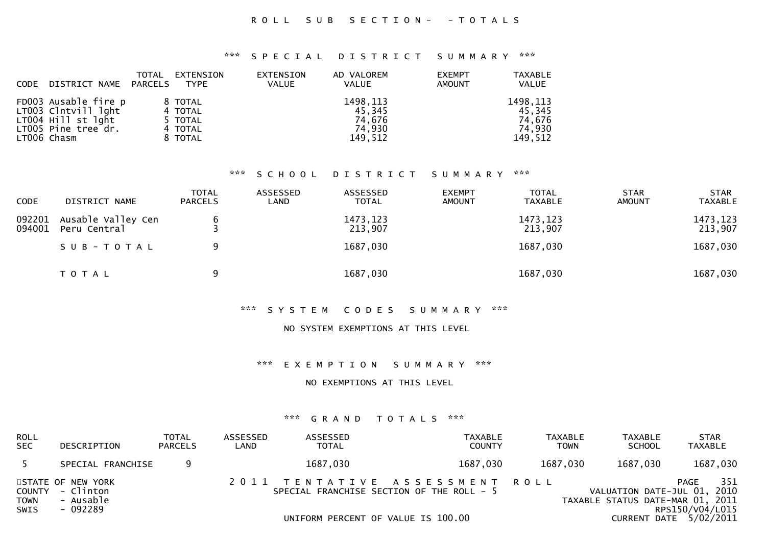### R O L L S U B S E C T I O N - - T O T A L S

#### \*\*\* S P E C I A L D I S T R I C T S U M M A R Y \*\*\*

| <b>CODE</b> | DISTRICT NAME                                                                                           | <b>TOTAL</b><br>PARCELS | EXTENSION<br><b>TYPE</b>                            | <b>EXTENSION</b><br><b>VALUE</b> | AD VALOREM<br><b>VALUE</b>                         | <b>EXEMPT</b><br><b>AMOUNT</b> | <b>TAXABLE</b><br><b>VALUE</b>                     |
|-------------|---------------------------------------------------------------------------------------------------------|-------------------------|-----------------------------------------------------|----------------------------------|----------------------------------------------------|--------------------------------|----------------------------------------------------|
|             | FD003 Ausable fire p<br>LT003 Clntvill lght<br>LT004 Hill st lght<br>LT005 Pine tree dr.<br>LT006 Chasm |                         | 8 TOTAL<br>4 TOTAL<br>5 TOTAL<br>4 TOTAL<br>8 TOTAL |                                  | 1498, 113<br>45,345<br>74.676<br>74,930<br>149,512 |                                | 1498, 113<br>45,345<br>74.676<br>74.930<br>149,512 |

#### \*\*\* S C H O O L D I S T R I C T S U M M A R Y \*\*\*

| <b>CODE</b>      | DISTRICT NAME                      | <b>TOTAL</b><br><b>PARCELS</b> | ASSESSED<br>LAND | ASSESSED<br><b>TOTAL</b> | <b>EXEMPT</b><br><b>AMOUNT</b> | <b>TOTAL</b><br><b>TAXABLE</b> | <b>STAR</b><br><b>AMOUNT</b> | <b>STAR</b><br><b>TAXABLE</b> |
|------------------|------------------------------------|--------------------------------|------------------|--------------------------|--------------------------------|--------------------------------|------------------------------|-------------------------------|
| 092201<br>094001 | Ausable Valley Cen<br>Peru Central |                                |                  | 1473, 123<br>213,907     |                                | 1473, 123<br>213,907           |                              | 1473,123<br>213,907           |
|                  | SUB-TOTAL                          | 9                              |                  | 1687,030                 |                                | 1687,030                       |                              | 1687,030                      |
|                  | <b>TOTAL</b>                       | 9                              |                  | 1687,030                 |                                | 1687,030                       |                              | 1687,030                      |

### \*\*\* S Y S T E M C O D E S S U M M A R Y \*\*\*

#### NO SYSTEM EXEMPTIONS AT THIS LEVEL

#### \*\*\* E X E M P T I O N S U M M A R Y \*\*\*

#### NO EXEMPTIONS AT THIS LEVEL

| <b>ROLL</b><br><b>SEC</b> | DESCRIPTION                                                    | <b>TOTAL</b><br><b>PARCELS</b> | ASSESSED<br>LAND | ASSESSED<br><b>TOTAL</b>                                                                                          | TAXABLE<br><b>COUNTY</b> | <b>TAXABLE</b><br><b>TOWN</b> | TAXABLE<br><b>SCHOOL</b> | <b>STAR</b><br><b>TAXABLE</b>                                                                                                 |
|---------------------------|----------------------------------------------------------------|--------------------------------|------------------|-------------------------------------------------------------------------------------------------------------------|--------------------------|-------------------------------|--------------------------|-------------------------------------------------------------------------------------------------------------------------------|
|                           | SPECIAL FRANCHISE                                              | 9                              |                  | 1687,030                                                                                                          | 1687,030                 | 1687,030                      | 1687,030                 | 1687,030                                                                                                                      |
| <b>TOWN</b><br>SWIS       | STATE OF NEW YORK<br>COUNTY - Clinton<br>- Ausable<br>- 092289 |                                |                  | 2011 TENTATIVE ASSESSMENT ROLL<br>SPECIAL FRANCHISE SECTION OF THE ROLL - 5<br>UNIFORM PERCENT OF VALUE IS 100.00 |                          |                               |                          | 351<br>PAGE<br>VALUATION DATE-JUL 01, 2010<br>TAXABLE STATUS DATE-MAR 01, 2011<br>RPS150/V04/L015<br>CURRENT DATE $5/02/2011$ |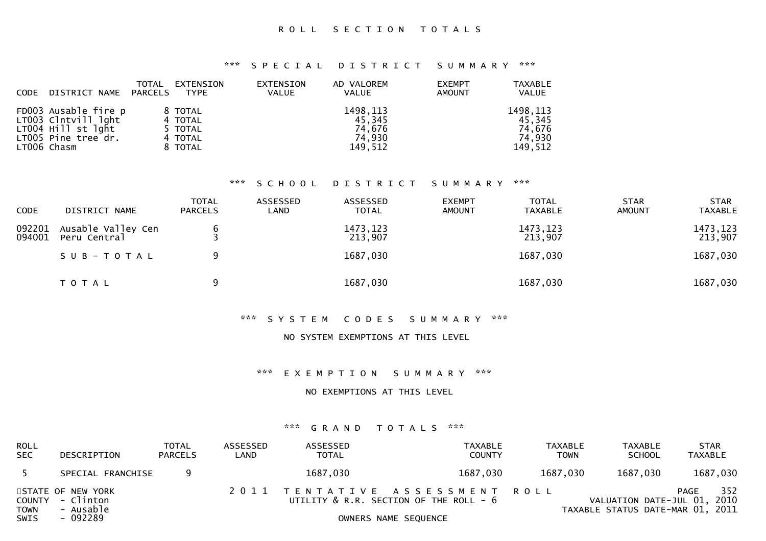\*\*\* S P E C I A L D I S T R I C T S U M M A R Y \*\*\*

| <b>CODE</b> | DISTRICT NAME                                                                                           | TOTAL<br>PARCELS | EXTENSION<br><b>TYPE</b>                            | <b>EXTENSION</b><br><b>VALUE</b> | AD VALOREM<br><b>VALUE</b>                         | <b>EXEMPT</b><br><b>AMOUNT</b> | <b>TAXABLE</b><br>VALUE                            |
|-------------|---------------------------------------------------------------------------------------------------------|------------------|-----------------------------------------------------|----------------------------------|----------------------------------------------------|--------------------------------|----------------------------------------------------|
|             | FD003 Ausable fire p<br>LT003 Clntvill lght<br>LT004 Hill st lght<br>LT005 Pine tree dr.<br>LTOO6 Chasm |                  | 8 TOTAL<br>4 TOTAL<br>5 TOTAL<br>4 TOTAL<br>8 TOTAL |                                  | 1498, 113<br>45.345<br>74,676<br>74,930<br>149.512 |                                | 1498, 113<br>45,345<br>74.676<br>74,930<br>149,512 |

#### \*\*\* S C H O O L D I S T R I C T S U M M A R Y \*\*\*

| CODE             | DISTRICT NAME                      | <b>TOTAL</b><br><b>PARCELS</b> | ASSESSED<br>LAND | ASSESSED<br><b>TOTAL</b> | <b>EXEMPT</b><br><b>AMOUNT</b> | <b>TOTAL</b><br><b>TAXABLE</b> | <b>STAR</b><br><b>AMOUNT</b> | <b>STAR</b><br><b>TAXABLE</b> |
|------------------|------------------------------------|--------------------------------|------------------|--------------------------|--------------------------------|--------------------------------|------------------------------|-------------------------------|
| 092201<br>094001 | Ausable Valley Cen<br>Peru Central |                                |                  | 1473, 123<br>213,907     |                                | 1473, 123<br>213,907           |                              | 1473, 123<br>213,907          |
|                  | SUB-TOTAL                          | 9                              |                  | 1687,030                 |                                | 1687,030                       |                              | 1687,030                      |
|                  | T O T A L                          | 9                              |                  | 1687,030                 |                                | 1687,030                       |                              | 1687,030                      |

### \*\*\* S Y S T E M C O D E S S U M M A R Y \*\*\*

### NO SYSTEM EXEMPTIONS AT THIS LEVEL

\*\*\* E X E M P T I O N S U M M A R Y \*\*\*

#### NO EXEMPTIONS AT THIS LEVEL

| <b>ROLL</b><br><b>SEC</b> | DESCRIPTION                                        | TOTAL<br><b>PARCELS</b> | ASSESSED<br>LAND | ASSESSED<br><b>TOTAL</b> | TAXABLE<br><b>COUNTY</b>                                                 | <b>TAXABLE</b><br><b>TOWN</b> | TAXABLE<br><b>SCHOOL</b>                                        | <b>STAR</b><br><b>TAXABLE</b> |
|---------------------------|----------------------------------------------------|-------------------------|------------------|--------------------------|--------------------------------------------------------------------------|-------------------------------|-----------------------------------------------------------------|-------------------------------|
|                           | SPECIAL FRANCHISE                                  |                         |                  | 1687,030                 | 1687,030                                                                 | 1687,030                      | 1687,030                                                        | 1687,030                      |
| <b>TOWN</b>               | STATE OF NEW YORK<br>COUNTY - Clinton<br>- Ausable |                         |                  |                          | 2011 TENTATIVE ASSESSMENT ROLL<br>UTILITY & R.R. SECTION OF THE ROLL - 6 |                               | VALUATION DATE-JUL 01, 2010<br>TAXABLE STATUS DATE-MAR 01, 2011 | 352<br>PAGE                   |
| SWIS                      | - 092289                                           |                         |                  |                          | OWNERS NAME SEQUENCE                                                     |                               |                                                                 |                               |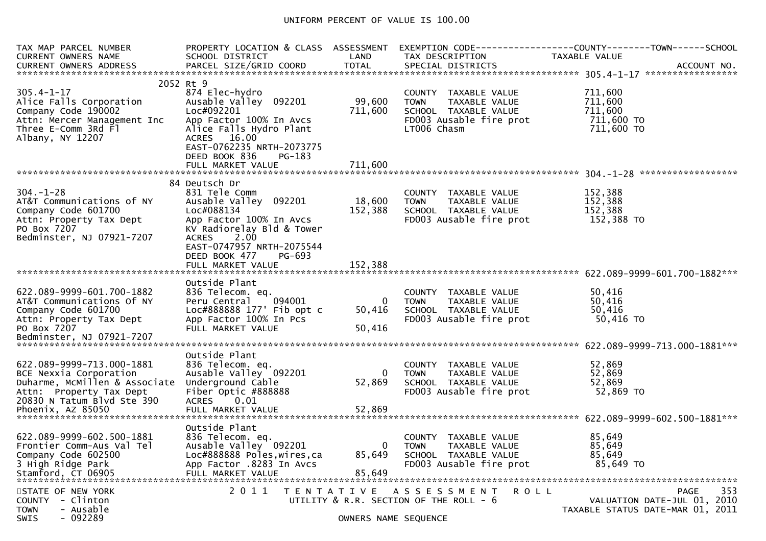# UNIFORM PERCENT OF VALUE IS 100.00

| TAX MAP PARCEL NUMBER<br><b>CURRENT OWNERS NAME</b>                                                                                                                | PROPERTY LOCATION & CLASS ASSESSMENT<br>SCHOOL DISTRICT                                                                                                                                                                            | LAND                               | TAX DESCRIPTION                                                                                                        | EXEMPTION CODE-----------------COUNTY-------TOWN------SCHOOL<br>TAXABLE VALUE  |
|--------------------------------------------------------------------------------------------------------------------------------------------------------------------|------------------------------------------------------------------------------------------------------------------------------------------------------------------------------------------------------------------------------------|------------------------------------|------------------------------------------------------------------------------------------------------------------------|--------------------------------------------------------------------------------|
| $305.4 - 1 - 17$<br>Alice Falls Corporation<br>Company Code 190002<br>Attn: Mercer Management Inc<br>Three E-Comm 3Rd Fl<br>Albany, NY 12207                       | 2052 Rt 9<br>874 Elec-hydro<br>Ausable Valley 092201<br>Loc#092201<br>App Factor 100% In Avcs<br>Alice Falls Hydro Plant<br>ACRES 16.00<br>EAST-0762235 NRTH-2073775<br>DEED BOOK 836<br>PG-183<br>FULL MARKET VALUE               | 99,600<br>711,600<br>711,600       | COUNTY TAXABLE VALUE<br><b>TOWN</b><br>TAXABLE VALUE<br>SCHOOL TAXABLE VALUE<br>FD003 Ausable fire prot<br>LT006 Chasm | 711,600<br>711,600<br>711,600<br>711,600 TO<br>711,600 TO                      |
| $304. - 1 - 28$<br>AT&T Communications of NY<br>Company Code 601700<br>Attn: Property Tax Dept<br>PO Box 7207<br>Bedminster, NJ 07921-7207                         | 84 Deutsch Dr<br>831 Tele Comm<br>Ausable Valley 092201<br>Loc#088134<br>App Factor 100% In Avcs<br>KV Radiorelay Bld & Tower<br>2.00<br><b>ACRES</b><br>EAST-0747957 NRTH-2075544<br>DEED BOOK 477<br>PG-693<br>FULL MARKET VALUE | 18,600<br>152,388<br>152,388       | COUNTY TAXABLE VALUE<br><b>TOWN</b><br>TAXABLE VALUE<br>SCHOOL TAXABLE VALUE<br>FD003 Ausable fire prot                | 152,388<br>152,388<br>152,388<br>152,388 TO                                    |
| 622.089-9999-601.700-1882<br>AT&T Communications Of NY<br>Company Code 601700<br>Attn: Property Tax Dept<br>PO Box 7207                                            | Outside Plant<br>836 Telecom. eq.<br>094001<br>Peru Central<br>Loc#888888 177' Fib opt c<br>App Factor 100% In Pcs<br>FULL MARKET VALUE                                                                                            | 0<br>50,416<br>50,416              | COUNTY TAXABLE VALUE<br>TAXABLE VALUE<br><b>TOWN</b><br>SCHOOL TAXABLE VALUE<br>FD003 Ausable fire prot                | 50,416<br>50,416<br>50,416<br>50,416 TO                                        |
| 622.089-9999-713.000-1881<br>BCE Nexxia Corporation<br>Duharme, MCMillen & Associate<br>Attn: Property Tax Dept<br>20830 N Tatum Blvd Ste 390<br>Phoenix, AZ 85050 | Outside Plant<br>836 Telecom. eq.<br>Ausable Valley 092201<br>Underground Cable<br>Fiber Optic #888888<br>ACRES 0.01<br>FULL MARKET VALUE                                                                                          | $\overline{0}$<br>52,869<br>52,869 | COUNTY TAXABLE VALUE<br>TAXABLE VALUE<br><b>TOWN</b><br>SCHOOL TAXABLE VALUE<br>FD003 Ausable fire prot                | 52,869<br>52,869<br>52,869<br>52,869 TO                                        |
| 622.089-9999-602.500-1881<br>Frontier Comm-Aus Val Tel<br>Company Code 602500<br>3 High Ridge Park<br>Stamford, CT 06905                                           | Outside Plant<br>836 Telecom. eq.<br>Ausable Valley 092201<br>Loc#888888 Poles, wires, ca<br>App Factor .8283 In Avcs<br>FULL MARKET VALUE                                                                                         | $\mathbf{0}$<br>85,649<br>85,649   | COUNTY TAXABLE VALUE<br><b>TOWN</b><br>TAXABLE VALUE<br>SCHOOL TAXABLE VALUE<br>FD003 Ausable fire prot                | 85,649<br>85,649<br>85,649<br>85,649 TO                                        |
| STATE OF NEW YORK<br>- Clinton<br><b>COUNTY</b><br>- Ausable<br><b>TOWN</b><br>$-092289$<br><b>SWIS</b>                                                            | 2011<br>T E N T A T I V E                                                                                                                                                                                                          | OWNERS NAME SEQUENCE               | ROLL<br>A S S E S S M E N T<br>UTILITY & R.R. SECTION OF THE ROLL - 6                                                  | 353<br>PAGE<br>VALUATION DATE-JUL 01, 2010<br>TAXABLE STATUS DATE-MAR 01, 2011 |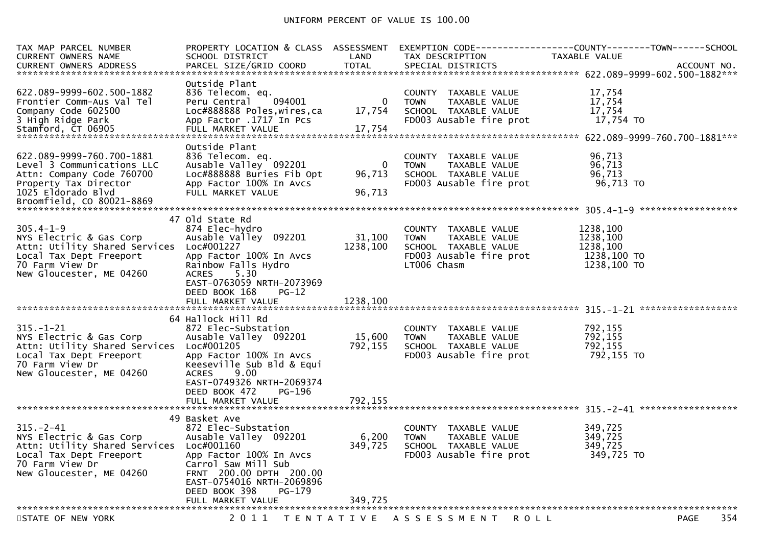| Outside Plant<br>622.089-9999-602.500-1882<br>17,754<br>836 Telecom. eq.<br>COUNTY TAXABLE VALUE<br>094001<br>17,754<br>$\mathbf{0}$<br>Frontier Comm-Aus Val Tel<br>Peru Central<br><b>TOWN</b><br>TAXABLE VALUE<br>Loc#888888 Poles, wires, ca<br>17,754<br>Company Code 602500<br>17,754<br>SCHOOL TAXABLE VALUE<br>FD003 Ausable fire prot<br>17,754 TO<br>3 High Ridge Park<br>App Factor .1717 In Pcs<br>Outside Plant<br>622.089-9999-760.700-1881<br>836 Telecom. eq.<br>96,713<br>COUNTY TAXABLE VALUE<br>Ausable Valley 092201<br>Level 3 Communications LLC<br>TAXABLE VALUE<br>96,713<br>0<br><b>TOWN</b><br>Loc#888888 Buries Fib Opt<br>96,713<br>96,713<br>Attn: Company Code 760700<br>SCHOOL TAXABLE VALUE<br>FD003 Ausable fire prot<br>96,713 TO<br>Property Tax Director<br>App Factor 100% In Avcs<br>1025 Eldorado Blvd<br>FULL MARKET VALUE<br>96,713<br>47 Old State Rd<br>$305.4 - 1 - 9$<br>1238,100<br>874 Elec-hydro<br>COUNTY TAXABLE VALUE<br>Ausable Valley 092201<br>31,100<br>1238,100<br>NYS Electric & Gas Corp<br><b>TOWN</b><br>TAXABLE VALUE<br>1238,100<br>Attn: Utility Shared Services Loc#001227<br>1238,100<br>SCHOOL TAXABLE VALUE<br>FD003 Ausable fire prot<br>1238,100 TO<br>Local Tax Dept Freeport<br>App Factor 100% In Avcs<br>70 Farm View Dr<br>Rainbow Falls Hydro<br>LT006 Chasm<br>1238,100 TO<br>New Gloucester, ME 04260<br>ACRES 5.30<br>EAST-0763059 NRTH-2073969<br>DEED BOOK 168<br>$PG-12$<br>64 Hallock Hill Rd<br>792,155<br>$315. - 1 - 21$<br>872 Elec-Substation<br>COUNTY TAXABLE VALUE<br>792,155<br>Ausable Valley 092201<br>15,600<br>NYS Electric & Gas Corp<br><b>TOWN</b><br>TAXABLE VALUE<br>792,155<br>792,155<br>Attn: Utility Shared Services Loc#001205<br>SCHOOL TAXABLE VALUE<br>Local Tax Dept Freeport<br>FD003 Ausable fire prot<br>792,155 TO<br>App Factor 100% In Avcs<br>70 Farm View Dr<br>Keeseville Sub Bld & Equi<br>9.00<br>New Gloucester, ME 04260<br><b>ACRES</b><br>EAST-0749326 NRTH-2069374<br>DEED BOOK 472<br>PG-196<br>49 Basket Ave<br>$315. - 2 - 41$<br>349,725<br>872 Elec-Substation<br>COUNTY TAXABLE VALUE<br>NYS Electric & Gas Corp<br>Ausable Valley 092201<br>6,200<br>349,725<br><b>TAXABLE VALUE</b><br><b>TOWN</b><br>349,725<br>Attn: Utility Shared Services Loc#001160<br>SCHOOL TAXABLE VALUE<br>349,725<br>FD003 Ausable fire prot<br>349,725 TO<br>App Factor 100% In Avcs<br>Local Tax Dept Freeport<br>70 Farm View Dr<br>Carrol Saw Mill Sub<br>New Gloucester, ME 04260<br>FRNT 200.00 DPTH 200.00<br>EAST-0754016 NRTH-2069896<br>DEED BOOK 398<br>PG-179<br>349,725<br>FULL MARKET VALUE<br>2011<br>354<br>STATE OF NEW YORK<br>TENTATIVE ASSESSMENT<br><b>PAGE</b><br>R O L L | TAX MAP PARCEL NUMBER<br>CURRENT OWNERS NAME | SCHOOL DISTRICT | LAND | TAX DESCRIPTION | PROPERTY LOCATION & CLASS ASSESSMENT EXEMPTION CODE----------------COUNTY-------TOWN------SCHOOL<br>TAXABLE VALUE |
|-----------------------------------------------------------------------------------------------------------------------------------------------------------------------------------------------------------------------------------------------------------------------------------------------------------------------------------------------------------------------------------------------------------------------------------------------------------------------------------------------------------------------------------------------------------------------------------------------------------------------------------------------------------------------------------------------------------------------------------------------------------------------------------------------------------------------------------------------------------------------------------------------------------------------------------------------------------------------------------------------------------------------------------------------------------------------------------------------------------------------------------------------------------------------------------------------------------------------------------------------------------------------------------------------------------------------------------------------------------------------------------------------------------------------------------------------------------------------------------------------------------------------------------------------------------------------------------------------------------------------------------------------------------------------------------------------------------------------------------------------------------------------------------------------------------------------------------------------------------------------------------------------------------------------------------------------------------------------------------------------------------------------------------------------------------------------------------------------------------------------------------------------------------------------------------------------------------------------------------------------------------------------------------------------------------------------------------------------------------------------------------------------------------------------------------------------------------------------------------------------------------------------------------------------------------------------------------------------------------------------------------------------------------------------------------------------------------------|----------------------------------------------|-----------------|------|-----------------|-------------------------------------------------------------------------------------------------------------------|
|                                                                                                                                                                                                                                                                                                                                                                                                                                                                                                                                                                                                                                                                                                                                                                                                                                                                                                                                                                                                                                                                                                                                                                                                                                                                                                                                                                                                                                                                                                                                                                                                                                                                                                                                                                                                                                                                                                                                                                                                                                                                                                                                                                                                                                                                                                                                                                                                                                                                                                                                                                                                                                                                                                                 |                                              |                 |      |                 |                                                                                                                   |
|                                                                                                                                                                                                                                                                                                                                                                                                                                                                                                                                                                                                                                                                                                                                                                                                                                                                                                                                                                                                                                                                                                                                                                                                                                                                                                                                                                                                                                                                                                                                                                                                                                                                                                                                                                                                                                                                                                                                                                                                                                                                                                                                                                                                                                                                                                                                                                                                                                                                                                                                                                                                                                                                                                                 |                                              |                 |      |                 |                                                                                                                   |
|                                                                                                                                                                                                                                                                                                                                                                                                                                                                                                                                                                                                                                                                                                                                                                                                                                                                                                                                                                                                                                                                                                                                                                                                                                                                                                                                                                                                                                                                                                                                                                                                                                                                                                                                                                                                                                                                                                                                                                                                                                                                                                                                                                                                                                                                                                                                                                                                                                                                                                                                                                                                                                                                                                                 |                                              |                 |      |                 |                                                                                                                   |
|                                                                                                                                                                                                                                                                                                                                                                                                                                                                                                                                                                                                                                                                                                                                                                                                                                                                                                                                                                                                                                                                                                                                                                                                                                                                                                                                                                                                                                                                                                                                                                                                                                                                                                                                                                                                                                                                                                                                                                                                                                                                                                                                                                                                                                                                                                                                                                                                                                                                                                                                                                                                                                                                                                                 |                                              |                 |      |                 |                                                                                                                   |
|                                                                                                                                                                                                                                                                                                                                                                                                                                                                                                                                                                                                                                                                                                                                                                                                                                                                                                                                                                                                                                                                                                                                                                                                                                                                                                                                                                                                                                                                                                                                                                                                                                                                                                                                                                                                                                                                                                                                                                                                                                                                                                                                                                                                                                                                                                                                                                                                                                                                                                                                                                                                                                                                                                                 |                                              |                 |      |                 |                                                                                                                   |
|                                                                                                                                                                                                                                                                                                                                                                                                                                                                                                                                                                                                                                                                                                                                                                                                                                                                                                                                                                                                                                                                                                                                                                                                                                                                                                                                                                                                                                                                                                                                                                                                                                                                                                                                                                                                                                                                                                                                                                                                                                                                                                                                                                                                                                                                                                                                                                                                                                                                                                                                                                                                                                                                                                                 |                                              |                 |      |                 |                                                                                                                   |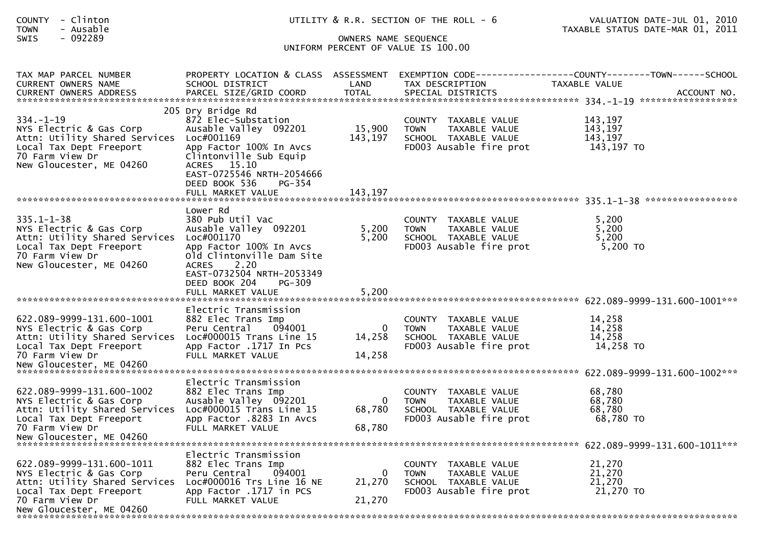| COUNTY - Clinton<br>- Ausable<br><b>TOWN</b>                                                                                                                      |                                                                                                                                                                                               |                                    | UTILITY & R.R. SECTION OF THE ROLL - 6                                                                            | VALUATION DATE-JUL 01, 2010<br>TAXABLE STATUS DATE-MAR 01, 2011                 |  |  |  |  |
|-------------------------------------------------------------------------------------------------------------------------------------------------------------------|-----------------------------------------------------------------------------------------------------------------------------------------------------------------------------------------------|------------------------------------|-------------------------------------------------------------------------------------------------------------------|---------------------------------------------------------------------------------|--|--|--|--|
| SWIS<br>- 092289                                                                                                                                                  | OWNERS NAME SEQUENCE<br>UNIFORM PERCENT OF VALUE IS 100.00                                                                                                                                    |                                    |                                                                                                                   |                                                                                 |  |  |  |  |
| TAX MAP PARCEL NUMBER<br>CURRENT OWNERS NAME                                                                                                                      | PROPERTY LOCATION & CLASS ASSESSMENT<br>SCHOOL DISTRICT                                                                                                                                       | LAND                               | TAX DESCRIPTION                                                                                                   | EXEMPTION CODE------------------COUNTY--------TOWN------SCHOOL<br>TAXABLE VALUE |  |  |  |  |
| $334. - 1 - 19$<br>NYS Electric & Gas Corp<br>Attn: Utility Shared Services Loc#001169<br>Local Tax Dept Freeport<br>70 Farm View Dr<br>New Gloucester, ME 04260  | 205 Dry Bridge Rd<br>872 Elec-Substation<br>Ausable Valley 092201<br>App Factor 100% In Avcs<br>Clintonville Sub Equip<br>ACRES 15.10<br>EAST-0725546 NRTH-2054666<br>DEED BOOK 536<br>PG-354 | 15,900<br>143,197                  | COUNTY TAXABLE VALUE<br><b>TOWN</b><br>TAXABLE VALUE<br>SCHOOL TAXABLE VALUE<br>FD003 Ausable fire prot           | 143,197<br>143,197<br>143,197<br>143,197 TO                                     |  |  |  |  |
|                                                                                                                                                                   | Lower Rd                                                                                                                                                                                      |                                    |                                                                                                                   |                                                                                 |  |  |  |  |
| $335.1 - 1 - 38$<br>NYS Electric & Gas Corp<br>Attn: Utility Shared Services Loc#001170<br>Local Tax Dept Freeport<br>70 Farm View Dr<br>New Gloucester, ME 04260 | 380 Pub Util Vac<br>Ausable Valley 092201<br>App Factor 100% In Avcs<br>old Clintonville Dam Site<br>ACRES 2.20<br>EAST-0732504 NRTH-2053349<br>DEED BOOK 204<br>PG-309                       | 5,200<br>5,200                     | COUNTY TAXABLE VALUE<br>TOWN      TAXABLE VALUE<br>SCHOOL   TAXABLE VALUE<br>FD003 Ausable fire prot              | 5,200<br>5,200<br>5,200<br>5,200 TO                                             |  |  |  |  |
|                                                                                                                                                                   |                                                                                                                                                                                               |                                    |                                                                                                                   |                                                                                 |  |  |  |  |
| 622.089-9999-131.600-1001<br>NYS Electric & Gas Corp<br>Attn: Utility Shared Services Loc#000015 Trans Line 15<br>Local Tax Dept Freeport<br>70 Farm View Dr      | Electric Transmission<br>882 Elec Trans Imp<br>Peru Central<br>094001<br>App Factor .1717 In Pcs<br>FULL MARKET VALUE                                                                         | $\overline{0}$<br>14,258<br>14,258 | COUNTY TAXABLE VALUE<br>TAXABLE VALUE<br><b>TOWN</b><br>SCHOOL TAXABLE VALUE<br>FD003 Ausable fire prot           | 14,258<br>14,258<br>14,258<br>14,258 TO                                         |  |  |  |  |
|                                                                                                                                                                   | Electric Transmission                                                                                                                                                                         |                                    |                                                                                                                   |                                                                                 |  |  |  |  |
| 622.089-9999-131.600-1002<br>NYS Electric & Gas Corp<br>Attn: Utility Shared Services<br>Local Tax Dept Freeport<br>70 Farm View Dr                               | 882 Elec Trans Imp<br>Ausable Valley 092201<br>Loc#000015 Trans Line 15<br>App Factor .8283 In Avcs<br>FULL MARKET VALUE                                                                      | $\overline{0}$<br>68,780<br>68,780 | COUNTY TAXABLE VALUE<br>TOWN<br>TAXABLE VALUE<br>SCHOOL TAXABLE VALUE<br>FD003 Ausable fire prot                  | 68,780<br>68,780<br>68,780<br>68,780 TO                                         |  |  |  |  |
|                                                                                                                                                                   | Electric Transmission                                                                                                                                                                         |                                    |                                                                                                                   | 622.089-9999-131.600-1011***                                                    |  |  |  |  |
| 622.089-9999-131.600-1011<br>NYS Electric & Gas Corp<br>Attn: Utility Shared Services<br>Local Tax Dept Freeport                                                  | 882 Elec Trans Imp<br>094001<br>Peru Central<br>$Loc#000016$ Trs Line 16 NE<br>App Factor .1717 in PCS                                                                                        | $\mathbf{0}$<br>21,270             | <b>COUNTY</b><br>TAXABLE VALUE<br>TAXABLE VALUE<br><b>TOWN</b><br>SCHOOL TAXABLE VALUE<br>FD003 Ausable fire prot | 21,270<br>21,270<br>21,270<br>21,270 TO                                         |  |  |  |  |
| 70 Farm View Dr                                                                                                                                                   | FULL MARKET VALUE                                                                                                                                                                             | 21,270                             |                                                                                                                   |                                                                                 |  |  |  |  |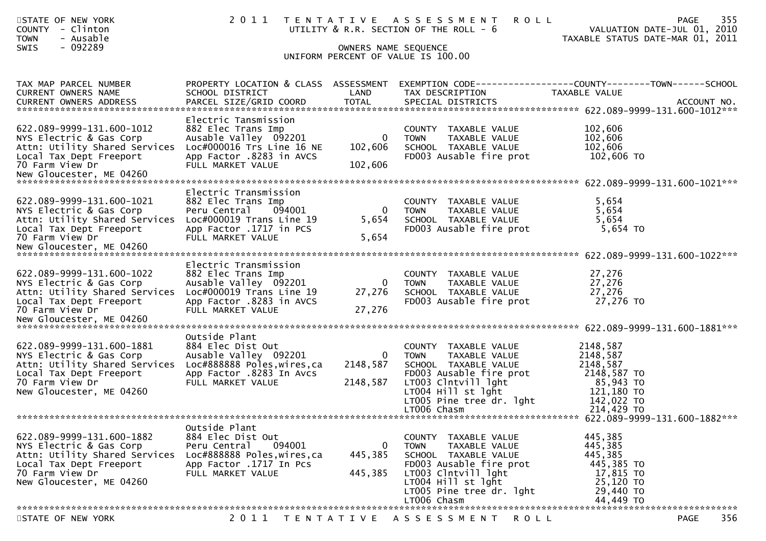| STATE OF NEW YORK<br>COUNTY - Clinton<br><b>TOWN</b><br>- Ausable<br>$-092289$<br><b>SWIS</b>                                                                   | 2011                                                                                                                                              | OWNERS NAME SEQUENCE               | TENTATIVE ASSESSMENT<br><b>ROLL</b><br>UTILITY & R.R. SECTION OF THE ROLL - 6<br>UNIFORM PERCENT OF VALUE IS 100.00                                                                               | VALUATION DATE-JUL 01, 2010<br>TAXABLE STATUS DATE-MAR 01, 2011                                        | 355<br>PAGE        |
|-----------------------------------------------------------------------------------------------------------------------------------------------------------------|---------------------------------------------------------------------------------------------------------------------------------------------------|------------------------------------|---------------------------------------------------------------------------------------------------------------------------------------------------------------------------------------------------|--------------------------------------------------------------------------------------------------------|--------------------|
| TAX MAP PARCEL NUMBER<br>CURRENT OWNERS NAME                                                                                                                    | PROPERTY LOCATION & CLASS ASSESSMENT<br>SCHOOL DISTRICT                                                                                           | LAND                               | EXEMPTION CODE------------------COUNTY--------TOWN------SCHOOL<br>TAX DESCRIPTION                                                                                                                 | TAXABLE VALUE                                                                                          |                    |
| 622.089-9999-131.600-1012<br>NYS Electric & Gas Corp<br>Attn: Utility Shared Services<br>Local Tax Dept Freeport<br>70 Farm View Dr                             | Electric Tansmission<br>882 Elec Trans Imp<br>Ausable Valley 092201<br>Loc#000016 Trs Line 16 NE<br>App Factor .8283 in AVCS<br>FULL MARKET VALUE | 0<br>102,606<br>102,606            | COUNTY TAXABLE VALUE<br><b>TOWN</b><br>TAXABLE VALUE<br>SCHOOL TAXABLE VALUE<br>FD003 Ausable fire prot                                                                                           | 102,606<br>102,606<br>102,606<br>102,606 TO                                                            |                    |
| 622.089-9999-131.600-1021<br>NYS Electric & Gas Corp<br>Attn: Utility Shared Services<br>Local Tax Dept Freeport<br>70 Farm View Dr                             | Electric Transmission<br>882 Elec Trans Imp<br>094001<br>Peru Central<br>Loc#000019 Trans Line 19<br>App Factor .1717 in PCS<br>FULL MARKET VALUE | $\overline{0}$<br>5,654<br>5,654   | COUNTY TAXABLE VALUE<br>TAXABLE VALUE<br><b>TOWN</b><br>SCHOOL TAXABLE VALUE<br>FD003 Ausable fire prot                                                                                           | 5,654<br>5,654<br>5,654<br>5,654 TO                                                                    |                    |
| 622.089-9999-131.600-1022<br>NYS Electric & Gas Corp<br>Attn: Utility Shared Services Loc#000019 Trans Line 19<br>Local Tax Dept Freeport<br>70 Farm View Dr    | Electric Transmission<br>882 Elec Trans Imp<br>Ausable Valley 092201<br>App Factor .8283 in AVCS<br>FULL MARKET VALUE                             | $\mathbf{0}$<br>27,276<br>27,276   | COUNTY TAXABLE VALUE<br>TAXABLE VALUE<br><b>TOWN</b><br>SCHOOL TAXABLE VALUE<br>FD003 Ausable fire prot                                                                                           | 27,276<br>27,276<br>27,276<br>27,276 TO                                                                |                    |
| 622.089-9999-131.600-1881<br>NYS Electric & Gas Corp<br>Attn: Utility Shared Services<br>Local Tax Dept Freeport<br>70 Farm View Dr<br>New Gloucester, ME 04260 | Outside Plant<br>884 Elec Dist Out<br>Ausable Valley 092201<br>Loc#888888 Poles,wires,ca<br>App Factor .8283 In Avcs<br>FULL MARKET VALUE         | 0<br>2148,587<br>2148,587          | COUNTY TAXABLE VALUE<br>TAXABLE VALUE<br><b>TOWN</b><br>SCHOOL TAXABLE VALUE<br>FD003 Ausable fire prot<br>LT003 Clntvill lght<br>$LT004$ Hill st lght<br>LT005 Pine tree dr. lght<br>LT006 Chasm | 2148,587<br>2148,587<br>2148,587<br>2148,587 TO<br>85,943 TO<br>121,180 TO<br>142,022 TO<br>214,429 TO |                    |
| 622.089-9999-131.600-1882<br>NYS Electric & Gas Corp<br>Attn: Utility Shared Services<br>Local Tax Dept Freeport<br>70 Farm View Dr<br>New Gloucester, ME 04260 | Outside Plant<br>884 Elec Dist Out<br>Peru Central<br>094001<br>Loc#888888 Poles, wires, ca<br>App Factor .1717 In Pcs<br>FULL MARKET VALUE       | $\mathbf{0}$<br>445,385<br>445,385 | COUNTY TAXABLE VALUE<br><b>TOWN</b><br>TAXABLE VALUE<br>SCHOOL TAXABLE VALUE<br>FD003 Ausable fire prot<br>LT003 Clntvill lght<br>LT004 Hill st lght<br>LT005 Pine tree dr. lght<br>LT006 Chasm   | 445,385<br>445,385<br>445,385<br>445,385 TO<br>17,815 TO<br>25,120 TO<br>29,440 TO<br>44,449 TO        |                    |
| STATE OF NEW YORK                                                                                                                                               | 2011                                                                                                                                              | T E N T A T I V E                  | A S S E S S M E N T<br>R O L L                                                                                                                                                                    |                                                                                                        | 356<br><b>PAGE</b> |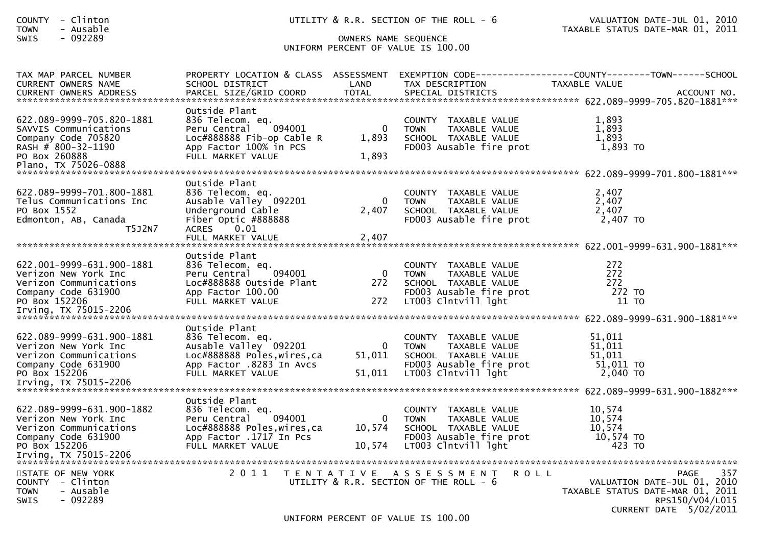| <b>COUNTY</b><br>- Clinton<br><b>TOWN</b><br>- Ausable |                                           |                      | UTILITY & R.R. SECTION OF THE ROLL - 6               | VALUATION DATE-JUL 01, 2010<br>TAXABLE STATUS DATE-MAR 01, 2011 |
|--------------------------------------------------------|-------------------------------------------|----------------------|------------------------------------------------------|-----------------------------------------------------------------|
| $-092289$<br><b>SWIS</b>                               |                                           | OWNERS NAME SEQUENCE |                                                      |                                                                 |
|                                                        |                                           |                      | UNIFORM PERCENT OF VALUE IS 100.00                   |                                                                 |
|                                                        |                                           |                      |                                                      |                                                                 |
| TAX MAP PARCEL NUMBER                                  | PROPERTY LOCATION & CLASS ASSESSMENT      |                      |                                                      | EXEMPTION CODE-----------------COUNTY-------TOWN------SCHOOL    |
| <b>CURRENT OWNERS NAME</b>                             | SCHOOL DISTRICT                           | LAND                 | TAX DESCRIPTION                                      | <b>TAXABLE VALUE</b>                                            |
|                                                        |                                           |                      |                                                      |                                                                 |
|                                                        |                                           |                      |                                                      |                                                                 |
|                                                        | Outside Plant                             |                      |                                                      |                                                                 |
| 622.089-9999-705.820-1881                              | 836 Telecom. eq.                          |                      | COUNTY TAXABLE VALUE                                 | 1,893                                                           |
| SAVVIS Communications                                  | 094001<br>Peru Central                    | $\overline{0}$       | <b>TOWN</b><br>TAXABLE VALUE                         | 1,893                                                           |
| Company Code 705820                                    | Loc#888888 Fib-op Cable R                 | 1,893                | SCHOOL TAXABLE VALUE                                 | 1,893                                                           |
| RASH # 800-32-1190                                     | App Factor 100% in PCS                    |                      | FD003 Ausable fire prot                              | 1,893 TO                                                        |
| PO Box 260888                                          | FULL MARKET VALUE                         | 1,893                |                                                      |                                                                 |
|                                                        |                                           |                      |                                                      |                                                                 |
|                                                        | Outside Plant                             |                      |                                                      |                                                                 |
| 622.089-9999-701.800-1881                              |                                           |                      |                                                      | 2,407                                                           |
| Telus Communications Inc                               | 836 Telecom. eq.<br>Ausable Valley 092201 | $\overline{0}$       | COUNTY TAXABLE VALUE<br><b>TOWN</b><br>TAXABLE VALUE | 2,407                                                           |
| PO Box 1552                                            | Underground Cable                         | 2,407                | SCHOOL TAXABLE VALUE                                 | 2,407                                                           |
| Edmonton, AB, Canada                                   | Fiber Optic #888888                       |                      | FD003 Ausable fire prot                              | 2,407 TO                                                        |
| T5J2N7                                                 | ACRES 0.01                                |                      |                                                      |                                                                 |
|                                                        | FULL MARKET VALUE                         | 2,407                |                                                      |                                                                 |
|                                                        |                                           |                      |                                                      |                                                                 |
|                                                        | Outside Plant                             |                      |                                                      |                                                                 |
| 622.001-9999-631.900-1881                              | 836 Telecom. eq.                          |                      | COUNTY TAXABLE VALUE                                 | 272                                                             |
| Verizon New York Inc                                   | 094001<br>Peru Central                    | $\overline{0}$       | <b>TOWN</b><br>TAXABLE VALUE                         | 272                                                             |
| Verizon Communications                                 | Loc#888888 Outside Plant                  | 272                  | SCHOOL TAXABLE VALUE                                 | 272                                                             |
| Company Code 631900                                    | App Factor 100.00                         |                      | FD003 Ausable fire prot                              | 272 TO                                                          |
| PO Box 152206                                          | FULL MARKET VALUE                         | 272                  | LT003 Clntvill lght                                  | 11 TO                                                           |
|                                                        |                                           |                      |                                                      |                                                                 |
|                                                        |                                           |                      |                                                      |                                                                 |
|                                                        | Outside Plant                             |                      |                                                      |                                                                 |
| 622.089-9999-631.900-1881                              | 836 Telecom. eq.                          |                      | COUNTY TAXABLE VALUE                                 | 51,011                                                          |
| Verizon New York Inc                                   | Ausable Valley 092201                     | $\mathbf{0}$         | TAXABLE VALUE<br>TOWN                                | 51,011                                                          |
| Verizon Communications                                 | Loc#888888 Poles, wires, ca               | 51,011               | SCHOOL TAXABLE VALUE                                 | 51,011                                                          |
| Company Code 631900                                    | App Factor .8283 In Avcs                  |                      | FD003 Ausable fire prot                              | 51,011 TO                                                       |
| PO Box 152206                                          | FULL MARKET VALUE                         | 51,011               | LT003 Clntvill lght                                  | 2,040 TO                                                        |
|                                                        |                                           |                      |                                                      |                                                                 |
|                                                        | Outside Plant                             |                      |                                                      |                                                                 |
| 622.089-9999-631.900-1882                              | 836 Telecom. eq.                          |                      | COUNTY TAXABLE VALUE                                 | 10,574                                                          |
| Verizon New York Inc                                   | 094001<br>Peru Central                    | $\mathbf{0}$         | TAXABLE VALUE<br><b>TOWN</b>                         | 10,574                                                          |
| Verizon Communications                                 | Loc#888888 Poles, wires, ca               | 10,574               | SCHOOL TAXABLE VALUE                                 | 10,574                                                          |
| Company Code 631900                                    | App Factor .1717 In Pcs                   |                      | FD003 Ausable fire prot                              | 10,574 TO                                                       |
| PO Box 152206                                          | FULL MARKET VALUE                         | 10,574               | LT003 Clntvill lght                                  | 423 TO                                                          |
| Irving, TX 75015-2206                                  |                                           |                      |                                                      |                                                                 |
|                                                        |                                           |                      |                                                      |                                                                 |
| STATE OF NEW YORK                                      |                                           |                      | 2011 TENTATIVE ASSESSMENT<br><b>ROLL</b>             | 357<br>PAGE                                                     |
| <b>COUNTY</b><br>- Clinton                             |                                           |                      | UTILITY & R.R. SECTION OF THE ROLL - 6               | VALUATION DATE-JUL 01, 2010                                     |
| - Ausable<br><b>TOWN</b>                               |                                           |                      |                                                      | TAXABLE STATUS DATE-MAR 01, 2011                                |
| $-092289$<br>SWIS                                      |                                           |                      |                                                      | RPS150/V04/L015                                                 |
|                                                        |                                           |                      |                                                      | CURRENT DATE 5/02/2011                                          |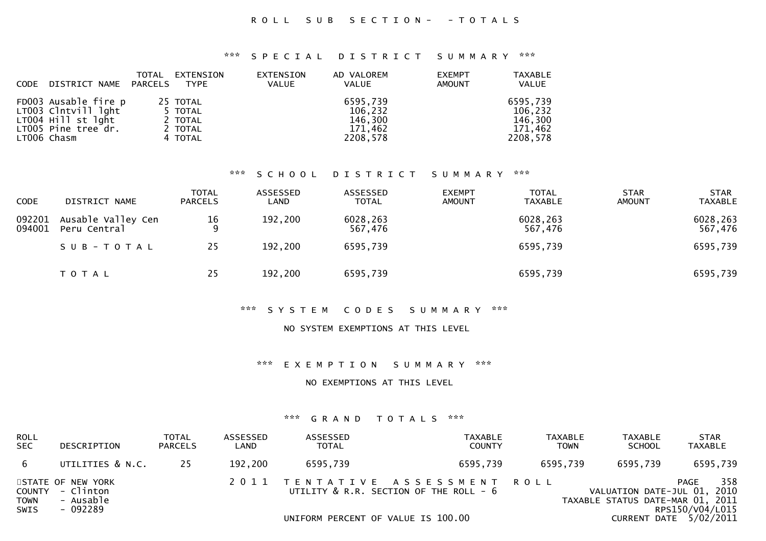### ROLL SUB SECTION- - TOTALS

#### \*\*\* S P E C I A L D I S T R I C T S U M M A R Y \*\*\*

| <b>CODE</b> | DISTRICT NAME                                                                                           | TOTAL<br>PARCELS | EXTENSION<br><b>TYPE</b>                             | EXTENSION<br><b>VALUE</b> | AD VALOREM<br>VALUE                                   | <b>EXEMPT</b><br><b>AMOUNT</b> | <b>TAXABLE</b><br><b>VALUE</b>                        |
|-------------|---------------------------------------------------------------------------------------------------------|------------------|------------------------------------------------------|---------------------------|-------------------------------------------------------|--------------------------------|-------------------------------------------------------|
|             | FD003 Ausable fire p<br>LT003 Clntvill lght<br>LT004 Hill st lght<br>LT005 Pine tree dr.<br>LT006 Chasm |                  | 25 TOTAL<br>5 TOTAL<br>2 TOTAL<br>2 TOTAL<br>4 TOTAL |                           | 6595,739<br>106,232<br>146,300<br>171,462<br>2208,578 |                                | 6595,739<br>106,232<br>146,300<br>171.462<br>2208.578 |

#### \*\*\* S C H O O L D I S T R I C T S U M M A R Y \*\*\*

| <b>CODE</b>      | DISTRICT NAME                      | <b>TOTAL</b><br><b>PARCELS</b> | ASSESSED<br>LAND | <b>ASSESSED</b><br><b>TOTAL</b> | <b>EXEMPT</b><br><b>AMOUNT</b> | <b>TOTAL</b><br>TAXABLE | <b>STAR</b><br><b>AMOUNT</b> | <b>STAR</b><br><b>TAXABLE</b> |
|------------------|------------------------------------|--------------------------------|------------------|---------------------------------|--------------------------------|-------------------------|------------------------------|-------------------------------|
| 092201<br>094001 | Ausable Valley Cen<br>Peru Central | $\frac{16}{9}$                 | 192,200          | 6028,263<br>567,476             |                                | 6028,263<br>567,476     |                              | 6028,263<br>567,476           |
|                  | SUB-TOTAL                          | 25                             | 192,200          | 6595,739                        |                                | 6595,739                |                              | 6595,739                      |
|                  | T O T A L                          | 25                             | 192,200          | 6595,739                        |                                | 6595,739                |                              | 6595,739                      |

### \*\*\* S Y S T E M C O D E S S U M M A R Y \*\*\*

#### NO SYSTEM EXEMPTIONS AT THIS LEVEL

#### \*\*\* E X E M P T I O N S U M M A R Y \*\*\*

#### NO EXEMPTIONS AT THIS LEVEL

| ROLL<br>SEC  | DESCRIPTION                                                    | TOTAL<br><b>PARCELS</b> | ASSESSED<br>∟AND | ASSESSED<br><b>TOTAL</b>           | TAXABLE<br><b>COUNTY</b>                                                 | <b>TAXABLE</b><br><b>TOWN</b> | <b>TAXABLE</b><br><b>SCHOOL</b>                                 | <b>STAR</b><br><b>TAXABLE</b>  |
|--------------|----------------------------------------------------------------|-------------------------|------------------|------------------------------------|--------------------------------------------------------------------------|-------------------------------|-----------------------------------------------------------------|--------------------------------|
| 6            | UTILITIES & N.C.                                               | 25                      | 192,200          | 6595,739                           | 6595,739                                                                 | 6595,739                      | 6595,739                                                        | 6595,739                       |
| TOWN<br>SWIS | STATE OF NEW YORK<br>COUNTY - Clinton<br>- Ausable<br>- 092289 |                         |                  |                                    | 2011 TENTATIVE ASSESSMENT ROLL<br>UTILITY & R.R. SECTION OF THE ROLL - 6 |                               | VALUATION DATE-JUL 01, 2010<br>TAXABLE STATUS DATE-MAR 01, 2011 | 358<br>PAGE<br>RPS150/V04/L015 |
|              |                                                                |                         |                  | UNIFORM PERCENT OF VALUE IS 100.00 |                                                                          |                               |                                                                 | CURRENT DATE 5/02/2011         |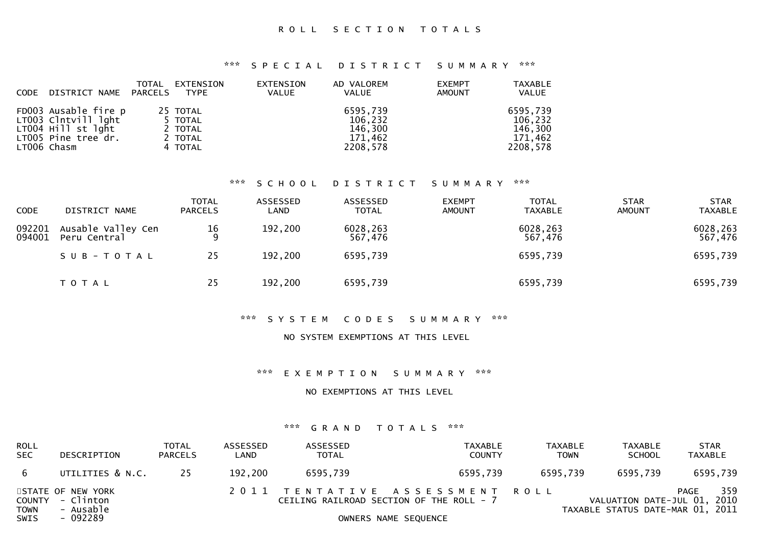\*\*\* S P E C I A L D I S T R I C T S U M M A R Y \*\*\*

| <b>CODE</b> | DISTRICT NAME PARCELS                                                                                   | TOTAL | EXTENSION<br><b>TYPE</b>                             | EXTENSION<br>VALUE | AD VALOREM<br>VALUE                                   | <b>EXEMPT</b><br><b>AMOUNT</b> | <b>TAXABLE</b><br><b>VALUE</b>                        |
|-------------|---------------------------------------------------------------------------------------------------------|-------|------------------------------------------------------|--------------------|-------------------------------------------------------|--------------------------------|-------------------------------------------------------|
|             | FD003 Ausable fire p<br>LT003 Clntvill lght<br>LT004 Hill st lght<br>LT005 Pine tree dr.<br>LT006 Chasm |       | 25 TOTAL<br>5 TOTAL<br>2 TOTAL<br>2 TOTAL<br>4 TOTAL |                    | 6595,739<br>106,232<br>146,300<br>171,462<br>2208,578 |                                | 6595,739<br>106,232<br>146.300<br>171,462<br>2208,578 |

#### \*\*\* S C H O O L D I S T R I C T S U M M A R Y \*\*\*

| <b>CODE</b>      | DISTRICT NAME                      | <b>TOTAL</b><br><b>PARCELS</b> | ASSESSED<br>LAND | ASSESSED<br><b>TOTAL</b> | <b>EXEMPT</b><br><b>AMOUNT</b> | <b>TOTAL</b><br><b>TAXABLE</b> | <b>STAR</b><br><b>AMOUNT</b> | <b>STAR</b><br><b>TAXABLE</b> |
|------------------|------------------------------------|--------------------------------|------------------|--------------------------|--------------------------------|--------------------------------|------------------------------|-------------------------------|
| 092201<br>094001 | Ausable Valley Cen<br>Peru Central | $\frac{16}{9}$                 | 192,200          | 6028,263<br>567,476      |                                | 6028,263<br>567,476            |                              | 6028,263<br>567,476           |
|                  | SUB-TOTAL                          | 25                             | 192,200          | 6595,739                 |                                | 6595,739                       |                              | 6595,739                      |
|                  | T O T A L                          | 25                             | 192,200          | 6595,739                 |                                | 6595,739                       |                              | 6595,739                      |

### \*\*\* S Y S T E M C O D E S S U M M A R Y \*\*\*

### NO SYSTEM EXEMPTIONS AT THIS LEVEL

\*\*\* E X E M P T I O N S U M M A R Y \*\*\*

NO EXEMPTIONS AT THIS LEVEL

| <b>ROLL</b><br><b>SEC</b>                   | DESCRIPTION                                             | <b>TOTAL</b><br><b>PARCELS</b> | ASSESSED<br>LAND | ASSESSED<br><b>TOTAL</b> | TAXABLE<br><b>COUNTY</b>                                                                           | TAXABLE<br><b>TOWN</b> | <b>TAXABLE</b><br><b>SCHOOL</b>                                 | <b>STAR</b><br>TAXABLE |
|---------------------------------------------|---------------------------------------------------------|--------------------------------|------------------|--------------------------|----------------------------------------------------------------------------------------------------|------------------------|-----------------------------------------------------------------|------------------------|
| 6                                           | UTILITIES & N.C.                                        | 25                             | 192,200          | 6595.739                 | 6595.739                                                                                           | 6595,739               | 6595,739                                                        | 6595,739               |
| <b>COUNTY</b><br><b>TOWN</b><br><b>SWIS</b> | STATE OF NEW YORK<br>- Clinton<br>- Ausable<br>- 092289 |                                |                  |                          | 2011 TENTATIVE ASSESSMENT ROLL<br>CEILING RAILROAD SECTION OF THE ROLL - 7<br>OWNERS NAME SEQUENCE |                        | VALUATION DATE-JUL 01, 2010<br>TAXABLE STATUS DATE-MAR 01, 2011 | 359<br>PAGE            |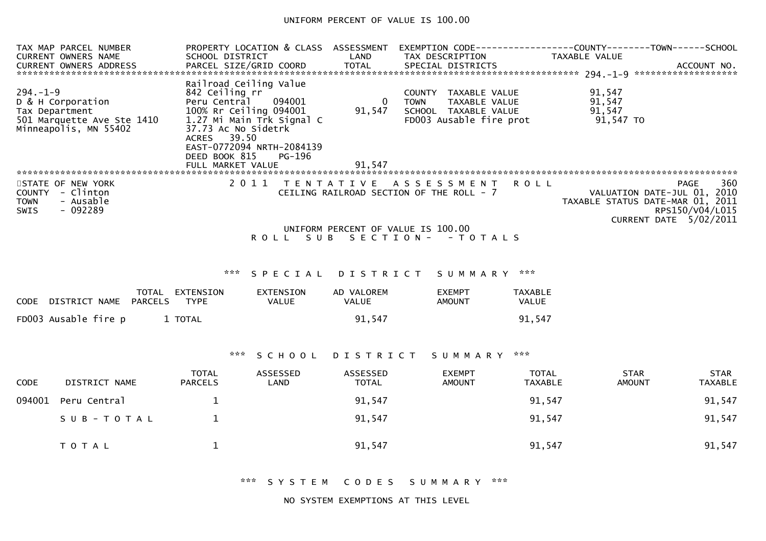### UNIFORM PERCENT OF VALUE IS 100.00

| EXEMPTION CODE------------------COUNTY--------TOWN------SCHOOL                                    |
|---------------------------------------------------------------------------------------------------|
|                                                                                                   |
|                                                                                                   |
|                                                                                                   |
|                                                                                                   |
| 360<br>PAGE<br>VALUATION DATE-JUL 01, 2010<br>TAXABLE STATUS DATE-MAR 01, 2011<br>RPS150/V04/L015 |
| CURRENT DATE 5/02/2011                                                                            |
|                                                                                                   |
|                                                                                                   |
|                                                                                                   |
|                                                                                                   |
|                                                                                                   |
|                                                                                                   |
|                                                                                                   |
|                                                                                                   |
| <b>STAR</b><br><b>TAXABLE</b>                                                                     |
| 91,547                                                                                            |
| 91,547                                                                                            |
|                                                                                                   |

\*\*\* S Y S T E M C O D E S S U M M A R Y \*\*\*

NO SYSTEM EXEMPTIONS AT THIS LEVEL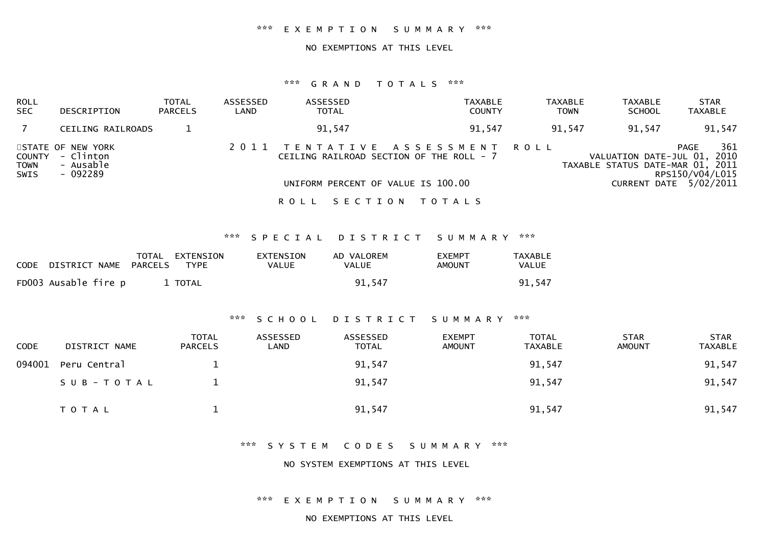#### \*\*\* E X E M P T I O N S U M M A R Y \*\*\*

#### NO EXEMPTIONS AT THIS LEVEL

### \*\*\* G R A N D T O T A L S \*\*\*

| ROLL<br><b>SEC</b>                          | DESCRIPTION                                             | <b>TOTAL</b><br><b>PARCELS</b> | ASSESSED<br>LAND | ASSESSED<br><b>TOTAL</b>                                                                                    | TAXABLE<br><b>COUNTY</b> | <b>TAXABLE</b><br><b>TOWN</b> | <b>TAXABLE</b><br><b>SCHOOL</b>                            | <b>STAR</b><br><b>TAXABLE</b>                                    |
|---------------------------------------------|---------------------------------------------------------|--------------------------------|------------------|-------------------------------------------------------------------------------------------------------------|--------------------------|-------------------------------|------------------------------------------------------------|------------------------------------------------------------------|
|                                             | CEILING RAILROADS                                       |                                |                  | 91,547                                                                                                      | 91.547                   | 91,547                        | 91,547                                                     | 91,547                                                           |
| <b>COUNTY</b><br><b>TOWN</b><br><b>SWIS</b> | STATE OF NEW YORK<br>- Clinton<br>- Ausable<br>- 092289 |                                |                  | TENTATIVE ASSESSMENT ROLL<br>CEILING RAILROAD SECTION OF THE ROLL - 7<br>UNIFORM PERCENT OF VALUE IS 100.00 |                          |                               | VALUATION DATE-JUL 01,<br>TAXABLE STATUS DATE-MAR 01, 2011 | 361<br>PAGE<br>2010<br>RPS150/V04/L015<br>CURRENT DATE 5/02/2011 |
|                                             |                                                         |                                |                  | ROLL                                                                                                        | SECTION TOTALS           |                               |                                                            |                                                                  |

\*\*\* S P E C I A L D I S T R I C T S U M M A R Y \*\*\*

| CODE DISTRICT NAME PARCELS | TOTAL EXTENSION<br><b>TYPE</b> | EXTENSION<br>VALUE | AD VALOREM<br>VALUE | <b>EXEMPT</b><br>AMOUNT | TAXABLE<br><b>VALUE</b> |
|----------------------------|--------------------------------|--------------------|---------------------|-------------------------|-------------------------|
| FD003 Ausable fire p       | 1 TOTAL                        |                    | 91.547              |                         | 91,547                  |

### \*\*\* S C H O O L D I S T R I C T S U M M A R Y \*\*\*

| <b>CODE</b> | DISTRICT NAME | <b>TOTAL</b><br><b>PARCELS</b> | ASSESSED<br>LAND | ASSESSED<br><b>TOTAL</b> | <b>EXEMPT</b><br><b>AMOUNT</b> | <b>TOTAL</b><br>TAXABLE | <b>STAR</b><br><b>AMOUNT</b> | <b>STAR</b><br><b>TAXABLE</b> |
|-------------|---------------|--------------------------------|------------------|--------------------------|--------------------------------|-------------------------|------------------------------|-------------------------------|
| 094001      | Peru Central  |                                |                  | 91,547                   |                                | 91,547                  |                              | 91,547                        |
|             | SUB-TOTAL     |                                |                  | 91,547                   |                                | 91,547                  |                              | 91,547                        |
|             | <b>TOTAL</b>  |                                |                  | 91,547                   |                                | 91,547                  |                              | 91,547                        |

\*\*\* S Y S T E M C O D E S S U M M A R Y \*\*\*

NO SYSTEM EXEMPTIONS AT THIS LEVEL

\*\*\* E X E M P T I O N S U M M A R Y \*\*\*

NO EXEMPTIONS AT THIS LEVEL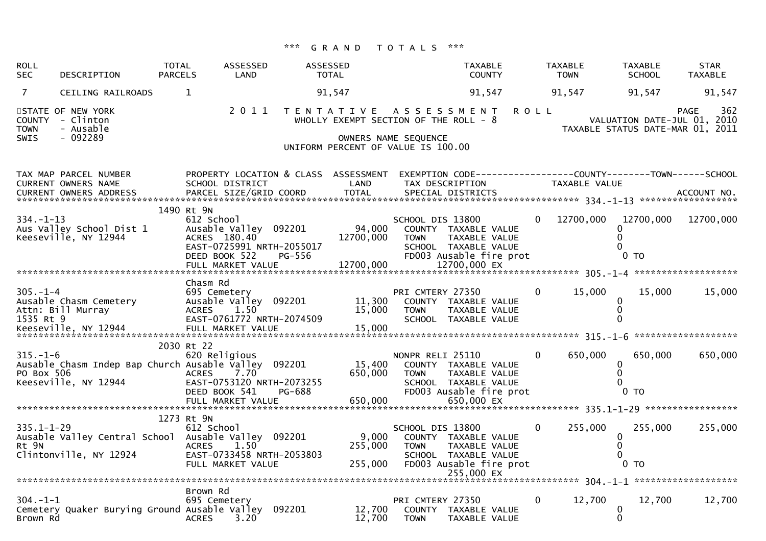| <b>ROLL</b><br><b>SEC</b>    | DESCRIPTION                                                                  | <b>TOTAL</b><br><b>PARCELS</b> | <b>ASSESSED</b><br>LAND                                                                                         | <b>ASSESSED</b> | <b>TOTAL</b>                                                                                             |                                 | <b>TAXABLE</b><br><b>COUNTY</b>                                                                               |             | <b>TAXABLE</b><br><b>TOWN</b> | <b>TAXABLE</b><br><b>SCHOOL</b>                            | <b>STAR</b><br>TAXABLE                                                                |
|------------------------------|------------------------------------------------------------------------------|--------------------------------|-----------------------------------------------------------------------------------------------------------------|-----------------|----------------------------------------------------------------------------------------------------------|---------------------------------|---------------------------------------------------------------------------------------------------------------|-------------|-------------------------------|------------------------------------------------------------|---------------------------------------------------------------------------------------|
| 7                            | CEILING RAILROADS                                                            |                                | $\mathbf{1}$                                                                                                    |                 | 91,547                                                                                                   |                                 | 91,547                                                                                                        |             | 91,547                        | 91,547                                                     | 91,547                                                                                |
| <b>TOWN</b><br><b>SWIS</b>   | STATE OF NEW YORK<br>COUNTY - Clinton<br>- Ausable<br>$-092289$              |                                |                                                                                                                 |                 | 2011 TENTATIVE ASSESSMENT<br>WHOLLY EXEMPT SECTION OF THE ROLL - 8<br>UNIFORM PERCENT OF VALUE IS 100.00 | OWNERS NAME SEQUENCE            |                                                                                                               | <b>ROLL</b> |                               |                                                            | 362<br><b>PAGE</b><br>VALUATION DATE-JUL 01, 2010<br>TAXABLE STATUS DATE-MAR 01, 2011 |
|                              | TAX MAP PARCEL NUMBER<br><b>CURRENT OWNERS NAME</b>                          |                                | PROPERTY LOCATION & CLASS ASSESSMENT<br>SCHOOL DISTRICT                                                         |                 | LAND                                                                                                     |                                 | TAX DESCRIPTION                                                                                               |             | TAXABLE VALUE                 |                                                            | EXEMPTION CODE-----------------COUNTY-------TOWN------SCHOOL                          |
| $334. - 1 - 13$              | Aus Valley School Dist 1<br>Keeseville, NY 12944                             |                                | 1490 Rt 9N<br>612 School<br>Ausable Valley 092201<br>ACRES 180.40<br>EAST-0725991 NRTH-2055017<br>DEED BOOK 522 | PG-556          | 94,000<br>12700,000                                                                                      | SCHOOL DIS 13800<br><b>TOWN</b> | COUNTY TAXABLE VALUE<br><b>TAXABLE VALUE</b><br>SCHOOL TAXABLE VALUE<br>FD003 Ausable fire prot               | 0           | 12700,000                     | 12700,000<br>0.<br>$\Omega$<br>0<br>$0$ TO                 | 12700,000                                                                             |
|                              |                                                                              |                                | Chasm Rd                                                                                                        |                 |                                                                                                          |                                 |                                                                                                               |             |                               |                                                            |                                                                                       |
| $305. - 1 - 4$<br>1535 Rt 9  | Ausable Chasm Cemetery<br>Attn: Bill Murray                                  |                                | 695 Cemetery<br>Ausable Valley 092201<br>1.50<br><b>ACRES</b><br>EAST-0761772 NRTH-2074509                      |                 | 11,300<br>15,000                                                                                         | PRI CMTERY 27350<br><b>TOWN</b> | COUNTY TAXABLE VALUE<br>TAXABLE VALUE<br>SCHOOL TAXABLE VALUE                                                 | 0           | 15,000                        | 15,000<br>0<br>$\mathbf{0}$<br>$\Omega$                    | 15,000                                                                                |
|                              |                                                                              |                                | 2030 Rt 22                                                                                                      |                 |                                                                                                          |                                 |                                                                                                               |             |                               |                                                            |                                                                                       |
| $315. - 1 - 6$<br>PO Box 506 | Ausable Chasm Indep Bap Church Ausable Valley 092201<br>Keeseville, NY 12944 |                                | 620 Religious<br><b>ACRES</b><br>7.70<br>EAST-0753120 NRTH-2073255<br>DEED BOOK 541<br>FULL MARKET VALUE        | PG-688          | 15,400<br>650,000<br>650,000                                                                             | NONPR RELI 25110<br><b>TOWN</b> | COUNTY TAXABLE VALUE<br><b>TAXABLE VALUE</b><br>SCHOOL TAXABLE VALUE<br>FD003 Ausable fire prot<br>650,000 EX | 0           | 650,000                       | 650,000<br>0<br>$\mathbf{0}$<br>0<br>$0$ TO                | 650,000                                                                               |
|                              |                                                                              |                                | 1273 Rt 9N                                                                                                      |                 |                                                                                                          |                                 |                                                                                                               |             |                               |                                                            |                                                                                       |
| $335.1 - 1 - 29$<br>Rt 9N    | Ausable Valley Central School<br>Clintonville, NY 12924                      |                                | 612 School<br>Ausable Valley 092201<br><b>ACRES</b><br>1.50<br>EAST-0733458 NRTH-2053803<br>FULL MARKET VALUE   |                 | 9,000<br>255,000<br>255,000                                                                              | SCHOOL DIS 13800<br><b>TOWN</b> | COUNTY TAXABLE VALUE<br>TAXABLE VALUE<br>SCHOOL TAXABLE VALUE<br>FD003 Ausable fire prot<br>255,000 EX        | 0           | 255,000                       | 255,000<br>$\mathbf{0}$<br>$\Omega$<br>0<br>0 <sub>T</sub> | 255,000                                                                               |
|                              |                                                                              |                                | Brown Rd                                                                                                        |                 |                                                                                                          |                                 |                                                                                                               |             |                               |                                                            |                                                                                       |
| $304. - 1 - 1$<br>Brown Rd   | Cemetery Quaker Burying Ground Ausable Valley 092201                         |                                | 695 Cemetery<br><b>ACRES</b><br>3.20                                                                            |                 | 12,700<br>12,700                                                                                         | PRI CMTERY 27350<br><b>TOWN</b> | COUNTY TAXABLE VALUE<br>TAXABLE VALUE                                                                         | 0           | 12,700                        | 12,700<br>0<br>$\mathbf{0}$                                | 12,700                                                                                |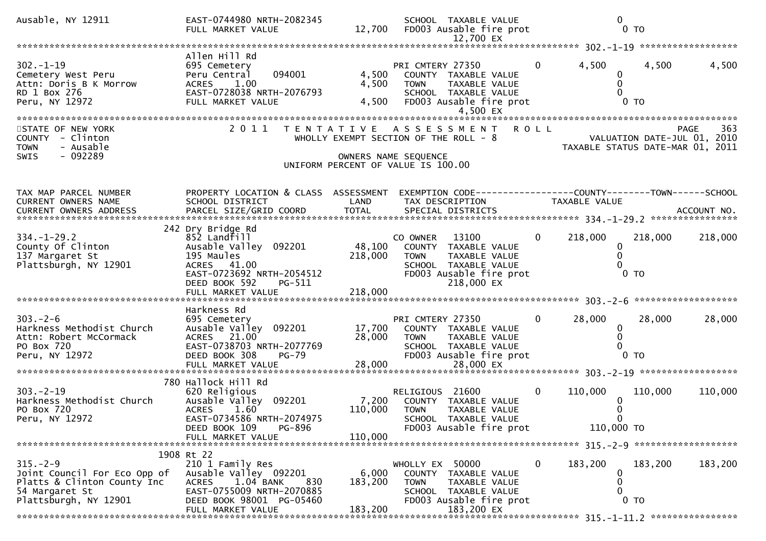| Ausable, NY 12911                                                                                                        | EAST-0744980 NRTH-2082345<br>FULL MARKET VALUE                                                                                                                            |                             | SCHOOL TAXABLE VALUE<br>12,700 FD003 Ausable fire prot<br>12,700 EX                                                                        |                | $\mathbf{0}$<br>0 <sub>T</sub>                  |                                                                                       |
|--------------------------------------------------------------------------------------------------------------------------|---------------------------------------------------------------------------------------------------------------------------------------------------------------------------|-----------------------------|--------------------------------------------------------------------------------------------------------------------------------------------|----------------|-------------------------------------------------|---------------------------------------------------------------------------------------|
|                                                                                                                          |                                                                                                                                                                           |                             |                                                                                                                                            |                |                                                 |                                                                                       |
| $302 - 1 - 19$<br>Cemetery West Peru<br>Attn: Doris B K Morrow<br>RD 1 Box 276<br>Peru, NY 12972                         | Allen Hill Rd<br>695 Cemetery<br>094001<br>Peru Central<br>ACRES 1.00<br>EAST-0728038 NRTH-2076793<br>FULL MARKET VALUE                                                   | 4,500<br>4,500<br>4,500     | PRI CMTERY 27350<br>COUNTY TAXABLE VALUE<br>TAXABLE VALUE<br><b>TOWN</b><br>SCHOOL TAXABLE VALUE<br>FD003 Ausable fire prot<br>4,500 EX    | 0              | 4,500<br>0<br>0<br>0<br>0 <sub>T</sub>          | 4,500<br>4,500                                                                        |
| STATE OF NEW YORK<br>COUNTY - Clinton<br>- Ausable<br><b>TOWN</b><br>$-092289$<br><b>SWIS</b>                            | 2 0 1 1                                                                                                                                                                   | T E N T A T I V E           | A S S E S S M E N T<br>WHOLLY EXEMPT SECTION OF THE ROLL - 8<br>OWNERS NAME SEQUENCE<br>UNIFORM PERCENT OF VALUE IS 100.00                 | <b>ROLL</b>    |                                                 | 363<br><b>PAGE</b><br>VALUATION DATE-JUL 01, 2010<br>TAXABLE STATUS DATE-MAR 01, 2011 |
| TAX MAP PARCEL NUMBER<br>CURRENT OWNERS NAME                                                                             | PROPERTY LOCATION & CLASS ASSESSMENT<br>SCHOOL DISTRICT                                                                                                                   | LAND                        | TAX DESCRIPTION                                                                                                                            |                | TAXABLE VALUE                                   |                                                                                       |
| $334. - 1 - 29.2$<br>County Of Clinton<br>137 Margaret St<br>Plattsburgh, NY 12901                                       | 242 Dry Bridge Rd<br>852 Landfill<br>Ausable Valley 092201<br>195 Maules<br>ACRES 41.00<br>EAST-0723692 NRTH-2054512<br>DEED BOOK 592<br>PG-511                           | 48,100<br>218,000           | 13100<br>CO OWNER<br>COUNTY TAXABLE VALUE<br><b>TOWN</b><br>TAXABLE VALUE<br>SCHOOL TAXABLE VALUE<br>FD003 Ausable fire prot<br>218,000 EX | $\overline{0}$ | 218,000<br>$\Omega$<br>0<br>0<br>0 <sub>T</sub> | 218,000<br>218,000                                                                    |
| $303 - 2 - 6$<br>Harkness Methodist Church<br>Attn: Robert McCormack<br>PO Box 720<br>Peru, NY 12972                     | Harkness Rd<br>695 Cemetery<br>Ausable Valley 092201<br>ACRES 21.00<br>EAST-0738703 NRTH-2077769<br>DEED BOOK 308<br>PG-79<br>FULL MARKET VALUE                           | 17,700<br>28,000<br>28,000  | PRI CMTERY 27350<br>COUNTY TAXABLE VALUE<br><b>TOWN</b><br>TAXABLE VALUE<br>SCHOOL TAXABLE VALUE<br>FD003 Ausable fire prot<br>28,000 EX   | $\overline{0}$ | 28,000<br>0<br>$\Omega$<br>0 <sub>T</sub>       | 28,000<br>28,000                                                                      |
|                                                                                                                          | 780 Hallock Hill Rd                                                                                                                                                       |                             |                                                                                                                                            |                |                                                 |                                                                                       |
| $303 - 2 - 19$<br>Harkness Methodist Church<br>PO Box 720<br>Peru, NY 12972                                              | 620 Religious<br>Ausable Valley 092201<br><b>ACRES</b><br>1.60<br>EAST-0734586 NRTH-2074975<br>PG-896<br>DEED BOOK 109                                                    | 7,200<br>110,000            | RELIGIOUS 21600<br>COUNTY TAXABLE VALUE<br><b>TOWN</b><br>TAXABLE VALUE<br>SCHOOL TAXABLE VALUE<br>FD003 Ausable fire prot                 | $\mathbf{0}$   | 110,000<br>0<br>110,000 TO                      | 110,000<br>110,000                                                                    |
|                                                                                                                          | FULL MARKET VALUE                                                                                                                                                         | 110,000                     |                                                                                                                                            |                |                                                 |                                                                                       |
| $315. - 2 - 9$<br>Joint Council For Eco Opp of<br>Platts & Clinton County Inc<br>54 Margaret St<br>Plattsburgh, NY 12901 | 1908 Rt 22<br>210 1 Family Res<br>Ausable Valley 092201<br>1.04 BANK<br><b>ACRES</b><br>830<br>EAST-0755009 NRTH-2070885<br>DEED BOOK 98001 PG-05460<br>FULL MARKET VALUE | 6,000<br>183,200<br>183,200 | WHOLLY EX 50000<br>COUNTY TAXABLE VALUE<br><b>TOWN</b><br>TAXABLE VALUE<br>SCHOOL TAXABLE VALUE<br>FD003 Ausable fire prot<br>183,200 EX   | 0              | 183,200<br>0<br>0<br>0<br>$0$ TO                | 183,200<br>183,200                                                                    |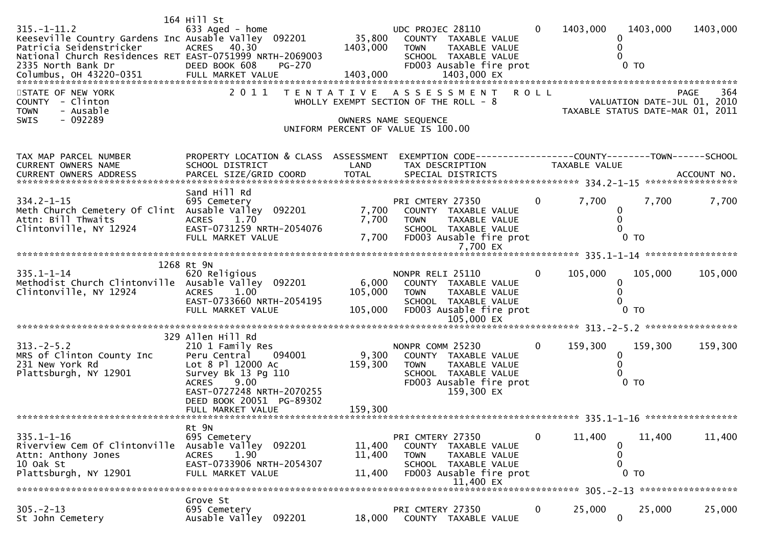| $315. - 1 - 11.2$<br>Keeseville Country Gardens Inc Ausable Valley 092201<br>Patricia Seidenstricker<br>National Church Residences RET EAST-0751999 NRTH-2069003<br>STATE OF NEW YORK<br>COUNTY - Clinton<br>- Ausable<br><b>TOWN</b><br>$-092289$<br>SWIS | 164 Hill St<br>633 Aged - home<br><b>ACRES</b><br>40.30                                                                                                                 | 35,800<br>1403,000          | UDC PROJEC 28110<br>COUNTY TAXABLE VALUE<br><b>TOWN</b><br>TAXABLE VALUE<br>SCHOOL TAXABLE VALUE<br>2011 TENTATIVE ASSESSMENT ROLL<br>WHOLLY EXEMPT SECTION OF THE ROLL - 8<br>OWNERS NAME SEQUENCE | $\overline{0}$ | 1403,000      | 1403.000<br>0<br>0<br>VALUATION DATE-JUL 01, 2010<br>TAXABLE STATUS DATE-MAR 01, 2011 | 1403,000<br>364<br>PAGE |
|------------------------------------------------------------------------------------------------------------------------------------------------------------------------------------------------------------------------------------------------------------|-------------------------------------------------------------------------------------------------------------------------------------------------------------------------|-----------------------------|-----------------------------------------------------------------------------------------------------------------------------------------------------------------------------------------------------|----------------|---------------|---------------------------------------------------------------------------------------|-------------------------|
|                                                                                                                                                                                                                                                            |                                                                                                                                                                         |                             | UNIFORM PERCENT OF VALUE IS 100.00                                                                                                                                                                  |                |               |                                                                                       |                         |
| TAX MAP PARCEL NUMBER<br>CURRENT OWNERS NAME                                                                                                                                                                                                               | PROPERTY LOCATION & CLASS ASSESSMENT<br>SCHOOL DISTRICT                                                                                                                 | LAND                        | EXEMPTION CODE-----------------COUNTY-------TOWN------SCHOOL<br>TAX DESCRIPTION                                                                                                                     |                | TAXABLE VALUE |                                                                                       |                         |
| $334.2 - 1 - 15$<br>Meth Church Cemetery Of Clint Ausable Valley 092201<br>Attn: Bill Thwaits<br>Clintonville, NY 12924                                                                                                                                    | Sand Hill Rd<br>695 Cemetery<br>1.70<br><b>ACRES</b><br>EAST-0731259 NRTH-2054076<br>FULL MARKET VALUE                                                                  | 7,700<br>7,700<br>7,700     | PRI CMTERY 27350<br>COUNTY TAXABLE VALUE<br><b>TOWN</b><br>TAXABLE VALUE<br>SCHOOL TAXABLE VALUE<br>FD003 Ausable fire prot                                                                         | $\overline{0}$ | 7,700         | 7,700<br>$\bf{0}$<br>0<br>0 <sub>T</sub>                                              | 7,700                   |
|                                                                                                                                                                                                                                                            |                                                                                                                                                                         |                             |                                                                                                                                                                                                     |                |               |                                                                                       |                         |
| $335.1 - 1 - 14$<br>Methodist Church Clintonville Ausable Valley 092201<br>Clintonville, NY 12924                                                                                                                                                          | 1268 Rt 9N<br>620 Religious<br><b>ACRES</b><br>1.00<br>EAST-0733660 NRTH-2054195<br>FULL MARKET VALUE                                                                   | 6,000<br>105,000<br>105,000 | NONPR RELI 25110<br>COUNTY TAXABLE VALUE<br><b>TOWN</b><br>TAXABLE VALUE<br>SCHOOL TAXABLE VALUE<br>FD003 Ausable fire prot<br>105,000 EX                                                           | $\Omega$       | 105,000       | 105,000<br>0<br>$\mathbf{0}$<br>0 <sub>T</sub>                                        | 105,000                 |
|                                                                                                                                                                                                                                                            | 329 Allen Hill Rd                                                                                                                                                       |                             |                                                                                                                                                                                                     |                |               |                                                                                       |                         |
| $313.-2-5.2$<br>MRS of Clinton County Inc<br>231 New York Rd<br>Plattsburgh, NY 12901                                                                                                                                                                      | 210 1 Family Res<br>Peru Central<br>094001<br>Lot 8 Pl 12000 Ac<br>Survey Bk 13 Pg 110<br>9.00<br><b>ACRES</b><br>EAST-0727248 NRTH-2070255<br>DEED BOOK 20051 PG-89302 | 9,300<br>159,300            | NONPR COMM 25230<br>COUNTY TAXABLE VALUE<br><b>TOWN</b><br><b>TAXABLE VALUE</b><br>SCHOOL TAXABLE VALUE<br>FD003 Ausable fire prot<br>159,300 EX                                                    | $\Omega$       | 159,300       | 159,300<br>0<br>0<br>$0$ TO                                                           | 159,300                 |
|                                                                                                                                                                                                                                                            | FULL MARKET VALUE                                                                                                                                                       | 159,300                     |                                                                                                                                                                                                     |                |               |                                                                                       |                         |
| $335.1 - 1 - 16$<br>Riverview Cem Of Clintonville<br>Attn: Anthony Jones<br>10 Oak St<br>Plattsburgh, NY 12901                                                                                                                                             | Rt 9N<br>695 Cemetery<br>Ausable Valley 092201<br>1.90<br><b>ACRES</b><br>EAST-0733906 NRTH-2054307<br>FULL MARKET VALUE                                                | 11,400<br>11,400<br>11,400  | PRI CMTERY 27350<br>COUNTY TAXABLE VALUE<br><b>TOWN</b><br>TAXABLE VALUE<br>SCHOOL TAXABLE VALUE<br>FD003 Ausable fire prot                                                                         | 0              | 11,400        | 11,400<br>0<br>0<br>0<br>$0$ TO                                                       | 11,400                  |
|                                                                                                                                                                                                                                                            |                                                                                                                                                                         |                             |                                                                                                                                                                                                     |                |               |                                                                                       |                         |
| $305 - 2 - 13$<br>St John Cemetery                                                                                                                                                                                                                         | Grove St<br>695 Cemetery<br>Ausable Valley 092201                                                                                                                       | 18,000                      | PRI CMTERY 27350<br>COUNTY TAXABLE VALUE                                                                                                                                                            | $\mathbf{0}$   | 25,000        | 25,000<br>$\mathbf 0$                                                                 | 25,000                  |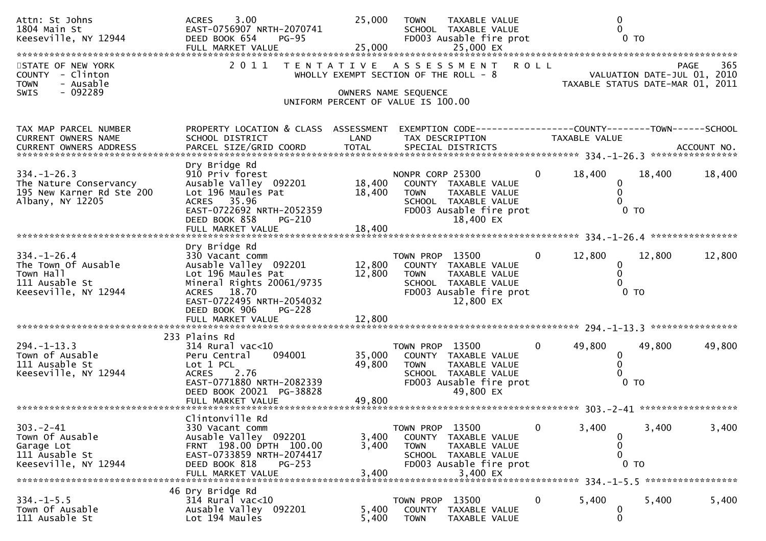| Attn: St Johns<br>1804 Main St<br>Keeseville, NY 12944                                                                                                          | 3.00<br><b>ACRES</b><br>EAST-0756907 NRTH-2070741<br>DEED BOOK 654<br>$PG-95$<br>FULL MARKET VALUE                                                                    | 25,000<br>25,000                                           | <b>TOWN</b>                              | <b>TAXABLE VALUE</b><br>SCHOOL TAXABLE VALUE<br>FD003 Ausable fire prot<br>25,000 EX                         |                | 0<br>$0$ TO                                                                     |                             |                    |  |
|-----------------------------------------------------------------------------------------------------------------------------------------------------------------|-----------------------------------------------------------------------------------------------------------------------------------------------------------------------|------------------------------------------------------------|------------------------------------------|--------------------------------------------------------------------------------------------------------------|----------------|---------------------------------------------------------------------------------|-----------------------------|--------------------|--|
| STATE OF NEW YORK<br>COUNTY - Clinton<br>- Ausable<br><b>TOWN</b>                                                                                               | 2011<br>T E N T A T I V E                                                                                                                                             | WHOLLY EXEMPT SECTION OF THE ROLL - 8                      |                                          | ASSESSMENT                                                                                                   | <b>ROLL</b>    | TAXABLE STATUS DATE-MAR 01, 2011                                                | VALUATION DATE-JUL 01, 2010 | 365<br><b>PAGE</b> |  |
| $-092289$<br><b>SWIS</b>                                                                                                                                        |                                                                                                                                                                       | OWNERS NAME SEQUENCE<br>UNIFORM PERCENT OF VALUE IS 100.00 |                                          |                                                                                                              |                |                                                                                 |                             |                    |  |
| TAX MAP PARCEL NUMBER<br>CURRENT OWNERS NAME<br>.CURRENT OWNERS ADDRESS PARCEL SIZE/GRID COORD TOTAL SPECIAL DISTRICTS ACCOUNT NO ACCOUNT NO ACCOUNT NO ACCOUNT | PROPERTY LOCATION & CLASS ASSESSMENT<br>SCHOOL DISTRICT                                                                                                               | LAND                                                       |                                          | TAX DESCRIPTION                                                                                              |                | EXEMPTION CODE------------------COUNTY--------TOWN------SCHOOL<br>TAXABLE VALUE |                             |                    |  |
| $334. - 1 - 26.3$<br>The Nature Conservancy<br>195 New Karner Rd Ste 200<br>Albany, NY 12205                                                                    | Dry Bridge Rd<br>910 Priv forest<br>Ausable Valley 092201<br>Lot 196 Maules Pat<br>ACRES 35.96<br>EAST-0722692 NRTH-2052359<br>DEED BOOK 858<br>PG-210                | 18,400<br>18,400                                           | NONPR CORP 25300<br><b>TOWN</b>          | COUNTY TAXABLE VALUE<br><b>TAXABLE VALUE</b><br>SCHOOL TAXABLE VALUE<br>FD003 Ausable fire prot<br>18,400 EX | $\mathbf{0}$   | 18,400<br>0                                                                     | 18,400<br>0 <sub>T</sub>    | 18,400             |  |
| $334. - 1 - 26.4$<br>The Town Of Ausable                                                                                                                        | Dry Bridge Rd<br>330 Vacant comm<br>Ausable Valley 092201                                                                                                             | 12,800                                                     | TOWN PROP 13500                          | COUNTY TAXABLE VALUE                                                                                         | $\overline{0}$ | 12,800<br>$\mathbf{0}$                                                          | 12,800                      | 12,800             |  |
| Town Hall<br>111 Ausable St<br>Keeseville, NY 12944                                                                                                             | Lot 196 Maules Pat<br>Mineral Rights 20061/9735<br>ACRES 18.70<br>EAST-0722495 NRTH-2054032<br>DEED BOOK 906<br><b>PG-228</b><br>FULL MARKET VALUE                    | 12,800<br>12,800                                           | <b>TOWN</b>                              | TAXABLE VALUE<br>SCHOOL TAXABLE VALUE<br>FD003 Ausable fire prot<br>12,800 EX                                |                | $\Omega$                                                                        | 0 <sub>T</sub>              |                    |  |
|                                                                                                                                                                 | 233 Plains Rd                                                                                                                                                         |                                                            |                                          |                                                                                                              |                |                                                                                 |                             |                    |  |
| $294. -1 - 13.3$<br>Town of Ausable<br>111 Ausable St<br>Keeseville, NY 12944                                                                                   | $314$ Rural vac< $10$<br>094001<br>Peru Central<br>Lot 1 PCL<br><b>ACRES</b><br>2.76<br>EAST-0771880 NRTH-2082339<br>DEED BOOK 20021 PG-38828                         | 35,000<br>49,800                                           | TOWN PROP 13500<br><b>TOWN</b>           | COUNTY TAXABLE VALUE<br>TAXABLE VALUE<br>SCHOOL TAXABLE VALUE<br>FD003 Ausable fire prot<br>49,800 EX        | $\overline{0}$ | 49,800<br>0                                                                     | 49,800<br>0 <sub>T</sub>    | 49,800             |  |
| ***********************                                                                                                                                         |                                                                                                                                                                       |                                                            |                                          |                                                                                                              |                |                                                                                 |                             |                    |  |
| $303 - 2 - 41$<br>Town Of Ausable<br>Garage Lot<br>111 Ausable St<br>Keeseville, NY 12944                                                                       | Clintonville Rd<br>330 Vacant comm<br>Ausable Valley 092201<br>FRNT 198.00 DPTH 100.00<br>EAST-0733859 NRTH-2074417<br>DEED BOOK 818<br>$PG-253$<br>FULL MARKET VALUE | 3,400<br>3,400<br>3,400                                    | TOWN PROP 13500<br>COUNTY<br><b>TOWN</b> | TAXABLE VALUE<br>TAXABLE VALUE<br>SCHOOL TAXABLE VALUE<br>FD003 Ausable fire prot<br>3,400 EX                | 0              | 3,400                                                                           | 3,400<br>$0$ TO             | 3,400              |  |
|                                                                                                                                                                 | 46 Dry Bridge Rd                                                                                                                                                      |                                                            |                                          |                                                                                                              |                |                                                                                 |                             |                    |  |
| $334. - 1 - 5.5$<br>Town Of Ausable<br>111 Ausable St                                                                                                           | $314$ Rural vac<10<br>Ausable Valley 092201<br>Lot 194 Maules                                                                                                         | 5,400<br>5,400                                             | TOWN PROP 13500<br>COUNTY<br><b>TOWN</b> | TAXABLE VALUE<br>TAXABLE VALUE                                                                               | $\mathbf{0}$   | 5,400<br>$\mathbf 0$<br>$\mathbf{0}$                                            | 5,400                       | 5,400              |  |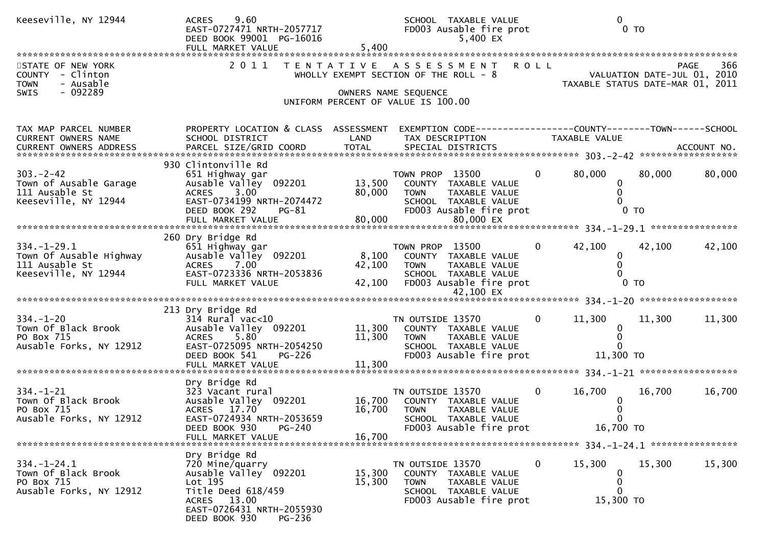| Keeseville, NY 12944                                                                   | 9.60<br><b>ACRES</b><br>EAST-0727471 NRTH-2057717<br>DEED BOOK 99001 PG-16016<br>FULL MARKET VALUE                                                               | 5,400                 | SCHOOL TAXABLE VALUE<br>FD003 Ausable fire prot<br>5,400 EX                                                                 | $\mathbf{0}$<br>0 <sub>T</sub>                                   |                  |
|----------------------------------------------------------------------------------------|------------------------------------------------------------------------------------------------------------------------------------------------------------------|-----------------------|-----------------------------------------------------------------------------------------------------------------------------|------------------------------------------------------------------|------------------|
| STATE OF NEW YORK<br>COUNTY - Clinton<br><b>TOWN</b><br>- Ausable                      | 2011                                                                                                                                                             | T E N T A T I V E     | A S S E S S M E N T R O L L<br>WHOLLY EXEMPT SECTION OF THE ROLL - 8                                                        |                                                                  | PAGE<br>366      |
| $-092289$<br><b>SWIS</b>                                                               |                                                                                                                                                                  |                       | OWNERS NAME SEQUENCE<br>UNIFORM PERCENT OF VALUE IS 100.00                                                                  |                                                                  |                  |
| TAX MAP PARCEL NUMBER<br>CURRENT OWNERS NAME<br>CURRENT OWNERS ADDRESS                 | PROPERTY LOCATION & CLASS ASSESSMENT EXEMPTION CODE----------------COUNTY-------TOWN------SCHOOL<br>SCHOOL DISTRICT                                              | LAND                  | TAX DESCRIPTION                                                                                                             | TAXABLE VALUE                                                    |                  |
| $303 - 2 - 42$<br>Town of Ausable Garage<br>111 Ausable St<br>Keeseville, NY 12944     | 930 Clintonville Rd<br>651 Highway gar<br>Ausable Valley 092201 13,500 COUNTY TAXABLE VALUE<br>ACRES 3.00<br>EAST-0734199 NRTH-2074472<br>DEED BOOK 292<br>PG-81 | 80,000                | TOWN PROP 13500<br><b>TOWN</b><br>TAXABLE VALUE<br>SCHOOL TAXABLE VALUE<br>FD003 Ausable fire prot                          | 80,000<br>$\mathbf{0}$<br>0<br>$\mathbf{0}$<br>0 <sub>T</sub>    | 80,000<br>80,000 |
|                                                                                        |                                                                                                                                                                  |                       |                                                                                                                             |                                                                  |                  |
| $334. - 1 - 29.1$<br>Town Of Ausable Highway<br>111 Ausable St<br>Keeseville, NY 12944 | 260 Dry Bridge Rd<br>651 Highway gar<br>Ausable Valley 092201<br>ACRES 7.00<br>EAST-0723336 NRTH-2053836<br>FULL MARKET VALUE                                    | 42,100 TOWN<br>42,100 | TOWN PROP 13500<br>8,100 COUNTY TAXABLE VALUE<br>TAXABLE VALUE<br>SCHOOL TAXABLE VALUE<br>FD003 Ausable fire prot           | $\mathbf{0}$<br>42,100<br>0<br>$\mathbf{0}$<br>$0$ TO            | 42,100<br>42,100 |
|                                                                                        |                                                                                                                                                                  |                       |                                                                                                                             |                                                                  |                  |
|                                                                                        | 213 Dry Bridge Rd                                                                                                                                                |                       |                                                                                                                             |                                                                  |                  |
| $334. - 1 - 20$<br>Town Of Black Brook<br>PO Box 715<br>Ausable Forks, NY 12912        | $314$ Rural vac<10<br>Ausable Valley 092201 11,300 COUNTY TAXABLE VALUE<br>5.80<br><b>ACRES</b><br>EAST-0725095 NRTH-2054250<br>DEED BOOK 541<br><b>PG-226</b>   | 11,300                | TN OUTSIDE 13570<br>TAXABLE VALUE<br><b>TOWN</b><br>SCHOOL TAXABLE VALUE<br>FD003 Ausable fire prot                         | $\mathbf{0}$<br>11,300<br>$\Omega$<br>0<br>$\Omega$<br>11,300 TO | 11,300<br>11,300 |
|                                                                                        | FULL MARKET VALUE                                                                                                                                                | 11,300                |                                                                                                                             |                                                                  |                  |
|                                                                                        | Dry Bridge Rd                                                                                                                                                    |                       |                                                                                                                             |                                                                  |                  |
| $334. - 1 - 21$<br>Town Of Black Brook<br>PO Box 715<br>Ausable Forks, NY 12912        | 323 Vacant rural<br>Ausable Valley 092201<br>ACRES 17.70<br>EAST-0724934 NRTH-2053659<br><b>PG-240</b><br>DEED BOOK 930                                          | 16,700<br>16,700      | TN OUTSIDE 13570<br>COUNTY TAXABLE VALUE<br><b>TOWN</b><br>TAXABLE VALUE<br>SCHOOL TAXABLE VALUE<br>FD003 Ausable fire prot | $\mathbf{0}$<br>16,700<br>$\mathbf 0$<br>16,700 TO               | 16,700<br>16,700 |
|                                                                                        | FULL MARKET VALUE                                                                                                                                                | 16,700                |                                                                                                                             |                                                                  |                  |
|                                                                                        |                                                                                                                                                                  |                       |                                                                                                                             |                                                                  |                  |
| $334. - 1 - 24.1$<br>Town Of Black Brook<br>PO Box 715<br>Ausable Forks, NY 12912      | Dry Bridge Rd<br>720 Mine/quarry<br>Ausable Valley 092201<br>Lot 195<br>Title Deed 618/459<br>ACRES 13.00<br>EAST-0726431 NRTH-2055930                           | 15,300<br>15,300      | TN OUTSIDE 13570<br>COUNTY TAXABLE VALUE<br>TAXABLE VALUE<br>TOWN<br>SCHOOL TAXABLE VALUE<br>FD003 Ausable fire prot        | 15,300<br>0<br>$\bf{0}$<br>$\boldsymbol{0}$<br>0<br>15,300 TO    | 15,300<br>15,300 |
|                                                                                        | DEED BOOK 930<br>PG-236                                                                                                                                          |                       |                                                                                                                             |                                                                  |                  |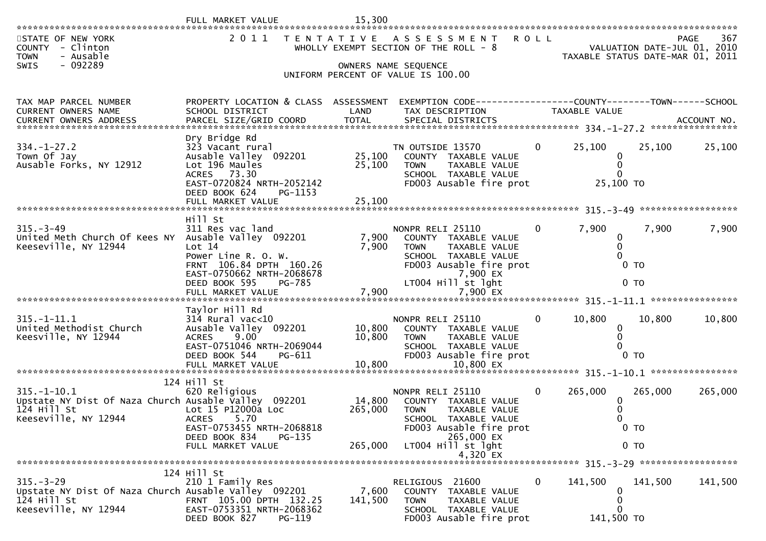| STATE OF NEW YORK<br>- Clinton<br><b>COUNTY</b><br>- Ausable<br><b>TOWN</b><br>SWIS<br>- 092289                    |                                                                                                                                                                          |                              | 2011 TENTATIVE ASSESSMENT<br>WHOLLY EXEMPT SECTION OF THE ROLL - 8<br>OWNERS NAME SEQUENCE<br>UNIFORM PERCENT OF VALUE IS 100.00                                | <b>ROLL</b>    | TAXABLE STATUS DATE-MAR 01, 2011                              |         | 367<br>PAGE<br>VALUATION DATE-JUL 01, 2010 |
|--------------------------------------------------------------------------------------------------------------------|--------------------------------------------------------------------------------------------------------------------------------------------------------------------------|------------------------------|-----------------------------------------------------------------------------------------------------------------------------------------------------------------|----------------|---------------------------------------------------------------|---------|--------------------------------------------|
| TAX MAP PARCEL NUMBER<br>CURRENT OWNERS NAME<br>CURRENT OWNERS ADDRESS                                             | PROPERTY LOCATION & CLASS ASSESSMENT<br>SCHOOL DISTRICT                                                                                                                  | LAND                         | EXEMPTION CODE------------------COUNTY--------TOWN------SCHOOL<br>TAX DESCRIPTION                                                                               |                | TAXABLE VALUE                                                 |         |                                            |
| $334. - 1 - 27.2$<br>Town Of Jay<br>Ausable Forks, NY 12912                                                        | Dry Bridge Rd<br>323 Vacant rural<br>Ausable Valley 092201<br>Lot 196 Maules<br>ACRES 73.30<br>EAST-0720824 NRTH-2052142<br>DEED BOOK 624<br>PG-1153                     | 25,100                       | TN OUTSIDE 13570<br>25,100 COUNTY TAXABLE VALUE<br>TAXABLE VALUE<br>TOWN<br>SCHOOL TAXABLE VALUE<br>FD003 Ausable fire prot                                     | $\overline{0}$ | 25,100<br>0<br>$\Omega$<br>$\Omega$<br>25,100 TO              | 25,100  | 25,100                                     |
|                                                                                                                    | FULL MARKET VALUE                                                                                                                                                        | 25,100                       |                                                                                                                                                                 |                |                                                               |         |                                            |
| $315 - 3 - 49$<br>United Meth Church Of Kees NY<br>Keeseville, NY 12944                                            | Hill St<br>311 Res vac land<br>Ausable Valley 092201<br>Lot 14<br>Power Line R. O. W.<br>FRNT 106.84 DPTH 160.26<br>EAST-0750662 NRTH-2068678<br>DEED BOOK 595<br>PG-785 | 7,900<br>7,900               | NONPR RELI 25110<br>COUNTY TAXABLE VALUE<br><b>TOWN</b><br>TAXABLE VALUE<br>SCHOOL TAXABLE VALUE<br>FD003 Ausable fire prot<br>7,900 EX<br>LT004 Hill st lght   | 0              | 7,900<br>$\mathbf{0}$<br>$\Omega$<br>0 <sub>T</sub><br>$0$ TO | 7,900   | 7,900                                      |
|                                                                                                                    |                                                                                                                                                                          |                              |                                                                                                                                                                 |                |                                                               |         |                                            |
| $315.-1-11.1$<br>United Methodist Church<br>Keesville, NY 12944                                                    | Taylor Hill Rd<br>$314$ Rural vac<10<br>Ausable Valley 092201<br>9.00<br><b>ACRES</b><br>EAST-0751046 NRTH-2069044<br>DEED BOOK 544<br>PG-611<br>FULL MARKET VALUE       | 10,800<br>10,800<br>10,800   | NONPR RELI 25110<br>COUNTY TAXABLE VALUE<br>TAXABLE VALUE<br><b>TOWN</b><br>SCHOOL TAXABLE VALUE<br>FD003 Ausable fire prot<br>10,800 EX                        | $\mathbf{0}$   | 10,800<br>0<br>0<br>0 <sub>T</sub>                            | 10,800  | 10,800                                     |
|                                                                                                                    | 124 Hill St                                                                                                                                                              |                              |                                                                                                                                                                 |                |                                                               |         |                                            |
| $315. - 1 - 10.1$<br>Upstate NY Dist Of Naza Church Ausable Valley 092201<br>$124$ Hill St<br>Keeseville, NY 12944 | 620 Religious<br>Lot 15 P12000a Loc<br>ACRES<br>5.70<br>EAST-0753455 NRTH-2068818<br>DEED BOOK 834<br>PG-135<br>FULL MARKET VALUE                                        | 14,800<br>265,000<br>265,000 | NONPR RELI 25110<br>COUNTY TAXABLE VALUE<br><b>TOWN</b><br>TAXABLE VALUE<br>SCHOOL TAXABLE VALUE<br>FD003 Ausable fire prot<br>265,000 EX<br>LT004 Hill st lght | 0              | 265,000<br>0<br>0 <sub>T</sub><br>0 <sub>T</sub>              | 265,000 | 265,000                                    |
|                                                                                                                    |                                                                                                                                                                          |                              | 4,320 EX                                                                                                                                                        |                |                                                               |         |                                            |
| $315. - 3 - 29$<br>Upstate NY Dist Of Naza Church Ausable Valley 092201<br>124 Hill St<br>Keeseville, NY 12944     | 124 Hill St<br>210 1 Family Res<br>FRNT 105.00 DPTH 132.25<br>EAST-0753351 NRTH-2068362<br>DEED BOOK 827<br>PG-119                                                       | 7,600<br>141,500             | RELIGIOUS 21600<br>COUNTY TAXABLE VALUE<br>TAXABLE VALUE<br>TOWN<br>SCHOOL TAXABLE VALUE<br>FD003 Ausable fire prot                                             | 0              | 141,500<br>0<br>O<br>141,500 TO                               | 141,500 | 141,500                                    |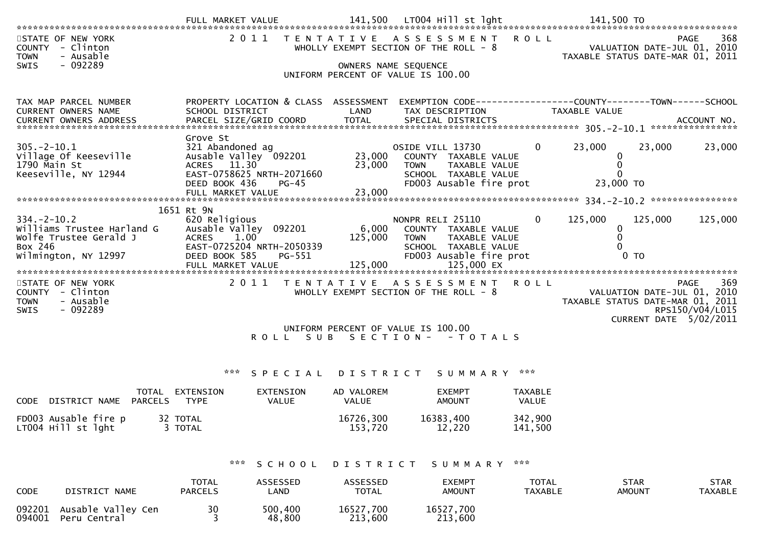| STATE OF NEW YORK<br><b>COUNTY</b><br>- Clinton<br>- Ausable<br><b>TOWN</b>                                  |                                                                                                                                                  |                             | 2011 TENTATIVE ASSESSMENT ROLL<br>WHOLLY EXEMPT SECTION OF THE ROLL - 8                                                                   |                                | PAGE<br>VALUATION DATE-JUL 01, 2010<br>TAXABLE STATUS DATE-MAR 01, 2011                                            | 368 |
|--------------------------------------------------------------------------------------------------------------|--------------------------------------------------------------------------------------------------------------------------------------------------|-----------------------------|-------------------------------------------------------------------------------------------------------------------------------------------|--------------------------------|--------------------------------------------------------------------------------------------------------------------|-----|
| $-092289$<br>SWIS                                                                                            |                                                                                                                                                  | OWNERS NAME SEQUENCE        | UNIFORM PERCENT OF VALUE IS 100.00                                                                                                        |                                |                                                                                                                    |     |
|                                                                                                              |                                                                                                                                                  |                             |                                                                                                                                           |                                |                                                                                                                    |     |
| TAX MAP PARCEL NUMBER<br>CURRENT OWNERS NAME                                                                 | PROPERTY LOCATION & CLASS ASSESSMENT<br>SCHOOL DISTRICT                                                                                          | LAND                        | TAX DESCRIPTION                                                                                                                           |                                | EXEMPTION CODE------------------COUNTY--------TOWN------SCHOOL<br>TAXABLE VALUE                                    |     |
|                                                                                                              |                                                                                                                                                  |                             |                                                                                                                                           |                                | .0URRENT OWNERS ADDRESS PARCEL SIZE/GRID COORD TOTAL SPECIAL DISTRICTS ACCOUNT NO ACCOUNT NO ACCOUNT NO ACCOUNT NO |     |
| $305. -2 - 10.1$<br>Village Of Keeseville<br>1790 Main St<br>Keeseville, NY 12944                            | Grove St<br>321 Abandoned ag<br>Ausable Valley 092201<br>ACRES 11.30<br>EAST-0758625 NRTH-2071660                                                | 23,000<br>23,000            | OSIDE VILL 13730<br>COUNTY TAXABLE VALUE<br><b>TOWN</b><br>TAXABLE VALUE<br>SCHOOL TAXABLE VALUE                                          | $\overline{0}$                 | 23,000<br>23,000<br>23,000<br>0<br>$\mathbf{0}$<br>$\Omega$                                                        |     |
|                                                                                                              | DEED BOOK 436<br>$PG-45$                                                                                                                         |                             | FD003 Ausable fire prot                                                                                                                   |                                | 23,000 TO                                                                                                          |     |
|                                                                                                              | 1651 Rt 9N                                                                                                                                       |                             |                                                                                                                                           |                                |                                                                                                                    |     |
| $334. - 2 - 10.2$<br>Williams Trustee Harland G<br>Wolfe Trustee Gerald J<br>Box 246<br>Wilmington, NY 12997 | 620 Religious<br>Ausable Valley<br>092201<br><b>ACRES</b><br>1.00<br>EAST-0725204 NRTH-2050339<br>DEED BOOK 585<br>$PG-551$<br>FULL MARKET VALUE | 6,000<br>125,000<br>125,000 | NONPR RELI 25110<br>COUNTY TAXABLE VALUE<br>TAXABLE VALUE<br><b>TOWN</b><br>SCHOOL TAXABLE VALUE<br>FD003 Ausable fire prot<br>125,000 EX | $\mathbf{0}$                   | 125,000<br>125,000<br>125,000<br>0<br>$\mathbf{0}$<br>0 <sub>T</sub>                                               |     |
| STATE OF NEW YORK                                                                                            | 2011                                                                                                                                             |                             | TENTATIVE ASSESSMENT ROLL                                                                                                                 |                                | <b>PAGE</b>                                                                                                        | 369 |
| COUNTY - Clinton<br><b>TOWN</b><br>- Ausable<br>$-092289$<br>SWIS                                            |                                                                                                                                                  |                             | WHOLLY EXEMPT SECTION OF THE ROLL - 8                                                                                                     |                                | VALUATION DATE-JUL 01, 2010<br>TAXABLE STATUS DATE-MAR 01, 2011<br>RPS150/V04/L015                                 |     |
|                                                                                                              |                                                                                                                                                  |                             | UNIFORM PERCENT OF VALUE IS 100.00                                                                                                        |                                | CURRENT DATE 5/02/2011                                                                                             |     |
|                                                                                                              |                                                                                                                                                  |                             | ROLL SUB SECTION- - TOTALS                                                                                                                |                                |                                                                                                                    |     |
|                                                                                                              | ***<br>SPECIAL                                                                                                                                   | D I S T R I C T             | SUMMARY ***                                                                                                                               |                                |                                                                                                                    |     |
| TOTAL<br>DISTRICT NAME PARCELS<br><b>CODE</b>                                                                | EXTENSION<br>EXTENSION<br><b>TYPE</b><br>VALUE                                                                                                   | AD VALOREM<br>VALUE         | <b>EXEMPT</b><br><b>AMOUNT</b>                                                                                                            | TAXABLE<br>VALUE               |                                                                                                                    |     |
| FD003 Ausable fire p<br>32 TOTAL<br>LT004 Hill st lght                                                       | 3 TOTAL                                                                                                                                          | 16726,300<br>153,720        | 16383,400<br>12,220                                                                                                                       | 342,900<br>141,500             |                                                                                                                    |     |
|                                                                                                              | ***<br>SCHOOL                                                                                                                                    |                             | DISTRICT SUMMARY                                                                                                                          | ***                            |                                                                                                                    |     |
| CODE<br>DISTRICT NAME                                                                                        | <b>TOTAL</b><br>ASSESSED<br><b>PARCELS</b><br>LAND                                                                                               | ASSESSED<br><b>TOTAL</b>    | <b>EXEMPT</b><br><b>AMOUNT</b>                                                                                                            | <b>TOTAL</b><br><b>TAXABLE</b> | <b>STAR</b><br><b>STAR</b><br><b>TAXABLE</b><br><b>AMOUNT</b>                                                      |     |

<sup>092201</sup> Ausable Valley Cen <sup>30</sup> 500,400 16527,700 16527,70016527,700<br>213,600 094001 Peru Central 3 3 48,800 213,600 213,600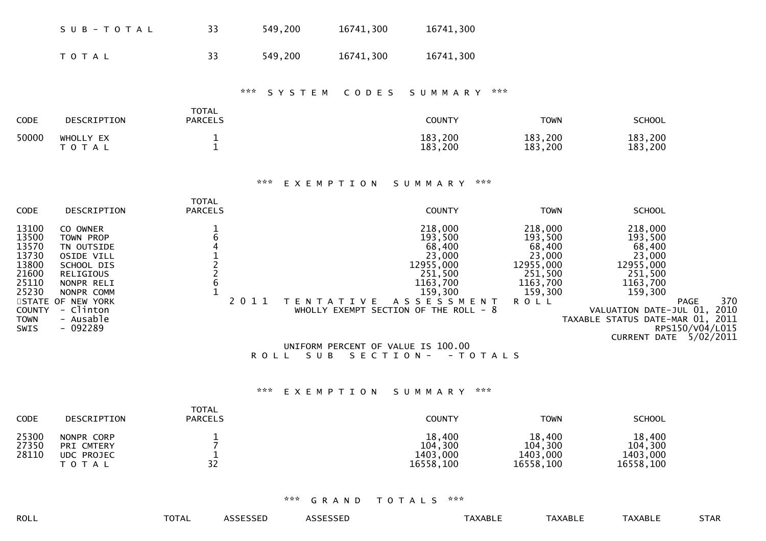|                                                                                                              | SUB-TOTAL                                                                                                                                                                   | 33                                                                                      | 549,200                    | 16741,300                                               | 16741,300                                                                                                                                                          |                                                                                                      |                                                                                                                                                                                                                      |     |
|--------------------------------------------------------------------------------------------------------------|-----------------------------------------------------------------------------------------------------------------------------------------------------------------------------|-----------------------------------------------------------------------------------------|----------------------------|---------------------------------------------------------|--------------------------------------------------------------------------------------------------------------------------------------------------------------------|------------------------------------------------------------------------------------------------------|----------------------------------------------------------------------------------------------------------------------------------------------------------------------------------------------------------------------|-----|
|                                                                                                              | T O T A L                                                                                                                                                                   | 33                                                                                      | 549,200                    | 16741,300                                               | 16741,300                                                                                                                                                          |                                                                                                      |                                                                                                                                                                                                                      |     |
|                                                                                                              |                                                                                                                                                                             |                                                                                         | $\pi \times \pi$<br>SYSTEM | CODES                                                   | SUMMARY                                                                                                                                                            | $\pi \times \pi$                                                                                     |                                                                                                                                                                                                                      |     |
| CODE                                                                                                         | DESCRIPTION                                                                                                                                                                 | <b>TOTAL</b><br><b>PARCELS</b>                                                          |                            |                                                         | <b>COUNTY</b>                                                                                                                                                      | <b>TOWN</b>                                                                                          | <b>SCHOOL</b>                                                                                                                                                                                                        |     |
| 50000                                                                                                        | WHOLLY EX<br>TOTAL                                                                                                                                                          | $\mathbf{1}$<br>$\mathbf{1}$                                                            |                            |                                                         | 183,200<br>183,200                                                                                                                                                 | 183,200<br>183,200                                                                                   | 183,200<br>183,200                                                                                                                                                                                                   |     |
|                                                                                                              |                                                                                                                                                                             |                                                                                         | ***                        | EXEMPTION                                               | ***<br>SUMMARY                                                                                                                                                     |                                                                                                      |                                                                                                                                                                                                                      |     |
| <b>CODE</b>                                                                                                  | DESCRIPTION                                                                                                                                                                 | <b>TOTAL</b><br><b>PARCELS</b>                                                          |                            |                                                         | <b>COUNTY</b>                                                                                                                                                      | <b>TOWN</b>                                                                                          | <b>SCHOOL</b>                                                                                                                                                                                                        |     |
| 13100<br>13500<br>13570<br>13730<br>13800<br>21600<br>25110<br>25230<br><b>COUNTY</b><br><b>TOWN</b><br>SWIS | CO OWNER<br>TOWN PROP<br>TN OUTSIDE<br><b>OSIDE VILL</b><br>SCHOOL DIS<br>RELIGIOUS<br>NONPR RELI<br>NONPR COMM<br>STATE OF NEW YORK<br>- Clinton<br>- Ausable<br>$-092289$ | $\frac{1}{6}$<br>$\begin{array}{c}\n4 \\ 1 \\ 2 \\ 2 \\ 6\n\end{array}$<br>$\mathbf{1}$ | 2011<br>ROLL SUB           | T E N T A T I V E<br>UNIFORM PERCENT OF VALUE IS 100.00 | 218,000<br>193,500<br>68,400<br>23,000<br>12955,000<br>251,500<br>1163,700<br>159,300<br>ASSESSMENT<br>WHOLLY EXEMPT SECTION OF THE ROLL - 8<br>SECTION - - TOTALS | 218,000<br>193,500<br>68,400<br>23,000<br>12955,000<br>251,500<br>1163,700<br>159,300<br><b>ROLL</b> | 218,000<br>193,500<br>68,400<br>23,000<br>12955,000<br>251,500<br>1163,700<br>159,300<br><b>PAGE</b><br>VALUATION DATE-JUL 01, 2010<br>TAXABLE STATUS DATE-MAR 01, 2011<br>RPS150/V04/L015<br>CURRENT DATE 5/02/2011 | 370 |
|                                                                                                              |                                                                                                                                                                             |                                                                                         | $\pi \times \pi$           | EXEMPTION                                               | ***<br>SUMMARY                                                                                                                                                     |                                                                                                      |                                                                                                                                                                                                                      |     |
| <b>CODE</b>                                                                                                  | DESCRIPTION                                                                                                                                                                 | <b>TOTAL</b><br><b>PARCELS</b>                                                          |                            |                                                         | <b>COUNTY</b>                                                                                                                                                      | <b>TOWN</b>                                                                                          | <b>SCHOOL</b>                                                                                                                                                                                                        |     |
| 25300<br>27350<br>28110                                                                                      | NONPR CORP<br>PRI CMTERY<br><b>UDC PROJEC</b><br>T O T A L                                                                                                                  | $\mathbf{1}$<br>$\overline{7}$<br>$\mathbf{1}$<br>32                                    |                            |                                                         | 18,400<br>104,300<br>1403,000<br>16558,100                                                                                                                         | 18,400<br>104,300<br>1403,000<br>16558,100                                                           | 18,400<br>104,300<br>1403,000<br>16558,100                                                                                                                                                                           |     |

| ROLL | -~-<br><b>TOTAL</b> | <b><i>ASSESSED</i></b> | CCTCCTD<br>ASSESSEL | <b>TAXABLE</b> | <b>TAXABLE</b> | TAXABLE | <b>STAR</b> |
|------|---------------------|------------------------|---------------------|----------------|----------------|---------|-------------|
|      |                     |                        |                     |                |                |         |             |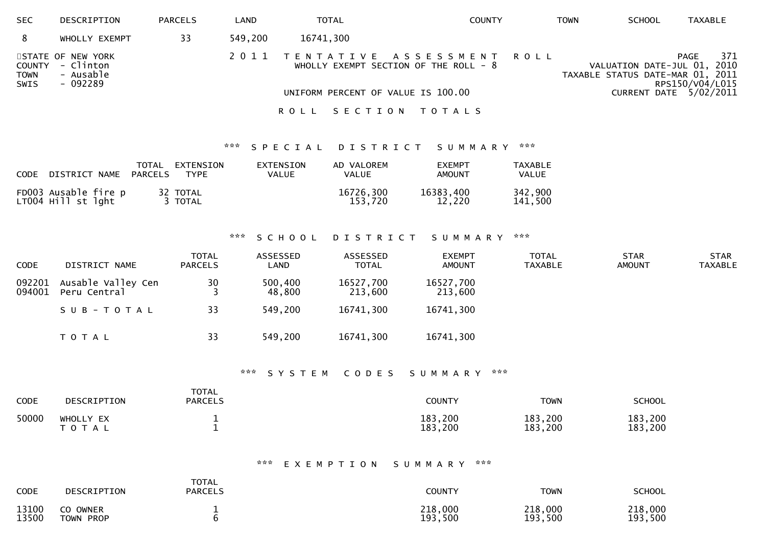| <b>SEC</b>                    | DESCRIPTION                                             | <b>PARCELS</b> | LAND    | <b>TOTAL</b>       | <b>COUNTY</b>                                                                                                    | <b>TOWN</b> | <b>SCHOOL</b>                                                   | <b>TAXABLE</b>                                           |
|-------------------------------|---------------------------------------------------------|----------------|---------|--------------------|------------------------------------------------------------------------------------------------------------------|-------------|-----------------------------------------------------------------|----------------------------------------------------------|
| 8                             | WHOLLY EXEMPT                                           | 33             | 549,200 | 16741,300          |                                                                                                                  |             |                                                                 |                                                          |
| COUNTY<br><b>TOWN</b><br>SWIS | STATE OF NEW YORK<br>- Clinton<br>- Ausable<br>- 092289 |                | 2011    |                    | TENTATIVE ASSESSMENT<br>R O L L<br>WHOLLY EXEMPT SECTION OF THE ROLL - $8$<br>UNIFORM PERCENT OF VALUE IS 100.00 |             | VALUATION DATE-JUL 01, 2010<br>TAXABLE STATUS DATE-MAR 01, 2011 | 371<br>PAGE<br>RPS150/V04/L015<br>CURRENT DATE 5/02/2011 |
|                               |                                                         |                |         | SECTION<br>R O L L | T O T A L S                                                                                                      |             |                                                                 |                                                          |

#### \*\*\* S P E C I A L D I S T R I C T S U M M A R Y \*\*\*

| <b>CODE</b> | DISTRICT NAME                              | TOTAL<br>PARCELS | EXTENSION<br><b>TYPF</b> | EXTENSION<br><b>VALUE</b> | AD VALOREM<br>VALUE  | <b>FXEMPT</b><br><b>AMOUNT</b> | TAXABLE<br>VALUE   |
|-------------|--------------------------------------------|------------------|--------------------------|---------------------------|----------------------|--------------------------------|--------------------|
|             | FD003 Ausable fire p<br>LT004 Hill st lght |                  | 32 TOTAL<br>3 TOTAL      |                           | 16726,300<br>153,720 | 16383,400<br>12,220            | 342,900<br>141.500 |

# \*\*\* S C H O O L D I S T R I C T S U M M A R Y \*\*\*

| <b>CODE</b>      | DISTRICT NAME                      | <b>TOTAL</b><br><b>PARCELS</b> | ASSESSED<br>LAND  | ASSESSED<br><b>TOTAL</b> | <b>EXEMPT</b><br><b>AMOUNT</b> | <b>TOTAL</b><br><b>TAXABLE</b> | <b>STAR</b><br><b>AMOUNT</b> | <b>STAR</b><br><b>TAXABLE</b> |
|------------------|------------------------------------|--------------------------------|-------------------|--------------------------|--------------------------------|--------------------------------|------------------------------|-------------------------------|
| 092201<br>094001 | Ausable Valley Cen<br>Peru Central | 30                             | 500,400<br>48,800 | 16527,700<br>213,600     | 16527,700<br>213,600           |                                |                              |                               |
|                  | SUB-TOTAL                          | 33                             | 549,200           | 16741,300                | 16741,300                      |                                |                              |                               |
|                  | T O T A L                          | 33                             | 549,200           | 16741,300                | 16741,300                      |                                |                              |                               |

### \*\*\* S Y S T E M C O D E S S U M M A R Y \*\*\*

| <b>CODE</b> | DESCRIPTION            | <b>TOTAL</b><br><b>PARCELS</b> | <b>COUNTY</b>      | <b>TOWN</b>        | SCHOOL             |
|-------------|------------------------|--------------------------------|--------------------|--------------------|--------------------|
| 50000       | WHOLLY EX<br>T O T A L |                                | 183,200<br>183,200 | 183,200<br>183,200 | 183,200<br>183,200 |

# \*\*\* E X E M P T I O N S U M M A R Y \*\*\*

| <b>CODE</b> | DESCRIPTION | <b>TOTAL</b><br><b>PARCELS</b> | <b>COUNTY</b> | <b>TOWN</b> | <b>SCHOOL</b> |
|-------------|-------------|--------------------------------|---------------|-------------|---------------|
| 13100       | CO OWNER    |                                | 218,000       | 218,000     | 218,000       |
| 13500       | TOWN PROP   |                                | 193,500       | 193,500     | 193,500       |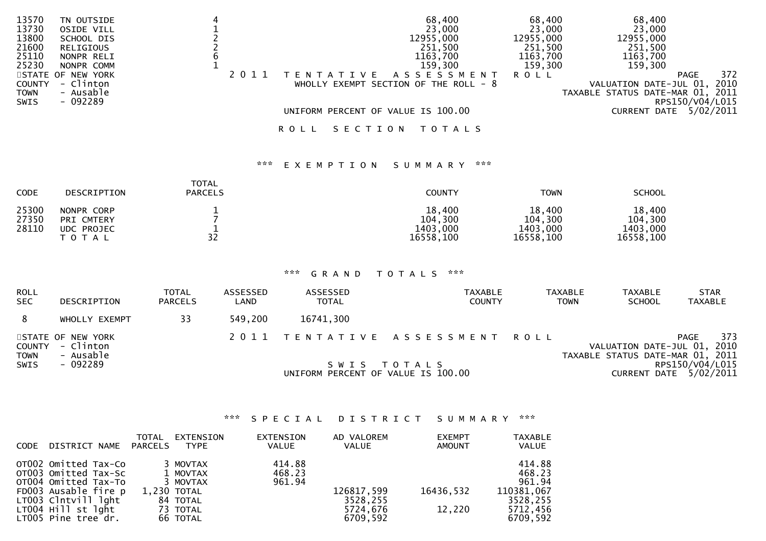| 13570         | TN OUTSIDE        |  |                   |         | 68,400                                 | 68,400    | 68,400                           |                        |      |
|---------------|-------------------|--|-------------------|---------|----------------------------------------|-----------|----------------------------------|------------------------|------|
| 13730         | OSIDE VILL        |  |                   |         | 23,000                                 | 23,000    | 23,000                           |                        |      |
| 13800         | SCHOOL DIS        |  |                   |         | 12955,000                              | 12955,000 | 12955,000                        |                        |      |
| 21600         | RELIGIOUS         |  |                   |         | 251,500                                | 251,500   | 251,500                          |                        |      |
| 25110         | NONPR RELI        |  |                   |         | 1163,700                               | 1163,700  | 1163,700                         |                        |      |
| 25230         | NONPR COMM        |  |                   |         | 159,300                                | 159,300   | 159,300                          |                        |      |
|               | STATE OF NEW YORK |  | T E N T A T I V E |         | A S S E S S M E N T                    | R O L L   |                                  | PAGE                   | 372  |
| <b>COUNTY</b> | - Clinton         |  |                   |         | WHOLLY EXEMPT SECTION OF THE ROLL $-8$ |           | VALUATION DATE-JUL 01,           |                        | 2010 |
| <b>TOWN</b>   | - Ausable         |  |                   |         |                                        |           | TAXABLE STATUS DATE-MAR 01, 2011 |                        |      |
| SWIS          | - 092289          |  |                   |         |                                        |           |                                  | RPS150/V04/L015        |      |
|               |                   |  |                   |         | UNIFORM PERCENT OF VALUE IS 100.00     |           |                                  | CURRENT DATE 5/02/2011 |      |
|               |                   |  | R O L L           | SECTION | T O T A L S                            |           |                                  |                        |      |

# \*\*\* E X E M P T I O N S U M M A R Y \*\*\*

| <b>CODE</b>             | <b>DESCRIPTION</b>                              | <b>TOTAL</b><br><b>PARCELS</b> | COUNTY                                     | <b>TOWN</b>                                | <b>SCHOOL</b>                              |
|-------------------------|-------------------------------------------------|--------------------------------|--------------------------------------------|--------------------------------------------|--------------------------------------------|
| 25300<br>27350<br>28110 | NONPR CORP<br>PRI CMTERY<br>UDC PROJEC<br>TOTAL | 32                             | 18,400<br>104,300<br>1403,000<br>16558,100 | 18,400<br>104,300<br>1403,000<br>16558,100 | 18,400<br>104,300<br>1403,000<br>16558,100 |

#### \*\*\* G R A N D T O T A L S \*\*\*

| <b>ROLL</b><br><b>SEC</b> | DESCRIPTION                                        | TOTAL<br><b>PARCELS</b> | ASSESSED<br>LAND | <b>ASSESSED</b><br><b>TOTAL</b>    | <b>TAXABLE</b><br><b>COUNTY</b> | <b>TAXABLE</b><br><b>TOWN</b> | <b>TAXABLE</b><br><b>SCHOOL</b>                                 | <b>STAR</b><br><b>TAXABLE</b>             |
|---------------------------|----------------------------------------------------|-------------------------|------------------|------------------------------------|---------------------------------|-------------------------------|-----------------------------------------------------------------|-------------------------------------------|
| 8                         | WHOLLY EXEMPT                                      | 33                      | 549,200          | 16741,300                          |                                 |                               |                                                                 |                                           |
| <b>TOWN</b>               | STATE OF NEW YORK<br>COUNTY - Clinton<br>- Ausable |                         |                  |                                    | 2011 TENTATIVE ASSESSMENT ROLL  |                               | VALUATION DATE-JUL 01, 2010<br>TAXABLE STATUS DATE-MAR 01, 2011 | 373<br><b>PAGE</b>                        |
| <b>SWIS</b>               | - 092289                                           |                         |                  | UNIFORM PERCENT OF VALUE IS 100.00 | SWIS TOTALS                     |                               |                                                                 | RPS150/V04/L015<br>CURRENT DATE 5/02/2011 |

### \*\*\* S P E C I A L D I S T R I C T S U M M A R Y \*\*\*

| CODE | DISTRICT NAME                                                                                                                                                    | TOTAL<br>PARCELS | EXTENSION<br>TYPE                                                                   | EXTENSION<br><b>VALUE</b>  | AD VALOREM<br>VALUE                            | <b>EXEMPT</b><br><b>AMOUNT</b> | <b>TAXABLE</b><br><b>VALUE</b>                                               |
|------|------------------------------------------------------------------------------------------------------------------------------------------------------------------|------------------|-------------------------------------------------------------------------------------|----------------------------|------------------------------------------------|--------------------------------|------------------------------------------------------------------------------|
|      | OTO02 Omitted Tax-Co<br>OT003 Omitted Tax-Sc<br>OT004 Omitted Tax-To<br>FD003 Ausable fire p<br>LT003 Clntvill lght<br>LT004 Hill st lght<br>LT005 Pine tree dr. |                  | 3 MOVTAX<br>1 MOVTAX<br>3 MOVTAX<br>1,230 TOTAL<br>84 TOTAL<br>73 TOTAL<br>66 TOTAL | 414.88<br>468.23<br>961.94 | 126817,599<br>3528,255<br>5724.676<br>6709,592 | 16436,532<br>12,220            | 414.88<br>468.23<br>961.94<br>110381,067<br>3528,255<br>5712,456<br>6709,592 |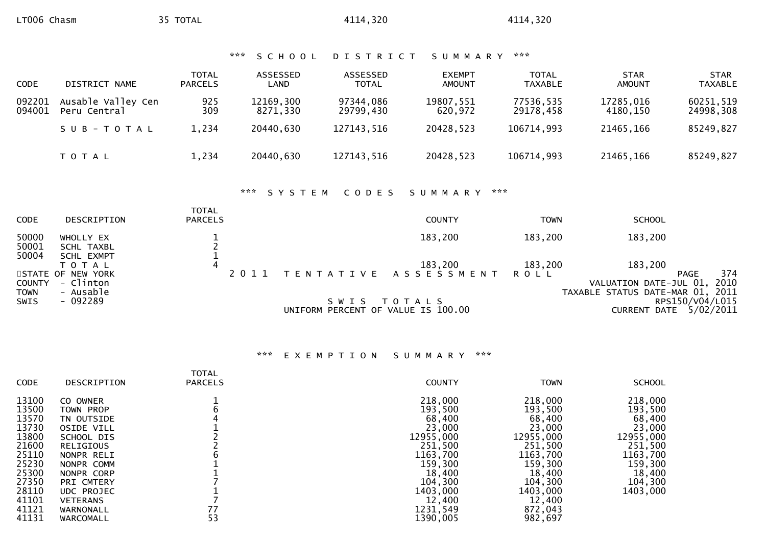| *** SCHOOL DISTRICT SUMMARY *** |  |  |  |  |  |  |  |  |  |  |  |  |  |  |  |  |  |  |  |  |  |  |  |
|---------------------------------|--|--|--|--|--|--|--|--|--|--|--|--|--|--|--|--|--|--|--|--|--|--|--|
|---------------------------------|--|--|--|--|--|--|--|--|--|--|--|--|--|--|--|--|--|--|--|--|--|--|--|

| <b>CODE</b>      | DISTRICT NAME                      | <b>TOTAL</b><br><b>PARCELS</b> | ASSESSED<br>LAND      | ASSESSED<br><b>TOTAL</b> | <b>EXEMPT</b><br><b>AMOUNT</b> | <b>TOTAL</b><br><b>TAXABLE</b> | <b>STAR</b><br><b>AMOUNT</b> | <b>STAR</b><br><b>TAXABLE</b> |
|------------------|------------------------------------|--------------------------------|-----------------------|--------------------------|--------------------------------|--------------------------------|------------------------------|-------------------------------|
| 092201<br>094001 | Ausable Valley Cen<br>Peru Central | 925<br>309                     | 12169,300<br>8271.330 | 97344,086<br>29799.430   | 19807,551<br>620.972           | 77536,535<br>29178.458         | 17285,016<br>4180.150        | 60251,519<br>24998,308        |
|                  | SUB-TOTAL                          | 1,234                          | 20440,630             | 127143,516               | 20428,523                      | 106714,993                     | 21465,166                    | 85249,827                     |
|                  | <b>TOTAL</b>                       | 1,234                          | 20440,630             | 127143,516               | 20428,523                      | 106714,993                     | 21465,166                    | 85249,827                     |

# \*\*\* S Y S T E M C O D E S S U M M A R Y \*\*\*

| <b>CODE</b>                          | DESCRIPTION                                           | <b>TOTAL</b><br><b>PARCELS</b> |                                               | <b>COUNTY</b>                   | <b>TOWN</b>            | <b>SCHOOL</b>                                                                                           |
|--------------------------------------|-------------------------------------------------------|--------------------------------|-----------------------------------------------|---------------------------------|------------------------|---------------------------------------------------------------------------------------------------------|
| 50000<br>50001                       | WHOLLY EX<br>SCHL TAXBL                               |                                |                                               | 183,200                         | 183,200                | 183,200                                                                                                 |
| 50004                                | SCHL EXMPT<br>ΤΟΤΑΙ<br>STATE OF NEW YORK<br>- Clinton | 4<br>2011                      |                                               | 183,200<br>TENTATIVE ASSESSMENT | 183,200<br><b>ROLL</b> | 183,200<br>374<br>PAGE<br>2010                                                                          |
| <b>COUNTY</b><br><b>TOWN</b><br>SWIS | - Ausable<br>- 092289                                 |                                | S W I S<br>UNIFORM PERCENT OF VALUE IS 100.00 | T O T A L S                     |                        | VALUATION DATE-JUL 01,<br>TAXABLE STATUS DATE-MAR 01, 2011<br>RPS150/V04/L015<br>CURRENT DATE 5/02/2011 |

# \*\*\* E X E M P T I O N S U M M A R Y \*\*\*

| 218,000<br>218,000<br>13100<br>CO OWNER<br>13500<br>193,500<br>193,500<br>TOWN PROP<br>13570<br>68,400<br>68,400<br>TN OUTSIDE<br>13730<br>23,000<br>23,000<br><b>OSIDE VILL</b><br>13800<br>12955,000<br>12955,000<br>SCHOOL DIS<br>21600<br>251,500<br>251,500<br>RELIGIOUS<br>25110<br>1163,700<br>1163,700<br>NONPR RELI<br>25230<br>159,300<br>159,300<br>NONPR COMM<br>25300<br>18,400<br>18,400<br>NONPR CORP<br>27350<br>104,300<br>104,300<br>PRI CMTERY<br>28110<br>1403,000<br>1403,000<br>UDC PROJEC<br>41101<br>12,400<br>12,400<br><b>VETERANS</b><br>77<br>41121<br>1231,549<br>872,043<br>WARNONALL | <b>CODE</b> | DESCRIPTION | <b>TOTAL</b><br><b>PARCELS</b> | <b>COUNTY</b> | <b>TOWN</b> | <b>SCHOOL</b>                                                                                                          |
|---------------------------------------------------------------------------------------------------------------------------------------------------------------------------------------------------------------------------------------------------------------------------------------------------------------------------------------------------------------------------------------------------------------------------------------------------------------------------------------------------------------------------------------------------------------------------------------------------------------------|-------------|-------------|--------------------------------|---------------|-------------|------------------------------------------------------------------------------------------------------------------------|
|                                                                                                                                                                                                                                                                                                                                                                                                                                                                                                                                                                                                                     | 41131       | WARCOMALL   | 53                             | 1390,005      | 982,697     | 218,000<br>193,500<br>68,400<br>23,000<br>12955,000<br>251,500<br>1163,700<br>159,300<br>18,400<br>104,300<br>1403,000 |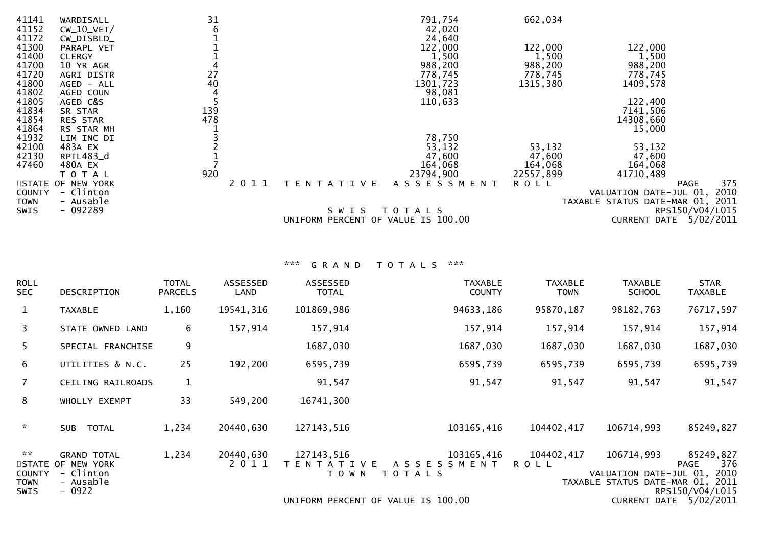| 41141<br>41152          | WARDISALL<br>$CW_10_VET/$                   | 31<br>6    |      |           | 791,754<br>42,020                | 662,034                        |                                     |                     |
|-------------------------|---------------------------------------------|------------|------|-----------|----------------------------------|--------------------------------|-------------------------------------|---------------------|
| 41172<br>41300<br>41400 | CW_DISBLD_<br>PARAPL VET<br><b>CLERGY</b>   |            |      |           | 24,640<br>122,000<br>1,500       | 122,000<br>1,500               | 122,000<br>1,500                    |                     |
| 41700<br>41720<br>41800 | 10 YR AGR<br>AGRI DISTR<br>AGED - ALL       | 27<br>40   |      |           | 988,200<br>778,745<br>1301,723   | 988,200<br>778,745<br>1315,380 | 988,200<br>778,745<br>1409,578      |                     |
| 41802<br>41805          | AGED COUN<br>AGED C&S                       |            |      |           | 98,081<br>110,633                |                                | 122,400                             |                     |
| 41834<br>41854<br>41864 | SR STAR<br>RES STAR<br>RS STAR MH           | 139<br>478 |      |           |                                  |                                | 7141,506<br>14308,660<br>15,000     |                     |
| 41932<br>42100          | LIM INC DI<br>483A EX                       |            |      |           | 78,750<br>53,132                 | 53,132                         | 53,132                              |                     |
| 42130<br>47460          | RPTL483_d<br>480A EX                        |            |      |           | 47,600<br>164,068                | 47,600<br>164,068              | 47,600<br>164,068                   |                     |
| <b>COUNTY</b>           | T O T A L<br>STATE OF NEW YORK<br>- Clinton | 920        | 2011 | TENTATIVE | 23794,900<br>A S S E S S M E N T | 22557,899<br><b>ROLL</b>       | 41710,489<br>VALUATION DATE-JUL 01, | 375<br>PAGE<br>2010 |
| <b>TOWN</b><br>SWIS     | - Ausable<br>$-092289$                      |            |      | S W I S   | T O T A L S                      |                                | TAXABLE STATUS DATE-MAR 01, 2011    | RPS150/V04/L015     |
|                         |                                             |            |      | UNIFORM   | PERCENT OF VALUE IS 100.00       |                                | <b>CURRENT DATE</b>                 | 5/02/2011           |

| <b>ROLL</b><br><b>SEC</b>                                      | DESCRIPTION                                                                  | <b>TOTAL</b><br><b>PARCELS</b> | ASSESSED<br>LAND  | ASSESSED<br><b>TOTAL</b>                  | <b>TAXABLE</b><br><b>COUNTY</b>                  | <b>TAXABLE</b><br><b>TOWN</b> | <b>TAXABLE</b><br><b>SCHOOL</b>                                          | <b>STAR</b><br><b>TAXABLE</b>                              |
|----------------------------------------------------------------|------------------------------------------------------------------------------|--------------------------------|-------------------|-------------------------------------------|--------------------------------------------------|-------------------------------|--------------------------------------------------------------------------|------------------------------------------------------------|
| 1                                                              | <b>TAXABLE</b>                                                               | 1,160                          | 19541, 316        | 101869,986                                | 94633,186                                        | 95870,187                     | 98182,763                                                                | 76717,597                                                  |
| 3                                                              | STATE OWNED LAND                                                             | 6                              | 157,914           | 157,914                                   | 157,914                                          | 157,914                       | 157,914                                                                  | 157,914                                                    |
| 5.                                                             | SPECIAL FRANCHISE                                                            | 9                              |                   | 1687,030                                  | 1687,030                                         | 1687,030                      | 1687,030                                                                 | 1687,030                                                   |
| 6                                                              | UTILITIES & N.C.                                                             | 25                             | 192,200           | 6595,739                                  | 6595,739                                         | 6595,739                      | 6595,739                                                                 | 6595,739                                                   |
| $\overline{7}$                                                 | CEILING RAILROADS                                                            | $\mathbf{1}$                   |                   | 91,547                                    | 91,547                                           | 91,547                        | 91,547                                                                   | 91,547                                                     |
| 8                                                              | WHOLLY EXEMPT                                                                | 33                             | 549,200           | 16741,300                                 |                                                  |                               |                                                                          |                                                            |
| $\sim$                                                         | <b>SUB</b><br>TOTAL                                                          | 1,234                          | 20440,630         | 127143,516                                | 103165,416                                       | 104402,417                    | 106714,993                                                               | 85249,827                                                  |
| $\sim$ $\times$<br><b>COUNTY</b><br><b>TOWN</b><br><b>SWIS</b> | <b>GRAND TOTAL</b><br>STATE OF NEW YORK<br>- Clinton<br>- Ausable<br>$-0922$ | 1,234                          | 20440,630<br>2011 | 127143,516<br><b>TENTATIVE</b><br>T O W N | 103165,416<br>A S S E S S M E N T<br>T O T A L S | 104402,417<br><b>ROLL</b>     | 106714,993<br>VALUATION DATE-JUL 01,<br>TAXABLE STATUS DATE-MAR 01, 2011 | 85249,827<br>376<br><b>PAGE</b><br>2010<br>RPS150/V04/L015 |
|                                                                |                                                                              |                                |                   |                                           | UNIFORM PERCENT OF VALUE IS 100.00               |                               | <b>CURRENT DATE</b>                                                      | 5/02/2011                                                  |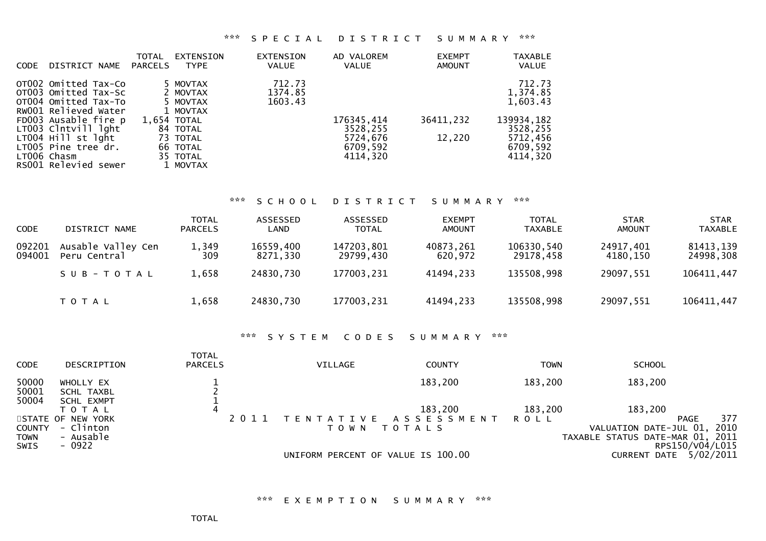### \*\*\* S P E C I A L D I S T R I C T S U M M A R Y \*\*\*

| DISTRICT NAME<br><b>CODE</b>                                                                 | TOTAL<br>EXTENSION<br>PARCELS<br><b>TYPE</b> | <b>EXTENSION</b><br><b>VALUE</b> | AD VALOREM<br>VALUE              | <b>EXEMPT</b><br><b>AMOUNT</b> | <b>TAXABLE</b><br><b>VALUE</b>   |
|----------------------------------------------------------------------------------------------|----------------------------------------------|----------------------------------|----------------------------------|--------------------------------|----------------------------------|
| OT002 Omitted Tax-Co<br>OT003 Omitted Tax-Sc<br>OT004 Omitted Tax-To<br>RW001 Relieved Water | 5 MOVTAX<br>2 MOVTAX<br>5 MOVTAX             | 712.73<br>1374.85<br>1603.43     |                                  |                                | 712.73<br>1,374.85<br>1,603.43   |
| FD003 Ausable fire p<br>LT003 Clntvill lght                                                  | 1 MOVTAX<br>1.654 TOTAL<br>84 TOTAL          |                                  | 176345,414<br>3528,255           | 36411,232                      | 139934,182<br>3528,255           |
| LT004 Hill st lght<br>LT005 Pine tree dr.<br>LT006 Chasm<br>RS001 Relevied sewer             | 73 TOTAL<br>66 TOTAL<br>35 TOTAL<br>1 MOVTAX |                                  | 5724,676<br>6709,592<br>4114,320 | 12,220                         | 5712,456<br>6709,592<br>4114.320 |

# \*\*\* S C H O O L D I S T R I C T S U M M A R Y \*\*\*

| <b>CODE</b>      | DISTRICT NAME                      | <b>TOTAL</b><br><b>PARCELS</b> | ASSESSED<br>LAND      | ASSESSED<br><b>TOTAL</b> | <b>EXEMPT</b><br><b>AMOUNT</b> | <b>TOTAL</b><br><b>TAXABLE</b> | <b>STAR</b><br><b>AMOUNT</b> | <b>STAR</b><br><b>TAXABLE</b> |
|------------------|------------------------------------|--------------------------------|-----------------------|--------------------------|--------------------------------|--------------------------------|------------------------------|-------------------------------|
| 092201<br>094001 | Ausable Valley Cen<br>Peru Central | 1,349<br>309                   | 16559,400<br>8271,330 | 147203,801<br>29799,430  | 40873,261<br>620,972           | 106330,540<br>29178,458        | 24917,401<br>4180,150        | 81413,139<br>24998,308        |
|                  | SUB-TOTAL                          | 1,658                          | 24830,730             | 177003,231               | 41494,233                      | 135508,998                     | 29097,551                    | 106411,447                    |
|                  | <b>TOTAL</b>                       | 1,658                          | 24830,730             | 177003,231               | 41494,233                      | 135508,998                     | 29097,551                    | 106411,447                    |

### \*\*\* S Y S T E M C O D E S S U M M A R Y \*\*\*

| <b>CODE</b>                                 | DESCRIPTION                                           | <b>TOTAL</b><br><b>PARCELS</b> | <b>VILLAGE</b>                     | <b>COUNTY</b>                       | TOWN    | <b>SCHOOL</b>                                                                         |             |
|---------------------------------------------|-------------------------------------------------------|--------------------------------|------------------------------------|-------------------------------------|---------|---------------------------------------------------------------------------------------|-------------|
| 50000<br>50001<br>50004                     | WHOLLY EX<br><b>SCHL TAXBL</b><br>SCHL EXMPT          |                                |                                    | 183,200                             | 183,200 | 183,200                                                                               |             |
|                                             | ΤΟΤΑΙ                                                 | 4                              |                                    | 183,200                             | 183,200 | 183,200                                                                               |             |
| <b>COUNTY</b><br><b>TOWN</b><br><b>SWIS</b> | STATE OF NEW YORK<br>- Clinton<br>- Ausable<br>- 0922 | 2011                           | T O W N                            | TENTATIVE ASSESSMENT<br>T O T A L S | ROLL    | PAGE<br>VALUATION DATE-JUL 01,<br>TAXABLE STATUS DATE-MAR 01, 2011<br>RPS150/V04/L015 | 377<br>2010 |
|                                             |                                                       |                                | UNIFORM PERCENT OF VALUE IS 100.00 |                                     |         | 5/02/2011<br><b>CURRENT DATE</b>                                                      |             |

\*\*\* E X E M P T I O N S U M M A R Y \*\*\*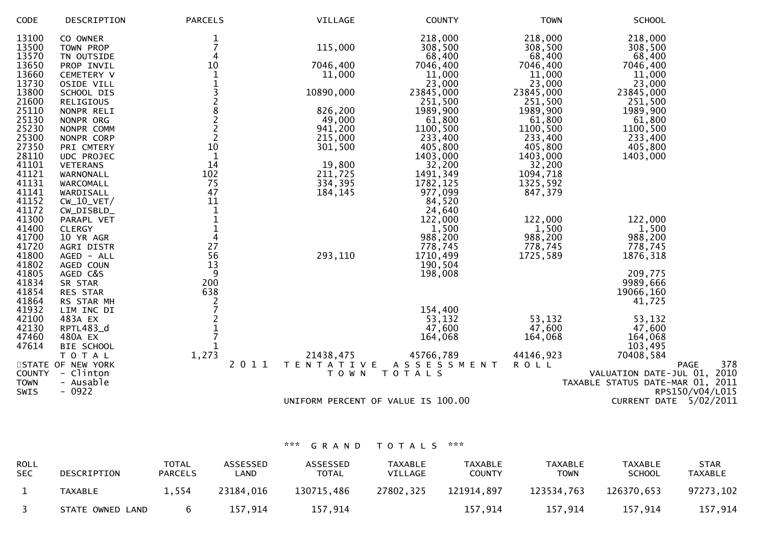| CODE                    | DESCRIPTION                         | <b>PARCELS</b> | VILLAGE                               | <b>COUNTY</b>                      | <b>TOWN</b>                  | <b>SCHOOL</b>                    |
|-------------------------|-------------------------------------|----------------|---------------------------------------|------------------------------------|------------------------------|----------------------------------|
| 13100<br>13500<br>13570 | CO OWNER<br>TOWN PROP<br>TN OUTSIDE | 4              | 115,000                               | 218,000<br>308,500<br>68,400       | 218,000<br>308,500<br>68,400 | 218,000<br>308,500<br>68,400     |
| 13650                   | PROP INVIL                          | 10             | 7046,400                              | 7046,400                           | 7046,400                     | 7046,400                         |
| 13660                   | CEMETERY V                          |                | 11,000                                | 11,000                             | 11,000                       | 11,000                           |
| 13730                   | OSIDE VILL                          |                |                                       | 23,000                             | 23,000                       | 23,000                           |
| 13800                   | SCHOOL DIS                          | 3              | 10890,000                             | 23845,000                          | 23845,000                    | 23845,000                        |
| 21600                   | RELIGIOUS                           | $\frac{2}{8}$  |                                       | 251,500                            | 251,500                      | 251,500                          |
| 25110                   | NONPR RELI                          |                | 826,200                               | 1989,900                           | 1989,900                     | 1989,900                         |
| 25130<br>25230          | NONPR ORG<br>NONPR COMM             | $\frac{2}{2}$  | 49,000<br>941,200                     | 61,800<br>1100,500                 | 61,800<br>1100,500           | 61,800<br>1100,500               |
| 25300                   | NONPR CORP                          | $\overline{2}$ | 215,000                               | 233,400                            | 233,400                      | 233,400                          |
| 27350                   | PRI CMTERY                          | 10             | 301,500                               | 405,800                            | 405,800                      | 405,800                          |
| 28110                   | UDC PROJEC                          | $\mathbf{1}$   |                                       | 1403,000                           | 1403,000                     | 1403,000                         |
| 41101                   | <b>VETERANS</b>                     | 14             | 19,800                                | 32,200                             | 32,200                       |                                  |
| 41121                   | WARNONALL                           | 102            | 211,725                               | 1491, 349                          | 1094,718                     |                                  |
| 41131                   | WARCOMALL                           | 75             | 334,395                               | 1782, 125                          | 1325,592                     |                                  |
| 41141                   | WARDISALL                           | 47             | 184, 145                              | 977,099                            | 847,379                      |                                  |
| 41152                   | $CW_10_VET/$                        | 11             |                                       | 84,520                             |                              |                                  |
| 41172                   | CW_DISBLD_                          | $\mathbf{1}$   |                                       | 24,640                             |                              |                                  |
| 41300                   | PARAPL VET                          | $\mathbf 1$    |                                       | 122,000                            | 122,000                      | 122,000                          |
| 41400                   | <b>CLERGY</b>                       | $\frac{1}{4}$  |                                       | 1,500<br>988,200                   | 1,500                        | 1,500                            |
| 41700<br>41720          | 10 YR AGR<br>AGRI DISTR             | 27             |                                       | 778,745                            | 988,200<br>778,745           | 988,200<br>778,745               |
| 41800                   | AGED - ALL                          | 56             | 293,110                               | 1710,499                           | 1725,589                     | 1876,318                         |
| 41802                   | AGED COUN                           | 13             |                                       | 190,504                            |                              |                                  |
| 41805                   | AGED C&S                            | 9              |                                       | 198,008                            |                              | 209,775                          |
| 41834                   | SR STAR                             | 200            |                                       |                                    |                              | 9989,666                         |
| 41854                   | RES STAR                            | 638            |                                       |                                    |                              | 19066,160                        |
| 41864                   | RS STAR MH                          | $\overline{2}$ |                                       |                                    |                              | 41,725                           |
| 41932                   | LIM INC DI                          |                |                                       | 154,400                            |                              |                                  |
| 42100                   | 483A EX                             |                |                                       | 53,132                             | 53,132                       | 53,132                           |
| 42130                   | RPTL483_d                           |                |                                       | 47,600                             | 47,600                       | 47,600                           |
| 47460                   | 480A EX                             |                |                                       | 164,068                            | 164,068                      | 164,068                          |
| 47614                   | BIE SCHOOL                          |                |                                       | 45766,789                          | 44146,923                    | 103,495                          |
|                         | T O T A L<br>STATE OF NEW YORK      | 1,273          | 21438,475<br><b>TENTATIVE</b><br>2011 | ASSESSMENT                         | <b>ROLL</b>                  | 70408,584<br>378<br><b>PAGE</b>  |
| <b>COUNTY</b>           | - Clinton                           |                | T O W N                               | TOTALS                             |                              | VALUATION DATE-JUL 01, 2010      |
| <b>TOWN</b>             | - Ausable                           |                |                                       |                                    |                              | TAXABLE STATUS DATE-MAR 01, 2011 |
| SWIS                    | $-0922$                             |                |                                       |                                    |                              | RPS150/V04/L015                  |
|                         |                                     |                |                                       | UNIFORM PERCENT OF VALUE IS 100.00 |                              | CURRENT DATE 5/02/2011           |
|                         |                                     |                |                                       |                                    |                              |                                  |

| <b>ROLL</b><br><b>SEC</b> | DESCRIPTION      | <b>TOTAL</b><br><b>PARCELS</b> | ASSESSED<br>∟AND | ASSESSED<br><b>TOTAL</b> | <b>TAXABLE</b><br>VILLAGE | <b>TAXABLE</b><br><b>COUNTY</b> | <b>TAXABLE</b><br><b>TOWN</b> | <b>TAXABLE</b><br><b>SCHOOL</b> | <b>STAR</b><br>TAXABLE |
|---------------------------|------------------|--------------------------------|------------------|--------------------------|---------------------------|---------------------------------|-------------------------------|---------------------------------|------------------------|
|                           | TAXABLE          | 1,554                          | 23184.016        | 130715,486               | 27802,325                 | 121914,897                      | 123534,763                    | 126370,653                      | 97273,102              |
|                           | STATE OWNED LAND | b.                             | 157.914          | 157,914                  |                           | 157,914                         | 157,914                       | 157,914                         | 157,914                |